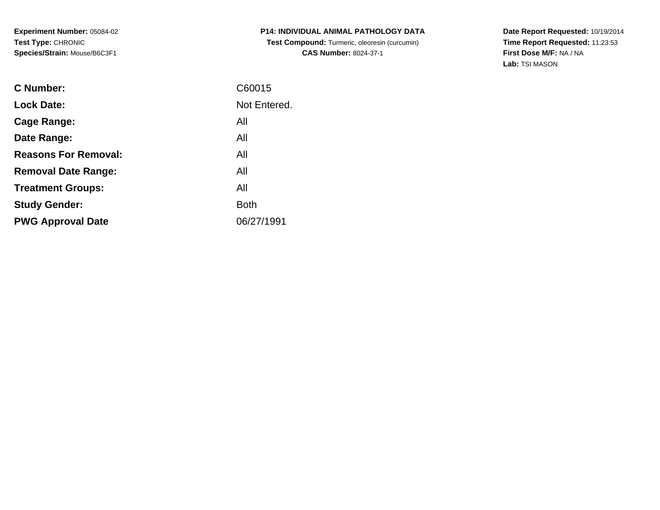**Experiment Number:** 05084-02**Test Type:** CHRONIC**Species/Strain:** Mouse/B6C3F1

**P14: INDIVIDUAL ANIMAL PATHOLOGY DATA Test Compound:** Turmeric, oleoresin (curcumin)**CAS Number:** 8024-37-1

**Date Report Requested:** 10/19/2014 **Time Report Requested:** 11:23:53**First Dose M/F:** NA / NA**Lab:** TSI MASON

| Not Entered.<br><b>Lock Date:</b><br>All<br>Cage Range:<br>All<br>Date Range:<br><b>Reasons For Removal:</b><br>All<br>All<br><b>Removal Date Range:</b><br>All<br><b>Treatment Groups:</b><br><b>Both</b><br><b>Study Gender:</b><br>06/27/1991<br><b>PWG Approval Date</b> | <b>C</b> Number: | C60015 |
|------------------------------------------------------------------------------------------------------------------------------------------------------------------------------------------------------------------------------------------------------------------------------|------------------|--------|
|                                                                                                                                                                                                                                                                              |                  |        |
|                                                                                                                                                                                                                                                                              |                  |        |
|                                                                                                                                                                                                                                                                              |                  |        |
|                                                                                                                                                                                                                                                                              |                  |        |
|                                                                                                                                                                                                                                                                              |                  |        |
|                                                                                                                                                                                                                                                                              |                  |        |
|                                                                                                                                                                                                                                                                              |                  |        |
|                                                                                                                                                                                                                                                                              |                  |        |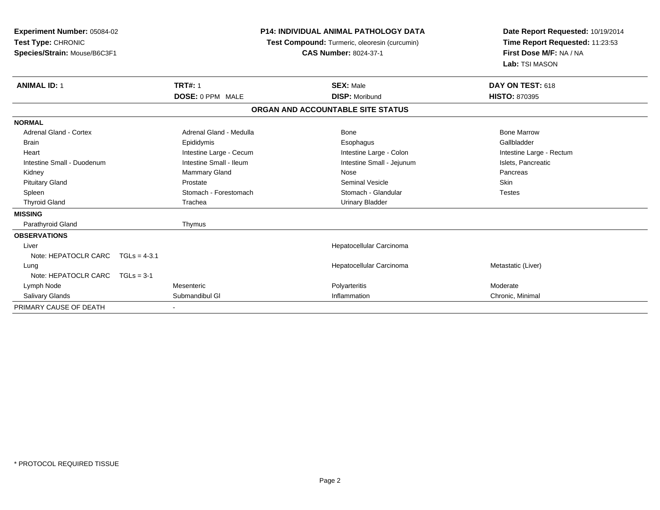| Experiment Number: 05084-02       |  |                                               |  | <b>P14: INDIVIDUAL ANIMAL PATHOLOGY DATA</b> | Date Report Requested: 10/19/2014 |  |
|-----------------------------------|--|-----------------------------------------------|--|----------------------------------------------|-----------------------------------|--|
| Test Type: CHRONIC                |  | Test Compound: Turmeric, oleoresin (curcumin) |  | Time Report Requested: 11:23:53              |                                   |  |
| Species/Strain: Mouse/B6C3F1      |  |                                               |  | <b>CAS Number: 8024-37-1</b>                 | First Dose M/F: NA / NA           |  |
|                                   |  |                                               |  |                                              | Lab: TSI MASON                    |  |
| <b>ANIMAL ID: 1</b>               |  | <b>TRT#: 1</b>                                |  | <b>SEX: Male</b>                             | DAY ON TEST: 618                  |  |
|                                   |  | DOSE: 0 PPM MALE                              |  | <b>DISP: Moribund</b>                        | <b>HISTO: 870395</b>              |  |
|                                   |  |                                               |  | ORGAN AND ACCOUNTABLE SITE STATUS            |                                   |  |
| <b>NORMAL</b>                     |  |                                               |  |                                              |                                   |  |
| Adrenal Gland - Cortex            |  | Adrenal Gland - Medulla                       |  | Bone                                         | <b>Bone Marrow</b>                |  |
| <b>Brain</b>                      |  | Epididymis                                    |  | Esophagus                                    | Gallbladder                       |  |
| Heart                             |  | Intestine Large - Cecum                       |  | Intestine Large - Colon                      | Intestine Large - Rectum          |  |
| Intestine Small - Duodenum        |  | Intestine Small - Ileum                       |  | Intestine Small - Jejunum                    | Islets, Pancreatic                |  |
| Kidney                            |  | Mammary Gland                                 |  | Nose                                         | Pancreas                          |  |
| <b>Pituitary Gland</b>            |  | Prostate                                      |  | <b>Seminal Vesicle</b>                       | <b>Skin</b>                       |  |
| Spleen                            |  | Stomach - Forestomach                         |  | Stomach - Glandular                          | <b>Testes</b>                     |  |
| <b>Thyroid Gland</b>              |  | Trachea                                       |  | <b>Urinary Bladder</b>                       |                                   |  |
| <b>MISSING</b>                    |  |                                               |  |                                              |                                   |  |
| Parathyroid Gland                 |  | Thymus                                        |  |                                              |                                   |  |
| <b>OBSERVATIONS</b>               |  |                                               |  |                                              |                                   |  |
| Liver                             |  |                                               |  | Hepatocellular Carcinoma                     |                                   |  |
| Note: HEPATOCLR CARC TGLs = 4-3.1 |  |                                               |  |                                              |                                   |  |
| Lung                              |  |                                               |  | Hepatocellular Carcinoma                     | Metastatic (Liver)                |  |
| Note: HEPATOCLR CARC $TGLs = 3-1$ |  |                                               |  |                                              |                                   |  |
| Lymph Node                        |  | Mesenteric                                    |  | Polyarteritis                                | Moderate                          |  |
| <b>Salivary Glands</b>            |  | Submandibul GI                                |  | Inflammation                                 | Chronic, Minimal                  |  |
| PRIMARY CAUSE OF DEATH            |  |                                               |  |                                              |                                   |  |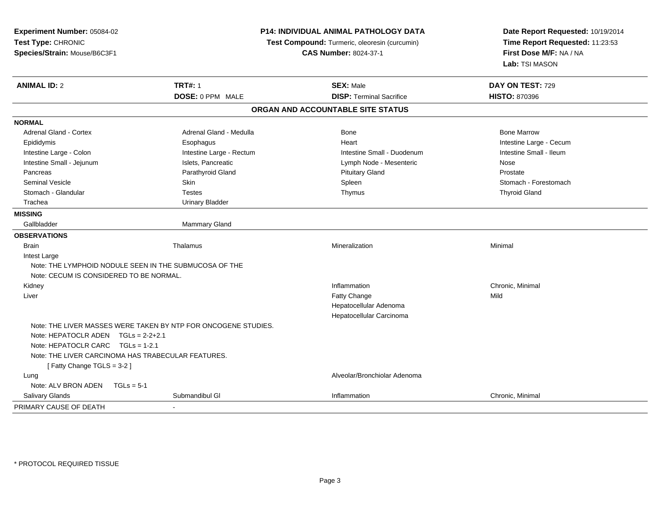| Experiment Number: 05084-02<br>Test Type: CHRONIC<br>Species/Strain: Mouse/B6C3F1 |                                                                | <b>P14: INDIVIDUAL ANIMAL PATHOLOGY DATA</b><br>Test Compound: Turmeric, oleoresin (curcumin)<br><b>CAS Number: 8024-37-1</b> | Date Report Requested: 10/19/2014<br>Time Report Requested: 11:23:53<br>First Dose M/F: NA / NA<br>Lab: TSI MASON |  |
|-----------------------------------------------------------------------------------|----------------------------------------------------------------|-------------------------------------------------------------------------------------------------------------------------------|-------------------------------------------------------------------------------------------------------------------|--|
| <b>ANIMAL ID: 2</b>                                                               | <b>TRT#: 1</b>                                                 | <b>SEX: Male</b>                                                                                                              | DAY ON TEST: 729                                                                                                  |  |
|                                                                                   | DOSE: 0 PPM MALE                                               | <b>DISP: Terminal Sacrifice</b>                                                                                               | <b>HISTO: 870396</b>                                                                                              |  |
|                                                                                   |                                                                | ORGAN AND ACCOUNTABLE SITE STATUS                                                                                             |                                                                                                                   |  |
| <b>NORMAL</b>                                                                     |                                                                |                                                                                                                               |                                                                                                                   |  |
| Adrenal Gland - Cortex                                                            | Adrenal Gland - Medulla                                        | Bone                                                                                                                          | <b>Bone Marrow</b>                                                                                                |  |
| Epididymis                                                                        | Esophagus                                                      | Heart                                                                                                                         | Intestine Large - Cecum                                                                                           |  |
| Intestine Large - Colon                                                           | Intestine Large - Rectum                                       | Intestine Small - Duodenum                                                                                                    | Intestine Small - Ileum                                                                                           |  |
| Intestine Small - Jejunum                                                         | Islets, Pancreatic                                             | Lymph Node - Mesenteric                                                                                                       | Nose                                                                                                              |  |
| Pancreas                                                                          | Parathyroid Gland                                              | <b>Pituitary Gland</b>                                                                                                        | Prostate                                                                                                          |  |
| <b>Seminal Vesicle</b>                                                            | Skin                                                           | Spleen                                                                                                                        | Stomach - Forestomach                                                                                             |  |
| Stomach - Glandular                                                               | <b>Testes</b>                                                  | Thymus                                                                                                                        | <b>Thyroid Gland</b>                                                                                              |  |
| Trachea                                                                           | <b>Urinary Bladder</b>                                         |                                                                                                                               |                                                                                                                   |  |
| <b>MISSING</b>                                                                    |                                                                |                                                                                                                               |                                                                                                                   |  |
| Gallbladder                                                                       | Mammary Gland                                                  |                                                                                                                               |                                                                                                                   |  |
| <b>OBSERVATIONS</b>                                                               |                                                                |                                                                                                                               |                                                                                                                   |  |
| <b>Brain</b>                                                                      | Thalamus                                                       | Mineralization                                                                                                                | Minimal                                                                                                           |  |
| Intest Large                                                                      |                                                                |                                                                                                                               |                                                                                                                   |  |
| Note: THE LYMPHOID NODULE SEEN IN THE SUBMUCOSA OF THE                            |                                                                |                                                                                                                               |                                                                                                                   |  |
| Note: CECUM IS CONSIDERED TO BE NORMAL.                                           |                                                                |                                                                                                                               |                                                                                                                   |  |
| Kidney                                                                            |                                                                | Inflammation                                                                                                                  | Chronic, Minimal                                                                                                  |  |
| Liver                                                                             |                                                                | <b>Fatty Change</b>                                                                                                           | Mild                                                                                                              |  |
|                                                                                   |                                                                | Hepatocellular Adenoma                                                                                                        |                                                                                                                   |  |
|                                                                                   |                                                                | Hepatocellular Carcinoma                                                                                                      |                                                                                                                   |  |
| Note: HEPATOCLR ADEN TGLs = 2-2+2.1                                               | Note: THE LIVER MASSES WERE TAKEN BY NTP FOR ONCOGENE STUDIES. |                                                                                                                               |                                                                                                                   |  |
| Note: HEPATOCLR CARC $TGLs = 1-2.1$                                               |                                                                |                                                                                                                               |                                                                                                                   |  |
| Note: THE LIVER CARCINOMA HAS TRABECULAR FEATURES.                                |                                                                |                                                                                                                               |                                                                                                                   |  |
| [Fatty Change TGLS = 3-2]                                                         |                                                                |                                                                                                                               |                                                                                                                   |  |
| Lung                                                                              |                                                                | Alveolar/Bronchiolar Adenoma                                                                                                  |                                                                                                                   |  |
| Note: ALV BRON ADEN<br>$TGLs = 5-1$                                               |                                                                |                                                                                                                               |                                                                                                                   |  |
| Salivary Glands                                                                   | Submandibul GI                                                 | Inflammation                                                                                                                  | Chronic, Minimal                                                                                                  |  |
| PRIMARY CAUSE OF DEATH                                                            |                                                                |                                                                                                                               |                                                                                                                   |  |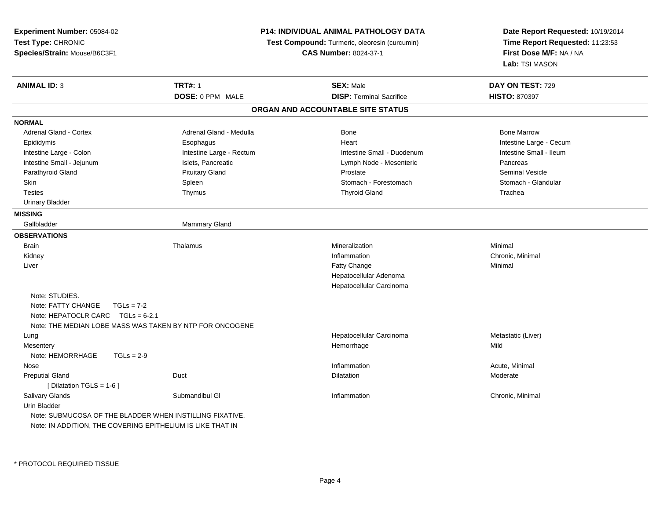| Experiment Number: 05084-02                                |                          | P14: INDIVIDUAL ANIMAL PATHOLOGY DATA         | Date Report Requested: 10/19/2014<br>Time Report Requested: 11:23:53<br>First Dose M/F: NA / NA<br>Lab: TSI MASON |  |
|------------------------------------------------------------|--------------------------|-----------------------------------------------|-------------------------------------------------------------------------------------------------------------------|--|
| Test Type: CHRONIC                                         |                          | Test Compound: Turmeric, oleoresin (curcumin) |                                                                                                                   |  |
| Species/Strain: Mouse/B6C3F1                               |                          | <b>CAS Number: 8024-37-1</b>                  |                                                                                                                   |  |
|                                                            |                          |                                               |                                                                                                                   |  |
| <b>ANIMAL ID: 3</b>                                        | <b>TRT#: 1</b>           | <b>SEX: Male</b>                              | DAY ON TEST: 729                                                                                                  |  |
|                                                            | DOSE: 0 PPM MALE         | <b>DISP: Terminal Sacrifice</b>               | <b>HISTO: 870397</b>                                                                                              |  |
|                                                            |                          | ORGAN AND ACCOUNTABLE SITE STATUS             |                                                                                                                   |  |
| <b>NORMAL</b>                                              |                          |                                               |                                                                                                                   |  |
| <b>Adrenal Gland - Cortex</b>                              | Adrenal Gland - Medulla  | Bone                                          | <b>Bone Marrow</b>                                                                                                |  |
| Epididymis                                                 | Esophagus                | Heart                                         | Intestine Large - Cecum                                                                                           |  |
| Intestine Large - Colon                                    | Intestine Large - Rectum | Intestine Small - Duodenum                    | Intestine Small - Ileum                                                                                           |  |
| Intestine Small - Jejunum                                  | Islets, Pancreatic       | Lymph Node - Mesenteric                       | Pancreas                                                                                                          |  |
| Parathyroid Gland                                          | <b>Pituitary Gland</b>   | Prostate                                      | <b>Seminal Vesicle</b>                                                                                            |  |
| Skin                                                       | Spleen                   | Stomach - Forestomach                         | Stomach - Glandular                                                                                               |  |
| <b>Testes</b>                                              | Thymus                   | <b>Thyroid Gland</b>                          | Trachea                                                                                                           |  |
| <b>Urinary Bladder</b>                                     |                          |                                               |                                                                                                                   |  |
|                                                            |                          |                                               |                                                                                                                   |  |
| <b>MISSING</b>                                             |                          |                                               |                                                                                                                   |  |
| Gallbladder                                                | <b>Mammary Gland</b>     |                                               |                                                                                                                   |  |
| <b>OBSERVATIONS</b>                                        |                          |                                               |                                                                                                                   |  |
| Brain                                                      | Thalamus                 | Mineralization                                | Minimal                                                                                                           |  |
| Kidney                                                     |                          | Inflammation                                  | Chronic, Minimal                                                                                                  |  |
| Liver                                                      |                          | Fatty Change                                  | Minimal                                                                                                           |  |
|                                                            |                          | Hepatocellular Adenoma                        |                                                                                                                   |  |
|                                                            |                          | Hepatocellular Carcinoma                      |                                                                                                                   |  |
| Note: STUDIES.                                             |                          |                                               |                                                                                                                   |  |
| Note: FATTY CHANGE<br>$TGLs = 7-2$                         |                          |                                               |                                                                                                                   |  |
| Note: HEPATOCLR CARC $TGLs = 6-2.1$                        |                          |                                               |                                                                                                                   |  |
| Note: THE MEDIAN LOBE MASS WAS TAKEN BY NTP FOR ONCOGENE   |                          |                                               |                                                                                                                   |  |
| Lung                                                       |                          | Hepatocellular Carcinoma                      | Metastatic (Liver)                                                                                                |  |
| Mesentery                                                  |                          | Hemorrhage                                    | Mild                                                                                                              |  |
| Note: HEMORRHAGE<br>$TGLs = 2-9$                           |                          |                                               |                                                                                                                   |  |
| Nose                                                       |                          | Inflammation                                  | Acute, Minimal                                                                                                    |  |
| <b>Preputial Gland</b>                                     | Duct                     | <b>Dilatation</b>                             | Moderate                                                                                                          |  |
| [ Dilatation TGLS = 1-6 ]                                  |                          |                                               |                                                                                                                   |  |
| Salivary Glands                                            | Submandibul GI           | Inflammation                                  | Chronic, Minimal                                                                                                  |  |
| Urin Bladder                                               |                          |                                               |                                                                                                                   |  |
| Note: SUBMUCOSA OF THE BLADDER WHEN INSTILLING FIXATIVE.   |                          |                                               |                                                                                                                   |  |
| Note: IN ADDITION, THE COVERING EPITHELIUM IS LIKE THAT IN |                          |                                               |                                                                                                                   |  |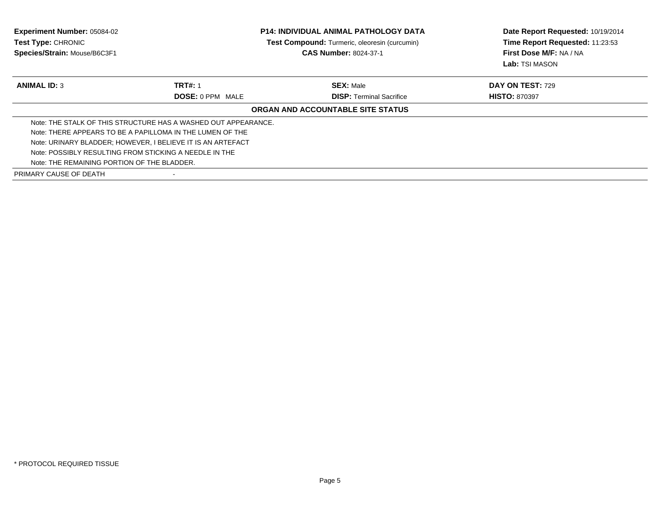| <b>Experiment Number: 05084-02</b><br>Test Type: CHRONIC<br>Species/Strain: Mouse/B6C3F1 | <b>P14: INDIVIDUAL ANIMAL PATHOLOGY DATA</b><br>Test Compound: Turmeric, oleoresin (curcumin)<br><b>CAS Number: 8024-37-1</b> |                                   | Lab: TSI MASON          |  | Date Report Requested: 10/19/2014<br>Time Report Requested: 11:23:53<br>First Dose M/F: NA / NA |
|------------------------------------------------------------------------------------------|-------------------------------------------------------------------------------------------------------------------------------|-----------------------------------|-------------------------|--|-------------------------------------------------------------------------------------------------|
| <b>ANIMAL ID: 3</b>                                                                      | <b>TRT#: 1</b>                                                                                                                | <b>SEX: Male</b>                  | <b>DAY ON TEST: 729</b> |  |                                                                                                 |
|                                                                                          | <b>DOSE: 0 PPM MALE</b>                                                                                                       | <b>DISP:</b> Terminal Sacrifice   | <b>HISTO: 870397</b>    |  |                                                                                                 |
|                                                                                          |                                                                                                                               | ORGAN AND ACCOUNTABLE SITE STATUS |                         |  |                                                                                                 |
|                                                                                          | Note: THE STALK OF THIS STRUCTURE HAS A WASHED OUT APPEARANCE.                                                                |                                   |                         |  |                                                                                                 |
| Note: THERE APPEARS TO BE A PAPILLOMA IN THE LUMEN OF THE                                |                                                                                                                               |                                   |                         |  |                                                                                                 |
| Note: URINARY BLADDER; HOWEVER, I BELIEVE IT IS AN ARTEFACT                              |                                                                                                                               |                                   |                         |  |                                                                                                 |
| Note: POSSIBLY RESULTING FROM STICKING A NEEDLE IN THE                                   |                                                                                                                               |                                   |                         |  |                                                                                                 |
| Note: THE REMAINING PORTION OF THE BLADDER.                                              |                                                                                                                               |                                   |                         |  |                                                                                                 |
| PRIMARY CAUSE OF DEATH                                                                   |                                                                                                                               |                                   |                         |  |                                                                                                 |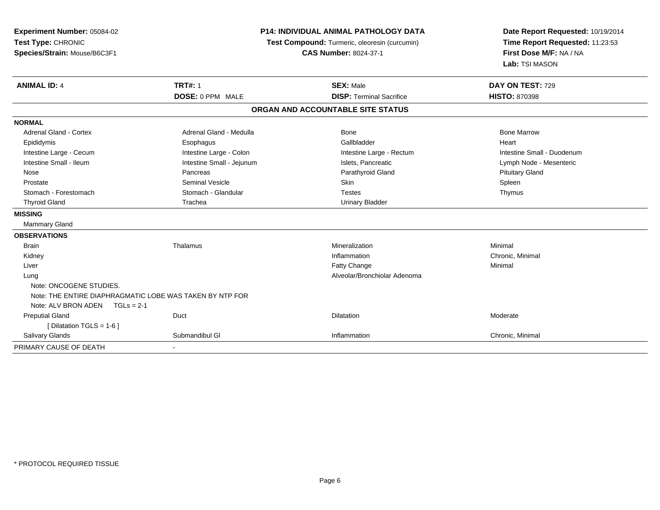| Experiment Number: 05084-02<br>Test Type: CHRONIC<br>Species/Strain: Mouse/B6C3F1 |                           | P14: INDIVIDUAL ANIMAL PATHOLOGY DATA<br>Test Compound: Turmeric, oleoresin (curcumin)<br><b>CAS Number: 8024-37-1</b> | Date Report Requested: 10/19/2014<br>Time Report Requested: 11:23:53<br>First Dose M/F: NA / NA<br>Lab: TSI MASON |  |
|-----------------------------------------------------------------------------------|---------------------------|------------------------------------------------------------------------------------------------------------------------|-------------------------------------------------------------------------------------------------------------------|--|
| <b>ANIMAL ID: 4</b>                                                               | <b>TRT#: 1</b>            | <b>SEX: Male</b>                                                                                                       | DAY ON TEST: 729                                                                                                  |  |
|                                                                                   | DOSE: 0 PPM MALE          | <b>DISP: Terminal Sacrifice</b>                                                                                        | <b>HISTO: 870398</b>                                                                                              |  |
|                                                                                   |                           | ORGAN AND ACCOUNTABLE SITE STATUS                                                                                      |                                                                                                                   |  |
| <b>NORMAL</b>                                                                     |                           |                                                                                                                        |                                                                                                                   |  |
| Adrenal Gland - Cortex                                                            | Adrenal Gland - Medulla   | <b>Bone</b>                                                                                                            | <b>Bone Marrow</b>                                                                                                |  |
| Epididymis                                                                        | Esophagus                 | Gallbladder                                                                                                            | Heart                                                                                                             |  |
| Intestine Large - Cecum                                                           | Intestine Large - Colon   | Intestine Large - Rectum                                                                                               | Intestine Small - Duodenum                                                                                        |  |
| Intestine Small - Ileum                                                           | Intestine Small - Jejunum | Islets, Pancreatic                                                                                                     | Lymph Node - Mesenteric                                                                                           |  |
| Nose                                                                              | Pancreas                  | Parathyroid Gland                                                                                                      | <b>Pituitary Gland</b>                                                                                            |  |
| Prostate                                                                          | Seminal Vesicle           | Skin                                                                                                                   | Spleen                                                                                                            |  |
| Stomach - Forestomach                                                             | Stomach - Glandular       | <b>Testes</b>                                                                                                          | Thymus                                                                                                            |  |
| <b>Thyroid Gland</b>                                                              | Trachea                   | <b>Urinary Bladder</b>                                                                                                 |                                                                                                                   |  |
| <b>MISSING</b>                                                                    |                           |                                                                                                                        |                                                                                                                   |  |
| Mammary Gland                                                                     |                           |                                                                                                                        |                                                                                                                   |  |
| <b>OBSERVATIONS</b>                                                               |                           |                                                                                                                        |                                                                                                                   |  |
| <b>Brain</b>                                                                      | Thalamus                  | Mineralization                                                                                                         | Minimal                                                                                                           |  |
| Kidney                                                                            |                           | Inflammation                                                                                                           | Chronic, Minimal                                                                                                  |  |
| Liver                                                                             |                           | Fatty Change                                                                                                           | Minimal                                                                                                           |  |
| Lung                                                                              |                           | Alveolar/Bronchiolar Adenoma                                                                                           |                                                                                                                   |  |
| Note: ONCOGENE STUDIES.                                                           |                           |                                                                                                                        |                                                                                                                   |  |
| Note: THE ENTIRE DIAPHRAGMATIC LOBE WAS TAKEN BY NTP FOR                          |                           |                                                                                                                        |                                                                                                                   |  |
| Note: ALV BRON ADEN TGLs = 2-1                                                    |                           |                                                                                                                        |                                                                                                                   |  |
| <b>Preputial Gland</b>                                                            | Duct                      | Dilatation                                                                                                             | Moderate                                                                                                          |  |
| [ Dilatation TGLS = $1-6$ ]                                                       |                           |                                                                                                                        |                                                                                                                   |  |
| Salivary Glands                                                                   | Submandibul GI            | Inflammation                                                                                                           | Chronic, Minimal                                                                                                  |  |
| PRIMARY CAUSE OF DEATH                                                            |                           |                                                                                                                        |                                                                                                                   |  |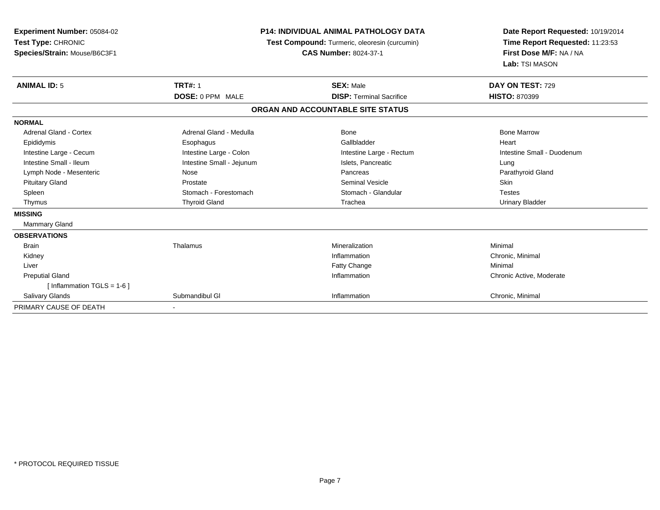| <b>Experiment Number: 05084-02</b><br>Test Type: CHRONIC<br>Species/Strain: Mouse/B6C3F1 | <b>P14: INDIVIDUAL ANIMAL PATHOLOGY DATA</b><br><b>Test Compound:</b> Turmeric, oleoresin (curcumin)<br><b>CAS Number: 8024-37-1</b> |                                   | Date Report Requested: 10/19/2014<br>Time Report Requested: 11:23:53<br>First Dose M/F: NA / NA<br>Lab: TSI MASON |  |
|------------------------------------------------------------------------------------------|--------------------------------------------------------------------------------------------------------------------------------------|-----------------------------------|-------------------------------------------------------------------------------------------------------------------|--|
| <b>ANIMAL ID: 5</b>                                                                      | <b>TRT#: 1</b>                                                                                                                       | <b>SEX: Male</b>                  | DAY ON TEST: 729                                                                                                  |  |
|                                                                                          | DOSE: 0 PPM MALE                                                                                                                     | <b>DISP: Terminal Sacrifice</b>   | <b>HISTO: 870399</b>                                                                                              |  |
|                                                                                          |                                                                                                                                      | ORGAN AND ACCOUNTABLE SITE STATUS |                                                                                                                   |  |
| <b>NORMAL</b>                                                                            |                                                                                                                                      |                                   |                                                                                                                   |  |
| <b>Adrenal Gland - Cortex</b>                                                            | Adrenal Gland - Medulla                                                                                                              | Bone                              | <b>Bone Marrow</b>                                                                                                |  |
| Epididymis                                                                               | Esophagus                                                                                                                            | Gallbladder                       | Heart                                                                                                             |  |
| Intestine Large - Cecum                                                                  | Intestine Large - Colon                                                                                                              | Intestine Large - Rectum          | Intestine Small - Duodenum                                                                                        |  |
| Intestine Small - Ileum                                                                  | Intestine Small - Jejunum                                                                                                            | Islets, Pancreatic                | Lung                                                                                                              |  |
| Lymph Node - Mesenteric                                                                  | Nose                                                                                                                                 | Pancreas                          | Parathyroid Gland                                                                                                 |  |
| <b>Pituitary Gland</b>                                                                   | Prostate                                                                                                                             | <b>Seminal Vesicle</b>            | Skin                                                                                                              |  |
| Spleen                                                                                   | Stomach - Forestomach                                                                                                                | Stomach - Glandular               | <b>Testes</b>                                                                                                     |  |
| Thymus                                                                                   | <b>Thyroid Gland</b>                                                                                                                 | Trachea                           | <b>Urinary Bladder</b>                                                                                            |  |
| <b>MISSING</b>                                                                           |                                                                                                                                      |                                   |                                                                                                                   |  |
| Mammary Gland                                                                            |                                                                                                                                      |                                   |                                                                                                                   |  |
| <b>OBSERVATIONS</b>                                                                      |                                                                                                                                      |                                   |                                                                                                                   |  |
| <b>Brain</b>                                                                             | Thalamus                                                                                                                             | Mineralization                    | Minimal                                                                                                           |  |
| Kidney                                                                                   |                                                                                                                                      | Inflammation                      | Chronic, Minimal                                                                                                  |  |
| Liver                                                                                    |                                                                                                                                      | Fatty Change                      | Minimal                                                                                                           |  |
| <b>Preputial Gland</b>                                                                   |                                                                                                                                      | Inflammation                      | Chronic Active, Moderate                                                                                          |  |
| [ Inflammation TGLS = $1-6$ ]                                                            |                                                                                                                                      |                                   |                                                                                                                   |  |
| <b>Salivary Glands</b>                                                                   | Submandibul GI                                                                                                                       | Inflammation                      | Chronic, Minimal                                                                                                  |  |
| PRIMARY CAUSE OF DEATH                                                                   | $\overline{\phantom{a}}$                                                                                                             |                                   |                                                                                                                   |  |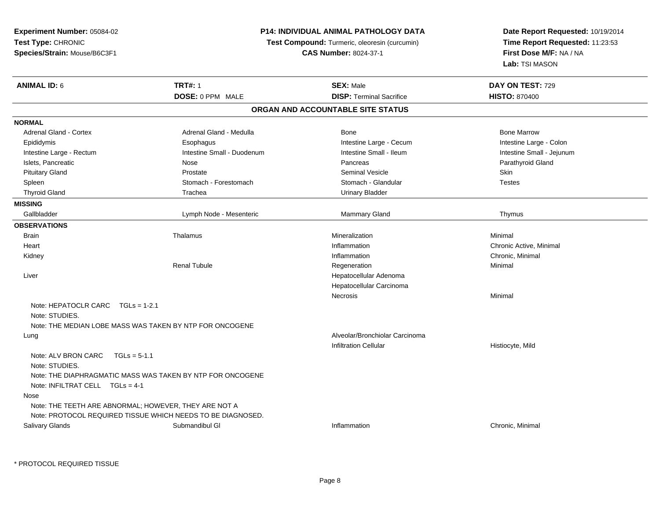| Experiment Number: 05084-02<br>Test Type: CHRONIC   |                                                                                                                      | P14: INDIVIDUAL ANIMAL PATHOLOGY DATA<br>Test Compound: Turmeric, oleoresin (curcumin) | Date Report Requested: 10/19/2014<br>Time Report Requested: 11:23:53<br>First Dose M/F: NA / NA<br>Lab: TSI MASON |  |
|-----------------------------------------------------|----------------------------------------------------------------------------------------------------------------------|----------------------------------------------------------------------------------------|-------------------------------------------------------------------------------------------------------------------|--|
| Species/Strain: Mouse/B6C3F1                        |                                                                                                                      | <b>CAS Number: 8024-37-1</b>                                                           |                                                                                                                   |  |
| <b>ANIMAL ID: 6</b>                                 | <b>TRT#: 1</b>                                                                                                       | <b>SEX: Male</b>                                                                       | DAY ON TEST: 729                                                                                                  |  |
|                                                     | DOSE: 0 PPM MALE                                                                                                     | <b>DISP: Terminal Sacrifice</b>                                                        | <b>HISTO: 870400</b>                                                                                              |  |
|                                                     |                                                                                                                      | ORGAN AND ACCOUNTABLE SITE STATUS                                                      |                                                                                                                   |  |
| <b>NORMAL</b>                                       |                                                                                                                      |                                                                                        |                                                                                                                   |  |
| Adrenal Gland - Cortex                              | Adrenal Gland - Medulla                                                                                              | Bone                                                                                   | <b>Bone Marrow</b>                                                                                                |  |
| Epididymis                                          | Esophagus                                                                                                            | Intestine Large - Cecum                                                                | Intestine Large - Colon                                                                                           |  |
| Intestine Large - Rectum                            | Intestine Small - Duodenum                                                                                           | Intestine Small - Ileum                                                                | Intestine Small - Jejunum                                                                                         |  |
| Islets, Pancreatic                                  | Nose                                                                                                                 | Pancreas                                                                               | Parathyroid Gland                                                                                                 |  |
| <b>Pituitary Gland</b>                              | Prostate                                                                                                             | <b>Seminal Vesicle</b>                                                                 | Skin                                                                                                              |  |
| Spleen                                              | Stomach - Forestomach                                                                                                | Stomach - Glandular                                                                    | <b>Testes</b>                                                                                                     |  |
| <b>Thyroid Gland</b>                                | Trachea                                                                                                              | <b>Urinary Bladder</b>                                                                 |                                                                                                                   |  |
| <b>MISSING</b>                                      |                                                                                                                      |                                                                                        |                                                                                                                   |  |
| Gallbladder                                         | Lymph Node - Mesenteric                                                                                              | Mammary Gland                                                                          | Thymus                                                                                                            |  |
| <b>OBSERVATIONS</b>                                 |                                                                                                                      |                                                                                        |                                                                                                                   |  |
| <b>Brain</b>                                        | Thalamus                                                                                                             | Mineralization                                                                         | Minimal                                                                                                           |  |
| Heart                                               |                                                                                                                      | Inflammation                                                                           | Chronic Active, Minimal                                                                                           |  |
| Kidney                                              |                                                                                                                      | Inflammation                                                                           | Chronic, Minimal                                                                                                  |  |
|                                                     | <b>Renal Tubule</b>                                                                                                  | Regeneration                                                                           | Minimal                                                                                                           |  |
| Liver                                               |                                                                                                                      | Hepatocellular Adenoma                                                                 |                                                                                                                   |  |
|                                                     |                                                                                                                      | Hepatocellular Carcinoma                                                               |                                                                                                                   |  |
|                                                     |                                                                                                                      | <b>Necrosis</b>                                                                        | Minimal                                                                                                           |  |
| Note: HEPATOCLR CARC TGLs = 1-2.1<br>Note: STUDIES. |                                                                                                                      |                                                                                        |                                                                                                                   |  |
|                                                     | Note: THE MEDIAN LOBE MASS WAS TAKEN BY NTP FOR ONCOGENE                                                             |                                                                                        |                                                                                                                   |  |
| Lung                                                |                                                                                                                      | Alveolar/Bronchiolar Carcinoma                                                         |                                                                                                                   |  |
|                                                     |                                                                                                                      | <b>Infiltration Cellular</b>                                                           | Histiocyte, Mild                                                                                                  |  |
| Note: ALV BRON CARC<br>Note: STUDIES.               | $TGLs = 5-1.1$                                                                                                       |                                                                                        |                                                                                                                   |  |
| Note: INFILTRAT CELL $TGLs = 4-1$                   | Note: THE DIAPHRAGMATIC MASS WAS TAKEN BY NTP FOR ONCOGENE                                                           |                                                                                        |                                                                                                                   |  |
| Nose                                                |                                                                                                                      |                                                                                        |                                                                                                                   |  |
|                                                     | Note: THE TEETH ARE ABNORMAL; HOWEVER, THEY ARE NOT A<br>Note: PROTOCOL REQUIRED TISSUE WHICH NEEDS TO BE DIAGNOSED. |                                                                                        |                                                                                                                   |  |
| Salivary Glands                                     | Submandibul GI                                                                                                       | Inflammation                                                                           | Chronic, Minimal                                                                                                  |  |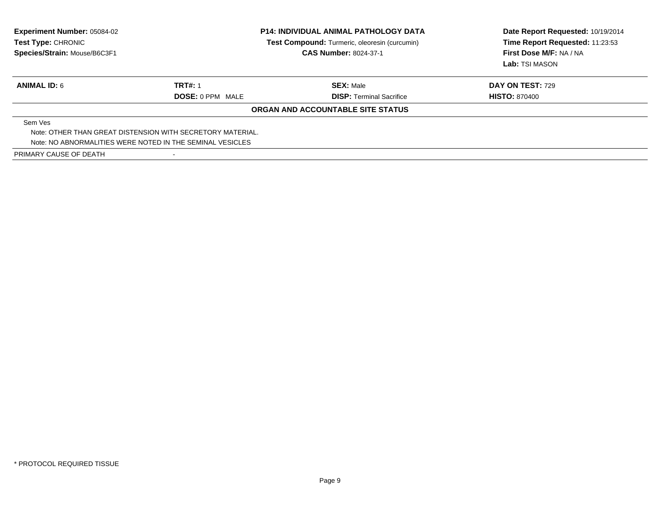| <b>Experiment Number: 05084-02</b><br>Test Type: CHRONIC<br>Species/Strain: Mouse/B6C3F1 | <b>P14: INDIVIDUAL ANIMAL PATHOLOGY DATA</b><br>Test Compound: Turmeric, oleoresin (curcumin)<br><b>CAS Number: 8024-37-1</b> |                                   | Date Report Requested: 10/19/2014<br>Time Report Requested: 11:23:53<br>First Dose M/F: NA / NA<br>Lab: TSI MASON |
|------------------------------------------------------------------------------------------|-------------------------------------------------------------------------------------------------------------------------------|-----------------------------------|-------------------------------------------------------------------------------------------------------------------|
| <b>ANIMAL ID: 6</b>                                                                      | <b>TRT#: 1</b>                                                                                                                | <b>SEX:</b> Male                  | <b>DAY ON TEST: 729</b>                                                                                           |
|                                                                                          | <b>DOSE: 0 PPM MALE</b>                                                                                                       | <b>DISP:</b> Terminal Sacrifice   | <b>HISTO: 870400</b>                                                                                              |
|                                                                                          |                                                                                                                               | ORGAN AND ACCOUNTABLE SITE STATUS |                                                                                                                   |
| Sem Ves                                                                                  |                                                                                                                               |                                   |                                                                                                                   |
| Note: OTHER THAN GREAT DISTENSION WITH SECRETORY MATERIAL.                               |                                                                                                                               |                                   |                                                                                                                   |
| Note: NO ABNORMALITIES WERE NOTED IN THE SEMINAL VESICLES                                |                                                                                                                               |                                   |                                                                                                                   |
| PRIMARY CAUSE OF DEATH                                                                   |                                                                                                                               |                                   |                                                                                                                   |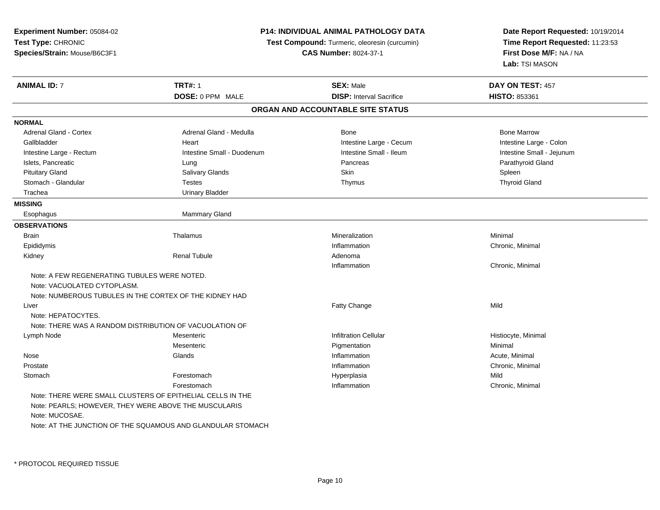| Time Report Requested: 11:23:53<br>Test Compound: Turmeric, oleoresin (curcumin)<br>First Dose M/F: NA / NA<br><b>CAS Number: 8024-37-1</b><br>Lab: TSI MASON<br><b>TRT#: 1</b><br><b>SEX: Male</b><br>DAY ON TEST: 457<br>DOSE: 0 PPM MALE<br><b>DISP: Interval Sacrifice</b><br>HISTO: 853361<br>ORGAN AND ACCOUNTABLE SITE STATUS<br><b>Bone Marrow</b><br>Adrenal Gland - Cortex<br>Adrenal Gland - Medulla<br>Bone<br>Gallbladder<br>Intestine Large - Cecum<br>Intestine Large - Colon<br>Heart<br>Intestine Small - Ileum<br>Intestine Large - Rectum<br>Intestine Small - Duodenum<br>Intestine Small - Jejunum<br>Parathyroid Gland<br>Islets, Pancreatic<br>Pancreas<br>Lung<br>Skin<br><b>Pituitary Gland</b><br>Salivary Glands<br>Spleen<br>Stomach - Glandular<br><b>Testes</b><br><b>Thyroid Gland</b><br>Thymus<br>Trachea<br><b>Urinary Bladder</b><br>Mammary Gland<br>Esophagus<br>Mineralization<br>Minimal<br><b>Brain</b><br>Thalamus<br>Epididymis<br>Inflammation<br>Chronic, Minimal<br><b>Renal Tubule</b><br>Kidney<br>Adenoma<br>Chronic, Minimal<br>Inflammation<br>Note: A FEW REGENERATING TUBULES WERE NOTED.<br>Note: VACUOLATED CYTOPLASM.<br>Note: NUMBEROUS TUBULES IN THE CORTEX OF THE KIDNEY HAD<br>Fatty Change<br>Mild<br>Liver<br>Note: HEPATOCYTES.<br>Note: THERE WAS A RANDOM DISTRIBUTION OF VACUOLATION OF<br><b>Infiltration Cellular</b><br>Lymph Node<br>Mesenteric<br>Histiocyte, Minimal<br>Mesenteric<br>Pigmentation<br>Minimal<br>Glands<br>Inflammation<br>Nose<br>Acute, Minimal<br>Prostate<br>Inflammation<br>Chronic, Minimal<br>Forestomach<br>Mild<br>Stomach<br>Hyperplasia<br>Chronic, Minimal<br>Forestomach<br>Inflammation<br>Note: THERE WERE SMALL CLUSTERS OF EPITHELIAL CELLS IN THE<br>Note: PEARLS; HOWEVER, THEY WERE ABOVE THE MUSCULARIS<br>Note: MUCOSAE.<br>Note: AT THE JUNCTION OF THE SQUAMOUS AND GLANDULAR STOMACH | Experiment Number: 05084-02  | P14: INDIVIDUAL ANIMAL PATHOLOGY DATA | Date Report Requested: 10/19/2014 |  |
|-------------------------------------------------------------------------------------------------------------------------------------------------------------------------------------------------------------------------------------------------------------------------------------------------------------------------------------------------------------------------------------------------------------------------------------------------------------------------------------------------------------------------------------------------------------------------------------------------------------------------------------------------------------------------------------------------------------------------------------------------------------------------------------------------------------------------------------------------------------------------------------------------------------------------------------------------------------------------------------------------------------------------------------------------------------------------------------------------------------------------------------------------------------------------------------------------------------------------------------------------------------------------------------------------------------------------------------------------------------------------------------------------------------------------------------------------------------------------------------------------------------------------------------------------------------------------------------------------------------------------------------------------------------------------------------------------------------------------------------------------------------------------------------------------------------------------------------------------------------------------------------------------------|------------------------------|---------------------------------------|-----------------------------------|--|
|                                                                                                                                                                                                                                                                                                                                                                                                                                                                                                                                                                                                                                                                                                                                                                                                                                                                                                                                                                                                                                                                                                                                                                                                                                                                                                                                                                                                                                                                                                                                                                                                                                                                                                                                                                                                                                                                                                       | Test Type: CHRONIC           |                                       |                                   |  |
|                                                                                                                                                                                                                                                                                                                                                                                                                                                                                                                                                                                                                                                                                                                                                                                                                                                                                                                                                                                                                                                                                                                                                                                                                                                                                                                                                                                                                                                                                                                                                                                                                                                                                                                                                                                                                                                                                                       | Species/Strain: Mouse/B6C3F1 |                                       |                                   |  |
|                                                                                                                                                                                                                                                                                                                                                                                                                                                                                                                                                                                                                                                                                                                                                                                                                                                                                                                                                                                                                                                                                                                                                                                                                                                                                                                                                                                                                                                                                                                                                                                                                                                                                                                                                                                                                                                                                                       |                              |                                       |                                   |  |
|                                                                                                                                                                                                                                                                                                                                                                                                                                                                                                                                                                                                                                                                                                                                                                                                                                                                                                                                                                                                                                                                                                                                                                                                                                                                                                                                                                                                                                                                                                                                                                                                                                                                                                                                                                                                                                                                                                       | <b>ANIMAL ID: 7</b>          |                                       |                                   |  |
|                                                                                                                                                                                                                                                                                                                                                                                                                                                                                                                                                                                                                                                                                                                                                                                                                                                                                                                                                                                                                                                                                                                                                                                                                                                                                                                                                                                                                                                                                                                                                                                                                                                                                                                                                                                                                                                                                                       |                              |                                       |                                   |  |
|                                                                                                                                                                                                                                                                                                                                                                                                                                                                                                                                                                                                                                                                                                                                                                                                                                                                                                                                                                                                                                                                                                                                                                                                                                                                                                                                                                                                                                                                                                                                                                                                                                                                                                                                                                                                                                                                                                       |                              |                                       |                                   |  |
|                                                                                                                                                                                                                                                                                                                                                                                                                                                                                                                                                                                                                                                                                                                                                                                                                                                                                                                                                                                                                                                                                                                                                                                                                                                                                                                                                                                                                                                                                                                                                                                                                                                                                                                                                                                                                                                                                                       | <b>NORMAL</b>                |                                       |                                   |  |
|                                                                                                                                                                                                                                                                                                                                                                                                                                                                                                                                                                                                                                                                                                                                                                                                                                                                                                                                                                                                                                                                                                                                                                                                                                                                                                                                                                                                                                                                                                                                                                                                                                                                                                                                                                                                                                                                                                       |                              |                                       |                                   |  |
|                                                                                                                                                                                                                                                                                                                                                                                                                                                                                                                                                                                                                                                                                                                                                                                                                                                                                                                                                                                                                                                                                                                                                                                                                                                                                                                                                                                                                                                                                                                                                                                                                                                                                                                                                                                                                                                                                                       |                              |                                       |                                   |  |
|                                                                                                                                                                                                                                                                                                                                                                                                                                                                                                                                                                                                                                                                                                                                                                                                                                                                                                                                                                                                                                                                                                                                                                                                                                                                                                                                                                                                                                                                                                                                                                                                                                                                                                                                                                                                                                                                                                       |                              |                                       |                                   |  |
|                                                                                                                                                                                                                                                                                                                                                                                                                                                                                                                                                                                                                                                                                                                                                                                                                                                                                                                                                                                                                                                                                                                                                                                                                                                                                                                                                                                                                                                                                                                                                                                                                                                                                                                                                                                                                                                                                                       |                              |                                       |                                   |  |
|                                                                                                                                                                                                                                                                                                                                                                                                                                                                                                                                                                                                                                                                                                                                                                                                                                                                                                                                                                                                                                                                                                                                                                                                                                                                                                                                                                                                                                                                                                                                                                                                                                                                                                                                                                                                                                                                                                       |                              |                                       |                                   |  |
|                                                                                                                                                                                                                                                                                                                                                                                                                                                                                                                                                                                                                                                                                                                                                                                                                                                                                                                                                                                                                                                                                                                                                                                                                                                                                                                                                                                                                                                                                                                                                                                                                                                                                                                                                                                                                                                                                                       |                              |                                       |                                   |  |
|                                                                                                                                                                                                                                                                                                                                                                                                                                                                                                                                                                                                                                                                                                                                                                                                                                                                                                                                                                                                                                                                                                                                                                                                                                                                                                                                                                                                                                                                                                                                                                                                                                                                                                                                                                                                                                                                                                       |                              |                                       |                                   |  |
|                                                                                                                                                                                                                                                                                                                                                                                                                                                                                                                                                                                                                                                                                                                                                                                                                                                                                                                                                                                                                                                                                                                                                                                                                                                                                                                                                                                                                                                                                                                                                                                                                                                                                                                                                                                                                                                                                                       | <b>MISSING</b>               |                                       |                                   |  |
|                                                                                                                                                                                                                                                                                                                                                                                                                                                                                                                                                                                                                                                                                                                                                                                                                                                                                                                                                                                                                                                                                                                                                                                                                                                                                                                                                                                                                                                                                                                                                                                                                                                                                                                                                                                                                                                                                                       |                              |                                       |                                   |  |
|                                                                                                                                                                                                                                                                                                                                                                                                                                                                                                                                                                                                                                                                                                                                                                                                                                                                                                                                                                                                                                                                                                                                                                                                                                                                                                                                                                                                                                                                                                                                                                                                                                                                                                                                                                                                                                                                                                       | <b>OBSERVATIONS</b>          |                                       |                                   |  |
|                                                                                                                                                                                                                                                                                                                                                                                                                                                                                                                                                                                                                                                                                                                                                                                                                                                                                                                                                                                                                                                                                                                                                                                                                                                                                                                                                                                                                                                                                                                                                                                                                                                                                                                                                                                                                                                                                                       |                              |                                       |                                   |  |
|                                                                                                                                                                                                                                                                                                                                                                                                                                                                                                                                                                                                                                                                                                                                                                                                                                                                                                                                                                                                                                                                                                                                                                                                                                                                                                                                                                                                                                                                                                                                                                                                                                                                                                                                                                                                                                                                                                       |                              |                                       |                                   |  |
|                                                                                                                                                                                                                                                                                                                                                                                                                                                                                                                                                                                                                                                                                                                                                                                                                                                                                                                                                                                                                                                                                                                                                                                                                                                                                                                                                                                                                                                                                                                                                                                                                                                                                                                                                                                                                                                                                                       |                              |                                       |                                   |  |
|                                                                                                                                                                                                                                                                                                                                                                                                                                                                                                                                                                                                                                                                                                                                                                                                                                                                                                                                                                                                                                                                                                                                                                                                                                                                                                                                                                                                                                                                                                                                                                                                                                                                                                                                                                                                                                                                                                       |                              |                                       |                                   |  |
|                                                                                                                                                                                                                                                                                                                                                                                                                                                                                                                                                                                                                                                                                                                                                                                                                                                                                                                                                                                                                                                                                                                                                                                                                                                                                                                                                                                                                                                                                                                                                                                                                                                                                                                                                                                                                                                                                                       |                              |                                       |                                   |  |
|                                                                                                                                                                                                                                                                                                                                                                                                                                                                                                                                                                                                                                                                                                                                                                                                                                                                                                                                                                                                                                                                                                                                                                                                                                                                                                                                                                                                                                                                                                                                                                                                                                                                                                                                                                                                                                                                                                       |                              |                                       |                                   |  |
|                                                                                                                                                                                                                                                                                                                                                                                                                                                                                                                                                                                                                                                                                                                                                                                                                                                                                                                                                                                                                                                                                                                                                                                                                                                                                                                                                                                                                                                                                                                                                                                                                                                                                                                                                                                                                                                                                                       |                              |                                       |                                   |  |
|                                                                                                                                                                                                                                                                                                                                                                                                                                                                                                                                                                                                                                                                                                                                                                                                                                                                                                                                                                                                                                                                                                                                                                                                                                                                                                                                                                                                                                                                                                                                                                                                                                                                                                                                                                                                                                                                                                       |                              |                                       |                                   |  |
|                                                                                                                                                                                                                                                                                                                                                                                                                                                                                                                                                                                                                                                                                                                                                                                                                                                                                                                                                                                                                                                                                                                                                                                                                                                                                                                                                                                                                                                                                                                                                                                                                                                                                                                                                                                                                                                                                                       |                              |                                       |                                   |  |
|                                                                                                                                                                                                                                                                                                                                                                                                                                                                                                                                                                                                                                                                                                                                                                                                                                                                                                                                                                                                                                                                                                                                                                                                                                                                                                                                                                                                                                                                                                                                                                                                                                                                                                                                                                                                                                                                                                       |                              |                                       |                                   |  |
|                                                                                                                                                                                                                                                                                                                                                                                                                                                                                                                                                                                                                                                                                                                                                                                                                                                                                                                                                                                                                                                                                                                                                                                                                                                                                                                                                                                                                                                                                                                                                                                                                                                                                                                                                                                                                                                                                                       |                              |                                       |                                   |  |
|                                                                                                                                                                                                                                                                                                                                                                                                                                                                                                                                                                                                                                                                                                                                                                                                                                                                                                                                                                                                                                                                                                                                                                                                                                                                                                                                                                                                                                                                                                                                                                                                                                                                                                                                                                                                                                                                                                       |                              |                                       |                                   |  |
|                                                                                                                                                                                                                                                                                                                                                                                                                                                                                                                                                                                                                                                                                                                                                                                                                                                                                                                                                                                                                                                                                                                                                                                                                                                                                                                                                                                                                                                                                                                                                                                                                                                                                                                                                                                                                                                                                                       |                              |                                       |                                   |  |
|                                                                                                                                                                                                                                                                                                                                                                                                                                                                                                                                                                                                                                                                                                                                                                                                                                                                                                                                                                                                                                                                                                                                                                                                                                                                                                                                                                                                                                                                                                                                                                                                                                                                                                                                                                                                                                                                                                       |                              |                                       |                                   |  |
|                                                                                                                                                                                                                                                                                                                                                                                                                                                                                                                                                                                                                                                                                                                                                                                                                                                                                                                                                                                                                                                                                                                                                                                                                                                                                                                                                                                                                                                                                                                                                                                                                                                                                                                                                                                                                                                                                                       |                              |                                       |                                   |  |
|                                                                                                                                                                                                                                                                                                                                                                                                                                                                                                                                                                                                                                                                                                                                                                                                                                                                                                                                                                                                                                                                                                                                                                                                                                                                                                                                                                                                                                                                                                                                                                                                                                                                                                                                                                                                                                                                                                       |                              |                                       |                                   |  |
|                                                                                                                                                                                                                                                                                                                                                                                                                                                                                                                                                                                                                                                                                                                                                                                                                                                                                                                                                                                                                                                                                                                                                                                                                                                                                                                                                                                                                                                                                                                                                                                                                                                                                                                                                                                                                                                                                                       |                              |                                       |                                   |  |
|                                                                                                                                                                                                                                                                                                                                                                                                                                                                                                                                                                                                                                                                                                                                                                                                                                                                                                                                                                                                                                                                                                                                                                                                                                                                                                                                                                                                                                                                                                                                                                                                                                                                                                                                                                                                                                                                                                       |                              |                                       |                                   |  |
|                                                                                                                                                                                                                                                                                                                                                                                                                                                                                                                                                                                                                                                                                                                                                                                                                                                                                                                                                                                                                                                                                                                                                                                                                                                                                                                                                                                                                                                                                                                                                                                                                                                                                                                                                                                                                                                                                                       |                              |                                       |                                   |  |
|                                                                                                                                                                                                                                                                                                                                                                                                                                                                                                                                                                                                                                                                                                                                                                                                                                                                                                                                                                                                                                                                                                                                                                                                                                                                                                                                                                                                                                                                                                                                                                                                                                                                                                                                                                                                                                                                                                       |                              |                                       |                                   |  |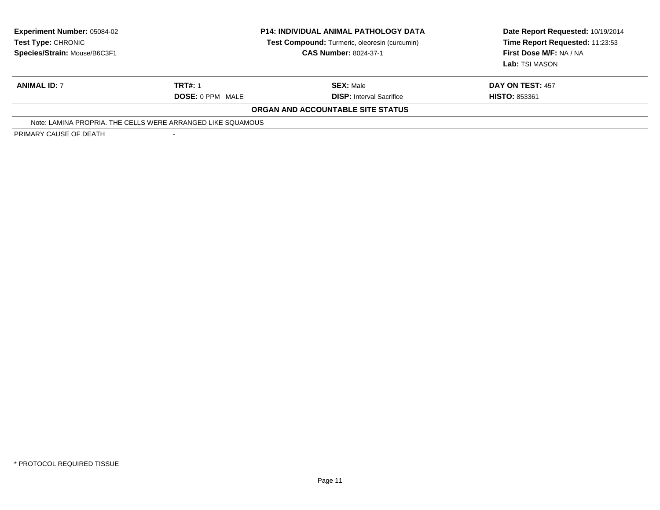| <b>Experiment Number: 05084-02</b><br>Test Type: CHRONIC<br>Species/Strain: Mouse/B6C3F1 | <b>P14: INDIVIDUAL ANIMAL PATHOLOGY DATA</b><br>Test Compound: Turmeric, oleoresin (curcumin)<br><b>CAS Number: 8024-37-1</b> |                                   | Date Report Requested: 10/19/2014<br>Time Report Requested: 11:23:53<br>First Dose M/F: NA / NA<br>Lab: TSI MASON |
|------------------------------------------------------------------------------------------|-------------------------------------------------------------------------------------------------------------------------------|-----------------------------------|-------------------------------------------------------------------------------------------------------------------|
| <b>ANIMAL ID: 7</b>                                                                      | <b>TRT#: 1</b>                                                                                                                | <b>SEX: Male</b>                  | DAY ON TEST: 457                                                                                                  |
|                                                                                          | <b>DOSE: 0 PPM MALE</b>                                                                                                       | <b>DISP:</b> Interval Sacrifice   | <b>HISTO: 853361</b>                                                                                              |
|                                                                                          |                                                                                                                               | ORGAN AND ACCOUNTABLE SITE STATUS |                                                                                                                   |
|                                                                                          | Note: LAMINA PROPRIA. THE CELLS WERE ARRANGED LIKE SQUAMOUS                                                                   |                                   |                                                                                                                   |
| PRIMARY CAUSE OF DEATH                                                                   |                                                                                                                               |                                   |                                                                                                                   |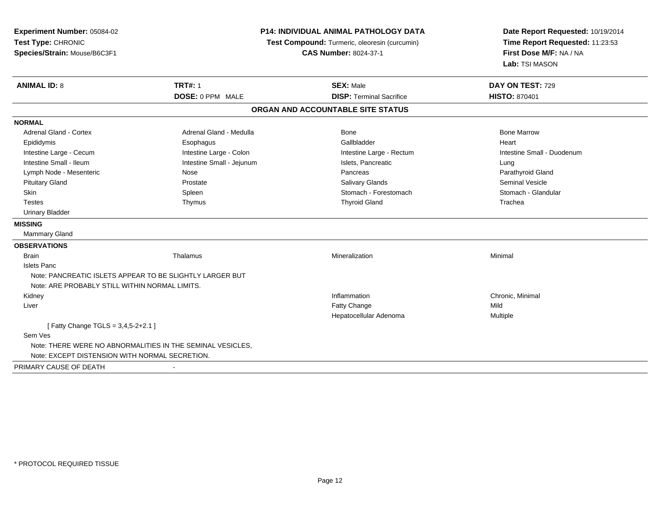| Experiment Number: 05084-02<br>Test Type: CHRONIC<br>Species/Strain: Mouse/B6C3F1                            |                           | <b>P14: INDIVIDUAL ANIMAL PATHOLOGY DATA</b><br>Test Compound: Turmeric, oleoresin (curcumin)<br><b>CAS Number: 8024-37-1</b> | Date Report Requested: 10/19/2014<br>Time Report Requested: 11:23:53<br>First Dose M/F: NA / NA<br>Lab: TSI MASON |  |
|--------------------------------------------------------------------------------------------------------------|---------------------------|-------------------------------------------------------------------------------------------------------------------------------|-------------------------------------------------------------------------------------------------------------------|--|
| <b>ANIMAL ID: 8</b>                                                                                          | <b>TRT#: 1</b>            | <b>SEX: Male</b>                                                                                                              | DAY ON TEST: 729                                                                                                  |  |
|                                                                                                              | DOSE: 0 PPM MALE          | <b>DISP: Terminal Sacrifice</b>                                                                                               | <b>HISTO: 870401</b>                                                                                              |  |
|                                                                                                              |                           | ORGAN AND ACCOUNTABLE SITE STATUS                                                                                             |                                                                                                                   |  |
| <b>NORMAL</b>                                                                                                |                           |                                                                                                                               |                                                                                                                   |  |
| <b>Adrenal Gland - Cortex</b>                                                                                | Adrenal Gland - Medulla   | Bone                                                                                                                          | <b>Bone Marrow</b>                                                                                                |  |
| Epididymis                                                                                                   | Esophagus                 | Gallbladder                                                                                                                   | Heart                                                                                                             |  |
| Intestine Large - Cecum                                                                                      | Intestine Large - Colon   | Intestine Large - Rectum                                                                                                      | Intestine Small - Duodenum                                                                                        |  |
| Intestine Small - Ileum                                                                                      | Intestine Small - Jejunum | Islets, Pancreatic                                                                                                            | Lung                                                                                                              |  |
| Lymph Node - Mesenteric                                                                                      | Nose                      | Pancreas                                                                                                                      | Parathyroid Gland                                                                                                 |  |
| <b>Pituitary Gland</b>                                                                                       | Prostate                  | Salivary Glands                                                                                                               | <b>Seminal Vesicle</b>                                                                                            |  |
| Skin                                                                                                         | Spleen                    | Stomach - Forestomach                                                                                                         | Stomach - Glandular                                                                                               |  |
| <b>Testes</b>                                                                                                | Thymus                    | <b>Thyroid Gland</b>                                                                                                          | Trachea                                                                                                           |  |
| <b>Urinary Bladder</b>                                                                                       |                           |                                                                                                                               |                                                                                                                   |  |
| <b>MISSING</b>                                                                                               |                           |                                                                                                                               |                                                                                                                   |  |
| <b>Mammary Gland</b>                                                                                         |                           |                                                                                                                               |                                                                                                                   |  |
| <b>OBSERVATIONS</b>                                                                                          |                           |                                                                                                                               |                                                                                                                   |  |
| <b>Brain</b>                                                                                                 | Thalamus                  | Mineralization                                                                                                                | Minimal                                                                                                           |  |
| <b>Islets Panc</b>                                                                                           |                           |                                                                                                                               |                                                                                                                   |  |
| Note: PANCREATIC ISLETS APPEAR TO BE SLIGHTLY LARGER BUT                                                     |                           |                                                                                                                               |                                                                                                                   |  |
| Note: ARE PROBABLY STILL WITHIN NORMAL LIMITS.                                                               |                           |                                                                                                                               |                                                                                                                   |  |
| Kidney                                                                                                       |                           | Inflammation                                                                                                                  | Chronic, Minimal                                                                                                  |  |
| Liver                                                                                                        |                           | Fatty Change<br>Hepatocellular Adenoma                                                                                        | Mild<br>Multiple                                                                                                  |  |
| [ Fatty Change TGLS = 3,4,5-2+2.1 ]                                                                          |                           |                                                                                                                               |                                                                                                                   |  |
| Sem Ves                                                                                                      |                           |                                                                                                                               |                                                                                                                   |  |
| Note: THERE WERE NO ABNORMALITIES IN THE SEMINAL VESICLES,<br>Note: EXCEPT DISTENSION WITH NORMAL SECRETION. |                           |                                                                                                                               |                                                                                                                   |  |
| PRIMARY CAUSE OF DEATH                                                                                       |                           |                                                                                                                               |                                                                                                                   |  |
|                                                                                                              |                           |                                                                                                                               |                                                                                                                   |  |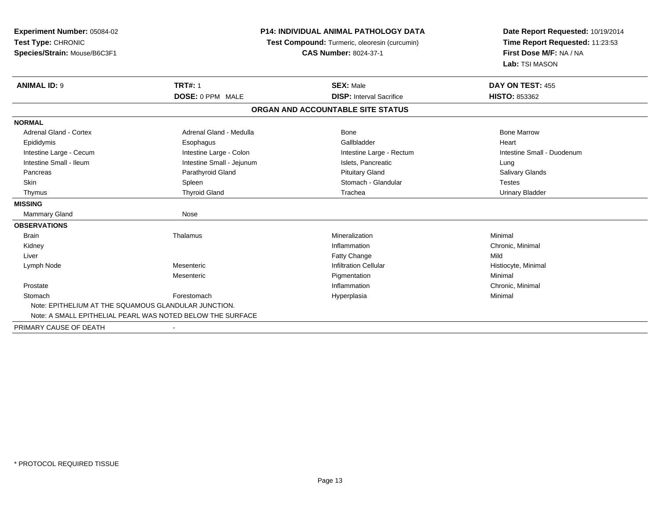| <b>P14: INDIVIDUAL ANIMAL PATHOLOGY DATA</b>               |                                 | Date Report Requested: 10/19/2014<br>Time Report Requested: 11:23:53               |
|------------------------------------------------------------|---------------------------------|------------------------------------------------------------------------------------|
|                                                            | <b>CAS Number: 8024-37-1</b>    | First Dose M/F: NA / NA                                                            |
|                                                            |                                 | Lab: TSI MASON                                                                     |
| <b>TRT#: 1</b>                                             | <b>SEX: Male</b>                | DAY ON TEST: 455                                                                   |
| DOSE: 0 PPM MALE                                           | <b>DISP:</b> Interval Sacrifice | <b>HISTO: 853362</b>                                                               |
|                                                            |                                 |                                                                                    |
|                                                            |                                 |                                                                                    |
| Adrenal Gland - Medulla                                    | Bone                            | <b>Bone Marrow</b>                                                                 |
| Esophagus                                                  | Gallbladder                     | Heart                                                                              |
| Intestine Large - Colon                                    | Intestine Large - Rectum        | Intestine Small - Duodenum                                                         |
| Intestine Small - Jejunum                                  | Islets, Pancreatic              | Lung                                                                               |
| Parathyroid Gland                                          | <b>Pituitary Gland</b>          | Salivary Glands                                                                    |
| Spleen                                                     | Stomach - Glandular             | <b>Testes</b>                                                                      |
| <b>Thyroid Gland</b>                                       | Trachea                         | <b>Urinary Bladder</b>                                                             |
|                                                            |                                 |                                                                                    |
| Nose                                                       |                                 |                                                                                    |
|                                                            |                                 |                                                                                    |
| Thalamus                                                   | Mineralization                  | Minimal                                                                            |
|                                                            | Inflammation                    | Chronic, Minimal                                                                   |
|                                                            | Fatty Change                    | Mild                                                                               |
| Mesenteric                                                 | <b>Infiltration Cellular</b>    | Histiocyte, Minimal                                                                |
| Mesenteric                                                 | Pigmentation                    | Minimal                                                                            |
|                                                            | Inflammation                    | Chronic, Minimal                                                                   |
| Forestomach                                                | Hyperplasia                     | Minimal                                                                            |
| Note: EPITHELIUM AT THE SQUAMOUS GLANDULAR JUNCTION.       |                                 |                                                                                    |
| Note: A SMALL EPITHELIAL PEARL WAS NOTED BELOW THE SURFACE |                                 |                                                                                    |
|                                                            |                                 | Test Compound: Turmeric, oleoresin (curcumin)<br>ORGAN AND ACCOUNTABLE SITE STATUS |

PRIMARY CAUSE OF DEATH-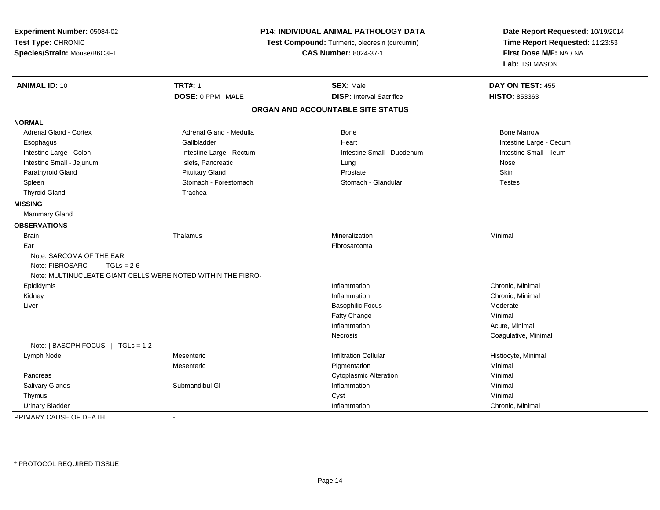| Experiment Number: 05084-02<br>Test Type: CHRONIC<br>Species/Strain: Mouse/B6C3F1 | <b>P14: INDIVIDUAL ANIMAL PATHOLOGY DATA</b><br>Test Compound: Turmeric, oleoresin (curcumin)<br><b>CAS Number: 8024-37-1</b> |                                   | Date Report Requested: 10/19/2014<br>Time Report Requested: 11:23:53<br>First Dose M/F: NA / NA<br>Lab: TSI MASON |  |
|-----------------------------------------------------------------------------------|-------------------------------------------------------------------------------------------------------------------------------|-----------------------------------|-------------------------------------------------------------------------------------------------------------------|--|
| <b>ANIMAL ID: 10</b>                                                              | <b>TRT#: 1</b>                                                                                                                | <b>SEX: Male</b>                  | DAY ON TEST: 455                                                                                                  |  |
|                                                                                   | DOSE: 0 PPM MALE                                                                                                              | <b>DISP:</b> Interval Sacrifice   | HISTO: 853363                                                                                                     |  |
|                                                                                   |                                                                                                                               | ORGAN AND ACCOUNTABLE SITE STATUS |                                                                                                                   |  |
| <b>NORMAL</b>                                                                     |                                                                                                                               |                                   |                                                                                                                   |  |
| <b>Adrenal Gland - Cortex</b>                                                     | Adrenal Gland - Medulla                                                                                                       | <b>Bone</b>                       | <b>Bone Marrow</b>                                                                                                |  |
| Esophagus                                                                         | Gallbladder                                                                                                                   | Heart                             | Intestine Large - Cecum                                                                                           |  |
| Intestine Large - Colon                                                           | Intestine Large - Rectum                                                                                                      | Intestine Small - Duodenum        | Intestine Small - Ileum                                                                                           |  |
| Intestine Small - Jejunum                                                         | Islets, Pancreatic                                                                                                            | Lung                              | <b>Nose</b>                                                                                                       |  |
| Parathyroid Gland                                                                 | <b>Pituitary Gland</b>                                                                                                        | Prostate                          | Skin                                                                                                              |  |
| Spleen                                                                            | Stomach - Forestomach                                                                                                         | Stomach - Glandular               | <b>Testes</b>                                                                                                     |  |
| <b>Thyroid Gland</b>                                                              | Trachea                                                                                                                       |                                   |                                                                                                                   |  |
| <b>MISSING</b>                                                                    |                                                                                                                               |                                   |                                                                                                                   |  |
| Mammary Gland                                                                     |                                                                                                                               |                                   |                                                                                                                   |  |
| <b>OBSERVATIONS</b>                                                               |                                                                                                                               |                                   |                                                                                                                   |  |
| <b>Brain</b>                                                                      | Thalamus                                                                                                                      | Mineralization                    | Minimal                                                                                                           |  |
| Ear                                                                               |                                                                                                                               | Fibrosarcoma                      |                                                                                                                   |  |
| Note: SARCOMA OF THE EAR.                                                         |                                                                                                                               |                                   |                                                                                                                   |  |
| Note: FIBROSARC<br>$TGLs = 2-6$                                                   |                                                                                                                               |                                   |                                                                                                                   |  |
|                                                                                   | Note: MULTINUCLEATE GIANT CELLS WERE NOTED WITHIN THE FIBRO-                                                                  |                                   |                                                                                                                   |  |
| Epididymis                                                                        |                                                                                                                               | Inflammation                      | Chronic, Minimal                                                                                                  |  |
| Kidney                                                                            |                                                                                                                               | Inflammation                      | Chronic, Minimal                                                                                                  |  |
| Liver                                                                             |                                                                                                                               | <b>Basophilic Focus</b>           | Moderate                                                                                                          |  |
|                                                                                   |                                                                                                                               | Fatty Change                      | Minimal                                                                                                           |  |
|                                                                                   |                                                                                                                               | Inflammation                      | Acute, Minimal                                                                                                    |  |
|                                                                                   |                                                                                                                               | Necrosis                          | Coagulative, Minimal                                                                                              |  |
| Note: [BASOPH FOCUS ] TGLs = 1-2                                                  |                                                                                                                               |                                   |                                                                                                                   |  |
| Lymph Node                                                                        | Mesenteric                                                                                                                    | <b>Infiltration Cellular</b>      | Histiocyte, Minimal                                                                                               |  |
|                                                                                   | Mesenteric                                                                                                                    | Pigmentation                      | Minimal                                                                                                           |  |
| Pancreas                                                                          |                                                                                                                               | <b>Cytoplasmic Alteration</b>     | Minimal                                                                                                           |  |
| Salivary Glands                                                                   | Submandibul GI                                                                                                                | Inflammation                      | Minimal                                                                                                           |  |
| Thymus                                                                            |                                                                                                                               | Cyst                              | Minimal                                                                                                           |  |
| <b>Urinary Bladder</b>                                                            |                                                                                                                               | Inflammation                      | Chronic, Minimal                                                                                                  |  |
| PRIMARY CAUSE OF DEATH                                                            |                                                                                                                               |                                   |                                                                                                                   |  |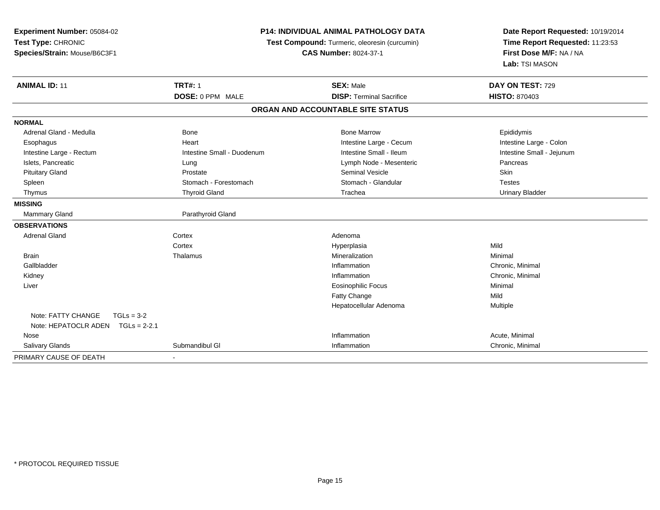| Experiment Number: 05084-02<br>Test Type: CHRONIC<br>Species/Strain: Mouse/B6C3F1 | <b>P14: INDIVIDUAL ANIMAL PATHOLOGY DATA</b><br>Test Compound: Turmeric, oleoresin (curcumin)<br><b>CAS Number: 8024-37-1</b> |                                                     | Date Report Requested: 10/19/2014<br>Time Report Requested: 11:23:53<br>First Dose M/F: NA / NA<br>Lab: TSI MASON |  |
|-----------------------------------------------------------------------------------|-------------------------------------------------------------------------------------------------------------------------------|-----------------------------------------------------|-------------------------------------------------------------------------------------------------------------------|--|
| <b>ANIMAL ID: 11</b>                                                              | <b>TRT#: 1</b><br>DOSE: 0 PPM MALE                                                                                            | <b>SEX: Male</b><br><b>DISP: Terminal Sacrifice</b> | DAY ON TEST: 729<br><b>HISTO: 870403</b>                                                                          |  |
|                                                                                   |                                                                                                                               | ORGAN AND ACCOUNTABLE SITE STATUS                   |                                                                                                                   |  |
| <b>NORMAL</b>                                                                     |                                                                                                                               |                                                     |                                                                                                                   |  |
| Adrenal Gland - Medulla                                                           | <b>Bone</b>                                                                                                                   | <b>Bone Marrow</b>                                  | Epididymis                                                                                                        |  |
| Esophagus                                                                         | Heart                                                                                                                         | Intestine Large - Cecum                             | Intestine Large - Colon                                                                                           |  |
| Intestine Large - Rectum                                                          | Intestine Small - Duodenum                                                                                                    | Intestine Small - Ileum                             | Intestine Small - Jejunum                                                                                         |  |
| Islets, Pancreatic                                                                | Lung                                                                                                                          | Lymph Node - Mesenteric                             | Pancreas                                                                                                          |  |
| <b>Pituitary Gland</b>                                                            | Prostate                                                                                                                      | <b>Seminal Vesicle</b>                              | Skin                                                                                                              |  |
| Spleen                                                                            | Stomach - Forestomach                                                                                                         | Stomach - Glandular                                 | <b>Testes</b>                                                                                                     |  |
| Thymus                                                                            | <b>Thyroid Gland</b>                                                                                                          | Trachea                                             | <b>Urinary Bladder</b>                                                                                            |  |
| <b>MISSING</b>                                                                    |                                                                                                                               |                                                     |                                                                                                                   |  |
| Mammary Gland                                                                     | Parathyroid Gland                                                                                                             |                                                     |                                                                                                                   |  |
| <b>OBSERVATIONS</b>                                                               |                                                                                                                               |                                                     |                                                                                                                   |  |
| <b>Adrenal Gland</b>                                                              | Cortex                                                                                                                        | Adenoma                                             |                                                                                                                   |  |
|                                                                                   | Cortex                                                                                                                        | Hyperplasia                                         | Mild                                                                                                              |  |
| <b>Brain</b>                                                                      | Thalamus                                                                                                                      | Mineralization                                      | Minimal                                                                                                           |  |
| Gallbladder                                                                       |                                                                                                                               | Inflammation                                        | Chronic, Minimal                                                                                                  |  |
| Kidney                                                                            |                                                                                                                               | Inflammation                                        | Chronic, Minimal                                                                                                  |  |
| Liver                                                                             |                                                                                                                               | <b>Eosinophilic Focus</b>                           | Minimal                                                                                                           |  |
|                                                                                   |                                                                                                                               | Fatty Change                                        | Mild                                                                                                              |  |
|                                                                                   |                                                                                                                               | Hepatocellular Adenoma                              | Multiple                                                                                                          |  |
| Note: FATTY CHANGE<br>$TGLs = 3-2$<br>Note: HEPATOCLR ADEN<br>$TGLs = 2-2.1$      |                                                                                                                               |                                                     |                                                                                                                   |  |
| Nose                                                                              |                                                                                                                               | Inflammation                                        | Acute, Minimal                                                                                                    |  |
| <b>Salivary Glands</b>                                                            | Submandibul GI                                                                                                                | Inflammation                                        | Chronic, Minimal                                                                                                  |  |
| PRIMARY CAUSE OF DEATH                                                            |                                                                                                                               |                                                     |                                                                                                                   |  |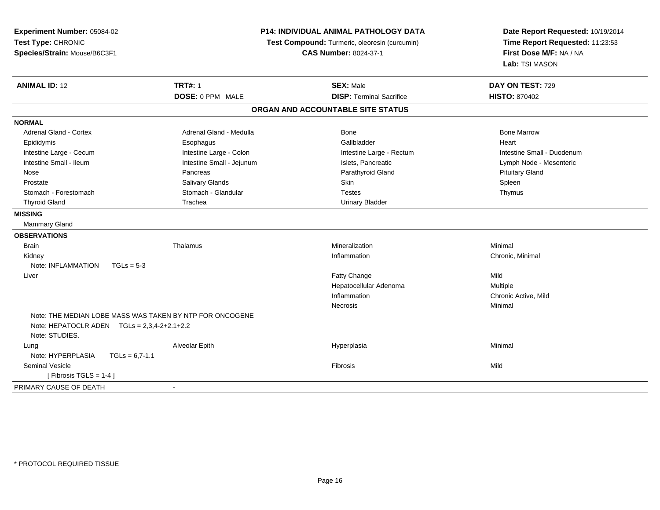| Experiment Number: 05084-02<br>Test Type: CHRONIC<br>Species/Strain: Mouse/B6C3F1 | P14: INDIVIDUAL ANIMAL PATHOLOGY DATA<br>Test Compound: Turmeric, oleoresin (curcumin)<br><b>CAS Number: 8024-37-1</b> |                                   | Date Report Requested: 10/19/2014<br>Time Report Requested: 11:23:53<br>First Dose M/F: NA / NA<br>Lab: TSI MASON |  |
|-----------------------------------------------------------------------------------|------------------------------------------------------------------------------------------------------------------------|-----------------------------------|-------------------------------------------------------------------------------------------------------------------|--|
| <b>ANIMAL ID: 12</b>                                                              | <b>TRT#: 1</b>                                                                                                         | <b>SEX: Male</b>                  | DAY ON TEST: 729                                                                                                  |  |
|                                                                                   | DOSE: 0 PPM MALE                                                                                                       | <b>DISP: Terminal Sacrifice</b>   | <b>HISTO: 870402</b>                                                                                              |  |
|                                                                                   |                                                                                                                        | ORGAN AND ACCOUNTABLE SITE STATUS |                                                                                                                   |  |
| <b>NORMAL</b>                                                                     |                                                                                                                        |                                   |                                                                                                                   |  |
| Adrenal Gland - Cortex                                                            | Adrenal Gland - Medulla                                                                                                | Bone                              | <b>Bone Marrow</b>                                                                                                |  |
| Epididymis                                                                        | Esophagus                                                                                                              | Gallbladder                       | Heart                                                                                                             |  |
| Intestine Large - Cecum                                                           | Intestine Large - Colon                                                                                                | Intestine Large - Rectum          | Intestine Small - Duodenum                                                                                        |  |
| Intestine Small - Ileum                                                           | Intestine Small - Jejunum                                                                                              | Islets, Pancreatic                | Lymph Node - Mesenteric                                                                                           |  |
| Nose                                                                              | Pancreas                                                                                                               | Parathyroid Gland                 | <b>Pituitary Gland</b>                                                                                            |  |
| Prostate                                                                          | Salivary Glands                                                                                                        | Skin                              | Spleen                                                                                                            |  |
| Stomach - Forestomach                                                             | Stomach - Glandular                                                                                                    | <b>Testes</b>                     | Thymus                                                                                                            |  |
| <b>Thyroid Gland</b>                                                              | Trachea                                                                                                                | <b>Urinary Bladder</b>            |                                                                                                                   |  |
| <b>MISSING</b>                                                                    |                                                                                                                        |                                   |                                                                                                                   |  |
| Mammary Gland                                                                     |                                                                                                                        |                                   |                                                                                                                   |  |
| <b>OBSERVATIONS</b>                                                               |                                                                                                                        |                                   |                                                                                                                   |  |
| <b>Brain</b>                                                                      | Thalamus                                                                                                               | Mineralization                    | Minimal                                                                                                           |  |
| Kidney                                                                            |                                                                                                                        | Inflammation                      | Chronic, Minimal                                                                                                  |  |
| Note: INFLAMMATION<br>$TGLs = 5-3$                                                |                                                                                                                        |                                   |                                                                                                                   |  |
| Liver                                                                             |                                                                                                                        | Fatty Change                      | Mild                                                                                                              |  |
|                                                                                   |                                                                                                                        | Hepatocellular Adenoma            | Multiple                                                                                                          |  |
|                                                                                   |                                                                                                                        | Inflammation                      | Chronic Active, Mild                                                                                              |  |
|                                                                                   |                                                                                                                        | <b>Necrosis</b>                   | Minimal                                                                                                           |  |
| Note: HEPATOCLR ADEN $TGLs = 2,3,4-2+2.1+2.2$                                     | Note: THE MEDIAN LOBE MASS WAS TAKEN BY NTP FOR ONCOGENE                                                               |                                   |                                                                                                                   |  |
| Note: STUDIES.                                                                    |                                                                                                                        |                                   | Minimal                                                                                                           |  |
| Lung<br>Note: HYPERPLASIA                                                         | Alveolar Epith                                                                                                         | Hyperplasia                       |                                                                                                                   |  |
| $TGLs = 6,7-1.1$<br><b>Seminal Vesicle</b>                                        |                                                                                                                        | <b>Fibrosis</b>                   | Mild                                                                                                              |  |
|                                                                                   |                                                                                                                        |                                   |                                                                                                                   |  |
| [Fibrosis TGLS = $1-4$ ]                                                          |                                                                                                                        |                                   |                                                                                                                   |  |
| PRIMARY CAUSE OF DEATH                                                            | $\blacksquare$                                                                                                         |                                   |                                                                                                                   |  |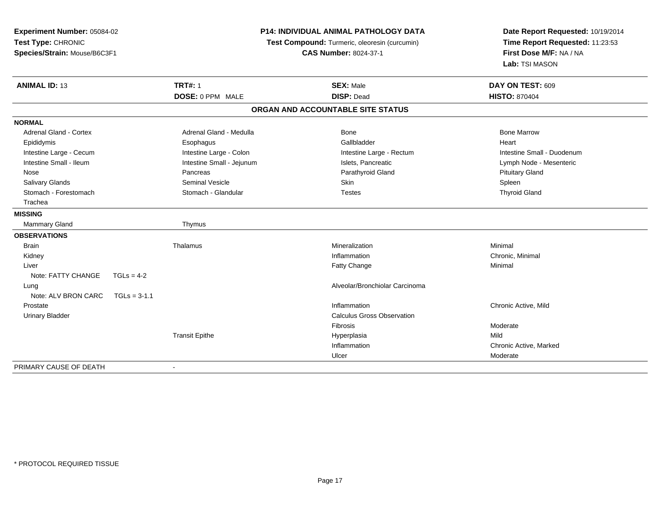| Experiment Number: 05084-02                        | <b>P14: INDIVIDUAL ANIMAL PATHOLOGY DATA</b> |                                                                               | Date Report Requested: 10/19/2014 |                                 |
|----------------------------------------------------|----------------------------------------------|-------------------------------------------------------------------------------|-----------------------------------|---------------------------------|
| Test Type: CHRONIC<br>Species/Strain: Mouse/B6C3F1 |                                              | Test Compound: Turmeric, oleoresin (curcumin)<br><b>CAS Number: 8024-37-1</b> |                                   | Time Report Requested: 11:23:53 |
|                                                    |                                              |                                                                               |                                   | First Dose M/F: NA / NA         |
|                                                    |                                              |                                                                               |                                   | Lab: TSI MASON                  |
| <b>ANIMAL ID: 13</b>                               |                                              | <b>TRT#: 1</b>                                                                | <b>SEX: Male</b>                  | DAY ON TEST: 609                |
|                                                    |                                              | DOSE: 0 PPM MALE                                                              | <b>DISP: Dead</b>                 | <b>HISTO: 870404</b>            |
|                                                    |                                              |                                                                               | ORGAN AND ACCOUNTABLE SITE STATUS |                                 |
| <b>NORMAL</b>                                      |                                              |                                                                               |                                   |                                 |
| <b>Adrenal Gland - Cortex</b>                      |                                              | Adrenal Gland - Medulla                                                       | <b>Bone</b>                       | <b>Bone Marrow</b>              |
| Epididymis                                         |                                              | Esophagus                                                                     | Gallbladder                       | Heart                           |
| Intestine Large - Cecum                            |                                              | Intestine Large - Colon                                                       | Intestine Large - Rectum          | Intestine Small - Duodenum      |
| Intestine Small - Ileum                            |                                              | Intestine Small - Jejunum                                                     | Islets, Pancreatic                | Lymph Node - Mesenteric         |
| Nose                                               |                                              | Pancreas                                                                      | Parathyroid Gland                 | <b>Pituitary Gland</b>          |
| Salivary Glands                                    |                                              | <b>Seminal Vesicle</b>                                                        | Skin                              | Spleen                          |
| Stomach - Forestomach                              |                                              | Stomach - Glandular                                                           | <b>Testes</b>                     | <b>Thyroid Gland</b>            |
| Trachea                                            |                                              |                                                                               |                                   |                                 |
| <b>MISSING</b>                                     |                                              |                                                                               |                                   |                                 |
| <b>Mammary Gland</b>                               |                                              | Thymus                                                                        |                                   |                                 |
| <b>OBSERVATIONS</b>                                |                                              |                                                                               |                                   |                                 |
| <b>Brain</b>                                       |                                              | Thalamus                                                                      | Mineralization                    | Minimal                         |
| Kidney                                             |                                              |                                                                               | Inflammation                      | Chronic, Minimal                |
| Liver                                              |                                              |                                                                               | Fatty Change                      | Minimal                         |
| Note: FATTY CHANGE                                 | $TGLs = 4-2$                                 |                                                                               |                                   |                                 |
| Lung                                               |                                              |                                                                               | Alveolar/Bronchiolar Carcinoma    |                                 |
| Note: ALV BRON CARC                                | $TGLs = 3-1.1$                               |                                                                               |                                   |                                 |
| Prostate                                           |                                              |                                                                               | Inflammation                      | Chronic Active, Mild            |
| <b>Urinary Bladder</b>                             |                                              |                                                                               | <b>Calculus Gross Observation</b> |                                 |
|                                                    |                                              |                                                                               | Fibrosis                          | Moderate                        |
|                                                    |                                              | <b>Transit Epithe</b>                                                         | Hyperplasia                       | Mild                            |
|                                                    |                                              |                                                                               | Inflammation                      | Chronic Active, Marked          |
|                                                    |                                              |                                                                               | Ulcer                             | Moderate                        |
| PRIMARY CAUSE OF DEATH                             |                                              |                                                                               |                                   |                                 |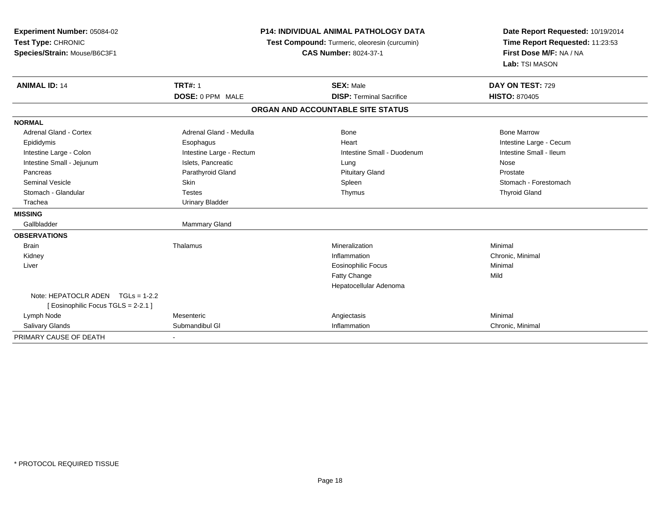| Experiment Number: 05084-02<br>Test Type: CHRONIC<br>Species/Strain: Mouse/B6C3F1 | <b>TRT#: 1</b>           | <b>P14: INDIVIDUAL ANIMAL PATHOLOGY DATA</b><br>Test Compound: Turmeric, oleoresin (curcumin)<br><b>CAS Number: 8024-37-1</b><br><b>SEX: Male</b> | Date Report Requested: 10/19/2014<br>Time Report Requested: 11:23:53<br>First Dose M/F: NA / NA<br>Lab: TSI MASON<br>DAY ON TEST: 729 |
|-----------------------------------------------------------------------------------|--------------------------|---------------------------------------------------------------------------------------------------------------------------------------------------|---------------------------------------------------------------------------------------------------------------------------------------|
| <b>ANIMAL ID: 14</b>                                                              | DOSE: 0 PPM MALE         | <b>DISP: Terminal Sacrifice</b>                                                                                                                   | <b>HISTO: 870405</b>                                                                                                                  |
|                                                                                   |                          | ORGAN AND ACCOUNTABLE SITE STATUS                                                                                                                 |                                                                                                                                       |
|                                                                                   |                          |                                                                                                                                                   |                                                                                                                                       |
| <b>NORMAL</b>                                                                     |                          |                                                                                                                                                   |                                                                                                                                       |
| <b>Adrenal Gland - Cortex</b>                                                     | Adrenal Gland - Medulla  | <b>Bone</b>                                                                                                                                       | <b>Bone Marrow</b>                                                                                                                    |
| Epididymis                                                                        | Esophagus                | Heart                                                                                                                                             | Intestine Large - Cecum                                                                                                               |
| Intestine Large - Colon                                                           | Intestine Large - Rectum | Intestine Small - Duodenum                                                                                                                        | Intestine Small - Ileum                                                                                                               |
| Intestine Small - Jejunum                                                         | Islets, Pancreatic       | Lung                                                                                                                                              | Nose                                                                                                                                  |
| Pancreas                                                                          | Parathyroid Gland        | <b>Pituitary Gland</b>                                                                                                                            | Prostate                                                                                                                              |
| <b>Seminal Vesicle</b>                                                            | Skin                     | Spleen                                                                                                                                            | Stomach - Forestomach                                                                                                                 |
| Stomach - Glandular                                                               | <b>Testes</b>            | Thymus                                                                                                                                            | <b>Thyroid Gland</b>                                                                                                                  |
| Trachea                                                                           | <b>Urinary Bladder</b>   |                                                                                                                                                   |                                                                                                                                       |
| <b>MISSING</b>                                                                    |                          |                                                                                                                                                   |                                                                                                                                       |
| Gallbladder                                                                       | Mammary Gland            |                                                                                                                                                   |                                                                                                                                       |
| <b>OBSERVATIONS</b>                                                               |                          |                                                                                                                                                   |                                                                                                                                       |
| Brain                                                                             | Thalamus                 | Mineralization                                                                                                                                    | Minimal                                                                                                                               |
| Kidney                                                                            |                          | Inflammation                                                                                                                                      | Chronic, Minimal                                                                                                                      |
| Liver                                                                             |                          | <b>Eosinophilic Focus</b>                                                                                                                         | Minimal                                                                                                                               |
|                                                                                   |                          | Fatty Change                                                                                                                                      | Mild                                                                                                                                  |
|                                                                                   |                          | Hepatocellular Adenoma                                                                                                                            |                                                                                                                                       |
| Note: HEPATOCLR ADEN $TGLs = 1-2.2$<br>[ Eosinophilic Focus TGLS = 2-2.1 ]        |                          |                                                                                                                                                   |                                                                                                                                       |
| Lymph Node                                                                        | Mesenteric               | Angiectasis                                                                                                                                       | Minimal                                                                                                                               |
| Salivary Glands                                                                   | Submandibul GI           | Inflammation                                                                                                                                      | Chronic, Minimal                                                                                                                      |
| PRIMARY CAUSE OF DEATH                                                            |                          |                                                                                                                                                   |                                                                                                                                       |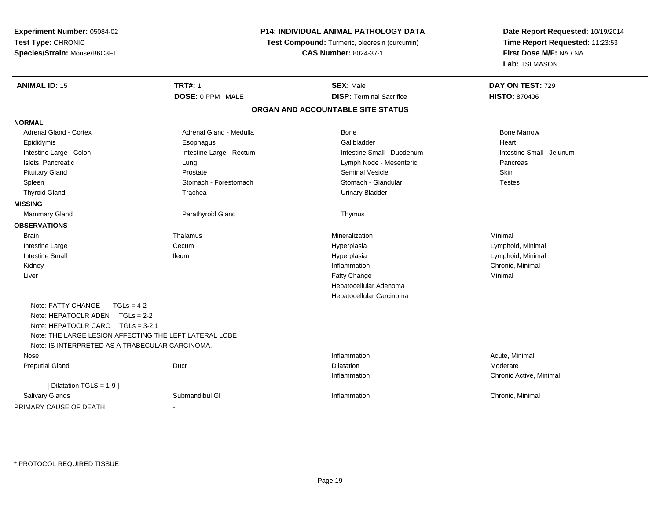| Experiment Number: 05084-02<br>Test Type: CHRONIC<br>Species/Strain: Mouse/B6C3F1 | P14: INDIVIDUAL ANIMAL PATHOLOGY DATA<br>Test Compound: Turmeric, oleoresin (curcumin)<br><b>CAS Number: 8024-37-1</b> |                                   | Date Report Requested: 10/19/2014<br>Time Report Requested: 11:23:53<br>First Dose M/F: NA / NA<br><b>Lab: TSI MASON</b> |  |
|-----------------------------------------------------------------------------------|------------------------------------------------------------------------------------------------------------------------|-----------------------------------|--------------------------------------------------------------------------------------------------------------------------|--|
| <b>ANIMAL ID: 15</b>                                                              | <b>TRT#: 1</b>                                                                                                         | <b>SEX: Male</b>                  | DAY ON TEST: 729                                                                                                         |  |
|                                                                                   | DOSE: 0 PPM MALE                                                                                                       | <b>DISP: Terminal Sacrifice</b>   | <b>HISTO: 870406</b>                                                                                                     |  |
|                                                                                   |                                                                                                                        | ORGAN AND ACCOUNTABLE SITE STATUS |                                                                                                                          |  |
| <b>NORMAL</b>                                                                     |                                                                                                                        |                                   |                                                                                                                          |  |
| <b>Adrenal Gland - Cortex</b>                                                     | Adrenal Gland - Medulla                                                                                                | <b>Bone</b>                       | <b>Bone Marrow</b>                                                                                                       |  |
| Epididymis                                                                        | Esophagus                                                                                                              | Gallbladder                       | Heart                                                                                                                    |  |
| Intestine Large - Colon                                                           | Intestine Large - Rectum                                                                                               | Intestine Small - Duodenum        | Intestine Small - Jejunum                                                                                                |  |
| Islets, Pancreatic                                                                | Lung                                                                                                                   | Lymph Node - Mesenteric           | Pancreas                                                                                                                 |  |
| <b>Pituitary Gland</b>                                                            | Prostate                                                                                                               | <b>Seminal Vesicle</b>            | Skin                                                                                                                     |  |
| Spleen                                                                            | Stomach - Forestomach                                                                                                  | Stomach - Glandular               | <b>Testes</b>                                                                                                            |  |
| <b>Thyroid Gland</b>                                                              | Trachea                                                                                                                | <b>Urinary Bladder</b>            |                                                                                                                          |  |
| <b>MISSING</b>                                                                    |                                                                                                                        |                                   |                                                                                                                          |  |
| Mammary Gland                                                                     | Parathyroid Gland                                                                                                      | Thymus                            |                                                                                                                          |  |
| <b>OBSERVATIONS</b>                                                               |                                                                                                                        |                                   |                                                                                                                          |  |
| <b>Brain</b>                                                                      | Thalamus                                                                                                               | Mineralization                    | Minimal                                                                                                                  |  |
| Intestine Large                                                                   | Cecum                                                                                                                  | Hyperplasia                       | Lymphoid, Minimal                                                                                                        |  |
| <b>Intestine Small</b>                                                            | <b>Ileum</b>                                                                                                           | Hyperplasia                       | Lymphoid, Minimal                                                                                                        |  |
| Kidney                                                                            |                                                                                                                        | Inflammation                      | Chronic, Minimal                                                                                                         |  |
| Liver                                                                             |                                                                                                                        | Fatty Change                      | Minimal                                                                                                                  |  |
|                                                                                   |                                                                                                                        | Hepatocellular Adenoma            |                                                                                                                          |  |
|                                                                                   |                                                                                                                        | Hepatocellular Carcinoma          |                                                                                                                          |  |
| Note: FATTY CHANGE<br>$TGLs = 4-2$                                                |                                                                                                                        |                                   |                                                                                                                          |  |
| Note: HEPATOCLR ADEN $TGLs = 2-2$                                                 |                                                                                                                        |                                   |                                                                                                                          |  |
| Note: HEPATOCLR CARC TGLs = 3-2.1                                                 |                                                                                                                        |                                   |                                                                                                                          |  |
| Note: THE LARGE LESION AFFECTING THE LEFT LATERAL LOBE                            |                                                                                                                        |                                   |                                                                                                                          |  |
| Note: IS INTERPRETED AS A TRABECULAR CARCINOMA.                                   |                                                                                                                        |                                   |                                                                                                                          |  |
| Nose                                                                              |                                                                                                                        | Inflammation                      | Acute, Minimal                                                                                                           |  |
| <b>Preputial Gland</b>                                                            | Duct                                                                                                                   | <b>Dilatation</b>                 | Moderate                                                                                                                 |  |
|                                                                                   |                                                                                                                        | Inflammation                      | Chronic Active, Minimal                                                                                                  |  |
| [ Dilatation TGLS = 1-9 ]                                                         |                                                                                                                        |                                   |                                                                                                                          |  |
| <b>Salivary Glands</b>                                                            | Submandibul GI                                                                                                         | Inflammation                      | Chronic, Minimal                                                                                                         |  |
| PRIMARY CAUSE OF DEATH                                                            |                                                                                                                        |                                   |                                                                                                                          |  |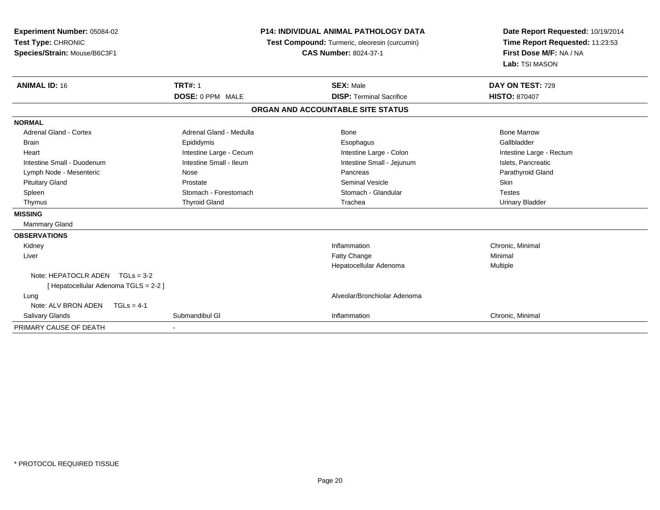| <b>Experiment Number: 05084-02</b><br>Test Type: CHRONIC<br>Species/Strain: Mouse/B6C3F1<br><b>ANIMAL ID: 16</b> | <b>TRT#: 1</b>          | <b>P14: INDIVIDUAL ANIMAL PATHOLOGY DATA</b><br>Test Compound: Turmeric, oleoresin (curcumin)<br><b>CAS Number: 8024-37-1</b><br><b>SEX: Male</b> | Date Report Requested: 10/19/2014<br>Time Report Requested: 11:23:53<br>First Dose M/F: NA / NA<br>Lab: TSI MASON<br>DAY ON TEST: 729 |
|------------------------------------------------------------------------------------------------------------------|-------------------------|---------------------------------------------------------------------------------------------------------------------------------------------------|---------------------------------------------------------------------------------------------------------------------------------------|
|                                                                                                                  | <b>DOSE: 0 PPM MALE</b> | <b>DISP: Terminal Sacrifice</b>                                                                                                                   | <b>HISTO: 870407</b>                                                                                                                  |
|                                                                                                                  |                         |                                                                                                                                                   |                                                                                                                                       |
|                                                                                                                  |                         | ORGAN AND ACCOUNTABLE SITE STATUS                                                                                                                 |                                                                                                                                       |
| <b>NORMAL</b>                                                                                                    |                         |                                                                                                                                                   |                                                                                                                                       |
| <b>Adrenal Gland - Cortex</b>                                                                                    | Adrenal Gland - Medulla | Bone                                                                                                                                              | <b>Bone Marrow</b>                                                                                                                    |
| Brain                                                                                                            | Epididymis              | Esophagus                                                                                                                                         | Gallbladder                                                                                                                           |
| Heart                                                                                                            | Intestine Large - Cecum | Intestine Large - Colon                                                                                                                           | Intestine Large - Rectum                                                                                                              |
| Intestine Small - Duodenum                                                                                       | Intestine Small - Ileum | Intestine Small - Jejunum                                                                                                                         | Islets, Pancreatic                                                                                                                    |
| Lymph Node - Mesenteric                                                                                          | Nose                    | Pancreas                                                                                                                                          | Parathyroid Gland                                                                                                                     |
| <b>Pituitary Gland</b>                                                                                           | Prostate                | <b>Seminal Vesicle</b>                                                                                                                            | Skin                                                                                                                                  |
| Spleen                                                                                                           | Stomach - Forestomach   | Stomach - Glandular                                                                                                                               | <b>Testes</b>                                                                                                                         |
| Thymus                                                                                                           | <b>Thyroid Gland</b>    | Trachea                                                                                                                                           | <b>Urinary Bladder</b>                                                                                                                |
| <b>MISSING</b>                                                                                                   |                         |                                                                                                                                                   |                                                                                                                                       |
| <b>Mammary Gland</b>                                                                                             |                         |                                                                                                                                                   |                                                                                                                                       |
| <b>OBSERVATIONS</b>                                                                                              |                         |                                                                                                                                                   |                                                                                                                                       |
| Kidney                                                                                                           |                         | Inflammation                                                                                                                                      | Chronic, Minimal                                                                                                                      |
| Liver                                                                                                            |                         | Fatty Change                                                                                                                                      | Minimal                                                                                                                               |
|                                                                                                                  |                         | Hepatocellular Adenoma                                                                                                                            | Multiple                                                                                                                              |
| Note: HEPATOCLR ADEN $TGLs = 3-2$<br>[ Hepatocellular Adenoma TGLS = 2-2 ]                                       |                         |                                                                                                                                                   |                                                                                                                                       |
| Lung                                                                                                             |                         | Alveolar/Bronchiolar Adenoma                                                                                                                      |                                                                                                                                       |
| Note: ALV BRON ADEN<br>$TGLs = 4-1$                                                                              |                         |                                                                                                                                                   |                                                                                                                                       |
| Salivary Glands                                                                                                  | Submandibul GI          | Inflammation                                                                                                                                      | Chronic, Minimal                                                                                                                      |
| PRIMARY CAUSE OF DEATH                                                                                           |                         |                                                                                                                                                   |                                                                                                                                       |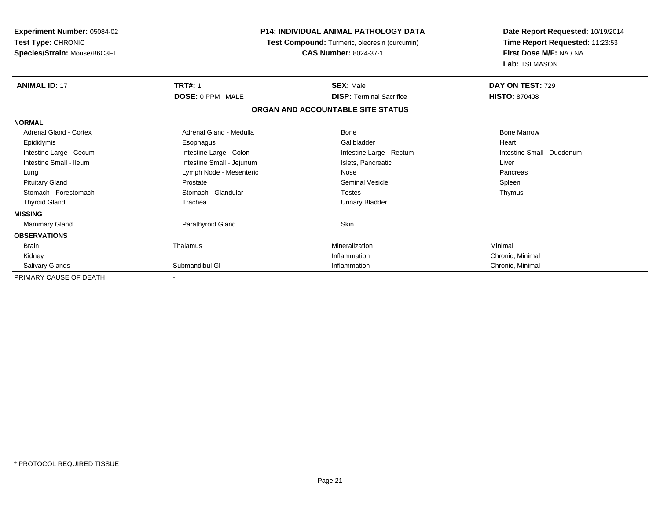| Experiment Number: 05084-02<br>Test Type: CHRONIC<br>Species/Strain: Mouse/B6C3F1 | <b>P14: INDIVIDUAL ANIMAL PATHOLOGY DATA</b><br>Test Compound: Turmeric, oleoresin (curcumin)<br><b>CAS Number: 8024-37-1</b> |                                   | Date Report Requested: 10/19/2014<br>Time Report Requested: 11:23:53<br>First Dose M/F: NA / NA<br>Lab: TSI MASON |
|-----------------------------------------------------------------------------------|-------------------------------------------------------------------------------------------------------------------------------|-----------------------------------|-------------------------------------------------------------------------------------------------------------------|
| <b>ANIMAL ID: 17</b>                                                              | <b>TRT#: 1</b>                                                                                                                | <b>SEX: Male</b>                  | DAY ON TEST: 729                                                                                                  |
|                                                                                   | <b>DOSE: 0 PPM MALE</b>                                                                                                       | <b>DISP: Terminal Sacrifice</b>   | <b>HISTO: 870408</b>                                                                                              |
|                                                                                   |                                                                                                                               | ORGAN AND ACCOUNTABLE SITE STATUS |                                                                                                                   |
| <b>NORMAL</b>                                                                     |                                                                                                                               |                                   |                                                                                                                   |
| <b>Adrenal Gland - Cortex</b>                                                     | Adrenal Gland - Medulla                                                                                                       | Bone                              | <b>Bone Marrow</b>                                                                                                |
| Epididymis                                                                        | Esophagus                                                                                                                     | Gallbladder                       | Heart                                                                                                             |
| Intestine Large - Cecum                                                           | Intestine Large - Colon                                                                                                       | Intestine Large - Rectum          | Intestine Small - Duodenum                                                                                        |
| Intestine Small - Ileum                                                           | Intestine Small - Jejunum                                                                                                     | Islets, Pancreatic                | Liver                                                                                                             |
| Lung                                                                              | Lymph Node - Mesenteric                                                                                                       | Nose                              | Pancreas                                                                                                          |
| <b>Pituitary Gland</b>                                                            | Prostate                                                                                                                      | <b>Seminal Vesicle</b>            | Spleen                                                                                                            |
| Stomach - Forestomach                                                             | Stomach - Glandular                                                                                                           | <b>Testes</b>                     | Thymus                                                                                                            |
| <b>Thyroid Gland</b>                                                              | Trachea                                                                                                                       | <b>Urinary Bladder</b>            |                                                                                                                   |
| <b>MISSING</b>                                                                    |                                                                                                                               |                                   |                                                                                                                   |
| <b>Mammary Gland</b>                                                              | Parathyroid Gland                                                                                                             | <b>Skin</b>                       |                                                                                                                   |
| <b>OBSERVATIONS</b>                                                               |                                                                                                                               |                                   |                                                                                                                   |
| <b>Brain</b>                                                                      | Thalamus                                                                                                                      | Mineralization                    | Minimal                                                                                                           |
| Kidney                                                                            |                                                                                                                               | Inflammation                      | Chronic, Minimal                                                                                                  |
| Salivary Glands                                                                   | Submandibul GI                                                                                                                | Inflammation                      | Chronic, Minimal                                                                                                  |
| PRIMARY CAUSE OF DEATH                                                            |                                                                                                                               |                                   |                                                                                                                   |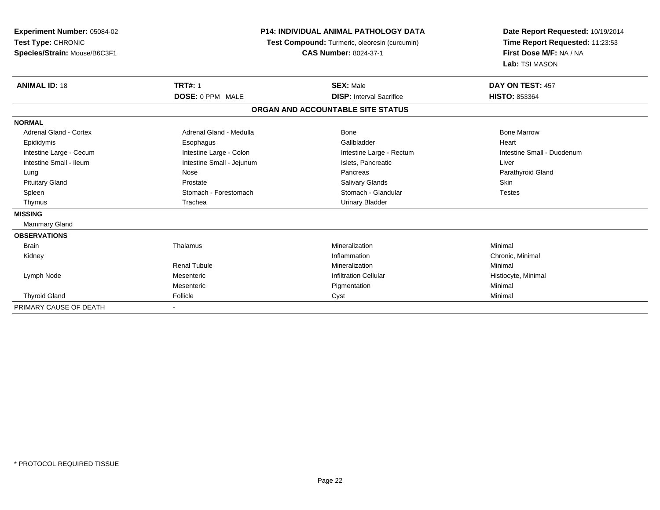| <b>Experiment Number: 05084-02</b> |                                               | <b>P14: INDIVIDUAL ANIMAL PATHOLOGY DATA</b> |                                 |
|------------------------------------|-----------------------------------------------|----------------------------------------------|---------------------------------|
| Test Type: CHRONIC                 | Test Compound: Turmeric, oleoresin (curcumin) |                                              | Time Report Requested: 11:23:53 |
| Species/Strain: Mouse/B6C3F1       | <b>CAS Number: 8024-37-1</b>                  |                                              | First Dose M/F: NA / NA         |
|                                    |                                               |                                              | Lab: TSI MASON                  |
| <b>ANIMAL ID: 18</b>               | <b>TRT#: 1</b>                                | <b>SEX: Male</b>                             | DAY ON TEST: 457                |
|                                    | <b>DOSE: 0 PPM MALE</b>                       | <b>DISP:</b> Interval Sacrifice              | <b>HISTO: 853364</b>            |
|                                    |                                               | ORGAN AND ACCOUNTABLE SITE STATUS            |                                 |
| <b>NORMAL</b>                      |                                               |                                              |                                 |
| Adrenal Gland - Cortex             | Adrenal Gland - Medulla                       | Bone                                         | <b>Bone Marrow</b>              |
| Epididymis                         | Esophagus                                     | Gallbladder                                  | Heart                           |
| Intestine Large - Cecum            | Intestine Large - Colon                       | Intestine Large - Rectum                     | Intestine Small - Duodenum      |
| Intestine Small - Ileum            | Intestine Small - Jejunum                     | Islets, Pancreatic                           | Liver                           |
| Lung                               | Nose                                          | Pancreas                                     | Parathyroid Gland               |
| <b>Pituitary Gland</b>             | Prostate                                      | <b>Salivary Glands</b>                       | <b>Skin</b>                     |
| Spleen                             | Stomach - Forestomach                         | Stomach - Glandular                          | <b>Testes</b>                   |
| Thymus                             | Trachea                                       | <b>Urinary Bladder</b>                       |                                 |
| <b>MISSING</b>                     |                                               |                                              |                                 |
| <b>Mammary Gland</b>               |                                               |                                              |                                 |
| <b>OBSERVATIONS</b>                |                                               |                                              |                                 |
| Brain                              | Thalamus                                      | Mineralization                               | Minimal                         |
| Kidney                             |                                               | Inflammation                                 | Chronic, Minimal                |
|                                    | <b>Renal Tubule</b>                           | Mineralization                               | Minimal                         |
| Lymph Node                         | Mesenteric                                    | <b>Infiltration Cellular</b>                 | Histiocyte, Minimal             |
|                                    | Mesenteric                                    | Pigmentation                                 | Minimal                         |
| <b>Thyroid Gland</b>               | Follicle                                      | Cyst                                         | Minimal                         |
| PRIMARY CAUSE OF DEATH             |                                               |                                              |                                 |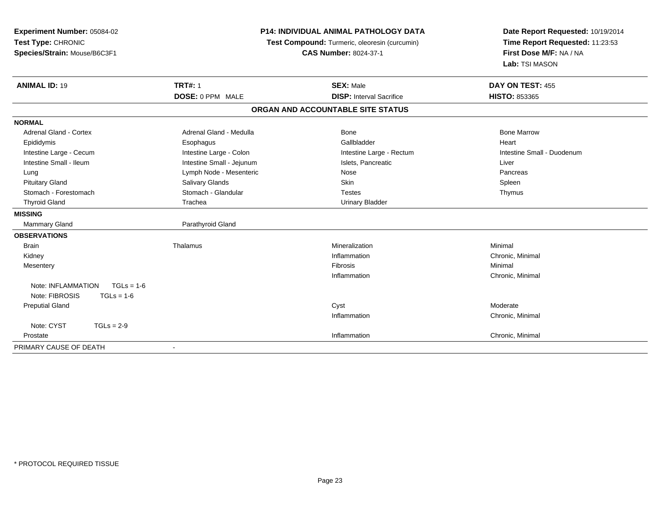| Experiment Number: 05084-02<br>Test Type: CHRONIC<br>Species/Strain: Mouse/B6C3F1 | <b>P14: INDIVIDUAL ANIMAL PATHOLOGY DATA</b><br>Test Compound: Turmeric, oleoresin (curcumin)<br><b>CAS Number: 8024-37-1</b> |                                   | Date Report Requested: 10/19/2014<br>Time Report Requested: 11:23:53<br>First Dose M/F: NA / NA<br>Lab: TSI MASON |  |
|-----------------------------------------------------------------------------------|-------------------------------------------------------------------------------------------------------------------------------|-----------------------------------|-------------------------------------------------------------------------------------------------------------------|--|
| <b>ANIMAL ID: 19</b>                                                              | <b>TRT#: 1</b>                                                                                                                | <b>SEX: Male</b>                  | DAY ON TEST: 455                                                                                                  |  |
|                                                                                   | DOSE: 0 PPM MALE                                                                                                              | <b>DISP:</b> Interval Sacrifice   | <b>HISTO: 853365</b>                                                                                              |  |
|                                                                                   |                                                                                                                               | ORGAN AND ACCOUNTABLE SITE STATUS |                                                                                                                   |  |
| <b>NORMAL</b>                                                                     |                                                                                                                               |                                   |                                                                                                                   |  |
| Adrenal Gland - Cortex                                                            | Adrenal Gland - Medulla                                                                                                       | Bone                              | <b>Bone Marrow</b>                                                                                                |  |
| Epididymis                                                                        | Esophagus                                                                                                                     | Gallbladder                       | Heart                                                                                                             |  |
| Intestine Large - Cecum                                                           | Intestine Large - Colon                                                                                                       | Intestine Large - Rectum          | Intestine Small - Duodenum                                                                                        |  |
| Intestine Small - Ileum                                                           | Intestine Small - Jejunum                                                                                                     | Islets, Pancreatic                | Liver                                                                                                             |  |
| Lung                                                                              | Lymph Node - Mesenteric                                                                                                       | Nose                              | Pancreas                                                                                                          |  |
| <b>Pituitary Gland</b>                                                            | Salivary Glands                                                                                                               | Skin                              | Spleen                                                                                                            |  |
| Stomach - Forestomach                                                             | Stomach - Glandular                                                                                                           | <b>Testes</b>                     | Thymus                                                                                                            |  |
| <b>Thyroid Gland</b>                                                              | Trachea                                                                                                                       | <b>Urinary Bladder</b>            |                                                                                                                   |  |
| <b>MISSING</b>                                                                    |                                                                                                                               |                                   |                                                                                                                   |  |
| <b>Mammary Gland</b>                                                              | Parathyroid Gland                                                                                                             |                                   |                                                                                                                   |  |
| <b>OBSERVATIONS</b>                                                               |                                                                                                                               |                                   |                                                                                                                   |  |
| <b>Brain</b>                                                                      | Thalamus                                                                                                                      | Mineralization                    | Minimal                                                                                                           |  |
| Kidney                                                                            |                                                                                                                               | Inflammation                      | Chronic, Minimal                                                                                                  |  |
| Mesentery                                                                         |                                                                                                                               | Fibrosis                          | Minimal                                                                                                           |  |
|                                                                                   |                                                                                                                               | Inflammation                      | Chronic, Minimal                                                                                                  |  |
| Note: INFLAMMATION<br>$TGLs = 1-6$                                                |                                                                                                                               |                                   |                                                                                                                   |  |
| Note: FIBROSIS<br>$TGLs = 1-6$                                                    |                                                                                                                               |                                   |                                                                                                                   |  |
| <b>Preputial Gland</b>                                                            |                                                                                                                               | Cyst                              | Moderate                                                                                                          |  |
|                                                                                   |                                                                                                                               | Inflammation                      | Chronic, Minimal                                                                                                  |  |
| Note: CYST<br>$TGLs = 2-9$                                                        |                                                                                                                               |                                   |                                                                                                                   |  |
| Prostate                                                                          |                                                                                                                               | Inflammation                      | Chronic, Minimal                                                                                                  |  |
| PRIMARY CAUSE OF DEATH                                                            |                                                                                                                               |                                   |                                                                                                                   |  |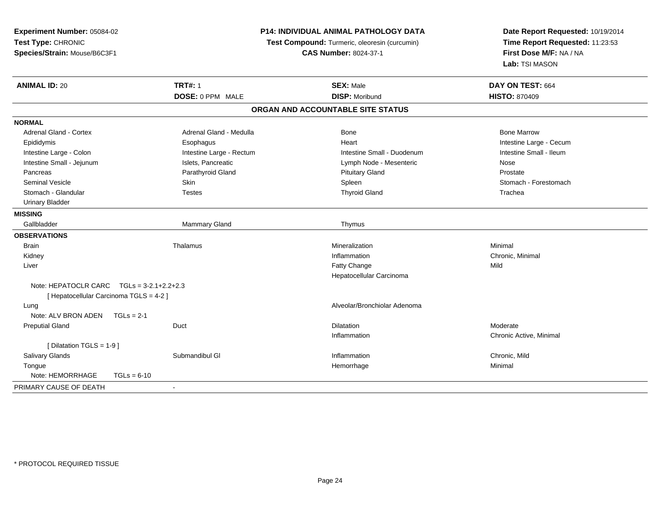| Experiment Number: 05084-02                         | P14: INDIVIDUAL ANIMAL PATHOLOGY DATA         | Date Report Requested: 10/19/2014<br>Time Report Requested: 11:23:53<br>First Dose M/F: NA / NA |
|-----------------------------------------------------|-----------------------------------------------|-------------------------------------------------------------------------------------------------|
| Test Type: CHRONIC                                  | Test Compound: Turmeric, oleoresin (curcumin) |                                                                                                 |
| Species/Strain: Mouse/B6C3F1                        | <b>CAS Number: 8024-37-1</b>                  |                                                                                                 |
|                                                     |                                               | Lab: TSI MASON                                                                                  |
| <b>TRT#: 1</b><br><b>ANIMAL ID: 20</b>              | <b>SEX: Male</b>                              | DAY ON TEST: 664                                                                                |
| DOSE: 0 PPM MALE                                    | <b>DISP: Moribund</b>                         | <b>HISTO: 870409</b>                                                                            |
|                                                     | ORGAN AND ACCOUNTABLE SITE STATUS             |                                                                                                 |
| <b>NORMAL</b>                                       |                                               |                                                                                                 |
| Adrenal Gland - Cortex<br>Adrenal Gland - Medulla   | Bone                                          | <b>Bone Marrow</b>                                                                              |
| Epididymis<br>Esophagus                             | Heart                                         | Intestine Large - Cecum                                                                         |
| Intestine Large - Colon<br>Intestine Large - Rectum | Intestine Small - Duodenum                    | Intestine Small - Ileum                                                                         |
| Intestine Small - Jejunum<br>Islets, Pancreatic     | Lymph Node - Mesenteric                       | Nose                                                                                            |
| Parathyroid Gland<br>Pancreas                       | <b>Pituitary Gland</b>                        | Prostate                                                                                        |
| <b>Seminal Vesicle</b><br><b>Skin</b>               | Spleen                                        | Stomach - Forestomach                                                                           |
| Stomach - Glandular<br><b>Testes</b>                | <b>Thyroid Gland</b>                          | Trachea                                                                                         |
| <b>Urinary Bladder</b>                              |                                               |                                                                                                 |
| <b>MISSING</b>                                      |                                               |                                                                                                 |
| Gallbladder<br>Mammary Gland                        | Thymus                                        |                                                                                                 |
| <b>OBSERVATIONS</b>                                 |                                               |                                                                                                 |
| Thalamus<br><b>Brain</b>                            | Mineralization                                | Minimal                                                                                         |
| Kidney                                              | Inflammation                                  | Chronic, Minimal                                                                                |
| Liver                                               | <b>Fatty Change</b>                           | Mild                                                                                            |
|                                                     | Hepatocellular Carcinoma                      |                                                                                                 |
| Note: HEPATOCLR CARC $TGLS = 3-2.1+2.2+2.3$         |                                               |                                                                                                 |
| [ Hepatocellular Carcinoma TGLS = 4-2 ]             |                                               |                                                                                                 |
| Lung                                                | Alveolar/Bronchiolar Adenoma                  |                                                                                                 |
| Note: ALV BRON ADEN<br>$TGLs = 2-1$                 |                                               |                                                                                                 |
| Duct<br><b>Preputial Gland</b>                      | <b>Dilatation</b>                             | Moderate                                                                                        |
|                                                     | Inflammation                                  | Chronic Active, Minimal                                                                         |
| [ Dilatation TGLS = 1-9 ]                           |                                               |                                                                                                 |
| <b>Salivary Glands</b><br>Submandibul GI            | Inflammation                                  | Chronic, Mild                                                                                   |
| Tongue                                              | Hemorrhage                                    | Minimal                                                                                         |
| Note: HEMORRHAGE<br>$TGLs = 6-10$                   |                                               |                                                                                                 |
| PRIMARY CAUSE OF DEATH<br>$\blacksquare$            |                                               |                                                                                                 |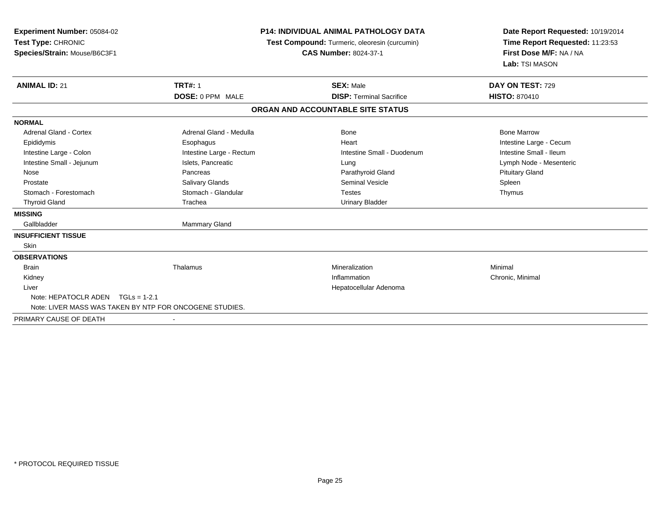| Experiment Number: 05084-02<br>Test Type: CHRONIC<br>Species/Strain: Mouse/B6C3F1<br><b>ANIMAL ID: 21</b> | <b>TRT#: 1</b>           | <b>P14: INDIVIDUAL ANIMAL PATHOLOGY DATA</b><br>Test Compound: Turmeric, oleoresin (curcumin)<br><b>CAS Number: 8024-37-1</b><br><b>SEX: Male</b> | Date Report Requested: 10/19/2014<br>Time Report Requested: 11:23:53<br>First Dose M/F: NA / NA<br>Lab: TSI MASON<br>DAY ON TEST: 729 |
|-----------------------------------------------------------------------------------------------------------|--------------------------|---------------------------------------------------------------------------------------------------------------------------------------------------|---------------------------------------------------------------------------------------------------------------------------------------|
|                                                                                                           | <b>DOSE: 0 PPM MALE</b>  | <b>DISP: Terminal Sacrifice</b>                                                                                                                   | <b>HISTO: 870410</b>                                                                                                                  |
|                                                                                                           |                          | ORGAN AND ACCOUNTABLE SITE STATUS                                                                                                                 |                                                                                                                                       |
| <b>NORMAL</b>                                                                                             |                          |                                                                                                                                                   |                                                                                                                                       |
| <b>Adrenal Gland - Cortex</b>                                                                             | Adrenal Gland - Medulla  | Bone                                                                                                                                              | <b>Bone Marrow</b>                                                                                                                    |
| Epididymis                                                                                                | Esophagus                | Heart                                                                                                                                             | Intestine Large - Cecum                                                                                                               |
| Intestine Large - Colon                                                                                   | Intestine Large - Rectum | Intestine Small - Duodenum                                                                                                                        | Intestine Small - Ileum                                                                                                               |
| Intestine Small - Jejunum                                                                                 | Islets, Pancreatic       | Lung                                                                                                                                              | Lymph Node - Mesenteric                                                                                                               |
| Nose                                                                                                      | Pancreas                 | Parathyroid Gland                                                                                                                                 | <b>Pituitary Gland</b>                                                                                                                |
| Prostate                                                                                                  | Salivary Glands          | <b>Seminal Vesicle</b>                                                                                                                            | Spleen                                                                                                                                |
| Stomach - Forestomach                                                                                     | Stomach - Glandular      | <b>Testes</b>                                                                                                                                     | Thymus                                                                                                                                |
| <b>Thyroid Gland</b>                                                                                      | Trachea                  | <b>Urinary Bladder</b>                                                                                                                            |                                                                                                                                       |
| <b>MISSING</b>                                                                                            |                          |                                                                                                                                                   |                                                                                                                                       |
| Gallbladder                                                                                               | Mammary Gland            |                                                                                                                                                   |                                                                                                                                       |
| <b>INSUFFICIENT TISSUE</b>                                                                                |                          |                                                                                                                                                   |                                                                                                                                       |
| Skin                                                                                                      |                          |                                                                                                                                                   |                                                                                                                                       |
| <b>OBSERVATIONS</b>                                                                                       |                          |                                                                                                                                                   |                                                                                                                                       |
| <b>Brain</b>                                                                                              | Thalamus                 | Mineralization                                                                                                                                    | Minimal                                                                                                                               |
| Kidney                                                                                                    |                          | Inflammation                                                                                                                                      | Chronic, Minimal                                                                                                                      |
| Liver                                                                                                     |                          | Hepatocellular Adenoma                                                                                                                            |                                                                                                                                       |
| Note: HEPATOCLR ADEN TGLs = 1-2.1                                                                         |                          |                                                                                                                                                   |                                                                                                                                       |
| Note: LIVER MASS WAS TAKEN BY NTP FOR ONCOGENE STUDIES.                                                   |                          |                                                                                                                                                   |                                                                                                                                       |
| PRIMARY CAUSE OF DEATH                                                                                    |                          |                                                                                                                                                   |                                                                                                                                       |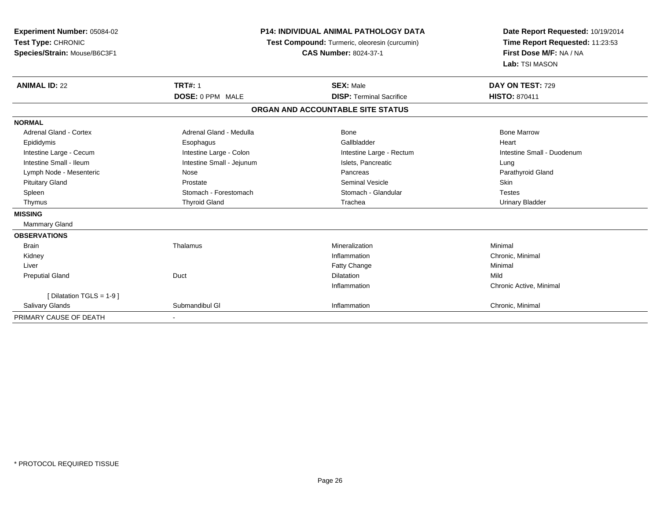| <b>Experiment Number: 05084-02</b><br>Test Type: CHRONIC<br>Species/Strain: Mouse/B6C3F1<br><b>ANIMAL ID: 22</b> | P14: INDIVIDUAL ANIMAL PATHOLOGY DATA<br>Test Compound: Turmeric, oleoresin (curcumin)<br><b>CAS Number: 8024-37-1</b><br><b>TRT#: 1</b><br><b>SEX: Male</b><br>DOSE: 0 PPM MALE<br><b>DISP: Terminal Sacrifice</b> |                                   | Date Report Requested: 10/19/2014<br>Time Report Requested: 11:23:53<br>First Dose M/F: NA / NA<br>Lab: TSI MASON<br>DAY ON TEST: 729<br><b>HISTO: 870411</b> |
|------------------------------------------------------------------------------------------------------------------|---------------------------------------------------------------------------------------------------------------------------------------------------------------------------------------------------------------------|-----------------------------------|---------------------------------------------------------------------------------------------------------------------------------------------------------------|
|                                                                                                                  |                                                                                                                                                                                                                     | ORGAN AND ACCOUNTABLE SITE STATUS |                                                                                                                                                               |
| <b>NORMAL</b>                                                                                                    |                                                                                                                                                                                                                     |                                   |                                                                                                                                                               |
| <b>Adrenal Gland - Cortex</b>                                                                                    | Adrenal Gland - Medulla                                                                                                                                                                                             | <b>Bone</b>                       | <b>Bone Marrow</b>                                                                                                                                            |
| Epididymis                                                                                                       | Esophagus                                                                                                                                                                                                           | Gallbladder                       | Heart                                                                                                                                                         |
| Intestine Large - Cecum                                                                                          | Intestine Large - Colon                                                                                                                                                                                             | Intestine Large - Rectum          | Intestine Small - Duodenum                                                                                                                                    |
| Intestine Small - Ileum                                                                                          | Intestine Small - Jejunum                                                                                                                                                                                           | Islets, Pancreatic                | Lung                                                                                                                                                          |
| Lymph Node - Mesenteric                                                                                          | Nose                                                                                                                                                                                                                | Pancreas                          | Parathyroid Gland                                                                                                                                             |
| <b>Pituitary Gland</b>                                                                                           | Prostate                                                                                                                                                                                                            | <b>Seminal Vesicle</b>            | <b>Skin</b>                                                                                                                                                   |
| Spleen                                                                                                           | Stomach - Forestomach                                                                                                                                                                                               | Stomach - Glandular               | <b>Testes</b>                                                                                                                                                 |
| Thymus                                                                                                           | <b>Thyroid Gland</b>                                                                                                                                                                                                | Trachea                           | <b>Urinary Bladder</b>                                                                                                                                        |
| <b>MISSING</b>                                                                                                   |                                                                                                                                                                                                                     |                                   |                                                                                                                                                               |
| Mammary Gland                                                                                                    |                                                                                                                                                                                                                     |                                   |                                                                                                                                                               |
| <b>OBSERVATIONS</b>                                                                                              |                                                                                                                                                                                                                     |                                   |                                                                                                                                                               |
| <b>Brain</b>                                                                                                     | Thalamus                                                                                                                                                                                                            | Mineralization                    | Minimal                                                                                                                                                       |
| Kidney                                                                                                           |                                                                                                                                                                                                                     | Inflammation                      | Chronic, Minimal                                                                                                                                              |
| Liver                                                                                                            |                                                                                                                                                                                                                     | <b>Fatty Change</b>               | Minimal                                                                                                                                                       |
| <b>Preputial Gland</b>                                                                                           | Duct                                                                                                                                                                                                                | Dilatation                        | Mild                                                                                                                                                          |
|                                                                                                                  |                                                                                                                                                                                                                     | Inflammation                      | Chronic Active, Minimal                                                                                                                                       |
| [Dilatation TGLS = 1-9]                                                                                          |                                                                                                                                                                                                                     |                                   |                                                                                                                                                               |
| Salivary Glands                                                                                                  | Submandibul GI                                                                                                                                                                                                      | Inflammation                      | Chronic, Minimal                                                                                                                                              |
| PRIMARY CAUSE OF DEATH                                                                                           |                                                                                                                                                                                                                     |                                   |                                                                                                                                                               |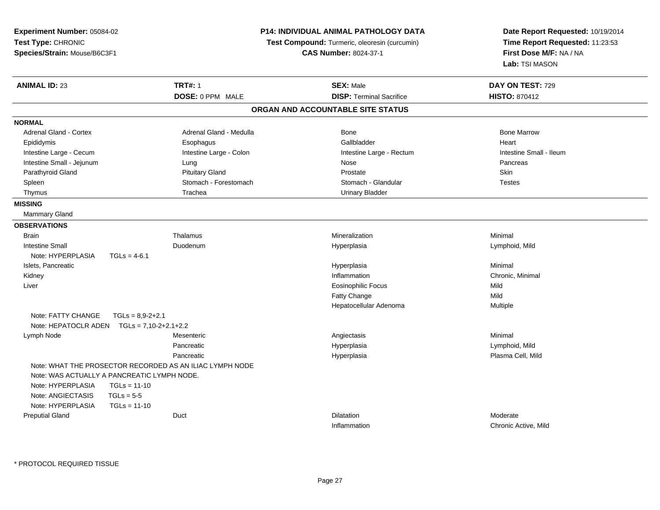| Experiment Number: 05084-02<br>Test Type: CHRONIC |                    |                                                          | <b>P14: INDIVIDUAL ANIMAL PATHOLOGY DATA</b> | Date Report Requested: 10/19/2014 |
|---------------------------------------------------|--------------------|----------------------------------------------------------|----------------------------------------------|-----------------------------------|
|                                                   |                    | Test Compound: Turmeric, oleoresin (curcumin)            |                                              | Time Report Requested: 11:23:53   |
| Species/Strain: Mouse/B6C3F1                      |                    |                                                          | <b>CAS Number: 8024-37-1</b>                 | First Dose M/F: NA / NA           |
|                                                   |                    |                                                          |                                              | Lab: TSI MASON                    |
| <b>ANIMAL ID: 23</b>                              |                    | <b>TRT#: 1</b>                                           | <b>SEX: Male</b>                             | DAY ON TEST: 729                  |
|                                                   |                    | DOSE: 0 PPM MALE                                         | <b>DISP: Terminal Sacrifice</b>              | <b>HISTO: 870412</b>              |
|                                                   |                    |                                                          | ORGAN AND ACCOUNTABLE SITE STATUS            |                                   |
| <b>NORMAL</b>                                     |                    |                                                          |                                              |                                   |
| <b>Adrenal Gland - Cortex</b>                     |                    | Adrenal Gland - Medulla                                  | Bone                                         | <b>Bone Marrow</b>                |
| Epididymis                                        |                    | Esophagus                                                | Gallbladder                                  | Heart                             |
| Intestine Large - Cecum                           |                    | Intestine Large - Colon                                  | Intestine Large - Rectum                     | Intestine Small - Ileum           |
| Intestine Small - Jejunum                         |                    | Lung                                                     | Nose                                         | Pancreas                          |
| Parathyroid Gland                                 |                    | <b>Pituitary Gland</b>                                   | Prostate                                     | Skin                              |
| Spleen                                            |                    | Stomach - Forestomach                                    | Stomach - Glandular                          | <b>Testes</b>                     |
| Thymus                                            |                    | Trachea                                                  | <b>Urinary Bladder</b>                       |                                   |
| <b>MISSING</b>                                    |                    |                                                          |                                              |                                   |
| <b>Mammary Gland</b>                              |                    |                                                          |                                              |                                   |
| <b>OBSERVATIONS</b>                               |                    |                                                          |                                              |                                   |
| <b>Brain</b>                                      |                    | Thalamus                                                 | Mineralization                               | Minimal                           |
| <b>Intestine Small</b>                            |                    | Duodenum                                                 | Hyperplasia                                  | Lymphoid, Mild                    |
| Note: HYPERPLASIA                                 | $TGLs = 4-6.1$     |                                                          |                                              |                                   |
| Islets, Pancreatic                                |                    |                                                          | Hyperplasia                                  | Minimal                           |
| Kidney                                            |                    |                                                          | Inflammation                                 | Chronic, Minimal                  |
| Liver                                             |                    |                                                          | <b>Eosinophilic Focus</b>                    | Mild                              |
|                                                   |                    |                                                          | Fatty Change                                 | Mild                              |
|                                                   |                    |                                                          | Hepatocellular Adenoma                       | Multiple                          |
| Note: FATTY CHANGE                                | $TGLs = 8,9-2+2.1$ |                                                          |                                              |                                   |
| Note: HEPATOCLR ADEN $TGLs = 7,10-2+2.1+2.2$      |                    |                                                          |                                              |                                   |
| Lymph Node                                        |                    | Mesenteric                                               | Angiectasis                                  | Minimal                           |
|                                                   |                    | Pancreatic                                               | Hyperplasia                                  | Lymphoid, Mild                    |
|                                                   |                    | Pancreatic                                               | Hyperplasia                                  | Plasma Cell, Mild                 |
|                                                   |                    | Note: WHAT THE PROSECTOR RECORDED AS AN ILIAC LYMPH NODE |                                              |                                   |
| Note: WAS ACTUALLY A PANCREATIC LYMPH NODE.       |                    |                                                          |                                              |                                   |
| Note: HYPERPLASIA                                 | $TGLs = 11-10$     |                                                          |                                              |                                   |
| Note: ANGIECTASIS                                 | $TGLs = 5-5$       |                                                          |                                              |                                   |
| Note: HYPERPLASIA                                 | $TGLs = 11-10$     |                                                          |                                              |                                   |
| <b>Preputial Gland</b>                            |                    | Duct                                                     | <b>Dilatation</b>                            | Moderate                          |
|                                                   |                    |                                                          | Inflammation                                 | Chronic Active, Mild              |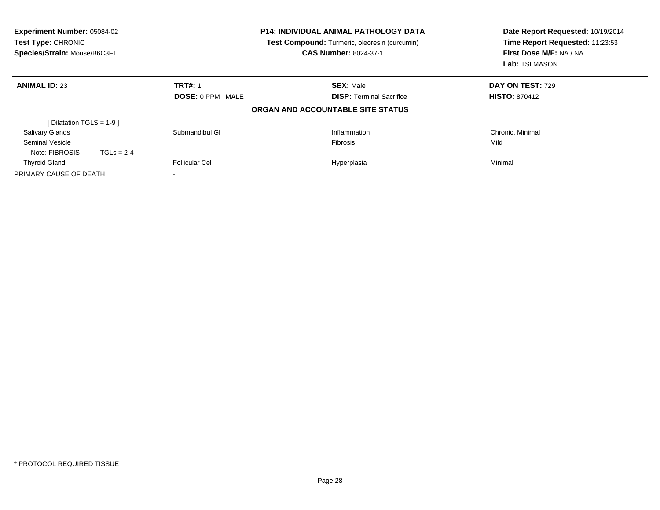| <b>Experiment Number: 05084-02</b><br>Test Type: CHRONIC<br>Species/Strain: Mouse/B6C3F1 | <b>P14: INDIVIDUAL ANIMAL PATHOLOGY DATA</b><br>Test Compound: Turmeric, oleoresin (curcumin)<br><b>CAS Number: 8024-37-1</b> |                                   | Date Report Requested: 10/19/2014<br>Time Report Requested: 11:23:53<br>First Dose M/F: NA / NA<br>Lab: TSI MASON |  |
|------------------------------------------------------------------------------------------|-------------------------------------------------------------------------------------------------------------------------------|-----------------------------------|-------------------------------------------------------------------------------------------------------------------|--|
| <b>ANIMAL ID: 23</b>                                                                     | <b>TRT#: 1</b>                                                                                                                | <b>SEX: Male</b>                  | <b>DAY ON TEST: 729</b>                                                                                           |  |
|                                                                                          | <b>DOSE: 0 PPM MALE</b>                                                                                                       | <b>DISP: Terminal Sacrifice</b>   | <b>HISTO: 870412</b>                                                                                              |  |
|                                                                                          |                                                                                                                               | ORGAN AND ACCOUNTABLE SITE STATUS |                                                                                                                   |  |
| [Dilatation TGLS = $1-9$ ]                                                               |                                                                                                                               |                                   |                                                                                                                   |  |
| Salivary Glands                                                                          | Submandibul GI                                                                                                                | Inflammation                      | Chronic, Minimal                                                                                                  |  |
| <b>Seminal Vesicle</b>                                                                   |                                                                                                                               | <b>Fibrosis</b>                   | Mild                                                                                                              |  |
| Note: FIBROSIS<br>$TGLs = 2-4$                                                           |                                                                                                                               |                                   |                                                                                                                   |  |
| <b>Thyroid Gland</b>                                                                     | <b>Follicular Cel</b>                                                                                                         | Hyperplasia                       | Minimal                                                                                                           |  |
| PRIMARY CAUSE OF DEATH                                                                   | $\,$                                                                                                                          |                                   |                                                                                                                   |  |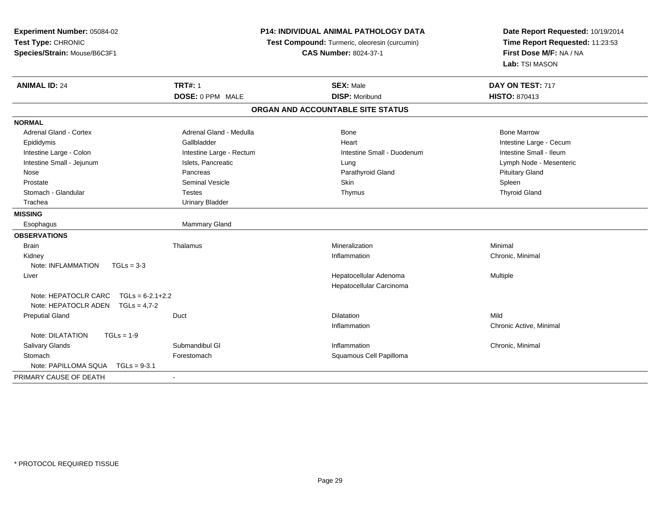| Experiment Number: 05084-02                |                                               | P14: INDIVIDUAL ANIMAL PATHOLOGY DATA |                                 |
|--------------------------------------------|-----------------------------------------------|---------------------------------------|---------------------------------|
| Test Type: CHRONIC                         | Test Compound: Turmeric, oleoresin (curcumin) |                                       | Time Report Requested: 11:23:53 |
| Species/Strain: Mouse/B6C3F1               |                                               | <b>CAS Number: 8024-37-1</b>          | First Dose M/F: NA / NA         |
|                                            |                                               |                                       | Lab: TSI MASON                  |
| <b>ANIMAL ID: 24</b>                       | <b>TRT#: 1</b>                                | <b>SEX: Male</b>                      | DAY ON TEST: 717                |
|                                            | DOSE: 0 PPM MALE                              | <b>DISP: Moribund</b>                 | <b>HISTO: 870413</b>            |
|                                            |                                               | ORGAN AND ACCOUNTABLE SITE STATUS     |                                 |
| <b>NORMAL</b>                              |                                               |                                       |                                 |
| <b>Adrenal Gland - Cortex</b>              | Adrenal Gland - Medulla                       | Bone                                  | <b>Bone Marrow</b>              |
| Epididymis                                 | Gallbladder                                   | Heart                                 | Intestine Large - Cecum         |
| Intestine Large - Colon                    | Intestine Large - Rectum                      | Intestine Small - Duodenum            | Intestine Small - Ileum         |
| Intestine Small - Jejunum                  | Islets, Pancreatic                            | Lung                                  | Lymph Node - Mesenteric         |
| Nose                                       | Pancreas                                      | Parathyroid Gland                     | <b>Pituitary Gland</b>          |
| Prostate                                   | <b>Seminal Vesicle</b>                        | Skin                                  | Spleen                          |
| Stomach - Glandular                        | <b>Testes</b>                                 | Thymus                                | <b>Thyroid Gland</b>            |
| Trachea                                    | <b>Urinary Bladder</b>                        |                                       |                                 |
| <b>MISSING</b>                             |                                               |                                       |                                 |
| Esophagus                                  | Mammary Gland                                 |                                       |                                 |
| <b>OBSERVATIONS</b>                        |                                               |                                       |                                 |
| <b>Brain</b>                               | Thalamus                                      | Mineralization                        | Minimal                         |
| Kidney                                     |                                               | Inflammation                          | Chronic, Minimal                |
| Note: INFLAMMATION<br>$TGLs = 3-3$         |                                               |                                       |                                 |
| Liver                                      |                                               | Hepatocellular Adenoma                | Multiple                        |
|                                            |                                               | Hepatocellular Carcinoma              |                                 |
| $TGLs = 6-2.1+2.2$<br>Note: HEPATOCLR CARC |                                               |                                       |                                 |
| Note: HEPATOCLR ADEN<br>$TGLs = 4.7-2$     |                                               |                                       |                                 |
| <b>Preputial Gland</b>                     | Duct                                          | <b>Dilatation</b>                     | Mild                            |
|                                            |                                               | Inflammation                          | Chronic Active, Minimal         |
| Note: DILATATION<br>$TGLs = 1-9$           |                                               |                                       |                                 |
| Salivary Glands                            | Submandibul GI                                | Inflammation                          | Chronic, Minimal                |
| Stomach                                    | Forestomach                                   | Squamous Cell Papilloma               |                                 |
| Note: PAPILLOMA SQUA<br>$TGLs = 9-3.1$     |                                               |                                       |                                 |
| PRIMARY CAUSE OF DEATH                     | $\blacksquare$                                |                                       |                                 |
|                                            |                                               |                                       |                                 |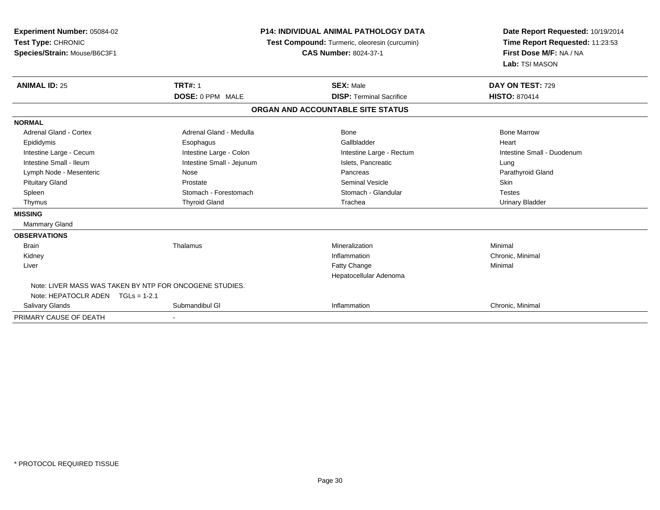| Experiment Number: 05084-02<br>Test Type: CHRONIC<br>Species/Strain: Mouse/B6C3F1 |                           | <b>P14: INDIVIDUAL ANIMAL PATHOLOGY DATA</b><br>Test Compound: Turmeric, oleoresin (curcumin)<br><b>CAS Number: 8024-37-1</b> | Date Report Requested: 10/19/2014<br>Time Report Requested: 11:23:53<br>First Dose M/F: NA / NA<br>Lab: TSI MASON |
|-----------------------------------------------------------------------------------|---------------------------|-------------------------------------------------------------------------------------------------------------------------------|-------------------------------------------------------------------------------------------------------------------|
| <b>ANIMAL ID: 25</b>                                                              | <b>TRT#: 1</b>            | <b>SEX: Male</b>                                                                                                              | DAY ON TEST: 729                                                                                                  |
|                                                                                   | DOSE: 0 PPM MALE          | <b>DISP: Terminal Sacrifice</b>                                                                                               | <b>HISTO: 870414</b>                                                                                              |
|                                                                                   |                           | ORGAN AND ACCOUNTABLE SITE STATUS                                                                                             |                                                                                                                   |
| <b>NORMAL</b>                                                                     |                           |                                                                                                                               |                                                                                                                   |
| Adrenal Gland - Cortex                                                            | Adrenal Gland - Medulla   | Bone                                                                                                                          | <b>Bone Marrow</b>                                                                                                |
| Epididymis                                                                        | Esophagus                 | Gallbladder                                                                                                                   | Heart                                                                                                             |
| Intestine Large - Cecum                                                           | Intestine Large - Colon   | Intestine Large - Rectum                                                                                                      | Intestine Small - Duodenum                                                                                        |
| Intestine Small - Ileum                                                           | Intestine Small - Jejunum | Islets, Pancreatic                                                                                                            | Lung                                                                                                              |
| Lymph Node - Mesenteric                                                           | Nose                      | Pancreas                                                                                                                      | Parathyroid Gland                                                                                                 |
| <b>Pituitary Gland</b>                                                            | Prostate                  | Seminal Vesicle                                                                                                               | <b>Skin</b>                                                                                                       |
| Spleen                                                                            | Stomach - Forestomach     | Stomach - Glandular                                                                                                           | <b>Testes</b>                                                                                                     |
| Thymus                                                                            | <b>Thyroid Gland</b>      | Trachea                                                                                                                       | <b>Urinary Bladder</b>                                                                                            |
| <b>MISSING</b>                                                                    |                           |                                                                                                                               |                                                                                                                   |
| <b>Mammary Gland</b>                                                              |                           |                                                                                                                               |                                                                                                                   |
| <b>OBSERVATIONS</b>                                                               |                           |                                                                                                                               |                                                                                                                   |
| <b>Brain</b>                                                                      | Thalamus                  | Mineralization                                                                                                                | Minimal                                                                                                           |
| Kidney                                                                            |                           | Inflammation                                                                                                                  | Chronic, Minimal                                                                                                  |
| Liver                                                                             |                           | Fatty Change                                                                                                                  | Minimal                                                                                                           |
|                                                                                   |                           | Hepatocellular Adenoma                                                                                                        |                                                                                                                   |
| Note: LIVER MASS WAS TAKEN BY NTP FOR ONCOGENE STUDIES.                           |                           |                                                                                                                               |                                                                                                                   |
| Note: HEPATOCLR ADEN TGLs = 1-2.1                                                 |                           |                                                                                                                               |                                                                                                                   |
| Salivary Glands                                                                   | Submandibul GI            | Inflammation                                                                                                                  | Chronic, Minimal                                                                                                  |
| PRIMARY CAUSE OF DEATH                                                            |                           |                                                                                                                               |                                                                                                                   |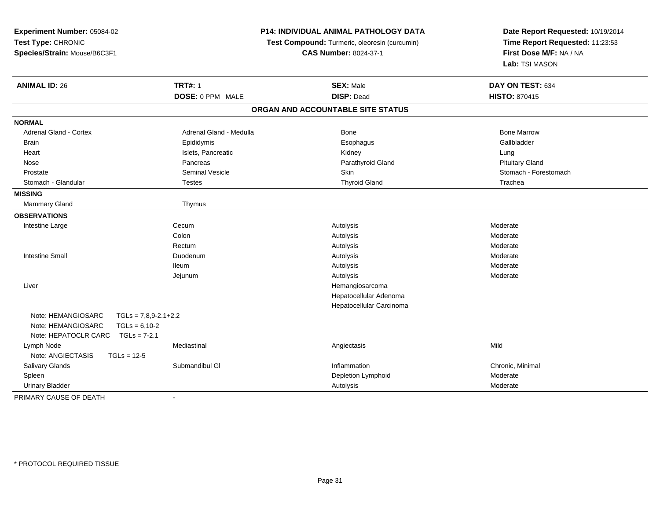| Experiment Number: 05084-02                  |                         | P14: INDIVIDUAL ANIMAL PATHOLOGY DATA         | Date Report Requested: 10/19/2014<br>Time Report Requested: 11:23:53<br>First Dose M/F: NA / NA |
|----------------------------------------------|-------------------------|-----------------------------------------------|-------------------------------------------------------------------------------------------------|
| Test Type: CHRONIC                           |                         | Test Compound: Turmeric, oleoresin (curcumin) |                                                                                                 |
| Species/Strain: Mouse/B6C3F1                 |                         | <b>CAS Number: 8024-37-1</b>                  |                                                                                                 |
|                                              |                         |                                               | Lab: TSI MASON                                                                                  |
| <b>ANIMAL ID: 26</b>                         | <b>TRT#: 1</b>          | <b>SEX: Male</b>                              | DAY ON TEST: 634                                                                                |
|                                              | DOSE: 0 PPM MALE        | <b>DISP: Dead</b>                             | <b>HISTO: 870415</b>                                                                            |
|                                              |                         | ORGAN AND ACCOUNTABLE SITE STATUS             |                                                                                                 |
| <b>NORMAL</b>                                |                         |                                               |                                                                                                 |
| Adrenal Gland - Cortex                       | Adrenal Gland - Medulla | <b>Bone</b>                                   | <b>Bone Marrow</b>                                                                              |
| <b>Brain</b>                                 | Epididymis              | Esophagus                                     | Gallbladder                                                                                     |
| Heart                                        | Islets, Pancreatic      | Kidney                                        | Lung                                                                                            |
| Nose                                         | Pancreas                | Parathyroid Gland                             | <b>Pituitary Gland</b>                                                                          |
| Prostate                                     | <b>Seminal Vesicle</b>  | <b>Skin</b>                                   | Stomach - Forestomach                                                                           |
| Stomach - Glandular                          | <b>Testes</b>           | <b>Thyroid Gland</b>                          | Trachea                                                                                         |
| <b>MISSING</b>                               |                         |                                               |                                                                                                 |
| Mammary Gland                                | Thymus                  |                                               |                                                                                                 |
| <b>OBSERVATIONS</b>                          |                         |                                               |                                                                                                 |
| Intestine Large                              | Cecum                   | Autolysis                                     | Moderate                                                                                        |
|                                              | Colon                   | Autolysis                                     | Moderate                                                                                        |
|                                              | Rectum                  | Autolysis                                     | Moderate                                                                                        |
| <b>Intestine Small</b>                       | Duodenum                | Autolysis                                     | Moderate                                                                                        |
|                                              | <b>Ileum</b>            | Autolysis                                     | Moderate                                                                                        |
|                                              | Jejunum                 | Autolysis                                     | Moderate                                                                                        |
| Liver                                        |                         | Hemangiosarcoma                               |                                                                                                 |
|                                              |                         | Hepatocellular Adenoma                        |                                                                                                 |
|                                              |                         | Hepatocellular Carcinoma                      |                                                                                                 |
| Note: HEMANGIOSARC<br>$TGLs = 7,8,9-2.1+2.2$ |                         |                                               |                                                                                                 |
| Note: HEMANGIOSARC<br>$TGLs = 6,10-2$        |                         |                                               |                                                                                                 |
| Note: HEPATOCLR CARC<br>$TGLs = 7-2.1$       |                         |                                               |                                                                                                 |
| Lymph Node                                   | Mediastinal             | Angiectasis                                   | Mild                                                                                            |
| Note: ANGIECTASIS<br>$TGLs = 12-5$           |                         |                                               |                                                                                                 |
| Salivary Glands                              | Submandibul GI          | Inflammation                                  | Chronic, Minimal                                                                                |
| Spleen                                       |                         | Depletion Lymphoid                            | Moderate                                                                                        |
| <b>Urinary Bladder</b>                       |                         | Autolysis                                     | Moderate                                                                                        |
| PRIMARY CAUSE OF DEATH                       | $\blacksquare$          |                                               |                                                                                                 |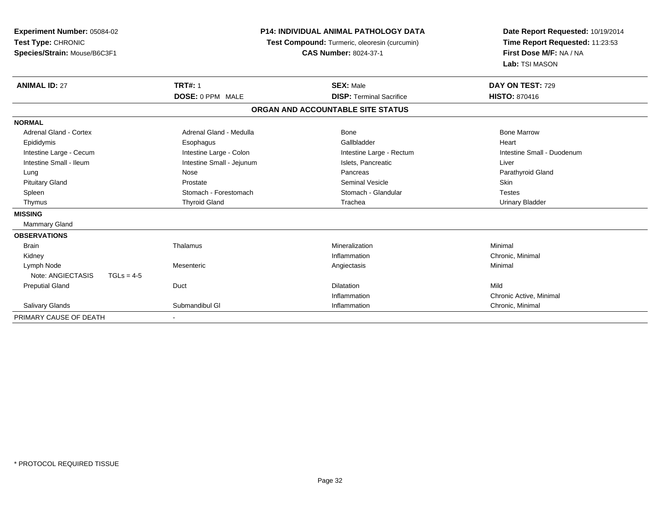| Experiment Number: 05084-02<br>Test Type: CHRONIC<br>Species/Strain: Mouse/B6C3F1<br><b>ANIMAL ID: 27</b> | <b>TRT#: 1</b>            | <b>P14: INDIVIDUAL ANIMAL PATHOLOGY DATA</b><br>Test Compound: Turmeric, oleoresin (curcumin)<br><b>CAS Number: 8024-37-1</b><br><b>SEX: Male</b> | Date Report Requested: 10/19/2014<br>Time Report Requested: 11:23:53<br>First Dose M/F: NA / NA<br>Lab: TSI MASON<br>DAY ON TEST: 729 |
|-----------------------------------------------------------------------------------------------------------|---------------------------|---------------------------------------------------------------------------------------------------------------------------------------------------|---------------------------------------------------------------------------------------------------------------------------------------|
|                                                                                                           | <b>DOSE: 0 PPM MALE</b>   | <b>DISP: Terminal Sacrifice</b>                                                                                                                   | <b>HISTO: 870416</b>                                                                                                                  |
|                                                                                                           |                           | ORGAN AND ACCOUNTABLE SITE STATUS                                                                                                                 |                                                                                                                                       |
| <b>NORMAL</b>                                                                                             |                           |                                                                                                                                                   |                                                                                                                                       |
| <b>Adrenal Gland - Cortex</b>                                                                             | Adrenal Gland - Medulla   | Bone                                                                                                                                              | <b>Bone Marrow</b>                                                                                                                    |
| Epididymis                                                                                                | Esophagus                 | Gallbladder                                                                                                                                       | Heart                                                                                                                                 |
| Intestine Large - Cecum                                                                                   | Intestine Large - Colon   | Intestine Large - Rectum                                                                                                                          | Intestine Small - Duodenum                                                                                                            |
| Intestine Small - Ileum                                                                                   | Intestine Small - Jejunum | Islets, Pancreatic                                                                                                                                | Liver                                                                                                                                 |
| Lung                                                                                                      | Nose                      | Pancreas                                                                                                                                          | Parathyroid Gland                                                                                                                     |
| <b>Pituitary Gland</b>                                                                                    | Prostate                  | <b>Seminal Vesicle</b>                                                                                                                            | <b>Skin</b>                                                                                                                           |
| Spleen                                                                                                    | Stomach - Forestomach     | Stomach - Glandular                                                                                                                               | <b>Testes</b>                                                                                                                         |
| Thymus                                                                                                    | <b>Thyroid Gland</b>      | Trachea                                                                                                                                           | <b>Urinary Bladder</b>                                                                                                                |
| <b>MISSING</b>                                                                                            |                           |                                                                                                                                                   |                                                                                                                                       |
| Mammary Gland                                                                                             |                           |                                                                                                                                                   |                                                                                                                                       |
| <b>OBSERVATIONS</b>                                                                                       |                           |                                                                                                                                                   |                                                                                                                                       |
| <b>Brain</b>                                                                                              | Thalamus                  | Mineralization                                                                                                                                    | Minimal                                                                                                                               |
| Kidney                                                                                                    |                           | Inflammation                                                                                                                                      | Chronic, Minimal                                                                                                                      |
| Lymph Node                                                                                                | Mesenteric                | Angiectasis                                                                                                                                       | Minimal                                                                                                                               |
| Note: ANGIECTASIS<br>$TGLs = 4-5$                                                                         |                           |                                                                                                                                                   |                                                                                                                                       |
| <b>Preputial Gland</b>                                                                                    | Duct                      | <b>Dilatation</b>                                                                                                                                 | Mild                                                                                                                                  |
|                                                                                                           |                           | Inflammation                                                                                                                                      | Chronic Active, Minimal                                                                                                               |
| Salivary Glands                                                                                           | Submandibul GI            | Inflammation                                                                                                                                      | Chronic, Minimal                                                                                                                      |
| PRIMARY CAUSE OF DEATH                                                                                    | $\blacksquare$            |                                                                                                                                                   |                                                                                                                                       |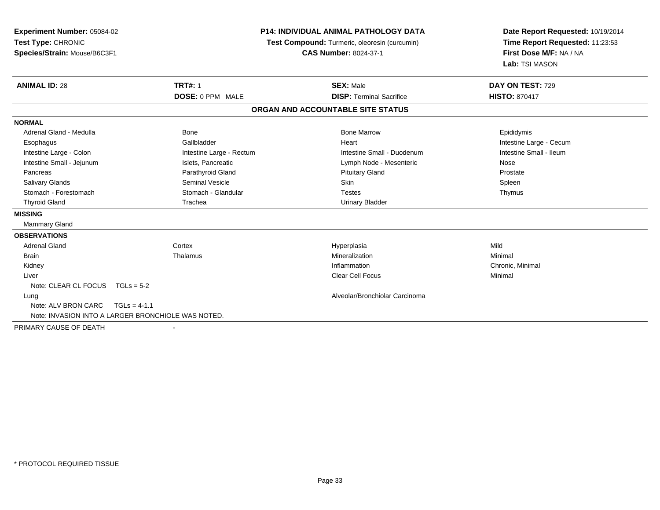| Experiment Number: 05084-02<br>Test Type: CHRONIC<br>Species/Strain: Mouse/B6C3F1 |                          | <b>P14: INDIVIDUAL ANIMAL PATHOLOGY DATA</b><br>Test Compound: Turmeric, oleoresin (curcumin)<br><b>CAS Number: 8024-37-1</b> | Date Report Requested: 10/19/2014<br>Time Report Requested: 11:23:53<br>First Dose M/F: NA / NA<br>Lab: TSI MASON |  |
|-----------------------------------------------------------------------------------|--------------------------|-------------------------------------------------------------------------------------------------------------------------------|-------------------------------------------------------------------------------------------------------------------|--|
| <b>ANIMAL ID: 28</b>                                                              | <b>TRT#: 1</b>           | <b>SEX: Male</b>                                                                                                              | DAY ON TEST: 729                                                                                                  |  |
|                                                                                   | DOSE: 0 PPM MALE         | <b>DISP: Terminal Sacrifice</b>                                                                                               | <b>HISTO: 870417</b>                                                                                              |  |
|                                                                                   |                          | ORGAN AND ACCOUNTABLE SITE STATUS                                                                                             |                                                                                                                   |  |
| <b>NORMAL</b>                                                                     |                          |                                                                                                                               |                                                                                                                   |  |
| Adrenal Gland - Medulla                                                           | Bone                     | <b>Bone Marrow</b>                                                                                                            | Epididymis                                                                                                        |  |
| Esophagus                                                                         | Gallbladder              | Heart                                                                                                                         | Intestine Large - Cecum                                                                                           |  |
| Intestine Large - Colon                                                           | Intestine Large - Rectum | Intestine Small - Duodenum                                                                                                    | Intestine Small - Ileum                                                                                           |  |
| Intestine Small - Jejunum                                                         | Islets, Pancreatic       | Lymph Node - Mesenteric                                                                                                       | Nose                                                                                                              |  |
| Pancreas                                                                          | Parathyroid Gland        | <b>Pituitary Gland</b>                                                                                                        | Prostate                                                                                                          |  |
| <b>Salivary Glands</b>                                                            | Seminal Vesicle          | <b>Skin</b>                                                                                                                   | Spleen                                                                                                            |  |
| Stomach - Forestomach                                                             | Stomach - Glandular      | <b>Testes</b>                                                                                                                 | Thymus                                                                                                            |  |
| <b>Thyroid Gland</b>                                                              | Trachea                  | <b>Urinary Bladder</b>                                                                                                        |                                                                                                                   |  |
| <b>MISSING</b>                                                                    |                          |                                                                                                                               |                                                                                                                   |  |
| Mammary Gland                                                                     |                          |                                                                                                                               |                                                                                                                   |  |
| <b>OBSERVATIONS</b>                                                               |                          |                                                                                                                               |                                                                                                                   |  |
| <b>Adrenal Gland</b>                                                              | Cortex                   | Hyperplasia                                                                                                                   | Mild                                                                                                              |  |
| <b>Brain</b>                                                                      | Thalamus                 | Mineralization                                                                                                                | Minimal                                                                                                           |  |
| Kidney                                                                            |                          | Inflammation                                                                                                                  | Chronic, Minimal                                                                                                  |  |
| Liver                                                                             |                          | <b>Clear Cell Focus</b>                                                                                                       | Minimal                                                                                                           |  |
| Note: CLEAR CL FOCUS $TGLs = 5-2$                                                 |                          |                                                                                                                               |                                                                                                                   |  |
| Lung                                                                              |                          | Alveolar/Bronchiolar Carcinoma                                                                                                |                                                                                                                   |  |
| Note: ALV BRON CARC<br>$TGLs = 4-1.1$                                             |                          |                                                                                                                               |                                                                                                                   |  |
| Note: INVASION INTO A LARGER BRONCHIOLE WAS NOTED.                                |                          |                                                                                                                               |                                                                                                                   |  |
| PRIMARY CAUSE OF DEATH                                                            |                          |                                                                                                                               |                                                                                                                   |  |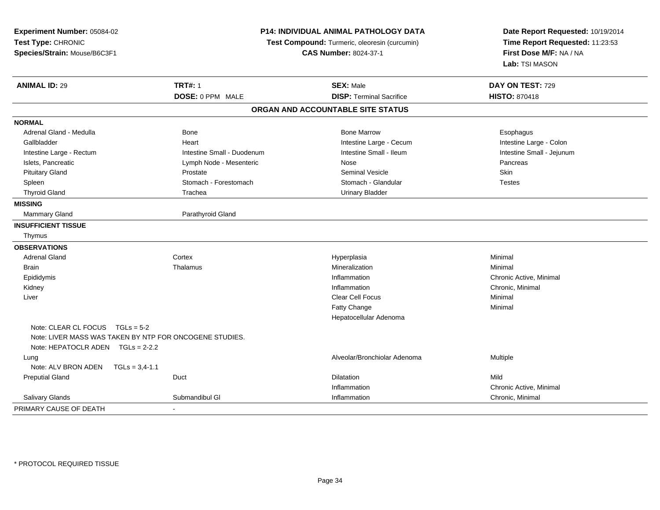| Experiment Number: 05084-02<br>Test Type: CHRONIC<br>Species/Strain: Mouse/B6C3F1 | P14: INDIVIDUAL ANIMAL PATHOLOGY DATA<br>Test Compound: Turmeric, oleoresin (curcumin)<br><b>CAS Number: 8024-37-1</b> |                                   | Date Report Requested: 10/19/2014<br>Time Report Requested: 11:23:53<br>First Dose M/F: NA / NA<br>Lab: TSI MASON |
|-----------------------------------------------------------------------------------|------------------------------------------------------------------------------------------------------------------------|-----------------------------------|-------------------------------------------------------------------------------------------------------------------|
| <b>ANIMAL ID: 29</b>                                                              | <b>TRT#: 1</b>                                                                                                         | <b>SEX: Male</b>                  | DAY ON TEST: 729                                                                                                  |
|                                                                                   | DOSE: 0 PPM MALE                                                                                                       | <b>DISP: Terminal Sacrifice</b>   | <b>HISTO: 870418</b>                                                                                              |
|                                                                                   |                                                                                                                        | ORGAN AND ACCOUNTABLE SITE STATUS |                                                                                                                   |
| <b>NORMAL</b>                                                                     |                                                                                                                        |                                   |                                                                                                                   |
| Adrenal Gland - Medulla                                                           | <b>Bone</b>                                                                                                            | <b>Bone Marrow</b>                | Esophagus                                                                                                         |
| Gallbladder                                                                       | Heart                                                                                                                  | Intestine Large - Cecum           | Intestine Large - Colon                                                                                           |
| Intestine Large - Rectum                                                          | Intestine Small - Duodenum                                                                                             | Intestine Small - Ileum           | Intestine Small - Jejunum                                                                                         |
| Islets, Pancreatic                                                                | Lymph Node - Mesenteric                                                                                                | Nose                              | Pancreas                                                                                                          |
| <b>Pituitary Gland</b>                                                            | Prostate                                                                                                               | <b>Seminal Vesicle</b>            | Skin                                                                                                              |
| Spleen                                                                            | Stomach - Forestomach                                                                                                  | Stomach - Glandular               | <b>Testes</b>                                                                                                     |
| <b>Thyroid Gland</b>                                                              | Trachea                                                                                                                | <b>Urinary Bladder</b>            |                                                                                                                   |
| <b>MISSING</b>                                                                    |                                                                                                                        |                                   |                                                                                                                   |
| Mammary Gland                                                                     | Parathyroid Gland                                                                                                      |                                   |                                                                                                                   |
| <b>INSUFFICIENT TISSUE</b>                                                        |                                                                                                                        |                                   |                                                                                                                   |
| Thymus                                                                            |                                                                                                                        |                                   |                                                                                                                   |
| <b>OBSERVATIONS</b>                                                               |                                                                                                                        |                                   |                                                                                                                   |
| <b>Adrenal Gland</b>                                                              | Cortex                                                                                                                 | Hyperplasia                       | Minimal                                                                                                           |
| Brain                                                                             | Thalamus                                                                                                               | Mineralization                    | Minimal                                                                                                           |
| Epididymis                                                                        |                                                                                                                        | Inflammation                      | Chronic Active, Minimal                                                                                           |
| Kidney                                                                            |                                                                                                                        | Inflammation                      | Chronic, Minimal                                                                                                  |
| Liver                                                                             |                                                                                                                        | Clear Cell Focus                  | Minimal                                                                                                           |
|                                                                                   |                                                                                                                        | Fatty Change                      | Minimal                                                                                                           |
|                                                                                   |                                                                                                                        | Hepatocellular Adenoma            |                                                                                                                   |
| Note: CLEAR CL FOCUS $TGLs = 5-2$                                                 |                                                                                                                        |                                   |                                                                                                                   |
| Note: LIVER MASS WAS TAKEN BY NTP FOR ONCOGENE STUDIES.                           |                                                                                                                        |                                   |                                                                                                                   |
| Note: HEPATOCLR ADEN $TGLs = 2-2.2$                                               |                                                                                                                        |                                   |                                                                                                                   |
| Lung                                                                              |                                                                                                                        | Alveolar/Bronchiolar Adenoma      | Multiple                                                                                                          |
| Note: ALV BRON ADEN<br>$TGLs = 3,4-1.1$                                           |                                                                                                                        |                                   |                                                                                                                   |
| <b>Preputial Gland</b>                                                            | Duct                                                                                                                   | Dilatation                        | Mild                                                                                                              |
|                                                                                   |                                                                                                                        | Inflammation                      | Chronic Active, Minimal                                                                                           |
| Salivary Glands                                                                   | Submandibul GI                                                                                                         | Inflammation                      | Chronic, Minimal                                                                                                  |
| PRIMARY CAUSE OF DEATH                                                            |                                                                                                                        |                                   |                                                                                                                   |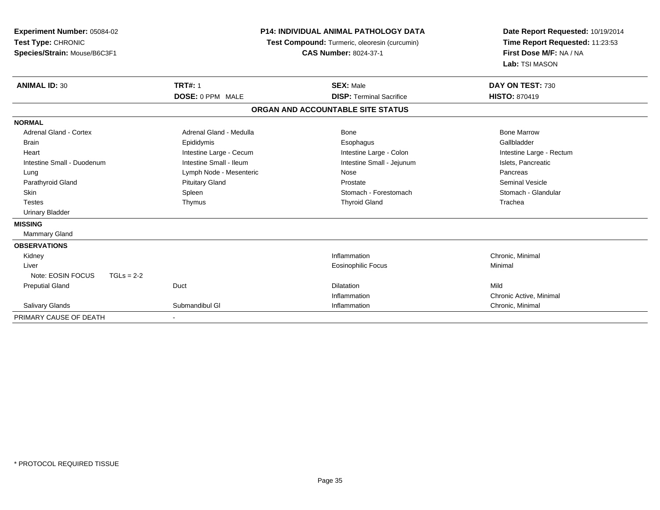| Experiment Number: 05084-02<br>Test Type: CHRONIC<br>Species/Strain: Mouse/B6C3F1<br><b>ANIMAL ID: 30</b> | <b>P14: INDIVIDUAL ANIMAL PATHOLOGY DATA</b><br>Test Compound: Turmeric, oleoresin (curcumin)<br><b>CAS Number: 8024-37-1</b><br><b>TRT#: 1</b><br><b>SEX: Male</b> |                                   | Date Report Requested: 10/19/2014<br>Time Report Requested: 11:23:53<br>First Dose M/F: NA / NA<br>Lab: TSI MASON<br>DAY ON TEST: 730 |
|-----------------------------------------------------------------------------------------------------------|---------------------------------------------------------------------------------------------------------------------------------------------------------------------|-----------------------------------|---------------------------------------------------------------------------------------------------------------------------------------|
|                                                                                                           | DOSE: 0 PPM MALE                                                                                                                                                    | <b>DISP: Terminal Sacrifice</b>   | <b>HISTO: 870419</b>                                                                                                                  |
|                                                                                                           |                                                                                                                                                                     | ORGAN AND ACCOUNTABLE SITE STATUS |                                                                                                                                       |
| <b>NORMAL</b>                                                                                             |                                                                                                                                                                     |                                   |                                                                                                                                       |
| <b>Adrenal Gland - Cortex</b>                                                                             | Adrenal Gland - Medulla                                                                                                                                             | Bone                              | <b>Bone Marrow</b>                                                                                                                    |
| <b>Brain</b>                                                                                              | Epididymis                                                                                                                                                          | Esophagus                         | Gallbladder                                                                                                                           |
| Heart                                                                                                     | Intestine Large - Cecum                                                                                                                                             | Intestine Large - Colon           | Intestine Large - Rectum                                                                                                              |
| Intestine Small - Duodenum                                                                                | Intestine Small - Ileum                                                                                                                                             | Intestine Small - Jejunum         | Islets, Pancreatic                                                                                                                    |
| Lung                                                                                                      | Lymph Node - Mesenteric                                                                                                                                             | Nose                              | Pancreas                                                                                                                              |
| Parathyroid Gland                                                                                         | <b>Pituitary Gland</b>                                                                                                                                              | Prostate                          | <b>Seminal Vesicle</b>                                                                                                                |
| <b>Skin</b>                                                                                               | Spleen                                                                                                                                                              | Stomach - Forestomach             | Stomach - Glandular                                                                                                                   |
| <b>Testes</b>                                                                                             | Thymus                                                                                                                                                              | <b>Thyroid Gland</b>              | Trachea                                                                                                                               |
| <b>Urinary Bladder</b>                                                                                    |                                                                                                                                                                     |                                   |                                                                                                                                       |
| <b>MISSING</b>                                                                                            |                                                                                                                                                                     |                                   |                                                                                                                                       |
| Mammary Gland                                                                                             |                                                                                                                                                                     |                                   |                                                                                                                                       |
| <b>OBSERVATIONS</b>                                                                                       |                                                                                                                                                                     |                                   |                                                                                                                                       |
| Kidney                                                                                                    |                                                                                                                                                                     | Inflammation                      | Chronic, Minimal                                                                                                                      |
| Liver                                                                                                     |                                                                                                                                                                     | <b>Eosinophilic Focus</b>         | Minimal                                                                                                                               |
| Note: EOSIN FOCUS<br>$TGLs = 2-2$                                                                         |                                                                                                                                                                     |                                   |                                                                                                                                       |
| <b>Preputial Gland</b>                                                                                    | Duct                                                                                                                                                                | <b>Dilatation</b>                 | Mild                                                                                                                                  |
|                                                                                                           |                                                                                                                                                                     | Inflammation                      | Chronic Active, Minimal                                                                                                               |
| Salivary Glands                                                                                           | Submandibul GI                                                                                                                                                      | Inflammation                      | Chronic, Minimal                                                                                                                      |
| PRIMARY CAUSE OF DEATH                                                                                    |                                                                                                                                                                     |                                   |                                                                                                                                       |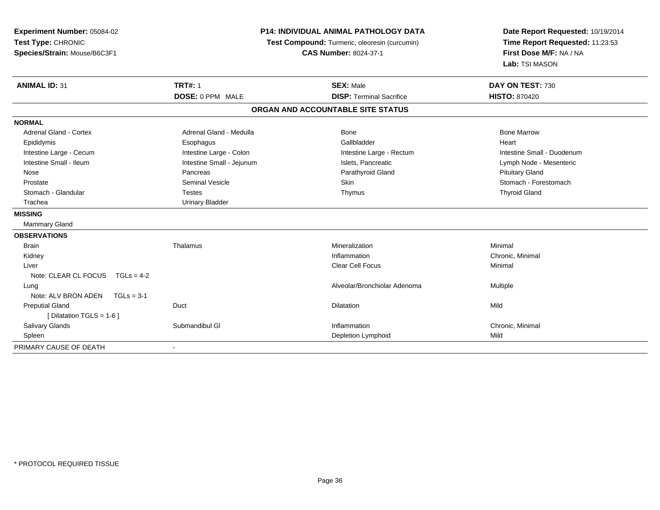| Experiment Number: 05084-02<br>Test Type: CHRONIC<br>Species/Strain: Mouse/B6C3F1 | <b>P14: INDIVIDUAL ANIMAL PATHOLOGY DATA</b><br>Test Compound: Turmeric, oleoresin (curcumin)<br><b>CAS Number: 8024-37-1</b> |                                   | Date Report Requested: 10/19/2014<br>Time Report Requested: 11:23:53<br>First Dose M/F: NA / NA<br>Lab: TSI MASON |  |
|-----------------------------------------------------------------------------------|-------------------------------------------------------------------------------------------------------------------------------|-----------------------------------|-------------------------------------------------------------------------------------------------------------------|--|
| <b>ANIMAL ID: 31</b>                                                              | <b>TRT#: 1</b>                                                                                                                | <b>SEX: Male</b>                  | DAY ON TEST: 730                                                                                                  |  |
|                                                                                   | DOSE: 0 PPM MALE                                                                                                              | <b>DISP: Terminal Sacrifice</b>   | <b>HISTO: 870420</b>                                                                                              |  |
|                                                                                   |                                                                                                                               | ORGAN AND ACCOUNTABLE SITE STATUS |                                                                                                                   |  |
| <b>NORMAL</b>                                                                     |                                                                                                                               |                                   |                                                                                                                   |  |
| <b>Adrenal Gland - Cortex</b>                                                     | Adrenal Gland - Medulla                                                                                                       | Bone                              | <b>Bone Marrow</b>                                                                                                |  |
| Epididymis                                                                        | Esophagus                                                                                                                     | Gallbladder                       | Heart                                                                                                             |  |
| Intestine Large - Cecum                                                           | Intestine Large - Colon                                                                                                       | Intestine Large - Rectum          | Intestine Small - Duodenum                                                                                        |  |
| Intestine Small - Ileum                                                           | Intestine Small - Jejunum                                                                                                     | Islets, Pancreatic                | Lymph Node - Mesenteric                                                                                           |  |
| Nose                                                                              | Pancreas                                                                                                                      | Parathyroid Gland                 | <b>Pituitary Gland</b>                                                                                            |  |
| Prostate                                                                          | <b>Seminal Vesicle</b>                                                                                                        | Skin                              | Stomach - Forestomach                                                                                             |  |
| Stomach - Glandular                                                               | <b>Testes</b>                                                                                                                 | Thymus                            | <b>Thyroid Gland</b>                                                                                              |  |
| Trachea                                                                           | <b>Urinary Bladder</b>                                                                                                        |                                   |                                                                                                                   |  |
| <b>MISSING</b>                                                                    |                                                                                                                               |                                   |                                                                                                                   |  |
| <b>Mammary Gland</b>                                                              |                                                                                                                               |                                   |                                                                                                                   |  |
| <b>OBSERVATIONS</b>                                                               |                                                                                                                               |                                   |                                                                                                                   |  |
| <b>Brain</b>                                                                      | Thalamus                                                                                                                      | Mineralization                    | Minimal                                                                                                           |  |
| Kidney                                                                            |                                                                                                                               | Inflammation                      | Chronic, Minimal                                                                                                  |  |
| Liver                                                                             |                                                                                                                               | <b>Clear Cell Focus</b>           | Minimal                                                                                                           |  |
| Note: CLEAR CL FOCUS $TGLs = 4-2$                                                 |                                                                                                                               |                                   |                                                                                                                   |  |
| Lung                                                                              |                                                                                                                               | Alveolar/Bronchiolar Adenoma      | <b>Multiple</b>                                                                                                   |  |
| Note: ALV BRON ADEN<br>$TGLs = 3-1$                                               |                                                                                                                               |                                   |                                                                                                                   |  |
| <b>Preputial Gland</b>                                                            | Duct                                                                                                                          | <b>Dilatation</b>                 | Mild                                                                                                              |  |
| [ Dilatation TGLS = 1-6 ]                                                         |                                                                                                                               |                                   |                                                                                                                   |  |
| <b>Salivary Glands</b>                                                            | Submandibul GI                                                                                                                | Inflammation                      | Chronic, Minimal                                                                                                  |  |
| Spleen                                                                            |                                                                                                                               | Depletion Lymphoid                | Mild                                                                                                              |  |
| PRIMARY CAUSE OF DEATH                                                            |                                                                                                                               |                                   |                                                                                                                   |  |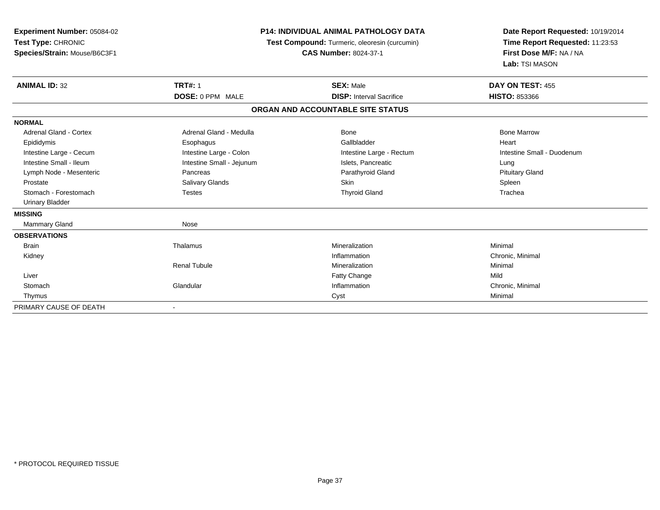| Experiment Number: 05084-02<br>Test Type: CHRONIC<br>Species/Strain: Mouse/B6C3F1 |                           | <b>P14: INDIVIDUAL ANIMAL PATHOLOGY DATA</b><br>Test Compound: Turmeric, oleoresin (curcumin)<br><b>CAS Number: 8024-37-1</b> | Date Report Requested: 10/19/2014<br>Time Report Requested: 11:23:53<br>First Dose M/F: NA / NA<br>Lab: TSI MASON |  |
|-----------------------------------------------------------------------------------|---------------------------|-------------------------------------------------------------------------------------------------------------------------------|-------------------------------------------------------------------------------------------------------------------|--|
| <b>ANIMAL ID: 32</b>                                                              | <b>TRT#: 1</b>            | <b>SEX: Male</b>                                                                                                              | DAY ON TEST: 455                                                                                                  |  |
|                                                                                   | DOSE: 0 PPM MALE          | <b>DISP:</b> Interval Sacrifice                                                                                               | <b>HISTO: 853366</b>                                                                                              |  |
|                                                                                   |                           | ORGAN AND ACCOUNTABLE SITE STATUS                                                                                             |                                                                                                                   |  |
| <b>NORMAL</b>                                                                     |                           |                                                                                                                               |                                                                                                                   |  |
| Adrenal Gland - Cortex                                                            | Adrenal Gland - Medulla   | Bone                                                                                                                          | <b>Bone Marrow</b>                                                                                                |  |
| Epididymis                                                                        | Esophagus                 | Gallbladder                                                                                                                   | Heart                                                                                                             |  |
| Intestine Large - Cecum                                                           | Intestine Large - Colon   | Intestine Large - Rectum                                                                                                      | Intestine Small - Duodenum                                                                                        |  |
| Intestine Small - Ileum                                                           | Intestine Small - Jejunum | Islets, Pancreatic                                                                                                            | Lung                                                                                                              |  |
| Lymph Node - Mesenteric                                                           | Pancreas                  | Parathyroid Gland                                                                                                             | <b>Pituitary Gland</b>                                                                                            |  |
| Prostate                                                                          | Salivary Glands           | <b>Skin</b>                                                                                                                   | Spleen                                                                                                            |  |
| Stomach - Forestomach                                                             | <b>Testes</b>             | <b>Thyroid Gland</b>                                                                                                          | Trachea                                                                                                           |  |
| <b>Urinary Bladder</b>                                                            |                           |                                                                                                                               |                                                                                                                   |  |
| <b>MISSING</b>                                                                    |                           |                                                                                                                               |                                                                                                                   |  |
| <b>Mammary Gland</b>                                                              | Nose                      |                                                                                                                               |                                                                                                                   |  |
| <b>OBSERVATIONS</b>                                                               |                           |                                                                                                                               |                                                                                                                   |  |
| <b>Brain</b>                                                                      | Thalamus                  | Mineralization                                                                                                                | Minimal                                                                                                           |  |
| Kidney                                                                            |                           | Inflammation                                                                                                                  | Chronic, Minimal                                                                                                  |  |
|                                                                                   | <b>Renal Tubule</b>       | Mineralization                                                                                                                | Minimal                                                                                                           |  |
| Liver                                                                             |                           | Fatty Change                                                                                                                  | Mild                                                                                                              |  |
| Stomach                                                                           | Glandular                 | Inflammation                                                                                                                  | Chronic, Minimal                                                                                                  |  |
| Thymus                                                                            |                           | Cyst                                                                                                                          | Minimal                                                                                                           |  |
| PRIMARY CAUSE OF DEATH                                                            |                           |                                                                                                                               |                                                                                                                   |  |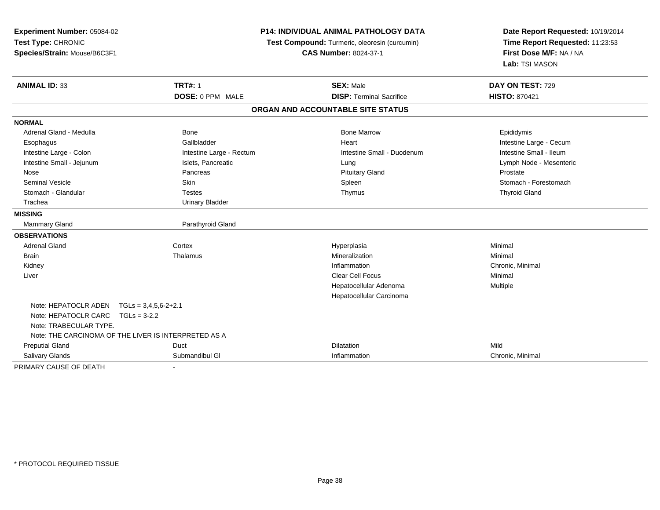| Experiment Number: 05084-02<br>Test Type: CHRONIC<br>Species/Strain: Mouse/B6C3F1 |                          | P14: INDIVIDUAL ANIMAL PATHOLOGY DATA<br>Test Compound: Turmeric, oleoresin (curcumin)<br><b>CAS Number: 8024-37-1</b> | Date Report Requested: 10/19/2014<br>Time Report Requested: 11:23:53<br>First Dose M/F: NA / NA<br>Lab: TSI MASON |  |
|-----------------------------------------------------------------------------------|--------------------------|------------------------------------------------------------------------------------------------------------------------|-------------------------------------------------------------------------------------------------------------------|--|
| <b>ANIMAL ID: 33</b>                                                              | <b>TRT#: 1</b>           | <b>SEX: Male</b>                                                                                                       | DAY ON TEST: 729                                                                                                  |  |
|                                                                                   | DOSE: 0 PPM MALE         | <b>DISP: Terminal Sacrifice</b>                                                                                        | <b>HISTO: 870421</b>                                                                                              |  |
|                                                                                   |                          | ORGAN AND ACCOUNTABLE SITE STATUS                                                                                      |                                                                                                                   |  |
| <b>NORMAL</b>                                                                     |                          |                                                                                                                        |                                                                                                                   |  |
| Adrenal Gland - Medulla                                                           | Bone                     | <b>Bone Marrow</b>                                                                                                     | Epididymis                                                                                                        |  |
| Esophagus                                                                         | Gallbladder              | Heart                                                                                                                  | Intestine Large - Cecum                                                                                           |  |
| Intestine Large - Colon                                                           | Intestine Large - Rectum | Intestine Small - Duodenum                                                                                             | Intestine Small - Ileum                                                                                           |  |
| Intestine Small - Jejunum                                                         | Islets, Pancreatic       | Lung                                                                                                                   | Lymph Node - Mesenteric                                                                                           |  |
| Nose                                                                              | Pancreas                 | <b>Pituitary Gland</b>                                                                                                 | Prostate                                                                                                          |  |
| <b>Seminal Vesicle</b>                                                            | Skin                     | Spleen                                                                                                                 | Stomach - Forestomach                                                                                             |  |
| Stomach - Glandular                                                               | <b>Testes</b>            | Thymus                                                                                                                 | <b>Thyroid Gland</b>                                                                                              |  |
| Trachea                                                                           | <b>Urinary Bladder</b>   |                                                                                                                        |                                                                                                                   |  |
| <b>MISSING</b>                                                                    |                          |                                                                                                                        |                                                                                                                   |  |
| <b>Mammary Gland</b>                                                              | Parathyroid Gland        |                                                                                                                        |                                                                                                                   |  |
| <b>OBSERVATIONS</b>                                                               |                          |                                                                                                                        |                                                                                                                   |  |
| <b>Adrenal Gland</b>                                                              | Cortex                   | Hyperplasia                                                                                                            | Minimal                                                                                                           |  |
| <b>Brain</b>                                                                      | Thalamus                 | Mineralization                                                                                                         | Minimal                                                                                                           |  |
| Kidney                                                                            |                          | Inflammation                                                                                                           | Chronic, Minimal                                                                                                  |  |
| Liver                                                                             |                          | Clear Cell Focus                                                                                                       | Minimal                                                                                                           |  |
|                                                                                   |                          | Hepatocellular Adenoma                                                                                                 | Multiple                                                                                                          |  |
|                                                                                   |                          | Hepatocellular Carcinoma                                                                                               |                                                                                                                   |  |
| Note: HEPATOCLR ADEN                                                              | $TGLs = 3,4,5,6-2+2.1$   |                                                                                                                        |                                                                                                                   |  |
| Note: HEPATOCLR CARC<br>$TGLs = 3-2.2$                                            |                          |                                                                                                                        |                                                                                                                   |  |
| Note: TRABECULAR TYPE.                                                            |                          |                                                                                                                        |                                                                                                                   |  |
| Note: THE CARCINOMA OF THE LIVER IS INTERPRETED AS A                              |                          |                                                                                                                        |                                                                                                                   |  |
| <b>Preputial Gland</b>                                                            | Duct                     | <b>Dilatation</b>                                                                                                      | Mild                                                                                                              |  |
| Salivary Glands                                                                   | Submandibul GI           | Inflammation                                                                                                           | Chronic, Minimal                                                                                                  |  |
| PRIMARY CAUSE OF DEATH                                                            |                          |                                                                                                                        |                                                                                                                   |  |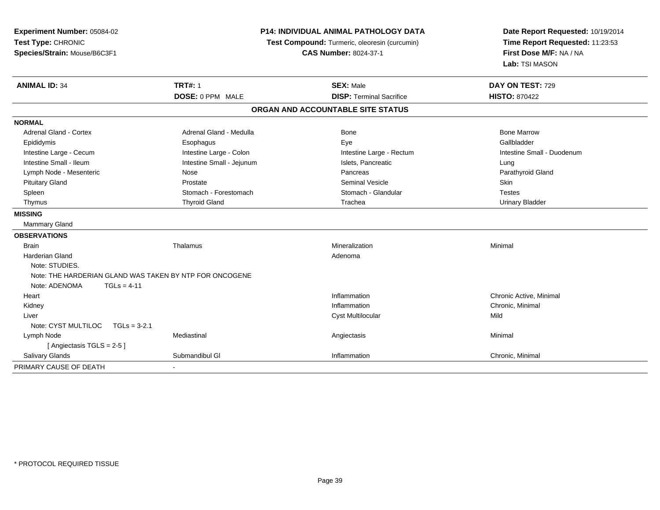| Experiment Number: 05084-02<br>Test Type: CHRONIC<br>Species/Strain: Mouse/B6C3F1 | P14: INDIVIDUAL ANIMAL PATHOLOGY DATA<br>Test Compound: Turmeric, oleoresin (curcumin)<br><b>CAS Number: 8024-37-1</b> |                                   | Date Report Requested: 10/19/2014<br>Time Report Requested: 11:23:53<br>First Dose M/F: NA / NA<br>Lab: TSI MASON |  |
|-----------------------------------------------------------------------------------|------------------------------------------------------------------------------------------------------------------------|-----------------------------------|-------------------------------------------------------------------------------------------------------------------|--|
| <b>ANIMAL ID: 34</b>                                                              | <b>TRT#: 1</b>                                                                                                         | <b>SEX: Male</b>                  | DAY ON TEST: 729                                                                                                  |  |
|                                                                                   | DOSE: 0 PPM MALE                                                                                                       | <b>DISP: Terminal Sacrifice</b>   | <b>HISTO: 870422</b>                                                                                              |  |
|                                                                                   |                                                                                                                        | ORGAN AND ACCOUNTABLE SITE STATUS |                                                                                                                   |  |
| <b>NORMAL</b>                                                                     |                                                                                                                        |                                   |                                                                                                                   |  |
| <b>Adrenal Gland - Cortex</b>                                                     | Adrenal Gland - Medulla                                                                                                | Bone                              | <b>Bone Marrow</b>                                                                                                |  |
| Epididymis                                                                        | Esophagus                                                                                                              | Eye                               | Gallbladder                                                                                                       |  |
| Intestine Large - Cecum                                                           | Intestine Large - Colon                                                                                                | Intestine Large - Rectum          | Intestine Small - Duodenum                                                                                        |  |
| Intestine Small - Ileum                                                           | Intestine Small - Jejunum                                                                                              | Islets, Pancreatic                | Lung                                                                                                              |  |
| Lymph Node - Mesenteric                                                           | Nose                                                                                                                   | Pancreas                          | Parathyroid Gland                                                                                                 |  |
| <b>Pituitary Gland</b>                                                            | Prostate                                                                                                               | <b>Seminal Vesicle</b>            | Skin                                                                                                              |  |
| Spleen                                                                            | Stomach - Forestomach                                                                                                  | Stomach - Glandular               | <b>Testes</b>                                                                                                     |  |
| Thymus                                                                            | <b>Thyroid Gland</b>                                                                                                   | Trachea                           | <b>Urinary Bladder</b>                                                                                            |  |
| <b>MISSING</b>                                                                    |                                                                                                                        |                                   |                                                                                                                   |  |
| Mammary Gland                                                                     |                                                                                                                        |                                   |                                                                                                                   |  |
| <b>OBSERVATIONS</b>                                                               |                                                                                                                        |                                   |                                                                                                                   |  |
| <b>Brain</b>                                                                      | Thalamus                                                                                                               | Mineralization                    | Minimal                                                                                                           |  |
| <b>Harderian Gland</b>                                                            |                                                                                                                        | Adenoma                           |                                                                                                                   |  |
| Note: STUDIES.                                                                    |                                                                                                                        |                                   |                                                                                                                   |  |
| Note: THE HARDERIAN GLAND WAS TAKEN BY NTP FOR ONCOGENE                           |                                                                                                                        |                                   |                                                                                                                   |  |
| Note: ADENOMA<br>$TGLs = 4-11$                                                    |                                                                                                                        |                                   |                                                                                                                   |  |
| Heart                                                                             |                                                                                                                        | Inflammation                      | Chronic Active, Minimal                                                                                           |  |
| Kidney                                                                            |                                                                                                                        | Inflammation                      | Chronic, Minimal                                                                                                  |  |
| Liver                                                                             |                                                                                                                        | <b>Cyst Multilocular</b>          | Mild                                                                                                              |  |
| Note: CYST MULTILOC<br>$TGLs = 3-2.1$                                             |                                                                                                                        |                                   |                                                                                                                   |  |
| Lymph Node                                                                        | Mediastinal                                                                                                            | Angiectasis                       | Minimal                                                                                                           |  |
| [Angiectasis TGLS = 2-5]                                                          |                                                                                                                        |                                   |                                                                                                                   |  |
| <b>Salivary Glands</b>                                                            | Submandibul GI                                                                                                         | Inflammation                      | Chronic, Minimal                                                                                                  |  |
| PRIMARY CAUSE OF DEATH                                                            |                                                                                                                        |                                   |                                                                                                                   |  |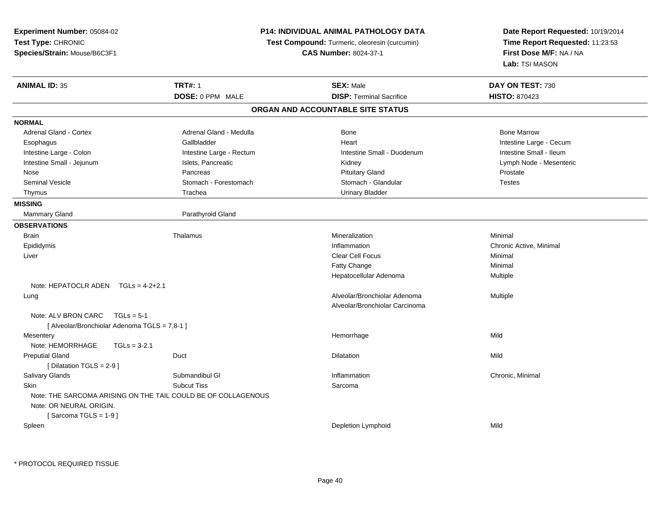| Experiment Number: 05084-02<br>Test Type: CHRONIC<br>Species/Strain: Mouse/B6C3F1 |                                                               | <b>P14: INDIVIDUAL ANIMAL PATHOLOGY DATA</b><br>Test Compound: Turmeric, oleoresin (curcumin)<br><b>CAS Number: 8024-37-1</b> | Date Report Requested: 10/19/2014<br>Time Report Requested: 11:23:53<br>First Dose M/F: NA / NA |
|-----------------------------------------------------------------------------------|---------------------------------------------------------------|-------------------------------------------------------------------------------------------------------------------------------|-------------------------------------------------------------------------------------------------|
|                                                                                   |                                                               |                                                                                                                               | Lab: TSI MASON                                                                                  |
| <b>ANIMAL ID: 35</b>                                                              | <b>TRT#: 1</b>                                                | <b>SEX: Male</b>                                                                                                              | DAY ON TEST: 730                                                                                |
|                                                                                   | DOSE: 0 PPM MALE                                              | <b>DISP: Terminal Sacrifice</b>                                                                                               | <b>HISTO: 870423</b>                                                                            |
|                                                                                   |                                                               | ORGAN AND ACCOUNTABLE SITE STATUS                                                                                             |                                                                                                 |
| <b>NORMAL</b>                                                                     |                                                               |                                                                                                                               |                                                                                                 |
| Adrenal Gland - Cortex                                                            | Adrenal Gland - Medulla                                       | Bone                                                                                                                          | <b>Bone Marrow</b>                                                                              |
| Esophagus                                                                         | Gallbladder                                                   | Heart                                                                                                                         | Intestine Large - Cecum                                                                         |
| Intestine Large - Colon                                                           | Intestine Large - Rectum                                      | Intestine Small - Duodenum                                                                                                    | Intestine Small - Ileum                                                                         |
| Intestine Small - Jejunum                                                         | Islets, Pancreatic                                            | Kidney                                                                                                                        | Lymph Node - Mesenteric                                                                         |
| Nose                                                                              | Pancreas                                                      | <b>Pituitary Gland</b>                                                                                                        | Prostate                                                                                        |
| Seminal Vesicle                                                                   | Stomach - Forestomach                                         | Stomach - Glandular                                                                                                           | <b>Testes</b>                                                                                   |
| Thymus                                                                            | Trachea                                                       | <b>Urinary Bladder</b>                                                                                                        |                                                                                                 |
| <b>MISSING</b>                                                                    |                                                               |                                                                                                                               |                                                                                                 |
| <b>Mammary Gland</b>                                                              | Parathyroid Gland                                             |                                                                                                                               |                                                                                                 |
| <b>OBSERVATIONS</b>                                                               |                                                               |                                                                                                                               |                                                                                                 |
| <b>Brain</b>                                                                      | Thalamus                                                      | Mineralization                                                                                                                | Minimal                                                                                         |
| Epididymis                                                                        |                                                               | Inflammation                                                                                                                  | Chronic Active, Minimal                                                                         |
| Liver                                                                             |                                                               | Clear Cell Focus                                                                                                              | Minimal                                                                                         |
|                                                                                   |                                                               | Fatty Change                                                                                                                  | Minimal                                                                                         |
|                                                                                   |                                                               | Hepatocellular Adenoma                                                                                                        | Multiple                                                                                        |
| Note: HEPATOCLR ADEN $TGLs = 4-2+2.1$                                             |                                                               |                                                                                                                               |                                                                                                 |
| Lung                                                                              |                                                               | Alveolar/Bronchiolar Adenoma                                                                                                  | Multiple                                                                                        |
|                                                                                   |                                                               | Alveolar/Bronchiolar Carcinoma                                                                                                |                                                                                                 |
| Note: ALV BRON CARC<br>$TGLs = 5-1$                                               |                                                               |                                                                                                                               |                                                                                                 |
| [ Alveolar/Bronchiolar Adenoma TGLS = 7,8-1 ]                                     |                                                               |                                                                                                                               |                                                                                                 |
| Mesentery                                                                         |                                                               | Hemorrhage                                                                                                                    | Mild                                                                                            |
| Note: HEMORRHAGE<br>$TGLs = 3-2.1$                                                |                                                               |                                                                                                                               |                                                                                                 |
| <b>Preputial Gland</b>                                                            | Duct                                                          | <b>Dilatation</b>                                                                                                             | Mild                                                                                            |
| [ Dilatation TGLS = 2-9 ]                                                         |                                                               |                                                                                                                               |                                                                                                 |
| Salivary Glands                                                                   | Submandibul GI                                                | Inflammation                                                                                                                  | Chronic, Minimal                                                                                |
| <b>Skin</b>                                                                       | <b>Subcut Tiss</b>                                            | Sarcoma                                                                                                                       |                                                                                                 |
|                                                                                   | Note: THE SARCOMA ARISING ON THE TAIL COULD BE OF COLLAGENOUS |                                                                                                                               |                                                                                                 |
| Note: OR NEURAL ORIGIN.                                                           |                                                               |                                                                                                                               |                                                                                                 |
| [Sarcoma TGLS = $1-9$ ]                                                           |                                                               |                                                                                                                               |                                                                                                 |
| Spleen                                                                            |                                                               | Depletion Lymphoid                                                                                                            | Mild                                                                                            |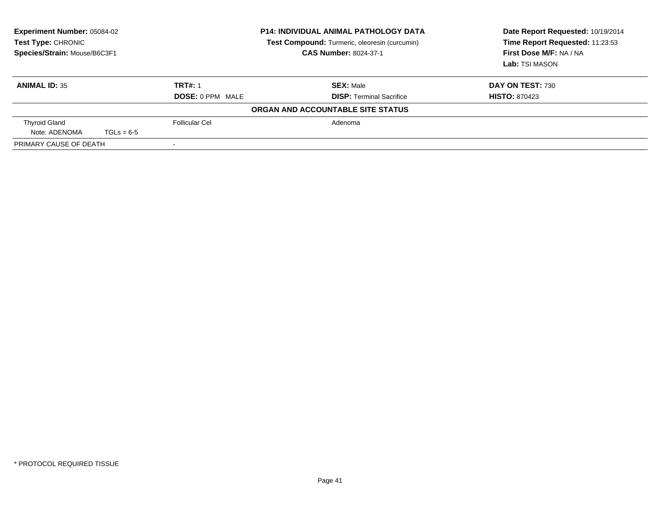| <b>Experiment Number: 05084-02</b><br>Test Type: CHRONIC<br>Species/Strain: Mouse/B6C3F1 |              |                         | <b>P14: INDIVIDUAL ANIMAL PATHOLOGY DATA</b><br>Test Compound: Turmeric, oleoresin (curcumin)<br><b>CAS Number: 8024-37-1</b> | Date Report Requested: 10/19/2014<br>Time Report Requested: 11:23:53<br>First Dose M/F: NA / NA<br>Lab: TSI MASON |
|------------------------------------------------------------------------------------------|--------------|-------------------------|-------------------------------------------------------------------------------------------------------------------------------|-------------------------------------------------------------------------------------------------------------------|
| <b>ANIMAL ID: 35</b>                                                                     |              | <b>TRT#: 1</b>          | <b>SEX: Male</b>                                                                                                              | DAY ON TEST: 730                                                                                                  |
|                                                                                          |              | <b>DOSE: 0 PPM MALE</b> | <b>DISP:</b> Terminal Sacrifice                                                                                               | <b>HISTO: 870423</b>                                                                                              |
|                                                                                          |              |                         | ORGAN AND ACCOUNTABLE SITE STATUS                                                                                             |                                                                                                                   |
| <b>Thyroid Gland</b>                                                                     |              | Follicular Cel          | Adenoma                                                                                                                       |                                                                                                                   |
| Note: ADENOMA                                                                            | $TGLs = 6-5$ |                         |                                                                                                                               |                                                                                                                   |
| PRIMARY CAUSE OF DEATH                                                                   |              |                         |                                                                                                                               |                                                                                                                   |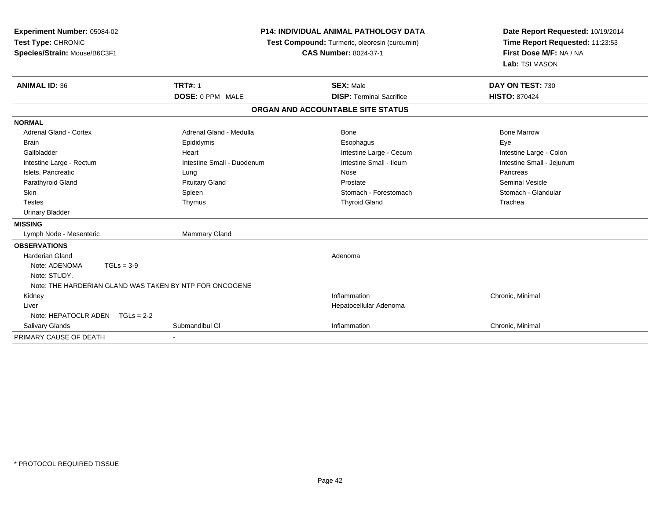| Experiment Number: 05084-02<br>Test Type: CHRONIC<br>Species/Strain: Mouse/B6C3F1<br><b>ANIMAL ID: 36</b> | <b>P14: INDIVIDUAL ANIMAL PATHOLOGY DATA</b><br>Test Compound: Turmeric, oleoresin (curcumin)<br><b>CAS Number: 8024-37-1</b><br><b>TRT#: 1</b><br><b>SEX: Male</b> |                                   | Date Report Requested: 10/19/2014<br>Time Report Requested: 11:23:53<br>First Dose M/F: NA / NA<br>Lab: TSI MASON<br>DAY ON TEST: 730 |  |
|-----------------------------------------------------------------------------------------------------------|---------------------------------------------------------------------------------------------------------------------------------------------------------------------|-----------------------------------|---------------------------------------------------------------------------------------------------------------------------------------|--|
|                                                                                                           | DOSE: 0 PPM MALE                                                                                                                                                    | <b>DISP: Terminal Sacrifice</b>   | <b>HISTO: 870424</b>                                                                                                                  |  |
|                                                                                                           |                                                                                                                                                                     | ORGAN AND ACCOUNTABLE SITE STATUS |                                                                                                                                       |  |
| <b>NORMAL</b>                                                                                             |                                                                                                                                                                     |                                   |                                                                                                                                       |  |
| <b>Adrenal Gland - Cortex</b>                                                                             | Adrenal Gland - Medulla                                                                                                                                             | Bone                              | <b>Bone Marrow</b>                                                                                                                    |  |
| <b>Brain</b>                                                                                              | Epididymis                                                                                                                                                          | Esophagus                         | Eye                                                                                                                                   |  |
| Gallbladder                                                                                               | Heart                                                                                                                                                               | Intestine Large - Cecum           | Intestine Large - Colon                                                                                                               |  |
| Intestine Large - Rectum                                                                                  | Intestine Small - Duodenum                                                                                                                                          | Intestine Small - Ileum           | Intestine Small - Jejunum                                                                                                             |  |
| Islets, Pancreatic                                                                                        | Lung                                                                                                                                                                | Nose                              | Pancreas                                                                                                                              |  |
| Parathyroid Gland                                                                                         | <b>Pituitary Gland</b>                                                                                                                                              | Prostate                          | <b>Seminal Vesicle</b>                                                                                                                |  |
| <b>Skin</b>                                                                                               | Spleen                                                                                                                                                              | Stomach - Forestomach             | Stomach - Glandular                                                                                                                   |  |
| <b>Testes</b>                                                                                             | Thymus                                                                                                                                                              | <b>Thyroid Gland</b>              | Trachea                                                                                                                               |  |
| <b>Urinary Bladder</b>                                                                                    |                                                                                                                                                                     |                                   |                                                                                                                                       |  |
| <b>MISSING</b>                                                                                            |                                                                                                                                                                     |                                   |                                                                                                                                       |  |
| Lymph Node - Mesenteric                                                                                   | Mammary Gland                                                                                                                                                       |                                   |                                                                                                                                       |  |
| <b>OBSERVATIONS</b>                                                                                       |                                                                                                                                                                     |                                   |                                                                                                                                       |  |
| <b>Harderian Gland</b>                                                                                    |                                                                                                                                                                     | Adenoma                           |                                                                                                                                       |  |
| Note: ADENOMA<br>$TGLs = 3-9$                                                                             |                                                                                                                                                                     |                                   |                                                                                                                                       |  |
| Note: STUDY.                                                                                              |                                                                                                                                                                     |                                   |                                                                                                                                       |  |
| Note: THE HARDERIAN GLAND WAS TAKEN BY NTP FOR ONCOGENE                                                   |                                                                                                                                                                     |                                   |                                                                                                                                       |  |
| Kidney                                                                                                    |                                                                                                                                                                     | Inflammation                      | Chronic, Minimal                                                                                                                      |  |
| Liver                                                                                                     |                                                                                                                                                                     | Hepatocellular Adenoma            |                                                                                                                                       |  |
| Note: HEPATOCLR ADEN<br>$TGLs = 2-2$                                                                      |                                                                                                                                                                     |                                   |                                                                                                                                       |  |
| Salivary Glands                                                                                           | Submandibul GI                                                                                                                                                      | Inflammation                      | Chronic, Minimal                                                                                                                      |  |
| PRIMARY CAUSE OF DEATH                                                                                    |                                                                                                                                                                     |                                   |                                                                                                                                       |  |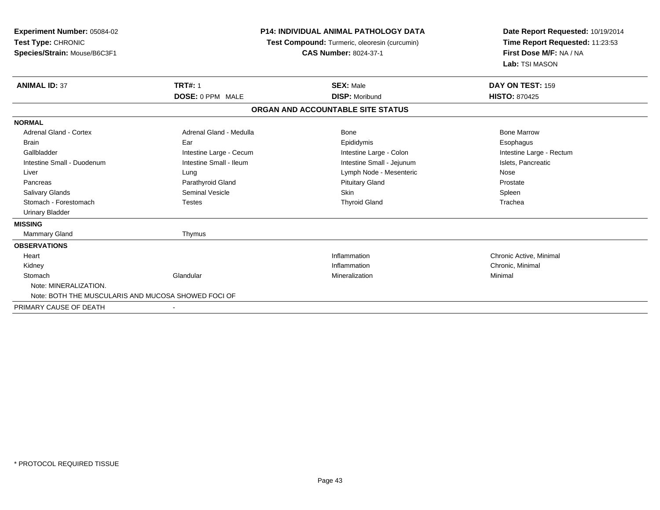| <b>Experiment Number: 05084-02</b>                  | <b>P14: INDIVIDUAL ANIMAL PATHOLOGY DATA</b><br>Test Compound: Turmeric, oleoresin (curcumin) |                                   | Date Report Requested: 10/19/2014 |  |
|-----------------------------------------------------|-----------------------------------------------------------------------------------------------|-----------------------------------|-----------------------------------|--|
| Test Type: CHRONIC                                  |                                                                                               |                                   | Time Report Requested: 11:23:53   |  |
| Species/Strain: Mouse/B6C3F1                        |                                                                                               | <b>CAS Number: 8024-37-1</b>      | First Dose M/F: NA / NA           |  |
|                                                     |                                                                                               |                                   | Lab: TSI MASON                    |  |
| <b>ANIMAL ID: 37</b>                                | <b>TRT#: 1</b>                                                                                | <b>SEX: Male</b>                  | DAY ON TEST: 159                  |  |
|                                                     | DOSE: 0 PPM MALE                                                                              | <b>DISP: Moribund</b>             | <b>HISTO: 870425</b>              |  |
|                                                     |                                                                                               | ORGAN AND ACCOUNTABLE SITE STATUS |                                   |  |
| <b>NORMAL</b>                                       |                                                                                               |                                   |                                   |  |
| <b>Adrenal Gland - Cortex</b>                       | Adrenal Gland - Medulla                                                                       | Bone                              | <b>Bone Marrow</b>                |  |
| <b>Brain</b>                                        | Ear                                                                                           | Epididymis                        | Esophagus                         |  |
| Gallbladder                                         | Intestine Large - Cecum                                                                       | Intestine Large - Colon           | Intestine Large - Rectum          |  |
| Intestine Small - Duodenum                          | Intestine Small - Ileum                                                                       | Intestine Small - Jejunum         | Islets, Pancreatic                |  |
| Liver                                               | Lung                                                                                          | Lymph Node - Mesenteric           | Nose                              |  |
| Pancreas                                            | Parathyroid Gland                                                                             | <b>Pituitary Gland</b>            | Prostate                          |  |
| <b>Salivary Glands</b>                              | <b>Seminal Vesicle</b>                                                                        | <b>Skin</b>                       | Spleen                            |  |
| Stomach - Forestomach                               | <b>Testes</b>                                                                                 | <b>Thyroid Gland</b>              | Trachea                           |  |
| <b>Urinary Bladder</b>                              |                                                                                               |                                   |                                   |  |
| <b>MISSING</b>                                      |                                                                                               |                                   |                                   |  |
| <b>Mammary Gland</b>                                | Thymus                                                                                        |                                   |                                   |  |
| <b>OBSERVATIONS</b>                                 |                                                                                               |                                   |                                   |  |
| Heart                                               |                                                                                               | Inflammation                      | Chronic Active, Minimal           |  |
| Kidney                                              |                                                                                               | Inflammation                      | Chronic, Minimal                  |  |
| Stomach                                             | Glandular                                                                                     | Mineralization                    | Minimal                           |  |
| Note: MINERALIZATION.                               |                                                                                               |                                   |                                   |  |
| Note: BOTH THE MUSCULARIS AND MUCOSA SHOWED FOCI OF |                                                                                               |                                   |                                   |  |
| PRIMARY CAUSE OF DEATH                              |                                                                                               |                                   |                                   |  |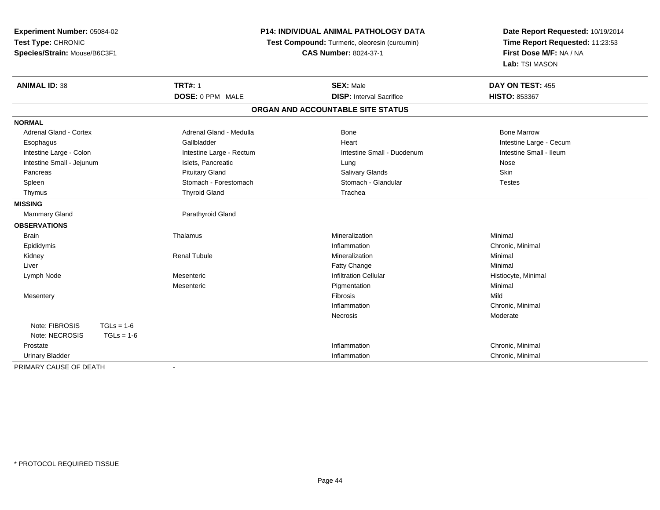| Experiment Number: 05084-02<br>Test Type: CHRONIC<br>Species/Strain: Mouse/B6C3F1 | P14: INDIVIDUAL ANIMAL PATHOLOGY DATA<br>Test Compound: Turmeric, oleoresin (curcumin)<br><b>CAS Number: 8024-37-1</b> |                                   | Date Report Requested: 10/19/2014<br>Time Report Requested: 11:23:53<br>First Dose M/F: NA / NA<br>Lab: TSI MASON |
|-----------------------------------------------------------------------------------|------------------------------------------------------------------------------------------------------------------------|-----------------------------------|-------------------------------------------------------------------------------------------------------------------|
| <b>ANIMAL ID: 38</b>                                                              | <b>TRT#: 1</b>                                                                                                         | <b>SEX: Male</b>                  | DAY ON TEST: 455                                                                                                  |
|                                                                                   | DOSE: 0 PPM MALE                                                                                                       | <b>DISP: Interval Sacrifice</b>   | HISTO: 853367                                                                                                     |
|                                                                                   |                                                                                                                        | ORGAN AND ACCOUNTABLE SITE STATUS |                                                                                                                   |
| <b>NORMAL</b>                                                                     |                                                                                                                        |                                   |                                                                                                                   |
| <b>Adrenal Gland - Cortex</b>                                                     | Adrenal Gland - Medulla                                                                                                | Bone                              | <b>Bone Marrow</b>                                                                                                |
| Esophagus                                                                         | Gallbladder                                                                                                            | Heart                             | Intestine Large - Cecum                                                                                           |
| Intestine Large - Colon                                                           | Intestine Large - Rectum                                                                                               | Intestine Small - Duodenum        | Intestine Small - Ileum                                                                                           |
| Intestine Small - Jejunum                                                         | Islets, Pancreatic                                                                                                     | Lung                              | Nose                                                                                                              |
| Pancreas                                                                          | <b>Pituitary Gland</b>                                                                                                 | Salivary Glands                   | Skin                                                                                                              |
| Spleen                                                                            | Stomach - Forestomach                                                                                                  | Stomach - Glandular               | <b>Testes</b>                                                                                                     |
| Thymus                                                                            | <b>Thyroid Gland</b>                                                                                                   | Trachea                           |                                                                                                                   |
| <b>MISSING</b>                                                                    |                                                                                                                        |                                   |                                                                                                                   |
| <b>Mammary Gland</b>                                                              | Parathyroid Gland                                                                                                      |                                   |                                                                                                                   |
| <b>OBSERVATIONS</b>                                                               |                                                                                                                        |                                   |                                                                                                                   |
| <b>Brain</b>                                                                      | Thalamus                                                                                                               | Mineralization                    | Minimal                                                                                                           |
| Epididymis                                                                        |                                                                                                                        | Inflammation                      | Chronic, Minimal                                                                                                  |
| Kidney                                                                            | <b>Renal Tubule</b>                                                                                                    | Mineralization                    | Minimal                                                                                                           |
| Liver                                                                             |                                                                                                                        | <b>Fatty Change</b>               | Minimal                                                                                                           |
| Lymph Node                                                                        | Mesenteric                                                                                                             | <b>Infiltration Cellular</b>      | Histiocyte, Minimal                                                                                               |
|                                                                                   | Mesenteric                                                                                                             | Pigmentation                      | Minimal                                                                                                           |
| Mesentery                                                                         |                                                                                                                        | Fibrosis                          | Mild                                                                                                              |
|                                                                                   |                                                                                                                        | Inflammation                      | Chronic, Minimal                                                                                                  |
|                                                                                   |                                                                                                                        | Necrosis                          | Moderate                                                                                                          |
| Note: FIBROSIS<br>$TGLs = 1-6$                                                    |                                                                                                                        |                                   |                                                                                                                   |
| Note: NECROSIS<br>$TGLs = 1-6$                                                    |                                                                                                                        |                                   |                                                                                                                   |
| Prostate                                                                          |                                                                                                                        | Inflammation                      | Chronic, Minimal                                                                                                  |
| <b>Urinary Bladder</b>                                                            |                                                                                                                        | Inflammation                      | Chronic, Minimal                                                                                                  |
| PRIMARY CAUSE OF DEATH                                                            | $\blacksquare$                                                                                                         |                                   |                                                                                                                   |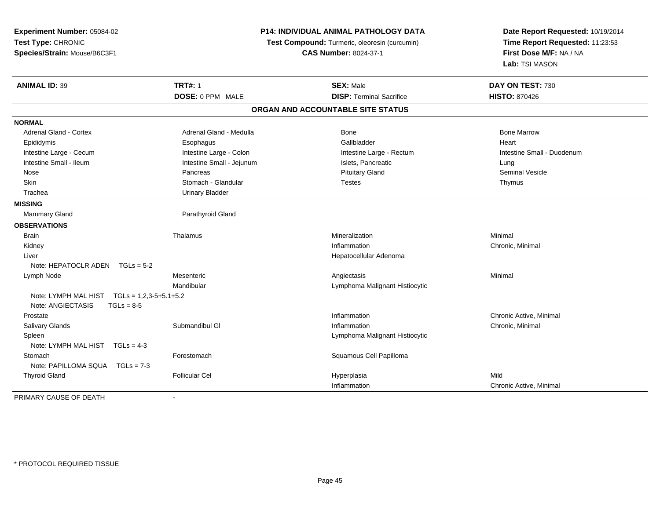| Experiment Number: 05084-02<br>Test Type: CHRONIC<br>Species/Strain: Mouse/B6C3F1 |                           | <b>P14: INDIVIDUAL ANIMAL PATHOLOGY DATA</b><br>Test Compound: Turmeric, oleoresin (curcumin)<br><b>CAS Number: 8024-37-1</b> | Date Report Requested: 10/19/2014<br>Time Report Requested: 11:23:53<br>First Dose M/F: NA / NA<br>Lab: TSI MASON |
|-----------------------------------------------------------------------------------|---------------------------|-------------------------------------------------------------------------------------------------------------------------------|-------------------------------------------------------------------------------------------------------------------|
| <b>ANIMAL ID: 39</b>                                                              | <b>TRT#: 1</b>            | <b>SEX: Male</b>                                                                                                              | DAY ON TEST: 730                                                                                                  |
|                                                                                   | DOSE: 0 PPM MALE          | <b>DISP: Terminal Sacrifice</b>                                                                                               | <b>HISTO: 870426</b>                                                                                              |
|                                                                                   |                           | ORGAN AND ACCOUNTABLE SITE STATUS                                                                                             |                                                                                                                   |
| <b>NORMAL</b>                                                                     |                           |                                                                                                                               |                                                                                                                   |
| <b>Adrenal Gland - Cortex</b>                                                     | Adrenal Gland - Medulla   | <b>Bone</b>                                                                                                                   | <b>Bone Marrow</b>                                                                                                |
| Epididymis                                                                        | Esophagus                 | Gallbladder                                                                                                                   | Heart                                                                                                             |
| Intestine Large - Cecum                                                           | Intestine Large - Colon   | Intestine Large - Rectum                                                                                                      | Intestine Small - Duodenum                                                                                        |
| Intestine Small - Ileum                                                           | Intestine Small - Jejunum | Islets, Pancreatic                                                                                                            | Lung                                                                                                              |
| Nose                                                                              | Pancreas                  | <b>Pituitary Gland</b>                                                                                                        | Seminal Vesicle                                                                                                   |
| Skin                                                                              | Stomach - Glandular       | <b>Testes</b>                                                                                                                 | Thymus                                                                                                            |
| Trachea                                                                           | <b>Urinary Bladder</b>    |                                                                                                                               |                                                                                                                   |
| <b>MISSING</b>                                                                    |                           |                                                                                                                               |                                                                                                                   |
| <b>Mammary Gland</b>                                                              | Parathyroid Gland         |                                                                                                                               |                                                                                                                   |
| <b>OBSERVATIONS</b>                                                               |                           |                                                                                                                               |                                                                                                                   |
| <b>Brain</b>                                                                      | Thalamus                  | Mineralization                                                                                                                | Minimal                                                                                                           |
| Kidney                                                                            |                           | Inflammation                                                                                                                  | Chronic, Minimal                                                                                                  |
| Liver                                                                             |                           | Hepatocellular Adenoma                                                                                                        |                                                                                                                   |
| Note: HEPATOCLR ADEN $TGLs = 5-2$                                                 |                           |                                                                                                                               |                                                                                                                   |
| Lymph Node                                                                        | Mesenteric                | Angiectasis                                                                                                                   | Minimal                                                                                                           |
|                                                                                   | Mandibular                | Lymphoma Malignant Histiocytic                                                                                                |                                                                                                                   |
| Note: LYMPH MAL HIST<br>$TGLs = 1,2,3-5+5.1+5.2$                                  |                           |                                                                                                                               |                                                                                                                   |
| Note: ANGIECTASIS<br>$TGLs = 8-5$                                                 |                           |                                                                                                                               |                                                                                                                   |
| Prostate                                                                          |                           | Inflammation                                                                                                                  | Chronic Active, Minimal                                                                                           |
| Salivary Glands                                                                   | Submandibul GI            | Inflammation                                                                                                                  | Chronic, Minimal                                                                                                  |
| Spleen                                                                            |                           | Lymphoma Malignant Histiocytic                                                                                                |                                                                                                                   |
| Note: LYMPH MAL HIST<br>$TGLs = 4-3$                                              |                           |                                                                                                                               |                                                                                                                   |
| Stomach                                                                           | Forestomach               | Squamous Cell Papilloma                                                                                                       |                                                                                                                   |
| Note: PAPILLOMA SQUA TGLs = 7-3                                                   |                           |                                                                                                                               |                                                                                                                   |
| <b>Thyroid Gland</b>                                                              | <b>Follicular Cel</b>     | Hyperplasia                                                                                                                   | Mild                                                                                                              |
|                                                                                   |                           | Inflammation                                                                                                                  | Chronic Active, Minimal                                                                                           |
| PRIMARY CAUSE OF DEATH                                                            |                           |                                                                                                                               |                                                                                                                   |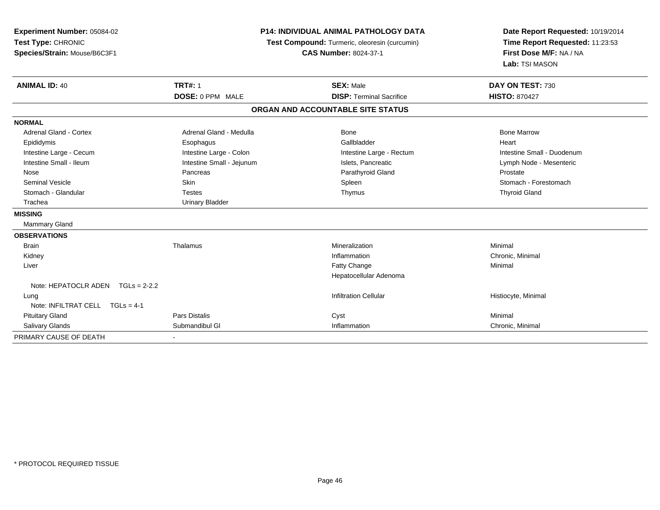| Experiment Number: 05084-02<br>Test Type: CHRONIC<br>Species/Strain: Mouse/B6C3F1 | <b>P14: INDIVIDUAL ANIMAL PATHOLOGY DATA</b><br>Test Compound: Turmeric, oleoresin (curcumin)<br><b>CAS Number: 8024-37-1</b> |                                   | Date Report Requested: 10/19/2014<br>Time Report Requested: 11:23:53<br>First Dose M/F: NA / NA<br>Lab: TSI MASON |  |
|-----------------------------------------------------------------------------------|-------------------------------------------------------------------------------------------------------------------------------|-----------------------------------|-------------------------------------------------------------------------------------------------------------------|--|
| <b>ANIMAL ID: 40</b>                                                              | <b>TRT#: 1</b>                                                                                                                | <b>SEX: Male</b>                  | DAY ON TEST: 730                                                                                                  |  |
|                                                                                   | DOSE: 0 PPM MALE                                                                                                              | <b>DISP: Terminal Sacrifice</b>   | <b>HISTO: 870427</b>                                                                                              |  |
|                                                                                   |                                                                                                                               | ORGAN AND ACCOUNTABLE SITE STATUS |                                                                                                                   |  |
| <b>NORMAL</b>                                                                     |                                                                                                                               |                                   |                                                                                                                   |  |
| <b>Adrenal Gland - Cortex</b>                                                     | Adrenal Gland - Medulla                                                                                                       | <b>Bone</b>                       | <b>Bone Marrow</b>                                                                                                |  |
| Epididymis                                                                        | Esophagus                                                                                                                     | Gallbladder                       | Heart                                                                                                             |  |
| Intestine Large - Cecum                                                           | Intestine Large - Colon                                                                                                       | Intestine Large - Rectum          | Intestine Small - Duodenum                                                                                        |  |
| Intestine Small - Ileum                                                           | Intestine Small - Jejunum                                                                                                     | Islets, Pancreatic                | Lymph Node - Mesenteric                                                                                           |  |
| Nose                                                                              | Pancreas                                                                                                                      | Parathyroid Gland                 | Prostate                                                                                                          |  |
| <b>Seminal Vesicle</b>                                                            | <b>Skin</b>                                                                                                                   | Spleen                            | Stomach - Forestomach                                                                                             |  |
| Stomach - Glandular                                                               | <b>Testes</b>                                                                                                                 | Thymus                            | <b>Thyroid Gland</b>                                                                                              |  |
| Trachea                                                                           | <b>Urinary Bladder</b>                                                                                                        |                                   |                                                                                                                   |  |
| <b>MISSING</b>                                                                    |                                                                                                                               |                                   |                                                                                                                   |  |
| <b>Mammary Gland</b>                                                              |                                                                                                                               |                                   |                                                                                                                   |  |
| <b>OBSERVATIONS</b>                                                               |                                                                                                                               |                                   |                                                                                                                   |  |
| <b>Brain</b>                                                                      | Thalamus                                                                                                                      | Mineralization                    | Minimal                                                                                                           |  |
| Kidney                                                                            |                                                                                                                               | Inflammation                      | Chronic, Minimal                                                                                                  |  |
| Liver                                                                             |                                                                                                                               | Fatty Change                      | Minimal                                                                                                           |  |
|                                                                                   |                                                                                                                               | Hepatocellular Adenoma            |                                                                                                                   |  |
| Note: HEPATOCLR ADEN $TGLs = 2-2.2$                                               |                                                                                                                               |                                   |                                                                                                                   |  |
| Lung                                                                              |                                                                                                                               | <b>Infiltration Cellular</b>      | Histiocyte, Minimal                                                                                               |  |
| Note: INFILTRAT CELL TGLs = 4-1                                                   |                                                                                                                               |                                   |                                                                                                                   |  |
| <b>Pituitary Gland</b>                                                            | <b>Pars Distalis</b>                                                                                                          | Cyst                              | Minimal                                                                                                           |  |
| Salivary Glands                                                                   | Submandibul GI                                                                                                                | Inflammation                      | Chronic, Minimal                                                                                                  |  |
| PRIMARY CAUSE OF DEATH                                                            |                                                                                                                               |                                   |                                                                                                                   |  |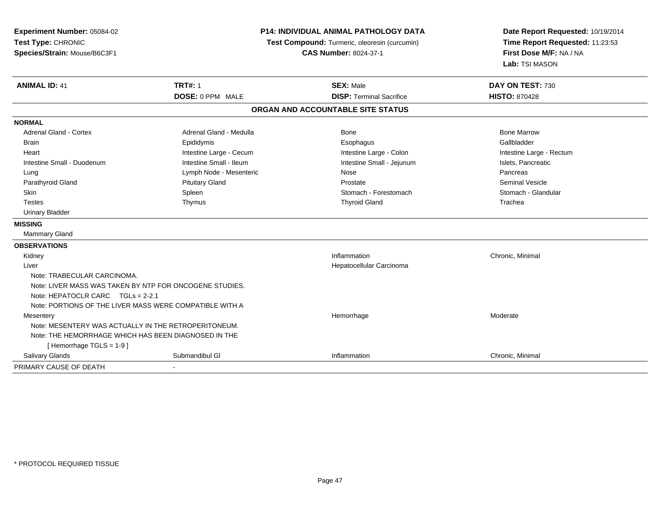| Experiment Number: 05084-02<br>Test Type: CHRONIC<br>Species/Strain: Mouse/B6C3F1 |                         | <b>P14: INDIVIDUAL ANIMAL PATHOLOGY DATA</b><br>Test Compound: Turmeric, oleoresin (curcumin)<br><b>CAS Number: 8024-37-1</b> |                          |
|-----------------------------------------------------------------------------------|-------------------------|-------------------------------------------------------------------------------------------------------------------------------|--------------------------|
| <b>ANIMAL ID: 41</b>                                                              | <b>TRT#: 1</b>          | <b>SEX: Male</b>                                                                                                              | DAY ON TEST: 730         |
|                                                                                   | DOSE: 0 PPM MALE        | <b>DISP: Terminal Sacrifice</b>                                                                                               | <b>HISTO: 870428</b>     |
|                                                                                   |                         | ORGAN AND ACCOUNTABLE SITE STATUS                                                                                             |                          |
| <b>NORMAL</b>                                                                     |                         |                                                                                                                               |                          |
| <b>Adrenal Gland - Cortex</b>                                                     | Adrenal Gland - Medulla | Bone                                                                                                                          | <b>Bone Marrow</b>       |
| <b>Brain</b>                                                                      | Epididymis              | Esophagus                                                                                                                     | Gallbladder              |
| Heart                                                                             | Intestine Large - Cecum | Intestine Large - Colon                                                                                                       | Intestine Large - Rectum |
| Intestine Small - Duodenum                                                        | Intestine Small - Ileum | Intestine Small - Jejunum                                                                                                     | Islets, Pancreatic       |
| Lung                                                                              | Lymph Node - Mesenteric | <b>Nose</b>                                                                                                                   | Pancreas                 |
| Parathyroid Gland                                                                 | <b>Pituitary Gland</b>  | Prostate                                                                                                                      | <b>Seminal Vesicle</b>   |
| <b>Skin</b>                                                                       | Spleen                  | Stomach - Forestomach                                                                                                         | Stomach - Glandular      |
| <b>Testes</b>                                                                     | Thymus                  | <b>Thyroid Gland</b>                                                                                                          | Trachea                  |
| Urinary Bladder                                                                   |                         |                                                                                                                               |                          |
| <b>MISSING</b>                                                                    |                         |                                                                                                                               |                          |
| Mammary Gland                                                                     |                         |                                                                                                                               |                          |
| <b>OBSERVATIONS</b>                                                               |                         |                                                                                                                               |                          |
| Kidney                                                                            |                         | Inflammation                                                                                                                  | Chronic, Minimal         |
| Liver                                                                             |                         | Hepatocellular Carcinoma                                                                                                      |                          |
| Note: TRABECULAR CARCINOMA.                                                       |                         |                                                                                                                               |                          |
| Note: LIVER MASS WAS TAKEN BY NTP FOR ONCOGENE STUDIES.                           |                         |                                                                                                                               |                          |
| Note: HEPATOCLR CARC TGLs = 2-2.1                                                 |                         |                                                                                                                               |                          |
| Note: PORTIONS OF THE LIVER MASS WERE COMPATIBLE WITH A                           |                         |                                                                                                                               |                          |
| Mesentery                                                                         |                         | Hemorrhage                                                                                                                    | Moderate                 |
| Note: MESENTERY WAS ACTUALLY IN THE RETROPERITONEUM.                              |                         |                                                                                                                               |                          |
| Note: THE HEMORRHAGE WHICH HAS BEEN DIAGNOSED IN THE                              |                         |                                                                                                                               |                          |
| [Hemorrhage TGLS = 1-9]                                                           |                         |                                                                                                                               |                          |
| Salivary Glands                                                                   | Submandibul GI          | Inflammation                                                                                                                  | Chronic, Minimal         |
| PRIMARY CAUSE OF DEATH                                                            |                         |                                                                                                                               |                          |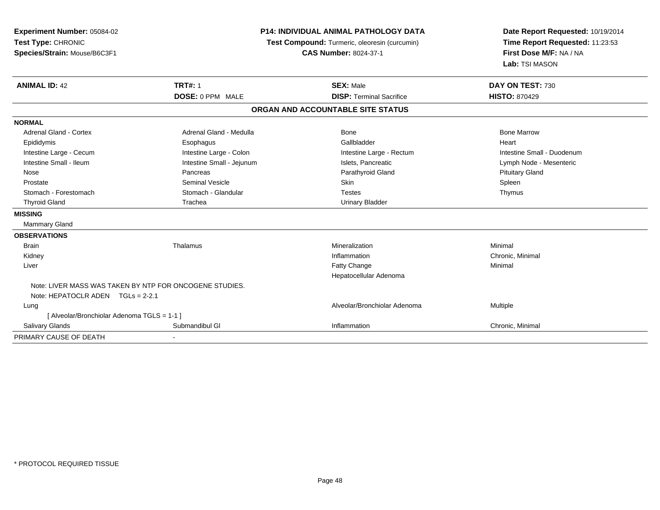| <b>Experiment Number: 05084-02</b><br>Test Type: CHRONIC<br>Species/Strain: Mouse/B6C3F1 | <b>P14: INDIVIDUAL ANIMAL PATHOLOGY DATA</b><br>Test Compound: Turmeric, oleoresin (curcumin)<br><b>CAS Number: 8024-37-1</b> |                                                     | Date Report Requested: 10/19/2014<br>Time Report Requested: 11:23:53<br>First Dose M/F: NA / NA<br>Lab: TSI MASON |  |
|------------------------------------------------------------------------------------------|-------------------------------------------------------------------------------------------------------------------------------|-----------------------------------------------------|-------------------------------------------------------------------------------------------------------------------|--|
| <b>ANIMAL ID: 42</b>                                                                     | <b>TRT#: 1</b><br><b>DOSE: 0 PPM MALE</b>                                                                                     | <b>SEX: Male</b><br><b>DISP: Terminal Sacrifice</b> | DAY ON TEST: 730<br><b>HISTO: 870429</b>                                                                          |  |
|                                                                                          |                                                                                                                               |                                                     |                                                                                                                   |  |
|                                                                                          |                                                                                                                               | ORGAN AND ACCOUNTABLE SITE STATUS                   |                                                                                                                   |  |
| <b>NORMAL</b>                                                                            |                                                                                                                               |                                                     |                                                                                                                   |  |
| <b>Adrenal Gland - Cortex</b>                                                            | Adrenal Gland - Medulla                                                                                                       | <b>Bone</b>                                         | <b>Bone Marrow</b>                                                                                                |  |
| Epididymis                                                                               | Esophagus                                                                                                                     | Gallbladder                                         | Heart                                                                                                             |  |
| Intestine Large - Cecum                                                                  | Intestine Large - Colon                                                                                                       | Intestine Large - Rectum                            | Intestine Small - Duodenum                                                                                        |  |
| Intestine Small - Ileum                                                                  | Intestine Small - Jejunum                                                                                                     | Islets, Pancreatic                                  | Lymph Node - Mesenteric                                                                                           |  |
| Nose                                                                                     | Pancreas                                                                                                                      | Parathyroid Gland                                   | <b>Pituitary Gland</b>                                                                                            |  |
| Prostate                                                                                 | <b>Seminal Vesicle</b>                                                                                                        | <b>Skin</b>                                         | Spleen                                                                                                            |  |
| Stomach - Forestomach                                                                    | Stomach - Glandular                                                                                                           | <b>Testes</b>                                       | Thymus                                                                                                            |  |
| <b>Thyroid Gland</b>                                                                     | Trachea                                                                                                                       | <b>Urinary Bladder</b>                              |                                                                                                                   |  |
| <b>MISSING</b>                                                                           |                                                                                                                               |                                                     |                                                                                                                   |  |
| Mammary Gland                                                                            |                                                                                                                               |                                                     |                                                                                                                   |  |
| <b>OBSERVATIONS</b>                                                                      |                                                                                                                               |                                                     |                                                                                                                   |  |
| <b>Brain</b>                                                                             | Thalamus                                                                                                                      | Mineralization                                      | Minimal                                                                                                           |  |
| Kidney                                                                                   |                                                                                                                               | Inflammation                                        | Chronic, Minimal                                                                                                  |  |
| Liver                                                                                    |                                                                                                                               | Fatty Change                                        | Minimal                                                                                                           |  |
|                                                                                          |                                                                                                                               | Hepatocellular Adenoma                              |                                                                                                                   |  |
| Note: LIVER MASS WAS TAKEN BY NTP FOR ONCOGENE STUDIES.                                  |                                                                                                                               |                                                     |                                                                                                                   |  |
| Note: HEPATOCLR ADEN TGLs = 2-2.1                                                        |                                                                                                                               |                                                     |                                                                                                                   |  |
| Lung                                                                                     |                                                                                                                               | Alveolar/Bronchiolar Adenoma                        | Multiple                                                                                                          |  |
| [ Alveolar/Bronchiolar Adenoma TGLS = 1-1 ]                                              |                                                                                                                               |                                                     |                                                                                                                   |  |
| Salivary Glands                                                                          | Submandibul GI                                                                                                                | Inflammation                                        | Chronic, Minimal                                                                                                  |  |
| PRIMARY CAUSE OF DEATH                                                                   |                                                                                                                               |                                                     |                                                                                                                   |  |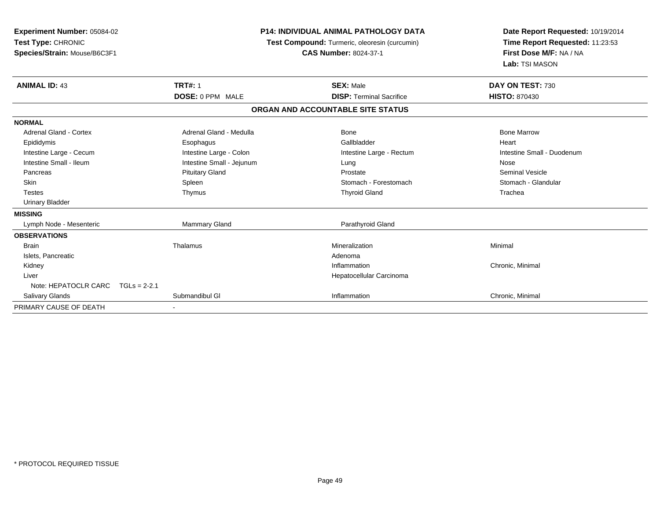| Experiment Number: 05084-02<br>Test Type: CHRONIC<br>Species/Strain: Mouse/B6C3F1 | <b>P14: INDIVIDUAL ANIMAL PATHOLOGY DATA</b><br>Test Compound: Turmeric, oleoresin (curcumin)<br><b>CAS Number: 8024-37-1</b> |                                   | Date Report Requested: 10/19/2014<br>Time Report Requested: 11:23:53<br>First Dose M/F: NA / NA<br>Lab: TSI MASON |  |
|-----------------------------------------------------------------------------------|-------------------------------------------------------------------------------------------------------------------------------|-----------------------------------|-------------------------------------------------------------------------------------------------------------------|--|
| <b>ANIMAL ID: 43</b>                                                              | <b>TRT#: 1</b>                                                                                                                | <b>SEX: Male</b>                  | DAY ON TEST: 730                                                                                                  |  |
|                                                                                   | <b>DOSE: 0 PPM MALE</b>                                                                                                       | <b>DISP: Terminal Sacrifice</b>   | <b>HISTO: 870430</b>                                                                                              |  |
|                                                                                   |                                                                                                                               | ORGAN AND ACCOUNTABLE SITE STATUS |                                                                                                                   |  |
| <b>NORMAL</b>                                                                     |                                                                                                                               |                                   |                                                                                                                   |  |
| <b>Adrenal Gland - Cortex</b>                                                     | Adrenal Gland - Medulla                                                                                                       | Bone                              | <b>Bone Marrow</b>                                                                                                |  |
| Epididymis                                                                        | Esophagus                                                                                                                     | Gallbladder                       | Heart                                                                                                             |  |
| Intestine Large - Cecum                                                           | Intestine Large - Colon                                                                                                       | Intestine Large - Rectum          | Intestine Small - Duodenum                                                                                        |  |
| Intestine Small - Ileum                                                           | Intestine Small - Jejunum                                                                                                     | Lung                              | Nose                                                                                                              |  |
| Pancreas                                                                          | <b>Pituitary Gland</b>                                                                                                        | Prostate                          | <b>Seminal Vesicle</b>                                                                                            |  |
| <b>Skin</b>                                                                       | Spleen                                                                                                                        | Stomach - Forestomach             | Stomach - Glandular                                                                                               |  |
| <b>Testes</b>                                                                     | Thymus                                                                                                                        | <b>Thyroid Gland</b>              | Trachea                                                                                                           |  |
| <b>Urinary Bladder</b>                                                            |                                                                                                                               |                                   |                                                                                                                   |  |
| <b>MISSING</b>                                                                    |                                                                                                                               |                                   |                                                                                                                   |  |
| Lymph Node - Mesenteric                                                           | <b>Mammary Gland</b>                                                                                                          | Parathyroid Gland                 |                                                                                                                   |  |
| <b>OBSERVATIONS</b>                                                               |                                                                                                                               |                                   |                                                                                                                   |  |
| <b>Brain</b>                                                                      | Thalamus                                                                                                                      | Mineralization                    | Minimal                                                                                                           |  |
| Islets, Pancreatic                                                                |                                                                                                                               | Adenoma                           |                                                                                                                   |  |
| Kidney                                                                            |                                                                                                                               | Inflammation                      | Chronic, Minimal                                                                                                  |  |
| Liver                                                                             |                                                                                                                               | Hepatocellular Carcinoma          |                                                                                                                   |  |
| Note: HEPATOCLR CARC                                                              | $TGLs = 2-2.1$                                                                                                                |                                   |                                                                                                                   |  |
| <b>Salivary Glands</b>                                                            | Submandibul GI                                                                                                                | Inflammation                      | Chronic, Minimal                                                                                                  |  |
| PRIMARY CAUSE OF DEATH                                                            |                                                                                                                               |                                   |                                                                                                                   |  |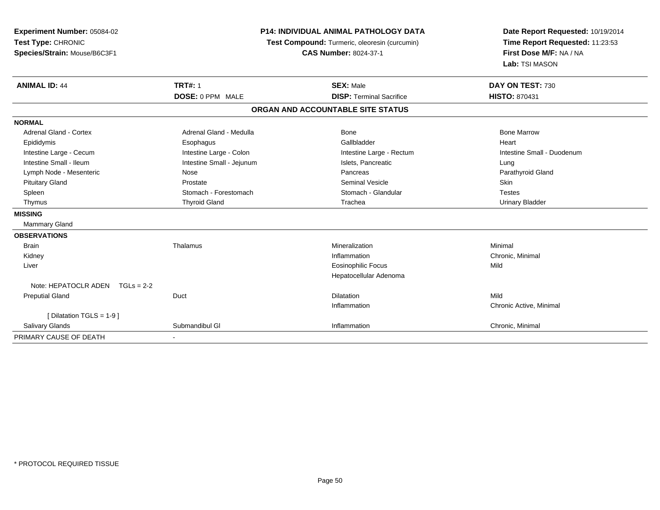| Experiment Number: 05084-02       |                                               | <b>P14: INDIVIDUAL ANIMAL PATHOLOGY DATA</b> | Date Report Requested: 10/19/2014 |  |
|-----------------------------------|-----------------------------------------------|----------------------------------------------|-----------------------------------|--|
| Test Type: CHRONIC                | Test Compound: Turmeric, oleoresin (curcumin) |                                              | Time Report Requested: 11:23:53   |  |
| Species/Strain: Mouse/B6C3F1      |                                               | <b>CAS Number: 8024-37-1</b>                 | First Dose M/F: NA / NA           |  |
|                                   |                                               |                                              | Lab: TSI MASON                    |  |
| <b>ANIMAL ID: 44</b>              | <b>TRT#: 1</b>                                | <b>SEX: Male</b>                             | DAY ON TEST: 730                  |  |
|                                   | DOSE: 0 PPM MALE                              | <b>DISP: Terminal Sacrifice</b>              | <b>HISTO: 870431</b>              |  |
|                                   |                                               | ORGAN AND ACCOUNTABLE SITE STATUS            |                                   |  |
| <b>NORMAL</b>                     |                                               |                                              |                                   |  |
| <b>Adrenal Gland - Cortex</b>     | Adrenal Gland - Medulla                       | Bone                                         | <b>Bone Marrow</b>                |  |
| Epididymis                        | Esophagus                                     | Gallbladder                                  | Heart                             |  |
| Intestine Large - Cecum           | Intestine Large - Colon                       | Intestine Large - Rectum                     | Intestine Small - Duodenum        |  |
| Intestine Small - Ileum           | Intestine Small - Jejunum                     | Islets, Pancreatic                           | Lung                              |  |
| Lymph Node - Mesenteric           | Nose                                          | Pancreas                                     | Parathyroid Gland                 |  |
| <b>Pituitary Gland</b>            | Prostate                                      | <b>Seminal Vesicle</b>                       | <b>Skin</b>                       |  |
| Spleen                            | Stomach - Forestomach                         | Stomach - Glandular                          | <b>Testes</b>                     |  |
| Thymus                            | <b>Thyroid Gland</b>                          | Trachea                                      | <b>Urinary Bladder</b>            |  |
| <b>MISSING</b>                    |                                               |                                              |                                   |  |
| <b>Mammary Gland</b>              |                                               |                                              |                                   |  |
| <b>OBSERVATIONS</b>               |                                               |                                              |                                   |  |
| <b>Brain</b>                      | Thalamus                                      | Mineralization                               | Minimal                           |  |
| Kidney                            |                                               | Inflammation                                 | Chronic, Minimal                  |  |
| Liver                             |                                               | <b>Eosinophilic Focus</b>                    | Mild                              |  |
|                                   |                                               | Hepatocellular Adenoma                       |                                   |  |
| Note: HEPATOCLR ADEN $TGLs = 2-2$ |                                               |                                              |                                   |  |
| <b>Preputial Gland</b>            | Duct                                          | <b>Dilatation</b>                            | Mild                              |  |
|                                   |                                               | Inflammation                                 | Chronic Active, Minimal           |  |
| [ Dilatation TGLS = 1-9 ]         |                                               |                                              |                                   |  |
| Salivary Glands                   | Submandibul GI                                | Inflammation                                 | Chronic, Minimal                  |  |
| PRIMARY CAUSE OF DEATH            |                                               |                                              |                                   |  |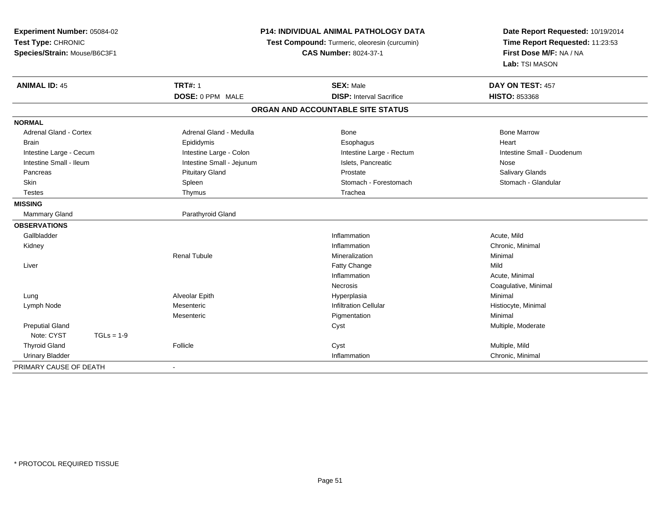| Experiment Number: 05084-02<br>Test Type: CHRONIC<br>Species/Strain: Mouse/B6C3F1 |              |                           | <b>P14: INDIVIDUAL ANIMAL PATHOLOGY DATA</b><br>Test Compound: Turmeric, oleoresin (curcumin)<br><b>CAS Number: 8024-37-1</b> | Date Report Requested: 10/19/2014<br>Time Report Requested: 11:23:53<br>First Dose M/F: NA / NA<br>Lab: TSI MASON |
|-----------------------------------------------------------------------------------|--------------|---------------------------|-------------------------------------------------------------------------------------------------------------------------------|-------------------------------------------------------------------------------------------------------------------|
| <b>ANIMAL ID: 45</b>                                                              |              | <b>TRT#: 1</b>            | <b>SEX: Male</b>                                                                                                              | DAY ON TEST: 457                                                                                                  |
|                                                                                   |              | DOSE: 0 PPM MALE          | <b>DISP: Interval Sacrifice</b>                                                                                               | HISTO: 853368                                                                                                     |
|                                                                                   |              |                           | ORGAN AND ACCOUNTABLE SITE STATUS                                                                                             |                                                                                                                   |
| <b>NORMAL</b>                                                                     |              |                           |                                                                                                                               |                                                                                                                   |
| <b>Adrenal Gland - Cortex</b>                                                     |              | Adrenal Gland - Medulla   | Bone                                                                                                                          | <b>Bone Marrow</b>                                                                                                |
| <b>Brain</b>                                                                      |              | Epididymis                | Esophagus                                                                                                                     | Heart                                                                                                             |
| Intestine Large - Cecum                                                           |              | Intestine Large - Colon   | Intestine Large - Rectum                                                                                                      | Intestine Small - Duodenum                                                                                        |
| Intestine Small - Ileum                                                           |              | Intestine Small - Jejunum | Islets. Pancreatic                                                                                                            | Nose                                                                                                              |
| Pancreas                                                                          |              | <b>Pituitary Gland</b>    | Prostate                                                                                                                      | Salivary Glands                                                                                                   |
| <b>Skin</b>                                                                       |              | Spleen                    | Stomach - Forestomach                                                                                                         | Stomach - Glandular                                                                                               |
| <b>Testes</b>                                                                     |              | Thymus                    | Trachea                                                                                                                       |                                                                                                                   |
| <b>MISSING</b>                                                                    |              |                           |                                                                                                                               |                                                                                                                   |
| Mammary Gland                                                                     |              | Parathyroid Gland         |                                                                                                                               |                                                                                                                   |
| <b>OBSERVATIONS</b>                                                               |              |                           |                                                                                                                               |                                                                                                                   |
| Gallbladder                                                                       |              |                           | Inflammation                                                                                                                  | Acute, Mild                                                                                                       |
| Kidney                                                                            |              |                           | Inflammation                                                                                                                  | Chronic, Minimal                                                                                                  |
|                                                                                   |              | <b>Renal Tubule</b>       | Mineralization                                                                                                                | Minimal                                                                                                           |
| Liver                                                                             |              |                           | Fatty Change                                                                                                                  | Mild                                                                                                              |
|                                                                                   |              |                           | Inflammation                                                                                                                  | Acute, Minimal                                                                                                    |
|                                                                                   |              |                           | <b>Necrosis</b>                                                                                                               | Coagulative, Minimal                                                                                              |
| Lung                                                                              |              | Alveolar Epith            | Hyperplasia                                                                                                                   | Minimal                                                                                                           |
| Lymph Node                                                                        |              | Mesenteric                | <b>Infiltration Cellular</b>                                                                                                  | Histiocyte, Minimal                                                                                               |
|                                                                                   |              | Mesenteric                | Pigmentation                                                                                                                  | Minimal                                                                                                           |
| <b>Preputial Gland</b>                                                            |              |                           | Cyst                                                                                                                          | Multiple, Moderate                                                                                                |
| Note: CYST                                                                        | $TGLs = 1-9$ |                           |                                                                                                                               |                                                                                                                   |
| <b>Thyroid Gland</b>                                                              |              | Follicle                  | Cyst                                                                                                                          | Multiple, Mild                                                                                                    |
| <b>Urinary Bladder</b>                                                            |              |                           | Inflammation                                                                                                                  | Chronic, Minimal                                                                                                  |
| PRIMARY CAUSE OF DEATH                                                            |              | $\blacksquare$            |                                                                                                                               |                                                                                                                   |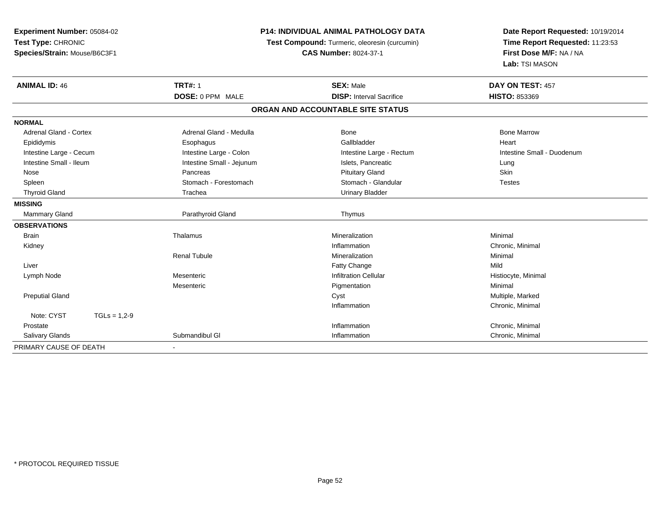| Experiment Number: 05084-02                        |                | <b>P14: INDIVIDUAL ANIMAL PATHOLOGY DATA</b>  |                                   | Date Report Requested: 10/19/2014 |
|----------------------------------------------------|----------------|-----------------------------------------------|-----------------------------------|-----------------------------------|
| Test Type: CHRONIC<br>Species/Strain: Mouse/B6C3F1 |                | Test Compound: Turmeric, oleoresin (curcumin) |                                   | Time Report Requested: 11:23:53   |
|                                                    |                |                                               | <b>CAS Number: 8024-37-1</b>      | First Dose M/F: NA / NA           |
|                                                    |                |                                               |                                   | Lab: TSI MASON                    |
| <b>ANIMAL ID: 46</b>                               |                | <b>TRT#: 1</b>                                | <b>SEX: Male</b>                  | DAY ON TEST: 457                  |
|                                                    |                | DOSE: 0 PPM MALE                              | <b>DISP:</b> Interval Sacrifice   | <b>HISTO: 853369</b>              |
|                                                    |                |                                               | ORGAN AND ACCOUNTABLE SITE STATUS |                                   |
| <b>NORMAL</b>                                      |                |                                               |                                   |                                   |
| <b>Adrenal Gland - Cortex</b>                      |                | Adrenal Gland - Medulla                       | Bone                              | <b>Bone Marrow</b>                |
| Epididymis                                         |                | Esophagus                                     | Gallbladder                       | Heart                             |
| Intestine Large - Cecum                            |                | Intestine Large - Colon                       | Intestine Large - Rectum          | Intestine Small - Duodenum        |
| Intestine Small - Ileum                            |                | Intestine Small - Jejunum                     | Islets, Pancreatic                | Lung                              |
| Nose                                               |                | Pancreas                                      | <b>Pituitary Gland</b>            | Skin                              |
| Spleen                                             |                | Stomach - Forestomach                         | Stomach - Glandular               | <b>Testes</b>                     |
| <b>Thyroid Gland</b>                               |                | Trachea                                       | <b>Urinary Bladder</b>            |                                   |
| <b>MISSING</b>                                     |                |                                               |                                   |                                   |
| Mammary Gland                                      |                | Parathyroid Gland                             | Thymus                            |                                   |
| <b>OBSERVATIONS</b>                                |                |                                               |                                   |                                   |
| <b>Brain</b>                                       |                | Thalamus                                      | Mineralization                    | Minimal                           |
| Kidney                                             |                |                                               | Inflammation                      | Chronic, Minimal                  |
|                                                    |                | <b>Renal Tubule</b>                           | Mineralization                    | Minimal                           |
| Liver                                              |                |                                               | Fatty Change                      | Mild                              |
| Lymph Node                                         |                | Mesenteric                                    | <b>Infiltration Cellular</b>      | Histiocyte, Minimal               |
|                                                    |                | Mesenteric                                    | Pigmentation                      | Minimal                           |
| <b>Preputial Gland</b>                             |                |                                               | Cyst                              | Multiple, Marked                  |
|                                                    |                |                                               | Inflammation                      | Chronic, Minimal                  |
| Note: CYST                                         | $TGLs = 1,2-9$ |                                               |                                   |                                   |
| Prostate                                           |                |                                               | Inflammation                      | Chronic, Minimal                  |
| <b>Salivary Glands</b>                             |                | Submandibul GI                                | Inflammation                      | Chronic, Minimal                  |
| PRIMARY CAUSE OF DEATH                             |                |                                               |                                   |                                   |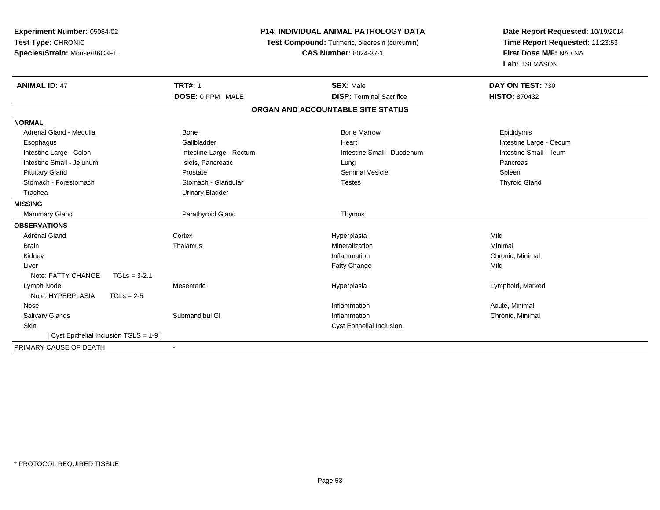| Experiment Number: 05084-02<br>Test Type: CHRONIC<br>Species/Strain: Mouse/B6C3F1 | <b>P14: INDIVIDUAL ANIMAL PATHOLOGY DATA</b><br>Test Compound: Turmeric, oleoresin (curcumin)<br><b>CAS Number: 8024-37-1</b> |                                   | Date Report Requested: 10/19/2014<br>Time Report Requested: 11:23:53<br>First Dose M/F: NA / NA<br>Lab: TSI MASON |  |
|-----------------------------------------------------------------------------------|-------------------------------------------------------------------------------------------------------------------------------|-----------------------------------|-------------------------------------------------------------------------------------------------------------------|--|
| <b>ANIMAL ID: 47</b>                                                              | <b>TRT#: 1</b>                                                                                                                | <b>SEX: Male</b>                  | DAY ON TEST: 730                                                                                                  |  |
|                                                                                   | DOSE: 0 PPM MALE                                                                                                              | <b>DISP: Terminal Sacrifice</b>   | <b>HISTO: 870432</b>                                                                                              |  |
|                                                                                   |                                                                                                                               | ORGAN AND ACCOUNTABLE SITE STATUS |                                                                                                                   |  |
| <b>NORMAL</b>                                                                     |                                                                                                                               |                                   |                                                                                                                   |  |
| Adrenal Gland - Medulla                                                           | <b>Bone</b>                                                                                                                   | <b>Bone Marrow</b>                | Epididymis                                                                                                        |  |
| Esophagus                                                                         | Gallbladder                                                                                                                   | Heart                             | Intestine Large - Cecum                                                                                           |  |
| Intestine Large - Colon                                                           | Intestine Large - Rectum                                                                                                      | Intestine Small - Duodenum        | Intestine Small - Ileum                                                                                           |  |
| Intestine Small - Jejunum                                                         | Islets, Pancreatic                                                                                                            | Lung                              | Pancreas                                                                                                          |  |
| <b>Pituitary Gland</b>                                                            | Prostate                                                                                                                      | <b>Seminal Vesicle</b>            | Spleen                                                                                                            |  |
| Stomach - Forestomach                                                             | Stomach - Glandular                                                                                                           | <b>Testes</b>                     | <b>Thyroid Gland</b>                                                                                              |  |
| Trachea                                                                           | <b>Urinary Bladder</b>                                                                                                        |                                   |                                                                                                                   |  |
| <b>MISSING</b>                                                                    |                                                                                                                               |                                   |                                                                                                                   |  |
| <b>Mammary Gland</b>                                                              | Parathyroid Gland                                                                                                             | Thymus                            |                                                                                                                   |  |
| <b>OBSERVATIONS</b>                                                               |                                                                                                                               |                                   |                                                                                                                   |  |
| <b>Adrenal Gland</b>                                                              | Cortex                                                                                                                        | Hyperplasia                       | Mild                                                                                                              |  |
| <b>Brain</b>                                                                      | Thalamus                                                                                                                      | Mineralization                    | Minimal                                                                                                           |  |
| Kidney                                                                            |                                                                                                                               | Inflammation                      | Chronic, Minimal                                                                                                  |  |
| Liver                                                                             |                                                                                                                               | Fatty Change                      | Mild                                                                                                              |  |
| Note: FATTY CHANGE<br>$TGLs = 3-2.1$                                              |                                                                                                                               |                                   |                                                                                                                   |  |
| Lymph Node                                                                        | Mesenteric                                                                                                                    | Hyperplasia                       | Lymphoid, Marked                                                                                                  |  |
| Note: HYPERPLASIA<br>$TGLs = 2-5$                                                 |                                                                                                                               |                                   |                                                                                                                   |  |
| Nose                                                                              |                                                                                                                               | Inflammation                      | Acute, Minimal                                                                                                    |  |
| <b>Salivary Glands</b>                                                            | Submandibul GI                                                                                                                | Inflammation                      | Chronic, Minimal                                                                                                  |  |
| Skin                                                                              |                                                                                                                               | <b>Cyst Epithelial Inclusion</b>  |                                                                                                                   |  |
| [ Cyst Epithelial Inclusion TGLS = 1-9 ]                                          |                                                                                                                               |                                   |                                                                                                                   |  |
| PRIMARY CAUSE OF DEATH                                                            |                                                                                                                               |                                   |                                                                                                                   |  |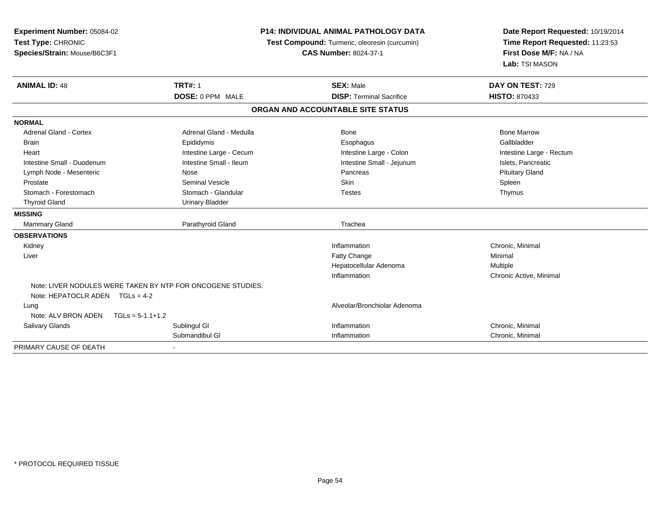| Experiment Number: 05084-02<br>Test Type: CHRONIC<br>Species/Strain: Mouse/B6C3F1 |                                                             | <b>P14: INDIVIDUAL ANIMAL PATHOLOGY DATA</b><br>Test Compound: Turmeric, oleoresin (curcumin)<br><b>CAS Number: 8024-37-1</b> |                          |
|-----------------------------------------------------------------------------------|-------------------------------------------------------------|-------------------------------------------------------------------------------------------------------------------------------|--------------------------|
| <b>ANIMAL ID: 48</b>                                                              | <b>TRT#: 1</b>                                              | <b>SEX: Male</b>                                                                                                              | DAY ON TEST: 729         |
|                                                                                   | DOSE: 0 PPM MALE                                            | <b>DISP: Terminal Sacrifice</b>                                                                                               | <b>HISTO: 870433</b>     |
|                                                                                   |                                                             | ORGAN AND ACCOUNTABLE SITE STATUS                                                                                             |                          |
| <b>NORMAL</b>                                                                     |                                                             |                                                                                                                               |                          |
| Adrenal Gland - Cortex                                                            | Adrenal Gland - Medulla                                     | Bone                                                                                                                          | <b>Bone Marrow</b>       |
| <b>Brain</b>                                                                      | Epididymis                                                  | Esophagus                                                                                                                     | Gallbladder              |
| Heart                                                                             | Intestine Large - Cecum                                     | Intestine Large - Colon                                                                                                       | Intestine Large - Rectum |
| Intestine Small - Duodenum                                                        | Intestine Small - Ileum                                     | Intestine Small - Jejunum                                                                                                     | Islets, Pancreatic       |
| Lymph Node - Mesenteric                                                           | Nose                                                        | Pancreas                                                                                                                      | <b>Pituitary Gland</b>   |
| Prostate                                                                          | <b>Seminal Vesicle</b>                                      | Skin                                                                                                                          | Spleen                   |
| Stomach - Forestomach                                                             | Stomach - Glandular                                         | <b>Testes</b>                                                                                                                 | Thymus                   |
| <b>Thyroid Gland</b>                                                              | <b>Urinary Bladder</b>                                      |                                                                                                                               |                          |
| <b>MISSING</b>                                                                    |                                                             |                                                                                                                               |                          |
| Mammary Gland                                                                     | Parathyroid Gland                                           | Trachea                                                                                                                       |                          |
| <b>OBSERVATIONS</b>                                                               |                                                             |                                                                                                                               |                          |
| Kidney                                                                            |                                                             | Inflammation                                                                                                                  | Chronic, Minimal         |
| Liver                                                                             |                                                             | Fatty Change                                                                                                                  | Minimal                  |
|                                                                                   |                                                             | Hepatocellular Adenoma                                                                                                        | Multiple                 |
|                                                                                   |                                                             | Inflammation                                                                                                                  | Chronic Active, Minimal  |
| Note: HEPATOCLR ADEN $TGLs = 4-2$                                                 | Note: LIVER NODULES WERE TAKEN BY NTP FOR ONCOGENE STUDIES. |                                                                                                                               |                          |
| Lung<br>Note: ALV BRON ADEN<br>$TGLs = 5-1.1+1.2$                                 |                                                             | Alveolar/Bronchiolar Adenoma                                                                                                  |                          |
| <b>Salivary Glands</b>                                                            | Sublingul GI                                                | Inflammation                                                                                                                  | Chronic, Minimal         |
|                                                                                   | Submandibul GI                                              | Inflammation                                                                                                                  | Chronic, Minimal         |
| PRIMARY CAUSE OF DEATH                                                            |                                                             |                                                                                                                               |                          |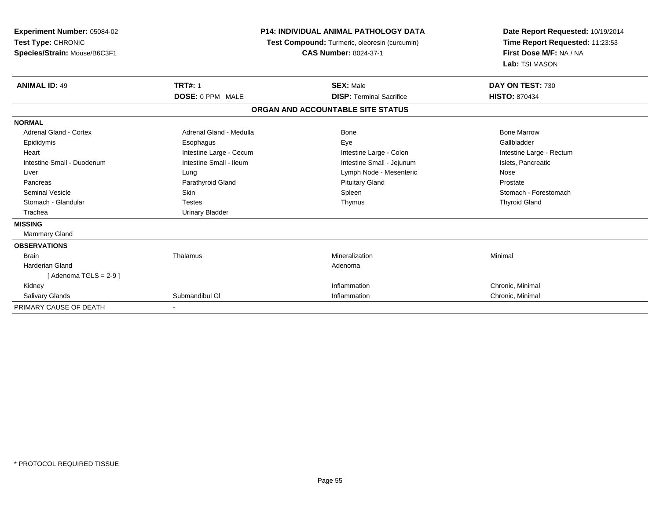| Experiment Number: 05084-02<br>Test Type: CHRONIC<br>Species/Strain: Mouse/B6C3F1 | <b>P14: INDIVIDUAL ANIMAL PATHOLOGY DATA</b><br>Test Compound: Turmeric, oleoresin (curcumin)<br><b>CAS Number: 8024-37-1</b> |                                   | Date Report Requested: 10/19/2014<br>Time Report Requested: 11:23:53<br>First Dose M/F: NA / NA<br>Lab: TSI MASON |
|-----------------------------------------------------------------------------------|-------------------------------------------------------------------------------------------------------------------------------|-----------------------------------|-------------------------------------------------------------------------------------------------------------------|
| <b>ANIMAL ID: 49</b>                                                              | <b>TRT#: 1</b>                                                                                                                | <b>SEX: Male</b>                  | DAY ON TEST: 730                                                                                                  |
|                                                                                   | DOSE: 0 PPM MALE                                                                                                              | <b>DISP: Terminal Sacrifice</b>   | <b>HISTO: 870434</b>                                                                                              |
|                                                                                   |                                                                                                                               | ORGAN AND ACCOUNTABLE SITE STATUS |                                                                                                                   |
| <b>NORMAL</b>                                                                     |                                                                                                                               |                                   |                                                                                                                   |
| Adrenal Gland - Cortex                                                            | Adrenal Gland - Medulla                                                                                                       | <b>Bone</b>                       | <b>Bone Marrow</b>                                                                                                |
| Epididymis                                                                        | Esophagus                                                                                                                     | Eye                               | Gallbladder                                                                                                       |
| Heart                                                                             | Intestine Large - Cecum                                                                                                       | Intestine Large - Colon           | Intestine Large - Rectum                                                                                          |
| Intestine Small - Duodenum                                                        | Intestine Small - Ileum                                                                                                       | Intestine Small - Jejunum         | Islets, Pancreatic                                                                                                |
| Liver                                                                             | Lung                                                                                                                          | Lymph Node - Mesenteric           | Nose                                                                                                              |
| Pancreas                                                                          | Parathyroid Gland                                                                                                             | <b>Pituitary Gland</b>            | Prostate                                                                                                          |
| <b>Seminal Vesicle</b>                                                            | <b>Skin</b>                                                                                                                   | Spleen                            | Stomach - Forestomach                                                                                             |
| Stomach - Glandular                                                               | <b>Testes</b>                                                                                                                 | Thymus                            | <b>Thyroid Gland</b>                                                                                              |
| Trachea                                                                           | <b>Urinary Bladder</b>                                                                                                        |                                   |                                                                                                                   |
| <b>MISSING</b>                                                                    |                                                                                                                               |                                   |                                                                                                                   |
| Mammary Gland                                                                     |                                                                                                                               |                                   |                                                                                                                   |
| <b>OBSERVATIONS</b>                                                               |                                                                                                                               |                                   |                                                                                                                   |
| <b>Brain</b>                                                                      | Thalamus                                                                                                                      | Mineralization                    | Minimal                                                                                                           |
| <b>Harderian Gland</b>                                                            |                                                                                                                               | Adenoma                           |                                                                                                                   |
| [Adenoma TGLS = $2-9$ ]                                                           |                                                                                                                               |                                   |                                                                                                                   |
| Kidney                                                                            |                                                                                                                               | Inflammation                      | Chronic, Minimal                                                                                                  |
| Salivary Glands                                                                   | Submandibul GI                                                                                                                | Inflammation                      | Chronic, Minimal                                                                                                  |
| PRIMARY CAUSE OF DEATH                                                            |                                                                                                                               |                                   |                                                                                                                   |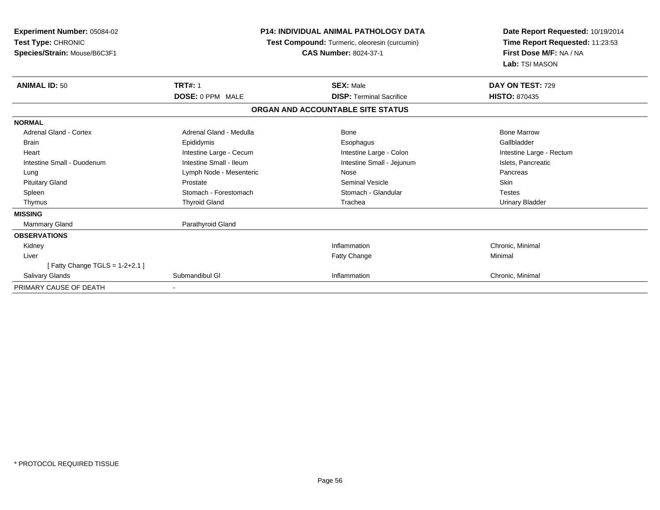| Experiment Number: 05084-02<br>Test Type: CHRONIC<br>Species/Strain: Mouse/B6C3F1 | <b>P14: INDIVIDUAL ANIMAL PATHOLOGY DATA</b><br>Test Compound: Turmeric, oleoresin (curcumin)<br><b>CAS Number: 8024-37-1</b> |                                   | Date Report Requested: 10/19/2014<br>Time Report Requested: 11:23:53<br>First Dose M/F: NA / NA<br>Lab: TSI MASON |
|-----------------------------------------------------------------------------------|-------------------------------------------------------------------------------------------------------------------------------|-----------------------------------|-------------------------------------------------------------------------------------------------------------------|
| <b>ANIMAL ID: 50</b>                                                              | <b>TRT#: 1</b>                                                                                                                | <b>SEX: Male</b>                  | DAY ON TEST: 729                                                                                                  |
|                                                                                   | <b>DOSE: 0 PPM MALE</b>                                                                                                       | <b>DISP: Terminal Sacrifice</b>   | <b>HISTO: 870435</b>                                                                                              |
|                                                                                   |                                                                                                                               | ORGAN AND ACCOUNTABLE SITE STATUS |                                                                                                                   |
| <b>NORMAL</b>                                                                     |                                                                                                                               |                                   |                                                                                                                   |
| Adrenal Gland - Cortex                                                            | Adrenal Gland - Medulla                                                                                                       | Bone                              | <b>Bone Marrow</b>                                                                                                |
| Brain                                                                             | Epididymis                                                                                                                    | Esophagus                         | Gallbladder                                                                                                       |
| Heart                                                                             | Intestine Large - Cecum                                                                                                       | Intestine Large - Colon           | Intestine Large - Rectum                                                                                          |
| Intestine Small - Duodenum                                                        | Intestine Small - Ileum                                                                                                       | Intestine Small - Jejunum         | Islets, Pancreatic                                                                                                |
| Lung                                                                              | Lymph Node - Mesenteric                                                                                                       | Nose                              | Pancreas                                                                                                          |
| <b>Pituitary Gland</b>                                                            | Prostate                                                                                                                      | <b>Seminal Vesicle</b>            | Skin                                                                                                              |
| Spleen                                                                            | Stomach - Forestomach                                                                                                         | Stomach - Glandular               | <b>Testes</b>                                                                                                     |
| Thymus                                                                            | <b>Thyroid Gland</b>                                                                                                          | Trachea                           | <b>Urinary Bladder</b>                                                                                            |
| <b>MISSING</b>                                                                    |                                                                                                                               |                                   |                                                                                                                   |
| <b>Mammary Gland</b>                                                              | Parathyroid Gland                                                                                                             |                                   |                                                                                                                   |
| <b>OBSERVATIONS</b>                                                               |                                                                                                                               |                                   |                                                                                                                   |
| Kidney                                                                            |                                                                                                                               | Inflammation                      | Chronic, Minimal                                                                                                  |
| Liver                                                                             |                                                                                                                               | <b>Fatty Change</b>               | Minimal                                                                                                           |
| [Fatty Change TGLS = $1-2+2.1$ ]                                                  |                                                                                                                               |                                   |                                                                                                                   |
| <b>Salivary Glands</b>                                                            | Submandibul GI                                                                                                                | Inflammation                      | Chronic, Minimal                                                                                                  |
| PRIMARY CAUSE OF DEATH                                                            |                                                                                                                               |                                   |                                                                                                                   |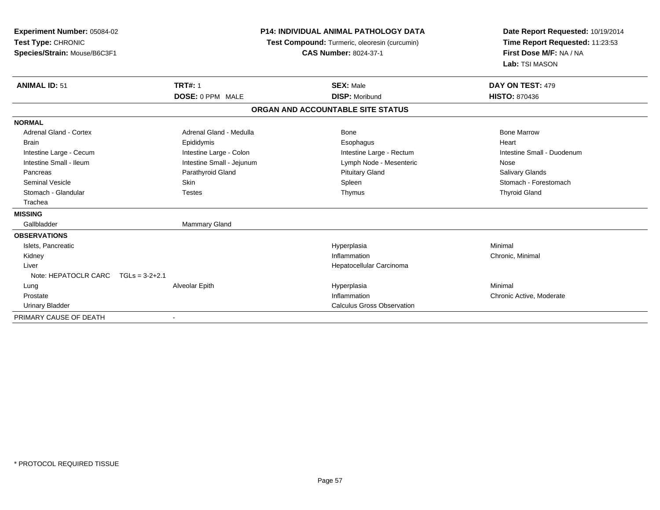| Experiment Number: 05084-02           |                                               | <b>P14: INDIVIDUAL ANIMAL PATHOLOGY DATA</b> |                                 |
|---------------------------------------|-----------------------------------------------|----------------------------------------------|---------------------------------|
| Test Type: CHRONIC                    | Test Compound: Turmeric, oleoresin (curcumin) |                                              | Time Report Requested: 11:23:53 |
| Species/Strain: Mouse/B6C3F1          |                                               | <b>CAS Number: 8024-37-1</b>                 | First Dose M/F: NA / NA         |
|                                       |                                               |                                              | Lab: TSI MASON                  |
| <b>ANIMAL ID: 51</b>                  | <b>TRT#: 1</b>                                | <b>SEX: Male</b>                             | DAY ON TEST: 479                |
|                                       | DOSE: 0 PPM MALE                              | <b>DISP: Moribund</b>                        | <b>HISTO: 870436</b>            |
|                                       |                                               | ORGAN AND ACCOUNTABLE SITE STATUS            |                                 |
| <b>NORMAL</b>                         |                                               |                                              |                                 |
| Adrenal Gland - Cortex                | Adrenal Gland - Medulla                       | Bone                                         | <b>Bone Marrow</b>              |
| <b>Brain</b>                          | Epididymis                                    | Esophagus                                    | Heart                           |
| Intestine Large - Cecum               | Intestine Large - Colon                       | Intestine Large - Rectum                     | Intestine Small - Duodenum      |
| Intestine Small - Ileum               | Intestine Small - Jejunum                     | Lymph Node - Mesenteric                      | Nose                            |
| Pancreas                              | Parathyroid Gland                             | <b>Pituitary Gland</b>                       | <b>Salivary Glands</b>          |
| <b>Seminal Vesicle</b>                | Skin                                          | Spleen                                       | Stomach - Forestomach           |
| Stomach - Glandular                   | <b>Testes</b>                                 | Thymus                                       | <b>Thyroid Gland</b>            |
| Trachea                               |                                               |                                              |                                 |
| <b>MISSING</b>                        |                                               |                                              |                                 |
| Gallbladder                           | Mammary Gland                                 |                                              |                                 |
| <b>OBSERVATIONS</b>                   |                                               |                                              |                                 |
| Islets, Pancreatic                    |                                               | Hyperplasia                                  | Minimal                         |
| Kidney                                |                                               | Inflammation                                 | Chronic, Minimal                |
| Liver                                 |                                               | Hepatocellular Carcinoma                     |                                 |
| Note: HEPATOCLR CARC $TGLs = 3-2+2.1$ |                                               |                                              |                                 |
| Lung                                  | Alveolar Epith                                | Hyperplasia                                  | Minimal                         |
| Prostate                              |                                               | Inflammation                                 | Chronic Active, Moderate        |
| <b>Urinary Bladder</b>                |                                               | <b>Calculus Gross Observation</b>            |                                 |
| PRIMARY CAUSE OF DEATH                |                                               |                                              |                                 |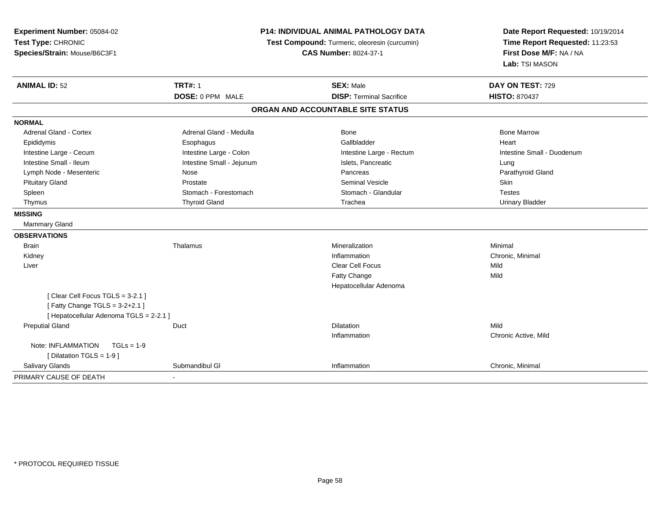| Experiment Number: 05084-02<br>Test Type: CHRONIC<br>Species/Strain: Mouse/B6C3F1 | <b>P14: INDIVIDUAL ANIMAL PATHOLOGY DATA</b><br>Test Compound: Turmeric, oleoresin (curcumin)<br><b>CAS Number: 8024-37-1</b> |                                   | Date Report Requested: 10/19/2014<br>Time Report Requested: 11:23:53<br>First Dose M/F: NA / NA<br>Lab: TSI MASON |
|-----------------------------------------------------------------------------------|-------------------------------------------------------------------------------------------------------------------------------|-----------------------------------|-------------------------------------------------------------------------------------------------------------------|
| <b>ANIMAL ID: 52</b>                                                              | <b>TRT#: 1</b>                                                                                                                | <b>SEX: Male</b>                  | DAY ON TEST: 729                                                                                                  |
|                                                                                   | DOSE: 0 PPM MALE                                                                                                              | <b>DISP: Terminal Sacrifice</b>   | <b>HISTO: 870437</b>                                                                                              |
|                                                                                   |                                                                                                                               | ORGAN AND ACCOUNTABLE SITE STATUS |                                                                                                                   |
| <b>NORMAL</b>                                                                     |                                                                                                                               |                                   |                                                                                                                   |
| <b>Adrenal Gland - Cortex</b>                                                     | Adrenal Gland - Medulla                                                                                                       | Bone                              | <b>Bone Marrow</b>                                                                                                |
| Epididymis                                                                        | Esophagus                                                                                                                     | Gallbladder                       | Heart                                                                                                             |
| Intestine Large - Cecum                                                           | Intestine Large - Colon                                                                                                       | Intestine Large - Rectum          | Intestine Small - Duodenum                                                                                        |
| Intestine Small - Ileum                                                           | Intestine Small - Jejunum                                                                                                     | Islets, Pancreatic                | Lung                                                                                                              |
| Lymph Node - Mesenteric                                                           | Nose                                                                                                                          | Pancreas                          | Parathyroid Gland                                                                                                 |
| <b>Pituitary Gland</b>                                                            | Prostate                                                                                                                      | <b>Seminal Vesicle</b>            | Skin                                                                                                              |
| Spleen                                                                            | Stomach - Forestomach                                                                                                         | Stomach - Glandular               | <b>Testes</b>                                                                                                     |
| Thymus                                                                            | <b>Thyroid Gland</b>                                                                                                          | Trachea                           | <b>Urinary Bladder</b>                                                                                            |
| <b>MISSING</b>                                                                    |                                                                                                                               |                                   |                                                                                                                   |
| Mammary Gland                                                                     |                                                                                                                               |                                   |                                                                                                                   |
| <b>OBSERVATIONS</b>                                                               |                                                                                                                               |                                   |                                                                                                                   |
| <b>Brain</b>                                                                      | Thalamus                                                                                                                      | Mineralization                    | Minimal                                                                                                           |
| Kidney                                                                            |                                                                                                                               | Inflammation                      | Chronic, Minimal                                                                                                  |
| Liver                                                                             |                                                                                                                               | <b>Clear Cell Focus</b>           | Mild                                                                                                              |
|                                                                                   |                                                                                                                               | Fatty Change                      | Mild                                                                                                              |
|                                                                                   |                                                                                                                               | Hepatocellular Adenoma            |                                                                                                                   |
| [Clear Cell Focus TGLS = 3-2.1]                                                   |                                                                                                                               |                                   |                                                                                                                   |
| [Fatty Change TGLS = $3-2+2.1$ ]                                                  |                                                                                                                               |                                   |                                                                                                                   |
| [ Hepatocellular Adenoma TGLS = 2-2.1 ]                                           |                                                                                                                               |                                   |                                                                                                                   |
| <b>Preputial Gland</b>                                                            | Duct                                                                                                                          | <b>Dilatation</b>                 | Mild                                                                                                              |
|                                                                                   |                                                                                                                               | Inflammation                      | Chronic Active, Mild                                                                                              |
| Note: INFLAMMATION<br>$TGLs = 1-9$                                                |                                                                                                                               |                                   |                                                                                                                   |
| [ Dilatation TGLS = 1-9 ]                                                         |                                                                                                                               |                                   |                                                                                                                   |
| Salivary Glands                                                                   | Submandibul GI                                                                                                                | Inflammation                      | Chronic, Minimal                                                                                                  |
| PRIMARY CAUSE OF DEATH                                                            |                                                                                                                               |                                   |                                                                                                                   |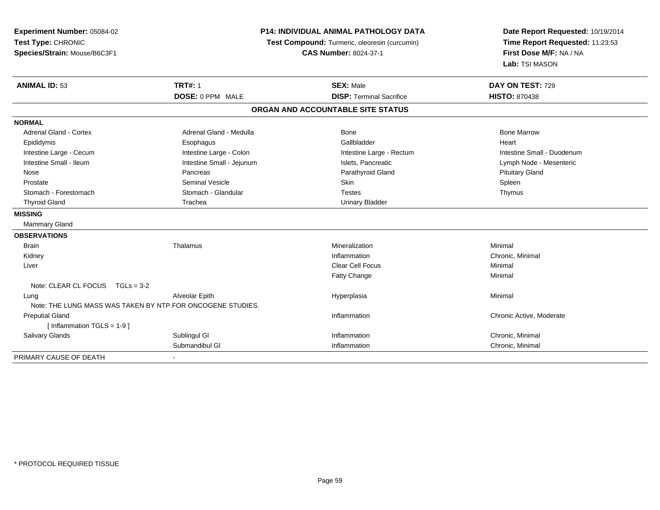| Experiment Number: 05084-02<br>Test Type: CHRONIC<br>Species/Strain: Mouse/B6C3F1 |                           | <b>P14: INDIVIDUAL ANIMAL PATHOLOGY DATA</b><br>Test Compound: Turmeric, oleoresin (curcumin)<br><b>CAS Number: 8024-37-1</b> |                            |
|-----------------------------------------------------------------------------------|---------------------------|-------------------------------------------------------------------------------------------------------------------------------|----------------------------|
| <b>ANIMAL ID: 53</b>                                                              | <b>TRT#: 1</b>            | <b>SEX: Male</b>                                                                                                              | DAY ON TEST: 729           |
|                                                                                   | DOSE: 0 PPM MALE          | <b>DISP: Terminal Sacrifice</b>                                                                                               | <b>HISTO: 870438</b>       |
|                                                                                   |                           | ORGAN AND ACCOUNTABLE SITE STATUS                                                                                             |                            |
| <b>NORMAL</b>                                                                     |                           |                                                                                                                               |                            |
| <b>Adrenal Gland - Cortex</b>                                                     | Adrenal Gland - Medulla   | Bone                                                                                                                          | <b>Bone Marrow</b>         |
| Epididymis                                                                        | Esophagus                 | Gallbladder                                                                                                                   | Heart                      |
| Intestine Large - Cecum                                                           | Intestine Large - Colon   | Intestine Large - Rectum                                                                                                      | Intestine Small - Duodenum |
| Intestine Small - Ileum                                                           | Intestine Small - Jejunum | Islets, Pancreatic                                                                                                            | Lymph Node - Mesenteric    |
| Nose                                                                              | Pancreas                  | Parathyroid Gland                                                                                                             | <b>Pituitary Gland</b>     |
| Prostate                                                                          | <b>Seminal Vesicle</b>    | Skin                                                                                                                          | Spleen                     |
| Stomach - Forestomach                                                             | Stomach - Glandular       | <b>Testes</b>                                                                                                                 | Thymus                     |
| <b>Thyroid Gland</b>                                                              | Trachea                   | <b>Urinary Bladder</b>                                                                                                        |                            |
| <b>MISSING</b>                                                                    |                           |                                                                                                                               |                            |
| Mammary Gland                                                                     |                           |                                                                                                                               |                            |
| <b>OBSERVATIONS</b>                                                               |                           |                                                                                                                               |                            |
| <b>Brain</b>                                                                      | Thalamus                  | Mineralization                                                                                                                | Minimal                    |
| Kidney                                                                            |                           | Inflammation                                                                                                                  | Chronic, Minimal           |
| Liver                                                                             |                           | <b>Clear Cell Focus</b>                                                                                                       | Minimal                    |
|                                                                                   |                           | Fatty Change                                                                                                                  | Minimal                    |
| Note: CLEAR CL FOCUS $TGLs = 3-2$                                                 |                           |                                                                                                                               |                            |
| Lung                                                                              | Alveolar Epith            | Hyperplasia                                                                                                                   | Minimal                    |
| Note: THE LUNG MASS WAS TAKEN BY NTP FOR ONCOGENE STUDIES.                        |                           |                                                                                                                               |                            |
| <b>Preputial Gland</b>                                                            |                           | Inflammation                                                                                                                  | Chronic Active, Moderate   |
| [Inflammation TGLS = $1-9$ ]                                                      |                           |                                                                                                                               |                            |
| <b>Salivary Glands</b>                                                            | Sublingul GI              | Inflammation                                                                                                                  | Chronic, Minimal           |
|                                                                                   | Submandibul GI            | Inflammation                                                                                                                  | Chronic, Minimal           |
| PRIMARY CAUSE OF DEATH                                                            |                           |                                                                                                                               |                            |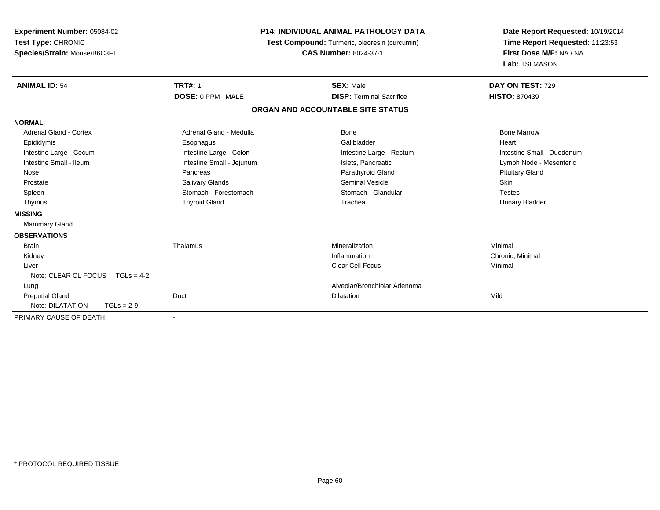| <b>Experiment Number: 05084-02</b><br>Test Type: CHRONIC<br>Species/Strain: Mouse/B6C3F1 |                           | <b>P14: INDIVIDUAL ANIMAL PATHOLOGY DATA</b><br>Test Compound: Turmeric, oleoresin (curcumin)<br><b>CAS Number: 8024-37-1</b> | Date Report Requested: 10/19/2014<br>Time Report Requested: 11:23:53<br>First Dose M/F: NA / NA<br>Lab: TSI MASON |
|------------------------------------------------------------------------------------------|---------------------------|-------------------------------------------------------------------------------------------------------------------------------|-------------------------------------------------------------------------------------------------------------------|
| <b>ANIMAL ID: 54</b>                                                                     | <b>TRT#: 1</b>            | <b>SEX: Male</b>                                                                                                              | DAY ON TEST: 729                                                                                                  |
|                                                                                          | DOSE: 0 PPM MALE          | <b>DISP: Terminal Sacrifice</b>                                                                                               | <b>HISTO: 870439</b>                                                                                              |
|                                                                                          |                           | ORGAN AND ACCOUNTABLE SITE STATUS                                                                                             |                                                                                                                   |
| <b>NORMAL</b>                                                                            |                           |                                                                                                                               |                                                                                                                   |
| Adrenal Gland - Cortex                                                                   | Adrenal Gland - Medulla   | Bone                                                                                                                          | <b>Bone Marrow</b>                                                                                                |
| Epididymis                                                                               | Esophagus                 | Gallbladder                                                                                                                   | Heart                                                                                                             |
| Intestine Large - Cecum                                                                  | Intestine Large - Colon   | Intestine Large - Rectum                                                                                                      | Intestine Small - Duodenum                                                                                        |
| Intestine Small - Ileum                                                                  | Intestine Small - Jejunum | Islets, Pancreatic                                                                                                            | Lymph Node - Mesenteric                                                                                           |
| Nose                                                                                     | Pancreas                  | Parathyroid Gland                                                                                                             | <b>Pituitary Gland</b>                                                                                            |
| Prostate                                                                                 | Salivary Glands           | <b>Seminal Vesicle</b>                                                                                                        | <b>Skin</b>                                                                                                       |
| Spleen                                                                                   | Stomach - Forestomach     | Stomach - Glandular                                                                                                           | <b>Testes</b>                                                                                                     |
| Thymus                                                                                   | <b>Thyroid Gland</b>      | Trachea                                                                                                                       | <b>Urinary Bladder</b>                                                                                            |
| <b>MISSING</b>                                                                           |                           |                                                                                                                               |                                                                                                                   |
| Mammary Gland                                                                            |                           |                                                                                                                               |                                                                                                                   |
| <b>OBSERVATIONS</b>                                                                      |                           |                                                                                                                               |                                                                                                                   |
| <b>Brain</b>                                                                             | Thalamus                  | Mineralization                                                                                                                | Minimal                                                                                                           |
| Kidney                                                                                   |                           | Inflammation                                                                                                                  | Chronic, Minimal                                                                                                  |
| Liver                                                                                    |                           | <b>Clear Cell Focus</b>                                                                                                       | Minimal                                                                                                           |
| Note: CLEAR CL FOCUS $TGLs = 4-2$                                                        |                           |                                                                                                                               |                                                                                                                   |
| Lung                                                                                     |                           | Alveolar/Bronchiolar Adenoma                                                                                                  |                                                                                                                   |
| <b>Preputial Gland</b>                                                                   | Duct                      | <b>Dilatation</b>                                                                                                             | Mild                                                                                                              |
| Note: DILATATION<br>$TGLs = 2-9$                                                         |                           |                                                                                                                               |                                                                                                                   |
| PRIMARY CAUSE OF DEATH                                                                   | $\blacksquare$            |                                                                                                                               |                                                                                                                   |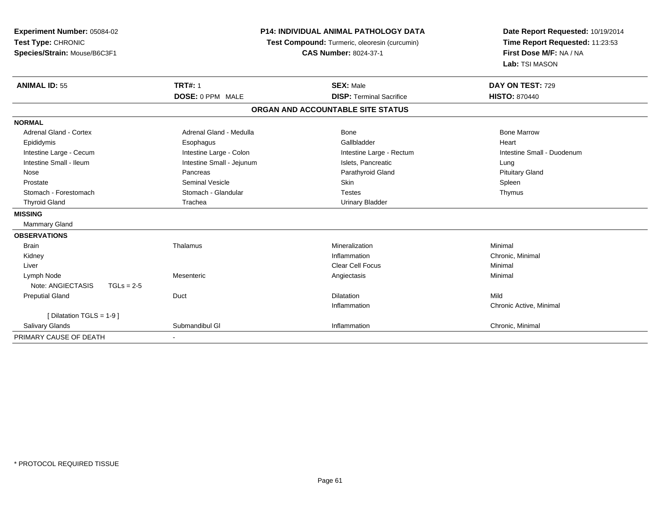| Experiment Number: 05084-02       |                           | <b>P14: INDIVIDUAL ANIMAL PATHOLOGY DATA</b>  |                                                            |
|-----------------------------------|---------------------------|-----------------------------------------------|------------------------------------------------------------|
| Test Type: CHRONIC                |                           | Test Compound: Turmeric, oleoresin (curcumin) | Time Report Requested: 11:23:53<br>First Dose M/F: NA / NA |
| Species/Strain: Mouse/B6C3F1      |                           | <b>CAS Number: 8024-37-1</b>                  |                                                            |
|                                   |                           |                                               | Lab: TSI MASON                                             |
| <b>ANIMAL ID: 55</b>              | <b>TRT#: 1</b>            | <b>SEX: Male</b>                              | DAY ON TEST: 729                                           |
|                                   | DOSE: 0 PPM MALE          | <b>DISP: Terminal Sacrifice</b>               | <b>HISTO: 870440</b>                                       |
|                                   |                           | ORGAN AND ACCOUNTABLE SITE STATUS             |                                                            |
| <b>NORMAL</b>                     |                           |                                               |                                                            |
| <b>Adrenal Gland - Cortex</b>     | Adrenal Gland - Medulla   | <b>Bone</b>                                   | <b>Bone Marrow</b>                                         |
| Epididymis                        | Esophagus                 | Gallbladder                                   | Heart                                                      |
| Intestine Large - Cecum           | Intestine Large - Colon   | Intestine Large - Rectum                      | Intestine Small - Duodenum                                 |
| Intestine Small - Ileum           | Intestine Small - Jejunum | Islets, Pancreatic                            | Lung                                                       |
| Nose                              | Pancreas                  | Parathyroid Gland                             | <b>Pituitary Gland</b>                                     |
| Prostate                          | <b>Seminal Vesicle</b>    | <b>Skin</b>                                   | Spleen                                                     |
| Stomach - Forestomach             | Stomach - Glandular       | <b>Testes</b>                                 | Thymus                                                     |
| <b>Thyroid Gland</b>              | Trachea                   | <b>Urinary Bladder</b>                        |                                                            |
| <b>MISSING</b>                    |                           |                                               |                                                            |
| <b>Mammary Gland</b>              |                           |                                               |                                                            |
| <b>OBSERVATIONS</b>               |                           |                                               |                                                            |
| <b>Brain</b>                      | Thalamus                  | Mineralization                                | Minimal                                                    |
| Kidney                            |                           | Inflammation                                  | Chronic, Minimal                                           |
| Liver                             |                           | <b>Clear Cell Focus</b>                       | Minimal                                                    |
| Lymph Node                        | Mesenteric                | Angiectasis                                   | Minimal                                                    |
| Note: ANGIECTASIS<br>$TGLs = 2-5$ |                           |                                               |                                                            |
| <b>Preputial Gland</b>            | Duct                      | <b>Dilatation</b>                             | Mild                                                       |
|                                   |                           | Inflammation                                  | Chronic Active, Minimal                                    |
| [Dilatation TGLS = 1-9]           |                           |                                               |                                                            |
| Salivary Glands                   | Submandibul GI            | Inflammation                                  | Chronic, Minimal                                           |
| PRIMARY CAUSE OF DEATH            |                           |                                               |                                                            |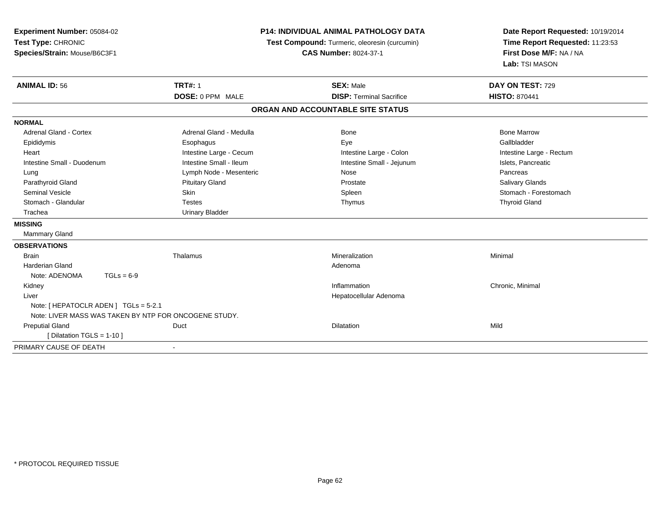| Experiment Number: 05084-02<br>Test Type: CHRONIC<br>Species/Strain: Mouse/B6C3F1 |                         | P14: INDIVIDUAL ANIMAL PATHOLOGY DATA<br>Test Compound: Turmeric, oleoresin (curcumin)<br><b>CAS Number: 8024-37-1</b> | Date Report Requested: 10/19/2014<br>Time Report Requested: 11:23:53<br>First Dose M/F: NA / NA<br>Lab: TSI MASON |
|-----------------------------------------------------------------------------------|-------------------------|------------------------------------------------------------------------------------------------------------------------|-------------------------------------------------------------------------------------------------------------------|
| <b>ANIMAL ID: 56</b>                                                              | <b>TRT#: 1</b>          | <b>SEX: Male</b>                                                                                                       | DAY ON TEST: 729                                                                                                  |
|                                                                                   | DOSE: 0 PPM MALE        | <b>DISP: Terminal Sacrifice</b>                                                                                        | <b>HISTO: 870441</b>                                                                                              |
|                                                                                   |                         | ORGAN AND ACCOUNTABLE SITE STATUS                                                                                      |                                                                                                                   |
| <b>NORMAL</b>                                                                     |                         |                                                                                                                        |                                                                                                                   |
| <b>Adrenal Gland - Cortex</b>                                                     | Adrenal Gland - Medulla | Bone                                                                                                                   | <b>Bone Marrow</b>                                                                                                |
| Epididymis                                                                        | Esophagus               | Eye                                                                                                                    | Gallbladder                                                                                                       |
| Heart                                                                             | Intestine Large - Cecum | Intestine Large - Colon                                                                                                | Intestine Large - Rectum                                                                                          |
| Intestine Small - Duodenum                                                        | Intestine Small - Ileum | Intestine Small - Jejunum                                                                                              | Islets, Pancreatic                                                                                                |
| Lung                                                                              | Lymph Node - Mesenteric | Nose                                                                                                                   | Pancreas                                                                                                          |
| Parathyroid Gland                                                                 | <b>Pituitary Gland</b>  | Prostate                                                                                                               | Salivary Glands                                                                                                   |
| Seminal Vesicle                                                                   | Skin                    | Spleen                                                                                                                 | Stomach - Forestomach                                                                                             |
| Stomach - Glandular                                                               | <b>Testes</b>           | Thymus                                                                                                                 | <b>Thyroid Gland</b>                                                                                              |
| Trachea                                                                           | <b>Urinary Bladder</b>  |                                                                                                                        |                                                                                                                   |
| <b>MISSING</b>                                                                    |                         |                                                                                                                        |                                                                                                                   |
| Mammary Gland                                                                     |                         |                                                                                                                        |                                                                                                                   |
| <b>OBSERVATIONS</b>                                                               |                         |                                                                                                                        |                                                                                                                   |
| <b>Brain</b>                                                                      | Thalamus                | Mineralization                                                                                                         | Minimal                                                                                                           |
| Harderian Gland                                                                   |                         | Adenoma                                                                                                                |                                                                                                                   |
| Note: ADENOMA<br>$TGLs = 6-9$                                                     |                         |                                                                                                                        |                                                                                                                   |
| Kidney                                                                            |                         | Inflammation                                                                                                           | Chronic, Minimal                                                                                                  |
| Liver                                                                             |                         | Hepatocellular Adenoma                                                                                                 |                                                                                                                   |
| Note: [ HEPATOCLR ADEN ] TGLs = 5-2.1                                             |                         |                                                                                                                        |                                                                                                                   |
| Note: LIVER MASS WAS TAKEN BY NTP FOR ONCOGENE STUDY.                             |                         |                                                                                                                        |                                                                                                                   |
| <b>Preputial Gland</b>                                                            | Duct                    | Dilatation                                                                                                             | Mild                                                                                                              |
| [ Dilatation TGLS = 1-10 ]                                                        |                         |                                                                                                                        |                                                                                                                   |
| PRIMARY CAUSE OF DEATH                                                            | $\blacksquare$          |                                                                                                                        |                                                                                                                   |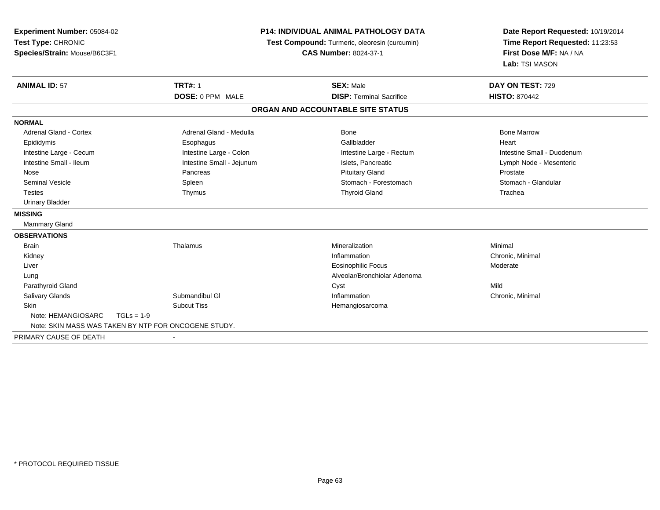| Experiment Number: 05084-02   |                                                      | <b>P14: INDIVIDUAL ANIMAL PATHOLOGY DATA</b>  |                                                            |
|-------------------------------|------------------------------------------------------|-----------------------------------------------|------------------------------------------------------------|
| Test Type: CHRONIC            |                                                      | Test Compound: Turmeric, oleoresin (curcumin) | Time Report Requested: 11:23:53<br>First Dose M/F: NA / NA |
| Species/Strain: Mouse/B6C3F1  |                                                      | <b>CAS Number: 8024-37-1</b>                  |                                                            |
|                               |                                                      |                                               | Lab: TSI MASON                                             |
| <b>ANIMAL ID: 57</b>          | <b>TRT#: 1</b>                                       | <b>SEX: Male</b>                              | DAY ON TEST: 729                                           |
|                               | DOSE: 0 PPM MALE                                     | <b>DISP: Terminal Sacrifice</b>               | <b>HISTO: 870442</b>                                       |
|                               |                                                      | ORGAN AND ACCOUNTABLE SITE STATUS             |                                                            |
| <b>NORMAL</b>                 |                                                      |                                               |                                                            |
| <b>Adrenal Gland - Cortex</b> | Adrenal Gland - Medulla                              | Bone                                          | <b>Bone Marrow</b>                                         |
| Epididymis                    | Esophagus                                            | Gallbladder                                   | Heart                                                      |
| Intestine Large - Cecum       | Intestine Large - Colon                              | Intestine Large - Rectum                      | Intestine Small - Duodenum                                 |
| Intestine Small - Ileum       | Intestine Small - Jejunum                            | Islets, Pancreatic                            | Lymph Node - Mesenteric                                    |
| Nose                          | Pancreas                                             | <b>Pituitary Gland</b>                        | Prostate                                                   |
| <b>Seminal Vesicle</b>        | Spleen                                               | Stomach - Forestomach                         | Stomach - Glandular                                        |
| <b>Testes</b>                 | Thymus                                               | <b>Thyroid Gland</b>                          | Trachea                                                    |
| <b>Urinary Bladder</b>        |                                                      |                                               |                                                            |
| <b>MISSING</b>                |                                                      |                                               |                                                            |
| <b>Mammary Gland</b>          |                                                      |                                               |                                                            |
| <b>OBSERVATIONS</b>           |                                                      |                                               |                                                            |
| <b>Brain</b>                  | Thalamus                                             | Mineralization                                | Minimal                                                    |
| Kidney                        |                                                      | Inflammation                                  | Chronic, Minimal                                           |
| Liver                         |                                                      | <b>Eosinophilic Focus</b>                     | Moderate                                                   |
| Lung                          |                                                      | Alveolar/Bronchiolar Adenoma                  |                                                            |
| Parathyroid Gland             |                                                      | Cyst                                          | Mild                                                       |
| Salivary Glands               | Submandibul GI                                       | Inflammation                                  | Chronic, Minimal                                           |
| Skin                          | <b>Subcut Tiss</b>                                   | Hemangiosarcoma                               |                                                            |
| Note: HEMANGIOSARC            | $TGLs = 1-9$                                         |                                               |                                                            |
|                               | Note: SKIN MASS WAS TAKEN BY NTP FOR ONCOGENE STUDY. |                                               |                                                            |
| PRIMARY CAUSE OF DEATH        |                                                      |                                               |                                                            |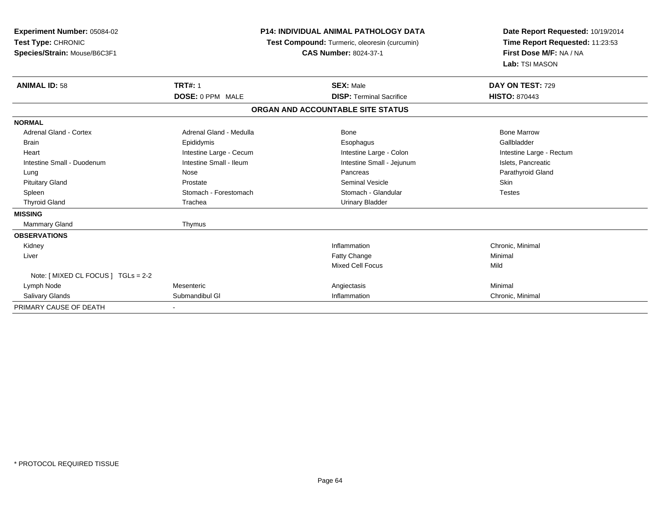| <b>Experiment Number: 05084-02</b><br>Test Type: CHRONIC<br>Species/Strain: Mouse/B6C3F1 | <b>P14: INDIVIDUAL ANIMAL PATHOLOGY DATA</b><br>Test Compound: Turmeric, oleoresin (curcumin)<br><b>CAS Number: 8024-37-1</b> |                                   | Date Report Requested: 10/19/2014<br>Time Report Requested: 11:23:53<br>First Dose M/F: NA / NA<br>Lab: TSI MASON |
|------------------------------------------------------------------------------------------|-------------------------------------------------------------------------------------------------------------------------------|-----------------------------------|-------------------------------------------------------------------------------------------------------------------|
| <b>ANIMAL ID: 58</b>                                                                     | <b>TRT#: 1</b>                                                                                                                | <b>SEX: Male</b>                  | DAY ON TEST: 729                                                                                                  |
|                                                                                          | DOSE: 0 PPM MALE                                                                                                              | <b>DISP: Terminal Sacrifice</b>   | <b>HISTO: 870443</b>                                                                                              |
|                                                                                          |                                                                                                                               | ORGAN AND ACCOUNTABLE SITE STATUS |                                                                                                                   |
| <b>NORMAL</b>                                                                            |                                                                                                                               |                                   |                                                                                                                   |
| <b>Adrenal Gland - Cortex</b>                                                            | Adrenal Gland - Medulla                                                                                                       | Bone                              | <b>Bone Marrow</b>                                                                                                |
| Brain                                                                                    | Epididymis                                                                                                                    | Esophagus                         | Gallbladder                                                                                                       |
| Heart                                                                                    | Intestine Large - Cecum                                                                                                       | Intestine Large - Colon           | Intestine Large - Rectum                                                                                          |
| Intestine Small - Duodenum                                                               | Intestine Small - Ileum                                                                                                       | Intestine Small - Jejunum         | Islets, Pancreatic                                                                                                |
| Lung                                                                                     | Nose                                                                                                                          | Pancreas                          | Parathyroid Gland                                                                                                 |
| <b>Pituitary Gland</b>                                                                   | Prostate                                                                                                                      | <b>Seminal Vesicle</b>            | <b>Skin</b>                                                                                                       |
| Spleen                                                                                   | Stomach - Forestomach                                                                                                         | Stomach - Glandular               | <b>Testes</b>                                                                                                     |
| <b>Thyroid Gland</b>                                                                     | Trachea                                                                                                                       | <b>Urinary Bladder</b>            |                                                                                                                   |
| <b>MISSING</b>                                                                           |                                                                                                                               |                                   |                                                                                                                   |
| <b>Mammary Gland</b>                                                                     | Thymus                                                                                                                        |                                   |                                                                                                                   |
| <b>OBSERVATIONS</b>                                                                      |                                                                                                                               |                                   |                                                                                                                   |
| Kidney                                                                                   |                                                                                                                               | Inflammation                      | Chronic, Minimal                                                                                                  |
| Liver                                                                                    |                                                                                                                               | Fatty Change                      | Minimal                                                                                                           |
|                                                                                          |                                                                                                                               | Mixed Cell Focus                  | Mild                                                                                                              |
| Note: [ MIXED CL FOCUS ] TGLs = 2-2                                                      |                                                                                                                               |                                   |                                                                                                                   |
| Lymph Node                                                                               | Mesenteric                                                                                                                    | Angiectasis                       | Minimal                                                                                                           |
| <b>Salivary Glands</b>                                                                   | Submandibul GI                                                                                                                | Inflammation                      | Chronic, Minimal                                                                                                  |
| PRIMARY CAUSE OF DEATH                                                                   |                                                                                                                               |                                   |                                                                                                                   |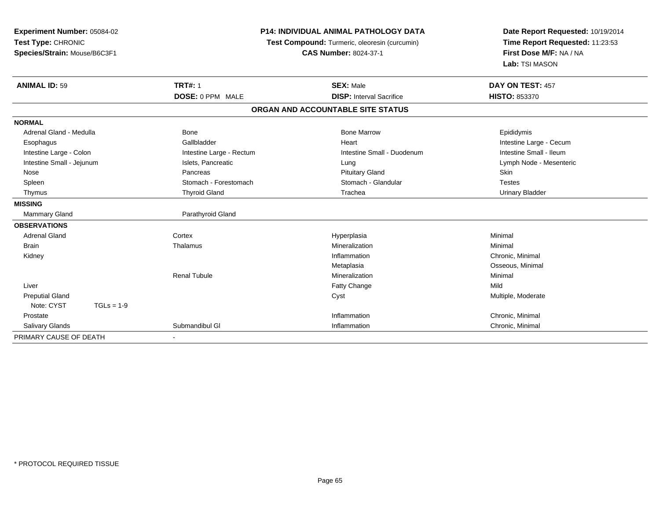| Experiment Number: 05084-02  | <b>P14: INDIVIDUAL ANIMAL PATHOLOGY DATA</b><br>Test Compound: Turmeric, oleoresin (curcumin) |                                   | Date Report Requested: 10/19/2014 |
|------------------------------|-----------------------------------------------------------------------------------------------|-----------------------------------|-----------------------------------|
| Test Type: CHRONIC           |                                                                                               |                                   | Time Report Requested: 11:23:53   |
| Species/Strain: Mouse/B6C3F1 |                                                                                               | <b>CAS Number: 8024-37-1</b>      | First Dose M/F: NA / NA           |
|                              |                                                                                               |                                   | Lab: TSI MASON                    |
| <b>ANIMAL ID: 59</b>         | <b>TRT#: 1</b>                                                                                | <b>SEX: Male</b>                  | DAY ON TEST: 457                  |
|                              | DOSE: 0 PPM MALE                                                                              | <b>DISP: Interval Sacrifice</b>   | HISTO: 853370                     |
|                              |                                                                                               | ORGAN AND ACCOUNTABLE SITE STATUS |                                   |
| <b>NORMAL</b>                |                                                                                               |                                   |                                   |
| Adrenal Gland - Medulla      | <b>Bone</b>                                                                                   | <b>Bone Marrow</b>                | Epididymis                        |
| Esophagus                    | Gallbladder                                                                                   | Heart                             | Intestine Large - Cecum           |
| Intestine Large - Colon      | Intestine Large - Rectum                                                                      | Intestine Small - Duodenum        | Intestine Small - Ileum           |
| Intestine Small - Jejunum    | Islets, Pancreatic                                                                            | Lung                              | Lymph Node - Mesenteric           |
| Nose                         | Pancreas                                                                                      | <b>Pituitary Gland</b>            | Skin                              |
| Spleen                       | Stomach - Forestomach                                                                         | Stomach - Glandular               | <b>Testes</b>                     |
| Thymus                       | <b>Thyroid Gland</b>                                                                          | Trachea                           | <b>Urinary Bladder</b>            |
| <b>MISSING</b>               |                                                                                               |                                   |                                   |
| <b>Mammary Gland</b>         | Parathyroid Gland                                                                             |                                   |                                   |
| <b>OBSERVATIONS</b>          |                                                                                               |                                   |                                   |
| <b>Adrenal Gland</b>         | Cortex                                                                                        | Hyperplasia                       | Minimal                           |
| <b>Brain</b>                 | Thalamus                                                                                      | Mineralization                    | Minimal                           |
| Kidney                       |                                                                                               | Inflammation                      | Chronic, Minimal                  |
|                              |                                                                                               | Metaplasia                        | Osseous, Minimal                  |
|                              | <b>Renal Tubule</b>                                                                           | Mineralization                    | Minimal                           |
| Liver                        |                                                                                               | Fatty Change                      | Mild                              |
| <b>Preputial Gland</b>       |                                                                                               | Cyst                              | Multiple, Moderate                |
| Note: CYST<br>$TGLs = 1-9$   |                                                                                               |                                   |                                   |
| Prostate                     |                                                                                               | Inflammation                      | Chronic, Minimal                  |
| <b>Salivary Glands</b>       | Submandibul GI                                                                                | Inflammation                      | Chronic, Minimal                  |
| PRIMARY CAUSE OF DEATH       |                                                                                               |                                   |                                   |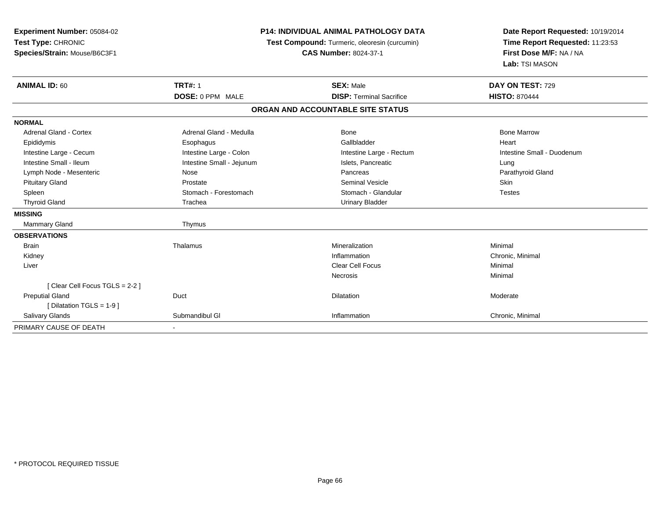| Experiment Number: 05084-02<br>Test Type: CHRONIC<br>Species/Strain: Mouse/B6C3F1 |                                    | <b>P14: INDIVIDUAL ANIMAL PATHOLOGY DATA</b><br>Test Compound: Turmeric, oleoresin (curcumin)<br><b>CAS Number: 8024-37-1</b> | Date Report Requested: 10/19/2014<br>Time Report Requested: 11:23:53<br>First Dose M/F: NA / NA<br>Lab: TSI MASON |  |
|-----------------------------------------------------------------------------------|------------------------------------|-------------------------------------------------------------------------------------------------------------------------------|-------------------------------------------------------------------------------------------------------------------|--|
| <b>ANIMAL ID: 60</b>                                                              | <b>TRT#: 1</b><br>DOSE: 0 PPM MALE | <b>SEX: Male</b><br><b>DISP: Terminal Sacrifice</b>                                                                           | DAY ON TEST: 729<br><b>HISTO: 870444</b>                                                                          |  |
|                                                                                   |                                    |                                                                                                                               |                                                                                                                   |  |
|                                                                                   |                                    | ORGAN AND ACCOUNTABLE SITE STATUS                                                                                             |                                                                                                                   |  |
| <b>NORMAL</b>                                                                     |                                    |                                                                                                                               |                                                                                                                   |  |
| <b>Adrenal Gland - Cortex</b>                                                     | Adrenal Gland - Medulla            | Bone                                                                                                                          | <b>Bone Marrow</b>                                                                                                |  |
| Epididymis                                                                        | Esophagus                          | Gallbladder                                                                                                                   | Heart                                                                                                             |  |
| Intestine Large - Cecum                                                           | Intestine Large - Colon            | Intestine Large - Rectum                                                                                                      | Intestine Small - Duodenum                                                                                        |  |
| Intestine Small - Ileum                                                           | Intestine Small - Jejunum          | Islets, Pancreatic                                                                                                            | Lung                                                                                                              |  |
| Lymph Node - Mesenteric                                                           | Nose                               | Pancreas                                                                                                                      | Parathyroid Gland                                                                                                 |  |
| <b>Pituitary Gland</b>                                                            | Prostate                           | <b>Seminal Vesicle</b>                                                                                                        | Skin                                                                                                              |  |
| Spleen                                                                            | Stomach - Forestomach              | Stomach - Glandular                                                                                                           | <b>Testes</b>                                                                                                     |  |
| <b>Thyroid Gland</b>                                                              | Trachea                            | <b>Urinary Bladder</b>                                                                                                        |                                                                                                                   |  |
| <b>MISSING</b>                                                                    |                                    |                                                                                                                               |                                                                                                                   |  |
| <b>Mammary Gland</b>                                                              | Thymus                             |                                                                                                                               |                                                                                                                   |  |
| <b>OBSERVATIONS</b>                                                               |                                    |                                                                                                                               |                                                                                                                   |  |
| <b>Brain</b>                                                                      | Thalamus                           | Mineralization                                                                                                                | Minimal                                                                                                           |  |
| Kidney                                                                            |                                    | Inflammation                                                                                                                  | Chronic, Minimal                                                                                                  |  |
| Liver                                                                             |                                    | <b>Clear Cell Focus</b>                                                                                                       | Minimal                                                                                                           |  |
|                                                                                   |                                    | <b>Necrosis</b>                                                                                                               | Minimal                                                                                                           |  |
| [Clear Cell Focus TGLS = 2-2]                                                     |                                    |                                                                                                                               |                                                                                                                   |  |
| <b>Preputial Gland</b>                                                            | Duct                               | Dilatation                                                                                                                    | Moderate                                                                                                          |  |
| [Dilatation TGLS = 1-9]                                                           |                                    |                                                                                                                               |                                                                                                                   |  |
| Salivary Glands                                                                   | Submandibul GI                     | Inflammation                                                                                                                  | Chronic, Minimal                                                                                                  |  |
| PRIMARY CAUSE OF DEATH                                                            |                                    |                                                                                                                               |                                                                                                                   |  |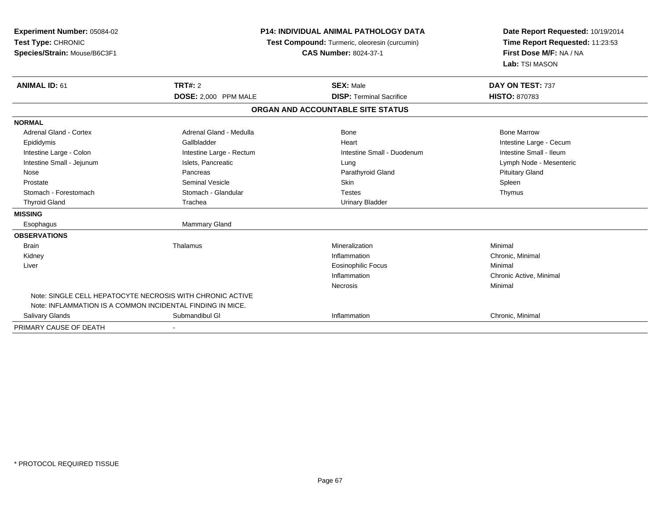| Experiment Number: 05084-02<br>Test Type: CHRONIC<br>Species/Strain: Mouse/B6C3F1 | <b>P14: INDIVIDUAL ANIMAL PATHOLOGY DATA</b><br>Test Compound: Turmeric, oleoresin (curcumin)<br><b>CAS Number: 8024-37-1</b> |                                   | Date Report Requested: 10/19/2014<br>Time Report Requested: 11:23:53<br>First Dose M/F: NA / NA<br>Lab: TSI MASON |
|-----------------------------------------------------------------------------------|-------------------------------------------------------------------------------------------------------------------------------|-----------------------------------|-------------------------------------------------------------------------------------------------------------------|
| <b>ANIMAL ID: 61</b>                                                              | TRT#: 2                                                                                                                       | <b>SEX: Male</b>                  | DAY ON TEST: 737                                                                                                  |
|                                                                                   | DOSE: 2,000 PPM MALE                                                                                                          | <b>DISP: Terminal Sacrifice</b>   | <b>HISTO: 870783</b>                                                                                              |
|                                                                                   |                                                                                                                               | ORGAN AND ACCOUNTABLE SITE STATUS |                                                                                                                   |
| <b>NORMAL</b>                                                                     |                                                                                                                               |                                   |                                                                                                                   |
| <b>Adrenal Gland - Cortex</b>                                                     | Adrenal Gland - Medulla                                                                                                       | <b>Bone</b>                       | <b>Bone Marrow</b>                                                                                                |
| Epididymis                                                                        | Gallbladder                                                                                                                   | Heart                             | Intestine Large - Cecum                                                                                           |
| Intestine Large - Colon                                                           | Intestine Large - Rectum                                                                                                      | Intestine Small - Duodenum        | Intestine Small - Ileum                                                                                           |
| Intestine Small - Jejunum                                                         | Islets, Pancreatic                                                                                                            | Lung                              | Lymph Node - Mesenteric                                                                                           |
| Nose                                                                              | Pancreas                                                                                                                      | Parathyroid Gland                 | <b>Pituitary Gland</b>                                                                                            |
| Prostate                                                                          | Seminal Vesicle                                                                                                               | <b>Skin</b>                       | Spleen                                                                                                            |
| Stomach - Forestomach                                                             | Stomach - Glandular                                                                                                           | <b>Testes</b>                     | Thymus                                                                                                            |
| <b>Thyroid Gland</b>                                                              | Trachea                                                                                                                       | <b>Urinary Bladder</b>            |                                                                                                                   |
| <b>MISSING</b>                                                                    |                                                                                                                               |                                   |                                                                                                                   |
| Esophagus                                                                         | <b>Mammary Gland</b>                                                                                                          |                                   |                                                                                                                   |
| <b>OBSERVATIONS</b>                                                               |                                                                                                                               |                                   |                                                                                                                   |
| <b>Brain</b>                                                                      | Thalamus                                                                                                                      | Mineralization                    | Minimal                                                                                                           |
| Kidney                                                                            |                                                                                                                               | Inflammation                      | Chronic, Minimal                                                                                                  |
| Liver                                                                             |                                                                                                                               | <b>Eosinophilic Focus</b>         | Minimal                                                                                                           |
|                                                                                   |                                                                                                                               | Inflammation                      | Chronic Active, Minimal                                                                                           |
|                                                                                   |                                                                                                                               | Necrosis                          | Minimal                                                                                                           |
| Note: SINGLE CELL HEPATOCYTE NECROSIS WITH CHRONIC ACTIVE                         |                                                                                                                               |                                   |                                                                                                                   |
| Note: INFLAMMATION IS A COMMON INCIDENTAL FINDING IN MICE.                        |                                                                                                                               |                                   |                                                                                                                   |
| Salivary Glands                                                                   | Submandibul GI                                                                                                                | Inflammation                      | Chronic, Minimal                                                                                                  |
| PRIMARY CAUSE OF DEATH                                                            |                                                                                                                               |                                   |                                                                                                                   |

-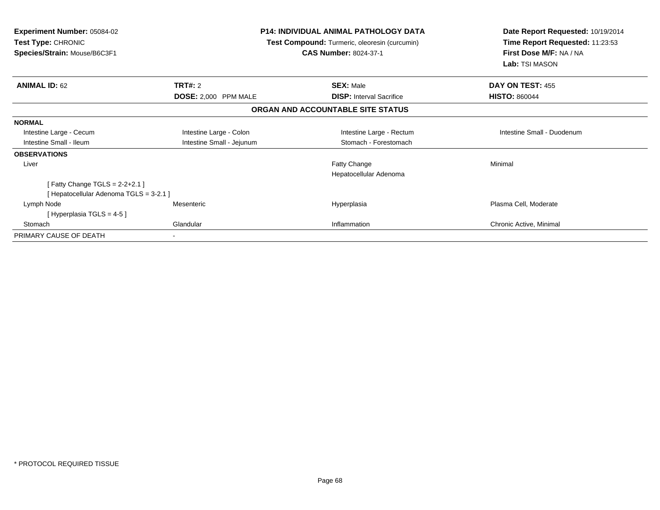| <b>Experiment Number: 05084-02</b><br><b>Test Type: CHRONIC</b><br>Species/Strain: Mouse/B6C3F1 | <b>P14: INDIVIDUAL ANIMAL PATHOLOGY DATA</b><br>Test Compound: Turmeric, oleoresin (curcumin)<br><b>CAS Number: 8024-37-1</b> |                                        | Date Report Requested: 10/19/2014<br>Time Report Requested: 11:23:53<br>First Dose M/F: NA / NA<br>Lab: TSI MASON |  |
|-------------------------------------------------------------------------------------------------|-------------------------------------------------------------------------------------------------------------------------------|----------------------------------------|-------------------------------------------------------------------------------------------------------------------|--|
| <b>ANIMAL ID: 62</b>                                                                            | TRT#: 2                                                                                                                       | <b>SEX: Male</b>                       | <b>DAY ON TEST: 455</b><br><b>HISTO: 860044</b>                                                                   |  |
|                                                                                                 | <b>DOSE: 2,000 PPM MALE</b><br><b>DISP:</b> Interval Sacrifice<br>ORGAN AND ACCOUNTABLE SITE STATUS                           |                                        |                                                                                                                   |  |
| <b>NORMAL</b>                                                                                   |                                                                                                                               |                                        |                                                                                                                   |  |
| Intestine Large - Cecum                                                                         | Intestine Large - Colon                                                                                                       | Intestine Large - Rectum               | Intestine Small - Duodenum                                                                                        |  |
| Intestine Small - Ileum                                                                         | Intestine Small - Jejunum                                                                                                     | Stomach - Forestomach                  |                                                                                                                   |  |
| <b>OBSERVATIONS</b>                                                                             |                                                                                                                               |                                        |                                                                                                                   |  |
| Liver                                                                                           |                                                                                                                               | Fatty Change<br>Hepatocellular Adenoma | Minimal                                                                                                           |  |
| [Fatty Change TGLS = $2-2+2.1$ ]                                                                |                                                                                                                               |                                        |                                                                                                                   |  |
| [Hepatocellular Adenoma TGLS = 3-2.1]                                                           |                                                                                                                               |                                        |                                                                                                                   |  |
| Lymph Node<br>[Hyperplasia TGLS = $4-5$ ]                                                       | Mesenteric                                                                                                                    | Hyperplasia                            | Plasma Cell, Moderate                                                                                             |  |
| Stomach                                                                                         | Glandular                                                                                                                     | Inflammation                           | Chronic Active, Minimal                                                                                           |  |
| PRIMARY CAUSE OF DEATH                                                                          |                                                                                                                               |                                        |                                                                                                                   |  |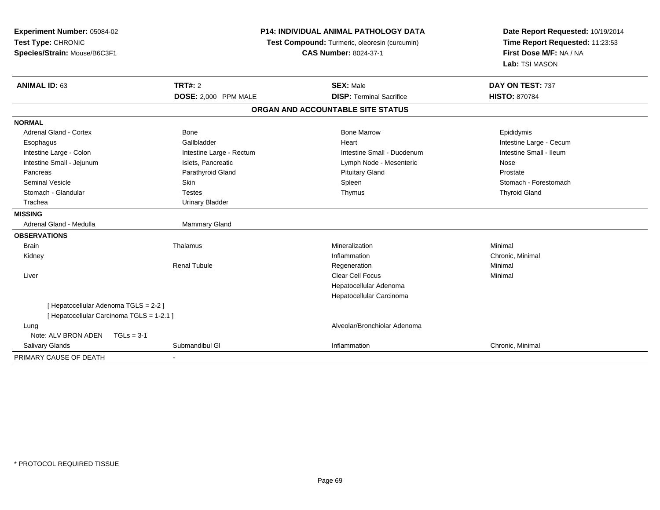| Experiment Number: 05084-02<br>Test Type: CHRONIC<br>Species/Strain: Mouse/B6C3F1 |                          | <b>P14: INDIVIDUAL ANIMAL PATHOLOGY DATA</b><br>Test Compound: Turmeric, oleoresin (curcumin)<br><b>CAS Number: 8024-37-1</b> | Date Report Requested: 10/19/2014<br>Time Report Requested: 11:23:53<br>First Dose M/F: NA / NA<br>Lab: TSI MASON |
|-----------------------------------------------------------------------------------|--------------------------|-------------------------------------------------------------------------------------------------------------------------------|-------------------------------------------------------------------------------------------------------------------|
| <b>ANIMAL ID: 63</b>                                                              | <b>TRT#: 2</b>           | <b>SEX: Male</b>                                                                                                              | DAY ON TEST: 737                                                                                                  |
|                                                                                   | DOSE: 2,000 PPM MALE     | <b>DISP: Terminal Sacrifice</b>                                                                                               | <b>HISTO: 870784</b>                                                                                              |
|                                                                                   |                          | ORGAN AND ACCOUNTABLE SITE STATUS                                                                                             |                                                                                                                   |
| <b>NORMAL</b>                                                                     |                          |                                                                                                                               |                                                                                                                   |
| <b>Adrenal Gland - Cortex</b>                                                     | <b>Bone</b>              | <b>Bone Marrow</b>                                                                                                            | Epididymis                                                                                                        |
| Esophagus                                                                         | Gallbladder              | Heart                                                                                                                         | Intestine Large - Cecum                                                                                           |
| Intestine Large - Colon                                                           | Intestine Large - Rectum | Intestine Small - Duodenum                                                                                                    | Intestine Small - Ileum                                                                                           |
| Intestine Small - Jejunum                                                         | Islets, Pancreatic       | Lymph Node - Mesenteric                                                                                                       | Nose                                                                                                              |
| Pancreas                                                                          | Parathyroid Gland        | <b>Pituitary Gland</b>                                                                                                        | Prostate                                                                                                          |
| <b>Seminal Vesicle</b>                                                            | Skin                     | Spleen                                                                                                                        | Stomach - Forestomach                                                                                             |
| Stomach - Glandular                                                               | <b>Testes</b>            | Thymus                                                                                                                        | <b>Thyroid Gland</b>                                                                                              |
| Trachea                                                                           | <b>Urinary Bladder</b>   |                                                                                                                               |                                                                                                                   |
| <b>MISSING</b>                                                                    |                          |                                                                                                                               |                                                                                                                   |
| Adrenal Gland - Medulla                                                           | Mammary Gland            |                                                                                                                               |                                                                                                                   |
| <b>OBSERVATIONS</b>                                                               |                          |                                                                                                                               |                                                                                                                   |
| <b>Brain</b>                                                                      | Thalamus                 | Mineralization                                                                                                                | Minimal                                                                                                           |
| Kidney                                                                            |                          | Inflammation                                                                                                                  | Chronic, Minimal                                                                                                  |
|                                                                                   | <b>Renal Tubule</b>      | Regeneration                                                                                                                  | Minimal                                                                                                           |
| Liver                                                                             |                          | <b>Clear Cell Focus</b>                                                                                                       | Minimal                                                                                                           |
|                                                                                   |                          | Hepatocellular Adenoma                                                                                                        |                                                                                                                   |
|                                                                                   |                          | Hepatocellular Carcinoma                                                                                                      |                                                                                                                   |
| [ Hepatocellular Adenoma TGLS = 2-2 ]                                             |                          |                                                                                                                               |                                                                                                                   |
| [ Hepatocellular Carcinoma TGLS = 1-2.1 ]                                         |                          |                                                                                                                               |                                                                                                                   |
| Lung                                                                              |                          | Alveolar/Bronchiolar Adenoma                                                                                                  |                                                                                                                   |
| Note: ALV BRON ADEN<br>$TGLs = 3-1$                                               |                          |                                                                                                                               |                                                                                                                   |
| Salivary Glands                                                                   | Submandibul GI           | Inflammation                                                                                                                  | Chronic, Minimal                                                                                                  |
| PRIMARY CAUSE OF DEATH                                                            |                          |                                                                                                                               |                                                                                                                   |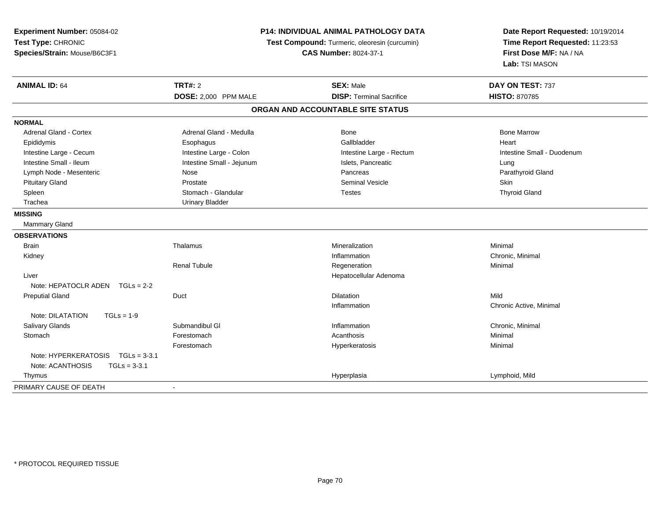| Experiment Number: 05084-02<br>Test Type: CHRONIC<br>Species/Strain: Mouse/B6C3F1 | P14: INDIVIDUAL ANIMAL PATHOLOGY DATA<br>Test Compound: Turmeric, oleoresin (curcumin)<br><b>CAS Number: 8024-37-1</b> |                                   | Date Report Requested: 10/19/2014<br>Time Report Requested: 11:23:53<br>First Dose M/F: NA / NA<br>Lab: TSI MASON |
|-----------------------------------------------------------------------------------|------------------------------------------------------------------------------------------------------------------------|-----------------------------------|-------------------------------------------------------------------------------------------------------------------|
| <b>ANIMAL ID: 64</b>                                                              | <b>TRT#: 2</b>                                                                                                         | <b>SEX: Male</b>                  | DAY ON TEST: 737                                                                                                  |
|                                                                                   | DOSE: 2,000 PPM MALE                                                                                                   | <b>DISP: Terminal Sacrifice</b>   | <b>HISTO: 870785</b>                                                                                              |
|                                                                                   |                                                                                                                        | ORGAN AND ACCOUNTABLE SITE STATUS |                                                                                                                   |
| <b>NORMAL</b>                                                                     |                                                                                                                        |                                   |                                                                                                                   |
| <b>Adrenal Gland - Cortex</b>                                                     | Adrenal Gland - Medulla                                                                                                | Bone                              | <b>Bone Marrow</b>                                                                                                |
| Epididymis                                                                        | Esophagus                                                                                                              | Gallbladder                       | Heart                                                                                                             |
| Intestine Large - Cecum                                                           | Intestine Large - Colon                                                                                                | Intestine Large - Rectum          | Intestine Small - Duodenum                                                                                        |
| Intestine Small - Ileum                                                           | Intestine Small - Jejunum                                                                                              | Islets, Pancreatic                | Lung                                                                                                              |
| Lymph Node - Mesenteric                                                           | Nose                                                                                                                   | Pancreas                          | Parathyroid Gland                                                                                                 |
| <b>Pituitary Gland</b>                                                            | Prostate                                                                                                               | <b>Seminal Vesicle</b>            | Skin                                                                                                              |
| Spleen                                                                            | Stomach - Glandular                                                                                                    | <b>Testes</b>                     | <b>Thyroid Gland</b>                                                                                              |
| Trachea                                                                           | <b>Urinary Bladder</b>                                                                                                 |                                   |                                                                                                                   |
| <b>MISSING</b>                                                                    |                                                                                                                        |                                   |                                                                                                                   |
| Mammary Gland                                                                     |                                                                                                                        |                                   |                                                                                                                   |
| <b>OBSERVATIONS</b>                                                               |                                                                                                                        |                                   |                                                                                                                   |
| <b>Brain</b>                                                                      | Thalamus                                                                                                               | Mineralization                    | Minimal                                                                                                           |
| Kidney                                                                            |                                                                                                                        | Inflammation                      | Chronic, Minimal                                                                                                  |
|                                                                                   | <b>Renal Tubule</b>                                                                                                    | Regeneration                      | Minimal                                                                                                           |
| Liver                                                                             |                                                                                                                        | Hepatocellular Adenoma            |                                                                                                                   |
| Note: HEPATOCLR ADEN TGLs = 2-2                                                   |                                                                                                                        |                                   |                                                                                                                   |
| <b>Preputial Gland</b>                                                            | Duct                                                                                                                   | <b>Dilatation</b>                 | Mild                                                                                                              |
|                                                                                   |                                                                                                                        | Inflammation                      | Chronic Active, Minimal                                                                                           |
| Note: DILATATION<br>$TGLs = 1-9$                                                  |                                                                                                                        |                                   |                                                                                                                   |
| Salivary Glands                                                                   | Submandibul GI                                                                                                         | Inflammation                      | Chronic, Minimal                                                                                                  |
| Stomach                                                                           | Forestomach                                                                                                            | Acanthosis                        | Minimal                                                                                                           |
|                                                                                   | Forestomach                                                                                                            | Hyperkeratosis                    | Minimal                                                                                                           |
| Note: HYPERKERATOSIS<br>$TGLs = 3-3.1$                                            |                                                                                                                        |                                   |                                                                                                                   |
| Note: ACANTHOSIS<br>$TGLs = 3-3.1$                                                |                                                                                                                        |                                   |                                                                                                                   |
| Thymus                                                                            |                                                                                                                        | Hyperplasia                       | Lymphoid, Mild                                                                                                    |
| PRIMARY CAUSE OF DEATH                                                            | $\blacksquare$                                                                                                         |                                   |                                                                                                                   |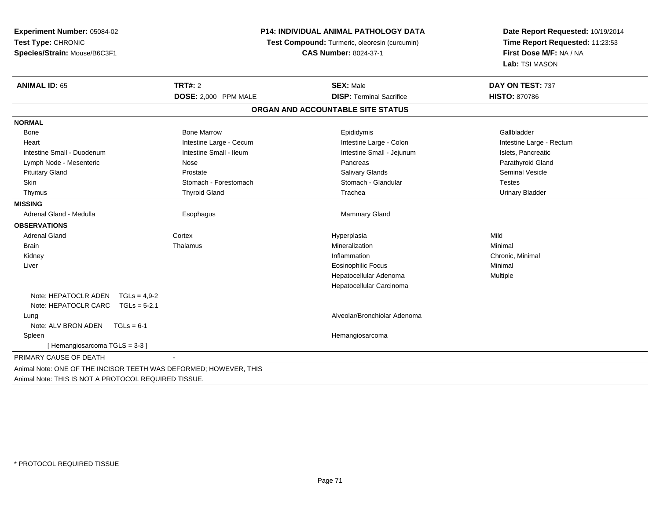| Experiment Number: 05084-02<br>Test Type: CHRONIC<br>Species/Strain: Mouse/B6C3F1 | <b>P14: INDIVIDUAL ANIMAL PATHOLOGY DATA</b><br>Test Compound: Turmeric, oleoresin (curcumin)<br><b>CAS Number: 8024-37-1</b> |                                   | Date Report Requested: 10/19/2014<br>Time Report Requested: 11:23:53<br>First Dose M/F: NA / NA<br>Lab: TSI MASON |
|-----------------------------------------------------------------------------------|-------------------------------------------------------------------------------------------------------------------------------|-----------------------------------|-------------------------------------------------------------------------------------------------------------------|
| <b>ANIMAL ID: 65</b>                                                              | <b>TRT#: 2</b>                                                                                                                | <b>SEX: Male</b>                  | DAY ON TEST: 737                                                                                                  |
|                                                                                   | DOSE: 2,000 PPM MALE                                                                                                          | <b>DISP: Terminal Sacrifice</b>   | <b>HISTO: 870786</b>                                                                                              |
|                                                                                   |                                                                                                                               | ORGAN AND ACCOUNTABLE SITE STATUS |                                                                                                                   |
| <b>NORMAL</b>                                                                     |                                                                                                                               |                                   |                                                                                                                   |
| <b>Bone</b>                                                                       | <b>Bone Marrow</b>                                                                                                            | Epididymis                        | Gallbladder                                                                                                       |
| Heart                                                                             | Intestine Large - Cecum                                                                                                       | Intestine Large - Colon           | Intestine Large - Rectum                                                                                          |
| Intestine Small - Duodenum                                                        | Intestine Small - Ileum                                                                                                       | Intestine Small - Jejunum         | Islets, Pancreatic                                                                                                |
| Lymph Node - Mesenteric                                                           | Nose                                                                                                                          | Pancreas                          | Parathyroid Gland                                                                                                 |
| <b>Pituitary Gland</b>                                                            | Prostate                                                                                                                      | Salivary Glands                   | Seminal Vesicle                                                                                                   |
| Skin                                                                              | Stomach - Forestomach                                                                                                         | Stomach - Glandular               | <b>Testes</b>                                                                                                     |
| Thymus                                                                            | <b>Thyroid Gland</b>                                                                                                          | Trachea                           | <b>Urinary Bladder</b>                                                                                            |
| <b>MISSING</b>                                                                    |                                                                                                                               |                                   |                                                                                                                   |
| Adrenal Gland - Medulla                                                           | Esophagus                                                                                                                     | <b>Mammary Gland</b>              |                                                                                                                   |
| <b>OBSERVATIONS</b>                                                               |                                                                                                                               |                                   |                                                                                                                   |
| <b>Adrenal Gland</b>                                                              | Cortex                                                                                                                        | Hyperplasia                       | Mild                                                                                                              |
| <b>Brain</b>                                                                      | Thalamus                                                                                                                      | Mineralization                    | Minimal                                                                                                           |
| Kidney                                                                            |                                                                                                                               | Inflammation                      | Chronic, Minimal                                                                                                  |
| Liver                                                                             |                                                                                                                               | Eosinophilic Focus                | Minimal                                                                                                           |
|                                                                                   |                                                                                                                               | Hepatocellular Adenoma            | Multiple                                                                                                          |
|                                                                                   |                                                                                                                               | Hepatocellular Carcinoma          |                                                                                                                   |
| Note: HEPATOCLR ADEN $TGLs = 4.9-2$                                               |                                                                                                                               |                                   |                                                                                                                   |
| Note: HEPATOCLR CARC $TGLs = 5-2.1$                                               |                                                                                                                               |                                   |                                                                                                                   |
| Lung                                                                              |                                                                                                                               | Alveolar/Bronchiolar Adenoma      |                                                                                                                   |
| Note: ALV BRON ADEN<br>$TGLs = 6-1$                                               |                                                                                                                               |                                   |                                                                                                                   |
| Spleen                                                                            |                                                                                                                               | Hemangiosarcoma                   |                                                                                                                   |
| [Hemangiosarcoma TGLS = 3-3]                                                      |                                                                                                                               |                                   |                                                                                                                   |
| PRIMARY CAUSE OF DEATH                                                            | $\sim$                                                                                                                        |                                   |                                                                                                                   |

Animal Note: THIS IS NOT A PROTOCOL REQUIRED TISSUE.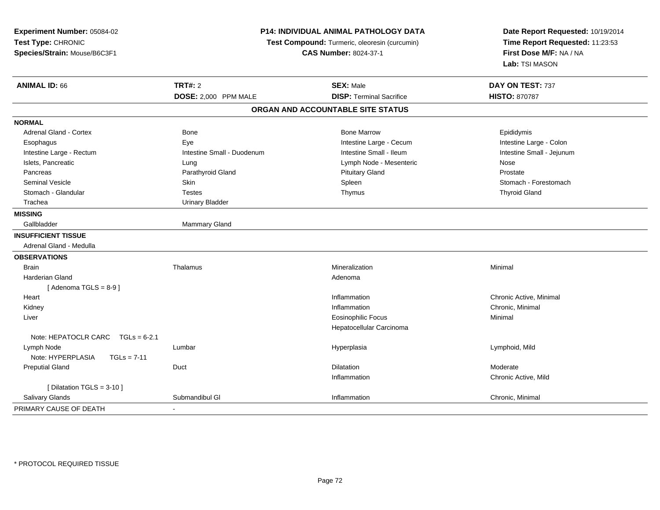| Experiment Number: 05084-02            | P14: INDIVIDUAL ANIMAL PATHOLOGY DATA<br>Test Compound: Turmeric, oleoresin (curcumin)<br><b>CAS Number: 8024-37-1</b> |                                   | Date Report Requested: 10/19/2014<br>Time Report Requested: 11:23:53 |
|----------------------------------------|------------------------------------------------------------------------------------------------------------------------|-----------------------------------|----------------------------------------------------------------------|
| Test Type: CHRONIC                     |                                                                                                                        |                                   |                                                                      |
| Species/Strain: Mouse/B6C3F1           |                                                                                                                        |                                   | First Dose M/F: NA / NA                                              |
|                                        |                                                                                                                        |                                   | Lab: TSI MASON                                                       |
| <b>ANIMAL ID: 66</b>                   | <b>TRT#: 2</b>                                                                                                         | <b>SEX: Male</b>                  | DAY ON TEST: 737                                                     |
|                                        | DOSE: 2,000 PPM MALE                                                                                                   | <b>DISP: Terminal Sacrifice</b>   | <b>HISTO: 870787</b>                                                 |
|                                        |                                                                                                                        | ORGAN AND ACCOUNTABLE SITE STATUS |                                                                      |
| <b>NORMAL</b>                          |                                                                                                                        |                                   |                                                                      |
| Adrenal Gland - Cortex                 | <b>Bone</b>                                                                                                            | <b>Bone Marrow</b>                | Epididymis                                                           |
| Esophagus                              | Eye                                                                                                                    | Intestine Large - Cecum           | Intestine Large - Colon                                              |
| Intestine Large - Rectum               | Intestine Small - Duodenum                                                                                             | Intestine Small - Ileum           | Intestine Small - Jejunum                                            |
| Islets, Pancreatic                     | Lung                                                                                                                   | Lymph Node - Mesenteric           | Nose                                                                 |
| Pancreas                               | Parathyroid Gland                                                                                                      | <b>Pituitary Gland</b>            | Prostate                                                             |
| <b>Seminal Vesicle</b>                 | Skin                                                                                                                   | Spleen                            | Stomach - Forestomach                                                |
| Stomach - Glandular                    | <b>Testes</b>                                                                                                          | Thymus                            | <b>Thyroid Gland</b>                                                 |
| Trachea                                | <b>Urinary Bladder</b>                                                                                                 |                                   |                                                                      |
| <b>MISSING</b>                         |                                                                                                                        |                                   |                                                                      |
| Gallbladder                            | Mammary Gland                                                                                                          |                                   |                                                                      |
| <b>INSUFFICIENT TISSUE</b>             |                                                                                                                        |                                   |                                                                      |
| Adrenal Gland - Medulla                |                                                                                                                        |                                   |                                                                      |
| <b>OBSERVATIONS</b>                    |                                                                                                                        |                                   |                                                                      |
| <b>Brain</b>                           | Thalamus                                                                                                               | Mineralization                    | Minimal                                                              |
| Harderian Gland                        |                                                                                                                        | Adenoma                           |                                                                      |
| [Adenoma TGLS = $8-9$ ]                |                                                                                                                        |                                   |                                                                      |
| Heart                                  |                                                                                                                        | Inflammation                      | Chronic Active, Minimal                                              |
| Kidney                                 |                                                                                                                        | Inflammation                      | Chronic, Minimal                                                     |
| Liver                                  |                                                                                                                        | <b>Eosinophilic Focus</b>         | Minimal                                                              |
|                                        |                                                                                                                        | Hepatocellular Carcinoma          |                                                                      |
| Note: HEPATOCLR CARC<br>$TGLs = 6-2.1$ |                                                                                                                        |                                   |                                                                      |
| Lymph Node                             | Lumbar                                                                                                                 | Hyperplasia                       | Lymphoid, Mild                                                       |
| Note: HYPERPLASIA<br>$TGLs = 7-11$     |                                                                                                                        |                                   |                                                                      |
| <b>Preputial Gland</b>                 | Duct                                                                                                                   | <b>Dilatation</b>                 | Moderate                                                             |
|                                        |                                                                                                                        | Inflammation                      | Chronic Active, Mild                                                 |
| [ Dilatation TGLS = 3-10 ]             |                                                                                                                        |                                   |                                                                      |
| Salivary Glands                        | Submandibul GI                                                                                                         | Inflammation                      | Chronic, Minimal                                                     |
| PRIMARY CAUSE OF DEATH                 | $\mathbf{r}$                                                                                                           |                                   |                                                                      |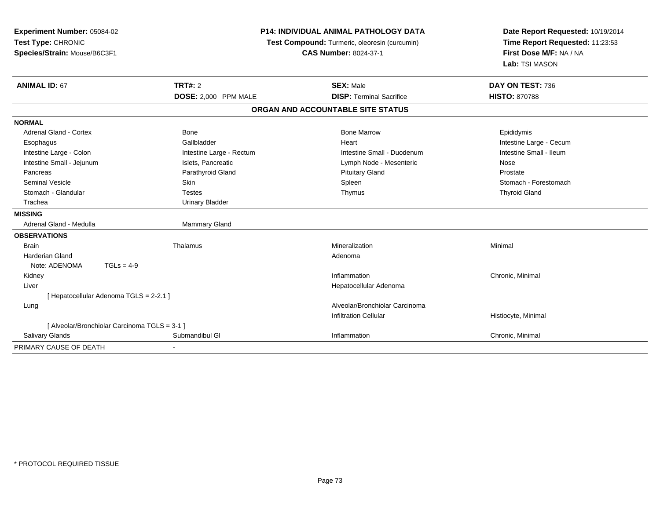| Experiment Number: 05084-02<br>Test Type: CHRONIC<br>Species/Strain: Mouse/B6C3F1 |                          | <b>P14: INDIVIDUAL ANIMAL PATHOLOGY DATA</b><br>Test Compound: Turmeric, oleoresin (curcumin)<br><b>CAS Number: 8024-37-1</b> |                         |
|-----------------------------------------------------------------------------------|--------------------------|-------------------------------------------------------------------------------------------------------------------------------|-------------------------|
| <b>ANIMAL ID: 67</b>                                                              | <b>TRT#: 2</b>           | <b>SEX: Male</b>                                                                                                              | DAY ON TEST: 736        |
|                                                                                   | DOSE: 2,000 PPM MALE     | <b>DISP: Terminal Sacrifice</b>                                                                                               | <b>HISTO: 870788</b>    |
|                                                                                   |                          | ORGAN AND ACCOUNTABLE SITE STATUS                                                                                             |                         |
| <b>NORMAL</b>                                                                     |                          |                                                                                                                               |                         |
| <b>Adrenal Gland - Cortex</b>                                                     | Bone                     | <b>Bone Marrow</b>                                                                                                            | Epididymis              |
| Esophagus                                                                         | Gallbladder              | Heart                                                                                                                         | Intestine Large - Cecum |
| Intestine Large - Colon                                                           | Intestine Large - Rectum | Intestine Small - Duodenum                                                                                                    | Intestine Small - Ileum |
| Intestine Small - Jejunum                                                         | Islets, Pancreatic       | Lymph Node - Mesenteric                                                                                                       | Nose                    |
| Pancreas                                                                          | Parathyroid Gland        | <b>Pituitary Gland</b>                                                                                                        | Prostate                |
| <b>Seminal Vesicle</b>                                                            | Skin                     | Spleen                                                                                                                        | Stomach - Forestomach   |
| Stomach - Glandular                                                               | <b>Testes</b>            | Thymus                                                                                                                        | <b>Thyroid Gland</b>    |
| Trachea                                                                           | <b>Urinary Bladder</b>   |                                                                                                                               |                         |
| <b>MISSING</b>                                                                    |                          |                                                                                                                               |                         |
| Adrenal Gland - Medulla                                                           | <b>Mammary Gland</b>     |                                                                                                                               |                         |
| <b>OBSERVATIONS</b>                                                               |                          |                                                                                                                               |                         |
| <b>Brain</b>                                                                      | Thalamus                 | Mineralization                                                                                                                | Minimal                 |
| <b>Harderian Gland</b>                                                            |                          | Adenoma                                                                                                                       |                         |
| $TGLs = 4-9$<br>Note: ADENOMA                                                     |                          |                                                                                                                               |                         |
| Kidney                                                                            |                          | Inflammation                                                                                                                  | Chronic, Minimal        |
| Liver                                                                             |                          | Hepatocellular Adenoma                                                                                                        |                         |
| [ Hepatocellular Adenoma TGLS = 2-2.1 ]                                           |                          |                                                                                                                               |                         |
| Lung                                                                              |                          | Alveolar/Bronchiolar Carcinoma                                                                                                |                         |
|                                                                                   |                          | <b>Infiltration Cellular</b>                                                                                                  | Histiocyte, Minimal     |
| [ Alveolar/Bronchiolar Carcinoma TGLS = 3-1 ]                                     |                          |                                                                                                                               |                         |
| <b>Salivary Glands</b>                                                            | Submandibul GI           | Inflammation                                                                                                                  | Chronic, Minimal        |
| PRIMARY CAUSE OF DEATH                                                            |                          |                                                                                                                               |                         |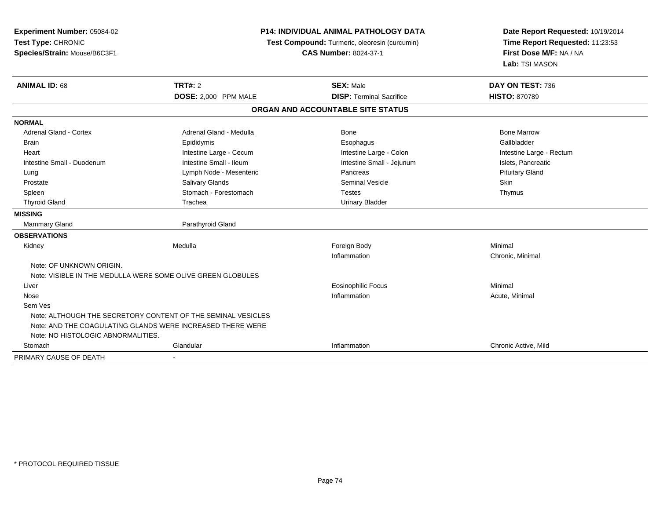| Experiment Number: 05084-02<br>Test Type: CHRONIC<br>Species/Strain: Mouse/B6C3F1 | <b>P14: INDIVIDUAL ANIMAL PATHOLOGY DATA</b><br>Test Compound: Turmeric, oleoresin (curcumin)<br><b>CAS Number: 8024-37-1</b> |                                   | Date Report Requested: 10/19/2014<br>Time Report Requested: 11:23:53<br>First Dose M/F: NA / NA<br>Lab: TSI MASON |  |
|-----------------------------------------------------------------------------------|-------------------------------------------------------------------------------------------------------------------------------|-----------------------------------|-------------------------------------------------------------------------------------------------------------------|--|
| <b>ANIMAL ID: 68</b>                                                              | <b>TRT#: 2</b>                                                                                                                | <b>SEX: Male</b>                  | DAY ON TEST: 736                                                                                                  |  |
|                                                                                   | DOSE: 2,000 PPM MALE                                                                                                          | <b>DISP: Terminal Sacrifice</b>   | <b>HISTO: 870789</b>                                                                                              |  |
|                                                                                   |                                                                                                                               | ORGAN AND ACCOUNTABLE SITE STATUS |                                                                                                                   |  |
| <b>NORMAL</b>                                                                     |                                                                                                                               |                                   |                                                                                                                   |  |
| <b>Adrenal Gland - Cortex</b>                                                     | Adrenal Gland - Medulla                                                                                                       | <b>Bone</b>                       | <b>Bone Marrow</b>                                                                                                |  |
| <b>Brain</b>                                                                      | Epididymis                                                                                                                    | Esophagus                         | Gallbladder                                                                                                       |  |
| Heart                                                                             | Intestine Large - Cecum                                                                                                       | Intestine Large - Colon           | Intestine Large - Rectum                                                                                          |  |
| Intestine Small - Duodenum                                                        | Intestine Small - Ileum                                                                                                       | Intestine Small - Jejunum         | Islets, Pancreatic                                                                                                |  |
| Lung                                                                              | Lymph Node - Mesenteric                                                                                                       | Pancreas                          | <b>Pituitary Gland</b>                                                                                            |  |
| Prostate                                                                          | Salivary Glands                                                                                                               | <b>Seminal Vesicle</b>            | Skin                                                                                                              |  |
| Spleen                                                                            | Stomach - Forestomach                                                                                                         | <b>Testes</b>                     | Thymus                                                                                                            |  |
| <b>Thyroid Gland</b>                                                              | Trachea                                                                                                                       | <b>Urinary Bladder</b>            |                                                                                                                   |  |
| <b>MISSING</b>                                                                    |                                                                                                                               |                                   |                                                                                                                   |  |
| Mammary Gland                                                                     | Parathyroid Gland                                                                                                             |                                   |                                                                                                                   |  |
| <b>OBSERVATIONS</b>                                                               |                                                                                                                               |                                   |                                                                                                                   |  |
| Kidney                                                                            | Medulla                                                                                                                       | Foreign Body                      | Minimal                                                                                                           |  |
|                                                                                   |                                                                                                                               | Inflammation                      | Chronic, Minimal                                                                                                  |  |
| Note: OF UNKNOWN ORIGIN.                                                          |                                                                                                                               |                                   |                                                                                                                   |  |
|                                                                                   | Note: VISIBLE IN THE MEDULLA WERE SOME OLIVE GREEN GLOBULES                                                                   |                                   |                                                                                                                   |  |
| Liver                                                                             |                                                                                                                               | Eosinophilic Focus                | Minimal                                                                                                           |  |
| Nose                                                                              |                                                                                                                               | Inflammation                      | Acute, Minimal                                                                                                    |  |
| Sem Ves                                                                           |                                                                                                                               |                                   |                                                                                                                   |  |
|                                                                                   | Note: ALTHOUGH THE SECRETORY CONTENT OF THE SEMINAL VESICLES                                                                  |                                   |                                                                                                                   |  |
|                                                                                   | Note: AND THE COAGULATING GLANDS WERE INCREASED THERE WERE                                                                    |                                   |                                                                                                                   |  |
| Note: NO HISTOLOGIC ABNORMALITIES.                                                |                                                                                                                               |                                   |                                                                                                                   |  |
| Stomach                                                                           | Glandular                                                                                                                     | Inflammation                      | Chronic Active, Mild                                                                                              |  |
| PRIMARY CAUSE OF DEATH                                                            |                                                                                                                               |                                   |                                                                                                                   |  |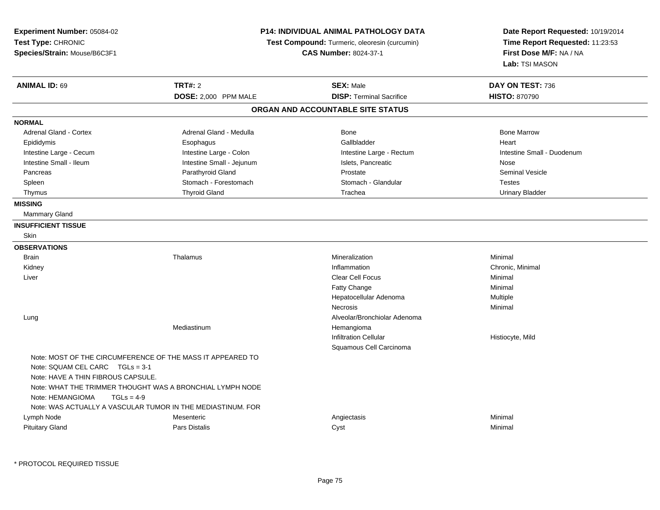| P14: INDIVIDUAL ANIMAL PATHOLOGY DATA<br>Experiment Number: 05084-02<br>Test Type: CHRONIC<br>Test Compound: Turmeric, oleoresin (curcumin)<br>Species/Strain: Mouse/B6C3F1<br><b>CAS Number: 8024-37-1</b> |                                                             |                                   | Date Report Requested: 10/19/2014<br>Time Report Requested: 11:23:53<br>First Dose M/F: NA / NA<br>Lab: TSI MASON |
|-------------------------------------------------------------------------------------------------------------------------------------------------------------------------------------------------------------|-------------------------------------------------------------|-----------------------------------|-------------------------------------------------------------------------------------------------------------------|
| <b>ANIMAL ID: 69</b>                                                                                                                                                                                        | <b>TRT#: 2</b>                                              | <b>SEX: Male</b>                  | DAY ON TEST: 736                                                                                                  |
|                                                                                                                                                                                                             | DOSE: 2,000 PPM MALE                                        | <b>DISP: Terminal Sacrifice</b>   | <b>HISTO: 870790</b>                                                                                              |
|                                                                                                                                                                                                             |                                                             | ORGAN AND ACCOUNTABLE SITE STATUS |                                                                                                                   |
| <b>NORMAL</b>                                                                                                                                                                                               |                                                             |                                   |                                                                                                                   |
| <b>Adrenal Gland - Cortex</b>                                                                                                                                                                               | Adrenal Gland - Medulla                                     | <b>Bone</b>                       | <b>Bone Marrow</b>                                                                                                |
| Epididymis                                                                                                                                                                                                  | Esophagus                                                   | Gallbladder                       | Heart                                                                                                             |
| Intestine Large - Cecum                                                                                                                                                                                     | Intestine Large - Colon                                     | Intestine Large - Rectum          | Intestine Small - Duodenum                                                                                        |
| Intestine Small - Ileum                                                                                                                                                                                     | Intestine Small - Jejunum                                   | Islets, Pancreatic                | Nose                                                                                                              |
| Pancreas                                                                                                                                                                                                    | Parathyroid Gland                                           | Prostate                          | <b>Seminal Vesicle</b>                                                                                            |
| Spleen                                                                                                                                                                                                      | Stomach - Forestomach                                       | Stomach - Glandular               | <b>Testes</b>                                                                                                     |
| Thymus                                                                                                                                                                                                      | <b>Thyroid Gland</b>                                        | Trachea                           | <b>Urinary Bladder</b>                                                                                            |
| <b>MISSING</b>                                                                                                                                                                                              |                                                             |                                   |                                                                                                                   |
| <b>Mammary Gland</b>                                                                                                                                                                                        |                                                             |                                   |                                                                                                                   |
| <b>INSUFFICIENT TISSUE</b>                                                                                                                                                                                  |                                                             |                                   |                                                                                                                   |
| Skin                                                                                                                                                                                                        |                                                             |                                   |                                                                                                                   |
| <b>OBSERVATIONS</b>                                                                                                                                                                                         |                                                             |                                   |                                                                                                                   |
| <b>Brain</b>                                                                                                                                                                                                | Thalamus                                                    | Mineralization                    | Minimal                                                                                                           |
| Kidney                                                                                                                                                                                                      |                                                             | Inflammation                      | Chronic, Minimal                                                                                                  |
| Liver                                                                                                                                                                                                       |                                                             | Clear Cell Focus                  | Minimal                                                                                                           |
|                                                                                                                                                                                                             |                                                             | Fatty Change                      | Minimal                                                                                                           |
|                                                                                                                                                                                                             |                                                             | Hepatocellular Adenoma            | Multiple                                                                                                          |
|                                                                                                                                                                                                             |                                                             | Necrosis                          | Minimal                                                                                                           |
| Lung                                                                                                                                                                                                        |                                                             | Alveolar/Bronchiolar Adenoma      |                                                                                                                   |
|                                                                                                                                                                                                             | Mediastinum                                                 | Hemangioma                        |                                                                                                                   |
|                                                                                                                                                                                                             |                                                             | <b>Infiltration Cellular</b>      | Histiocyte, Mild                                                                                                  |
|                                                                                                                                                                                                             |                                                             | Squamous Cell Carcinoma           |                                                                                                                   |
|                                                                                                                                                                                                             | Note: MOST OF THE CIRCUMFERENCE OF THE MASS IT APPEARED TO  |                                   |                                                                                                                   |
| Note: SQUAM CEL CARC TGLs = 3-1                                                                                                                                                                             |                                                             |                                   |                                                                                                                   |
| Note: HAVE A THIN FIBROUS CAPSULE.                                                                                                                                                                          |                                                             |                                   |                                                                                                                   |
|                                                                                                                                                                                                             | Note: WHAT THE TRIMMER THOUGHT WAS A BRONCHIAL LYMPH NODE   |                                   |                                                                                                                   |
| Note: HEMANGIOMA<br>$TGLs = 4-9$                                                                                                                                                                            |                                                             |                                   |                                                                                                                   |
|                                                                                                                                                                                                             | Note: WAS ACTUALLY A VASCULAR TUMOR IN THE MEDIASTINUM. FOR |                                   |                                                                                                                   |
| Lymph Node                                                                                                                                                                                                  | Mesenteric                                                  | Angiectasis                       | Minimal                                                                                                           |
| <b>Pituitary Gland</b>                                                                                                                                                                                      | Pars Distalis                                               | Cyst                              | Minimal                                                                                                           |

\* PROTOCOL REQUIRED TISSUE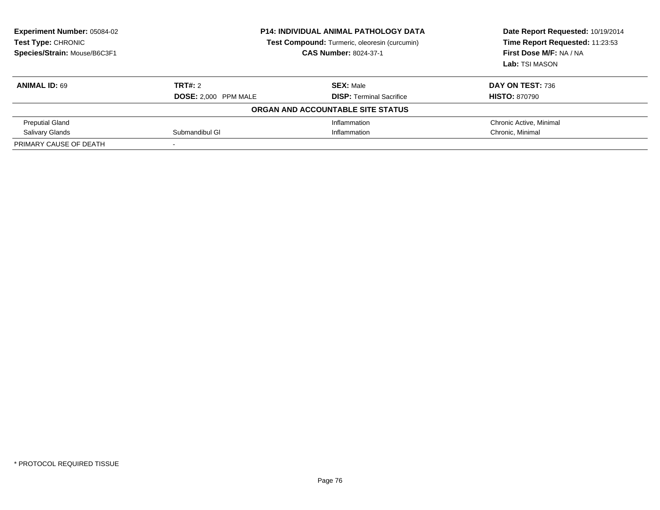| <b>Experiment Number: 05084-02</b><br>Test Type: CHRONIC<br>Species/Strain: Mouse/B6C3F1 | <b>P14: INDIVIDUAL ANIMAL PATHOLOGY DATA</b><br>Test Compound: Turmeric, oleoresin (curcumin)<br><b>CAS Number: 8024-37-1</b> |                                   | Date Report Requested: 10/19/2014<br>Time Report Requested: 11:23:53<br>First Dose M/F: NA / NA<br>Lab: TSI MASON |
|------------------------------------------------------------------------------------------|-------------------------------------------------------------------------------------------------------------------------------|-----------------------------------|-------------------------------------------------------------------------------------------------------------------|
| <b>ANIMAL ID: 69</b>                                                                     | TRT#: 2                                                                                                                       | <b>SEX: Male</b>                  | <b>DAY ON TEST: 736</b>                                                                                           |
|                                                                                          | DOSE: 2,000 PPM MALE                                                                                                          | <b>DISP:</b> Terminal Sacrifice   | <b>HISTO: 870790</b>                                                                                              |
|                                                                                          |                                                                                                                               | ORGAN AND ACCOUNTABLE SITE STATUS |                                                                                                                   |
| <b>Preputial Gland</b>                                                                   |                                                                                                                               | Inflammation                      | Chronic Active, Minimal                                                                                           |
| <b>Salivary Glands</b>                                                                   | Submandibul GI                                                                                                                | Inflammation                      | Chronic. Minimal                                                                                                  |
| PRIMARY CAUSE OF DEATH                                                                   |                                                                                                                               |                                   |                                                                                                                   |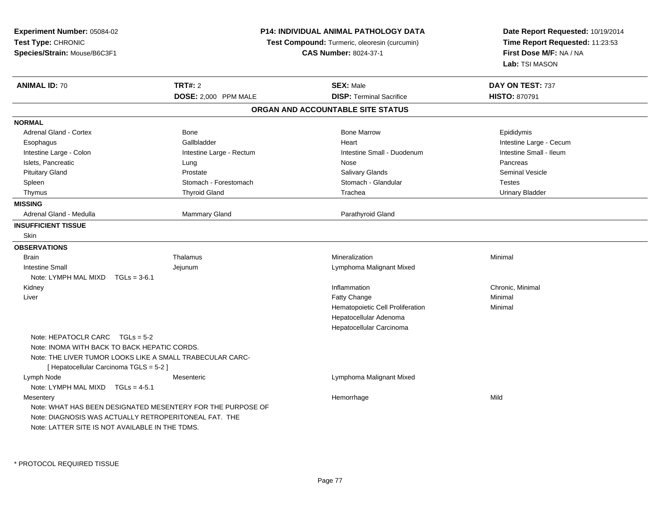| Experiment Number: 05084-02<br>Test Type: CHRONIC<br>Species/Strain: Mouse/B6C3F1                                                                                                         |                                                             | <b>P14: INDIVIDUAL ANIMAL PATHOLOGY DATA</b><br>Test Compound: Turmeric, oleoresin (curcumin)<br><b>CAS Number: 8024-37-1</b> | Date Report Requested: 10/19/2014<br>Time Report Requested: 11:23:53<br>First Dose M/F: NA / NA<br>Lab: TSI MASON |
|-------------------------------------------------------------------------------------------------------------------------------------------------------------------------------------------|-------------------------------------------------------------|-------------------------------------------------------------------------------------------------------------------------------|-------------------------------------------------------------------------------------------------------------------|
| <b>ANIMAL ID: 70</b>                                                                                                                                                                      | TRT#: 2<br>DOSE: 2,000 PPM MALE                             | <b>SEX: Male</b><br><b>DISP: Terminal Sacrifice</b>                                                                           | DAY ON TEST: 737<br><b>HISTO: 870791</b>                                                                          |
|                                                                                                                                                                                           |                                                             | ORGAN AND ACCOUNTABLE SITE STATUS                                                                                             |                                                                                                                   |
| <b>NORMAL</b>                                                                                                                                                                             |                                                             |                                                                                                                               |                                                                                                                   |
| Adrenal Gland - Cortex                                                                                                                                                                    | Bone                                                        | <b>Bone Marrow</b>                                                                                                            | Epididymis                                                                                                        |
| Esophagus                                                                                                                                                                                 | Gallbladder                                                 | Heart                                                                                                                         | Intestine Large - Cecum                                                                                           |
| Intestine Large - Colon                                                                                                                                                                   | Intestine Large - Rectum                                    | Intestine Small - Duodenum                                                                                                    | Intestine Small - Ileum                                                                                           |
| Islets, Pancreatic                                                                                                                                                                        | Lung                                                        | Nose                                                                                                                          | Pancreas                                                                                                          |
| <b>Pituitary Gland</b>                                                                                                                                                                    | Prostate                                                    | Salivary Glands                                                                                                               | <b>Seminal Vesicle</b>                                                                                            |
| Spleen                                                                                                                                                                                    | Stomach - Forestomach                                       | Stomach - Glandular                                                                                                           | <b>Testes</b>                                                                                                     |
| Thymus                                                                                                                                                                                    | <b>Thyroid Gland</b>                                        | Trachea                                                                                                                       | <b>Urinary Bladder</b>                                                                                            |
| <b>MISSING</b>                                                                                                                                                                            |                                                             |                                                                                                                               |                                                                                                                   |
| Adrenal Gland - Medulla                                                                                                                                                                   | Mammary Gland                                               | Parathyroid Gland                                                                                                             |                                                                                                                   |
| <b>INSUFFICIENT TISSUE</b>                                                                                                                                                                |                                                             |                                                                                                                               |                                                                                                                   |
| <b>Skin</b>                                                                                                                                                                               |                                                             |                                                                                                                               |                                                                                                                   |
| <b>OBSERVATIONS</b>                                                                                                                                                                       |                                                             |                                                                                                                               |                                                                                                                   |
| <b>Brain</b>                                                                                                                                                                              | Thalamus                                                    | Mineralization                                                                                                                | Minimal                                                                                                           |
| <b>Intestine Small</b>                                                                                                                                                                    | Jejunum                                                     | Lymphoma Malignant Mixed                                                                                                      |                                                                                                                   |
| Note: LYMPH MAL MIXD<br>$TGLs = 3-6.1$                                                                                                                                                    |                                                             |                                                                                                                               |                                                                                                                   |
| Kidney                                                                                                                                                                                    |                                                             | Inflammation                                                                                                                  | Chronic, Minimal                                                                                                  |
| Liver                                                                                                                                                                                     |                                                             | Fatty Change                                                                                                                  | Minimal                                                                                                           |
|                                                                                                                                                                                           |                                                             | Hematopoietic Cell Proliferation                                                                                              | Minimal                                                                                                           |
|                                                                                                                                                                                           |                                                             | Hepatocellular Adenoma<br>Hepatocellular Carcinoma                                                                            |                                                                                                                   |
| Note: HEPATOCLR CARC $TGLs = 5-2$<br>Note: INOMA WITH BACK TO BACK HEPATIC CORDS.<br>Note: THE LIVER TUMOR LOOKS LIKE A SMALL TRABECULAR CARC-<br>[ Hepatocellular Carcinoma TGLS = 5-2 ] |                                                             |                                                                                                                               |                                                                                                                   |
| Lymph Node<br>Note: LYMPH MAL MIXD $TGLs = 4-5.1$                                                                                                                                         | Mesenteric                                                  | Lymphoma Malignant Mixed                                                                                                      |                                                                                                                   |
| Mesentery<br>Note: DIAGNOSIS WAS ACTUALLY RETROPERITONEAL FAT. THE<br>Note: LATTER SITE IS NOT AVAILABLE IN THE TDMS.                                                                     | Note: WHAT HAS BEEN DESIGNATED MESENTERY FOR THE PURPOSE OF | Hemorrhage                                                                                                                    | Mild                                                                                                              |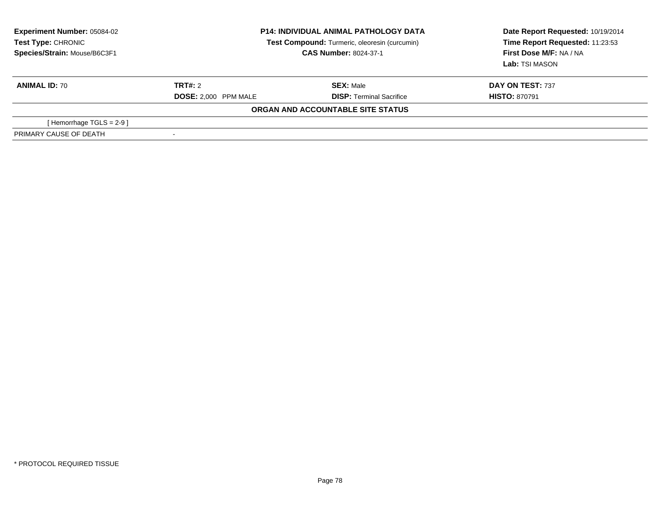| <b>Experiment Number: 05084-02</b><br>Test Type: CHRONIC<br>Species/Strain: Mouse/B6C3F1 | <b>P14: INDIVIDUAL ANIMAL PATHOLOGY DATA</b><br>Test Compound: Turmeric, oleoresin (curcumin)<br><b>CAS Number: 8024-37-1</b> |                                   | Date Report Requested: 10/19/2014<br>Time Report Requested: 11:23:53<br>First Dose M/F: NA / NA<br>Lab: TSI MASON |
|------------------------------------------------------------------------------------------|-------------------------------------------------------------------------------------------------------------------------------|-----------------------------------|-------------------------------------------------------------------------------------------------------------------|
| <b>ANIMAL ID: 70</b>                                                                     | TRT#: 2                                                                                                                       | <b>SEX: Male</b>                  | DAY ON TEST: 737                                                                                                  |
|                                                                                          | <b>DOSE: 2.000 PPM MALE</b>                                                                                                   | <b>DISP: Terminal Sacrifice</b>   | <b>HISTO: 870791</b>                                                                                              |
|                                                                                          |                                                                                                                               | ORGAN AND ACCOUNTABLE SITE STATUS |                                                                                                                   |
| [Hemorrhage TGLS = 2-9]                                                                  |                                                                                                                               |                                   |                                                                                                                   |
| PRIMARY CAUSE OF DEATH                                                                   |                                                                                                                               |                                   |                                                                                                                   |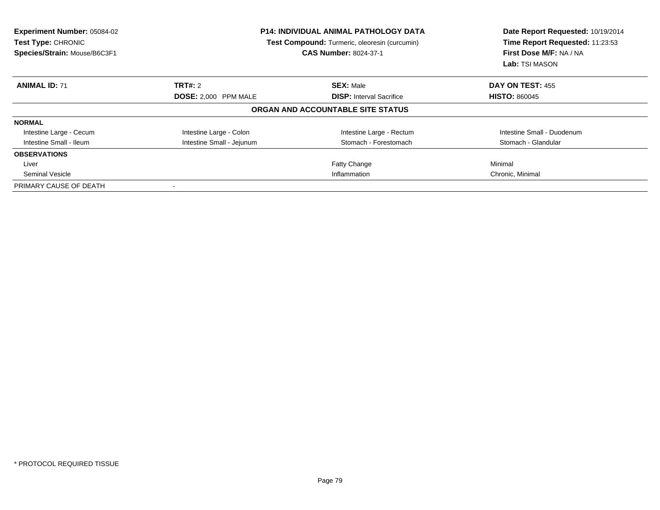| <b>Experiment Number: 05084-02</b><br>Test Type: CHRONIC<br>Species/Strain: Mouse/B6C3F1 | <b>P14: INDIVIDUAL ANIMAL PATHOLOGY DATA</b><br>Test Compound: Turmeric, oleoresin (curcumin)<br><b>CAS Number: 8024-37-1</b> |                                   | Date Report Requested: 10/19/2014<br>Time Report Requested: 11:23:53<br>First Dose M/F: NA / NA<br>Lab: TSI MASON |
|------------------------------------------------------------------------------------------|-------------------------------------------------------------------------------------------------------------------------------|-----------------------------------|-------------------------------------------------------------------------------------------------------------------|
| <b>ANIMAL ID: 71</b>                                                                     | TRT#: 2                                                                                                                       | <b>SEX: Male</b>                  | DAY ON TEST: 455                                                                                                  |
|                                                                                          | DOSE: 2,000 PPM MALE                                                                                                          | <b>DISP:</b> Interval Sacrifice   | <b>HISTO: 860045</b>                                                                                              |
|                                                                                          |                                                                                                                               | ORGAN AND ACCOUNTABLE SITE STATUS |                                                                                                                   |
| <b>NORMAL</b>                                                                            |                                                                                                                               |                                   |                                                                                                                   |
| Intestine Large - Cecum                                                                  | Intestine Large - Colon                                                                                                       | Intestine Large - Rectum          | Intestine Small - Duodenum                                                                                        |
| Intestine Small - Ileum                                                                  | Intestine Small - Jejunum                                                                                                     | Stomach - Forestomach             | Stomach - Glandular                                                                                               |
| <b>OBSERVATIONS</b>                                                                      |                                                                                                                               |                                   |                                                                                                                   |
| Liver                                                                                    |                                                                                                                               | Fatty Change                      | Minimal                                                                                                           |
| Seminal Vesicle                                                                          | Inflammation                                                                                                                  |                                   | Chronic, Minimal                                                                                                  |
| PRIMARY CAUSE OF DEATH                                                                   | $\overline{\phantom{a}}$                                                                                                      |                                   |                                                                                                                   |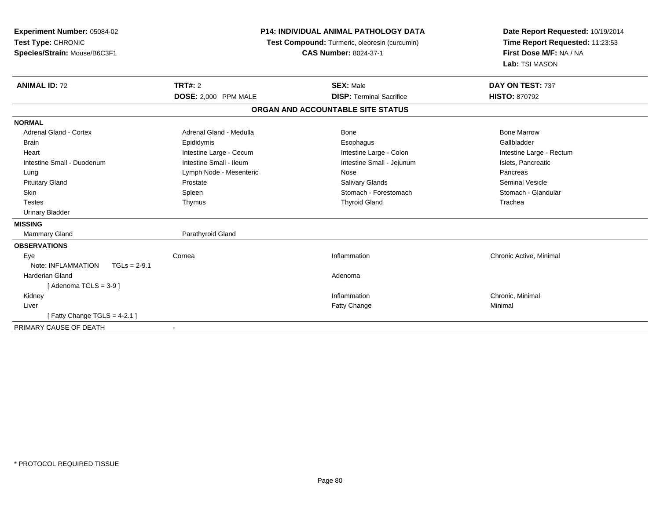| Experiment Number: 05084-02<br>Test Type: CHRONIC<br>Species/Strain: Mouse/B6C3F1 |                         | <b>P14: INDIVIDUAL ANIMAL PATHOLOGY DATA</b><br>Test Compound: Turmeric, oleoresin (curcumin)<br><b>CAS Number: 8024-37-1</b> | Date Report Requested: 10/19/2014<br>Time Report Requested: 11:23:53<br>First Dose M/F: NA / NA<br>Lab: TSI MASON |
|-----------------------------------------------------------------------------------|-------------------------|-------------------------------------------------------------------------------------------------------------------------------|-------------------------------------------------------------------------------------------------------------------|
| <b>ANIMAL ID: 72</b>                                                              | TRT#: 2                 | <b>SEX: Male</b>                                                                                                              | DAY ON TEST: 737                                                                                                  |
|                                                                                   | DOSE: 2,000 PPM MALE    | <b>DISP: Terminal Sacrifice</b>                                                                                               | <b>HISTO: 870792</b>                                                                                              |
|                                                                                   |                         | ORGAN AND ACCOUNTABLE SITE STATUS                                                                                             |                                                                                                                   |
| <b>NORMAL</b>                                                                     |                         |                                                                                                                               |                                                                                                                   |
| Adrenal Gland - Cortex                                                            | Adrenal Gland - Medulla | Bone                                                                                                                          | <b>Bone Marrow</b>                                                                                                |
| Brain                                                                             | Epididymis              | Esophagus                                                                                                                     | Gallbladder                                                                                                       |
| Heart                                                                             | Intestine Large - Cecum | Intestine Large - Colon                                                                                                       | Intestine Large - Rectum                                                                                          |
| Intestine Small - Duodenum                                                        | Intestine Small - Ileum | Intestine Small - Jejunum                                                                                                     | Islets, Pancreatic                                                                                                |
| Lung                                                                              | Lymph Node - Mesenteric | Nose                                                                                                                          | Pancreas                                                                                                          |
| <b>Pituitary Gland</b>                                                            | Prostate                | <b>Salivary Glands</b>                                                                                                        | <b>Seminal Vesicle</b>                                                                                            |
| <b>Skin</b>                                                                       | Spleen                  | Stomach - Forestomach                                                                                                         | Stomach - Glandular                                                                                               |
| <b>Testes</b>                                                                     | Thymus                  | <b>Thyroid Gland</b>                                                                                                          | Trachea                                                                                                           |
| <b>Urinary Bladder</b>                                                            |                         |                                                                                                                               |                                                                                                                   |
| <b>MISSING</b>                                                                    |                         |                                                                                                                               |                                                                                                                   |
| <b>Mammary Gland</b>                                                              | Parathyroid Gland       |                                                                                                                               |                                                                                                                   |
| <b>OBSERVATIONS</b>                                                               |                         |                                                                                                                               |                                                                                                                   |
| Eye                                                                               | Cornea                  | Inflammation                                                                                                                  | Chronic Active, Minimal                                                                                           |
| Note: INFLAMMATION<br>$TGLs = 2-9.1$                                              |                         |                                                                                                                               |                                                                                                                   |
| Harderian Gland                                                                   |                         | Adenoma                                                                                                                       |                                                                                                                   |
| [Adenoma TGLS = $3-9$ ]                                                           |                         |                                                                                                                               |                                                                                                                   |
| Kidney                                                                            |                         | Inflammation                                                                                                                  | Chronic, Minimal                                                                                                  |
| Liver                                                                             |                         | Fatty Change                                                                                                                  | Minimal                                                                                                           |
| [Fatty Change TGLS = $4-2.1$ ]                                                    |                         |                                                                                                                               |                                                                                                                   |
| PRIMARY CAUSE OF DEATH                                                            |                         |                                                                                                                               |                                                                                                                   |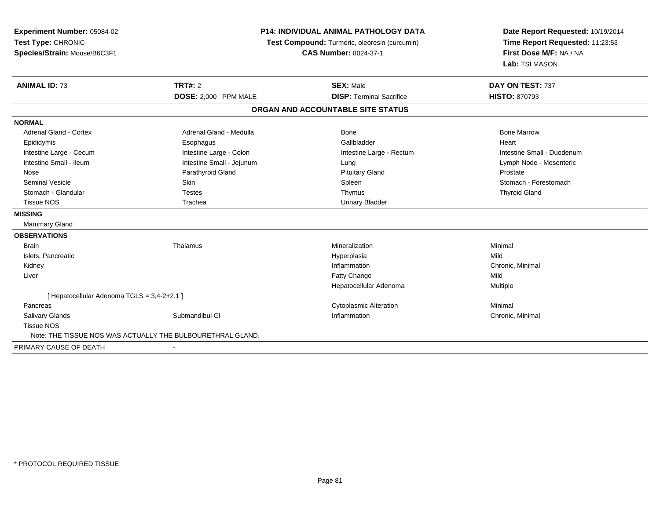| Experiment Number: 05084-02<br>Test Type: CHRONIC<br>Species/Strain: Mouse/B6C3F1 | <b>P14: INDIVIDUAL ANIMAL PATHOLOGY DATA</b><br>Test Compound: Turmeric, oleoresin (curcumin)<br><b>CAS Number: 8024-37-1</b> |                                                     | Date Report Requested: 10/19/2014<br>Time Report Requested: 11:23:53<br>First Dose M/F: NA / NA<br>Lab: TSI MASON |
|-----------------------------------------------------------------------------------|-------------------------------------------------------------------------------------------------------------------------------|-----------------------------------------------------|-------------------------------------------------------------------------------------------------------------------|
| <b>ANIMAL ID: 73</b>                                                              | <b>TRT#: 2</b><br>DOSE: 2,000 PPM MALE                                                                                        | <b>SEX: Male</b><br><b>DISP: Terminal Sacrifice</b> | DAY ON TEST: 737<br><b>HISTO: 870793</b>                                                                          |
|                                                                                   |                                                                                                                               | ORGAN AND ACCOUNTABLE SITE STATUS                   |                                                                                                                   |
| <b>NORMAL</b>                                                                     |                                                                                                                               |                                                     |                                                                                                                   |
| <b>Adrenal Gland - Cortex</b>                                                     | Adrenal Gland - Medulla                                                                                                       | <b>Bone</b>                                         | <b>Bone Marrow</b>                                                                                                |
| Epididymis                                                                        | Esophagus                                                                                                                     | Gallbladder                                         | Heart                                                                                                             |
| Intestine Large - Cecum                                                           | Intestine Large - Colon                                                                                                       | Intestine Large - Rectum                            | Intestine Small - Duodenum                                                                                        |
| Intestine Small - Ileum                                                           | Intestine Small - Jejunum                                                                                                     | Lung                                                | Lymph Node - Mesenteric                                                                                           |
| Nose                                                                              | Parathyroid Gland                                                                                                             | <b>Pituitary Gland</b>                              | Prostate                                                                                                          |
| <b>Seminal Vesicle</b>                                                            | Skin                                                                                                                          | Spleen                                              | Stomach - Forestomach                                                                                             |
| Stomach - Glandular                                                               | <b>Testes</b>                                                                                                                 | Thymus                                              | <b>Thyroid Gland</b>                                                                                              |
| <b>Tissue NOS</b>                                                                 | Trachea                                                                                                                       | <b>Urinary Bladder</b>                              |                                                                                                                   |
| <b>MISSING</b>                                                                    |                                                                                                                               |                                                     |                                                                                                                   |
| Mammary Gland                                                                     |                                                                                                                               |                                                     |                                                                                                                   |
| <b>OBSERVATIONS</b>                                                               |                                                                                                                               |                                                     |                                                                                                                   |
| <b>Brain</b>                                                                      | Thalamus                                                                                                                      | Mineralization                                      | Minimal                                                                                                           |
| Islets, Pancreatic                                                                |                                                                                                                               | Hyperplasia                                         | Mild                                                                                                              |
| Kidney                                                                            |                                                                                                                               | Inflammation                                        | Chronic, Minimal                                                                                                  |
| Liver                                                                             |                                                                                                                               | Fatty Change                                        | Mild                                                                                                              |
|                                                                                   |                                                                                                                               | Hepatocellular Adenoma                              | Multiple                                                                                                          |
| [ Hepatocellular Adenoma TGLS = 3,4-2+2.1 ]                                       |                                                                                                                               |                                                     |                                                                                                                   |
| Pancreas                                                                          |                                                                                                                               | <b>Cytoplasmic Alteration</b>                       | Minimal                                                                                                           |
| <b>Salivary Glands</b>                                                            | Submandibul GI                                                                                                                | Inflammation                                        | Chronic, Minimal                                                                                                  |
| <b>Tissue NOS</b>                                                                 |                                                                                                                               |                                                     |                                                                                                                   |
|                                                                                   | Note: THE TISSUE NOS WAS ACTUALLY THE BULBOURETHRAL GLAND.                                                                    |                                                     |                                                                                                                   |
| PRIMARY CAUSE OF DEATH                                                            |                                                                                                                               |                                                     |                                                                                                                   |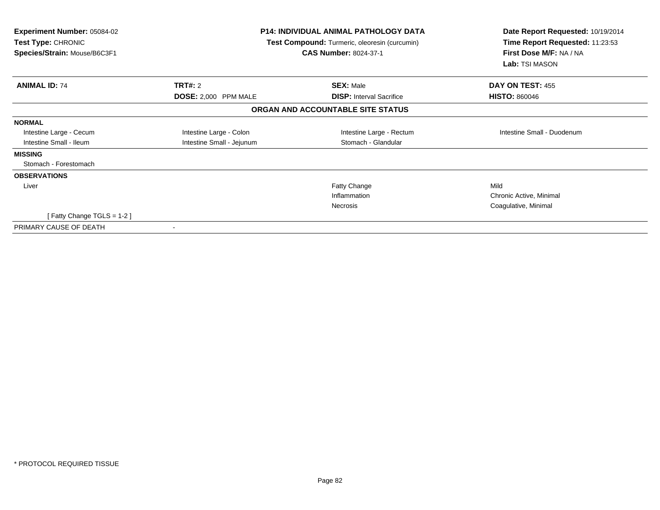| <b>Experiment Number: 05084-02</b><br><b>Test Type: CHRONIC</b><br>Species/Strain: Mouse/B6C3F1 |                           | <b>P14: INDIVIDUAL ANIMAL PATHOLOGY DATA</b><br>Test Compound: Turmeric, oleoresin (curcumin)<br><b>CAS Number: 8024-37-1</b> | Date Report Requested: 10/19/2014<br>Time Report Requested: 11:23:53<br>First Dose M/F: NA / NA<br>Lab: TSI MASON |
|-------------------------------------------------------------------------------------------------|---------------------------|-------------------------------------------------------------------------------------------------------------------------------|-------------------------------------------------------------------------------------------------------------------|
| <b>ANIMAL ID: 74</b>                                                                            | TRT#: 2                   | <b>SEX: Male</b>                                                                                                              | DAY ON TEST: 455                                                                                                  |
|                                                                                                 | DOSE: 2,000 PPM MALE      | <b>DISP: Interval Sacrifice</b>                                                                                               | <b>HISTO: 860046</b>                                                                                              |
|                                                                                                 |                           | ORGAN AND ACCOUNTABLE SITE STATUS                                                                                             |                                                                                                                   |
| <b>NORMAL</b>                                                                                   |                           |                                                                                                                               |                                                                                                                   |
| Intestine Large - Cecum                                                                         | Intestine Large - Colon   | Intestine Large - Rectum                                                                                                      | Intestine Small - Duodenum                                                                                        |
| Intestine Small - Ileum                                                                         | Intestine Small - Jejunum | Stomach - Glandular                                                                                                           |                                                                                                                   |
| <b>MISSING</b>                                                                                  |                           |                                                                                                                               |                                                                                                                   |
| Stomach - Forestomach                                                                           |                           |                                                                                                                               |                                                                                                                   |
| <b>OBSERVATIONS</b>                                                                             |                           |                                                                                                                               |                                                                                                                   |
| Liver                                                                                           |                           | <b>Fatty Change</b>                                                                                                           | Mild                                                                                                              |
|                                                                                                 |                           | Inflammation                                                                                                                  | Chronic Active, Minimal                                                                                           |
|                                                                                                 |                           | <b>Necrosis</b>                                                                                                               | Coagulative, Minimal                                                                                              |
| [Fatty Change TGLS = 1-2]                                                                       |                           |                                                                                                                               |                                                                                                                   |
| PRIMARY CAUSE OF DEATH                                                                          |                           |                                                                                                                               |                                                                                                                   |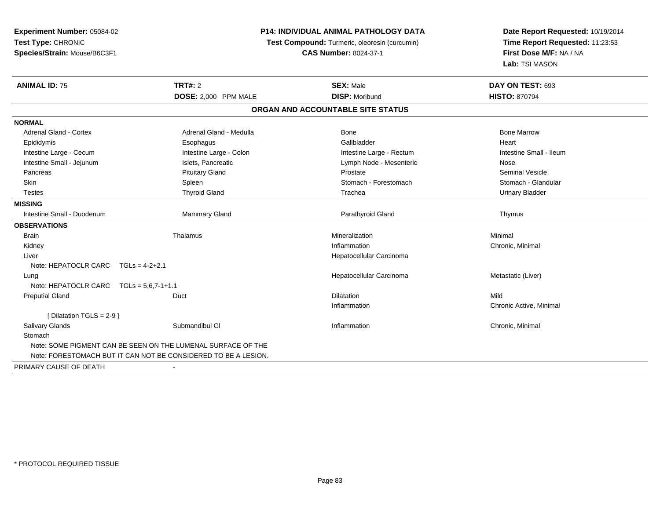| Experiment Number: 05084-02             | <b>P14: INDIVIDUAL ANIMAL PATHOLOGY DATA</b>                   |                                               | Date Report Requested: 10/19/2014                          |
|-----------------------------------------|----------------------------------------------------------------|-----------------------------------------------|------------------------------------------------------------|
| Test Type: CHRONIC                      |                                                                | Test Compound: Turmeric, oleoresin (curcumin) | Time Report Requested: 11:23:53<br>First Dose M/F: NA / NA |
| Species/Strain: Mouse/B6C3F1            |                                                                | <b>CAS Number: 8024-37-1</b>                  |                                                            |
|                                         |                                                                |                                               | Lab: TSI MASON                                             |
| <b>ANIMAL ID: 75</b>                    | <b>TRT#: 2</b>                                                 | <b>SEX: Male</b>                              | DAY ON TEST: 693                                           |
|                                         | DOSE: 2,000 PPM MALE                                           | <b>DISP: Moribund</b>                         | <b>HISTO: 870794</b>                                       |
|                                         |                                                                | ORGAN AND ACCOUNTABLE SITE STATUS             |                                                            |
| <b>NORMAL</b>                           |                                                                |                                               |                                                            |
| Adrenal Gland - Cortex                  | Adrenal Gland - Medulla                                        | <b>Bone</b>                                   | <b>Bone Marrow</b>                                         |
| Epididymis                              | Esophagus                                                      | Gallbladder                                   | Heart                                                      |
| Intestine Large - Cecum                 | Intestine Large - Colon                                        | Intestine Large - Rectum                      | Intestine Small - Ileum                                    |
| Intestine Small - Jejunum               | Islets, Pancreatic                                             | Lymph Node - Mesenteric                       | Nose                                                       |
| Pancreas                                | <b>Pituitary Gland</b>                                         | Prostate                                      | <b>Seminal Vesicle</b>                                     |
| <b>Skin</b>                             | Spleen                                                         | Stomach - Forestomach                         | Stomach - Glandular                                        |
| <b>Testes</b>                           | <b>Thyroid Gland</b>                                           | Trachea                                       | <b>Urinary Bladder</b>                                     |
| <b>MISSING</b>                          |                                                                |                                               |                                                            |
| Intestine Small - Duodenum              | <b>Mammary Gland</b>                                           | Parathyroid Gland                             | Thymus                                                     |
| <b>OBSERVATIONS</b>                     |                                                                |                                               |                                                            |
| <b>Brain</b>                            | Thalamus                                                       | Mineralization                                | Minimal                                                    |
| Kidney                                  |                                                                | Inflammation                                  | Chronic, Minimal                                           |
| Liver                                   |                                                                | Hepatocellular Carcinoma                      |                                                            |
| Note: HEPATOCLR CARC $TGLs = 4-2+2.1$   |                                                                |                                               |                                                            |
| Lung                                    |                                                                | Hepatocellular Carcinoma                      | Metastatic (Liver)                                         |
| Note: HEPATOCLR CARC TGLs = 5,6,7-1+1.1 |                                                                |                                               |                                                            |
| <b>Preputial Gland</b>                  | Duct                                                           | Dilatation                                    | Mild                                                       |
|                                         |                                                                | Inflammation                                  | Chronic Active, Minimal                                    |
| [ Dilatation TGLS = $2-9$ ]             |                                                                |                                               |                                                            |
| <b>Salivary Glands</b>                  | Submandibul GI                                                 | Inflammation                                  | Chronic, Minimal                                           |
| Stomach                                 |                                                                |                                               |                                                            |
|                                         | Note: SOME PIGMENT CAN BE SEEN ON THE LUMENAL SURFACE OF THE   |                                               |                                                            |
|                                         | Note: FORESTOMACH BUT IT CAN NOT BE CONSIDERED TO BE A LESION. |                                               |                                                            |
| PRIMARY CAUSE OF DEATH                  |                                                                |                                               |                                                            |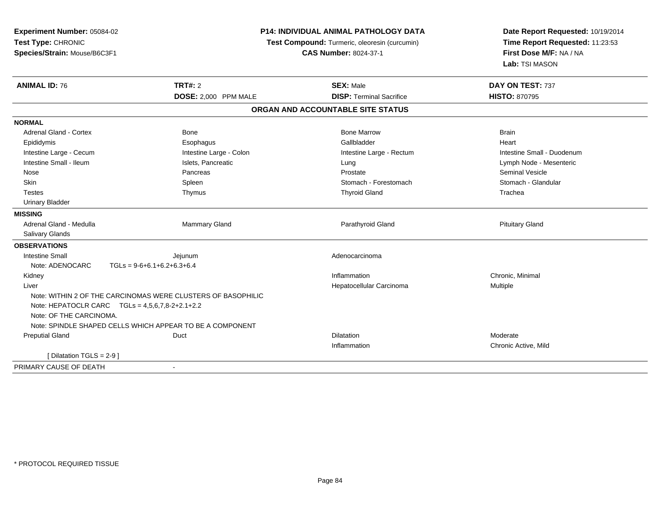| Experiment Number: 05084-02<br>Test Type: CHRONIC<br>Species/Strain: Mouse/B6C3F1 | P14: INDIVIDUAL ANIMAL PATHOLOGY DATA<br>Test Compound: Turmeric, oleoresin (curcumin)<br><b>CAS Number: 8024-37-1</b> |                                   | Date Report Requested: 10/19/2014<br>Time Report Requested: 11:23:53<br>First Dose M/F: NA / NA<br>Lab: TSI MASON |
|-----------------------------------------------------------------------------------|------------------------------------------------------------------------------------------------------------------------|-----------------------------------|-------------------------------------------------------------------------------------------------------------------|
| <b>ANIMAL ID: 76</b>                                                              | <b>TRT#: 2</b>                                                                                                         | <b>SEX: Male</b>                  | DAY ON TEST: 737                                                                                                  |
|                                                                                   | DOSE: 2,000 PPM MALE                                                                                                   | <b>DISP: Terminal Sacrifice</b>   | <b>HISTO: 870795</b>                                                                                              |
|                                                                                   |                                                                                                                        | ORGAN AND ACCOUNTABLE SITE STATUS |                                                                                                                   |
| <b>NORMAL</b>                                                                     |                                                                                                                        |                                   |                                                                                                                   |
| <b>Adrenal Gland - Cortex</b>                                                     | Bone                                                                                                                   | <b>Bone Marrow</b>                | <b>Brain</b>                                                                                                      |
| Epididymis                                                                        | Esophagus                                                                                                              | Gallbladder                       | Heart                                                                                                             |
| Intestine Large - Cecum                                                           | Intestine Large - Colon                                                                                                | Intestine Large - Rectum          | Intestine Small - Duodenum                                                                                        |
| Intestine Small - Ileum                                                           | Islets, Pancreatic                                                                                                     | Lung                              | Lymph Node - Mesenteric                                                                                           |
| Nose                                                                              | Pancreas                                                                                                               | Prostate                          | <b>Seminal Vesicle</b>                                                                                            |
| Skin                                                                              | Spleen                                                                                                                 | Stomach - Forestomach             | Stomach - Glandular                                                                                               |
| <b>Testes</b>                                                                     | Thymus                                                                                                                 | <b>Thyroid Gland</b>              | Trachea                                                                                                           |
| <b>Urinary Bladder</b>                                                            |                                                                                                                        |                                   |                                                                                                                   |
| <b>MISSING</b>                                                                    |                                                                                                                        |                                   |                                                                                                                   |
| Adrenal Gland - Medulla                                                           | <b>Mammary Gland</b>                                                                                                   | Parathyroid Gland                 | <b>Pituitary Gland</b>                                                                                            |
| <b>Salivary Glands</b>                                                            |                                                                                                                        |                                   |                                                                                                                   |
| <b>OBSERVATIONS</b>                                                               |                                                                                                                        |                                   |                                                                                                                   |
| <b>Intestine Small</b>                                                            | Jejunum                                                                                                                | Adenocarcinoma                    |                                                                                                                   |
| Note: ADENOCARC                                                                   | $TGLs = 9-6+6.1+6.2+6.3+6.4$                                                                                           |                                   |                                                                                                                   |
| Kidney                                                                            |                                                                                                                        | Inflammation                      | Chronic, Minimal                                                                                                  |
| Liver                                                                             |                                                                                                                        | Hepatocellular Carcinoma          | Multiple                                                                                                          |
|                                                                                   | Note: WITHIN 2 OF THE CARCINOMAS WERE CLUSTERS OF BASOPHILIC                                                           |                                   |                                                                                                                   |
| Note: HEPATOCLR CARC $TGLs = 4,5,6,7,8-2+2.1+2.2$                                 |                                                                                                                        |                                   |                                                                                                                   |
| Note: OF THE CARCINOMA.                                                           |                                                                                                                        |                                   |                                                                                                                   |
|                                                                                   | Note: SPINDLE SHAPED CELLS WHICH APPEAR TO BE A COMPONENT                                                              |                                   |                                                                                                                   |
| <b>Preputial Gland</b>                                                            | Duct                                                                                                                   | <b>Dilatation</b>                 | Moderate                                                                                                          |
|                                                                                   |                                                                                                                        | Inflammation                      | Chronic Active, Mild                                                                                              |
| [ Dilatation TGLS = $2-9$ ]                                                       |                                                                                                                        |                                   |                                                                                                                   |
| PRIMARY CAUSE OF DEATH                                                            | $\blacksquare$                                                                                                         |                                   |                                                                                                                   |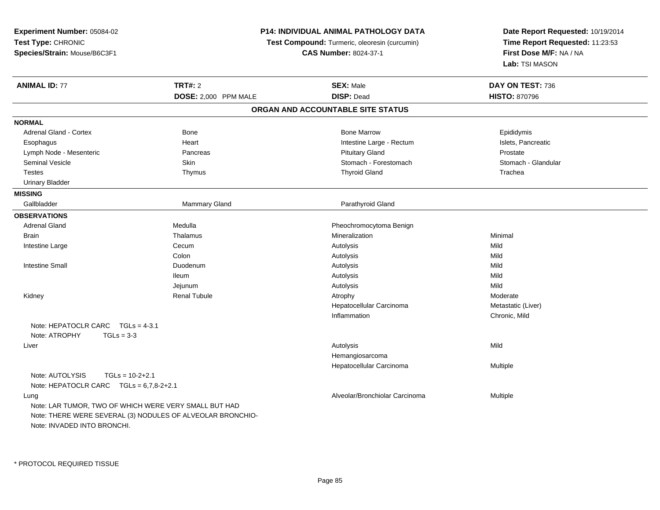**Experiment Number:** 05084-02**Test Type:** CHRONIC **Species/Strain:** Mouse/B6C3F1**P14: INDIVIDUAL ANIMAL PATHOLOGY DATATest Compound:** Turmeric, oleoresin (curcumin)**CAS Number:** 8024-37-1**Date Report Requested:** 10/19/2014**Time Report Requested:** 11:23:53**First Dose M/F:** NA / NA**Lab:** TSI MASON**ANIMAL ID:** 77 **TRT#:** <sup>2</sup> **SEX:** Male **DAY ON TEST:** <sup>736</sup> **DOSE:** 2,000 PPM MALE **DISP:** Dead **HISTO:** <sup>870796</sup> **ORGAN AND ACCOUNTABLE SITE STATUSNORMAL**Adrenal Gland - Cortex **Administrative Cortex** Bone Bone Marrow Bone Marrow Bone Marrow **Epididymis** Islets. Pancreatic Esophagus **Example 20** Heart Intestine Large - Rectum Intestine Large - Rectum Lymph Node - Mesenteric **Example 20 Francisco Pancreas** Pancreas **Prostate** Prostate Prostate Prostate Prostate Stomach - Glandular Seminal Vesicle Subsetsion Skin Skin Stomach - Forestomach - Stomach - Forestomach - Stomach - Glandular Stomach - Glandular Stomach - Glandular Stomach - Glandular Stomach - Glandular Stomach - Stomach - Glandular Stomach Testes Thymus Thyroid Gland Trachea Urinary Bladder**MISSING**Gallbladder Mammary Gland **Parathyroid Gland OBSERVATIONS** Adrenal GlandMedulla **Medulla** Pheochromocytoma Benign<br>
Thalamus **Pheochromocytoma Benign**<br>
Mineralization **Brain** n and the matter of the matter of the matter of the matter of the matter of the matter of the matter of the matter of the matter of the matter of the matter of the matter of the matter of the matter of the matter of the ma Intestine Largee Cecum m Autolysis Autolysis and Autolysis and Autolysis and Autolysis and Autology and Autology and Autology and Auto Colonn and the control of the control of the control of the control of the control of the control of the control of the control of the control of the control of the control of the control of the control of the control of the co Intestine Small Duodenumm Autolysis Autolysis Mild Ileum Autolysis Mild Jejunumm Autolysis Autolysis and Autolysis and Autolysis and Autolysis and Autology and Auto Kidney Renal Tubule Atrophy Moderate Hepatocellular Carcinoma Metastatic (Liver) Inflammation Chronic, Mild Note: HEPATOCLR CARC TGLs = 4-3.1Note: ATROPHY TGLs = 3-3 Liverr and the control of the control of the control of the control of the control of the control of the control of s and the contract of the Mild Hemangiosarcoma Hepatocellular Carcinoma Multiple Note: AUTOLYSIS TGLs = 10-2+2.1 Note: HEPATOCLR CARC TGLs = 6,7,8-2+2.1 LungAlveolar/Bronchiolar Carcinoma Multiple Note: LAR TUMOR, TWO OF WHICH WERE VERY SMALL BUT HAD Note: THERE WERE SEVERAL (3) NODULES OF ALVEOLAR BRONCHIO-Note: INVADED INTO BRONCHI.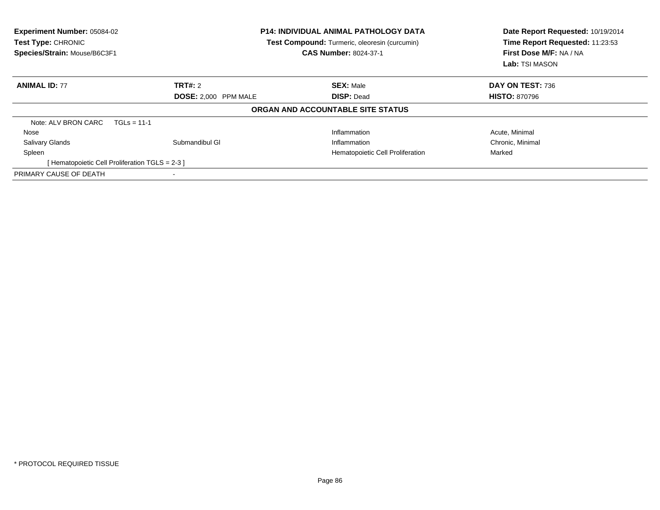| <b>Experiment Number: 05084-02</b><br>Test Type: CHRONIC<br>Species/Strain: Mouse/B6C3F1 |                      | <b>P14: INDIVIDUAL ANIMAL PATHOLOGY DATA</b><br>Test Compound: Turmeric, oleoresin (curcumin)<br><b>CAS Number: 8024-37-1</b> | Date Report Requested: 10/19/2014<br>Time Report Requested: 11:23:53<br>First Dose M/F: NA / NA<br>Lab: TSI MASON |  |
|------------------------------------------------------------------------------------------|----------------------|-------------------------------------------------------------------------------------------------------------------------------|-------------------------------------------------------------------------------------------------------------------|--|
| <b>ANIMAL ID: 77</b>                                                                     | <b>TRT#:</b> 2       | <b>SEX: Male</b>                                                                                                              | DAY ON TEST: 736                                                                                                  |  |
|                                                                                          | DOSE: 2.000 PPM MALE | <b>DISP: Dead</b>                                                                                                             | <b>HISTO: 870796</b>                                                                                              |  |
|                                                                                          |                      | ORGAN AND ACCOUNTABLE SITE STATUS                                                                                             |                                                                                                                   |  |
| Note: ALV BRON CARC<br>$TGLs = 11-1$                                                     |                      |                                                                                                                               |                                                                                                                   |  |
| Nose                                                                                     |                      | Inflammation                                                                                                                  | Acute, Minimal                                                                                                    |  |
| Salivary Glands                                                                          | Submandibul GI       | Inflammation                                                                                                                  | Chronic, Minimal                                                                                                  |  |
| Spleen                                                                                   |                      | Hematopoietic Cell Proliferation                                                                                              | Marked                                                                                                            |  |
| [ Hematopoietic Cell Proliferation TGLS = 2-3 ]                                          |                      |                                                                                                                               |                                                                                                                   |  |
| PRIMARY CAUSE OF DEATH                                                                   |                      |                                                                                                                               |                                                                                                                   |  |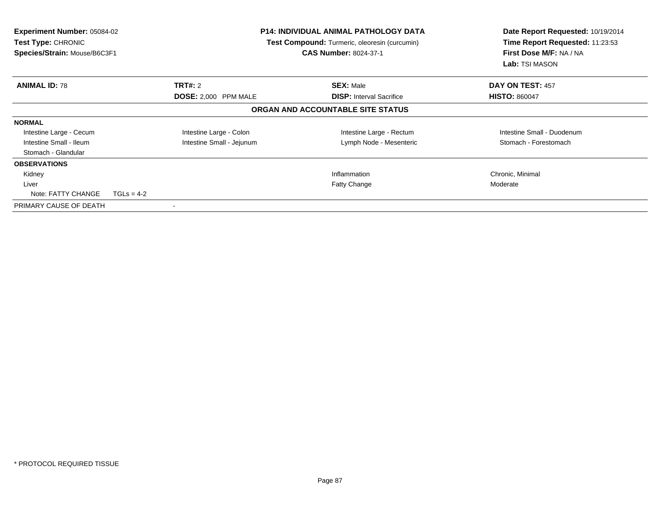| <b>Experiment Number: 05084-02</b><br>Test Type: CHRONIC<br>Species/Strain: Mouse/B6C3F1 |              |                           | <b>P14: INDIVIDUAL ANIMAL PATHOLOGY DATA</b><br>Test Compound: Turmeric, oleoresin (curcumin)<br><b>CAS Number: 8024-37-1</b> | Date Report Requested: 10/19/2014<br>Time Report Requested: 11:23:53<br>First Dose M/F: NA / NA<br>Lab: TSI MASON |
|------------------------------------------------------------------------------------------|--------------|---------------------------|-------------------------------------------------------------------------------------------------------------------------------|-------------------------------------------------------------------------------------------------------------------|
| <b>ANIMAL ID: 78</b>                                                                     |              | <b>TRT#: 2</b>            | <b>SEX: Male</b>                                                                                                              | DAY ON TEST: 457                                                                                                  |
|                                                                                          |              | DOSE: 2,000 PPM MALE      | <b>DISP:</b> Interval Sacrifice                                                                                               | <b>HISTO: 860047</b>                                                                                              |
|                                                                                          |              |                           | ORGAN AND ACCOUNTABLE SITE STATUS                                                                                             |                                                                                                                   |
| <b>NORMAL</b>                                                                            |              |                           |                                                                                                                               |                                                                                                                   |
| Intestine Large - Cecum                                                                  |              | Intestine Large - Colon   | Intestine Large - Rectum                                                                                                      | Intestine Small - Duodenum                                                                                        |
| Intestine Small - Ileum                                                                  |              | Intestine Small - Jejunum | Lymph Node - Mesenteric                                                                                                       | Stomach - Forestomach                                                                                             |
| Stomach - Glandular                                                                      |              |                           |                                                                                                                               |                                                                                                                   |
| <b>OBSERVATIONS</b>                                                                      |              |                           |                                                                                                                               |                                                                                                                   |
| Kidney                                                                                   |              |                           | Inflammation                                                                                                                  | Chronic, Minimal                                                                                                  |
| Liver                                                                                    |              |                           | <b>Fatty Change</b>                                                                                                           | Moderate                                                                                                          |
| Note: FATTY CHANGE                                                                       | $TGLs = 4-2$ |                           |                                                                                                                               |                                                                                                                   |
| PRIMARY CAUSE OF DEATH                                                                   |              |                           |                                                                                                                               |                                                                                                                   |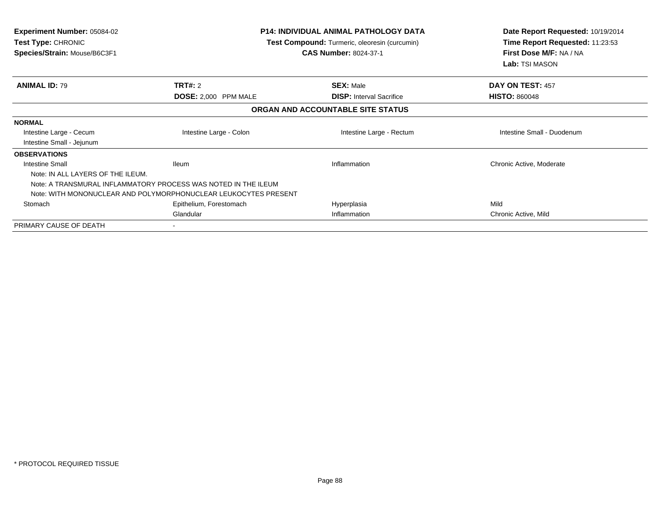| <b>Experiment Number: 05084-02</b><br>Test Type: CHRONIC<br>Species/Strain: Mouse/B6C3F1 | <b>P14: INDIVIDUAL ANIMAL PATHOLOGY DATA</b><br>Test Compound: Turmeric, oleoresin (curcumin)<br><b>CAS Number: 8024-37-1</b> |                                   | Date Report Requested: 10/19/2014<br>Time Report Requested: 11:23:53<br>First Dose M/F: NA / NA<br>Lab: TSI MASON |
|------------------------------------------------------------------------------------------|-------------------------------------------------------------------------------------------------------------------------------|-----------------------------------|-------------------------------------------------------------------------------------------------------------------|
| <b>ANIMAL ID: 79</b>                                                                     | TRT#: 2                                                                                                                       | <b>SEX: Male</b>                  | DAY ON TEST: 457                                                                                                  |
|                                                                                          | DOSE: 2,000 PPM MALE                                                                                                          | <b>DISP: Interval Sacrifice</b>   | <b>HISTO: 860048</b>                                                                                              |
|                                                                                          |                                                                                                                               | ORGAN AND ACCOUNTABLE SITE STATUS |                                                                                                                   |
| <b>NORMAL</b>                                                                            |                                                                                                                               |                                   |                                                                                                                   |
| Intestine Large - Cecum                                                                  | Intestine Large - Colon                                                                                                       | Intestine Large - Rectum          | Intestine Small - Duodenum                                                                                        |
| Intestine Small - Jejunum                                                                |                                                                                                                               |                                   |                                                                                                                   |
| <b>OBSERVATIONS</b>                                                                      |                                                                                                                               |                                   |                                                                                                                   |
| <b>Intestine Small</b>                                                                   | lleum                                                                                                                         | Inflammation                      | Chronic Active, Moderate                                                                                          |
| Note: IN ALL LAYERS OF THE ILEUM.                                                        |                                                                                                                               |                                   |                                                                                                                   |
|                                                                                          | Note: A TRANSMURAL INFLAMMATORY PROCESS WAS NOTED IN THE ILEUM                                                                |                                   |                                                                                                                   |
|                                                                                          | Note: WITH MONONUCLEAR AND POLYMORPHONUCLEAR LEUKOCYTES PRESENT                                                               |                                   |                                                                                                                   |
| Stomach                                                                                  | Epithelium, Forestomach                                                                                                       | Hyperplasia                       | Mild                                                                                                              |
|                                                                                          | Glandular                                                                                                                     | Inflammation                      | Chronic Active, Mild                                                                                              |
| PRIMARY CAUSE OF DEATH                                                                   |                                                                                                                               |                                   |                                                                                                                   |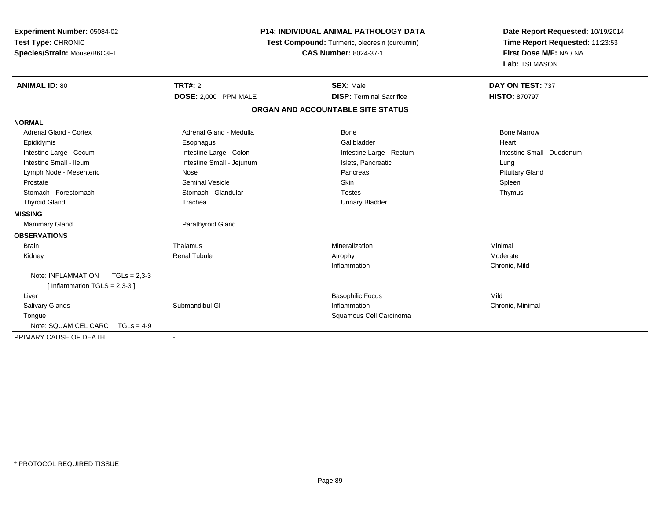| Experiment Number: 05084-02          |                                               | <b>P14: INDIVIDUAL ANIMAL PATHOLOGY DATA</b> | Date Report Requested: 10/19/2014 |
|--------------------------------------|-----------------------------------------------|----------------------------------------------|-----------------------------------|
| Test Type: CHRONIC                   | Test Compound: Turmeric, oleoresin (curcumin) |                                              | Time Report Requested: 11:23:53   |
| Species/Strain: Mouse/B6C3F1         |                                               | <b>CAS Number: 8024-37-1</b>                 | First Dose M/F: NA / NA           |
|                                      |                                               |                                              | Lab: TSI MASON                    |
| <b>ANIMAL ID: 80</b>                 | <b>TRT#: 2</b>                                | <b>SEX: Male</b>                             | DAY ON TEST: 737                  |
|                                      | DOSE: 2,000 PPM MALE                          | <b>DISP: Terminal Sacrifice</b>              | <b>HISTO: 870797</b>              |
|                                      |                                               | ORGAN AND ACCOUNTABLE SITE STATUS            |                                   |
| <b>NORMAL</b>                        |                                               |                                              |                                   |
| <b>Adrenal Gland - Cortex</b>        | Adrenal Gland - Medulla                       | Bone                                         | <b>Bone Marrow</b>                |
| Epididymis                           | Esophagus                                     | Gallbladder                                  | Heart                             |
| Intestine Large - Cecum              | Intestine Large - Colon                       | Intestine Large - Rectum                     | Intestine Small - Duodenum        |
| Intestine Small - Ileum              | Intestine Small - Jejunum                     | Islets, Pancreatic                           | Lung                              |
| Lymph Node - Mesenteric              | Nose                                          | Pancreas                                     | <b>Pituitary Gland</b>            |
| Prostate                             | <b>Seminal Vesicle</b>                        | <b>Skin</b>                                  | Spleen                            |
| Stomach - Forestomach                | Stomach - Glandular                           | <b>Testes</b>                                | Thymus                            |
| <b>Thyroid Gland</b>                 | Trachea                                       | <b>Urinary Bladder</b>                       |                                   |
| <b>MISSING</b>                       |                                               |                                              |                                   |
| <b>Mammary Gland</b>                 | Parathyroid Gland                             |                                              |                                   |
| <b>OBSERVATIONS</b>                  |                                               |                                              |                                   |
| <b>Brain</b>                         | Thalamus                                      | Mineralization                               | Minimal                           |
| Kidney                               | <b>Renal Tubule</b>                           | Atrophy                                      | Moderate                          |
|                                      |                                               | Inflammation                                 | Chronic, Mild                     |
| Note: INFLAMMATION<br>$TGLs = 2.3-3$ |                                               |                                              |                                   |
| [Inflammation TGLS = $2,3-3$ ]       |                                               |                                              |                                   |
| Liver                                |                                               | <b>Basophilic Focus</b>                      | Mild                              |
| <b>Salivary Glands</b>               | Submandibul GI                                | Inflammation                                 | Chronic, Minimal                  |
| Tongue                               |                                               | Squamous Cell Carcinoma                      |                                   |
| Note: SQUAM CEL CARC<br>$TGLs = 4-9$ |                                               |                                              |                                   |
| PRIMARY CAUSE OF DEATH               | $\overline{\phantom{a}}$                      |                                              |                                   |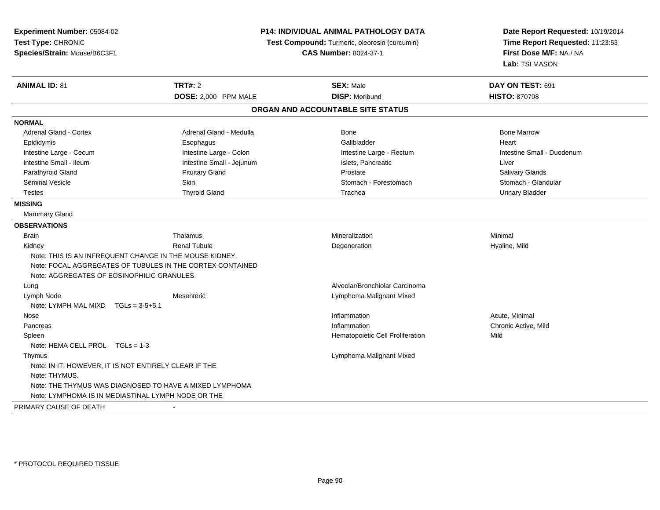| Time Report Requested: 11:23:53<br>Test Type: CHRONIC<br>Test Compound: Turmeric, oleoresin (curcumin)<br>First Dose M/F: NA / NA<br>Species/Strain: Mouse/B6C3F1<br><b>CAS Number: 8024-37-1</b><br>Lab: TSI MASON<br><b>ANIMAL ID: 81</b><br><b>TRT#: 2</b><br><b>SEX: Male</b><br>DAY ON TEST: 691<br><b>DISP: Moribund</b><br>DOSE: 2,000 PPM MALE<br><b>HISTO: 870798</b><br>ORGAN AND ACCOUNTABLE SITE STATUS<br><b>NORMAL</b><br><b>Adrenal Gland - Cortex</b><br>Adrenal Gland - Medulla<br><b>Bone</b><br><b>Bone Marrow</b><br>Gallbladder<br>Heart<br>Epididymis<br>Esophagus<br>Intestine Large - Colon<br>Intestine Large - Cecum<br>Intestine Large - Rectum<br>Intestine Small - Duodenum<br>Intestine Small - Ileum<br>Intestine Small - Jejunum<br>Islets, Pancreatic<br>Liver<br>Parathyroid Gland<br><b>Pituitary Gland</b><br>Salivary Glands<br>Prostate | Experiment Number: 05084-02 |      | <b>P14: INDIVIDUAL ANIMAL PATHOLOGY DATA</b> | Date Report Requested: 10/19/2014 |  |
|-------------------------------------------------------------------------------------------------------------------------------------------------------------------------------------------------------------------------------------------------------------------------------------------------------------------------------------------------------------------------------------------------------------------------------------------------------------------------------------------------------------------------------------------------------------------------------------------------------------------------------------------------------------------------------------------------------------------------------------------------------------------------------------------------------------------------------------------------------------------------------|-----------------------------|------|----------------------------------------------|-----------------------------------|--|
|                                                                                                                                                                                                                                                                                                                                                                                                                                                                                                                                                                                                                                                                                                                                                                                                                                                                               |                             |      |                                              |                                   |  |
|                                                                                                                                                                                                                                                                                                                                                                                                                                                                                                                                                                                                                                                                                                                                                                                                                                                                               |                             |      |                                              |                                   |  |
|                                                                                                                                                                                                                                                                                                                                                                                                                                                                                                                                                                                                                                                                                                                                                                                                                                                                               |                             |      |                                              |                                   |  |
|                                                                                                                                                                                                                                                                                                                                                                                                                                                                                                                                                                                                                                                                                                                                                                                                                                                                               |                             |      |                                              |                                   |  |
|                                                                                                                                                                                                                                                                                                                                                                                                                                                                                                                                                                                                                                                                                                                                                                                                                                                                               |                             |      |                                              |                                   |  |
|                                                                                                                                                                                                                                                                                                                                                                                                                                                                                                                                                                                                                                                                                                                                                                                                                                                                               |                             |      |                                              |                                   |  |
|                                                                                                                                                                                                                                                                                                                                                                                                                                                                                                                                                                                                                                                                                                                                                                                                                                                                               |                             |      |                                              |                                   |  |
|                                                                                                                                                                                                                                                                                                                                                                                                                                                                                                                                                                                                                                                                                                                                                                                                                                                                               |                             |      |                                              |                                   |  |
|                                                                                                                                                                                                                                                                                                                                                                                                                                                                                                                                                                                                                                                                                                                                                                                                                                                                               |                             |      |                                              |                                   |  |
|                                                                                                                                                                                                                                                                                                                                                                                                                                                                                                                                                                                                                                                                                                                                                                                                                                                                               |                             |      |                                              |                                   |  |
|                                                                                                                                                                                                                                                                                                                                                                                                                                                                                                                                                                                                                                                                                                                                                                                                                                                                               |                             |      |                                              |                                   |  |
|                                                                                                                                                                                                                                                                                                                                                                                                                                                                                                                                                                                                                                                                                                                                                                                                                                                                               |                             |      |                                              |                                   |  |
|                                                                                                                                                                                                                                                                                                                                                                                                                                                                                                                                                                                                                                                                                                                                                                                                                                                                               | <b>Seminal Vesicle</b>      | Skin | Stomach - Forestomach                        | Stomach - Glandular               |  |
| <b>Thyroid Gland</b><br>Trachea<br><b>Urinary Bladder</b><br><b>Testes</b>                                                                                                                                                                                                                                                                                                                                                                                                                                                                                                                                                                                                                                                                                                                                                                                                    |                             |      |                                              |                                   |  |
| <b>MISSING</b>                                                                                                                                                                                                                                                                                                                                                                                                                                                                                                                                                                                                                                                                                                                                                                                                                                                                |                             |      |                                              |                                   |  |
| Mammary Gland                                                                                                                                                                                                                                                                                                                                                                                                                                                                                                                                                                                                                                                                                                                                                                                                                                                                 |                             |      |                                              |                                   |  |
| <b>OBSERVATIONS</b>                                                                                                                                                                                                                                                                                                                                                                                                                                                                                                                                                                                                                                                                                                                                                                                                                                                           |                             |      |                                              |                                   |  |
| Thalamus<br>Mineralization<br>Minimal<br><b>Brain</b>                                                                                                                                                                                                                                                                                                                                                                                                                                                                                                                                                                                                                                                                                                                                                                                                                         |                             |      |                                              |                                   |  |
| <b>Renal Tubule</b><br>Hyaline, Mild<br>Kidney<br>Degeneration                                                                                                                                                                                                                                                                                                                                                                                                                                                                                                                                                                                                                                                                                                                                                                                                                |                             |      |                                              |                                   |  |
| Note: THIS IS AN INFREQUENT CHANGE IN THE MOUSE KIDNEY.                                                                                                                                                                                                                                                                                                                                                                                                                                                                                                                                                                                                                                                                                                                                                                                                                       |                             |      |                                              |                                   |  |
| Note: FOCAL AGGREGATES OF TUBULES IN THE CORTEX CONTAINED                                                                                                                                                                                                                                                                                                                                                                                                                                                                                                                                                                                                                                                                                                                                                                                                                     |                             |      |                                              |                                   |  |
| Note: AGGREGATES OF EOSINOPHILIC GRANULES.                                                                                                                                                                                                                                                                                                                                                                                                                                                                                                                                                                                                                                                                                                                                                                                                                                    |                             |      |                                              |                                   |  |
| Alveolar/Bronchiolar Carcinoma<br>Lung                                                                                                                                                                                                                                                                                                                                                                                                                                                                                                                                                                                                                                                                                                                                                                                                                                        |                             |      |                                              |                                   |  |
| Lymph Node<br>Lymphoma Malignant Mixed<br>Mesenteric                                                                                                                                                                                                                                                                                                                                                                                                                                                                                                                                                                                                                                                                                                                                                                                                                          |                             |      |                                              |                                   |  |
| Note: LYMPH MAL MIXD<br>$TGLs = 3-5+5.1$                                                                                                                                                                                                                                                                                                                                                                                                                                                                                                                                                                                                                                                                                                                                                                                                                                      |                             |      |                                              |                                   |  |
| Inflammation<br>Acute, Minimal<br>Nose                                                                                                                                                                                                                                                                                                                                                                                                                                                                                                                                                                                                                                                                                                                                                                                                                                        |                             |      |                                              |                                   |  |
| Chronic Active, Mild<br>Inflammation<br>Pancreas                                                                                                                                                                                                                                                                                                                                                                                                                                                                                                                                                                                                                                                                                                                                                                                                                              |                             |      |                                              |                                   |  |
| Hematopoietic Cell Proliferation<br>Mild<br>Spleen                                                                                                                                                                                                                                                                                                                                                                                                                                                                                                                                                                                                                                                                                                                                                                                                                            |                             |      |                                              |                                   |  |
| Note: HEMA CELL PROL TGLs = 1-3                                                                                                                                                                                                                                                                                                                                                                                                                                                                                                                                                                                                                                                                                                                                                                                                                                               |                             |      |                                              |                                   |  |
| Lymphoma Malignant Mixed<br>Thymus                                                                                                                                                                                                                                                                                                                                                                                                                                                                                                                                                                                                                                                                                                                                                                                                                                            |                             |      |                                              |                                   |  |
| Note: IN IT; HOWEVER, IT IS NOT ENTIRELY CLEAR IF THE<br>Note: THYMUS.                                                                                                                                                                                                                                                                                                                                                                                                                                                                                                                                                                                                                                                                                                                                                                                                        |                             |      |                                              |                                   |  |
| Note: THE THYMUS WAS DIAGNOSED TO HAVE A MIXED LYMPHOMA                                                                                                                                                                                                                                                                                                                                                                                                                                                                                                                                                                                                                                                                                                                                                                                                                       |                             |      |                                              |                                   |  |
| Note: LYMPHOMA IS IN MEDIASTINAL LYMPH NODE OR THE                                                                                                                                                                                                                                                                                                                                                                                                                                                                                                                                                                                                                                                                                                                                                                                                                            |                             |      |                                              |                                   |  |
| PRIMARY CAUSE OF DEATH                                                                                                                                                                                                                                                                                                                                                                                                                                                                                                                                                                                                                                                                                                                                                                                                                                                        |                             |      |                                              |                                   |  |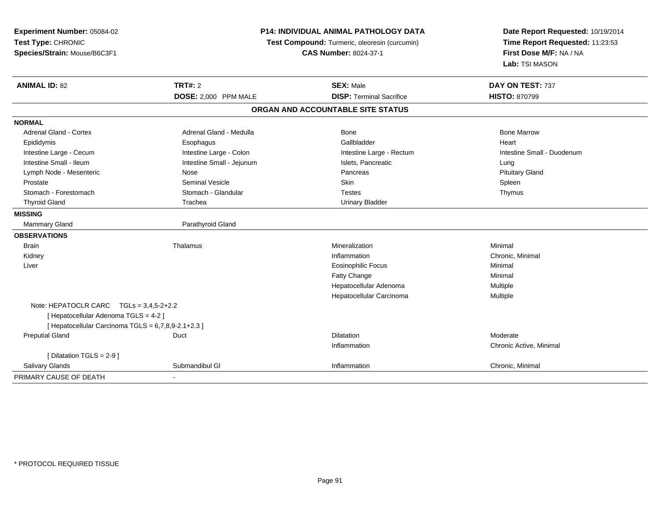| Experiment Number: 05084-02<br>Test Type: CHRONIC<br>Species/Strain: Mouse/B6C3F1 |                           | <b>P14: INDIVIDUAL ANIMAL PATHOLOGY DATA</b><br>Test Compound: Turmeric, oleoresin (curcumin)<br><b>CAS Number: 8024-37-1</b> |                            |
|-----------------------------------------------------------------------------------|---------------------------|-------------------------------------------------------------------------------------------------------------------------------|----------------------------|
| <b>ANIMAL ID: 82</b>                                                              | <b>TRT#: 2</b>            | <b>SEX: Male</b>                                                                                                              | DAY ON TEST: 737           |
|                                                                                   | DOSE: 2,000 PPM MALE      | <b>DISP: Terminal Sacrifice</b>                                                                                               | <b>HISTO: 870799</b>       |
|                                                                                   |                           | ORGAN AND ACCOUNTABLE SITE STATUS                                                                                             |                            |
| <b>NORMAL</b>                                                                     |                           |                                                                                                                               |                            |
| Adrenal Gland - Cortex                                                            | Adrenal Gland - Medulla   | Bone                                                                                                                          | <b>Bone Marrow</b>         |
| Epididymis                                                                        | Esophagus                 | Gallbladder                                                                                                                   | Heart                      |
| Intestine Large - Cecum                                                           | Intestine Large - Colon   | Intestine Large - Rectum                                                                                                      | Intestine Small - Duodenum |
| Intestine Small - Ileum                                                           | Intestine Small - Jejunum | Islets, Pancreatic                                                                                                            | Lung                       |
| Lymph Node - Mesenteric                                                           | Nose                      | Pancreas                                                                                                                      | <b>Pituitary Gland</b>     |
| Prostate                                                                          | <b>Seminal Vesicle</b>    | Skin                                                                                                                          | Spleen                     |
| Stomach - Forestomach                                                             | Stomach - Glandular       | <b>Testes</b>                                                                                                                 | Thymus                     |
| <b>Thyroid Gland</b>                                                              | Trachea                   | <b>Urinary Bladder</b>                                                                                                        |                            |
| <b>MISSING</b>                                                                    |                           |                                                                                                                               |                            |
| <b>Mammary Gland</b>                                                              | Parathyroid Gland         |                                                                                                                               |                            |
| <b>OBSERVATIONS</b>                                                               |                           |                                                                                                                               |                            |
| <b>Brain</b>                                                                      | Thalamus                  | Mineralization                                                                                                                | Minimal                    |
| Kidney                                                                            |                           | Inflammation                                                                                                                  | Chronic, Minimal           |
| Liver                                                                             |                           | <b>Eosinophilic Focus</b>                                                                                                     | Minimal                    |
|                                                                                   |                           | Fatty Change                                                                                                                  | Minimal                    |
|                                                                                   |                           | Hepatocellular Adenoma                                                                                                        | Multiple                   |
|                                                                                   |                           | Hepatocellular Carcinoma                                                                                                      | Multiple                   |
| Note: HEPATOCLR CARC $TGLs = 3,4,5-2+2.2$                                         |                           |                                                                                                                               |                            |
| [ Hepatocellular Adenoma TGLS = 4-2 ]                                             |                           |                                                                                                                               |                            |
| [ Hepatocellular Carcinoma TGLS = 6,7,8,9-2.1+2.3 ]                               |                           |                                                                                                                               |                            |
| <b>Preputial Gland</b>                                                            | Duct                      | Dilatation                                                                                                                    | Moderate                   |
|                                                                                   |                           | Inflammation                                                                                                                  | Chronic Active, Minimal    |
| [ Dilatation TGLS = 2-9 ]                                                         |                           |                                                                                                                               |                            |
| Salivary Glands                                                                   | Submandibul GI            | Inflammation                                                                                                                  | Chronic, Minimal           |
| PRIMARY CAUSE OF DEATH                                                            |                           |                                                                                                                               |                            |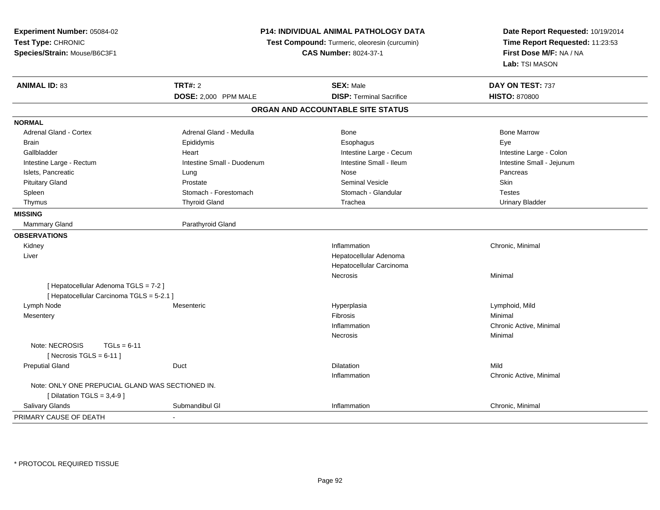| Experiment Number: 05084-02                      |                                                                               | <b>P14: INDIVIDUAL ANIMAL PATHOLOGY DATA</b> | Date Report Requested: 10/19/2014                          |
|--------------------------------------------------|-------------------------------------------------------------------------------|----------------------------------------------|------------------------------------------------------------|
| Test Type: CHRONIC                               | Test Compound: Turmeric, oleoresin (curcumin)<br><b>CAS Number: 8024-37-1</b> |                                              | Time Report Requested: 11:23:53<br>First Dose M/F: NA / NA |
| Species/Strain: Mouse/B6C3F1                     |                                                                               |                                              |                                                            |
|                                                  |                                                                               |                                              | Lab: TSI MASON                                             |
| <b>ANIMAL ID: 83</b>                             | <b>TRT#: 2</b>                                                                | <b>SEX: Male</b>                             | DAY ON TEST: 737                                           |
|                                                  | DOSE: 2,000 PPM MALE                                                          | <b>DISP: Terminal Sacrifice</b>              | <b>HISTO: 870800</b>                                       |
|                                                  |                                                                               | ORGAN AND ACCOUNTABLE SITE STATUS            |                                                            |
| <b>NORMAL</b>                                    |                                                                               |                                              |                                                            |
| <b>Adrenal Gland - Cortex</b>                    | Adrenal Gland - Medulla                                                       | Bone                                         | <b>Bone Marrow</b>                                         |
| <b>Brain</b>                                     | Epididymis                                                                    | Esophagus                                    | Eye                                                        |
| Gallbladder                                      | Heart                                                                         | Intestine Large - Cecum                      | Intestine Large - Colon                                    |
| Intestine Large - Rectum                         | Intestine Small - Duodenum                                                    | Intestine Small - Ileum                      | Intestine Small - Jejunum                                  |
| Islets, Pancreatic                               | Lung                                                                          | Nose                                         | Pancreas                                                   |
| <b>Pituitary Gland</b>                           | Prostate                                                                      | <b>Seminal Vesicle</b>                       | Skin                                                       |
| Spleen                                           | Stomach - Forestomach                                                         | Stomach - Glandular                          | <b>Testes</b>                                              |
| Thymus                                           | <b>Thyroid Gland</b>                                                          | Trachea                                      | <b>Urinary Bladder</b>                                     |
| <b>MISSING</b>                                   |                                                                               |                                              |                                                            |
| <b>Mammary Gland</b>                             | Parathyroid Gland                                                             |                                              |                                                            |
| <b>OBSERVATIONS</b>                              |                                                                               |                                              |                                                            |
| Kidney                                           |                                                                               | Inflammation                                 | Chronic, Minimal                                           |
| Liver                                            |                                                                               | Hepatocellular Adenoma                       |                                                            |
|                                                  |                                                                               | Hepatocellular Carcinoma                     |                                                            |
|                                                  |                                                                               | <b>Necrosis</b>                              | Minimal                                                    |
| [ Hepatocellular Adenoma TGLS = 7-2 ]            |                                                                               |                                              |                                                            |
| [ Hepatocellular Carcinoma TGLS = 5-2.1 ]        |                                                                               |                                              |                                                            |
| Lymph Node                                       | Mesenteric                                                                    | Hyperplasia                                  | Lymphoid, Mild                                             |
| Mesentery                                        |                                                                               | Fibrosis                                     | Minimal                                                    |
|                                                  |                                                                               | Inflammation                                 | Chronic Active, Minimal                                    |
|                                                  |                                                                               | Necrosis                                     | Minimal                                                    |
| Note: NECROSIS<br>$TGLs = 6-11$                  |                                                                               |                                              |                                                            |
| [Necrosis $TGLS = 6-11$ ]                        |                                                                               |                                              |                                                            |
| <b>Preputial Gland</b>                           | Duct                                                                          | <b>Dilatation</b>                            | Mild                                                       |
|                                                  |                                                                               | Inflammation                                 | Chronic Active, Minimal                                    |
| Note: ONLY ONE PREPUCIAL GLAND WAS SECTIONED IN. |                                                                               |                                              |                                                            |
| [ Dilatation TGLS = $3,4-9$ ]                    |                                                                               |                                              |                                                            |
| Salivary Glands                                  | Submandibul GI                                                                | Inflammation                                 | Chronic, Minimal                                           |
| PRIMARY CAUSE OF DEATH                           |                                                                               |                                              |                                                            |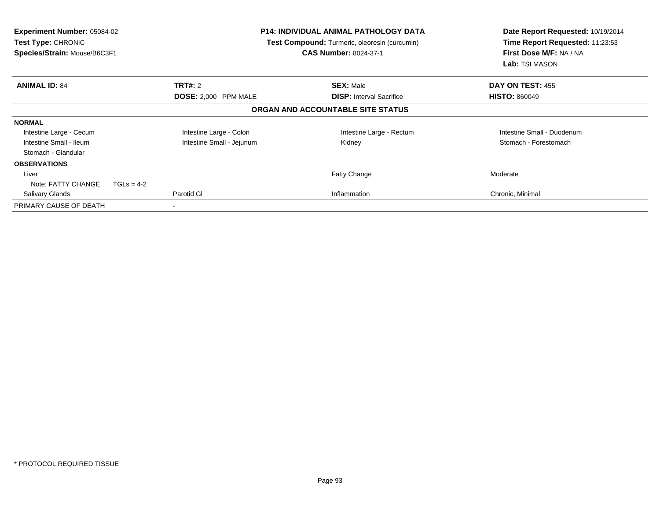| Experiment Number: 05084-02<br><b>Test Type: CHRONIC</b><br>Species/Strain: Mouse/B6C3F1 |                           | <b>P14: INDIVIDUAL ANIMAL PATHOLOGY DATA</b><br>Test Compound: Turmeric, oleoresin (curcumin)<br><b>CAS Number: 8024-37-1</b> | Date Report Requested: 10/19/2014<br>Time Report Requested: 11:23:53<br>First Dose M/F: NA / NA<br>Lab: TSI MASON |
|------------------------------------------------------------------------------------------|---------------------------|-------------------------------------------------------------------------------------------------------------------------------|-------------------------------------------------------------------------------------------------------------------|
| <b>ANIMAL ID: 84</b>                                                                     | <b>TRT#: 2</b>            | <b>SEX: Male</b>                                                                                                              | DAY ON TEST: 455                                                                                                  |
|                                                                                          | DOSE: 2,000 PPM MALE      | <b>DISP:</b> Interval Sacrifice                                                                                               | <b>HISTO: 860049</b>                                                                                              |
|                                                                                          |                           | ORGAN AND ACCOUNTABLE SITE STATUS                                                                                             |                                                                                                                   |
| <b>NORMAL</b>                                                                            |                           |                                                                                                                               |                                                                                                                   |
| Intestine Large - Cecum                                                                  | Intestine Large - Colon   | Intestine Large - Rectum                                                                                                      | Intestine Small - Duodenum                                                                                        |
| Intestine Small - Ileum                                                                  | Intestine Small - Jejunum | Kidney                                                                                                                        | Stomach - Forestomach                                                                                             |
| Stomach - Glandular                                                                      |                           |                                                                                                                               |                                                                                                                   |
| <b>OBSERVATIONS</b>                                                                      |                           |                                                                                                                               |                                                                                                                   |
| Liver                                                                                    |                           | <b>Fatty Change</b>                                                                                                           | Moderate                                                                                                          |
| Note: FATTY CHANGE<br>$TGLs = 4-2$                                                       |                           |                                                                                                                               |                                                                                                                   |
| Salivary Glands                                                                          | Parotid GI                | Inflammation                                                                                                                  | Chronic, Minimal                                                                                                  |
| PRIMARY CAUSE OF DEATH                                                                   |                           |                                                                                                                               |                                                                                                                   |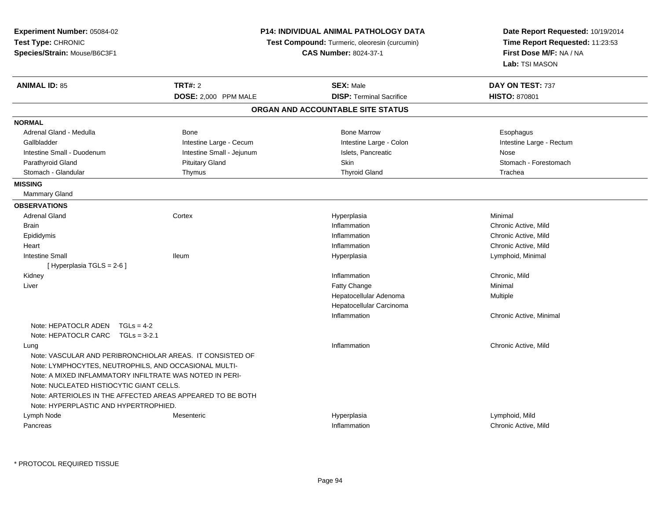| Experiment Number: 05084-02                                |                           | <b>P14: INDIVIDUAL ANIMAL PATHOLOGY DATA</b>         | Date Report Requested: 10/19/2014<br>Time Report Requested: 11:23:53<br>First Dose M/F: NA / NA |
|------------------------------------------------------------|---------------------------|------------------------------------------------------|-------------------------------------------------------------------------------------------------|
| Test Type: CHRONIC                                         |                           | <b>Test Compound:</b> Turmeric, oleoresin (curcumin) |                                                                                                 |
| Species/Strain: Mouse/B6C3F1                               |                           | <b>CAS Number: 8024-37-1</b>                         |                                                                                                 |
|                                                            |                           |                                                      | Lab: TSI MASON                                                                                  |
| <b>ANIMAL ID: 85</b>                                       | <b>TRT#: 2</b>            | <b>SEX: Male</b>                                     | DAY ON TEST: 737                                                                                |
|                                                            | DOSE: 2,000 PPM MALE      | <b>DISP: Terminal Sacrifice</b>                      | <b>HISTO: 870801</b>                                                                            |
|                                                            |                           | ORGAN AND ACCOUNTABLE SITE STATUS                    |                                                                                                 |
| <b>NORMAL</b>                                              |                           |                                                      |                                                                                                 |
| Adrenal Gland - Medulla                                    | <b>Bone</b>               | <b>Bone Marrow</b>                                   | Esophagus                                                                                       |
| Gallbladder                                                | Intestine Large - Cecum   | Intestine Large - Colon                              | Intestine Large - Rectum                                                                        |
| Intestine Small - Duodenum                                 | Intestine Small - Jejunum | Islets, Pancreatic                                   | Nose                                                                                            |
| Parathyroid Gland                                          | <b>Pituitary Gland</b>    | Skin                                                 | Stomach - Forestomach                                                                           |
| Stomach - Glandular                                        | Thymus                    | <b>Thyroid Gland</b>                                 | Trachea                                                                                         |
| <b>MISSING</b>                                             |                           |                                                      |                                                                                                 |
| Mammary Gland                                              |                           |                                                      |                                                                                                 |
| <b>OBSERVATIONS</b>                                        |                           |                                                      |                                                                                                 |
| <b>Adrenal Gland</b>                                       | Cortex                    | Hyperplasia                                          | Minimal                                                                                         |
| <b>Brain</b>                                               |                           | Inflammation                                         | Chronic Active, Mild                                                                            |
| Epididymis                                                 |                           | Inflammation                                         | Chronic Active, Mild                                                                            |
| Heart                                                      |                           | Inflammation                                         | Chronic Active, Mild                                                                            |
| <b>Intestine Small</b>                                     | lleum                     | Hyperplasia                                          | Lymphoid, Minimal                                                                               |
| [Hyperplasia TGLS = $2-6$ ]                                |                           |                                                      |                                                                                                 |
| Kidney                                                     |                           | Inflammation                                         | Chronic, Mild                                                                                   |
| Liver                                                      |                           | Fatty Change                                         | Minimal                                                                                         |
|                                                            |                           | Hepatocellular Adenoma                               | Multiple                                                                                        |
|                                                            |                           | Hepatocellular Carcinoma                             |                                                                                                 |
|                                                            |                           | Inflammation                                         | Chronic Active, Minimal                                                                         |
| Note: HEPATOCLR ADEN<br>$TGLs = 4-2$                       |                           |                                                      |                                                                                                 |
| Note: HEPATOCLR CARC TGLs = 3-2.1                          |                           |                                                      |                                                                                                 |
| Lung                                                       |                           | Inflammation                                         | Chronic Active, Mild                                                                            |
| Note: VASCULAR AND PERIBRONCHIOLAR AREAS. IT CONSISTED OF  |                           |                                                      |                                                                                                 |
| Note: LYMPHOCYTES, NEUTROPHILS, AND OCCASIONAL MULTI-      |                           |                                                      |                                                                                                 |
| Note: A MIXED INFLAMMATORY INFILTRATE WAS NOTED IN PERI-   |                           |                                                      |                                                                                                 |
| Note: NUCLEATED HISTIOCYTIC GIANT CELLS.                   |                           |                                                      |                                                                                                 |
| Note: ARTERIOLES IN THE AFFECTED AREAS APPEARED TO BE BOTH |                           |                                                      |                                                                                                 |
| Note: HYPERPLASTIC AND HYPERTROPHIED.                      |                           |                                                      |                                                                                                 |
| Lymph Node                                                 | Mesenteric                | Hyperplasia                                          | Lymphoid, Mild                                                                                  |
| Pancreas                                                   |                           | Inflammation                                         | Chronic Active, Mild                                                                            |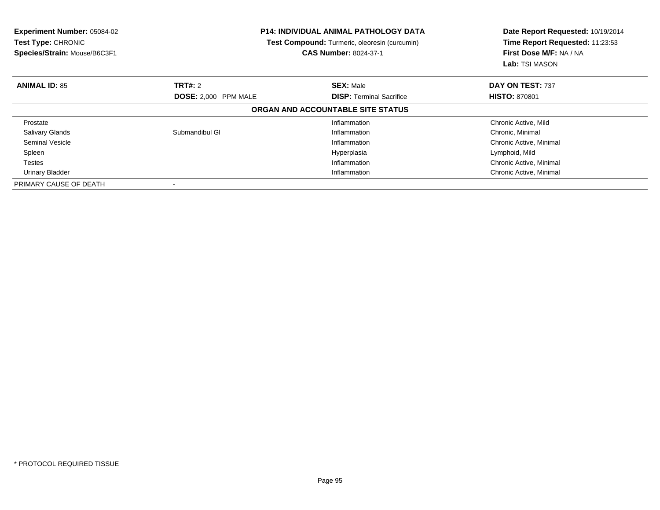| Experiment Number: 05084-02<br><b>Test Type: CHRONIC</b><br>Species/Strain: Mouse/B6C3F1 | <b>P14: INDIVIDUAL ANIMAL PATHOLOGY DATA</b><br>Test Compound: Turmeric, oleoresin (curcumin)<br><b>CAS Number: 8024-37-1</b> |                                   | Date Report Requested: 10/19/2014<br>Time Report Requested: 11:23:53<br>First Dose M/F: NA / NA<br><b>Lab:</b> TSI MASON |
|------------------------------------------------------------------------------------------|-------------------------------------------------------------------------------------------------------------------------------|-----------------------------------|--------------------------------------------------------------------------------------------------------------------------|
| <b>ANIMAL ID: 85</b>                                                                     | TRT#: 2                                                                                                                       | <b>SEX: Male</b>                  | DAY ON TEST: 737                                                                                                         |
|                                                                                          | <b>DOSE:</b> 2,000 PPM MALE                                                                                                   | <b>DISP:</b> Terminal Sacrifice   | <b>HISTO: 870801</b>                                                                                                     |
|                                                                                          |                                                                                                                               | ORGAN AND ACCOUNTABLE SITE STATUS |                                                                                                                          |
| Prostate                                                                                 |                                                                                                                               | Inflammation                      | Chronic Active, Mild                                                                                                     |
| <b>Salivary Glands</b>                                                                   | Submandibul GI                                                                                                                | Inflammation                      | Chronic, Minimal                                                                                                         |
| Seminal Vesicle                                                                          |                                                                                                                               | Inflammation                      | Chronic Active, Minimal                                                                                                  |
| Spleen                                                                                   |                                                                                                                               | Hyperplasia                       | Lymphoid, Mild                                                                                                           |
| Testes                                                                                   |                                                                                                                               | Inflammation                      | Chronic Active, Minimal                                                                                                  |
| Urinary Bladder                                                                          |                                                                                                                               | Inflammation                      | Chronic Active, Minimal                                                                                                  |
| PRIMARY CAUSE OF DEATH                                                                   |                                                                                                                               |                                   |                                                                                                                          |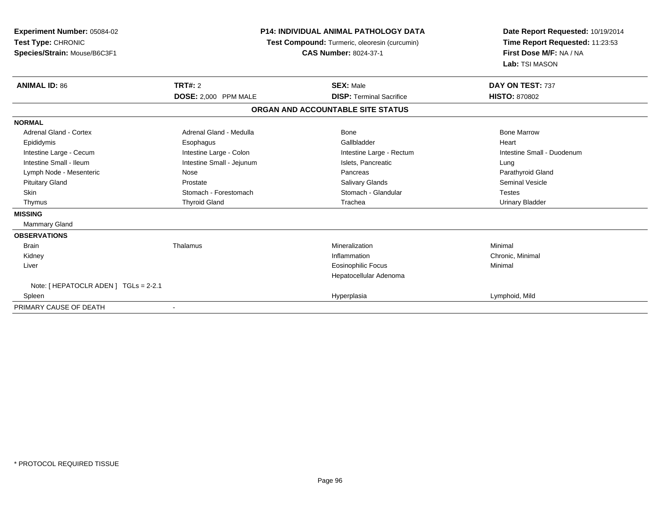| Experiment Number: 05084-02<br>Test Type: CHRONIC<br>Species/Strain: Mouse/B6C3F1 | <b>P14: INDIVIDUAL ANIMAL PATHOLOGY DATA</b><br>Test Compound: Turmeric, oleoresin (curcumin)<br><b>CAS Number: 8024-37-1</b> |                                   | Date Report Requested: 10/19/2014<br>Time Report Requested: 11:23:53<br>First Dose M/F: NA / NA<br>Lab: TSI MASON |  |
|-----------------------------------------------------------------------------------|-------------------------------------------------------------------------------------------------------------------------------|-----------------------------------|-------------------------------------------------------------------------------------------------------------------|--|
| <b>ANIMAL ID: 86</b>                                                              | <b>TRT#: 2</b>                                                                                                                | <b>SEX: Male</b>                  | DAY ON TEST: 737                                                                                                  |  |
|                                                                                   | DOSE: 2,000 PPM MALE                                                                                                          | <b>DISP: Terminal Sacrifice</b>   | <b>HISTO: 870802</b>                                                                                              |  |
|                                                                                   |                                                                                                                               | ORGAN AND ACCOUNTABLE SITE STATUS |                                                                                                                   |  |
| <b>NORMAL</b>                                                                     |                                                                                                                               |                                   |                                                                                                                   |  |
| Adrenal Gland - Cortex                                                            | Adrenal Gland - Medulla                                                                                                       | Bone                              | <b>Bone Marrow</b>                                                                                                |  |
| Epididymis                                                                        | Esophagus                                                                                                                     | Gallbladder                       | Heart                                                                                                             |  |
| Intestine Large - Cecum                                                           | Intestine Large - Colon                                                                                                       | Intestine Large - Rectum          | Intestine Small - Duodenum                                                                                        |  |
| Intestine Small - Ileum                                                           | Intestine Small - Jejunum                                                                                                     | Islets, Pancreatic                | Lung                                                                                                              |  |
| Lymph Node - Mesenteric                                                           | Nose                                                                                                                          | Pancreas                          | Parathyroid Gland                                                                                                 |  |
| <b>Pituitary Gland</b>                                                            | Prostate                                                                                                                      | <b>Salivary Glands</b>            | <b>Seminal Vesicle</b>                                                                                            |  |
| <b>Skin</b>                                                                       | Stomach - Forestomach                                                                                                         | Stomach - Glandular               | <b>Testes</b>                                                                                                     |  |
| Thymus                                                                            | <b>Thyroid Gland</b>                                                                                                          | Trachea                           | <b>Urinary Bladder</b>                                                                                            |  |
| <b>MISSING</b>                                                                    |                                                                                                                               |                                   |                                                                                                                   |  |
| <b>Mammary Gland</b>                                                              |                                                                                                                               |                                   |                                                                                                                   |  |
| <b>OBSERVATIONS</b>                                                               |                                                                                                                               |                                   |                                                                                                                   |  |
| <b>Brain</b>                                                                      | Thalamus                                                                                                                      | Mineralization                    | Minimal                                                                                                           |  |
| Kidney                                                                            |                                                                                                                               | Inflammation                      | Chronic, Minimal                                                                                                  |  |
| Liver                                                                             |                                                                                                                               | <b>Eosinophilic Focus</b>         | Minimal                                                                                                           |  |
|                                                                                   |                                                                                                                               | Hepatocellular Adenoma            |                                                                                                                   |  |
| Note: [ HEPATOCLR ADEN ] TGLs = 2-2.1                                             |                                                                                                                               |                                   |                                                                                                                   |  |
| Spleen                                                                            |                                                                                                                               | Hyperplasia                       | Lymphoid, Mild                                                                                                    |  |
| PRIMARY CAUSE OF DEATH                                                            |                                                                                                                               |                                   |                                                                                                                   |  |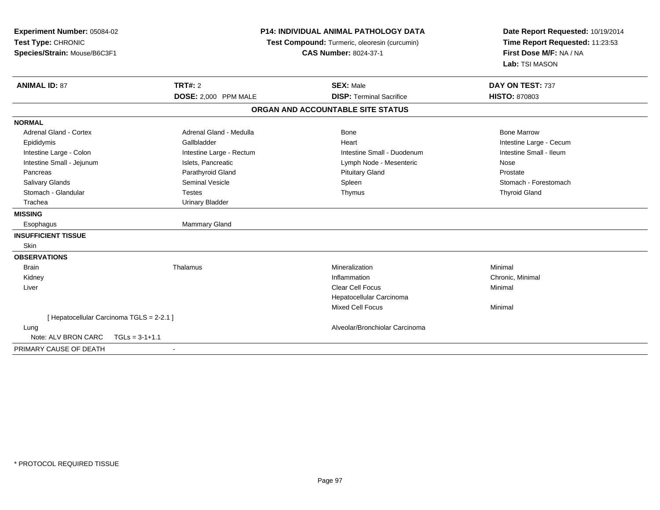| Experiment Number: 05084-02<br>Test Type: CHRONIC<br>Species/Strain: Mouse/B6C3F1 | <b>P14: INDIVIDUAL ANIMAL PATHOLOGY DATA</b><br>Test Compound: Turmeric, oleoresin (curcumin)<br><b>CAS Number: 8024-37-1</b> |                                   | Date Report Requested: 10/19/2014<br>Time Report Requested: 11:23:53<br>First Dose M/F: NA / NA<br>Lab: TSI MASON |
|-----------------------------------------------------------------------------------|-------------------------------------------------------------------------------------------------------------------------------|-----------------------------------|-------------------------------------------------------------------------------------------------------------------|
| <b>ANIMAL ID: 87</b>                                                              | TRT#: 2                                                                                                                       | <b>SEX: Male</b>                  | DAY ON TEST: 737                                                                                                  |
|                                                                                   | DOSE: 2,000 PPM MALE                                                                                                          | <b>DISP: Terminal Sacrifice</b>   | <b>HISTO: 870803</b>                                                                                              |
|                                                                                   |                                                                                                                               | ORGAN AND ACCOUNTABLE SITE STATUS |                                                                                                                   |
| <b>NORMAL</b>                                                                     |                                                                                                                               |                                   |                                                                                                                   |
| <b>Adrenal Gland - Cortex</b>                                                     | Adrenal Gland - Medulla                                                                                                       | <b>Bone</b>                       | <b>Bone Marrow</b>                                                                                                |
| Epididymis                                                                        | Gallbladder                                                                                                                   | Heart                             | Intestine Large - Cecum                                                                                           |
| Intestine Large - Colon                                                           | Intestine Large - Rectum                                                                                                      | Intestine Small - Duodenum        | Intestine Small - Ileum                                                                                           |
| Intestine Small - Jejunum                                                         | Islets, Pancreatic                                                                                                            | Lymph Node - Mesenteric           | Nose                                                                                                              |
| Pancreas                                                                          | Parathyroid Gland                                                                                                             | <b>Pituitary Gland</b>            | Prostate                                                                                                          |
| Salivary Glands                                                                   | <b>Seminal Vesicle</b>                                                                                                        | Spleen                            | Stomach - Forestomach                                                                                             |
| Stomach - Glandular                                                               | <b>Testes</b>                                                                                                                 | Thymus                            | <b>Thyroid Gland</b>                                                                                              |
| Trachea                                                                           | <b>Urinary Bladder</b>                                                                                                        |                                   |                                                                                                                   |
| <b>MISSING</b>                                                                    |                                                                                                                               |                                   |                                                                                                                   |
| Esophagus                                                                         | Mammary Gland                                                                                                                 |                                   |                                                                                                                   |
| <b>INSUFFICIENT TISSUE</b>                                                        |                                                                                                                               |                                   |                                                                                                                   |
| Skin                                                                              |                                                                                                                               |                                   |                                                                                                                   |
| <b>OBSERVATIONS</b>                                                               |                                                                                                                               |                                   |                                                                                                                   |
| <b>Brain</b>                                                                      | Thalamus                                                                                                                      | Mineralization                    | Minimal                                                                                                           |
| Kidney                                                                            |                                                                                                                               | Inflammation                      | Chronic, Minimal                                                                                                  |
| Liver                                                                             |                                                                                                                               | <b>Clear Cell Focus</b>           | Minimal                                                                                                           |
|                                                                                   |                                                                                                                               | Hepatocellular Carcinoma          |                                                                                                                   |
|                                                                                   |                                                                                                                               | <b>Mixed Cell Focus</b>           | Minimal                                                                                                           |
| [ Hepatocellular Carcinoma TGLS = 2-2.1 ]                                         |                                                                                                                               |                                   |                                                                                                                   |
| Lung                                                                              |                                                                                                                               | Alveolar/Bronchiolar Carcinoma    |                                                                                                                   |
| Note: ALV BRON CARC                                                               | $TGLs = 3-1+1.1$                                                                                                              |                                   |                                                                                                                   |
| PRIMARY CAUSE OF DEATH                                                            | $\blacksquare$                                                                                                                |                                   |                                                                                                                   |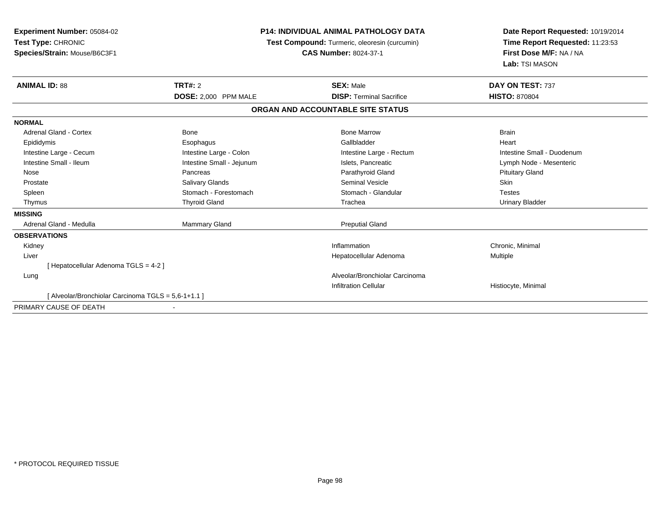| <b>Experiment Number: 05084-02</b><br>Test Type: CHRONIC<br>Species/Strain: Mouse/B6C3F1 |                           | <b>P14: INDIVIDUAL ANIMAL PATHOLOGY DATA</b><br>Test Compound: Turmeric, oleoresin (curcumin)<br><b>CAS Number: 8024-37-1</b> | Date Report Requested: 10/19/2014<br>Time Report Requested: 11:23:53<br>First Dose M/F: NA / NA<br>Lab: TSI MASON |  |
|------------------------------------------------------------------------------------------|---------------------------|-------------------------------------------------------------------------------------------------------------------------------|-------------------------------------------------------------------------------------------------------------------|--|
| <b>ANIMAL ID: 88</b>                                                                     | <b>TRT#: 2</b>            | <b>SEX: Male</b>                                                                                                              | DAY ON TEST: 737                                                                                                  |  |
|                                                                                          | DOSE: 2,000 PPM MALE      | <b>DISP: Terminal Sacrifice</b>                                                                                               | <b>HISTO: 870804</b>                                                                                              |  |
|                                                                                          |                           | ORGAN AND ACCOUNTABLE SITE STATUS                                                                                             |                                                                                                                   |  |
| <b>NORMAL</b>                                                                            |                           |                                                                                                                               |                                                                                                                   |  |
| <b>Adrenal Gland - Cortex</b>                                                            | <b>Bone</b>               | <b>Bone Marrow</b>                                                                                                            | <b>Brain</b>                                                                                                      |  |
| Epididymis                                                                               | Esophagus                 | Gallbladder                                                                                                                   | Heart                                                                                                             |  |
| Intestine Large - Cecum                                                                  | Intestine Large - Colon   | Intestine Large - Rectum                                                                                                      | Intestine Small - Duodenum                                                                                        |  |
| Intestine Small - Ileum                                                                  | Intestine Small - Jejunum | Islets, Pancreatic                                                                                                            | Lymph Node - Mesenteric                                                                                           |  |
| Nose                                                                                     | Pancreas                  | Parathyroid Gland                                                                                                             | <b>Pituitary Gland</b>                                                                                            |  |
| Prostate                                                                                 | Salivary Glands           | <b>Seminal Vesicle</b>                                                                                                        | Skin                                                                                                              |  |
| Spleen                                                                                   | Stomach - Forestomach     | Stomach - Glandular                                                                                                           | <b>Testes</b>                                                                                                     |  |
| Thymus                                                                                   | <b>Thyroid Gland</b>      | Trachea                                                                                                                       | <b>Urinary Bladder</b>                                                                                            |  |
| <b>MISSING</b>                                                                           |                           |                                                                                                                               |                                                                                                                   |  |
| Adrenal Gland - Medulla                                                                  | Mammary Gland             | <b>Preputial Gland</b>                                                                                                        |                                                                                                                   |  |
| <b>OBSERVATIONS</b>                                                                      |                           |                                                                                                                               |                                                                                                                   |  |
| Kidney                                                                                   |                           | Inflammation                                                                                                                  | Chronic, Minimal                                                                                                  |  |
| Liver                                                                                    |                           | Hepatocellular Adenoma                                                                                                        | <b>Multiple</b>                                                                                                   |  |
| [Hepatocellular Adenoma TGLS = 4-2]                                                      |                           |                                                                                                                               |                                                                                                                   |  |
| Lung                                                                                     |                           | Alveolar/Bronchiolar Carcinoma                                                                                                |                                                                                                                   |  |
|                                                                                          |                           | <b>Infiltration Cellular</b>                                                                                                  | Histiocyte, Minimal                                                                                               |  |
| [ Alveolar/Bronchiolar Carcinoma TGLS = 5.6-1+1.1 ]                                      |                           |                                                                                                                               |                                                                                                                   |  |
| DOIMADV CALICE OF DEATH                                                                  |                           |                                                                                                                               |                                                                                                                   |  |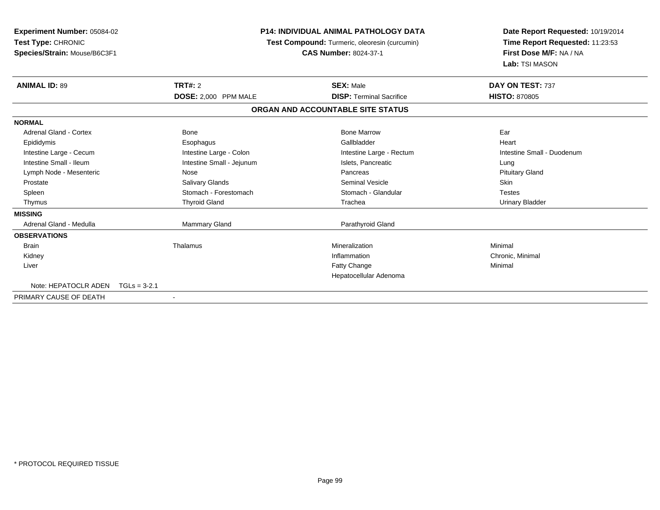| <b>Experiment Number: 05084-02</b><br>Test Type: CHRONIC<br>Species/Strain: Mouse/B6C3F1 |                           | <b>P14: INDIVIDUAL ANIMAL PATHOLOGY DATA</b><br>Date Report Requested: 10/19/2014<br>Time Report Requested: 11:23:53<br>Test Compound: Turmeric, oleoresin (curcumin)<br>First Dose M/F: NA / NA<br><b>CAS Number: 8024-37-1</b><br>Lab: TSI MASON |                            |  |
|------------------------------------------------------------------------------------------|---------------------------|----------------------------------------------------------------------------------------------------------------------------------------------------------------------------------------------------------------------------------------------------|----------------------------|--|
| <b>ANIMAL ID: 89</b>                                                                     | <b>TRT#: 2</b>            | <b>SEX: Male</b>                                                                                                                                                                                                                                   | DAY ON TEST: 737           |  |
|                                                                                          | DOSE: 2,000 PPM MALE      | <b>DISP: Terminal Sacrifice</b>                                                                                                                                                                                                                    | <b>HISTO: 870805</b>       |  |
|                                                                                          |                           | ORGAN AND ACCOUNTABLE SITE STATUS                                                                                                                                                                                                                  |                            |  |
| <b>NORMAL</b>                                                                            |                           |                                                                                                                                                                                                                                                    |                            |  |
| Adrenal Gland - Cortex                                                                   | Bone                      | <b>Bone Marrow</b>                                                                                                                                                                                                                                 | Ear                        |  |
| Epididymis                                                                               | Esophagus                 | Gallbladder                                                                                                                                                                                                                                        | Heart                      |  |
| Intestine Large - Cecum                                                                  | Intestine Large - Colon   | Intestine Large - Rectum                                                                                                                                                                                                                           | Intestine Small - Duodenum |  |
| Intestine Small - Ileum                                                                  | Intestine Small - Jejunum | Islets, Pancreatic                                                                                                                                                                                                                                 | Lung                       |  |
| Lymph Node - Mesenteric                                                                  | Nose                      | Pancreas                                                                                                                                                                                                                                           | <b>Pituitary Gland</b>     |  |
| Prostate                                                                                 | <b>Salivary Glands</b>    | Seminal Vesicle                                                                                                                                                                                                                                    | Skin                       |  |
| Spleen                                                                                   | Stomach - Forestomach     | Stomach - Glandular                                                                                                                                                                                                                                | <b>Testes</b>              |  |
| Thymus                                                                                   | <b>Thyroid Gland</b>      | Trachea                                                                                                                                                                                                                                            | <b>Urinary Bladder</b>     |  |
| <b>MISSING</b>                                                                           |                           |                                                                                                                                                                                                                                                    |                            |  |
| Adrenal Gland - Medulla                                                                  | <b>Mammary Gland</b>      | Parathyroid Gland                                                                                                                                                                                                                                  |                            |  |
| <b>OBSERVATIONS</b>                                                                      |                           |                                                                                                                                                                                                                                                    |                            |  |
| <b>Brain</b>                                                                             | Thalamus                  | Mineralization                                                                                                                                                                                                                                     | Minimal                    |  |
| Kidney                                                                                   |                           | Inflammation                                                                                                                                                                                                                                       | Chronic, Minimal           |  |
| Liver                                                                                    |                           | Fatty Change                                                                                                                                                                                                                                       | Minimal                    |  |
|                                                                                          |                           | Hepatocellular Adenoma                                                                                                                                                                                                                             |                            |  |
| Note: HEPATOCLR ADEN                                                                     | $TGLs = 3-2.1$            |                                                                                                                                                                                                                                                    |                            |  |
| PRIMARY CAUSE OF DEATH                                                                   | $\overline{\phantom{a}}$  |                                                                                                                                                                                                                                                    |                            |  |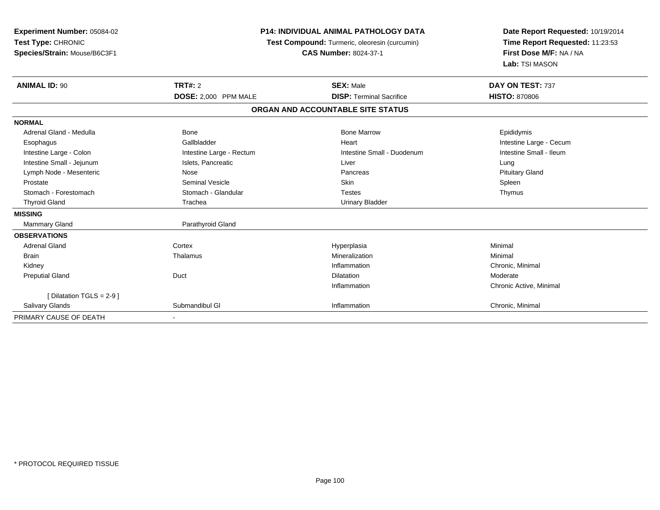| Experiment Number: 05084-02<br>Test Type: CHRONIC<br>Species/Strain: Mouse/B6C3F1 |                                        | <b>P14: INDIVIDUAL ANIMAL PATHOLOGY DATA</b><br>Test Compound: Turmeric, oleoresin (curcumin)<br><b>CAS Number: 8024-37-1</b> | Date Report Requested: 10/19/2014<br>Time Report Requested: 11:23:53<br>First Dose M/F: NA / NA<br>Lab: TSI MASON |
|-----------------------------------------------------------------------------------|----------------------------------------|-------------------------------------------------------------------------------------------------------------------------------|-------------------------------------------------------------------------------------------------------------------|
| <b>ANIMAL ID: 90</b>                                                              | <b>TRT#: 2</b><br>DOSE: 2,000 PPM MALE | <b>SEX: Male</b><br><b>DISP: Terminal Sacrifice</b>                                                                           | DAY ON TEST: 737<br><b>HISTO: 870806</b>                                                                          |
|                                                                                   |                                        | ORGAN AND ACCOUNTABLE SITE STATUS                                                                                             |                                                                                                                   |
| <b>NORMAL</b>                                                                     |                                        |                                                                                                                               |                                                                                                                   |
| Adrenal Gland - Medulla                                                           | Bone                                   | <b>Bone Marrow</b>                                                                                                            | Epididymis                                                                                                        |
| Esophagus                                                                         | Gallbladder                            | Heart                                                                                                                         | Intestine Large - Cecum                                                                                           |
| Intestine Large - Colon                                                           | Intestine Large - Rectum               | Intestine Small - Duodenum                                                                                                    | Intestine Small - Ileum                                                                                           |
| Intestine Small - Jejunum                                                         | Islets, Pancreatic                     | Liver                                                                                                                         | Lung                                                                                                              |
| Lymph Node - Mesenteric                                                           | Nose                                   | Pancreas                                                                                                                      | <b>Pituitary Gland</b>                                                                                            |
| Prostate                                                                          | <b>Seminal Vesicle</b>                 | Skin                                                                                                                          | Spleen                                                                                                            |
| Stomach - Forestomach                                                             | Stomach - Glandular                    | <b>Testes</b>                                                                                                                 | Thymus                                                                                                            |
| <b>Thyroid Gland</b>                                                              | Trachea                                | <b>Urinary Bladder</b>                                                                                                        |                                                                                                                   |
| <b>MISSING</b>                                                                    |                                        |                                                                                                                               |                                                                                                                   |
| <b>Mammary Gland</b>                                                              | Parathyroid Gland                      |                                                                                                                               |                                                                                                                   |
| <b>OBSERVATIONS</b>                                                               |                                        |                                                                                                                               |                                                                                                                   |
| <b>Adrenal Gland</b>                                                              | Cortex                                 | Hyperplasia                                                                                                                   | Minimal                                                                                                           |
| <b>Brain</b>                                                                      | Thalamus                               | Mineralization                                                                                                                | Minimal                                                                                                           |
| Kidney                                                                            |                                        | Inflammation                                                                                                                  | Chronic, Minimal                                                                                                  |
| <b>Preputial Gland</b>                                                            | Duct                                   | Dilatation                                                                                                                    | Moderate                                                                                                          |
|                                                                                   |                                        | Inflammation                                                                                                                  | Chronic Active, Minimal                                                                                           |
| [ Dilatation TGLS = $2-9$ ]                                                       |                                        |                                                                                                                               |                                                                                                                   |
| Salivary Glands                                                                   | Submandibul GI                         | Inflammation                                                                                                                  | Chronic, Minimal                                                                                                  |
| PRIMARY CAUSE OF DEATH                                                            |                                        |                                                                                                                               |                                                                                                                   |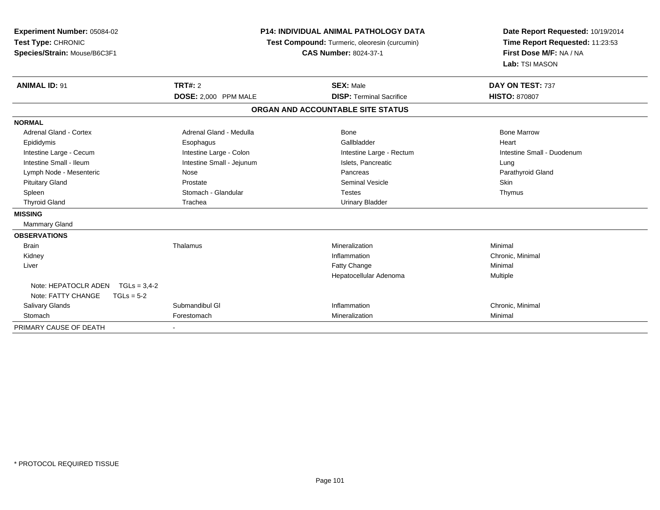| Experiment Number: 05084-02<br>Test Type: CHRONIC<br>Species/Strain: Mouse/B6C3F1<br><b>ANIMAL ID: 91</b> | <b>TRT#: 2</b>            | <b>P14: INDIVIDUAL ANIMAL PATHOLOGY DATA</b><br>Test Compound: Turmeric, oleoresin (curcumin)<br><b>CAS Number: 8024-37-1</b><br><b>SEX: Male</b> | Date Report Requested: 10/19/2014<br>Time Report Requested: 11:23:53<br>First Dose M/F: NA / NA<br>Lab: TSI MASON<br>DAY ON TEST: 737 |
|-----------------------------------------------------------------------------------------------------------|---------------------------|---------------------------------------------------------------------------------------------------------------------------------------------------|---------------------------------------------------------------------------------------------------------------------------------------|
|                                                                                                           | DOSE: 2,000 PPM MALE      | <b>DISP: Terminal Sacrifice</b>                                                                                                                   | <b>HISTO: 870807</b>                                                                                                                  |
|                                                                                                           |                           | ORGAN AND ACCOUNTABLE SITE STATUS                                                                                                                 |                                                                                                                                       |
| <b>NORMAL</b>                                                                                             |                           |                                                                                                                                                   |                                                                                                                                       |
| <b>Adrenal Gland - Cortex</b>                                                                             | Adrenal Gland - Medulla   | Bone                                                                                                                                              | <b>Bone Marrow</b>                                                                                                                    |
| Epididymis                                                                                                | Esophagus                 | Gallbladder                                                                                                                                       | Heart                                                                                                                                 |
| Intestine Large - Cecum                                                                                   | Intestine Large - Colon   | Intestine Large - Rectum                                                                                                                          | Intestine Small - Duodenum                                                                                                            |
| Intestine Small - Ileum                                                                                   | Intestine Small - Jejunum | Islets, Pancreatic                                                                                                                                | Lung                                                                                                                                  |
| Lymph Node - Mesenteric                                                                                   | Nose                      | Pancreas                                                                                                                                          | Parathyroid Gland                                                                                                                     |
| <b>Pituitary Gland</b>                                                                                    | Prostate                  | <b>Seminal Vesicle</b>                                                                                                                            | Skin                                                                                                                                  |
| Spleen                                                                                                    | Stomach - Glandular       | <b>Testes</b>                                                                                                                                     | Thymus                                                                                                                                |
| <b>Thyroid Gland</b>                                                                                      | Trachea                   | <b>Urinary Bladder</b>                                                                                                                            |                                                                                                                                       |
| <b>MISSING</b>                                                                                            |                           |                                                                                                                                                   |                                                                                                                                       |
| Mammary Gland                                                                                             |                           |                                                                                                                                                   |                                                                                                                                       |
| <b>OBSERVATIONS</b>                                                                                       |                           |                                                                                                                                                   |                                                                                                                                       |
| <b>Brain</b>                                                                                              | Thalamus                  | Mineralization                                                                                                                                    | Minimal                                                                                                                               |
| Kidney                                                                                                    |                           | Inflammation                                                                                                                                      | Chronic, Minimal                                                                                                                      |
| Liver                                                                                                     |                           | Fatty Change                                                                                                                                      | Minimal                                                                                                                               |
|                                                                                                           |                           | Hepatocellular Adenoma                                                                                                                            | Multiple                                                                                                                              |
| Note: HEPATOCLR ADEN TGLs = 3,4-2                                                                         |                           |                                                                                                                                                   |                                                                                                                                       |
| Note: FATTY CHANGE<br>$TGLs = 5-2$                                                                        |                           |                                                                                                                                                   |                                                                                                                                       |
| <b>Salivary Glands</b>                                                                                    | Submandibul GI            | Inflammation                                                                                                                                      | Chronic, Minimal                                                                                                                      |
| Stomach                                                                                                   | Forestomach               | Mineralization                                                                                                                                    | Minimal                                                                                                                               |
| PRIMARY CAUSE OF DEATH                                                                                    |                           |                                                                                                                                                   |                                                                                                                                       |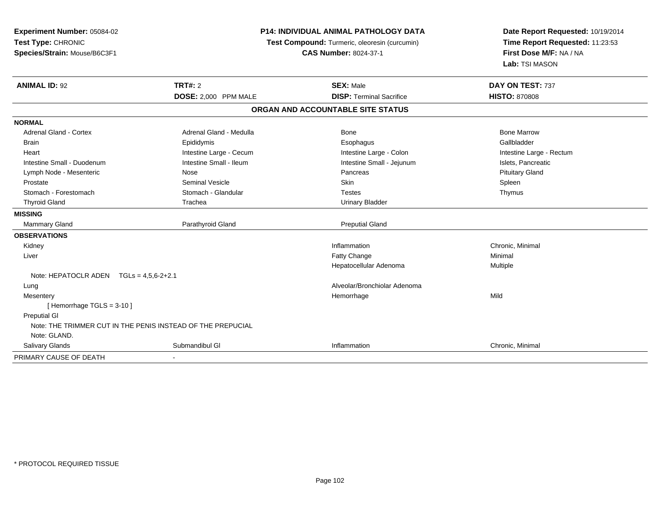| Experiment Number: 05084-02<br>Test Type: CHRONIC<br>Species/Strain: Mouse/B6C3F1 |                         | <b>P14: INDIVIDUAL ANIMAL PATHOLOGY DATA</b><br>Test Compound: Turmeric, oleoresin (curcumin)<br><b>CAS Number: 8024-37-1</b> | Date Report Requested: 10/19/2014<br>Time Report Requested: 11:23:53<br>First Dose M/F: NA / NA<br>Lab: TSI MASON |
|-----------------------------------------------------------------------------------|-------------------------|-------------------------------------------------------------------------------------------------------------------------------|-------------------------------------------------------------------------------------------------------------------|
| <b>ANIMAL ID: 92</b>                                                              | <b>TRT#: 2</b>          | <b>SEX: Male</b>                                                                                                              | DAY ON TEST: 737                                                                                                  |
|                                                                                   | DOSE: 2,000 PPM MALE    | <b>DISP: Terminal Sacrifice</b>                                                                                               | <b>HISTO: 870808</b>                                                                                              |
|                                                                                   |                         | ORGAN AND ACCOUNTABLE SITE STATUS                                                                                             |                                                                                                                   |
| <b>NORMAL</b>                                                                     |                         |                                                                                                                               |                                                                                                                   |
| <b>Adrenal Gland - Cortex</b>                                                     | Adrenal Gland - Medulla | <b>Bone</b>                                                                                                                   | <b>Bone Marrow</b>                                                                                                |
| Brain                                                                             | Epididymis              | Esophagus                                                                                                                     | Gallbladder                                                                                                       |
| Heart                                                                             | Intestine Large - Cecum | Intestine Large - Colon                                                                                                       | Intestine Large - Rectum                                                                                          |
| Intestine Small - Duodenum                                                        | Intestine Small - Ileum | Intestine Small - Jejunum                                                                                                     | Islets, Pancreatic                                                                                                |
| Lymph Node - Mesenteric                                                           | Nose                    | Pancreas                                                                                                                      | <b>Pituitary Gland</b>                                                                                            |
| Prostate                                                                          | <b>Seminal Vesicle</b>  | Skin                                                                                                                          | Spleen                                                                                                            |
| Stomach - Forestomach                                                             | Stomach - Glandular     | <b>Testes</b>                                                                                                                 | Thymus                                                                                                            |
| <b>Thyroid Gland</b>                                                              | Trachea                 | <b>Urinary Bladder</b>                                                                                                        |                                                                                                                   |
| <b>MISSING</b>                                                                    |                         |                                                                                                                               |                                                                                                                   |
| <b>Mammary Gland</b>                                                              | Parathyroid Gland       | <b>Preputial Gland</b>                                                                                                        |                                                                                                                   |
| <b>OBSERVATIONS</b>                                                               |                         |                                                                                                                               |                                                                                                                   |
| Kidney                                                                            |                         | Inflammation                                                                                                                  | Chronic, Minimal                                                                                                  |
| Liver                                                                             |                         | Fatty Change                                                                                                                  | Minimal                                                                                                           |
|                                                                                   |                         | Hepatocellular Adenoma                                                                                                        | Multiple                                                                                                          |
| Note: HEPATOCLR ADEN TGLs = 4,5,6-2+2.1                                           |                         |                                                                                                                               |                                                                                                                   |
| Lung                                                                              |                         | Alveolar/Bronchiolar Adenoma                                                                                                  |                                                                                                                   |
| Mesentery                                                                         |                         | Hemorrhage                                                                                                                    | Mild                                                                                                              |
| [Hemorrhage TGLS = 3-10]                                                          |                         |                                                                                                                               |                                                                                                                   |
| <b>Preputial GI</b>                                                               |                         |                                                                                                                               |                                                                                                                   |
| Note: THE TRIMMER CUT IN THE PENIS INSTEAD OF THE PREPUCIAL                       |                         |                                                                                                                               |                                                                                                                   |
| Note: GLAND.                                                                      |                         |                                                                                                                               |                                                                                                                   |
| Salivary Glands                                                                   | Submandibul GI          | Inflammation                                                                                                                  | Chronic, Minimal                                                                                                  |
| PRIMARY CAUSE OF DEATH                                                            |                         |                                                                                                                               |                                                                                                                   |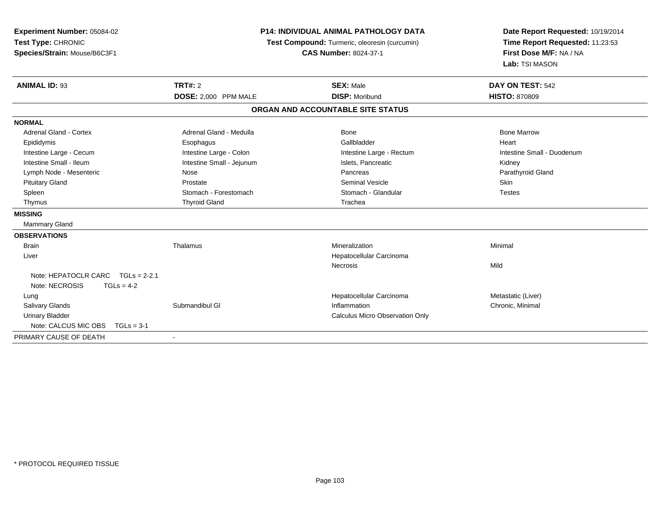| Experiment Number: 05084-02          | <b>P14: INDIVIDUAL ANIMAL PATHOLOGY DATA</b> |                                               | Date Report Requested: 10/19/2014 |  |
|--------------------------------------|----------------------------------------------|-----------------------------------------------|-----------------------------------|--|
| Test Type: CHRONIC                   |                                              | Test Compound: Turmeric, oleoresin (curcumin) | Time Report Requested: 11:23:53   |  |
| Species/Strain: Mouse/B6C3F1         |                                              | <b>CAS Number: 8024-37-1</b>                  | First Dose M/F: NA / NA           |  |
|                                      |                                              |                                               | Lab: TSI MASON                    |  |
| <b>ANIMAL ID: 93</b>                 | <b>TRT#: 2</b>                               | <b>SEX: Male</b>                              | DAY ON TEST: 542                  |  |
|                                      | DOSE: 2,000 PPM MALE                         | <b>DISP: Moribund</b>                         | <b>HISTO: 870809</b>              |  |
|                                      |                                              | ORGAN AND ACCOUNTABLE SITE STATUS             |                                   |  |
| <b>NORMAL</b>                        |                                              |                                               |                                   |  |
| <b>Adrenal Gland - Cortex</b>        | Adrenal Gland - Medulla                      | Bone                                          | <b>Bone Marrow</b>                |  |
| Epididymis                           | Esophagus                                    | Gallbladder                                   | Heart                             |  |
| Intestine Large - Cecum              | Intestine Large - Colon                      | Intestine Large - Rectum                      | Intestine Small - Duodenum        |  |
| Intestine Small - Ileum              | Intestine Small - Jejunum                    | Islets, Pancreatic                            | Kidney                            |  |
| Lymph Node - Mesenteric              | Nose                                         | Pancreas                                      | Parathyroid Gland                 |  |
| <b>Pituitary Gland</b>               | Prostate                                     | <b>Seminal Vesicle</b>                        | Skin                              |  |
| Spleen                               | Stomach - Forestomach                        | Stomach - Glandular                           | <b>Testes</b>                     |  |
| Thymus                               | <b>Thyroid Gland</b>                         | Trachea                                       |                                   |  |
| <b>MISSING</b>                       |                                              |                                               |                                   |  |
| <b>Mammary Gland</b>                 |                                              |                                               |                                   |  |
| <b>OBSERVATIONS</b>                  |                                              |                                               |                                   |  |
| <b>Brain</b>                         | Thalamus                                     | Mineralization                                | Minimal                           |  |
| Liver                                |                                              | Hepatocellular Carcinoma                      |                                   |  |
|                                      |                                              | <b>Necrosis</b>                               | Mild                              |  |
| Note: HEPATOCLR CARC TGLs = 2-2.1    |                                              |                                               |                                   |  |
| Note: NECROSIS<br>$TGLs = 4-2$       |                                              |                                               |                                   |  |
| Lung                                 |                                              | Hepatocellular Carcinoma                      | Metastatic (Liver)                |  |
| <b>Salivary Glands</b>               | Submandibul GI                               | Inflammation                                  | Chronic, Minimal                  |  |
| <b>Urinary Bladder</b>               |                                              | Calculus Micro Observation Only               |                                   |  |
| Note: CALCUS MIC OBS<br>$TGLs = 3-1$ |                                              |                                               |                                   |  |
| PRIMARY CAUSE OF DEATH               |                                              |                                               |                                   |  |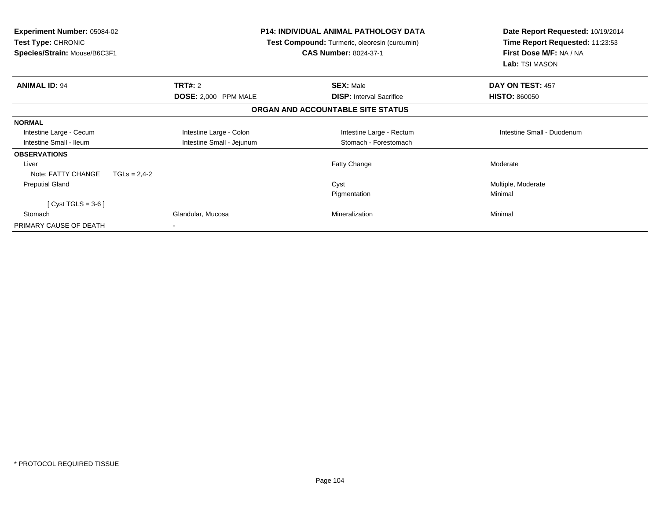| Experiment Number: 05084-02<br><b>Test Type: CHRONIC</b><br>Species/Strain: Mouse/B6C3F1 |                           | <b>P14: INDIVIDUAL ANIMAL PATHOLOGY DATA</b><br><b>Test Compound:</b> Turmeric, oleoresin (curcumin)<br><b>CAS Number: 8024-37-1</b> | Date Report Requested: 10/19/2014<br>Time Report Requested: 11:23:53<br>First Dose M/F: NA / NA<br>Lab: TSI MASON |
|------------------------------------------------------------------------------------------|---------------------------|--------------------------------------------------------------------------------------------------------------------------------------|-------------------------------------------------------------------------------------------------------------------|
| <b>ANIMAL ID: 94</b>                                                                     | <b>TRT#: 2</b>            | <b>SEX: Male</b>                                                                                                                     | DAY ON TEST: 457                                                                                                  |
|                                                                                          | DOSE: 2,000 PPM MALE      | <b>DISP:</b> Interval Sacrifice                                                                                                      | <b>HISTO: 860050</b>                                                                                              |
|                                                                                          |                           | ORGAN AND ACCOUNTABLE SITE STATUS                                                                                                    |                                                                                                                   |
| <b>NORMAL</b>                                                                            |                           |                                                                                                                                      |                                                                                                                   |
| Intestine Large - Cecum                                                                  | Intestine Large - Colon   | Intestine Large - Rectum                                                                                                             | Intestine Small - Duodenum                                                                                        |
| Intestine Small - Ileum                                                                  | Intestine Small - Jejunum | Stomach - Forestomach                                                                                                                |                                                                                                                   |
| <b>OBSERVATIONS</b>                                                                      |                           |                                                                                                                                      |                                                                                                                   |
| Liver                                                                                    |                           | Fatty Change                                                                                                                         | Moderate                                                                                                          |
| Note: FATTY CHANGE<br>$TGLs = 2,4-2$                                                     |                           |                                                                                                                                      |                                                                                                                   |
| <b>Preputial Gland</b>                                                                   |                           | Cyst                                                                                                                                 | Multiple, Moderate                                                                                                |
|                                                                                          |                           | Pigmentation                                                                                                                         | Minimal                                                                                                           |
| [ Cyst TGLS = $3-6$ ]                                                                    |                           |                                                                                                                                      |                                                                                                                   |
| Stomach                                                                                  | Glandular, Mucosa         | Mineralization                                                                                                                       | Minimal                                                                                                           |
| PRIMARY CAUSE OF DEATH                                                                   |                           |                                                                                                                                      |                                                                                                                   |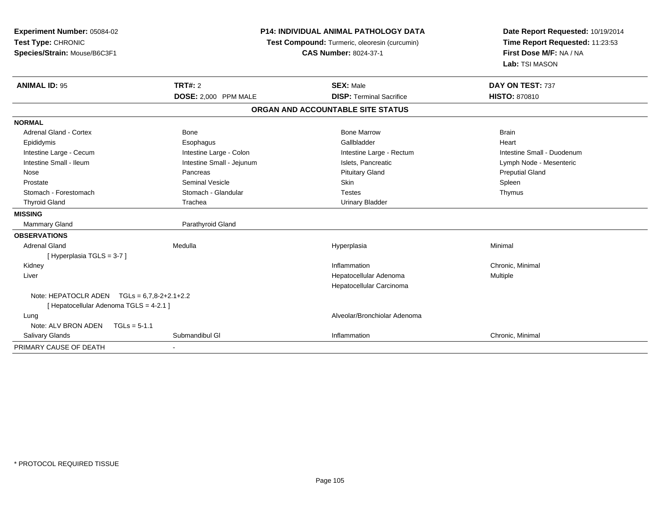| Experiment Number: 05084-02<br>Test Type: CHRONIC<br>Species/Strain: Mouse/B6C3F1 |                           | P14: INDIVIDUAL ANIMAL PATHOLOGY DATA<br>Test Compound: Turmeric, oleoresin (curcumin)<br><b>CAS Number: 8024-37-1</b> | Date Report Requested: 10/19/2014<br>Time Report Requested: 11:23:53<br>First Dose M/F: NA / NA<br>Lab: TSI MASON |
|-----------------------------------------------------------------------------------|---------------------------|------------------------------------------------------------------------------------------------------------------------|-------------------------------------------------------------------------------------------------------------------|
| <b>ANIMAL ID: 95</b>                                                              | TRT#: 2                   | <b>SEX: Male</b>                                                                                                       | DAY ON TEST: 737                                                                                                  |
|                                                                                   | DOSE: 2,000 PPM MALE      | <b>DISP: Terminal Sacrifice</b>                                                                                        | HISTO: 870810                                                                                                     |
|                                                                                   |                           | ORGAN AND ACCOUNTABLE SITE STATUS                                                                                      |                                                                                                                   |
| <b>NORMAL</b>                                                                     |                           |                                                                                                                        |                                                                                                                   |
| <b>Adrenal Gland - Cortex</b>                                                     | <b>Bone</b>               | <b>Bone Marrow</b>                                                                                                     | <b>Brain</b>                                                                                                      |
| Epididymis                                                                        | Esophagus                 | Gallbladder                                                                                                            | Heart                                                                                                             |
| Intestine Large - Cecum                                                           | Intestine Large - Colon   | Intestine Large - Rectum                                                                                               | Intestine Small - Duodenum                                                                                        |
| Intestine Small - Ileum                                                           | Intestine Small - Jejunum | Islets, Pancreatic                                                                                                     | Lymph Node - Mesenteric                                                                                           |
| Nose                                                                              | Pancreas                  | <b>Pituitary Gland</b>                                                                                                 | <b>Preputial Gland</b>                                                                                            |
| Prostate                                                                          | <b>Seminal Vesicle</b>    | Skin                                                                                                                   | Spleen                                                                                                            |
| Stomach - Forestomach                                                             | Stomach - Glandular       | <b>Testes</b>                                                                                                          | Thymus                                                                                                            |
| <b>Thyroid Gland</b>                                                              | Trachea                   | <b>Urinary Bladder</b>                                                                                                 |                                                                                                                   |
| <b>MISSING</b>                                                                    |                           |                                                                                                                        |                                                                                                                   |
| <b>Mammary Gland</b>                                                              | Parathyroid Gland         |                                                                                                                        |                                                                                                                   |
| <b>OBSERVATIONS</b>                                                               |                           |                                                                                                                        |                                                                                                                   |
| <b>Adrenal Gland</b>                                                              | Medulla                   | Hyperplasia                                                                                                            | Minimal                                                                                                           |
| [Hyperplasia TGLS = 3-7]                                                          |                           |                                                                                                                        |                                                                                                                   |
| Kidney                                                                            |                           | Inflammation                                                                                                           | Chronic, Minimal                                                                                                  |
| Liver                                                                             |                           | Hepatocellular Adenoma                                                                                                 | Multiple                                                                                                          |
|                                                                                   |                           | Hepatocellular Carcinoma                                                                                               |                                                                                                                   |
| Note: HEPATOCLR ADEN $TGLs = 6,7,8-2+2.1+2.2$                                     |                           |                                                                                                                        |                                                                                                                   |
| [ Hepatocellular Adenoma TGLS = 4-2.1 ]                                           |                           |                                                                                                                        |                                                                                                                   |
| Lung                                                                              |                           | Alveolar/Bronchiolar Adenoma                                                                                           |                                                                                                                   |
| Note: ALV BRON ADEN<br>$TGLs = 5-1.1$                                             |                           |                                                                                                                        |                                                                                                                   |
| Salivary Glands                                                                   | Submandibul GI            | Inflammation                                                                                                           | Chronic, Minimal                                                                                                  |
| PRIMARY CAUSE OF DEATH                                                            |                           |                                                                                                                        |                                                                                                                   |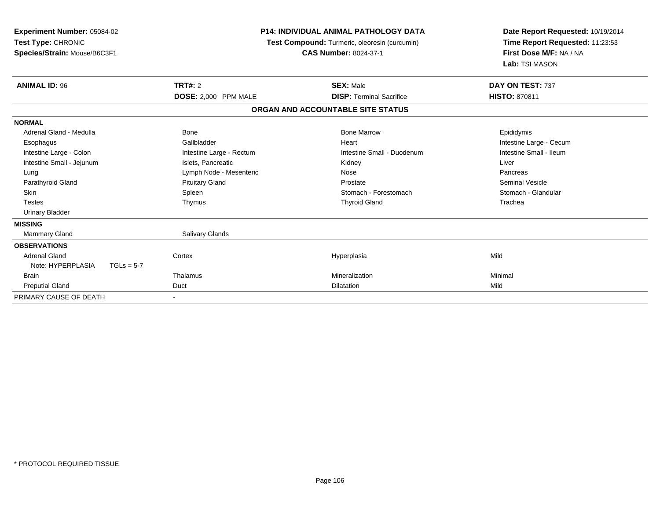| Experiment Number: 05084-02<br>Test Type: CHRONIC<br>Species/Strain: Mouse/B6C3F1 |              |                          | <b>P14: INDIVIDUAL ANIMAL PATHOLOGY DATA</b><br>Test Compound: Turmeric, oleoresin (curcumin)<br><b>CAS Number: 8024-37-1</b> | Date Report Requested: 10/19/2014<br>Time Report Requested: 11:23:53<br>First Dose M/F: NA / NA<br>Lab: TSI MASON |
|-----------------------------------------------------------------------------------|--------------|--------------------------|-------------------------------------------------------------------------------------------------------------------------------|-------------------------------------------------------------------------------------------------------------------|
| <b>ANIMAL ID: 96</b>                                                              |              | TRT#: 2                  | <b>SEX: Male</b>                                                                                                              | DAY ON TEST: 737                                                                                                  |
|                                                                                   |              | DOSE: 2,000 PPM MALE     | <b>DISP: Terminal Sacrifice</b>                                                                                               | <b>HISTO: 870811</b>                                                                                              |
|                                                                                   |              |                          | ORGAN AND ACCOUNTABLE SITE STATUS                                                                                             |                                                                                                                   |
| <b>NORMAL</b>                                                                     |              |                          |                                                                                                                               |                                                                                                                   |
| Adrenal Gland - Medulla                                                           |              | <b>Bone</b>              | <b>Bone Marrow</b>                                                                                                            | Epididymis                                                                                                        |
| Esophagus                                                                         |              | Gallbladder              | Heart                                                                                                                         | Intestine Large - Cecum                                                                                           |
| Intestine Large - Colon                                                           |              | Intestine Large - Rectum | Intestine Small - Duodenum                                                                                                    | Intestine Small - Ileum                                                                                           |
| Intestine Small - Jejunum                                                         |              | Islets, Pancreatic       | Kidney                                                                                                                        | Liver                                                                                                             |
| Lung                                                                              |              | Lymph Node - Mesenteric  | Nose                                                                                                                          | Pancreas                                                                                                          |
| Parathyroid Gland                                                                 |              | <b>Pituitary Gland</b>   | Prostate                                                                                                                      | <b>Seminal Vesicle</b>                                                                                            |
| <b>Skin</b>                                                                       |              | Spleen                   | Stomach - Forestomach                                                                                                         | Stomach - Glandular                                                                                               |
| <b>Testes</b>                                                                     |              | Thymus                   | <b>Thyroid Gland</b>                                                                                                          | Trachea                                                                                                           |
| <b>Urinary Bladder</b>                                                            |              |                          |                                                                                                                               |                                                                                                                   |
| <b>MISSING</b>                                                                    |              |                          |                                                                                                                               |                                                                                                                   |
| Mammary Gland                                                                     |              | Salivary Glands          |                                                                                                                               |                                                                                                                   |
| <b>OBSERVATIONS</b>                                                               |              |                          |                                                                                                                               |                                                                                                                   |
| Adrenal Gland                                                                     |              | Cortex                   | Hyperplasia                                                                                                                   | Mild                                                                                                              |
| Note: HYPERPLASIA                                                                 | $TGLs = 5-7$ |                          |                                                                                                                               |                                                                                                                   |
| <b>Brain</b>                                                                      |              | Thalamus                 | Mineralization                                                                                                                | Minimal                                                                                                           |
| <b>Preputial Gland</b>                                                            |              | Duct                     | <b>Dilatation</b>                                                                                                             | Mild                                                                                                              |
| PRIMARY CAUSE OF DEATH                                                            |              |                          |                                                                                                                               |                                                                                                                   |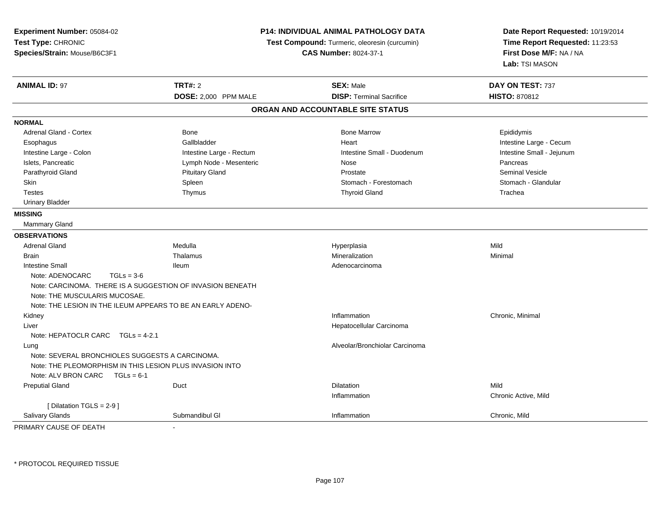| Experiment Number: 05084-02<br>Test Type: CHRONIC<br>Species/Strain: Mouse/B6C3F1                           |                          | <b>P14: INDIVIDUAL ANIMAL PATHOLOGY DATA</b><br>Test Compound: Turmeric, oleoresin (curcumin)<br><b>CAS Number: 8024-37-1</b> | Date Report Requested: 10/19/2014<br>Time Report Requested: 11:23:53<br>First Dose M/F: NA / NA<br>Lab: TSI MASON |
|-------------------------------------------------------------------------------------------------------------|--------------------------|-------------------------------------------------------------------------------------------------------------------------------|-------------------------------------------------------------------------------------------------------------------|
| <b>ANIMAL ID: 97</b>                                                                                        | <b>TRT#: 2</b>           | <b>SEX: Male</b>                                                                                                              | DAY ON TEST: 737                                                                                                  |
|                                                                                                             | DOSE: 2,000 PPM MALE     | <b>DISP: Terminal Sacrifice</b>                                                                                               | <b>HISTO: 870812</b>                                                                                              |
|                                                                                                             |                          | ORGAN AND ACCOUNTABLE SITE STATUS                                                                                             |                                                                                                                   |
| <b>NORMAL</b>                                                                                               |                          |                                                                                                                               |                                                                                                                   |
| <b>Adrenal Gland - Cortex</b>                                                                               | <b>Bone</b>              | <b>Bone Marrow</b>                                                                                                            | Epididymis                                                                                                        |
| Esophagus                                                                                                   | Gallbladder              | Heart                                                                                                                         | Intestine Large - Cecum                                                                                           |
| Intestine Large - Colon                                                                                     | Intestine Large - Rectum | Intestine Small - Duodenum                                                                                                    | Intestine Small - Jejunum                                                                                         |
| Islets, Pancreatic                                                                                          | Lymph Node - Mesenteric  | Nose                                                                                                                          | Pancreas                                                                                                          |
| Parathyroid Gland                                                                                           | <b>Pituitary Gland</b>   | Prostate                                                                                                                      | <b>Seminal Vesicle</b>                                                                                            |
| <b>Skin</b>                                                                                                 | Spleen                   | Stomach - Forestomach                                                                                                         | Stomach - Glandular                                                                                               |
| <b>Testes</b>                                                                                               | Thymus                   | <b>Thyroid Gland</b>                                                                                                          | Trachea                                                                                                           |
| <b>Urinary Bladder</b>                                                                                      |                          |                                                                                                                               |                                                                                                                   |
| <b>MISSING</b>                                                                                              |                          |                                                                                                                               |                                                                                                                   |
| Mammary Gland                                                                                               |                          |                                                                                                                               |                                                                                                                   |
| <b>OBSERVATIONS</b>                                                                                         |                          |                                                                                                                               |                                                                                                                   |
| <b>Adrenal Gland</b>                                                                                        | Medulla                  | Hyperplasia                                                                                                                   | Mild                                                                                                              |
| <b>Brain</b>                                                                                                | Thalamus                 | Mineralization                                                                                                                | Minimal                                                                                                           |
| <b>Intestine Small</b>                                                                                      | lleum                    | Adenocarcinoma                                                                                                                |                                                                                                                   |
| Note: ADENOCARC<br>$TGLs = 3-6$                                                                             |                          |                                                                                                                               |                                                                                                                   |
| Note: CARCINOMA. THERE IS A SUGGESTION OF INVASION BENEATH                                                  |                          |                                                                                                                               |                                                                                                                   |
| Note: THE MUSCULARIS MUCOSAE.                                                                               |                          |                                                                                                                               |                                                                                                                   |
| Note: THE LESION IN THE ILEUM APPEARS TO BE AN EARLY ADENO-                                                 |                          |                                                                                                                               |                                                                                                                   |
| Kidney                                                                                                      |                          | Inflammation                                                                                                                  | Chronic, Minimal                                                                                                  |
| Liver                                                                                                       |                          | Hepatocellular Carcinoma                                                                                                      |                                                                                                                   |
| Note: HEPATOCLR CARC $TGLs = 4-2.1$                                                                         |                          |                                                                                                                               |                                                                                                                   |
| Lung                                                                                                        |                          | Alveolar/Bronchiolar Carcinoma                                                                                                |                                                                                                                   |
| Note: SEVERAL BRONCHIOLES SUGGESTS A CARCINOMA.<br>Note: THE PLEOMORPHISM IN THIS LESION PLUS INVASION INTO |                          |                                                                                                                               |                                                                                                                   |
| Note: ALV BRON CARC<br>$TGLs = 6-1$                                                                         |                          |                                                                                                                               |                                                                                                                   |
| <b>Preputial Gland</b>                                                                                      | Duct                     | <b>Dilatation</b>                                                                                                             | Mild                                                                                                              |
|                                                                                                             |                          | Inflammation                                                                                                                  | Chronic Active, Mild                                                                                              |
| [Dilatation TGLS = 2-9]                                                                                     | Submandibul GI           | Inflammation                                                                                                                  | Chronic, Mild                                                                                                     |
| Salivary Glands                                                                                             |                          |                                                                                                                               |                                                                                                                   |

PRIMARY CAUSE OF DEATH-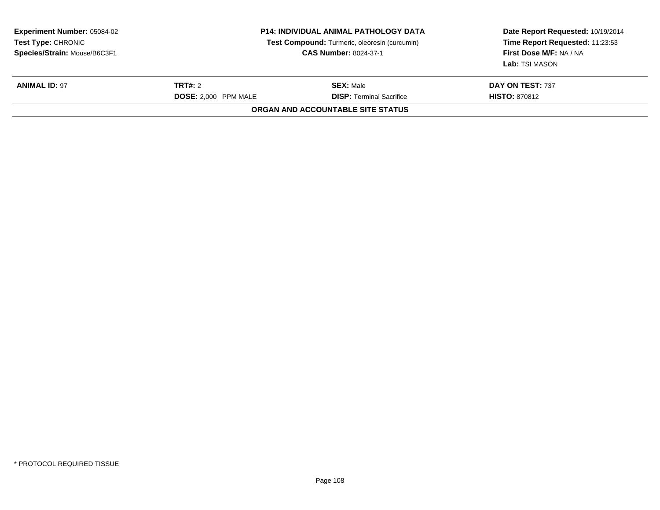| <b>P14: INDIVIDUAL ANIMAL PATHOLOGY DATA</b><br>Test Compound: Turmeric, oleoresin (curcumin)<br><b>CAS Number: 8024-37-1</b> |                                                     | First Dose M/F: NA / NA<br>Lab: TSI MASON |
|-------------------------------------------------------------------------------------------------------------------------------|-----------------------------------------------------|-------------------------------------------|
| TRT#: 2<br>DOSE: 2.000 PPM MALE                                                                                               | <b>SEX:</b> Male<br><b>DISP:</b> Terminal Sacrifice | DAY ON TEST: 737<br><b>HISTO: 870812</b>  |
|                                                                                                                               |                                                     | ORGAN AND ACCOUNTABLE SITE STATUS         |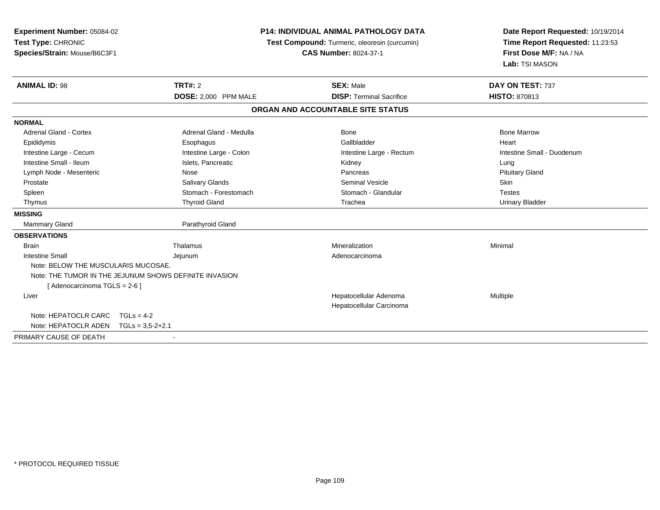| Experiment Number: 05084-02<br>Test Type: CHRONIC<br>Species/Strain: Mouse/B6C3F1 |                                                        | <b>P14: INDIVIDUAL ANIMAL PATHOLOGY DATA</b><br>Test Compound: Turmeric, oleoresin (curcumin)<br><b>CAS Number: 8024-37-1</b> | Date Report Requested: 10/19/2014<br>Time Report Requested: 11:23:53<br>First Dose M/F: NA / NA<br>Lab: TSI MASON |
|-----------------------------------------------------------------------------------|--------------------------------------------------------|-------------------------------------------------------------------------------------------------------------------------------|-------------------------------------------------------------------------------------------------------------------|
| <b>ANIMAL ID: 98</b>                                                              | TRT#: 2<br>DOSE: 2,000 PPM MALE                        | <b>SEX: Male</b><br><b>DISP: Terminal Sacrifice</b>                                                                           | DAY ON TEST: 737<br><b>HISTO: 870813</b>                                                                          |
|                                                                                   |                                                        |                                                                                                                               |                                                                                                                   |
|                                                                                   |                                                        | ORGAN AND ACCOUNTABLE SITE STATUS                                                                                             |                                                                                                                   |
| <b>NORMAL</b>                                                                     |                                                        |                                                                                                                               |                                                                                                                   |
| Adrenal Gland - Cortex                                                            | Adrenal Gland - Medulla                                | Bone                                                                                                                          | <b>Bone Marrow</b>                                                                                                |
| Epididymis                                                                        | Esophagus                                              | Gallbladder                                                                                                                   | Heart                                                                                                             |
| Intestine Large - Cecum                                                           | Intestine Large - Colon                                | Intestine Large - Rectum                                                                                                      | Intestine Small - Duodenum                                                                                        |
| Intestine Small - Ileum                                                           | Islets, Pancreatic                                     | Kidney                                                                                                                        | Lung                                                                                                              |
| Lymph Node - Mesenteric                                                           | Nose                                                   | Pancreas                                                                                                                      | <b>Pituitary Gland</b>                                                                                            |
| Prostate                                                                          | Salivary Glands                                        | <b>Seminal Vesicle</b>                                                                                                        | Skin                                                                                                              |
| Spleen                                                                            | Stomach - Forestomach                                  | Stomach - Glandular                                                                                                           | <b>Testes</b>                                                                                                     |
| Thymus                                                                            | <b>Thyroid Gland</b>                                   | Trachea                                                                                                                       | <b>Urinary Bladder</b>                                                                                            |
| <b>MISSING</b>                                                                    |                                                        |                                                                                                                               |                                                                                                                   |
| Mammary Gland                                                                     | Parathyroid Gland                                      |                                                                                                                               |                                                                                                                   |
| <b>OBSERVATIONS</b>                                                               |                                                        |                                                                                                                               |                                                                                                                   |
| <b>Brain</b>                                                                      | Thalamus                                               | Mineralization                                                                                                                | Minimal                                                                                                           |
| <b>Intestine Small</b>                                                            | Jejunum                                                | Adenocarcinoma                                                                                                                |                                                                                                                   |
| Note: BELOW THE MUSCULARIS MUCOSAE.                                               |                                                        |                                                                                                                               |                                                                                                                   |
|                                                                                   | Note: THE TUMOR IN THE JEJUNUM SHOWS DEFINITE INVASION |                                                                                                                               |                                                                                                                   |
| [ Adenocarcinoma TGLS = 2-6 ]                                                     |                                                        |                                                                                                                               |                                                                                                                   |
| Liver                                                                             |                                                        | Hepatocellular Adenoma<br>Hepatocellular Carcinoma                                                                            | Multiple                                                                                                          |
| Note: HEPATOCLR CARC                                                              | $TGLs = 4-2$                                           |                                                                                                                               |                                                                                                                   |
| Note: HEPATOCLR ADEN                                                              | $TGLs = 3.5 - 2 + 2.1$                                 |                                                                                                                               |                                                                                                                   |
| PRIMARY CAUSE OF DEATH                                                            |                                                        |                                                                                                                               |                                                                                                                   |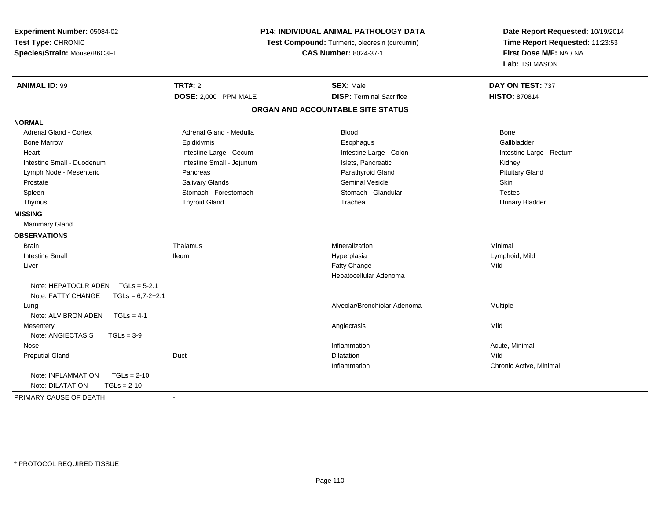| Experiment Number: 05084-02<br>Test Type: CHRONIC<br>Species/Strain: Mouse/B6C3F1 | <b>P14: INDIVIDUAL ANIMAL PATHOLOGY DATA</b><br>Test Compound: Turmeric, oleoresin (curcumin)<br><b>CAS Number: 8024-37-1</b> |                                   | Date Report Requested: 10/19/2014<br>Time Report Requested: 11:23:53<br>First Dose M/F: NA / NA<br>Lab: TSI MASON |
|-----------------------------------------------------------------------------------|-------------------------------------------------------------------------------------------------------------------------------|-----------------------------------|-------------------------------------------------------------------------------------------------------------------|
| <b>ANIMAL ID: 99</b>                                                              | <b>TRT#: 2</b>                                                                                                                | <b>SEX: Male</b>                  | DAY ON TEST: 737                                                                                                  |
|                                                                                   | DOSE: 2,000 PPM MALE                                                                                                          | <b>DISP: Terminal Sacrifice</b>   | <b>HISTO: 870814</b>                                                                                              |
|                                                                                   |                                                                                                                               | ORGAN AND ACCOUNTABLE SITE STATUS |                                                                                                                   |
| <b>NORMAL</b>                                                                     |                                                                                                                               |                                   |                                                                                                                   |
| Adrenal Gland - Cortex                                                            | Adrenal Gland - Medulla                                                                                                       | <b>Blood</b>                      | Bone                                                                                                              |
| <b>Bone Marrow</b>                                                                | Epididymis                                                                                                                    | Esophagus                         | Gallbladder                                                                                                       |
| Heart                                                                             | Intestine Large - Cecum                                                                                                       | Intestine Large - Colon           | Intestine Large - Rectum                                                                                          |
| Intestine Small - Duodenum                                                        | Intestine Small - Jejunum                                                                                                     | Islets, Pancreatic                | Kidney                                                                                                            |
| Lymph Node - Mesenteric                                                           | Pancreas                                                                                                                      | Parathyroid Gland                 | <b>Pituitary Gland</b>                                                                                            |
| Prostate                                                                          | <b>Salivary Glands</b>                                                                                                        | <b>Seminal Vesicle</b>            | Skin                                                                                                              |
| Spleen                                                                            | Stomach - Forestomach                                                                                                         | Stomach - Glandular               | <b>Testes</b>                                                                                                     |
| Thymus                                                                            | <b>Thyroid Gland</b>                                                                                                          | Trachea                           | <b>Urinary Bladder</b>                                                                                            |
| <b>MISSING</b>                                                                    |                                                                                                                               |                                   |                                                                                                                   |
| <b>Mammary Gland</b>                                                              |                                                                                                                               |                                   |                                                                                                                   |
| <b>OBSERVATIONS</b>                                                               |                                                                                                                               |                                   |                                                                                                                   |
| <b>Brain</b>                                                                      | Thalamus                                                                                                                      | Mineralization                    | Minimal                                                                                                           |
| <b>Intestine Small</b>                                                            | <b>Ileum</b>                                                                                                                  | Hyperplasia                       | Lymphoid, Mild                                                                                                    |
| Liver                                                                             |                                                                                                                               | Fatty Change                      | Mild                                                                                                              |
|                                                                                   |                                                                                                                               | Hepatocellular Adenoma            |                                                                                                                   |
| Note: HEPATOCLR ADEN<br>$TGLs = 5-2.1$                                            |                                                                                                                               |                                   |                                                                                                                   |
| Note: FATTY CHANGE<br>$TGLs = 6,7-2+2.1$                                          |                                                                                                                               |                                   |                                                                                                                   |
| Lung                                                                              |                                                                                                                               | Alveolar/Bronchiolar Adenoma      | Multiple                                                                                                          |
| Note: ALV BRON ADEN<br>$TGLs = 4-1$                                               |                                                                                                                               |                                   |                                                                                                                   |
| Mesentery                                                                         |                                                                                                                               | Angiectasis                       | Mild                                                                                                              |
| Note: ANGIECTASIS<br>$TGLs = 3-9$                                                 |                                                                                                                               |                                   |                                                                                                                   |
| Nose                                                                              |                                                                                                                               | Inflammation                      | Acute, Minimal                                                                                                    |
| <b>Preputial Gland</b>                                                            | Duct                                                                                                                          | <b>Dilatation</b>                 | Mild                                                                                                              |
|                                                                                   |                                                                                                                               | Inflammation                      | Chronic Active, Minimal                                                                                           |
| Note: INFLAMMATION<br>$TGLs = 2-10$                                               |                                                                                                                               |                                   |                                                                                                                   |
| Note: DILATATION<br>$TGLs = 2-10$                                                 |                                                                                                                               |                                   |                                                                                                                   |
| PRIMARY CAUSE OF DEATH                                                            | $\sim$                                                                                                                        |                                   |                                                                                                                   |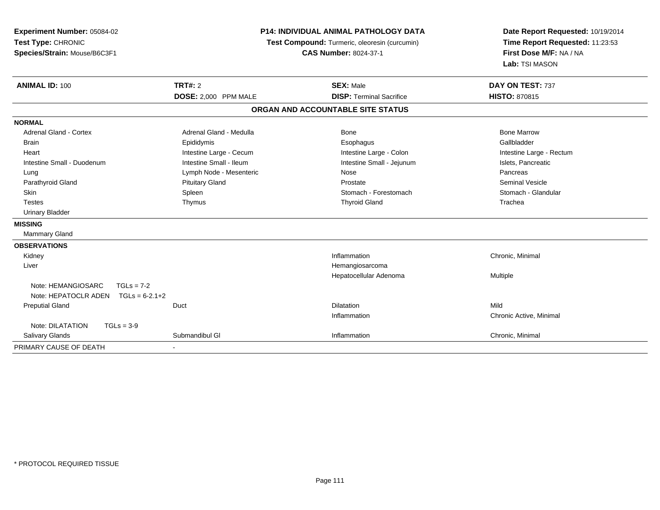| Experiment Number: 05084-02<br>Test Type: CHRONIC<br>Species/Strain: Mouse/B6C3F1 | <b>P14: INDIVIDUAL ANIMAL PATHOLOGY DATA</b><br>Test Compound: Turmeric, oleoresin (curcumin)<br><b>CAS Number: 8024-37-1</b> |                                   | Date Report Requested: 10/19/2014<br>Time Report Requested: 11:23:53<br>First Dose M/F: NA / NA<br>Lab: TSI MASON |
|-----------------------------------------------------------------------------------|-------------------------------------------------------------------------------------------------------------------------------|-----------------------------------|-------------------------------------------------------------------------------------------------------------------|
| <b>ANIMAL ID: 100</b>                                                             | <b>TRT#: 2</b>                                                                                                                | <b>SEX: Male</b>                  | DAY ON TEST: 737                                                                                                  |
|                                                                                   | DOSE: 2,000 PPM MALE                                                                                                          | <b>DISP: Terminal Sacrifice</b>   | <b>HISTO: 870815</b>                                                                                              |
|                                                                                   |                                                                                                                               | ORGAN AND ACCOUNTABLE SITE STATUS |                                                                                                                   |
| <b>NORMAL</b>                                                                     |                                                                                                                               |                                   |                                                                                                                   |
| <b>Adrenal Gland - Cortex</b>                                                     | Adrenal Gland - Medulla                                                                                                       | Bone                              | <b>Bone Marrow</b>                                                                                                |
| <b>Brain</b>                                                                      | Epididymis                                                                                                                    | Esophagus                         | Gallbladder                                                                                                       |
| Heart                                                                             | Intestine Large - Cecum                                                                                                       | Intestine Large - Colon           | Intestine Large - Rectum                                                                                          |
| Intestine Small - Duodenum                                                        | Intestine Small - Ileum                                                                                                       | Intestine Small - Jejunum         | Islets, Pancreatic                                                                                                |
| Lung                                                                              | Lymph Node - Mesenteric                                                                                                       | Nose                              | Pancreas                                                                                                          |
| Parathyroid Gland                                                                 | <b>Pituitary Gland</b>                                                                                                        | Prostate                          | <b>Seminal Vesicle</b>                                                                                            |
| Skin                                                                              | Spleen                                                                                                                        | Stomach - Forestomach             | Stomach - Glandular                                                                                               |
| <b>Testes</b>                                                                     | Thymus                                                                                                                        | <b>Thyroid Gland</b>              | Trachea                                                                                                           |
| <b>Urinary Bladder</b>                                                            |                                                                                                                               |                                   |                                                                                                                   |
| <b>MISSING</b>                                                                    |                                                                                                                               |                                   |                                                                                                                   |
| Mammary Gland                                                                     |                                                                                                                               |                                   |                                                                                                                   |
| <b>OBSERVATIONS</b>                                                               |                                                                                                                               |                                   |                                                                                                                   |
| Kidney                                                                            |                                                                                                                               | Inflammation                      | Chronic, Minimal                                                                                                  |
| Liver                                                                             |                                                                                                                               | Hemangiosarcoma                   |                                                                                                                   |
|                                                                                   |                                                                                                                               | Hepatocellular Adenoma            | Multiple                                                                                                          |
| Note: HEMANGIOSARC<br>$TGLs = 7-2$                                                |                                                                                                                               |                                   |                                                                                                                   |
| Note: HEPATOCLR ADEN<br>$TGLs = 6-2.1+2$                                          |                                                                                                                               |                                   |                                                                                                                   |
| <b>Preputial Gland</b>                                                            | Duct                                                                                                                          | <b>Dilatation</b>                 | Mild                                                                                                              |
|                                                                                   |                                                                                                                               | Inflammation                      | Chronic Active, Minimal                                                                                           |
| Note: DILATATION<br>$TGLs = 3-9$                                                  |                                                                                                                               |                                   |                                                                                                                   |
| Salivary Glands                                                                   | Submandibul GI                                                                                                                | Inflammation                      | Chronic, Minimal                                                                                                  |
| PRIMARY CAUSE OF DEATH                                                            |                                                                                                                               |                                   |                                                                                                                   |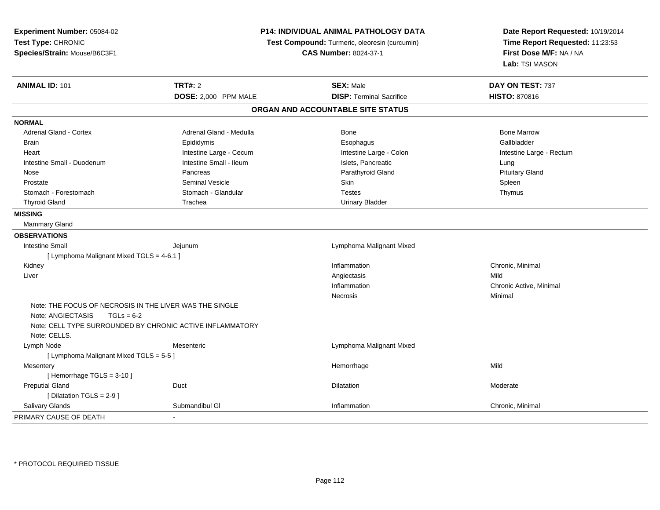| Experiment Number: 05084-02<br>Test Type: CHRONIC<br>Species/Strain: Mouse/B6C3F1            |                         | P14: INDIVIDUAL ANIMAL PATHOLOGY DATA<br>Test Compound: Turmeric, oleoresin (curcumin)<br><b>CAS Number: 8024-37-1</b> | Date Report Requested: 10/19/2014<br>Time Report Requested: 11:23:53<br>First Dose M/F: NA / NA<br>Lab: TSI MASON |
|----------------------------------------------------------------------------------------------|-------------------------|------------------------------------------------------------------------------------------------------------------------|-------------------------------------------------------------------------------------------------------------------|
| <b>ANIMAL ID: 101</b>                                                                        | <b>TRT#: 2</b>          | <b>SEX: Male</b>                                                                                                       | DAY ON TEST: 737                                                                                                  |
|                                                                                              | DOSE: 2,000 PPM MALE    | <b>DISP: Terminal Sacrifice</b>                                                                                        | <b>HISTO: 870816</b>                                                                                              |
|                                                                                              |                         | ORGAN AND ACCOUNTABLE SITE STATUS                                                                                      |                                                                                                                   |
| <b>NORMAL</b>                                                                                |                         |                                                                                                                        |                                                                                                                   |
| Adrenal Gland - Cortex                                                                       | Adrenal Gland - Medulla | Bone                                                                                                                   | <b>Bone Marrow</b>                                                                                                |
| <b>Brain</b>                                                                                 | Epididymis              | Esophagus                                                                                                              | Gallbladder                                                                                                       |
| Heart                                                                                        | Intestine Large - Cecum | Intestine Large - Colon                                                                                                | Intestine Large - Rectum                                                                                          |
| Intestine Small - Duodenum                                                                   | Intestine Small - Ileum | Islets, Pancreatic                                                                                                     | Lung                                                                                                              |
| Nose                                                                                         | Pancreas                | Parathyroid Gland                                                                                                      | <b>Pituitary Gland</b>                                                                                            |
| Prostate                                                                                     | <b>Seminal Vesicle</b>  | <b>Skin</b>                                                                                                            | Spleen                                                                                                            |
| Stomach - Forestomach                                                                        | Stomach - Glandular     | <b>Testes</b>                                                                                                          | Thymus                                                                                                            |
| <b>Thyroid Gland</b>                                                                         | Trachea                 | <b>Urinary Bladder</b>                                                                                                 |                                                                                                                   |
| <b>MISSING</b>                                                                               |                         |                                                                                                                        |                                                                                                                   |
| <b>Mammary Gland</b>                                                                         |                         |                                                                                                                        |                                                                                                                   |
| <b>OBSERVATIONS</b>                                                                          |                         |                                                                                                                        |                                                                                                                   |
| <b>Intestine Small</b>                                                                       | Jejunum                 | Lymphoma Malignant Mixed                                                                                               |                                                                                                                   |
| [ Lymphoma Malignant Mixed TGLS = 4-6.1 ]                                                    |                         |                                                                                                                        |                                                                                                                   |
| Kidney                                                                                       |                         | Inflammation                                                                                                           | Chronic, Minimal                                                                                                  |
| Liver                                                                                        |                         | Angiectasis                                                                                                            | Mild                                                                                                              |
|                                                                                              |                         | Inflammation                                                                                                           | Chronic Active, Minimal                                                                                           |
|                                                                                              |                         | Necrosis                                                                                                               | Minimal                                                                                                           |
| Note: THE FOCUS OF NECROSIS IN THE LIVER WAS THE SINGLE<br>Note: ANGIECTASIS<br>$TGLs = 6-2$ |                         |                                                                                                                        |                                                                                                                   |
| Note: CELL TYPE SURROUNDED BY CHRONIC ACTIVE INFLAMMATORY                                    |                         |                                                                                                                        |                                                                                                                   |
| Note: CELLS.                                                                                 |                         |                                                                                                                        |                                                                                                                   |
| Lymph Node                                                                                   | Mesenteric              | Lymphoma Malignant Mixed                                                                                               |                                                                                                                   |
| [ Lymphoma Malignant Mixed TGLS = 5-5 ]                                                      |                         |                                                                                                                        |                                                                                                                   |
| Mesentery<br>[Hemorrhage TGLS = 3-10]                                                        |                         | Hemorrhage                                                                                                             | Mild                                                                                                              |
| <b>Preputial Gland</b>                                                                       | Duct                    | Dilatation                                                                                                             | Moderate                                                                                                          |
| [Dilatation TGLS = 2-9]                                                                      |                         |                                                                                                                        |                                                                                                                   |
| Salivary Glands                                                                              | Submandibul GI          | Inflammation                                                                                                           | Chronic, Minimal                                                                                                  |
| PRIMARY CAUSE OF DEATH                                                                       |                         |                                                                                                                        |                                                                                                                   |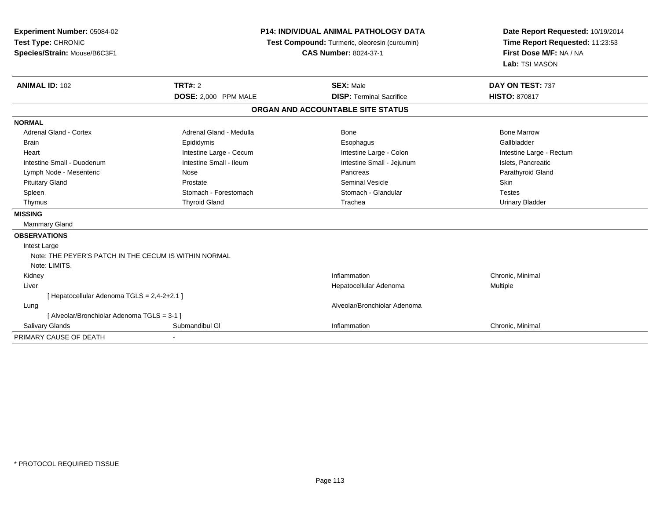| Experiment Number: 05084-02<br>Test Type: CHRONIC<br>Species/Strain: Mouse/B6C3F1<br><b>ANIMAL ID: 102</b> | TRT#: 2<br>DOSE: 2,000 PPM MALE | <b>P14: INDIVIDUAL ANIMAL PATHOLOGY DATA</b><br>Test Compound: Turmeric, oleoresin (curcumin)<br><b>CAS Number: 8024-37-1</b><br><b>SEX: Male</b><br><b>DISP: Terminal Sacrifice</b> | Date Report Requested: 10/19/2014<br>Time Report Requested: 11:23:53<br>First Dose M/F: NA / NA<br>Lab: TSI MASON<br>DAY ON TEST: 737<br><b>HISTO: 870817</b> |
|------------------------------------------------------------------------------------------------------------|---------------------------------|--------------------------------------------------------------------------------------------------------------------------------------------------------------------------------------|---------------------------------------------------------------------------------------------------------------------------------------------------------------|
|                                                                                                            |                                 | ORGAN AND ACCOUNTABLE SITE STATUS                                                                                                                                                    |                                                                                                                                                               |
| <b>NORMAL</b>                                                                                              |                                 |                                                                                                                                                                                      |                                                                                                                                                               |
| <b>Adrenal Gland - Cortex</b>                                                                              | Adrenal Gland - Medulla         | Bone                                                                                                                                                                                 | <b>Bone Marrow</b>                                                                                                                                            |
| <b>Brain</b>                                                                                               | Epididymis                      | Esophagus                                                                                                                                                                            | Gallbladder                                                                                                                                                   |
| Heart                                                                                                      | Intestine Large - Cecum         | Intestine Large - Colon                                                                                                                                                              | Intestine Large - Rectum                                                                                                                                      |
| Intestine Small - Duodenum                                                                                 | Intestine Small - Ileum         | Intestine Small - Jejunum                                                                                                                                                            | Islets, Pancreatic                                                                                                                                            |
| Lymph Node - Mesenteric                                                                                    | Nose                            | Pancreas                                                                                                                                                                             | Parathyroid Gland                                                                                                                                             |
| <b>Pituitary Gland</b>                                                                                     | Prostate                        | <b>Seminal Vesicle</b>                                                                                                                                                               | <b>Skin</b>                                                                                                                                                   |
| Spleen                                                                                                     | Stomach - Forestomach           | Stomach - Glandular                                                                                                                                                                  | <b>Testes</b>                                                                                                                                                 |
| Thymus                                                                                                     | <b>Thyroid Gland</b>            | Trachea                                                                                                                                                                              | <b>Urinary Bladder</b>                                                                                                                                        |
| <b>MISSING</b>                                                                                             |                                 |                                                                                                                                                                                      |                                                                                                                                                               |
| <b>Mammary Gland</b>                                                                                       |                                 |                                                                                                                                                                                      |                                                                                                                                                               |
| <b>OBSERVATIONS</b>                                                                                        |                                 |                                                                                                                                                                                      |                                                                                                                                                               |
| Intest Large                                                                                               |                                 |                                                                                                                                                                                      |                                                                                                                                                               |
| Note: THE PEYER'S PATCH IN THE CECUM IS WITHIN NORMAL                                                      |                                 |                                                                                                                                                                                      |                                                                                                                                                               |
| Note: LIMITS.                                                                                              |                                 |                                                                                                                                                                                      |                                                                                                                                                               |
| Kidney                                                                                                     |                                 | Inflammation                                                                                                                                                                         | Chronic, Minimal                                                                                                                                              |
| Liver                                                                                                      |                                 | Hepatocellular Adenoma                                                                                                                                                               | Multiple                                                                                                                                                      |
| [ Hepatocellular Adenoma TGLS = 2,4-2+2.1 ]                                                                |                                 |                                                                                                                                                                                      |                                                                                                                                                               |
| Lung                                                                                                       |                                 | Alveolar/Bronchiolar Adenoma                                                                                                                                                         |                                                                                                                                                               |
| [ Alveolar/Bronchiolar Adenoma TGLS = 3-1 ]                                                                |                                 |                                                                                                                                                                                      |                                                                                                                                                               |
| Salivary Glands                                                                                            | Submandibul GI                  | Inflammation                                                                                                                                                                         | Chronic, Minimal                                                                                                                                              |
| PRIMARY CAUSE OF DEATH                                                                                     |                                 |                                                                                                                                                                                      |                                                                                                                                                               |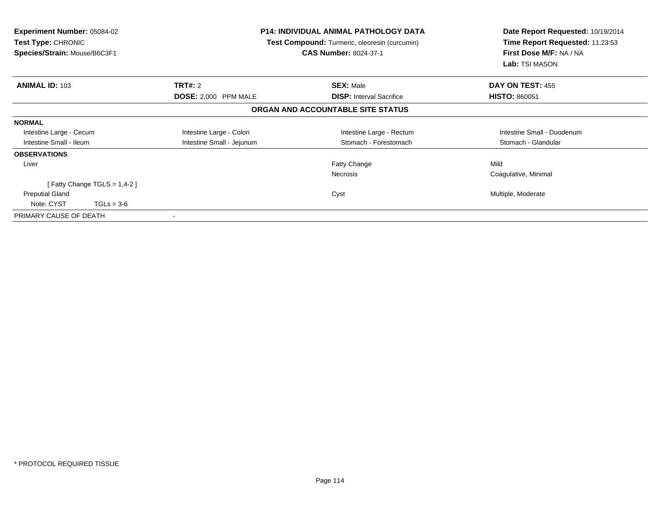| <b>Experiment Number: 05084-02</b><br><b>Test Type: CHRONIC</b><br>Species/Strain: Mouse/B6C3F1 |                           | <b>P14: INDIVIDUAL ANIMAL PATHOLOGY DATA</b><br>Test Compound: Turmeric, oleoresin (curcumin)<br><b>CAS Number: 8024-37-1</b> | Date Report Requested: 10/19/2014<br>Time Report Requested: 11:23:53<br>First Dose M/F: NA / NA<br>Lab: TSI MASON |
|-------------------------------------------------------------------------------------------------|---------------------------|-------------------------------------------------------------------------------------------------------------------------------|-------------------------------------------------------------------------------------------------------------------|
| <b>ANIMAL ID: 103</b>                                                                           | <b>TRT#: 2</b>            | <b>SEX: Male</b>                                                                                                              | DAY ON TEST: 455                                                                                                  |
|                                                                                                 | DOSE: 2,000 PPM MALE      | <b>DISP:</b> Interval Sacrifice                                                                                               | <b>HISTO: 860051</b>                                                                                              |
|                                                                                                 |                           | ORGAN AND ACCOUNTABLE SITE STATUS                                                                                             |                                                                                                                   |
| <b>NORMAL</b>                                                                                   |                           |                                                                                                                               |                                                                                                                   |
| Intestine Large - Cecum                                                                         | Intestine Large - Colon   | Intestine Large - Rectum                                                                                                      | Intestine Small - Duodenum                                                                                        |
| Intestine Small - Ileum                                                                         | Intestine Small - Jejunum | Stomach - Forestomach                                                                                                         | Stomach - Glandular                                                                                               |
| <b>OBSERVATIONS</b>                                                                             |                           |                                                                                                                               |                                                                                                                   |
| Liver                                                                                           |                           | Fatty Change                                                                                                                  | Mild                                                                                                              |
|                                                                                                 |                           | <b>Necrosis</b>                                                                                                               | Coagulative, Minimal                                                                                              |
| [Fatty Change TGLS = $1,4-2$ ]                                                                  |                           |                                                                                                                               |                                                                                                                   |
| <b>Preputial Gland</b>                                                                          |                           | Cyst                                                                                                                          | Multiple, Moderate                                                                                                |
| Note: CYST<br>$TGLs = 3-6$                                                                      |                           |                                                                                                                               |                                                                                                                   |
| PRIMARY CAUSE OF DEATH                                                                          |                           |                                                                                                                               |                                                                                                                   |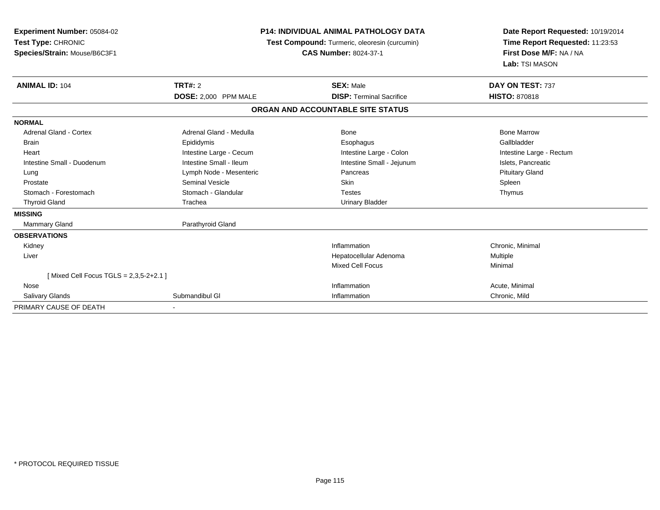| Experiment Number: 05084-02<br>Test Type: CHRONIC<br>Species/Strain: Mouse/B6C3F1 | <b>P14: INDIVIDUAL ANIMAL PATHOLOGY DATA</b><br>Test Compound: Turmeric, oleoresin (curcumin)<br><b>CAS Number: 8024-37-1</b> |                                   | Date Report Requested: 10/19/2014<br>Time Report Requested: 11:23:53<br>First Dose M/F: NA / NA<br>Lab: TSI MASON |
|-----------------------------------------------------------------------------------|-------------------------------------------------------------------------------------------------------------------------------|-----------------------------------|-------------------------------------------------------------------------------------------------------------------|
| <b>ANIMAL ID: 104</b>                                                             | <b>TRT#: 2</b>                                                                                                                | <b>SEX: Male</b>                  | DAY ON TEST: 737                                                                                                  |
|                                                                                   | DOSE: 2,000 PPM MALE                                                                                                          | <b>DISP: Terminal Sacrifice</b>   | <b>HISTO: 870818</b>                                                                                              |
|                                                                                   |                                                                                                                               | ORGAN AND ACCOUNTABLE SITE STATUS |                                                                                                                   |
| <b>NORMAL</b>                                                                     |                                                                                                                               |                                   |                                                                                                                   |
| <b>Adrenal Gland - Cortex</b>                                                     | Adrenal Gland - Medulla                                                                                                       | Bone                              | <b>Bone Marrow</b>                                                                                                |
| <b>Brain</b>                                                                      | Epididymis                                                                                                                    | Esophagus                         | Gallbladder                                                                                                       |
| Heart                                                                             | Intestine Large - Cecum                                                                                                       | Intestine Large - Colon           | Intestine Large - Rectum                                                                                          |
| Intestine Small - Duodenum                                                        | Intestine Small - Ileum                                                                                                       | Intestine Small - Jejunum         | Islets, Pancreatic                                                                                                |
| Lung                                                                              | Lymph Node - Mesenteric                                                                                                       | Pancreas                          | <b>Pituitary Gland</b>                                                                                            |
| Prostate                                                                          | <b>Seminal Vesicle</b>                                                                                                        | <b>Skin</b>                       | Spleen                                                                                                            |
| Stomach - Forestomach                                                             | Stomach - Glandular                                                                                                           | <b>Testes</b>                     | Thymus                                                                                                            |
| <b>Thyroid Gland</b>                                                              | Trachea                                                                                                                       | <b>Urinary Bladder</b>            |                                                                                                                   |
| <b>MISSING</b>                                                                    |                                                                                                                               |                                   |                                                                                                                   |
| Mammary Gland                                                                     | Parathyroid Gland                                                                                                             |                                   |                                                                                                                   |
| <b>OBSERVATIONS</b>                                                               |                                                                                                                               |                                   |                                                                                                                   |
| Kidney                                                                            |                                                                                                                               | Inflammation                      | Chronic, Minimal                                                                                                  |
| Liver                                                                             |                                                                                                                               | Hepatocellular Adenoma            | Multiple                                                                                                          |
|                                                                                   |                                                                                                                               | Mixed Cell Focus                  | Minimal                                                                                                           |
| [Mixed Cell Focus TGLS = $2,3,5-2+2.1$ ]                                          |                                                                                                                               |                                   |                                                                                                                   |
| Nose                                                                              |                                                                                                                               | Inflammation                      | Acute, Minimal                                                                                                    |
| Salivary Glands                                                                   | Submandibul GI                                                                                                                | Inflammation                      | Chronic, Mild                                                                                                     |
| PRIMARY CAUSE OF DEATH                                                            |                                                                                                                               |                                   |                                                                                                                   |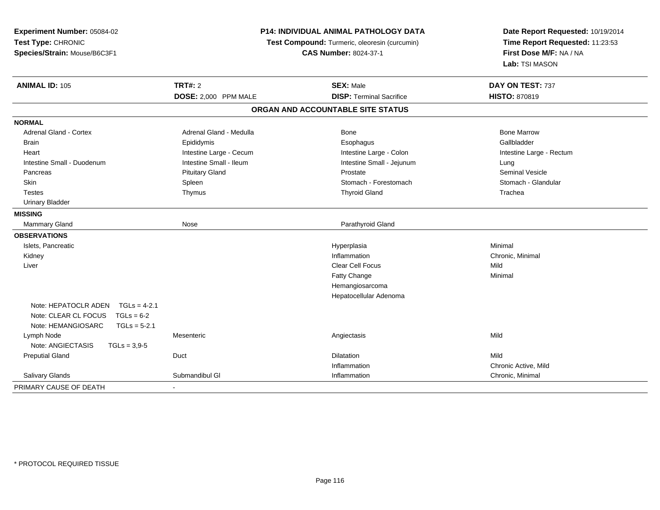| Experiment Number: 05084-02<br>Test Type: CHRONIC<br>Species/Strain: Mouse/B6C3F1 | P14: INDIVIDUAL ANIMAL PATHOLOGY DATA<br>Test Compound: Turmeric, oleoresin (curcumin)<br><b>CAS Number: 8024-37-1</b> |                                   | Date Report Requested: 10/19/2014<br>Time Report Requested: 11:23:53<br>First Dose M/F: NA / NA<br>Lab: TSI MASON |
|-----------------------------------------------------------------------------------|------------------------------------------------------------------------------------------------------------------------|-----------------------------------|-------------------------------------------------------------------------------------------------------------------|
| <b>ANIMAL ID: 105</b>                                                             | <b>TRT#: 2</b>                                                                                                         | <b>SEX: Male</b>                  | DAY ON TEST: 737                                                                                                  |
|                                                                                   | DOSE: 2,000 PPM MALE                                                                                                   | <b>DISP: Terminal Sacrifice</b>   | HISTO: 870819                                                                                                     |
|                                                                                   |                                                                                                                        | ORGAN AND ACCOUNTABLE SITE STATUS |                                                                                                                   |
| <b>NORMAL</b>                                                                     |                                                                                                                        |                                   |                                                                                                                   |
| <b>Adrenal Gland - Cortex</b>                                                     | Adrenal Gland - Medulla                                                                                                | <b>Bone</b>                       | <b>Bone Marrow</b>                                                                                                |
| <b>Brain</b>                                                                      | Epididymis                                                                                                             | Esophagus                         | Gallbladder                                                                                                       |
| Heart                                                                             | Intestine Large - Cecum                                                                                                | Intestine Large - Colon           | Intestine Large - Rectum                                                                                          |
| Intestine Small - Duodenum                                                        | Intestine Small - Ileum                                                                                                | Intestine Small - Jejunum         | Lung                                                                                                              |
| Pancreas                                                                          | <b>Pituitary Gland</b>                                                                                                 | Prostate                          | Seminal Vesicle                                                                                                   |
| Skin                                                                              | Spleen                                                                                                                 | Stomach - Forestomach             | Stomach - Glandular                                                                                               |
| <b>Testes</b>                                                                     | Thymus                                                                                                                 | <b>Thyroid Gland</b>              | Trachea                                                                                                           |
| <b>Urinary Bladder</b>                                                            |                                                                                                                        |                                   |                                                                                                                   |
| <b>MISSING</b>                                                                    |                                                                                                                        |                                   |                                                                                                                   |
| <b>Mammary Gland</b>                                                              | Nose                                                                                                                   | Parathyroid Gland                 |                                                                                                                   |
| <b>OBSERVATIONS</b>                                                               |                                                                                                                        |                                   |                                                                                                                   |
| Islets, Pancreatic                                                                |                                                                                                                        | Hyperplasia                       | Minimal                                                                                                           |
| Kidney                                                                            |                                                                                                                        | Inflammation                      | Chronic, Minimal                                                                                                  |
| Liver                                                                             |                                                                                                                        | Clear Cell Focus                  | Mild                                                                                                              |
|                                                                                   |                                                                                                                        | Fatty Change                      | Minimal                                                                                                           |
|                                                                                   |                                                                                                                        | Hemangiosarcoma                   |                                                                                                                   |
|                                                                                   |                                                                                                                        | Hepatocellular Adenoma            |                                                                                                                   |
| Note: HEPATOCLR ADEN<br>$TGLs = 4-2.1$                                            |                                                                                                                        |                                   |                                                                                                                   |
| Note: CLEAR CL FOCUS<br>$TGLs = 6-2$                                              |                                                                                                                        |                                   |                                                                                                                   |
| Note: HEMANGIOSARC<br>$TGLs = 5-2.1$                                              |                                                                                                                        |                                   |                                                                                                                   |
| Lymph Node                                                                        | Mesenteric                                                                                                             | Angiectasis                       | Mild                                                                                                              |
| Note: ANGIECTASIS<br>$TGLs = 3.9 - 5$                                             |                                                                                                                        |                                   |                                                                                                                   |
| <b>Preputial Gland</b>                                                            | Duct                                                                                                                   | <b>Dilatation</b>                 | Mild                                                                                                              |
|                                                                                   |                                                                                                                        | Inflammation                      | Chronic Active, Mild                                                                                              |
| Salivary Glands                                                                   | Submandibul GI                                                                                                         | Inflammation                      | Chronic, Minimal                                                                                                  |
| PRIMARY CAUSE OF DEATH                                                            |                                                                                                                        |                                   |                                                                                                                   |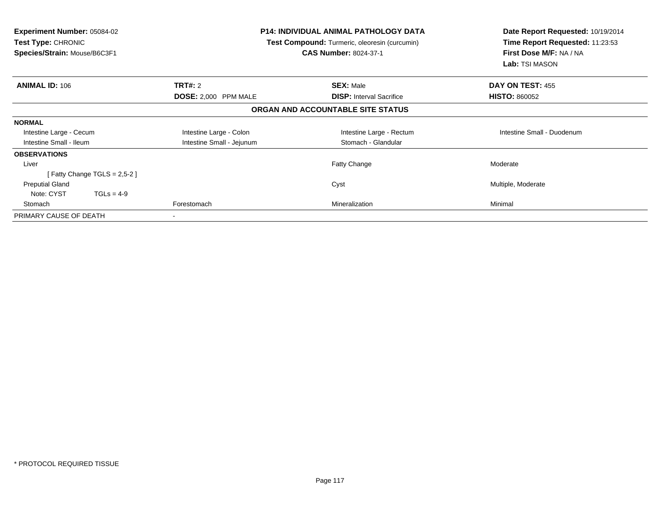| <b>Experiment Number: 05084-02</b><br><b>Test Type: CHRONIC</b><br>Species/Strain: Mouse/B6C3F1 | <b>P14: INDIVIDUAL ANIMAL PATHOLOGY DATA</b><br>Test Compound: Turmeric, oleoresin (curcumin)<br><b>CAS Number: 8024-37-1</b> |                                   | Date Report Requested: 10/19/2014<br>Time Report Requested: 11:23:53<br>First Dose M/F: NA / NA<br>Lab: TSI MASON |
|-------------------------------------------------------------------------------------------------|-------------------------------------------------------------------------------------------------------------------------------|-----------------------------------|-------------------------------------------------------------------------------------------------------------------|
| <b>ANIMAL ID: 106</b>                                                                           | <b>TRT#:</b> 2                                                                                                                | <b>SEX: Male</b>                  | DAY ON TEST: 455                                                                                                  |
|                                                                                                 | DOSE: 2,000 PPM MALE                                                                                                          | <b>DISP:</b> Interval Sacrifice   | <b>HISTO: 860052</b>                                                                                              |
|                                                                                                 |                                                                                                                               | ORGAN AND ACCOUNTABLE SITE STATUS |                                                                                                                   |
| <b>NORMAL</b>                                                                                   |                                                                                                                               |                                   |                                                                                                                   |
| Intestine Large - Cecum                                                                         | Intestine Large - Colon                                                                                                       | Intestine Large - Rectum          | Intestine Small - Duodenum                                                                                        |
| Intestine Small - Ileum                                                                         | Intestine Small - Jejunum                                                                                                     | Stomach - Glandular               |                                                                                                                   |
| <b>OBSERVATIONS</b>                                                                             |                                                                                                                               |                                   |                                                                                                                   |
| Liver                                                                                           |                                                                                                                               | <b>Fatty Change</b>               | Moderate                                                                                                          |
| [Fatty Change TGLS = $2,5-2$ ]                                                                  |                                                                                                                               |                                   |                                                                                                                   |
| <b>Preputial Gland</b>                                                                          |                                                                                                                               | Cyst                              | Multiple, Moderate                                                                                                |
| Note: CYST<br>$TGLs = 4-9$                                                                      |                                                                                                                               |                                   |                                                                                                                   |
| Stomach                                                                                         | Forestomach                                                                                                                   | Mineralization                    | Minimal                                                                                                           |
| PRIMARY CAUSE OF DEATH                                                                          | $\,$                                                                                                                          |                                   |                                                                                                                   |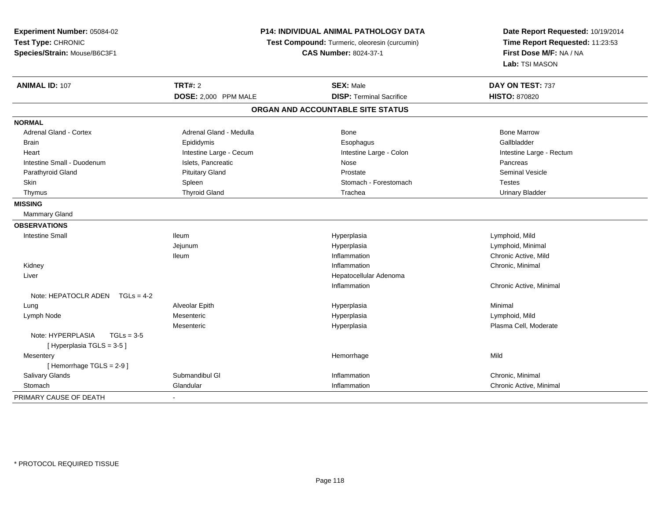| Experiment Number: 05084-02<br>Test Type: CHRONIC<br>Species/Strain: Mouse/B6C3F1 | <b>P14: INDIVIDUAL ANIMAL PATHOLOGY DATA</b><br>Test Compound: Turmeric, oleoresin (curcumin)<br><b>CAS Number: 8024-37-1</b> |                                   | Date Report Requested: 10/19/2014<br>Time Report Requested: 11:23:53<br>First Dose M/F: NA / NA<br>Lab: TSI MASON |
|-----------------------------------------------------------------------------------|-------------------------------------------------------------------------------------------------------------------------------|-----------------------------------|-------------------------------------------------------------------------------------------------------------------|
| <b>ANIMAL ID: 107</b>                                                             | <b>TRT#: 2</b>                                                                                                                | <b>SEX: Male</b>                  | DAY ON TEST: 737                                                                                                  |
|                                                                                   | DOSE: 2,000 PPM MALE                                                                                                          | <b>DISP: Terminal Sacrifice</b>   | <b>HISTO: 870820</b>                                                                                              |
|                                                                                   |                                                                                                                               | ORGAN AND ACCOUNTABLE SITE STATUS |                                                                                                                   |
| <b>NORMAL</b>                                                                     |                                                                                                                               |                                   |                                                                                                                   |
| <b>Adrenal Gland - Cortex</b>                                                     | Adrenal Gland - Medulla                                                                                                       | <b>Bone</b>                       | <b>Bone Marrow</b>                                                                                                |
| <b>Brain</b>                                                                      | Epididymis                                                                                                                    | Esophagus                         | Gallbladder                                                                                                       |
| Heart                                                                             | Intestine Large - Cecum                                                                                                       | Intestine Large - Colon           | Intestine Large - Rectum                                                                                          |
| Intestine Small - Duodenum                                                        | Islets, Pancreatic                                                                                                            | Nose                              | Pancreas                                                                                                          |
| Parathyroid Gland                                                                 | <b>Pituitary Gland</b>                                                                                                        | Prostate                          | Seminal Vesicle                                                                                                   |
| Skin                                                                              | Spleen                                                                                                                        | Stomach - Forestomach             | <b>Testes</b>                                                                                                     |
| Thymus                                                                            | <b>Thyroid Gland</b>                                                                                                          | Trachea                           | <b>Urinary Bladder</b>                                                                                            |
| <b>MISSING</b>                                                                    |                                                                                                                               |                                   |                                                                                                                   |
| Mammary Gland                                                                     |                                                                                                                               |                                   |                                                                                                                   |
| <b>OBSERVATIONS</b>                                                               |                                                                                                                               |                                   |                                                                                                                   |
| <b>Intestine Small</b>                                                            | lleum                                                                                                                         | Hyperplasia                       | Lymphoid, Mild                                                                                                    |
|                                                                                   | Jejunum                                                                                                                       | Hyperplasia                       | Lymphoid, Minimal                                                                                                 |
|                                                                                   | lleum                                                                                                                         | Inflammation                      | Chronic Active, Mild                                                                                              |
| Kidney                                                                            |                                                                                                                               | Inflammation                      | Chronic, Minimal                                                                                                  |
| Liver                                                                             |                                                                                                                               | Hepatocellular Adenoma            |                                                                                                                   |
|                                                                                   |                                                                                                                               | Inflammation                      | Chronic Active, Minimal                                                                                           |
| Note: HEPATOCLR ADEN $TGLs = 4-2$                                                 |                                                                                                                               |                                   |                                                                                                                   |
| Lung                                                                              | Alveolar Epith                                                                                                                | Hyperplasia                       | Minimal                                                                                                           |
| Lymph Node                                                                        | Mesenteric                                                                                                                    | Hyperplasia                       | Lymphoid, Mild                                                                                                    |
|                                                                                   | Mesenteric                                                                                                                    | Hyperplasia                       | Plasma Cell, Moderate                                                                                             |
| Note: HYPERPLASIA<br>$TGLs = 3-5$<br>[Hyperplasia TGLS = 3-5]                     |                                                                                                                               |                                   |                                                                                                                   |
| Mesentery                                                                         |                                                                                                                               | Hemorrhage                        | Mild                                                                                                              |
| [Hemorrhage TGLS = 2-9]                                                           |                                                                                                                               |                                   |                                                                                                                   |
| Salivary Glands                                                                   | Submandibul GI                                                                                                                | Inflammation                      | Chronic, Minimal                                                                                                  |
| Stomach                                                                           | Glandular                                                                                                                     | Inflammation                      | Chronic Active, Minimal                                                                                           |
| PRIMARY CAUSE OF DEATH                                                            |                                                                                                                               |                                   |                                                                                                                   |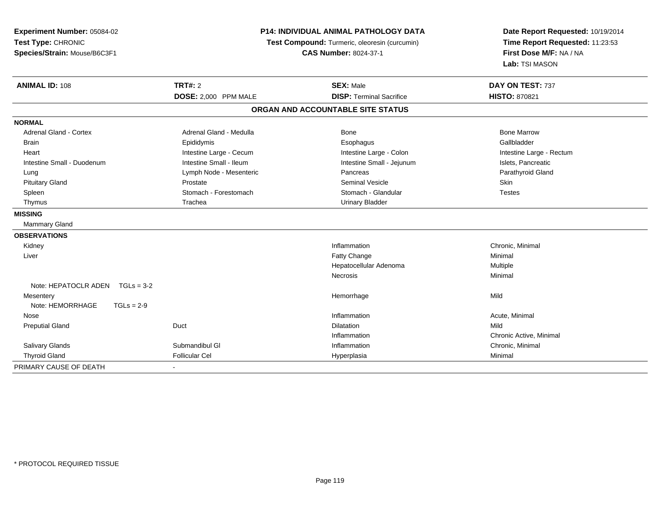| Experiment Number: 05084-02<br>Test Type: CHRONIC<br>Species/Strain: Mouse/B6C3F1 | <b>P14: INDIVIDUAL ANIMAL PATHOLOGY DATA</b><br>Test Compound: Turmeric, oleoresin (curcumin)<br><b>CAS Number: 8024-37-1</b> |                                   | Date Report Requested: 10/19/2014<br>Time Report Requested: 11:23:53<br>First Dose M/F: NA / NA<br>Lab: TSI MASON |
|-----------------------------------------------------------------------------------|-------------------------------------------------------------------------------------------------------------------------------|-----------------------------------|-------------------------------------------------------------------------------------------------------------------|
| <b>ANIMAL ID: 108</b>                                                             | TRT#: 2                                                                                                                       | <b>SEX: Male</b>                  | DAY ON TEST: 737                                                                                                  |
|                                                                                   | DOSE: 2,000 PPM MALE                                                                                                          | <b>DISP: Terminal Sacrifice</b>   | <b>HISTO: 870821</b>                                                                                              |
|                                                                                   |                                                                                                                               | ORGAN AND ACCOUNTABLE SITE STATUS |                                                                                                                   |
| <b>NORMAL</b>                                                                     |                                                                                                                               |                                   |                                                                                                                   |
| <b>Adrenal Gland - Cortex</b>                                                     | Adrenal Gland - Medulla                                                                                                       | Bone                              | <b>Bone Marrow</b>                                                                                                |
| <b>Brain</b>                                                                      | Epididymis                                                                                                                    | Esophagus                         | Gallbladder                                                                                                       |
| Heart                                                                             | Intestine Large - Cecum                                                                                                       | Intestine Large - Colon           | Intestine Large - Rectum                                                                                          |
| Intestine Small - Duodenum                                                        | Intestine Small - Ileum                                                                                                       | Intestine Small - Jejunum         | Islets, Pancreatic                                                                                                |
| Lung                                                                              | Lymph Node - Mesenteric                                                                                                       | Pancreas                          | Parathyroid Gland                                                                                                 |
| <b>Pituitary Gland</b>                                                            | Prostate                                                                                                                      | <b>Seminal Vesicle</b>            | Skin                                                                                                              |
| Spleen                                                                            | Stomach - Forestomach                                                                                                         | Stomach - Glandular               | <b>Testes</b>                                                                                                     |
| Thymus                                                                            | Trachea                                                                                                                       | <b>Urinary Bladder</b>            |                                                                                                                   |
| <b>MISSING</b>                                                                    |                                                                                                                               |                                   |                                                                                                                   |
| <b>Mammary Gland</b>                                                              |                                                                                                                               |                                   |                                                                                                                   |
| <b>OBSERVATIONS</b>                                                               |                                                                                                                               |                                   |                                                                                                                   |
| Kidney                                                                            |                                                                                                                               | Inflammation                      | Chronic, Minimal                                                                                                  |
| Liver                                                                             |                                                                                                                               | Fatty Change                      | Minimal                                                                                                           |
|                                                                                   |                                                                                                                               | Hepatocellular Adenoma            | Multiple                                                                                                          |
|                                                                                   |                                                                                                                               | Necrosis                          | Minimal                                                                                                           |
| Note: HEPATOCLR ADEN $TGLs = 3-2$                                                 |                                                                                                                               |                                   |                                                                                                                   |
| Mesentery                                                                         |                                                                                                                               | Hemorrhage                        | Mild                                                                                                              |
| Note: HEMORRHAGE<br>$TGLs = 2-9$                                                  |                                                                                                                               |                                   |                                                                                                                   |
| Nose                                                                              |                                                                                                                               | Inflammation                      | Acute, Minimal                                                                                                    |
| <b>Preputial Gland</b>                                                            | Duct                                                                                                                          | <b>Dilatation</b>                 | Mild                                                                                                              |
|                                                                                   |                                                                                                                               | Inflammation                      | Chronic Active, Minimal                                                                                           |
| Salivary Glands                                                                   | Submandibul GI                                                                                                                | Inflammation                      | Chronic, Minimal                                                                                                  |
| <b>Thyroid Gland</b>                                                              | <b>Follicular Cel</b>                                                                                                         | Hyperplasia                       | Minimal                                                                                                           |
| PRIMARY CAUSE OF DEATH                                                            |                                                                                                                               |                                   |                                                                                                                   |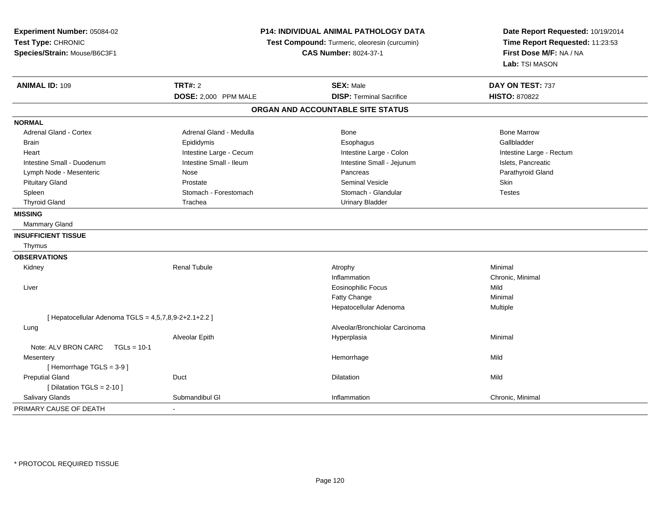| Experiment Number: 05084-02<br>Test Type: CHRONIC<br>Species/Strain: Mouse/B6C3F1 | P14: INDIVIDUAL ANIMAL PATHOLOGY DATA<br>Test Compound: Turmeric, oleoresin (curcumin)<br><b>CAS Number: 8024-37-1</b> |                                   | Date Report Requested: 10/19/2014<br>Time Report Requested: 11:23:53<br>First Dose M/F: NA / NA<br>Lab: TSI MASON |
|-----------------------------------------------------------------------------------|------------------------------------------------------------------------------------------------------------------------|-----------------------------------|-------------------------------------------------------------------------------------------------------------------|
| <b>ANIMAL ID: 109</b>                                                             | <b>TRT#: 2</b>                                                                                                         | <b>SEX: Male</b>                  | DAY ON TEST: 737                                                                                                  |
|                                                                                   | DOSE: 2,000 PPM MALE                                                                                                   | <b>DISP: Terminal Sacrifice</b>   | <b>HISTO: 870822</b>                                                                                              |
|                                                                                   |                                                                                                                        | ORGAN AND ACCOUNTABLE SITE STATUS |                                                                                                                   |
| <b>NORMAL</b>                                                                     |                                                                                                                        |                                   |                                                                                                                   |
| Adrenal Gland - Cortex                                                            | Adrenal Gland - Medulla                                                                                                | Bone                              | <b>Bone Marrow</b>                                                                                                |
| <b>Brain</b>                                                                      | Epididymis                                                                                                             | Esophagus                         | Gallbladder                                                                                                       |
| Heart                                                                             | Intestine Large - Cecum                                                                                                | Intestine Large - Colon           | Intestine Large - Rectum                                                                                          |
| Intestine Small - Duodenum                                                        | Intestine Small - Ileum                                                                                                | Intestine Small - Jejunum         | Islets, Pancreatic                                                                                                |
| Lymph Node - Mesenteric                                                           | Nose                                                                                                                   | Pancreas                          | Parathyroid Gland                                                                                                 |
| <b>Pituitary Gland</b>                                                            | Prostate                                                                                                               | <b>Seminal Vesicle</b>            | Skin                                                                                                              |
| Spleen                                                                            | Stomach - Forestomach                                                                                                  | Stomach - Glandular               | <b>Testes</b>                                                                                                     |
| <b>Thyroid Gland</b>                                                              | Trachea                                                                                                                | <b>Urinary Bladder</b>            |                                                                                                                   |
| <b>MISSING</b>                                                                    |                                                                                                                        |                                   |                                                                                                                   |
| <b>Mammary Gland</b>                                                              |                                                                                                                        |                                   |                                                                                                                   |
| <b>INSUFFICIENT TISSUE</b>                                                        |                                                                                                                        |                                   |                                                                                                                   |
| Thymus                                                                            |                                                                                                                        |                                   |                                                                                                                   |
| <b>OBSERVATIONS</b>                                                               |                                                                                                                        |                                   |                                                                                                                   |
| Kidney                                                                            | <b>Renal Tubule</b>                                                                                                    | Atrophy                           | Minimal                                                                                                           |
|                                                                                   |                                                                                                                        | Inflammation                      | Chronic, Minimal                                                                                                  |
| Liver                                                                             |                                                                                                                        | <b>Eosinophilic Focus</b>         | Mild                                                                                                              |
|                                                                                   |                                                                                                                        | Fatty Change                      | Minimal                                                                                                           |
|                                                                                   |                                                                                                                        | Hepatocellular Adenoma            | Multiple                                                                                                          |
| [ Hepatocellular Adenoma TGLS = 4,5,7,8,9-2+2.1+2.2 ]                             |                                                                                                                        |                                   |                                                                                                                   |
| Lung                                                                              |                                                                                                                        | Alveolar/Bronchiolar Carcinoma    |                                                                                                                   |
|                                                                                   | Alveolar Epith                                                                                                         | Hyperplasia                       | Minimal                                                                                                           |
| Note: ALV BRON CARC<br>$TGLs = 10-1$                                              |                                                                                                                        |                                   |                                                                                                                   |
| Mesentery                                                                         |                                                                                                                        | Hemorrhage                        | Mild                                                                                                              |
| [Hemorrhage TGLS = 3-9]                                                           |                                                                                                                        |                                   |                                                                                                                   |
| <b>Preputial Gland</b>                                                            | Duct                                                                                                                   | Dilatation                        | Mild                                                                                                              |
| [ Dilatation TGLS = 2-10 ]                                                        |                                                                                                                        |                                   |                                                                                                                   |
| Salivary Glands                                                                   | Submandibul GI                                                                                                         | Inflammation                      | Chronic, Minimal                                                                                                  |
| PRIMARY CAUSE OF DEATH                                                            |                                                                                                                        |                                   |                                                                                                                   |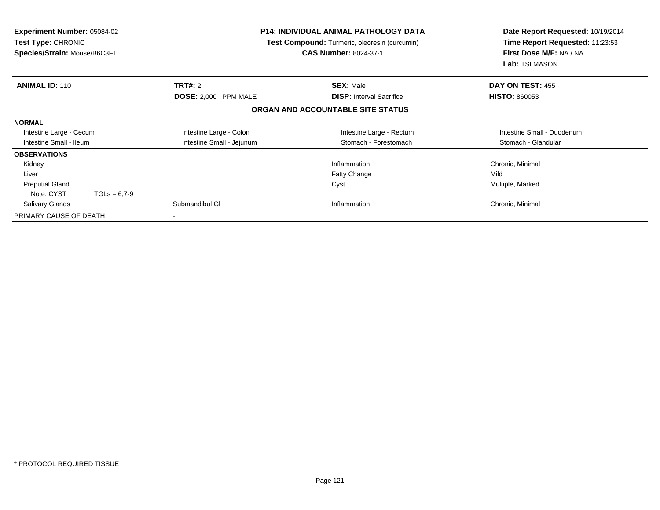| <b>Experiment Number: 05084-02</b><br><b>Test Type: CHRONIC</b><br>Species/Strain: Mouse/B6C3F1 |                           | <b>P14: INDIVIDUAL ANIMAL PATHOLOGY DATA</b><br>Test Compound: Turmeric, oleoresin (curcumin)<br><b>CAS Number: 8024-37-1</b> | Date Report Requested: 10/19/2014<br>Time Report Requested: 11:23:53<br>First Dose M/F: NA / NA<br>Lab: TSI MASON |
|-------------------------------------------------------------------------------------------------|---------------------------|-------------------------------------------------------------------------------------------------------------------------------|-------------------------------------------------------------------------------------------------------------------|
| <b>ANIMAL ID: 110</b>                                                                           | <b>TRT#: 2</b>            | <b>SEX: Male</b>                                                                                                              | DAY ON TEST: 455                                                                                                  |
|                                                                                                 | DOSE: 2,000 PPM MALE      | <b>DISP: Interval Sacrifice</b>                                                                                               | <b>HISTO: 860053</b>                                                                                              |
|                                                                                                 |                           | ORGAN AND ACCOUNTABLE SITE STATUS                                                                                             |                                                                                                                   |
| <b>NORMAL</b>                                                                                   |                           |                                                                                                                               |                                                                                                                   |
| Intestine Large - Cecum                                                                         | Intestine Large - Colon   | Intestine Large - Rectum                                                                                                      | Intestine Small - Duodenum                                                                                        |
| Intestine Small - Ileum                                                                         | Intestine Small - Jejunum | Stomach - Forestomach                                                                                                         | Stomach - Glandular                                                                                               |
| <b>OBSERVATIONS</b>                                                                             |                           |                                                                                                                               |                                                                                                                   |
| Kidney                                                                                          |                           | Inflammation                                                                                                                  | Chronic, Minimal                                                                                                  |
| Liver                                                                                           |                           | <b>Fatty Change</b>                                                                                                           | Mild                                                                                                              |
| <b>Preputial Gland</b>                                                                          |                           | Cyst                                                                                                                          | Multiple, Marked                                                                                                  |
| Note: CYST<br>$TGLs = 6.7-9$                                                                    |                           |                                                                                                                               |                                                                                                                   |
| <b>Salivary Glands</b>                                                                          | Submandibul GI            | Inflammation                                                                                                                  | Chronic, Minimal                                                                                                  |
| PRIMARY CAUSE OF DEATH                                                                          | $\blacksquare$            |                                                                                                                               |                                                                                                                   |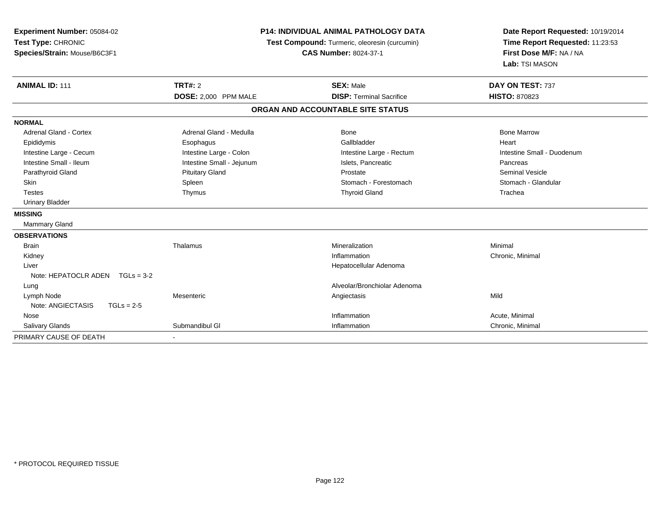| Experiment Number: 05084-02<br>Test Type: CHRONIC<br>Species/Strain: Mouse/B6C3F1 |                           | <b>P14: INDIVIDUAL ANIMAL PATHOLOGY DATA</b><br>Test Compound: Turmeric, oleoresin (curcumin)<br><b>CAS Number: 8024-37-1</b> | Date Report Requested: 10/19/2014<br>Time Report Requested: 11:23:53<br>First Dose M/F: NA / NA<br>Lab: TSI MASON |  |
|-----------------------------------------------------------------------------------|---------------------------|-------------------------------------------------------------------------------------------------------------------------------|-------------------------------------------------------------------------------------------------------------------|--|
| <b>ANIMAL ID: 111</b>                                                             | <b>TRT#: 2</b>            | <b>SEX: Male</b><br><b>DISP: Terminal Sacrifice</b>                                                                           | DAY ON TEST: 737<br><b>HISTO: 870823</b>                                                                          |  |
|                                                                                   | DOSE: 2,000 PPM MALE      | ORGAN AND ACCOUNTABLE SITE STATUS                                                                                             |                                                                                                                   |  |
|                                                                                   |                           |                                                                                                                               |                                                                                                                   |  |
| <b>NORMAL</b>                                                                     |                           |                                                                                                                               |                                                                                                                   |  |
| Adrenal Gland - Cortex                                                            | Adrenal Gland - Medulla   | Bone                                                                                                                          | <b>Bone Marrow</b>                                                                                                |  |
| Epididymis                                                                        | Esophagus                 | Gallbladder                                                                                                                   | Heart                                                                                                             |  |
| Intestine Large - Cecum                                                           | Intestine Large - Colon   | Intestine Large - Rectum                                                                                                      | Intestine Small - Duodenum                                                                                        |  |
| Intestine Small - Ileum                                                           | Intestine Small - Jejunum | Islets, Pancreatic                                                                                                            | Pancreas                                                                                                          |  |
| Parathyroid Gland                                                                 | <b>Pituitary Gland</b>    | Prostate                                                                                                                      | Seminal Vesicle                                                                                                   |  |
| Skin                                                                              | Spleen                    | Stomach - Forestomach                                                                                                         | Stomach - Glandular                                                                                               |  |
| <b>Testes</b>                                                                     | Thymus                    | <b>Thyroid Gland</b>                                                                                                          | Trachea                                                                                                           |  |
| <b>Urinary Bladder</b>                                                            |                           |                                                                                                                               |                                                                                                                   |  |
| <b>MISSING</b>                                                                    |                           |                                                                                                                               |                                                                                                                   |  |
| <b>Mammary Gland</b>                                                              |                           |                                                                                                                               |                                                                                                                   |  |
| <b>OBSERVATIONS</b>                                                               |                           |                                                                                                                               |                                                                                                                   |  |
| <b>Brain</b>                                                                      | Thalamus                  | Mineralization                                                                                                                | Minimal                                                                                                           |  |
| Kidney                                                                            |                           | Inflammation                                                                                                                  | Chronic, Minimal                                                                                                  |  |
| Liver                                                                             |                           | Hepatocellular Adenoma                                                                                                        |                                                                                                                   |  |
| Note: HEPATOCLR ADEN $TGLs = 3-2$                                                 |                           |                                                                                                                               |                                                                                                                   |  |
| Lung                                                                              |                           | Alveolar/Bronchiolar Adenoma                                                                                                  |                                                                                                                   |  |
| Lymph Node                                                                        | Mesenteric                | Angiectasis                                                                                                                   | Mild                                                                                                              |  |
| Note: ANGIECTASIS<br>$TGLs = 2-5$                                                 |                           |                                                                                                                               |                                                                                                                   |  |
| Nose                                                                              |                           | Inflammation                                                                                                                  | Acute, Minimal                                                                                                    |  |
| Salivary Glands                                                                   | Submandibul GI            | Inflammation                                                                                                                  | Chronic, Minimal                                                                                                  |  |
| PRIMARY CAUSE OF DEATH                                                            |                           |                                                                                                                               |                                                                                                                   |  |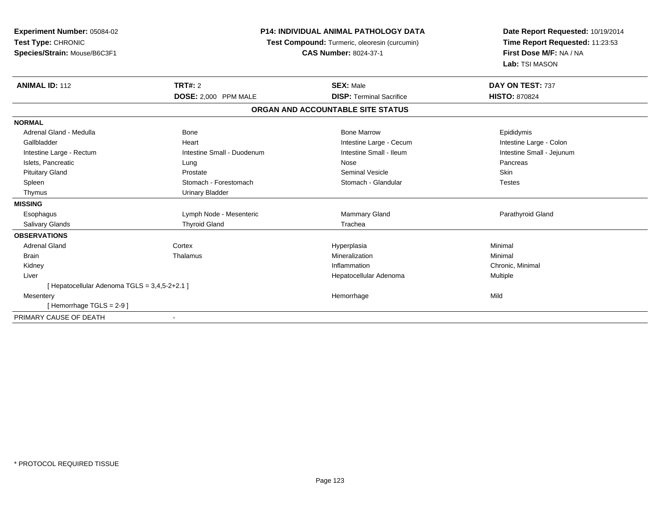| <b>Experiment Number: 05084-02</b><br>Test Type: CHRONIC<br>Species/Strain: Mouse/B6C3F1 | <b>P14: INDIVIDUAL ANIMAL PATHOLOGY DATA</b><br>Test Compound: Turmeric, oleoresin (curcumin)<br><b>CAS Number: 8024-37-1</b> |                                   | Date Report Requested: 10/19/2014<br>Time Report Requested: 11:23:53<br>First Dose M/F: NA / NA<br>Lab: TSI MASON |  |
|------------------------------------------------------------------------------------------|-------------------------------------------------------------------------------------------------------------------------------|-----------------------------------|-------------------------------------------------------------------------------------------------------------------|--|
| <b>ANIMAL ID: 112</b>                                                                    | <b>TRT#: 2</b>                                                                                                                | <b>SEX: Male</b>                  | DAY ON TEST: 737                                                                                                  |  |
|                                                                                          | DOSE: 2,000 PPM MALE                                                                                                          | <b>DISP: Terminal Sacrifice</b>   | <b>HISTO: 870824</b>                                                                                              |  |
|                                                                                          |                                                                                                                               | ORGAN AND ACCOUNTABLE SITE STATUS |                                                                                                                   |  |
| <b>NORMAL</b>                                                                            |                                                                                                                               |                                   |                                                                                                                   |  |
| Adrenal Gland - Medulla                                                                  | <b>Bone</b>                                                                                                                   | <b>Bone Marrow</b>                | Epididymis                                                                                                        |  |
| Gallbladder                                                                              | Heart                                                                                                                         | Intestine Large - Cecum           | Intestine Large - Colon                                                                                           |  |
| Intestine Large - Rectum                                                                 | Intestine Small - Duodenum                                                                                                    | Intestine Small - Ileum           | Intestine Small - Jejunum                                                                                         |  |
| Islets, Pancreatic                                                                       | Lung                                                                                                                          | Nose                              | Pancreas                                                                                                          |  |
| <b>Pituitary Gland</b>                                                                   | Prostate                                                                                                                      | Seminal Vesicle                   | Skin                                                                                                              |  |
| Spleen                                                                                   | Stomach - Forestomach                                                                                                         | Stomach - Glandular               | <b>Testes</b>                                                                                                     |  |
| Thymus                                                                                   | <b>Urinary Bladder</b>                                                                                                        |                                   |                                                                                                                   |  |
| <b>MISSING</b>                                                                           |                                                                                                                               |                                   |                                                                                                                   |  |
| Esophagus                                                                                | Lymph Node - Mesenteric                                                                                                       | Mammary Gland                     | Parathyroid Gland                                                                                                 |  |
| Salivary Glands                                                                          | <b>Thyroid Gland</b>                                                                                                          | Trachea                           |                                                                                                                   |  |
| <b>OBSERVATIONS</b>                                                                      |                                                                                                                               |                                   |                                                                                                                   |  |
| <b>Adrenal Gland</b>                                                                     | Cortex                                                                                                                        | Hyperplasia                       | Minimal                                                                                                           |  |
| <b>Brain</b>                                                                             | Thalamus                                                                                                                      | Mineralization                    | Minimal                                                                                                           |  |
| Kidney                                                                                   |                                                                                                                               | Inflammation                      | Chronic, Minimal                                                                                                  |  |
| Liver                                                                                    |                                                                                                                               | Hepatocellular Adenoma            | Multiple                                                                                                          |  |
| [ Hepatocellular Adenoma TGLS = 3,4,5-2+2.1 ]                                            |                                                                                                                               |                                   |                                                                                                                   |  |
| Mesentery                                                                                |                                                                                                                               | Hemorrhage                        | Mild                                                                                                              |  |
| [Hemorrhage TGLS = 2-9]                                                                  |                                                                                                                               |                                   |                                                                                                                   |  |
| PRIMARY CAUSE OF DEATH                                                                   |                                                                                                                               |                                   |                                                                                                                   |  |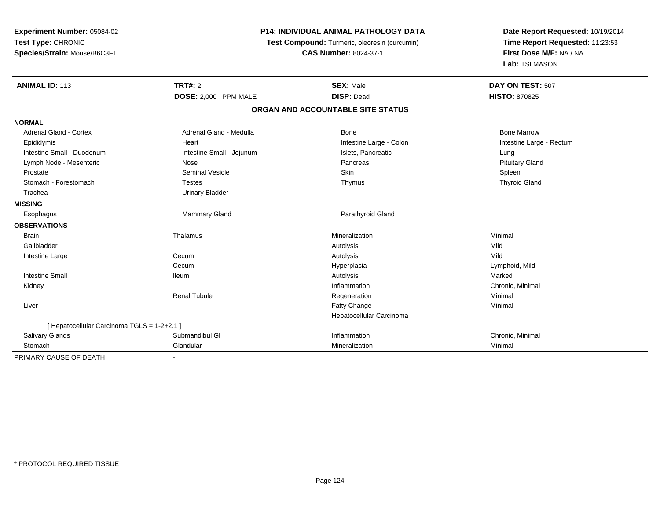| Experiment Number: 05084-02                 |                           | <b>P14: INDIVIDUAL ANIMAL PATHOLOGY DATA</b>  | Date Report Requested: 10/19/2014                          |  |
|---------------------------------------------|---------------------------|-----------------------------------------------|------------------------------------------------------------|--|
| Test Type: CHRONIC                          |                           | Test Compound: Turmeric, oleoresin (curcumin) |                                                            |  |
| Species/Strain: Mouse/B6C3F1                |                           | <b>CAS Number: 8024-37-1</b>                  | Time Report Requested: 11:23:53<br>First Dose M/F: NA / NA |  |
|                                             |                           |                                               | Lab: TSI MASON                                             |  |
| <b>ANIMAL ID: 113</b>                       | <b>TRT#: 2</b>            | <b>SEX: Male</b>                              | DAY ON TEST: 507                                           |  |
|                                             | DOSE: 2,000 PPM MALE      | <b>DISP: Dead</b>                             | <b>HISTO: 870825</b>                                       |  |
|                                             |                           | ORGAN AND ACCOUNTABLE SITE STATUS             |                                                            |  |
| <b>NORMAL</b>                               |                           |                                               |                                                            |  |
| Adrenal Gland - Cortex                      | Adrenal Gland - Medulla   | <b>Bone</b>                                   | <b>Bone Marrow</b>                                         |  |
| Epididymis                                  | Heart                     | Intestine Large - Colon                       | Intestine Large - Rectum                                   |  |
| Intestine Small - Duodenum                  | Intestine Small - Jejunum | Islets, Pancreatic                            | Lung                                                       |  |
| Lymph Node - Mesenteric                     | Nose                      | Pancreas                                      | <b>Pituitary Gland</b>                                     |  |
| Prostate                                    | <b>Seminal Vesicle</b>    | Skin                                          | Spleen                                                     |  |
| Stomach - Forestomach                       | <b>Testes</b>             | Thymus                                        | <b>Thyroid Gland</b>                                       |  |
| Trachea                                     | <b>Urinary Bladder</b>    |                                               |                                                            |  |
| <b>MISSING</b>                              |                           |                                               |                                                            |  |
| Esophagus                                   | Mammary Gland             | Parathyroid Gland                             |                                                            |  |
| <b>OBSERVATIONS</b>                         |                           |                                               |                                                            |  |
| <b>Brain</b>                                | Thalamus                  | Mineralization                                | Minimal                                                    |  |
| Gallbladder                                 |                           | Autolysis                                     | Mild                                                       |  |
| Intestine Large                             | Cecum                     | Autolysis                                     | Mild                                                       |  |
|                                             | Cecum                     | Hyperplasia                                   | Lymphoid, Mild                                             |  |
| <b>Intestine Small</b>                      | <b>Ileum</b>              | Autolysis                                     | Marked                                                     |  |
| Kidney                                      |                           | Inflammation                                  | Chronic, Minimal                                           |  |
|                                             | <b>Renal Tubule</b>       | Regeneration                                  | Minimal                                                    |  |
| Liver                                       |                           | Fatty Change                                  | Minimal                                                    |  |
|                                             |                           | Hepatocellular Carcinoma                      |                                                            |  |
| [ Hepatocellular Carcinoma TGLS = 1-2+2.1 ] |                           |                                               |                                                            |  |
| <b>Salivary Glands</b>                      | Submandibul GI            | Inflammation                                  | Chronic, Minimal                                           |  |
| Stomach                                     | Glandular                 | Mineralization                                | Minimal                                                    |  |
| PRIMARY CAUSE OF DEATH                      |                           |                                               |                                                            |  |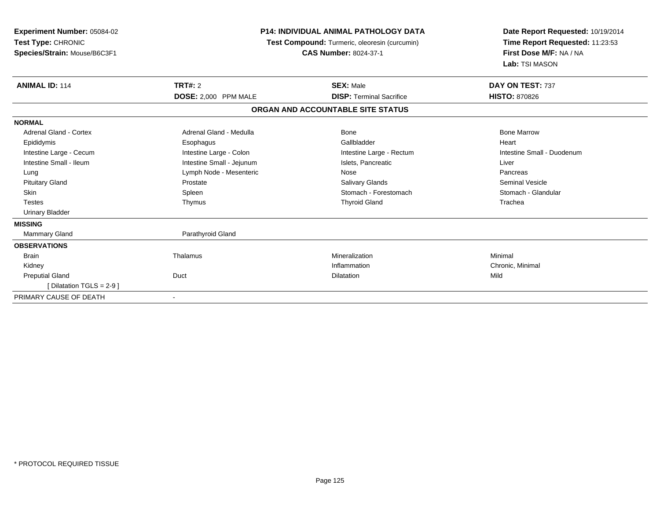| <b>Experiment Number: 05084-02</b><br>Test Type: CHRONIC<br>Species/Strain: Mouse/B6C3F1 |                           | <b>P14: INDIVIDUAL ANIMAL PATHOLOGY DATA</b><br>Test Compound: Turmeric, oleoresin (curcumin)<br><b>CAS Number: 8024-37-1</b> | Date Report Requested: 10/19/2014<br>Time Report Requested: 11:23:53<br>First Dose M/F: NA / NA<br>Lab: TSI MASON |
|------------------------------------------------------------------------------------------|---------------------------|-------------------------------------------------------------------------------------------------------------------------------|-------------------------------------------------------------------------------------------------------------------|
| <b>ANIMAL ID: 114</b>                                                                    | <b>TRT#: 2</b>            | <b>SEX: Male</b>                                                                                                              | DAY ON TEST: 737                                                                                                  |
|                                                                                          | DOSE: 2,000 PPM MALE      | <b>DISP: Terminal Sacrifice</b>                                                                                               | <b>HISTO: 870826</b>                                                                                              |
|                                                                                          |                           | ORGAN AND ACCOUNTABLE SITE STATUS                                                                                             |                                                                                                                   |
| <b>NORMAL</b>                                                                            |                           |                                                                                                                               |                                                                                                                   |
| <b>Adrenal Gland - Cortex</b>                                                            | Adrenal Gland - Medulla   | Bone                                                                                                                          | <b>Bone Marrow</b>                                                                                                |
| Epididymis                                                                               | Esophagus                 | Gallbladder                                                                                                                   | Heart                                                                                                             |
| Intestine Large - Cecum                                                                  | Intestine Large - Colon   | Intestine Large - Rectum                                                                                                      | Intestine Small - Duodenum                                                                                        |
| Intestine Small - Ileum                                                                  | Intestine Small - Jejunum | Islets, Pancreatic                                                                                                            | Liver                                                                                                             |
| Lung                                                                                     | Lymph Node - Mesenteric   | Nose                                                                                                                          | Pancreas                                                                                                          |
| <b>Pituitary Gland</b>                                                                   | Prostate                  | <b>Salivary Glands</b>                                                                                                        | <b>Seminal Vesicle</b>                                                                                            |
| Skin                                                                                     | Spleen                    | Stomach - Forestomach                                                                                                         | Stomach - Glandular                                                                                               |
| <b>Testes</b>                                                                            | Thymus                    | <b>Thyroid Gland</b>                                                                                                          | Trachea                                                                                                           |
| <b>Urinary Bladder</b>                                                                   |                           |                                                                                                                               |                                                                                                                   |
| <b>MISSING</b>                                                                           |                           |                                                                                                                               |                                                                                                                   |
| Mammary Gland                                                                            | Parathyroid Gland         |                                                                                                                               |                                                                                                                   |
| <b>OBSERVATIONS</b>                                                                      |                           |                                                                                                                               |                                                                                                                   |
| <b>Brain</b>                                                                             | Thalamus                  | Mineralization                                                                                                                | Minimal                                                                                                           |
| Kidney                                                                                   |                           | Inflammation                                                                                                                  | Chronic, Minimal                                                                                                  |
| <b>Preputial Gland</b>                                                                   | Duct                      | <b>Dilatation</b>                                                                                                             | Mild                                                                                                              |
| [ Dilatation TGLS = 2-9 ]                                                                |                           |                                                                                                                               |                                                                                                                   |
| PRIMARY CAUSE OF DEATH                                                                   |                           |                                                                                                                               |                                                                                                                   |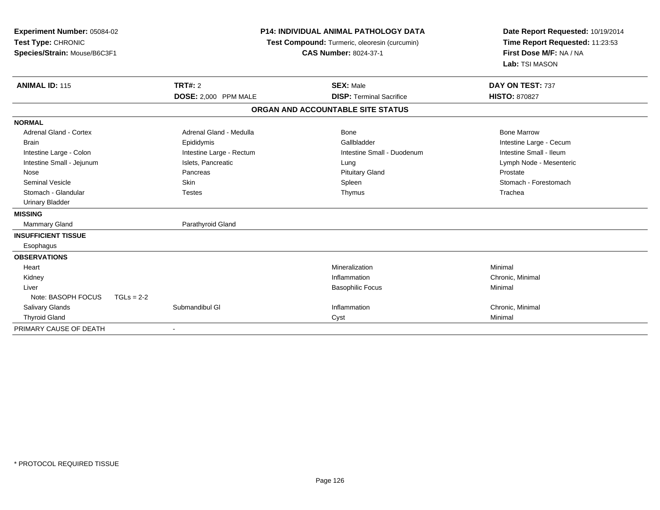| Experiment Number: 05084-02<br>Test Type: CHRONIC<br>Species/Strain: Mouse/B6C3F1 |                          | <b>P14: INDIVIDUAL ANIMAL PATHOLOGY DATA</b><br>Test Compound: Turmeric, oleoresin (curcumin)<br><b>CAS Number: 8024-37-1</b> | Date Report Requested: 10/19/2014<br>Time Report Requested: 11:23:53<br>First Dose M/F: NA / NA<br>Lab: TSI MASON |  |
|-----------------------------------------------------------------------------------|--------------------------|-------------------------------------------------------------------------------------------------------------------------------|-------------------------------------------------------------------------------------------------------------------|--|
| <b>ANIMAL ID: 115</b>                                                             | <b>TRT#: 2</b>           | <b>SEX: Male</b>                                                                                                              | DAY ON TEST: 737                                                                                                  |  |
|                                                                                   | DOSE: 2,000 PPM MALE     | <b>DISP: Terminal Sacrifice</b>                                                                                               | <b>HISTO: 870827</b>                                                                                              |  |
|                                                                                   |                          | ORGAN AND ACCOUNTABLE SITE STATUS                                                                                             |                                                                                                                   |  |
| <b>NORMAL</b>                                                                     |                          |                                                                                                                               |                                                                                                                   |  |
| <b>Adrenal Gland - Cortex</b>                                                     | Adrenal Gland - Medulla  | <b>Bone</b>                                                                                                                   | <b>Bone Marrow</b>                                                                                                |  |
| <b>Brain</b>                                                                      | Epididymis               | Gallbladder                                                                                                                   | Intestine Large - Cecum                                                                                           |  |
| Intestine Large - Colon                                                           | Intestine Large - Rectum | Intestine Small - Duodenum                                                                                                    | Intestine Small - Ileum                                                                                           |  |
| Intestine Small - Jejunum                                                         | Islets, Pancreatic       | Lung                                                                                                                          | Lymph Node - Mesenteric                                                                                           |  |
| Nose                                                                              | Pancreas                 | <b>Pituitary Gland</b>                                                                                                        | Prostate                                                                                                          |  |
| <b>Seminal Vesicle</b>                                                            | Skin                     | Spleen                                                                                                                        | Stomach - Forestomach                                                                                             |  |
| Stomach - Glandular                                                               | <b>Testes</b>            | Thymus                                                                                                                        | Trachea                                                                                                           |  |
| <b>Urinary Bladder</b>                                                            |                          |                                                                                                                               |                                                                                                                   |  |
| <b>MISSING</b>                                                                    |                          |                                                                                                                               |                                                                                                                   |  |
| <b>Mammary Gland</b>                                                              | Parathyroid Gland        |                                                                                                                               |                                                                                                                   |  |
| <b>INSUFFICIENT TISSUE</b>                                                        |                          |                                                                                                                               |                                                                                                                   |  |
| Esophagus                                                                         |                          |                                                                                                                               |                                                                                                                   |  |
| <b>OBSERVATIONS</b>                                                               |                          |                                                                                                                               |                                                                                                                   |  |
| Heart                                                                             |                          | Mineralization                                                                                                                | Minimal                                                                                                           |  |
| Kidney                                                                            |                          | Inflammation                                                                                                                  | Chronic, Minimal                                                                                                  |  |
| Liver                                                                             |                          | <b>Basophilic Focus</b>                                                                                                       | Minimal                                                                                                           |  |
| Note: BASOPH FOCUS<br>$TGLs = 2-2$                                                |                          |                                                                                                                               |                                                                                                                   |  |
| <b>Salivary Glands</b>                                                            | Submandibul GI           | Inflammation                                                                                                                  | Chronic, Minimal                                                                                                  |  |
| <b>Thyroid Gland</b>                                                              |                          | Cyst                                                                                                                          | Minimal                                                                                                           |  |
| PRIMARY CAUSE OF DEATH                                                            | $\overline{\phantom{a}}$ |                                                                                                                               |                                                                                                                   |  |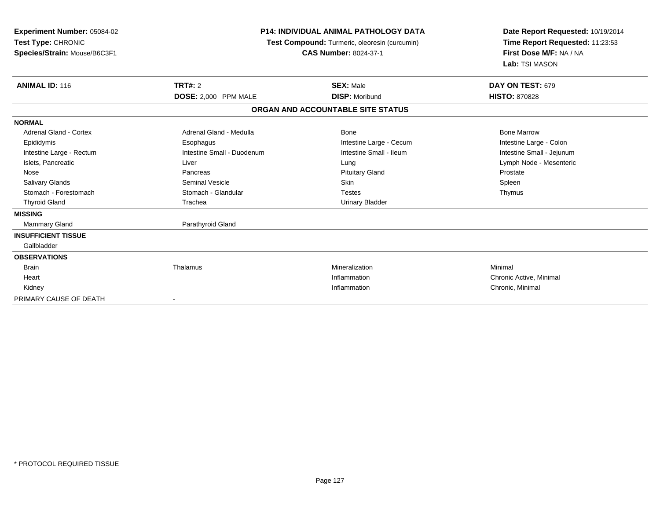| Experiment Number: 05084-02<br>Test Type: CHRONIC<br>Species/Strain: Mouse/B6C3F1 |                            | <b>P14: INDIVIDUAL ANIMAL PATHOLOGY DATA</b><br><b>Test Compound:</b> Turmeric, oleoresin (curcumin)<br><b>CAS Number: 8024-37-1</b> |                           |
|-----------------------------------------------------------------------------------|----------------------------|--------------------------------------------------------------------------------------------------------------------------------------|---------------------------|
| <b>ANIMAL ID: 116</b>                                                             | <b>TRT#: 2</b>             | <b>SEX: Male</b>                                                                                                                     | DAY ON TEST: 679          |
|                                                                                   | DOSE: 2,000 PPM MALE       | <b>DISP: Moribund</b>                                                                                                                | <b>HISTO: 870828</b>      |
|                                                                                   |                            | ORGAN AND ACCOUNTABLE SITE STATUS                                                                                                    |                           |
| <b>NORMAL</b>                                                                     |                            |                                                                                                                                      |                           |
| <b>Adrenal Gland - Cortex</b>                                                     | Adrenal Gland - Medulla    | Bone                                                                                                                                 | <b>Bone Marrow</b>        |
| Epididymis                                                                        | Esophagus                  | Intestine Large - Cecum                                                                                                              | Intestine Large - Colon   |
| Intestine Large - Rectum                                                          | Intestine Small - Duodenum | Intestine Small - Ileum                                                                                                              | Intestine Small - Jejunum |
| Islets, Pancreatic                                                                | Liver                      | Lung                                                                                                                                 | Lymph Node - Mesenteric   |
| Nose                                                                              | Pancreas                   | <b>Pituitary Gland</b>                                                                                                               | Prostate                  |
| <b>Salivary Glands</b>                                                            | <b>Seminal Vesicle</b>     | <b>Skin</b>                                                                                                                          | Spleen                    |
| Stomach - Forestomach                                                             | Stomach - Glandular        | <b>Testes</b>                                                                                                                        | Thymus                    |
| <b>Thyroid Gland</b>                                                              | Trachea                    | <b>Urinary Bladder</b>                                                                                                               |                           |
| <b>MISSING</b>                                                                    |                            |                                                                                                                                      |                           |
| <b>Mammary Gland</b>                                                              | Parathyroid Gland          |                                                                                                                                      |                           |
| <b>INSUFFICIENT TISSUE</b>                                                        |                            |                                                                                                                                      |                           |
| Gallbladder                                                                       |                            |                                                                                                                                      |                           |
| <b>OBSERVATIONS</b>                                                               |                            |                                                                                                                                      |                           |
| <b>Brain</b>                                                                      | Thalamus                   | Mineralization                                                                                                                       | Minimal                   |
| Heart                                                                             |                            | Inflammation                                                                                                                         | Chronic Active, Minimal   |
| Kidney                                                                            |                            | Inflammation                                                                                                                         | Chronic, Minimal          |
| PRIMARY CAUSE OF DEATH                                                            |                            |                                                                                                                                      |                           |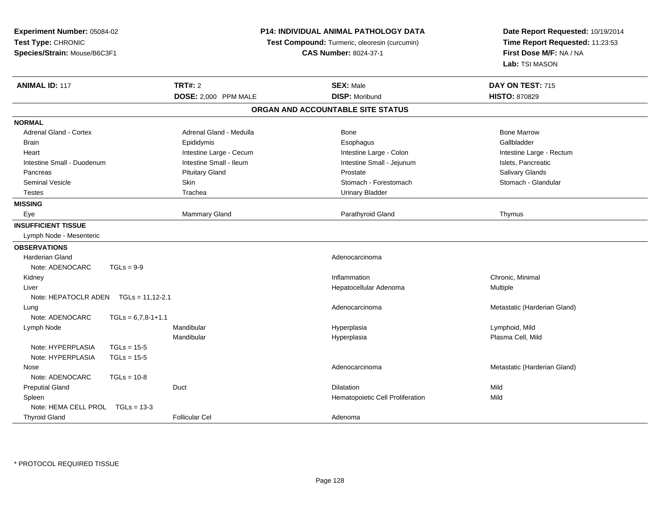| Experiment Number: 05084-02<br>Test Type: CHRONIC |                      | P14: INDIVIDUAL ANIMAL PATHOLOGY DATA |  | Date Report Requested: 10/19/2014             |                                 |  |
|---------------------------------------------------|----------------------|---------------------------------------|--|-----------------------------------------------|---------------------------------|--|
|                                                   |                      |                                       |  | Test Compound: Turmeric, oleoresin (curcumin) | Time Report Requested: 11:23:53 |  |
| Species/Strain: Mouse/B6C3F1                      |                      | <b>CAS Number: 8024-37-1</b>          |  | First Dose M/F: NA / NA                       |                                 |  |
|                                                   |                      |                                       |  |                                               | Lab: TSI MASON                  |  |
| <b>ANIMAL ID: 117</b>                             |                      | <b>TRT#: 2</b>                        |  | <b>SEX: Male</b>                              | DAY ON TEST: 715                |  |
|                                                   |                      | DOSE: 2,000 PPM MALE                  |  | <b>DISP: Moribund</b>                         | <b>HISTO: 870829</b>            |  |
|                                                   |                      |                                       |  | ORGAN AND ACCOUNTABLE SITE STATUS             |                                 |  |
| <b>NORMAL</b>                                     |                      |                                       |  |                                               |                                 |  |
| <b>Adrenal Gland - Cortex</b>                     |                      | Adrenal Gland - Medulla               |  | <b>Bone</b>                                   | <b>Bone Marrow</b>              |  |
| <b>Brain</b>                                      |                      | Epididymis                            |  | Esophagus                                     | Gallbladder                     |  |
| Heart                                             |                      | Intestine Large - Cecum               |  | Intestine Large - Colon                       | Intestine Large - Rectum        |  |
| Intestine Small - Duodenum                        |                      | Intestine Small - Ileum               |  | Intestine Small - Jejunum                     | Islets, Pancreatic              |  |
| Pancreas                                          |                      | <b>Pituitary Gland</b>                |  | Prostate                                      | Salivary Glands                 |  |
| <b>Seminal Vesicle</b>                            |                      | Skin                                  |  | Stomach - Forestomach                         | Stomach - Glandular             |  |
| <b>Testes</b>                                     |                      | Trachea                               |  | <b>Urinary Bladder</b>                        |                                 |  |
| <b>MISSING</b>                                    |                      |                                       |  |                                               |                                 |  |
| Eye                                               |                      | Mammary Gland                         |  | Parathyroid Gland                             | Thymus                          |  |
| <b>INSUFFICIENT TISSUE</b>                        |                      |                                       |  |                                               |                                 |  |
| Lymph Node - Mesenteric                           |                      |                                       |  |                                               |                                 |  |
| <b>OBSERVATIONS</b>                               |                      |                                       |  |                                               |                                 |  |
| <b>Harderian Gland</b>                            |                      |                                       |  | Adenocarcinoma                                |                                 |  |
| Note: ADENOCARC                                   | $TGLs = 9-9$         |                                       |  |                                               |                                 |  |
| Kidney                                            |                      |                                       |  | Inflammation                                  | Chronic, Minimal                |  |
| Liver                                             |                      |                                       |  | Hepatocellular Adenoma                        | Multiple                        |  |
| Note: HEPATOCLR ADEN                              | $TGLs = 11,12-2.1$   |                                       |  |                                               |                                 |  |
| Lung                                              |                      |                                       |  | Adenocarcinoma                                | Metastatic (Harderian Gland)    |  |
| Note: ADENOCARC                                   | $TGLs = 6,7,8-1+1.1$ |                                       |  |                                               |                                 |  |
| Lymph Node                                        |                      | Mandibular                            |  | Hyperplasia                                   | Lymphoid, Mild                  |  |
|                                                   |                      | Mandibular                            |  | Hyperplasia                                   | Plasma Cell, Mild               |  |
| Note: HYPERPLASIA                                 | $TGLs = 15-5$        |                                       |  |                                               |                                 |  |
| Note: HYPERPLASIA                                 | $TGLs = 15-5$        |                                       |  |                                               |                                 |  |
| Nose                                              |                      |                                       |  | Adenocarcinoma                                | Metastatic (Harderian Gland)    |  |
| Note: ADENOCARC                                   | $TGLs = 10-8$        |                                       |  |                                               |                                 |  |
| <b>Preputial Gland</b>                            |                      | Duct                                  |  | Dilatation                                    | Mild                            |  |
| Spleen                                            |                      |                                       |  | Hematopoietic Cell Proliferation              | Mild                            |  |
| Note: HEMA CELL PROL TGLs = 13-3                  |                      |                                       |  |                                               |                                 |  |
| <b>Thyroid Gland</b>                              |                      | <b>Follicular Cel</b>                 |  | Adenoma                                       |                                 |  |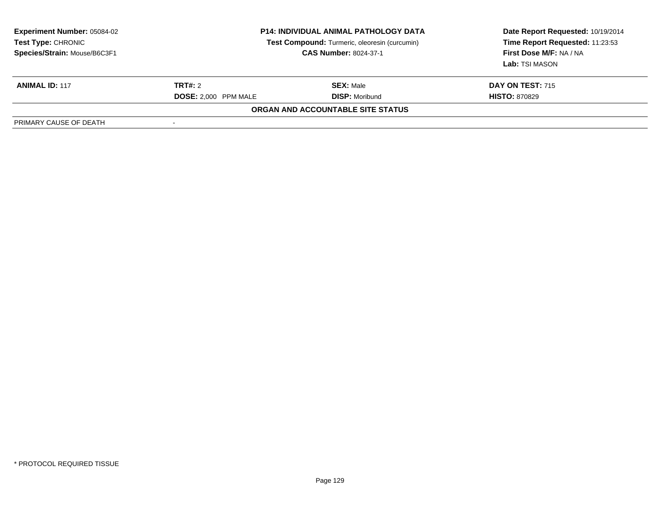| <b>Experiment Number: 05084-02</b><br>Test Type: CHRONIC<br>Species/Strain: Mouse/B6C3F1 | <b>P14: INDIVIDUAL ANIMAL PATHOLOGY DATA</b><br>Test Compound: Turmeric, oleoresin (curcumin)<br><b>CAS Number: 8024-37-1</b> |                                          | Date Report Requested: 10/19/2014<br>Time Report Requested: 11:23:53<br>First Dose M/F: NA / NA<br>Lab: TSI MASON |
|------------------------------------------------------------------------------------------|-------------------------------------------------------------------------------------------------------------------------------|------------------------------------------|-------------------------------------------------------------------------------------------------------------------|
| <b>ANIMAL ID: 117</b>                                                                    | <b>TRT#:</b> 2                                                                                                                | <b>SEX: Male</b>                         | <b>DAY ON TEST: 715</b>                                                                                           |
|                                                                                          | <b>DOSE: 2.000 PPM MALE</b>                                                                                                   | <b>DISP: Moribund</b>                    | <b>HISTO: 870829</b>                                                                                              |
|                                                                                          |                                                                                                                               | <b>ORGAN AND ACCOUNTABLE SITE STATUS</b> |                                                                                                                   |
| PRIMARY CAUSE OF DEATH                                                                   |                                                                                                                               |                                          |                                                                                                                   |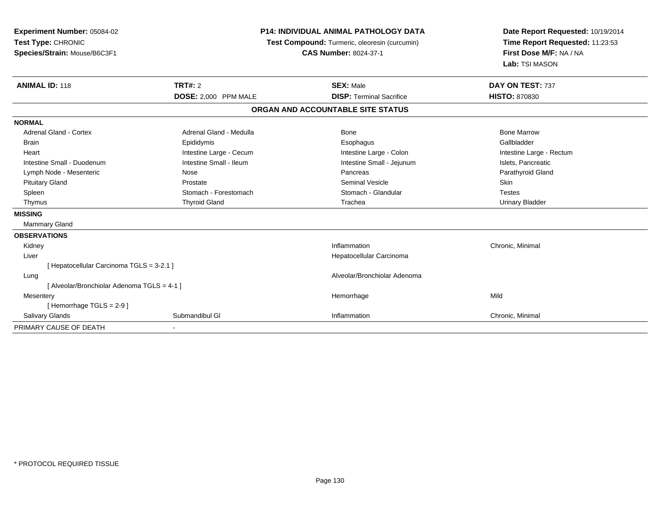| Experiment Number: 05084-02<br>Test Type: CHRONIC<br>Species/Strain: Mouse/B6C3F1<br><b>ANIMAL ID: 118</b> | <b>TRT#: 2</b>          | <b>P14: INDIVIDUAL ANIMAL PATHOLOGY DATA</b><br>Test Compound: Turmeric, oleoresin (curcumin)<br><b>CAS Number: 8024-37-1</b><br><b>SEX: Male</b> | Date Report Requested: 10/19/2014<br>Time Report Requested: 11:23:53<br>First Dose M/F: NA / NA<br>Lab: TSI MASON<br>DAY ON TEST: 737 |
|------------------------------------------------------------------------------------------------------------|-------------------------|---------------------------------------------------------------------------------------------------------------------------------------------------|---------------------------------------------------------------------------------------------------------------------------------------|
|                                                                                                            | DOSE: 2,000 PPM MALE    | <b>DISP: Terminal Sacrifice</b>                                                                                                                   | <b>HISTO: 870830</b>                                                                                                                  |
|                                                                                                            |                         | ORGAN AND ACCOUNTABLE SITE STATUS                                                                                                                 |                                                                                                                                       |
| <b>NORMAL</b>                                                                                              |                         |                                                                                                                                                   |                                                                                                                                       |
| <b>Adrenal Gland - Cortex</b>                                                                              | Adrenal Gland - Medulla | <b>Bone</b>                                                                                                                                       | <b>Bone Marrow</b>                                                                                                                    |
| <b>Brain</b>                                                                                               | Epididymis              | Esophagus                                                                                                                                         | Gallbladder                                                                                                                           |
| Heart                                                                                                      | Intestine Large - Cecum | Intestine Large - Colon                                                                                                                           | Intestine Large - Rectum                                                                                                              |
| Intestine Small - Duodenum                                                                                 | Intestine Small - Ileum | Intestine Small - Jejunum                                                                                                                         | Islets, Pancreatic                                                                                                                    |
| Lymph Node - Mesenteric                                                                                    | Nose                    | Pancreas                                                                                                                                          | Parathyroid Gland                                                                                                                     |
| <b>Pituitary Gland</b>                                                                                     | Prostate                | <b>Seminal Vesicle</b>                                                                                                                            | Skin                                                                                                                                  |
| Spleen                                                                                                     | Stomach - Forestomach   | Stomach - Glandular                                                                                                                               | <b>Testes</b>                                                                                                                         |
| Thymus                                                                                                     | <b>Thyroid Gland</b>    | Trachea                                                                                                                                           | <b>Urinary Bladder</b>                                                                                                                |
| <b>MISSING</b>                                                                                             |                         |                                                                                                                                                   |                                                                                                                                       |
| <b>Mammary Gland</b>                                                                                       |                         |                                                                                                                                                   |                                                                                                                                       |
| <b>OBSERVATIONS</b>                                                                                        |                         |                                                                                                                                                   |                                                                                                                                       |
| Kidney                                                                                                     |                         | Inflammation                                                                                                                                      | Chronic, Minimal                                                                                                                      |
| Liver                                                                                                      |                         | Hepatocellular Carcinoma                                                                                                                          |                                                                                                                                       |
| [ Hepatocellular Carcinoma TGLS = 3-2.1 ]                                                                  |                         |                                                                                                                                                   |                                                                                                                                       |
| Lung                                                                                                       |                         | Alveolar/Bronchiolar Adenoma                                                                                                                      |                                                                                                                                       |
| [ Alveolar/Bronchiolar Adenoma TGLS = 4-1 ]                                                                |                         |                                                                                                                                                   |                                                                                                                                       |
| Mesentery                                                                                                  |                         | Hemorrhage                                                                                                                                        | Mild                                                                                                                                  |
| [Hemorrhage TGLS = 2-9]                                                                                    |                         |                                                                                                                                                   |                                                                                                                                       |
| Salivary Glands                                                                                            | Submandibul GI          | Inflammation                                                                                                                                      | Chronic, Minimal                                                                                                                      |
| PRIMARY CAUSE OF DEATH                                                                                     |                         |                                                                                                                                                   |                                                                                                                                       |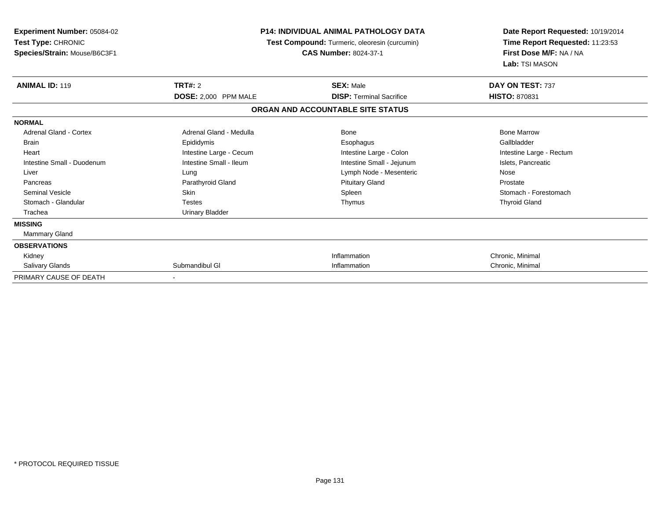| <b>Experiment Number: 05084-02</b><br>Test Type: CHRONIC<br>Species/Strain: Mouse/B6C3F1 | <b>P14: INDIVIDUAL ANIMAL PATHOLOGY DATA</b><br>Test Compound: Turmeric, oleoresin (curcumin) | Date Report Requested: 10/19/2014<br>Time Report Requested: 11:23:53<br>First Dose M/F: NA / NA<br>Lab: TSI MASON |                          |
|------------------------------------------------------------------------------------------|-----------------------------------------------------------------------------------------------|-------------------------------------------------------------------------------------------------------------------|--------------------------|
| <b>ANIMAL ID: 119</b>                                                                    | <b>TRT#: 2</b>                                                                                | <b>SEX: Male</b>                                                                                                  | DAY ON TEST: 737         |
|                                                                                          | DOSE: 2,000 PPM MALE                                                                          | <b>DISP: Terminal Sacrifice</b>                                                                                   | <b>HISTO: 870831</b>     |
|                                                                                          |                                                                                               | ORGAN AND ACCOUNTABLE SITE STATUS                                                                                 |                          |
| <b>NORMAL</b>                                                                            |                                                                                               |                                                                                                                   |                          |
| Adrenal Gland - Cortex                                                                   | Adrenal Gland - Medulla                                                                       | Bone                                                                                                              | <b>Bone Marrow</b>       |
| <b>Brain</b>                                                                             | Epididymis                                                                                    | Esophagus                                                                                                         | Gallbladder              |
| Heart                                                                                    | Intestine Large - Cecum                                                                       | Intestine Large - Colon                                                                                           | Intestine Large - Rectum |
| Intestine Small - Duodenum                                                               | Intestine Small - Ileum                                                                       | Intestine Small - Jejunum                                                                                         | Islets, Pancreatic       |
| Liver                                                                                    | Lung                                                                                          | Lymph Node - Mesenteric                                                                                           | Nose                     |
| Pancreas                                                                                 | Parathyroid Gland                                                                             | <b>Pituitary Gland</b>                                                                                            | Prostate                 |
| <b>Seminal Vesicle</b>                                                                   | <b>Skin</b>                                                                                   | Spleen                                                                                                            | Stomach - Forestomach    |
| Stomach - Glandular                                                                      | Testes                                                                                        | Thymus                                                                                                            | <b>Thyroid Gland</b>     |
| Trachea                                                                                  | <b>Urinary Bladder</b>                                                                        |                                                                                                                   |                          |
| <b>MISSING</b>                                                                           |                                                                                               |                                                                                                                   |                          |
| Mammary Gland                                                                            |                                                                                               |                                                                                                                   |                          |
| <b>OBSERVATIONS</b>                                                                      |                                                                                               |                                                                                                                   |                          |
| Kidney                                                                                   |                                                                                               | Inflammation                                                                                                      | Chronic, Minimal         |
| Salivary Glands                                                                          | Submandibul GI                                                                                | Inflammation                                                                                                      | Chronic, Minimal         |
| PRIMARY CAUSE OF DEATH                                                                   |                                                                                               |                                                                                                                   |                          |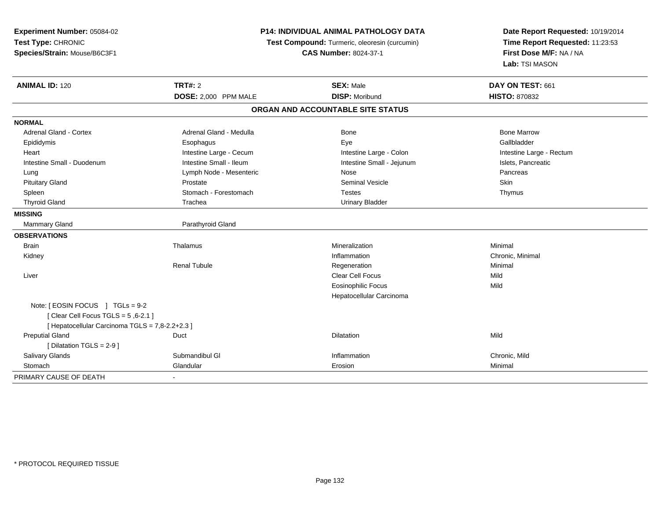| Experiment Number: 05084-02<br>Test Type: CHRONIC<br>Species/Strain: Mouse/B6C3F1 | <b>P14: INDIVIDUAL ANIMAL PATHOLOGY DATA</b><br>Test Compound: Turmeric, oleoresin (curcumin)<br><b>CAS Number: 8024-37-1</b> |                                           | Date Report Requested: 10/19/2014<br>Time Report Requested: 11:23:53<br>First Dose M/F: NA / NA<br>Lab: TSI MASON |  |
|-----------------------------------------------------------------------------------|-------------------------------------------------------------------------------------------------------------------------------|-------------------------------------------|-------------------------------------------------------------------------------------------------------------------|--|
| <b>ANIMAL ID: 120</b>                                                             | <b>TRT#: 2</b><br>DOSE: 2,000 PPM MALE                                                                                        | <b>SEX: Male</b><br><b>DISP: Moribund</b> | DAY ON TEST: 661<br><b>HISTO: 870832</b>                                                                          |  |
|                                                                                   |                                                                                                                               |                                           |                                                                                                                   |  |
|                                                                                   |                                                                                                                               | ORGAN AND ACCOUNTABLE SITE STATUS         |                                                                                                                   |  |
| <b>NORMAL</b>                                                                     |                                                                                                                               |                                           |                                                                                                                   |  |
| <b>Adrenal Gland - Cortex</b>                                                     | Adrenal Gland - Medulla                                                                                                       | Bone                                      | <b>Bone Marrow</b>                                                                                                |  |
| Epididymis                                                                        | Esophagus                                                                                                                     | Eye                                       | Gallbladder                                                                                                       |  |
| Heart                                                                             | Intestine Large - Cecum                                                                                                       | Intestine Large - Colon                   | Intestine Large - Rectum                                                                                          |  |
| Intestine Small - Duodenum                                                        | Intestine Small - Ileum                                                                                                       | Intestine Small - Jejunum                 | Islets, Pancreatic                                                                                                |  |
| Lung                                                                              | Lymph Node - Mesenteric                                                                                                       | Nose                                      | Pancreas                                                                                                          |  |
| <b>Pituitary Gland</b>                                                            | Prostate                                                                                                                      | <b>Seminal Vesicle</b>                    | Skin                                                                                                              |  |
| Spleen                                                                            | Stomach - Forestomach                                                                                                         | <b>Testes</b>                             | Thymus                                                                                                            |  |
| <b>Thyroid Gland</b>                                                              | Trachea                                                                                                                       | <b>Urinary Bladder</b>                    |                                                                                                                   |  |
| <b>MISSING</b>                                                                    |                                                                                                                               |                                           |                                                                                                                   |  |
| Mammary Gland                                                                     | Parathyroid Gland                                                                                                             |                                           |                                                                                                                   |  |
| <b>OBSERVATIONS</b>                                                               |                                                                                                                               |                                           |                                                                                                                   |  |
| Brain                                                                             | Thalamus                                                                                                                      | Mineralization                            | Minimal                                                                                                           |  |
| Kidney                                                                            |                                                                                                                               | Inflammation                              | Chronic, Minimal                                                                                                  |  |
|                                                                                   | <b>Renal Tubule</b>                                                                                                           | Regeneration                              | Minimal                                                                                                           |  |
| Liver                                                                             |                                                                                                                               | <b>Clear Cell Focus</b>                   | Mild                                                                                                              |  |
|                                                                                   |                                                                                                                               | <b>Eosinophilic Focus</b>                 | Mild                                                                                                              |  |
|                                                                                   |                                                                                                                               | Hepatocellular Carcinoma                  |                                                                                                                   |  |
| Note: [EOSIN FOCUS ] TGLs = 9-2                                                   |                                                                                                                               |                                           |                                                                                                                   |  |
| [ Clear Cell Focus TGLS = 5,6-2.1]                                                |                                                                                                                               |                                           |                                                                                                                   |  |
| [ Hepatocellular Carcinoma TGLS = 7,8-2.2+2.3 ]                                   |                                                                                                                               |                                           |                                                                                                                   |  |
| <b>Preputial Gland</b>                                                            | Duct                                                                                                                          | <b>Dilatation</b>                         | Mild                                                                                                              |  |
| [ Dilatation TGLS = 2-9 ]                                                         |                                                                                                                               |                                           |                                                                                                                   |  |
| Salivary Glands                                                                   | Submandibul GI                                                                                                                | Inflammation                              | Chronic, Mild                                                                                                     |  |
| Stomach                                                                           | Glandular                                                                                                                     | Erosion                                   | Minimal                                                                                                           |  |
| PRIMARY CAUSE OF DEATH                                                            |                                                                                                                               |                                           |                                                                                                                   |  |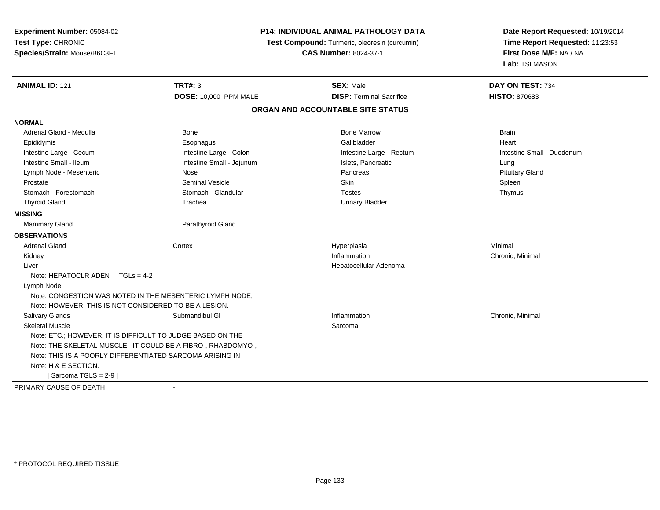| Experiment Number: 05084-02<br>Test Type: CHRONIC<br>Species/Strain: Mouse/B6C3F1 |                                                              | P14: INDIVIDUAL ANIMAL PATHOLOGY DATA<br>Test Compound: Turmeric, oleoresin (curcumin)<br><b>CAS Number: 8024-37-1</b> | Date Report Requested: 10/19/2014<br>Time Report Requested: 11:23:53<br>First Dose M/F: NA / NA<br>Lab: TSI MASON |  |
|-----------------------------------------------------------------------------------|--------------------------------------------------------------|------------------------------------------------------------------------------------------------------------------------|-------------------------------------------------------------------------------------------------------------------|--|
| <b>ANIMAL ID: 121</b>                                                             | <b>TRT#: 3</b>                                               | <b>SEX: Male</b>                                                                                                       | DAY ON TEST: 734                                                                                                  |  |
|                                                                                   | <b>DOSE: 10,000 PPM MALE</b>                                 | <b>DISP: Terminal Sacrifice</b>                                                                                        | <b>HISTO: 870683</b>                                                                                              |  |
|                                                                                   |                                                              | ORGAN AND ACCOUNTABLE SITE STATUS                                                                                      |                                                                                                                   |  |
| <b>NORMAL</b>                                                                     |                                                              |                                                                                                                        |                                                                                                                   |  |
| Adrenal Gland - Medulla                                                           | <b>Bone</b>                                                  | <b>Bone Marrow</b>                                                                                                     | <b>Brain</b>                                                                                                      |  |
| Epididymis                                                                        | Esophagus                                                    | Gallbladder                                                                                                            | Heart                                                                                                             |  |
| Intestine Large - Cecum                                                           | Intestine Large - Colon                                      | Intestine Large - Rectum                                                                                               | Intestine Small - Duodenum                                                                                        |  |
| Intestine Small - Ileum                                                           | Intestine Small - Jejunum                                    | Islets, Pancreatic                                                                                                     | Lung                                                                                                              |  |
| Lymph Node - Mesenteric                                                           | Nose                                                         | Pancreas                                                                                                               | <b>Pituitary Gland</b>                                                                                            |  |
| Prostate                                                                          | <b>Seminal Vesicle</b>                                       | Skin                                                                                                                   | Spleen                                                                                                            |  |
| Stomach - Forestomach                                                             | Stomach - Glandular                                          | <b>Testes</b>                                                                                                          | Thymus                                                                                                            |  |
| <b>Thyroid Gland</b>                                                              | Trachea                                                      | <b>Urinary Bladder</b>                                                                                                 |                                                                                                                   |  |
| <b>MISSING</b>                                                                    |                                                              |                                                                                                                        |                                                                                                                   |  |
| <b>Mammary Gland</b>                                                              | Parathyroid Gland                                            |                                                                                                                        |                                                                                                                   |  |
| <b>OBSERVATIONS</b>                                                               |                                                              |                                                                                                                        |                                                                                                                   |  |
| <b>Adrenal Gland</b>                                                              | Cortex                                                       | Hyperplasia                                                                                                            | Minimal                                                                                                           |  |
| Kidney                                                                            |                                                              | Inflammation                                                                                                           | Chronic, Minimal                                                                                                  |  |
| Liver                                                                             |                                                              | Hepatocellular Adenoma                                                                                                 |                                                                                                                   |  |
| Note: HEPATOCLR ADEN TGLs = 4-2                                                   |                                                              |                                                                                                                        |                                                                                                                   |  |
| Lymph Node                                                                        |                                                              |                                                                                                                        |                                                                                                                   |  |
| Note: CONGESTION WAS NOTED IN THE MESENTERIC LYMPH NODE;                          |                                                              |                                                                                                                        |                                                                                                                   |  |
| Note: HOWEVER, THIS IS NOT CONSIDERED TO BE A LESION.                             |                                                              |                                                                                                                        |                                                                                                                   |  |
| <b>Salivary Glands</b>                                                            | Submandibul GI                                               | Inflammation                                                                                                           | Chronic, Minimal                                                                                                  |  |
| <b>Skeletal Muscle</b>                                                            |                                                              | Sarcoma                                                                                                                |                                                                                                                   |  |
| Note: ETC.; HOWEVER, IT IS DIFFICULT TO JUDGE BASED ON THE                        |                                                              |                                                                                                                        |                                                                                                                   |  |
|                                                                                   | Note: THE SKELETAL MUSCLE. IT COULD BE A FIBRO-, RHABDOMYO-, |                                                                                                                        |                                                                                                                   |  |
| Note: THIS IS A POORLY DIFFERENTIATED SARCOMA ARISING IN                          |                                                              |                                                                                                                        |                                                                                                                   |  |
| Note: H & E SECTION.                                                              |                                                              |                                                                                                                        |                                                                                                                   |  |
| [Sarcoma TGLS = $2-9$ ]                                                           |                                                              |                                                                                                                        |                                                                                                                   |  |
| PRIMARY CAUSE OF DEATH                                                            |                                                              |                                                                                                                        |                                                                                                                   |  |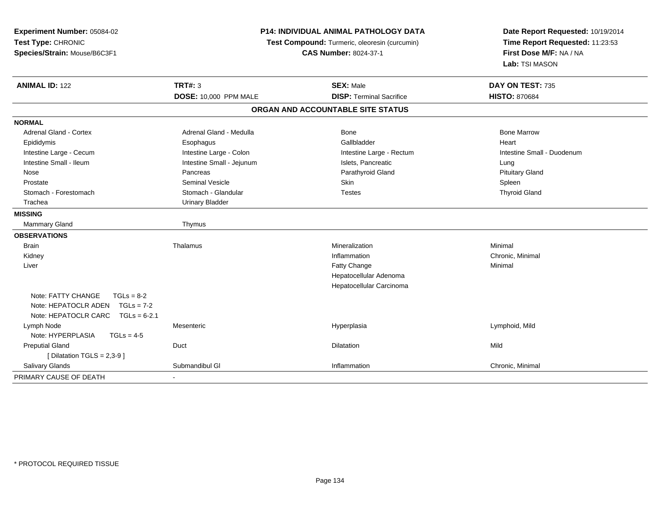| Experiment Number: 05084-02<br>Test Type: CHRONIC<br>Species/Strain: Mouse/B6C3F1 | <b>P14: INDIVIDUAL ANIMAL PATHOLOGY DATA</b><br>Test Compound: Turmeric, oleoresin (curcumin)<br><b>CAS Number: 8024-37-1</b> |                                   | Date Report Requested: 10/19/2014<br>Time Report Requested: 11:23:53<br>First Dose M/F: NA / NA<br>Lab: TSI MASON |  |
|-----------------------------------------------------------------------------------|-------------------------------------------------------------------------------------------------------------------------------|-----------------------------------|-------------------------------------------------------------------------------------------------------------------|--|
| <b>ANIMAL ID: 122</b>                                                             | <b>TRT#: 3</b>                                                                                                                | <b>SEX: Male</b>                  | DAY ON TEST: 735                                                                                                  |  |
|                                                                                   | <b>DOSE: 10,000 PPM MALE</b>                                                                                                  | <b>DISP: Terminal Sacrifice</b>   | <b>HISTO: 870684</b>                                                                                              |  |
|                                                                                   |                                                                                                                               | ORGAN AND ACCOUNTABLE SITE STATUS |                                                                                                                   |  |
| <b>NORMAL</b>                                                                     |                                                                                                                               |                                   |                                                                                                                   |  |
| <b>Adrenal Gland - Cortex</b>                                                     | Adrenal Gland - Medulla                                                                                                       | Bone                              | <b>Bone Marrow</b>                                                                                                |  |
| Epididymis                                                                        | Esophagus                                                                                                                     | Gallbladder                       | Heart                                                                                                             |  |
| Intestine Large - Cecum                                                           | Intestine Large - Colon                                                                                                       | Intestine Large - Rectum          | Intestine Small - Duodenum                                                                                        |  |
| Intestine Small - Ileum                                                           | Intestine Small - Jejunum                                                                                                     | Islets, Pancreatic                | Lung                                                                                                              |  |
| Nose                                                                              | Pancreas                                                                                                                      | Parathyroid Gland                 | <b>Pituitary Gland</b>                                                                                            |  |
| Prostate                                                                          | <b>Seminal Vesicle</b>                                                                                                        | <b>Skin</b>                       | Spleen                                                                                                            |  |
| Stomach - Forestomach                                                             | Stomach - Glandular                                                                                                           | <b>Testes</b>                     | <b>Thyroid Gland</b>                                                                                              |  |
| Trachea                                                                           | <b>Urinary Bladder</b>                                                                                                        |                                   |                                                                                                                   |  |
| <b>MISSING</b>                                                                    |                                                                                                                               |                                   |                                                                                                                   |  |
| Mammary Gland                                                                     | Thymus                                                                                                                        |                                   |                                                                                                                   |  |
| <b>OBSERVATIONS</b>                                                               |                                                                                                                               |                                   |                                                                                                                   |  |
| <b>Brain</b>                                                                      | Thalamus                                                                                                                      | Mineralization                    | Minimal                                                                                                           |  |
| Kidney                                                                            |                                                                                                                               | Inflammation                      | Chronic, Minimal                                                                                                  |  |
| Liver                                                                             |                                                                                                                               | <b>Fatty Change</b>               | Minimal                                                                                                           |  |
|                                                                                   |                                                                                                                               | Hepatocellular Adenoma            |                                                                                                                   |  |
|                                                                                   |                                                                                                                               | Hepatocellular Carcinoma          |                                                                                                                   |  |
| Note: FATTY CHANGE<br>$TGLs = 8-2$                                                |                                                                                                                               |                                   |                                                                                                                   |  |
| Note: HEPATOCLR ADEN<br>$TGLs = 7-2$                                              |                                                                                                                               |                                   |                                                                                                                   |  |
| Note: HEPATOCLR CARC TGLs = 6-2.1                                                 |                                                                                                                               |                                   |                                                                                                                   |  |
| Lymph Node                                                                        | Mesenteric                                                                                                                    | Hyperplasia                       | Lymphoid, Mild                                                                                                    |  |
| Note: HYPERPLASIA<br>$TGLs = 4-5$                                                 |                                                                                                                               |                                   |                                                                                                                   |  |
| <b>Preputial Gland</b>                                                            | Duct                                                                                                                          | Dilatation                        | Mild                                                                                                              |  |
| [ Dilatation TGLS = $2,3-9$ ]                                                     |                                                                                                                               |                                   |                                                                                                                   |  |
| <b>Salivary Glands</b>                                                            | Submandibul GI                                                                                                                | Inflammation                      | Chronic, Minimal                                                                                                  |  |
| PRIMARY CAUSE OF DEATH                                                            |                                                                                                                               |                                   |                                                                                                                   |  |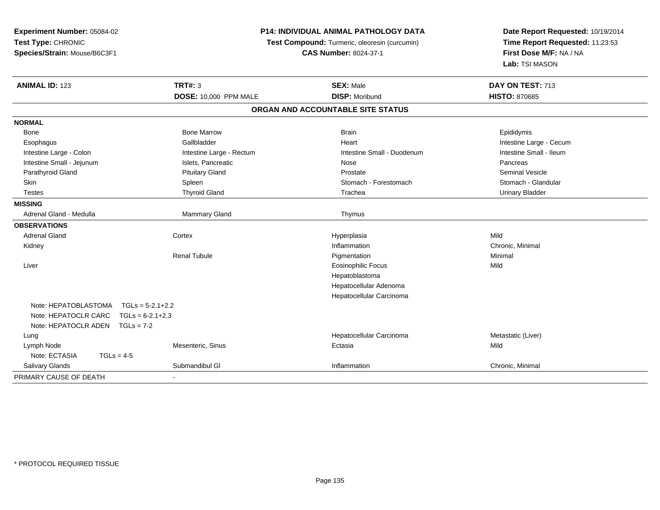| Experiment Number: 05084-02                | <b>P14: INDIVIDUAL ANIMAL PATHOLOGY DATA</b> |                                               | Date Report Requested: 10/19/2014 |
|--------------------------------------------|----------------------------------------------|-----------------------------------------------|-----------------------------------|
| Test Type: CHRONIC                         |                                              | Test Compound: Turmeric, oleoresin (curcumin) | Time Report Requested: 11:23:53   |
| Species/Strain: Mouse/B6C3F1               |                                              | <b>CAS Number: 8024-37-1</b>                  | First Dose M/F: NA / NA           |
|                                            |                                              |                                               | Lab: TSI MASON                    |
| <b>ANIMAL ID: 123</b>                      | <b>TRT#: 3</b>                               | <b>SEX: Male</b>                              | DAY ON TEST: 713                  |
|                                            | <b>DOSE: 10,000 PPM MALE</b>                 | <b>DISP: Moribund</b>                         | <b>HISTO: 870685</b>              |
|                                            |                                              | ORGAN AND ACCOUNTABLE SITE STATUS             |                                   |
| <b>NORMAL</b>                              |                                              |                                               |                                   |
| Bone                                       | <b>Bone Marrow</b>                           | <b>Brain</b>                                  | Epididymis                        |
| Esophagus                                  | Gallbladder                                  | Heart                                         | Intestine Large - Cecum           |
| Intestine Large - Colon                    | Intestine Large - Rectum                     | Intestine Small - Duodenum                    | Intestine Small - Ileum           |
| Intestine Small - Jejunum                  | Islets, Pancreatic                           | Nose                                          | Pancreas                          |
| Parathyroid Gland                          | <b>Pituitary Gland</b>                       | Prostate                                      | <b>Seminal Vesicle</b>            |
| Skin                                       | Spleen                                       | Stomach - Forestomach                         | Stomach - Glandular               |
| <b>Testes</b>                              | <b>Thyroid Gland</b>                         | Trachea                                       | <b>Urinary Bladder</b>            |
| <b>MISSING</b>                             |                                              |                                               |                                   |
| Adrenal Gland - Medulla                    | Mammary Gland                                | Thymus                                        |                                   |
| <b>OBSERVATIONS</b>                        |                                              |                                               |                                   |
| <b>Adrenal Gland</b>                       | Cortex                                       | Hyperplasia                                   | Mild                              |
| Kidney                                     |                                              | Inflammation                                  | Chronic, Minimal                  |
|                                            | <b>Renal Tubule</b>                          | Pigmentation                                  | Minimal                           |
| Liver                                      |                                              | <b>Eosinophilic Focus</b>                     | Mild                              |
|                                            |                                              | Hepatoblastoma                                |                                   |
|                                            |                                              | Hepatocellular Adenoma                        |                                   |
|                                            |                                              | Hepatocellular Carcinoma                      |                                   |
| Note: HEPATOBLASTOMA<br>$TGLs = 5-2.1+2.2$ |                                              |                                               |                                   |
| Note: HEPATOCLR CARC<br>$TGLs = 6-2.1+2.3$ |                                              |                                               |                                   |
| Note: HEPATOCLR ADEN<br>$TGLs = 7-2$       |                                              |                                               |                                   |
| Lung                                       |                                              | Hepatocellular Carcinoma                      | Metastatic (Liver)                |
| Lymph Node                                 | Mesenteric, Sinus                            | Ectasia                                       | Mild                              |
| Note: ECTASIA<br>$TGLs = 4-5$              |                                              |                                               |                                   |
| Salivary Glands                            | Submandibul GI                               | Inflammation                                  | Chronic, Minimal                  |
| PRIMARY CAUSE OF DEATH                     |                                              |                                               |                                   |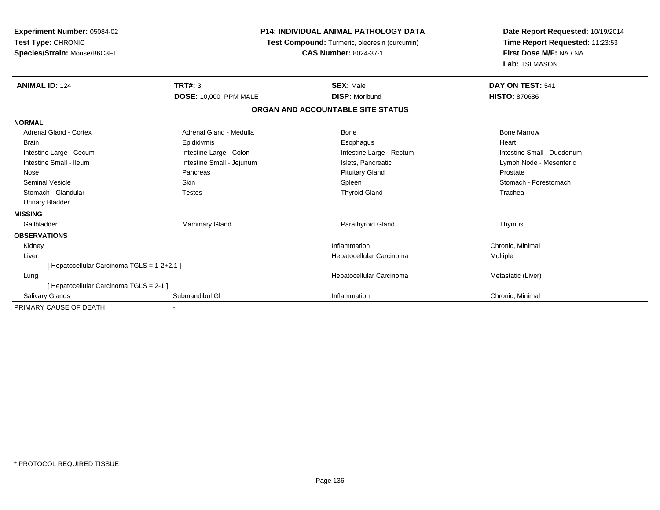| Experiment Number: 05084-02<br>Test Type: CHRONIC<br>Species/Strain: Mouse/B6C3F1 | <b>P14: INDIVIDUAL ANIMAL PATHOLOGY DATA</b><br>Test Compound: Turmeric, oleoresin (curcumin)<br><b>CAS Number: 8024-37-1</b> |                                   | Date Report Requested: 10/19/2014<br>Time Report Requested: 11:23:53<br>First Dose M/F: NA / NA<br>Lab: TSI MASON |  |
|-----------------------------------------------------------------------------------|-------------------------------------------------------------------------------------------------------------------------------|-----------------------------------|-------------------------------------------------------------------------------------------------------------------|--|
| <b>ANIMAL ID: 124</b>                                                             | <b>TRT#: 3</b>                                                                                                                | <b>SEX: Male</b>                  | DAY ON TEST: 541                                                                                                  |  |
|                                                                                   | DOSE: 10,000 PPM MALE                                                                                                         | <b>DISP: Moribund</b>             | <b>HISTO: 870686</b>                                                                                              |  |
|                                                                                   |                                                                                                                               | ORGAN AND ACCOUNTABLE SITE STATUS |                                                                                                                   |  |
| <b>NORMAL</b>                                                                     |                                                                                                                               |                                   |                                                                                                                   |  |
| Adrenal Gland - Cortex                                                            | Adrenal Gland - Medulla                                                                                                       | Bone                              | <b>Bone Marrow</b>                                                                                                |  |
| <b>Brain</b>                                                                      | Epididymis                                                                                                                    | Esophagus                         | Heart                                                                                                             |  |
| Intestine Large - Cecum                                                           | Intestine Large - Colon                                                                                                       | Intestine Large - Rectum          | Intestine Small - Duodenum                                                                                        |  |
| Intestine Small - Ileum                                                           | Intestine Small - Jejunum                                                                                                     | Islets. Pancreatic                | Lymph Node - Mesenteric                                                                                           |  |
| Nose                                                                              | Pancreas                                                                                                                      | <b>Pituitary Gland</b>            | Prostate                                                                                                          |  |
| <b>Seminal Vesicle</b>                                                            | Skin                                                                                                                          | Spleen                            | Stomach - Forestomach                                                                                             |  |
| Stomach - Glandular                                                               | <b>Testes</b>                                                                                                                 | <b>Thyroid Gland</b>              | Trachea                                                                                                           |  |
| <b>Urinary Bladder</b>                                                            |                                                                                                                               |                                   |                                                                                                                   |  |
| <b>MISSING</b>                                                                    |                                                                                                                               |                                   |                                                                                                                   |  |
| Gallbladder                                                                       | <b>Mammary Gland</b>                                                                                                          | Parathyroid Gland                 | Thymus                                                                                                            |  |
| <b>OBSERVATIONS</b>                                                               |                                                                                                                               |                                   |                                                                                                                   |  |
| Kidney                                                                            |                                                                                                                               | Inflammation                      | Chronic, Minimal                                                                                                  |  |
| Liver                                                                             |                                                                                                                               | Hepatocellular Carcinoma          | Multiple                                                                                                          |  |
| [ Hepatocellular Carcinoma TGLS = 1-2+2.1 ]                                       |                                                                                                                               |                                   |                                                                                                                   |  |
| Lung                                                                              |                                                                                                                               | Hepatocellular Carcinoma          | Metastatic (Liver)                                                                                                |  |
| [ Hepatocellular Carcinoma TGLS = 2-1 ]                                           |                                                                                                                               |                                   |                                                                                                                   |  |
| <b>Salivary Glands</b>                                                            | Submandibul GI                                                                                                                | Inflammation                      | Chronic, Minimal                                                                                                  |  |
| PRIMARY CAUSE OF DEATH                                                            |                                                                                                                               |                                   |                                                                                                                   |  |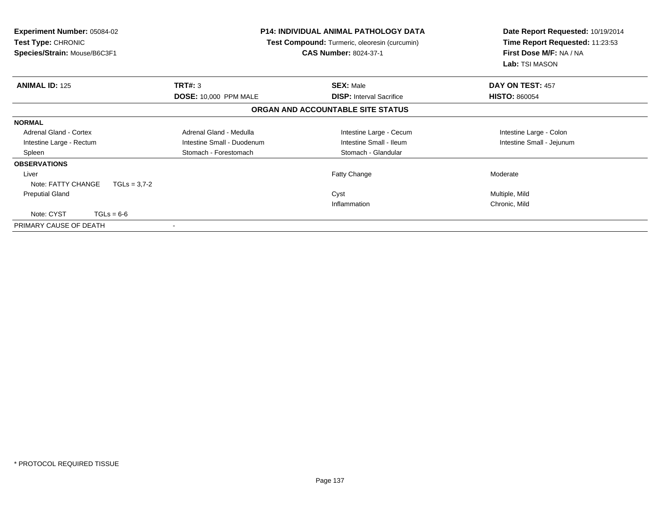| <b>Experiment Number: 05084-02</b><br><b>Test Type: CHRONIC</b><br>Species/Strain: Mouse/B6C3F1 | <b>P14: INDIVIDUAL ANIMAL PATHOLOGY DATA</b><br><b>Test Compound:</b> Turmeric, oleoresin (curcumin)<br><b>CAS Number: 8024-37-1</b> |                                   | Date Report Requested: 10/19/2014<br>Time Report Requested: 11:23:53<br>First Dose M/F: NA / NA<br>Lab: TSI MASON |  |
|-------------------------------------------------------------------------------------------------|--------------------------------------------------------------------------------------------------------------------------------------|-----------------------------------|-------------------------------------------------------------------------------------------------------------------|--|
| <b>ANIMAL ID: 125</b>                                                                           | TRT#: 3                                                                                                                              | <b>SEX: Male</b>                  | DAY ON TEST: 457                                                                                                  |  |
|                                                                                                 | DOSE: 10,000 PPM MALE                                                                                                                | <b>DISP:</b> Interval Sacrifice   | <b>HISTO: 860054</b>                                                                                              |  |
|                                                                                                 |                                                                                                                                      | ORGAN AND ACCOUNTABLE SITE STATUS |                                                                                                                   |  |
| <b>NORMAL</b>                                                                                   |                                                                                                                                      |                                   |                                                                                                                   |  |
| <b>Adrenal Gland - Cortex</b>                                                                   | Adrenal Gland - Medulla                                                                                                              | Intestine Large - Cecum           | Intestine Large - Colon                                                                                           |  |
| Intestine Large - Rectum                                                                        | Intestine Small - Duodenum                                                                                                           | Intestine Small - Ileum           | Intestine Small - Jejunum                                                                                         |  |
| Spleen                                                                                          | Stomach - Forestomach                                                                                                                | Stomach - Glandular               |                                                                                                                   |  |
| <b>OBSERVATIONS</b>                                                                             |                                                                                                                                      |                                   |                                                                                                                   |  |
| Liver                                                                                           |                                                                                                                                      | Fatty Change                      | Moderate                                                                                                          |  |
| Note: FATTY CHANGE<br>$TGLs = 3.7 - 2$                                                          |                                                                                                                                      |                                   |                                                                                                                   |  |
| <b>Preputial Gland</b>                                                                          |                                                                                                                                      | Cyst                              | Multiple, Mild                                                                                                    |  |
|                                                                                                 |                                                                                                                                      | Inflammation                      | Chronic, Mild                                                                                                     |  |
| Note: CYST<br>$TGLs = 6-6$                                                                      |                                                                                                                                      |                                   |                                                                                                                   |  |
| PRIMARY CAUSE OF DEATH                                                                          |                                                                                                                                      |                                   |                                                                                                                   |  |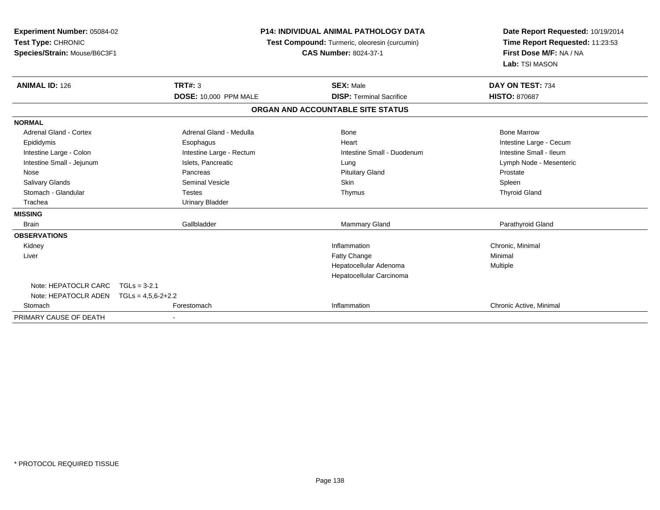| <b>Experiment Number: 05084-02</b><br>Test Type: CHRONIC<br>Species/Strain: Mouse/B6C3F1 |                              | <b>P14: INDIVIDUAL ANIMAL PATHOLOGY DATA</b><br>Test Compound: Turmeric, oleoresin (curcumin)<br><b>CAS Number: 8024-37-1</b> | Date Report Requested: 10/19/2014<br>Time Report Requested: 11:23:53<br>First Dose M/F: NA / NA<br>Lab: TSI MASON |
|------------------------------------------------------------------------------------------|------------------------------|-------------------------------------------------------------------------------------------------------------------------------|-------------------------------------------------------------------------------------------------------------------|
| <b>ANIMAL ID: 126</b>                                                                    | <b>TRT#: 3</b>               | <b>SEX: Male</b>                                                                                                              | DAY ON TEST: 734                                                                                                  |
|                                                                                          | <b>DOSE: 10,000 PPM MALE</b> | <b>DISP: Terminal Sacrifice</b>                                                                                               | <b>HISTO: 870687</b>                                                                                              |
|                                                                                          |                              | ORGAN AND ACCOUNTABLE SITE STATUS                                                                                             |                                                                                                                   |
| <b>NORMAL</b>                                                                            |                              |                                                                                                                               |                                                                                                                   |
| <b>Adrenal Gland - Cortex</b>                                                            | Adrenal Gland - Medulla      | Bone                                                                                                                          | <b>Bone Marrow</b>                                                                                                |
| Epididymis                                                                               | Esophagus                    | Heart                                                                                                                         | Intestine Large - Cecum                                                                                           |
| Intestine Large - Colon                                                                  | Intestine Large - Rectum     | Intestine Small - Duodenum                                                                                                    | Intestine Small - Ileum                                                                                           |
| Intestine Small - Jejunum                                                                | Islets. Pancreatic           | Lung                                                                                                                          | Lymph Node - Mesenteric                                                                                           |
| Nose                                                                                     | Pancreas                     | <b>Pituitary Gland</b>                                                                                                        | Prostate                                                                                                          |
| <b>Salivary Glands</b>                                                                   | <b>Seminal Vesicle</b>       | Skin                                                                                                                          | Spleen                                                                                                            |
| Stomach - Glandular                                                                      | <b>Testes</b>                | Thymus                                                                                                                        | <b>Thyroid Gland</b>                                                                                              |
| Trachea                                                                                  | <b>Urinary Bladder</b>       |                                                                                                                               |                                                                                                                   |
| <b>MISSING</b>                                                                           |                              |                                                                                                                               |                                                                                                                   |
| <b>Brain</b>                                                                             | Gallbladder                  | <b>Mammary Gland</b>                                                                                                          | Parathyroid Gland                                                                                                 |
| <b>OBSERVATIONS</b>                                                                      |                              |                                                                                                                               |                                                                                                                   |
| Kidney                                                                                   |                              | Inflammation                                                                                                                  | Chronic, Minimal                                                                                                  |
| Liver                                                                                    |                              | Fatty Change                                                                                                                  | Minimal                                                                                                           |
|                                                                                          |                              | Hepatocellular Adenoma                                                                                                        | Multiple                                                                                                          |
|                                                                                          |                              | Hepatocellular Carcinoma                                                                                                      |                                                                                                                   |
| Note: HEPATOCLR CARC                                                                     | $TGLs = 3-2.1$               |                                                                                                                               |                                                                                                                   |
| Note: HEPATOCLR ADEN $TGLs = 4.5.6-2+2.2$                                                |                              |                                                                                                                               |                                                                                                                   |
| Stomach                                                                                  | Forestomach                  | Inflammation                                                                                                                  | Chronic Active, Minimal                                                                                           |
| PRIMARY CAUSE OF DEATH                                                                   |                              |                                                                                                                               |                                                                                                                   |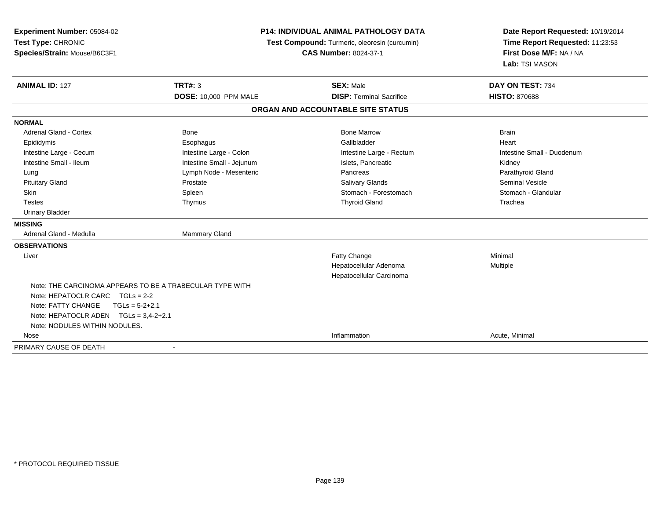| Experiment Number: 05084-02<br>Test Type: CHRONIC<br>Species/Strain: Mouse/B6C3F1 | <b>P14: INDIVIDUAL ANIMAL PATHOLOGY DATA</b><br>Test Compound: Turmeric, oleoresin (curcumin)<br><b>CAS Number: 8024-37-1</b> |                                   | Date Report Requested: 10/19/2014<br>Time Report Requested: 11:23:53<br>First Dose M/F: NA / NA<br>Lab: TSI MASON |  |
|-----------------------------------------------------------------------------------|-------------------------------------------------------------------------------------------------------------------------------|-----------------------------------|-------------------------------------------------------------------------------------------------------------------|--|
| <b>ANIMAL ID: 127</b>                                                             | TRT#: 3                                                                                                                       | <b>SEX: Male</b>                  | DAY ON TEST: 734                                                                                                  |  |
|                                                                                   | <b>DOSE: 10,000 PPM MALE</b>                                                                                                  | <b>DISP: Terminal Sacrifice</b>   | <b>HISTO: 870688</b>                                                                                              |  |
|                                                                                   |                                                                                                                               | ORGAN AND ACCOUNTABLE SITE STATUS |                                                                                                                   |  |
| <b>NORMAL</b>                                                                     |                                                                                                                               |                                   |                                                                                                                   |  |
| <b>Adrenal Gland - Cortex</b>                                                     | <b>Bone</b>                                                                                                                   | <b>Bone Marrow</b>                | <b>Brain</b>                                                                                                      |  |
| Epididymis                                                                        | Esophagus                                                                                                                     | Gallbladder                       | Heart                                                                                                             |  |
| Intestine Large - Cecum                                                           | Intestine Large - Colon                                                                                                       | Intestine Large - Rectum          | Intestine Small - Duodenum                                                                                        |  |
| Intestine Small - Ileum                                                           | Intestine Small - Jejunum                                                                                                     | Islets, Pancreatic                | Kidney                                                                                                            |  |
| Lung                                                                              | Lymph Node - Mesenteric                                                                                                       | Pancreas                          | Parathyroid Gland                                                                                                 |  |
| <b>Pituitary Gland</b>                                                            | Prostate                                                                                                                      | Salivary Glands                   | <b>Seminal Vesicle</b>                                                                                            |  |
| Skin                                                                              | Spleen                                                                                                                        | Stomach - Forestomach             | Stomach - Glandular                                                                                               |  |
| <b>Testes</b>                                                                     | Thymus                                                                                                                        | <b>Thyroid Gland</b>              | Trachea                                                                                                           |  |
| <b>Urinary Bladder</b>                                                            |                                                                                                                               |                                   |                                                                                                                   |  |
| <b>MISSING</b>                                                                    |                                                                                                                               |                                   |                                                                                                                   |  |
| Adrenal Gland - Medulla                                                           | Mammary Gland                                                                                                                 |                                   |                                                                                                                   |  |
| <b>OBSERVATIONS</b>                                                               |                                                                                                                               |                                   |                                                                                                                   |  |
| Liver                                                                             |                                                                                                                               | Fatty Change                      | Minimal                                                                                                           |  |
|                                                                                   |                                                                                                                               | Hepatocellular Adenoma            | Multiple                                                                                                          |  |
|                                                                                   |                                                                                                                               | Hepatocellular Carcinoma          |                                                                                                                   |  |
| Note: THE CARCINOMA APPEARS TO BE A TRABECULAR TYPE WITH                          |                                                                                                                               |                                   |                                                                                                                   |  |
| Note: HEPATOCLR CARC $TGLs = 2-2$                                                 |                                                                                                                               |                                   |                                                                                                                   |  |
| Note: FATTY CHANGE<br>$TGLs = 5-2+2.1$                                            |                                                                                                                               |                                   |                                                                                                                   |  |
| Note: HEPATOCLR ADEN TGLs = 3,4-2+2.1                                             |                                                                                                                               |                                   |                                                                                                                   |  |
| Note: NODULES WITHIN NODULES.                                                     |                                                                                                                               |                                   |                                                                                                                   |  |
| Nose                                                                              |                                                                                                                               | Inflammation                      | Acute, Minimal                                                                                                    |  |
| PRIMARY CAUSE OF DEATH                                                            |                                                                                                                               |                                   |                                                                                                                   |  |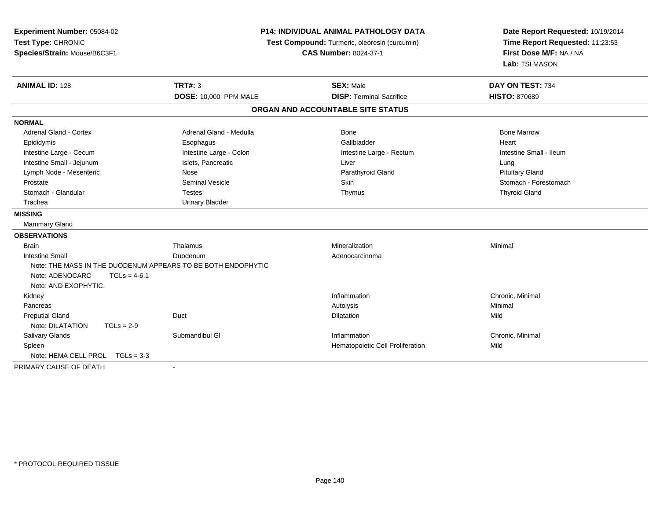| Experiment Number: 05084-02<br>Test Type: CHRONIC<br>Species/Strain: Mouse/B6C3F1 | P14: INDIVIDUAL ANIMAL PATHOLOGY DATA<br>Test Compound: Turmeric, oleoresin (curcumin)<br><b>CAS Number: 8024-37-1</b> |                                                     | Date Report Requested: 10/19/2014<br>Time Report Requested: 11:23:53<br>First Dose M/F: NA / NA<br>Lab: TSI MASON |  |
|-----------------------------------------------------------------------------------|------------------------------------------------------------------------------------------------------------------------|-----------------------------------------------------|-------------------------------------------------------------------------------------------------------------------|--|
| <b>ANIMAL ID: 128</b>                                                             | <b>TRT#: 3</b><br>DOSE: 10,000 PPM MALE                                                                                | <b>SEX: Male</b><br><b>DISP: Terminal Sacrifice</b> | DAY ON TEST: 734<br><b>HISTO: 870689</b>                                                                          |  |
|                                                                                   |                                                                                                                        | ORGAN AND ACCOUNTABLE SITE STATUS                   |                                                                                                                   |  |
|                                                                                   |                                                                                                                        |                                                     |                                                                                                                   |  |
| <b>NORMAL</b>                                                                     |                                                                                                                        |                                                     |                                                                                                                   |  |
| <b>Adrenal Gland - Cortex</b>                                                     | Adrenal Gland - Medulla                                                                                                | Bone                                                | <b>Bone Marrow</b>                                                                                                |  |
| Epididymis                                                                        | Esophagus                                                                                                              | Gallbladder                                         | Heart                                                                                                             |  |
| Intestine Large - Cecum                                                           | Intestine Large - Colon                                                                                                | Intestine Large - Rectum                            | Intestine Small - Ileum                                                                                           |  |
| Intestine Small - Jejunum                                                         | Islets, Pancreatic                                                                                                     | Liver                                               | Lung                                                                                                              |  |
| Lymph Node - Mesenteric                                                           | Nose                                                                                                                   | Parathyroid Gland                                   | <b>Pituitary Gland</b>                                                                                            |  |
| Prostate                                                                          | <b>Seminal Vesicle</b>                                                                                                 | Skin                                                | Stomach - Forestomach                                                                                             |  |
| Stomach - Glandular                                                               | <b>Testes</b>                                                                                                          | Thymus                                              | <b>Thyroid Gland</b>                                                                                              |  |
| Trachea                                                                           | <b>Urinary Bladder</b>                                                                                                 |                                                     |                                                                                                                   |  |
| <b>MISSING</b>                                                                    |                                                                                                                        |                                                     |                                                                                                                   |  |
| <b>Mammary Gland</b>                                                              |                                                                                                                        |                                                     |                                                                                                                   |  |
| <b>OBSERVATIONS</b>                                                               |                                                                                                                        |                                                     |                                                                                                                   |  |
| <b>Brain</b>                                                                      | Thalamus                                                                                                               | Mineralization                                      | Minimal                                                                                                           |  |
| <b>Intestine Small</b>                                                            | Duodenum                                                                                                               | Adenocarcinoma                                      |                                                                                                                   |  |
| Note: THE MASS IN THE DUODENUM APPEARS TO BE BOTH ENDOPHYTIC                      |                                                                                                                        |                                                     |                                                                                                                   |  |
| Note: ADENOCARC<br>$TGLs = 4-6.1$                                                 |                                                                                                                        |                                                     |                                                                                                                   |  |
| Note: AND EXOPHYTIC.                                                              |                                                                                                                        |                                                     |                                                                                                                   |  |
| Kidney                                                                            |                                                                                                                        | Inflammation                                        | Chronic, Minimal                                                                                                  |  |
| Pancreas                                                                          |                                                                                                                        | Autolysis                                           | Minimal                                                                                                           |  |
| <b>Preputial Gland</b>                                                            | Duct                                                                                                                   | <b>Dilatation</b>                                   | Mild                                                                                                              |  |
| Note: DILATATION<br>$TGLs = 2-9$                                                  |                                                                                                                        |                                                     |                                                                                                                   |  |
| Salivary Glands                                                                   | Submandibul GI                                                                                                         | Inflammation                                        | Chronic, Minimal                                                                                                  |  |
| Spleen                                                                            |                                                                                                                        | Hematopoietic Cell Proliferation                    | Mild                                                                                                              |  |
| Note: HEMA CELL PROL<br>$TGLs = 3-3$                                              |                                                                                                                        |                                                     |                                                                                                                   |  |
| PRIMARY CAUSE OF DEATH                                                            | $\blacksquare$                                                                                                         |                                                     |                                                                                                                   |  |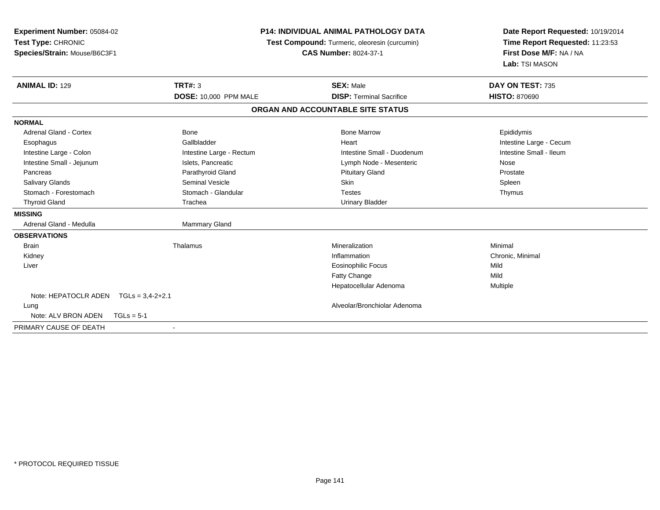| Experiment Number: 05084-02<br>Test Type: CHRONIC<br>Species/Strain: Mouse/B6C3F1 |                          | <b>P14: INDIVIDUAL ANIMAL PATHOLOGY DATA</b><br>Test Compound: Turmeric, oleoresin (curcumin)<br><b>CAS Number: 8024-37-1</b> | Date Report Requested: 10/19/2014<br>Time Report Requested: 11:23:53<br>First Dose M/F: NA / NA<br>Lab: TSI MASON |  |
|-----------------------------------------------------------------------------------|--------------------------|-------------------------------------------------------------------------------------------------------------------------------|-------------------------------------------------------------------------------------------------------------------|--|
| <b>ANIMAL ID: 129</b>                                                             | <b>TRT#: 3</b>           | <b>SEX: Male</b>                                                                                                              | DAY ON TEST: 735                                                                                                  |  |
|                                                                                   | DOSE: 10,000 PPM MALE    | <b>DISP: Terminal Sacrifice</b>                                                                                               | <b>HISTO: 870690</b>                                                                                              |  |
|                                                                                   |                          | ORGAN AND ACCOUNTABLE SITE STATUS                                                                                             |                                                                                                                   |  |
| <b>NORMAL</b>                                                                     |                          |                                                                                                                               |                                                                                                                   |  |
| Adrenal Gland - Cortex                                                            | <b>Bone</b>              | <b>Bone Marrow</b>                                                                                                            | Epididymis                                                                                                        |  |
| Esophagus                                                                         | Gallbladder              | Heart                                                                                                                         | Intestine Large - Cecum                                                                                           |  |
| Intestine Large - Colon                                                           | Intestine Large - Rectum | Intestine Small - Duodenum                                                                                                    | Intestine Small - Ileum                                                                                           |  |
| Intestine Small - Jejunum                                                         | Islets, Pancreatic       | Lymph Node - Mesenteric                                                                                                       | Nose                                                                                                              |  |
| Pancreas                                                                          | Parathyroid Gland        | <b>Pituitary Gland</b>                                                                                                        | Prostate                                                                                                          |  |
| <b>Salivary Glands</b>                                                            | Seminal Vesicle          | <b>Skin</b>                                                                                                                   | Spleen                                                                                                            |  |
| Stomach - Forestomach                                                             | Stomach - Glandular      | <b>Testes</b>                                                                                                                 | Thymus                                                                                                            |  |
| <b>Thyroid Gland</b>                                                              | Trachea                  | <b>Urinary Bladder</b>                                                                                                        |                                                                                                                   |  |
| <b>MISSING</b>                                                                    |                          |                                                                                                                               |                                                                                                                   |  |
| Adrenal Gland - Medulla                                                           | Mammary Gland            |                                                                                                                               |                                                                                                                   |  |
| <b>OBSERVATIONS</b>                                                               |                          |                                                                                                                               |                                                                                                                   |  |
| <b>Brain</b>                                                                      | Thalamus                 | Mineralization                                                                                                                | Minimal                                                                                                           |  |
| Kidney                                                                            |                          | Inflammation                                                                                                                  | Chronic, Minimal                                                                                                  |  |
| Liver                                                                             |                          | <b>Eosinophilic Focus</b>                                                                                                     | Mild                                                                                                              |  |
|                                                                                   |                          | Fatty Change                                                                                                                  | Mild                                                                                                              |  |
|                                                                                   |                          | Hepatocellular Adenoma                                                                                                        | Multiple                                                                                                          |  |
| Note: HEPATOCLR ADEN TGLs = 3,4-2+2.1                                             |                          |                                                                                                                               |                                                                                                                   |  |
| Lung                                                                              |                          | Alveolar/Bronchiolar Adenoma                                                                                                  |                                                                                                                   |  |
| Note: ALV BRON ADEN<br>$TGLs = 5-1$                                               |                          |                                                                                                                               |                                                                                                                   |  |
| PRIMARY CAUSE OF DEATH                                                            |                          |                                                                                                                               |                                                                                                                   |  |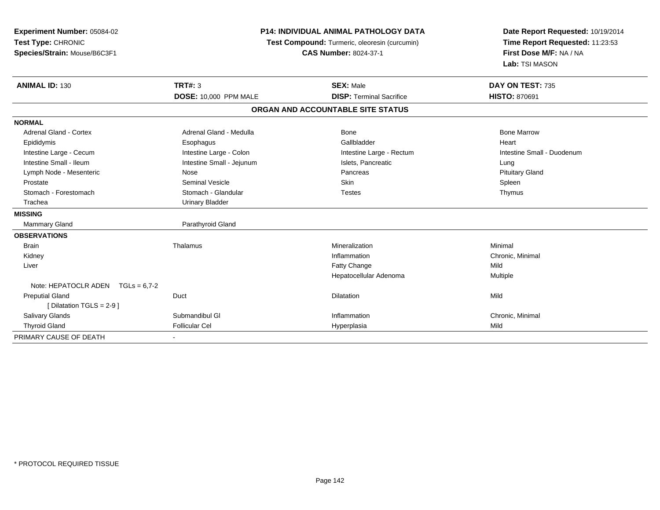| <b>Experiment Number: 05084-02</b><br>Test Type: CHRONIC<br>Species/Strain: Mouse/B6C3F1 | <b>P14: INDIVIDUAL ANIMAL PATHOLOGY DATA</b><br>Test Compound: Turmeric, oleoresin (curcumin)<br><b>CAS Number: 8024-37-1</b> |                                                     | Date Report Requested: 10/19/2014<br>Time Report Requested: 11:23:53<br>First Dose M/F: NA / NA<br>Lab: TSI MASON |  |
|------------------------------------------------------------------------------------------|-------------------------------------------------------------------------------------------------------------------------------|-----------------------------------------------------|-------------------------------------------------------------------------------------------------------------------|--|
| <b>ANIMAL ID: 130</b>                                                                    | <b>TRT#: 3</b><br><b>DOSE: 10,000 PPM MALE</b>                                                                                | <b>SEX: Male</b><br><b>DISP: Terminal Sacrifice</b> | DAY ON TEST: 735<br><b>HISTO: 870691</b>                                                                          |  |
|                                                                                          |                                                                                                                               | ORGAN AND ACCOUNTABLE SITE STATUS                   |                                                                                                                   |  |
|                                                                                          |                                                                                                                               |                                                     |                                                                                                                   |  |
| <b>NORMAL</b>                                                                            |                                                                                                                               |                                                     |                                                                                                                   |  |
| Adrenal Gland - Cortex                                                                   | Adrenal Gland - Medulla                                                                                                       | Bone                                                | <b>Bone Marrow</b>                                                                                                |  |
| Epididymis                                                                               | Esophagus                                                                                                                     | Gallbladder                                         | Heart                                                                                                             |  |
| Intestine Large - Cecum                                                                  | Intestine Large - Colon                                                                                                       | Intestine Large - Rectum                            | Intestine Small - Duodenum                                                                                        |  |
| Intestine Small - Ileum                                                                  | Intestine Small - Jejunum                                                                                                     | Islets, Pancreatic                                  | Lung                                                                                                              |  |
| Lymph Node - Mesenteric                                                                  | Nose                                                                                                                          | Pancreas                                            | <b>Pituitary Gland</b>                                                                                            |  |
| Prostate                                                                                 | <b>Seminal Vesicle</b>                                                                                                        | <b>Skin</b>                                         | Spleen                                                                                                            |  |
| Stomach - Forestomach                                                                    | Stomach - Glandular                                                                                                           | <b>Testes</b>                                       | Thymus                                                                                                            |  |
| Trachea                                                                                  | <b>Urinary Bladder</b>                                                                                                        |                                                     |                                                                                                                   |  |
| <b>MISSING</b>                                                                           |                                                                                                                               |                                                     |                                                                                                                   |  |
| <b>Mammary Gland</b>                                                                     | Parathyroid Gland                                                                                                             |                                                     |                                                                                                                   |  |
| <b>OBSERVATIONS</b>                                                                      |                                                                                                                               |                                                     |                                                                                                                   |  |
| <b>Brain</b>                                                                             | Thalamus                                                                                                                      | Mineralization                                      | Minimal                                                                                                           |  |
| Kidney                                                                                   |                                                                                                                               | Inflammation                                        | Chronic, Minimal                                                                                                  |  |
| Liver                                                                                    |                                                                                                                               | Fatty Change                                        | Mild                                                                                                              |  |
|                                                                                          |                                                                                                                               | Hepatocellular Adenoma                              | Multiple                                                                                                          |  |
| Note: HEPATOCLR ADEN $TGLs = 6.7-2$                                                      |                                                                                                                               |                                                     |                                                                                                                   |  |
| <b>Preputial Gland</b>                                                                   | Duct                                                                                                                          | <b>Dilatation</b>                                   | Mild                                                                                                              |  |
| [ Dilatation TGLS = $2-9$ ]                                                              |                                                                                                                               |                                                     |                                                                                                                   |  |
| <b>Salivary Glands</b>                                                                   | Submandibul GI                                                                                                                | Inflammation                                        | Chronic, Minimal                                                                                                  |  |
| <b>Thyroid Gland</b>                                                                     | Follicular Cel                                                                                                                | Hyperplasia                                         | Mild                                                                                                              |  |
| PRIMARY CAUSE OF DEATH                                                                   |                                                                                                                               |                                                     |                                                                                                                   |  |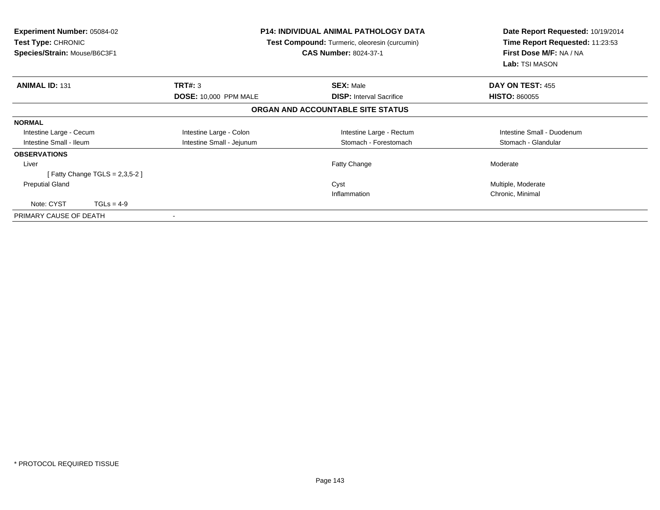| <b>Experiment Number: 05084-02</b><br><b>Test Type: CHRONIC</b><br>Species/Strain: Mouse/B6C3F1 |                              | <b>P14: INDIVIDUAL ANIMAL PATHOLOGY DATA</b><br>Test Compound: Turmeric, oleoresin (curcumin)<br><b>CAS Number: 8024-37-1</b> | Date Report Requested: 10/19/2014<br>Time Report Requested: 11:23:53<br>First Dose M/F: NA / NA<br>Lab: TSI MASON |
|-------------------------------------------------------------------------------------------------|------------------------------|-------------------------------------------------------------------------------------------------------------------------------|-------------------------------------------------------------------------------------------------------------------|
| <b>ANIMAL ID: 131</b>                                                                           | TRT#: 3                      | <b>SEX: Male</b>                                                                                                              | DAY ON TEST: 455                                                                                                  |
|                                                                                                 | <b>DOSE: 10,000 PPM MALE</b> | <b>DISP:</b> Interval Sacrifice                                                                                               | <b>HISTO: 860055</b>                                                                                              |
|                                                                                                 |                              | ORGAN AND ACCOUNTABLE SITE STATUS                                                                                             |                                                                                                                   |
| <b>NORMAL</b>                                                                                   |                              |                                                                                                                               |                                                                                                                   |
| Intestine Large - Cecum                                                                         | Intestine Large - Colon      | Intestine Large - Rectum                                                                                                      | Intestine Small - Duodenum                                                                                        |
| Intestine Small - Ileum                                                                         | Intestine Small - Jejunum    | Stomach - Forestomach                                                                                                         | Stomach - Glandular                                                                                               |
| <b>OBSERVATIONS</b>                                                                             |                              |                                                                                                                               |                                                                                                                   |
| Liver                                                                                           |                              | Fatty Change                                                                                                                  | Moderate                                                                                                          |
| [Fatty Change TGLS = 2,3,5-2]                                                                   |                              |                                                                                                                               |                                                                                                                   |
| <b>Preputial Gland</b>                                                                          |                              | Cyst                                                                                                                          | Multiple, Moderate                                                                                                |
|                                                                                                 |                              | Inflammation                                                                                                                  | Chronic, Minimal                                                                                                  |
| Note: CYST<br>$TGLs = 4-9$                                                                      |                              |                                                                                                                               |                                                                                                                   |
| PRIMARY CAUSE OF DEATH                                                                          |                              |                                                                                                                               |                                                                                                                   |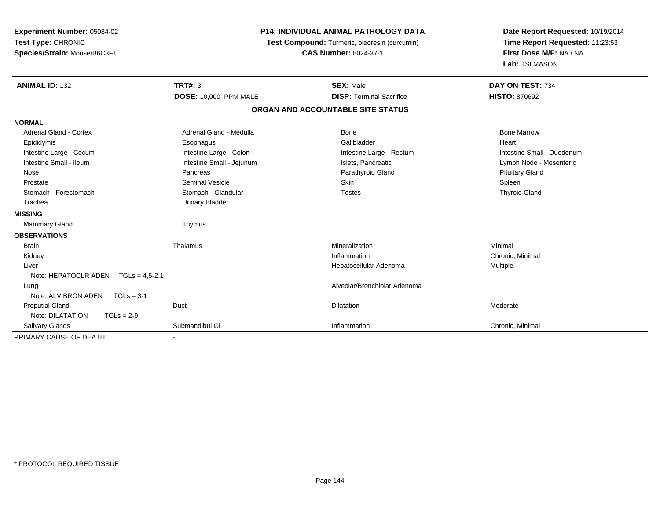| Experiment Number: 05084-02<br>Test Type: CHRONIC<br>Species/Strain: Mouse/B6C3F1 | <b>P14: INDIVIDUAL ANIMAL PATHOLOGY DATA</b><br>Test Compound: Turmeric, oleoresin (curcumin)<br><b>CAS Number: 8024-37-1</b> |                                   | Date Report Requested: 10/19/2014<br>Time Report Requested: 11:23:53<br>First Dose M/F: NA / NA<br>Lab: TSI MASON |  |
|-----------------------------------------------------------------------------------|-------------------------------------------------------------------------------------------------------------------------------|-----------------------------------|-------------------------------------------------------------------------------------------------------------------|--|
| <b>ANIMAL ID: 132</b>                                                             | <b>TRT#: 3</b>                                                                                                                | <b>SEX: Male</b>                  | DAY ON TEST: 734                                                                                                  |  |
|                                                                                   | <b>DOSE: 10,000 PPM MALE</b>                                                                                                  | <b>DISP: Terminal Sacrifice</b>   | <b>HISTO: 870692</b>                                                                                              |  |
|                                                                                   |                                                                                                                               | ORGAN AND ACCOUNTABLE SITE STATUS |                                                                                                                   |  |
| <b>NORMAL</b>                                                                     |                                                                                                                               |                                   |                                                                                                                   |  |
| <b>Adrenal Gland - Cortex</b>                                                     | Adrenal Gland - Medulla                                                                                                       | Bone                              | <b>Bone Marrow</b>                                                                                                |  |
| Epididymis                                                                        | Esophagus                                                                                                                     | Gallbladder                       | Heart                                                                                                             |  |
| Intestine Large - Cecum                                                           | Intestine Large - Colon                                                                                                       | Intestine Large - Rectum          | Intestine Small - Duodenum                                                                                        |  |
| Intestine Small - Ileum                                                           | Intestine Small - Jejunum                                                                                                     | Islets, Pancreatic                | Lymph Node - Mesenteric                                                                                           |  |
| Nose                                                                              | Pancreas                                                                                                                      | Parathyroid Gland                 | <b>Pituitary Gland</b>                                                                                            |  |
| Prostate                                                                          | <b>Seminal Vesicle</b>                                                                                                        | Skin                              | Spleen                                                                                                            |  |
| Stomach - Forestomach                                                             | Stomach - Glandular                                                                                                           | <b>Testes</b>                     | <b>Thyroid Gland</b>                                                                                              |  |
| Trachea                                                                           | <b>Urinary Bladder</b>                                                                                                        |                                   |                                                                                                                   |  |
| <b>MISSING</b>                                                                    |                                                                                                                               |                                   |                                                                                                                   |  |
| <b>Mammary Gland</b>                                                              | Thymus                                                                                                                        |                                   |                                                                                                                   |  |
| <b>OBSERVATIONS</b>                                                               |                                                                                                                               |                                   |                                                                                                                   |  |
| <b>Brain</b>                                                                      | Thalamus                                                                                                                      | Mineralization                    | Minimal                                                                                                           |  |
| Kidney                                                                            |                                                                                                                               | Inflammation                      | Chronic, Minimal                                                                                                  |  |
| Liver                                                                             |                                                                                                                               | Hepatocellular Adenoma            | <b>Multiple</b>                                                                                                   |  |
| Note: HEPATOCLR ADEN TGLs = 4,5-2.1                                               |                                                                                                                               |                                   |                                                                                                                   |  |
| Lung                                                                              |                                                                                                                               | Alveolar/Bronchiolar Adenoma      |                                                                                                                   |  |
| Note: ALV BRON ADEN<br>$TGLs = 3-1$                                               |                                                                                                                               |                                   |                                                                                                                   |  |
| <b>Preputial Gland</b>                                                            | Duct                                                                                                                          | <b>Dilatation</b>                 | Moderate                                                                                                          |  |
| Note: DILATATION<br>$TGLs = 2-9$                                                  |                                                                                                                               |                                   |                                                                                                                   |  |
| Salivary Glands                                                                   | Submandibul GI                                                                                                                | Inflammation                      | Chronic, Minimal                                                                                                  |  |
| PRIMARY CAUSE OF DEATH                                                            |                                                                                                                               |                                   |                                                                                                                   |  |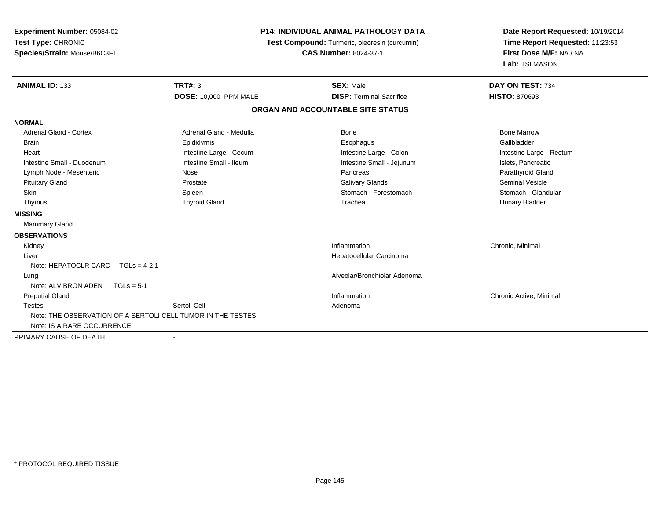| <b>Experiment Number: 05084-02</b><br>Test Type: CHRONIC<br>Species/Strain: Mouse/B6C3F1 | <b>P14: INDIVIDUAL ANIMAL PATHOLOGY DATA</b><br>Test Compound: Turmeric, oleoresin (curcumin)<br><b>CAS Number: 8024-37-1</b> |                                   | Date Report Requested: 10/19/2014<br>Time Report Requested: 11:23:53<br>First Dose M/F: NA / NA<br>Lab: TSI MASON |
|------------------------------------------------------------------------------------------|-------------------------------------------------------------------------------------------------------------------------------|-----------------------------------|-------------------------------------------------------------------------------------------------------------------|
| <b>ANIMAL ID: 133</b>                                                                    | <b>TRT#: 3</b>                                                                                                                | <b>SEX: Male</b>                  | DAY ON TEST: 734                                                                                                  |
|                                                                                          | <b>DOSE: 10,000 PPM MALE</b>                                                                                                  | <b>DISP: Terminal Sacrifice</b>   | <b>HISTO: 870693</b>                                                                                              |
|                                                                                          |                                                                                                                               | ORGAN AND ACCOUNTABLE SITE STATUS |                                                                                                                   |
| <b>NORMAL</b>                                                                            |                                                                                                                               |                                   |                                                                                                                   |
| <b>Adrenal Gland - Cortex</b>                                                            | Adrenal Gland - Medulla                                                                                                       | Bone                              | <b>Bone Marrow</b>                                                                                                |
| <b>Brain</b>                                                                             | Epididymis                                                                                                                    | Esophagus                         | Gallbladder                                                                                                       |
| Heart                                                                                    | Intestine Large - Cecum                                                                                                       | Intestine Large - Colon           | Intestine Large - Rectum                                                                                          |
| Intestine Small - Duodenum                                                               | Intestine Small - Ileum                                                                                                       | Intestine Small - Jejunum         | Islets, Pancreatic                                                                                                |
| Lymph Node - Mesenteric                                                                  | Nose                                                                                                                          | Pancreas                          | Parathyroid Gland                                                                                                 |
| <b>Pituitary Gland</b>                                                                   | Prostate                                                                                                                      | <b>Salivary Glands</b>            | Seminal Vesicle                                                                                                   |
| <b>Skin</b>                                                                              | Spleen                                                                                                                        | Stomach - Forestomach             | Stomach - Glandular                                                                                               |
| Thymus                                                                                   | <b>Thyroid Gland</b>                                                                                                          | Trachea                           | <b>Urinary Bladder</b>                                                                                            |
| <b>MISSING</b>                                                                           |                                                                                                                               |                                   |                                                                                                                   |
| Mammary Gland                                                                            |                                                                                                                               |                                   |                                                                                                                   |
| <b>OBSERVATIONS</b>                                                                      |                                                                                                                               |                                   |                                                                                                                   |
| Kidney                                                                                   |                                                                                                                               | Inflammation                      | Chronic, Minimal                                                                                                  |
| Liver                                                                                    |                                                                                                                               | Hepatocellular Carcinoma          |                                                                                                                   |
| Note: HEPATOCLR CARC TGLs = 4-2.1                                                        |                                                                                                                               |                                   |                                                                                                                   |
| Lung                                                                                     |                                                                                                                               | Alveolar/Bronchiolar Adenoma      |                                                                                                                   |
| Note: ALV BRON ADEN<br>$TGLs = 5-1$                                                      |                                                                                                                               |                                   |                                                                                                                   |
| <b>Preputial Gland</b>                                                                   |                                                                                                                               | Inflammation                      | Chronic Active, Minimal                                                                                           |
| <b>Testes</b>                                                                            | Sertoli Cell                                                                                                                  | Adenoma                           |                                                                                                                   |
| Note: THE OBSERVATION OF A SERTOLI CELL TUMOR IN THE TESTES                              |                                                                                                                               |                                   |                                                                                                                   |
| Note: IS A RARE OCCURRENCE.                                                              |                                                                                                                               |                                   |                                                                                                                   |
| PRIMARY CAUSE OF DEATH                                                                   |                                                                                                                               |                                   |                                                                                                                   |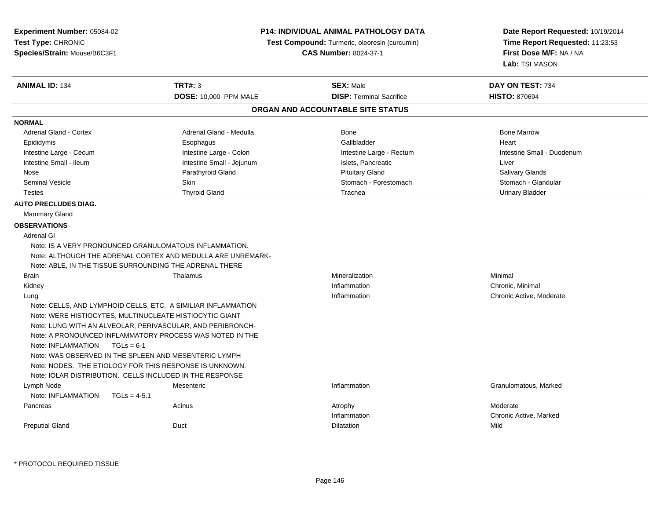| Experiment Number: 05084-02<br>Test Type: CHRONIC<br>Species/Strain: Mouse/B6C3F1 | <b>P14: INDIVIDUAL ANIMAL PATHOLOGY DATA</b><br>Test Compound: Turmeric, oleoresin (curcumin)<br><b>CAS Number: 8024-37-1</b> |                                   | Date Report Requested: 10/19/2014<br>Time Report Requested: 11:23:53<br>First Dose M/F: NA / NA<br>Lab: TSI MASON |
|-----------------------------------------------------------------------------------|-------------------------------------------------------------------------------------------------------------------------------|-----------------------------------|-------------------------------------------------------------------------------------------------------------------|
| <b>ANIMAL ID: 134</b>                                                             | <b>TRT#: 3</b>                                                                                                                | <b>SEX: Male</b>                  | DAY ON TEST: 734                                                                                                  |
|                                                                                   | DOSE: 10,000 PPM MALE                                                                                                         | <b>DISP: Terminal Sacrifice</b>   | <b>HISTO: 870694</b>                                                                                              |
|                                                                                   |                                                                                                                               | ORGAN AND ACCOUNTABLE SITE STATUS |                                                                                                                   |
| <b>NORMAL</b>                                                                     |                                                                                                                               |                                   |                                                                                                                   |
| <b>Adrenal Gland - Cortex</b>                                                     | Adrenal Gland - Medulla                                                                                                       | <b>Bone</b>                       | <b>Bone Marrow</b>                                                                                                |
| Epididymis                                                                        | Esophagus                                                                                                                     | Gallbladder                       | Heart                                                                                                             |
| Intestine Large - Cecum                                                           | Intestine Large - Colon                                                                                                       | Intestine Large - Rectum          | Intestine Small - Duodenum                                                                                        |
| Intestine Small - Ileum                                                           | Intestine Small - Jejunum                                                                                                     | Islets, Pancreatic                | Liver                                                                                                             |
| Nose                                                                              | Parathyroid Gland                                                                                                             | <b>Pituitary Gland</b>            | <b>Salivary Glands</b>                                                                                            |
| <b>Seminal Vesicle</b>                                                            | Skin                                                                                                                          | Stomach - Forestomach             | Stomach - Glandular                                                                                               |
| <b>Testes</b>                                                                     | <b>Thyroid Gland</b>                                                                                                          | Trachea                           | <b>Urinary Bladder</b>                                                                                            |
| <b>AUTO PRECLUDES DIAG.</b>                                                       |                                                                                                                               |                                   |                                                                                                                   |
| <b>Mammary Gland</b>                                                              |                                                                                                                               |                                   |                                                                                                                   |
| <b>OBSERVATIONS</b>                                                               |                                                                                                                               |                                   |                                                                                                                   |
| <b>Adrenal GI</b>                                                                 |                                                                                                                               |                                   |                                                                                                                   |
| Note: IS A VERY PRONOUNCED GRANULOMATOUS INFLAMMATION.                            | Note: ALTHOUGH THE ADRENAL CORTEX AND MEDULLA ARE UNREMARK-                                                                   |                                   |                                                                                                                   |
| Note: ABLE, IN THE TISSUE SURROUNDING THE ADRENAL THERE                           |                                                                                                                               |                                   |                                                                                                                   |
| <b>Brain</b>                                                                      | Thalamus                                                                                                                      | Mineralization                    | Minimal                                                                                                           |
| Kidney                                                                            |                                                                                                                               | Inflammation                      | Chronic, Minimal                                                                                                  |
| Lung                                                                              |                                                                                                                               | Inflammation                      | Chronic Active, Moderate                                                                                          |
| Note: CELLS, AND LYMPHOID CELLS, ETC. A SIMILIAR INFLAMMATION                     |                                                                                                                               |                                   |                                                                                                                   |
| Note: WERE HISTIOCYTES, MULTINUCLEATE HISTIOCYTIC GIANT                           |                                                                                                                               |                                   |                                                                                                                   |
| Note: LUNG WITH AN ALVEOLAR, PERIVASCULAR, AND PERIBRONCH-                        |                                                                                                                               |                                   |                                                                                                                   |
| Note: A PRONOUNCED INFLAMMATORY PROCESS WAS NOTED IN THE                          |                                                                                                                               |                                   |                                                                                                                   |
| Note: INFLAMMATION<br>$TGLs = 6-1$                                                |                                                                                                                               |                                   |                                                                                                                   |
| Note: WAS OBSERVED IN THE SPLEEN AND MESENTERIC LYMPH                             |                                                                                                                               |                                   |                                                                                                                   |
| Note: NODES. THE ETIOLOGY FOR THIS RESPONSE IS UNKNOWN.                           |                                                                                                                               |                                   |                                                                                                                   |
| Note: IOLAR DISTRIBUTION. CELLS INCLUDED IN THE RESPONSE                          |                                                                                                                               |                                   |                                                                                                                   |
| Lymph Node                                                                        | Mesenteric                                                                                                                    | Inflammation                      | Granulomatous, Marked                                                                                             |
| Note: INFLAMMATION<br>$TGLs = 4-5.1$                                              |                                                                                                                               |                                   |                                                                                                                   |
| Pancreas                                                                          | Acinus                                                                                                                        | Atrophy                           | Moderate                                                                                                          |
|                                                                                   |                                                                                                                               | Inflammation                      | Chronic Active, Marked                                                                                            |
| <b>Preputial Gland</b>                                                            | Duct                                                                                                                          | Dilatation                        | Mild                                                                                                              |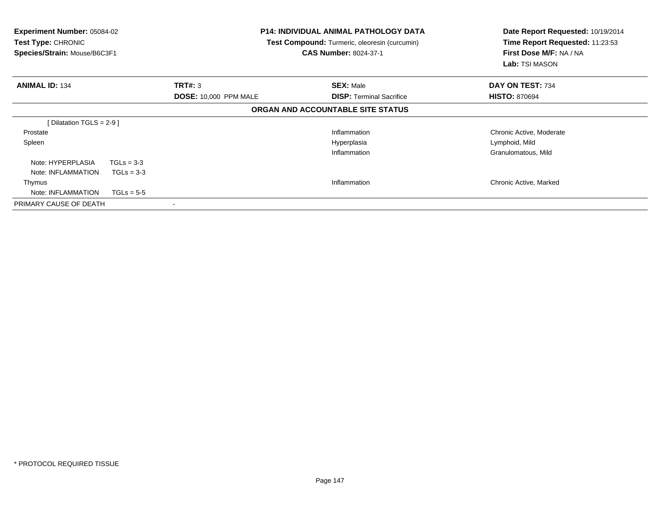| <b>Experiment Number: 05084-02</b><br><b>Test Type: CHRONIC</b><br>Species/Strain: Mouse/B6C3F1 |              | <b>P14: INDIVIDUAL ANIMAL PATHOLOGY DATA</b><br>Test Compound: Turmeric, oleoresin (curcumin)<br><b>CAS Number: 8024-37-1</b> |                                   | Date Report Requested: 10/19/2014<br>Time Report Requested: 11:23:53<br>First Dose M/F: NA / NA<br><b>Lab:</b> TSI MASON |
|-------------------------------------------------------------------------------------------------|--------------|-------------------------------------------------------------------------------------------------------------------------------|-----------------------------------|--------------------------------------------------------------------------------------------------------------------------|
| <b>ANIMAL ID: 134</b>                                                                           |              | TRT#: 3                                                                                                                       | <b>SEX: Male</b>                  | DAY ON TEST: 734                                                                                                         |
|                                                                                                 |              | <b>DOSE: 10,000 PPM MALE</b>                                                                                                  | <b>DISP:</b> Terminal Sacrifice   | <b>HISTO: 870694</b>                                                                                                     |
|                                                                                                 |              |                                                                                                                               | ORGAN AND ACCOUNTABLE SITE STATUS |                                                                                                                          |
| [Dilatation TGLS = $2-9$ ]                                                                      |              |                                                                                                                               |                                   |                                                                                                                          |
| Prostate                                                                                        |              |                                                                                                                               | Inflammation                      | Chronic Active, Moderate                                                                                                 |
| Spleen                                                                                          |              |                                                                                                                               | Hyperplasia                       | Lymphoid, Mild                                                                                                           |
|                                                                                                 |              |                                                                                                                               | Inflammation                      | Granulomatous, Mild                                                                                                      |
| Note: HYPERPLASIA                                                                               | $TGLs = 3-3$ |                                                                                                                               |                                   |                                                                                                                          |
| Note: INFLAMMATION                                                                              | $TGLs = 3-3$ |                                                                                                                               |                                   |                                                                                                                          |
| Thymus                                                                                          |              |                                                                                                                               | Inflammation                      | Chronic Active, Marked                                                                                                   |
| Note: INFLAMMATION                                                                              | $TGLs = 5-5$ |                                                                                                                               |                                   |                                                                                                                          |
| PRIMARY CAUSE OF DEATH                                                                          |              |                                                                                                                               |                                   |                                                                                                                          |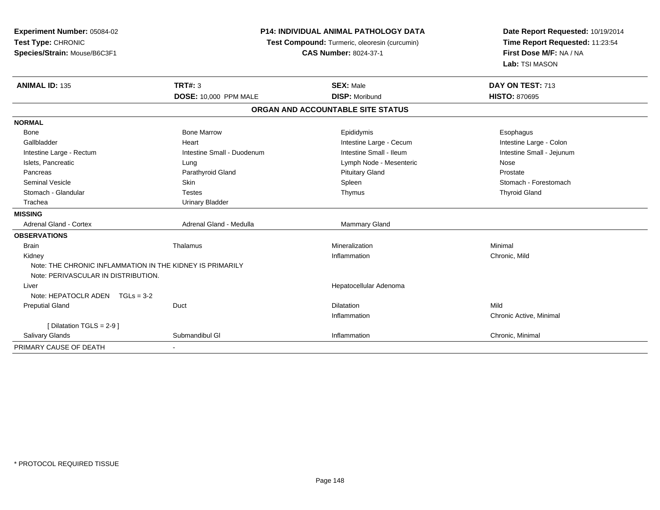**Experiment Number:** 05084-02**Test Type:** CHRONIC **Species/Strain:** Mouse/B6C3F1**P14: INDIVIDUAL ANIMAL PATHOLOGY DATA Test Compound:** Turmeric, oleoresin (curcumin)**CAS Number:** 8024-37-1**Date Report Requested:** 10/19/2014**Time Report Requested:** 11:23:54**First Dose M/F:** NA / NA**Lab:** TSI MASON**ANIMAL ID:** 135**TRT#:** 3 **SEX:** Male **DAY ON TEST:** 713 **DOSE:** 10,000 PPM MALE **DISP:** Moribund **HISTO:** <sup>870695</sup> **ORGAN AND ACCOUNTABLE SITE STATUSNORMAL**Bone Bone Bone Marrow Bone Marrow Bone Esophagus Epididymis Expedition Esophagus Esophagus Intestine Large - Colon Gallbladder **East Community Community** Community Heart Heart Intestine Large - Cecum Intestine Large - Cecum Intestine Small - Jejunum Intestine Large - Rectum **Intestine Small - Duodenum** Intestine Small - Ileum Intestine Small - Ileum Islets, Pancreatic **Solution Contracts Contracts Contracts** Lung Lymph Node - Mesenteric Nose - Mesenteric Nose Prostate Pancreas **Parathyroid Gland Prostate Parathyroid Gland** Prostate Prostate Prostate Prostate Stomach - Forestomach Seminal Vesicle Skin Skin Skin Skin Store Skin Spleen Spleen Spleen Stomach - Forestomach - Stomach - Forestomach - Stomach - Stomach - Stomach - Stomach - Stomach - Stomach - Stomach - Stomach - Stomach - Stomach - Stomac Stomach - Glandular Testes Thymus Thyroid Gland Trachea Urinary Bladder**MISSING**Adrenal Gland - Cortex Adrenal Gland - Medulla Mammary Gland - Medulla **OBSERVATIONS** Brainn and the matter of the matter of the matter of the matter of the matter of the matter of the matter of the matter of the matter of the matter of the matter of the matter of the matter of the matter of the matter of the ma Kidneyy the control of the control of the control of the control of the control of the control of the control of the control of the control of the control of the control of the control of the control of the control of the contro Inflammation **Chronic, Mild** Note: THE CHRONIC INFLAMMATION IN THE KIDNEY IS PRIMARILYNote: PERIVASCULAR IN DISTRIBUTION. Liver Hepatocellular AdenomaNote: HEPATOCLR ADEN TGLs = 3-2 Preputial Glandd and the Duct the Contract of the Dilatation of the Dilatation of the Mild of the Mild of the Mild of the Mild of the Mild of the Mild of the Mild of the Mild of the Mild of the Mild of the Mild of the Mild of the Mild of Inflammation Chronic Active, Minimal [ Dilatation TGLS = 2-9 ] Salivary Glandss Submandibul Gl **Inflammation** Inflammation **Chronic**, Minimal PRIMARY CAUSE OF DEATH-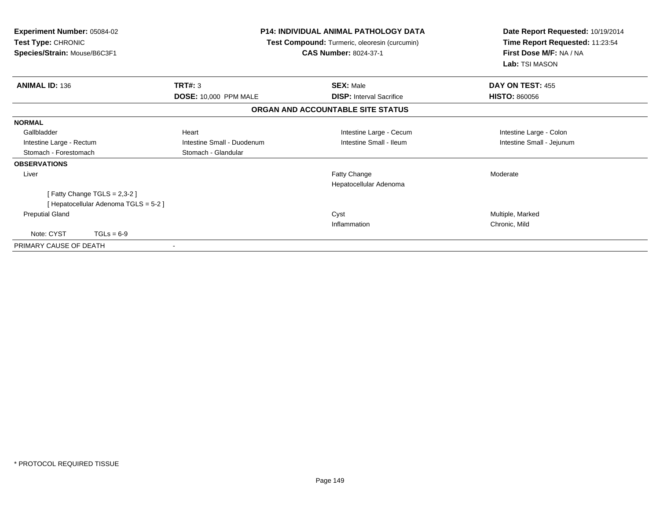| <b>Experiment Number: 05084-02</b><br>Test Type: CHRONIC<br>Species/Strain: Mouse/B6C3F1 | <b>P14: INDIVIDUAL ANIMAL PATHOLOGY DATA</b><br>Test Compound: Turmeric, oleoresin (curcumin)<br><b>CAS Number: 8024-37-1</b> |                                        | Date Report Requested: 10/19/2014<br>Time Report Requested: 11:23:54<br>First Dose M/F: NA / NA<br>Lab: TSI MASON |  |
|------------------------------------------------------------------------------------------|-------------------------------------------------------------------------------------------------------------------------------|----------------------------------------|-------------------------------------------------------------------------------------------------------------------|--|
| <b>ANIMAL ID: 136</b>                                                                    | TRT#: 3                                                                                                                       | <b>SEX: Male</b>                       | DAY ON TEST: 455                                                                                                  |  |
|                                                                                          | <b>DOSE: 10,000 PPM MALE</b>                                                                                                  | <b>DISP:</b> Interval Sacrifice        | <b>HISTO: 860056</b>                                                                                              |  |
|                                                                                          |                                                                                                                               | ORGAN AND ACCOUNTABLE SITE STATUS      |                                                                                                                   |  |
| <b>NORMAL</b>                                                                            |                                                                                                                               |                                        |                                                                                                                   |  |
| Gallbladder                                                                              | Heart                                                                                                                         | Intestine Large - Cecum                | Intestine Large - Colon                                                                                           |  |
| Intestine Large - Rectum                                                                 | Intestine Small - Duodenum                                                                                                    | Intestine Small - Ileum                | Intestine Small - Jejunum                                                                                         |  |
| Stomach - Forestomach                                                                    | Stomach - Glandular                                                                                                           |                                        |                                                                                                                   |  |
| <b>OBSERVATIONS</b>                                                                      |                                                                                                                               |                                        |                                                                                                                   |  |
| Liver                                                                                    |                                                                                                                               | Fatty Change<br>Hepatocellular Adenoma | Moderate                                                                                                          |  |
| [Fatty Change TGLS = 2,3-2]                                                              |                                                                                                                               |                                        |                                                                                                                   |  |
| [Hepatocellular Adenoma TGLS = 5-2]                                                      |                                                                                                                               |                                        |                                                                                                                   |  |
| <b>Preputial Gland</b>                                                                   |                                                                                                                               | Cyst                                   | Multiple, Marked                                                                                                  |  |
|                                                                                          |                                                                                                                               | Inflammation                           | Chronic, Mild                                                                                                     |  |
| Note: CYST<br>$TGLs = 6-9$                                                               |                                                                                                                               |                                        |                                                                                                                   |  |
| PRIMARY CAUSE OF DEATH                                                                   |                                                                                                                               |                                        |                                                                                                                   |  |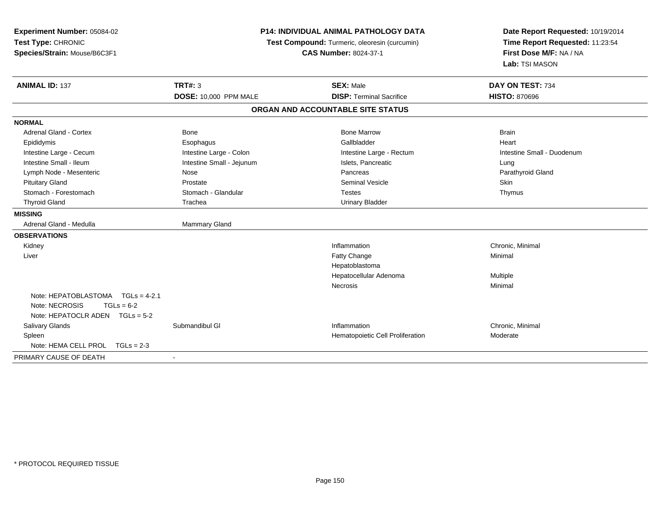| Experiment Number: 05084-02<br>Test Type: CHRONIC<br>Species/Strain: Mouse/B6C3F1                             | <b>P14: INDIVIDUAL ANIMAL PATHOLOGY DATA</b><br>Test Compound: Turmeric, oleoresin (curcumin)<br><b>CAS Number: 8024-37-1</b> |                                   | Date Report Requested: 10/19/2014<br>Time Report Requested: 11:23:54<br>First Dose M/F: NA / NA<br>Lab: TSI MASON |
|---------------------------------------------------------------------------------------------------------------|-------------------------------------------------------------------------------------------------------------------------------|-----------------------------------|-------------------------------------------------------------------------------------------------------------------|
| <b>ANIMAL ID: 137</b>                                                                                         | <b>TRT#: 3</b>                                                                                                                | <b>SEX: Male</b>                  | DAY ON TEST: 734                                                                                                  |
|                                                                                                               | DOSE: 10,000 PPM MALE                                                                                                         | <b>DISP: Terminal Sacrifice</b>   | <b>HISTO: 870696</b>                                                                                              |
|                                                                                                               |                                                                                                                               | ORGAN AND ACCOUNTABLE SITE STATUS |                                                                                                                   |
| <b>NORMAL</b>                                                                                                 |                                                                                                                               |                                   |                                                                                                                   |
| <b>Adrenal Gland - Cortex</b>                                                                                 | <b>Bone</b>                                                                                                                   | <b>Bone Marrow</b>                | <b>Brain</b>                                                                                                      |
| Epididymis                                                                                                    | Esophagus                                                                                                                     | Gallbladder                       | Heart                                                                                                             |
| Intestine Large - Cecum                                                                                       | Intestine Large - Colon                                                                                                       | Intestine Large - Rectum          | Intestine Small - Duodenum                                                                                        |
| Intestine Small - Ileum                                                                                       | Intestine Small - Jejunum                                                                                                     | Islets, Pancreatic                | Lung                                                                                                              |
| Lymph Node - Mesenteric                                                                                       | Nose                                                                                                                          | Pancreas                          | Parathyroid Gland                                                                                                 |
| <b>Pituitary Gland</b>                                                                                        | Prostate                                                                                                                      | <b>Seminal Vesicle</b>            | Skin                                                                                                              |
| Stomach - Forestomach                                                                                         | Stomach - Glandular                                                                                                           | <b>Testes</b>                     | Thymus                                                                                                            |
| <b>Thyroid Gland</b>                                                                                          | Trachea                                                                                                                       | <b>Urinary Bladder</b>            |                                                                                                                   |
| <b>MISSING</b>                                                                                                |                                                                                                                               |                                   |                                                                                                                   |
| Adrenal Gland - Medulla                                                                                       | Mammary Gland                                                                                                                 |                                   |                                                                                                                   |
| <b>OBSERVATIONS</b>                                                                                           |                                                                                                                               |                                   |                                                                                                                   |
| Kidney                                                                                                        |                                                                                                                               | Inflammation                      | Chronic, Minimal                                                                                                  |
| Liver                                                                                                         |                                                                                                                               | Fatty Change                      | Minimal                                                                                                           |
|                                                                                                               |                                                                                                                               | Hepatoblastoma                    |                                                                                                                   |
|                                                                                                               |                                                                                                                               | Hepatocellular Adenoma            | Multiple                                                                                                          |
|                                                                                                               |                                                                                                                               | <b>Necrosis</b>                   | Minimal                                                                                                           |
| Note: HEPATOBLASTOMA<br>$TGLs = 4-2.1$<br>Note: NECROSIS<br>$TGLs = 6-2$<br>Note: HEPATOCLR ADEN $TGLs = 5-2$ |                                                                                                                               |                                   |                                                                                                                   |
| Salivary Glands                                                                                               | Submandibul GI                                                                                                                | Inflammation                      | Chronic, Minimal                                                                                                  |
| Spleen                                                                                                        |                                                                                                                               | Hematopoietic Cell Proliferation  | Moderate                                                                                                          |
| Note: HEMA CELL PROL<br>$TGLs = 2-3$                                                                          |                                                                                                                               |                                   |                                                                                                                   |
| PRIMARY CAUSE OF DEATH                                                                                        |                                                                                                                               |                                   |                                                                                                                   |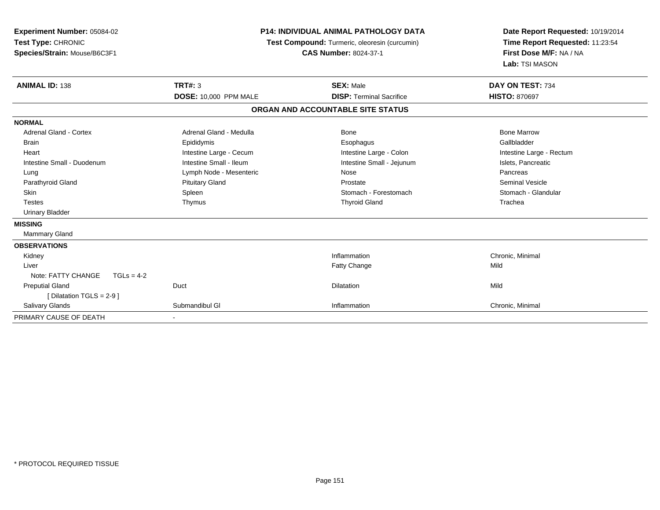| Experiment Number: 05084-02<br>Test Type: CHRONIC<br>Species/Strain: Mouse/B6C3F1 | <b>P14: INDIVIDUAL ANIMAL PATHOLOGY DATA</b><br>Test Compound: Turmeric, oleoresin (curcumin)<br><b>CAS Number: 8024-37-1</b> |                                   | Date Report Requested: 10/19/2014<br>Time Report Requested: 11:23:54<br>First Dose M/F: NA / NA<br>Lab: TSI MASON |
|-----------------------------------------------------------------------------------|-------------------------------------------------------------------------------------------------------------------------------|-----------------------------------|-------------------------------------------------------------------------------------------------------------------|
| <b>ANIMAL ID: 138</b>                                                             | <b>TRT#: 3</b>                                                                                                                | <b>SEX: Male</b>                  | DAY ON TEST: 734                                                                                                  |
|                                                                                   | <b>DOSE: 10,000 PPM MALE</b>                                                                                                  | <b>DISP: Terminal Sacrifice</b>   | <b>HISTO: 870697</b>                                                                                              |
|                                                                                   |                                                                                                                               | ORGAN AND ACCOUNTABLE SITE STATUS |                                                                                                                   |
| <b>NORMAL</b>                                                                     |                                                                                                                               |                                   |                                                                                                                   |
| <b>Adrenal Gland - Cortex</b>                                                     | Adrenal Gland - Medulla                                                                                                       | Bone                              | <b>Bone Marrow</b>                                                                                                |
| <b>Brain</b>                                                                      | Epididymis                                                                                                                    | Esophagus                         | Gallbladder                                                                                                       |
| Heart                                                                             | Intestine Large - Cecum                                                                                                       | Intestine Large - Colon           | Intestine Large - Rectum                                                                                          |
| Intestine Small - Duodenum                                                        | Intestine Small - Ileum                                                                                                       | Intestine Small - Jejunum         | Islets, Pancreatic                                                                                                |
| Lung                                                                              | Lymph Node - Mesenteric                                                                                                       | Nose                              | Pancreas                                                                                                          |
| Parathyroid Gland                                                                 | <b>Pituitary Gland</b>                                                                                                        | Prostate                          | <b>Seminal Vesicle</b>                                                                                            |
| <b>Skin</b>                                                                       | Spleen                                                                                                                        | Stomach - Forestomach             | Stomach - Glandular                                                                                               |
| <b>Testes</b>                                                                     | Thymus                                                                                                                        | <b>Thyroid Gland</b>              | Trachea                                                                                                           |
| <b>Urinary Bladder</b>                                                            |                                                                                                                               |                                   |                                                                                                                   |
| <b>MISSING</b>                                                                    |                                                                                                                               |                                   |                                                                                                                   |
| Mammary Gland                                                                     |                                                                                                                               |                                   |                                                                                                                   |
| <b>OBSERVATIONS</b>                                                               |                                                                                                                               |                                   |                                                                                                                   |
| Kidney                                                                            |                                                                                                                               | Inflammation                      | Chronic, Minimal                                                                                                  |
| Liver                                                                             |                                                                                                                               | Fatty Change                      | Mild                                                                                                              |
| Note: FATTY CHANGE<br>$TGLs = 4-2$                                                |                                                                                                                               |                                   |                                                                                                                   |
| <b>Preputial Gland</b>                                                            | Duct                                                                                                                          | Dilatation                        | Mild                                                                                                              |
| [Dilatation TGLS = 2-9]                                                           |                                                                                                                               |                                   |                                                                                                                   |
| <b>Salivary Glands</b>                                                            | Submandibul GI                                                                                                                | Inflammation                      | Chronic, Minimal                                                                                                  |
| PRIMARY CAUSE OF DEATH                                                            |                                                                                                                               |                                   |                                                                                                                   |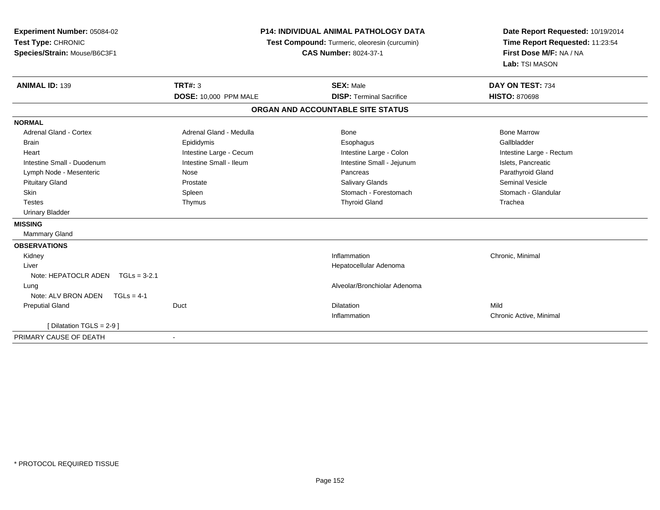| Experiment Number: 05084-02         |                                               | P14: INDIVIDUAL ANIMAL PATHOLOGY DATA | Date Report Requested: 10/19/2014 |
|-------------------------------------|-----------------------------------------------|---------------------------------------|-----------------------------------|
| Test Type: CHRONIC                  | Test Compound: Turmeric, oleoresin (curcumin) |                                       | Time Report Requested: 11:23:54   |
| Species/Strain: Mouse/B6C3F1        |                                               | <b>CAS Number: 8024-37-1</b>          | First Dose M/F: NA / NA           |
|                                     |                                               |                                       | Lab: TSI MASON                    |
| <b>ANIMAL ID: 139</b>               | <b>TRT#: 3</b>                                | <b>SEX: Male</b>                      | DAY ON TEST: 734                  |
|                                     | <b>DOSE: 10,000 PPM MALE</b>                  | <b>DISP: Terminal Sacrifice</b>       | <b>HISTO: 870698</b>              |
|                                     |                                               | ORGAN AND ACCOUNTABLE SITE STATUS     |                                   |
| <b>NORMAL</b>                       |                                               |                                       |                                   |
| <b>Adrenal Gland - Cortex</b>       | Adrenal Gland - Medulla                       | Bone                                  | <b>Bone Marrow</b>                |
| Brain                               | Epididymis                                    | Esophagus                             | Gallbladder                       |
| Heart                               | Intestine Large - Cecum                       | Intestine Large - Colon               | Intestine Large - Rectum          |
| Intestine Small - Duodenum          | Intestine Small - Ileum                       | Intestine Small - Jejunum             | Islets, Pancreatic                |
| Lymph Node - Mesenteric             | Nose                                          | Pancreas                              | Parathyroid Gland                 |
| <b>Pituitary Gland</b>              | Prostate                                      | Salivary Glands                       | Seminal Vesicle                   |
| Skin                                | Spleen                                        | Stomach - Forestomach                 | Stomach - Glandular               |
| <b>Testes</b>                       | Thymus                                        | <b>Thyroid Gland</b>                  | Trachea                           |
| <b>Urinary Bladder</b>              |                                               |                                       |                                   |
| <b>MISSING</b>                      |                                               |                                       |                                   |
| <b>Mammary Gland</b>                |                                               |                                       |                                   |
| <b>OBSERVATIONS</b>                 |                                               |                                       |                                   |
| Kidney                              |                                               | Inflammation                          | Chronic, Minimal                  |
| Liver                               |                                               | Hepatocellular Adenoma                |                                   |
| Note: HEPATOCLR ADEN TGLs = 3-2.1   |                                               |                                       |                                   |
| Lung                                |                                               | Alveolar/Bronchiolar Adenoma          |                                   |
| Note: ALV BRON ADEN<br>$TGLs = 4-1$ |                                               |                                       |                                   |
| <b>Preputial Gland</b>              | Duct                                          | Dilatation                            | Mild                              |
|                                     |                                               | Inflammation                          | Chronic Active, Minimal           |
| [ Dilatation TGLS = $2-9$ ]         |                                               |                                       |                                   |
| PRIMARY CAUSE OF DEATH              |                                               |                                       |                                   |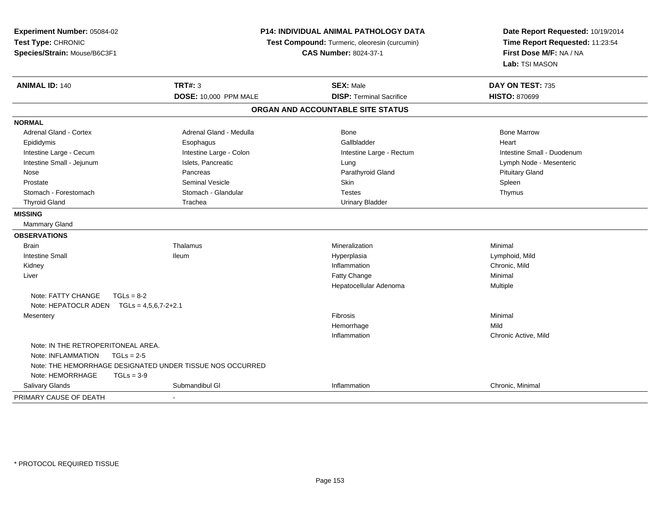| Experiment Number: 05084-02<br>Test Type: CHRONIC<br>Species/Strain: Mouse/B6C3F1 |                                                           | <b>P14: INDIVIDUAL ANIMAL PATHOLOGY DATA</b><br>Test Compound: Turmeric, oleoresin (curcumin)<br><b>CAS Number: 8024-37-1</b> | Date Report Requested: 10/19/2014<br>Time Report Requested: 11:23:54<br>First Dose M/F: NA / NA<br>Lab: TSI MASON |
|-----------------------------------------------------------------------------------|-----------------------------------------------------------|-------------------------------------------------------------------------------------------------------------------------------|-------------------------------------------------------------------------------------------------------------------|
| <b>ANIMAL ID: 140</b>                                                             | <b>TRT#: 3</b>                                            | <b>SEX: Male</b>                                                                                                              | DAY ON TEST: 735                                                                                                  |
|                                                                                   | DOSE: 10,000 PPM MALE                                     | <b>DISP: Terminal Sacrifice</b>                                                                                               | <b>HISTO: 870699</b>                                                                                              |
|                                                                                   |                                                           | ORGAN AND ACCOUNTABLE SITE STATUS                                                                                             |                                                                                                                   |
| <b>NORMAL</b>                                                                     |                                                           |                                                                                                                               |                                                                                                                   |
| <b>Adrenal Gland - Cortex</b>                                                     | Adrenal Gland - Medulla                                   | <b>Bone</b>                                                                                                                   | <b>Bone Marrow</b>                                                                                                |
| Epididymis                                                                        | Esophagus                                                 | Gallbladder                                                                                                                   | Heart                                                                                                             |
| Intestine Large - Cecum                                                           | Intestine Large - Colon                                   | Intestine Large - Rectum                                                                                                      | Intestine Small - Duodenum                                                                                        |
| Intestine Small - Jejunum                                                         | Islets, Pancreatic                                        | Lung                                                                                                                          | Lymph Node - Mesenteric                                                                                           |
| Nose                                                                              | Pancreas                                                  | Parathyroid Gland                                                                                                             | <b>Pituitary Gland</b>                                                                                            |
| Prostate                                                                          | <b>Seminal Vesicle</b>                                    | Skin                                                                                                                          | Spleen                                                                                                            |
| Stomach - Forestomach                                                             | Stomach - Glandular                                       | <b>Testes</b>                                                                                                                 | Thymus                                                                                                            |
| <b>Thyroid Gland</b>                                                              | Trachea                                                   | <b>Urinary Bladder</b>                                                                                                        |                                                                                                                   |
| <b>MISSING</b>                                                                    |                                                           |                                                                                                                               |                                                                                                                   |
| Mammary Gland                                                                     |                                                           |                                                                                                                               |                                                                                                                   |
| <b>OBSERVATIONS</b>                                                               |                                                           |                                                                                                                               |                                                                                                                   |
| Brain                                                                             | Thalamus                                                  | Mineralization                                                                                                                | Minimal                                                                                                           |
| <b>Intestine Small</b>                                                            | <b>Ileum</b>                                              | Hyperplasia                                                                                                                   | Lymphoid, Mild                                                                                                    |
| Kidney                                                                            |                                                           | Inflammation                                                                                                                  | Chronic, Mild                                                                                                     |
| Liver                                                                             |                                                           | Fatty Change                                                                                                                  | Minimal                                                                                                           |
|                                                                                   |                                                           | Hepatocellular Adenoma                                                                                                        | Multiple                                                                                                          |
| Note: FATTY CHANGE<br>$TGLs = 8-2$                                                |                                                           |                                                                                                                               |                                                                                                                   |
| Note: HEPATOCLR ADEN TGLs = 4,5,6,7-2+2.1                                         |                                                           |                                                                                                                               |                                                                                                                   |
| Mesentery                                                                         |                                                           | <b>Fibrosis</b>                                                                                                               | Minimal                                                                                                           |
|                                                                                   |                                                           | Hemorrhage                                                                                                                    | Mild                                                                                                              |
|                                                                                   |                                                           | Inflammation                                                                                                                  | Chronic Active, Mild                                                                                              |
| Note: IN THE RETROPERITONEAL AREA.                                                |                                                           |                                                                                                                               |                                                                                                                   |
| Note: INFLAMMATION<br>$TGLs = 2-5$                                                |                                                           |                                                                                                                               |                                                                                                                   |
|                                                                                   | Note: THE HEMORRHAGE DESIGNATED UNDER TISSUE NOS OCCURRED |                                                                                                                               |                                                                                                                   |
| Note: HEMORRHAGE<br>$TGLs = 3-9$                                                  |                                                           |                                                                                                                               |                                                                                                                   |
| Salivary Glands                                                                   | Submandibul GI                                            | Inflammation                                                                                                                  | Chronic, Minimal                                                                                                  |
| PRIMARY CAUSE OF DEATH                                                            |                                                           |                                                                                                                               |                                                                                                                   |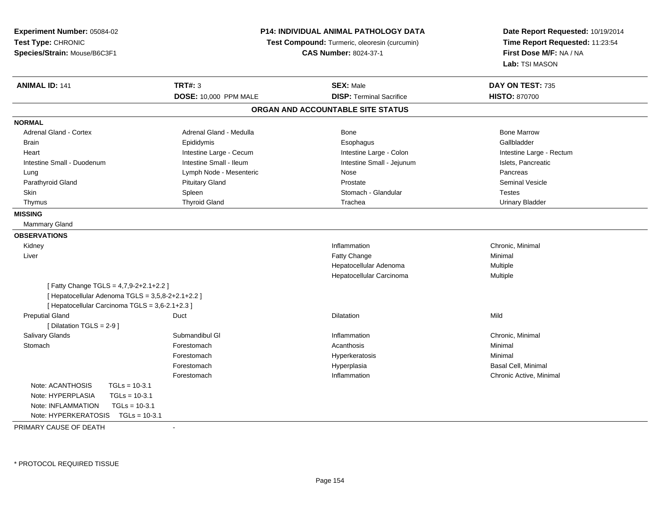| Experiment Number: 05084-02                       |                              | P14: INDIVIDUAL ANIMAL PATHOLOGY DATA         | Date Report Requested: 10/19/2014 |
|---------------------------------------------------|------------------------------|-----------------------------------------------|-----------------------------------|
| Test Type: CHRONIC                                |                              | Test Compound: Turmeric, oleoresin (curcumin) | Time Report Requested: 11:23:54   |
| Species/Strain: Mouse/B6C3F1                      | <b>CAS Number: 8024-37-1</b> |                                               | First Dose M/F: NA / NA           |
|                                                   |                              |                                               | Lab: TSI MASON                    |
| <b>ANIMAL ID: 141</b>                             | <b>TRT#: 3</b>               | <b>SEX: Male</b>                              | DAY ON TEST: 735                  |
|                                                   | DOSE: 10,000 PPM MALE        | <b>DISP: Terminal Sacrifice</b>               | <b>HISTO: 870700</b>              |
|                                                   |                              | ORGAN AND ACCOUNTABLE SITE STATUS             |                                   |
| <b>NORMAL</b>                                     |                              |                                               |                                   |
| <b>Adrenal Gland - Cortex</b>                     | Adrenal Gland - Medulla      | Bone                                          | <b>Bone Marrow</b>                |
| <b>Brain</b>                                      | Epididymis                   | Esophagus                                     | Gallbladder                       |
| Heart                                             | Intestine Large - Cecum      | Intestine Large - Colon                       | Intestine Large - Rectum          |
| Intestine Small - Duodenum                        | Intestine Small - Ileum      | Intestine Small - Jejunum                     | Islets, Pancreatic                |
| Lung                                              | Lymph Node - Mesenteric      | Nose                                          | Pancreas                          |
| Parathyroid Gland                                 | <b>Pituitary Gland</b>       | Prostate                                      | <b>Seminal Vesicle</b>            |
| <b>Skin</b>                                       | Spleen                       | Stomach - Glandular                           | <b>Testes</b>                     |
| Thymus                                            | <b>Thyroid Gland</b>         | Trachea                                       | <b>Urinary Bladder</b>            |
| <b>MISSING</b>                                    |                              |                                               |                                   |
| Mammary Gland                                     |                              |                                               |                                   |
| <b>OBSERVATIONS</b>                               |                              |                                               |                                   |
| Kidney                                            |                              | Inflammation                                  | Chronic, Minimal                  |
| Liver                                             |                              | Fatty Change                                  | Minimal                           |
|                                                   |                              | Hepatocellular Adenoma                        | Multiple                          |
|                                                   |                              | Hepatocellular Carcinoma                      | Multiple                          |
| [Fatty Change TGLS = 4,7,9-2+2.1+2.2]             |                              |                                               |                                   |
| [ Hepatocellular Adenoma TGLS = 3,5,8-2+2.1+2.2 ] |                              |                                               |                                   |
| [ Hepatocellular Carcinoma TGLS = 3,6-2.1+2.3 ]   |                              |                                               |                                   |
| <b>Preputial Gland</b>                            | Duct                         | <b>Dilatation</b>                             | Mild                              |
| [ Dilatation TGLS = 2-9 ]                         |                              |                                               |                                   |
| Salivary Glands                                   | Submandibul GI               | Inflammation                                  | Chronic, Minimal                  |
| Stomach                                           | Forestomach                  | Acanthosis                                    | Minimal                           |
|                                                   | Forestomach                  | Hyperkeratosis                                | Minimal                           |
|                                                   | Forestomach                  | Hyperplasia                                   | Basal Cell, Minimal               |
|                                                   | Forestomach                  | Inflammation                                  | Chronic Active, Minimal           |
| Note: ACANTHOSIS<br>$TGLs = 10-3.1$               |                              |                                               |                                   |
| $TGLs = 10-3.1$<br>Note: HYPERPLASIA              |                              |                                               |                                   |
| $TGLs = 10-3.1$<br>Note: INFLAMMATION             |                              |                                               |                                   |
| Note: HYPERKERATOSIS TGLs = 10-3.1                |                              |                                               |                                   |
|                                                   |                              |                                               |                                   |

PRIMARY CAUSE OF DEATH-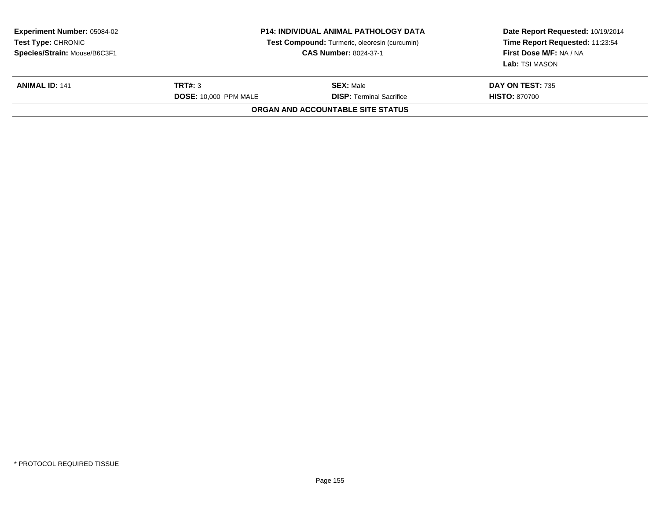| <b>Experiment Number: 05084-02</b><br><b>Test Type: CHRONIC</b><br>Species/Strain: Mouse/B6C3F1 | P14: INDIVIDUAL ANIMAL PATHOLOGY DATA<br>Test Compound: Turmeric, oleoresin (curcumin)<br><b>CAS Number: 8024-37-1</b> |                                                     | Date Report Requested: 10/19/2014<br>Time Report Requested: 11:23:54<br>First Dose M/F: NA / NA<br>Lab: TSI MASON |
|-------------------------------------------------------------------------------------------------|------------------------------------------------------------------------------------------------------------------------|-----------------------------------------------------|-------------------------------------------------------------------------------------------------------------------|
| <b>ANIMAL ID: 141</b>                                                                           | TRT#: 3<br><b>DOSE: 10,000 PPM MALE</b>                                                                                | <b>SEX: Male</b><br><b>DISP: Terminal Sacrifice</b> | <b>DAY ON TEST: 735</b><br><b>HISTO: 870700</b>                                                                   |
|                                                                                                 |                                                                                                                        | ORGAN AND ACCOUNTABLE SITE STATUS                   |                                                                                                                   |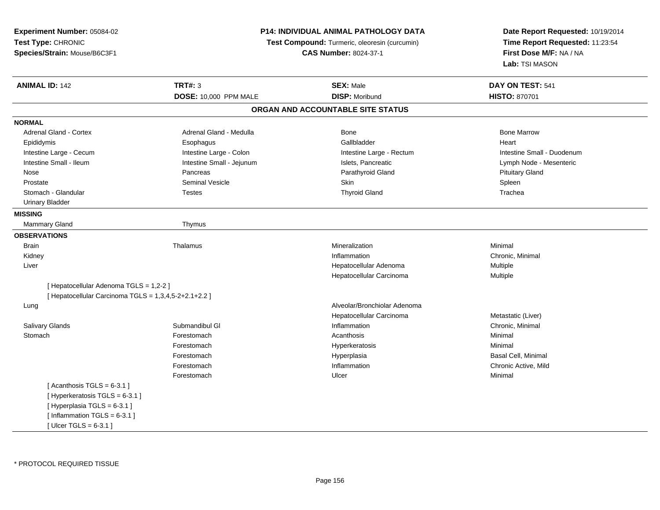| Experiment Number: 05084-02                           |                                               | P14: INDIVIDUAL ANIMAL PATHOLOGY DATA | Date Report Requested: 10/19/2014 |
|-------------------------------------------------------|-----------------------------------------------|---------------------------------------|-----------------------------------|
| Test Type: CHRONIC                                    | Test Compound: Turmeric, oleoresin (curcumin) |                                       | Time Report Requested: 11:23:54   |
| Species/Strain: Mouse/B6C3F1                          |                                               | <b>CAS Number: 8024-37-1</b>          | First Dose M/F: NA / NA           |
|                                                       |                                               |                                       | Lab: TSI MASON                    |
| <b>ANIMAL ID: 142</b>                                 | <b>TRT#: 3</b>                                | <b>SEX: Male</b>                      | DAY ON TEST: 541                  |
|                                                       | <b>DOSE: 10,000 PPM MALE</b>                  | <b>DISP: Moribund</b>                 | <b>HISTO: 870701</b>              |
|                                                       |                                               | ORGAN AND ACCOUNTABLE SITE STATUS     |                                   |
| <b>NORMAL</b>                                         |                                               |                                       |                                   |
| Adrenal Gland - Cortex                                | Adrenal Gland - Medulla                       | <b>Bone</b>                           | <b>Bone Marrow</b>                |
| Epididymis                                            | Esophagus                                     | Gallbladder                           | Heart                             |
| Intestine Large - Cecum                               | Intestine Large - Colon                       | Intestine Large - Rectum              | Intestine Small - Duodenum        |
| Intestine Small - Ileum                               | Intestine Small - Jejunum                     | Islets, Pancreatic                    | Lymph Node - Mesenteric           |
| Nose                                                  | Pancreas                                      | Parathyroid Gland                     | <b>Pituitary Gland</b>            |
| Prostate                                              | <b>Seminal Vesicle</b>                        | Skin                                  | Spleen                            |
| Stomach - Glandular                                   | <b>Testes</b>                                 | <b>Thyroid Gland</b>                  | Trachea                           |
| <b>Urinary Bladder</b>                                |                                               |                                       |                                   |
| <b>MISSING</b>                                        |                                               |                                       |                                   |
| Mammary Gland                                         | Thymus                                        |                                       |                                   |
| <b>OBSERVATIONS</b>                                   |                                               |                                       |                                   |
| <b>Brain</b>                                          | Thalamus                                      | Mineralization                        | Minimal                           |
| Kidney                                                |                                               | Inflammation                          | Chronic, Minimal                  |
| Liver                                                 |                                               | Hepatocellular Adenoma                | Multiple                          |
|                                                       |                                               | Hepatocellular Carcinoma              | Multiple                          |
| [ Hepatocellular Adenoma TGLS = 1,2-2 ]               |                                               |                                       |                                   |
| [ Hepatocellular Carcinoma TGLS = 1,3,4,5-2+2.1+2.2 ] |                                               |                                       |                                   |
| Lung                                                  |                                               | Alveolar/Bronchiolar Adenoma          |                                   |
|                                                       |                                               | Hepatocellular Carcinoma              | Metastatic (Liver)                |
| <b>Salivary Glands</b>                                | Submandibul GI                                | Inflammation                          | Chronic, Minimal                  |
| Stomach                                               | Forestomach                                   | Acanthosis                            | Minimal                           |
|                                                       | Forestomach                                   | Hyperkeratosis                        | Minimal                           |
|                                                       | Forestomach                                   | Hyperplasia                           | Basal Cell, Minimal               |
|                                                       | Forestomach                                   | Inflammation                          | Chronic Active, Mild              |
|                                                       | Forestomach                                   | Ulcer                                 | Minimal                           |
| [Acanthosis TGLS = $6-3.1$ ]                          |                                               |                                       |                                   |
| [Hyperkeratosis TGLS = 6-3.1]                         |                                               |                                       |                                   |
| [Hyperplasia TGLS = 6-3.1]                            |                                               |                                       |                                   |
| [Inflammation TGLS = $6-3.1$ ]                        |                                               |                                       |                                   |
| [ $Ulcer TGLS = 6-3.1$ ]                              |                                               |                                       |                                   |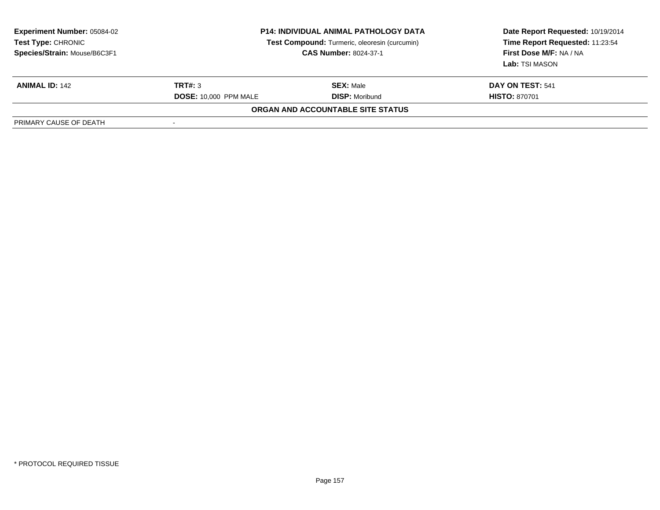| <b>Experiment Number: 05084-02</b><br><b>Test Type: CHRONIC</b><br>Species/Strain: Mouse/B6C3F1 | <b>P14: INDIVIDUAL ANIMAL PATHOLOGY DATA</b><br>Test Compound: Turmeric, oleoresin (curcumin)<br><b>CAS Number: 8024-37-1</b> |                                   | Date Report Requested: 10/19/2014<br>Time Report Requested: 11:23:54<br>First Dose M/F: NA / NA<br>Lab: TSI MASON |
|-------------------------------------------------------------------------------------------------|-------------------------------------------------------------------------------------------------------------------------------|-----------------------------------|-------------------------------------------------------------------------------------------------------------------|
| <b>ANIMAL ID: 142</b>                                                                           | TRT#: 3                                                                                                                       | <b>SEX: Male</b>                  | DAY ON TEST: 541                                                                                                  |
|                                                                                                 | <b>DOSE: 10,000 PPM MALE</b>                                                                                                  | <b>DISP: Moribund</b>             | <b>HISTO: 870701</b>                                                                                              |
|                                                                                                 |                                                                                                                               | ORGAN AND ACCOUNTABLE SITE STATUS |                                                                                                                   |
| PRIMARY CAUSE OF DEATH                                                                          |                                                                                                                               |                                   |                                                                                                                   |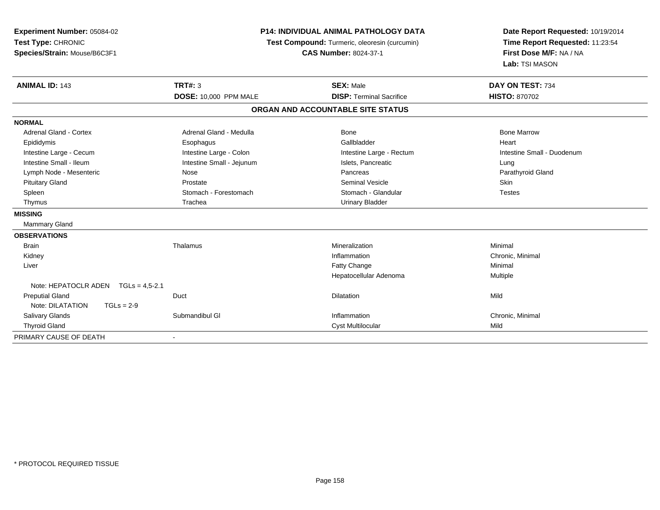| Experiment Number: 05084-02<br>Test Type: CHRONIC<br>Species/Strain: Mouse/B6C3F1 | <b>P14: INDIVIDUAL ANIMAL PATHOLOGY DATA</b><br>Test Compound: Turmeric, oleoresin (curcumin)<br><b>CAS Number: 8024-37-1</b> |                                   | Date Report Requested: 10/19/2014<br>Time Report Requested: 11:23:54<br>First Dose M/F: NA / NA<br>Lab: TSI MASON |
|-----------------------------------------------------------------------------------|-------------------------------------------------------------------------------------------------------------------------------|-----------------------------------|-------------------------------------------------------------------------------------------------------------------|
| <b>ANIMAL ID: 143</b>                                                             | <b>TRT#: 3</b>                                                                                                                | <b>SEX: Male</b>                  | DAY ON TEST: 734                                                                                                  |
|                                                                                   | <b>DOSE: 10,000 PPM MALE</b>                                                                                                  | <b>DISP: Terminal Sacrifice</b>   | <b>HISTO: 870702</b>                                                                                              |
|                                                                                   |                                                                                                                               | ORGAN AND ACCOUNTABLE SITE STATUS |                                                                                                                   |
| <b>NORMAL</b>                                                                     |                                                                                                                               |                                   |                                                                                                                   |
| <b>Adrenal Gland - Cortex</b>                                                     | Adrenal Gland - Medulla                                                                                                       | Bone                              | <b>Bone Marrow</b>                                                                                                |
| Epididymis                                                                        | Esophagus                                                                                                                     | Gallbladder                       | Heart                                                                                                             |
| Intestine Large - Cecum                                                           | Intestine Large - Colon                                                                                                       | Intestine Large - Rectum          | Intestine Small - Duodenum                                                                                        |
| Intestine Small - Ileum                                                           | Intestine Small - Jejunum                                                                                                     | Islets, Pancreatic                | Lung                                                                                                              |
| Lymph Node - Mesenteric                                                           | Nose                                                                                                                          | Pancreas                          | Parathyroid Gland                                                                                                 |
| <b>Pituitary Gland</b>                                                            | Prostate                                                                                                                      | <b>Seminal Vesicle</b>            | Skin                                                                                                              |
| Spleen                                                                            | Stomach - Forestomach                                                                                                         | Stomach - Glandular               | <b>Testes</b>                                                                                                     |
| Thymus                                                                            | Trachea                                                                                                                       | <b>Urinary Bladder</b>            |                                                                                                                   |
| <b>MISSING</b>                                                                    |                                                                                                                               |                                   |                                                                                                                   |
| <b>Mammary Gland</b>                                                              |                                                                                                                               |                                   |                                                                                                                   |
| <b>OBSERVATIONS</b>                                                               |                                                                                                                               |                                   |                                                                                                                   |
| <b>Brain</b>                                                                      | Thalamus                                                                                                                      | Mineralization                    | Minimal                                                                                                           |
| Kidney                                                                            |                                                                                                                               | Inflammation                      | Chronic, Minimal                                                                                                  |
| Liver                                                                             |                                                                                                                               | Fatty Change                      | Minimal                                                                                                           |
|                                                                                   |                                                                                                                               | Hepatocellular Adenoma            | Multiple                                                                                                          |
| Note: HEPATOCLR ADEN<br>$TGLs = 4.5 - 2.1$                                        |                                                                                                                               |                                   |                                                                                                                   |
| <b>Preputial Gland</b>                                                            | Duct                                                                                                                          | <b>Dilatation</b>                 | Mild                                                                                                              |
| Note: DILATATION<br>$TGLs = 2-9$                                                  |                                                                                                                               |                                   |                                                                                                                   |
| Salivary Glands                                                                   | Submandibul GI                                                                                                                | Inflammation                      | Chronic, Minimal                                                                                                  |
| <b>Thyroid Gland</b>                                                              |                                                                                                                               | <b>Cyst Multilocular</b>          | Mild                                                                                                              |
| PRIMARY CAUSE OF DEATH                                                            |                                                                                                                               |                                   |                                                                                                                   |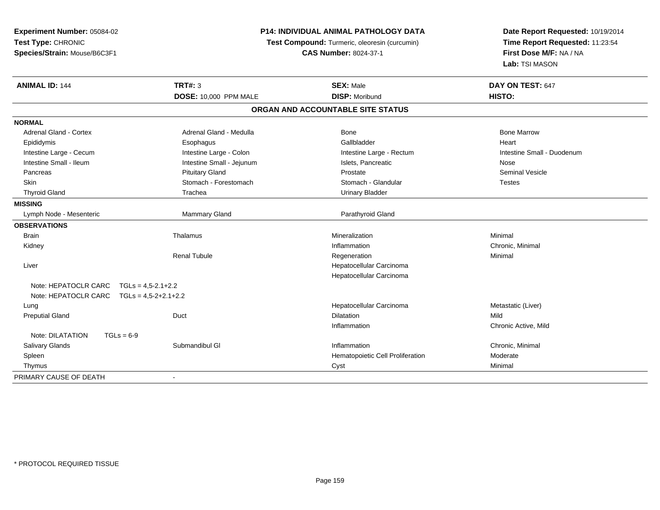| <b>Experiment Number: 05084-02</b> | <b>P14: INDIVIDUAL ANIMAL PATHOLOGY DATA</b> |                                               | Date Report Requested: 10/19/2014                          |
|------------------------------------|----------------------------------------------|-----------------------------------------------|------------------------------------------------------------|
| Test Type: CHRONIC                 |                                              | Test Compound: Turmeric, oleoresin (curcumin) | Time Report Requested: 11:23:54<br>First Dose M/F: NA / NA |
| Species/Strain: Mouse/B6C3F1       |                                              | <b>CAS Number: 8024-37-1</b>                  |                                                            |
|                                    |                                              |                                               | Lab: TSI MASON                                             |
| <b>ANIMAL ID: 144</b>              | <b>TRT#: 3</b>                               | <b>SEX: Male</b>                              | DAY ON TEST: 647                                           |
|                                    | <b>DOSE: 10,000 PPM MALE</b>                 | <b>DISP: Moribund</b>                         | HISTO:                                                     |
|                                    |                                              | ORGAN AND ACCOUNTABLE SITE STATUS             |                                                            |
| <b>NORMAL</b>                      |                                              |                                               |                                                            |
| <b>Adrenal Gland - Cortex</b>      | Adrenal Gland - Medulla                      | <b>Bone</b>                                   | <b>Bone Marrow</b>                                         |
| Epididymis                         | Esophagus                                    | Gallbladder                                   | Heart                                                      |
| Intestine Large - Cecum            | Intestine Large - Colon                      | Intestine Large - Rectum                      | Intestine Small - Duodenum                                 |
| Intestine Small - Ileum            | Intestine Small - Jejunum                    | Islets, Pancreatic                            | Nose                                                       |
| Pancreas                           | <b>Pituitary Gland</b>                       | Prostate                                      | <b>Seminal Vesicle</b>                                     |
| Skin                               | Stomach - Forestomach                        | Stomach - Glandular                           | <b>Testes</b>                                              |
| <b>Thyroid Gland</b>               | Trachea                                      | <b>Urinary Bladder</b>                        |                                                            |
| <b>MISSING</b>                     |                                              |                                               |                                                            |
| Lymph Node - Mesenteric            | Mammary Gland                                | Parathyroid Gland                             |                                                            |
| <b>OBSERVATIONS</b>                |                                              |                                               |                                                            |
| <b>Brain</b>                       | Thalamus                                     | Mineralization                                | Minimal                                                    |
| Kidney                             |                                              | Inflammation                                  | Chronic, Minimal                                           |
|                                    | <b>Renal Tubule</b>                          | Regeneration                                  | Minimal                                                    |
| Liver                              |                                              | Hepatocellular Carcinoma                      |                                                            |
|                                    |                                              | Hepatocellular Carcinoma                      |                                                            |
| Note: HEPATOCLR CARC               | $TGLs = 4,5-2.1+2.2$                         |                                               |                                                            |
| Note: HEPATOCLR CARC               | $TGLs = 4.5 - 2 + 2.1 + 2.2$                 |                                               |                                                            |
| Lung                               |                                              | Hepatocellular Carcinoma                      | Metastatic (Liver)                                         |
| <b>Preputial Gland</b>             | Duct                                         | <b>Dilatation</b>                             | Mild                                                       |
|                                    |                                              | Inflammation                                  | Chronic Active, Mild                                       |
| Note: DILATATION<br>$TGLs = 6-9$   |                                              |                                               |                                                            |
| Salivary Glands                    | Submandibul GI                               | Inflammation                                  | Chronic, Minimal                                           |
| Spleen                             |                                              | Hematopoietic Cell Proliferation              | Moderate                                                   |
| Thymus                             |                                              | Cyst                                          | Minimal                                                    |
| PRIMARY CAUSE OF DEATH             |                                              |                                               |                                                            |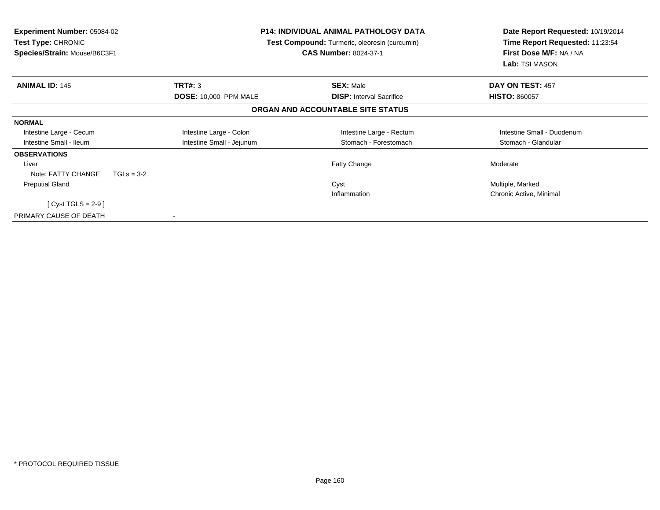| Experiment Number: 05084-02<br><b>Test Type: CHRONIC</b><br>Species/Strain: Mouse/B6C3F1 | <b>P14: INDIVIDUAL ANIMAL PATHOLOGY DATA</b><br><b>Test Compound:</b> Turmeric, oleoresin (curcumin)<br><b>CAS Number: 8024-37-1</b> |                                   | Date Report Requested: 10/19/2014<br>Time Report Requested: 11:23:54<br>First Dose M/F: NA / NA<br>Lab: TSI MASON |
|------------------------------------------------------------------------------------------|--------------------------------------------------------------------------------------------------------------------------------------|-----------------------------------|-------------------------------------------------------------------------------------------------------------------|
| <b>ANIMAL ID: 145</b>                                                                    | <b>TRT#: 3</b>                                                                                                                       | <b>SEX: Male</b>                  | DAY ON TEST: 457                                                                                                  |
|                                                                                          | <b>DOSE: 10,000 PPM MALE</b>                                                                                                         | <b>DISP:</b> Interval Sacrifice   | <b>HISTO: 860057</b>                                                                                              |
|                                                                                          |                                                                                                                                      | ORGAN AND ACCOUNTABLE SITE STATUS |                                                                                                                   |
| <b>NORMAL</b>                                                                            |                                                                                                                                      |                                   |                                                                                                                   |
| Intestine Large - Cecum                                                                  | Intestine Large - Colon                                                                                                              | Intestine Large - Rectum          | Intestine Small - Duodenum                                                                                        |
| Intestine Small - Ileum                                                                  | Intestine Small - Jejunum                                                                                                            | Stomach - Forestomach             | Stomach - Glandular                                                                                               |
| <b>OBSERVATIONS</b>                                                                      |                                                                                                                                      |                                   |                                                                                                                   |
| Liver                                                                                    |                                                                                                                                      | Fatty Change                      | Moderate                                                                                                          |
| Note: FATTY CHANGE<br>$TGLs = 3-2$                                                       |                                                                                                                                      |                                   |                                                                                                                   |
| <b>Preputial Gland</b>                                                                   |                                                                                                                                      | Cyst                              | Multiple, Marked                                                                                                  |
|                                                                                          |                                                                                                                                      | Inflammation                      | Chronic Active, Minimal                                                                                           |
| [Cyst TGLS = $2-9$ ]                                                                     |                                                                                                                                      |                                   |                                                                                                                   |
| PRIMARY CAUSE OF DEATH                                                                   |                                                                                                                                      |                                   |                                                                                                                   |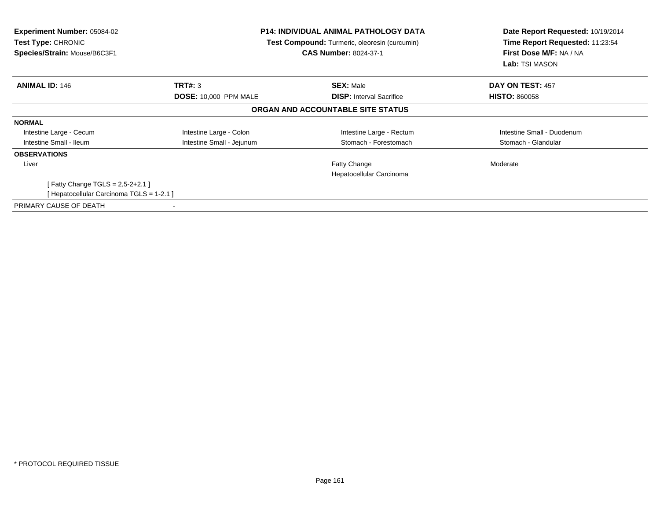| <b>Experiment Number: 05084-02</b><br><b>Test Type: CHRONIC</b><br>Species/Strain: Mouse/B6C3F1 | <b>P14: INDIVIDUAL ANIMAL PATHOLOGY DATA</b><br>Test Compound: Turmeric, oleoresin (curcumin)<br><b>CAS Number: 8024-37-1</b> |                                   | Date Report Requested: 10/19/2014<br>Time Report Requested: 11:23:54<br>First Dose M/F: NA / NA<br><b>Lab:</b> TSI MASON |
|-------------------------------------------------------------------------------------------------|-------------------------------------------------------------------------------------------------------------------------------|-----------------------------------|--------------------------------------------------------------------------------------------------------------------------|
| <b>ANIMAL ID: 146</b>                                                                           | <b>TRT#: 3</b>                                                                                                                | <b>SEX: Male</b>                  | DAY ON TEST: 457                                                                                                         |
|                                                                                                 | <b>DOSE: 10,000 PPM MALE</b>                                                                                                  | <b>DISP:</b> Interval Sacrifice   | <b>HISTO: 860058</b>                                                                                                     |
|                                                                                                 |                                                                                                                               | ORGAN AND ACCOUNTABLE SITE STATUS |                                                                                                                          |
| <b>NORMAL</b>                                                                                   |                                                                                                                               |                                   |                                                                                                                          |
| Intestine Large - Cecum                                                                         | Intestine Large - Colon                                                                                                       | Intestine Large - Rectum          | Intestine Small - Duodenum                                                                                               |
| Intestine Small - Ileum                                                                         | Intestine Small - Jejunum                                                                                                     | Stomach - Forestomach             | Stomach - Glandular                                                                                                      |
| <b>OBSERVATIONS</b>                                                                             |                                                                                                                               |                                   |                                                                                                                          |
| Liver                                                                                           |                                                                                                                               | Fatty Change                      | Moderate                                                                                                                 |
|                                                                                                 |                                                                                                                               | Hepatocellular Carcinoma          |                                                                                                                          |
| Fatty Change TGLS = $2,5-2+2.1$ ]                                                               |                                                                                                                               |                                   |                                                                                                                          |
| [ Hepatocellular Carcinoma TGLS = 1-2.1 ]                                                       |                                                                                                                               |                                   |                                                                                                                          |
| PRIMARY CAUSE OF DEATH                                                                          |                                                                                                                               |                                   |                                                                                                                          |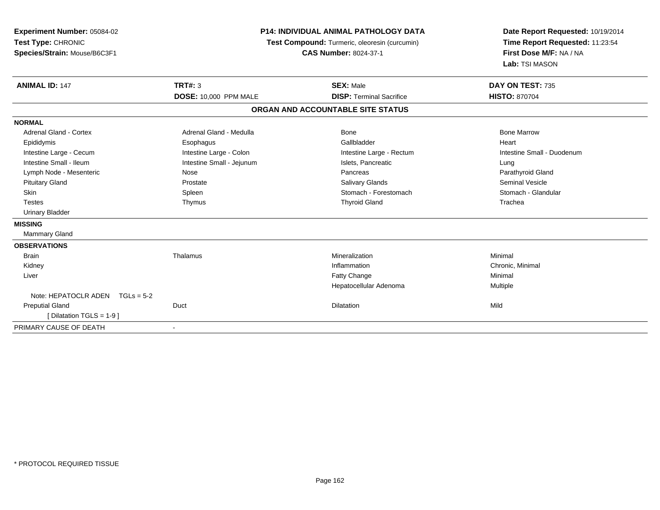| Experiment Number: 05084-02<br>Test Type: CHRONIC<br>Species/Strain: Mouse/B6C3F1 | <b>P14: INDIVIDUAL ANIMAL PATHOLOGY DATA</b><br>Test Compound: Turmeric, oleoresin (curcumin)<br><b>CAS Number: 8024-37-1</b> |                                   | Date Report Requested: 10/19/2014<br>Time Report Requested: 11:23:54<br>First Dose M/F: NA / NA<br>Lab: TSI MASON |  |
|-----------------------------------------------------------------------------------|-------------------------------------------------------------------------------------------------------------------------------|-----------------------------------|-------------------------------------------------------------------------------------------------------------------|--|
| <b>ANIMAL ID: 147</b>                                                             | TRT#: $3$                                                                                                                     | <b>SEX: Male</b>                  | DAY ON TEST: 735                                                                                                  |  |
|                                                                                   | DOSE: 10,000 PPM MALE                                                                                                         | <b>DISP: Terminal Sacrifice</b>   | <b>HISTO: 870704</b>                                                                                              |  |
|                                                                                   |                                                                                                                               | ORGAN AND ACCOUNTABLE SITE STATUS |                                                                                                                   |  |
| <b>NORMAL</b>                                                                     |                                                                                                                               |                                   |                                                                                                                   |  |
| Adrenal Gland - Cortex                                                            | Adrenal Gland - Medulla                                                                                                       | Bone                              | <b>Bone Marrow</b>                                                                                                |  |
| Epididymis                                                                        | Esophagus                                                                                                                     | Gallbladder                       | Heart                                                                                                             |  |
| Intestine Large - Cecum                                                           | Intestine Large - Colon                                                                                                       | Intestine Large - Rectum          | Intestine Small - Duodenum                                                                                        |  |
| Intestine Small - Ileum                                                           | Intestine Small - Jejunum                                                                                                     | Islets, Pancreatic                | Lung                                                                                                              |  |
| Lymph Node - Mesenteric                                                           | Nose                                                                                                                          | Pancreas                          | Parathyroid Gland                                                                                                 |  |
| <b>Pituitary Gland</b>                                                            | Prostate                                                                                                                      | <b>Salivary Glands</b>            | <b>Seminal Vesicle</b>                                                                                            |  |
| Skin                                                                              | Spleen                                                                                                                        | Stomach - Forestomach             | Stomach - Glandular                                                                                               |  |
| <b>Testes</b>                                                                     | Thymus                                                                                                                        | <b>Thyroid Gland</b>              | Trachea                                                                                                           |  |
| <b>Urinary Bladder</b>                                                            |                                                                                                                               |                                   |                                                                                                                   |  |
| <b>MISSING</b>                                                                    |                                                                                                                               |                                   |                                                                                                                   |  |
| <b>Mammary Gland</b>                                                              |                                                                                                                               |                                   |                                                                                                                   |  |
| <b>OBSERVATIONS</b>                                                               |                                                                                                                               |                                   |                                                                                                                   |  |
| <b>Brain</b>                                                                      | Thalamus                                                                                                                      | Mineralization                    | Minimal                                                                                                           |  |
| Kidney                                                                            |                                                                                                                               | Inflammation                      | Chronic, Minimal                                                                                                  |  |
| Liver                                                                             |                                                                                                                               | Fatty Change                      | Minimal                                                                                                           |  |
|                                                                                   |                                                                                                                               | Hepatocellular Adenoma            | Multiple                                                                                                          |  |
| Note: HEPATOCLR ADEN<br>$TGLs = 5-2$                                              |                                                                                                                               |                                   |                                                                                                                   |  |
| <b>Preputial Gland</b>                                                            | Duct                                                                                                                          | Dilatation                        | Mild                                                                                                              |  |
| [ Dilatation TGLS = $1-9$ ]                                                       |                                                                                                                               |                                   |                                                                                                                   |  |
| PRIMARY CAUSE OF DEATH                                                            |                                                                                                                               |                                   |                                                                                                                   |  |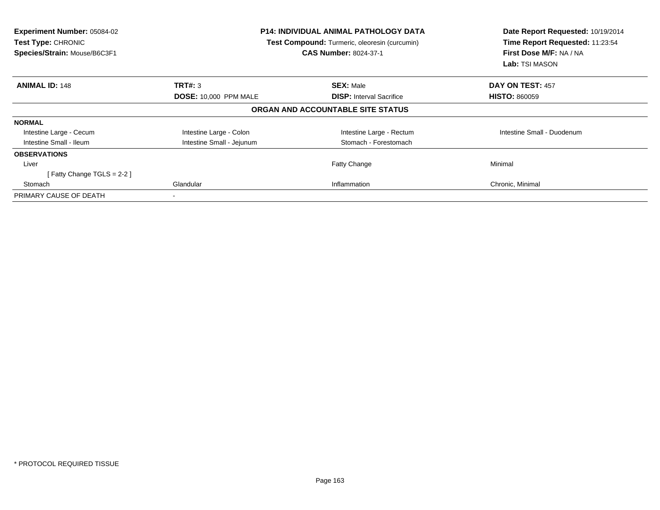| Experiment Number: 05084-02<br>Test Type: CHRONIC<br>Species/Strain: Mouse/B6C3F1 | <b>P14: INDIVIDUAL ANIMAL PATHOLOGY DATA</b><br>Test Compound: Turmeric, oleoresin (curcumin)<br><b>CAS Number: 8024-37-1</b> |                                   | Date Report Requested: 10/19/2014<br>Time Report Requested: 11:23:54<br>First Dose M/F: NA / NA<br><b>Lab: TSI MASON</b> |
|-----------------------------------------------------------------------------------|-------------------------------------------------------------------------------------------------------------------------------|-----------------------------------|--------------------------------------------------------------------------------------------------------------------------|
| <b>ANIMAL ID: 148</b>                                                             | TRT#: 3                                                                                                                       | <b>SEX: Male</b>                  | DAY ON TEST: 457                                                                                                         |
|                                                                                   | <b>DOSE: 10,000 PPM MALE</b>                                                                                                  | <b>DISP:</b> Interval Sacrifice   | <b>HISTO: 860059</b>                                                                                                     |
|                                                                                   |                                                                                                                               | ORGAN AND ACCOUNTABLE SITE STATUS |                                                                                                                          |
| <b>NORMAL</b>                                                                     |                                                                                                                               |                                   |                                                                                                                          |
| Intestine Large - Cecum                                                           | Intestine Large - Colon                                                                                                       | Intestine Large - Rectum          | Intestine Small - Duodenum                                                                                               |
| Intestine Small - Ileum                                                           | Intestine Small - Jejunum                                                                                                     | Stomach - Forestomach             |                                                                                                                          |
| <b>OBSERVATIONS</b>                                                               |                                                                                                                               |                                   |                                                                                                                          |
| Liver                                                                             |                                                                                                                               | Fatty Change                      | Minimal                                                                                                                  |
| Fatty Change TGLS = 2-2 ]                                                         |                                                                                                                               |                                   |                                                                                                                          |
| Stomach                                                                           | Glandular                                                                                                                     | Inflammation                      | Chronic, Minimal                                                                                                         |
| PRIMARY CAUSE OF DEATH                                                            |                                                                                                                               |                                   |                                                                                                                          |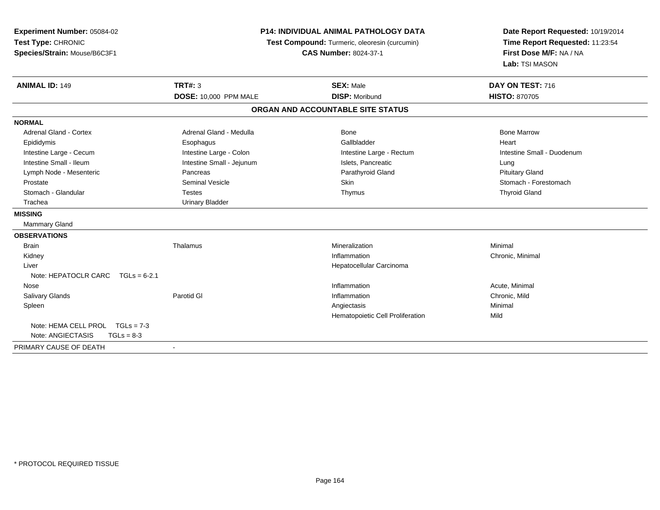| Experiment Number: 05084-02            | <b>P14: INDIVIDUAL ANIMAL PATHOLOGY DATA</b><br>Test Compound: Turmeric, oleoresin (curcumin) |                                   | Date Report Requested: 10/19/2014 |  |
|----------------------------------------|-----------------------------------------------------------------------------------------------|-----------------------------------|-----------------------------------|--|
| Test Type: CHRONIC                     |                                                                                               |                                   | Time Report Requested: 11:23:54   |  |
| Species/Strain: Mouse/B6C3F1           |                                                                                               | <b>CAS Number: 8024-37-1</b>      | First Dose M/F: NA / NA           |  |
|                                        |                                                                                               |                                   | Lab: TSI MASON                    |  |
| <b>ANIMAL ID: 149</b>                  | <b>TRT#: 3</b>                                                                                | <b>SEX: Male</b>                  | DAY ON TEST: 716                  |  |
|                                        | <b>DOSE: 10,000 PPM MALE</b>                                                                  | <b>DISP: Moribund</b>             | <b>HISTO: 870705</b>              |  |
|                                        |                                                                                               | ORGAN AND ACCOUNTABLE SITE STATUS |                                   |  |
| <b>NORMAL</b>                          |                                                                                               |                                   |                                   |  |
| <b>Adrenal Gland - Cortex</b>          | Adrenal Gland - Medulla                                                                       | Bone                              | <b>Bone Marrow</b>                |  |
| Epididymis                             | Esophagus                                                                                     | Gallbladder                       | Heart                             |  |
| Intestine Large - Cecum                | Intestine Large - Colon                                                                       | Intestine Large - Rectum          | Intestine Small - Duodenum        |  |
| Intestine Small - Ileum                | Intestine Small - Jejunum                                                                     | Islets, Pancreatic                | Lung                              |  |
| Lymph Node - Mesenteric                | Pancreas                                                                                      | Parathyroid Gland                 | <b>Pituitary Gland</b>            |  |
| Prostate                               | Seminal Vesicle                                                                               | <b>Skin</b>                       | Stomach - Forestomach             |  |
| Stomach - Glandular                    | <b>Testes</b>                                                                                 | Thymus                            | <b>Thyroid Gland</b>              |  |
| Trachea                                | <b>Urinary Bladder</b>                                                                        |                                   |                                   |  |
| <b>MISSING</b>                         |                                                                                               |                                   |                                   |  |
| Mammary Gland                          |                                                                                               |                                   |                                   |  |
| <b>OBSERVATIONS</b>                    |                                                                                               |                                   |                                   |  |
| <b>Brain</b>                           | Thalamus                                                                                      | Mineralization                    | Minimal                           |  |
| Kidney                                 |                                                                                               | Inflammation                      | Chronic, Minimal                  |  |
| Liver                                  |                                                                                               | Hepatocellular Carcinoma          |                                   |  |
| Note: HEPATOCLR CARC<br>$TGLs = 6-2.1$ |                                                                                               |                                   |                                   |  |
| Nose                                   |                                                                                               | Inflammation                      | Acute, Minimal                    |  |
| <b>Salivary Glands</b>                 | Parotid GI                                                                                    | Inflammation                      | Chronic, Mild                     |  |
| Spleen                                 |                                                                                               | Angiectasis                       | Minimal                           |  |
|                                        |                                                                                               | Hematopoietic Cell Proliferation  | Mild                              |  |
| Note: HEMA CELL PROL TGLs = 7-3        |                                                                                               |                                   |                                   |  |
| Note: ANGIECTASIS<br>$TGLs = 8-3$      |                                                                                               |                                   |                                   |  |
| PRIMARY CAUSE OF DEATH                 | $\blacksquare$                                                                                |                                   |                                   |  |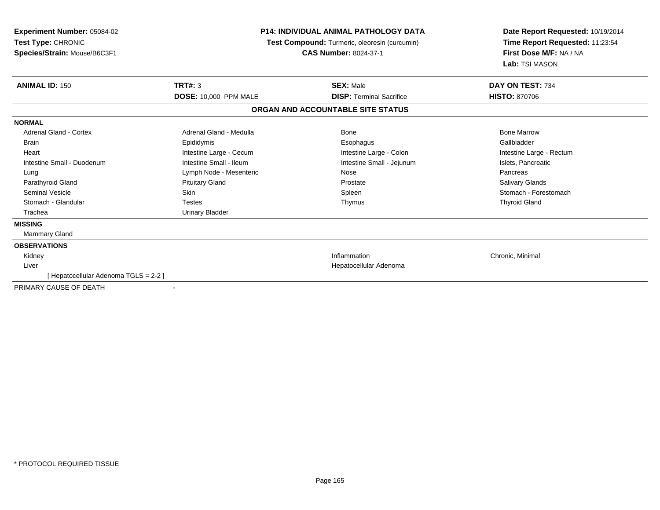| <b>Experiment Number: 05084-02</b><br>Test Type: CHRONIC<br>Species/Strain: Mouse/B6C3F1 | <b>P14: INDIVIDUAL ANIMAL PATHOLOGY DATA</b><br>Test Compound: Turmeric, oleoresin (curcumin)<br><b>CAS Number: 8024-37-1</b> |                                   | Date Report Requested: 10/19/2014<br>Time Report Requested: 11:23:54<br>First Dose M/F: NA / NA<br>Lab: TSI MASON |
|------------------------------------------------------------------------------------------|-------------------------------------------------------------------------------------------------------------------------------|-----------------------------------|-------------------------------------------------------------------------------------------------------------------|
| <b>ANIMAL ID: 150</b>                                                                    | <b>TRT#: 3</b>                                                                                                                | <b>SEX: Male</b>                  | DAY ON TEST: 734                                                                                                  |
|                                                                                          | <b>DOSE: 10,000 PPM MALE</b>                                                                                                  | <b>DISP: Terminal Sacrifice</b>   | <b>HISTO: 870706</b>                                                                                              |
|                                                                                          |                                                                                                                               | ORGAN AND ACCOUNTABLE SITE STATUS |                                                                                                                   |
| <b>NORMAL</b>                                                                            |                                                                                                                               |                                   |                                                                                                                   |
| Adrenal Gland - Cortex                                                                   | Adrenal Gland - Medulla                                                                                                       | Bone                              | <b>Bone Marrow</b>                                                                                                |
| <b>Brain</b>                                                                             | Epididymis                                                                                                                    | Esophagus                         | Gallbladder                                                                                                       |
| Heart                                                                                    | Intestine Large - Cecum                                                                                                       | Intestine Large - Colon           | Intestine Large - Rectum                                                                                          |
| Intestine Small - Duodenum                                                               | Intestine Small - Ileum                                                                                                       | Intestine Small - Jejunum         | Islets, Pancreatic                                                                                                |
| Lung                                                                                     | Lymph Node - Mesenteric                                                                                                       | Nose                              | Pancreas                                                                                                          |
| Parathyroid Gland                                                                        | <b>Pituitary Gland</b>                                                                                                        | Prostate                          | Salivary Glands                                                                                                   |
| <b>Seminal Vesicle</b>                                                                   | <b>Skin</b>                                                                                                                   | Spleen                            | Stomach - Forestomach                                                                                             |
| Stomach - Glandular                                                                      | <b>Testes</b>                                                                                                                 | Thymus                            | <b>Thyroid Gland</b>                                                                                              |
| Trachea                                                                                  | <b>Urinary Bladder</b>                                                                                                        |                                   |                                                                                                                   |
| <b>MISSING</b>                                                                           |                                                                                                                               |                                   |                                                                                                                   |
| Mammary Gland                                                                            |                                                                                                                               |                                   |                                                                                                                   |
| <b>OBSERVATIONS</b>                                                                      |                                                                                                                               |                                   |                                                                                                                   |
| Kidney                                                                                   |                                                                                                                               | Inflammation                      | Chronic, Minimal                                                                                                  |
| Liver                                                                                    |                                                                                                                               | Hepatocellular Adenoma            |                                                                                                                   |
| [ Hepatocellular Adenoma TGLS = 2-2 ]                                                    |                                                                                                                               |                                   |                                                                                                                   |
| PRIMARY CAUSE OF DEATH                                                                   | $\overline{\phantom{a}}$                                                                                                      |                                   |                                                                                                                   |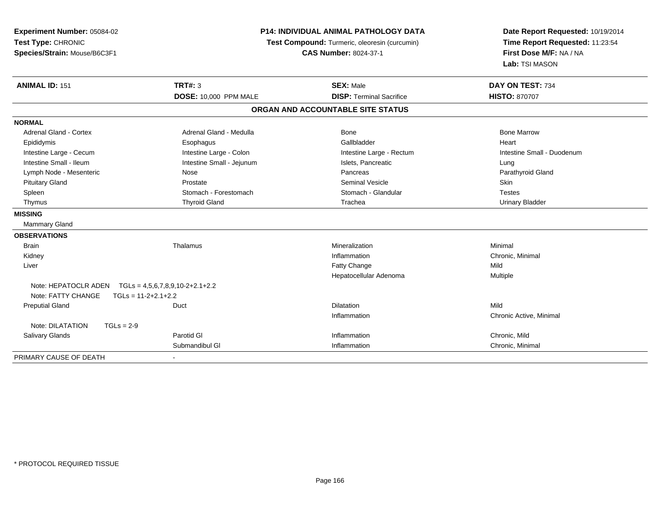| Experiment Number: 05084-02<br>Test Type: CHRONIC<br>Species/Strain: Mouse/B6C3F1 |                                   | P14: INDIVIDUAL ANIMAL PATHOLOGY DATA<br>Test Compound: Turmeric, oleoresin (curcumin)<br><b>CAS Number: 8024-37-1</b> | Date Report Requested: 10/19/2014<br>Time Report Requested: 11:23:54<br>First Dose M/F: NA / NA<br>Lab: TSI MASON |
|-----------------------------------------------------------------------------------|-----------------------------------|------------------------------------------------------------------------------------------------------------------------|-------------------------------------------------------------------------------------------------------------------|
| <b>ANIMAL ID: 151</b>                                                             | <b>TRT#: 3</b>                    | <b>SEX: Male</b>                                                                                                       | DAY ON TEST: 734                                                                                                  |
|                                                                                   | DOSE: 10,000 PPM MALE             | <b>DISP: Terminal Sacrifice</b>                                                                                        | <b>HISTO: 870707</b>                                                                                              |
|                                                                                   |                                   | ORGAN AND ACCOUNTABLE SITE STATUS                                                                                      |                                                                                                                   |
| <b>NORMAL</b>                                                                     |                                   |                                                                                                                        |                                                                                                                   |
| Adrenal Gland - Cortex                                                            | Adrenal Gland - Medulla           | <b>Bone</b>                                                                                                            | <b>Bone Marrow</b>                                                                                                |
| Epididymis                                                                        | Esophagus                         | Gallbladder                                                                                                            | Heart                                                                                                             |
| Intestine Large - Cecum                                                           | Intestine Large - Colon           | Intestine Large - Rectum                                                                                               | Intestine Small - Duodenum                                                                                        |
| Intestine Small - Ileum                                                           | Intestine Small - Jejunum         | Islets, Pancreatic                                                                                                     | Lung                                                                                                              |
| Lymph Node - Mesenteric                                                           | Nose                              | Pancreas                                                                                                               | Parathyroid Gland                                                                                                 |
| <b>Pituitary Gland</b>                                                            | Prostate                          | <b>Seminal Vesicle</b>                                                                                                 | Skin                                                                                                              |
| Spleen                                                                            | Stomach - Forestomach             | Stomach - Glandular                                                                                                    | <b>Testes</b>                                                                                                     |
| Thymus                                                                            | <b>Thyroid Gland</b>              | Trachea                                                                                                                | <b>Urinary Bladder</b>                                                                                            |
| <b>MISSING</b>                                                                    |                                   |                                                                                                                        |                                                                                                                   |
| <b>Mammary Gland</b>                                                              |                                   |                                                                                                                        |                                                                                                                   |
| <b>OBSERVATIONS</b>                                                               |                                   |                                                                                                                        |                                                                                                                   |
| <b>Brain</b>                                                                      | Thalamus                          | Mineralization                                                                                                         | Minimal                                                                                                           |
| Kidney                                                                            |                                   | Inflammation                                                                                                           | Chronic, Minimal                                                                                                  |
| Liver                                                                             |                                   | Fatty Change                                                                                                           | Mild                                                                                                              |
|                                                                                   |                                   | Hepatocellular Adenoma                                                                                                 | Multiple                                                                                                          |
| Note: HEPATOCLR ADEN                                                              | $TGLs = 4,5,6,7,8,9,10-2+2.1+2.2$ |                                                                                                                        |                                                                                                                   |
| Note: FATTY CHANGE                                                                | $TGLS = 11-2+2.1+2.2$             |                                                                                                                        |                                                                                                                   |
| <b>Preputial Gland</b>                                                            | Duct                              | <b>Dilatation</b>                                                                                                      | Mild                                                                                                              |
|                                                                                   |                                   | Inflammation                                                                                                           | Chronic Active, Minimal                                                                                           |
| Note: DILATATION<br>$TGLs = 2-9$                                                  |                                   |                                                                                                                        |                                                                                                                   |
| <b>Salivary Glands</b>                                                            | Parotid GI                        | Inflammation                                                                                                           | Chronic, Mild                                                                                                     |
|                                                                                   | Submandibul GI                    | Inflammation                                                                                                           | Chronic, Minimal                                                                                                  |
| PRIMARY CAUSE OF DEATH                                                            |                                   |                                                                                                                        |                                                                                                                   |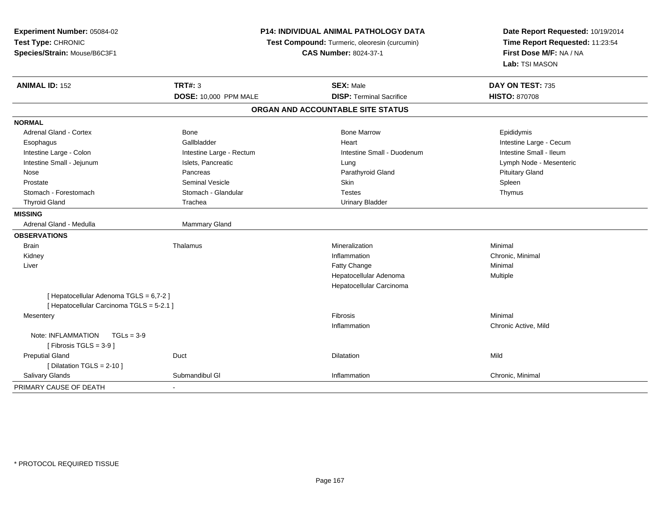| Experiment Number: 05084-02<br>Test Type: CHRONIC<br>Species/Strain: Mouse/B6C3F1  |                          | P14: INDIVIDUAL ANIMAL PATHOLOGY DATA<br>Test Compound: Turmeric, oleoresin (curcumin)<br><b>CAS Number: 8024-37-1</b> |                         |
|------------------------------------------------------------------------------------|--------------------------|------------------------------------------------------------------------------------------------------------------------|-------------------------|
| <b>ANIMAL ID: 152</b>                                                              | <b>TRT#: 3</b>           | <b>SEX: Male</b>                                                                                                       | DAY ON TEST: 735        |
|                                                                                    | DOSE: 10,000 PPM MALE    | <b>DISP: Terminal Sacrifice</b>                                                                                        | <b>HISTO: 870708</b>    |
|                                                                                    |                          | ORGAN AND ACCOUNTABLE SITE STATUS                                                                                      |                         |
| <b>NORMAL</b>                                                                      |                          |                                                                                                                        |                         |
| Adrenal Gland - Cortex                                                             | Bone                     | <b>Bone Marrow</b>                                                                                                     | Epididymis              |
| Esophagus                                                                          | Gallbladder              | Heart                                                                                                                  | Intestine Large - Cecum |
| Intestine Large - Colon                                                            | Intestine Large - Rectum | Intestine Small - Duodenum                                                                                             | Intestine Small - Ileum |
| Intestine Small - Jejunum                                                          | Islets, Pancreatic       | Lung                                                                                                                   | Lymph Node - Mesenteric |
| Nose                                                                               | Pancreas                 | Parathyroid Gland                                                                                                      | <b>Pituitary Gland</b>  |
| Prostate                                                                           | <b>Seminal Vesicle</b>   | Skin                                                                                                                   | Spleen                  |
| Stomach - Forestomach                                                              | Stomach - Glandular      | <b>Testes</b>                                                                                                          | Thymus                  |
| <b>Thyroid Gland</b>                                                               | Trachea                  | <b>Urinary Bladder</b>                                                                                                 |                         |
| <b>MISSING</b>                                                                     |                          |                                                                                                                        |                         |
| Adrenal Gland - Medulla                                                            | Mammary Gland            |                                                                                                                        |                         |
| <b>OBSERVATIONS</b>                                                                |                          |                                                                                                                        |                         |
| <b>Brain</b>                                                                       | Thalamus                 | Mineralization                                                                                                         | Minimal                 |
| Kidney                                                                             |                          | Inflammation                                                                                                           | Chronic, Minimal        |
| Liver                                                                              |                          | Fatty Change                                                                                                           | Minimal                 |
|                                                                                    |                          | Hepatocellular Adenoma                                                                                                 | Multiple                |
|                                                                                    |                          | Hepatocellular Carcinoma                                                                                               |                         |
| [Hepatocellular Adenoma TGLS = 6,7-2]<br>[ Hepatocellular Carcinoma TGLS = 5-2.1 ] |                          |                                                                                                                        |                         |
| Mesentery                                                                          |                          | Fibrosis                                                                                                               | Minimal                 |
|                                                                                    |                          | Inflammation                                                                                                           | Chronic Active, Mild    |
| Note: INFLAMMATION<br>$TGLs = 3-9$                                                 |                          |                                                                                                                        |                         |
| [Fibrosis TGLS = $3-9$ ]                                                           |                          |                                                                                                                        |                         |
| <b>Preputial Gland</b>                                                             | Duct                     | Dilatation                                                                                                             | Mild                    |
| [ Dilatation TGLS = $2-10$ ]                                                       |                          |                                                                                                                        |                         |
| Salivary Glands                                                                    | Submandibul GI           | Inflammation                                                                                                           | Chronic, Minimal        |
| PRIMARY CAUSE OF DEATH                                                             |                          |                                                                                                                        |                         |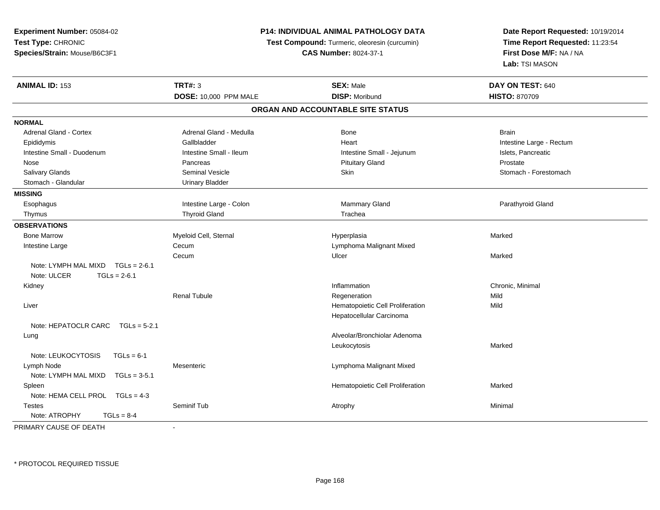**Experiment Number:** 05084-02**Test Type:** CHRONIC **Species/Strain:** Mouse/B6C3F1**P14: INDIVIDUAL ANIMAL PATHOLOGY DATATest Compound:** Turmeric, oleoresin (curcumin)**CAS Number:** 8024-37-1**Date Report Requested:** 10/19/2014**Time Report Requested:** 11:23:54**First Dose M/F:** NA / NA**Lab:** TSI MASON**ANIMAL ID:** 153**TRT#:** 3 **SEX:** Male **DAY ON TEST:** 640 **DOSE:** 10,000 PPM MALE **DISP:** Moribund **HISTO:** <sup>870709</sup> **ORGAN AND ACCOUNTABLE SITE STATUSNORMALAdrenal Gland - Cortex** Adrenal Gland - Medulla **Bone** Bone Bone Brain Brain Brain Brain Epididymis **Example 2018** Callbladder **Gallbladder** Community Heart Heart Intestine Large - Rectum Intestine Small - Duodenum **Intestine Small - Ileum** Intestine Small - Ileum Intestine Small - Jejunum Intestine Small - Jejunum Islets, Pancreatic Nose Pancreas Pituitary Gland ProstateStomach - Forestomach Salivary Glands Summath Seminal Vesicle Seminal Vesicle Skin Skin Stomach - Forestomach - Stomach - Forestomach - Stomach - Stomach - Stomach - Stomach - Stomach - Stomach - Stomach - Stomach - Stomach - Stomach - Stomach Stomach - Glandular **Vancillar** Urinary Bladder **MISSING**Esophagus Intestine Large - Colon **Estimage 1 Colon** Mammary Gland **Parathyroid Gland** Parathyroid Gland Thymus Thyroid Gland The Theorem Trachea **OBSERVATIONS** Bone Marroww and the Myeloid Cell, Sternal and the Hyperplasia Hyperplasia Marked Marked Intestine Largee Cecum Lymphoma Malignant Mixed Cecumm and the Ulcer the Ulcer of the Ulcer of the Marked Marked Street and the Marked Street and Marked Street and Marked Street and Marked Street and Marked Street and Marked Street and Marked Street and Marked Street and Mar Note: LYMPH MAL MIXD TGLs = 2-6.1Note: ULCER  $TGI s = 2-6.1$  Kidneyy the control of the control of the control of the control of the control of the control of the control of the control of the control of the control of the control of the control of the control of the control of the contro Inflammation **Chronic, Minimal**<br>
Regeneration **Chronic Chronic Mild**<br>
Mild Renal Tubulee Regeneration and Regeneration and the Mild Liver Hematopoietic Cell Proliferationn Mild Hepatocellular CarcinomaNote: HEPATOCLR CARC TGLs = 5-2.1 Lung Alveolar/Bronchiolar Adenoma Leukocytosiss **Supervisor** Marked Note: LEUKOCYTOSIS TGLs = 6-1 Lymph NodeMesenteric Mesenteric Lymphoma Malignant Mixed<br>TGLs = 3-5.1 Note: LYMPH MAL MIXD SpleenHematopoietic Cell Proliferation Marked Note: HEMA CELL PROL TGLs = 4-3 Testes Seminif Tubb the contract of the contract of the contract of the contract of the contract of the contract of the contract of  $\lambda$ Note:  $ATROPHY$   $TGLS = 8-4$ PRIMARY CAUSE OF DEATH-

\* PROTOCOL REQUIRED TISSUE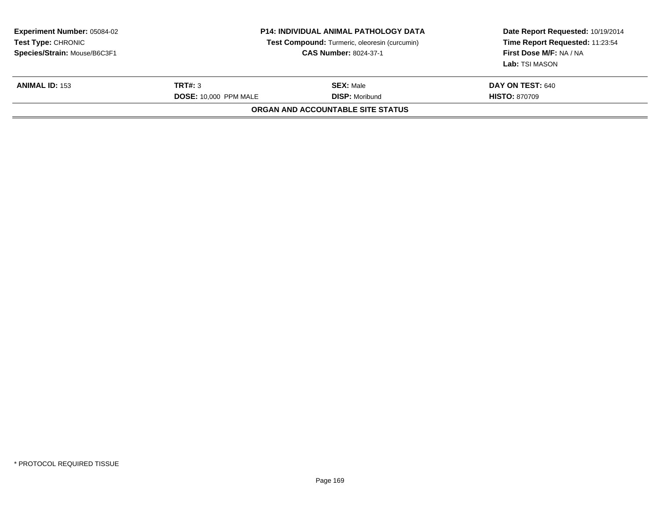| <b>Experiment Number: 05084-02</b><br><b>Test Type: CHRONIC</b><br>Species/Strain: Mouse/B6C3F1 | P14: INDIVIDUAL ANIMAL PATHOLOGY DATA<br>Test Compound: Turmeric, oleoresin (curcumin)<br><b>CAS Number: 8024-37-1</b><br>TRT#: 3<br><b>SEX: Male</b><br><b>DOSE: 10,000 PPM MALE</b><br><b>DISP: Moribund</b> |                                   | Date Report Requested: 10/19/2014<br>Time Report Requested: 11:23:54<br>First Dose M/F: NA / NA<br>Lab: TSI MASON |
|-------------------------------------------------------------------------------------------------|----------------------------------------------------------------------------------------------------------------------------------------------------------------------------------------------------------------|-----------------------------------|-------------------------------------------------------------------------------------------------------------------|
| <b>ANIMAL ID: 153</b>                                                                           |                                                                                                                                                                                                                |                                   | DAY ON TEST: 640<br><b>HISTO: 870709</b>                                                                          |
|                                                                                                 |                                                                                                                                                                                                                | ORGAN AND ACCOUNTABLE SITE STATUS |                                                                                                                   |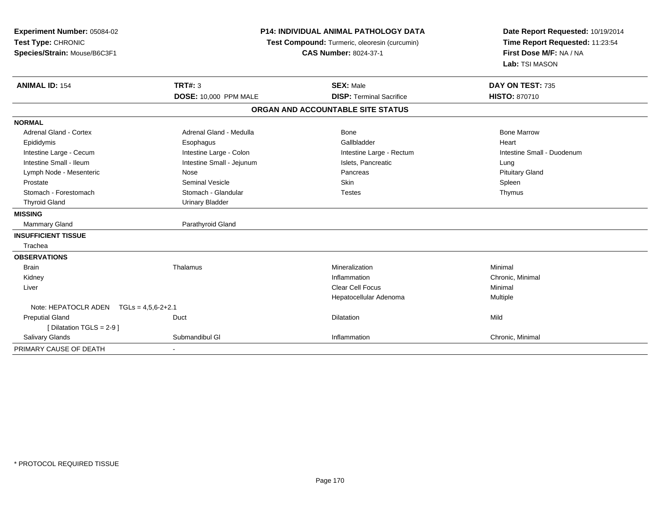| Experiment Number: 05084-02<br>Test Type: CHRONIC<br>Species/Strain: Mouse/B6C3F1 | P14: INDIVIDUAL ANIMAL PATHOLOGY DATA<br>Test Compound: Turmeric, oleoresin (curcumin)<br><b>CAS Number: 8024-37-1</b> |                                   | Date Report Requested: 10/19/2014<br>Time Report Requested: 11:23:54<br>First Dose M/F: NA / NA<br>Lab: TSI MASON |
|-----------------------------------------------------------------------------------|------------------------------------------------------------------------------------------------------------------------|-----------------------------------|-------------------------------------------------------------------------------------------------------------------|
| <b>ANIMAL ID: 154</b>                                                             | <b>TRT#: 3</b>                                                                                                         | <b>SEX: Male</b>                  | DAY ON TEST: 735                                                                                                  |
|                                                                                   | <b>DOSE: 10,000 PPM MALE</b>                                                                                           | <b>DISP: Terminal Sacrifice</b>   | <b>HISTO: 870710</b>                                                                                              |
|                                                                                   |                                                                                                                        | ORGAN AND ACCOUNTABLE SITE STATUS |                                                                                                                   |
| <b>NORMAL</b>                                                                     |                                                                                                                        |                                   |                                                                                                                   |
| Adrenal Gland - Cortex                                                            | Adrenal Gland - Medulla                                                                                                | Bone                              | <b>Bone Marrow</b>                                                                                                |
| Epididymis                                                                        | Esophagus                                                                                                              | Gallbladder                       | Heart                                                                                                             |
| Intestine Large - Cecum                                                           | Intestine Large - Colon                                                                                                | Intestine Large - Rectum          | Intestine Small - Duodenum                                                                                        |
| Intestine Small - Ileum                                                           | Intestine Small - Jejunum                                                                                              | Islets, Pancreatic                | Lung                                                                                                              |
| Lymph Node - Mesenteric                                                           | Nose                                                                                                                   | Pancreas                          | <b>Pituitary Gland</b>                                                                                            |
| Prostate                                                                          | Seminal Vesicle                                                                                                        | Skin                              | Spleen                                                                                                            |
| Stomach - Forestomach                                                             | Stomach - Glandular                                                                                                    | <b>Testes</b>                     | Thymus                                                                                                            |
| <b>Thyroid Gland</b>                                                              | <b>Urinary Bladder</b>                                                                                                 |                                   |                                                                                                                   |
| <b>MISSING</b>                                                                    |                                                                                                                        |                                   |                                                                                                                   |
| <b>Mammary Gland</b>                                                              | Parathyroid Gland                                                                                                      |                                   |                                                                                                                   |
| <b>INSUFFICIENT TISSUE</b>                                                        |                                                                                                                        |                                   |                                                                                                                   |
| Trachea                                                                           |                                                                                                                        |                                   |                                                                                                                   |
| <b>OBSERVATIONS</b>                                                               |                                                                                                                        |                                   |                                                                                                                   |
| <b>Brain</b>                                                                      | Thalamus                                                                                                               | Mineralization                    | Minimal                                                                                                           |
| Kidney                                                                            |                                                                                                                        | Inflammation                      | Chronic, Minimal                                                                                                  |
| Liver                                                                             |                                                                                                                        | <b>Clear Cell Focus</b>           | Minimal                                                                                                           |
|                                                                                   |                                                                                                                        | Hepatocellular Adenoma            | Multiple                                                                                                          |
| Note: HEPATOCLR ADEN TGLs = 4,5,6-2+2.1                                           |                                                                                                                        |                                   |                                                                                                                   |
| <b>Preputial Gland</b>                                                            | Duct                                                                                                                   | Dilatation                        | Mild                                                                                                              |
| [ Dilatation TGLS = 2-9 ]                                                         |                                                                                                                        |                                   |                                                                                                                   |
| <b>Salivary Glands</b>                                                            | Submandibul GI                                                                                                         | Inflammation                      | Chronic, Minimal                                                                                                  |
| PRIMARY CAUSE OF DEATH                                                            | $\blacksquare$                                                                                                         |                                   |                                                                                                                   |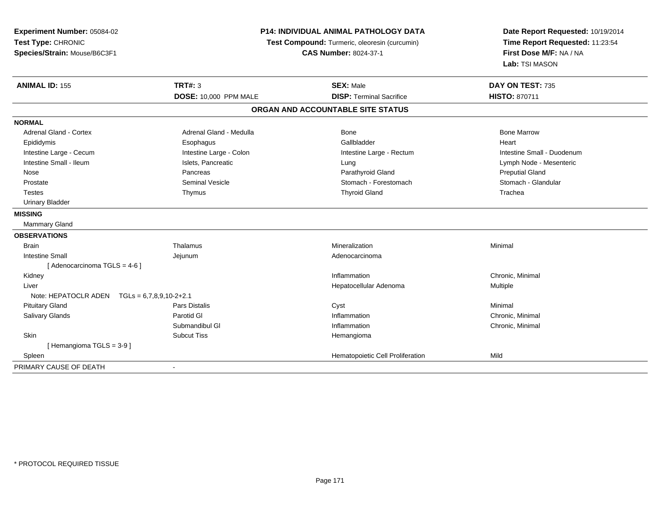| Experiment Number: 05084-02<br>Test Type: CHRONIC<br>Species/Strain: Mouse/B6C3F1 | <b>P14: INDIVIDUAL ANIMAL PATHOLOGY DATA</b><br>Test Compound: Turmeric, oleoresin (curcumin)<br><b>CAS Number: 8024-37-1</b> |                                   | Date Report Requested: 10/19/2014<br>Time Report Requested: 11:23:54<br>First Dose M/F: NA / NA<br>Lab: TSI MASON |
|-----------------------------------------------------------------------------------|-------------------------------------------------------------------------------------------------------------------------------|-----------------------------------|-------------------------------------------------------------------------------------------------------------------|
| <b>ANIMAL ID: 155</b>                                                             | TRT#: 3                                                                                                                       | <b>SEX: Male</b>                  | DAY ON TEST: 735                                                                                                  |
|                                                                                   | <b>DOSE: 10,000 PPM MALE</b>                                                                                                  | <b>DISP: Terminal Sacrifice</b>   | <b>HISTO: 870711</b>                                                                                              |
|                                                                                   |                                                                                                                               | ORGAN AND ACCOUNTABLE SITE STATUS |                                                                                                                   |
| <b>NORMAL</b>                                                                     |                                                                                                                               |                                   |                                                                                                                   |
| <b>Adrenal Gland - Cortex</b>                                                     | Adrenal Gland - Medulla                                                                                                       | Bone                              | <b>Bone Marrow</b>                                                                                                |
| Epididymis                                                                        | Esophagus                                                                                                                     | Gallbladder                       | Heart                                                                                                             |
| Intestine Large - Cecum                                                           | Intestine Large - Colon                                                                                                       | Intestine Large - Rectum          | Intestine Small - Duodenum                                                                                        |
| Intestine Small - Ileum                                                           | Islets, Pancreatic                                                                                                            | Lung                              | Lymph Node - Mesenteric                                                                                           |
| Nose                                                                              | Pancreas                                                                                                                      | Parathyroid Gland                 | <b>Preputial Gland</b>                                                                                            |
| Prostate                                                                          | <b>Seminal Vesicle</b>                                                                                                        | Stomach - Forestomach             | Stomach - Glandular                                                                                               |
| <b>Testes</b>                                                                     | Thymus                                                                                                                        | <b>Thyroid Gland</b>              | Trachea                                                                                                           |
| <b>Urinary Bladder</b>                                                            |                                                                                                                               |                                   |                                                                                                                   |
| <b>MISSING</b>                                                                    |                                                                                                                               |                                   |                                                                                                                   |
| <b>Mammary Gland</b>                                                              |                                                                                                                               |                                   |                                                                                                                   |
| <b>OBSERVATIONS</b>                                                               |                                                                                                                               |                                   |                                                                                                                   |
| <b>Brain</b>                                                                      | Thalamus                                                                                                                      | Mineralization                    | Minimal                                                                                                           |
| <b>Intestine Small</b>                                                            | Jejunum                                                                                                                       | Adenocarcinoma                    |                                                                                                                   |
| [ Adenocarcinoma TGLS = 4-6 ]                                                     |                                                                                                                               |                                   |                                                                                                                   |
| Kidney                                                                            |                                                                                                                               | Inflammation                      | Chronic, Minimal                                                                                                  |
| Liver                                                                             |                                                                                                                               | Hepatocellular Adenoma            | Multiple                                                                                                          |
| Note: HEPATOCLR ADEN $TGLs = 6,7,8,9,10-2+2.1$                                    |                                                                                                                               |                                   |                                                                                                                   |
| <b>Pituitary Gland</b>                                                            | <b>Pars Distalis</b>                                                                                                          | Cyst                              | Minimal                                                                                                           |
| Salivary Glands                                                                   | Parotid GI                                                                                                                    | Inflammation                      | Chronic, Minimal                                                                                                  |
|                                                                                   | Submandibul GI                                                                                                                | Inflammation                      | Chronic, Minimal                                                                                                  |
| Skin                                                                              | <b>Subcut Tiss</b>                                                                                                            | Hemangioma                        |                                                                                                                   |
| [Hemangioma TGLS = 3-9]                                                           |                                                                                                                               |                                   |                                                                                                                   |
| Spleen                                                                            |                                                                                                                               | Hematopoietic Cell Proliferation  | Mild                                                                                                              |
| PRIMARY CAUSE OF DEATH                                                            | $\blacksquare$                                                                                                                |                                   |                                                                                                                   |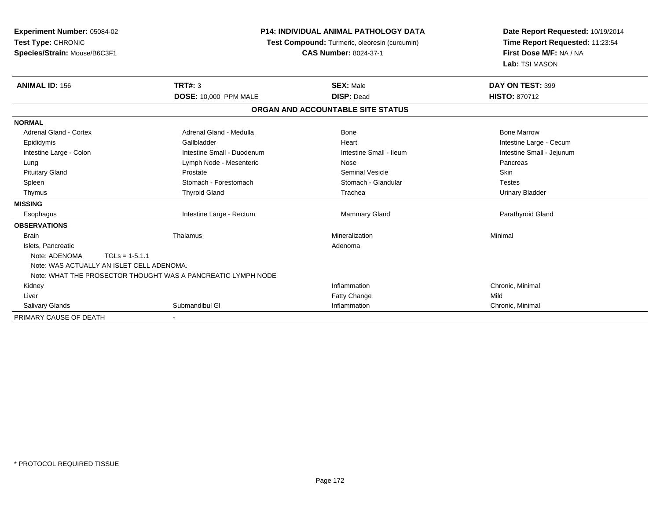| Experiment Number: 05084-02               |                                                              | <b>P14: INDIVIDUAL ANIMAL PATHOLOGY DATA</b> |                                 |
|-------------------------------------------|--------------------------------------------------------------|----------------------------------------------|---------------------------------|
| Test Type: CHRONIC                        | Test Compound: Turmeric, oleoresin (curcumin)                |                                              | Time Report Requested: 11:23:54 |
| Species/Strain: Mouse/B6C3F1              |                                                              | <b>CAS Number: 8024-37-1</b>                 | First Dose M/F: NA / NA         |
|                                           |                                                              |                                              | Lab: TSI MASON                  |
| <b>ANIMAL ID: 156</b>                     | <b>TRT#: 3</b>                                               | <b>SEX: Male</b>                             | DAY ON TEST: 399                |
|                                           | <b>DOSE: 10,000 PPM MALE</b>                                 | <b>DISP: Dead</b>                            | <b>HISTO: 870712</b>            |
|                                           |                                                              | ORGAN AND ACCOUNTABLE SITE STATUS            |                                 |
| <b>NORMAL</b>                             |                                                              |                                              |                                 |
| Adrenal Gland - Cortex                    | Adrenal Gland - Medulla                                      | Bone                                         | <b>Bone Marrow</b>              |
| Epididymis                                | Gallbladder                                                  | Heart                                        | Intestine Large - Cecum         |
| Intestine Large - Colon                   | Intestine Small - Duodenum                                   | Intestine Small - Ileum                      | Intestine Small - Jejunum       |
| Lung                                      | Lymph Node - Mesenteric                                      | Nose                                         | Pancreas                        |
| <b>Pituitary Gland</b>                    | Prostate                                                     | <b>Seminal Vesicle</b>                       | Skin                            |
| Spleen                                    | Stomach - Forestomach                                        | Stomach - Glandular                          | <b>Testes</b>                   |
| Thymus                                    | <b>Thyroid Gland</b>                                         | Trachea                                      | <b>Urinary Bladder</b>          |
| <b>MISSING</b>                            |                                                              |                                              |                                 |
| Esophagus                                 | Intestine Large - Rectum                                     | <b>Mammary Gland</b>                         | Parathyroid Gland               |
| <b>OBSERVATIONS</b>                       |                                                              |                                              |                                 |
| <b>Brain</b>                              | Thalamus                                                     | Mineralization                               | Minimal                         |
| Islets, Pancreatic                        |                                                              | Adenoma                                      |                                 |
| Note: ADENOMA<br>$TGLs = 1-5.1.1$         |                                                              |                                              |                                 |
| Note: WAS ACTUALLY AN ISLET CELL ADENOMA. |                                                              |                                              |                                 |
|                                           | Note: WHAT THE PROSECTOR THOUGHT WAS A PANCREATIC LYMPH NODE |                                              |                                 |
| Kidney                                    |                                                              | Inflammation                                 | Chronic, Minimal                |
| Liver                                     |                                                              | Fatty Change                                 | Mild                            |
| Salivary Glands                           | Submandibul GI                                               | Inflammation                                 | Chronic, Minimal                |
| PRIMARY CAUSE OF DEATH                    |                                                              |                                              |                                 |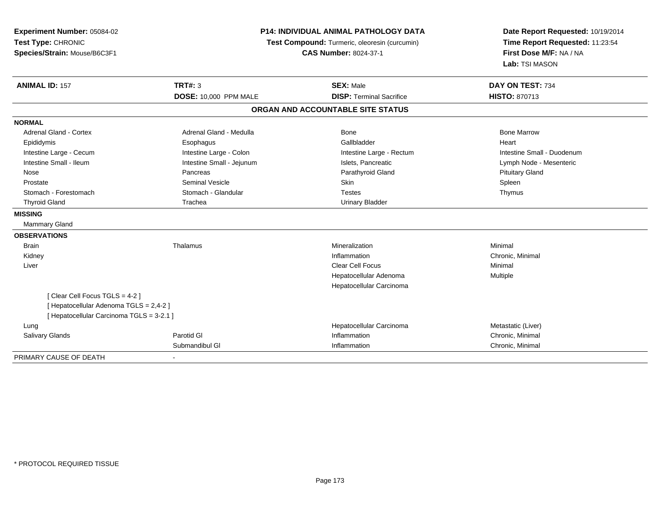| Experiment Number: 05084-02<br>Test Type: CHRONIC<br>Species/Strain: Mouse/B6C3F1 | <b>P14: INDIVIDUAL ANIMAL PATHOLOGY DATA</b><br>Test Compound: Turmeric, oleoresin (curcumin)<br><b>CAS Number: 8024-37-1</b> |                                   | Date Report Requested: 10/19/2014<br>Time Report Requested: 11:23:54<br>First Dose M/F: NA / NA<br>Lab: TSI MASON |  |
|-----------------------------------------------------------------------------------|-------------------------------------------------------------------------------------------------------------------------------|-----------------------------------|-------------------------------------------------------------------------------------------------------------------|--|
| <b>ANIMAL ID: 157</b>                                                             | <b>TRT#: 3</b>                                                                                                                | <b>SEX: Male</b>                  | DAY ON TEST: 734                                                                                                  |  |
|                                                                                   | DOSE: 10,000 PPM MALE                                                                                                         | <b>DISP: Terminal Sacrifice</b>   | HISTO: 870713                                                                                                     |  |
|                                                                                   |                                                                                                                               | ORGAN AND ACCOUNTABLE SITE STATUS |                                                                                                                   |  |
| <b>NORMAL</b>                                                                     |                                                                                                                               |                                   |                                                                                                                   |  |
| <b>Adrenal Gland - Cortex</b>                                                     | Adrenal Gland - Medulla                                                                                                       | <b>Bone</b>                       | <b>Bone Marrow</b>                                                                                                |  |
| Epididymis                                                                        | Esophagus                                                                                                                     | Gallbladder                       | Heart                                                                                                             |  |
| Intestine Large - Cecum                                                           | Intestine Large - Colon                                                                                                       | Intestine Large - Rectum          | Intestine Small - Duodenum                                                                                        |  |
| Intestine Small - Ileum                                                           | Intestine Small - Jejunum                                                                                                     | Islets, Pancreatic                | Lymph Node - Mesenteric                                                                                           |  |
| Nose                                                                              | Pancreas                                                                                                                      | Parathyroid Gland                 | <b>Pituitary Gland</b>                                                                                            |  |
| Prostate                                                                          | <b>Seminal Vesicle</b>                                                                                                        | Skin                              | Spleen                                                                                                            |  |
| Stomach - Forestomach                                                             | Stomach - Glandular                                                                                                           | <b>Testes</b>                     | Thymus                                                                                                            |  |
| <b>Thyroid Gland</b>                                                              | Trachea                                                                                                                       | <b>Urinary Bladder</b>            |                                                                                                                   |  |
| <b>MISSING</b>                                                                    |                                                                                                                               |                                   |                                                                                                                   |  |
| Mammary Gland                                                                     |                                                                                                                               |                                   |                                                                                                                   |  |
| <b>OBSERVATIONS</b>                                                               |                                                                                                                               |                                   |                                                                                                                   |  |
| <b>Brain</b>                                                                      | Thalamus                                                                                                                      | Mineralization                    | Minimal                                                                                                           |  |
| Kidney                                                                            |                                                                                                                               | Inflammation                      | Chronic, Minimal                                                                                                  |  |
| Liver                                                                             |                                                                                                                               | <b>Clear Cell Focus</b>           | Minimal                                                                                                           |  |
|                                                                                   |                                                                                                                               | Hepatocellular Adenoma            | Multiple                                                                                                          |  |
|                                                                                   |                                                                                                                               | Hepatocellular Carcinoma          |                                                                                                                   |  |
| [Clear Cell Focus TGLS = 4-2]                                                     |                                                                                                                               |                                   |                                                                                                                   |  |
| [ Hepatocellular Adenoma TGLS = 2,4-2 ]                                           |                                                                                                                               |                                   |                                                                                                                   |  |
| [ Hepatocellular Carcinoma TGLS = 3-2.1 ]                                         |                                                                                                                               |                                   |                                                                                                                   |  |
| Lung                                                                              |                                                                                                                               | Hepatocellular Carcinoma          | Metastatic (Liver)                                                                                                |  |
| <b>Salivary Glands</b>                                                            | Parotid GI                                                                                                                    | Inflammation                      | Chronic, Minimal                                                                                                  |  |
|                                                                                   | Submandibul GI                                                                                                                | Inflammation                      | Chronic, Minimal                                                                                                  |  |
| PRIMARY CAUSE OF DEATH                                                            |                                                                                                                               |                                   |                                                                                                                   |  |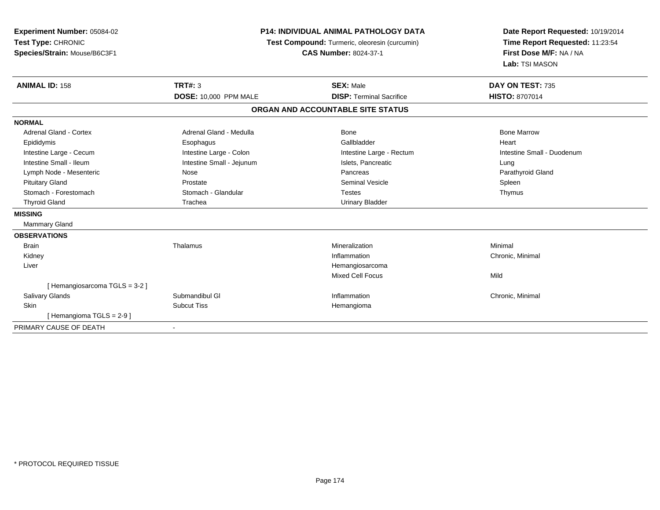| Experiment Number: 05084-02<br>Test Type: CHRONIC<br>Species/Strain: Mouse/B6C3F1 | <b>P14: INDIVIDUAL ANIMAL PATHOLOGY DATA</b><br>Test Compound: Turmeric, oleoresin (curcumin)<br><b>CAS Number: 8024-37-1</b> |                                   | Date Report Requested: 10/19/2014<br>Time Report Requested: 11:23:54<br>First Dose M/F: NA / NA<br>Lab: TSI MASON |  |
|-----------------------------------------------------------------------------------|-------------------------------------------------------------------------------------------------------------------------------|-----------------------------------|-------------------------------------------------------------------------------------------------------------------|--|
| <b>ANIMAL ID: 158</b>                                                             | <b>TRT#: 3</b>                                                                                                                | <b>SEX: Male</b>                  | DAY ON TEST: 735                                                                                                  |  |
|                                                                                   | DOSE: 10,000 PPM MALE                                                                                                         | <b>DISP: Terminal Sacrifice</b>   | <b>HISTO: 8707014</b>                                                                                             |  |
|                                                                                   |                                                                                                                               | ORGAN AND ACCOUNTABLE SITE STATUS |                                                                                                                   |  |
| <b>NORMAL</b>                                                                     |                                                                                                                               |                                   |                                                                                                                   |  |
| Adrenal Gland - Cortex                                                            | Adrenal Gland - Medulla                                                                                                       | Bone                              | <b>Bone Marrow</b>                                                                                                |  |
| Epididymis                                                                        | Esophagus                                                                                                                     | Gallbladder                       | Heart                                                                                                             |  |
| Intestine Large - Cecum                                                           | Intestine Large - Colon                                                                                                       | Intestine Large - Rectum          | Intestine Small - Duodenum                                                                                        |  |
| Intestine Small - Ileum                                                           | Intestine Small - Jejunum                                                                                                     | Islets, Pancreatic                | Lung                                                                                                              |  |
| Lymph Node - Mesenteric                                                           | Nose                                                                                                                          | Pancreas                          | Parathyroid Gland                                                                                                 |  |
| <b>Pituitary Gland</b>                                                            | Prostate                                                                                                                      | <b>Seminal Vesicle</b>            | Spleen                                                                                                            |  |
| Stomach - Forestomach                                                             | Stomach - Glandular                                                                                                           | <b>Testes</b>                     | Thymus                                                                                                            |  |
| <b>Thyroid Gland</b>                                                              | Trachea                                                                                                                       | <b>Urinary Bladder</b>            |                                                                                                                   |  |
| <b>MISSING</b>                                                                    |                                                                                                                               |                                   |                                                                                                                   |  |
| Mammary Gland                                                                     |                                                                                                                               |                                   |                                                                                                                   |  |
| <b>OBSERVATIONS</b>                                                               |                                                                                                                               |                                   |                                                                                                                   |  |
| <b>Brain</b>                                                                      | Thalamus                                                                                                                      | Mineralization                    | Minimal                                                                                                           |  |
| Kidney                                                                            |                                                                                                                               | Inflammation                      | Chronic, Minimal                                                                                                  |  |
| Liver                                                                             |                                                                                                                               | Hemangiosarcoma                   |                                                                                                                   |  |
|                                                                                   |                                                                                                                               | <b>Mixed Cell Focus</b>           | Mild                                                                                                              |  |
| [Hemangiosarcoma TGLS = 3-2]                                                      |                                                                                                                               |                                   |                                                                                                                   |  |
| <b>Salivary Glands</b>                                                            | Submandibul GI                                                                                                                | Inflammation                      | Chronic, Minimal                                                                                                  |  |
| Skin                                                                              | <b>Subcut Tiss</b>                                                                                                            | Hemangioma                        |                                                                                                                   |  |
| [Hemangioma TGLS = 2-9]                                                           |                                                                                                                               |                                   |                                                                                                                   |  |
| PRIMARY CAUSE OF DEATH                                                            | $\overline{\phantom{a}}$                                                                                                      |                                   |                                                                                                                   |  |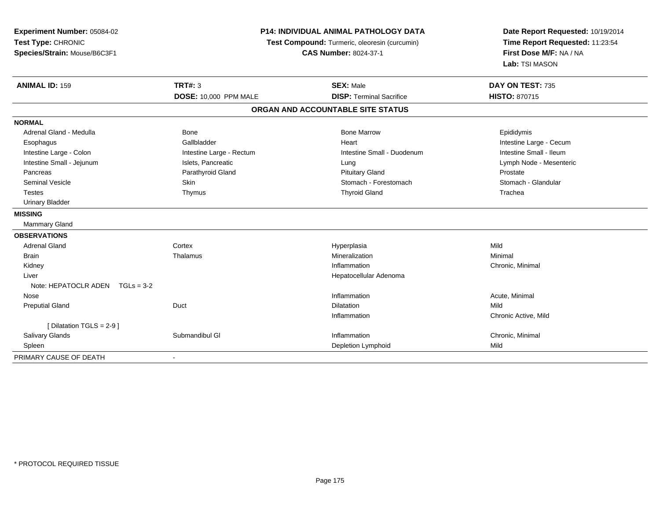| Experiment Number: 05084-02<br>Test Type: CHRONIC<br>Species/Strain: Mouse/B6C3F1 | <b>P14: INDIVIDUAL ANIMAL PATHOLOGY DATA</b><br>Test Compound: Turmeric, oleoresin (curcumin)<br><b>CAS Number: 8024-37-1</b> |                                   | Date Report Requested: 10/19/2014<br>Time Report Requested: 11:23:54<br>First Dose M/F: NA / NA<br>Lab: TSI MASON |
|-----------------------------------------------------------------------------------|-------------------------------------------------------------------------------------------------------------------------------|-----------------------------------|-------------------------------------------------------------------------------------------------------------------|
| <b>ANIMAL ID: 159</b>                                                             | <b>TRT#: 3</b>                                                                                                                | <b>SEX: Male</b>                  | DAY ON TEST: 735                                                                                                  |
|                                                                                   | DOSE: 10,000 PPM MALE                                                                                                         | <b>DISP: Terminal Sacrifice</b>   | <b>HISTO: 870715</b>                                                                                              |
|                                                                                   |                                                                                                                               | ORGAN AND ACCOUNTABLE SITE STATUS |                                                                                                                   |
| <b>NORMAL</b>                                                                     |                                                                                                                               |                                   |                                                                                                                   |
| Adrenal Gland - Medulla                                                           | Bone                                                                                                                          | <b>Bone Marrow</b>                | Epididymis                                                                                                        |
| Esophagus                                                                         | Gallbladder                                                                                                                   | Heart                             | Intestine Large - Cecum                                                                                           |
| Intestine Large - Colon                                                           | Intestine Large - Rectum                                                                                                      | Intestine Small - Duodenum        | Intestine Small - Ileum                                                                                           |
| Intestine Small - Jejunum                                                         | Islets, Pancreatic                                                                                                            | Lung                              | Lymph Node - Mesenteric                                                                                           |
| Pancreas                                                                          | Parathyroid Gland                                                                                                             | <b>Pituitary Gland</b>            | Prostate                                                                                                          |
| <b>Seminal Vesicle</b>                                                            | Skin                                                                                                                          | Stomach - Forestomach             | Stomach - Glandular                                                                                               |
| <b>Testes</b>                                                                     | Thymus                                                                                                                        | <b>Thyroid Gland</b>              | Trachea                                                                                                           |
| <b>Urinary Bladder</b>                                                            |                                                                                                                               |                                   |                                                                                                                   |
| <b>MISSING</b>                                                                    |                                                                                                                               |                                   |                                                                                                                   |
| Mammary Gland                                                                     |                                                                                                                               |                                   |                                                                                                                   |
| <b>OBSERVATIONS</b>                                                               |                                                                                                                               |                                   |                                                                                                                   |
| <b>Adrenal Gland</b>                                                              | Cortex                                                                                                                        | Hyperplasia                       | Mild                                                                                                              |
| <b>Brain</b>                                                                      | Thalamus                                                                                                                      | Mineralization                    | Minimal                                                                                                           |
| Kidney                                                                            |                                                                                                                               | Inflammation                      | Chronic, Minimal                                                                                                  |
| Liver                                                                             |                                                                                                                               | Hepatocellular Adenoma            |                                                                                                                   |
| Note: HEPATOCLR ADEN $TGLs = 3-2$                                                 |                                                                                                                               |                                   |                                                                                                                   |
| Nose                                                                              |                                                                                                                               | Inflammation                      | Acute, Minimal                                                                                                    |
| <b>Preputial Gland</b>                                                            | Duct                                                                                                                          | <b>Dilatation</b>                 | Mild                                                                                                              |
|                                                                                   |                                                                                                                               | Inflammation                      | Chronic Active, Mild                                                                                              |
| [ Dilatation TGLS = $2-9$ ]                                                       |                                                                                                                               |                                   |                                                                                                                   |
| Salivary Glands                                                                   | Submandibul GI                                                                                                                | Inflammation                      | Chronic, Minimal                                                                                                  |
| Spleen                                                                            |                                                                                                                               | Depletion Lymphoid                | Mild                                                                                                              |
| PRIMARY CAUSE OF DEATH                                                            |                                                                                                                               |                                   |                                                                                                                   |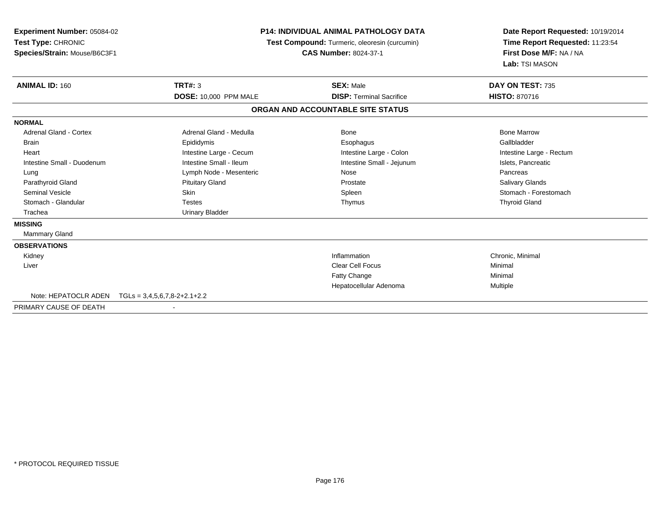| <b>Experiment Number: 05084-02</b><br>Test Type: CHRONIC<br>Species/Strain: Mouse/B6C3F1 | <b>P14: INDIVIDUAL ANIMAL PATHOLOGY DATA</b><br>Test Compound: Turmeric, oleoresin (curcumin)<br><b>CAS Number: 8024-37-1</b> |                                   | Date Report Requested: 10/19/2014<br>Time Report Requested: 11:23:54<br>First Dose M/F: NA / NA<br>Lab: TSI MASON |
|------------------------------------------------------------------------------------------|-------------------------------------------------------------------------------------------------------------------------------|-----------------------------------|-------------------------------------------------------------------------------------------------------------------|
| <b>ANIMAL ID: 160</b>                                                                    | <b>TRT#: 3</b>                                                                                                                | <b>SEX: Male</b>                  | DAY ON TEST: 735                                                                                                  |
|                                                                                          | DOSE: 10,000 PPM MALE                                                                                                         | <b>DISP: Terminal Sacrifice</b>   | <b>HISTO: 870716</b>                                                                                              |
|                                                                                          |                                                                                                                               | ORGAN AND ACCOUNTABLE SITE STATUS |                                                                                                                   |
| <b>NORMAL</b>                                                                            |                                                                                                                               |                                   |                                                                                                                   |
| <b>Adrenal Gland - Cortex</b>                                                            | Adrenal Gland - Medulla                                                                                                       | Bone                              | <b>Bone Marrow</b>                                                                                                |
| <b>Brain</b>                                                                             | Epididymis                                                                                                                    | Esophagus                         | Gallbladder                                                                                                       |
| Heart                                                                                    | Intestine Large - Cecum                                                                                                       | Intestine Large - Colon           | Intestine Large - Rectum                                                                                          |
| Intestine Small - Duodenum                                                               | Intestine Small - Ileum                                                                                                       | Intestine Small - Jejunum         | Islets, Pancreatic                                                                                                |
| Lung                                                                                     | Lymph Node - Mesenteric                                                                                                       | Nose                              | Pancreas                                                                                                          |
| Parathyroid Gland                                                                        | <b>Pituitary Gland</b>                                                                                                        | Prostate                          | <b>Salivary Glands</b>                                                                                            |
| <b>Seminal Vesicle</b>                                                                   | Skin                                                                                                                          | Spleen                            | Stomach - Forestomach                                                                                             |
| Stomach - Glandular                                                                      | <b>Testes</b>                                                                                                                 | Thymus                            | <b>Thyroid Gland</b>                                                                                              |
| Trachea                                                                                  | <b>Urinary Bladder</b>                                                                                                        |                                   |                                                                                                                   |
| <b>MISSING</b>                                                                           |                                                                                                                               |                                   |                                                                                                                   |
| <b>Mammary Gland</b>                                                                     |                                                                                                                               |                                   |                                                                                                                   |
| <b>OBSERVATIONS</b>                                                                      |                                                                                                                               |                                   |                                                                                                                   |
| Kidney                                                                                   |                                                                                                                               | Inflammation                      | Chronic, Minimal                                                                                                  |
| Liver                                                                                    |                                                                                                                               | <b>Clear Cell Focus</b>           | Minimal                                                                                                           |
|                                                                                          |                                                                                                                               | Fatty Change                      | Minimal                                                                                                           |
|                                                                                          |                                                                                                                               | Hepatocellular Adenoma            | Multiple                                                                                                          |
| Note: HEPATOCLR ADEN                                                                     | $TGLs = 3,4,5,6,7,8-2+2.1+2.2$                                                                                                |                                   |                                                                                                                   |

PRIMARY CAUSE OF DEATH-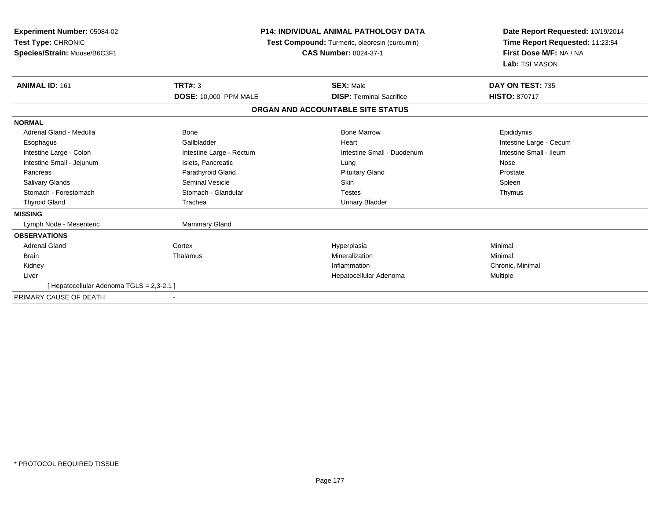| Experiment Number: 05084-02<br>Test Type: CHRONIC<br>Species/Strain: Mouse/B6C3F1 | <b>P14: INDIVIDUAL ANIMAL PATHOLOGY DATA</b><br><b>Test Compound:</b> Turmeric, oleoresin (curcumin)<br><b>CAS Number: 8024-37-1</b> |                                   | Date Report Requested: 10/19/2014<br>Time Report Requested: 11:23:54<br>First Dose M/F: NA / NA<br>Lab: TSI MASON |
|-----------------------------------------------------------------------------------|--------------------------------------------------------------------------------------------------------------------------------------|-----------------------------------|-------------------------------------------------------------------------------------------------------------------|
| <b>ANIMAL ID: 161</b>                                                             | TRT#: 3                                                                                                                              | <b>SEX: Male</b>                  | DAY ON TEST: 735                                                                                                  |
|                                                                                   | <b>DOSE: 10,000 PPM MALE</b>                                                                                                         | <b>DISP: Terminal Sacrifice</b>   | <b>HISTO: 870717</b>                                                                                              |
|                                                                                   |                                                                                                                                      | ORGAN AND ACCOUNTABLE SITE STATUS |                                                                                                                   |
| <b>NORMAL</b>                                                                     |                                                                                                                                      |                                   |                                                                                                                   |
| Adrenal Gland - Medulla                                                           | Bone                                                                                                                                 | <b>Bone Marrow</b>                | Epididymis                                                                                                        |
| Esophagus                                                                         | Gallbladder                                                                                                                          | Heart                             | Intestine Large - Cecum                                                                                           |
| Intestine Large - Colon                                                           | Intestine Large - Rectum                                                                                                             | Intestine Small - Duodenum        | Intestine Small - Ileum                                                                                           |
| Intestine Small - Jejunum                                                         | Islets, Pancreatic                                                                                                                   | Lung                              | Nose                                                                                                              |
| Pancreas                                                                          | Parathyroid Gland                                                                                                                    | <b>Pituitary Gland</b>            | Prostate                                                                                                          |
| <b>Salivary Glands</b>                                                            | Seminal Vesicle                                                                                                                      | <b>Skin</b>                       | Spleen                                                                                                            |
| Stomach - Forestomach                                                             | Stomach - Glandular                                                                                                                  | <b>Testes</b>                     | Thymus                                                                                                            |
| <b>Thyroid Gland</b>                                                              | Trachea                                                                                                                              | <b>Urinary Bladder</b>            |                                                                                                                   |
| <b>MISSING</b>                                                                    |                                                                                                                                      |                                   |                                                                                                                   |
| Lymph Node - Mesenteric                                                           | <b>Mammary Gland</b>                                                                                                                 |                                   |                                                                                                                   |
| <b>OBSERVATIONS</b>                                                               |                                                                                                                                      |                                   |                                                                                                                   |
| <b>Adrenal Gland</b>                                                              | Cortex                                                                                                                               | Hyperplasia                       | Minimal                                                                                                           |
| <b>Brain</b>                                                                      | Thalamus                                                                                                                             | Mineralization                    | Minimal                                                                                                           |
| Kidney                                                                            |                                                                                                                                      | Inflammation                      | Chronic. Minimal                                                                                                  |
| Liver                                                                             |                                                                                                                                      | Hepatocellular Adenoma            | Multiple                                                                                                          |
| [ Hepatocellular Adenoma TGLS = 2,3-2.1 ]                                         |                                                                                                                                      |                                   |                                                                                                                   |
| PRIMARY CAUSE OF DEATH                                                            |                                                                                                                                      |                                   |                                                                                                                   |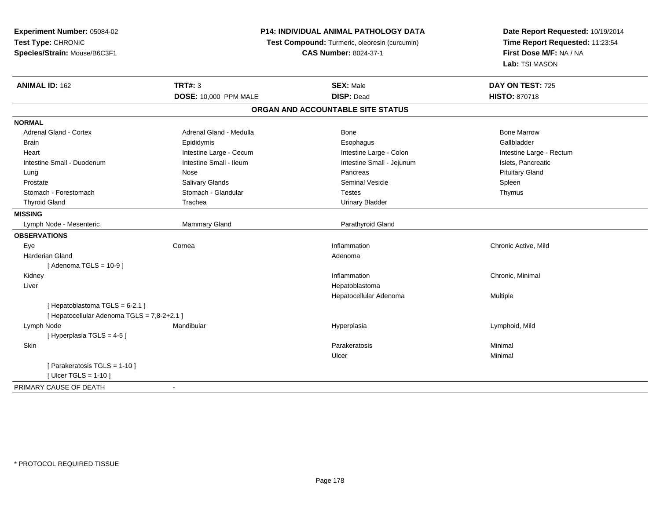**Experiment Number:** 05084-02**Test Type:** CHRONIC **Species/Strain:** Mouse/B6C3F1**P14: INDIVIDUAL ANIMAL PATHOLOGY DATA Test Compound:** Turmeric, oleoresin (curcumin)**CAS Number:** 8024-37-1**Date Report Requested:** 10/19/2014**Time Report Requested:** 11:23:54**First Dose M/F:** NA / NA**Lab:** TSI MASON**ANIMAL ID:** 162**TRT#:** 3 **SEX:** Male **DAY ON TEST:** 725 **DOSE:** 10,000 PPM MALE **DISP:** Dead **HISTO:** <sup>870718</sup> **ORGAN AND ACCOUNTABLE SITE STATUSNORMALAdrenal Gland - Cortex** Adrenal Gland - Medulla **Bone Adrenal Gland - Cortex Adrenal Gland - Cortex Adrenal Gland - Medulla** Bone Marrow Gallbladder Brain Epididymis Epididymis and the Brook of the Brook of the Brook of the Brook of the Gallbladder of the Gallbladder Heart **Intestine Large - Cecum** Intestine Large - Cecum Intestine Large - Colon Intestine Large - Rectum Intestine Small - Duodenum **Intestine Small - Ileum** Intestine Small - Ileum Intestine Small - Jejunum Intestine Small - Jejunum Islets, Pancreatic Lung Nose Pancreas Pituitary Gland Prostate Salivary Glands Seminal Vesicle SpleenThymus Stomach - Forestomach **Stomach - Glandular** Testes Testes Testes Testes Testes The Testes The Testes The Testes The Testes The Testes The Testes The Testes Testes The Testes Testes Testes Testes Testes Testes Testes Testes Thyroid Gland Trachea Trachea Trachea Urinary Bladder **MISSING** Lymph Node - Mesenteric Mammary Gland Parathyroid Gland**OBSERVATIONS** Eyee the cornea cornea community cornea and the corneal corneal corneal corneal corneal corneal chronic Active, Mild Harderian Glandd and a state of the control of the control of the control of the control of the control of the control of the control of the control of the control of the control of the control of the control of the control of the contro [ Adenoma TGLS = 10-9 ] Kidneyy the control of the control of the control of the control of the control of the control of the control of the control of the control of the control of the control of the control of the control of the control of the contro Inflammation **Chronic**, Minimal Liver Hepatoblastoma Hepatocellular Adenoma Multiple  $[$  Hepatoblastoma TGLS = 6-2.1  $]$ [ Hepatocellular Adenoma TGLS = 7,8-2+2.1 ] Lymph Node Mandibular Hyperplasia Lymphoid, Mild [ Hyperplasia TGLS = 4-5 ] Skinn and the control of the control of the control of the control of the control of the control of the control of the control of the control of the control of the control of the control of the control of the control of the co Ulcerr **Minimal** [ Parakeratosis TGLS = 1-10 ][ Ulcer TGLS = 1-10 ]PRIMARY CAUSE OF DEATH-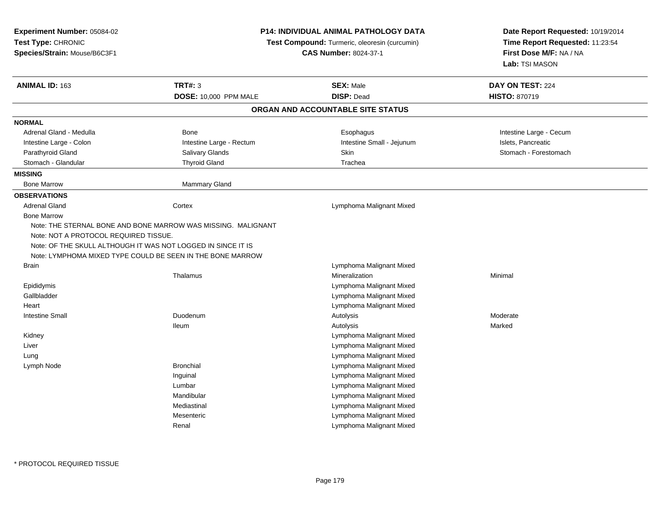| Test Type: CHRONIC<br>Species/Strain: Mouse/B6C3F1            |                                                                               |                                   |                                                                                                 |
|---------------------------------------------------------------|-------------------------------------------------------------------------------|-----------------------------------|-------------------------------------------------------------------------------------------------|
|                                                               | Test Compound: Turmeric, oleoresin (curcumin)<br><b>CAS Number: 8024-37-1</b> |                                   | Date Report Requested: 10/19/2014<br>Time Report Requested: 11:23:54<br>First Dose M/F: NA / NA |
|                                                               |                                                                               |                                   |                                                                                                 |
|                                                               |                                                                               |                                   | Lab: TSI MASON                                                                                  |
| ANIMAL ID: 163                                                | <b>TRT#: 3</b>                                                                | <b>SEX: Male</b>                  | DAY ON TEST: 224                                                                                |
|                                                               | DOSE: 10,000 PPM MALE                                                         | <b>DISP: Dead</b>                 | HISTO: 870719                                                                                   |
|                                                               |                                                                               | ORGAN AND ACCOUNTABLE SITE STATUS |                                                                                                 |
| <b>NORMAL</b>                                                 |                                                                               |                                   |                                                                                                 |
| Adrenal Gland - Medulla                                       | Bone                                                                          | Esophagus                         | Intestine Large - Cecum                                                                         |
| Intestine Large - Colon                                       | Intestine Large - Rectum                                                      | Intestine Small - Jejunum         | Islets, Pancreatic                                                                              |
| Parathyroid Gland                                             | Salivary Glands                                                               | <b>Skin</b>                       | Stomach - Forestomach                                                                           |
| Stomach - Glandular                                           | <b>Thyroid Gland</b>                                                          | Trachea                           |                                                                                                 |
| <b>MISSING</b>                                                |                                                                               |                                   |                                                                                                 |
| <b>Bone Marrow</b>                                            | Mammary Gland                                                                 |                                   |                                                                                                 |
| <b>OBSERVATIONS</b>                                           |                                                                               |                                   |                                                                                                 |
| <b>Adrenal Gland</b>                                          | Cortex                                                                        | Lymphoma Malignant Mixed          |                                                                                                 |
| <b>Bone Marrow</b>                                            |                                                                               |                                   |                                                                                                 |
| Note: THE STERNAL BONE AND BONE MARROW WAS MISSING. MALIGNANT |                                                                               |                                   |                                                                                                 |
| Note: NOT A PROTOCOL REQUIRED TISSUE.                         |                                                                               |                                   |                                                                                                 |
| Note: OF THE SKULL ALTHOUGH IT WAS NOT LOGGED IN SINCE IT IS  |                                                                               |                                   |                                                                                                 |
| Note: LYMPHOMA MIXED TYPE COULD BE SEEN IN THE BONE MARROW    |                                                                               |                                   |                                                                                                 |
| <b>Brain</b>                                                  |                                                                               | Lymphoma Malignant Mixed          |                                                                                                 |
|                                                               | Thalamus                                                                      | Mineralization                    | Minimal                                                                                         |
| Epididymis                                                    |                                                                               | Lymphoma Malignant Mixed          |                                                                                                 |
| Gallbladder                                                   |                                                                               | Lymphoma Malignant Mixed          |                                                                                                 |
| Heart                                                         |                                                                               | Lymphoma Malignant Mixed          |                                                                                                 |
| <b>Intestine Small</b>                                        | Duodenum                                                                      | Autolysis                         | Moderate                                                                                        |
|                                                               | <b>Ileum</b>                                                                  | Autolysis                         | Marked                                                                                          |
| Kidney                                                        |                                                                               | Lymphoma Malignant Mixed          |                                                                                                 |
| Liver                                                         |                                                                               | Lymphoma Malignant Mixed          |                                                                                                 |
| Lung                                                          |                                                                               | Lymphoma Malignant Mixed          |                                                                                                 |
| Lymph Node                                                    | <b>Bronchial</b>                                                              | Lymphoma Malignant Mixed          |                                                                                                 |
|                                                               | Inguinal                                                                      | Lymphoma Malignant Mixed          |                                                                                                 |
|                                                               | Lumbar                                                                        | Lymphoma Malignant Mixed          |                                                                                                 |
|                                                               | Mandibular                                                                    | Lymphoma Malignant Mixed          |                                                                                                 |
|                                                               | Mediastinal                                                                   | Lymphoma Malignant Mixed          |                                                                                                 |
|                                                               | Mesenteric                                                                    | Lymphoma Malignant Mixed          |                                                                                                 |
|                                                               | Renal                                                                         | Lymphoma Malignant Mixed          |                                                                                                 |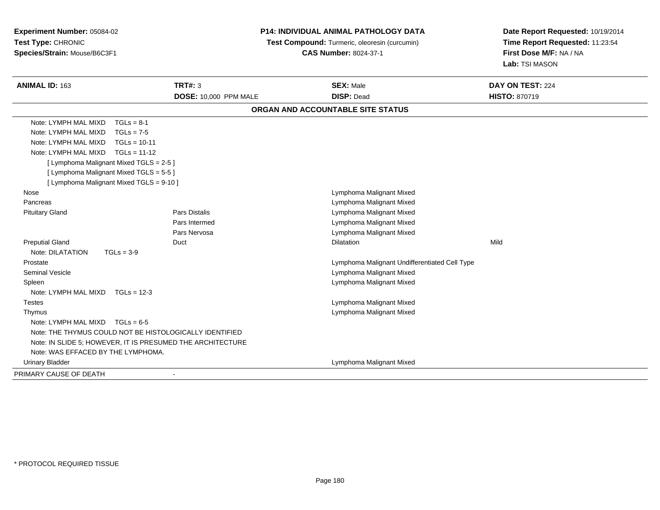**Experiment Number:** 05084-02**Test Type:** CHRONIC**Species/Strain:** Mouse/B6C3F1

## **P14: INDIVIDUAL ANIMAL PATHOLOGY DATA**

 **Test Compound:** Turmeric, oleoresin (curcumin)**CAS Number:** 8024-37-1

**Date Report Requested:** 10/19/2014**Time Report Requested:** 11:23:54**First Dose M/F:** NA / NA**Lab:** TSI MASON

| <b>ANIMAL ID: 163</b>                                      | <b>TRT#: 3</b><br>DOSE: 10,000 PPM MALE | <b>SEX: Male</b><br><b>DISP: Dead</b>         | DAY ON TEST: 224<br><b>HISTO: 870719</b> |  |
|------------------------------------------------------------|-----------------------------------------|-----------------------------------------------|------------------------------------------|--|
|                                                            |                                         |                                               |                                          |  |
|                                                            |                                         | ORGAN AND ACCOUNTABLE SITE STATUS             |                                          |  |
| Note: LYMPH MAL MIXD<br>$TGLs = 8-1$                       |                                         |                                               |                                          |  |
| Note: LYMPH MAL MIXD<br>$TGLs = 7-5$                       |                                         |                                               |                                          |  |
| Note: LYMPH MAL MIXD<br>$TGLs = 10-11$                     |                                         |                                               |                                          |  |
| Note: LYMPH MAL MIXD<br>$TGLs = 11-12$                     |                                         |                                               |                                          |  |
| [ Lymphoma Malignant Mixed TGLS = 2-5 ]                    |                                         |                                               |                                          |  |
| [ Lymphoma Malignant Mixed TGLS = 5-5 ]                    |                                         |                                               |                                          |  |
| [ Lymphoma Malignant Mixed TGLS = 9-10 ]                   |                                         |                                               |                                          |  |
| Nose                                                       |                                         | Lymphoma Malignant Mixed                      |                                          |  |
| Pancreas                                                   |                                         | Lymphoma Malignant Mixed                      |                                          |  |
| <b>Pituitary Gland</b>                                     | <b>Pars Distalis</b>                    | Lymphoma Malignant Mixed                      |                                          |  |
|                                                            | Pars Intermed                           | Lymphoma Malignant Mixed                      |                                          |  |
|                                                            | Pars Nervosa                            | Lymphoma Malignant Mixed                      |                                          |  |
| <b>Preputial Gland</b>                                     | Duct                                    | <b>Dilatation</b>                             | Mild                                     |  |
| Note: DILATATION<br>$TGLs = 3-9$                           |                                         |                                               |                                          |  |
| Prostate                                                   |                                         | Lymphoma Malignant Undifferentiated Cell Type |                                          |  |
| <b>Seminal Vesicle</b>                                     |                                         | Lymphoma Malignant Mixed                      |                                          |  |
| Spleen                                                     |                                         | Lymphoma Malignant Mixed                      |                                          |  |
| Note: LYMPH MAL MIXD<br>$TGLs = 12-3$                      |                                         |                                               |                                          |  |
| <b>Testes</b>                                              |                                         | Lymphoma Malignant Mixed                      |                                          |  |
| Thymus                                                     |                                         | Lymphoma Malignant Mixed                      |                                          |  |
| Note: LYMPH MAL MIXD<br>$TGLs = 6-5$                       |                                         |                                               |                                          |  |
| Note: THE THYMUS COULD NOT BE HISTOLOGICALLY IDENTIFIED    |                                         |                                               |                                          |  |
| Note: IN SLIDE 5; HOWEVER, IT IS PRESUMED THE ARCHITECTURE |                                         |                                               |                                          |  |
| Note: WAS EFFACED BY THE LYMPHOMA.                         |                                         |                                               |                                          |  |
| <b>Urinary Bladder</b>                                     |                                         | Lymphoma Malignant Mixed                      |                                          |  |
| PRIMARY CAUSE OF DEATH                                     |                                         |                                               |                                          |  |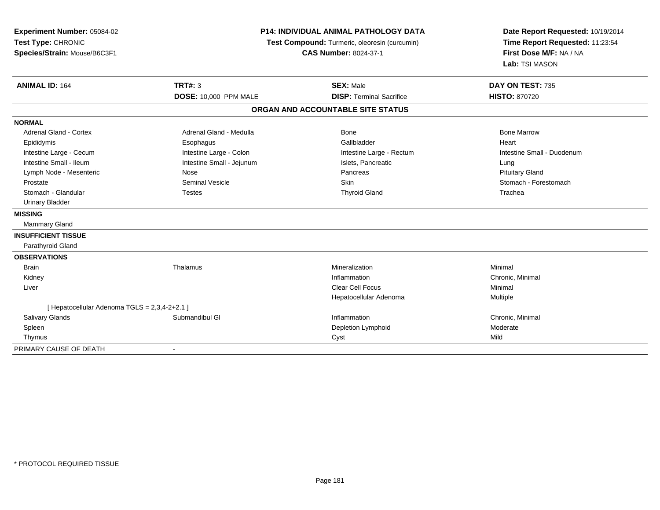| Experiment Number: 05084-02<br>Test Type: CHRONIC<br>Species/Strain: Mouse/B6C3F1                                                                                                                                                                                               | <b>P14: INDIVIDUAL ANIMAL PATHOLOGY DATA</b><br>Test Compound: Turmeric, oleoresin (curcumin)<br><b>CAS Number: 8024-37-1</b>                          |                                                                                                                   | Date Report Requested: 10/19/2014<br>Time Report Requested: 11:23:54<br>First Dose M/F: NA / NA<br>Lab: TSI MASON               |  |
|---------------------------------------------------------------------------------------------------------------------------------------------------------------------------------------------------------------------------------------------------------------------------------|--------------------------------------------------------------------------------------------------------------------------------------------------------|-------------------------------------------------------------------------------------------------------------------|---------------------------------------------------------------------------------------------------------------------------------|--|
| <b>ANIMAL ID: 164</b>                                                                                                                                                                                                                                                           | TRT#: 3<br><b>DOSE: 10,000 PPM MALE</b>                                                                                                                | <b>SEX: Male</b><br><b>DISP: Terminal Sacrifice</b>                                                               | DAY ON TEST: 735<br><b>HISTO: 870720</b>                                                                                        |  |
|                                                                                                                                                                                                                                                                                 |                                                                                                                                                        | ORGAN AND ACCOUNTABLE SITE STATUS                                                                                 |                                                                                                                                 |  |
| <b>NORMAL</b>                                                                                                                                                                                                                                                                   |                                                                                                                                                        |                                                                                                                   |                                                                                                                                 |  |
| <b>Adrenal Gland - Cortex</b><br>Epididymis<br>Intestine Large - Cecum<br>Intestine Small - Ileum<br>Lymph Node - Mesenteric<br>Prostate<br>Stomach - Glandular<br><b>Urinary Bladder</b><br><b>MISSING</b><br>Mammary Gland<br><b>INSUFFICIENT TISSUE</b><br>Parathyroid Gland | Adrenal Gland - Medulla<br>Esophagus<br>Intestine Large - Colon<br>Intestine Small - Jejunum<br><b>Nose</b><br><b>Seminal Vesicle</b><br><b>Testes</b> | Bone<br>Gallbladder<br>Intestine Large - Rectum<br>Islets, Pancreatic<br>Pancreas<br>Skin<br><b>Thyroid Gland</b> | <b>Bone Marrow</b><br>Heart<br>Intestine Small - Duodenum<br>Lung<br><b>Pituitary Gland</b><br>Stomach - Forestomach<br>Trachea |  |
| <b>OBSERVATIONS</b>                                                                                                                                                                                                                                                             |                                                                                                                                                        |                                                                                                                   |                                                                                                                                 |  |
| <b>Brain</b>                                                                                                                                                                                                                                                                    | Thalamus                                                                                                                                               | Mineralization                                                                                                    | Minimal                                                                                                                         |  |
| Kidney<br>Liver                                                                                                                                                                                                                                                                 |                                                                                                                                                        | Inflammation<br><b>Clear Cell Focus</b><br>Hepatocellular Adenoma                                                 | Chronic, Minimal<br>Minimal<br>Multiple                                                                                         |  |
| [ Hepatocellular Adenoma TGLS = 2,3,4-2+2.1 ]                                                                                                                                                                                                                                   |                                                                                                                                                        |                                                                                                                   |                                                                                                                                 |  |
| Salivary Glands                                                                                                                                                                                                                                                                 | Submandibul GI                                                                                                                                         | Inflammation                                                                                                      | Chronic, Minimal                                                                                                                |  |
| Spleen                                                                                                                                                                                                                                                                          |                                                                                                                                                        | Depletion Lymphoid                                                                                                | Moderate                                                                                                                        |  |
| Thymus                                                                                                                                                                                                                                                                          |                                                                                                                                                        | Cyst                                                                                                              | Mild                                                                                                                            |  |
| PRIMARY CAUSE OF DEATH                                                                                                                                                                                                                                                          |                                                                                                                                                        |                                                                                                                   |                                                                                                                                 |  |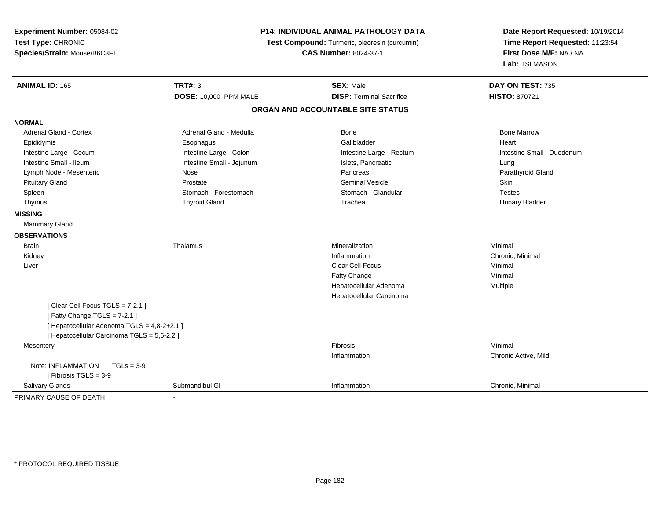| Experiment Number: 05084-02                 | <b>P14: INDIVIDUAL ANIMAL PATHOLOGY DATA</b> |                                               | Date Report Requested: 10/19/2014 |
|---------------------------------------------|----------------------------------------------|-----------------------------------------------|-----------------------------------|
| Test Type: CHRONIC                          |                                              | Test Compound: Turmeric, oleoresin (curcumin) |                                   |
| Species/Strain: Mouse/B6C3F1                |                                              | <b>CAS Number: 8024-37-1</b>                  | First Dose M/F: NA / NA           |
|                                             |                                              |                                               | Lab: TSI MASON                    |
| <b>ANIMAL ID: 165</b>                       | <b>TRT#: 3</b>                               | <b>SEX: Male</b>                              | DAY ON TEST: 735                  |
|                                             | <b>DOSE: 10,000 PPM MALE</b>                 | <b>DISP: Terminal Sacrifice</b>               | <b>HISTO: 870721</b>              |
|                                             |                                              | ORGAN AND ACCOUNTABLE SITE STATUS             |                                   |
| <b>NORMAL</b>                               |                                              |                                               |                                   |
| <b>Adrenal Gland - Cortex</b>               | Adrenal Gland - Medulla                      | <b>Bone</b>                                   | <b>Bone Marrow</b>                |
| Epididymis                                  | Esophagus                                    | Gallbladder                                   | Heart                             |
| Intestine Large - Cecum                     | Intestine Large - Colon                      | Intestine Large - Rectum                      | Intestine Small - Duodenum        |
| Intestine Small - Ileum                     | Intestine Small - Jejunum                    | Islets, Pancreatic                            | Lung                              |
| Lymph Node - Mesenteric                     | Nose                                         | Pancreas                                      | Parathyroid Gland                 |
| <b>Pituitary Gland</b>                      | Prostate                                     | <b>Seminal Vesicle</b>                        | Skin                              |
| Spleen                                      | Stomach - Forestomach                        | Stomach - Glandular                           | <b>Testes</b>                     |
| Thymus                                      | <b>Thyroid Gland</b>                         | Trachea                                       | <b>Urinary Bladder</b>            |
| <b>MISSING</b>                              |                                              |                                               |                                   |
| Mammary Gland                               |                                              |                                               |                                   |
| <b>OBSERVATIONS</b>                         |                                              |                                               |                                   |
| <b>Brain</b>                                | Thalamus                                     | Mineralization                                | Minimal                           |
| Kidney                                      |                                              | Inflammation                                  | Chronic, Minimal                  |
| Liver                                       |                                              | <b>Clear Cell Focus</b>                       | Minimal                           |
|                                             |                                              | Fatty Change                                  | Minimal                           |
|                                             |                                              | Hepatocellular Adenoma                        | Multiple                          |
|                                             |                                              | Hepatocellular Carcinoma                      |                                   |
| [Clear Cell Focus TGLS = 7-2.1]             |                                              |                                               |                                   |
| [Fatty Change TGLS = 7-2.1]                 |                                              |                                               |                                   |
| [ Hepatocellular Adenoma TGLS = 4,8-2+2.1 ] |                                              |                                               |                                   |
| [ Hepatocellular Carcinoma TGLS = 5,6-2.2 ] |                                              |                                               |                                   |
| Mesentery                                   |                                              | Fibrosis                                      | Minimal                           |
|                                             |                                              | Inflammation                                  | Chronic Active, Mild              |
| Note: INFLAMMATION<br>$TGLs = 3-9$          |                                              |                                               |                                   |
| [Fibrosis TGLS = $3-9$ ]                    |                                              |                                               |                                   |
| Salivary Glands                             | Submandibul GI                               | Inflammation                                  | Chronic, Minimal                  |
| PRIMARY CAUSE OF DEATH                      |                                              |                                               |                                   |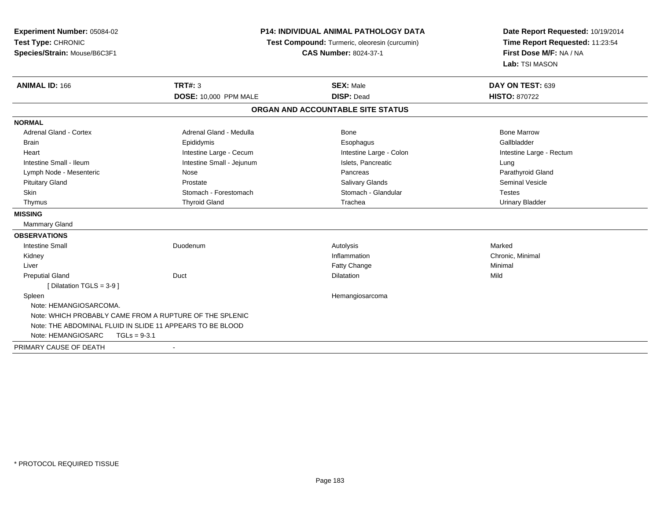**Experiment Number:** 05084-02**Test Type:** CHRONIC **Species/Strain:** Mouse/B6C3F1**P14: INDIVIDUAL ANIMAL PATHOLOGY DATA Test Compound:** Turmeric, oleoresin (curcumin)**CAS Number:** 8024-37-1**Date Report Requested:** 10/19/2014**Time Report Requested:** 11:23:54**First Dose M/F:** NA / NA**Lab:** TSI MASON**ANIMAL ID:** 166**TRT#:** 3 **SEX:** Male **DAY ON TEST:** 639 **DOSE:** 10,000 PPM MALE **DISP:** Dead **HISTO:** <sup>870722</sup> **ORGAN AND ACCOUNTABLE SITE STATUSNORMALAdrenal Gland - Cortex** Adrenal Gland - Medulla **Bone Adrenal Gland - Cortex Adrenal Gland - Cortex Adrenal Gland - Medulla** Bone Marrow Gallbladder Brain Epididymis Epididymis and the Brook of the Brook of the Brook of the Brook of the Gallbladder of the Gallbladder Heart **Intestine Large - Cecum** Intestine Large - Cecum Intestine Large - Colon Intestine Large - Rectum Intestine Small - Ileum **Intestine Small - Intestine Small - Jejunum** Islets, Pancreatic **Intestine Small - Intestine Small - Intestine Small - Ieiunum** Islets, Pancreatic Parathyroid Gland Lymph Node - Mesenteric **Note Americal Clandish Nose** Pancreas Pancreas Pancreas Pancreas Pancreas Pancreas Pancreas Pituitary Gland Prostate Salivary Glands Seminal VesicleSkin Stomach - Forestomach - Stomach Stomach Stomach - Stomach - Glandular Stomach - Testes **Urinary Bladder**  Thymus Thyroid Gland Trachea Urinary Bladder**MISSING** Mammary Gland**OBSERVATIONS** Intestine Small Duodenumm and the method of the Autolysis and the Marked Marked School and the Marked School and Marked School and Marked School and Marked School and Marked School and Marked School and Marked School and Marked School and Marked Kidneyy the control of the control of the control of the control of the control of the control of the control of the control of the control of the control of the control of the control of the control of the control of the contro Inflammation **Chronic, Minimal**<br> **Fatty Change Chronic Chronic Chronic Chronic Chronic Chronic Chronic Chronic Chronic Chronic Chronic Chronic Chronic Chronic Chronic Chronic Chronic Chr**  Liverr and the control of the control of the control of the control of the control of the control of the control of the control of the control of the control of the control of the control of the control of the control of the co e Minimal Preputial Glandd and the Duct the Contract of the Dilatation of the Dilatation of the Mild of the Mild of the Mild of the Mild of the Mild of the Mild of the Mild of the Mild of the Mild of the Mild of the Mild of the Mild of the Mild of [ Dilatation TGLS = 3-9 ] Spleen Hemangiosarcoma Note: HEMANGIOSARCOMA.Note: WHICH PROBABLY CAME FROM A RUPTURE OF THE SPLENIC Note: THE ABDOMINAL FLUID IN SLIDE 11 APPEARS TO BE BLOODNote: HEMANGIOSARC TGLs = 9-3.1PRIMARY CAUSE OF DEATH-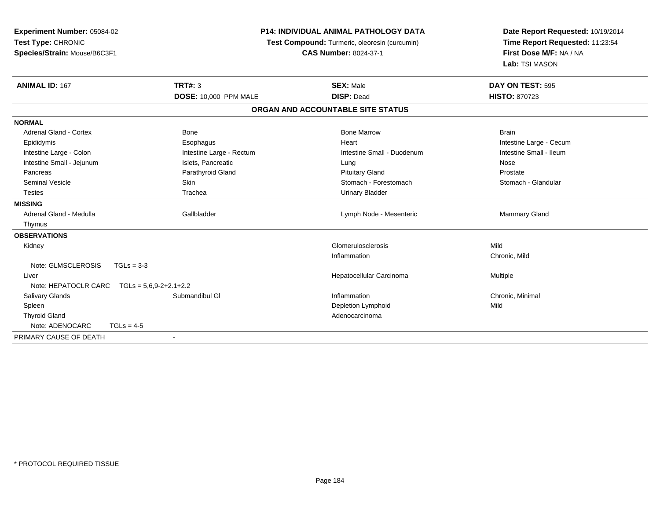| Experiment Number: 05084-02   |                              | <b>P14: INDIVIDUAL ANIMAL PATHOLOGY DATA</b>  |                                                            |
|-------------------------------|------------------------------|-----------------------------------------------|------------------------------------------------------------|
| Test Type: CHRONIC            |                              | Test Compound: Turmeric, oleoresin (curcumin) | Time Report Requested: 11:23:54<br>First Dose M/F: NA / NA |
| Species/Strain: Mouse/B6C3F1  |                              | <b>CAS Number: 8024-37-1</b>                  |                                                            |
|                               |                              |                                               | Lab: TSI MASON                                             |
| <b>ANIMAL ID: 167</b>         | TRT#: 3                      | <b>SEX: Male</b>                              | DAY ON TEST: 595                                           |
|                               | <b>DOSE: 10,000 PPM MALE</b> | <b>DISP: Dead</b>                             | <b>HISTO: 870723</b>                                       |
|                               |                              | ORGAN AND ACCOUNTABLE SITE STATUS             |                                                            |
| <b>NORMAL</b>                 |                              |                                               |                                                            |
| <b>Adrenal Gland - Cortex</b> | Bone                         | <b>Bone Marrow</b>                            | <b>Brain</b>                                               |
| Epididymis                    | Esophagus                    | Heart                                         | Intestine Large - Cecum                                    |
| Intestine Large - Colon       | Intestine Large - Rectum     | Intestine Small - Duodenum                    | Intestine Small - Ileum                                    |
| Intestine Small - Jejunum     | Islets, Pancreatic           | Lung                                          | Nose                                                       |
| Pancreas                      | Parathyroid Gland            | <b>Pituitary Gland</b>                        | Prostate                                                   |
| <b>Seminal Vesicle</b>        | Skin                         | Stomach - Forestomach                         | Stomach - Glandular                                        |
| <b>Testes</b>                 | Trachea                      | <b>Urinary Bladder</b>                        |                                                            |
| <b>MISSING</b>                |                              |                                               |                                                            |
| Adrenal Gland - Medulla       | Gallbladder                  | Lymph Node - Mesenteric                       | <b>Mammary Gland</b>                                       |
| Thymus                        |                              |                                               |                                                            |
| <b>OBSERVATIONS</b>           |                              |                                               |                                                            |
| Kidney                        |                              | Glomerulosclerosis                            | Mild                                                       |
|                               |                              | Inflammation                                  | Chronic, Mild                                              |
| Note: GLMSCLEROSIS            | $TGLs = 3-3$                 |                                               |                                                            |
| Liver                         |                              | Hepatocellular Carcinoma                      | Multiple                                                   |
| Note: HEPATOCLR CARC          | $TGLs = 5.6.9-2+2.1+2.2$     |                                               |                                                            |
| Salivary Glands               | Submandibul GI               | Inflammation                                  | Chronic, Minimal                                           |
| Spleen                        |                              | <b>Depletion Lymphoid</b>                     | Mild                                                       |
| <b>Thyroid Gland</b>          |                              | Adenocarcinoma                                |                                                            |
| Note: ADENOCARC               | $TGLs = 4-5$                 |                                               |                                                            |
| PRIMARY CAUSE OF DEATH        |                              |                                               |                                                            |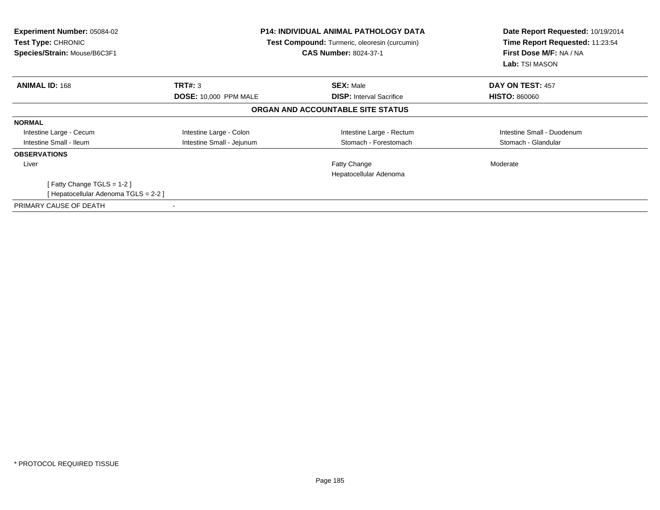| <b>Experiment Number: 05084-02</b><br>Test Type: CHRONIC<br>Species/Strain: Mouse/B6C3F1 | <b>P14: INDIVIDUAL ANIMAL PATHOLOGY DATA</b><br>Test Compound: Turmeric, oleoresin (curcumin)<br><b>CAS Number: 8024-37-1</b> |                                   | Date Report Requested: 10/19/2014<br>Time Report Requested: 11:23:54<br>First Dose M/F: NA / NA<br>Lab: TSI MASON |  |
|------------------------------------------------------------------------------------------|-------------------------------------------------------------------------------------------------------------------------------|-----------------------------------|-------------------------------------------------------------------------------------------------------------------|--|
| <b>ANIMAL ID: 168</b>                                                                    | TRT#: 3                                                                                                                       | <b>SEX: Male</b>                  | DAY ON TEST: 457                                                                                                  |  |
|                                                                                          | <b>DOSE: 10,000 PPM MALE</b>                                                                                                  | <b>DISP:</b> Interval Sacrifice   | <b>HISTO: 860060</b>                                                                                              |  |
|                                                                                          |                                                                                                                               | ORGAN AND ACCOUNTABLE SITE STATUS |                                                                                                                   |  |
| <b>NORMAL</b>                                                                            |                                                                                                                               |                                   |                                                                                                                   |  |
| Intestine Large - Cecum                                                                  | Intestine Large - Colon                                                                                                       | Intestine Large - Rectum          | Intestine Small - Duodenum                                                                                        |  |
| Intestine Small - Ileum                                                                  | Intestine Small - Jejunum                                                                                                     | Stomach - Forestomach             | Stomach - Glandular                                                                                               |  |
| <b>OBSERVATIONS</b>                                                                      |                                                                                                                               |                                   |                                                                                                                   |  |
| Liver                                                                                    |                                                                                                                               | <b>Fatty Change</b>               | Moderate                                                                                                          |  |
|                                                                                          |                                                                                                                               | Hepatocellular Adenoma            |                                                                                                                   |  |
| [Fatty Change TGLS = $1-2$ ]                                                             |                                                                                                                               |                                   |                                                                                                                   |  |
| Hepatocellular Adenoma TGLS = 2-2 ]                                                      |                                                                                                                               |                                   |                                                                                                                   |  |
| PRIMARY CAUSE OF DEATH                                                                   |                                                                                                                               |                                   |                                                                                                                   |  |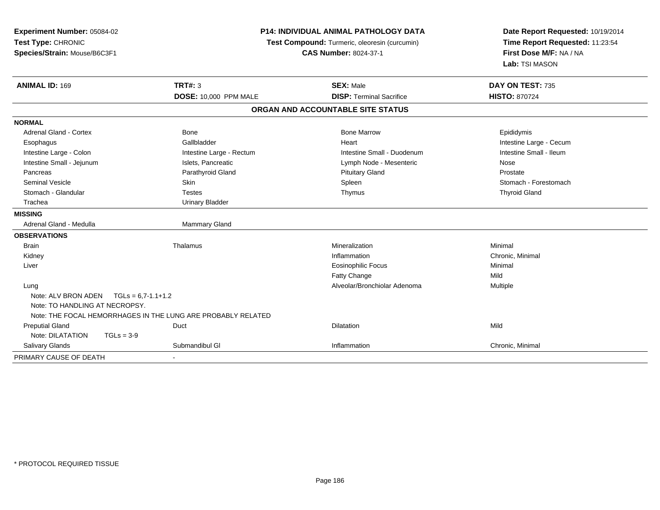| Experiment Number: 05084-02<br>Test Type: CHRONIC<br>Species/Strain: Mouse/B6C3F1 | <b>P14: INDIVIDUAL ANIMAL PATHOLOGY DATA</b><br>Test Compound: Turmeric, oleoresin (curcumin)<br><b>CAS Number: 8024-37-1</b> |                                                     | Date Report Requested: 10/19/2014<br>Time Report Requested: 11:23:54<br>First Dose M/F: NA / NA<br>Lab: TSI MASON |
|-----------------------------------------------------------------------------------|-------------------------------------------------------------------------------------------------------------------------------|-----------------------------------------------------|-------------------------------------------------------------------------------------------------------------------|
| <b>ANIMAL ID: 169</b>                                                             | <b>TRT#: 3</b><br><b>DOSE: 10,000 PPM MALE</b>                                                                                | <b>SEX: Male</b><br><b>DISP: Terminal Sacrifice</b> | DAY ON TEST: 735<br><b>HISTO: 870724</b>                                                                          |
|                                                                                   |                                                                                                                               | ORGAN AND ACCOUNTABLE SITE STATUS                   |                                                                                                                   |
| <b>NORMAL</b>                                                                     |                                                                                                                               |                                                     |                                                                                                                   |
| Adrenal Gland - Cortex                                                            | <b>Bone</b>                                                                                                                   | <b>Bone Marrow</b>                                  | Epididymis                                                                                                        |
| Esophagus                                                                         | Gallbladder                                                                                                                   | Heart                                               | Intestine Large - Cecum                                                                                           |
| Intestine Large - Colon                                                           | Intestine Large - Rectum                                                                                                      | Intestine Small - Duodenum                          | Intestine Small - Ileum                                                                                           |
| Intestine Small - Jejunum                                                         | Islets, Pancreatic                                                                                                            | Lymph Node - Mesenteric                             | Nose                                                                                                              |
| Pancreas                                                                          | Parathyroid Gland                                                                                                             | <b>Pituitary Gland</b>                              | Prostate                                                                                                          |
| <b>Seminal Vesicle</b>                                                            | Skin                                                                                                                          | Spleen                                              | Stomach - Forestomach                                                                                             |
| Stomach - Glandular                                                               | <b>Testes</b>                                                                                                                 | Thymus                                              | <b>Thyroid Gland</b>                                                                                              |
| Trachea                                                                           | <b>Urinary Bladder</b>                                                                                                        |                                                     |                                                                                                                   |
| <b>MISSING</b>                                                                    |                                                                                                                               |                                                     |                                                                                                                   |
| Adrenal Gland - Medulla                                                           | <b>Mammary Gland</b>                                                                                                          |                                                     |                                                                                                                   |
| <b>OBSERVATIONS</b>                                                               |                                                                                                                               |                                                     |                                                                                                                   |
| <b>Brain</b>                                                                      | Thalamus                                                                                                                      | Mineralization                                      | Minimal                                                                                                           |
| Kidney                                                                            |                                                                                                                               | Inflammation                                        | Chronic, Minimal                                                                                                  |
| Liver                                                                             |                                                                                                                               | <b>Eosinophilic Focus</b>                           | Minimal                                                                                                           |
|                                                                                   |                                                                                                                               | Fatty Change                                        | Mild                                                                                                              |
| Lung<br>Note: ALV BRON ADEN<br>$TGLs = 6,7-1.1+1.2$                               |                                                                                                                               | Alveolar/Bronchiolar Adenoma                        | Multiple                                                                                                          |
| Note: TO HANDLING AT NECROPSY.                                                    |                                                                                                                               |                                                     |                                                                                                                   |
|                                                                                   | Note: THE FOCAL HEMORRHAGES IN THE LUNG ARE PROBABLY RELATED                                                                  |                                                     |                                                                                                                   |
| <b>Preputial Gland</b>                                                            | Duct                                                                                                                          | Dilatation                                          | Mild                                                                                                              |
| Note: DILATATION<br>$TGLs = 3-9$                                                  |                                                                                                                               |                                                     |                                                                                                                   |
| Salivary Glands                                                                   | Submandibul GI                                                                                                                | Inflammation                                        | Chronic, Minimal                                                                                                  |
| PRIMARY CAUSE OF DEATH                                                            |                                                                                                                               |                                                     |                                                                                                                   |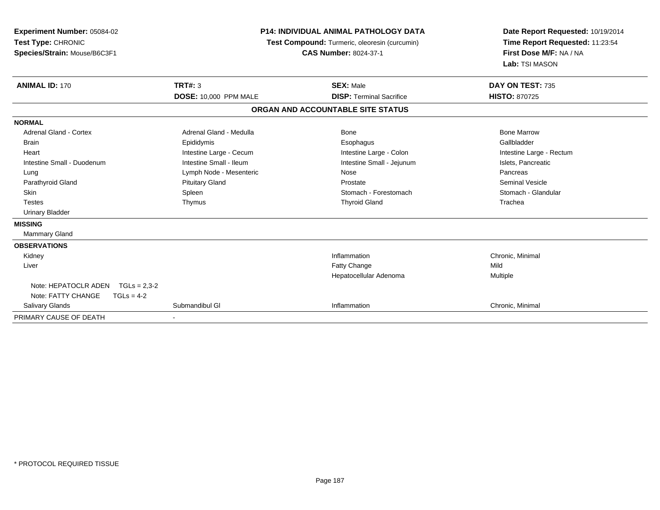| Experiment Number: 05084-02<br>Test Type: CHRONIC<br>Species/Strain: Mouse/B6C3F1<br><b>ANIMAL ID: 170</b> | <b>P14: INDIVIDUAL ANIMAL PATHOLOGY DATA</b><br>Test Compound: Turmeric, oleoresin (curcumin)<br><b>CAS Number: 8024-37-1</b><br><b>TRT#: 3</b><br><b>SEX: Male</b> |                                   | Date Report Requested: 10/19/2014<br>Time Report Requested: 11:23:54<br>First Dose M/F: NA / NA<br>Lab: TSI MASON<br>DAY ON TEST: 735 |
|------------------------------------------------------------------------------------------------------------|---------------------------------------------------------------------------------------------------------------------------------------------------------------------|-----------------------------------|---------------------------------------------------------------------------------------------------------------------------------------|
|                                                                                                            | DOSE: 10,000 PPM MALE                                                                                                                                               | <b>DISP: Terminal Sacrifice</b>   | <b>HISTO: 870725</b>                                                                                                                  |
|                                                                                                            |                                                                                                                                                                     | ORGAN AND ACCOUNTABLE SITE STATUS |                                                                                                                                       |
| <b>NORMAL</b>                                                                                              |                                                                                                                                                                     |                                   |                                                                                                                                       |
| <b>Adrenal Gland - Cortex</b>                                                                              | Adrenal Gland - Medulla                                                                                                                                             | <b>Bone</b>                       | <b>Bone Marrow</b>                                                                                                                    |
| <b>Brain</b>                                                                                               | Epididymis                                                                                                                                                          | Esophagus                         | Gallbladder                                                                                                                           |
| Heart                                                                                                      | Intestine Large - Cecum                                                                                                                                             | Intestine Large - Colon           | Intestine Large - Rectum                                                                                                              |
| Intestine Small - Duodenum                                                                                 | Intestine Small - Ileum                                                                                                                                             | Intestine Small - Jejunum         | Islets, Pancreatic                                                                                                                    |
| Lung                                                                                                       | Lymph Node - Mesenteric                                                                                                                                             | Nose                              | Pancreas                                                                                                                              |
| Parathyroid Gland                                                                                          | <b>Pituitary Gland</b>                                                                                                                                              | Prostate                          | <b>Seminal Vesicle</b>                                                                                                                |
| <b>Skin</b>                                                                                                | Spleen                                                                                                                                                              | Stomach - Forestomach             | Stomach - Glandular                                                                                                                   |
| <b>Testes</b>                                                                                              | Thymus                                                                                                                                                              | <b>Thyroid Gland</b>              | Trachea                                                                                                                               |
| <b>Urinary Bladder</b>                                                                                     |                                                                                                                                                                     |                                   |                                                                                                                                       |
| <b>MISSING</b>                                                                                             |                                                                                                                                                                     |                                   |                                                                                                                                       |
| Mammary Gland                                                                                              |                                                                                                                                                                     |                                   |                                                                                                                                       |
| <b>OBSERVATIONS</b>                                                                                        |                                                                                                                                                                     |                                   |                                                                                                                                       |
| Kidney                                                                                                     |                                                                                                                                                                     | Inflammation                      | Chronic, Minimal                                                                                                                      |
| Liver                                                                                                      |                                                                                                                                                                     | <b>Fatty Change</b>               | Mild                                                                                                                                  |
|                                                                                                            |                                                                                                                                                                     | Hepatocellular Adenoma            | Multiple                                                                                                                              |
| Note: HEPATOCLR ADEN<br>$TGLs = 2.3 - 2$                                                                   |                                                                                                                                                                     |                                   |                                                                                                                                       |
| Note: FATTY CHANGE<br>$TGLs = 4-2$                                                                         |                                                                                                                                                                     |                                   |                                                                                                                                       |
| <b>Salivary Glands</b>                                                                                     | Submandibul GI                                                                                                                                                      | Inflammation                      | Chronic, Minimal                                                                                                                      |
| PRIMARY CAUSE OF DEATH                                                                                     |                                                                                                                                                                     |                                   |                                                                                                                                       |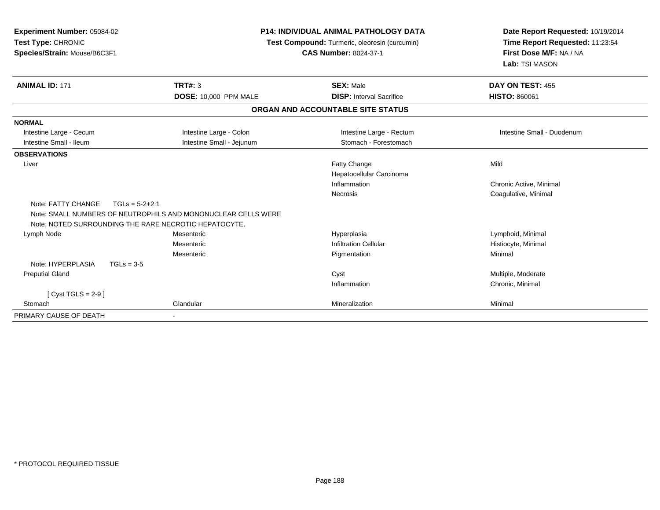| Experiment Number: 05084-02<br>Test Type: CHRONIC<br>Species/Strain: Mouse/B6C3F1 |                                                               | <b>P14: INDIVIDUAL ANIMAL PATHOLOGY DATA</b><br>Test Compound: Turmeric, oleoresin (curcumin)<br><b>CAS Number: 8024-37-1</b> | Date Report Requested: 10/19/2014<br>Time Report Requested: 11:23:54<br>First Dose M/F: NA / NA<br>Lab: TSI MASON |
|-----------------------------------------------------------------------------------|---------------------------------------------------------------|-------------------------------------------------------------------------------------------------------------------------------|-------------------------------------------------------------------------------------------------------------------|
| <b>ANIMAL ID: 171</b>                                                             | TRT#: 3                                                       | <b>SEX: Male</b>                                                                                                              | DAY ON TEST: 455                                                                                                  |
|                                                                                   | <b>DOSE: 10,000 PPM MALE</b>                                  | <b>DISP: Interval Sacrifice</b>                                                                                               | <b>HISTO: 860061</b>                                                                                              |
|                                                                                   |                                                               | ORGAN AND ACCOUNTABLE SITE STATUS                                                                                             |                                                                                                                   |
| <b>NORMAL</b>                                                                     |                                                               |                                                                                                                               |                                                                                                                   |
| Intestine Large - Cecum                                                           | Intestine Large - Colon                                       | Intestine Large - Rectum                                                                                                      | Intestine Small - Duodenum                                                                                        |
| Intestine Small - Ileum                                                           | Intestine Small - Jejunum                                     | Stomach - Forestomach                                                                                                         |                                                                                                                   |
| <b>OBSERVATIONS</b>                                                               |                                                               |                                                                                                                               |                                                                                                                   |
| Liver                                                                             |                                                               | Fatty Change                                                                                                                  | Mild                                                                                                              |
|                                                                                   |                                                               | Hepatocellular Carcinoma                                                                                                      |                                                                                                                   |
|                                                                                   |                                                               | Inflammation                                                                                                                  | Chronic Active, Minimal                                                                                           |
|                                                                                   |                                                               | Necrosis                                                                                                                      | Coagulative, Minimal                                                                                              |
| Note: FATTY CHANGE                                                                | $TGLs = 5-2+2.1$                                              |                                                                                                                               |                                                                                                                   |
|                                                                                   | Note: SMALL NUMBERS OF NEUTROPHILS AND MONONUCLEAR CELLS WERE |                                                                                                                               |                                                                                                                   |
|                                                                                   | Note: NOTED SURROUNDING THE RARE NECROTIC HEPATOCYTE.         |                                                                                                                               |                                                                                                                   |
| Lymph Node                                                                        | Mesenteric                                                    | Hyperplasia                                                                                                                   | Lymphoid, Minimal                                                                                                 |
|                                                                                   | Mesenteric                                                    | <b>Infiltration Cellular</b>                                                                                                  | Histiocyte, Minimal                                                                                               |
|                                                                                   | Mesenteric                                                    | Pigmentation                                                                                                                  | Minimal                                                                                                           |
| Note: HYPERPLASIA                                                                 | $TGLs = 3-5$                                                  |                                                                                                                               |                                                                                                                   |
| <b>Preputial Gland</b>                                                            |                                                               | Cyst                                                                                                                          | Multiple, Moderate                                                                                                |
|                                                                                   |                                                               | Inflammation                                                                                                                  | Chronic, Minimal                                                                                                  |
| [ $Cyst TGLS = 2-9$ ]                                                             |                                                               |                                                                                                                               |                                                                                                                   |
| Stomach                                                                           | Glandular                                                     | Mineralization                                                                                                                | Minimal                                                                                                           |
| PRIMARY CAUSE OF DEATH                                                            |                                                               |                                                                                                                               |                                                                                                                   |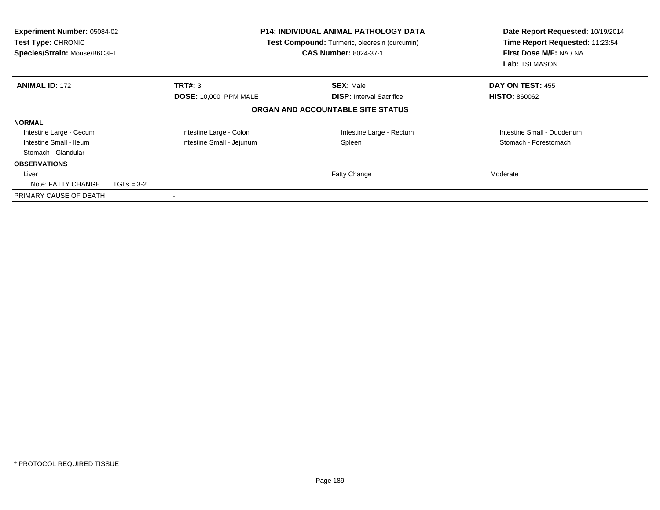| <b>Experiment Number: 05084-02</b><br>Test Type: CHRONIC<br>Species/Strain: Mouse/B6C3F1 |                              | <b>P14: INDIVIDUAL ANIMAL PATHOLOGY DATA</b><br>Test Compound: Turmeric, oleoresin (curcumin)<br><b>CAS Number: 8024-37-1</b> | Date Report Requested: 10/19/2014<br>Time Report Requested: 11:23:54<br>First Dose M/F: NA / NA<br>Lab: TSI MASON |
|------------------------------------------------------------------------------------------|------------------------------|-------------------------------------------------------------------------------------------------------------------------------|-------------------------------------------------------------------------------------------------------------------|
| <b>ANIMAL ID: 172</b>                                                                    | TRT#: 3                      | <b>SEX: Male</b>                                                                                                              | DAY ON TEST: 455                                                                                                  |
|                                                                                          | <b>DOSE: 10,000 PPM MALE</b> | <b>DISP:</b> Interval Sacrifice                                                                                               | <b>HISTO: 860062</b>                                                                                              |
|                                                                                          |                              | ORGAN AND ACCOUNTABLE SITE STATUS                                                                                             |                                                                                                                   |
| <b>NORMAL</b>                                                                            |                              |                                                                                                                               |                                                                                                                   |
| Intestine Large - Cecum                                                                  | Intestine Large - Colon      | Intestine Large - Rectum                                                                                                      | Intestine Small - Duodenum                                                                                        |
| Intestine Small - Ileum                                                                  | Intestine Small - Jejunum    | Spleen                                                                                                                        | Stomach - Forestomach                                                                                             |
| Stomach - Glandular                                                                      |                              |                                                                                                                               |                                                                                                                   |
| <b>OBSERVATIONS</b>                                                                      |                              |                                                                                                                               |                                                                                                                   |
| Liver                                                                                    |                              | Fatty Change                                                                                                                  | Moderate                                                                                                          |
| Note: FATTY CHANGE                                                                       | $TGLs = 3-2$                 |                                                                                                                               |                                                                                                                   |
| PRIMARY CAUSE OF DEATH                                                                   |                              |                                                                                                                               |                                                                                                                   |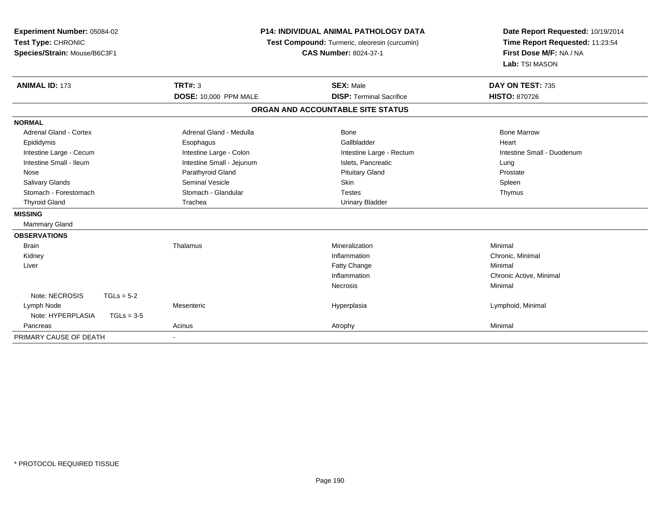| Experiment Number: 05084-02<br>Test Type: CHRONIC<br>Species/Strain: Mouse/B6C3F1 |              | <b>P14: INDIVIDUAL ANIMAL PATHOLOGY DATA</b><br>Test Compound: Turmeric, oleoresin (curcumin)<br><b>CAS Number: 8024-37-1</b> |                                                     | Date Report Requested: 10/19/2014<br>Time Report Requested: 11:23:54<br>First Dose M/F: NA / NA<br>Lab: TSI MASON |
|-----------------------------------------------------------------------------------|--------------|-------------------------------------------------------------------------------------------------------------------------------|-----------------------------------------------------|-------------------------------------------------------------------------------------------------------------------|
| <b>ANIMAL ID: 173</b>                                                             |              | <b>TRT#: 3</b><br><b>DOSE: 10,000 PPM MALE</b>                                                                                | <b>SEX: Male</b><br><b>DISP: Terminal Sacrifice</b> | DAY ON TEST: 735<br><b>HISTO: 870726</b>                                                                          |
|                                                                                   |              |                                                                                                                               | ORGAN AND ACCOUNTABLE SITE STATUS                   |                                                                                                                   |
|                                                                                   |              |                                                                                                                               |                                                     |                                                                                                                   |
| <b>NORMAL</b>                                                                     |              |                                                                                                                               |                                                     |                                                                                                                   |
| Adrenal Gland - Cortex                                                            |              | Adrenal Gland - Medulla                                                                                                       | Bone                                                | <b>Bone Marrow</b>                                                                                                |
| Epididymis                                                                        |              | Esophagus                                                                                                                     | Gallbladder                                         | Heart                                                                                                             |
| Intestine Large - Cecum                                                           |              | Intestine Large - Colon                                                                                                       | Intestine Large - Rectum                            | Intestine Small - Duodenum                                                                                        |
| Intestine Small - Ileum                                                           |              | Intestine Small - Jejunum                                                                                                     | Islets, Pancreatic                                  | Lung                                                                                                              |
| Nose                                                                              |              | Parathyroid Gland                                                                                                             | <b>Pituitary Gland</b>                              | Prostate                                                                                                          |
| <b>Salivary Glands</b>                                                            |              | <b>Seminal Vesicle</b>                                                                                                        | Skin                                                | Spleen                                                                                                            |
| Stomach - Forestomach                                                             |              | Stomach - Glandular                                                                                                           | <b>Testes</b>                                       | Thymus                                                                                                            |
| <b>Thyroid Gland</b>                                                              |              | Trachea                                                                                                                       | <b>Urinary Bladder</b>                              |                                                                                                                   |
| <b>MISSING</b>                                                                    |              |                                                                                                                               |                                                     |                                                                                                                   |
| Mammary Gland                                                                     |              |                                                                                                                               |                                                     |                                                                                                                   |
| <b>OBSERVATIONS</b>                                                               |              |                                                                                                                               |                                                     |                                                                                                                   |
| <b>Brain</b>                                                                      |              | Thalamus                                                                                                                      | Mineralization                                      | Minimal                                                                                                           |
| Kidney                                                                            |              |                                                                                                                               | Inflammation                                        | Chronic, Minimal                                                                                                  |
| Liver                                                                             |              |                                                                                                                               | <b>Fatty Change</b>                                 | Minimal                                                                                                           |
|                                                                                   |              |                                                                                                                               | Inflammation                                        | Chronic Active, Minimal                                                                                           |
|                                                                                   |              |                                                                                                                               | Necrosis                                            | Minimal                                                                                                           |
| Note: NECROSIS                                                                    | $TGLs = 5-2$ |                                                                                                                               |                                                     |                                                                                                                   |
| Lymph Node                                                                        |              | Mesenteric                                                                                                                    | Hyperplasia                                         | Lymphoid, Minimal                                                                                                 |
| Note: HYPERPLASIA                                                                 | $TGLs = 3-5$ |                                                                                                                               |                                                     |                                                                                                                   |
| Pancreas                                                                          |              | Acinus                                                                                                                        | Atrophy                                             | Minimal                                                                                                           |
| PRIMARY CAUSE OF DEATH                                                            |              |                                                                                                                               |                                                     |                                                                                                                   |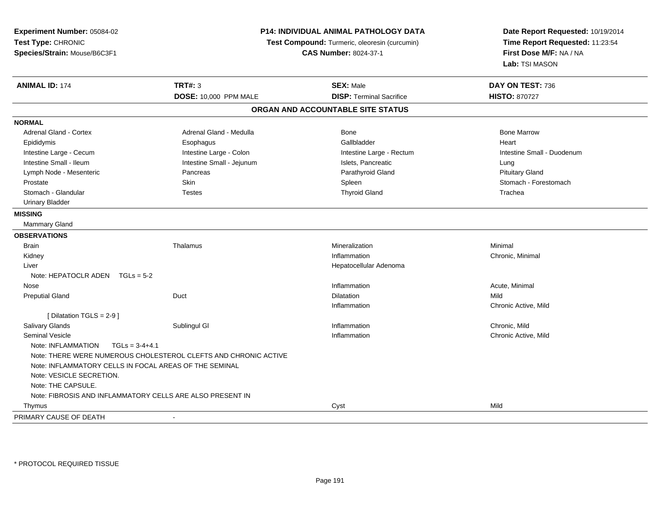| Experiment Number: 05084-02                               | P14: INDIVIDUAL ANIMAL PATHOLOGY DATA<br>Test Compound: Turmeric, oleoresin (curcumin)<br><b>CAS Number: 8024-37-1</b> |                                   | Date Report Requested: 10/19/2014<br>Time Report Requested: 11:23:54<br>First Dose M/F: NA / NA |
|-----------------------------------------------------------|------------------------------------------------------------------------------------------------------------------------|-----------------------------------|-------------------------------------------------------------------------------------------------|
| Test Type: CHRONIC                                        |                                                                                                                        |                                   |                                                                                                 |
| Species/Strain: Mouse/B6C3F1                              |                                                                                                                        |                                   |                                                                                                 |
|                                                           |                                                                                                                        |                                   | Lab: TSI MASON                                                                                  |
| <b>ANIMAL ID: 174</b>                                     | <b>TRT#: 3</b>                                                                                                         | <b>SEX: Male</b>                  | DAY ON TEST: 736                                                                                |
|                                                           | DOSE: 10,000 PPM MALE                                                                                                  | <b>DISP: Terminal Sacrifice</b>   | <b>HISTO: 870727</b>                                                                            |
|                                                           |                                                                                                                        | ORGAN AND ACCOUNTABLE SITE STATUS |                                                                                                 |
| <b>NORMAL</b>                                             |                                                                                                                        |                                   |                                                                                                 |
| Adrenal Gland - Cortex                                    | Adrenal Gland - Medulla                                                                                                | Bone                              | <b>Bone Marrow</b>                                                                              |
| Epididymis                                                | Esophagus                                                                                                              | Gallbladder                       | Heart                                                                                           |
| Intestine Large - Cecum                                   | Intestine Large - Colon                                                                                                | Intestine Large - Rectum          | Intestine Small - Duodenum                                                                      |
| Intestine Small - Ileum                                   | Intestine Small - Jejunum                                                                                              | Islets, Pancreatic                | Lung                                                                                            |
| Lymph Node - Mesenteric                                   | Pancreas                                                                                                               | Parathyroid Gland                 | <b>Pituitary Gland</b>                                                                          |
| Prostate                                                  | Skin                                                                                                                   | Spleen                            | Stomach - Forestomach                                                                           |
| Stomach - Glandular                                       | <b>Testes</b>                                                                                                          | <b>Thyroid Gland</b>              | Trachea                                                                                         |
| <b>Urinary Bladder</b>                                    |                                                                                                                        |                                   |                                                                                                 |
| <b>MISSING</b>                                            |                                                                                                                        |                                   |                                                                                                 |
| Mammary Gland                                             |                                                                                                                        |                                   |                                                                                                 |
| <b>OBSERVATIONS</b>                                       |                                                                                                                        |                                   |                                                                                                 |
| Brain                                                     | Thalamus                                                                                                               | Mineralization                    | Minimal                                                                                         |
| Kidney                                                    |                                                                                                                        | Inflammation                      | Chronic, Minimal                                                                                |
| Liver                                                     |                                                                                                                        | Hepatocellular Adenoma            |                                                                                                 |
| Note: HEPATOCLR ADEN $TGLs = 5-2$                         |                                                                                                                        |                                   |                                                                                                 |
| Nose                                                      |                                                                                                                        | Inflammation                      | Acute, Minimal                                                                                  |
| <b>Preputial Gland</b>                                    | Duct                                                                                                                   | <b>Dilatation</b>                 | Mild                                                                                            |
|                                                           |                                                                                                                        | Inflammation                      | Chronic Active, Mild                                                                            |
| [ Dilatation TGLS = 2-9 ]                                 |                                                                                                                        |                                   |                                                                                                 |
| Salivary Glands                                           | Sublingul GI                                                                                                           | Inflammation                      | Chronic, Mild                                                                                   |
| <b>Seminal Vesicle</b>                                    |                                                                                                                        | Inflammation                      | Chronic Active, Mild                                                                            |
| Note: INFLAMMATION<br>$TGLs = 3-4+4.1$                    |                                                                                                                        |                                   |                                                                                                 |
|                                                           | Note: THERE WERE NUMEROUS CHOLESTEROL CLEFTS AND CHRONIC ACTIVE                                                        |                                   |                                                                                                 |
| Note: INFLAMMATORY CELLS IN FOCAL AREAS OF THE SEMINAL    |                                                                                                                        |                                   |                                                                                                 |
| Note: VESICLE SECRETION.                                  |                                                                                                                        |                                   |                                                                                                 |
| Note: THE CAPSULE.                                        |                                                                                                                        |                                   |                                                                                                 |
| Note: FIBROSIS AND INFLAMMATORY CELLS ARE ALSO PRESENT IN |                                                                                                                        |                                   |                                                                                                 |
| Thymus                                                    |                                                                                                                        | Cyst                              | Mild                                                                                            |
| PRIMARY CAUSE OF DEATH                                    | $\sim$                                                                                                                 |                                   |                                                                                                 |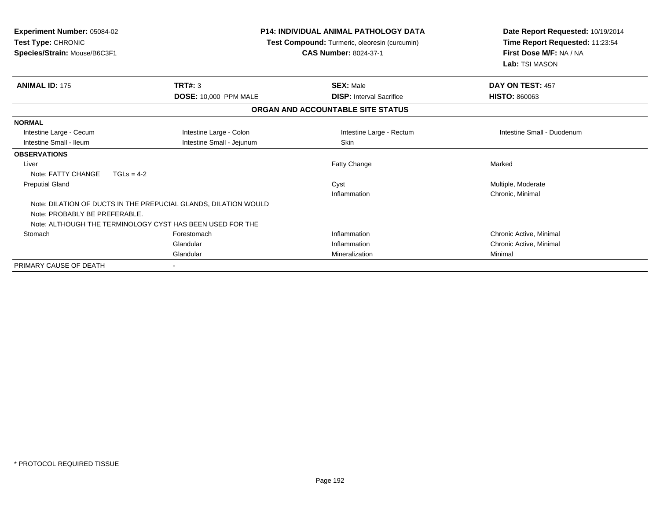| <b>Experiment Number: 05084-02</b><br>Test Type: CHRONIC<br>Species/Strain: Mouse/B6C3F1 |                                                                 | <b>P14: INDIVIDUAL ANIMAL PATHOLOGY DATA</b><br>Test Compound: Turmeric, oleoresin (curcumin)<br><b>CAS Number: 8024-37-1</b> | Date Report Requested: 10/19/2014<br>Time Report Requested: 11:23:54<br>First Dose M/F: NA / NA<br>Lab: TSI MASON |
|------------------------------------------------------------------------------------------|-----------------------------------------------------------------|-------------------------------------------------------------------------------------------------------------------------------|-------------------------------------------------------------------------------------------------------------------|
| <b>ANIMAL ID: 175</b>                                                                    | TRT#: 3                                                         | <b>SEX: Male</b>                                                                                                              | DAY ON TEST: 457                                                                                                  |
|                                                                                          | <b>DOSE: 10,000 PPM MALE</b>                                    | <b>DISP:</b> Interval Sacrifice                                                                                               | <b>HISTO: 860063</b>                                                                                              |
|                                                                                          |                                                                 | ORGAN AND ACCOUNTABLE SITE STATUS                                                                                             |                                                                                                                   |
| <b>NORMAL</b>                                                                            |                                                                 |                                                                                                                               |                                                                                                                   |
| Intestine Large - Cecum                                                                  | Intestine Large - Colon                                         | Intestine Large - Rectum                                                                                                      | Intestine Small - Duodenum                                                                                        |
| Intestine Small - Ileum                                                                  | Intestine Small - Jejunum                                       | <b>Skin</b>                                                                                                                   |                                                                                                                   |
| <b>OBSERVATIONS</b>                                                                      |                                                                 |                                                                                                                               |                                                                                                                   |
| Liver                                                                                    |                                                                 | Fatty Change                                                                                                                  | Marked                                                                                                            |
| Note: FATTY CHANGE                                                                       | $TGLs = 4-2$                                                    |                                                                                                                               |                                                                                                                   |
| <b>Preputial Gland</b>                                                                   |                                                                 | Cyst                                                                                                                          | Multiple, Moderate                                                                                                |
|                                                                                          |                                                                 | Inflammation                                                                                                                  | Chronic, Minimal                                                                                                  |
| Note: PROBABLY BE PREFERABLE.                                                            | Note: DILATION OF DUCTS IN THE PREPUCIAL GLANDS, DILATION WOULD |                                                                                                                               |                                                                                                                   |
|                                                                                          | Note: ALTHOUGH THE TERMINOLOGY CYST HAS BEEN USED FOR THE       |                                                                                                                               |                                                                                                                   |
| Stomach                                                                                  | Forestomach                                                     | Inflammation                                                                                                                  | Chronic Active, Minimal                                                                                           |
|                                                                                          | Glandular                                                       | Inflammation                                                                                                                  | Chronic Active, Minimal                                                                                           |
|                                                                                          | Glandular                                                       | Mineralization                                                                                                                | Minimal                                                                                                           |
| PRIMARY CAUSE OF DEATH                                                                   |                                                                 |                                                                                                                               |                                                                                                                   |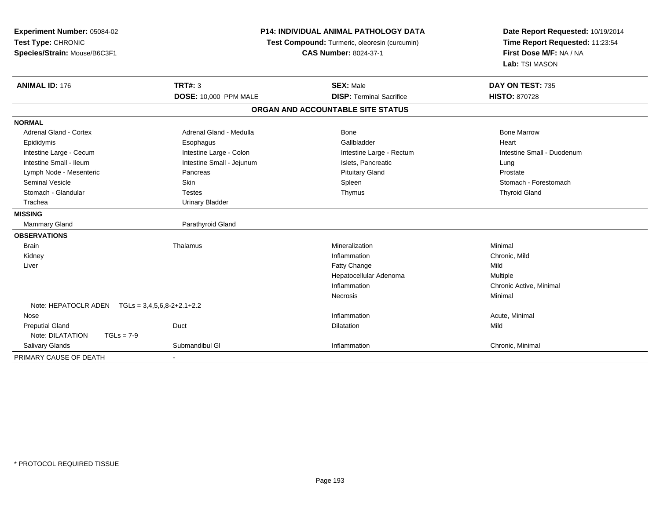| Experiment Number: 05084-02<br>Test Type: CHRONIC<br>Species/Strain: Mouse/B6C3F1 |                              | <b>P14: INDIVIDUAL ANIMAL PATHOLOGY DATA</b><br>Test Compound: Turmeric, oleoresin (curcumin)<br><b>CAS Number: 8024-37-1</b> |                            |
|-----------------------------------------------------------------------------------|------------------------------|-------------------------------------------------------------------------------------------------------------------------------|----------------------------|
| <b>ANIMAL ID: 176</b>                                                             | <b>TRT#: 3</b>               | <b>SEX: Male</b>                                                                                                              | DAY ON TEST: 735           |
|                                                                                   | <b>DOSE: 10,000 PPM MALE</b> | <b>DISP: Terminal Sacrifice</b>                                                                                               | <b>HISTO: 870728</b>       |
|                                                                                   |                              | ORGAN AND ACCOUNTABLE SITE STATUS                                                                                             |                            |
| <b>NORMAL</b>                                                                     |                              |                                                                                                                               |                            |
| <b>Adrenal Gland - Cortex</b>                                                     | Adrenal Gland - Medulla      | <b>Bone</b>                                                                                                                   | <b>Bone Marrow</b>         |
| Epididymis                                                                        | Esophagus                    | Gallbladder                                                                                                                   | Heart                      |
| Intestine Large - Cecum                                                           | Intestine Large - Colon      | Intestine Large - Rectum                                                                                                      | Intestine Small - Duodenum |
| Intestine Small - Ileum                                                           | Intestine Small - Jejunum    | Islets, Pancreatic                                                                                                            | Lung                       |
| Lymph Node - Mesenteric                                                           | Pancreas                     | <b>Pituitary Gland</b>                                                                                                        | Prostate                   |
| <b>Seminal Vesicle</b>                                                            | Skin                         | Spleen                                                                                                                        | Stomach - Forestomach      |
| Stomach - Glandular                                                               | <b>Testes</b>                | Thymus                                                                                                                        | <b>Thyroid Gland</b>       |
| Trachea                                                                           | <b>Urinary Bladder</b>       |                                                                                                                               |                            |
| <b>MISSING</b>                                                                    |                              |                                                                                                                               |                            |
| Mammary Gland                                                                     | Parathyroid Gland            |                                                                                                                               |                            |
| <b>OBSERVATIONS</b>                                                               |                              |                                                                                                                               |                            |
| <b>Brain</b>                                                                      | Thalamus                     | Mineralization                                                                                                                | Minimal                    |
| Kidney                                                                            |                              | Inflammation                                                                                                                  | Chronic, Mild              |
| Liver                                                                             |                              | Fatty Change                                                                                                                  | Mild                       |
|                                                                                   |                              | Hepatocellular Adenoma                                                                                                        | Multiple                   |
|                                                                                   |                              | Inflammation                                                                                                                  | Chronic Active, Minimal    |
|                                                                                   |                              | Necrosis                                                                                                                      | Minimal                    |
| Note: HEPATOCLR ADEN    TGLs = 3,4,5,6,8-2+2.1+2.2                                |                              |                                                                                                                               |                            |
| Nose                                                                              |                              | Inflammation                                                                                                                  | Acute, Minimal             |
| <b>Preputial Gland</b>                                                            | Duct                         | Dilatation                                                                                                                    | Mild                       |
| Note: DILATATION<br>$TGLs = 7-9$                                                  |                              |                                                                                                                               |                            |
| Salivary Glands                                                                   | Submandibul GI               | Inflammation                                                                                                                  | Chronic, Minimal           |
| PRIMARY CAUSE OF DEATH                                                            |                              |                                                                                                                               |                            |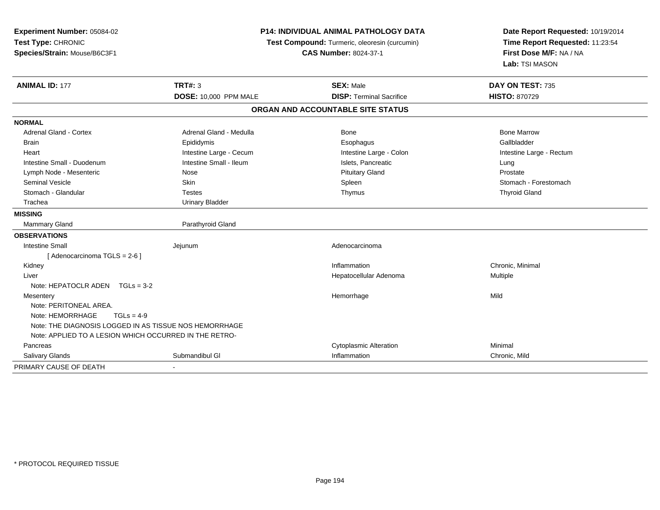| Experiment Number: 05084-02<br>Test Type: CHRONIC<br>Species/Strain: Mouse/B6C3F1 | P14: INDIVIDUAL ANIMAL PATHOLOGY DATA<br>Test Compound: Turmeric, oleoresin (curcumin)<br><b>CAS Number: 8024-37-1</b> |                                   | Date Report Requested: 10/19/2014<br>Time Report Requested: 11:23:54<br>First Dose M/F: NA / NA<br>Lab: TSI MASON |  |
|-----------------------------------------------------------------------------------|------------------------------------------------------------------------------------------------------------------------|-----------------------------------|-------------------------------------------------------------------------------------------------------------------|--|
| <b>ANIMAL ID: 177</b>                                                             | <b>TRT#: 3</b>                                                                                                         | <b>SEX: Male</b>                  | DAY ON TEST: 735                                                                                                  |  |
|                                                                                   | DOSE: 10,000 PPM MALE                                                                                                  | <b>DISP: Terminal Sacrifice</b>   | HISTO: 870729                                                                                                     |  |
|                                                                                   |                                                                                                                        | ORGAN AND ACCOUNTABLE SITE STATUS |                                                                                                                   |  |
| <b>NORMAL</b>                                                                     |                                                                                                                        |                                   |                                                                                                                   |  |
| <b>Adrenal Gland - Cortex</b>                                                     | Adrenal Gland - Medulla                                                                                                | Bone                              | <b>Bone Marrow</b>                                                                                                |  |
| <b>Brain</b>                                                                      | Epididymis                                                                                                             | Esophagus                         | Gallbladder                                                                                                       |  |
| Heart                                                                             | Intestine Large - Cecum                                                                                                | Intestine Large - Colon           | Intestine Large - Rectum                                                                                          |  |
| Intestine Small - Duodenum                                                        | Intestine Small - Ileum                                                                                                | Islets, Pancreatic                | Lung                                                                                                              |  |
| Lymph Node - Mesenteric                                                           | Nose                                                                                                                   | <b>Pituitary Gland</b>            | Prostate                                                                                                          |  |
| <b>Seminal Vesicle</b>                                                            | Skin                                                                                                                   | Spleen                            | Stomach - Forestomach                                                                                             |  |
| Stomach - Glandular                                                               | <b>Testes</b>                                                                                                          | Thymus                            | <b>Thyroid Gland</b>                                                                                              |  |
| Trachea                                                                           | <b>Urinary Bladder</b>                                                                                                 |                                   |                                                                                                                   |  |
| <b>MISSING</b>                                                                    |                                                                                                                        |                                   |                                                                                                                   |  |
| Mammary Gland                                                                     | Parathyroid Gland                                                                                                      |                                   |                                                                                                                   |  |
| <b>OBSERVATIONS</b>                                                               |                                                                                                                        |                                   |                                                                                                                   |  |
| <b>Intestine Small</b>                                                            | Jejunum                                                                                                                | Adenocarcinoma                    |                                                                                                                   |  |
| [ Adenocarcinoma TGLS = 2-6 ]                                                     |                                                                                                                        |                                   |                                                                                                                   |  |
| Kidney                                                                            |                                                                                                                        | Inflammation                      | Chronic. Minimal                                                                                                  |  |
| Liver                                                                             |                                                                                                                        | Hepatocellular Adenoma            | Multiple                                                                                                          |  |
| Note: HEPATOCLR ADEN TGLs = 3-2                                                   |                                                                                                                        |                                   |                                                                                                                   |  |
| Mesentery                                                                         |                                                                                                                        | Hemorrhage                        | Mild                                                                                                              |  |
| Note: PERITONEAL AREA.                                                            |                                                                                                                        |                                   |                                                                                                                   |  |
| Note: HEMORRHAGE<br>$TGLs = 4-9$                                                  |                                                                                                                        |                                   |                                                                                                                   |  |
| Note: THE DIAGNOSIS LOGGED IN AS TISSUE NOS HEMORRHAGE                            |                                                                                                                        |                                   |                                                                                                                   |  |
| Note: APPLIED TO A LESION WHICH OCCURRED IN THE RETRO-                            |                                                                                                                        |                                   |                                                                                                                   |  |
| Pancreas                                                                          |                                                                                                                        | <b>Cytoplasmic Alteration</b>     | Minimal                                                                                                           |  |
| Salivary Glands                                                                   | Submandibul GI                                                                                                         | Inflammation                      | Chronic, Mild                                                                                                     |  |
| PRIMARY CAUSE OF DEATH                                                            |                                                                                                                        |                                   |                                                                                                                   |  |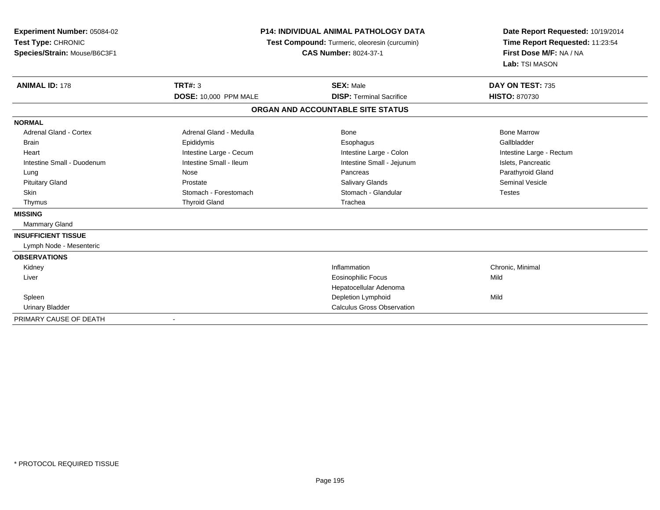| Experiment Number: 05084-02<br>Test Type: CHRONIC<br>Species/Strain: Mouse/B6C3F1<br><b>ANIMAL ID: 178</b> | <b>P14: INDIVIDUAL ANIMAL PATHOLOGY DATA</b><br>Test Compound: Turmeric, oleoresin (curcumin)<br><b>CAS Number: 8024-37-1</b><br><b>TRT#: 3</b> |                                                     | Date Report Requested: 10/19/2014<br>Time Report Requested: 11:23:54<br>First Dose M/F: NA / NA<br>Lab: TSI MASON<br>DAY ON TEST: 735 |  |
|------------------------------------------------------------------------------------------------------------|-------------------------------------------------------------------------------------------------------------------------------------------------|-----------------------------------------------------|---------------------------------------------------------------------------------------------------------------------------------------|--|
|                                                                                                            | DOSE: 10,000 PPM MALE                                                                                                                           | <b>SEX: Male</b><br><b>DISP: Terminal Sacrifice</b> | <b>HISTO: 870730</b>                                                                                                                  |  |
|                                                                                                            |                                                                                                                                                 | ORGAN AND ACCOUNTABLE SITE STATUS                   |                                                                                                                                       |  |
| <b>NORMAL</b>                                                                                              |                                                                                                                                                 |                                                     |                                                                                                                                       |  |
| <b>Adrenal Gland - Cortex</b>                                                                              | Adrenal Gland - Medulla                                                                                                                         | Bone                                                | <b>Bone Marrow</b>                                                                                                                    |  |
| <b>Brain</b>                                                                                               | Epididymis                                                                                                                                      | Esophagus                                           | Gallbladder                                                                                                                           |  |
| Heart                                                                                                      | Intestine Large - Cecum                                                                                                                         | Intestine Large - Colon                             | Intestine Large - Rectum                                                                                                              |  |
| Intestine Small - Duodenum                                                                                 | Intestine Small - Ileum                                                                                                                         | Intestine Small - Jejunum                           | Islets, Pancreatic                                                                                                                    |  |
| Lung                                                                                                       | Nose                                                                                                                                            | Pancreas                                            | Parathyroid Gland                                                                                                                     |  |
| <b>Pituitary Gland</b>                                                                                     | Prostate                                                                                                                                        | <b>Salivary Glands</b>                              | <b>Seminal Vesicle</b>                                                                                                                |  |
| <b>Skin</b>                                                                                                | Stomach - Forestomach                                                                                                                           | Stomach - Glandular                                 | <b>Testes</b>                                                                                                                         |  |
| Thymus                                                                                                     | <b>Thyroid Gland</b>                                                                                                                            | Trachea                                             |                                                                                                                                       |  |
| <b>MISSING</b>                                                                                             |                                                                                                                                                 |                                                     |                                                                                                                                       |  |
| Mammary Gland                                                                                              |                                                                                                                                                 |                                                     |                                                                                                                                       |  |
| <b>INSUFFICIENT TISSUE</b>                                                                                 |                                                                                                                                                 |                                                     |                                                                                                                                       |  |
| Lymph Node - Mesenteric                                                                                    |                                                                                                                                                 |                                                     |                                                                                                                                       |  |
| <b>OBSERVATIONS</b>                                                                                        |                                                                                                                                                 |                                                     |                                                                                                                                       |  |
| Kidney                                                                                                     |                                                                                                                                                 | Inflammation                                        | Chronic, Minimal                                                                                                                      |  |
| Liver                                                                                                      |                                                                                                                                                 | <b>Eosinophilic Focus</b>                           | Mild                                                                                                                                  |  |
|                                                                                                            |                                                                                                                                                 | Hepatocellular Adenoma                              |                                                                                                                                       |  |
| Spleen                                                                                                     |                                                                                                                                                 | Depletion Lymphoid                                  | Mild                                                                                                                                  |  |
| <b>Urinary Bladder</b>                                                                                     |                                                                                                                                                 | <b>Calculus Gross Observation</b>                   |                                                                                                                                       |  |
| PRIMARY CAUSE OF DEATH                                                                                     |                                                                                                                                                 |                                                     |                                                                                                                                       |  |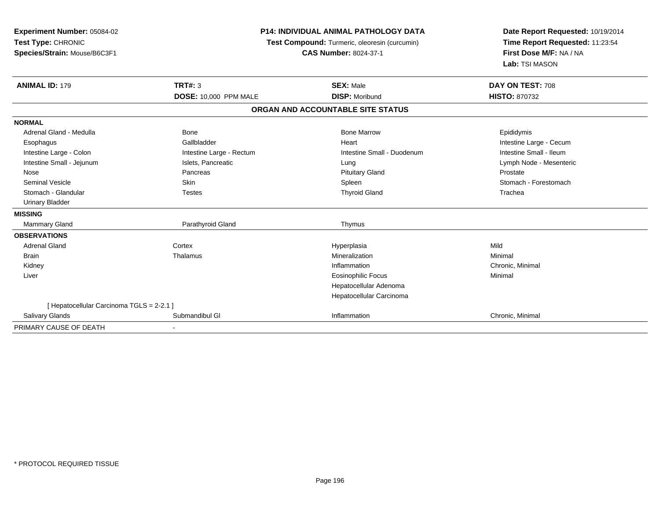| Experiment Number: 05084-02               |                              | <b>P14: INDIVIDUAL ANIMAL PATHOLOGY DATA</b>  | Date Report Requested: 10/19/2014                          |
|-------------------------------------------|------------------------------|-----------------------------------------------|------------------------------------------------------------|
| Test Type: CHRONIC                        |                              | Test Compound: Turmeric, oleoresin (curcumin) |                                                            |
| Species/Strain: Mouse/B6C3F1              |                              | <b>CAS Number: 8024-37-1</b>                  | Time Report Requested: 11:23:54<br>First Dose M/F: NA / NA |
|                                           |                              |                                               | Lab: TSI MASON                                             |
| <b>ANIMAL ID: 179</b>                     | <b>TRT#: 3</b>               | <b>SEX: Male</b>                              | DAY ON TEST: 708                                           |
|                                           | <b>DOSE: 10,000 PPM MALE</b> | <b>DISP: Moribund</b>                         | <b>HISTO: 870732</b>                                       |
|                                           |                              | ORGAN AND ACCOUNTABLE SITE STATUS             |                                                            |
| <b>NORMAL</b>                             |                              |                                               |                                                            |
| Adrenal Gland - Medulla                   | Bone                         | <b>Bone Marrow</b>                            | Epididymis                                                 |
| Esophagus                                 | Gallbladder                  | Heart                                         | Intestine Large - Cecum                                    |
| Intestine Large - Colon                   | Intestine Large - Rectum     | Intestine Small - Duodenum                    | Intestine Small - Ileum                                    |
| Intestine Small - Jejunum                 | Islets, Pancreatic           | Lung                                          | Lymph Node - Mesenteric                                    |
| Nose                                      | Pancreas                     | <b>Pituitary Gland</b>                        | Prostate                                                   |
| <b>Seminal Vesicle</b>                    | Skin                         | Spleen                                        | Stomach - Forestomach                                      |
| Stomach - Glandular                       | <b>Testes</b>                | <b>Thyroid Gland</b>                          | Trachea                                                    |
| <b>Urinary Bladder</b>                    |                              |                                               |                                                            |
| <b>MISSING</b>                            |                              |                                               |                                                            |
| <b>Mammary Gland</b>                      | Parathyroid Gland            | Thymus                                        |                                                            |
| <b>OBSERVATIONS</b>                       |                              |                                               |                                                            |
| <b>Adrenal Gland</b>                      | Cortex                       | Hyperplasia                                   | Mild                                                       |
| <b>Brain</b>                              | Thalamus                     | Mineralization                                | Minimal                                                    |
| Kidney                                    |                              | Inflammation                                  | Chronic, Minimal                                           |
| Liver                                     |                              | <b>Eosinophilic Focus</b>                     | Minimal                                                    |
|                                           |                              | Hepatocellular Adenoma                        |                                                            |
|                                           |                              | Hepatocellular Carcinoma                      |                                                            |
| [ Hepatocellular Carcinoma TGLS = 2-2.1 ] |                              |                                               |                                                            |
| Salivary Glands                           | Submandibul GI               | Inflammation                                  | Chronic, Minimal                                           |
| PRIMARY CAUSE OF DEATH                    |                              |                                               |                                                            |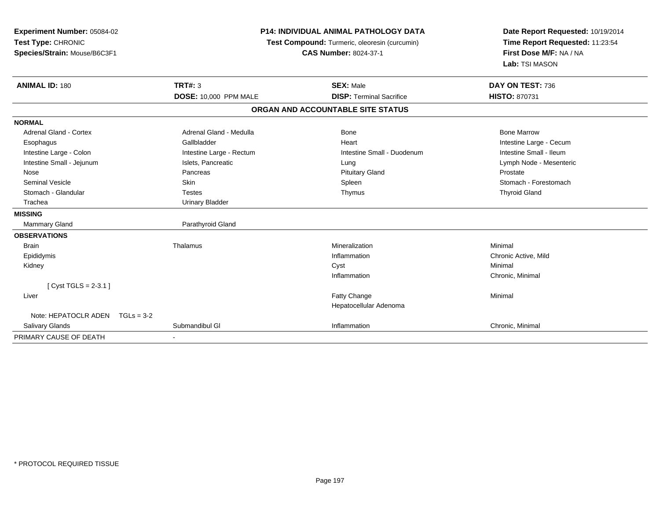| Experiment Number: 05084-02<br>Test Type: CHRONIC<br>Species/Strain: Mouse/B6C3F1 |                              | <b>P14: INDIVIDUAL ANIMAL PATHOLOGY DATA</b><br>Test Compound: Turmeric, oleoresin (curcumin)<br><b>CAS Number: 8024-37-1</b> | Date Report Requested: 10/19/2014<br>Time Report Requested: 11:23:54<br>First Dose M/F: NA / NA<br>Lab: TSI MASON |
|-----------------------------------------------------------------------------------|------------------------------|-------------------------------------------------------------------------------------------------------------------------------|-------------------------------------------------------------------------------------------------------------------|
| <b>ANIMAL ID: 180</b>                                                             | <b>TRT#: 3</b>               | <b>SEX: Male</b>                                                                                                              | DAY ON TEST: 736                                                                                                  |
|                                                                                   | <b>DOSE: 10,000 PPM MALE</b> | <b>DISP: Terminal Sacrifice</b>                                                                                               | <b>HISTO: 870731</b>                                                                                              |
|                                                                                   |                              | ORGAN AND ACCOUNTABLE SITE STATUS                                                                                             |                                                                                                                   |
| <b>NORMAL</b>                                                                     |                              |                                                                                                                               |                                                                                                                   |
| <b>Adrenal Gland - Cortex</b>                                                     | Adrenal Gland - Medulla      | Bone                                                                                                                          | <b>Bone Marrow</b>                                                                                                |
| Esophagus                                                                         | Gallbladder                  | Heart                                                                                                                         | Intestine Large - Cecum                                                                                           |
| Intestine Large - Colon                                                           | Intestine Large - Rectum     | Intestine Small - Duodenum                                                                                                    | Intestine Small - Ileum                                                                                           |
| Intestine Small - Jejunum                                                         | Islets, Pancreatic           | Lung                                                                                                                          | Lymph Node - Mesenteric                                                                                           |
| Nose                                                                              | Pancreas                     | <b>Pituitary Gland</b>                                                                                                        | Prostate                                                                                                          |
| <b>Seminal Vesicle</b>                                                            | Skin                         | Spleen                                                                                                                        | Stomach - Forestomach                                                                                             |
| Stomach - Glandular                                                               | <b>Testes</b>                | Thymus                                                                                                                        | <b>Thyroid Gland</b>                                                                                              |
| Trachea                                                                           | <b>Urinary Bladder</b>       |                                                                                                                               |                                                                                                                   |
| <b>MISSING</b>                                                                    |                              |                                                                                                                               |                                                                                                                   |
| <b>Mammary Gland</b>                                                              | Parathyroid Gland            |                                                                                                                               |                                                                                                                   |
| <b>OBSERVATIONS</b>                                                               |                              |                                                                                                                               |                                                                                                                   |
| <b>Brain</b>                                                                      | Thalamus                     | Mineralization                                                                                                                | Minimal                                                                                                           |
| Epididymis                                                                        |                              | Inflammation                                                                                                                  | Chronic Active, Mild                                                                                              |
| Kidney                                                                            |                              | Cyst                                                                                                                          | Minimal                                                                                                           |
|                                                                                   |                              | Inflammation                                                                                                                  | Chronic, Minimal                                                                                                  |
| [ $Cyst TGLS = 2-3.1$ ]                                                           |                              |                                                                                                                               |                                                                                                                   |
| Liver                                                                             |                              | Fatty Change                                                                                                                  | Minimal                                                                                                           |
|                                                                                   |                              | Hepatocellular Adenoma                                                                                                        |                                                                                                                   |
| Note: HEPATOCLR ADEN $TGLs = 3-2$                                                 |                              |                                                                                                                               |                                                                                                                   |
| <b>Salivary Glands</b>                                                            | Submandibul GI               | Inflammation                                                                                                                  | Chronic, Minimal                                                                                                  |
| PRIMARY CAUSE OF DEATH                                                            |                              |                                                                                                                               |                                                                                                                   |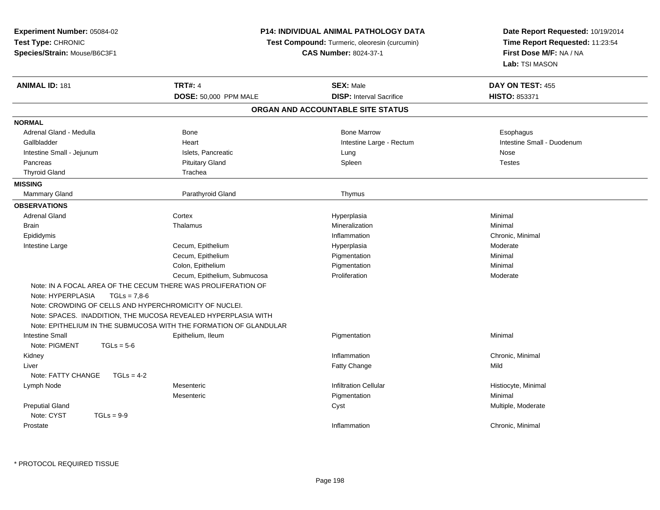| Test Type: CHRONIC<br>Time Report Requested: 11:23:54<br>Test Compound: Turmeric, oleoresin (curcumin)<br>First Dose M/F: NA / NA<br>Species/Strain: Mouse/B6C3F1<br><b>CAS Number: 8024-37-1</b><br>Lab: TSI MASON<br><b>TRT#: 4</b><br><b>ANIMAL ID: 181</b><br><b>SEX: Male</b><br>DAY ON TEST: 455<br>DOSE: 50,000 PPM MALE<br><b>DISP: Interval Sacrifice</b><br>HISTO: 853371<br>ORGAN AND ACCOUNTABLE SITE STATUS<br>Adrenal Gland - Medulla<br>Bone<br><b>Bone Marrow</b><br>Esophagus<br>Gallbladder<br>Heart<br>Intestine Large - Rectum<br>Intestine Small - Duodenum<br>Intestine Small - Jejunum<br>Islets, Pancreatic<br>Lung<br>Nose<br><b>Pituitary Gland</b><br>Spleen<br><b>Testes</b><br>Pancreas<br><b>Thyroid Gland</b><br>Trachea<br>Mammary Gland<br>Parathyroid Gland<br>Thymus<br><b>Adrenal Gland</b><br>Cortex<br>Minimal<br>Hyperplasia<br><b>Brain</b><br>Thalamus<br>Mineralization<br>Minimal<br>Epididymis<br>Inflammation<br>Chronic, Minimal<br>Cecum, Epithelium<br>Hyperplasia<br>Moderate<br>Intestine Large<br>Cecum, Epithelium<br>Pigmentation<br>Minimal<br>Colon, Epithelium<br>Pigmentation<br>Minimal<br>Cecum, Epithelium, Submucosa<br>Proliferation<br>Moderate<br>Note: IN A FOCAL AREA OF THE CECUM THERE WAS PROLIFERATION OF<br>Note: HYPERPLASIA<br>$TGLs = 7,8-6$<br>Note: CROWDING OF CELLS AND HYPERCHROMICITY OF NUCLEI.<br>Note: SPACES. INADDITION, THE MUCOSA REVEALED HYPERPLASIA WITH<br>Note: EPITHELIUM IN THE SUBMUCOSA WITH THE FORMATION OF GLANDULAR<br><b>Intestine Small</b><br>Minimal<br>Epithelium, Ileum<br>Pigmentation<br>Note: PIGMENT<br>$TGLs = 5-6$<br>Kidney<br>Inflammation<br>Chronic, Minimal<br><b>Fatty Change</b><br>Mild<br>Liver<br>Note: FATTY CHANGE<br>$TGLs = 4-2$<br>Mesenteric<br><b>Infiltration Cellular</b><br>Lymph Node<br>Histiocyte, Minimal<br>Mesenteric<br>Pigmentation<br>Minimal<br><b>Preputial Gland</b><br>Cyst<br>Multiple, Moderate<br>Note: CYST<br>$TGLs = 9-9$<br>Inflammation<br>Chronic, Minimal<br>Prostate | Experiment Number: 05084-02 |  | P14: INDIVIDUAL ANIMAL PATHOLOGY DATA | Date Report Requested: 10/19/2014 |
|----------------------------------------------------------------------------------------------------------------------------------------------------------------------------------------------------------------------------------------------------------------------------------------------------------------------------------------------------------------------------------------------------------------------------------------------------------------------------------------------------------------------------------------------------------------------------------------------------------------------------------------------------------------------------------------------------------------------------------------------------------------------------------------------------------------------------------------------------------------------------------------------------------------------------------------------------------------------------------------------------------------------------------------------------------------------------------------------------------------------------------------------------------------------------------------------------------------------------------------------------------------------------------------------------------------------------------------------------------------------------------------------------------------------------------------------------------------------------------------------------------------------------------------------------------------------------------------------------------------------------------------------------------------------------------------------------------------------------------------------------------------------------------------------------------------------------------------------------------------------------------------------------------------------------------------------------------------------------------------------------------------------------------|-----------------------------|--|---------------------------------------|-----------------------------------|
|                                                                                                                                                                                                                                                                                                                                                                                                                                                                                                                                                                                                                                                                                                                                                                                                                                                                                                                                                                                                                                                                                                                                                                                                                                                                                                                                                                                                                                                                                                                                                                                                                                                                                                                                                                                                                                                                                                                                                                                                                                  |                             |  |                                       |                                   |
|                                                                                                                                                                                                                                                                                                                                                                                                                                                                                                                                                                                                                                                                                                                                                                                                                                                                                                                                                                                                                                                                                                                                                                                                                                                                                                                                                                                                                                                                                                                                                                                                                                                                                                                                                                                                                                                                                                                                                                                                                                  |                             |  |                                       |                                   |
|                                                                                                                                                                                                                                                                                                                                                                                                                                                                                                                                                                                                                                                                                                                                                                                                                                                                                                                                                                                                                                                                                                                                                                                                                                                                                                                                                                                                                                                                                                                                                                                                                                                                                                                                                                                                                                                                                                                                                                                                                                  |                             |  |                                       |                                   |
|                                                                                                                                                                                                                                                                                                                                                                                                                                                                                                                                                                                                                                                                                                                                                                                                                                                                                                                                                                                                                                                                                                                                                                                                                                                                                                                                                                                                                                                                                                                                                                                                                                                                                                                                                                                                                                                                                                                                                                                                                                  |                             |  |                                       |                                   |
|                                                                                                                                                                                                                                                                                                                                                                                                                                                                                                                                                                                                                                                                                                                                                                                                                                                                                                                                                                                                                                                                                                                                                                                                                                                                                                                                                                                                                                                                                                                                                                                                                                                                                                                                                                                                                                                                                                                                                                                                                                  |                             |  |                                       |                                   |
|                                                                                                                                                                                                                                                                                                                                                                                                                                                                                                                                                                                                                                                                                                                                                                                                                                                                                                                                                                                                                                                                                                                                                                                                                                                                                                                                                                                                                                                                                                                                                                                                                                                                                                                                                                                                                                                                                                                                                                                                                                  |                             |  |                                       |                                   |
|                                                                                                                                                                                                                                                                                                                                                                                                                                                                                                                                                                                                                                                                                                                                                                                                                                                                                                                                                                                                                                                                                                                                                                                                                                                                                                                                                                                                                                                                                                                                                                                                                                                                                                                                                                                                                                                                                                                                                                                                                                  | <b>NORMAL</b>               |  |                                       |                                   |
|                                                                                                                                                                                                                                                                                                                                                                                                                                                                                                                                                                                                                                                                                                                                                                                                                                                                                                                                                                                                                                                                                                                                                                                                                                                                                                                                                                                                                                                                                                                                                                                                                                                                                                                                                                                                                                                                                                                                                                                                                                  |                             |  |                                       |                                   |
|                                                                                                                                                                                                                                                                                                                                                                                                                                                                                                                                                                                                                                                                                                                                                                                                                                                                                                                                                                                                                                                                                                                                                                                                                                                                                                                                                                                                                                                                                                                                                                                                                                                                                                                                                                                                                                                                                                                                                                                                                                  |                             |  |                                       |                                   |
|                                                                                                                                                                                                                                                                                                                                                                                                                                                                                                                                                                                                                                                                                                                                                                                                                                                                                                                                                                                                                                                                                                                                                                                                                                                                                                                                                                                                                                                                                                                                                                                                                                                                                                                                                                                                                                                                                                                                                                                                                                  |                             |  |                                       |                                   |
|                                                                                                                                                                                                                                                                                                                                                                                                                                                                                                                                                                                                                                                                                                                                                                                                                                                                                                                                                                                                                                                                                                                                                                                                                                                                                                                                                                                                                                                                                                                                                                                                                                                                                                                                                                                                                                                                                                                                                                                                                                  |                             |  |                                       |                                   |
|                                                                                                                                                                                                                                                                                                                                                                                                                                                                                                                                                                                                                                                                                                                                                                                                                                                                                                                                                                                                                                                                                                                                                                                                                                                                                                                                                                                                                                                                                                                                                                                                                                                                                                                                                                                                                                                                                                                                                                                                                                  |                             |  |                                       |                                   |
|                                                                                                                                                                                                                                                                                                                                                                                                                                                                                                                                                                                                                                                                                                                                                                                                                                                                                                                                                                                                                                                                                                                                                                                                                                                                                                                                                                                                                                                                                                                                                                                                                                                                                                                                                                                                                                                                                                                                                                                                                                  | <b>MISSING</b>              |  |                                       |                                   |
|                                                                                                                                                                                                                                                                                                                                                                                                                                                                                                                                                                                                                                                                                                                                                                                                                                                                                                                                                                                                                                                                                                                                                                                                                                                                                                                                                                                                                                                                                                                                                                                                                                                                                                                                                                                                                                                                                                                                                                                                                                  |                             |  |                                       |                                   |
|                                                                                                                                                                                                                                                                                                                                                                                                                                                                                                                                                                                                                                                                                                                                                                                                                                                                                                                                                                                                                                                                                                                                                                                                                                                                                                                                                                                                                                                                                                                                                                                                                                                                                                                                                                                                                                                                                                                                                                                                                                  | <b>OBSERVATIONS</b>         |  |                                       |                                   |
|                                                                                                                                                                                                                                                                                                                                                                                                                                                                                                                                                                                                                                                                                                                                                                                                                                                                                                                                                                                                                                                                                                                                                                                                                                                                                                                                                                                                                                                                                                                                                                                                                                                                                                                                                                                                                                                                                                                                                                                                                                  |                             |  |                                       |                                   |
|                                                                                                                                                                                                                                                                                                                                                                                                                                                                                                                                                                                                                                                                                                                                                                                                                                                                                                                                                                                                                                                                                                                                                                                                                                                                                                                                                                                                                                                                                                                                                                                                                                                                                                                                                                                                                                                                                                                                                                                                                                  |                             |  |                                       |                                   |
|                                                                                                                                                                                                                                                                                                                                                                                                                                                                                                                                                                                                                                                                                                                                                                                                                                                                                                                                                                                                                                                                                                                                                                                                                                                                                                                                                                                                                                                                                                                                                                                                                                                                                                                                                                                                                                                                                                                                                                                                                                  |                             |  |                                       |                                   |
|                                                                                                                                                                                                                                                                                                                                                                                                                                                                                                                                                                                                                                                                                                                                                                                                                                                                                                                                                                                                                                                                                                                                                                                                                                                                                                                                                                                                                                                                                                                                                                                                                                                                                                                                                                                                                                                                                                                                                                                                                                  |                             |  |                                       |                                   |
|                                                                                                                                                                                                                                                                                                                                                                                                                                                                                                                                                                                                                                                                                                                                                                                                                                                                                                                                                                                                                                                                                                                                                                                                                                                                                                                                                                                                                                                                                                                                                                                                                                                                                                                                                                                                                                                                                                                                                                                                                                  |                             |  |                                       |                                   |
|                                                                                                                                                                                                                                                                                                                                                                                                                                                                                                                                                                                                                                                                                                                                                                                                                                                                                                                                                                                                                                                                                                                                                                                                                                                                                                                                                                                                                                                                                                                                                                                                                                                                                                                                                                                                                                                                                                                                                                                                                                  |                             |  |                                       |                                   |
|                                                                                                                                                                                                                                                                                                                                                                                                                                                                                                                                                                                                                                                                                                                                                                                                                                                                                                                                                                                                                                                                                                                                                                                                                                                                                                                                                                                                                                                                                                                                                                                                                                                                                                                                                                                                                                                                                                                                                                                                                                  |                             |  |                                       |                                   |
|                                                                                                                                                                                                                                                                                                                                                                                                                                                                                                                                                                                                                                                                                                                                                                                                                                                                                                                                                                                                                                                                                                                                                                                                                                                                                                                                                                                                                                                                                                                                                                                                                                                                                                                                                                                                                                                                                                                                                                                                                                  |                             |  |                                       |                                   |
|                                                                                                                                                                                                                                                                                                                                                                                                                                                                                                                                                                                                                                                                                                                                                                                                                                                                                                                                                                                                                                                                                                                                                                                                                                                                                                                                                                                                                                                                                                                                                                                                                                                                                                                                                                                                                                                                                                                                                                                                                                  |                             |  |                                       |                                   |
|                                                                                                                                                                                                                                                                                                                                                                                                                                                                                                                                                                                                                                                                                                                                                                                                                                                                                                                                                                                                                                                                                                                                                                                                                                                                                                                                                                                                                                                                                                                                                                                                                                                                                                                                                                                                                                                                                                                                                                                                                                  |                             |  |                                       |                                   |
|                                                                                                                                                                                                                                                                                                                                                                                                                                                                                                                                                                                                                                                                                                                                                                                                                                                                                                                                                                                                                                                                                                                                                                                                                                                                                                                                                                                                                                                                                                                                                                                                                                                                                                                                                                                                                                                                                                                                                                                                                                  |                             |  |                                       |                                   |
|                                                                                                                                                                                                                                                                                                                                                                                                                                                                                                                                                                                                                                                                                                                                                                                                                                                                                                                                                                                                                                                                                                                                                                                                                                                                                                                                                                                                                                                                                                                                                                                                                                                                                                                                                                                                                                                                                                                                                                                                                                  |                             |  |                                       |                                   |
|                                                                                                                                                                                                                                                                                                                                                                                                                                                                                                                                                                                                                                                                                                                                                                                                                                                                                                                                                                                                                                                                                                                                                                                                                                                                                                                                                                                                                                                                                                                                                                                                                                                                                                                                                                                                                                                                                                                                                                                                                                  |                             |  |                                       |                                   |
|                                                                                                                                                                                                                                                                                                                                                                                                                                                                                                                                                                                                                                                                                                                                                                                                                                                                                                                                                                                                                                                                                                                                                                                                                                                                                                                                                                                                                                                                                                                                                                                                                                                                                                                                                                                                                                                                                                                                                                                                                                  |                             |  |                                       |                                   |
|                                                                                                                                                                                                                                                                                                                                                                                                                                                                                                                                                                                                                                                                                                                                                                                                                                                                                                                                                                                                                                                                                                                                                                                                                                                                                                                                                                                                                                                                                                                                                                                                                                                                                                                                                                                                                                                                                                                                                                                                                                  |                             |  |                                       |                                   |
|                                                                                                                                                                                                                                                                                                                                                                                                                                                                                                                                                                                                                                                                                                                                                                                                                                                                                                                                                                                                                                                                                                                                                                                                                                                                                                                                                                                                                                                                                                                                                                                                                                                                                                                                                                                                                                                                                                                                                                                                                                  |                             |  |                                       |                                   |
|                                                                                                                                                                                                                                                                                                                                                                                                                                                                                                                                                                                                                                                                                                                                                                                                                                                                                                                                                                                                                                                                                                                                                                                                                                                                                                                                                                                                                                                                                                                                                                                                                                                                                                                                                                                                                                                                                                                                                                                                                                  |                             |  |                                       |                                   |
|                                                                                                                                                                                                                                                                                                                                                                                                                                                                                                                                                                                                                                                                                                                                                                                                                                                                                                                                                                                                                                                                                                                                                                                                                                                                                                                                                                                                                                                                                                                                                                                                                                                                                                                                                                                                                                                                                                                                                                                                                                  |                             |  |                                       |                                   |
|                                                                                                                                                                                                                                                                                                                                                                                                                                                                                                                                                                                                                                                                                                                                                                                                                                                                                                                                                                                                                                                                                                                                                                                                                                                                                                                                                                                                                                                                                                                                                                                                                                                                                                                                                                                                                                                                                                                                                                                                                                  |                             |  |                                       |                                   |
|                                                                                                                                                                                                                                                                                                                                                                                                                                                                                                                                                                                                                                                                                                                                                                                                                                                                                                                                                                                                                                                                                                                                                                                                                                                                                                                                                                                                                                                                                                                                                                                                                                                                                                                                                                                                                                                                                                                                                                                                                                  |                             |  |                                       |                                   |
|                                                                                                                                                                                                                                                                                                                                                                                                                                                                                                                                                                                                                                                                                                                                                                                                                                                                                                                                                                                                                                                                                                                                                                                                                                                                                                                                                                                                                                                                                                                                                                                                                                                                                                                                                                                                                                                                                                                                                                                                                                  |                             |  |                                       |                                   |
|                                                                                                                                                                                                                                                                                                                                                                                                                                                                                                                                                                                                                                                                                                                                                                                                                                                                                                                                                                                                                                                                                                                                                                                                                                                                                                                                                                                                                                                                                                                                                                                                                                                                                                                                                                                                                                                                                                                                                                                                                                  |                             |  |                                       |                                   |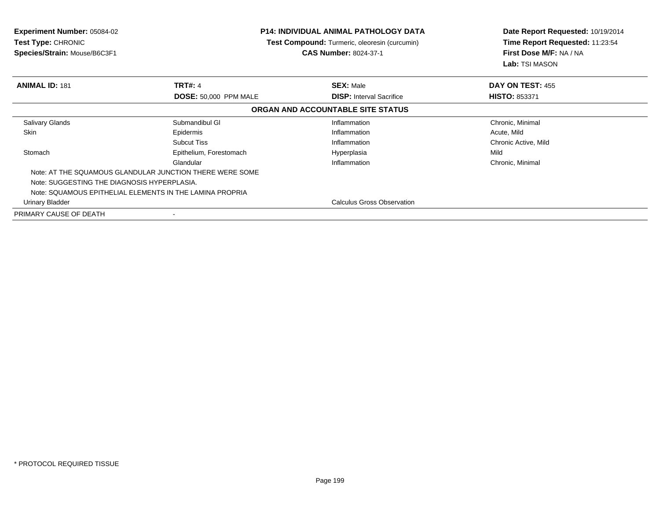| <b>Experiment Number: 05084-02</b><br><b>Test Type: CHRONIC</b><br>Species/Strain: Mouse/B6C3F1 |                                   | <b>P14: INDIVIDUAL ANIMAL PATHOLOGY DATA</b><br>Test Compound: Turmeric, oleoresin (curcumin)<br><b>CAS Number: 8024-37-1</b> | Date Report Requested: 10/19/2014<br>Time Report Requested: 11:23:54<br>First Dose M/F: NA / NA<br>Lab: TSI MASON |
|-------------------------------------------------------------------------------------------------|-----------------------------------|-------------------------------------------------------------------------------------------------------------------------------|-------------------------------------------------------------------------------------------------------------------|
| <b>ANIMAL ID: 181</b>                                                                           | <b>TRT#: 4</b>                    | <b>SEX: Male</b>                                                                                                              | DAY ON TEST: 455                                                                                                  |
|                                                                                                 | <b>DOSE: 50,000 PPM MALE</b>      | <b>DISP:</b> Interval Sacrifice                                                                                               | <b>HISTO: 853371</b>                                                                                              |
|                                                                                                 |                                   | ORGAN AND ACCOUNTABLE SITE STATUS                                                                                             |                                                                                                                   |
| <b>Salivary Glands</b>                                                                          | Submandibul GI                    | Inflammation                                                                                                                  | Chronic, Minimal                                                                                                  |
| Skin                                                                                            | Epidermis                         | Inflammation                                                                                                                  | Acute, Mild                                                                                                       |
|                                                                                                 | <b>Subcut Tiss</b>                | Inflammation                                                                                                                  | Chronic Active, Mild                                                                                              |
| Stomach                                                                                         | Epithelium, Forestomach           | Hyperplasia                                                                                                                   | Mild                                                                                                              |
|                                                                                                 | Glandular                         | Inflammation                                                                                                                  | Chronic, Minimal                                                                                                  |
| Note: AT THE SQUAMOUS GLANDULAR JUNCTION THERE WERE SOME                                        |                                   |                                                                                                                               |                                                                                                                   |
| Note: SUGGESTING THE DIAGNOSIS HYPERPLASIA.                                                     |                                   |                                                                                                                               |                                                                                                                   |
| Note: SQUAMOUS EPITHELIAL ELEMENTS IN THE LAMINA PROPRIA                                        |                                   |                                                                                                                               |                                                                                                                   |
| Urinary Bladder                                                                                 | <b>Calculus Gross Observation</b> |                                                                                                                               |                                                                                                                   |
| PRIMARY CAUSE OF DEATH                                                                          |                                   |                                                                                                                               |                                                                                                                   |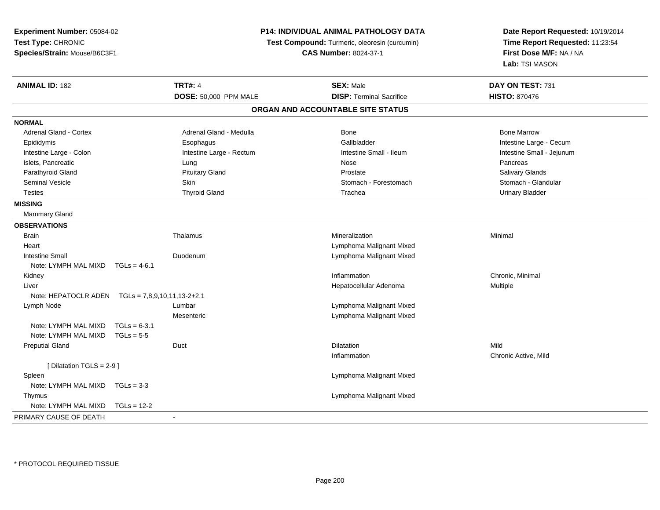| Experiment Number: 05084-02<br>Test Type: CHRONIC |                          |                              | P14: INDIVIDUAL ANIMAL PATHOLOGY DATA<br>Test Compound: Turmeric, oleoresin (curcumin) | Date Report Requested: 10/19/2014<br>Time Report Requested: 11:23:54 |
|---------------------------------------------------|--------------------------|------------------------------|----------------------------------------------------------------------------------------|----------------------------------------------------------------------|
| Species/Strain: Mouse/B6C3F1                      |                          | <b>CAS Number: 8024-37-1</b> |                                                                                        | First Dose M/F: NA / NA<br>Lab: TSI MASON                            |
| <b>ANIMAL ID: 182</b>                             | <b>TRT#: 4</b>           |                              | <b>SEX: Male</b>                                                                       | DAY ON TEST: 731                                                     |
|                                                   | DOSE: 50,000 PPM MALE    |                              | <b>DISP: Terminal Sacrifice</b>                                                        | <b>HISTO: 870476</b>                                                 |
|                                                   |                          |                              | ORGAN AND ACCOUNTABLE SITE STATUS                                                      |                                                                      |
| <b>NORMAL</b>                                     |                          |                              |                                                                                        |                                                                      |
| Adrenal Gland - Cortex                            | Adrenal Gland - Medulla  |                              | <b>Bone</b>                                                                            | <b>Bone Marrow</b>                                                   |
| Epididymis                                        | Esophagus                |                              | Gallbladder                                                                            | Intestine Large - Cecum                                              |
| Intestine Large - Colon                           | Intestine Large - Rectum |                              | Intestine Small - Ileum                                                                | Intestine Small - Jejunum                                            |
| Islets, Pancreatic                                | Lung                     |                              | Nose                                                                                   | Pancreas                                                             |
| Parathyroid Gland                                 | <b>Pituitary Gland</b>   |                              | Prostate                                                                               | <b>Salivary Glands</b>                                               |
| <b>Seminal Vesicle</b>                            | <b>Skin</b>              |                              | Stomach - Forestomach                                                                  | Stomach - Glandular                                                  |
| <b>Testes</b>                                     | <b>Thyroid Gland</b>     |                              | Trachea                                                                                | <b>Urinary Bladder</b>                                               |
| <b>MISSING</b>                                    |                          |                              |                                                                                        |                                                                      |
| Mammary Gland                                     |                          |                              |                                                                                        |                                                                      |
| <b>OBSERVATIONS</b>                               |                          |                              |                                                                                        |                                                                      |
| <b>Brain</b>                                      | Thalamus                 |                              | Mineralization                                                                         | Minimal                                                              |
| Heart                                             |                          |                              | Lymphoma Malignant Mixed                                                               |                                                                      |
| <b>Intestine Small</b>                            | Duodenum                 |                              | Lymphoma Malignant Mixed                                                               |                                                                      |
| Note: LYMPH MAL MIXD                              | $TGLs = 4-6.1$           |                              |                                                                                        |                                                                      |
| Kidney                                            |                          |                              | Inflammation                                                                           | Chronic, Minimal                                                     |
| Liver                                             |                          |                              | Hepatocellular Adenoma                                                                 | Multiple                                                             |
|                                                   |                          |                              |                                                                                        |                                                                      |
| Lymph Node                                        | Lumbar                   |                              | Lymphoma Malignant Mixed                                                               |                                                                      |
|                                                   | Mesenteric               |                              | Lymphoma Malignant Mixed                                                               |                                                                      |
| Note: LYMPH MAL MIXD                              | $TGLs = 6-3.1$           |                              |                                                                                        |                                                                      |
| Note: LYMPH MAL MIXD                              | $TGLs = 5-5$             |                              |                                                                                        |                                                                      |
| <b>Preputial Gland</b>                            | Duct                     |                              | Dilatation                                                                             | Mild                                                                 |
|                                                   |                          |                              | Inflammation                                                                           | Chronic Active, Mild                                                 |
| [Dilatation TGLS = 2-9]                           |                          |                              |                                                                                        |                                                                      |
| Spleen                                            |                          |                              | Lymphoma Malignant Mixed                                                               |                                                                      |
| Note: LYMPH MAL MIXD                              | $TGLs = 3-3$             |                              |                                                                                        |                                                                      |
| Thymus                                            |                          |                              | Lymphoma Malignant Mixed                                                               |                                                                      |
| Note: LYMPH MAL MIXD                              | $TGLS = 12-2$            |                              |                                                                                        |                                                                      |
| PRIMARY CAUSE OF DEATH                            |                          |                              |                                                                                        |                                                                      |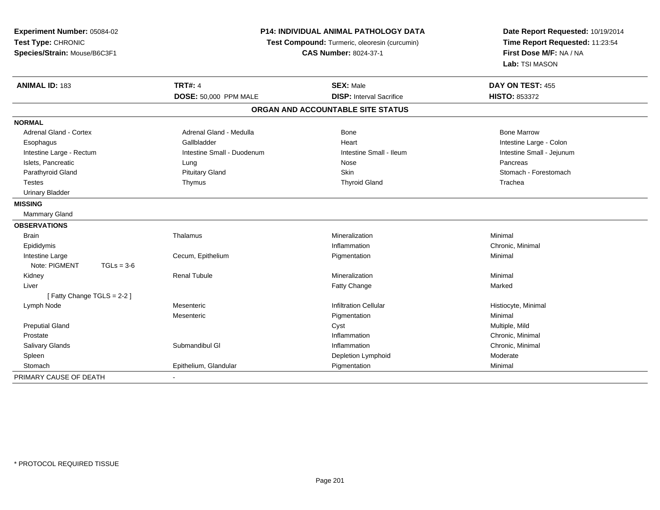| Experiment Number: 05084-02<br>Test Type: CHRONIC<br>Species/Strain: Mouse/B6C3F1 | <b>P14: INDIVIDUAL ANIMAL PATHOLOGY DATA</b><br>Test Compound: Turmeric, oleoresin (curcumin)<br><b>CAS Number: 8024-37-1</b> |                                   | Date Report Requested: 10/19/2014<br>Time Report Requested: 11:23:54<br>First Dose M/F: NA / NA<br>Lab: TSI MASON |
|-----------------------------------------------------------------------------------|-------------------------------------------------------------------------------------------------------------------------------|-----------------------------------|-------------------------------------------------------------------------------------------------------------------|
| <b>ANIMAL ID: 183</b>                                                             | <b>TRT#: 4</b>                                                                                                                | <b>SEX: Male</b>                  | DAY ON TEST: 455                                                                                                  |
|                                                                                   | DOSE: 50,000 PPM MALE                                                                                                         | <b>DISP: Interval Sacrifice</b>   | HISTO: 853372                                                                                                     |
|                                                                                   |                                                                                                                               | ORGAN AND ACCOUNTABLE SITE STATUS |                                                                                                                   |
| <b>NORMAL</b>                                                                     |                                                                                                                               |                                   |                                                                                                                   |
| <b>Adrenal Gland - Cortex</b>                                                     | Adrenal Gland - Medulla                                                                                                       | Bone                              | <b>Bone Marrow</b>                                                                                                |
| Esophagus                                                                         | Gallbladder                                                                                                                   | Heart                             | Intestine Large - Colon                                                                                           |
| Intestine Large - Rectum                                                          | Intestine Small - Duodenum                                                                                                    | Intestine Small - Ileum           | Intestine Small - Jejunum                                                                                         |
| Islets, Pancreatic                                                                | Lung                                                                                                                          | Nose                              | Pancreas                                                                                                          |
| Parathyroid Gland                                                                 | <b>Pituitary Gland</b>                                                                                                        | <b>Skin</b>                       | Stomach - Forestomach                                                                                             |
| <b>Testes</b>                                                                     | Thymus                                                                                                                        | <b>Thyroid Gland</b>              | Trachea                                                                                                           |
| <b>Urinary Bladder</b>                                                            |                                                                                                                               |                                   |                                                                                                                   |
| <b>MISSING</b>                                                                    |                                                                                                                               |                                   |                                                                                                                   |
| Mammary Gland                                                                     |                                                                                                                               |                                   |                                                                                                                   |
| <b>OBSERVATIONS</b>                                                               |                                                                                                                               |                                   |                                                                                                                   |
| Brain                                                                             | Thalamus                                                                                                                      | Mineralization                    | Minimal                                                                                                           |
| Epididymis                                                                        |                                                                                                                               | Inflammation                      | Chronic, Minimal                                                                                                  |
| Intestine Large                                                                   | Cecum, Epithelium                                                                                                             | Pigmentation                      | Minimal                                                                                                           |
| Note: PIGMENT<br>$TGLs = 3-6$                                                     |                                                                                                                               |                                   |                                                                                                                   |
| Kidney                                                                            | <b>Renal Tubule</b>                                                                                                           | Mineralization                    | Minimal                                                                                                           |
| Liver                                                                             |                                                                                                                               | Fatty Change                      | Marked                                                                                                            |
| [Fatty Change TGLS = 2-2]                                                         |                                                                                                                               |                                   |                                                                                                                   |
| Lymph Node                                                                        | Mesenteric                                                                                                                    | <b>Infiltration Cellular</b>      | Histiocyte, Minimal                                                                                               |
|                                                                                   | Mesenteric                                                                                                                    | Pigmentation                      | Minimal                                                                                                           |
| <b>Preputial Gland</b>                                                            |                                                                                                                               | Cyst                              | Multiple, Mild                                                                                                    |
| Prostate                                                                          |                                                                                                                               | Inflammation                      | Chronic, Minimal                                                                                                  |
| Salivary Glands                                                                   | Submandibul GI                                                                                                                | Inflammation                      | Chronic, Minimal                                                                                                  |
| Spleen                                                                            |                                                                                                                               | Depletion Lymphoid                | Moderate                                                                                                          |
| Stomach                                                                           | Epithelium, Glandular                                                                                                         | Pigmentation                      | Minimal                                                                                                           |
| PRIMARY CAUSE OF DEATH                                                            |                                                                                                                               |                                   |                                                                                                                   |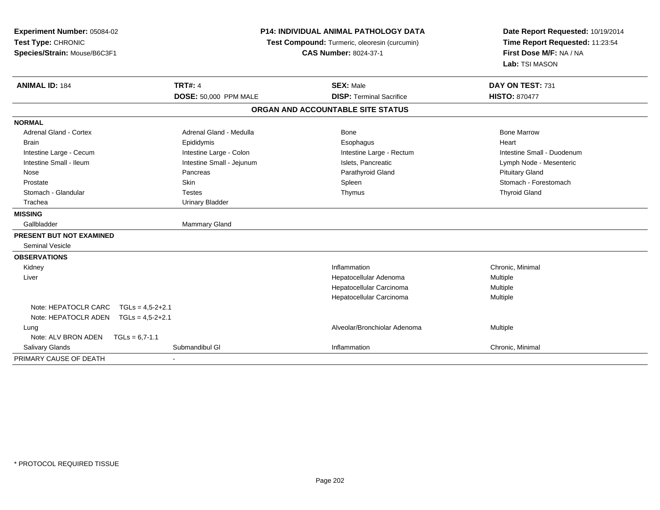| Experiment Number: 05084-02<br>Test Type: CHRONIC<br>Species/Strain: Mouse/B6C3F1 | <b>P14: INDIVIDUAL ANIMAL PATHOLOGY DATA</b><br>Test Compound: Turmeric, oleoresin (curcumin)<br><b>CAS Number: 8024-37-1</b> |                                   | Date Report Requested: 10/19/2014<br>Time Report Requested: 11:23:54<br>First Dose M/F: NA / NA<br>Lab: TSI MASON |  |
|-----------------------------------------------------------------------------------|-------------------------------------------------------------------------------------------------------------------------------|-----------------------------------|-------------------------------------------------------------------------------------------------------------------|--|
| <b>ANIMAL ID: 184</b>                                                             | <b>TRT#: 4</b>                                                                                                                | <b>SEX: Male</b>                  | DAY ON TEST: 731                                                                                                  |  |
|                                                                                   | <b>DOSE: 50,000 PPM MALE</b>                                                                                                  | <b>DISP: Terminal Sacrifice</b>   | <b>HISTO: 870477</b>                                                                                              |  |
|                                                                                   |                                                                                                                               | ORGAN AND ACCOUNTABLE SITE STATUS |                                                                                                                   |  |
| <b>NORMAL</b>                                                                     |                                                                                                                               |                                   |                                                                                                                   |  |
| <b>Adrenal Gland - Cortex</b>                                                     | Adrenal Gland - Medulla                                                                                                       | Bone                              | <b>Bone Marrow</b>                                                                                                |  |
| <b>Brain</b>                                                                      | Epididymis                                                                                                                    | Esophagus                         | Heart                                                                                                             |  |
| Intestine Large - Cecum                                                           | Intestine Large - Colon                                                                                                       | Intestine Large - Rectum          | Intestine Small - Duodenum                                                                                        |  |
| Intestine Small - Ileum                                                           | Intestine Small - Jejunum                                                                                                     | Islets, Pancreatic                | Lymph Node - Mesenteric                                                                                           |  |
| Nose                                                                              | Pancreas                                                                                                                      | Parathyroid Gland                 | <b>Pituitary Gland</b>                                                                                            |  |
| Prostate                                                                          | Skin                                                                                                                          | Spleen                            | Stomach - Forestomach                                                                                             |  |
| Stomach - Glandular                                                               | Testes                                                                                                                        | Thymus                            | <b>Thyroid Gland</b>                                                                                              |  |
| Trachea                                                                           | <b>Urinary Bladder</b>                                                                                                        |                                   |                                                                                                                   |  |
| <b>MISSING</b>                                                                    |                                                                                                                               |                                   |                                                                                                                   |  |
| Gallbladder                                                                       | <b>Mammary Gland</b>                                                                                                          |                                   |                                                                                                                   |  |
| PRESENT BUT NOT EXAMINED                                                          |                                                                                                                               |                                   |                                                                                                                   |  |
| <b>Seminal Vesicle</b>                                                            |                                                                                                                               |                                   |                                                                                                                   |  |
| <b>OBSERVATIONS</b>                                                               |                                                                                                                               |                                   |                                                                                                                   |  |
| Kidney                                                                            |                                                                                                                               | Inflammation                      | Chronic, Minimal                                                                                                  |  |
| Liver                                                                             |                                                                                                                               | Hepatocellular Adenoma            | Multiple                                                                                                          |  |
|                                                                                   |                                                                                                                               | Hepatocellular Carcinoma          | Multiple                                                                                                          |  |
|                                                                                   |                                                                                                                               | Hepatocellular Carcinoma          | Multiple                                                                                                          |  |
| Note: HEPATOCLR CARC<br>$TGLs = 4.5 - 2 + 2.1$                                    |                                                                                                                               |                                   |                                                                                                                   |  |
| Note: HEPATOCLR ADEN<br>$TGLs = 4.5-2+2.1$                                        |                                                                                                                               |                                   |                                                                                                                   |  |
| Lung                                                                              |                                                                                                                               | Alveolar/Bronchiolar Adenoma      | Multiple                                                                                                          |  |
| Note: ALV BRON ADEN<br>$TGLs = 6.7 - 1.1$                                         |                                                                                                                               |                                   |                                                                                                                   |  |
| <b>Salivary Glands</b>                                                            | Submandibul GI                                                                                                                | Inflammation                      | Chronic, Minimal                                                                                                  |  |
| PRIMARY CAUSE OF DEATH                                                            | $\sim$                                                                                                                        |                                   |                                                                                                                   |  |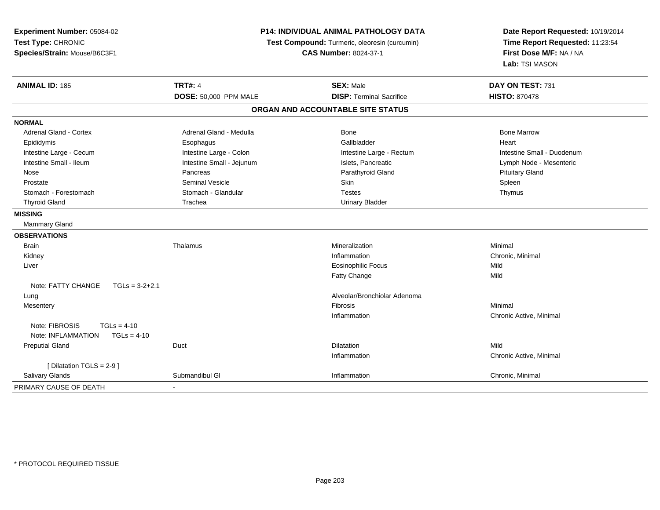| Experiment Number: 05084-02<br>Test Type: CHRONIC<br>Species/Strain: Mouse/B6C3F1 | P14: INDIVIDUAL ANIMAL PATHOLOGY DATA<br>Test Compound: Turmeric, oleoresin (curcumin)<br><b>CAS Number: 8024-37-1</b> |                                   | Date Report Requested: 10/19/2014<br>Time Report Requested: 11:23:54<br>First Dose M/F: NA / NA<br>Lab: TSI MASON |  |
|-----------------------------------------------------------------------------------|------------------------------------------------------------------------------------------------------------------------|-----------------------------------|-------------------------------------------------------------------------------------------------------------------|--|
| <b>ANIMAL ID: 185</b>                                                             | <b>TRT#: 4</b>                                                                                                         | <b>SEX: Male</b>                  | DAY ON TEST: 731                                                                                                  |  |
|                                                                                   | <b>DOSE: 50,000 PPM MALE</b>                                                                                           | <b>DISP: Terminal Sacrifice</b>   | <b>HISTO: 870478</b>                                                                                              |  |
|                                                                                   |                                                                                                                        | ORGAN AND ACCOUNTABLE SITE STATUS |                                                                                                                   |  |
| <b>NORMAL</b>                                                                     |                                                                                                                        |                                   |                                                                                                                   |  |
| Adrenal Gland - Cortex                                                            | Adrenal Gland - Medulla                                                                                                | <b>Bone</b>                       | <b>Bone Marrow</b>                                                                                                |  |
| Epididymis                                                                        | Esophagus                                                                                                              | Gallbladder                       | Heart                                                                                                             |  |
| Intestine Large - Cecum                                                           | Intestine Large - Colon                                                                                                | Intestine Large - Rectum          | Intestine Small - Duodenum                                                                                        |  |
| Intestine Small - Ileum                                                           | Intestine Small - Jejunum                                                                                              | Islets, Pancreatic                | Lymph Node - Mesenteric                                                                                           |  |
| Nose                                                                              | Pancreas                                                                                                               | Parathyroid Gland                 | <b>Pituitary Gland</b>                                                                                            |  |
| Prostate                                                                          | <b>Seminal Vesicle</b>                                                                                                 | Skin                              | Spleen                                                                                                            |  |
| Stomach - Forestomach                                                             | Stomach - Glandular                                                                                                    | <b>Testes</b>                     | Thymus                                                                                                            |  |
| <b>Thyroid Gland</b>                                                              | Trachea                                                                                                                | <b>Urinary Bladder</b>            |                                                                                                                   |  |
| <b>MISSING</b>                                                                    |                                                                                                                        |                                   |                                                                                                                   |  |
| <b>Mammary Gland</b>                                                              |                                                                                                                        |                                   |                                                                                                                   |  |
| <b>OBSERVATIONS</b>                                                               |                                                                                                                        |                                   |                                                                                                                   |  |
| Brain                                                                             | Thalamus                                                                                                               | Mineralization                    | Minimal                                                                                                           |  |
| Kidney                                                                            |                                                                                                                        | Inflammation                      | Chronic, Minimal                                                                                                  |  |
| Liver                                                                             |                                                                                                                        | <b>Eosinophilic Focus</b>         | Mild                                                                                                              |  |
|                                                                                   |                                                                                                                        | Fatty Change                      | Mild                                                                                                              |  |
| Note: FATTY CHANGE<br>$TGLs = 3-2+2.1$                                            |                                                                                                                        |                                   |                                                                                                                   |  |
| Lung                                                                              |                                                                                                                        | Alveolar/Bronchiolar Adenoma      |                                                                                                                   |  |
| Mesentery                                                                         |                                                                                                                        | Fibrosis                          | Minimal                                                                                                           |  |
|                                                                                   |                                                                                                                        | Inflammation                      | Chronic Active, Minimal                                                                                           |  |
| Note: FIBROSIS<br>$TGLs = 4-10$                                                   |                                                                                                                        |                                   |                                                                                                                   |  |
| Note: INFLAMMATION<br>$TGLs = 4-10$                                               |                                                                                                                        |                                   |                                                                                                                   |  |
| <b>Preputial Gland</b>                                                            | Duct                                                                                                                   | <b>Dilatation</b>                 | Mild                                                                                                              |  |
|                                                                                   |                                                                                                                        | Inflammation                      | Chronic Active, Minimal                                                                                           |  |
| [ Dilatation TGLS = $2-9$ ]                                                       |                                                                                                                        |                                   |                                                                                                                   |  |
| Salivary Glands                                                                   | Submandibul GI                                                                                                         | Inflammation                      | Chronic, Minimal                                                                                                  |  |
| PRIMARY CAUSE OF DEATH                                                            |                                                                                                                        |                                   |                                                                                                                   |  |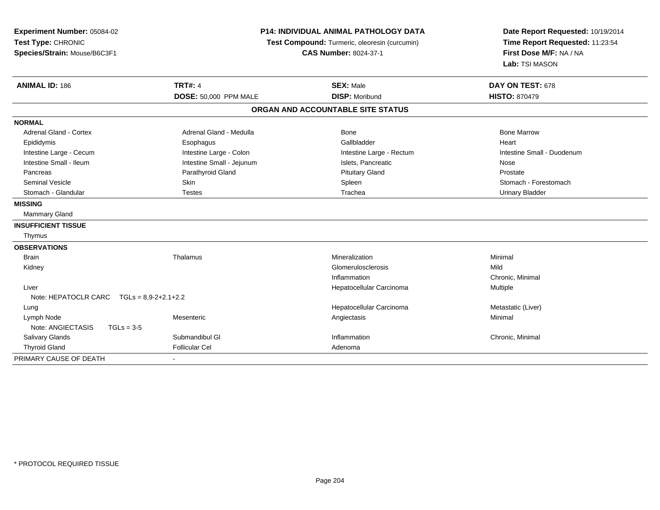| Experiment Number: 05084-02<br>Test Type: CHRONIC<br>Species/Strain: Mouse/B6C3F1 |              | P14: INDIVIDUAL ANIMAL PATHOLOGY DATA<br>Test Compound: Turmeric, oleoresin (curcumin)<br><b>CAS Number: 8024-37-1</b> |                                                | Date Report Requested: 10/19/2014<br>Time Report Requested: 11:23:54<br>First Dose M/F: NA / NA<br>Lab: TSI MASON |  |
|-----------------------------------------------------------------------------------|--------------|------------------------------------------------------------------------------------------------------------------------|------------------------------------------------|-------------------------------------------------------------------------------------------------------------------|--|
| <b>ANIMAL ID: 186</b>                                                             |              | <b>TRT#: 4</b><br>DOSE: 50,000 PPM MALE                                                                                | <b>SEX: Male</b><br><b>DISP: Moribund</b>      | DAY ON TEST: 678<br><b>HISTO: 870479</b>                                                                          |  |
|                                                                                   |              |                                                                                                                        | ORGAN AND ACCOUNTABLE SITE STATUS              |                                                                                                                   |  |
|                                                                                   |              |                                                                                                                        |                                                |                                                                                                                   |  |
| <b>NORMAL</b>                                                                     |              |                                                                                                                        |                                                |                                                                                                                   |  |
| <b>Adrenal Gland - Cortex</b>                                                     |              | Adrenal Gland - Medulla                                                                                                | Bone                                           | <b>Bone Marrow</b>                                                                                                |  |
| Epididymis                                                                        |              | Esophagus                                                                                                              | Gallbladder                                    | Heart                                                                                                             |  |
| Intestine Large - Cecum<br>Intestine Small - Ileum                                |              | Intestine Large - Colon                                                                                                | Intestine Large - Rectum<br>Islets, Pancreatic | Intestine Small - Duodenum                                                                                        |  |
| Pancreas                                                                          |              | Intestine Small - Jejunum<br>Parathyroid Gland                                                                         | <b>Pituitary Gland</b>                         | Nose<br>Prostate                                                                                                  |  |
| <b>Seminal Vesicle</b>                                                            |              | Skin                                                                                                                   | Spleen                                         | Stomach - Forestomach                                                                                             |  |
| Stomach - Glandular                                                               |              | <b>Testes</b>                                                                                                          | Trachea                                        | <b>Urinary Bladder</b>                                                                                            |  |
| <b>MISSING</b>                                                                    |              |                                                                                                                        |                                                |                                                                                                                   |  |
| <b>Mammary Gland</b>                                                              |              |                                                                                                                        |                                                |                                                                                                                   |  |
|                                                                                   |              |                                                                                                                        |                                                |                                                                                                                   |  |
| <b>INSUFFICIENT TISSUE</b>                                                        |              |                                                                                                                        |                                                |                                                                                                                   |  |
| Thymus                                                                            |              |                                                                                                                        |                                                |                                                                                                                   |  |
| <b>OBSERVATIONS</b>                                                               |              |                                                                                                                        |                                                |                                                                                                                   |  |
| <b>Brain</b>                                                                      |              | Thalamus                                                                                                               | Mineralization                                 | Minimal                                                                                                           |  |
| Kidney                                                                            |              |                                                                                                                        | Glomerulosclerosis                             | Mild                                                                                                              |  |
|                                                                                   |              |                                                                                                                        | Inflammation                                   | Chronic, Minimal                                                                                                  |  |
| Liver                                                                             |              |                                                                                                                        | Hepatocellular Carcinoma                       | Multiple                                                                                                          |  |
| Note: HEPATOCLR CARC $TGLs = 8.9-2+2.1+2.2$                                       |              |                                                                                                                        |                                                |                                                                                                                   |  |
| Lung<br>Lymph Node                                                                |              | Mesenteric                                                                                                             | Hepatocellular Carcinoma<br>Angiectasis        | Metastatic (Liver)<br>Minimal                                                                                     |  |
| Note: ANGIECTASIS                                                                 | $TGLs = 3-5$ |                                                                                                                        |                                                |                                                                                                                   |  |
| <b>Salivary Glands</b>                                                            |              | Submandibul GI                                                                                                         | Inflammation                                   | Chronic, Minimal                                                                                                  |  |
| <b>Thyroid Gland</b>                                                              |              | <b>Follicular Cel</b>                                                                                                  | Adenoma                                        |                                                                                                                   |  |
| PRIMARY CAUSE OF DEATH                                                            |              |                                                                                                                        |                                                |                                                                                                                   |  |
|                                                                                   |              |                                                                                                                        |                                                |                                                                                                                   |  |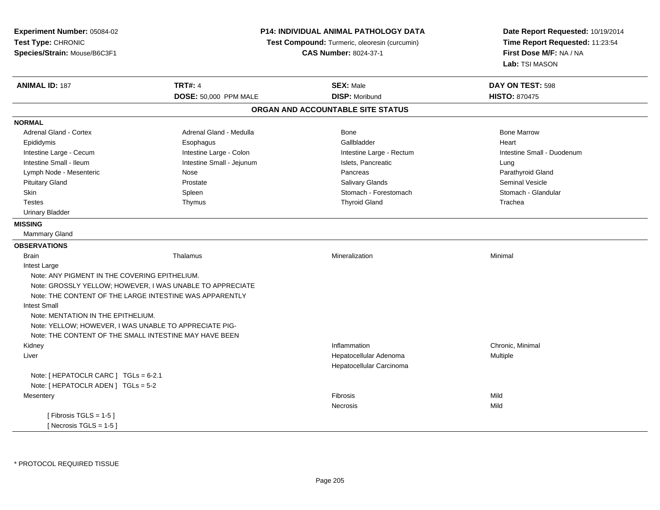| Experiment Number: 05084-02                             |                                                           | P14: INDIVIDUAL ANIMAL PATHOLOGY DATA         | Date Report Requested: 10/19/2014<br>Time Report Requested: 11:23:54<br>First Dose M/F: NA / NA |
|---------------------------------------------------------|-----------------------------------------------------------|-----------------------------------------------|-------------------------------------------------------------------------------------------------|
| Test Type: CHRONIC                                      |                                                           | Test Compound: Turmeric, oleoresin (curcumin) |                                                                                                 |
| Species/Strain: Mouse/B6C3F1                            |                                                           | <b>CAS Number: 8024-37-1</b>                  |                                                                                                 |
|                                                         |                                                           |                                               | Lab: TSI MASON                                                                                  |
| <b>ANIMAL ID: 187</b>                                   | <b>TRT#: 4</b>                                            | <b>SEX: Male</b>                              | DAY ON TEST: 598                                                                                |
|                                                         | <b>DOSE: 50,000 PPM MALE</b>                              | <b>DISP: Moribund</b>                         | <b>HISTO: 870475</b>                                                                            |
|                                                         |                                                           | ORGAN AND ACCOUNTABLE SITE STATUS             |                                                                                                 |
| <b>NORMAL</b>                                           |                                                           |                                               |                                                                                                 |
| <b>Adrenal Gland - Cortex</b>                           | Adrenal Gland - Medulla                                   | Bone                                          | <b>Bone Marrow</b>                                                                              |
| Epididymis                                              | Esophagus                                                 | Gallbladder                                   | Heart                                                                                           |
| Intestine Large - Cecum                                 | Intestine Large - Colon                                   | Intestine Large - Rectum                      | Intestine Small - Duodenum                                                                      |
| Intestine Small - Ileum                                 | Intestine Small - Jejunum                                 | Islets, Pancreatic                            | Lung                                                                                            |
| Lymph Node - Mesenteric                                 | Nose                                                      | Pancreas                                      | Parathyroid Gland                                                                               |
| <b>Pituitary Gland</b>                                  | Prostate                                                  | <b>Salivary Glands</b>                        | <b>Seminal Vesicle</b>                                                                          |
| Skin                                                    | Spleen                                                    | Stomach - Forestomach                         | Stomach - Glandular                                                                             |
| <b>Testes</b>                                           | Thymus                                                    | <b>Thyroid Gland</b>                          | Trachea                                                                                         |
| <b>Urinary Bladder</b>                                  |                                                           |                                               |                                                                                                 |
| <b>MISSING</b>                                          |                                                           |                                               |                                                                                                 |
| <b>Mammary Gland</b>                                    |                                                           |                                               |                                                                                                 |
| <b>OBSERVATIONS</b>                                     |                                                           |                                               |                                                                                                 |
| <b>Brain</b>                                            | Thalamus                                                  | Mineralization                                | Minimal                                                                                         |
| Intest Large                                            |                                                           |                                               |                                                                                                 |
| Note: ANY PIGMENT IN THE COVERING EPITHELIUM.           |                                                           |                                               |                                                                                                 |
|                                                         | Note: GROSSLY YELLOW; HOWEVER, I WAS UNABLE TO APPRECIATE |                                               |                                                                                                 |
| Note: THE CONTENT OF THE LARGE INTESTINE WAS APPARENTLY |                                                           |                                               |                                                                                                 |
| <b>Intest Small</b>                                     |                                                           |                                               |                                                                                                 |
| Note: MENTATION IN THE EPITHELIUM.                      |                                                           |                                               |                                                                                                 |
| Note: YELLOW; HOWEVER, I WAS UNABLE TO APPRECIATE PIG-  |                                                           |                                               |                                                                                                 |
| Note: THE CONTENT OF THE SMALL INTESTINE MAY HAVE BEEN  |                                                           |                                               |                                                                                                 |
| Kidney                                                  |                                                           | Inflammation                                  | Chronic, Minimal                                                                                |
| Liver                                                   |                                                           | Hepatocellular Adenoma                        | Multiple                                                                                        |
|                                                         |                                                           | Hepatocellular Carcinoma                      |                                                                                                 |
| Note: [ HEPATOCLR CARC ] TGLs = 6-2.1                   |                                                           |                                               |                                                                                                 |
| Note: [ HEPATOCLR ADEN ] TGLs = 5-2                     |                                                           |                                               |                                                                                                 |
| Mesentery                                               |                                                           | Fibrosis                                      | Mild                                                                                            |
|                                                         |                                                           | Necrosis                                      | Mild                                                                                            |
| [Fibrosis TGLS = $1-5$ ]                                |                                                           |                                               |                                                                                                 |
| [Necrosis TGLS = $1-5$ ]                                |                                                           |                                               |                                                                                                 |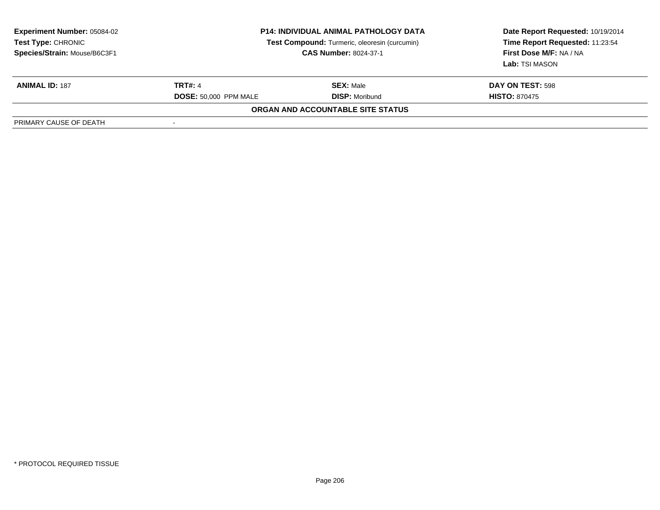| <b>Experiment Number: 05084-02</b><br>Test Type: CHRONIC<br>Species/Strain: Mouse/B6C3F1 | <b>P14: INDIVIDUAL ANIMAL PATHOLOGY DATA</b><br>Test Compound: Turmeric, oleoresin (curcumin)<br><b>CAS Number: 8024-37-1</b> |                                   | Date Report Requested: 10/19/2014<br>Time Report Requested: 11:23:54<br>First Dose M/F: NA / NA<br>Lab: TSI MASON |  |
|------------------------------------------------------------------------------------------|-------------------------------------------------------------------------------------------------------------------------------|-----------------------------------|-------------------------------------------------------------------------------------------------------------------|--|
| <b>ANIMAL ID: 187</b>                                                                    | <b>TRT#: 4</b>                                                                                                                | <b>SEX: Male</b>                  | DAY ON TEST: 598                                                                                                  |  |
|                                                                                          | <b>DOSE: 50,000 PPM MALE</b>                                                                                                  | <b>DISP: Moribund</b>             | <b>HISTO: 870475</b>                                                                                              |  |
|                                                                                          |                                                                                                                               | ORGAN AND ACCOUNTABLE SITE STATUS |                                                                                                                   |  |
| PRIMARY CAUSE OF DEATH                                                                   |                                                                                                                               |                                   |                                                                                                                   |  |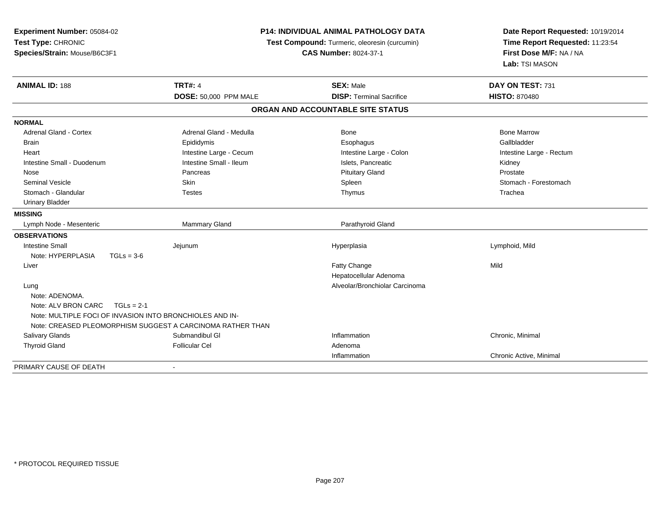| Experiment Number: 05084-02<br>Test Type: CHRONIC<br>Species/Strain: Mouse/B6C3F1 |                                                            | P14: INDIVIDUAL ANIMAL PATHOLOGY DATA<br>Test Compound: Turmeric, oleoresin (curcumin)<br><b>CAS Number: 8024-37-1</b> | Date Report Requested: 10/19/2014<br>Time Report Requested: 11:23:54<br>First Dose M/F: NA / NA<br>Lab: TSI MASON |  |
|-----------------------------------------------------------------------------------|------------------------------------------------------------|------------------------------------------------------------------------------------------------------------------------|-------------------------------------------------------------------------------------------------------------------|--|
| <b>ANIMAL ID: 188</b>                                                             | <b>TRT#: 4</b>                                             | <b>SEX: Male</b>                                                                                                       | DAY ON TEST: 731                                                                                                  |  |
|                                                                                   | <b>DOSE: 50,000 PPM MALE</b>                               | <b>DISP: Terminal Sacrifice</b>                                                                                        | <b>HISTO: 870480</b>                                                                                              |  |
|                                                                                   |                                                            | ORGAN AND ACCOUNTABLE SITE STATUS                                                                                      |                                                                                                                   |  |
| <b>NORMAL</b>                                                                     |                                                            |                                                                                                                        |                                                                                                                   |  |
| <b>Adrenal Gland - Cortex</b>                                                     | Adrenal Gland - Medulla                                    | <b>Bone</b>                                                                                                            | <b>Bone Marrow</b>                                                                                                |  |
| <b>Brain</b>                                                                      | Epididymis                                                 | Esophagus                                                                                                              | Gallbladder                                                                                                       |  |
| Heart                                                                             | Intestine Large - Cecum                                    | Intestine Large - Colon                                                                                                | Intestine Large - Rectum                                                                                          |  |
| Intestine Small - Duodenum                                                        | Intestine Small - Ileum                                    | Islets, Pancreatic                                                                                                     | Kidney                                                                                                            |  |
| Nose                                                                              | Pancreas                                                   | <b>Pituitary Gland</b>                                                                                                 | Prostate                                                                                                          |  |
| <b>Seminal Vesicle</b>                                                            | <b>Skin</b>                                                | Spleen                                                                                                                 | Stomach - Forestomach                                                                                             |  |
| Stomach - Glandular                                                               | <b>Testes</b>                                              | Thymus                                                                                                                 | Trachea                                                                                                           |  |
| <b>Urinary Bladder</b>                                                            |                                                            |                                                                                                                        |                                                                                                                   |  |
| <b>MISSING</b>                                                                    |                                                            |                                                                                                                        |                                                                                                                   |  |
| Lymph Node - Mesenteric                                                           | Mammary Gland                                              | Parathyroid Gland                                                                                                      |                                                                                                                   |  |
| <b>OBSERVATIONS</b>                                                               |                                                            |                                                                                                                        |                                                                                                                   |  |
| <b>Intestine Small</b>                                                            | Jejunum                                                    | Hyperplasia                                                                                                            | Lymphoid, Mild                                                                                                    |  |
| Note: HYPERPLASIA<br>$TGLs = 3-6$                                                 |                                                            |                                                                                                                        |                                                                                                                   |  |
| Liver                                                                             |                                                            | Fatty Change                                                                                                           | Mild                                                                                                              |  |
|                                                                                   |                                                            | Hepatocellular Adenoma                                                                                                 |                                                                                                                   |  |
| Lung                                                                              |                                                            | Alveolar/Bronchiolar Carcinoma                                                                                         |                                                                                                                   |  |
| Note: ADENOMA.                                                                    |                                                            |                                                                                                                        |                                                                                                                   |  |
| Note: ALV BRON CARC<br>$TGLs = 2-1$                                               |                                                            |                                                                                                                        |                                                                                                                   |  |
| Note: MULTIPLE FOCI OF INVASION INTO BRONCHIOLES AND IN-                          |                                                            |                                                                                                                        |                                                                                                                   |  |
|                                                                                   | Note: CREASED PLEOMORPHISM SUGGEST A CARCINOMA RATHER THAN |                                                                                                                        |                                                                                                                   |  |
| <b>Salivary Glands</b>                                                            | Submandibul GI                                             | Inflammation                                                                                                           | Chronic, Minimal                                                                                                  |  |
| <b>Thyroid Gland</b>                                                              | <b>Follicular Cel</b>                                      | Adenoma                                                                                                                |                                                                                                                   |  |
|                                                                                   |                                                            | Inflammation                                                                                                           | Chronic Active, Minimal                                                                                           |  |
| PRIMARY CAUSE OF DEATH                                                            |                                                            |                                                                                                                        |                                                                                                                   |  |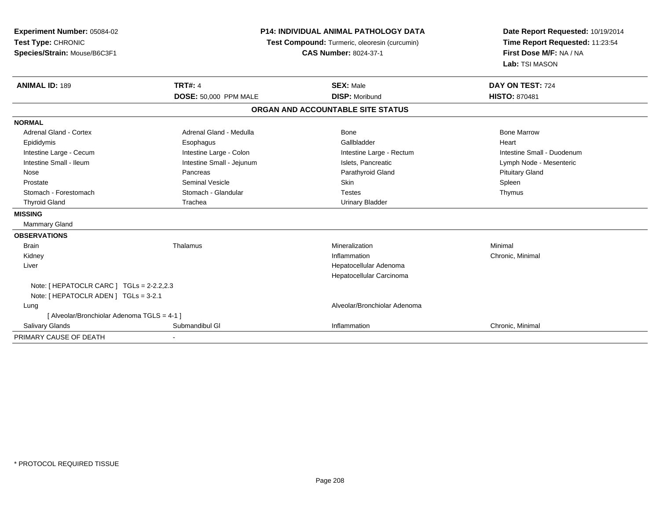| Experiment Number: 05084-02                 |                              | <b>P14: INDIVIDUAL ANIMAL PATHOLOGY DATA</b>  | Date Report Requested: 10/19/2014                          |  |
|---------------------------------------------|------------------------------|-----------------------------------------------|------------------------------------------------------------|--|
| Test Type: CHRONIC                          |                              | Test Compound: Turmeric, oleoresin (curcumin) | Time Report Requested: 11:23:54<br>First Dose M/F: NA / NA |  |
| Species/Strain: Mouse/B6C3F1                |                              | <b>CAS Number: 8024-37-1</b>                  |                                                            |  |
|                                             |                              |                                               | Lab: TSI MASON                                             |  |
| <b>ANIMAL ID: 189</b>                       | <b>TRT#: 4</b>               | <b>SEX: Male</b>                              | DAY ON TEST: 724                                           |  |
|                                             | <b>DOSE: 50,000 PPM MALE</b> | <b>DISP: Moribund</b>                         | <b>HISTO: 870481</b>                                       |  |
|                                             |                              | ORGAN AND ACCOUNTABLE SITE STATUS             |                                                            |  |
| <b>NORMAL</b>                               |                              |                                               |                                                            |  |
| <b>Adrenal Gland - Cortex</b>               | Adrenal Gland - Medulla      | <b>Bone</b>                                   | <b>Bone Marrow</b>                                         |  |
| Epididymis                                  | Esophagus                    | Gallbladder                                   | Heart                                                      |  |
| Intestine Large - Cecum                     | Intestine Large - Colon      | Intestine Large - Rectum                      | Intestine Small - Duodenum                                 |  |
| Intestine Small - Ileum                     | Intestine Small - Jejunum    | Islets, Pancreatic                            | Lymph Node - Mesenteric                                    |  |
| Nose                                        | Pancreas                     | Parathyroid Gland                             | <b>Pituitary Gland</b>                                     |  |
| Prostate                                    | <b>Seminal Vesicle</b>       | Skin                                          | Spleen                                                     |  |
| Stomach - Forestomach                       | Stomach - Glandular          | <b>Testes</b>                                 | Thymus                                                     |  |
| <b>Thyroid Gland</b>                        | Trachea                      | <b>Urinary Bladder</b>                        |                                                            |  |
| <b>MISSING</b>                              |                              |                                               |                                                            |  |
| <b>Mammary Gland</b>                        |                              |                                               |                                                            |  |
| <b>OBSERVATIONS</b>                         |                              |                                               |                                                            |  |
| <b>Brain</b>                                | Thalamus                     | Mineralization                                | Minimal                                                    |  |
| Kidney                                      |                              | Inflammation                                  | Chronic, Minimal                                           |  |
| Liver                                       |                              | Hepatocellular Adenoma                        |                                                            |  |
|                                             |                              | Hepatocellular Carcinoma                      |                                                            |  |
| Note: [ HEPATOCLR CARC ] TGLs = 2-2.2,2.3   |                              |                                               |                                                            |  |
| Note: [HEPATOCLR ADEN] TGLs = 3-2.1         |                              |                                               |                                                            |  |
| Lung                                        |                              | Alveolar/Bronchiolar Adenoma                  |                                                            |  |
| [ Alveolar/Bronchiolar Adenoma TGLS = 4-1 ] |                              |                                               |                                                            |  |
| <b>Salivary Glands</b>                      | Submandibul GI               | Inflammation                                  | Chronic, Minimal                                           |  |
| PRIMARY CAUSE OF DEATH                      |                              |                                               |                                                            |  |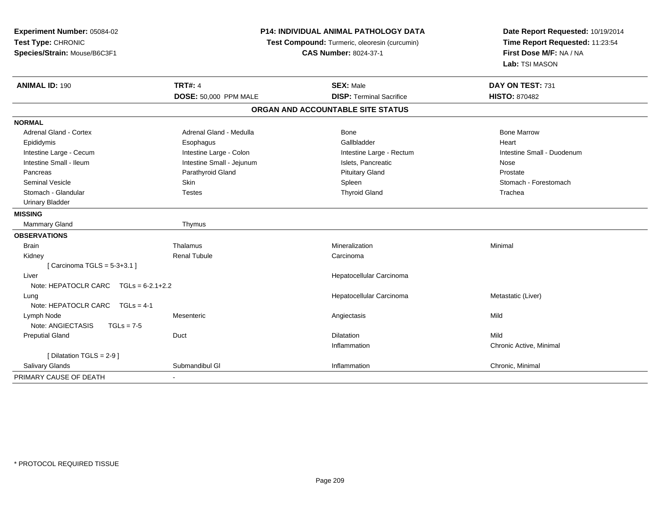| Experiment Number: 05084-02<br>Test Type: CHRONIC<br>Species/Strain: Mouse/B6C3F1 |                           | <b>P14: INDIVIDUAL ANIMAL PATHOLOGY DATA</b><br>Test Compound: Turmeric, oleoresin (curcumin)<br><b>CAS Number: 8024-37-1</b> | Date Report Requested: 10/19/2014<br>Time Report Requested: 11:23:54<br>First Dose M/F: NA / NA<br>Lab: TSI MASON |  |
|-----------------------------------------------------------------------------------|---------------------------|-------------------------------------------------------------------------------------------------------------------------------|-------------------------------------------------------------------------------------------------------------------|--|
| <b>ANIMAL ID: 190</b>                                                             | <b>TRT#: 4</b>            | <b>SEX: Male</b>                                                                                                              | DAY ON TEST: 731                                                                                                  |  |
|                                                                                   | DOSE: 50,000 PPM MALE     | <b>DISP: Terminal Sacrifice</b>                                                                                               | <b>HISTO: 870482</b>                                                                                              |  |
|                                                                                   |                           | ORGAN AND ACCOUNTABLE SITE STATUS                                                                                             |                                                                                                                   |  |
| <b>NORMAL</b>                                                                     |                           |                                                                                                                               |                                                                                                                   |  |
| Adrenal Gland - Cortex                                                            | Adrenal Gland - Medulla   | Bone                                                                                                                          | <b>Bone Marrow</b>                                                                                                |  |
| Epididymis                                                                        | Esophagus                 | Gallbladder                                                                                                                   | Heart                                                                                                             |  |
| Intestine Large - Cecum                                                           | Intestine Large - Colon   | Intestine Large - Rectum                                                                                                      | Intestine Small - Duodenum                                                                                        |  |
| Intestine Small - Ileum                                                           | Intestine Small - Jejunum | Islets, Pancreatic                                                                                                            | Nose                                                                                                              |  |
| Pancreas                                                                          | Parathyroid Gland         | <b>Pituitary Gland</b>                                                                                                        | Prostate                                                                                                          |  |
| <b>Seminal Vesicle</b>                                                            | Skin                      | Spleen                                                                                                                        | Stomach - Forestomach                                                                                             |  |
| Stomach - Glandular                                                               | <b>Testes</b>             | <b>Thyroid Gland</b>                                                                                                          | Trachea                                                                                                           |  |
| <b>Urinary Bladder</b>                                                            |                           |                                                                                                                               |                                                                                                                   |  |
| <b>MISSING</b>                                                                    |                           |                                                                                                                               |                                                                                                                   |  |
| Mammary Gland                                                                     | Thymus                    |                                                                                                                               |                                                                                                                   |  |
| <b>OBSERVATIONS</b>                                                               |                           |                                                                                                                               |                                                                                                                   |  |
| <b>Brain</b>                                                                      | Thalamus                  | Mineralization                                                                                                                | Minimal                                                                                                           |  |
| Kidney                                                                            | <b>Renal Tubule</b>       | Carcinoma                                                                                                                     |                                                                                                                   |  |
| [Carcinoma TGLS = $5-3+3.1$ ]                                                     |                           |                                                                                                                               |                                                                                                                   |  |
| Liver                                                                             |                           | Hepatocellular Carcinoma                                                                                                      |                                                                                                                   |  |
| Note: HEPATOCLR CARC $TGLs = 6-2.1+2.2$                                           |                           |                                                                                                                               |                                                                                                                   |  |
| Lung                                                                              |                           | Hepatocellular Carcinoma                                                                                                      | Metastatic (Liver)                                                                                                |  |
| Note: HEPATOCLR CARC TGLs = 4-1                                                   |                           |                                                                                                                               |                                                                                                                   |  |
| Lymph Node                                                                        | Mesenteric                | Angiectasis                                                                                                                   | Mild                                                                                                              |  |
| Note: ANGIECTASIS<br>$TGLs = 7-5$                                                 |                           |                                                                                                                               |                                                                                                                   |  |
| <b>Preputial Gland</b>                                                            | Duct                      | <b>Dilatation</b>                                                                                                             | Mild                                                                                                              |  |
|                                                                                   |                           | Inflammation                                                                                                                  | Chronic Active, Minimal                                                                                           |  |
| [ Dilatation TGLS = 2-9 ]                                                         |                           |                                                                                                                               |                                                                                                                   |  |
| <b>Salivary Glands</b>                                                            | Submandibul GI            | Inflammation                                                                                                                  | Chronic, Minimal                                                                                                  |  |
| PRIMARY CAUSE OF DEATH                                                            |                           |                                                                                                                               |                                                                                                                   |  |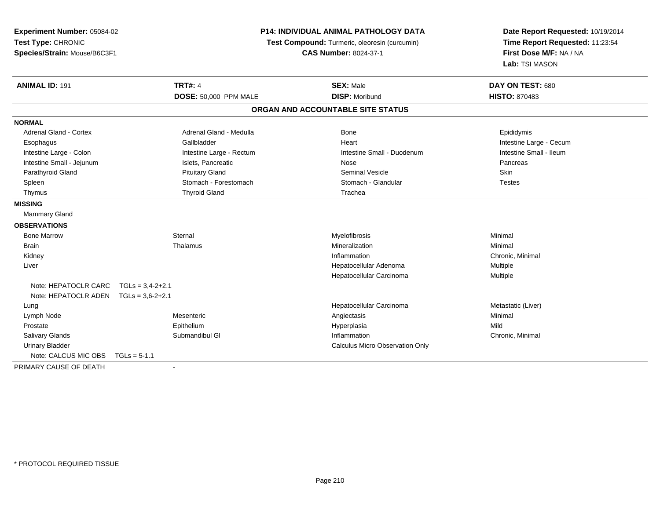| Experiment Number: 05084-02<br>Test Type: CHRONIC<br>Species/Strain: Mouse/B6C3F1 |                          | <b>P14: INDIVIDUAL ANIMAL PATHOLOGY DATA</b><br>Test Compound: Turmeric, oleoresin (curcumin)<br><b>CAS Number: 8024-37-1</b> | Date Report Requested: 10/19/2014<br>Time Report Requested: 11:23:54<br>First Dose M/F: NA / NA<br>Lab: TSI MASON |  |
|-----------------------------------------------------------------------------------|--------------------------|-------------------------------------------------------------------------------------------------------------------------------|-------------------------------------------------------------------------------------------------------------------|--|
| <b>ANIMAL ID: 191</b>                                                             | <b>TRT#: 4</b>           | <b>SEX: Male</b>                                                                                                              | DAY ON TEST: 680                                                                                                  |  |
|                                                                                   | DOSE: 50,000 PPM MALE    | <b>DISP: Moribund</b>                                                                                                         | <b>HISTO: 870483</b>                                                                                              |  |
|                                                                                   |                          | ORGAN AND ACCOUNTABLE SITE STATUS                                                                                             |                                                                                                                   |  |
| <b>NORMAL</b>                                                                     |                          |                                                                                                                               |                                                                                                                   |  |
| <b>Adrenal Gland - Cortex</b>                                                     | Adrenal Gland - Medulla  | <b>Bone</b>                                                                                                                   | Epididymis                                                                                                        |  |
| Esophagus                                                                         | Gallbladder              | Heart                                                                                                                         | Intestine Large - Cecum                                                                                           |  |
| Intestine Large - Colon                                                           | Intestine Large - Rectum | Intestine Small - Duodenum                                                                                                    | Intestine Small - Ileum                                                                                           |  |
| Intestine Small - Jejunum                                                         | Islets, Pancreatic       | Nose                                                                                                                          | Pancreas                                                                                                          |  |
| Parathyroid Gland                                                                 | <b>Pituitary Gland</b>   | <b>Seminal Vesicle</b>                                                                                                        | Skin                                                                                                              |  |
| Spleen                                                                            | Stomach - Forestomach    | Stomach - Glandular                                                                                                           | <b>Testes</b>                                                                                                     |  |
| Thymus                                                                            | <b>Thyroid Gland</b>     | Trachea                                                                                                                       |                                                                                                                   |  |
| <b>MISSING</b>                                                                    |                          |                                                                                                                               |                                                                                                                   |  |
| <b>Mammary Gland</b>                                                              |                          |                                                                                                                               |                                                                                                                   |  |
| <b>OBSERVATIONS</b>                                                               |                          |                                                                                                                               |                                                                                                                   |  |
| <b>Bone Marrow</b>                                                                | Sternal                  | Myelofibrosis                                                                                                                 | Minimal                                                                                                           |  |
| <b>Brain</b>                                                                      | Thalamus                 | Mineralization                                                                                                                | Minimal                                                                                                           |  |
| Kidney                                                                            |                          | Inflammation                                                                                                                  | Chronic, Minimal                                                                                                  |  |
| Liver                                                                             |                          | Hepatocellular Adenoma                                                                                                        | Multiple                                                                                                          |  |
|                                                                                   |                          | Hepatocellular Carcinoma                                                                                                      | Multiple                                                                                                          |  |
| Note: HEPATOCLR CARC TGLs = 3,4-2+2.1                                             |                          |                                                                                                                               |                                                                                                                   |  |
| Note: HEPATOCLR ADEN $TGLs = 3.6-2+2.1$                                           |                          |                                                                                                                               |                                                                                                                   |  |
| Lung                                                                              |                          | Hepatocellular Carcinoma                                                                                                      | Metastatic (Liver)                                                                                                |  |
| Lymph Node                                                                        | Mesenteric               | Angiectasis                                                                                                                   | Minimal                                                                                                           |  |
| Prostate                                                                          | Epithelium               | Hyperplasia                                                                                                                   | Mild                                                                                                              |  |
| <b>Salivary Glands</b>                                                            | Submandibul GI           | Inflammation                                                                                                                  | Chronic, Minimal                                                                                                  |  |
| <b>Urinary Bladder</b>                                                            |                          | <b>Calculus Micro Observation Only</b>                                                                                        |                                                                                                                   |  |
| Note: CALCUS MIC OBS                                                              | $TGLs = 5-1.1$           |                                                                                                                               |                                                                                                                   |  |
| PRIMARY CAUSE OF DEATH                                                            |                          |                                                                                                                               |                                                                                                                   |  |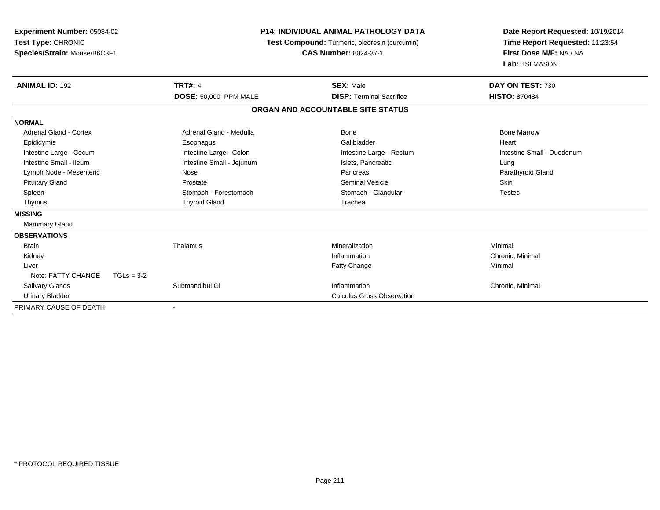| <b>Experiment Number: 05084-02</b><br>Test Type: CHRONIC<br>Species/Strain: Mouse/B6C3F1 |                           | <b>P14: INDIVIDUAL ANIMAL PATHOLOGY DATA</b><br>Test Compound: Turmeric, oleoresin (curcumin)<br><b>CAS Number: 8024-37-1</b> | Date Report Requested: 10/19/2014<br>Time Report Requested: 11:23:54<br>First Dose M/F: NA / NA<br>Lab: TSI MASON |
|------------------------------------------------------------------------------------------|---------------------------|-------------------------------------------------------------------------------------------------------------------------------|-------------------------------------------------------------------------------------------------------------------|
| <b>ANIMAL ID: 192</b>                                                                    | <b>TRT#: 4</b>            | <b>SEX: Male</b>                                                                                                              | DAY ON TEST: 730                                                                                                  |
|                                                                                          | DOSE: 50,000 PPM MALE     | <b>DISP: Terminal Sacrifice</b>                                                                                               | <b>HISTO: 870484</b>                                                                                              |
|                                                                                          |                           | ORGAN AND ACCOUNTABLE SITE STATUS                                                                                             |                                                                                                                   |
| <b>NORMAL</b>                                                                            |                           |                                                                                                                               |                                                                                                                   |
| Adrenal Gland - Cortex                                                                   | Adrenal Gland - Medulla   | <b>Bone</b>                                                                                                                   | <b>Bone Marrow</b>                                                                                                |
| Epididymis                                                                               | Esophagus                 | Gallbladder                                                                                                                   | Heart                                                                                                             |
| Intestine Large - Cecum                                                                  | Intestine Large - Colon   | Intestine Large - Rectum                                                                                                      | Intestine Small - Duodenum                                                                                        |
| Intestine Small - Ileum                                                                  | Intestine Small - Jejunum | Islets, Pancreatic                                                                                                            | Lung                                                                                                              |
| Lymph Node - Mesenteric                                                                  | Nose                      | Pancreas                                                                                                                      | Parathyroid Gland                                                                                                 |
| <b>Pituitary Gland</b>                                                                   | Prostate                  | <b>Seminal Vesicle</b>                                                                                                        | <b>Skin</b>                                                                                                       |
| Spleen                                                                                   | Stomach - Forestomach     | Stomach - Glandular                                                                                                           | <b>Testes</b>                                                                                                     |
| Thymus                                                                                   | <b>Thyroid Gland</b>      | Trachea                                                                                                                       |                                                                                                                   |
| <b>MISSING</b>                                                                           |                           |                                                                                                                               |                                                                                                                   |
| Mammary Gland                                                                            |                           |                                                                                                                               |                                                                                                                   |
| <b>OBSERVATIONS</b>                                                                      |                           |                                                                                                                               |                                                                                                                   |
| <b>Brain</b>                                                                             | Thalamus                  | Mineralization                                                                                                                | Minimal                                                                                                           |
| Kidney                                                                                   |                           | Inflammation                                                                                                                  | Chronic, Minimal                                                                                                  |
| Liver                                                                                    |                           | <b>Fatty Change</b>                                                                                                           | Minimal                                                                                                           |
| Note: FATTY CHANGE<br>$TGLs = 3-2$                                                       |                           |                                                                                                                               |                                                                                                                   |
| <b>Salivary Glands</b>                                                                   | Submandibul GI            | Inflammation                                                                                                                  | Chronic, Minimal                                                                                                  |
| <b>Urinary Bladder</b>                                                                   |                           | <b>Calculus Gross Observation</b>                                                                                             |                                                                                                                   |
| PRIMARY CAUSE OF DEATH                                                                   |                           |                                                                                                                               |                                                                                                                   |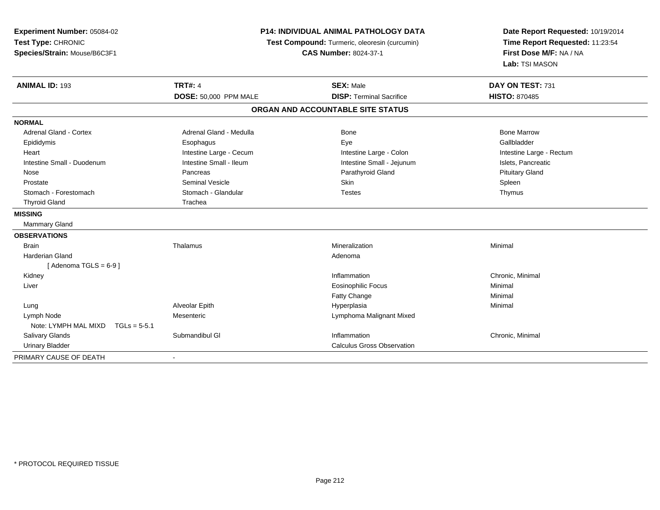| <b>P14: INDIVIDUAL ANIMAL PATHOLOGY DATA</b><br>Experiment Number: 05084-02<br>Test Type: CHRONIC<br>Test Compound: Turmeric, oleoresin (curcumin)<br>Species/Strain: Mouse/B6C3F1<br><b>CAS Number: 8024-37-1</b> |                         |                                   | Date Report Requested: 10/19/2014<br>Time Report Requested: 11:23:54<br>First Dose M/F: NA / NA<br>Lab: TSI MASON |
|--------------------------------------------------------------------------------------------------------------------------------------------------------------------------------------------------------------------|-------------------------|-----------------------------------|-------------------------------------------------------------------------------------------------------------------|
| <b>ANIMAL ID: 193</b>                                                                                                                                                                                              | <b>TRT#: 4</b>          | <b>SEX: Male</b>                  | DAY ON TEST: 731                                                                                                  |
|                                                                                                                                                                                                                    | DOSE: 50,000 PPM MALE   | <b>DISP: Terminal Sacrifice</b>   | <b>HISTO: 870485</b>                                                                                              |
|                                                                                                                                                                                                                    |                         | ORGAN AND ACCOUNTABLE SITE STATUS |                                                                                                                   |
| <b>NORMAL</b>                                                                                                                                                                                                      |                         |                                   |                                                                                                                   |
| <b>Adrenal Gland - Cortex</b>                                                                                                                                                                                      | Adrenal Gland - Medulla | <b>Bone</b>                       | <b>Bone Marrow</b>                                                                                                |
| Epididymis                                                                                                                                                                                                         | Esophagus               | Eye                               | Gallbladder                                                                                                       |
| Heart                                                                                                                                                                                                              | Intestine Large - Cecum | Intestine Large - Colon           | Intestine Large - Rectum                                                                                          |
| Intestine Small - Duodenum                                                                                                                                                                                         | Intestine Small - Ileum | Intestine Small - Jejunum         | Islets, Pancreatic                                                                                                |
| Nose                                                                                                                                                                                                               | Pancreas                | Parathyroid Gland                 | <b>Pituitary Gland</b>                                                                                            |
| Prostate                                                                                                                                                                                                           | <b>Seminal Vesicle</b>  | Skin                              | Spleen                                                                                                            |
| Stomach - Forestomach                                                                                                                                                                                              | Stomach - Glandular     | <b>Testes</b>                     | Thymus                                                                                                            |
| <b>Thyroid Gland</b>                                                                                                                                                                                               | Trachea                 |                                   |                                                                                                                   |
| <b>MISSING</b>                                                                                                                                                                                                     |                         |                                   |                                                                                                                   |
| <b>Mammary Gland</b>                                                                                                                                                                                               |                         |                                   |                                                                                                                   |
| <b>OBSERVATIONS</b>                                                                                                                                                                                                |                         |                                   |                                                                                                                   |
| <b>Brain</b>                                                                                                                                                                                                       | Thalamus                | Mineralization                    | Minimal                                                                                                           |
| <b>Harderian Gland</b>                                                                                                                                                                                             |                         | Adenoma                           |                                                                                                                   |
| [Adenoma TGLS = $6-9$ ]                                                                                                                                                                                            |                         |                                   |                                                                                                                   |
| Kidney                                                                                                                                                                                                             |                         | Inflammation                      | Chronic, Minimal                                                                                                  |
| Liver                                                                                                                                                                                                              |                         | <b>Eosinophilic Focus</b>         | Minimal                                                                                                           |
|                                                                                                                                                                                                                    |                         | Fatty Change                      | Minimal                                                                                                           |
| Lung                                                                                                                                                                                                               | Alveolar Epith          | Hyperplasia                       | Minimal                                                                                                           |
| Lymph Node                                                                                                                                                                                                         | Mesenteric              | Lymphoma Malignant Mixed          |                                                                                                                   |
| Note: LYMPH MAL MIXD<br>$TGLs = 5-5.1$                                                                                                                                                                             |                         |                                   |                                                                                                                   |
| <b>Salivary Glands</b>                                                                                                                                                                                             | Submandibul GI          | Inflammation                      | Chronic, Minimal                                                                                                  |
| <b>Urinary Bladder</b>                                                                                                                                                                                             |                         | <b>Calculus Gross Observation</b> |                                                                                                                   |
| PRIMARY CAUSE OF DEATH                                                                                                                                                                                             |                         |                                   |                                                                                                                   |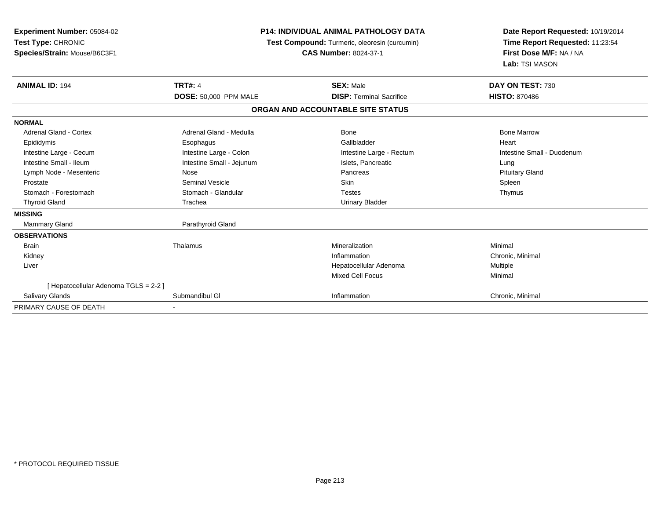| <b>Experiment Number: 05084-02</b><br>Test Type: CHRONIC<br>Species/Strain: Mouse/B6C3F1 |                           | <b>P14: INDIVIDUAL ANIMAL PATHOLOGY DATA</b><br>Test Compound: Turmeric, oleoresin (curcumin)<br><b>CAS Number: 8024-37-1</b> | Date Report Requested: 10/19/2014<br>Time Report Requested: 11:23:54<br>First Dose M/F: NA / NA<br>Lab: TSI MASON |
|------------------------------------------------------------------------------------------|---------------------------|-------------------------------------------------------------------------------------------------------------------------------|-------------------------------------------------------------------------------------------------------------------|
| <b>ANIMAL ID: 194</b>                                                                    | <b>TRT#: 4</b>            | <b>SEX: Male</b>                                                                                                              | DAY ON TEST: 730                                                                                                  |
|                                                                                          | DOSE: 50,000 PPM MALE     | <b>DISP: Terminal Sacrifice</b>                                                                                               | <b>HISTO: 870486</b>                                                                                              |
|                                                                                          |                           | ORGAN AND ACCOUNTABLE SITE STATUS                                                                                             |                                                                                                                   |
| <b>NORMAL</b>                                                                            |                           |                                                                                                                               |                                                                                                                   |
| Adrenal Gland - Cortex                                                                   | Adrenal Gland - Medulla   | Bone                                                                                                                          | <b>Bone Marrow</b>                                                                                                |
| Epididymis                                                                               | Esophagus                 | Gallbladder                                                                                                                   | Heart                                                                                                             |
| Intestine Large - Cecum                                                                  | Intestine Large - Colon   | Intestine Large - Rectum                                                                                                      | Intestine Small - Duodenum                                                                                        |
| Intestine Small - Ileum                                                                  | Intestine Small - Jejunum | Islets, Pancreatic                                                                                                            | Lung                                                                                                              |
| Lymph Node - Mesenteric                                                                  | Nose                      | Pancreas                                                                                                                      | <b>Pituitary Gland</b>                                                                                            |
| Prostate                                                                                 | <b>Seminal Vesicle</b>    | <b>Skin</b>                                                                                                                   | Spleen                                                                                                            |
| Stomach - Forestomach                                                                    | Stomach - Glandular       | <b>Testes</b>                                                                                                                 | Thymus                                                                                                            |
| <b>Thyroid Gland</b>                                                                     | Trachea                   | <b>Urinary Bladder</b>                                                                                                        |                                                                                                                   |
| <b>MISSING</b>                                                                           |                           |                                                                                                                               |                                                                                                                   |
| <b>Mammary Gland</b>                                                                     | Parathyroid Gland         |                                                                                                                               |                                                                                                                   |
| <b>OBSERVATIONS</b>                                                                      |                           |                                                                                                                               |                                                                                                                   |
| <b>Brain</b>                                                                             | Thalamus                  | Mineralization                                                                                                                | Minimal                                                                                                           |
| Kidney                                                                                   |                           | Inflammation                                                                                                                  | Chronic, Minimal                                                                                                  |
| Liver                                                                                    |                           | Hepatocellular Adenoma                                                                                                        | Multiple                                                                                                          |
|                                                                                          |                           | <b>Mixed Cell Focus</b>                                                                                                       | Minimal                                                                                                           |
| [ Hepatocellular Adenoma TGLS = 2-2 ]                                                    |                           |                                                                                                                               |                                                                                                                   |
| Salivary Glands                                                                          | Submandibul GI            | Inflammation                                                                                                                  | Chronic, Minimal                                                                                                  |
| PRIMARY CAUSE OF DEATH                                                                   |                           |                                                                                                                               |                                                                                                                   |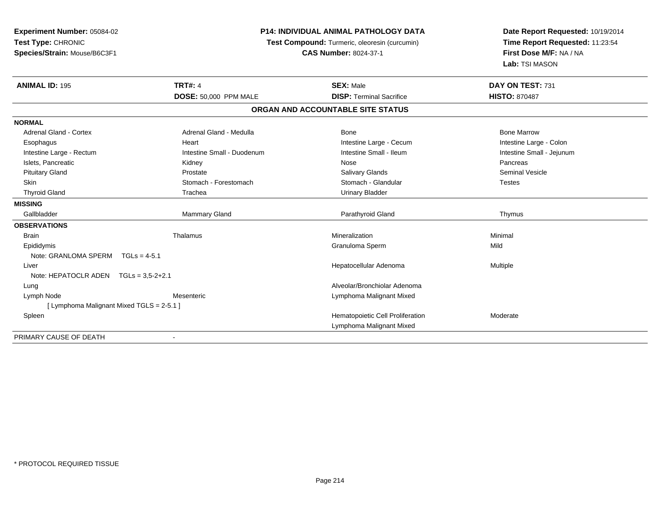| Experiment Number: 05084-02               |                              | <b>P14: INDIVIDUAL ANIMAL PATHOLOGY DATA</b>  | Date Report Requested: 10/19/2014<br>Time Report Requested: 11:23:54<br>First Dose M/F: NA / NA |  |
|-------------------------------------------|------------------------------|-----------------------------------------------|-------------------------------------------------------------------------------------------------|--|
| Test Type: CHRONIC                        |                              | Test Compound: Turmeric, oleoresin (curcumin) |                                                                                                 |  |
| Species/Strain: Mouse/B6C3F1              |                              | <b>CAS Number: 8024-37-1</b>                  |                                                                                                 |  |
|                                           |                              |                                               | Lab: TSI MASON                                                                                  |  |
| <b>ANIMAL ID: 195</b>                     | <b>TRT#: 4</b>               | <b>SEX: Male</b>                              | DAY ON TEST: 731                                                                                |  |
|                                           | <b>DOSE: 50,000 PPM MALE</b> | <b>DISP: Terminal Sacrifice</b>               | <b>HISTO: 870487</b>                                                                            |  |
|                                           |                              | ORGAN AND ACCOUNTABLE SITE STATUS             |                                                                                                 |  |
| <b>NORMAL</b>                             |                              |                                               |                                                                                                 |  |
| <b>Adrenal Gland - Cortex</b>             | Adrenal Gland - Medulla      | <b>Bone</b>                                   | <b>Bone Marrow</b>                                                                              |  |
| Esophagus                                 | Heart                        | Intestine Large - Cecum                       | Intestine Large - Colon                                                                         |  |
| Intestine Large - Rectum                  | Intestine Small - Duodenum   | Intestine Small - Ileum                       | Intestine Small - Jejunum                                                                       |  |
| Islets, Pancreatic                        | Kidney                       | Nose                                          | Pancreas                                                                                        |  |
| <b>Pituitary Gland</b>                    | Prostate                     | <b>Salivary Glands</b>                        | <b>Seminal Vesicle</b>                                                                          |  |
| Skin                                      | Stomach - Forestomach        | Stomach - Glandular                           | <b>Testes</b>                                                                                   |  |
| <b>Thyroid Gland</b>                      | Trachea                      | <b>Urinary Bladder</b>                        |                                                                                                 |  |
| <b>MISSING</b>                            |                              |                                               |                                                                                                 |  |
| Gallbladder                               | Mammary Gland                | Parathyroid Gland                             | Thymus                                                                                          |  |
| <b>OBSERVATIONS</b>                       |                              |                                               |                                                                                                 |  |
| <b>Brain</b>                              | Thalamus                     | Mineralization                                | Minimal                                                                                         |  |
| Epididymis                                |                              | Granuloma Sperm                               | Mild                                                                                            |  |
| Note: GRANLOMA SPERM<br>$TGLs = 4-5.1$    |                              |                                               |                                                                                                 |  |
| Liver                                     |                              | Hepatocellular Adenoma                        | Multiple                                                                                        |  |
| Note: HEPATOCLR ADEN $TGLs = 3.5-2+2.1$   |                              |                                               |                                                                                                 |  |
| Lung                                      |                              | Alveolar/Bronchiolar Adenoma                  |                                                                                                 |  |
| Lymph Node                                | Mesenteric                   | Lymphoma Malignant Mixed                      |                                                                                                 |  |
| [ Lymphoma Malignant Mixed TGLS = 2-5.1 ] |                              |                                               |                                                                                                 |  |
| Spleen                                    |                              | Hematopoietic Cell Proliferation              | Moderate                                                                                        |  |
|                                           |                              | Lymphoma Malignant Mixed                      |                                                                                                 |  |
| PRIMARY CAUSE OF DEATH                    |                              |                                               |                                                                                                 |  |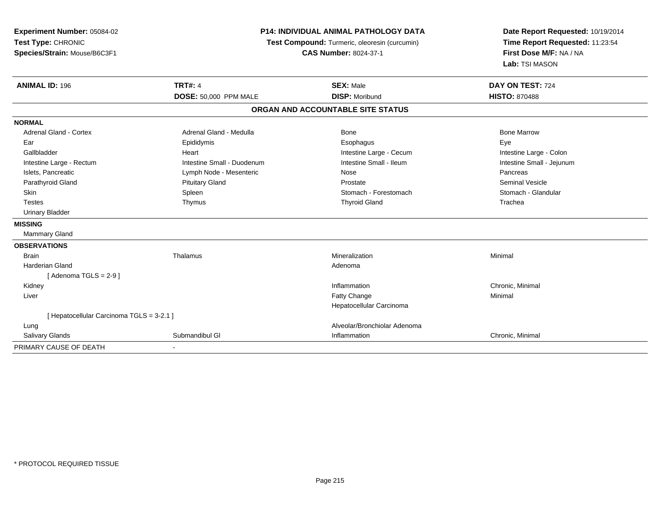| <b>Experiment Number: 05084-02</b>        |                            | P14: INDIVIDUAL ANIMAL PATHOLOGY DATA<br>Test Compound: Turmeric, oleoresin (curcumin) |                                                            |  |
|-------------------------------------------|----------------------------|----------------------------------------------------------------------------------------|------------------------------------------------------------|--|
| Test Type: CHRONIC                        |                            |                                                                                        |                                                            |  |
| Species/Strain: Mouse/B6C3F1              |                            | <b>CAS Number: 8024-37-1</b>                                                           | Time Report Requested: 11:23:54<br>First Dose M/F: NA / NA |  |
|                                           |                            |                                                                                        | Lab: TSI MASON                                             |  |
| <b>ANIMAL ID: 196</b>                     | <b>TRT#: 4</b>             | <b>SEX: Male</b>                                                                       | DAY ON TEST: 724                                           |  |
|                                           | DOSE: 50,000 PPM MALE      | <b>DISP: Moribund</b>                                                                  | <b>HISTO: 870488</b>                                       |  |
|                                           |                            | ORGAN AND ACCOUNTABLE SITE STATUS                                                      |                                                            |  |
| <b>NORMAL</b>                             |                            |                                                                                        |                                                            |  |
| <b>Adrenal Gland - Cortex</b>             | Adrenal Gland - Medulla    | Bone                                                                                   | <b>Bone Marrow</b>                                         |  |
| Ear                                       | Epididymis                 | Esophagus                                                                              | Eye                                                        |  |
| Gallbladder                               | Heart                      | Intestine Large - Cecum                                                                | Intestine Large - Colon                                    |  |
| Intestine Large - Rectum                  | Intestine Small - Duodenum | Intestine Small - Ileum                                                                | Intestine Small - Jejunum                                  |  |
| Islets, Pancreatic                        | Lymph Node - Mesenteric    | Nose                                                                                   | Pancreas                                                   |  |
| Parathyroid Gland                         | <b>Pituitary Gland</b>     | Prostate                                                                               | <b>Seminal Vesicle</b>                                     |  |
| <b>Skin</b>                               | Spleen                     | Stomach - Forestomach                                                                  | Stomach - Glandular                                        |  |
| <b>Testes</b>                             | Thymus                     | <b>Thyroid Gland</b>                                                                   | Trachea                                                    |  |
| <b>Urinary Bladder</b>                    |                            |                                                                                        |                                                            |  |
| <b>MISSING</b>                            |                            |                                                                                        |                                                            |  |
| Mammary Gland                             |                            |                                                                                        |                                                            |  |
| <b>OBSERVATIONS</b>                       |                            |                                                                                        |                                                            |  |
| <b>Brain</b>                              | Thalamus                   | Mineralization                                                                         | Minimal                                                    |  |
| Harderian Gland                           |                            | Adenoma                                                                                |                                                            |  |
| [Adenoma TGLS = $2-9$ ]                   |                            |                                                                                        |                                                            |  |
| Kidney                                    |                            | Inflammation                                                                           | Chronic, Minimal                                           |  |
| Liver                                     |                            | Fatty Change                                                                           | Minimal                                                    |  |
|                                           |                            | Hepatocellular Carcinoma                                                               |                                                            |  |
| [ Hepatocellular Carcinoma TGLS = 3-2.1 ] |                            |                                                                                        |                                                            |  |
| Lung                                      |                            | Alveolar/Bronchiolar Adenoma                                                           |                                                            |  |
| <b>Salivary Glands</b>                    | Submandibul GI             | Inflammation                                                                           | Chronic, Minimal                                           |  |
| PRIMARY CAUSE OF DEATH                    |                            |                                                                                        |                                                            |  |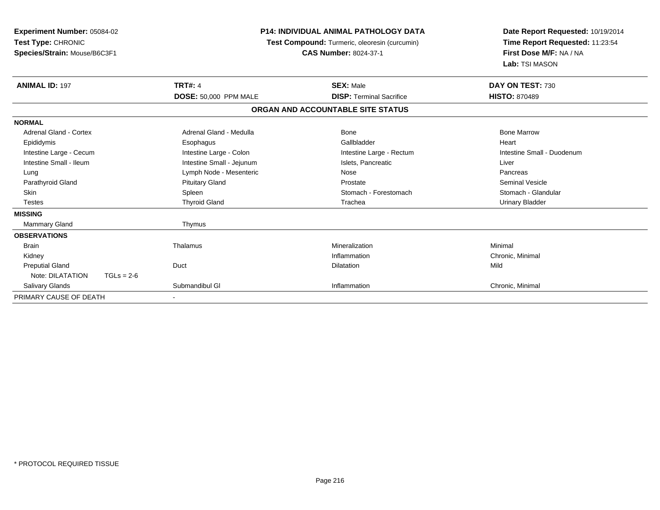| Experiment Number: 05084-02<br>Test Type: CHRONIC<br>Species/Strain: Mouse/B6C3F1 |              | <b>P14: INDIVIDUAL ANIMAL PATHOLOGY DATA</b><br>Test Compound: Turmeric, oleoresin (curcumin)<br><b>CAS Number: 8024-37-1</b> |  |                                   | Date Report Requested: 10/19/2014<br>Time Report Requested: 11:23:54<br>First Dose M/F: NA / NA<br>Lab: TSI MASON |
|-----------------------------------------------------------------------------------|--------------|-------------------------------------------------------------------------------------------------------------------------------|--|-----------------------------------|-------------------------------------------------------------------------------------------------------------------|
| <b>ANIMAL ID: 197</b>                                                             |              | <b>TRT#: 4</b>                                                                                                                |  | <b>SEX: Male</b>                  | DAY ON TEST: 730                                                                                                  |
|                                                                                   |              | DOSE: 50,000 PPM MALE                                                                                                         |  | <b>DISP: Terminal Sacrifice</b>   | <b>HISTO: 870489</b>                                                                                              |
|                                                                                   |              |                                                                                                                               |  | ORGAN AND ACCOUNTABLE SITE STATUS |                                                                                                                   |
| <b>NORMAL</b>                                                                     |              |                                                                                                                               |  |                                   |                                                                                                                   |
| <b>Adrenal Gland - Cortex</b>                                                     |              | Adrenal Gland - Medulla                                                                                                       |  | Bone                              | <b>Bone Marrow</b>                                                                                                |
| Epididymis                                                                        |              | Esophagus                                                                                                                     |  | Gallbladder                       | Heart                                                                                                             |
| Intestine Large - Cecum                                                           |              | Intestine Large - Colon                                                                                                       |  | Intestine Large - Rectum          | Intestine Small - Duodenum                                                                                        |
| Intestine Small - Ileum                                                           |              | Intestine Small - Jejunum                                                                                                     |  | Islets, Pancreatic                | Liver                                                                                                             |
| Lung                                                                              |              | Lymph Node - Mesenteric                                                                                                       |  | Nose                              | Pancreas                                                                                                          |
| Parathyroid Gland                                                                 |              | <b>Pituitary Gland</b>                                                                                                        |  | Prostate                          | <b>Seminal Vesicle</b>                                                                                            |
| <b>Skin</b>                                                                       |              | Spleen                                                                                                                        |  | Stomach - Forestomach             | Stomach - Glandular                                                                                               |
| <b>Testes</b>                                                                     |              | <b>Thyroid Gland</b>                                                                                                          |  | Trachea                           | <b>Urinary Bladder</b>                                                                                            |
| <b>MISSING</b>                                                                    |              |                                                                                                                               |  |                                   |                                                                                                                   |
| Mammary Gland                                                                     |              | Thymus                                                                                                                        |  |                                   |                                                                                                                   |
| <b>OBSERVATIONS</b>                                                               |              |                                                                                                                               |  |                                   |                                                                                                                   |
| <b>Brain</b>                                                                      |              | Thalamus                                                                                                                      |  | Mineralization                    | Minimal                                                                                                           |
| Kidney                                                                            |              |                                                                                                                               |  | Inflammation                      | Chronic, Minimal                                                                                                  |
| <b>Preputial Gland</b>                                                            |              | Duct                                                                                                                          |  | <b>Dilatation</b>                 | Mild                                                                                                              |
| Note: DILATATION                                                                  | $TGLs = 2-6$ |                                                                                                                               |  |                                   |                                                                                                                   |
| Salivary Glands                                                                   |              | Submandibul GI                                                                                                                |  | Inflammation                      | Chronic, Minimal                                                                                                  |
| PRIMARY CAUSE OF DEATH                                                            |              |                                                                                                                               |  |                                   |                                                                                                                   |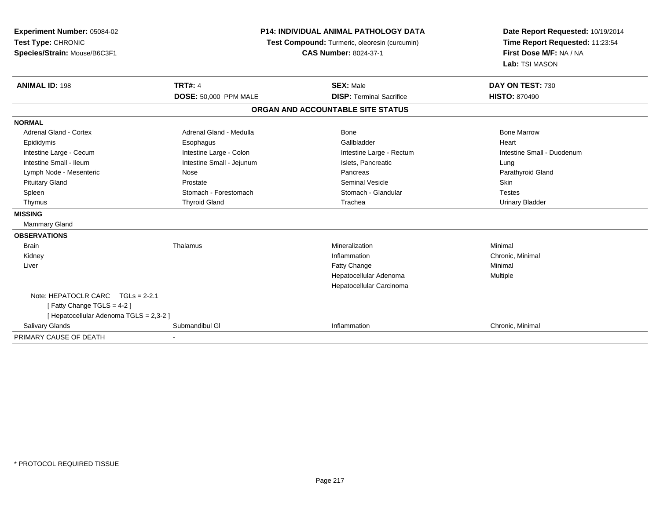| Experiment Number: 05084-02<br>Test Type: CHRONIC<br>Species/Strain: Mouse/B6C3F1 | <b>P14: INDIVIDUAL ANIMAL PATHOLOGY DATA</b><br>Test Compound: Turmeric, oleoresin (curcumin)<br><b>CAS Number: 8024-37-1</b> |                                   | Date Report Requested: 10/19/2014<br>Time Report Requested: 11:23:54<br>First Dose M/F: NA / NA<br>Lab: TSI MASON |  |
|-----------------------------------------------------------------------------------|-------------------------------------------------------------------------------------------------------------------------------|-----------------------------------|-------------------------------------------------------------------------------------------------------------------|--|
| <b>ANIMAL ID: 198</b>                                                             | <b>TRT#: 4</b>                                                                                                                | <b>SEX: Male</b>                  | DAY ON TEST: 730                                                                                                  |  |
|                                                                                   | <b>DOSE: 50,000 PPM MALE</b>                                                                                                  | <b>DISP: Terminal Sacrifice</b>   | <b>HISTO: 870490</b>                                                                                              |  |
|                                                                                   |                                                                                                                               | ORGAN AND ACCOUNTABLE SITE STATUS |                                                                                                                   |  |
| <b>NORMAL</b>                                                                     |                                                                                                                               |                                   |                                                                                                                   |  |
| Adrenal Gland - Cortex                                                            | Adrenal Gland - Medulla                                                                                                       | <b>Bone</b>                       | <b>Bone Marrow</b>                                                                                                |  |
| Epididymis                                                                        | Esophagus                                                                                                                     | Gallbladder                       | Heart                                                                                                             |  |
| Intestine Large - Cecum                                                           | Intestine Large - Colon                                                                                                       | Intestine Large - Rectum          | Intestine Small - Duodenum                                                                                        |  |
| Intestine Small - Ileum                                                           | Intestine Small - Jejunum                                                                                                     | Islets, Pancreatic                | Lung                                                                                                              |  |
| Lymph Node - Mesenteric                                                           | Nose                                                                                                                          | Pancreas                          | Parathyroid Gland                                                                                                 |  |
| <b>Pituitary Gland</b>                                                            | Prostate                                                                                                                      | <b>Seminal Vesicle</b>            | <b>Skin</b>                                                                                                       |  |
| Spleen                                                                            | Stomach - Forestomach                                                                                                         | Stomach - Glandular               | <b>Testes</b>                                                                                                     |  |
| Thymus                                                                            | <b>Thyroid Gland</b>                                                                                                          | Trachea                           | <b>Urinary Bladder</b>                                                                                            |  |
| <b>MISSING</b>                                                                    |                                                                                                                               |                                   |                                                                                                                   |  |
| <b>Mammary Gland</b>                                                              |                                                                                                                               |                                   |                                                                                                                   |  |
| <b>OBSERVATIONS</b>                                                               |                                                                                                                               |                                   |                                                                                                                   |  |
| <b>Brain</b>                                                                      | Thalamus                                                                                                                      | Mineralization                    | Minimal                                                                                                           |  |
| Kidney                                                                            |                                                                                                                               | Inflammation                      | Chronic, Minimal                                                                                                  |  |
| Liver                                                                             |                                                                                                                               | Fatty Change                      | Minimal                                                                                                           |  |
|                                                                                   |                                                                                                                               | Hepatocellular Adenoma            | Multiple                                                                                                          |  |
|                                                                                   |                                                                                                                               | Hepatocellular Carcinoma          |                                                                                                                   |  |
| Note: HEPATOCLR CARC<br>$TGLs = 2-2.1$<br>[Fatty Change TGLS = 4-2]               |                                                                                                                               |                                   |                                                                                                                   |  |
| [ Hepatocellular Adenoma TGLS = 2,3-2 ]                                           |                                                                                                                               |                                   |                                                                                                                   |  |
| Salivary Glands                                                                   | Submandibul GI                                                                                                                | Inflammation                      | Chronic, Minimal                                                                                                  |  |
| PRIMARY CAUSE OF DEATH                                                            | $\sim$                                                                                                                        |                                   |                                                                                                                   |  |

-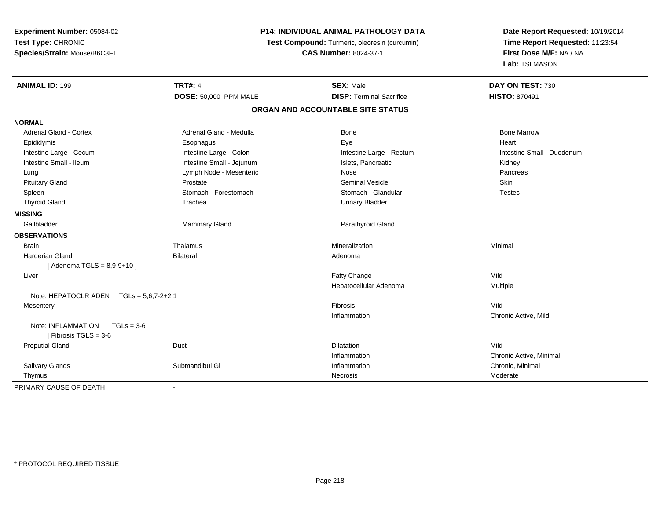| Experiment Number: 05084-02<br>Test Type: CHRONIC               |                           | P14: INDIVIDUAL ANIMAL PATHOLOGY DATA<br>Test Compound: Turmeric, oleoresin (curcumin) | Date Report Requested: 10/19/2014<br>Time Report Requested: 11:23:54 |  |
|-----------------------------------------------------------------|---------------------------|----------------------------------------------------------------------------------------|----------------------------------------------------------------------|--|
| Species/Strain: Mouse/B6C3F1                                    |                           | <b>CAS Number: 8024-37-1</b>                                                           | First Dose M/F: NA / NA<br>Lab: TSI MASON                            |  |
| <b>ANIMAL ID: 199</b>                                           | <b>TRT#: 4</b>            | <b>SEX: Male</b>                                                                       | DAY ON TEST: 730                                                     |  |
|                                                                 | DOSE: 50,000 PPM MALE     | <b>DISP: Terminal Sacrifice</b>                                                        | <b>HISTO: 870491</b>                                                 |  |
|                                                                 |                           | ORGAN AND ACCOUNTABLE SITE STATUS                                                      |                                                                      |  |
| <b>NORMAL</b>                                                   |                           |                                                                                        |                                                                      |  |
| <b>Adrenal Gland - Cortex</b>                                   | Adrenal Gland - Medulla   | Bone                                                                                   | <b>Bone Marrow</b>                                                   |  |
| Epididymis                                                      | Esophagus                 | Eye                                                                                    | Heart                                                                |  |
| Intestine Large - Cecum                                         | Intestine Large - Colon   | Intestine Large - Rectum                                                               | Intestine Small - Duodenum                                           |  |
| Intestine Small - Ileum                                         | Intestine Small - Jejunum | Islets, Pancreatic                                                                     | Kidney                                                               |  |
| Lung                                                            | Lymph Node - Mesenteric   | Nose                                                                                   | Pancreas                                                             |  |
| <b>Pituitary Gland</b>                                          | Prostate                  | <b>Seminal Vesicle</b>                                                                 | Skin                                                                 |  |
| Spleen                                                          | Stomach - Forestomach     | Stomach - Glandular                                                                    | <b>Testes</b>                                                        |  |
| <b>Thyroid Gland</b>                                            | Trachea                   | <b>Urinary Bladder</b>                                                                 |                                                                      |  |
| <b>MISSING</b>                                                  |                           |                                                                                        |                                                                      |  |
| Gallbladder                                                     | Mammary Gland             | Parathyroid Gland                                                                      |                                                                      |  |
| <b>OBSERVATIONS</b>                                             |                           |                                                                                        |                                                                      |  |
| <b>Brain</b>                                                    | Thalamus                  | Mineralization                                                                         | Minimal                                                              |  |
| Harderian Gland                                                 | <b>Bilateral</b>          | Adenoma                                                                                |                                                                      |  |
| [Adenoma TGLS = $8,9-9+10$ ]                                    |                           |                                                                                        |                                                                      |  |
| Liver                                                           |                           | Fatty Change                                                                           | Mild                                                                 |  |
|                                                                 |                           | Hepatocellular Adenoma                                                                 | Multiple                                                             |  |
| Note: HEPATOCLR ADEN TGLs = 5,6,7-2+2.1                         |                           |                                                                                        |                                                                      |  |
| Mesentery                                                       |                           | Fibrosis                                                                               | Mild                                                                 |  |
|                                                                 |                           | Inflammation                                                                           | Chronic Active, Mild                                                 |  |
| Note: INFLAMMATION<br>$TGLs = 3-6$<br>[ Fibrosis TGLS = $3-6$ ] |                           |                                                                                        |                                                                      |  |
| <b>Preputial Gland</b>                                          | Duct                      | <b>Dilatation</b>                                                                      | Mild                                                                 |  |
|                                                                 |                           | Inflammation                                                                           | Chronic Active, Minimal                                              |  |
| Salivary Glands                                                 | Submandibul GI            | Inflammation                                                                           | Chronic, Minimal                                                     |  |
| Thymus                                                          |                           | <b>Necrosis</b>                                                                        | Moderate                                                             |  |
| PRIMARY CAUSE OF DEATH                                          |                           |                                                                                        |                                                                      |  |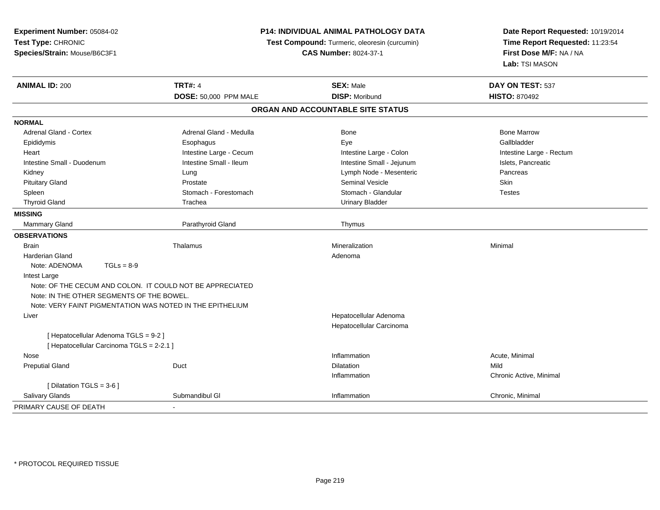| Experiment Number: 05084-02                               | P14: INDIVIDUAL ANIMAL PATHOLOGY DATA |                                               | Date Report Requested: 10/19/2014                          |
|-----------------------------------------------------------|---------------------------------------|-----------------------------------------------|------------------------------------------------------------|
| Test Type: CHRONIC                                        |                                       | Test Compound: Turmeric, oleoresin (curcumin) | Time Report Requested: 11:23:54<br>First Dose M/F: NA / NA |
| Species/Strain: Mouse/B6C3F1                              |                                       | <b>CAS Number: 8024-37-1</b>                  |                                                            |
|                                                           |                                       |                                               | Lab: TSI MASON                                             |
| <b>ANIMAL ID: 200</b>                                     | <b>TRT#: 4</b>                        | <b>SEX: Male</b>                              | DAY ON TEST: 537                                           |
|                                                           | DOSE: 50,000 PPM MALE                 | <b>DISP: Moribund</b>                         | <b>HISTO: 870492</b>                                       |
|                                                           |                                       | ORGAN AND ACCOUNTABLE SITE STATUS             |                                                            |
| <b>NORMAL</b>                                             |                                       |                                               |                                                            |
| Adrenal Gland - Cortex                                    | Adrenal Gland - Medulla               | <b>Bone</b>                                   | <b>Bone Marrow</b>                                         |
| Epididymis                                                | Esophagus                             | Eye                                           | Gallbladder                                                |
| Heart                                                     | Intestine Large - Cecum               | Intestine Large - Colon                       | Intestine Large - Rectum                                   |
| Intestine Small - Duodenum                                | Intestine Small - Ileum               | Intestine Small - Jejunum                     | Islets, Pancreatic                                         |
| Kidney                                                    | Lung                                  | Lymph Node - Mesenteric                       | Pancreas                                                   |
| <b>Pituitary Gland</b>                                    | Prostate                              | <b>Seminal Vesicle</b>                        | Skin                                                       |
| Spleen                                                    | Stomach - Forestomach                 | Stomach - Glandular                           | <b>Testes</b>                                              |
| <b>Thyroid Gland</b>                                      | Trachea                               | <b>Urinary Bladder</b>                        |                                                            |
| <b>MISSING</b>                                            |                                       |                                               |                                                            |
| <b>Mammary Gland</b>                                      | Parathyroid Gland                     | Thymus                                        |                                                            |
| <b>OBSERVATIONS</b>                                       |                                       |                                               |                                                            |
| <b>Brain</b>                                              | Thalamus                              | Mineralization                                | Minimal                                                    |
| <b>Harderian Gland</b>                                    |                                       | Adenoma                                       |                                                            |
| Note: ADENOMA<br>$TGLs = 8-9$                             |                                       |                                               |                                                            |
| Intest Large                                              |                                       |                                               |                                                            |
| Note: OF THE CECUM AND COLON. IT COULD NOT BE APPRECIATED |                                       |                                               |                                                            |
| Note: IN THE OTHER SEGMENTS OF THE BOWEL.                 |                                       |                                               |                                                            |
| Note: VERY FAINT PIGMENTATION WAS NOTED IN THE EPITHELIUM |                                       |                                               |                                                            |
| Liver                                                     |                                       | Hepatocellular Adenoma                        |                                                            |
|                                                           |                                       | Hepatocellular Carcinoma                      |                                                            |
| [ Hepatocellular Adenoma TGLS = 9-2 ]                     |                                       |                                               |                                                            |
| [ Hepatocellular Carcinoma TGLS = 2-2.1 ]                 |                                       |                                               |                                                            |
| Nose                                                      |                                       | Inflammation                                  | Acute, Minimal                                             |
| <b>Preputial Gland</b>                                    | Duct                                  | Dilatation                                    | Mild                                                       |
|                                                           |                                       | Inflammation                                  | Chronic Active, Minimal                                    |
| [ Dilatation TGLS = 3-6 ]                                 |                                       |                                               |                                                            |
| Salivary Glands                                           | Submandibul GI                        | Inflammation                                  | Chronic, Minimal                                           |
| PRIMARY CAUSE OF DEATH                                    |                                       |                                               |                                                            |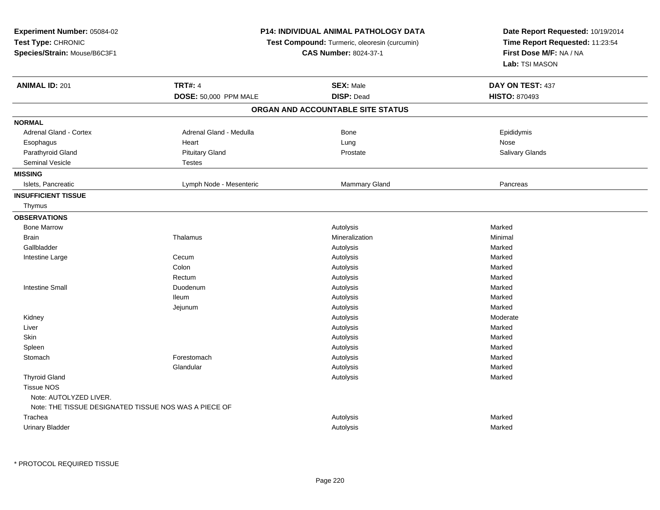| Experiment Number: 05084-02<br>Test Type: CHRONIC<br>Species/Strain: Mouse/B6C3F1 | <b>P14: INDIVIDUAL ANIMAL PATHOLOGY DATA</b><br>Test Compound: Turmeric, oleoresin (curcumin)<br><b>CAS Number: 8024-37-1</b> |                                   | Date Report Requested: 10/19/2014<br>Time Report Requested: 11:23:54<br>First Dose M/F: NA / NA<br>Lab: TSI MASON |
|-----------------------------------------------------------------------------------|-------------------------------------------------------------------------------------------------------------------------------|-----------------------------------|-------------------------------------------------------------------------------------------------------------------|
| <b>ANIMAL ID: 201</b>                                                             | <b>TRT#: 4</b>                                                                                                                | <b>SEX: Male</b>                  | DAY ON TEST: 437                                                                                                  |
|                                                                                   | DOSE: 50,000 PPM MALE                                                                                                         | <b>DISP: Dead</b>                 | <b>HISTO: 870493</b>                                                                                              |
|                                                                                   |                                                                                                                               | ORGAN AND ACCOUNTABLE SITE STATUS |                                                                                                                   |
| <b>NORMAL</b>                                                                     |                                                                                                                               |                                   |                                                                                                                   |
| Adrenal Gland - Cortex                                                            | Adrenal Gland - Medulla                                                                                                       | Bone                              | Epididymis                                                                                                        |
| Esophagus                                                                         | Heart                                                                                                                         | Lung                              | Nose                                                                                                              |
| Parathyroid Gland                                                                 | <b>Pituitary Gland</b>                                                                                                        | Prostate                          | Salivary Glands                                                                                                   |
| Seminal Vesicle                                                                   | <b>Testes</b>                                                                                                                 |                                   |                                                                                                                   |
| <b>MISSING</b>                                                                    |                                                                                                                               |                                   |                                                                                                                   |
| Islets, Pancreatic                                                                | Lymph Node - Mesenteric                                                                                                       | Mammary Gland                     | Pancreas                                                                                                          |
| <b>INSUFFICIENT TISSUE</b>                                                        |                                                                                                                               |                                   |                                                                                                                   |
| Thymus                                                                            |                                                                                                                               |                                   |                                                                                                                   |
| <b>OBSERVATIONS</b>                                                               |                                                                                                                               |                                   |                                                                                                                   |
| <b>Bone Marrow</b>                                                                |                                                                                                                               | Autolysis                         | Marked                                                                                                            |
| <b>Brain</b>                                                                      | Thalamus                                                                                                                      | Mineralization                    | Minimal                                                                                                           |
| Gallbladder                                                                       |                                                                                                                               | Autolysis                         | Marked                                                                                                            |
| Intestine Large                                                                   | Cecum                                                                                                                         | Autolysis                         | Marked                                                                                                            |
|                                                                                   | Colon                                                                                                                         | Autolysis                         | Marked                                                                                                            |
|                                                                                   | Rectum                                                                                                                        | Autolysis                         | Marked                                                                                                            |
| <b>Intestine Small</b>                                                            | Duodenum                                                                                                                      | Autolysis                         | Marked                                                                                                            |
|                                                                                   | <b>Ileum</b>                                                                                                                  | Autolysis                         | Marked                                                                                                            |
|                                                                                   | Jejunum                                                                                                                       | Autolysis                         | Marked                                                                                                            |
| Kidney                                                                            |                                                                                                                               | Autolysis                         | Moderate                                                                                                          |
| Liver                                                                             |                                                                                                                               | Autolysis                         | Marked                                                                                                            |
| Skin                                                                              |                                                                                                                               | Autolysis                         | Marked                                                                                                            |
| Spleen                                                                            |                                                                                                                               | Autolysis                         | Marked                                                                                                            |
| Stomach                                                                           | Forestomach                                                                                                                   | Autolysis                         | Marked                                                                                                            |
|                                                                                   | Glandular                                                                                                                     | Autolysis                         | Marked                                                                                                            |
| <b>Thyroid Gland</b>                                                              |                                                                                                                               | Autolysis                         | Marked                                                                                                            |
| <b>Tissue NOS</b>                                                                 |                                                                                                                               |                                   |                                                                                                                   |
| Note: AUTOLYZED LIVER.                                                            |                                                                                                                               |                                   |                                                                                                                   |
| Note: THE TISSUE DESIGNATED TISSUE NOS WAS A PIECE OF                             |                                                                                                                               |                                   |                                                                                                                   |
| Trachea                                                                           |                                                                                                                               | Autolysis                         | Marked                                                                                                            |
| <b>Urinary Bladder</b>                                                            |                                                                                                                               | Autolysis                         | Marked                                                                                                            |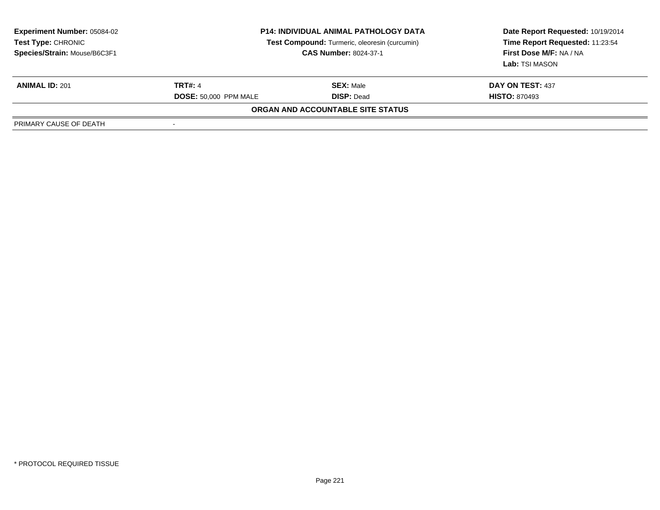| <b>Experiment Number: 05084-02</b><br>Test Type: CHRONIC<br>Species/Strain: Mouse/B6C3F1 | <b>P14: INDIVIDUAL ANIMAL PATHOLOGY DATA</b><br>Test Compound: Turmeric, oleoresin (curcumin)<br><b>CAS Number: 8024-37-1</b> |                                          | Date Report Requested: 10/19/2014<br>Time Report Requested: 11:23:54<br>First Dose M/F: NA / NA<br>Lab: TSI MASON |
|------------------------------------------------------------------------------------------|-------------------------------------------------------------------------------------------------------------------------------|------------------------------------------|-------------------------------------------------------------------------------------------------------------------|
| <b>ANIMAL ID: 201</b>                                                                    | <b>TRT#: 4</b>                                                                                                                | <b>SEX: Male</b>                         | DAY ON TEST: 437                                                                                                  |
|                                                                                          | <b>DOSE: 50.000 PPM MALE</b>                                                                                                  | <b>DISP: Dead</b>                        | <b>HISTO: 870493</b>                                                                                              |
|                                                                                          |                                                                                                                               | <b>ORGAN AND ACCOUNTABLE SITE STATUS</b> |                                                                                                                   |
| PRIMARY CAUSE OF DEATH                                                                   | $\overline{\phantom{a}}$                                                                                                      |                                          |                                                                                                                   |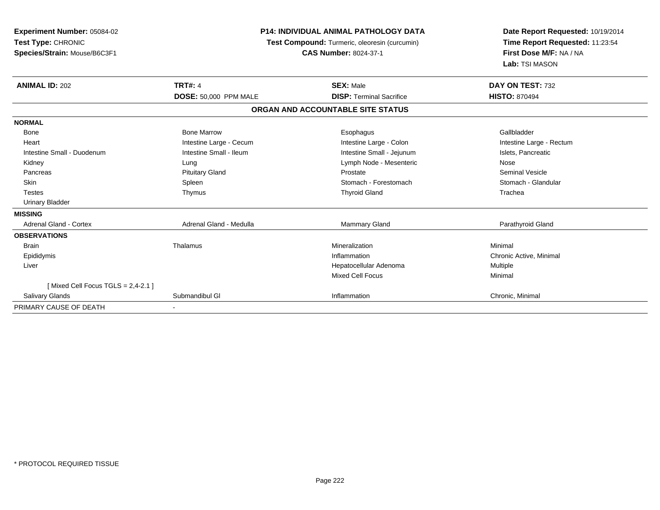| Experiment Number: 05084-02<br>Test Type: CHRONIC<br>Species/Strain: Mouse/B6C3F1 | <b>P14: INDIVIDUAL ANIMAL PATHOLOGY DATA</b><br>Test Compound: Turmeric, oleoresin (curcumin)<br><b>CAS Number: 8024-37-1</b> |                                   | Date Report Requested: 10/19/2014<br>Time Report Requested: 11:23:54<br>First Dose M/F: NA / NA<br>Lab: TSI MASON |  |
|-----------------------------------------------------------------------------------|-------------------------------------------------------------------------------------------------------------------------------|-----------------------------------|-------------------------------------------------------------------------------------------------------------------|--|
| <b>ANIMAL ID: 202</b>                                                             | <b>TRT#: 4</b>                                                                                                                | <b>SEX: Male</b>                  | DAY ON TEST: 732                                                                                                  |  |
|                                                                                   | <b>DOSE: 50,000 PPM MALE</b>                                                                                                  | <b>DISP: Terminal Sacrifice</b>   | <b>HISTO: 870494</b>                                                                                              |  |
|                                                                                   |                                                                                                                               | ORGAN AND ACCOUNTABLE SITE STATUS |                                                                                                                   |  |
| <b>NORMAL</b>                                                                     |                                                                                                                               |                                   |                                                                                                                   |  |
| Bone                                                                              | <b>Bone Marrow</b>                                                                                                            | Esophagus                         | Gallbladder                                                                                                       |  |
| Heart                                                                             | Intestine Large - Cecum                                                                                                       | Intestine Large - Colon           | Intestine Large - Rectum                                                                                          |  |
| Intestine Small - Duodenum                                                        | Intestine Small - Ileum                                                                                                       | Intestine Small - Jejunum         | Islets, Pancreatic                                                                                                |  |
| Kidney                                                                            | Lung                                                                                                                          | Lymph Node - Mesenteric           | Nose                                                                                                              |  |
| Pancreas                                                                          | <b>Pituitary Gland</b>                                                                                                        | Prostate                          | <b>Seminal Vesicle</b>                                                                                            |  |
| Skin                                                                              | Spleen                                                                                                                        | Stomach - Forestomach             | Stomach - Glandular                                                                                               |  |
| <b>Testes</b>                                                                     | Thymus                                                                                                                        | <b>Thyroid Gland</b>              | Trachea                                                                                                           |  |
| <b>Urinary Bladder</b>                                                            |                                                                                                                               |                                   |                                                                                                                   |  |
| <b>MISSING</b>                                                                    |                                                                                                                               |                                   |                                                                                                                   |  |
| <b>Adrenal Gland - Cortex</b>                                                     | Adrenal Gland - Medulla                                                                                                       | <b>Mammary Gland</b>              | Parathyroid Gland                                                                                                 |  |
| <b>OBSERVATIONS</b>                                                               |                                                                                                                               |                                   |                                                                                                                   |  |
| <b>Brain</b>                                                                      | Thalamus                                                                                                                      | Mineralization                    | Minimal                                                                                                           |  |
| Epididymis                                                                        |                                                                                                                               | Inflammation                      | Chronic Active, Minimal                                                                                           |  |
| Liver                                                                             |                                                                                                                               | Hepatocellular Adenoma            | Multiple                                                                                                          |  |
|                                                                                   |                                                                                                                               | <b>Mixed Cell Focus</b>           | Minimal                                                                                                           |  |
| [Mixed Cell Focus TGLS = $2,4-2.1$ ]                                              |                                                                                                                               |                                   |                                                                                                                   |  |
| <b>Salivary Glands</b>                                                            | Submandibul GI                                                                                                                | Inflammation                      | Chronic, Minimal                                                                                                  |  |
| PRIMARY CAUSE OF DEATH                                                            |                                                                                                                               |                                   |                                                                                                                   |  |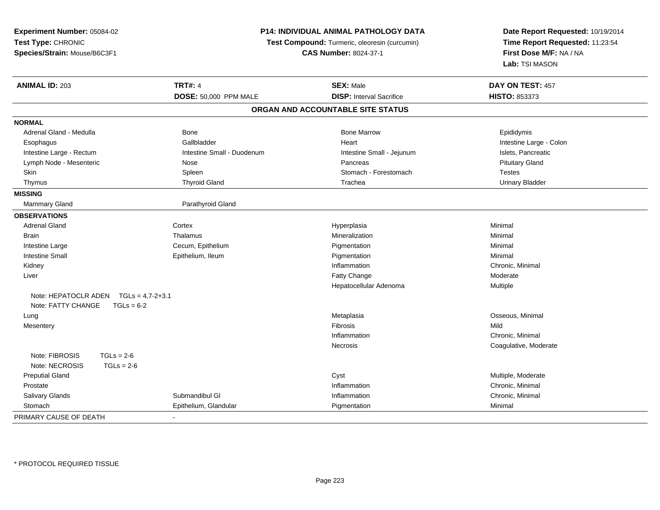| Experiment Number: 05084-02             | <b>P14: INDIVIDUAL ANIMAL PATHOLOGY DATA</b> |                                               | Date Report Requested: 10/19/2014 |
|-----------------------------------------|----------------------------------------------|-----------------------------------------------|-----------------------------------|
| Test Type: CHRONIC                      |                                              | Test Compound: Turmeric, oleoresin (curcumin) | Time Report Requested: 11:23:54   |
| Species/Strain: Mouse/B6C3F1            | <b>CAS Number: 8024-37-1</b>                 |                                               | First Dose M/F: NA / NA           |
|                                         |                                              |                                               | Lab: TSI MASON                    |
| <b>ANIMAL ID: 203</b>                   | <b>TRT#: 4</b>                               | <b>SEX: Male</b>                              | DAY ON TEST: 457                  |
|                                         | DOSE: 50,000 PPM MALE                        | <b>DISP:</b> Interval Sacrifice               | HISTO: 853373                     |
|                                         |                                              | ORGAN AND ACCOUNTABLE SITE STATUS             |                                   |
| <b>NORMAL</b>                           |                                              |                                               |                                   |
| Adrenal Gland - Medulla                 | Bone                                         | <b>Bone Marrow</b>                            | Epididymis                        |
| Esophagus                               | Gallbladder                                  | Heart                                         | Intestine Large - Colon           |
| Intestine Large - Rectum                | Intestine Small - Duodenum                   | Intestine Small - Jejunum                     | Islets, Pancreatic                |
| Lymph Node - Mesenteric                 | Nose                                         | Pancreas                                      | <b>Pituitary Gland</b>            |
| Skin                                    | Spleen                                       | Stomach - Forestomach                         | <b>Testes</b>                     |
| Thymus                                  | <b>Thyroid Gland</b>                         | Trachea                                       | <b>Urinary Bladder</b>            |
| <b>MISSING</b>                          |                                              |                                               |                                   |
| Mammary Gland                           | Parathyroid Gland                            |                                               |                                   |
| <b>OBSERVATIONS</b>                     |                                              |                                               |                                   |
| <b>Adrenal Gland</b>                    | Cortex                                       | Hyperplasia                                   | Minimal                           |
| Brain                                   | Thalamus                                     | Mineralization                                | Minimal                           |
| Intestine Large                         | Cecum, Epithelium                            | Pigmentation                                  | Minimal                           |
| <b>Intestine Small</b>                  | Epithelium, Ileum                            | Pigmentation                                  | Minimal                           |
| Kidney                                  |                                              | Inflammation                                  | Chronic, Minimal                  |
| Liver                                   |                                              | Fatty Change                                  | Moderate                          |
|                                         |                                              | Hepatocellular Adenoma                        | Multiple                          |
| Note: HEPATOCLR ADEN $TGLs = 4.7-2+3.1$ |                                              |                                               |                                   |
| Note: FATTY CHANGE<br>$TGLs = 6-2$      |                                              |                                               |                                   |
| Lung                                    |                                              | Metaplasia                                    | Osseous, Minimal                  |
| Mesentery                               |                                              | Fibrosis                                      | Mild                              |
|                                         |                                              | Inflammation                                  | Chronic, Minimal                  |
|                                         |                                              | Necrosis                                      | Coagulative, Moderate             |
| Note: FIBROSIS<br>$TGLs = 2-6$          |                                              |                                               |                                   |
| Note: NECROSIS<br>$TGLs = 2-6$          |                                              |                                               |                                   |
| <b>Preputial Gland</b>                  |                                              | Cyst                                          | Multiple, Moderate                |
| Prostate                                |                                              | Inflammation                                  | Chronic, Minimal                  |
| Salivary Glands                         | Submandibul GI                               | Inflammation                                  | Chronic, Minimal                  |
| Stomach                                 | Epithelium, Glandular                        | Pigmentation                                  | Minimal                           |
| PRIMARY CAUSE OF DEATH                  |                                              |                                               |                                   |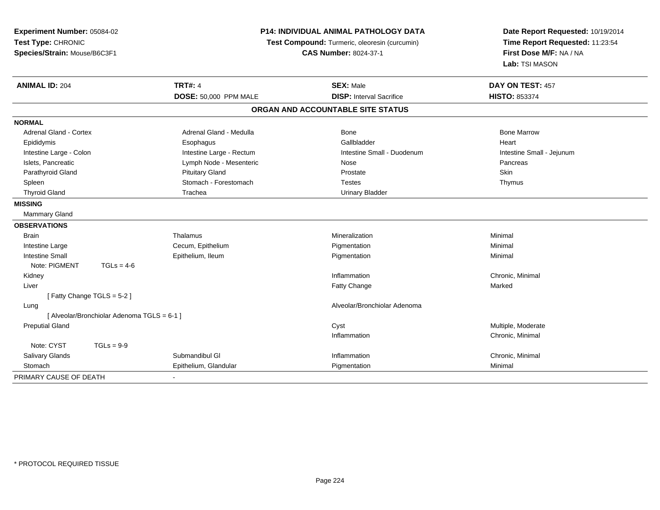| Experiment Number: 05084-02<br>Test Type: CHRONIC<br>Species/Strain: Mouse/B6C3F1 |                                             | <b>P14: INDIVIDUAL ANIMAL PATHOLOGY DATA</b><br>Test Compound: Turmeric, oleoresin (curcumin)<br><b>CAS Number: 8024-37-1</b> |                                   | Date Report Requested: 10/19/2014<br>Time Report Requested: 11:23:54<br>First Dose M/F: NA / NA<br>Lab: TSI MASON |
|-----------------------------------------------------------------------------------|---------------------------------------------|-------------------------------------------------------------------------------------------------------------------------------|-----------------------------------|-------------------------------------------------------------------------------------------------------------------|
| <b>ANIMAL ID: 204</b>                                                             |                                             | <b>TRT#: 4</b>                                                                                                                | <b>SEX: Male</b>                  | DAY ON TEST: 457                                                                                                  |
|                                                                                   |                                             | DOSE: 50,000 PPM MALE                                                                                                         | <b>DISP: Interval Sacrifice</b>   | <b>HISTO: 853374</b>                                                                                              |
|                                                                                   |                                             |                                                                                                                               | ORGAN AND ACCOUNTABLE SITE STATUS |                                                                                                                   |
| <b>NORMAL</b>                                                                     |                                             |                                                                                                                               |                                   |                                                                                                                   |
| Adrenal Gland - Cortex                                                            |                                             | Adrenal Gland - Medulla                                                                                                       | Bone                              | <b>Bone Marrow</b>                                                                                                |
| Epididymis                                                                        |                                             | Esophagus                                                                                                                     | Gallbladder                       | Heart                                                                                                             |
| Intestine Large - Colon                                                           |                                             | Intestine Large - Rectum                                                                                                      | Intestine Small - Duodenum        | Intestine Small - Jejunum                                                                                         |
| Islets, Pancreatic                                                                |                                             | Lymph Node - Mesenteric                                                                                                       | Nose                              | Pancreas                                                                                                          |
| Parathyroid Gland                                                                 |                                             | <b>Pituitary Gland</b>                                                                                                        | Prostate                          | Skin                                                                                                              |
| Spleen                                                                            |                                             | Stomach - Forestomach                                                                                                         | <b>Testes</b>                     | Thymus                                                                                                            |
| <b>Thyroid Gland</b>                                                              |                                             | Trachea                                                                                                                       | <b>Urinary Bladder</b>            |                                                                                                                   |
| <b>MISSING</b>                                                                    |                                             |                                                                                                                               |                                   |                                                                                                                   |
| Mammary Gland                                                                     |                                             |                                                                                                                               |                                   |                                                                                                                   |
| <b>OBSERVATIONS</b>                                                               |                                             |                                                                                                                               |                                   |                                                                                                                   |
| Brain                                                                             |                                             | Thalamus                                                                                                                      | Mineralization                    | Minimal                                                                                                           |
| Intestine Large                                                                   |                                             | Cecum, Epithelium                                                                                                             | Pigmentation                      | Minimal                                                                                                           |
| <b>Intestine Small</b>                                                            |                                             | Epithelium, Ileum                                                                                                             | Pigmentation                      | Minimal                                                                                                           |
| Note: PIGMENT                                                                     | $TGLs = 4-6$                                |                                                                                                                               |                                   |                                                                                                                   |
| Kidney                                                                            |                                             |                                                                                                                               | Inflammation                      | Chronic, Minimal                                                                                                  |
| Liver                                                                             |                                             |                                                                                                                               | <b>Fatty Change</b>               | Marked                                                                                                            |
|                                                                                   | [Fatty Change TGLS = 5-2]                   |                                                                                                                               |                                   |                                                                                                                   |
| Lung                                                                              |                                             |                                                                                                                               | Alveolar/Bronchiolar Adenoma      |                                                                                                                   |
|                                                                                   | [ Alveolar/Bronchiolar Adenoma TGLS = 6-1 ] |                                                                                                                               |                                   |                                                                                                                   |
| <b>Preputial Gland</b>                                                            |                                             |                                                                                                                               | Cyst                              | Multiple, Moderate                                                                                                |
|                                                                                   |                                             |                                                                                                                               | Inflammation                      | Chronic, Minimal                                                                                                  |
| Note: CYST                                                                        | $TGLs = 9-9$                                |                                                                                                                               |                                   |                                                                                                                   |
| <b>Salivary Glands</b>                                                            |                                             | Submandibul GI                                                                                                                | Inflammation                      | Chronic, Minimal                                                                                                  |
| Stomach                                                                           |                                             | Epithelium, Glandular                                                                                                         | Pigmentation                      | Minimal                                                                                                           |
| PRIMARY CAUSE OF DEATH                                                            |                                             |                                                                                                                               |                                   |                                                                                                                   |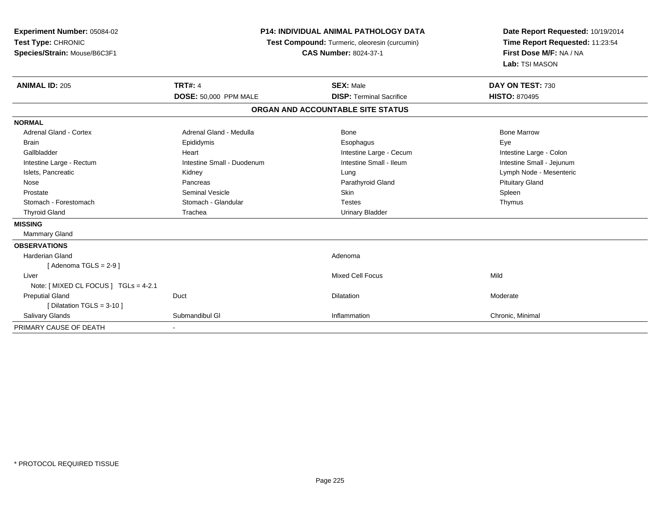| <b>Experiment Number: 05084-02</b><br>Test Type: CHRONIC<br>Species/Strain: Mouse/B6C3F1 | <b>P14: INDIVIDUAL ANIMAL PATHOLOGY DATA</b><br>Test Compound: Turmeric, oleoresin (curcumin)<br><b>CAS Number: 8024-37-1</b> |                                   | Date Report Requested: 10/19/2014<br>Time Report Requested: 11:23:54<br>First Dose M/F: NA / NA<br>Lab: TSI MASON |  |
|------------------------------------------------------------------------------------------|-------------------------------------------------------------------------------------------------------------------------------|-----------------------------------|-------------------------------------------------------------------------------------------------------------------|--|
| <b>ANIMAL ID: 205</b>                                                                    | <b>TRT#: 4</b>                                                                                                                | <b>SEX: Male</b>                  | DAY ON TEST: 730                                                                                                  |  |
|                                                                                          | DOSE: 50,000 PPM MALE                                                                                                         | <b>DISP: Terminal Sacrifice</b>   | <b>HISTO: 870495</b>                                                                                              |  |
|                                                                                          |                                                                                                                               | ORGAN AND ACCOUNTABLE SITE STATUS |                                                                                                                   |  |
| <b>NORMAL</b>                                                                            |                                                                                                                               |                                   |                                                                                                                   |  |
| <b>Adrenal Gland - Cortex</b>                                                            | Adrenal Gland - Medulla                                                                                                       | Bone                              | <b>Bone Marrow</b>                                                                                                |  |
| <b>Brain</b>                                                                             | Epididymis                                                                                                                    | Esophagus                         | Eye                                                                                                               |  |
| Gallbladder                                                                              | Heart                                                                                                                         | Intestine Large - Cecum           | Intestine Large - Colon                                                                                           |  |
| Intestine Large - Rectum                                                                 | Intestine Small - Duodenum                                                                                                    | Intestine Small - Ileum           | Intestine Small - Jejunum                                                                                         |  |
| Islets, Pancreatic                                                                       | Kidney                                                                                                                        | Lung                              | Lymph Node - Mesenteric                                                                                           |  |
| Nose                                                                                     | Pancreas                                                                                                                      | Parathyroid Gland                 | <b>Pituitary Gland</b>                                                                                            |  |
| Prostate                                                                                 | <b>Seminal Vesicle</b>                                                                                                        | <b>Skin</b>                       | Spleen                                                                                                            |  |
| Stomach - Forestomach                                                                    | Stomach - Glandular                                                                                                           | <b>Testes</b>                     | Thymus                                                                                                            |  |
| <b>Thyroid Gland</b>                                                                     | Trachea                                                                                                                       | <b>Urinary Bladder</b>            |                                                                                                                   |  |
| <b>MISSING</b>                                                                           |                                                                                                                               |                                   |                                                                                                                   |  |
| Mammary Gland                                                                            |                                                                                                                               |                                   |                                                                                                                   |  |
| <b>OBSERVATIONS</b>                                                                      |                                                                                                                               |                                   |                                                                                                                   |  |
| <b>Harderian Gland</b>                                                                   |                                                                                                                               | Adenoma                           |                                                                                                                   |  |
| [Adenoma TGLS = $2-9$ ]                                                                  |                                                                                                                               |                                   |                                                                                                                   |  |
| Liver                                                                                    |                                                                                                                               | <b>Mixed Cell Focus</b>           | Mild                                                                                                              |  |
| Note: [ MIXED CL FOCUS ] TGLs = 4-2.1                                                    |                                                                                                                               |                                   |                                                                                                                   |  |
| <b>Preputial Gland</b>                                                                   | Duct                                                                                                                          | Dilatation                        | Moderate                                                                                                          |  |
| [ Dilatation TGLS = $3-10$ ]                                                             |                                                                                                                               |                                   |                                                                                                                   |  |
| Salivary Glands                                                                          | Submandibul GI                                                                                                                | Inflammation                      | Chronic, Minimal                                                                                                  |  |
| PRIMARY CAUSE OF DEATH                                                                   |                                                                                                                               |                                   |                                                                                                                   |  |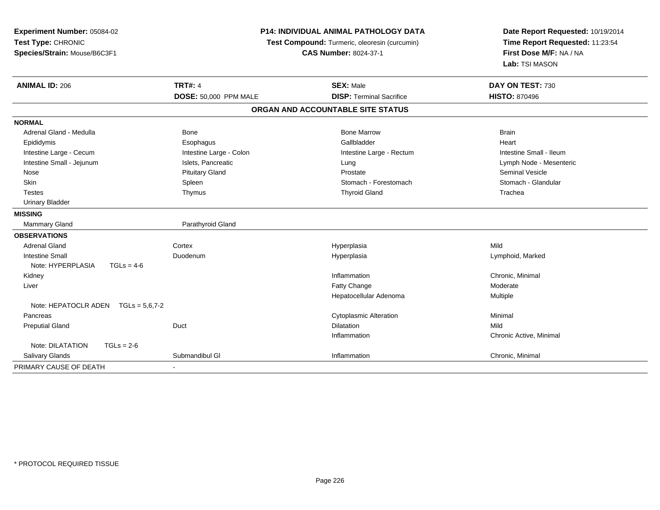| Experiment Number: 05084-02<br>Test Type: CHRONIC<br>Species/Strain: Mouse/B6C3F1 | P14: INDIVIDUAL ANIMAL PATHOLOGY DATA<br>Test Compound: Turmeric, oleoresin (curcumin)<br><b>CAS Number: 8024-37-1</b> |                                   | Date Report Requested: 10/19/2014<br>Time Report Requested: 11:23:54<br>First Dose M/F: NA / NA<br>Lab: TSI MASON |  |
|-----------------------------------------------------------------------------------|------------------------------------------------------------------------------------------------------------------------|-----------------------------------|-------------------------------------------------------------------------------------------------------------------|--|
| <b>ANIMAL ID: 206</b>                                                             | <b>TRT#: 4</b>                                                                                                         | <b>SEX: Male</b>                  | DAY ON TEST: 730                                                                                                  |  |
|                                                                                   | DOSE: 50,000 PPM MALE                                                                                                  | <b>DISP: Terminal Sacrifice</b>   | <b>HISTO: 870496</b>                                                                                              |  |
|                                                                                   |                                                                                                                        | ORGAN AND ACCOUNTABLE SITE STATUS |                                                                                                                   |  |
| <b>NORMAL</b>                                                                     |                                                                                                                        |                                   |                                                                                                                   |  |
| Adrenal Gland - Medulla                                                           | Bone                                                                                                                   | <b>Bone Marrow</b>                | <b>Brain</b>                                                                                                      |  |
| Epididymis                                                                        | Esophagus                                                                                                              | Gallbladder                       | Heart                                                                                                             |  |
| Intestine Large - Cecum                                                           | Intestine Large - Colon                                                                                                | Intestine Large - Rectum          | Intestine Small - Ileum                                                                                           |  |
| Intestine Small - Jejunum                                                         | Islets, Pancreatic                                                                                                     | Lung                              | Lymph Node - Mesenteric                                                                                           |  |
| Nose                                                                              | <b>Pituitary Gland</b>                                                                                                 | Prostate                          | <b>Seminal Vesicle</b>                                                                                            |  |
| Skin                                                                              | Spleen                                                                                                                 | Stomach - Forestomach             | Stomach - Glandular                                                                                               |  |
| <b>Testes</b>                                                                     | Thymus                                                                                                                 | <b>Thyroid Gland</b>              | Trachea                                                                                                           |  |
| <b>Urinary Bladder</b>                                                            |                                                                                                                        |                                   |                                                                                                                   |  |
| <b>MISSING</b>                                                                    |                                                                                                                        |                                   |                                                                                                                   |  |
| Mammary Gland                                                                     | Parathyroid Gland                                                                                                      |                                   |                                                                                                                   |  |
| <b>OBSERVATIONS</b>                                                               |                                                                                                                        |                                   |                                                                                                                   |  |
| <b>Adrenal Gland</b>                                                              | Cortex                                                                                                                 | Hyperplasia                       | Mild                                                                                                              |  |
| <b>Intestine Small</b>                                                            | Duodenum                                                                                                               | Hyperplasia                       | Lymphoid, Marked                                                                                                  |  |
| Note: HYPERPLASIA<br>$TGLs = 4-6$                                                 |                                                                                                                        |                                   |                                                                                                                   |  |
| Kidney                                                                            |                                                                                                                        | Inflammation                      | Chronic, Minimal                                                                                                  |  |
| Liver                                                                             |                                                                                                                        | Fatty Change                      | Moderate                                                                                                          |  |
|                                                                                   |                                                                                                                        | Hepatocellular Adenoma            | Multiple                                                                                                          |  |
| Note: HEPATOCLR ADEN $TGLs = 5.6.7-2$                                             |                                                                                                                        |                                   |                                                                                                                   |  |
| Pancreas                                                                          |                                                                                                                        | <b>Cytoplasmic Alteration</b>     | Minimal                                                                                                           |  |
| <b>Preputial Gland</b>                                                            | Duct                                                                                                                   | <b>Dilatation</b>                 | Mild                                                                                                              |  |
|                                                                                   |                                                                                                                        | Inflammation                      | Chronic Active, Minimal                                                                                           |  |
| Note: DILATATION<br>$TGLs = 2-6$                                                  |                                                                                                                        |                                   |                                                                                                                   |  |
| <b>Salivary Glands</b>                                                            | Submandibul GI                                                                                                         | Inflammation                      | Chronic, Minimal                                                                                                  |  |
| PRIMARY CAUSE OF DEATH                                                            |                                                                                                                        |                                   |                                                                                                                   |  |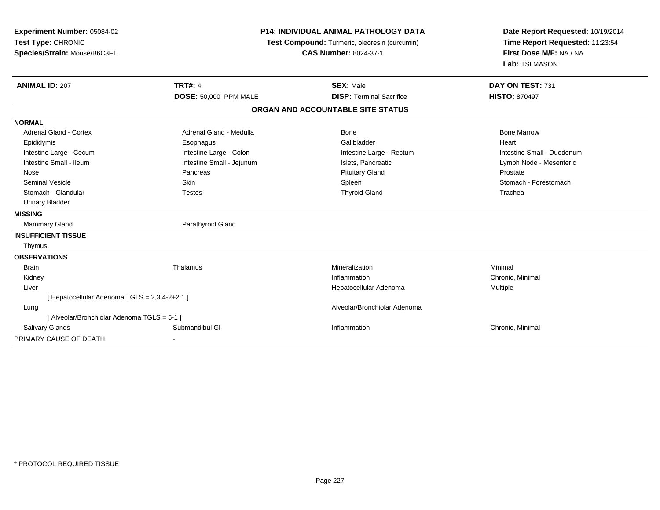| Experiment Number: 05084-02<br>Test Type: CHRONIC<br>Species/Strain: Mouse/B6C3F1 | <b>P14: INDIVIDUAL ANIMAL PATHOLOGY DATA</b><br>Test Compound: Turmeric, oleoresin (curcumin)<br><b>CAS Number: 8024-37-1</b> |                                                     | Date Report Requested: 10/19/2014<br>Time Report Requested: 11:23:54<br>First Dose M/F: NA / NA<br>Lab: TSI MASON |  |
|-----------------------------------------------------------------------------------|-------------------------------------------------------------------------------------------------------------------------------|-----------------------------------------------------|-------------------------------------------------------------------------------------------------------------------|--|
| <b>ANIMAL ID: 207</b>                                                             | <b>TRT#: 4</b><br><b>DOSE: 50,000 PPM MALE</b>                                                                                | <b>SEX: Male</b><br><b>DISP: Terminal Sacrifice</b> | DAY ON TEST: 731<br><b>HISTO: 870497</b>                                                                          |  |
|                                                                                   |                                                                                                                               |                                                     |                                                                                                                   |  |
|                                                                                   |                                                                                                                               | ORGAN AND ACCOUNTABLE SITE STATUS                   |                                                                                                                   |  |
| <b>NORMAL</b>                                                                     |                                                                                                                               |                                                     |                                                                                                                   |  |
| <b>Adrenal Gland - Cortex</b>                                                     | Adrenal Gland - Medulla                                                                                                       | Bone                                                | <b>Bone Marrow</b>                                                                                                |  |
| Epididymis                                                                        | Esophagus                                                                                                                     | Gallbladder                                         | Heart                                                                                                             |  |
| Intestine Large - Cecum                                                           | Intestine Large - Colon                                                                                                       | Intestine Large - Rectum                            | Intestine Small - Duodenum                                                                                        |  |
| Intestine Small - Ileum                                                           | Intestine Small - Jejunum                                                                                                     | Islets, Pancreatic                                  | Lymph Node - Mesenteric                                                                                           |  |
| Nose                                                                              | Pancreas                                                                                                                      | <b>Pituitary Gland</b>                              | Prostate                                                                                                          |  |
| <b>Seminal Vesicle</b>                                                            | Skin                                                                                                                          | Spleen                                              | Stomach - Forestomach                                                                                             |  |
| Stomach - Glandular                                                               | <b>Testes</b>                                                                                                                 | <b>Thyroid Gland</b>                                | Trachea                                                                                                           |  |
| <b>Urinary Bladder</b>                                                            |                                                                                                                               |                                                     |                                                                                                                   |  |
| <b>MISSING</b>                                                                    |                                                                                                                               |                                                     |                                                                                                                   |  |
| <b>Mammary Gland</b>                                                              | Parathyroid Gland                                                                                                             |                                                     |                                                                                                                   |  |
| <b>INSUFFICIENT TISSUE</b>                                                        |                                                                                                                               |                                                     |                                                                                                                   |  |
| Thymus                                                                            |                                                                                                                               |                                                     |                                                                                                                   |  |
| <b>OBSERVATIONS</b>                                                               |                                                                                                                               |                                                     |                                                                                                                   |  |
| <b>Brain</b>                                                                      | Thalamus                                                                                                                      | Mineralization                                      | Minimal                                                                                                           |  |
| Kidney                                                                            |                                                                                                                               | Inflammation                                        | Chronic, Minimal                                                                                                  |  |
| Liver                                                                             |                                                                                                                               | Hepatocellular Adenoma                              | Multiple                                                                                                          |  |
| [ Hepatocellular Adenoma TGLS = 2,3,4-2+2.1 ]                                     |                                                                                                                               |                                                     |                                                                                                                   |  |
| Lung                                                                              |                                                                                                                               | Alveolar/Bronchiolar Adenoma                        |                                                                                                                   |  |
| [ Alveolar/Bronchiolar Adenoma TGLS = 5-1 ]                                       |                                                                                                                               |                                                     |                                                                                                                   |  |
| Salivary Glands                                                                   | Submandibul GI                                                                                                                | Inflammation                                        | Chronic, Minimal                                                                                                  |  |
| PRIMARY CAUSE OF DEATH                                                            |                                                                                                                               |                                                     |                                                                                                                   |  |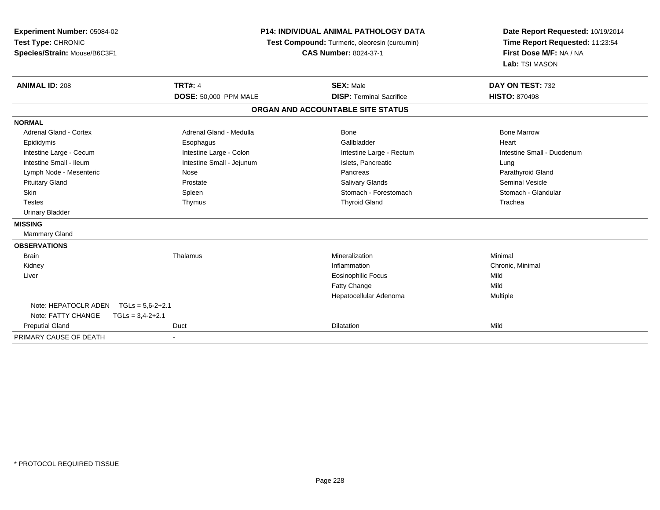| Experiment Number: 05084-02<br>Test Type: CHRONIC<br>Species/Strain: Mouse/B6C3F1 | <b>P14: INDIVIDUAL ANIMAL PATHOLOGY DATA</b><br>Test Compound: Turmeric, oleoresin (curcumin)<br><b>CAS Number: 8024-37-1</b> |                                   | Date Report Requested: 10/19/2014<br>Time Report Requested: 11:23:54<br>First Dose M/F: NA / NA<br>Lab: TSI MASON |  |
|-----------------------------------------------------------------------------------|-------------------------------------------------------------------------------------------------------------------------------|-----------------------------------|-------------------------------------------------------------------------------------------------------------------|--|
| <b>ANIMAL ID: 208</b>                                                             | <b>TRT#: 4</b>                                                                                                                | <b>SEX: Male</b>                  | DAY ON TEST: 732                                                                                                  |  |
|                                                                                   | DOSE: 50,000 PPM MALE                                                                                                         | <b>DISP: Terminal Sacrifice</b>   | <b>HISTO: 870498</b>                                                                                              |  |
|                                                                                   |                                                                                                                               | ORGAN AND ACCOUNTABLE SITE STATUS |                                                                                                                   |  |
| <b>NORMAL</b>                                                                     |                                                                                                                               |                                   |                                                                                                                   |  |
| Adrenal Gland - Cortex                                                            | Adrenal Gland - Medulla                                                                                                       | Bone                              | <b>Bone Marrow</b>                                                                                                |  |
| Epididymis                                                                        | Esophagus                                                                                                                     | Gallbladder                       | Heart                                                                                                             |  |
| Intestine Large - Cecum                                                           | Intestine Large - Colon                                                                                                       | Intestine Large - Rectum          | Intestine Small - Duodenum                                                                                        |  |
| Intestine Small - Ileum                                                           | Intestine Small - Jejunum                                                                                                     | Islets, Pancreatic                | Lung                                                                                                              |  |
| Lymph Node - Mesenteric                                                           | Nose                                                                                                                          | Pancreas                          | Parathyroid Gland                                                                                                 |  |
| <b>Pituitary Gland</b>                                                            | Prostate                                                                                                                      | <b>Salivary Glands</b>            | <b>Seminal Vesicle</b>                                                                                            |  |
| Skin                                                                              | Spleen                                                                                                                        | Stomach - Forestomach             | Stomach - Glandular                                                                                               |  |
| <b>Testes</b>                                                                     | Thymus                                                                                                                        | <b>Thyroid Gland</b>              | Trachea                                                                                                           |  |
| <b>Urinary Bladder</b>                                                            |                                                                                                                               |                                   |                                                                                                                   |  |
| <b>MISSING</b>                                                                    |                                                                                                                               |                                   |                                                                                                                   |  |
| <b>Mammary Gland</b>                                                              |                                                                                                                               |                                   |                                                                                                                   |  |
| <b>OBSERVATIONS</b>                                                               |                                                                                                                               |                                   |                                                                                                                   |  |
| <b>Brain</b>                                                                      | Thalamus                                                                                                                      | Mineralization                    | Minimal                                                                                                           |  |
| Kidney                                                                            |                                                                                                                               | Inflammation                      | Chronic, Minimal                                                                                                  |  |
| Liver                                                                             |                                                                                                                               | <b>Eosinophilic Focus</b>         | Mild                                                                                                              |  |
|                                                                                   |                                                                                                                               | Fatty Change                      | Mild                                                                                                              |  |
|                                                                                   |                                                                                                                               | Hepatocellular Adenoma            | Multiple                                                                                                          |  |
| Note: HEPATOCLR ADEN<br>$TGLs = 5.6 - 2 + 2.1$                                    |                                                                                                                               |                                   |                                                                                                                   |  |
| Note: FATTY CHANGE<br>$TGLs = 3,4-2+2.1$                                          |                                                                                                                               |                                   |                                                                                                                   |  |
| <b>Preputial Gland</b>                                                            | Duct                                                                                                                          | Dilatation                        | Mild                                                                                                              |  |

PRIMARY CAUSE OF DEATH-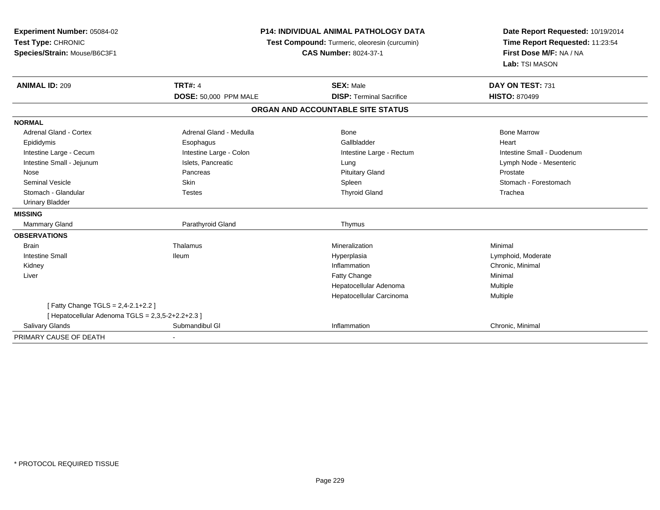| <b>Experiment Number: 05084-02</b><br>Test Type: CHRONIC | <b>P14: INDIVIDUAL ANIMAL PATHOLOGY DATA</b> |                                                                               | Date Report Requested: 10/19/2014<br>Time Report Requested: 11:23:54 |
|----------------------------------------------------------|----------------------------------------------|-------------------------------------------------------------------------------|----------------------------------------------------------------------|
| Species/Strain: Mouse/B6C3F1                             |                                              | Test Compound: Turmeric, oleoresin (curcumin)<br><b>CAS Number: 8024-37-1</b> |                                                                      |
|                                                          |                                              |                                                                               | Lab: TSI MASON                                                       |
| <b>ANIMAL ID: 209</b>                                    | <b>TRT#: 4</b>                               | <b>SEX: Male</b>                                                              | DAY ON TEST: 731                                                     |
|                                                          | <b>DOSE: 50,000 PPM MALE</b>                 | <b>DISP: Terminal Sacrifice</b>                                               | <b>HISTO: 870499</b>                                                 |
|                                                          |                                              | ORGAN AND ACCOUNTABLE SITE STATUS                                             |                                                                      |
| <b>NORMAL</b>                                            |                                              |                                                                               |                                                                      |
| <b>Adrenal Gland - Cortex</b>                            | Adrenal Gland - Medulla                      | Bone                                                                          | <b>Bone Marrow</b>                                                   |
| Epididymis                                               | Esophagus                                    | Gallbladder                                                                   | Heart                                                                |
| Intestine Large - Cecum                                  | Intestine Large - Colon                      | Intestine Large - Rectum                                                      | Intestine Small - Duodenum                                           |
| Intestine Small - Jejunum                                | Islets, Pancreatic                           | Lung                                                                          | Lymph Node - Mesenteric                                              |
| Nose                                                     | Pancreas                                     | <b>Pituitary Gland</b>                                                        | Prostate                                                             |
| <b>Seminal Vesicle</b>                                   | Skin                                         | Spleen                                                                        | Stomach - Forestomach                                                |
| Stomach - Glandular                                      | <b>Testes</b>                                | <b>Thyroid Gland</b>                                                          | Trachea                                                              |
| <b>Urinary Bladder</b>                                   |                                              |                                                                               |                                                                      |
| <b>MISSING</b>                                           |                                              |                                                                               |                                                                      |
| <b>Mammary Gland</b>                                     | Parathyroid Gland                            | Thymus                                                                        |                                                                      |
| <b>OBSERVATIONS</b>                                      |                                              |                                                                               |                                                                      |
| <b>Brain</b>                                             | Thalamus                                     | Mineralization                                                                | Minimal                                                              |
| <b>Intestine Small</b>                                   | <b>Ileum</b>                                 | Hyperplasia                                                                   | Lymphoid, Moderate                                                   |
| Kidney                                                   |                                              | Inflammation                                                                  | Chronic, Minimal                                                     |
| Liver                                                    |                                              | <b>Fatty Change</b>                                                           | Minimal                                                              |
|                                                          |                                              | Hepatocellular Adenoma                                                        | Multiple                                                             |
|                                                          |                                              | Hepatocellular Carcinoma                                                      | Multiple                                                             |
| [Fatty Change TGLS = 2,4-2.1+2.2 ]                       |                                              |                                                                               |                                                                      |
| [ Hepatocellular Adenoma TGLS = 2,3,5-2+2.2+2.3 ]        |                                              |                                                                               |                                                                      |
| Salivary Glands                                          | Submandibul GI                               | Inflammation                                                                  | Chronic, Minimal                                                     |
| PRIMARY CAUSE OF DEATH                                   |                                              |                                                                               |                                                                      |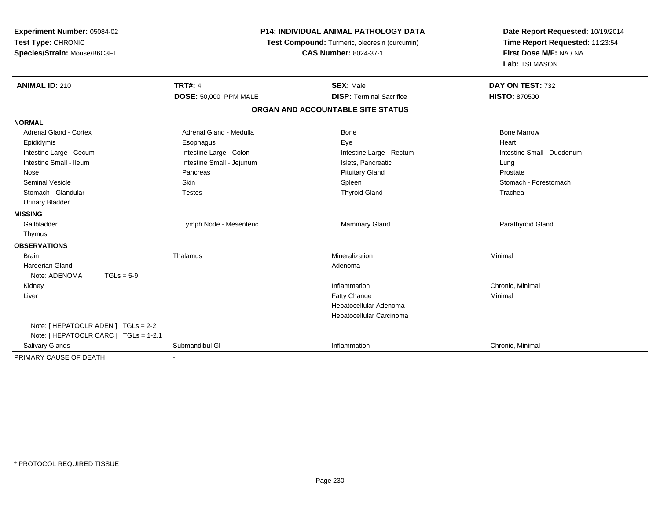| Experiment Number: 05084-02<br>Test Type: CHRONIC<br>Species/Strain: Mouse/B6C3F1 | <b>P14: INDIVIDUAL ANIMAL PATHOLOGY DATA</b><br>Test Compound: Turmeric, oleoresin (curcumin)<br><b>CAS Number: 8024-37-1</b> |                                   | Date Report Requested: 10/19/2014<br>Time Report Requested: 11:23:54<br>First Dose M/F: NA / NA<br>Lab: TSI MASON |
|-----------------------------------------------------------------------------------|-------------------------------------------------------------------------------------------------------------------------------|-----------------------------------|-------------------------------------------------------------------------------------------------------------------|
| <b>ANIMAL ID: 210</b>                                                             | <b>TRT#: 4</b>                                                                                                                | <b>SEX: Male</b>                  | DAY ON TEST: 732                                                                                                  |
|                                                                                   | <b>DOSE: 50,000 PPM MALE</b>                                                                                                  | <b>DISP: Terminal Sacrifice</b>   | <b>HISTO: 870500</b>                                                                                              |
|                                                                                   |                                                                                                                               | ORGAN AND ACCOUNTABLE SITE STATUS |                                                                                                                   |
| <b>NORMAL</b>                                                                     |                                                                                                                               |                                   |                                                                                                                   |
| <b>Adrenal Gland - Cortex</b>                                                     | Adrenal Gland - Medulla                                                                                                       | Bone                              | <b>Bone Marrow</b>                                                                                                |
| Epididymis                                                                        | Esophagus                                                                                                                     | Eye                               | Heart                                                                                                             |
| Intestine Large - Cecum                                                           | Intestine Large - Colon                                                                                                       | Intestine Large - Rectum          | Intestine Small - Duodenum                                                                                        |
| Intestine Small - Ileum                                                           | Intestine Small - Jejunum                                                                                                     | Islets, Pancreatic                | Lung                                                                                                              |
| Nose                                                                              | Pancreas                                                                                                                      | <b>Pituitary Gland</b>            | Prostate                                                                                                          |
| <b>Seminal Vesicle</b>                                                            | Skin                                                                                                                          | Spleen                            | Stomach - Forestomach                                                                                             |
| Stomach - Glandular                                                               | <b>Testes</b>                                                                                                                 | <b>Thyroid Gland</b>              | Trachea                                                                                                           |
| <b>Urinary Bladder</b>                                                            |                                                                                                                               |                                   |                                                                                                                   |
| <b>MISSING</b>                                                                    |                                                                                                                               |                                   |                                                                                                                   |
| Gallbladder                                                                       | Lymph Node - Mesenteric                                                                                                       | <b>Mammary Gland</b>              | Parathyroid Gland                                                                                                 |
| Thymus                                                                            |                                                                                                                               |                                   |                                                                                                                   |
| <b>OBSERVATIONS</b>                                                               |                                                                                                                               |                                   |                                                                                                                   |
| <b>Brain</b>                                                                      | Thalamus                                                                                                                      | Mineralization                    | Minimal                                                                                                           |
| <b>Harderian Gland</b>                                                            |                                                                                                                               | Adenoma                           |                                                                                                                   |
| Note: ADENOMA<br>$TGLs = 5-9$                                                     |                                                                                                                               |                                   |                                                                                                                   |
| Kidney                                                                            |                                                                                                                               | Inflammation                      | Chronic, Minimal                                                                                                  |
| Liver                                                                             |                                                                                                                               | Fatty Change                      | Minimal                                                                                                           |
|                                                                                   |                                                                                                                               | Hepatocellular Adenoma            |                                                                                                                   |
|                                                                                   |                                                                                                                               | Hepatocellular Carcinoma          |                                                                                                                   |
| Note: [ HEPATOCLR ADEN ] TGLs = 2-2                                               |                                                                                                                               |                                   |                                                                                                                   |
| Note: [ HEPATOCLR CARC ] TGLs = 1-2.1                                             |                                                                                                                               |                                   |                                                                                                                   |
| Salivary Glands                                                                   | Submandibul GI                                                                                                                | Inflammation                      | Chronic, Minimal                                                                                                  |
| PRIMARY CAUSE OF DEATH                                                            |                                                                                                                               |                                   |                                                                                                                   |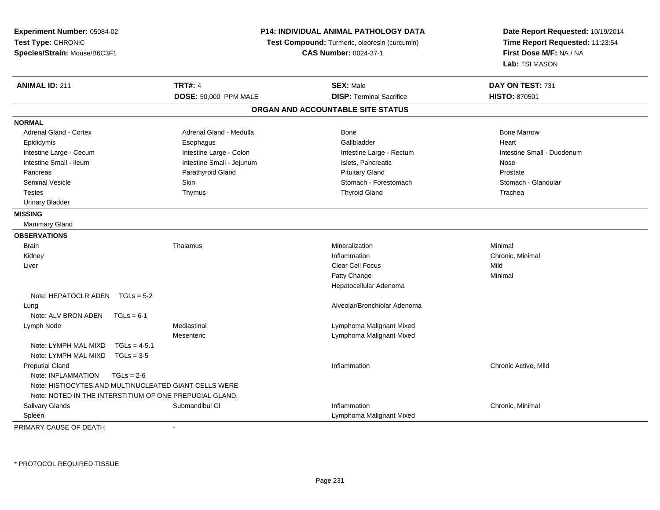| Experiment Number: 05084-02<br>Test Type: CHRONIC<br>Species/Strain: Mouse/B6C3F1 |                           | P14: INDIVIDUAL ANIMAL PATHOLOGY DATA<br>Test Compound: Turmeric, oleoresin (curcumin)<br><b>CAS Number: 8024-37-1</b> | Date Report Requested: 10/19/2014<br>Time Report Requested: 11:23:54<br>First Dose M/F: NA / NA |
|-----------------------------------------------------------------------------------|---------------------------|------------------------------------------------------------------------------------------------------------------------|-------------------------------------------------------------------------------------------------|
|                                                                                   |                           |                                                                                                                        | Lab: TSI MASON                                                                                  |
| <b>ANIMAL ID: 211</b>                                                             | <b>TRT#: 4</b>            | <b>SEX: Male</b>                                                                                                       | DAY ON TEST: 731                                                                                |
|                                                                                   | DOSE: 50,000 PPM MALE     | <b>DISP: Terminal Sacrifice</b>                                                                                        | <b>HISTO: 870501</b>                                                                            |
|                                                                                   |                           | ORGAN AND ACCOUNTABLE SITE STATUS                                                                                      |                                                                                                 |
| <b>NORMAL</b>                                                                     |                           |                                                                                                                        |                                                                                                 |
| <b>Adrenal Gland - Cortex</b>                                                     | Adrenal Gland - Medulla   | Bone                                                                                                                   | <b>Bone Marrow</b>                                                                              |
| Epididymis                                                                        | Esophagus                 | Gallbladder                                                                                                            | Heart                                                                                           |
| Intestine Large - Cecum                                                           | Intestine Large - Colon   | Intestine Large - Rectum                                                                                               | Intestine Small - Duodenum                                                                      |
| Intestine Small - Ileum                                                           | Intestine Small - Jejunum | Islets, Pancreatic                                                                                                     | Nose                                                                                            |
| Pancreas                                                                          | Parathyroid Gland         | <b>Pituitary Gland</b>                                                                                                 | Prostate                                                                                        |
| <b>Seminal Vesicle</b>                                                            | Skin                      | Stomach - Forestomach                                                                                                  | Stomach - Glandular                                                                             |
| <b>Testes</b>                                                                     | Thymus                    | <b>Thyroid Gland</b>                                                                                                   | Trachea                                                                                         |
| <b>Urinary Bladder</b>                                                            |                           |                                                                                                                        |                                                                                                 |
| <b>MISSING</b>                                                                    |                           |                                                                                                                        |                                                                                                 |
| <b>Mammary Gland</b>                                                              |                           |                                                                                                                        |                                                                                                 |
| <b>OBSERVATIONS</b>                                                               |                           |                                                                                                                        |                                                                                                 |
| <b>Brain</b>                                                                      | Thalamus                  | Mineralization                                                                                                         | Minimal                                                                                         |
| Kidney                                                                            |                           | Inflammation                                                                                                           | Chronic, Minimal                                                                                |
| Liver                                                                             |                           | <b>Clear Cell Focus</b>                                                                                                | Mild                                                                                            |
|                                                                                   |                           | <b>Fatty Change</b>                                                                                                    | Minimal                                                                                         |
|                                                                                   |                           | Hepatocellular Adenoma                                                                                                 |                                                                                                 |
| Note: HEPATOCLR ADEN $TGLs = 5-2$                                                 |                           |                                                                                                                        |                                                                                                 |
| Lung                                                                              |                           | Alveolar/Bronchiolar Adenoma                                                                                           |                                                                                                 |
| Note: ALV BRON ADEN<br>$TGLs = 6-1$                                               |                           |                                                                                                                        |                                                                                                 |
| Lymph Node                                                                        | Mediastinal               | Lymphoma Malignant Mixed                                                                                               |                                                                                                 |
|                                                                                   | Mesenteric                | Lymphoma Malignant Mixed                                                                                               |                                                                                                 |
| Note: LYMPH MAL MIXD<br>$TGLs = 4-5.1$                                            |                           |                                                                                                                        |                                                                                                 |
| Note: LYMPH MAL MIXD<br>$TGLs = 3-5$                                              |                           |                                                                                                                        |                                                                                                 |
| <b>Preputial Gland</b>                                                            |                           | Inflammation                                                                                                           | Chronic Active, Mild                                                                            |
| Note: INFLAMMATION<br>$TGLs = 2-6$                                                |                           |                                                                                                                        |                                                                                                 |
| Note: HISTIOCYTES AND MULTINUCLEATED GIANT CELLS WERE                             |                           |                                                                                                                        |                                                                                                 |
| Note: NOTED IN THE INTERSTITIUM OF ONE PREPUCIAL GLAND.                           |                           |                                                                                                                        |                                                                                                 |
| Salivary Glands                                                                   | Submandibul GI            | Inflammation                                                                                                           | Chronic, Minimal                                                                                |
| Spleen                                                                            |                           | Lymphoma Malignant Mixed                                                                                               |                                                                                                 |

PRIMARY CAUSE OF DEATH-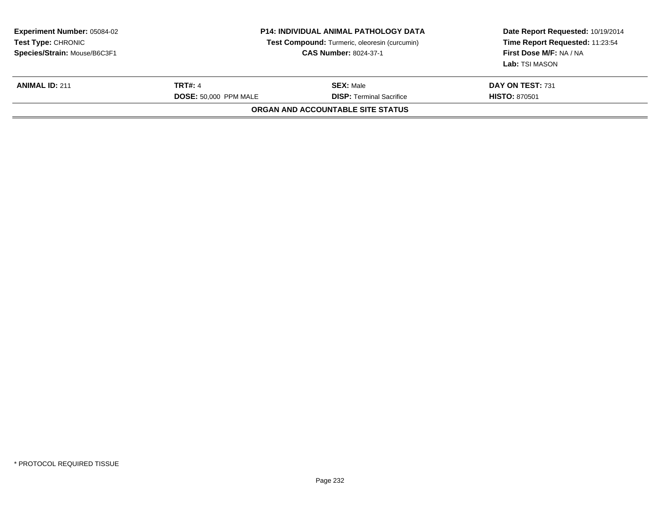| <b>Experiment Number: 05084-02</b><br><b>Test Type: CHRONIC</b><br>Species/Strain: Mouse/B6C3F1 | <b>P14: INDIVIDUAL ANIMAL PATHOLOGY DATA</b><br>Test Compound: Turmeric, oleoresin (curcumin)<br><b>CAS Number: 8024-37-1</b> |                                                     | Date Report Requested: 10/19/2014<br>Time Report Requested: 11:23:54<br>First Dose M/F: NA / NA<br>Lab: TSI MASON |
|-------------------------------------------------------------------------------------------------|-------------------------------------------------------------------------------------------------------------------------------|-----------------------------------------------------|-------------------------------------------------------------------------------------------------------------------|
| <b>ANIMAL ID: 211</b>                                                                           | <b>TRT#: 4</b>                                                                                                                | <b>SEX: Male</b><br><b>DISP: Terminal Sacrifice</b> | DAY ON TEST: 731<br><b>HISTO: 870501</b>                                                                          |
|                                                                                                 | <b>DOSE: 50,000 PPM MALE</b>                                                                                                  | ORGAN AND ACCOUNTABLE SITE STATUS                   |                                                                                                                   |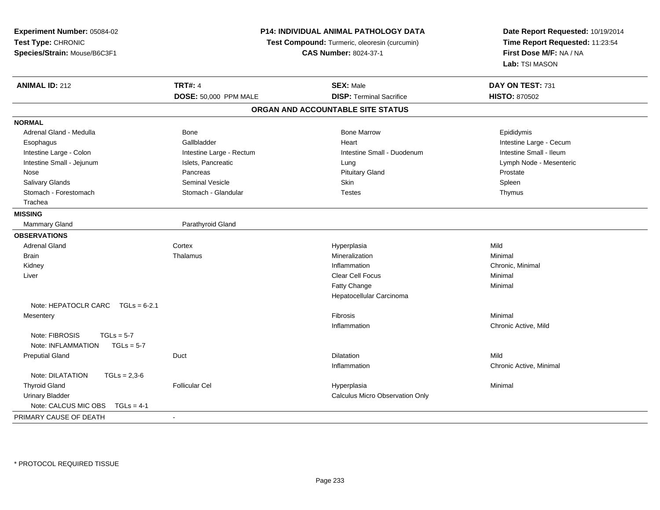| <b>P14: INDIVIDUAL ANIMAL PATHOLOGY DATA</b><br>Experiment Number: 05084-02<br>Test Type: CHRONIC<br>Test Compound: Turmeric, oleoresin (curcumin)<br>Species/Strain: Mouse/B6C3F1<br><b>CAS Number: 8024-37-1</b> |                          | Date Report Requested: 10/19/2014<br>Time Report Requested: 11:23:54<br>First Dose M/F: NA / NA<br>Lab: TSI MASON |                         |
|--------------------------------------------------------------------------------------------------------------------------------------------------------------------------------------------------------------------|--------------------------|-------------------------------------------------------------------------------------------------------------------|-------------------------|
| <b>ANIMAL ID: 212</b>                                                                                                                                                                                              | <b>TRT#: 4</b>           | <b>SEX: Male</b>                                                                                                  | DAY ON TEST: 731        |
|                                                                                                                                                                                                                    | DOSE: 50,000 PPM MALE    | <b>DISP: Terminal Sacrifice</b>                                                                                   | <b>HISTO: 870502</b>    |
|                                                                                                                                                                                                                    |                          | ORGAN AND ACCOUNTABLE SITE STATUS                                                                                 |                         |
| <b>NORMAL</b>                                                                                                                                                                                                      |                          |                                                                                                                   |                         |
| Adrenal Gland - Medulla                                                                                                                                                                                            | Bone                     | <b>Bone Marrow</b>                                                                                                | Epididymis              |
| Esophagus                                                                                                                                                                                                          | Gallbladder              | Heart                                                                                                             | Intestine Large - Cecum |
| Intestine Large - Colon                                                                                                                                                                                            | Intestine Large - Rectum | Intestine Small - Duodenum                                                                                        | Intestine Small - Ileum |
| Intestine Small - Jejunum                                                                                                                                                                                          | Islets, Pancreatic       | Lung                                                                                                              | Lymph Node - Mesenteric |
| Nose                                                                                                                                                                                                               | Pancreas                 | <b>Pituitary Gland</b>                                                                                            | Prostate                |
| Salivary Glands                                                                                                                                                                                                    | <b>Seminal Vesicle</b>   | <b>Skin</b>                                                                                                       | Spleen                  |
| Stomach - Forestomach                                                                                                                                                                                              | Stomach - Glandular      | <b>Testes</b>                                                                                                     | Thymus                  |
| Trachea                                                                                                                                                                                                            |                          |                                                                                                                   |                         |
| <b>MISSING</b>                                                                                                                                                                                                     |                          |                                                                                                                   |                         |
| <b>Mammary Gland</b>                                                                                                                                                                                               | Parathyroid Gland        |                                                                                                                   |                         |
| <b>OBSERVATIONS</b>                                                                                                                                                                                                |                          |                                                                                                                   |                         |
| <b>Adrenal Gland</b>                                                                                                                                                                                               | Cortex                   | Hyperplasia                                                                                                       | Mild                    |
| <b>Brain</b>                                                                                                                                                                                                       | Thalamus                 | Mineralization                                                                                                    | Minimal                 |
| Kidney                                                                                                                                                                                                             |                          | Inflammation                                                                                                      | Chronic, Minimal        |
| Liver                                                                                                                                                                                                              |                          | Clear Cell Focus                                                                                                  | Minimal                 |
|                                                                                                                                                                                                                    |                          | Fatty Change                                                                                                      | Minimal                 |
|                                                                                                                                                                                                                    |                          | Hepatocellular Carcinoma                                                                                          |                         |
| Note: HEPATOCLR CARC TGLs = 6-2.1                                                                                                                                                                                  |                          |                                                                                                                   |                         |
| Mesentery                                                                                                                                                                                                          |                          | Fibrosis                                                                                                          | Minimal                 |
|                                                                                                                                                                                                                    |                          | Inflammation                                                                                                      | Chronic Active, Mild    |
| Note: FIBROSIS<br>$TGLs = 5-7$<br>Note: INFLAMMATION<br>$TGLs = 5-7$                                                                                                                                               |                          |                                                                                                                   |                         |
| <b>Preputial Gland</b>                                                                                                                                                                                             | Duct                     | Dilatation                                                                                                        | Mild                    |
|                                                                                                                                                                                                                    |                          | Inflammation                                                                                                      | Chronic Active, Minimal |
| Note: DILATATION<br>$TGLs = 2,3-6$                                                                                                                                                                                 |                          |                                                                                                                   |                         |
| <b>Thyroid Gland</b>                                                                                                                                                                                               | <b>Follicular Cel</b>    | Hyperplasia                                                                                                       | Minimal                 |
| <b>Urinary Bladder</b>                                                                                                                                                                                             |                          | <b>Calculus Micro Observation Only</b>                                                                            |                         |
| Note: CALCUS MIC OBS<br>$TGLs = 4-1$                                                                                                                                                                               |                          |                                                                                                                   |                         |
| PRIMARY CAUSE OF DEATH                                                                                                                                                                                             | $\sim$                   |                                                                                                                   |                         |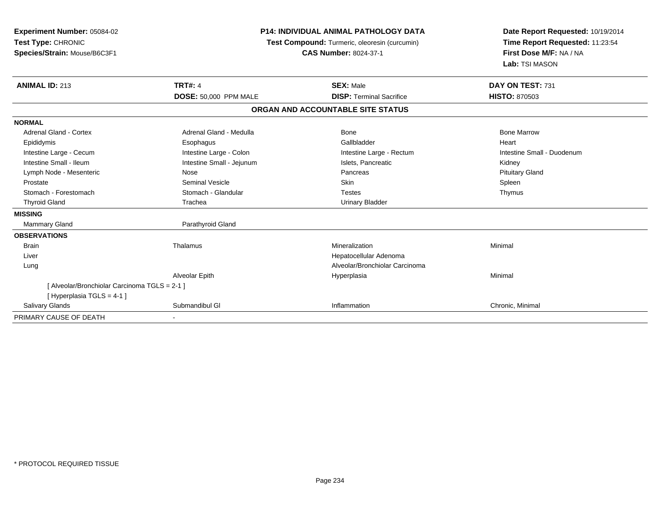| Experiment Number: 05084-02<br>Test Type: CHRONIC<br>Species/Strain: Mouse/B6C3F1                                                                                                                                                             |                                                                                                                                                                                       | <b>P14: INDIVIDUAL ANIMAL PATHOLOGY DATA</b><br>Test Compound: Turmeric, oleoresin (curcumin)<br><b>CAS Number: 8024-37-1</b>               | Date Report Requested: 10/19/2014<br>Time Report Requested: 11:23:54<br>First Dose M/F: NA / NA<br>Lab: TSI MASON |
|-----------------------------------------------------------------------------------------------------------------------------------------------------------------------------------------------------------------------------------------------|---------------------------------------------------------------------------------------------------------------------------------------------------------------------------------------|---------------------------------------------------------------------------------------------------------------------------------------------|-------------------------------------------------------------------------------------------------------------------|
| <b>ANIMAL ID: 213</b>                                                                                                                                                                                                                         | <b>TRT#: 4</b><br><b>DOSE: 50,000 PPM MALE</b>                                                                                                                                        | <b>SEX: Male</b><br><b>DISP: Terminal Sacrifice</b>                                                                                         | DAY ON TEST: 731<br><b>HISTO: 870503</b>                                                                          |
|                                                                                                                                                                                                                                               |                                                                                                                                                                                       | ORGAN AND ACCOUNTABLE SITE STATUS                                                                                                           |                                                                                                                   |
|                                                                                                                                                                                                                                               |                                                                                                                                                                                       |                                                                                                                                             |                                                                                                                   |
| <b>NORMAL</b><br>Adrenal Gland - Cortex<br>Epididymis<br>Intestine Large - Cecum<br>Intestine Small - Ileum<br>Lymph Node - Mesenteric<br>Prostate<br>Stomach - Forestomach<br><b>Thyroid Gland</b><br><b>MISSING</b><br><b>Mammary Gland</b> | Adrenal Gland - Medulla<br>Esophagus<br>Intestine Large - Colon<br>Intestine Small - Jejunum<br>Nose<br><b>Seminal Vesicle</b><br>Stomach - Glandular<br>Trachea<br>Parathyroid Gland | Bone<br>Gallbladder<br>Intestine Large - Rectum<br>Islets, Pancreatic<br>Pancreas<br><b>Skin</b><br><b>Testes</b><br><b>Urinary Bladder</b> | <b>Bone Marrow</b><br>Heart<br>Intestine Small - Duodenum<br>Kidney<br><b>Pituitary Gland</b><br>Spleen<br>Thymus |
| <b>OBSERVATIONS</b><br><b>Brain</b><br>Liver<br>Lung                                                                                                                                                                                          | Thalamus<br>Alveolar Epith                                                                                                                                                            | Mineralization<br>Hepatocellular Adenoma<br>Alveolar/Bronchiolar Carcinoma<br>Hyperplasia                                                   | Minimal<br>Minimal                                                                                                |
| [ Alveolar/Bronchiolar Carcinoma TGLS = 2-1 ]<br>[Hyperplasia TGLS = 4-1]<br>Salivary Glands                                                                                                                                                  | Submandibul GI                                                                                                                                                                        | Inflammation                                                                                                                                | Chronic, Minimal                                                                                                  |
| PRIMARY CAUSE OF DEATH                                                                                                                                                                                                                        |                                                                                                                                                                                       |                                                                                                                                             |                                                                                                                   |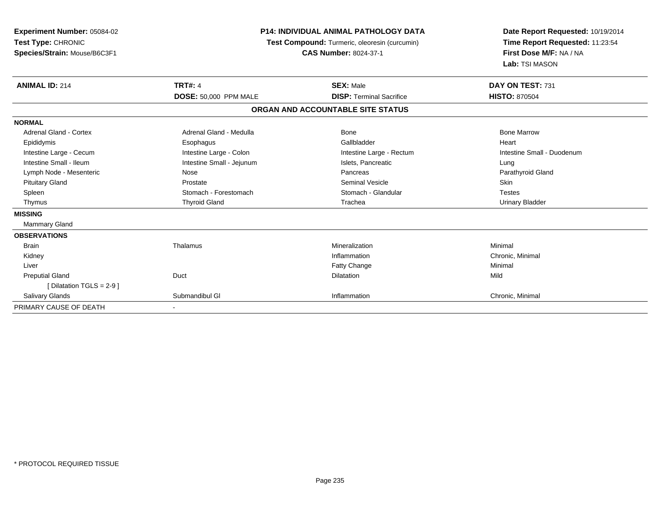| Experiment Number: 05084-02<br>Test Type: CHRONIC<br>Species/Strain: Mouse/B6C3F1 | <b>P14: INDIVIDUAL ANIMAL PATHOLOGY DATA</b><br>Test Compound: Turmeric, oleoresin (curcumin)<br><b>CAS Number: 8024-37-1</b> |                                   | Date Report Requested: 10/19/2014<br>Time Report Requested: 11:23:54<br>First Dose M/F: NA / NA<br>Lab: TSI MASON |  |
|-----------------------------------------------------------------------------------|-------------------------------------------------------------------------------------------------------------------------------|-----------------------------------|-------------------------------------------------------------------------------------------------------------------|--|
| <b>ANIMAL ID: 214</b>                                                             | <b>TRT#: 4</b>                                                                                                                | <b>SEX: Male</b>                  | DAY ON TEST: 731                                                                                                  |  |
|                                                                                   | <b>DOSE: 50,000 PPM MALE</b>                                                                                                  | <b>DISP: Terminal Sacrifice</b>   | <b>HISTO: 870504</b>                                                                                              |  |
|                                                                                   |                                                                                                                               | ORGAN AND ACCOUNTABLE SITE STATUS |                                                                                                                   |  |
| <b>NORMAL</b>                                                                     |                                                                                                                               |                                   |                                                                                                                   |  |
| Adrenal Gland - Cortex                                                            | Adrenal Gland - Medulla                                                                                                       | Bone                              | <b>Bone Marrow</b>                                                                                                |  |
| Epididymis                                                                        | Esophagus                                                                                                                     | Gallbladder                       | Heart                                                                                                             |  |
| Intestine Large - Cecum                                                           | Intestine Large - Colon                                                                                                       | Intestine Large - Rectum          | Intestine Small - Duodenum                                                                                        |  |
| Intestine Small - Ileum                                                           | Intestine Small - Jejunum                                                                                                     | Islets, Pancreatic                | Lung                                                                                                              |  |
| Lymph Node - Mesenteric                                                           | Nose                                                                                                                          | Pancreas                          | Parathyroid Gland                                                                                                 |  |
| <b>Pituitary Gland</b>                                                            | Prostate                                                                                                                      | <b>Seminal Vesicle</b>            | Skin                                                                                                              |  |
| Spleen                                                                            | Stomach - Forestomach                                                                                                         | Stomach - Glandular               | <b>Testes</b>                                                                                                     |  |
| Thymus                                                                            | <b>Thyroid Gland</b>                                                                                                          | Trachea                           | <b>Urinary Bladder</b>                                                                                            |  |
| <b>MISSING</b>                                                                    |                                                                                                                               |                                   |                                                                                                                   |  |
| <b>Mammary Gland</b>                                                              |                                                                                                                               |                                   |                                                                                                                   |  |
| <b>OBSERVATIONS</b>                                                               |                                                                                                                               |                                   |                                                                                                                   |  |
| <b>Brain</b>                                                                      | Thalamus                                                                                                                      | Mineralization                    | Minimal                                                                                                           |  |
| Kidney                                                                            |                                                                                                                               | Inflammation                      | Chronic, Minimal                                                                                                  |  |
| Liver                                                                             |                                                                                                                               | <b>Fatty Change</b>               | Minimal                                                                                                           |  |
| <b>Preputial Gland</b>                                                            | Duct                                                                                                                          | <b>Dilatation</b>                 | Mild                                                                                                              |  |
| [ Dilatation TGLS = 2-9 ]                                                         |                                                                                                                               |                                   |                                                                                                                   |  |
| <b>Salivary Glands</b>                                                            | Submandibul GI                                                                                                                | Inflammation                      | Chronic, Minimal                                                                                                  |  |
| PRIMARY CAUSE OF DEATH                                                            |                                                                                                                               |                                   |                                                                                                                   |  |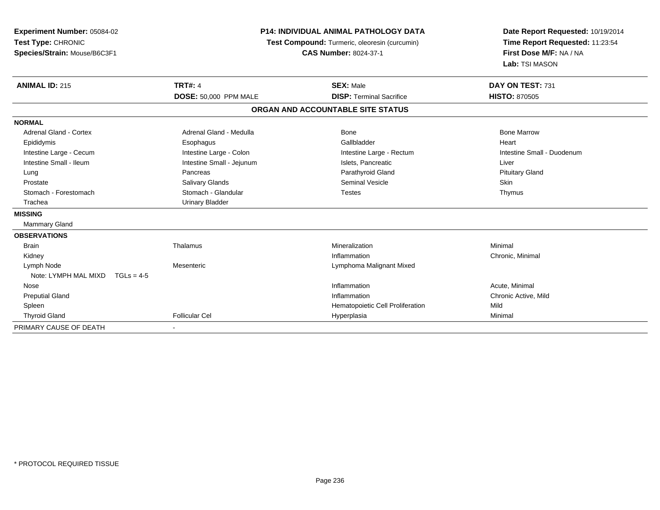| Experiment Number: 05084-02<br>Test Type: CHRONIC<br>Species/Strain: Mouse/B6C3F1 | <b>P14: INDIVIDUAL ANIMAL PATHOLOGY DATA</b><br>Test Compound: Turmeric, oleoresin (curcumin)<br><b>CAS Number: 8024-37-1</b> |                                   | Date Report Requested: 10/19/2014<br>Time Report Requested: 11:23:54<br>First Dose M/F: NA / NA<br>Lab: TSI MASON |  |
|-----------------------------------------------------------------------------------|-------------------------------------------------------------------------------------------------------------------------------|-----------------------------------|-------------------------------------------------------------------------------------------------------------------|--|
| <b>ANIMAL ID: 215</b>                                                             | <b>TRT#: 4</b>                                                                                                                | <b>SEX: Male</b>                  | DAY ON TEST: 731                                                                                                  |  |
|                                                                                   | DOSE: 50,000 PPM MALE                                                                                                         | <b>DISP: Terminal Sacrifice</b>   | <b>HISTO: 870505</b>                                                                                              |  |
|                                                                                   |                                                                                                                               | ORGAN AND ACCOUNTABLE SITE STATUS |                                                                                                                   |  |
| <b>NORMAL</b>                                                                     |                                                                                                                               |                                   |                                                                                                                   |  |
| Adrenal Gland - Cortex                                                            | Adrenal Gland - Medulla                                                                                                       | Bone                              | <b>Bone Marrow</b>                                                                                                |  |
| Epididymis                                                                        | Esophagus                                                                                                                     | Gallbladder                       | Heart                                                                                                             |  |
| Intestine Large - Cecum                                                           | Intestine Large - Colon                                                                                                       | Intestine Large - Rectum          | Intestine Small - Duodenum                                                                                        |  |
| Intestine Small - Ileum                                                           | Intestine Small - Jejunum                                                                                                     | Islets, Pancreatic                | Liver                                                                                                             |  |
| Lung                                                                              | Pancreas                                                                                                                      | Parathyroid Gland                 | <b>Pituitary Gland</b>                                                                                            |  |
| Prostate                                                                          | <b>Salivary Glands</b>                                                                                                        | <b>Seminal Vesicle</b>            | <b>Skin</b>                                                                                                       |  |
| Stomach - Forestomach                                                             | Stomach - Glandular                                                                                                           | <b>Testes</b>                     | Thymus                                                                                                            |  |
| Trachea                                                                           | <b>Urinary Bladder</b>                                                                                                        |                                   |                                                                                                                   |  |
| <b>MISSING</b>                                                                    |                                                                                                                               |                                   |                                                                                                                   |  |
| Mammary Gland                                                                     |                                                                                                                               |                                   |                                                                                                                   |  |
| <b>OBSERVATIONS</b>                                                               |                                                                                                                               |                                   |                                                                                                                   |  |
| <b>Brain</b>                                                                      | Thalamus                                                                                                                      | Mineralization                    | Minimal                                                                                                           |  |
| Kidney                                                                            |                                                                                                                               | Inflammation                      | Chronic, Minimal                                                                                                  |  |
| Lymph Node                                                                        | Mesenteric                                                                                                                    | Lymphoma Malignant Mixed          |                                                                                                                   |  |
| Note: LYMPH MAL MIXD<br>$TGLs = 4-5$                                              |                                                                                                                               |                                   |                                                                                                                   |  |
| Nose                                                                              |                                                                                                                               | Inflammation                      | Acute, Minimal                                                                                                    |  |
| <b>Preputial Gland</b>                                                            |                                                                                                                               | Inflammation                      | Chronic Active, Mild                                                                                              |  |
| Spleen                                                                            |                                                                                                                               | Hematopoietic Cell Proliferation  | Mild                                                                                                              |  |
| <b>Thyroid Gland</b>                                                              | <b>Follicular Cel</b>                                                                                                         | Hyperplasia                       | Minimal                                                                                                           |  |
| PRIMARY CAUSE OF DEATH                                                            |                                                                                                                               |                                   |                                                                                                                   |  |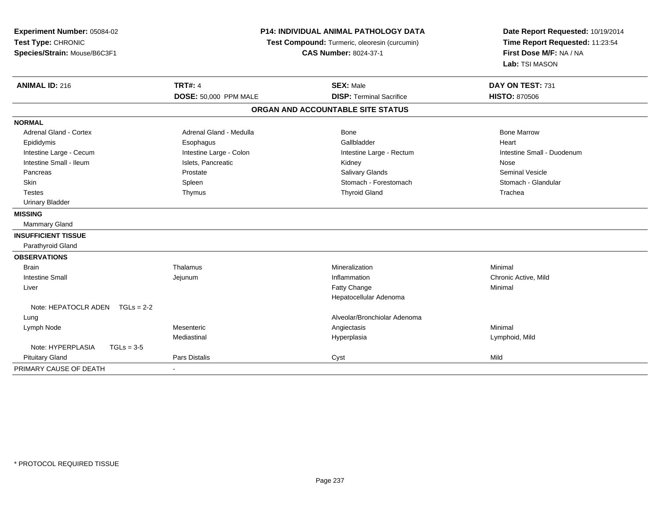| Experiment Number: 05084-02<br>Test Type: CHRONIC<br>Species/Strain: Mouse/B6C3F1 | <b>P14: INDIVIDUAL ANIMAL PATHOLOGY DATA</b><br>Test Compound: Turmeric, oleoresin (curcumin)<br><b>CAS Number: 8024-37-1</b> |                                   | Date Report Requested: 10/19/2014<br>Time Report Requested: 11:23:54<br>First Dose M/F: NA / NA<br>Lab: TSI MASON |
|-----------------------------------------------------------------------------------|-------------------------------------------------------------------------------------------------------------------------------|-----------------------------------|-------------------------------------------------------------------------------------------------------------------|
| <b>ANIMAL ID: 216</b>                                                             | <b>TRT#: 4</b>                                                                                                                | <b>SEX: Male</b>                  | DAY ON TEST: 731                                                                                                  |
|                                                                                   | DOSE: 50,000 PPM MALE                                                                                                         | <b>DISP: Terminal Sacrifice</b>   | <b>HISTO: 870506</b>                                                                                              |
|                                                                                   |                                                                                                                               | ORGAN AND ACCOUNTABLE SITE STATUS |                                                                                                                   |
| <b>NORMAL</b>                                                                     |                                                                                                                               |                                   |                                                                                                                   |
| <b>Adrenal Gland - Cortex</b>                                                     | Adrenal Gland - Medulla                                                                                                       | <b>Bone</b>                       | <b>Bone Marrow</b>                                                                                                |
| Epididymis                                                                        | Esophagus                                                                                                                     | Gallbladder                       | Heart                                                                                                             |
| Intestine Large - Cecum                                                           | Intestine Large - Colon                                                                                                       | Intestine Large - Rectum          | Intestine Small - Duodenum                                                                                        |
| Intestine Small - Ileum                                                           | Islets, Pancreatic                                                                                                            | Kidney                            | Nose                                                                                                              |
| Pancreas                                                                          | Prostate                                                                                                                      | Salivary Glands                   | Seminal Vesicle                                                                                                   |
| Skin                                                                              | Spleen                                                                                                                        | Stomach - Forestomach             | Stomach - Glandular                                                                                               |
| <b>Testes</b>                                                                     | Thymus                                                                                                                        | <b>Thyroid Gland</b>              | Trachea                                                                                                           |
| <b>Urinary Bladder</b>                                                            |                                                                                                                               |                                   |                                                                                                                   |
| <b>MISSING</b>                                                                    |                                                                                                                               |                                   |                                                                                                                   |
| Mammary Gland                                                                     |                                                                                                                               |                                   |                                                                                                                   |
| <b>INSUFFICIENT TISSUE</b>                                                        |                                                                                                                               |                                   |                                                                                                                   |
| Parathyroid Gland                                                                 |                                                                                                                               |                                   |                                                                                                                   |
| <b>OBSERVATIONS</b>                                                               |                                                                                                                               |                                   |                                                                                                                   |
| <b>Brain</b>                                                                      | Thalamus                                                                                                                      | Mineralization                    | Minimal                                                                                                           |
| <b>Intestine Small</b>                                                            | Jejunum                                                                                                                       | Inflammation                      | Chronic Active, Mild                                                                                              |
| Liver                                                                             |                                                                                                                               | Fatty Change                      | Minimal                                                                                                           |
|                                                                                   |                                                                                                                               | Hepatocellular Adenoma            |                                                                                                                   |
| Note: HEPATOCLR ADEN $TGLs = 2-2$                                                 |                                                                                                                               |                                   |                                                                                                                   |
| Lung                                                                              |                                                                                                                               | Alveolar/Bronchiolar Adenoma      |                                                                                                                   |
| Lymph Node                                                                        | Mesenteric                                                                                                                    | Angiectasis                       | Minimal                                                                                                           |
|                                                                                   | Mediastinal                                                                                                                   | Hyperplasia                       | Lymphoid, Mild                                                                                                    |
| Note: HYPERPLASIA<br>$TGLs = 3-5$                                                 |                                                                                                                               |                                   |                                                                                                                   |
| <b>Pituitary Gland</b>                                                            | Pars Distalis                                                                                                                 | Cyst                              | Mild                                                                                                              |
| PRIMARY CAUSE OF DEATH                                                            | $\blacksquare$                                                                                                                |                                   |                                                                                                                   |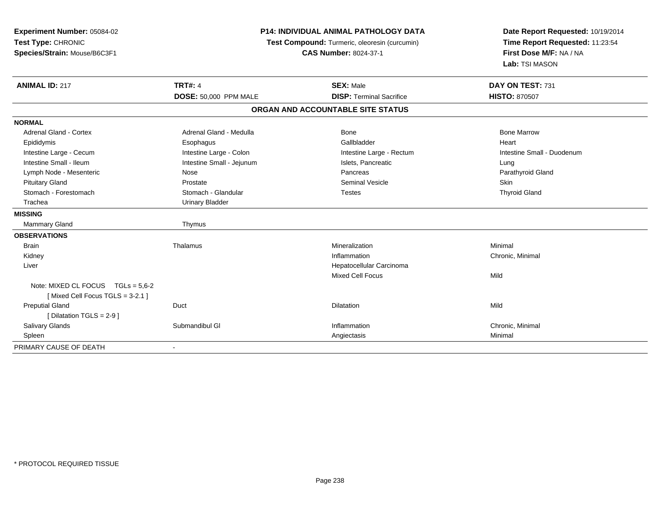| Experiment Number: 05084-02<br>Test Type: CHRONIC<br>Species/Strain: Mouse/B6C3F1 | <b>P14: INDIVIDUAL ANIMAL PATHOLOGY DATA</b><br>Test Compound: Turmeric, oleoresin (curcumin)<br><b>CAS Number: 8024-37-1</b> |                                                     | Date Report Requested: 10/19/2014<br>Time Report Requested: 11:23:54<br>First Dose M/F: NA / NA<br>Lab: TSI MASON |
|-----------------------------------------------------------------------------------|-------------------------------------------------------------------------------------------------------------------------------|-----------------------------------------------------|-------------------------------------------------------------------------------------------------------------------|
| <b>ANIMAL ID: 217</b>                                                             | <b>TRT#: 4</b>                                                                                                                | <b>SEX: Male</b><br><b>DISP: Terminal Sacrifice</b> | DAY ON TEST: 731                                                                                                  |
|                                                                                   | <b>DOSE: 50,000 PPM MALE</b>                                                                                                  | ORGAN AND ACCOUNTABLE SITE STATUS                   | <b>HISTO: 870507</b>                                                                                              |
|                                                                                   |                                                                                                                               |                                                     |                                                                                                                   |
| <b>NORMAL</b>                                                                     |                                                                                                                               |                                                     |                                                                                                                   |
| Adrenal Gland - Cortex                                                            | Adrenal Gland - Medulla                                                                                                       | <b>Bone</b>                                         | <b>Bone Marrow</b>                                                                                                |
| Epididymis                                                                        | Esophagus                                                                                                                     | Gallbladder                                         | Heart                                                                                                             |
| Intestine Large - Cecum                                                           | Intestine Large - Colon                                                                                                       | Intestine Large - Rectum                            | Intestine Small - Duodenum                                                                                        |
| Intestine Small - Ileum                                                           | Intestine Small - Jejunum                                                                                                     | Islets, Pancreatic                                  | Lung                                                                                                              |
| Lymph Node - Mesenteric                                                           | Nose                                                                                                                          | Pancreas                                            | Parathyroid Gland                                                                                                 |
| <b>Pituitary Gland</b>                                                            | Prostate                                                                                                                      | <b>Seminal Vesicle</b>                              | Skin                                                                                                              |
| Stomach - Forestomach                                                             | Stomach - Glandular                                                                                                           | <b>Testes</b>                                       | <b>Thyroid Gland</b>                                                                                              |
| Trachea                                                                           | <b>Urinary Bladder</b>                                                                                                        |                                                     |                                                                                                                   |
| <b>MISSING</b>                                                                    |                                                                                                                               |                                                     |                                                                                                                   |
| Mammary Gland                                                                     | Thymus                                                                                                                        |                                                     |                                                                                                                   |
| <b>OBSERVATIONS</b>                                                               |                                                                                                                               |                                                     |                                                                                                                   |
| <b>Brain</b>                                                                      | Thalamus                                                                                                                      | Mineralization                                      | Minimal                                                                                                           |
| Kidney                                                                            |                                                                                                                               | Inflammation                                        | Chronic, Minimal                                                                                                  |
| Liver                                                                             |                                                                                                                               | Hepatocellular Carcinoma                            |                                                                                                                   |
|                                                                                   |                                                                                                                               | <b>Mixed Cell Focus</b>                             | Mild                                                                                                              |
| Note: MIXED CL FOCUS $TGLs = 5.6-2$<br>[Mixed Cell Focus TGLS = 3-2.1]            |                                                                                                                               |                                                     |                                                                                                                   |
| <b>Preputial Gland</b>                                                            | Duct                                                                                                                          | <b>Dilatation</b>                                   | Mild                                                                                                              |
| [Dilatation TGLS = 2-9]                                                           |                                                                                                                               |                                                     |                                                                                                                   |
| <b>Salivary Glands</b>                                                            | Submandibul GI                                                                                                                | Inflammation                                        | Chronic, Minimal                                                                                                  |
| Spleen                                                                            |                                                                                                                               | Angiectasis                                         | Minimal                                                                                                           |
| PRIMARY CAUSE OF DEATH                                                            | $\overline{\phantom{a}}$                                                                                                      |                                                     |                                                                                                                   |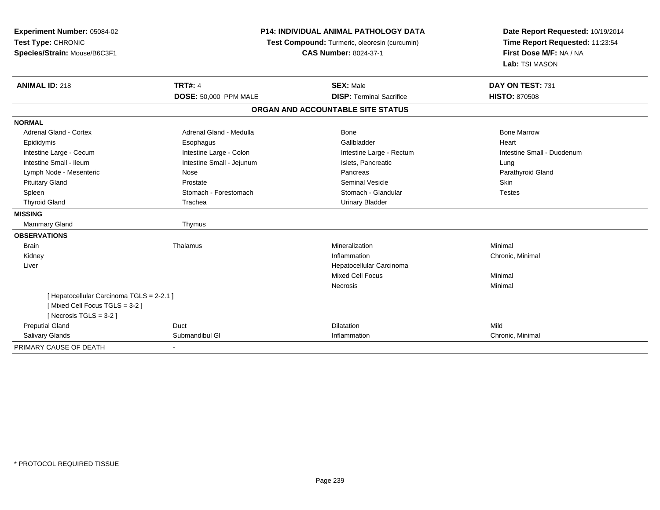| Experiment Number: 05084-02<br>Test Type: CHRONIC<br>Species/Strain: Mouse/B6C3F1 | <b>P14: INDIVIDUAL ANIMAL PATHOLOGY DATA</b><br>Test Compound: Turmeric, oleoresin (curcumin)<br><b>CAS Number: 8024-37-1</b> |                                   | Date Report Requested: 10/19/2014<br>Time Report Requested: 11:23:54<br>First Dose M/F: NA / NA<br>Lab: TSI MASON |  |
|-----------------------------------------------------------------------------------|-------------------------------------------------------------------------------------------------------------------------------|-----------------------------------|-------------------------------------------------------------------------------------------------------------------|--|
| <b>ANIMAL ID: 218</b>                                                             | <b>TRT#: 4</b>                                                                                                                | <b>SEX: Male</b>                  | DAY ON TEST: 731                                                                                                  |  |
|                                                                                   | <b>DOSE: 50,000 PPM MALE</b>                                                                                                  | <b>DISP: Terminal Sacrifice</b>   | <b>HISTO: 870508</b>                                                                                              |  |
|                                                                                   |                                                                                                                               | ORGAN AND ACCOUNTABLE SITE STATUS |                                                                                                                   |  |
| <b>NORMAL</b>                                                                     |                                                                                                                               |                                   |                                                                                                                   |  |
| Adrenal Gland - Cortex                                                            | Adrenal Gland - Medulla                                                                                                       | Bone                              | <b>Bone Marrow</b>                                                                                                |  |
| Epididymis                                                                        | Esophagus                                                                                                                     | Gallbladder                       | Heart                                                                                                             |  |
| Intestine Large - Cecum                                                           | Intestine Large - Colon                                                                                                       | Intestine Large - Rectum          | Intestine Small - Duodenum                                                                                        |  |
| Intestine Small - Ileum                                                           | Intestine Small - Jejunum                                                                                                     | Islets, Pancreatic                | Lung                                                                                                              |  |
| Lymph Node - Mesenteric                                                           | Nose                                                                                                                          | Pancreas                          | Parathyroid Gland                                                                                                 |  |
| <b>Pituitary Gland</b>                                                            | Prostate                                                                                                                      | <b>Seminal Vesicle</b>            | Skin                                                                                                              |  |
| Spleen                                                                            | Stomach - Forestomach                                                                                                         | Stomach - Glandular               | <b>Testes</b>                                                                                                     |  |
| <b>Thyroid Gland</b>                                                              | Trachea                                                                                                                       | <b>Urinary Bladder</b>            |                                                                                                                   |  |
| <b>MISSING</b>                                                                    |                                                                                                                               |                                   |                                                                                                                   |  |
| Mammary Gland                                                                     | Thymus                                                                                                                        |                                   |                                                                                                                   |  |
| <b>OBSERVATIONS</b>                                                               |                                                                                                                               |                                   |                                                                                                                   |  |
| <b>Brain</b>                                                                      | Thalamus                                                                                                                      | Mineralization                    | Minimal                                                                                                           |  |
| Kidney                                                                            |                                                                                                                               | Inflammation                      | Chronic, Minimal                                                                                                  |  |
| Liver                                                                             |                                                                                                                               | Hepatocellular Carcinoma          |                                                                                                                   |  |
|                                                                                   |                                                                                                                               | <b>Mixed Cell Focus</b>           | Minimal                                                                                                           |  |
|                                                                                   |                                                                                                                               | Necrosis                          | Minimal                                                                                                           |  |
| [ Hepatocellular Carcinoma TGLS = 2-2.1 ]                                         |                                                                                                                               |                                   |                                                                                                                   |  |
| [Mixed Cell Focus TGLS = 3-2]                                                     |                                                                                                                               |                                   |                                                                                                                   |  |
| [Necrosis TGLS = $3-2$ ]                                                          |                                                                                                                               |                                   |                                                                                                                   |  |
| <b>Preputial Gland</b>                                                            | Duct                                                                                                                          | Dilatation                        | Mild                                                                                                              |  |
| <b>Salivary Glands</b>                                                            | Submandibul GI                                                                                                                | Inflammation                      | Chronic, Minimal                                                                                                  |  |
| PRIMARY CAUSE OF DEATH                                                            |                                                                                                                               |                                   |                                                                                                                   |  |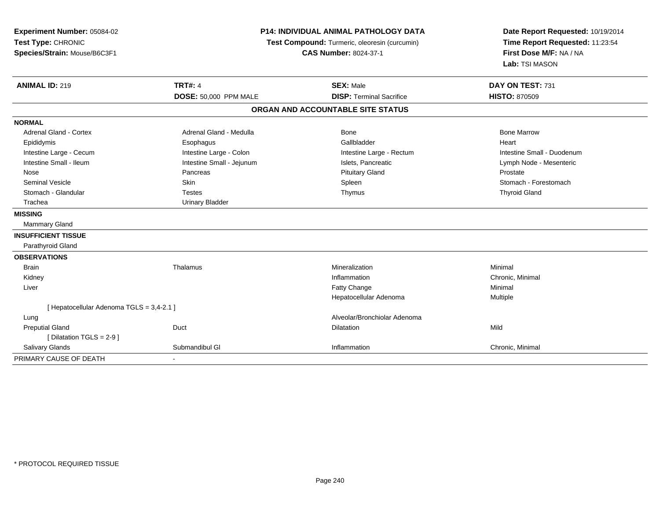| Experiment Number: 05084-02<br>Test Type: CHRONIC<br>Species/Strain: Mouse/B6C3F1 |                              | <b>P14: INDIVIDUAL ANIMAL PATHOLOGY DATA</b><br>Test Compound: Turmeric, oleoresin (curcumin)<br><b>CAS Number: 8024-37-1</b> | Date Report Requested: 10/19/2014<br>Time Report Requested: 11:23:54<br>First Dose M/F: NA / NA<br>Lab: TSI MASON |
|-----------------------------------------------------------------------------------|------------------------------|-------------------------------------------------------------------------------------------------------------------------------|-------------------------------------------------------------------------------------------------------------------|
| <b>ANIMAL ID: 219</b>                                                             | <b>TRT#: 4</b>               | <b>SEX: Male</b>                                                                                                              | DAY ON TEST: 731                                                                                                  |
|                                                                                   | <b>DOSE: 50,000 PPM MALE</b> | <b>DISP: Terminal Sacrifice</b>                                                                                               | <b>HISTO: 870509</b>                                                                                              |
|                                                                                   |                              | ORGAN AND ACCOUNTABLE SITE STATUS                                                                                             |                                                                                                                   |
| <b>NORMAL</b>                                                                     |                              |                                                                                                                               |                                                                                                                   |
| <b>Adrenal Gland - Cortex</b>                                                     | Adrenal Gland - Medulla      | Bone                                                                                                                          | <b>Bone Marrow</b>                                                                                                |
| Epididymis                                                                        | Esophagus                    | Gallbladder                                                                                                                   | Heart                                                                                                             |
| Intestine Large - Cecum                                                           | Intestine Large - Colon      | Intestine Large - Rectum                                                                                                      | Intestine Small - Duodenum                                                                                        |
| Intestine Small - Ileum                                                           | Intestine Small - Jejunum    | Islets, Pancreatic                                                                                                            | Lymph Node - Mesenteric                                                                                           |
| Nose                                                                              | Pancreas                     | <b>Pituitary Gland</b>                                                                                                        | Prostate                                                                                                          |
| <b>Seminal Vesicle</b>                                                            | Skin                         | Spleen                                                                                                                        | Stomach - Forestomach                                                                                             |
| Stomach - Glandular                                                               | <b>Testes</b>                | Thymus                                                                                                                        | <b>Thyroid Gland</b>                                                                                              |
| Trachea                                                                           | <b>Urinary Bladder</b>       |                                                                                                                               |                                                                                                                   |
| <b>MISSING</b>                                                                    |                              |                                                                                                                               |                                                                                                                   |
| <b>Mammary Gland</b>                                                              |                              |                                                                                                                               |                                                                                                                   |
| <b>INSUFFICIENT TISSUE</b>                                                        |                              |                                                                                                                               |                                                                                                                   |
| Parathyroid Gland                                                                 |                              |                                                                                                                               |                                                                                                                   |
| <b>OBSERVATIONS</b>                                                               |                              |                                                                                                                               |                                                                                                                   |
| <b>Brain</b>                                                                      | Thalamus                     | Mineralization                                                                                                                | Minimal                                                                                                           |
| Kidney                                                                            |                              | Inflammation                                                                                                                  | Chronic, Minimal                                                                                                  |
| Liver                                                                             |                              | Fatty Change                                                                                                                  | Minimal                                                                                                           |
|                                                                                   |                              | Hepatocellular Adenoma                                                                                                        | Multiple                                                                                                          |
| [ Hepatocellular Adenoma TGLS = 3,4-2.1 ]                                         |                              |                                                                                                                               |                                                                                                                   |
| Lung                                                                              |                              | Alveolar/Bronchiolar Adenoma                                                                                                  |                                                                                                                   |
| <b>Preputial Gland</b>                                                            | Duct                         | Dilatation                                                                                                                    | Mild                                                                                                              |
| [ Dilatation TGLS = $2-9$ ]                                                       |                              |                                                                                                                               |                                                                                                                   |
| Salivary Glands                                                                   | Submandibul GI               | Inflammation                                                                                                                  | Chronic, Minimal                                                                                                  |
| PRIMARY CAUSE OF DEATH                                                            | ÷.                           |                                                                                                                               |                                                                                                                   |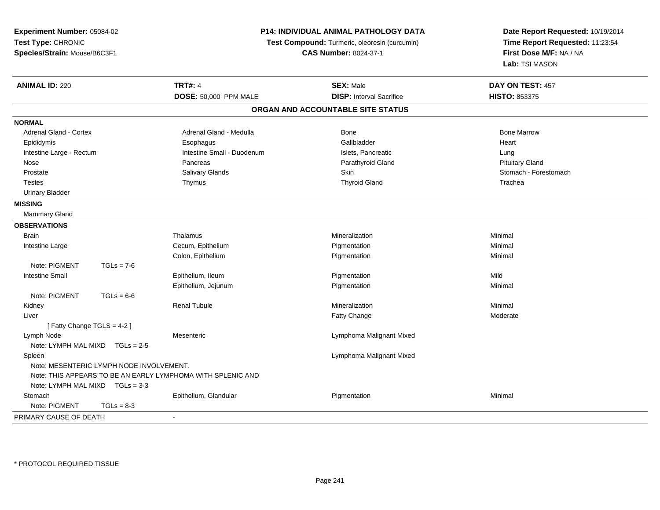| Experiment Number: 05084-02<br>Test Type: CHRONIC<br>Species/Strain: Mouse/B6C3F1 |                            | <b>P14: INDIVIDUAL ANIMAL PATHOLOGY DATA</b><br>Test Compound: Turmeric, oleoresin (curcumin)<br><b>CAS Number: 8024-37-1</b> | Date Report Requested: 10/19/2014<br>Time Report Requested: 11:23:54<br>First Dose M/F: NA / NA<br>Lab: TSI MASON |
|-----------------------------------------------------------------------------------|----------------------------|-------------------------------------------------------------------------------------------------------------------------------|-------------------------------------------------------------------------------------------------------------------|
| <b>ANIMAL ID: 220</b>                                                             | <b>TRT#: 4</b>             | <b>SEX: Male</b>                                                                                                              | DAY ON TEST: 457                                                                                                  |
|                                                                                   | DOSE: 50,000 PPM MALE      | <b>DISP:</b> Interval Sacrifice                                                                                               | HISTO: 853375                                                                                                     |
|                                                                                   |                            | ORGAN AND ACCOUNTABLE SITE STATUS                                                                                             |                                                                                                                   |
| <b>NORMAL</b>                                                                     |                            |                                                                                                                               |                                                                                                                   |
| <b>Adrenal Gland - Cortex</b>                                                     | Adrenal Gland - Medulla    | <b>Bone</b>                                                                                                                   | <b>Bone Marrow</b>                                                                                                |
| Epididymis                                                                        | Esophagus                  | Gallbladder                                                                                                                   | Heart                                                                                                             |
| Intestine Large - Rectum                                                          | Intestine Small - Duodenum | Islets, Pancreatic                                                                                                            | Lung                                                                                                              |
| Nose                                                                              | Pancreas                   | Parathyroid Gland                                                                                                             | <b>Pituitary Gland</b>                                                                                            |
| Prostate                                                                          | <b>Salivary Glands</b>     | <b>Skin</b>                                                                                                                   | Stomach - Forestomach                                                                                             |
| <b>Testes</b>                                                                     | Thymus                     | <b>Thyroid Gland</b>                                                                                                          | Trachea                                                                                                           |
| <b>Urinary Bladder</b>                                                            |                            |                                                                                                                               |                                                                                                                   |
| <b>MISSING</b>                                                                    |                            |                                                                                                                               |                                                                                                                   |
| <b>Mammary Gland</b>                                                              |                            |                                                                                                                               |                                                                                                                   |
| <b>OBSERVATIONS</b>                                                               |                            |                                                                                                                               |                                                                                                                   |
| <b>Brain</b>                                                                      | Thalamus                   | Mineralization                                                                                                                | Minimal                                                                                                           |
| Intestine Large                                                                   | Cecum, Epithelium          | Pigmentation                                                                                                                  | Minimal                                                                                                           |
|                                                                                   | Colon, Epithelium          | Pigmentation                                                                                                                  | Minimal                                                                                                           |
| Note: PIGMENT<br>$TGLs = 7-6$                                                     |                            |                                                                                                                               |                                                                                                                   |
| <b>Intestine Small</b>                                                            | Epithelium, Ileum          | Pigmentation                                                                                                                  | Mild                                                                                                              |
|                                                                                   | Epithelium, Jejunum        | Pigmentation                                                                                                                  | Minimal                                                                                                           |
| Note: PIGMENT<br>$TGLs = 6-6$                                                     |                            |                                                                                                                               |                                                                                                                   |
| Kidney                                                                            | <b>Renal Tubule</b>        | Mineralization                                                                                                                | Minimal                                                                                                           |
| Liver                                                                             |                            | Fatty Change                                                                                                                  | Moderate                                                                                                          |
| [Fatty Change TGLS = 4-2]                                                         |                            |                                                                                                                               |                                                                                                                   |
| Lymph Node                                                                        | Mesenteric                 | Lymphoma Malignant Mixed                                                                                                      |                                                                                                                   |
| Note: LYMPH MAL MIXD TGLs = 2-5                                                   |                            |                                                                                                                               |                                                                                                                   |
| Spleen                                                                            |                            | Lymphoma Malignant Mixed                                                                                                      |                                                                                                                   |
| Note: MESENTERIC LYMPH NODE INVOLVEMENT.                                          |                            |                                                                                                                               |                                                                                                                   |
| Note: THIS APPEARS TO BE AN EARLY LYMPHOMA WITH SPLENIC AND                       |                            |                                                                                                                               |                                                                                                                   |
| Note: LYMPH MAL MIXD TGLs = 3-3                                                   |                            |                                                                                                                               |                                                                                                                   |
| Stomach                                                                           | Epithelium, Glandular      | Pigmentation                                                                                                                  | Minimal                                                                                                           |
| Note: PIGMENT<br>$TGLs = 8-3$                                                     |                            |                                                                                                                               |                                                                                                                   |
| PRIMARY CAUSE OF DEATH                                                            |                            |                                                                                                                               |                                                                                                                   |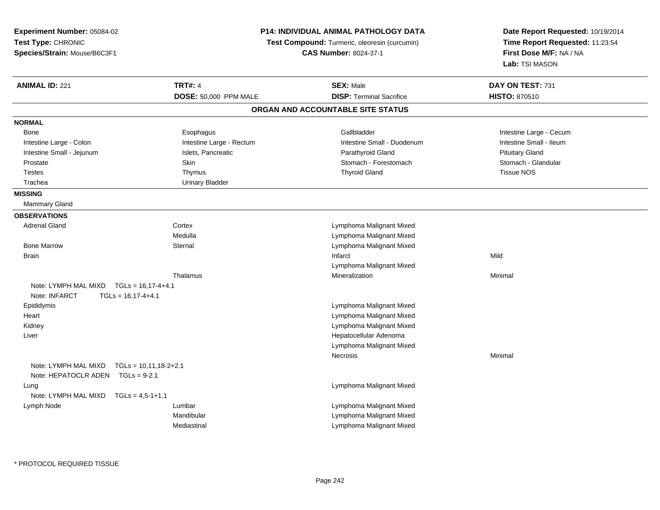| Experiment Number: 05084-02                                                               |                          | P14: INDIVIDUAL ANIMAL PATHOLOGY DATA                                         | Date Report Requested: 10/19/2014                                            |
|-------------------------------------------------------------------------------------------|--------------------------|-------------------------------------------------------------------------------|------------------------------------------------------------------------------|
| Test Type: CHRONIC<br>Species/Strain: Mouse/B6C3F1                                        |                          | Test Compound: Turmeric, oleoresin (curcumin)<br><b>CAS Number: 8024-37-1</b> | Time Report Requested: 11:23:54<br>First Dose M/F: NA / NA<br>Lab: TSI MASON |
|                                                                                           |                          |                                                                               |                                                                              |
| <b>ANIMAL ID: 221</b>                                                                     | <b>TRT#: 4</b>           | <b>SEX: Male</b>                                                              | DAY ON TEST: 731                                                             |
|                                                                                           | DOSE: 50,000 PPM MALE    | <b>DISP: Terminal Sacrifice</b>                                               | <b>HISTO: 870510</b>                                                         |
|                                                                                           |                          | ORGAN AND ACCOUNTABLE SITE STATUS                                             |                                                                              |
| <b>NORMAL</b>                                                                             |                          |                                                                               |                                                                              |
| Bone                                                                                      | Esophagus                | Gallbladder                                                                   | Intestine Large - Cecum                                                      |
| Intestine Large - Colon                                                                   | Intestine Large - Rectum | Intestine Small - Duodenum                                                    | Intestine Small - Ileum                                                      |
| Intestine Small - Jejunum                                                                 | Islets, Pancreatic       | Parathyroid Gland                                                             | <b>Pituitary Gland</b>                                                       |
| Prostate                                                                                  | Skin                     | Stomach - Forestomach                                                         | Stomach - Glandular                                                          |
| <b>Testes</b>                                                                             | Thymus                   | <b>Thyroid Gland</b>                                                          | <b>Tissue NOS</b>                                                            |
| Trachea                                                                                   | <b>Urinary Bladder</b>   |                                                                               |                                                                              |
| <b>MISSING</b>                                                                            |                          |                                                                               |                                                                              |
| <b>Mammary Gland</b>                                                                      |                          |                                                                               |                                                                              |
| <b>OBSERVATIONS</b>                                                                       |                          |                                                                               |                                                                              |
| <b>Adrenal Gland</b>                                                                      | Cortex                   | Lymphoma Malignant Mixed                                                      |                                                                              |
|                                                                                           | Medulla                  | Lymphoma Malignant Mixed                                                      |                                                                              |
| <b>Bone Marrow</b>                                                                        | Sternal                  | Lymphoma Malignant Mixed                                                      |                                                                              |
| <b>Brain</b>                                                                              |                          | Infarct                                                                       | Mild                                                                         |
|                                                                                           |                          | Lymphoma Malignant Mixed                                                      |                                                                              |
|                                                                                           | Thalamus                 | Mineralization                                                                | Minimal                                                                      |
| Note: LYMPH MAL MIXD<br>$TGLs = 16,17-4+4.1$<br>Note: INFARCT<br>$TGLS = 16.17 - 4 + 4.1$ |                          |                                                                               |                                                                              |
| Epididymis                                                                                |                          | Lymphoma Malignant Mixed                                                      |                                                                              |
| Heart                                                                                     |                          | Lymphoma Malignant Mixed                                                      |                                                                              |
| Kidney                                                                                    |                          | Lymphoma Malignant Mixed                                                      |                                                                              |
| Liver                                                                                     |                          | Hepatocellular Adenoma                                                        |                                                                              |
|                                                                                           |                          | Lymphoma Malignant Mixed                                                      |                                                                              |
|                                                                                           |                          | Necrosis                                                                      | Minimal                                                                      |
| Note: LYMPH MAL MIXD<br>$TGLs = 10,11,18-2+2.1$<br>Note: HEPATOCLR ADEN<br>$TGLs = 9-2.1$ |                          |                                                                               |                                                                              |
| Lung                                                                                      |                          | Lymphoma Malignant Mixed                                                      |                                                                              |
| Note: LYMPH MAL MIXD<br>$TGLs = 4,5-1+1.1$                                                |                          |                                                                               |                                                                              |
| Lymph Node                                                                                | Lumbar                   | Lymphoma Malignant Mixed                                                      |                                                                              |
|                                                                                           | Mandibular               | Lymphoma Malignant Mixed                                                      |                                                                              |
|                                                                                           |                          |                                                                               |                                                                              |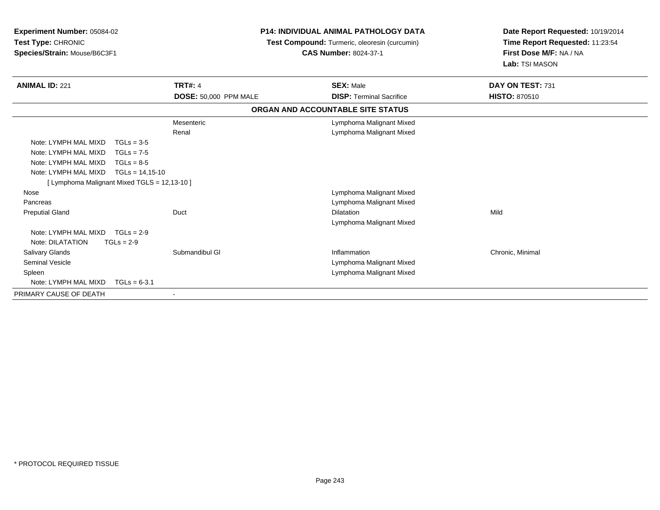| <b>Experiment Number: 05084-02</b><br>Test Type: CHRONIC<br>Species/Strain: Mouse/B6C3F1 |                       | <b>P14: INDIVIDUAL ANIMAL PATHOLOGY DATA</b><br>Test Compound: Turmeric, oleoresin (curcumin)<br><b>CAS Number: 8024-37-1</b> | Date Report Requested: 10/19/2014<br>Time Report Requested: 11:23:54<br>First Dose M/F: NA / NA<br>Lab: TSI MASON |
|------------------------------------------------------------------------------------------|-----------------------|-------------------------------------------------------------------------------------------------------------------------------|-------------------------------------------------------------------------------------------------------------------|
| <b>ANIMAL ID: 221</b>                                                                    | <b>TRT#: 4</b>        | <b>SEX: Male</b>                                                                                                              | DAY ON TEST: 731                                                                                                  |
|                                                                                          | DOSE: 50,000 PPM MALE | <b>DISP: Terminal Sacrifice</b>                                                                                               | <b>HISTO: 870510</b>                                                                                              |
|                                                                                          |                       | ORGAN AND ACCOUNTABLE SITE STATUS                                                                                             |                                                                                                                   |
|                                                                                          | Mesenteric            | Lymphoma Malignant Mixed                                                                                                      |                                                                                                                   |
|                                                                                          | Renal                 | Lymphoma Malignant Mixed                                                                                                      |                                                                                                                   |
| Note: LYMPH MAL MIXD                                                                     | $TGLs = 3-5$          |                                                                                                                               |                                                                                                                   |
| Note: LYMPH MAL MIXD                                                                     | $TGLs = 7-5$          |                                                                                                                               |                                                                                                                   |
| Note: LYMPH MAL MIXD                                                                     | $TGLs = 8-5$          |                                                                                                                               |                                                                                                                   |
| Note: LYMPH MAL MIXD                                                                     | $TGLs = 14,15-10$     |                                                                                                                               |                                                                                                                   |
| [ Lymphoma Malignant Mixed TGLS = 12,13-10 ]                                             |                       |                                                                                                                               |                                                                                                                   |
| Nose                                                                                     |                       | Lymphoma Malignant Mixed                                                                                                      |                                                                                                                   |
| Pancreas                                                                                 |                       | Lymphoma Malignant Mixed                                                                                                      |                                                                                                                   |
| <b>Preputial Gland</b>                                                                   | Duct                  | <b>Dilatation</b>                                                                                                             | Mild                                                                                                              |
|                                                                                          |                       | Lymphoma Malignant Mixed                                                                                                      |                                                                                                                   |
| Note: LYMPH MAL MIXD                                                                     | $TGLs = 2-9$          |                                                                                                                               |                                                                                                                   |
| Note: DILATATION                                                                         | $TGLs = 2-9$          |                                                                                                                               |                                                                                                                   |
| <b>Salivary Glands</b>                                                                   | Submandibul GI        | Inflammation                                                                                                                  | Chronic, Minimal                                                                                                  |
| <b>Seminal Vesicle</b>                                                                   |                       | Lymphoma Malignant Mixed                                                                                                      |                                                                                                                   |
| Spleen                                                                                   |                       | Lymphoma Malignant Mixed                                                                                                      |                                                                                                                   |
| Note: LYMPH MAL MIXD                                                                     | $TGLs = 6-3.1$        |                                                                                                                               |                                                                                                                   |
| PRIMARY CAUSE OF DEATH                                                                   |                       |                                                                                                                               |                                                                                                                   |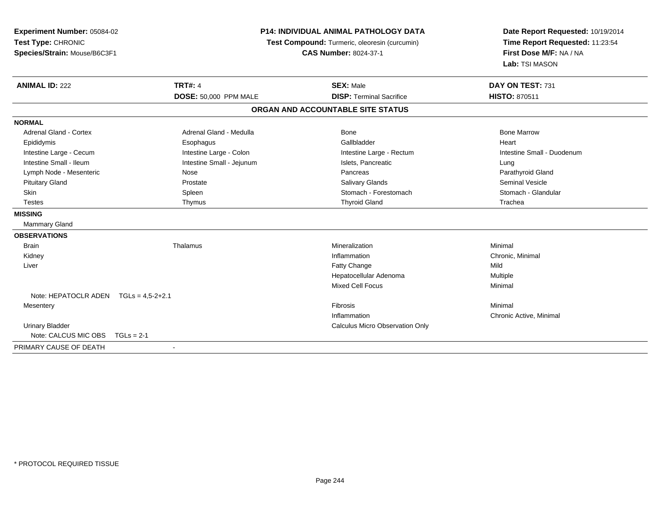| Experiment Number: 05084-02<br>Test Type: CHRONIC<br>Species/Strain: Mouse/B6C3F1 |                              | <b>P14: INDIVIDUAL ANIMAL PATHOLOGY DATA</b><br>Test Compound: Turmeric, oleoresin (curcumin)<br><b>CAS Number: 8024-37-1</b> | Date Report Requested: 10/19/2014<br>Time Report Requested: 11:23:54<br>First Dose M/F: NA / NA<br>Lab: TSI MASON |
|-----------------------------------------------------------------------------------|------------------------------|-------------------------------------------------------------------------------------------------------------------------------|-------------------------------------------------------------------------------------------------------------------|
| <b>ANIMAL ID: 222</b>                                                             | <b>TRT#: 4</b>               | <b>SEX: Male</b>                                                                                                              | DAY ON TEST: 731                                                                                                  |
|                                                                                   | <b>DOSE: 50,000 PPM MALE</b> | <b>DISP: Terminal Sacrifice</b>                                                                                               | <b>HISTO: 870511</b>                                                                                              |
|                                                                                   |                              | ORGAN AND ACCOUNTABLE SITE STATUS                                                                                             |                                                                                                                   |
| <b>NORMAL</b>                                                                     |                              |                                                                                                                               |                                                                                                                   |
| Adrenal Gland - Cortex                                                            | Adrenal Gland - Medulla      | Bone                                                                                                                          | <b>Bone Marrow</b>                                                                                                |
| Epididymis                                                                        | Esophagus                    | Gallbladder                                                                                                                   | Heart                                                                                                             |
| Intestine Large - Cecum                                                           | Intestine Large - Colon      | Intestine Large - Rectum                                                                                                      | Intestine Small - Duodenum                                                                                        |
| Intestine Small - Ileum                                                           | Intestine Small - Jejunum    | Islets, Pancreatic                                                                                                            | Lung                                                                                                              |
| Lymph Node - Mesenteric                                                           | Nose                         | Pancreas                                                                                                                      | Parathyroid Gland                                                                                                 |
| <b>Pituitary Gland</b>                                                            | Prostate                     | <b>Salivary Glands</b>                                                                                                        | <b>Seminal Vesicle</b>                                                                                            |
| <b>Skin</b>                                                                       | Spleen                       | Stomach - Forestomach                                                                                                         | Stomach - Glandular                                                                                               |
| <b>Testes</b>                                                                     | Thymus                       | <b>Thyroid Gland</b>                                                                                                          | Trachea                                                                                                           |
| <b>MISSING</b>                                                                    |                              |                                                                                                                               |                                                                                                                   |
| Mammary Gland                                                                     |                              |                                                                                                                               |                                                                                                                   |
| <b>OBSERVATIONS</b>                                                               |                              |                                                                                                                               |                                                                                                                   |
| <b>Brain</b>                                                                      | Thalamus                     | Mineralization                                                                                                                | Minimal                                                                                                           |
| Kidney                                                                            |                              | Inflammation                                                                                                                  | Chronic, Minimal                                                                                                  |
| Liver                                                                             |                              | Fatty Change                                                                                                                  | Mild                                                                                                              |
|                                                                                   |                              | Hepatocellular Adenoma                                                                                                        | Multiple                                                                                                          |
|                                                                                   |                              | <b>Mixed Cell Focus</b>                                                                                                       | Minimal                                                                                                           |
| Note: HEPATOCLR ADEN $TGLs = 4.5-2+2.1$                                           |                              |                                                                                                                               |                                                                                                                   |
| Mesentery                                                                         |                              | Fibrosis                                                                                                                      | Minimal                                                                                                           |
|                                                                                   |                              | Inflammation                                                                                                                  | Chronic Active, Minimal                                                                                           |
| <b>Urinary Bladder</b>                                                            |                              | Calculus Micro Observation Only                                                                                               |                                                                                                                   |
| Note: CALCUS MIC OBS<br>$TGLs = 2-1$                                              |                              |                                                                                                                               |                                                                                                                   |
| PRIMARY CAUSE OF DEATH                                                            | $\blacksquare$               |                                                                                                                               |                                                                                                                   |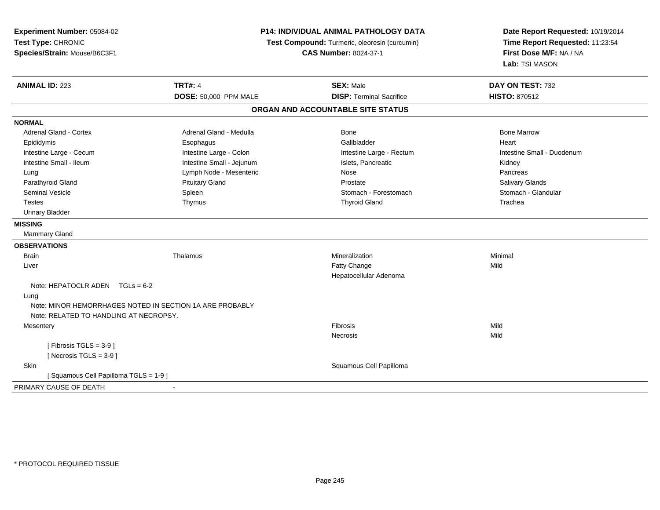| Experiment Number: 05084-02<br>Test Type: CHRONIC<br>Species/Strain: Mouse/B6C3F1 | P14: INDIVIDUAL ANIMAL PATHOLOGY DATA<br>Test Compound: Turmeric, oleoresin (curcumin)<br><b>CAS Number: 8024-37-1</b> |                                   | Date Report Requested: 10/19/2014<br>Time Report Requested: 11:23:54<br>First Dose M/F: NA / NA<br>Lab: TSI MASON |
|-----------------------------------------------------------------------------------|------------------------------------------------------------------------------------------------------------------------|-----------------------------------|-------------------------------------------------------------------------------------------------------------------|
| <b>ANIMAL ID: 223</b>                                                             | <b>TRT#: 4</b>                                                                                                         | <b>SEX: Male</b>                  | DAY ON TEST: 732                                                                                                  |
|                                                                                   | DOSE: 50,000 PPM MALE                                                                                                  | <b>DISP: Terminal Sacrifice</b>   | <b>HISTO: 870512</b>                                                                                              |
|                                                                                   |                                                                                                                        | ORGAN AND ACCOUNTABLE SITE STATUS |                                                                                                                   |
| <b>NORMAL</b>                                                                     |                                                                                                                        |                                   |                                                                                                                   |
| Adrenal Gland - Cortex                                                            | Adrenal Gland - Medulla                                                                                                | Bone                              | <b>Bone Marrow</b>                                                                                                |
| Epididymis                                                                        | Esophagus                                                                                                              | Gallbladder                       | Heart                                                                                                             |
| Intestine Large - Cecum                                                           | Intestine Large - Colon                                                                                                | Intestine Large - Rectum          | Intestine Small - Duodenum                                                                                        |
| Intestine Small - Ileum                                                           | Intestine Small - Jejunum                                                                                              | Islets, Pancreatic                | Kidney                                                                                                            |
| Lung                                                                              | Lymph Node - Mesenteric                                                                                                | Nose                              | Pancreas                                                                                                          |
| Parathyroid Gland                                                                 | <b>Pituitary Gland</b>                                                                                                 | Prostate                          | Salivary Glands                                                                                                   |
| Seminal Vesicle                                                                   | Spleen                                                                                                                 | Stomach - Forestomach             | Stomach - Glandular                                                                                               |
| Testes                                                                            | Thymus                                                                                                                 | <b>Thyroid Gland</b>              | Trachea                                                                                                           |
| <b>Urinary Bladder</b>                                                            |                                                                                                                        |                                   |                                                                                                                   |
| <b>MISSING</b>                                                                    |                                                                                                                        |                                   |                                                                                                                   |
| <b>Mammary Gland</b>                                                              |                                                                                                                        |                                   |                                                                                                                   |
| <b>OBSERVATIONS</b>                                                               |                                                                                                                        |                                   |                                                                                                                   |
| <b>Brain</b>                                                                      | Thalamus                                                                                                               | Mineralization                    | Minimal                                                                                                           |
| Liver                                                                             |                                                                                                                        | Fatty Change                      | Mild                                                                                                              |
|                                                                                   |                                                                                                                        | Hepatocellular Adenoma            |                                                                                                                   |
| Note: HEPATOCLR ADEN $TGLs = 6-2$                                                 |                                                                                                                        |                                   |                                                                                                                   |
| Lung                                                                              |                                                                                                                        |                                   |                                                                                                                   |
|                                                                                   | Note: MINOR HEMORRHAGES NOTED IN SECTION 1A ARE PROBABLY                                                               |                                   |                                                                                                                   |
| Note: RELATED TO HANDLING AT NECROPSY.                                            |                                                                                                                        |                                   |                                                                                                                   |
| Mesentery                                                                         |                                                                                                                        | Fibrosis                          | Mild                                                                                                              |
|                                                                                   |                                                                                                                        | Necrosis                          | Mild                                                                                                              |
| [Fibrosis TGLS = $3-9$ ]                                                          |                                                                                                                        |                                   |                                                                                                                   |
| [Necrosis $TGLS = 3-9$ ]                                                          |                                                                                                                        |                                   |                                                                                                                   |
| Skin                                                                              |                                                                                                                        | Squamous Cell Papilloma           |                                                                                                                   |
| [Squamous Cell Papilloma TGLS = 1-9]                                              |                                                                                                                        |                                   |                                                                                                                   |
| PRIMARY CAUSE OF DEATH                                                            |                                                                                                                        |                                   |                                                                                                                   |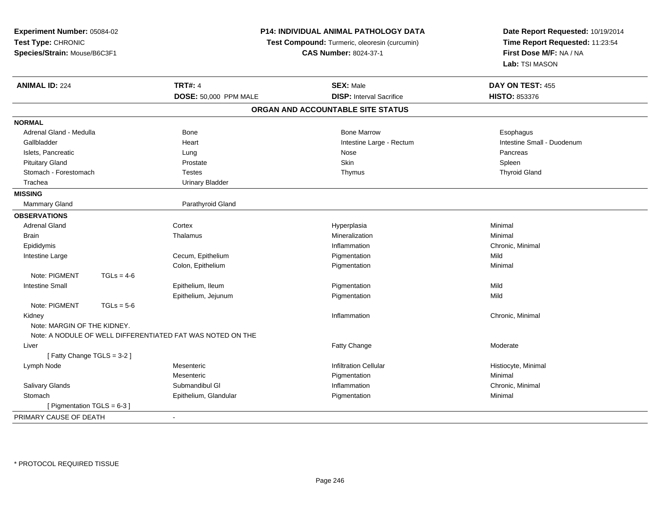| Experiment Number: 05084-02<br>Test Type: CHRONIC<br>Species/Strain: Mouse/B6C3F1 |                        | P14: INDIVIDUAL ANIMAL PATHOLOGY DATA<br>Test Compound: Turmeric, oleoresin (curcumin)<br><b>CAS Number: 8024-37-1</b> | Date Report Requested: 10/19/2014<br>Time Report Requested: 11:23:54<br>First Dose M/F: NA / NA<br>Lab: TSI MASON |
|-----------------------------------------------------------------------------------|------------------------|------------------------------------------------------------------------------------------------------------------------|-------------------------------------------------------------------------------------------------------------------|
| <b>ANIMAL ID: 224</b>                                                             | <b>TRT#: 4</b>         | <b>SEX: Male</b>                                                                                                       | DAY ON TEST: 455                                                                                                  |
|                                                                                   | DOSE: 50,000 PPM MALE  | <b>DISP:</b> Interval Sacrifice                                                                                        | HISTO: 853376                                                                                                     |
|                                                                                   |                        | ORGAN AND ACCOUNTABLE SITE STATUS                                                                                      |                                                                                                                   |
| <b>NORMAL</b>                                                                     |                        |                                                                                                                        |                                                                                                                   |
| Adrenal Gland - Medulla                                                           | <b>Bone</b>            | <b>Bone Marrow</b>                                                                                                     | Esophagus                                                                                                         |
| Gallbladder                                                                       | Heart                  | Intestine Large - Rectum                                                                                               | Intestine Small - Duodenum                                                                                        |
| Islets, Pancreatic                                                                | Lung                   | Nose                                                                                                                   | Pancreas                                                                                                          |
| <b>Pituitary Gland</b>                                                            | Prostate               | Skin                                                                                                                   | Spleen                                                                                                            |
| Stomach - Forestomach                                                             | <b>Testes</b>          | Thymus                                                                                                                 | <b>Thyroid Gland</b>                                                                                              |
| Trachea                                                                           | <b>Urinary Bladder</b> |                                                                                                                        |                                                                                                                   |
| <b>MISSING</b>                                                                    |                        |                                                                                                                        |                                                                                                                   |
| Mammary Gland                                                                     | Parathyroid Gland      |                                                                                                                        |                                                                                                                   |
| <b>OBSERVATIONS</b>                                                               |                        |                                                                                                                        |                                                                                                                   |
| <b>Adrenal Gland</b>                                                              | Cortex                 | Hyperplasia                                                                                                            | Minimal                                                                                                           |
| Brain                                                                             | Thalamus               | Mineralization                                                                                                         | Minimal                                                                                                           |
| Epididymis                                                                        |                        | Inflammation                                                                                                           | Chronic, Minimal                                                                                                  |
| Intestine Large                                                                   | Cecum, Epithelium      | Pigmentation                                                                                                           | Mild                                                                                                              |
|                                                                                   | Colon, Epithelium      | Pigmentation                                                                                                           | Minimal                                                                                                           |
| Note: PIGMENT<br>$TGLs = 4-6$                                                     |                        |                                                                                                                        |                                                                                                                   |
| <b>Intestine Small</b>                                                            | Epithelium, Ileum      | Pigmentation                                                                                                           | Mild                                                                                                              |
|                                                                                   | Epithelium, Jejunum    | Pigmentation                                                                                                           | Mild                                                                                                              |
| Note: PIGMENT<br>$TGLs = 5-6$                                                     |                        |                                                                                                                        |                                                                                                                   |
| Kidney                                                                            |                        | Inflammation                                                                                                           | Chronic, Minimal                                                                                                  |
| Note: MARGIN OF THE KIDNEY.                                                       |                        |                                                                                                                        |                                                                                                                   |
| Note: A NODULE OF WELL DIFFERENTIATED FAT WAS NOTED ON THE                        |                        |                                                                                                                        |                                                                                                                   |
| Liver                                                                             |                        | <b>Fatty Change</b>                                                                                                    | Moderate                                                                                                          |
| [Fatty Change TGLS = 3-2]                                                         |                        |                                                                                                                        |                                                                                                                   |
| Lymph Node                                                                        | Mesenteric             | <b>Infiltration Cellular</b>                                                                                           | Histiocyte, Minimal                                                                                               |
|                                                                                   | Mesenteric             | Pigmentation                                                                                                           | Minimal                                                                                                           |
| Salivary Glands                                                                   | Submandibul GI         | Inflammation                                                                                                           | Chronic, Minimal                                                                                                  |
| Stomach                                                                           | Epithelium, Glandular  | Pigmentation                                                                                                           | Minimal                                                                                                           |
| [ Pigmentation TGLS = 6-3 ]                                                       |                        |                                                                                                                        |                                                                                                                   |
| PRIMARY CAUSE OF DEATH                                                            | $\blacksquare$         |                                                                                                                        |                                                                                                                   |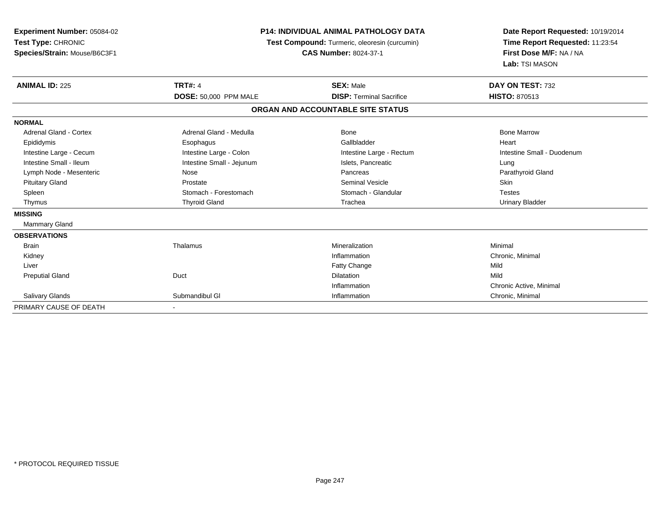| <b>Experiment Number: 05084-02</b><br>Test Type: CHRONIC<br>Species/Strain: Mouse/B6C3F1 | P14: INDIVIDUAL ANIMAL PATHOLOGY DATA<br>Test Compound: Turmeric, oleoresin (curcumin)<br><b>CAS Number: 8024-37-1</b> |                                   | Date Report Requested: 10/19/2014<br>Time Report Requested: 11:23:54<br>First Dose M/F: NA / NA<br>Lab: TSI MASON |  |
|------------------------------------------------------------------------------------------|------------------------------------------------------------------------------------------------------------------------|-----------------------------------|-------------------------------------------------------------------------------------------------------------------|--|
| <b>ANIMAL ID: 225</b>                                                                    | <b>TRT#: 4</b>                                                                                                         | <b>SEX: Male</b>                  | DAY ON TEST: 732                                                                                                  |  |
|                                                                                          | DOSE: 50,000 PPM MALE                                                                                                  | <b>DISP: Terminal Sacrifice</b>   | <b>HISTO: 870513</b>                                                                                              |  |
|                                                                                          |                                                                                                                        | ORGAN AND ACCOUNTABLE SITE STATUS |                                                                                                                   |  |
| <b>NORMAL</b>                                                                            |                                                                                                                        |                                   |                                                                                                                   |  |
| <b>Adrenal Gland - Cortex</b>                                                            | Adrenal Gland - Medulla                                                                                                | <b>Bone</b>                       | <b>Bone Marrow</b>                                                                                                |  |
| Epididymis                                                                               | Esophagus                                                                                                              | Gallbladder                       | Heart                                                                                                             |  |
| Intestine Large - Cecum                                                                  | Intestine Large - Colon                                                                                                | Intestine Large - Rectum          | Intestine Small - Duodenum                                                                                        |  |
| Intestine Small - Ileum                                                                  | Intestine Small - Jejunum                                                                                              | Islets, Pancreatic                | Lung                                                                                                              |  |
| Lymph Node - Mesenteric                                                                  | Nose                                                                                                                   | Pancreas                          | Parathyroid Gland                                                                                                 |  |
| <b>Pituitary Gland</b>                                                                   | Prostate                                                                                                               | <b>Seminal Vesicle</b>            | Skin                                                                                                              |  |
| Spleen                                                                                   | Stomach - Forestomach                                                                                                  | Stomach - Glandular               | <b>Testes</b>                                                                                                     |  |
| Thymus                                                                                   | <b>Thyroid Gland</b>                                                                                                   | Trachea                           | <b>Urinary Bladder</b>                                                                                            |  |
| <b>MISSING</b>                                                                           |                                                                                                                        |                                   |                                                                                                                   |  |
| Mammary Gland                                                                            |                                                                                                                        |                                   |                                                                                                                   |  |
| <b>OBSERVATIONS</b>                                                                      |                                                                                                                        |                                   |                                                                                                                   |  |
| <b>Brain</b>                                                                             | Thalamus                                                                                                               | Mineralization                    | Minimal                                                                                                           |  |
| Kidney                                                                                   |                                                                                                                        | Inflammation                      | Chronic, Minimal                                                                                                  |  |
| Liver                                                                                    |                                                                                                                        | <b>Fatty Change</b>               | Mild                                                                                                              |  |
| <b>Preputial Gland</b>                                                                   | Duct                                                                                                                   | Dilatation                        | Mild                                                                                                              |  |
|                                                                                          |                                                                                                                        | Inflammation                      | Chronic Active, Minimal                                                                                           |  |
| Salivary Glands                                                                          | Submandibul GI                                                                                                         | Inflammation                      | Chronic, Minimal                                                                                                  |  |
| PRIMARY CAUSE OF DEATH                                                                   |                                                                                                                        |                                   |                                                                                                                   |  |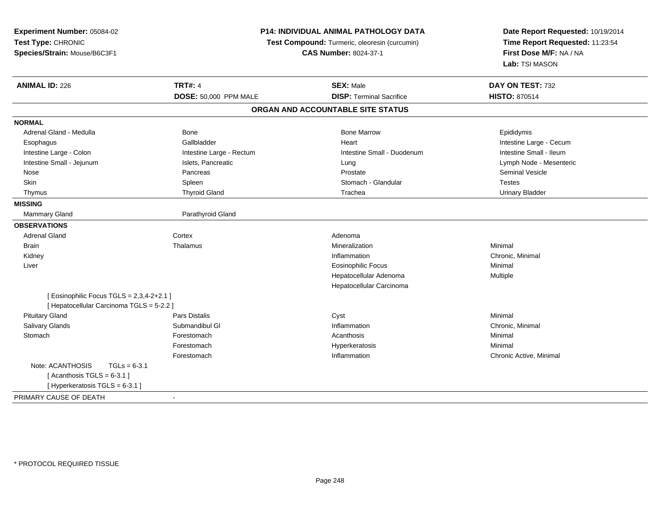| Experiment Number: 05084-02                 | <b>P14: INDIVIDUAL ANIMAL PATHOLOGY DATA</b><br>Test Compound: Turmeric, oleoresin (curcumin)<br><b>CAS Number: 8024-37-1</b> |                                   | Date Report Requested: 10/19/2014<br>Time Report Requested: 11:23:54<br>First Dose M/F: NA / NA |
|---------------------------------------------|-------------------------------------------------------------------------------------------------------------------------------|-----------------------------------|-------------------------------------------------------------------------------------------------|
| Test Type: CHRONIC                          |                                                                                                                               |                                   |                                                                                                 |
| Species/Strain: Mouse/B6C3F1                |                                                                                                                               |                                   |                                                                                                 |
|                                             |                                                                                                                               |                                   | Lab: TSI MASON                                                                                  |
| <b>ANIMAL ID: 226</b>                       | <b>TRT#: 4</b>                                                                                                                | <b>SEX: Male</b>                  | DAY ON TEST: 732                                                                                |
|                                             | DOSE: 50,000 PPM MALE                                                                                                         | <b>DISP: Terminal Sacrifice</b>   | <b>HISTO: 870514</b>                                                                            |
|                                             |                                                                                                                               | ORGAN AND ACCOUNTABLE SITE STATUS |                                                                                                 |
| <b>NORMAL</b>                               |                                                                                                                               |                                   |                                                                                                 |
| Adrenal Gland - Medulla                     | Bone                                                                                                                          | <b>Bone Marrow</b>                | Epididymis                                                                                      |
| Esophagus                                   | Gallbladder                                                                                                                   | Heart                             | Intestine Large - Cecum                                                                         |
| Intestine Large - Colon                     | Intestine Large - Rectum                                                                                                      | Intestine Small - Duodenum        | Intestine Small - Ileum                                                                         |
| Intestine Small - Jejunum                   | Islets, Pancreatic                                                                                                            | Lung                              | Lymph Node - Mesenteric                                                                         |
| Nose                                        | Pancreas                                                                                                                      | Prostate                          | <b>Seminal Vesicle</b>                                                                          |
| Skin                                        | Spleen                                                                                                                        | Stomach - Glandular               | <b>Testes</b>                                                                                   |
| Thymus                                      | <b>Thyroid Gland</b>                                                                                                          | Trachea                           | <b>Urinary Bladder</b>                                                                          |
| <b>MISSING</b>                              |                                                                                                                               |                                   |                                                                                                 |
| Mammary Gland                               | Parathyroid Gland                                                                                                             |                                   |                                                                                                 |
| <b>OBSERVATIONS</b>                         |                                                                                                                               |                                   |                                                                                                 |
| <b>Adrenal Gland</b>                        | Cortex                                                                                                                        | Adenoma                           |                                                                                                 |
| <b>Brain</b>                                | Thalamus                                                                                                                      | Mineralization                    | Minimal                                                                                         |
| Kidney                                      |                                                                                                                               | Inflammation                      | Chronic, Minimal                                                                                |
| Liver                                       |                                                                                                                               | <b>Eosinophilic Focus</b>         | Minimal                                                                                         |
|                                             |                                                                                                                               | Hepatocellular Adenoma            | Multiple                                                                                        |
|                                             |                                                                                                                               | Hepatocellular Carcinoma          |                                                                                                 |
| [ Eosinophilic Focus TGLS = $2,3,4-2+2.1$ ] |                                                                                                                               |                                   |                                                                                                 |
| [ Hepatocellular Carcinoma TGLS = 5-2.2 ]   |                                                                                                                               |                                   |                                                                                                 |
| <b>Pituitary Gland</b>                      | Pars Distalis                                                                                                                 | Cyst                              | Minimal                                                                                         |
| <b>Salivary Glands</b>                      | Submandibul GI                                                                                                                | Inflammation                      | Chronic, Minimal                                                                                |
| Stomach                                     | Forestomach                                                                                                                   | Acanthosis                        | Minimal                                                                                         |
|                                             | Forestomach                                                                                                                   | Hyperkeratosis                    | Minimal                                                                                         |
|                                             | Forestomach                                                                                                                   | Inflammation                      | Chronic Active, Minimal                                                                         |
| Note: ACANTHOSIS<br>$TGLs = 6-3.1$          |                                                                                                                               |                                   |                                                                                                 |
| [Acanthosis TGLS = $6-3.1$ ]                |                                                                                                                               |                                   |                                                                                                 |
| [ Hyperkeratosis TGLS = 6-3.1 ]             |                                                                                                                               |                                   |                                                                                                 |
| PRIMARY CAUSE OF DEATH                      | $\blacksquare$                                                                                                                |                                   |                                                                                                 |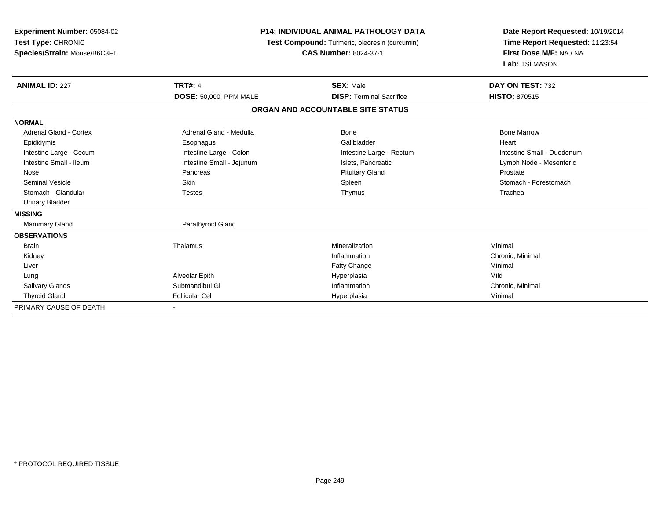| <b>Experiment Number: 05084-02</b><br>Test Type: CHRONIC<br>Species/Strain: Mouse/B6C3F1 | <b>P14: INDIVIDUAL ANIMAL PATHOLOGY DATA</b><br>Test Compound: Turmeric, oleoresin (curcumin)<br><b>CAS Number: 8024-37-1</b> |                                   | Date Report Requested: 10/19/2014<br>Time Report Requested: 11:23:54<br>First Dose M/F: NA / NA<br>Lab: TSI MASON |
|------------------------------------------------------------------------------------------|-------------------------------------------------------------------------------------------------------------------------------|-----------------------------------|-------------------------------------------------------------------------------------------------------------------|
| <b>ANIMAL ID: 227</b>                                                                    | <b>TRT#: 4</b>                                                                                                                | <b>SEX: Male</b>                  | DAY ON TEST: 732                                                                                                  |
|                                                                                          | DOSE: 50,000 PPM MALE                                                                                                         | <b>DISP: Terminal Sacrifice</b>   | <b>HISTO: 870515</b>                                                                                              |
|                                                                                          |                                                                                                                               | ORGAN AND ACCOUNTABLE SITE STATUS |                                                                                                                   |
| <b>NORMAL</b>                                                                            |                                                                                                                               |                                   |                                                                                                                   |
| <b>Adrenal Gland - Cortex</b>                                                            | Adrenal Gland - Medulla                                                                                                       | <b>Bone</b>                       | <b>Bone Marrow</b>                                                                                                |
| Epididymis                                                                               | Esophagus                                                                                                                     | Gallbladder                       | Heart                                                                                                             |
| Intestine Large - Cecum                                                                  | Intestine Large - Colon                                                                                                       | Intestine Large - Rectum          | Intestine Small - Duodenum                                                                                        |
| Intestine Small - Ileum                                                                  | Intestine Small - Jejunum                                                                                                     | Islets, Pancreatic                | Lymph Node - Mesenteric                                                                                           |
| Nose                                                                                     | Pancreas                                                                                                                      | <b>Pituitary Gland</b>            | Prostate                                                                                                          |
| <b>Seminal Vesicle</b>                                                                   | Skin                                                                                                                          | Spleen                            | Stomach - Forestomach                                                                                             |
| Stomach - Glandular                                                                      | <b>Testes</b>                                                                                                                 | Thymus                            | Trachea                                                                                                           |
| <b>Urinary Bladder</b>                                                                   |                                                                                                                               |                                   |                                                                                                                   |
| <b>MISSING</b>                                                                           |                                                                                                                               |                                   |                                                                                                                   |
| Mammary Gland                                                                            | Parathyroid Gland                                                                                                             |                                   |                                                                                                                   |
| <b>OBSERVATIONS</b>                                                                      |                                                                                                                               |                                   |                                                                                                                   |
| <b>Brain</b>                                                                             | Thalamus                                                                                                                      | Mineralization                    | Minimal                                                                                                           |
| Kidney                                                                                   |                                                                                                                               | Inflammation                      | Chronic, Minimal                                                                                                  |
| Liver                                                                                    |                                                                                                                               | <b>Fatty Change</b>               | Minimal                                                                                                           |
| Lung                                                                                     | Alveolar Epith                                                                                                                | Hyperplasia                       | Mild                                                                                                              |
| <b>Salivary Glands</b>                                                                   | Submandibul GI                                                                                                                | Inflammation                      | Chronic, Minimal                                                                                                  |
| <b>Thyroid Gland</b>                                                                     | <b>Follicular Cel</b>                                                                                                         | Hyperplasia                       | Minimal                                                                                                           |
| PRIMARY CAUSE OF DEATH                                                                   | $\blacksquare$                                                                                                                |                                   |                                                                                                                   |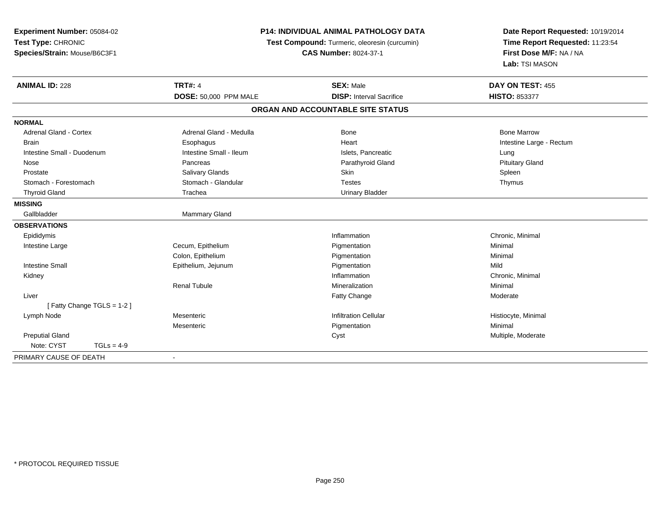| Experiment Number: 05084-02<br>Test Type: CHRONIC<br>Species/Strain: Mouse/B6C3F1 | <b>P14: INDIVIDUAL ANIMAL PATHOLOGY DATA</b><br>Test Compound: Turmeric, oleoresin (curcumin)<br><b>CAS Number: 8024-37-1</b> |                                   | Date Report Requested: 10/19/2014<br>Time Report Requested: 11:23:54<br>First Dose M/F: NA / NA<br>Lab: TSI MASON |
|-----------------------------------------------------------------------------------|-------------------------------------------------------------------------------------------------------------------------------|-----------------------------------|-------------------------------------------------------------------------------------------------------------------|
| <b>ANIMAL ID: 228</b>                                                             | <b>TRT#: 4</b>                                                                                                                | <b>SEX: Male</b>                  | DAY ON TEST: 455                                                                                                  |
|                                                                                   | DOSE: 50,000 PPM MALE                                                                                                         | <b>DISP: Interval Sacrifice</b>   | HISTO: 853377                                                                                                     |
|                                                                                   |                                                                                                                               | ORGAN AND ACCOUNTABLE SITE STATUS |                                                                                                                   |
| <b>NORMAL</b>                                                                     |                                                                                                                               |                                   |                                                                                                                   |
| <b>Adrenal Gland - Cortex</b>                                                     | Adrenal Gland - Medulla                                                                                                       | <b>Bone</b>                       | <b>Bone Marrow</b>                                                                                                |
| Brain                                                                             | Esophagus                                                                                                                     | Heart                             | Intestine Large - Rectum                                                                                          |
| Intestine Small - Duodenum                                                        | Intestine Small - Ileum                                                                                                       | Islets, Pancreatic                | Lung                                                                                                              |
| Nose                                                                              | Pancreas                                                                                                                      | Parathyroid Gland                 | <b>Pituitary Gland</b>                                                                                            |
| Prostate                                                                          | <b>Salivary Glands</b>                                                                                                        | Skin                              | Spleen                                                                                                            |
| Stomach - Forestomach                                                             | Stomach - Glandular                                                                                                           | <b>Testes</b>                     | Thymus                                                                                                            |
| <b>Thyroid Gland</b>                                                              | Trachea                                                                                                                       | <b>Urinary Bladder</b>            |                                                                                                                   |
| <b>MISSING</b>                                                                    |                                                                                                                               |                                   |                                                                                                                   |
| Gallbladder                                                                       | Mammary Gland                                                                                                                 |                                   |                                                                                                                   |
| <b>OBSERVATIONS</b>                                                               |                                                                                                                               |                                   |                                                                                                                   |
| Epididymis                                                                        |                                                                                                                               | Inflammation                      | Chronic, Minimal                                                                                                  |
| Intestine Large                                                                   | Cecum, Epithelium                                                                                                             | Pigmentation                      | Minimal                                                                                                           |
|                                                                                   | Colon, Epithelium                                                                                                             | Pigmentation                      | Minimal                                                                                                           |
| <b>Intestine Small</b>                                                            | Epithelium, Jejunum                                                                                                           | Pigmentation                      | Mild                                                                                                              |
| Kidney                                                                            |                                                                                                                               | Inflammation                      | Chronic, Minimal                                                                                                  |
|                                                                                   | <b>Renal Tubule</b>                                                                                                           | Mineralization                    | Minimal                                                                                                           |
| Liver                                                                             |                                                                                                                               | Fatty Change                      | Moderate                                                                                                          |
| [Fatty Change TGLS = 1-2]                                                         |                                                                                                                               |                                   |                                                                                                                   |
| Lymph Node                                                                        | Mesenteric                                                                                                                    | <b>Infiltration Cellular</b>      | Histiocyte, Minimal                                                                                               |
|                                                                                   | Mesenteric                                                                                                                    | Pigmentation                      | Minimal                                                                                                           |
| <b>Preputial Gland</b>                                                            |                                                                                                                               | Cyst                              | Multiple, Moderate                                                                                                |
| Note: CYST<br>$TGLs = 4-9$                                                        |                                                                                                                               |                                   |                                                                                                                   |
| PRIMARY CAUSE OF DEATH                                                            | $\overline{\phantom{a}}$                                                                                                      |                                   |                                                                                                                   |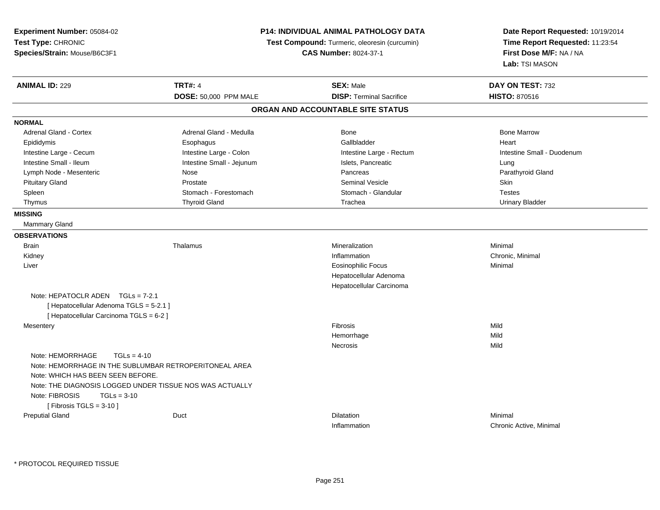| Experiment Number: 05084-02<br>Test Type: CHRONIC<br>Species/Strain: Mouse/B6C3F1 | P14: INDIVIDUAL ANIMAL PATHOLOGY DATA<br>Test Compound: Turmeric, oleoresin (curcumin)<br><b>CAS Number: 8024-37-1</b> |                                   | Date Report Requested: 10/19/2014<br>Time Report Requested: 11:23:54<br>First Dose M/F: NA / NA<br>Lab: TSI MASON |
|-----------------------------------------------------------------------------------|------------------------------------------------------------------------------------------------------------------------|-----------------------------------|-------------------------------------------------------------------------------------------------------------------|
| <b>ANIMAL ID: 229</b>                                                             | <b>TRT#: 4</b>                                                                                                         | <b>SEX: Male</b>                  | DAY ON TEST: 732                                                                                                  |
|                                                                                   | DOSE: 50,000 PPM MALE                                                                                                  | <b>DISP: Terminal Sacrifice</b>   | <b>HISTO: 870516</b>                                                                                              |
|                                                                                   |                                                                                                                        | ORGAN AND ACCOUNTABLE SITE STATUS |                                                                                                                   |
| <b>NORMAL</b>                                                                     |                                                                                                                        |                                   |                                                                                                                   |
| <b>Adrenal Gland - Cortex</b>                                                     | Adrenal Gland - Medulla                                                                                                | <b>Bone</b>                       | <b>Bone Marrow</b>                                                                                                |
| Epididymis                                                                        | Esophagus                                                                                                              | Gallbladder                       | Heart                                                                                                             |
| Intestine Large - Cecum                                                           | Intestine Large - Colon                                                                                                | Intestine Large - Rectum          | Intestine Small - Duodenum                                                                                        |
| Intestine Small - Ileum                                                           | Intestine Small - Jejunum                                                                                              | Islets, Pancreatic                | Lung                                                                                                              |
| Lymph Node - Mesenteric                                                           | Nose                                                                                                                   | Pancreas                          | Parathyroid Gland                                                                                                 |
| <b>Pituitary Gland</b>                                                            | Prostate                                                                                                               | <b>Seminal Vesicle</b>            | Skin                                                                                                              |
| Spleen                                                                            | Stomach - Forestomach                                                                                                  | Stomach - Glandular               | <b>Testes</b>                                                                                                     |
| Thymus                                                                            | <b>Thyroid Gland</b>                                                                                                   | Trachea                           | <b>Urinary Bladder</b>                                                                                            |
| <b>MISSING</b>                                                                    |                                                                                                                        |                                   |                                                                                                                   |
| Mammary Gland                                                                     |                                                                                                                        |                                   |                                                                                                                   |
| <b>OBSERVATIONS</b>                                                               |                                                                                                                        |                                   |                                                                                                                   |
| <b>Brain</b>                                                                      | Thalamus                                                                                                               | Mineralization                    | Minimal                                                                                                           |
| Kidney                                                                            |                                                                                                                        | Inflammation                      | Chronic, Minimal                                                                                                  |
| Liver                                                                             |                                                                                                                        | <b>Eosinophilic Focus</b>         | Minimal                                                                                                           |
|                                                                                   |                                                                                                                        | Hepatocellular Adenoma            |                                                                                                                   |
|                                                                                   |                                                                                                                        | Hepatocellular Carcinoma          |                                                                                                                   |
| Note: HEPATOCLR ADEN $TGLs = 7-2.1$                                               |                                                                                                                        |                                   |                                                                                                                   |
| [ Hepatocellular Adenoma TGLS = 5-2.1 ]                                           |                                                                                                                        |                                   |                                                                                                                   |
| [ Hepatocellular Carcinoma TGLS = 6-2 ]                                           |                                                                                                                        |                                   |                                                                                                                   |
| Mesentery                                                                         |                                                                                                                        | Fibrosis                          | Mild                                                                                                              |
|                                                                                   |                                                                                                                        | Hemorrhage                        | Mild                                                                                                              |
|                                                                                   |                                                                                                                        | Necrosis                          | Mild                                                                                                              |
| Note: HEMORRHAGE<br>$TGLs = 4-10$                                                 |                                                                                                                        |                                   |                                                                                                                   |
| Note: HEMORRHAGE IN THE SUBLUMBAR RETROPERITONEAL AREA                            |                                                                                                                        |                                   |                                                                                                                   |
| Note: WHICH HAS BEEN SEEN BEFORE.                                                 |                                                                                                                        |                                   |                                                                                                                   |
| Note: THE DIAGNOSIS LOGGED UNDER TISSUE NOS WAS ACTUALLY                          |                                                                                                                        |                                   |                                                                                                                   |
| Note: FIBROSIS<br>$TGLs = 3-10$                                                   |                                                                                                                        |                                   |                                                                                                                   |
| [Fibrosis TGLS = $3-10$ ]                                                         |                                                                                                                        |                                   |                                                                                                                   |
| <b>Preputial Gland</b>                                                            | Duct                                                                                                                   | Dilatation                        | Minimal                                                                                                           |
|                                                                                   |                                                                                                                        | Inflammation                      | Chronic Active, Minimal                                                                                           |

\* PROTOCOL REQUIRED TISSUE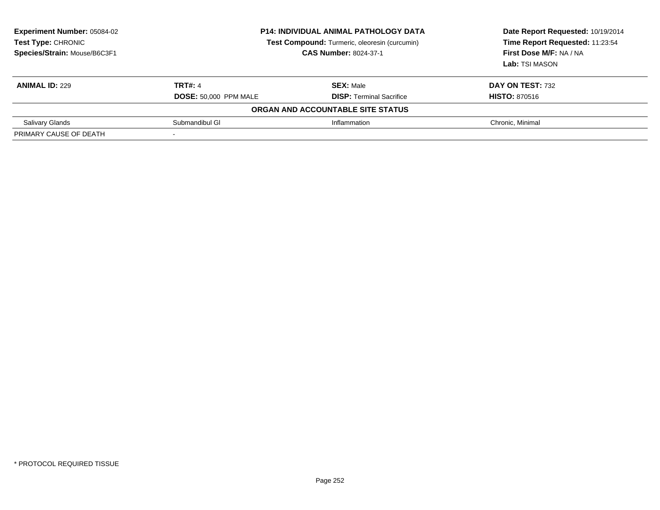| <b>Experiment Number: 05084-02</b><br>Test Type: CHRONIC<br>Species/Strain: Mouse/B6C3F1 | <b>P14: INDIVIDUAL ANIMAL PATHOLOGY DATA</b><br>Test Compound: Turmeric, oleoresin (curcumin)<br><b>CAS Number: 8024-37-1</b> |                                                     | Date Report Requested: 10/19/2014<br>Time Report Requested: 11:23:54<br>First Dose M/F: NA / NA<br>Lab: TSI MASON |
|------------------------------------------------------------------------------------------|-------------------------------------------------------------------------------------------------------------------------------|-----------------------------------------------------|-------------------------------------------------------------------------------------------------------------------|
| <b>ANIMAL ID: 229</b>                                                                    | <b>TRT#: 4</b><br><b>DOSE: 50,000 PPM MALE</b>                                                                                | <b>SEX: Male</b><br><b>DISP:</b> Terminal Sacrifice | <b>DAY ON TEST: 732</b><br><b>HISTO: 870516</b>                                                                   |
|                                                                                          |                                                                                                                               | ORGAN AND ACCOUNTABLE SITE STATUS                   |                                                                                                                   |
| <b>Salivary Glands</b>                                                                   | Submandibul GI                                                                                                                | Inflammation                                        | Chronic, Minimal                                                                                                  |
| PRIMARY CAUSE OF DEATH                                                                   | -                                                                                                                             |                                                     |                                                                                                                   |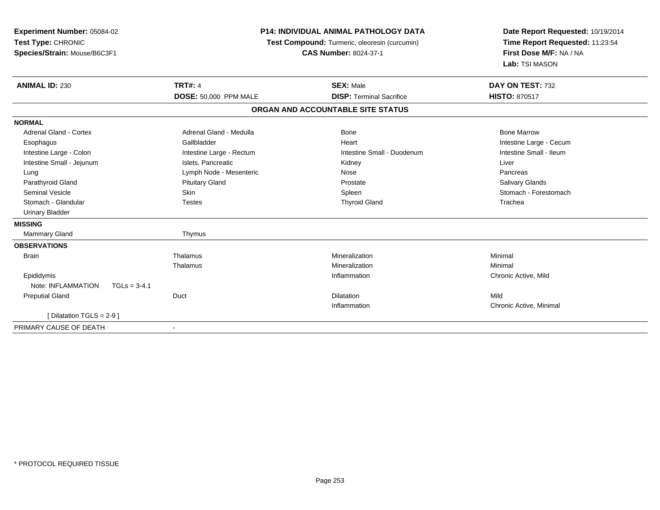| <b>P14: INDIVIDUAL ANIMAL PATHOLOGY DATA</b><br>Experiment Number: 05084-02<br>Test Type: CHRONIC<br>Test Compound: Turmeric, oleoresin (curcumin)<br>Species/Strain: Mouse/B6C3F1<br><b>CAS Number: 8024-37-1</b> |                              | Date Report Requested: 10/19/2014<br>Time Report Requested: 11:23:54<br>First Dose M/F: NA / NA<br>Lab: TSI MASON |                         |
|--------------------------------------------------------------------------------------------------------------------------------------------------------------------------------------------------------------------|------------------------------|-------------------------------------------------------------------------------------------------------------------|-------------------------|
| <b>ANIMAL ID: 230</b>                                                                                                                                                                                              | <b>TRT#: 4</b>               | <b>SEX: Male</b>                                                                                                  | DAY ON TEST: 732        |
|                                                                                                                                                                                                                    | <b>DOSE: 50,000 PPM MALE</b> | <b>DISP: Terminal Sacrifice</b>                                                                                   | <b>HISTO: 870517</b>    |
|                                                                                                                                                                                                                    |                              | ORGAN AND ACCOUNTABLE SITE STATUS                                                                                 |                         |
| <b>NORMAL</b>                                                                                                                                                                                                      |                              |                                                                                                                   |                         |
| <b>Adrenal Gland - Cortex</b>                                                                                                                                                                                      | Adrenal Gland - Medulla      | Bone                                                                                                              | <b>Bone Marrow</b>      |
| Esophagus                                                                                                                                                                                                          | Gallbladder                  | Heart                                                                                                             | Intestine Large - Cecum |
| Intestine Large - Colon                                                                                                                                                                                            | Intestine Large - Rectum     | Intestine Small - Duodenum                                                                                        | Intestine Small - Ileum |
| Intestine Small - Jejunum                                                                                                                                                                                          | Islets. Pancreatic           | Kidney                                                                                                            | Liver                   |
| Lung                                                                                                                                                                                                               | Lymph Node - Mesenteric      | Nose                                                                                                              | Pancreas                |
| Parathyroid Gland                                                                                                                                                                                                  | <b>Pituitary Gland</b>       | Prostate                                                                                                          | Salivary Glands         |
| <b>Seminal Vesicle</b>                                                                                                                                                                                             | Skin                         | Spleen                                                                                                            | Stomach - Forestomach   |
| Stomach - Glandular                                                                                                                                                                                                | <b>Testes</b>                | <b>Thyroid Gland</b>                                                                                              | Trachea                 |
| <b>Urinary Bladder</b>                                                                                                                                                                                             |                              |                                                                                                                   |                         |
| <b>MISSING</b>                                                                                                                                                                                                     |                              |                                                                                                                   |                         |
| Mammary Gland                                                                                                                                                                                                      | Thymus                       |                                                                                                                   |                         |
| <b>OBSERVATIONS</b>                                                                                                                                                                                                |                              |                                                                                                                   |                         |
| <b>Brain</b>                                                                                                                                                                                                       | Thalamus                     | Mineralization                                                                                                    | Minimal                 |
|                                                                                                                                                                                                                    | Thalamus                     | Mineralization                                                                                                    | Minimal                 |
| Epididymis                                                                                                                                                                                                         |                              | Inflammation                                                                                                      | Chronic Active, Mild    |
| Note: INFLAMMATION<br>$TGLs = 3-4.1$                                                                                                                                                                               |                              |                                                                                                                   |                         |
| <b>Preputial Gland</b>                                                                                                                                                                                             | Duct                         | Dilatation                                                                                                        | Mild                    |
|                                                                                                                                                                                                                    |                              | Inflammation                                                                                                      | Chronic Active, Minimal |
| [ Dilatation TGLS = $2-9$ ]                                                                                                                                                                                        |                              |                                                                                                                   |                         |
| PRIMARY CAUSE OF DEATH                                                                                                                                                                                             | $\blacksquare$               |                                                                                                                   |                         |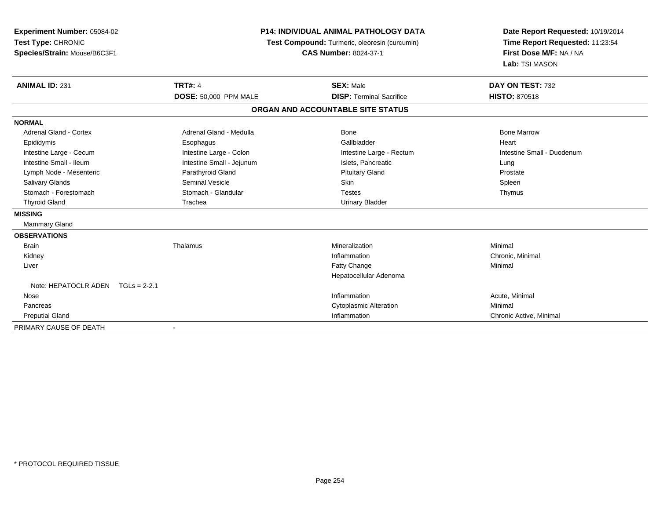| Experiment Number: 05084-02<br>Test Type: CHRONIC<br>Species/Strain: Mouse/B6C3F1 | <b>P14: INDIVIDUAL ANIMAL PATHOLOGY DATA</b><br>Test Compound: Turmeric, oleoresin (curcumin)<br><b>CAS Number: 8024-37-1</b> |                                   | Date Report Requested: 10/19/2014<br>Time Report Requested: 11:23:54<br>First Dose M/F: NA / NA<br>Lab: TSI MASON |  |
|-----------------------------------------------------------------------------------|-------------------------------------------------------------------------------------------------------------------------------|-----------------------------------|-------------------------------------------------------------------------------------------------------------------|--|
| <b>ANIMAL ID: 231</b>                                                             | <b>TRT#: 4</b>                                                                                                                | <b>SEX: Male</b>                  | DAY ON TEST: 732                                                                                                  |  |
|                                                                                   | DOSE: 50,000 PPM MALE                                                                                                         | <b>DISP: Terminal Sacrifice</b>   | <b>HISTO: 870518</b>                                                                                              |  |
|                                                                                   |                                                                                                                               | ORGAN AND ACCOUNTABLE SITE STATUS |                                                                                                                   |  |
| <b>NORMAL</b>                                                                     |                                                                                                                               |                                   |                                                                                                                   |  |
| Adrenal Gland - Cortex                                                            | Adrenal Gland - Medulla                                                                                                       | Bone                              | <b>Bone Marrow</b>                                                                                                |  |
| Epididymis                                                                        | Esophagus                                                                                                                     | Gallbladder                       | Heart                                                                                                             |  |
| Intestine Large - Cecum                                                           | Intestine Large - Colon                                                                                                       | Intestine Large - Rectum          | Intestine Small - Duodenum                                                                                        |  |
| Intestine Small - Ileum                                                           | Intestine Small - Jejunum                                                                                                     | Islets, Pancreatic                | Lung                                                                                                              |  |
| Lymph Node - Mesenteric                                                           | Parathyroid Gland                                                                                                             | <b>Pituitary Gland</b>            | Prostate                                                                                                          |  |
| <b>Salivary Glands</b>                                                            | <b>Seminal Vesicle</b>                                                                                                        | <b>Skin</b>                       | Spleen                                                                                                            |  |
| Stomach - Forestomach                                                             | Stomach - Glandular                                                                                                           | <b>Testes</b>                     | Thymus                                                                                                            |  |
| <b>Thyroid Gland</b>                                                              | Trachea                                                                                                                       | <b>Urinary Bladder</b>            |                                                                                                                   |  |
| <b>MISSING</b>                                                                    |                                                                                                                               |                                   |                                                                                                                   |  |
| Mammary Gland                                                                     |                                                                                                                               |                                   |                                                                                                                   |  |
| <b>OBSERVATIONS</b>                                                               |                                                                                                                               |                                   |                                                                                                                   |  |
| <b>Brain</b>                                                                      | Thalamus                                                                                                                      | Mineralization                    | Minimal                                                                                                           |  |
| Kidney                                                                            |                                                                                                                               | Inflammation                      | Chronic, Minimal                                                                                                  |  |
| Liver                                                                             |                                                                                                                               | Fatty Change                      | Minimal                                                                                                           |  |
|                                                                                   |                                                                                                                               | Hepatocellular Adenoma            |                                                                                                                   |  |
| Note: HEPATOCLR ADEN<br>$TGLs = 2-2.1$                                            |                                                                                                                               |                                   |                                                                                                                   |  |
| Nose                                                                              |                                                                                                                               | Inflammation                      | Acute, Minimal                                                                                                    |  |
| Pancreas                                                                          |                                                                                                                               | <b>Cytoplasmic Alteration</b>     | Minimal                                                                                                           |  |
| <b>Preputial Gland</b>                                                            |                                                                                                                               | Inflammation                      | Chronic Active, Minimal                                                                                           |  |
| PRIMARY CAUSE OF DEATH                                                            |                                                                                                                               |                                   |                                                                                                                   |  |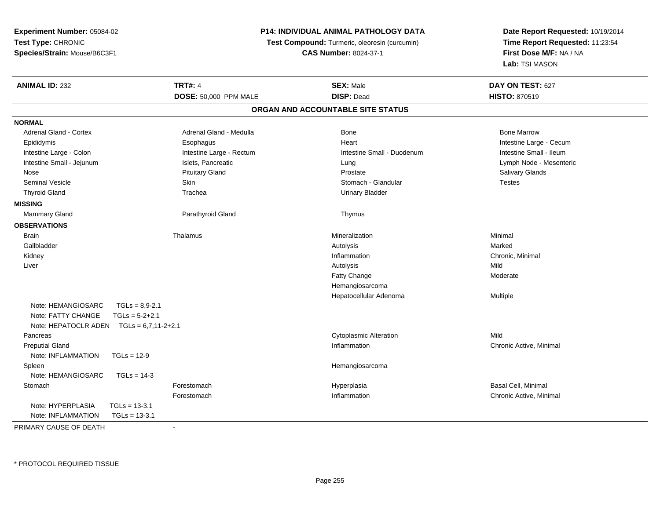|                                            |                               | Date Report Requested: 10/19/2014<br>Time Report Requested: 11:23:54<br>First Dose M/F: NA / NA                                                             |  |
|--------------------------------------------|-------------------------------|-------------------------------------------------------------------------------------------------------------------------------------------------------------|--|
|                                            |                               |                                                                                                                                                             |  |
|                                            |                               |                                                                                                                                                             |  |
|                                            |                               | Lab: TSI MASON                                                                                                                                              |  |
| <b>TRT#: 4</b>                             | <b>SEX: Male</b>              | DAY ON TEST: 627                                                                                                                                            |  |
| DOSE: 50,000 PPM MALE                      | <b>DISP: Dead</b>             | <b>HISTO: 870519</b>                                                                                                                                        |  |
|                                            |                               |                                                                                                                                                             |  |
|                                            |                               |                                                                                                                                                             |  |
| Adrenal Gland - Medulla                    | Bone                          | <b>Bone Marrow</b>                                                                                                                                          |  |
| Esophagus                                  | Heart                         | Intestine Large - Cecum                                                                                                                                     |  |
| Intestine Large - Rectum                   | Intestine Small - Duodenum    | Intestine Small - Ileum                                                                                                                                     |  |
| Islets, Pancreatic                         | Lung                          | Lymph Node - Mesenteric                                                                                                                                     |  |
| <b>Pituitary Gland</b>                     | Prostate                      | Salivary Glands                                                                                                                                             |  |
| Skin                                       | Stomach - Glandular           | Testes                                                                                                                                                      |  |
| Trachea                                    | <b>Urinary Bladder</b>        |                                                                                                                                                             |  |
|                                            |                               |                                                                                                                                                             |  |
| Parathyroid Gland                          | Thymus                        |                                                                                                                                                             |  |
|                                            |                               |                                                                                                                                                             |  |
| Thalamus                                   | Mineralization                | Minimal                                                                                                                                                     |  |
|                                            | Autolysis                     | Marked                                                                                                                                                      |  |
|                                            | Inflammation                  | Chronic, Minimal                                                                                                                                            |  |
|                                            | Autolysis                     | Mild                                                                                                                                                        |  |
|                                            | Fatty Change                  | Moderate                                                                                                                                                    |  |
|                                            | Hemangiosarcoma               |                                                                                                                                                             |  |
|                                            | Hepatocellular Adenoma        | Multiple                                                                                                                                                    |  |
| $TGLs = 8.9 - 2.1$                         |                               |                                                                                                                                                             |  |
| $TGLs = 5-2+2.1$                           |                               |                                                                                                                                                             |  |
| Note: HEPATOCLR ADEN $TGLs = 6,7,11-2+2.1$ |                               |                                                                                                                                                             |  |
|                                            | <b>Cytoplasmic Alteration</b> | Mild                                                                                                                                                        |  |
|                                            | Inflammation                  | Chronic Active, Minimal                                                                                                                                     |  |
| $TGLs = 12-9$                              |                               |                                                                                                                                                             |  |
|                                            | Hemangiosarcoma               |                                                                                                                                                             |  |
| $TGLs = 14-3$                              |                               |                                                                                                                                                             |  |
| Forestomach                                | Hyperplasia                   | Basal Cell, Minimal                                                                                                                                         |  |
| Forestomach                                | Inflammation                  | Chronic Active, Minimal                                                                                                                                     |  |
| $TGLs = 13-3.1$                            |                               |                                                                                                                                                             |  |
| $TGLs = 13-3.1$                            |                               |                                                                                                                                                             |  |
|                                            |                               | P14: INDIVIDUAL ANIMAL PATHOLOGY DATA<br>Test Compound: Turmeric, oleoresin (curcumin)<br><b>CAS Number: 8024-37-1</b><br>ORGAN AND ACCOUNTABLE SITE STATUS |  |

PRIMARY CAUSE OF DEATH-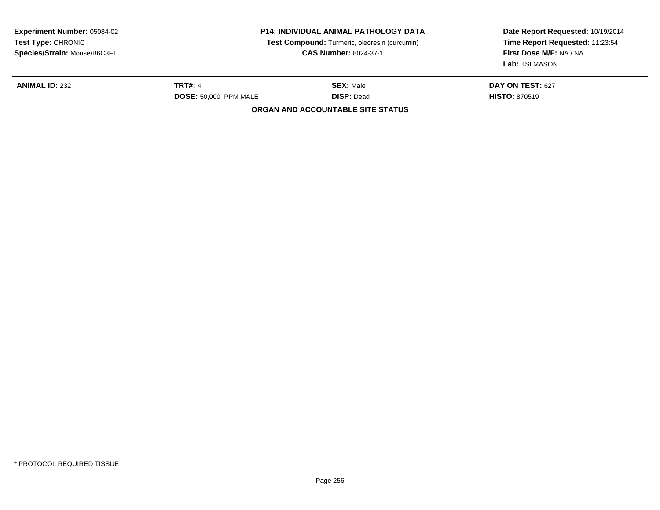| <b>Experiment Number: 05084-02</b><br>Test Type: CHRONIC<br>Species/Strain: Mouse/B6C3F1 | <b>P14: INDIVIDUAL ANIMAL PATHOLOGY DATA</b><br>Test Compound: Turmeric, oleoresin (curcumin)<br><b>CAS Number: 8024-37-1</b> |                                          | Date Report Requested: 10/19/2014<br>Time Report Requested: 11:23:54<br>First Dose M/F: NA / NA<br>Lab: TSI MASON |
|------------------------------------------------------------------------------------------|-------------------------------------------------------------------------------------------------------------------------------|------------------------------------------|-------------------------------------------------------------------------------------------------------------------|
| <b>ANIMAL ID: 232</b>                                                                    | <b>TRT#: 4</b><br><b>DOSE: 50.000 PPM MALE</b>                                                                                | <b>SEX:</b> Male<br><b>DISP: Dead</b>    | DAY ON TEST: 627<br><b>HISTO: 870519</b>                                                                          |
|                                                                                          |                                                                                                                               | <b>ORGAN AND ACCOUNTABLE SITE STATUS</b> |                                                                                                                   |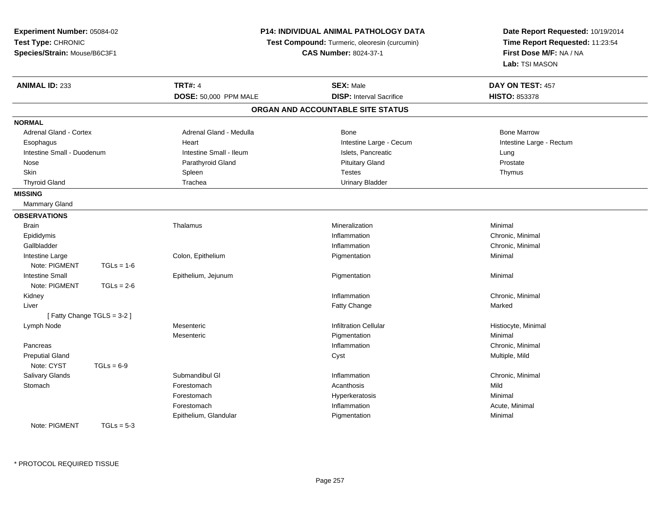| Experiment Number: 05084-02                        |                           |                                                                                      | <b>P14: INDIVIDUAL ANIMAL PATHOLOGY DATA</b> | Date Report Requested: 10/19/2014 |
|----------------------------------------------------|---------------------------|--------------------------------------------------------------------------------------|----------------------------------------------|-----------------------------------|
| Test Type: CHRONIC<br>Species/Strain: Mouse/B6C3F1 |                           | <b>Test Compound:</b> Turmeric, oleoresin (curcumin)<br><b>CAS Number: 8024-37-1</b> |                                              | Time Report Requested: 11:23:54   |
|                                                    |                           |                                                                                      |                                              | First Dose M/F: NA / NA           |
|                                                    |                           |                                                                                      |                                              | Lab: TSI MASON                    |
| <b>ANIMAL ID: 233</b>                              |                           | <b>TRT#: 4</b>                                                                       | <b>SEX: Male</b>                             | DAY ON TEST: 457                  |
|                                                    |                           | DOSE: 50,000 PPM MALE                                                                | <b>DISP:</b> Interval Sacrifice              | <b>HISTO: 853378</b>              |
|                                                    |                           |                                                                                      | ORGAN AND ACCOUNTABLE SITE STATUS            |                                   |
| <b>NORMAL</b>                                      |                           |                                                                                      |                                              |                                   |
| Adrenal Gland - Cortex                             |                           | Adrenal Gland - Medulla                                                              | Bone                                         | <b>Bone Marrow</b>                |
| Esophagus                                          |                           | Heart                                                                                | Intestine Large - Cecum                      | Intestine Large - Rectum          |
| Intestine Small - Duodenum                         |                           | Intestine Small - Ileum                                                              | Islets, Pancreatic                           | Lung                              |
| Nose                                               |                           | Parathyroid Gland                                                                    | <b>Pituitary Gland</b>                       | Prostate                          |
| Skin                                               |                           | Spleen                                                                               | <b>Testes</b>                                | Thymus                            |
| <b>Thyroid Gland</b>                               |                           | Trachea                                                                              | <b>Urinary Bladder</b>                       |                                   |
| <b>MISSING</b>                                     |                           |                                                                                      |                                              |                                   |
| Mammary Gland                                      |                           |                                                                                      |                                              |                                   |
| <b>OBSERVATIONS</b>                                |                           |                                                                                      |                                              |                                   |
| <b>Brain</b>                                       |                           | Thalamus                                                                             | Mineralization                               | Minimal                           |
| Epididymis                                         |                           |                                                                                      | Inflammation                                 | Chronic, Minimal                  |
| Gallbladder                                        |                           |                                                                                      | Inflammation                                 | Chronic, Minimal                  |
| Intestine Large                                    |                           | Colon, Epithelium                                                                    | Pigmentation                                 | Minimal                           |
| Note: PIGMENT                                      | $TGLs = 1-6$              |                                                                                      |                                              |                                   |
| <b>Intestine Small</b>                             |                           | Epithelium, Jejunum                                                                  | Pigmentation                                 | Minimal                           |
| Note: PIGMENT                                      | $TGLs = 2-6$              |                                                                                      |                                              |                                   |
| Kidney                                             |                           |                                                                                      | Inflammation                                 | Chronic, Minimal                  |
| Liver                                              |                           |                                                                                      | Fatty Change                                 | Marked                            |
|                                                    | [Fatty Change TGLS = 3-2] |                                                                                      |                                              |                                   |
| Lymph Node                                         |                           | Mesenteric                                                                           | <b>Infiltration Cellular</b>                 | Histiocyte, Minimal               |
|                                                    |                           | Mesenteric                                                                           | Pigmentation                                 | Minimal                           |
| Pancreas                                           |                           |                                                                                      | Inflammation                                 | Chronic, Minimal                  |
| <b>Preputial Gland</b>                             |                           |                                                                                      | Cyst                                         | Multiple, Mild                    |
| Note: CYST                                         | $TGLs = 6-9$              |                                                                                      |                                              |                                   |
| Salivary Glands                                    |                           | Submandibul GI                                                                       | Inflammation                                 | Chronic, Minimal                  |
| Stomach                                            |                           | Forestomach                                                                          | Acanthosis                                   | Mild                              |
|                                                    |                           | Forestomach                                                                          | Hyperkeratosis                               | Minimal                           |
|                                                    |                           | Forestomach                                                                          | Inflammation                                 | Acute, Minimal                    |
|                                                    |                           | Epithelium, Glandular                                                                | Pigmentation                                 | Minimal                           |
| Note: PIGMENT                                      | $TGLs = 5-3$              |                                                                                      |                                              |                                   |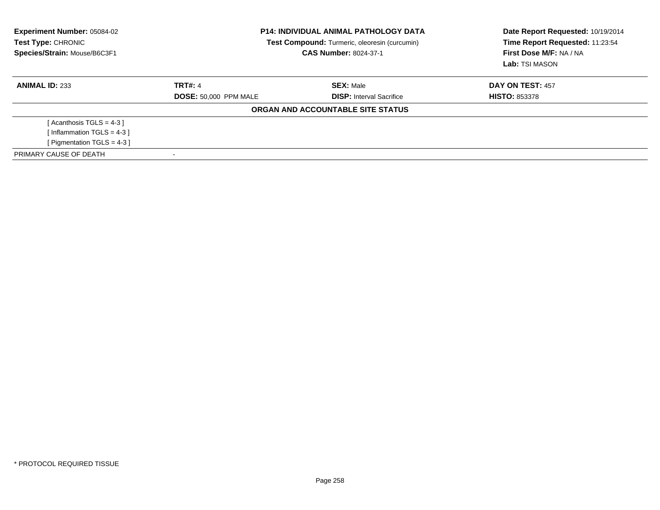| <b>Experiment Number: 05084-02</b><br>Test Type: CHRONIC<br>Species/Strain: Mouse/B6C3F1 | <b>P14: INDIVIDUAL ANIMAL PATHOLOGY DATA</b><br>Test Compound: Turmeric, oleoresin (curcumin)<br><b>CAS Number: 8024-37-1</b> |                                   | Date Report Requested: 10/19/2014<br>Time Report Requested: 11:23:54<br>First Dose M/F: NA / NA<br>Lab: TSI MASON |
|------------------------------------------------------------------------------------------|-------------------------------------------------------------------------------------------------------------------------------|-----------------------------------|-------------------------------------------------------------------------------------------------------------------|
| <b>ANIMAL ID: 233</b>                                                                    | <b>TRT#: 4</b>                                                                                                                | <b>SEX: Male</b>                  | DAY ON TEST: 457                                                                                                  |
|                                                                                          | <b>DOSE: 50,000 PPM MALE</b>                                                                                                  | <b>DISP:</b> Interval Sacrifice   | <b>HISTO: 853378</b>                                                                                              |
|                                                                                          |                                                                                                                               | ORGAN AND ACCOUNTABLE SITE STATUS |                                                                                                                   |
| [Acanthosis TGLS = $4-3$ ]                                                               |                                                                                                                               |                                   |                                                                                                                   |
| [Inflammation TGLS = $4-3$ ]                                                             |                                                                                                                               |                                   |                                                                                                                   |
| [ Pigmentation TGLS = $4-3$ ]                                                            |                                                                                                                               |                                   |                                                                                                                   |
| PRIMARY CAUSE OF DEATH                                                                   |                                                                                                                               |                                   |                                                                                                                   |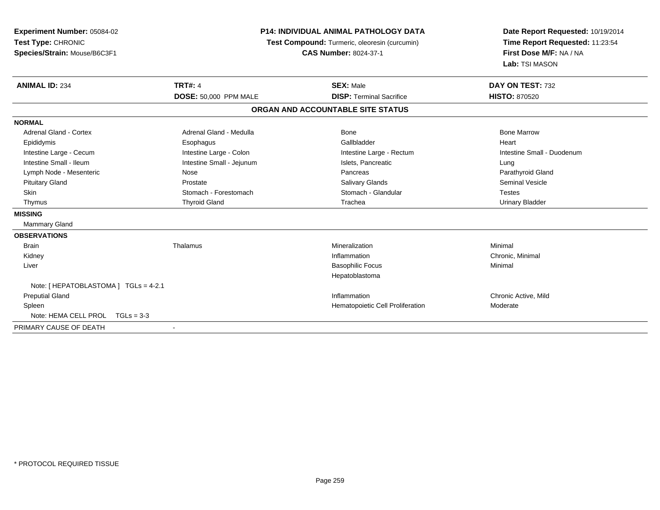| Experiment Number: 05084-02<br>Test Type: CHRONIC<br>Species/Strain: Mouse/B6C3F1 | <b>P14: INDIVIDUAL ANIMAL PATHOLOGY DATA</b><br>Test Compound: Turmeric, oleoresin (curcumin)<br><b>CAS Number: 8024-37-1</b> |                                   | Date Report Requested: 10/19/2014<br>Time Report Requested: 11:23:54<br>First Dose M/F: NA / NA<br>Lab: TSI MASON |  |
|-----------------------------------------------------------------------------------|-------------------------------------------------------------------------------------------------------------------------------|-----------------------------------|-------------------------------------------------------------------------------------------------------------------|--|
| <b>ANIMAL ID: 234</b>                                                             | <b>TRT#: 4</b>                                                                                                                | <b>SEX: Male</b>                  | DAY ON TEST: 732                                                                                                  |  |
|                                                                                   | DOSE: 50,000 PPM MALE                                                                                                         | <b>DISP: Terminal Sacrifice</b>   | <b>HISTO: 870520</b>                                                                                              |  |
|                                                                                   |                                                                                                                               | ORGAN AND ACCOUNTABLE SITE STATUS |                                                                                                                   |  |
| <b>NORMAL</b>                                                                     |                                                                                                                               |                                   |                                                                                                                   |  |
| Adrenal Gland - Cortex                                                            | Adrenal Gland - Medulla                                                                                                       | <b>Bone</b>                       | <b>Bone Marrow</b>                                                                                                |  |
| Epididymis                                                                        | Esophagus                                                                                                                     | Gallbladder                       | Heart                                                                                                             |  |
| Intestine Large - Cecum                                                           | Intestine Large - Colon                                                                                                       | Intestine Large - Rectum          | Intestine Small - Duodenum                                                                                        |  |
| Intestine Small - Ileum                                                           | Intestine Small - Jejunum                                                                                                     | Islets, Pancreatic                | Lung                                                                                                              |  |
| Lymph Node - Mesenteric                                                           | Nose                                                                                                                          | Pancreas                          | Parathyroid Gland                                                                                                 |  |
| <b>Pituitary Gland</b>                                                            | Prostate                                                                                                                      | Salivary Glands                   | Seminal Vesicle                                                                                                   |  |
| Skin                                                                              | Stomach - Forestomach                                                                                                         | Stomach - Glandular               | <b>Testes</b>                                                                                                     |  |
| Thymus                                                                            | <b>Thyroid Gland</b>                                                                                                          | Trachea                           | <b>Urinary Bladder</b>                                                                                            |  |
| <b>MISSING</b>                                                                    |                                                                                                                               |                                   |                                                                                                                   |  |
| Mammary Gland                                                                     |                                                                                                                               |                                   |                                                                                                                   |  |
| <b>OBSERVATIONS</b>                                                               |                                                                                                                               |                                   |                                                                                                                   |  |
| <b>Brain</b>                                                                      | Thalamus                                                                                                                      | Mineralization                    | Minimal                                                                                                           |  |
| Kidney                                                                            |                                                                                                                               | Inflammation                      | Chronic, Minimal                                                                                                  |  |
| Liver                                                                             |                                                                                                                               | <b>Basophilic Focus</b>           | Minimal                                                                                                           |  |
|                                                                                   |                                                                                                                               | Hepatoblastoma                    |                                                                                                                   |  |
| Note: [ HEPATOBLASTOMA ] TGLs = 4-2.1                                             |                                                                                                                               |                                   |                                                                                                                   |  |
| <b>Preputial Gland</b>                                                            |                                                                                                                               | Inflammation                      | Chronic Active, Mild                                                                                              |  |
| Spleen                                                                            |                                                                                                                               | Hematopoietic Cell Proliferation  | Moderate                                                                                                          |  |
| Note: HEMA CELL PROL<br>$TGLs = 3-3$                                              |                                                                                                                               |                                   |                                                                                                                   |  |
| PRIMARY CAUSE OF DEATH                                                            |                                                                                                                               |                                   |                                                                                                                   |  |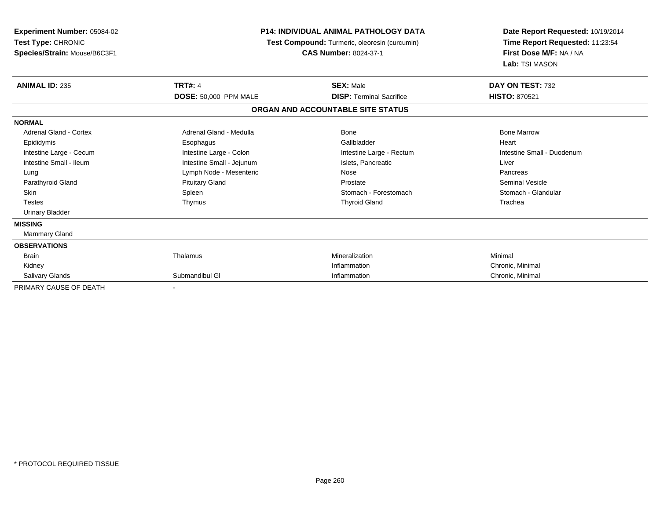| Experiment Number: 05084-02<br>Test Type: CHRONIC<br>Species/Strain: Mouse/B6C3F1 | <b>P14: INDIVIDUAL ANIMAL PATHOLOGY DATA</b><br>Test Compound: Turmeric, oleoresin (curcumin)<br><b>CAS Number: 8024-37-1</b> |                                   | Date Report Requested: 10/19/2014<br>Time Report Requested: 11:23:54<br>First Dose M/F: NA / NA<br>Lab: TSI MASON |
|-----------------------------------------------------------------------------------|-------------------------------------------------------------------------------------------------------------------------------|-----------------------------------|-------------------------------------------------------------------------------------------------------------------|
| <b>ANIMAL ID: 235</b>                                                             | <b>TRT#: 4</b>                                                                                                                | <b>SEX: Male</b>                  | DAY ON TEST: 732                                                                                                  |
|                                                                                   | <b>DOSE: 50,000 PPM MALE</b>                                                                                                  | <b>DISP: Terminal Sacrifice</b>   | <b>HISTO: 870521</b>                                                                                              |
|                                                                                   |                                                                                                                               | ORGAN AND ACCOUNTABLE SITE STATUS |                                                                                                                   |
| <b>NORMAL</b>                                                                     |                                                                                                                               |                                   |                                                                                                                   |
| Adrenal Gland - Cortex                                                            | Adrenal Gland - Medulla                                                                                                       | Bone                              | <b>Bone Marrow</b>                                                                                                |
| Epididymis                                                                        | Esophagus                                                                                                                     | Gallbladder                       | Heart                                                                                                             |
| Intestine Large - Cecum                                                           | Intestine Large - Colon                                                                                                       | Intestine Large - Rectum          | Intestine Small - Duodenum                                                                                        |
| Intestine Small - Ileum                                                           | Intestine Small - Jejunum                                                                                                     | Islets, Pancreatic                | Liver                                                                                                             |
| Lung                                                                              | Lymph Node - Mesenteric                                                                                                       | Nose                              | Pancreas                                                                                                          |
| Parathyroid Gland                                                                 | <b>Pituitary Gland</b>                                                                                                        | Prostate                          | <b>Seminal Vesicle</b>                                                                                            |
| <b>Skin</b>                                                                       | Spleen                                                                                                                        | Stomach - Forestomach             | Stomach - Glandular                                                                                               |
| <b>Testes</b>                                                                     | Thymus                                                                                                                        | <b>Thyroid Gland</b>              | Trachea                                                                                                           |
| <b>Urinary Bladder</b>                                                            |                                                                                                                               |                                   |                                                                                                                   |
| <b>MISSING</b>                                                                    |                                                                                                                               |                                   |                                                                                                                   |
| <b>Mammary Gland</b>                                                              |                                                                                                                               |                                   |                                                                                                                   |
| <b>OBSERVATIONS</b>                                                               |                                                                                                                               |                                   |                                                                                                                   |
| <b>Brain</b>                                                                      | Thalamus                                                                                                                      | Mineralization                    | Minimal                                                                                                           |
| Kidney                                                                            |                                                                                                                               | Inflammation                      | Chronic, Minimal                                                                                                  |
| Salivary Glands                                                                   | Submandibul GI                                                                                                                | Inflammation                      | Chronic, Minimal                                                                                                  |
| PRIMARY CAUSE OF DEATH                                                            |                                                                                                                               |                                   |                                                                                                                   |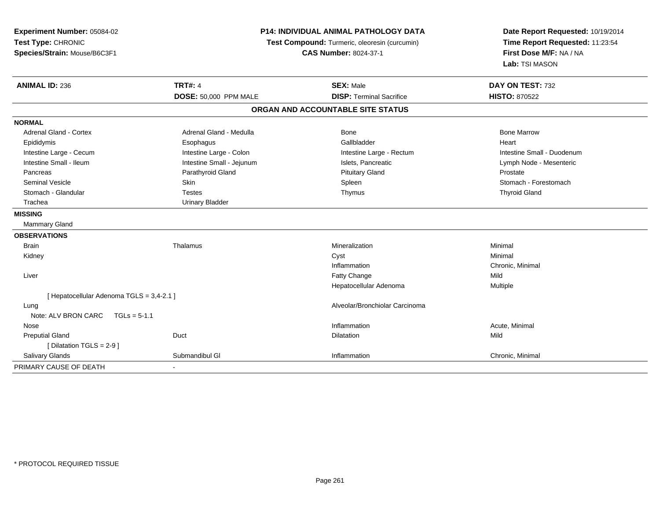| Experiment Number: 05084-02<br>Test Type: CHRONIC<br>Species/Strain: Mouse/B6C3F1 |                           | P14: INDIVIDUAL ANIMAL PATHOLOGY DATA<br>Test Compound: Turmeric, oleoresin (curcumin)<br><b>CAS Number: 8024-37-1</b> | Date Report Requested: 10/19/2014<br>Time Report Requested: 11:23:54<br>First Dose M/F: NA / NA<br>Lab: TSI MASON |
|-----------------------------------------------------------------------------------|---------------------------|------------------------------------------------------------------------------------------------------------------------|-------------------------------------------------------------------------------------------------------------------|
| <b>ANIMAL ID: 236</b>                                                             | <b>TRT#: 4</b>            | <b>SEX: Male</b>                                                                                                       | DAY ON TEST: 732                                                                                                  |
|                                                                                   | DOSE: 50,000 PPM MALE     | <b>DISP: Terminal Sacrifice</b>                                                                                        | <b>HISTO: 870522</b>                                                                                              |
|                                                                                   |                           | ORGAN AND ACCOUNTABLE SITE STATUS                                                                                      |                                                                                                                   |
| <b>NORMAL</b>                                                                     |                           |                                                                                                                        |                                                                                                                   |
| <b>Adrenal Gland - Cortex</b>                                                     | Adrenal Gland - Medulla   | Bone                                                                                                                   | <b>Bone Marrow</b>                                                                                                |
| Epididymis                                                                        | Esophagus                 | Gallbladder                                                                                                            | Heart                                                                                                             |
| Intestine Large - Cecum                                                           | Intestine Large - Colon   | Intestine Large - Rectum                                                                                               | Intestine Small - Duodenum                                                                                        |
| Intestine Small - Ileum                                                           | Intestine Small - Jejunum | Islets, Pancreatic                                                                                                     | Lymph Node - Mesenteric                                                                                           |
| Pancreas                                                                          | Parathyroid Gland         | <b>Pituitary Gland</b>                                                                                                 | Prostate                                                                                                          |
| <b>Seminal Vesicle</b>                                                            | Skin                      | Spleen                                                                                                                 | Stomach - Forestomach                                                                                             |
| Stomach - Glandular                                                               | <b>Testes</b>             | Thymus                                                                                                                 | <b>Thyroid Gland</b>                                                                                              |
| Trachea                                                                           | <b>Urinary Bladder</b>    |                                                                                                                        |                                                                                                                   |
| <b>MISSING</b>                                                                    |                           |                                                                                                                        |                                                                                                                   |
| <b>Mammary Gland</b>                                                              |                           |                                                                                                                        |                                                                                                                   |
| <b>OBSERVATIONS</b>                                                               |                           |                                                                                                                        |                                                                                                                   |
| <b>Brain</b>                                                                      | Thalamus                  | Mineralization                                                                                                         | Minimal                                                                                                           |
| Kidney                                                                            |                           | Cyst                                                                                                                   | Minimal                                                                                                           |
|                                                                                   |                           | Inflammation                                                                                                           | Chronic, Minimal                                                                                                  |
| Liver                                                                             |                           | Fatty Change                                                                                                           | Mild                                                                                                              |
|                                                                                   |                           | Hepatocellular Adenoma                                                                                                 | Multiple                                                                                                          |
| [ Hepatocellular Adenoma TGLS = 3,4-2.1 ]                                         |                           |                                                                                                                        |                                                                                                                   |
| Lung                                                                              |                           | Alveolar/Bronchiolar Carcinoma                                                                                         |                                                                                                                   |
| Note: ALV BRON CARC<br>$TGLs = 5-1.1$                                             |                           |                                                                                                                        |                                                                                                                   |
| Nose                                                                              |                           | Inflammation                                                                                                           | Acute, Minimal                                                                                                    |
| <b>Preputial Gland</b>                                                            | Duct                      | <b>Dilatation</b>                                                                                                      | Mild                                                                                                              |
| [Dilatation TGLS = 2-9]                                                           |                           |                                                                                                                        |                                                                                                                   |
| Salivary Glands                                                                   | Submandibul GI            | Inflammation                                                                                                           | Chronic, Minimal                                                                                                  |
| PRIMARY CAUSE OF DEATH                                                            |                           |                                                                                                                        |                                                                                                                   |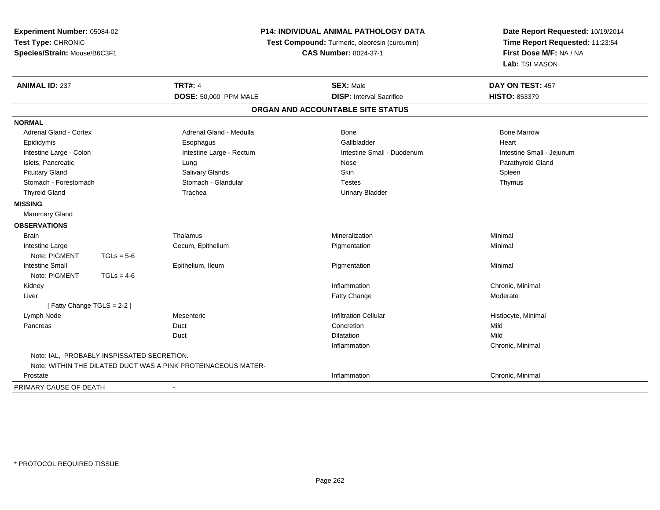| Experiment Number: 05084-02<br>Test Type: CHRONIC<br>Species/Strain: Mouse/B6C3F1 |                                            | P14: INDIVIDUAL ANIMAL PATHOLOGY DATA<br>Test Compound: Turmeric, oleoresin (curcumin)<br><b>CAS Number: 8024-37-1</b> |                                   | Date Report Requested: 10/19/2014<br>Time Report Requested: 11:23:54<br>First Dose M/F: NA / NA<br>Lab: TSI MASON |
|-----------------------------------------------------------------------------------|--------------------------------------------|------------------------------------------------------------------------------------------------------------------------|-----------------------------------|-------------------------------------------------------------------------------------------------------------------|
| <b>ANIMAL ID: 237</b>                                                             |                                            | <b>TRT#: 4</b>                                                                                                         | <b>SEX: Male</b>                  | DAY ON TEST: 457                                                                                                  |
|                                                                                   |                                            | <b>DOSE: 50.000 PPM MALE</b>                                                                                           | <b>DISP:</b> Interval Sacrifice   | <b>HISTO: 853379</b>                                                                                              |
|                                                                                   |                                            |                                                                                                                        | ORGAN AND ACCOUNTABLE SITE STATUS |                                                                                                                   |
| <b>NORMAL</b>                                                                     |                                            |                                                                                                                        |                                   |                                                                                                                   |
| Adrenal Gland - Cortex                                                            |                                            | Adrenal Gland - Medulla                                                                                                | Bone                              | <b>Bone Marrow</b>                                                                                                |
| Epididymis                                                                        |                                            | Esophagus                                                                                                              | Gallbladder                       | Heart                                                                                                             |
| Intestine Large - Colon                                                           |                                            | Intestine Large - Rectum                                                                                               | Intestine Small - Duodenum        | Intestine Small - Jejunum                                                                                         |
| Islets, Pancreatic                                                                |                                            | Lung                                                                                                                   | Nose                              | Parathyroid Gland                                                                                                 |
| <b>Pituitary Gland</b>                                                            |                                            | <b>Salivary Glands</b>                                                                                                 | Skin                              | Spleen                                                                                                            |
| Stomach - Forestomach                                                             |                                            | Stomach - Glandular                                                                                                    | <b>Testes</b>                     | Thymus                                                                                                            |
| <b>Thyroid Gland</b>                                                              |                                            | Trachea                                                                                                                | <b>Urinary Bladder</b>            |                                                                                                                   |
| <b>MISSING</b>                                                                    |                                            |                                                                                                                        |                                   |                                                                                                                   |
| <b>Mammary Gland</b>                                                              |                                            |                                                                                                                        |                                   |                                                                                                                   |
| <b>OBSERVATIONS</b>                                                               |                                            |                                                                                                                        |                                   |                                                                                                                   |
| <b>Brain</b>                                                                      |                                            | Thalamus                                                                                                               | Mineralization                    | Minimal                                                                                                           |
| Intestine Large                                                                   |                                            | Cecum, Epithelium                                                                                                      | Pigmentation                      | Minimal                                                                                                           |
| Note: PIGMENT                                                                     | $TGLs = 5-6$                               |                                                                                                                        |                                   |                                                                                                                   |
| <b>Intestine Small</b>                                                            |                                            | Epithelium, Ileum                                                                                                      | Pigmentation                      | Minimal                                                                                                           |
| Note: PIGMENT                                                                     | $TGLs = 4-6$                               |                                                                                                                        |                                   |                                                                                                                   |
| Kidney                                                                            |                                            |                                                                                                                        | Inflammation                      | Chronic, Minimal                                                                                                  |
| Liver                                                                             |                                            |                                                                                                                        | Fatty Change                      | Moderate                                                                                                          |
| [Fatty Change TGLS = 2-2]                                                         |                                            |                                                                                                                        |                                   |                                                                                                                   |
| Lymph Node                                                                        |                                            | Mesenteric                                                                                                             | <b>Infiltration Cellular</b>      | Histiocyte, Minimal                                                                                               |
| Pancreas                                                                          |                                            | Duct                                                                                                                   | Concretion                        | Mild                                                                                                              |
|                                                                                   |                                            | Duct                                                                                                                   | <b>Dilatation</b>                 | Mild                                                                                                              |
|                                                                                   |                                            |                                                                                                                        | Inflammation                      | Chronic, Minimal                                                                                                  |
|                                                                                   | Note: IAL, PROBABLY INSPISSATED SECRETION. |                                                                                                                        |                                   |                                                                                                                   |
|                                                                                   |                                            | Note: WITHIN THE DILATED DUCT WAS A PINK PROTEINACEOUS MATER-                                                          |                                   |                                                                                                                   |
| Prostate                                                                          |                                            |                                                                                                                        | Inflammation                      | Chronic, Minimal                                                                                                  |
| PRIMARY CAUSE OF DEATH                                                            |                                            | $\blacksquare$                                                                                                         |                                   |                                                                                                                   |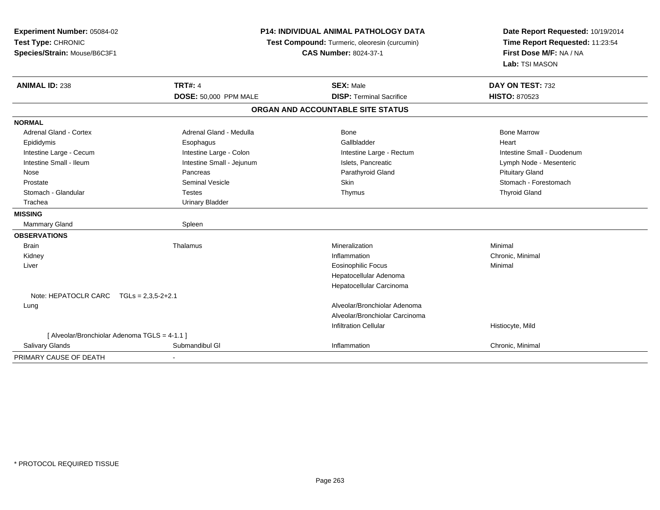| Experiment Number: 05084-02<br>Test Type: CHRONIC<br>Species/Strain: Mouse/B6C3F1 |                           | P14: INDIVIDUAL ANIMAL PATHOLOGY DATA<br>Test Compound: Turmeric, oleoresin (curcumin)<br><b>CAS Number: 8024-37-1</b> |                            |
|-----------------------------------------------------------------------------------|---------------------------|------------------------------------------------------------------------------------------------------------------------|----------------------------|
| <b>ANIMAL ID: 238</b>                                                             | <b>TRT#: 4</b>            | <b>SEX: Male</b>                                                                                                       | DAY ON TEST: 732           |
|                                                                                   | DOSE: 50,000 PPM MALE     | <b>DISP: Terminal Sacrifice</b>                                                                                        | <b>HISTO: 870523</b>       |
|                                                                                   |                           | ORGAN AND ACCOUNTABLE SITE STATUS                                                                                      |                            |
| <b>NORMAL</b>                                                                     |                           |                                                                                                                        |                            |
| <b>Adrenal Gland - Cortex</b>                                                     | Adrenal Gland - Medulla   | Bone                                                                                                                   | <b>Bone Marrow</b>         |
| Epididymis                                                                        | Esophagus                 | Gallbladder                                                                                                            | Heart                      |
| Intestine Large - Cecum                                                           | Intestine Large - Colon   | Intestine Large - Rectum                                                                                               | Intestine Small - Duodenum |
| Intestine Small - Ileum                                                           | Intestine Small - Jejunum | Islets, Pancreatic                                                                                                     | Lymph Node - Mesenteric    |
| Nose                                                                              | Pancreas                  | Parathyroid Gland                                                                                                      | <b>Pituitary Gland</b>     |
| Prostate                                                                          | <b>Seminal Vesicle</b>    | <b>Skin</b>                                                                                                            | Stomach - Forestomach      |
| Stomach - Glandular                                                               | <b>Testes</b>             | Thymus                                                                                                                 | <b>Thyroid Gland</b>       |
| Trachea                                                                           | <b>Urinary Bladder</b>    |                                                                                                                        |                            |
| <b>MISSING</b>                                                                    |                           |                                                                                                                        |                            |
| <b>Mammary Gland</b>                                                              | Spleen                    |                                                                                                                        |                            |
| <b>OBSERVATIONS</b>                                                               |                           |                                                                                                                        |                            |
| <b>Brain</b>                                                                      | Thalamus                  | Mineralization                                                                                                         | Minimal                    |
| Kidney                                                                            |                           | Inflammation                                                                                                           | Chronic, Minimal           |
| Liver                                                                             |                           | <b>Eosinophilic Focus</b>                                                                                              | Minimal                    |
|                                                                                   |                           | Hepatocellular Adenoma                                                                                                 |                            |
|                                                                                   |                           | Hepatocellular Carcinoma                                                                                               |                            |
| Note: HEPATOCLR CARC $TGLs = 2,3,5-2+2.1$                                         |                           |                                                                                                                        |                            |
| Lung                                                                              |                           | Alveolar/Bronchiolar Adenoma                                                                                           |                            |
|                                                                                   |                           | Alveolar/Bronchiolar Carcinoma                                                                                         |                            |
|                                                                                   |                           | Infiltration Cellular                                                                                                  | Histiocyte, Mild           |
| [ Alveolar/Bronchiolar Adenoma TGLS = 4-1.1 ]                                     |                           |                                                                                                                        |                            |
| <b>Salivary Glands</b>                                                            | Submandibul GI            | Inflammation                                                                                                           | Chronic, Minimal           |
| PRIMARY CAUSE OF DEATH                                                            |                           |                                                                                                                        |                            |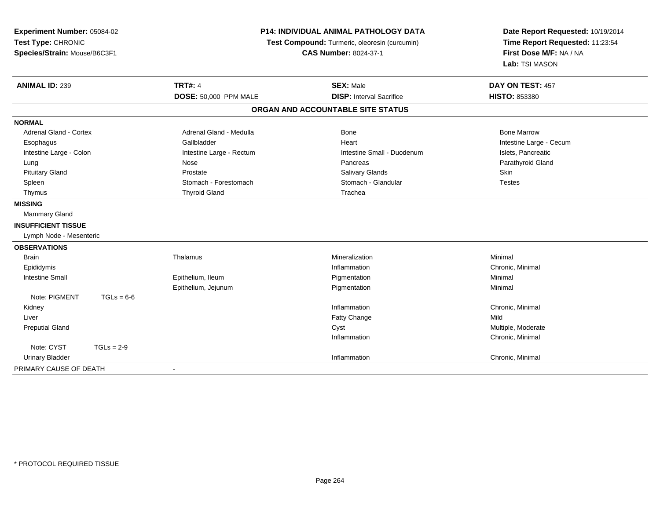| Experiment Number: 05084-02<br>Test Type: CHRONIC<br>Species/Strain: Mouse/B6C3F1 | <b>P14: INDIVIDUAL ANIMAL PATHOLOGY DATA</b><br>Test Compound: Turmeric, oleoresin (curcumin)<br><b>CAS Number: 8024-37-1</b> |                                   | Date Report Requested: 10/19/2014<br>Time Report Requested: 11:23:54<br>First Dose M/F: NA / NA<br>Lab: TSI MASON |  |
|-----------------------------------------------------------------------------------|-------------------------------------------------------------------------------------------------------------------------------|-----------------------------------|-------------------------------------------------------------------------------------------------------------------|--|
| <b>ANIMAL ID: 239</b>                                                             | <b>TRT#: 4</b>                                                                                                                | <b>SEX: Male</b>                  | DAY ON TEST: 457                                                                                                  |  |
|                                                                                   | DOSE: 50,000 PPM MALE                                                                                                         | <b>DISP: Interval Sacrifice</b>   | <b>HISTO: 853380</b>                                                                                              |  |
|                                                                                   |                                                                                                                               | ORGAN AND ACCOUNTABLE SITE STATUS |                                                                                                                   |  |
| <b>NORMAL</b>                                                                     |                                                                                                                               |                                   |                                                                                                                   |  |
| Adrenal Gland - Cortex                                                            | Adrenal Gland - Medulla                                                                                                       | <b>Bone</b>                       | <b>Bone Marrow</b>                                                                                                |  |
| Esophagus                                                                         | Gallbladder                                                                                                                   | Heart                             | Intestine Large - Cecum                                                                                           |  |
| Intestine Large - Colon                                                           | Intestine Large - Rectum                                                                                                      | Intestine Small - Duodenum        | Islets, Pancreatic                                                                                                |  |
| Lung                                                                              | Nose                                                                                                                          | Pancreas                          | Parathyroid Gland                                                                                                 |  |
| <b>Pituitary Gland</b>                                                            | Prostate                                                                                                                      | <b>Salivary Glands</b>            | <b>Skin</b>                                                                                                       |  |
| Spleen                                                                            | Stomach - Forestomach                                                                                                         | Stomach - Glandular               | <b>Testes</b>                                                                                                     |  |
| Thymus                                                                            | <b>Thyroid Gland</b>                                                                                                          | Trachea                           |                                                                                                                   |  |
| <b>MISSING</b>                                                                    |                                                                                                                               |                                   |                                                                                                                   |  |
| Mammary Gland                                                                     |                                                                                                                               |                                   |                                                                                                                   |  |
| <b>INSUFFICIENT TISSUE</b>                                                        |                                                                                                                               |                                   |                                                                                                                   |  |
| Lymph Node - Mesenteric                                                           |                                                                                                                               |                                   |                                                                                                                   |  |
| <b>OBSERVATIONS</b>                                                               |                                                                                                                               |                                   |                                                                                                                   |  |
| Brain                                                                             | Thalamus                                                                                                                      | Mineralization                    | Minimal                                                                                                           |  |
| Epididymis                                                                        |                                                                                                                               | Inflammation                      | Chronic, Minimal                                                                                                  |  |
| <b>Intestine Small</b>                                                            | Epithelium, Ileum                                                                                                             | Pigmentation                      | Minimal                                                                                                           |  |
|                                                                                   | Epithelium, Jejunum                                                                                                           | Pigmentation                      | Minimal                                                                                                           |  |
| Note: PIGMENT<br>$TGLs = 6-6$                                                     |                                                                                                                               |                                   |                                                                                                                   |  |
| Kidney                                                                            |                                                                                                                               | Inflammation                      | Chronic, Minimal                                                                                                  |  |
| Liver                                                                             |                                                                                                                               | <b>Fatty Change</b>               | Mild                                                                                                              |  |
| <b>Preputial Gland</b>                                                            |                                                                                                                               | Cyst                              | Multiple, Moderate                                                                                                |  |
|                                                                                   |                                                                                                                               | Inflammation                      | Chronic, Minimal                                                                                                  |  |
| Note: CYST<br>$TGLs = 2-9$                                                        |                                                                                                                               |                                   |                                                                                                                   |  |
| <b>Urinary Bladder</b>                                                            |                                                                                                                               | Inflammation                      | Chronic, Minimal                                                                                                  |  |
| PRIMARY CAUSE OF DEATH                                                            | $\blacksquare$                                                                                                                |                                   |                                                                                                                   |  |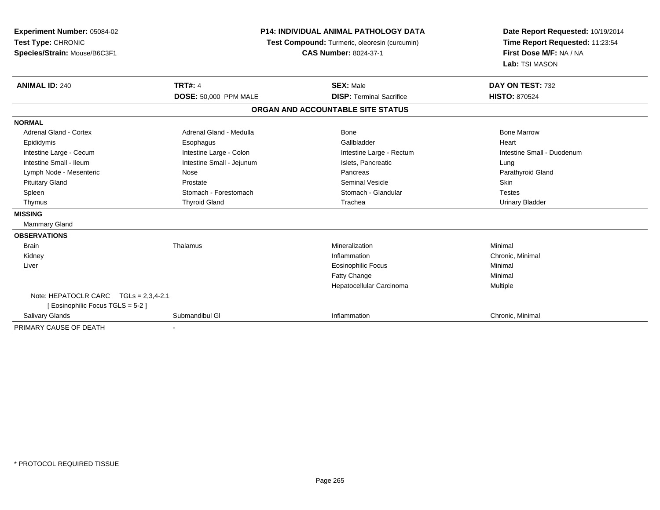| Experiment Number: 05084-02<br>Test Type: CHRONIC<br>Species/Strain: Mouse/B6C3F1 | <b>P14: INDIVIDUAL ANIMAL PATHOLOGY DATA</b><br>Test Compound: Turmeric, oleoresin (curcumin)<br><b>CAS Number: 8024-37-1</b> |                                   | Date Report Requested: 10/19/2014<br>Time Report Requested: 11:23:54<br>First Dose M/F: NA / NA<br>Lab: TSI MASON |
|-----------------------------------------------------------------------------------|-------------------------------------------------------------------------------------------------------------------------------|-----------------------------------|-------------------------------------------------------------------------------------------------------------------|
| <b>ANIMAL ID: 240</b>                                                             | <b>TRT#: 4</b>                                                                                                                | <b>SEX: Male</b>                  | DAY ON TEST: 732                                                                                                  |
|                                                                                   | DOSE: 50,000 PPM MALE                                                                                                         | <b>DISP: Terminal Sacrifice</b>   | <b>HISTO: 870524</b>                                                                                              |
|                                                                                   |                                                                                                                               | ORGAN AND ACCOUNTABLE SITE STATUS |                                                                                                                   |
| <b>NORMAL</b>                                                                     |                                                                                                                               |                                   |                                                                                                                   |
| Adrenal Gland - Cortex                                                            | Adrenal Gland - Medulla                                                                                                       | Bone                              | <b>Bone Marrow</b>                                                                                                |
| Epididymis                                                                        | Esophagus                                                                                                                     | Gallbladder                       | Heart                                                                                                             |
| Intestine Large - Cecum                                                           | Intestine Large - Colon                                                                                                       | Intestine Large - Rectum          | Intestine Small - Duodenum                                                                                        |
| Intestine Small - Ileum                                                           | Intestine Small - Jejunum                                                                                                     | Islets, Pancreatic                | Lung                                                                                                              |
| Lymph Node - Mesenteric                                                           | Nose                                                                                                                          | Pancreas                          | Parathyroid Gland                                                                                                 |
| <b>Pituitary Gland</b>                                                            | Prostate                                                                                                                      | <b>Seminal Vesicle</b>            | Skin                                                                                                              |
| Spleen                                                                            | Stomach - Forestomach                                                                                                         | Stomach - Glandular               | <b>Testes</b>                                                                                                     |
| Thymus                                                                            | <b>Thyroid Gland</b>                                                                                                          | Trachea                           | <b>Urinary Bladder</b>                                                                                            |
| <b>MISSING</b>                                                                    |                                                                                                                               |                                   |                                                                                                                   |
| Mammary Gland                                                                     |                                                                                                                               |                                   |                                                                                                                   |
| <b>OBSERVATIONS</b>                                                               |                                                                                                                               |                                   |                                                                                                                   |
| <b>Brain</b>                                                                      | Thalamus                                                                                                                      | Mineralization                    | Minimal                                                                                                           |
| Kidney                                                                            |                                                                                                                               | Inflammation                      | Chronic, Minimal                                                                                                  |
| Liver                                                                             |                                                                                                                               | <b>Eosinophilic Focus</b>         | Minimal                                                                                                           |
|                                                                                   |                                                                                                                               | Fatty Change                      | Minimal                                                                                                           |
|                                                                                   |                                                                                                                               | Hepatocellular Carcinoma          | Multiple                                                                                                          |
| Note: HEPATOCLR CARC TGLs = 2,3,4-2.1<br>[ Eosinophilic Focus TGLS = 5-2 ]        |                                                                                                                               |                                   |                                                                                                                   |
| Salivary Glands                                                                   | Submandibul GI                                                                                                                | Inflammation                      | Chronic, Minimal                                                                                                  |
| PRIMARY CAUSE OF DEATH                                                            |                                                                                                                               |                                   |                                                                                                                   |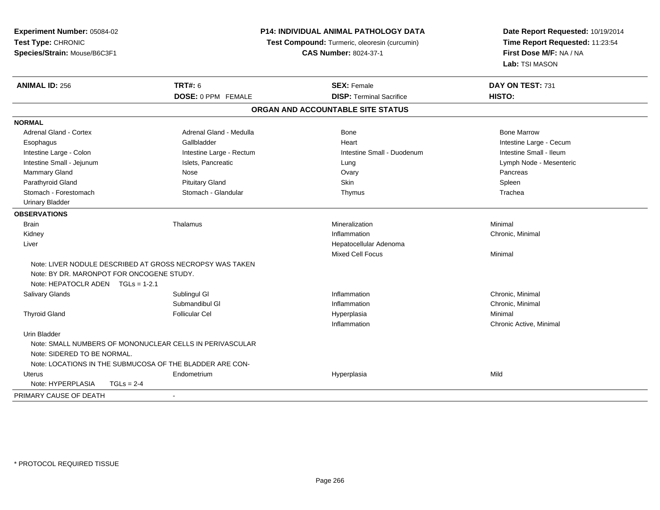| Experiment Number: 05084-02<br>Test Type: CHRONIC<br>Species/Strain: Mouse/B6C3F1 |                                                                                                                      | <b>P14: INDIVIDUAL ANIMAL PATHOLOGY DATA</b><br>Test Compound: Turmeric, oleoresin (curcumin)<br><b>CAS Number: 8024-37-1</b> | Date Report Requested: 10/19/2014<br>Time Report Requested: 11:23:54<br>First Dose M/F: NA / NA<br>Lab: TSI MASON |
|-----------------------------------------------------------------------------------|----------------------------------------------------------------------------------------------------------------------|-------------------------------------------------------------------------------------------------------------------------------|-------------------------------------------------------------------------------------------------------------------|
| <b>ANIMAL ID: 256</b>                                                             | <b>TRT#: 6</b>                                                                                                       | <b>SEX: Female</b>                                                                                                            | DAY ON TEST: 731                                                                                                  |
|                                                                                   | DOSE: 0 PPM FEMALE                                                                                                   | <b>DISP: Terminal Sacrifice</b>                                                                                               | <b>HISTO:</b>                                                                                                     |
|                                                                                   |                                                                                                                      | ORGAN AND ACCOUNTABLE SITE STATUS                                                                                             |                                                                                                                   |
| <b>NORMAL</b>                                                                     |                                                                                                                      |                                                                                                                               |                                                                                                                   |
| Adrenal Gland - Cortex                                                            | Adrenal Gland - Medulla                                                                                              | <b>Bone</b>                                                                                                                   | <b>Bone Marrow</b>                                                                                                |
| Esophagus                                                                         | Gallbladder                                                                                                          | Heart                                                                                                                         | Intestine Large - Cecum                                                                                           |
| Intestine Large - Colon                                                           | Intestine Large - Rectum                                                                                             | Intestine Small - Duodenum                                                                                                    | Intestine Small - Ileum                                                                                           |
| Intestine Small - Jejunum                                                         | Islets, Pancreatic                                                                                                   | Lung                                                                                                                          | Lymph Node - Mesenteric                                                                                           |
| Mammary Gland                                                                     | Nose                                                                                                                 | Ovary                                                                                                                         | Pancreas                                                                                                          |
| Parathyroid Gland                                                                 | <b>Pituitary Gland</b>                                                                                               | Skin                                                                                                                          | Spleen                                                                                                            |
| Stomach - Forestomach                                                             | Stomach - Glandular                                                                                                  | Thymus                                                                                                                        | Trachea                                                                                                           |
| <b>Urinary Bladder</b>                                                            |                                                                                                                      |                                                                                                                               |                                                                                                                   |
| <b>OBSERVATIONS</b>                                                               |                                                                                                                      |                                                                                                                               |                                                                                                                   |
| <b>Brain</b>                                                                      | Thalamus                                                                                                             | Mineralization                                                                                                                | Minimal                                                                                                           |
| Kidney                                                                            |                                                                                                                      | Inflammation                                                                                                                  | Chronic, Minimal                                                                                                  |
| Liver                                                                             |                                                                                                                      | Hepatocellular Adenoma                                                                                                        |                                                                                                                   |
|                                                                                   |                                                                                                                      | Mixed Cell Focus                                                                                                              | Minimal                                                                                                           |
| Note: BY DR. MARONPOT FOR ONCOGENE STUDY.<br>Note: HEPATOCLR ADEN $TGLs = 1-2.1$  | Note: LIVER NODULE DESCRIBED AT GROSS NECROPSY WAS TAKEN                                                             |                                                                                                                               |                                                                                                                   |
| Salivary Glands                                                                   | Sublingul GI                                                                                                         | Inflammation                                                                                                                  | Chronic, Minimal                                                                                                  |
|                                                                                   | Submandibul GI                                                                                                       | Inflammation                                                                                                                  | Chronic, Minimal                                                                                                  |
| <b>Thyroid Gland</b>                                                              | <b>Follicular Cel</b>                                                                                                | Hyperplasia<br>Inflammation                                                                                                   | Minimal<br>Chronic Active, Minimal                                                                                |
| Urin Bladder<br>Note: SIDERED TO BE NORMAL.                                       | Note: SMALL NUMBERS OF MONONUCLEAR CELLS IN PERIVASCULAR<br>Note: LOCATIONS IN THE SUBMUCOSA OF THE BLADDER ARE CON- |                                                                                                                               |                                                                                                                   |
| Uterus                                                                            | Endometrium                                                                                                          | Hyperplasia                                                                                                                   | Mild                                                                                                              |
| Note: HYPERPLASIA<br>$TGLS = 2-4$                                                 |                                                                                                                      |                                                                                                                               |                                                                                                                   |
| PRIMARY CAUSE OF DEATH                                                            | $\blacksquare$                                                                                                       |                                                                                                                               |                                                                                                                   |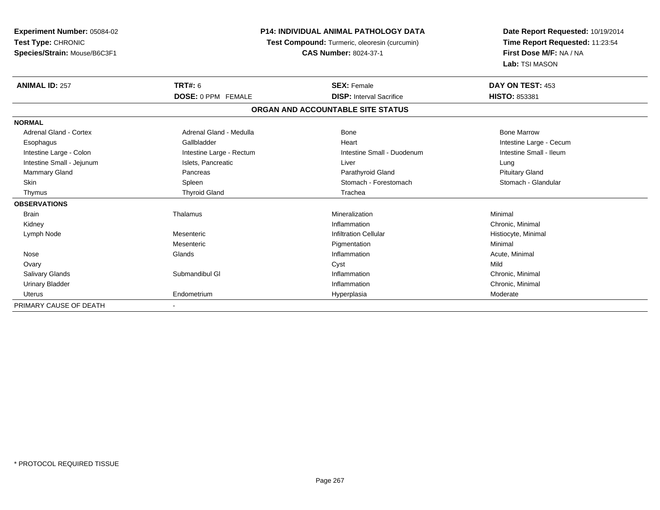| <b>Experiment Number: 05084-02</b> |                                               | <b>P14: INDIVIDUAL ANIMAL PATHOLOGY DATA</b> |                                 |
|------------------------------------|-----------------------------------------------|----------------------------------------------|---------------------------------|
| Test Type: CHRONIC                 | Test Compound: Turmeric, oleoresin (curcumin) |                                              | Time Report Requested: 11:23:54 |
| Species/Strain: Mouse/B6C3F1       |                                               | <b>CAS Number: 8024-37-1</b>                 | First Dose M/F: NA / NA         |
|                                    |                                               |                                              | Lab: TSI MASON                  |
| <b>ANIMAL ID: 257</b>              | TRT#: 6                                       | <b>SEX: Female</b>                           | DAY ON TEST: 453                |
|                                    | DOSE: 0 PPM FEMALE                            | <b>DISP: Interval Sacrifice</b>              | HISTO: 853381                   |
|                                    |                                               | ORGAN AND ACCOUNTABLE SITE STATUS            |                                 |
| <b>NORMAL</b>                      |                                               |                                              |                                 |
| Adrenal Gland - Cortex             | Adrenal Gland - Medulla                       | Bone                                         | <b>Bone Marrow</b>              |
| Esophagus                          | Gallbladder                                   | Heart                                        | Intestine Large - Cecum         |
| Intestine Large - Colon            | Intestine Large - Rectum                      | Intestine Small - Duodenum                   | Intestine Small - Ileum         |
| Intestine Small - Jejunum          | Islets, Pancreatic                            | Liver                                        | Lung                            |
| <b>Mammary Gland</b>               | Pancreas                                      | Parathyroid Gland                            | <b>Pituitary Gland</b>          |
| Skin                               | Spleen                                        | Stomach - Forestomach                        | Stomach - Glandular             |
| Thymus                             | <b>Thyroid Gland</b>                          | Trachea                                      |                                 |
| <b>OBSERVATIONS</b>                |                                               |                                              |                                 |
| <b>Brain</b>                       | Thalamus                                      | Mineralization                               | Minimal                         |
| Kidney                             |                                               | Inflammation                                 | Chronic, Minimal                |
| Lymph Node                         | Mesenteric                                    | <b>Infiltration Cellular</b>                 | Histiocyte, Minimal             |
|                                    | Mesenteric                                    | Pigmentation                                 | Minimal                         |
| Nose                               | Glands                                        | Inflammation                                 | Acute, Minimal                  |
| Ovary                              |                                               | Cyst                                         | Mild                            |
| <b>Salivary Glands</b>             | Submandibul GI                                | Inflammation                                 | Chronic, Minimal                |
| <b>Urinary Bladder</b>             |                                               | Inflammation                                 | Chronic, Minimal                |
| <b>Uterus</b>                      | Endometrium                                   | Hyperplasia                                  | Moderate                        |
| PRIMARY CAUSE OF DEATH             |                                               |                                              |                                 |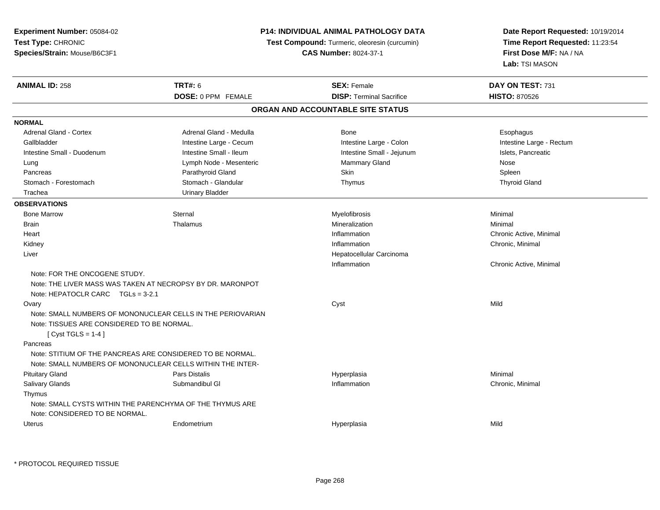| Experiment Number: 05084-02                |                                                             | P14: INDIVIDUAL ANIMAL PATHOLOGY DATA         | Date Report Requested: 10/19/2014<br>Time Report Requested: 11:23:54<br>First Dose M/F: NA / NA |
|--------------------------------------------|-------------------------------------------------------------|-----------------------------------------------|-------------------------------------------------------------------------------------------------|
| Test Type: CHRONIC                         |                                                             | Test Compound: Turmeric, oleoresin (curcumin) |                                                                                                 |
| Species/Strain: Mouse/B6C3F1               |                                                             | <b>CAS Number: 8024-37-1</b>                  |                                                                                                 |
|                                            |                                                             |                                               | Lab: TSI MASON                                                                                  |
| <b>ANIMAL ID: 258</b>                      | <b>TRT#: 6</b>                                              | <b>SEX: Female</b>                            | DAY ON TEST: 731                                                                                |
|                                            | DOSE: 0 PPM FEMALE                                          | <b>DISP: Terminal Sacrifice</b>               | <b>HISTO: 870526</b>                                                                            |
|                                            |                                                             | ORGAN AND ACCOUNTABLE SITE STATUS             |                                                                                                 |
| <b>NORMAL</b>                              |                                                             |                                               |                                                                                                 |
| Adrenal Gland - Cortex                     | Adrenal Gland - Medulla                                     | <b>Bone</b>                                   | Esophagus                                                                                       |
| Gallbladder                                | Intestine Large - Cecum                                     | Intestine Large - Colon                       | Intestine Large - Rectum                                                                        |
| Intestine Small - Duodenum                 | Intestine Small - Ileum                                     | Intestine Small - Jejunum                     | Islets, Pancreatic                                                                              |
| Lung                                       | Lymph Node - Mesenteric                                     | Mammary Gland                                 | Nose                                                                                            |
| Pancreas                                   | Parathyroid Gland                                           | Skin                                          | Spleen                                                                                          |
| Stomach - Forestomach                      | Stomach - Glandular                                         | Thymus                                        | <b>Thyroid Gland</b>                                                                            |
| Trachea                                    | <b>Urinary Bladder</b>                                      |                                               |                                                                                                 |
| <b>OBSERVATIONS</b>                        |                                                             |                                               |                                                                                                 |
| <b>Bone Marrow</b>                         | Sternal                                                     | Myelofibrosis                                 | Minimal                                                                                         |
| Brain                                      | Thalamus                                                    | Mineralization                                | Minimal                                                                                         |
| Heart                                      |                                                             | Inflammation                                  | Chronic Active, Minimal                                                                         |
| Kidney                                     |                                                             | Inflammation                                  | Chronic, Minimal                                                                                |
| Liver                                      |                                                             | Hepatocellular Carcinoma                      |                                                                                                 |
|                                            |                                                             | Inflammation                                  | Chronic Active, Minimal                                                                         |
| Note: FOR THE ONCOGENE STUDY.              |                                                             |                                               |                                                                                                 |
|                                            | Note: THE LIVER MASS WAS TAKEN AT NECROPSY BY DR. MARONPOT  |                                               |                                                                                                 |
| Note: HEPATOCLR CARC $TGLs = 3-2.1$        |                                                             |                                               |                                                                                                 |
| Ovary                                      |                                                             | Cyst                                          | Mild                                                                                            |
|                                            | Note: SMALL NUMBERS OF MONONUCLEAR CELLS IN THE PERIOVARIAN |                                               |                                                                                                 |
| Note: TISSUES ARE CONSIDERED TO BE NORMAL. |                                                             |                                               |                                                                                                 |
| [ Cyst TGLS = $1-4$ ]                      |                                                             |                                               |                                                                                                 |
| Pancreas                                   |                                                             |                                               |                                                                                                 |
|                                            | Note: STITIUM OF THE PANCREAS ARE CONSIDERED TO BE NORMAL.  |                                               |                                                                                                 |
|                                            | Note: SMALL NUMBERS OF MONONUCLEAR CELLS WITHIN THE INTER-  |                                               |                                                                                                 |
| <b>Pituitary Gland</b>                     | Pars Distalis                                               | Hyperplasia                                   | Minimal                                                                                         |
| Salivary Glands                            | Submandibul GI                                              | Inflammation                                  | Chronic, Minimal                                                                                |
| Thymus                                     |                                                             |                                               |                                                                                                 |
|                                            | Note: SMALL CYSTS WITHIN THE PARENCHYMA OF THE THYMUS ARE   |                                               |                                                                                                 |
| Note: CONSIDERED TO BE NORMAL.             |                                                             |                                               |                                                                                                 |
| Uterus                                     | Endometrium                                                 | Hyperplasia                                   | Mild                                                                                            |
|                                            |                                                             |                                               |                                                                                                 |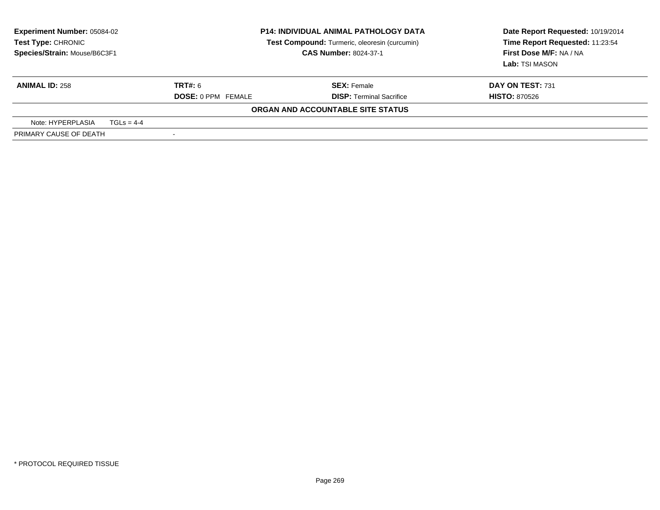| <b>Experiment Number: 05084-02</b><br>Test Type: CHRONIC<br>Species/Strain: Mouse/B6C3F1 |                           | <b>P14: INDIVIDUAL ANIMAL PATHOLOGY DATA</b><br>Test Compound: Turmeric, oleoresin (curcumin)<br><b>CAS Number: 8024-37-1</b> | Date Report Requested: 10/19/2014<br>Time Report Requested: 11:23:54<br>First Dose M/F: NA / NA<br>Lab: TSI MASON |
|------------------------------------------------------------------------------------------|---------------------------|-------------------------------------------------------------------------------------------------------------------------------|-------------------------------------------------------------------------------------------------------------------|
| <b>ANIMAL ID: 258</b>                                                                    | TRT#: 6                   | <b>SEX: Female</b>                                                                                                            | DAY ON TEST: 731                                                                                                  |
|                                                                                          | <b>DOSE: 0 PPM FEMALE</b> | <b>DISP: Terminal Sacrifice</b>                                                                                               | <b>HISTO: 870526</b>                                                                                              |
|                                                                                          |                           | ORGAN AND ACCOUNTABLE SITE STATUS                                                                                             |                                                                                                                   |
| Note: HYPERPLASIA<br>$TGLS = 4-4$                                                        |                           |                                                                                                                               |                                                                                                                   |
| PRIMARY CAUSE OF DEATH                                                                   |                           |                                                                                                                               |                                                                                                                   |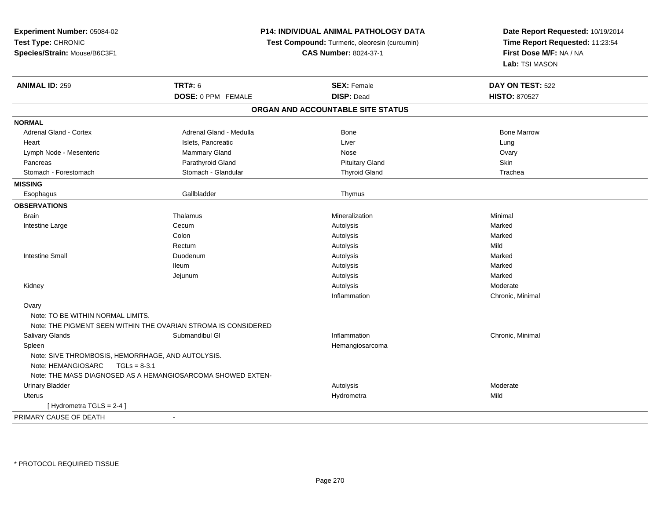| Experiment Number: 05084-02<br>Test Type: CHRONIC<br>Species/Strain: Mouse/B6C3F1         |                                                                | <b>P14: INDIVIDUAL ANIMAL PATHOLOGY DATA</b><br>Test Compound: Turmeric, oleoresin (curcumin)<br><b>CAS Number: 8024-37-1</b> | Date Report Requested: 10/19/2014<br>Time Report Requested: 11:23:54<br>First Dose M/F: NA / NA<br>Lab: TSI MASON |
|-------------------------------------------------------------------------------------------|----------------------------------------------------------------|-------------------------------------------------------------------------------------------------------------------------------|-------------------------------------------------------------------------------------------------------------------|
| <b>ANIMAL ID: 259</b>                                                                     | <b>TRT#: 6</b>                                                 | <b>SEX: Female</b>                                                                                                            | DAY ON TEST: 522                                                                                                  |
|                                                                                           | DOSE: 0 PPM FEMALE                                             | <b>DISP: Dead</b>                                                                                                             | <b>HISTO: 870527</b>                                                                                              |
|                                                                                           |                                                                | ORGAN AND ACCOUNTABLE SITE STATUS                                                                                             |                                                                                                                   |
| <b>NORMAL</b>                                                                             |                                                                |                                                                                                                               |                                                                                                                   |
| Adrenal Gland - Cortex                                                                    | Adrenal Gland - Medulla                                        | <b>Bone</b>                                                                                                                   | <b>Bone Marrow</b>                                                                                                |
| Heart                                                                                     | Islets, Pancreatic                                             | Liver                                                                                                                         | Lung                                                                                                              |
| Lymph Node - Mesenteric                                                                   | Mammary Gland                                                  | Nose                                                                                                                          | Ovary                                                                                                             |
| Pancreas                                                                                  | Parathyroid Gland                                              | <b>Pituitary Gland</b>                                                                                                        | Skin                                                                                                              |
| Stomach - Forestomach                                                                     | Stomach - Glandular                                            | <b>Thyroid Gland</b>                                                                                                          | Trachea                                                                                                           |
| <b>MISSING</b>                                                                            |                                                                |                                                                                                                               |                                                                                                                   |
| Esophagus                                                                                 | Gallbladder                                                    | Thymus                                                                                                                        |                                                                                                                   |
| <b>OBSERVATIONS</b>                                                                       |                                                                |                                                                                                                               |                                                                                                                   |
| <b>Brain</b>                                                                              | Thalamus                                                       | Mineralization                                                                                                                | Minimal                                                                                                           |
| Intestine Large                                                                           | Cecum                                                          | Autolysis                                                                                                                     | Marked                                                                                                            |
|                                                                                           | Colon                                                          | Autolysis                                                                                                                     | Marked                                                                                                            |
|                                                                                           | Rectum                                                         | Autolysis                                                                                                                     | Mild                                                                                                              |
| <b>Intestine Small</b>                                                                    | Duodenum                                                       | Autolysis                                                                                                                     | Marked                                                                                                            |
|                                                                                           | lleum                                                          | Autolysis                                                                                                                     | Marked                                                                                                            |
|                                                                                           | Jejunum                                                        | Autolysis                                                                                                                     | Marked                                                                                                            |
| Kidney                                                                                    |                                                                | Autolysis                                                                                                                     | Moderate                                                                                                          |
|                                                                                           |                                                                | Inflammation                                                                                                                  | Chronic, Minimal                                                                                                  |
| Ovary                                                                                     |                                                                |                                                                                                                               |                                                                                                                   |
| Note: TO BE WITHIN NORMAL LIMITS.                                                         |                                                                |                                                                                                                               |                                                                                                                   |
|                                                                                           | Note: THE PIGMENT SEEN WITHIN THE OVARIAN STROMA IS CONSIDERED |                                                                                                                               |                                                                                                                   |
| <b>Salivary Glands</b>                                                                    | Submandibul GI                                                 | Inflammation                                                                                                                  | Chronic, Minimal                                                                                                  |
| Spleen                                                                                    |                                                                | Hemangiosarcoma                                                                                                               |                                                                                                                   |
| Note: SIVE THROMBOSIS, HEMORRHAGE, AND AUTOLYSIS.<br>Note: HEMANGIOSARC<br>$TGLs = 8-3.1$ |                                                                |                                                                                                                               |                                                                                                                   |
|                                                                                           | Note: THE MASS DIAGNOSED AS A HEMANGIOSARCOMA SHOWED EXTEN-    |                                                                                                                               |                                                                                                                   |
| <b>Urinary Bladder</b>                                                                    |                                                                | Autolysis                                                                                                                     | Moderate                                                                                                          |
| <b>Uterus</b>                                                                             |                                                                | Hydrometra                                                                                                                    | Mild                                                                                                              |
| [ Hydrometra TGLS = 2-4 ]                                                                 |                                                                |                                                                                                                               |                                                                                                                   |
| PRIMARY CAUSE OF DEATH                                                                    | $\sim$                                                         |                                                                                                                               |                                                                                                                   |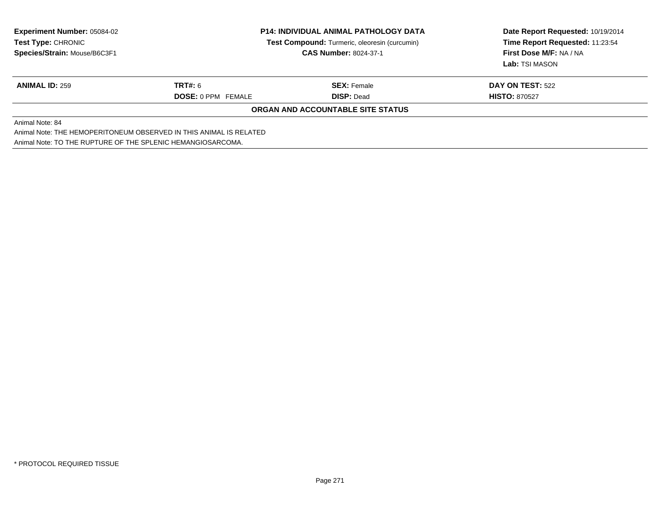| <b>Experiment Number: 05084-02</b><br>Test Type: CHRONIC           | <b>P14: INDIVIDUAL ANIMAL PATHOLOGY DATA</b><br>Test Compound: Turmeric, oleoresin (curcumin)<br><b>CAS Number: 8024-37-1</b> |                                   | Date Report Requested: 10/19/2014<br>Time Report Requested: 11:23:54 |  |  |  |
|--------------------------------------------------------------------|-------------------------------------------------------------------------------------------------------------------------------|-----------------------------------|----------------------------------------------------------------------|--|--|--|
| Species/Strain: Mouse/B6C3F1                                       |                                                                                                                               |                                   | First Dose M/F: NA / NA<br>Lab: TSI MASON                            |  |  |  |
| <b>ANIMAL ID: 259</b>                                              | <b>TRT#: 6</b>                                                                                                                | <b>SEX: Female</b>                | <b>DAY ON TEST: 522</b>                                              |  |  |  |
|                                                                    | <b>DOSE: 0 PPM FEMALE</b>                                                                                                     | <b>DISP: Dead</b>                 | <b>HISTO: 870527</b>                                                 |  |  |  |
|                                                                    |                                                                                                                               | ORGAN AND ACCOUNTABLE SITE STATUS |                                                                      |  |  |  |
| Animal Note: 84                                                    |                                                                                                                               |                                   |                                                                      |  |  |  |
| Animal Note: THE HEMOPERITONEUM OBSERVED IN THIS ANIMAL IS RELATED |                                                                                                                               |                                   |                                                                      |  |  |  |
|                                                                    | Animal Note: TO THE RUPTURE OF THE SPLENIC HEMANGIOSARCOMA.                                                                   |                                   |                                                                      |  |  |  |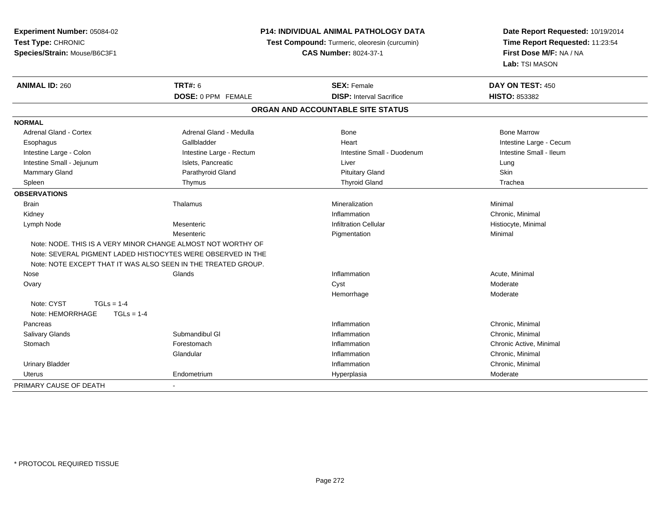| Experiment Number: 05084-02      | P14: INDIVIDUAL ANIMAL PATHOLOGY DATA                         |                                               | Date Report Requested: 10/19/2014                          |  |
|----------------------------------|---------------------------------------------------------------|-----------------------------------------------|------------------------------------------------------------|--|
| Test Type: CHRONIC               |                                                               | Test Compound: Turmeric, oleoresin (curcumin) | Time Report Requested: 11:23:54<br>First Dose M/F: NA / NA |  |
| Species/Strain: Mouse/B6C3F1     |                                                               | <b>CAS Number: 8024-37-1</b>                  |                                                            |  |
|                                  |                                                               |                                               | Lab: TSI MASON                                             |  |
| <b>ANIMAL ID: 260</b>            | <b>TRT#: 6</b>                                                | <b>SEX: Female</b>                            | DAY ON TEST: 450                                           |  |
|                                  | <b>DOSE: 0 PPM FEMALE</b>                                     | <b>DISP:</b> Interval Sacrifice               | <b>HISTO: 853382</b>                                       |  |
|                                  |                                                               | ORGAN AND ACCOUNTABLE SITE STATUS             |                                                            |  |
| <b>NORMAL</b>                    |                                                               |                                               |                                                            |  |
| <b>Adrenal Gland - Cortex</b>    | Adrenal Gland - Medulla                                       | <b>Bone</b>                                   | <b>Bone Marrow</b>                                         |  |
| Esophagus                        | Gallbladder                                                   | Heart                                         | Intestine Large - Cecum                                    |  |
| Intestine Large - Colon          | Intestine Large - Rectum                                      | Intestine Small - Duodenum                    | Intestine Small - Ileum                                    |  |
| Intestine Small - Jejunum        | Islets, Pancreatic                                            | Liver                                         | Lung                                                       |  |
| <b>Mammary Gland</b>             | Parathyroid Gland                                             | <b>Pituitary Gland</b>                        | Skin                                                       |  |
| Spleen                           | Thymus                                                        | <b>Thyroid Gland</b>                          | Trachea                                                    |  |
| <b>OBSERVATIONS</b>              |                                                               |                                               |                                                            |  |
| <b>Brain</b>                     | Thalamus                                                      | Mineralization                                | Minimal                                                    |  |
| Kidney                           |                                                               | Inflammation                                  | Chronic, Minimal                                           |  |
| Lymph Node                       | Mesenteric                                                    | <b>Infiltration Cellular</b>                  | Histiocyte, Minimal                                        |  |
|                                  | Mesenteric                                                    | Pigmentation                                  | Minimal                                                    |  |
|                                  | Note: NODE, THIS IS A VERY MINOR CHANGE ALMOST NOT WORTHY OF  |                                               |                                                            |  |
|                                  | Note: SEVERAL PIGMENT LADED HISTIOCYTES WERE OBSERVED IN THE  |                                               |                                                            |  |
|                                  | Note: NOTE EXCEPT THAT IT WAS ALSO SEEN IN THE TREATED GROUP. |                                               |                                                            |  |
| Nose                             | Glands                                                        | Inflammation                                  | Acute, Minimal                                             |  |
| Ovary                            |                                                               | Cyst                                          | Moderate                                                   |  |
|                                  |                                                               | Hemorrhage                                    | Moderate                                                   |  |
| Note: CYST<br>$TGLs = 1-4$       |                                                               |                                               |                                                            |  |
| Note: HEMORRHAGE<br>$TGLs = 1-4$ |                                                               |                                               |                                                            |  |
| Pancreas                         |                                                               | Inflammation                                  | Chronic, Minimal                                           |  |
| Salivary Glands                  | Submandibul GI                                                | Inflammation                                  | Chronic, Minimal                                           |  |
| Stomach                          | Forestomach                                                   | Inflammation                                  | Chronic Active, Minimal                                    |  |
|                                  | Glandular                                                     | Inflammation                                  | Chronic, Minimal                                           |  |
| <b>Urinary Bladder</b>           |                                                               | Inflammation                                  | Chronic, Minimal                                           |  |
| <b>Uterus</b>                    | Endometrium                                                   | Hyperplasia                                   | Moderate                                                   |  |
| PRIMARY CAUSE OF DEATH           |                                                               |                                               |                                                            |  |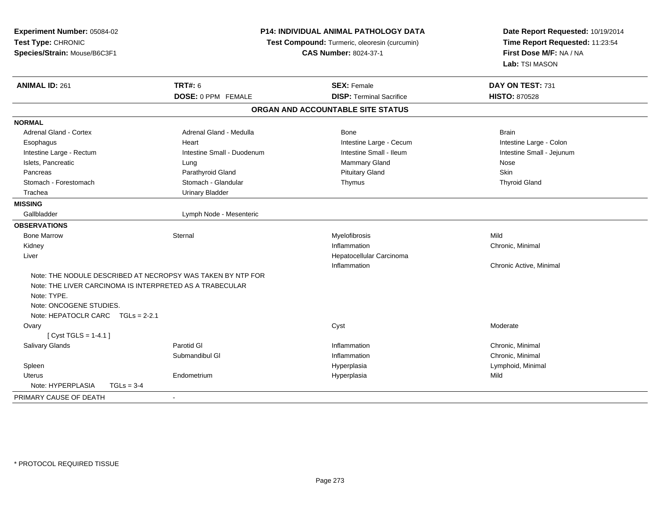| Experiment Number: 05084-02<br>Test Type: CHRONIC<br>Species/Strain: Mouse/B6C3F1                                                                                                                      |                            | <b>P14: INDIVIDUAL ANIMAL PATHOLOGY DATA</b><br>Test Compound: Turmeric, oleoresin (curcumin)<br><b>CAS Number: 8024-37-1</b> | Date Report Requested: 10/19/2014<br>Time Report Requested: 11:23:54<br>First Dose M/F: NA / NA<br>Lab: TSI MASON |
|--------------------------------------------------------------------------------------------------------------------------------------------------------------------------------------------------------|----------------------------|-------------------------------------------------------------------------------------------------------------------------------|-------------------------------------------------------------------------------------------------------------------|
| <b>ANIMAL ID: 261</b>                                                                                                                                                                                  | <b>TRT#: 6</b>             | <b>SEX: Female</b>                                                                                                            | DAY ON TEST: 731                                                                                                  |
|                                                                                                                                                                                                        | DOSE: 0 PPM FEMALE         | <b>DISP: Terminal Sacrifice</b>                                                                                               | <b>HISTO: 870528</b>                                                                                              |
|                                                                                                                                                                                                        |                            | ORGAN AND ACCOUNTABLE SITE STATUS                                                                                             |                                                                                                                   |
| <b>NORMAL</b>                                                                                                                                                                                          |                            |                                                                                                                               |                                                                                                                   |
| Adrenal Gland - Cortex                                                                                                                                                                                 | Adrenal Gland - Medulla    | Bone                                                                                                                          | <b>Brain</b>                                                                                                      |
| Esophagus                                                                                                                                                                                              | Heart                      | Intestine Large - Cecum                                                                                                       | Intestine Large - Colon                                                                                           |
| Intestine Large - Rectum                                                                                                                                                                               | Intestine Small - Duodenum | Intestine Small - Ileum                                                                                                       | Intestine Small - Jejunum                                                                                         |
| Islets, Pancreatic                                                                                                                                                                                     | Lung                       | Mammary Gland                                                                                                                 | Nose                                                                                                              |
| Pancreas                                                                                                                                                                                               | Parathyroid Gland          | <b>Pituitary Gland</b>                                                                                                        | Skin                                                                                                              |
| Stomach - Forestomach                                                                                                                                                                                  | Stomach - Glandular        | Thymus                                                                                                                        | <b>Thyroid Gland</b>                                                                                              |
| Trachea                                                                                                                                                                                                | <b>Urinary Bladder</b>     |                                                                                                                               |                                                                                                                   |
| <b>MISSING</b>                                                                                                                                                                                         |                            |                                                                                                                               |                                                                                                                   |
| Gallbladder                                                                                                                                                                                            | Lymph Node - Mesenteric    |                                                                                                                               |                                                                                                                   |
| <b>OBSERVATIONS</b>                                                                                                                                                                                    |                            |                                                                                                                               |                                                                                                                   |
| <b>Bone Marrow</b>                                                                                                                                                                                     | Sternal                    | Myelofibrosis                                                                                                                 | Mild                                                                                                              |
| Kidney                                                                                                                                                                                                 |                            | Inflammation                                                                                                                  | Chronic, Minimal                                                                                                  |
| Liver                                                                                                                                                                                                  |                            | Hepatocellular Carcinoma                                                                                                      |                                                                                                                   |
|                                                                                                                                                                                                        |                            | Inflammation                                                                                                                  | Chronic Active, Minimal                                                                                           |
| Note: THE NODULE DESCRIBED AT NECROPSY WAS TAKEN BY NTP FOR<br>Note: THE LIVER CARCINOMA IS INTERPRETED AS A TRABECULAR<br>Note: TYPE.<br>Note: ONCOGENE STUDIES.<br>Note: HEPATOCLR CARC TGLs = 2-2.1 |                            |                                                                                                                               |                                                                                                                   |
| Ovary<br>[Cyst TGLS = $1-4.1$ ]                                                                                                                                                                        |                            | Cyst                                                                                                                          | Moderate                                                                                                          |
| <b>Salivary Glands</b>                                                                                                                                                                                 | Parotid GI                 | Inflammation                                                                                                                  | Chronic, Minimal                                                                                                  |
|                                                                                                                                                                                                        | Submandibul GI             | Inflammation                                                                                                                  | Chronic, Minimal                                                                                                  |
| Spleen                                                                                                                                                                                                 |                            | Hyperplasia                                                                                                                   | Lymphoid, Minimal                                                                                                 |
| <b>Uterus</b>                                                                                                                                                                                          | Endometrium                | Hyperplasia                                                                                                                   | Mild                                                                                                              |
| Note: HYPERPLASIA<br>$TGLs = 3-4$                                                                                                                                                                      |                            |                                                                                                                               |                                                                                                                   |
| PRIMARY CAUSE OF DEATH                                                                                                                                                                                 |                            |                                                                                                                               |                                                                                                                   |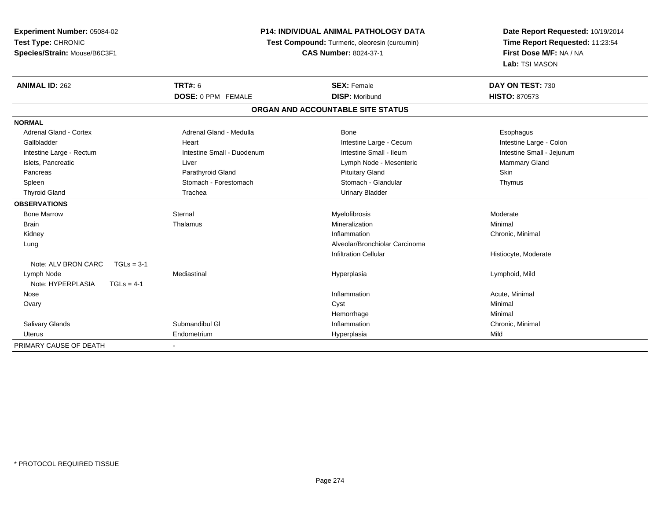**Experiment Number:** 05084-02**Test Type:** CHRONIC**Species/Strain:** Mouse/B6C3F1

## **P14: INDIVIDUAL ANIMAL PATHOLOGY DATA**

**Test Compound:** Turmeric, oleoresin (curcumin)

**CAS Number:** 8024-37-1

**Date Report Requested:** 10/19/2014**Time Report Requested:** 11:23:54**First Dose M/F:** NA / NA**Lab:** TSI MASON

| <b>ANIMAL ID: 262</b>               | <b>TRT#: 6</b>             | <b>SEX: Female</b>                | DAY ON TEST: 730          |
|-------------------------------------|----------------------------|-----------------------------------|---------------------------|
|                                     | DOSE: 0 PPM FEMALE         | <b>DISP: Moribund</b>             | <b>HISTO: 870573</b>      |
|                                     |                            | ORGAN AND ACCOUNTABLE SITE STATUS |                           |
| <b>NORMAL</b>                       |                            |                                   |                           |
| Adrenal Gland - Cortex              | Adrenal Gland - Medulla    | <b>Bone</b>                       | Esophagus                 |
| Gallbladder                         | Heart                      | Intestine Large - Cecum           | Intestine Large - Colon   |
| Intestine Large - Rectum            | Intestine Small - Duodenum | Intestine Small - Ileum           | Intestine Small - Jejunum |
| Islets, Pancreatic                  | Liver                      | Lymph Node - Mesenteric           | Mammary Gland             |
| Pancreas                            | Parathyroid Gland          | <b>Pituitary Gland</b>            | <b>Skin</b>               |
| Spleen                              | Stomach - Forestomach      | Stomach - Glandular               | Thymus                    |
| <b>Thyroid Gland</b>                | Trachea                    | <b>Urinary Bladder</b>            |                           |
| <b>OBSERVATIONS</b>                 |                            |                                   |                           |
| <b>Bone Marrow</b>                  | Sternal                    | Myelofibrosis                     | Moderate                  |
| <b>Brain</b>                        | Thalamus                   | Mineralization                    | Minimal                   |
| Kidney                              |                            | Inflammation                      | Chronic, Minimal          |
| Lung                                |                            | Alveolar/Bronchiolar Carcinoma    |                           |
|                                     |                            | <b>Infiltration Cellular</b>      | Histiocyte, Moderate      |
| Note: ALV BRON CARC<br>$TGLs = 3-1$ |                            |                                   |                           |
| Lymph Node                          | Mediastinal                | Hyperplasia                       | Lymphoid, Mild            |
| Note: HYPERPLASIA<br>$TGLs = 4-1$   |                            |                                   |                           |
| Nose                                |                            | Inflammation                      | Acute, Minimal            |
| Ovary                               |                            | Cyst                              | Minimal                   |
|                                     |                            | Hemorrhage                        | Minimal                   |
| <b>Salivary Glands</b>              | Submandibul GI             | Inflammation                      | Chronic, Minimal          |
| <b>Uterus</b>                       | Endometrium                | Hyperplasia                       | Mild                      |
| PRIMARY CAUSE OF DEATH              |                            |                                   |                           |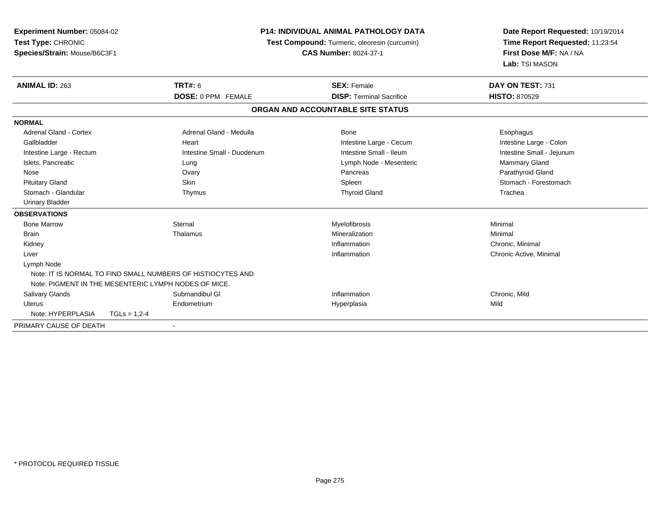| Experiment Number: 05084-02   |                                                             | <b>P14: INDIVIDUAL ANIMAL PATHOLOGY DATA</b>  | Date Report Requested: 10/19/2014 |
|-------------------------------|-------------------------------------------------------------|-----------------------------------------------|-----------------------------------|
| Test Type: CHRONIC            |                                                             | Test Compound: Turmeric, oleoresin (curcumin) | Time Report Requested: 11:23:54   |
| Species/Strain: Mouse/B6C3F1  |                                                             | <b>CAS Number: 8024-37-1</b>                  | First Dose M/F: NA / NA           |
|                               |                                                             |                                               | Lab: TSI MASON                    |
| <b>ANIMAL ID: 263</b>         | <b>TRT#: 6</b>                                              | <b>SEX: Female</b>                            | DAY ON TEST: 731                  |
|                               | <b>DOSE: 0 PPM FEMALE</b>                                   | <b>DISP: Terminal Sacrifice</b>               | <b>HISTO: 870529</b>              |
|                               |                                                             | ORGAN AND ACCOUNTABLE SITE STATUS             |                                   |
| <b>NORMAL</b>                 |                                                             |                                               |                                   |
| <b>Adrenal Gland - Cortex</b> | Adrenal Gland - Medulla                                     | <b>Bone</b>                                   | Esophagus                         |
| Gallbladder                   | Heart                                                       | Intestine Large - Cecum                       | Intestine Large - Colon           |
| Intestine Large - Rectum      | Intestine Small - Duodenum                                  | Intestine Small - Ileum                       | Intestine Small - Jejunum         |
| Islets, Pancreatic            | Lung                                                        | Lymph Node - Mesenteric                       | Mammary Gland                     |
| Nose                          | Ovary                                                       | Pancreas                                      | Parathyroid Gland                 |
| <b>Pituitary Gland</b>        | Skin                                                        | Spleen                                        | Stomach - Forestomach             |
| Stomach - Glandular           | Thymus                                                      | <b>Thyroid Gland</b>                          | Trachea                           |
| <b>Urinary Bladder</b>        |                                                             |                                               |                                   |
| <b>OBSERVATIONS</b>           |                                                             |                                               |                                   |
| <b>Bone Marrow</b>            | Sternal                                                     | Myelofibrosis                                 | Minimal                           |
| <b>Brain</b>                  | Thalamus                                                    | Mineralization                                | Minimal                           |
| Kidney                        |                                                             | Inflammation                                  | Chronic, Minimal                  |
| Liver                         |                                                             | Inflammation                                  | Chronic Active, Minimal           |
| Lymph Node                    |                                                             |                                               |                                   |
|                               | Note: IT IS NORMAL TO FIND SMALL NUMBERS OF HISTIOCYTES AND |                                               |                                   |
|                               | Note: PIGMENT IN THE MESENTERIC LYMPH NODES OF MICE.        |                                               |                                   |
| <b>Salivary Glands</b>        | Submandibul GI                                              | Inflammation                                  | Chronic, Mild                     |
| Uterus                        | Endometrium                                                 | Hyperplasia                                   | Mild                              |
| Note: HYPERPLASIA             | $TGLs = 1,2-4$                                              |                                               |                                   |
| PRIMARY CAUSE OF DEATH        |                                                             |                                               |                                   |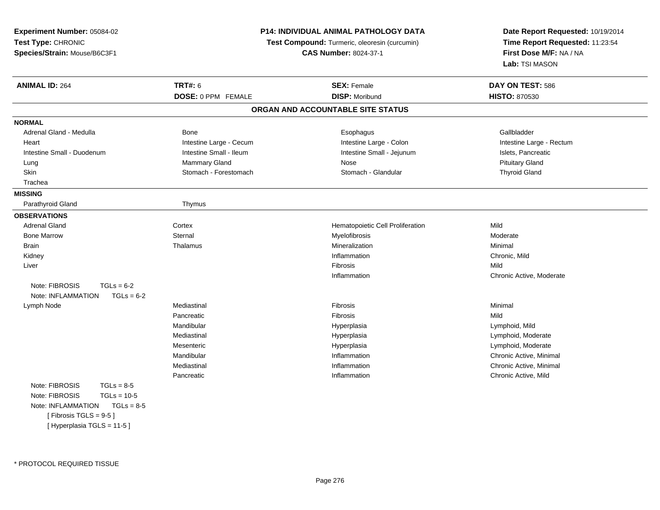**Experiment Number:** 05084-02**Test Type:** CHRONIC **Species/Strain:** Mouse/B6C3F1**P14: INDIVIDUAL ANIMAL PATHOLOGY DATATest Compound:** Turmeric, oleoresin (curcumin)**CAS Number:** 8024-37-1**Date Report Requested:** 10/19/2014**Time Report Requested:** 11:23:54**First Dose M/F:** NA / NA**Lab:** TSI MASON**ANIMAL ID:** 264**TRT#:** 6 **SEX:** Female **SEX: Female DAY ON TEST:** 586 **DOSE:** 0 PPM FEMALE **DISP:** Moribund **HISTO:** <sup>870530</sup> **ORGAN AND ACCOUNTABLE SITE STATUSNORMAL**Adrenal Gland - Medulla Nedulla Bone Bone Esophagus Esophagus Gallbladder Gallbladder Gallbladder Heart **Intestine Large - Cecum** Intestine Large - Cecum Intestine Large - Colon Intestine Large - Rectum Intestine Small - Duodenum **Intestine Small - Ileum** Intestine Small - Ileum Intestine Small - Jejunum Intestine Small - Jejunum Islets, Pancreatic Lung Mammary Gland Nose Pituitary Gland**Thyroid Gland** Skin Stomach - Forestomach - Stomach - Stomach - Stomach - Glandular Thyroid Glandular Thyroid Glandular Thyroid Glandular Thyroid Glandular Clandular Thyroid Glandular Thyroid Glandular Thyroid Glandular Thyroid Glandular Trachea**MISSING**Parathyroid Gland Thymus **OBSERVATIONS** Adrenal Gland Cortex Hematopoietic Cell Proliferation Mild Bone Marroww metal Sternal Sternal and the Myelofibrosis Moderate Moderate Moderate Moderate Sternal and Moderate Moderate Sternal and Moderate Sternal and Moderate Sternal and Moderate Sternal and Moderate Sternal and Moderate Stern Brainn and the matter of the matter of the matter of the matter of the matter of the matter of the matter of the matter of the matter of the matter of the matter of the matter of the matter of the matter of the matter of the ma Kidneyy the control of the control of the control of the control of the control of the control of the control of the control of the control of the control of the control of the control of the control of the control of the contro Inflammation **Chronic, Mild**<br>
Fibrosis Mild Liverr and the contract of the contract of the contract of the contract of the contract of the contract of the contract of the contract of the contract of the contract of the contract of the contract of the contract of the cont s and the contract of the Mild n Chronic Active, Moderate InflammationNote:  $FIBROSIS$   $TGLS = 6-2$  $TGLs = 6-2$ Note: INFLAMMATION Lymph Node Mediastinal Fibrosis Minimal Pancreaticc Communication of the Communication of the Communication of the Communication of the Communication of the Communication of the Communication of the Communication of the Communication of the Communication of the Communicat Lymphoid, Mild Mandibular HyperplasiaMediastinal Hyperplasia Lymphoid, Moderate **Mesenteric**  Hyperplasia Lymphoid, Moderate Mandibular Inflammation Chronic Active, Minimal Mediastinal Inflammation Chronic Active, Minimal Pancreatic Inflammation Chronic Active, Mild Note:  $FIBROSIS$   $TGLs = 8-5$  $TGLs = 10-5$ Note: FIBROSIS Note: INFLAMMATION TGLs = 8-5 $[$  Fibrosis TGLS = 9-5  $]$ [ Hyperplasia TGLS = 11-5 ]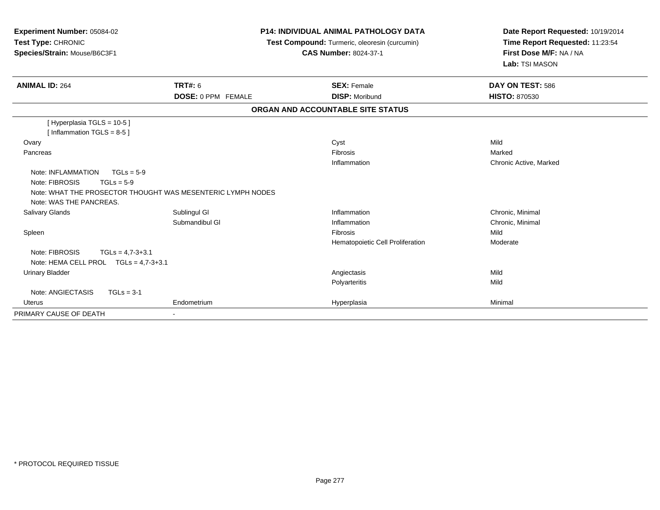| Experiment Number: 05084-02<br>Test Type: CHRONIC<br>Species/Strain: Mouse/B6C3F1                                                                              | <b>P14: INDIVIDUAL ANIMAL PATHOLOGY DATA</b><br>Test Compound: Turmeric, oleoresin (curcumin)<br><b>CAS Number: 8024-37-1</b> |                                   | Date Report Requested: 10/19/2014<br>Time Report Requested: 11:23:54<br>First Dose M/F: NA / NA<br>Lab: TSI MASON |
|----------------------------------------------------------------------------------------------------------------------------------------------------------------|-------------------------------------------------------------------------------------------------------------------------------|-----------------------------------|-------------------------------------------------------------------------------------------------------------------|
| <b>ANIMAL ID: 264</b>                                                                                                                                          | <b>TRT#: 6</b>                                                                                                                | <b>SEX: Female</b>                | DAY ON TEST: 586                                                                                                  |
|                                                                                                                                                                | <b>DOSE: 0 PPM FEMALE</b>                                                                                                     | <b>DISP: Moribund</b>             | <b>HISTO: 870530</b>                                                                                              |
|                                                                                                                                                                |                                                                                                                               | ORGAN AND ACCOUNTABLE SITE STATUS |                                                                                                                   |
| [Hyperplasia TGLS = 10-5]<br>[Inflammation TGLS = $8-5$ ]                                                                                                      |                                                                                                                               |                                   |                                                                                                                   |
| Ovary                                                                                                                                                          |                                                                                                                               | Cyst                              | Mild                                                                                                              |
| Pancreas                                                                                                                                                       |                                                                                                                               | <b>Fibrosis</b>                   | Marked                                                                                                            |
|                                                                                                                                                                |                                                                                                                               | Inflammation                      | Chronic Active, Marked                                                                                            |
| Note: INFLAMMATION<br>$TGLs = 5-9$<br>Note: FIBROSIS<br>$TGLs = 5-9$<br>Note: WHAT THE PROSECTOR THOUGHT WAS MESENTERIC LYMPH NODES<br>Note: WAS THE PANCREAS. |                                                                                                                               |                                   |                                                                                                                   |
| Salivary Glands                                                                                                                                                | Sublingul GI                                                                                                                  | Inflammation                      | Chronic, Minimal                                                                                                  |
|                                                                                                                                                                | Submandibul GI                                                                                                                | Inflammation                      | Chronic, Minimal                                                                                                  |
| Spleen                                                                                                                                                         |                                                                                                                               | Fibrosis                          | Mild                                                                                                              |
|                                                                                                                                                                |                                                                                                                               | Hematopoietic Cell Proliferation  | Moderate                                                                                                          |
| Note: FIBROSIS<br>$TGLs = 4.7-3+3.1$<br>Note: HEMA CELL PROL $TGLs = 4.7-3+3.1$                                                                                |                                                                                                                               |                                   |                                                                                                                   |
| <b>Urinary Bladder</b>                                                                                                                                         |                                                                                                                               | Angiectasis                       | Mild                                                                                                              |
|                                                                                                                                                                |                                                                                                                               | Polyarteritis                     | Mild                                                                                                              |
| Note: ANGIECTASIS<br>$TGLs = 3-1$                                                                                                                              |                                                                                                                               |                                   |                                                                                                                   |
| <b>Uterus</b>                                                                                                                                                  | Endometrium                                                                                                                   | Hyperplasia                       | Minimal                                                                                                           |
| PRIMARY CAUSE OF DEATH                                                                                                                                         |                                                                                                                               |                                   |                                                                                                                   |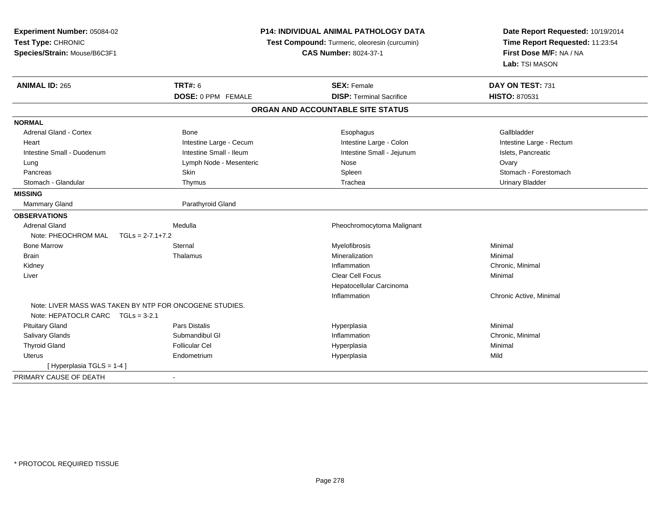| Experiment Number: 05084-02<br>Test Type: CHRONIC<br>Species/Strain: Mouse/B6C3F1            |                         | <b>P14: INDIVIDUAL ANIMAL PATHOLOGY DATA</b><br>Test Compound: Turmeric, oleoresin (curcumin)<br><b>CAS Number: 8024-37-1</b> | Date Report Requested: 10/19/2014<br>Time Report Requested: 11:23:54<br>First Dose M/F: NA / NA<br>Lab: TSI MASON |  |
|----------------------------------------------------------------------------------------------|-------------------------|-------------------------------------------------------------------------------------------------------------------------------|-------------------------------------------------------------------------------------------------------------------|--|
| <b>ANIMAL ID: 265</b>                                                                        | <b>TRT#: 6</b>          | <b>SEX: Female</b>                                                                                                            | DAY ON TEST: 731                                                                                                  |  |
|                                                                                              | DOSE: 0 PPM FEMALE      | <b>DISP: Terminal Sacrifice</b>                                                                                               | <b>HISTO: 870531</b>                                                                                              |  |
|                                                                                              |                         | ORGAN AND ACCOUNTABLE SITE STATUS                                                                                             |                                                                                                                   |  |
| <b>NORMAL</b>                                                                                |                         |                                                                                                                               |                                                                                                                   |  |
| <b>Adrenal Gland - Cortex</b>                                                                | <b>Bone</b>             | Esophagus                                                                                                                     | Gallbladder                                                                                                       |  |
| Heart                                                                                        | Intestine Large - Cecum | Intestine Large - Colon                                                                                                       | Intestine Large - Rectum                                                                                          |  |
| Intestine Small - Duodenum                                                                   | Intestine Small - Ileum | Intestine Small - Jejunum                                                                                                     | Islets, Pancreatic                                                                                                |  |
| Lung                                                                                         | Lymph Node - Mesenteric | Nose                                                                                                                          | Ovary                                                                                                             |  |
| Pancreas                                                                                     | Skin                    | Spleen                                                                                                                        | Stomach - Forestomach                                                                                             |  |
| Stomach - Glandular                                                                          | Thymus                  | Trachea                                                                                                                       | <b>Urinary Bladder</b>                                                                                            |  |
| <b>MISSING</b>                                                                               |                         |                                                                                                                               |                                                                                                                   |  |
| Mammary Gland                                                                                | Parathyroid Gland       |                                                                                                                               |                                                                                                                   |  |
| <b>OBSERVATIONS</b>                                                                          |                         |                                                                                                                               |                                                                                                                   |  |
| <b>Adrenal Gland</b>                                                                         | Medulla                 | Pheochromocytoma Malignant                                                                                                    |                                                                                                                   |  |
| Note: PHEOCHROM MAL                                                                          | $TGLs = 2-7.1+7.2$      |                                                                                                                               |                                                                                                                   |  |
| <b>Bone Marrow</b>                                                                           | Sternal                 | Myelofibrosis                                                                                                                 | Minimal                                                                                                           |  |
| <b>Brain</b>                                                                                 | Thalamus                | Mineralization                                                                                                                | Minimal                                                                                                           |  |
| Kidney                                                                                       |                         | Inflammation                                                                                                                  | Chronic, Minimal                                                                                                  |  |
| Liver                                                                                        |                         | Clear Cell Focus                                                                                                              | Minimal                                                                                                           |  |
|                                                                                              |                         | Hepatocellular Carcinoma                                                                                                      |                                                                                                                   |  |
|                                                                                              |                         | Inflammation                                                                                                                  | Chronic Active, Minimal                                                                                           |  |
| Note: LIVER MASS WAS TAKEN BY NTP FOR ONCOGENE STUDIES.<br>Note: HEPATOCLR CARC TGLs = 3-2.1 |                         |                                                                                                                               |                                                                                                                   |  |
| <b>Pituitary Gland</b>                                                                       | <b>Pars Distalis</b>    | Hyperplasia                                                                                                                   | Minimal                                                                                                           |  |
| Salivary Glands                                                                              | Submandibul GI          | Inflammation                                                                                                                  | Chronic, Minimal                                                                                                  |  |
| <b>Thyroid Gland</b>                                                                         | <b>Follicular Cel</b>   | Hyperplasia                                                                                                                   | Minimal                                                                                                           |  |
| Uterus                                                                                       | Endometrium             | Hyperplasia                                                                                                                   | Mild                                                                                                              |  |
| [Hyperplasia TGLS = 1-4]                                                                     |                         |                                                                                                                               |                                                                                                                   |  |
| PRIMARY CAUSE OF DEATH                                                                       | $\blacksquare$          |                                                                                                                               |                                                                                                                   |  |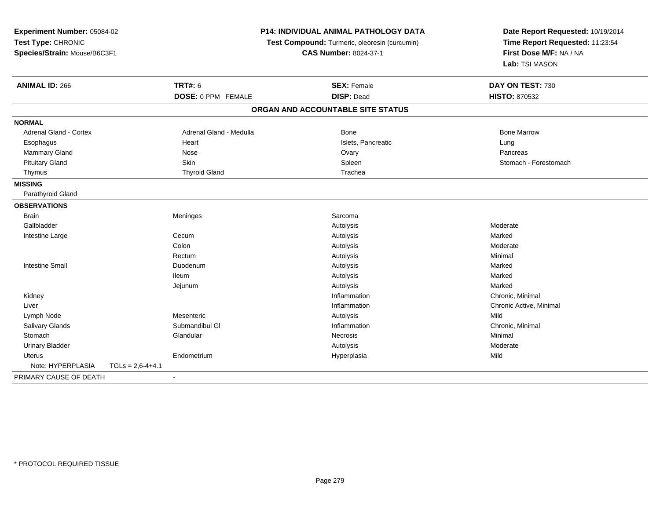| Experiment Number: 05084-02<br>Test Type: CHRONIC |                    | <b>P14: INDIVIDUAL ANIMAL PATHOLOGY DATA</b><br>Test Compound: Turmeric, oleoresin (curcumin) |                                   | Date Report Requested: 10/19/2014<br>Time Report Requested: 11:23:54 |
|---------------------------------------------------|--------------------|-----------------------------------------------------------------------------------------------|-----------------------------------|----------------------------------------------------------------------|
|                                                   |                    |                                                                                               |                                   |                                                                      |
|                                                   |                    |                                                                                               |                                   | Lab: TSI MASON                                                       |
| <b>ANIMAL ID: 266</b>                             |                    | <b>TRT#: 6</b>                                                                                | <b>SEX: Female</b>                | DAY ON TEST: 730                                                     |
|                                                   |                    | DOSE: 0 PPM FEMALE                                                                            | <b>DISP: Dead</b>                 | <b>HISTO: 870532</b>                                                 |
|                                                   |                    |                                                                                               | ORGAN AND ACCOUNTABLE SITE STATUS |                                                                      |
| <b>NORMAL</b>                                     |                    |                                                                                               |                                   |                                                                      |
| Adrenal Gland - Cortex                            |                    | Adrenal Gland - Medulla                                                                       | <b>Bone</b>                       | <b>Bone Marrow</b>                                                   |
| Esophagus                                         |                    | Heart                                                                                         | Islets, Pancreatic                | Lung                                                                 |
| Mammary Gland                                     |                    | Nose                                                                                          | Ovary                             | Pancreas                                                             |
| <b>Pituitary Gland</b>                            |                    | Skin                                                                                          | Spleen                            | Stomach - Forestomach                                                |
| Thymus                                            |                    | <b>Thyroid Gland</b>                                                                          | Trachea                           |                                                                      |
| <b>MISSING</b>                                    |                    |                                                                                               |                                   |                                                                      |
| Parathyroid Gland                                 |                    |                                                                                               |                                   |                                                                      |
| <b>OBSERVATIONS</b>                               |                    |                                                                                               |                                   |                                                                      |
| <b>Brain</b>                                      |                    | Meninges                                                                                      | Sarcoma                           |                                                                      |
| Gallbladder                                       |                    |                                                                                               | Autolysis                         | Moderate                                                             |
| Intestine Large                                   |                    | Cecum                                                                                         | Autolysis                         | Marked                                                               |
|                                                   |                    | Colon                                                                                         | Autolysis                         | Moderate                                                             |
|                                                   |                    | Rectum                                                                                        | Autolysis                         | Minimal                                                              |
| <b>Intestine Small</b>                            |                    | Duodenum                                                                                      | Autolysis                         | Marked                                                               |
|                                                   |                    | <b>Ileum</b>                                                                                  | Autolysis                         | Marked                                                               |
|                                                   |                    | Jejunum                                                                                       | Autolysis                         | Marked                                                               |
| Kidney                                            |                    |                                                                                               | Inflammation                      | Chronic, Minimal                                                     |
| Liver                                             |                    |                                                                                               | Inflammation                      | Chronic Active, Minimal                                              |
| Lymph Node                                        |                    | Mesenteric                                                                                    | Autolysis                         | Mild                                                                 |
| Salivary Glands                                   |                    | Submandibul GI                                                                                | Inflammation                      | Chronic, Minimal                                                     |
| Stomach                                           |                    | Glandular                                                                                     | Necrosis                          | Minimal                                                              |
| <b>Urinary Bladder</b>                            |                    |                                                                                               | Autolysis                         | Moderate                                                             |
| Uterus                                            |                    | Endometrium                                                                                   | Hyperplasia                       | Mild                                                                 |
| Note: HYPERPLASIA                                 | $TGLs = 2,6-4+4.1$ |                                                                                               |                                   |                                                                      |
| PRIMARY CAUSE OF DEATH                            |                    | $\blacksquare$                                                                                |                                   |                                                                      |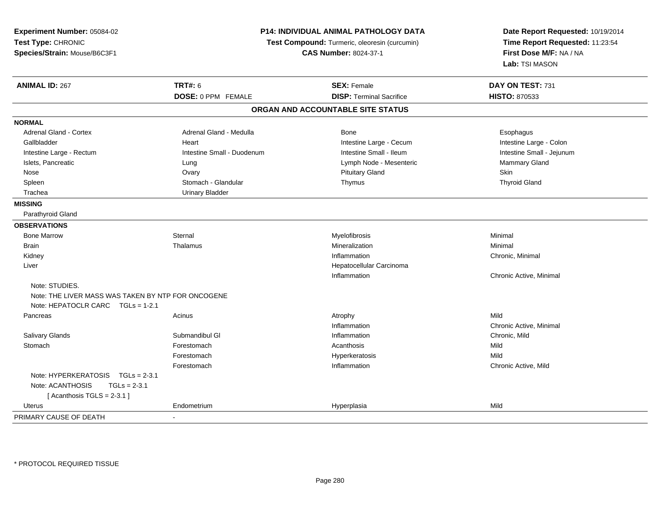| Experiment Number: 05084-02                        |                              | P14: INDIVIDUAL ANIMAL PATHOLOGY DATA         | Date Report Requested: 10/19/2014 |  |
|----------------------------------------------------|------------------------------|-----------------------------------------------|-----------------------------------|--|
| Test Type: CHRONIC                                 |                              | Test Compound: Turmeric, oleoresin (curcumin) | Time Report Requested: 11:23:54   |  |
| Species/Strain: Mouse/B6C3F1                       | <b>CAS Number: 8024-37-1</b> |                                               | First Dose M/F: NA / NA           |  |
|                                                    |                              |                                               | Lab: TSI MASON                    |  |
| <b>ANIMAL ID: 267</b>                              | <b>TRT#: 6</b>               | <b>SEX: Female</b>                            | DAY ON TEST: 731                  |  |
|                                                    | DOSE: 0 PPM FEMALE           | <b>DISP: Terminal Sacrifice</b>               | <b>HISTO: 870533</b>              |  |
|                                                    |                              | ORGAN AND ACCOUNTABLE SITE STATUS             |                                   |  |
| <b>NORMAL</b>                                      |                              |                                               |                                   |  |
| Adrenal Gland - Cortex                             | Adrenal Gland - Medulla      | <b>Bone</b>                                   | Esophagus                         |  |
| Gallbladder                                        | Heart                        | Intestine Large - Cecum                       | Intestine Large - Colon           |  |
| Intestine Large - Rectum                           | Intestine Small - Duodenum   | Intestine Small - Ileum                       | Intestine Small - Jejunum         |  |
| Islets, Pancreatic                                 | Lung                         | Lymph Node - Mesenteric                       | Mammary Gland                     |  |
| Nose                                               | Ovary                        | <b>Pituitary Gland</b>                        | <b>Skin</b>                       |  |
| Spleen                                             | Stomach - Glandular          | Thymus                                        | <b>Thyroid Gland</b>              |  |
| Trachea                                            | <b>Urinary Bladder</b>       |                                               |                                   |  |
| <b>MISSING</b>                                     |                              |                                               |                                   |  |
| Parathyroid Gland                                  |                              |                                               |                                   |  |
| <b>OBSERVATIONS</b>                                |                              |                                               |                                   |  |
| <b>Bone Marrow</b>                                 | Sternal                      | Myelofibrosis                                 | Minimal                           |  |
| Brain                                              | Thalamus                     | Mineralization                                | Minimal                           |  |
| Kidney                                             |                              | Inflammation                                  | Chronic, Minimal                  |  |
| Liver                                              |                              | Hepatocellular Carcinoma                      |                                   |  |
|                                                    |                              | Inflammation                                  | Chronic Active, Minimal           |  |
| Note: STUDIES.                                     |                              |                                               |                                   |  |
| Note: THE LIVER MASS WAS TAKEN BY NTP FOR ONCOGENE |                              |                                               |                                   |  |
| Note: HEPATOCLR CARC TGLs = 1-2.1                  |                              |                                               |                                   |  |
| Pancreas                                           | Acinus                       | Atrophy                                       | Mild                              |  |
|                                                    |                              | Inflammation                                  | Chronic Active, Minimal           |  |
| Salivary Glands                                    | Submandibul GI               | Inflammation                                  | Chronic, Mild                     |  |
| Stomach                                            | Forestomach                  | Acanthosis                                    | Mild                              |  |
|                                                    | Forestomach                  | Hyperkeratosis                                | Mild                              |  |
|                                                    | Forestomach                  | Inflammation                                  | Chronic Active, Mild              |  |
| Note: HYPERKERATOSIS<br>$TGLs = 2-3.1$             |                              |                                               |                                   |  |
| Note: ACANTHOSIS<br>$TGLs = 2-3.1$                 |                              |                                               |                                   |  |
| [Acanthosis TGLS = $2-3.1$ ]                       |                              |                                               |                                   |  |
| <b>Uterus</b>                                      | Endometrium                  | Hyperplasia                                   | Mild                              |  |
| PRIMARY CAUSE OF DEATH                             |                              |                                               |                                   |  |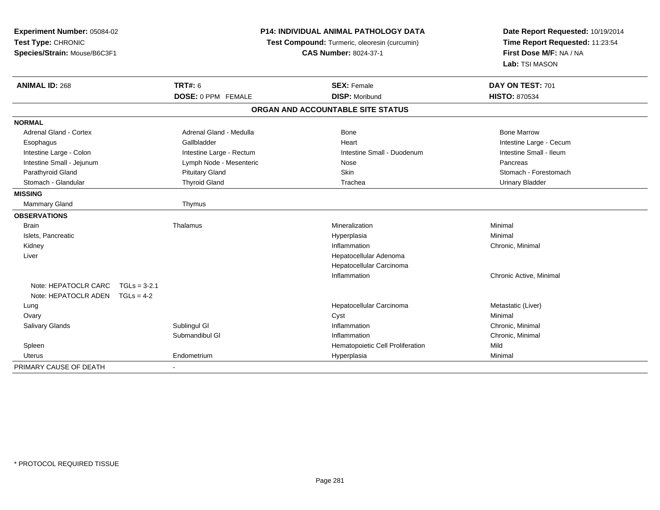| Experiment Number: 05084-02<br>Test Type: CHRONIC<br>Species/Strain: Mouse/B6C3F1 |                | <b>P14: INDIVIDUAL ANIMAL PATHOLOGY DATA</b><br>Test Compound: Turmeric, oleoresin (curcumin)<br><b>CAS Number: 8024-37-1</b> |  | Date Report Requested: 10/19/2014<br>Time Report Requested: 11:23:54<br>First Dose M/F: NA / NA<br>Lab: TSI MASON |                         |  |
|-----------------------------------------------------------------------------------|----------------|-------------------------------------------------------------------------------------------------------------------------------|--|-------------------------------------------------------------------------------------------------------------------|-------------------------|--|
| <b>ANIMAL ID: 268</b>                                                             |                | <b>TRT#: 6</b>                                                                                                                |  | <b>SEX: Female</b>                                                                                                | DAY ON TEST: 701        |  |
|                                                                                   |                | DOSE: 0 PPM FEMALE                                                                                                            |  | <b>DISP: Moribund</b>                                                                                             | <b>HISTO: 870534</b>    |  |
|                                                                                   |                |                                                                                                                               |  | ORGAN AND ACCOUNTABLE SITE STATUS                                                                                 |                         |  |
| <b>NORMAL</b>                                                                     |                |                                                                                                                               |  |                                                                                                                   |                         |  |
| <b>Adrenal Gland - Cortex</b>                                                     |                | Adrenal Gland - Medulla                                                                                                       |  | Bone                                                                                                              | <b>Bone Marrow</b>      |  |
| Esophagus                                                                         |                | Gallbladder                                                                                                                   |  | Heart                                                                                                             | Intestine Large - Cecum |  |
| Intestine Large - Colon                                                           |                | Intestine Large - Rectum                                                                                                      |  | Intestine Small - Duodenum                                                                                        | Intestine Small - Ileum |  |
| Intestine Small - Jejunum                                                         |                | Lymph Node - Mesenteric                                                                                                       |  | Nose                                                                                                              | Pancreas                |  |
| Parathyroid Gland                                                                 |                | <b>Pituitary Gland</b>                                                                                                        |  | <b>Skin</b>                                                                                                       | Stomach - Forestomach   |  |
| Stomach - Glandular                                                               |                | <b>Thyroid Gland</b>                                                                                                          |  | Trachea                                                                                                           | <b>Urinary Bladder</b>  |  |
| <b>MISSING</b>                                                                    |                |                                                                                                                               |  |                                                                                                                   |                         |  |
| <b>Mammary Gland</b>                                                              |                | Thymus                                                                                                                        |  |                                                                                                                   |                         |  |
| <b>OBSERVATIONS</b>                                                               |                |                                                                                                                               |  |                                                                                                                   |                         |  |
| <b>Brain</b>                                                                      |                | Thalamus                                                                                                                      |  | Mineralization                                                                                                    | Minimal                 |  |
| Islets, Pancreatic                                                                |                |                                                                                                                               |  | Hyperplasia                                                                                                       | Minimal                 |  |
| Kidney                                                                            |                |                                                                                                                               |  | Inflammation                                                                                                      | Chronic, Minimal        |  |
| Liver                                                                             |                |                                                                                                                               |  | Hepatocellular Adenoma                                                                                            |                         |  |
|                                                                                   |                |                                                                                                                               |  | Hepatocellular Carcinoma                                                                                          |                         |  |
|                                                                                   |                |                                                                                                                               |  | Inflammation                                                                                                      | Chronic Active, Minimal |  |
| Note: HEPATOCLR CARC                                                              | $TGLs = 3-2.1$ |                                                                                                                               |  |                                                                                                                   |                         |  |
| Note: HEPATOCLR ADEN TGLs = 4-2                                                   |                |                                                                                                                               |  |                                                                                                                   |                         |  |
| Lung                                                                              |                |                                                                                                                               |  | Hepatocellular Carcinoma                                                                                          | Metastatic (Liver)      |  |
| Ovary                                                                             |                |                                                                                                                               |  | Cyst                                                                                                              | Minimal                 |  |
| <b>Salivary Glands</b>                                                            |                | Sublingul GI                                                                                                                  |  | Inflammation                                                                                                      | Chronic, Minimal        |  |
|                                                                                   |                | Submandibul GI                                                                                                                |  | Inflammation                                                                                                      | Chronic, Minimal        |  |
| Spleen                                                                            |                |                                                                                                                               |  | Hematopoietic Cell Proliferation                                                                                  | Mild                    |  |
| Uterus                                                                            |                | Endometrium                                                                                                                   |  | Hyperplasia                                                                                                       | Minimal                 |  |
| PRIMARY CAUSE OF DEATH                                                            |                |                                                                                                                               |  |                                                                                                                   |                         |  |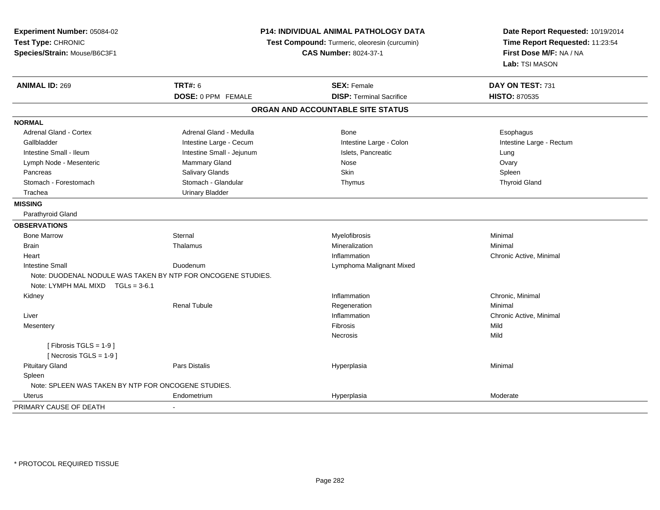| Experiment Number: 05084-02<br>Test Type: CHRONIC<br>Species/Strain: Mouse/B6C3F1 |                                                              | P14: INDIVIDUAL ANIMAL PATHOLOGY DATA<br>Test Compound: Turmeric, oleoresin (curcumin)<br><b>CAS Number: 8024-37-1</b> | Date Report Requested: 10/19/2014<br>Time Report Requested: 11:23:54<br>First Dose M/F: NA / NA<br>Lab: TSI MASON |  |
|-----------------------------------------------------------------------------------|--------------------------------------------------------------|------------------------------------------------------------------------------------------------------------------------|-------------------------------------------------------------------------------------------------------------------|--|
| <b>ANIMAL ID: 269</b>                                                             | <b>TRT#: 6</b>                                               | <b>SEX: Female</b>                                                                                                     | DAY ON TEST: 731                                                                                                  |  |
|                                                                                   | DOSE: 0 PPM FEMALE                                           | <b>DISP:</b> Terminal Sacrifice                                                                                        | <b>HISTO: 870535</b>                                                                                              |  |
|                                                                                   |                                                              | ORGAN AND ACCOUNTABLE SITE STATUS                                                                                      |                                                                                                                   |  |
| <b>NORMAL</b>                                                                     |                                                              |                                                                                                                        |                                                                                                                   |  |
| Adrenal Gland - Cortex                                                            | Adrenal Gland - Medulla                                      | Bone                                                                                                                   | Esophagus                                                                                                         |  |
| Gallbladder                                                                       | Intestine Large - Cecum                                      | Intestine Large - Colon                                                                                                | Intestine Large - Rectum                                                                                          |  |
| Intestine Small - Ileum                                                           | Intestine Small - Jejunum                                    | Islets, Pancreatic                                                                                                     | Lung                                                                                                              |  |
| Lymph Node - Mesenteric                                                           | <b>Mammary Gland</b>                                         | Nose                                                                                                                   | Ovary                                                                                                             |  |
| Pancreas                                                                          | <b>Salivary Glands</b>                                       | Skin                                                                                                                   | Spleen                                                                                                            |  |
| Stomach - Forestomach                                                             | Stomach - Glandular                                          | Thymus                                                                                                                 | <b>Thyroid Gland</b>                                                                                              |  |
| Trachea                                                                           | <b>Urinary Bladder</b>                                       |                                                                                                                        |                                                                                                                   |  |
| <b>MISSING</b>                                                                    |                                                              |                                                                                                                        |                                                                                                                   |  |
| Parathyroid Gland                                                                 |                                                              |                                                                                                                        |                                                                                                                   |  |
| <b>OBSERVATIONS</b>                                                               |                                                              |                                                                                                                        |                                                                                                                   |  |
| <b>Bone Marrow</b>                                                                | Sternal                                                      | Myelofibrosis                                                                                                          | Minimal                                                                                                           |  |
| <b>Brain</b>                                                                      | Thalamus                                                     | Mineralization                                                                                                         | Minimal                                                                                                           |  |
| Heart                                                                             |                                                              | Inflammation                                                                                                           | Chronic Active, Minimal                                                                                           |  |
| <b>Intestine Small</b>                                                            | Duodenum                                                     | Lymphoma Malignant Mixed                                                                                               |                                                                                                                   |  |
|                                                                                   | Note: DUODENAL NODULE WAS TAKEN BY NTP FOR ONCOGENE STUDIES. |                                                                                                                        |                                                                                                                   |  |
| Note: LYMPH MAL MIXD TGLs = 3-6.1                                                 |                                                              |                                                                                                                        |                                                                                                                   |  |
| Kidney                                                                            |                                                              | Inflammation                                                                                                           | Chronic, Minimal                                                                                                  |  |
|                                                                                   | <b>Renal Tubule</b>                                          | Regeneration                                                                                                           | Minimal                                                                                                           |  |
| Liver                                                                             |                                                              | Inflammation                                                                                                           | Chronic Active, Minimal                                                                                           |  |
| Mesentery                                                                         |                                                              | Fibrosis                                                                                                               | Mild                                                                                                              |  |
|                                                                                   |                                                              | Necrosis                                                                                                               | Mild                                                                                                              |  |
| [Fibrosis TGLS = $1-9$ ]                                                          |                                                              |                                                                                                                        |                                                                                                                   |  |
| [ Necrosis $TGLS = 1-9$ ]                                                         |                                                              |                                                                                                                        |                                                                                                                   |  |
| <b>Pituitary Gland</b>                                                            | Pars Distalis                                                | Hyperplasia                                                                                                            | Minimal                                                                                                           |  |
| Spleen                                                                            |                                                              |                                                                                                                        |                                                                                                                   |  |
| Note: SPLEEN WAS TAKEN BY NTP FOR ONCOGENE STUDIES.                               |                                                              |                                                                                                                        |                                                                                                                   |  |
| Uterus                                                                            | Endometrium                                                  | Hyperplasia                                                                                                            | Moderate                                                                                                          |  |
| PRIMARY CAUSE OF DEATH                                                            | $\blacksquare$                                               |                                                                                                                        |                                                                                                                   |  |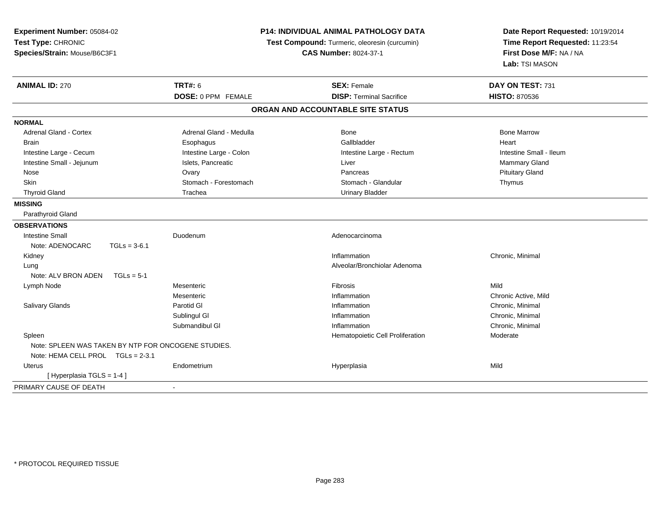| Experiment Number: 05084-02<br>Test Type: CHRONIC<br>Species/Strain: Mouse/B6C3F1 | P14: INDIVIDUAL ANIMAL PATHOLOGY DATA<br>Test Compound: Turmeric, oleoresin (curcumin)<br><b>CAS Number: 8024-37-1</b> |                                   | Date Report Requested: 10/19/2014<br>Time Report Requested: 11:23:54<br>First Dose M/F: NA / NA<br>Lab: TSI MASON |  |
|-----------------------------------------------------------------------------------|------------------------------------------------------------------------------------------------------------------------|-----------------------------------|-------------------------------------------------------------------------------------------------------------------|--|
| <b>ANIMAL ID: 270</b>                                                             | <b>TRT#: 6</b>                                                                                                         | <b>SEX: Female</b>                | DAY ON TEST: 731                                                                                                  |  |
|                                                                                   | DOSE: 0 PPM FEMALE                                                                                                     | <b>DISP: Terminal Sacrifice</b>   | <b>HISTO: 870536</b>                                                                                              |  |
|                                                                                   |                                                                                                                        | ORGAN AND ACCOUNTABLE SITE STATUS |                                                                                                                   |  |
| <b>NORMAL</b>                                                                     |                                                                                                                        |                                   |                                                                                                                   |  |
| <b>Adrenal Gland - Cortex</b>                                                     | Adrenal Gland - Medulla                                                                                                | Bone                              | <b>Bone Marrow</b>                                                                                                |  |
| <b>Brain</b>                                                                      | Esophagus                                                                                                              | Gallbladder                       | Heart                                                                                                             |  |
| Intestine Large - Cecum                                                           | Intestine Large - Colon                                                                                                | Intestine Large - Rectum          | Intestine Small - Ileum                                                                                           |  |
| Intestine Small - Jejunum                                                         | Islets, Pancreatic                                                                                                     | Liver                             | Mammary Gland                                                                                                     |  |
| Nose                                                                              | Ovary                                                                                                                  | Pancreas                          | <b>Pituitary Gland</b>                                                                                            |  |
| Skin                                                                              | Stomach - Forestomach                                                                                                  | Stomach - Glandular               | Thymus                                                                                                            |  |
| <b>Thyroid Gland</b>                                                              | Trachea                                                                                                                | <b>Urinary Bladder</b>            |                                                                                                                   |  |
| <b>MISSING</b>                                                                    |                                                                                                                        |                                   |                                                                                                                   |  |
| Parathyroid Gland                                                                 |                                                                                                                        |                                   |                                                                                                                   |  |
| <b>OBSERVATIONS</b>                                                               |                                                                                                                        |                                   |                                                                                                                   |  |
| <b>Intestine Small</b>                                                            | Duodenum                                                                                                               | Adenocarcinoma                    |                                                                                                                   |  |
| Note: ADENOCARC<br>$TGLs = 3-6.1$                                                 |                                                                                                                        |                                   |                                                                                                                   |  |
| Kidney                                                                            |                                                                                                                        | Inflammation                      | Chronic, Minimal                                                                                                  |  |
| Lung                                                                              |                                                                                                                        | Alveolar/Bronchiolar Adenoma      |                                                                                                                   |  |
| Note: ALV BRON ADEN<br>$TGLs = 5-1$                                               |                                                                                                                        |                                   |                                                                                                                   |  |
| Lymph Node                                                                        | Mesenteric                                                                                                             | Fibrosis                          | Mild                                                                                                              |  |
|                                                                                   | Mesenteric                                                                                                             | Inflammation                      | Chronic Active, Mild                                                                                              |  |
| Salivary Glands                                                                   | Parotid GI                                                                                                             | Inflammation                      | Chronic, Minimal                                                                                                  |  |
|                                                                                   | Sublingul GI                                                                                                           | Inflammation                      | Chronic, Minimal                                                                                                  |  |
|                                                                                   | Submandibul GI                                                                                                         | Inflammation                      | Chronic, Minimal                                                                                                  |  |
| Spleen                                                                            |                                                                                                                        | Hematopoietic Cell Proliferation  | Moderate                                                                                                          |  |
| Note: SPLEEN WAS TAKEN BY NTP FOR ONCOGENE STUDIES.                               |                                                                                                                        |                                   |                                                                                                                   |  |
| Note: HEMA CELL PROL TGLs = 2-3.1                                                 |                                                                                                                        |                                   |                                                                                                                   |  |
| <b>Uterus</b>                                                                     | Endometrium                                                                                                            | Hyperplasia                       | Mild                                                                                                              |  |
| [Hyperplasia TGLS = 1-4]                                                          |                                                                                                                        |                                   |                                                                                                                   |  |
| PRIMARY CAUSE OF DEATH                                                            |                                                                                                                        |                                   |                                                                                                                   |  |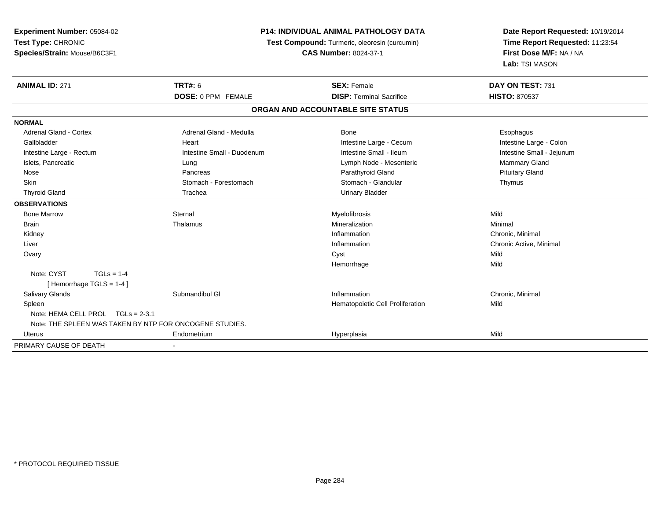| Experiment Number: 05084-02                             |                            | <b>P14: INDIVIDUAL ANIMAL PATHOLOGY DATA</b>  | Date Report Requested: 10/19/2014 |  |
|---------------------------------------------------------|----------------------------|-----------------------------------------------|-----------------------------------|--|
| Test Type: CHRONIC                                      |                            | Test Compound: Turmeric, oleoresin (curcumin) | Time Report Requested: 11:23:54   |  |
| Species/Strain: Mouse/B6C3F1                            |                            | <b>CAS Number: 8024-37-1</b>                  | First Dose M/F: NA / NA           |  |
|                                                         |                            |                                               | Lab: TSI MASON                    |  |
| <b>ANIMAL ID: 271</b>                                   | <b>TRT#: 6</b>             | <b>SEX: Female</b>                            | DAY ON TEST: 731                  |  |
|                                                         | DOSE: 0 PPM FEMALE         | <b>DISP: Terminal Sacrifice</b>               | <b>HISTO: 870537</b>              |  |
|                                                         |                            | ORGAN AND ACCOUNTABLE SITE STATUS             |                                   |  |
| <b>NORMAL</b>                                           |                            |                                               |                                   |  |
| <b>Adrenal Gland - Cortex</b>                           | Adrenal Gland - Medulla    | Bone                                          | Esophagus                         |  |
| Gallbladder                                             | Heart                      | Intestine Large - Cecum                       | Intestine Large - Colon           |  |
| Intestine Large - Rectum                                | Intestine Small - Duodenum | Intestine Small - Ileum                       | Intestine Small - Jejunum         |  |
| Islets, Pancreatic                                      | Lung                       | Lymph Node - Mesenteric                       | Mammary Gland                     |  |
| Nose                                                    | Pancreas                   | Parathyroid Gland                             | <b>Pituitary Gland</b>            |  |
| Skin                                                    | Stomach - Forestomach      | Stomach - Glandular                           | Thymus                            |  |
| <b>Thyroid Gland</b>                                    | Trachea                    | <b>Urinary Bladder</b>                        |                                   |  |
| <b>OBSERVATIONS</b>                                     |                            |                                               |                                   |  |
| <b>Bone Marrow</b>                                      | Sternal                    | Myelofibrosis                                 | Mild                              |  |
| <b>Brain</b>                                            | Thalamus                   | Mineralization                                | Minimal                           |  |
| Kidney                                                  |                            | Inflammation                                  | Chronic, Minimal                  |  |
| Liver                                                   |                            | Inflammation                                  | Chronic Active, Minimal           |  |
| Ovary                                                   |                            | Cyst                                          | Mild                              |  |
|                                                         |                            | Hemorrhage                                    | Mild                              |  |
| Note: CYST<br>$TGLs = 1-4$                              |                            |                                               |                                   |  |
| [Hemorrhage TGLS = 1-4]                                 |                            |                                               |                                   |  |
| <b>Salivary Glands</b>                                  | Submandibul GI             | Inflammation                                  | Chronic, Minimal                  |  |
| Spleen                                                  |                            | Hematopoietic Cell Proliferation              | Mild                              |  |
| Note: HEMA CELL PROL TGLs = 2-3.1                       |                            |                                               |                                   |  |
| Note: THE SPLEEN WAS TAKEN BY NTP FOR ONCOGENE STUDIES. |                            |                                               |                                   |  |
| Uterus                                                  | Endometrium                | Hyperplasia                                   | Mild                              |  |
| PRIMARY CAUSE OF DEATH                                  |                            |                                               |                                   |  |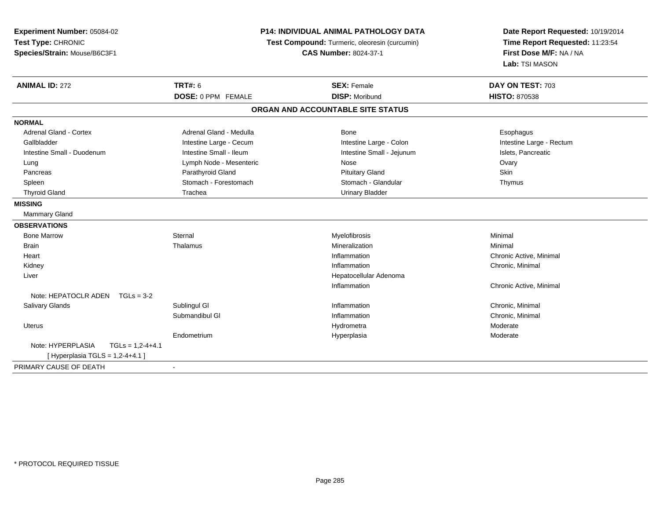| <b>P14: INDIVIDUAL ANIMAL PATHOLOGY DATA</b><br>Experiment Number: 05084-02 |                           | Date Report Requested: 10/19/2014             |                                                            |
|-----------------------------------------------------------------------------|---------------------------|-----------------------------------------------|------------------------------------------------------------|
| Test Type: CHRONIC                                                          |                           | Test Compound: Turmeric, oleoresin (curcumin) | Time Report Requested: 11:23:54<br>First Dose M/F: NA / NA |
| Species/Strain: Mouse/B6C3F1                                                |                           | <b>CAS Number: 8024-37-1</b>                  |                                                            |
|                                                                             |                           |                                               | Lab: TSI MASON                                             |
| <b>ANIMAL ID: 272</b>                                                       | <b>TRT#: 6</b>            | <b>SEX: Female</b>                            | DAY ON TEST: 703                                           |
|                                                                             | <b>DOSE: 0 PPM FEMALE</b> | <b>DISP: Moribund</b>                         | <b>HISTO: 870538</b>                                       |
|                                                                             |                           | ORGAN AND ACCOUNTABLE SITE STATUS             |                                                            |
| <b>NORMAL</b>                                                               |                           |                                               |                                                            |
| <b>Adrenal Gland - Cortex</b>                                               | Adrenal Gland - Medulla   | Bone                                          | Esophagus                                                  |
| Gallbladder                                                                 | Intestine Large - Cecum   | Intestine Large - Colon                       | Intestine Large - Rectum                                   |
| Intestine Small - Duodenum                                                  | Intestine Small - Ileum   | Intestine Small - Jejunum                     | Islets, Pancreatic                                         |
| Lung                                                                        | Lymph Node - Mesenteric   | Nose                                          | Ovary                                                      |
| Pancreas                                                                    | Parathyroid Gland         | <b>Pituitary Gland</b>                        | <b>Skin</b>                                                |
| Spleen                                                                      | Stomach - Forestomach     | Stomach - Glandular                           | Thymus                                                     |
| <b>Thyroid Gland</b>                                                        | Trachea                   | <b>Urinary Bladder</b>                        |                                                            |
| <b>MISSING</b>                                                              |                           |                                               |                                                            |
| Mammary Gland                                                               |                           |                                               |                                                            |
| <b>OBSERVATIONS</b>                                                         |                           |                                               |                                                            |
| <b>Bone Marrow</b>                                                          | Sternal                   | Myelofibrosis                                 | Minimal                                                    |
| <b>Brain</b>                                                                | Thalamus                  | Mineralization                                | Minimal                                                    |
| Heart                                                                       |                           | Inflammation                                  | Chronic Active, Minimal                                    |
| Kidney                                                                      |                           | Inflammation                                  | Chronic, Minimal                                           |
| Liver                                                                       |                           | Hepatocellular Adenoma                        |                                                            |
|                                                                             |                           | Inflammation                                  | Chronic Active, Minimal                                    |
| Note: HEPATOCLR ADEN<br>$TGLs = 3-2$                                        |                           |                                               |                                                            |
| Salivary Glands                                                             | Sublingul GI              | Inflammation                                  | Chronic, Minimal                                           |
|                                                                             | Submandibul GI            | Inflammation                                  | Chronic, Minimal                                           |
| Uterus                                                                      |                           | Hydrometra                                    | Moderate                                                   |
|                                                                             | Endometrium               | Hyperplasia                                   | Moderate                                                   |
| Note: HYPERPLASIA<br>$TGLS = 1,2-4+4.1$                                     |                           |                                               |                                                            |
| [ Hyperplasia TGLS = $1,2-4+4.1$ ]                                          |                           |                                               |                                                            |
| PRIMARY CAUSE OF DEATH                                                      |                           |                                               |                                                            |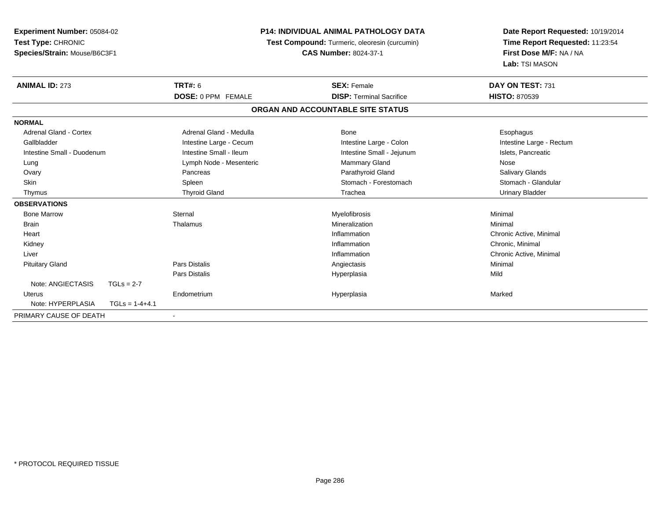| Experiment Number: 05084-02<br>Test Type: CHRONIC |                  | <b>P14: INDIVIDUAL ANIMAL PATHOLOGY DATA</b> | Date Report Requested: 10/19/2014             |                                 |
|---------------------------------------------------|------------------|----------------------------------------------|-----------------------------------------------|---------------------------------|
|                                                   |                  |                                              | Test Compound: Turmeric, oleoresin (curcumin) | Time Report Requested: 11:23:54 |
| Species/Strain: Mouse/B6C3F1                      |                  |                                              | <b>CAS Number: 8024-37-1</b>                  | First Dose M/F: NA / NA         |
|                                                   |                  |                                              |                                               | Lab: TSI MASON                  |
| <b>ANIMAL ID: 273</b>                             |                  | <b>TRT#: 6</b>                               | <b>SEX: Female</b>                            | DAY ON TEST: 731                |
|                                                   |                  | DOSE: 0 PPM FEMALE                           | <b>DISP: Terminal Sacrifice</b>               | <b>HISTO: 870539</b>            |
|                                                   |                  |                                              | ORGAN AND ACCOUNTABLE SITE STATUS             |                                 |
| <b>NORMAL</b>                                     |                  |                                              |                                               |                                 |
| Adrenal Gland - Cortex                            |                  | Adrenal Gland - Medulla                      | Bone                                          | Esophagus                       |
| Gallbladder                                       |                  | Intestine Large - Cecum                      | Intestine Large - Colon                       | Intestine Large - Rectum        |
| Intestine Small - Duodenum                        |                  | Intestine Small - Ileum                      | Intestine Small - Jejunum                     | Islets, Pancreatic              |
| Lung                                              |                  | Lymph Node - Mesenteric                      | <b>Mammary Gland</b>                          | Nose                            |
| Ovary                                             |                  | Pancreas                                     | Parathyroid Gland                             | Salivary Glands                 |
| Skin                                              |                  | Spleen                                       | Stomach - Forestomach                         | Stomach - Glandular             |
| Thymus                                            |                  | <b>Thyroid Gland</b>                         | Trachea                                       | <b>Urinary Bladder</b>          |
| <b>OBSERVATIONS</b>                               |                  |                                              |                                               |                                 |
| <b>Bone Marrow</b>                                |                  | Sternal                                      | Myelofibrosis                                 | Minimal                         |
| <b>Brain</b>                                      |                  | Thalamus                                     | Mineralization                                | Minimal                         |
| Heart                                             |                  |                                              | Inflammation                                  | Chronic Active, Minimal         |
| Kidney                                            |                  |                                              | Inflammation                                  | Chronic, Minimal                |
| Liver                                             |                  |                                              | Inflammation                                  | Chronic Active, Minimal         |
| <b>Pituitary Gland</b>                            |                  | <b>Pars Distalis</b>                         | Angiectasis                                   | Minimal                         |
|                                                   |                  | Pars Distalis                                | Hyperplasia                                   | Mild                            |
| Note: ANGIECTASIS                                 | $TGLs = 2-7$     |                                              |                                               |                                 |
| Uterus                                            |                  | Endometrium                                  | Hyperplasia                                   | Marked                          |
| Note: HYPERPLASIA                                 | $TGLs = 1-4+4.1$ |                                              |                                               |                                 |
| PRIMARY CAUSE OF DEATH                            |                  |                                              |                                               |                                 |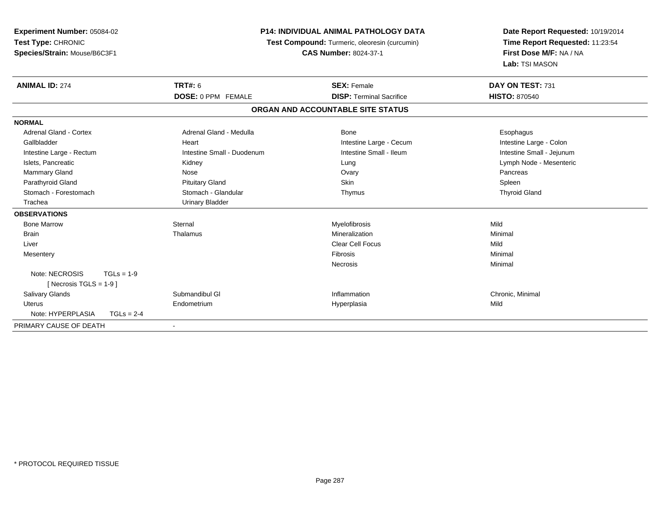| Experiment Number: 05084-02<br>Test Type: CHRONIC<br>Species/Strain: Mouse/B6C3F1 |              |                            | <b>P14: INDIVIDUAL ANIMAL PATHOLOGY DATA</b><br>Test Compound: Turmeric, oleoresin (curcumin) | Date Report Requested: 10/19/2014<br>Time Report Requested: 11:23:54 |
|-----------------------------------------------------------------------------------|--------------|----------------------------|-----------------------------------------------------------------------------------------------|----------------------------------------------------------------------|
|                                                                                   |              |                            | <b>CAS Number: 8024-37-1</b>                                                                  | First Dose M/F: NA / NA<br>Lab: TSI MASON                            |
| <b>ANIMAL ID: 274</b>                                                             |              | <b>TRT#: 6</b>             | <b>SEX: Female</b>                                                                            | DAY ON TEST: 731                                                     |
|                                                                                   |              | DOSE: 0 PPM FEMALE         | <b>DISP: Terminal Sacrifice</b>                                                               | <b>HISTO: 870540</b>                                                 |
|                                                                                   |              |                            | ORGAN AND ACCOUNTABLE SITE STATUS                                                             |                                                                      |
| <b>NORMAL</b>                                                                     |              |                            |                                                                                               |                                                                      |
| <b>Adrenal Gland - Cortex</b>                                                     |              | Adrenal Gland - Medulla    | <b>Bone</b>                                                                                   | Esophagus                                                            |
| Gallbladder                                                                       |              | Heart                      | Intestine Large - Cecum                                                                       | Intestine Large - Colon                                              |
| Intestine Large - Rectum                                                          |              | Intestine Small - Duodenum | Intestine Small - Ileum                                                                       | Intestine Small - Jejunum                                            |
| Islets, Pancreatic                                                                |              | Kidney                     | Lung                                                                                          | Lymph Node - Mesenteric                                              |
| Mammary Gland                                                                     |              | Nose                       | Ovary                                                                                         | Pancreas                                                             |
| Parathyroid Gland                                                                 |              | <b>Pituitary Gland</b>     | Skin                                                                                          | Spleen                                                               |
| Stomach - Forestomach                                                             |              | Stomach - Glandular        | Thymus                                                                                        | <b>Thyroid Gland</b>                                                 |
| Trachea                                                                           |              | <b>Urinary Bladder</b>     |                                                                                               |                                                                      |
| <b>OBSERVATIONS</b>                                                               |              |                            |                                                                                               |                                                                      |
| <b>Bone Marrow</b>                                                                |              | Sternal                    | Myelofibrosis                                                                                 | Mild                                                                 |
| <b>Brain</b>                                                                      |              | Thalamus                   | Mineralization                                                                                | Minimal                                                              |
| Liver                                                                             |              |                            | <b>Clear Cell Focus</b>                                                                       | Mild                                                                 |
| Mesentery                                                                         |              |                            | Fibrosis                                                                                      | Minimal                                                              |
|                                                                                   |              |                            | Necrosis                                                                                      | Minimal                                                              |
| Note: NECROSIS                                                                    | $TGLs = 1-9$ |                            |                                                                                               |                                                                      |
| [ Necrosis TGLS = $1-9$ ]                                                         |              |                            |                                                                                               |                                                                      |
| <b>Salivary Glands</b>                                                            |              | Submandibul GI             | Inflammation                                                                                  | Chronic, Minimal                                                     |
| <b>Uterus</b>                                                                     |              | Endometrium                | Hyperplasia                                                                                   | Mild                                                                 |
| Note: HYPERPLASIA                                                                 | $TGLs = 2-4$ |                            |                                                                                               |                                                                      |
| PRIMARY CAUSE OF DEATH                                                            |              |                            |                                                                                               |                                                                      |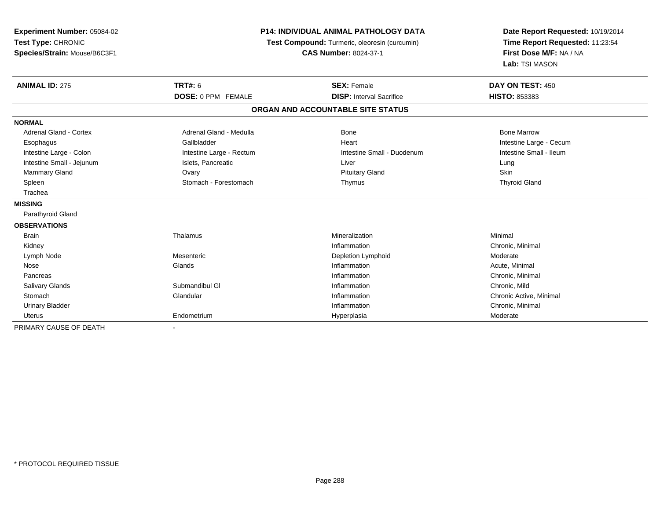| Experiment Number: 05084-02<br>Test Type: CHRONIC<br>Species/Strain: Mouse/B6C3F1 |                           | <b>P14: INDIVIDUAL ANIMAL PATHOLOGY DATA</b><br>Test Compound: Turmeric, oleoresin (curcumin)<br><b>CAS Number: 8024-37-1</b> | Date Report Requested: 10/19/2014<br>Time Report Requested: 11:23:54<br>First Dose M/F: NA / NA<br>Lab: TSI MASON |  |
|-----------------------------------------------------------------------------------|---------------------------|-------------------------------------------------------------------------------------------------------------------------------|-------------------------------------------------------------------------------------------------------------------|--|
| <b>ANIMAL ID: 275</b>                                                             | <b>TRT#: 6</b>            | <b>SEX: Female</b>                                                                                                            | DAY ON TEST: 450                                                                                                  |  |
|                                                                                   | <b>DOSE: 0 PPM FEMALE</b> | <b>DISP:</b> Interval Sacrifice                                                                                               | HISTO: 853383                                                                                                     |  |
|                                                                                   |                           | ORGAN AND ACCOUNTABLE SITE STATUS                                                                                             |                                                                                                                   |  |
| <b>NORMAL</b>                                                                     |                           |                                                                                                                               |                                                                                                                   |  |
| Adrenal Gland - Cortex                                                            | Adrenal Gland - Medulla   | <b>Bone</b>                                                                                                                   | <b>Bone Marrow</b>                                                                                                |  |
| Esophagus                                                                         | Gallbladder               | Heart                                                                                                                         | Intestine Large - Cecum                                                                                           |  |
| Intestine Large - Colon                                                           | Intestine Large - Rectum  | Intestine Small - Duodenum                                                                                                    | Intestine Small - Ileum                                                                                           |  |
| Intestine Small - Jejunum                                                         | Islets, Pancreatic        | Liver                                                                                                                         | Lung                                                                                                              |  |
| Mammary Gland                                                                     | Ovary                     | <b>Pituitary Gland</b>                                                                                                        | Skin                                                                                                              |  |
| Spleen                                                                            | Stomach - Forestomach     | Thymus                                                                                                                        | <b>Thyroid Gland</b>                                                                                              |  |
| Trachea                                                                           |                           |                                                                                                                               |                                                                                                                   |  |
| <b>MISSING</b>                                                                    |                           |                                                                                                                               |                                                                                                                   |  |
| Parathyroid Gland                                                                 |                           |                                                                                                                               |                                                                                                                   |  |
| <b>OBSERVATIONS</b>                                                               |                           |                                                                                                                               |                                                                                                                   |  |
| <b>Brain</b>                                                                      | Thalamus                  | Mineralization                                                                                                                | Minimal                                                                                                           |  |
| Kidney                                                                            |                           | Inflammation                                                                                                                  | Chronic, Minimal                                                                                                  |  |
| Lymph Node                                                                        | Mesenteric                | Depletion Lymphoid                                                                                                            | Moderate                                                                                                          |  |
| Nose                                                                              | Glands                    | Inflammation                                                                                                                  | Acute, Minimal                                                                                                    |  |
| Pancreas                                                                          |                           | Inflammation                                                                                                                  | Chronic, Minimal                                                                                                  |  |
| <b>Salivary Glands</b>                                                            | Submandibul GI            | Inflammation                                                                                                                  | Chronic, Mild                                                                                                     |  |
| Stomach                                                                           | Glandular                 | Inflammation                                                                                                                  | Chronic Active, Minimal                                                                                           |  |
| <b>Urinary Bladder</b>                                                            |                           | Inflammation                                                                                                                  | Chronic, Minimal                                                                                                  |  |
| <b>Uterus</b>                                                                     | Endometrium               | Hyperplasia                                                                                                                   | Moderate                                                                                                          |  |
| PRIMARY CAUSE OF DEATH                                                            |                           |                                                                                                                               |                                                                                                                   |  |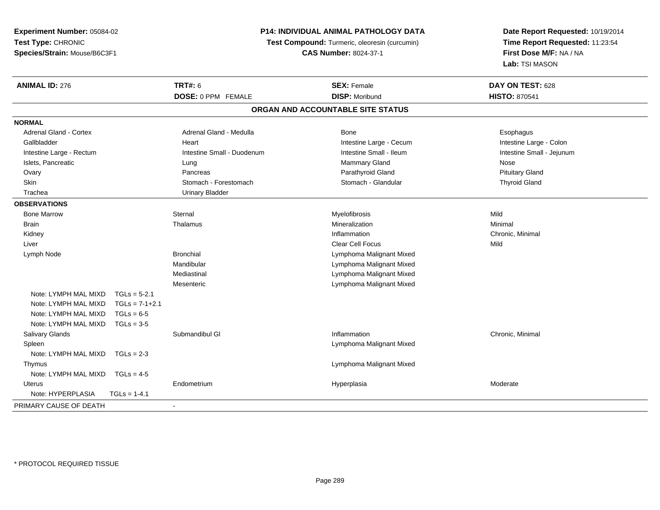**Experiment Number:** 05084-02**Test Type:** CHRONIC**Species/Strain:** Mouse/B6C3F1

## **P14: INDIVIDUAL ANIMAL PATHOLOGY DATA**

**Test Compound:** Turmeric, oleoresin (curcumin)

**CAS Number:** 8024-37-1

**Date Report Requested:** 10/19/2014**Time Report Requested:** 11:23:54**First Dose M/F:** NA / NA**Lab:** TSI MASON

| <b>ANIMAL ID: 276</b>    |                  | <b>TRT#: 6</b>             | <b>SEX: Female</b>                                         | DAY ON TEST: 628          |
|--------------------------|------------------|----------------------------|------------------------------------------------------------|---------------------------|
|                          |                  | DOSE: 0 PPM FEMALE         | <b>DISP: Moribund</b><br>ORGAN AND ACCOUNTABLE SITE STATUS | <b>HISTO: 870541</b>      |
|                          |                  |                            |                                                            |                           |
| <b>NORMAL</b>            |                  |                            |                                                            |                           |
| Adrenal Gland - Cortex   |                  | Adrenal Gland - Medulla    | Bone                                                       | Esophagus                 |
| Gallbladder              |                  | Heart                      | Intestine Large - Cecum                                    | Intestine Large - Colon   |
| Intestine Large - Rectum |                  | Intestine Small - Duodenum | Intestine Small - Ileum                                    | Intestine Small - Jejunum |
| Islets, Pancreatic       |                  | Lung                       | Mammary Gland                                              | Nose                      |
| Ovary                    |                  | Pancreas                   | Parathyroid Gland                                          | <b>Pituitary Gland</b>    |
| Skin                     |                  | Stomach - Forestomach      | Stomach - Glandular                                        | <b>Thyroid Gland</b>      |
| Trachea                  |                  | <b>Urinary Bladder</b>     |                                                            |                           |
| <b>OBSERVATIONS</b>      |                  |                            |                                                            |                           |
| <b>Bone Marrow</b>       |                  | Sternal                    | Myelofibrosis                                              | Mild                      |
| <b>Brain</b>             |                  | Thalamus                   | Mineralization                                             | Minimal                   |
| Kidney                   |                  |                            | Inflammation                                               | Chronic, Minimal          |
| Liver                    |                  |                            | <b>Clear Cell Focus</b>                                    | Mild                      |
| Lymph Node               |                  | <b>Bronchial</b>           | Lymphoma Malignant Mixed                                   |                           |
|                          |                  | Mandibular                 | Lymphoma Malignant Mixed                                   |                           |
|                          |                  | Mediastinal                | Lymphoma Malignant Mixed                                   |                           |
|                          |                  | Mesenteric                 | Lymphoma Malignant Mixed                                   |                           |
| Note: LYMPH MAL MIXD     | $TGLs = 5-2.1$   |                            |                                                            |                           |
| Note: LYMPH MAL MIXD     | $TGLs = 7-1+2.1$ |                            |                                                            |                           |
| Note: LYMPH MAL MIXD     | $TGLs = 6-5$     |                            |                                                            |                           |
| Note: LYMPH MAL MIXD     | $TGLs = 3-5$     |                            |                                                            |                           |
| Salivary Glands          |                  | Submandibul GI             | Inflammation                                               | Chronic, Minimal          |
| Spleen                   |                  |                            | Lymphoma Malignant Mixed                                   |                           |
| Note: LYMPH MAL MIXD     | $TGLs = 2-3$     |                            |                                                            |                           |
| Thymus                   |                  |                            | Lymphoma Malignant Mixed                                   |                           |
| Note: LYMPH MAL MIXD     | $TGLs = 4-5$     |                            |                                                            |                           |
| Uterus                   |                  | Endometrium                | Hyperplasia                                                | Moderate                  |
| Note: HYPERPLASIA        | $TGLs = 1-4.1$   |                            |                                                            |                           |
| PRIMARY CAUSE OF DEATH   |                  |                            |                                                            |                           |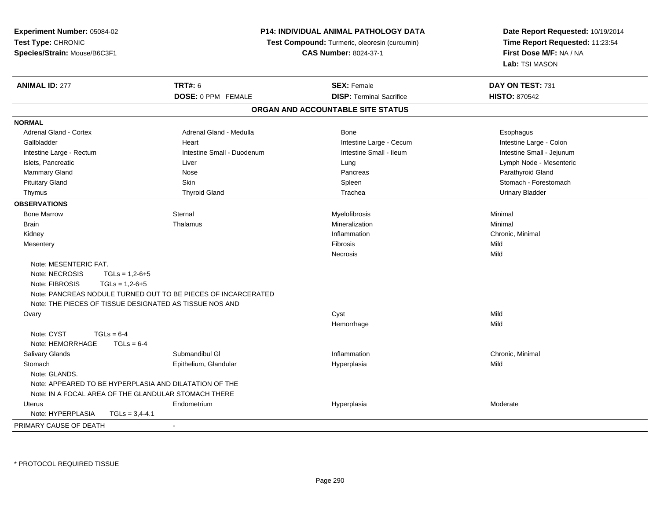| Experiment Number: 05084-02        |                                                               | <b>P14: INDIVIDUAL ANIMAL PATHOLOGY DATA</b>  | Date Report Requested: 10/19/2014 |  |
|------------------------------------|---------------------------------------------------------------|-----------------------------------------------|-----------------------------------|--|
| Test Type: CHRONIC                 |                                                               | Test Compound: Turmeric, oleoresin (curcumin) | Time Report Requested: 11:23:54   |  |
| Species/Strain: Mouse/B6C3F1       |                                                               | <b>CAS Number: 8024-37-1</b>                  | First Dose M/F: NA / NA           |  |
|                                    |                                                               |                                               | Lab: TSI MASON                    |  |
| <b>ANIMAL ID: 277</b>              | <b>TRT#: 6</b>                                                | <b>SEX: Female</b>                            | DAY ON TEST: 731                  |  |
|                                    | DOSE: 0 PPM FEMALE                                            | <b>DISP: Terminal Sacrifice</b>               | <b>HISTO: 870542</b>              |  |
|                                    |                                                               | ORGAN AND ACCOUNTABLE SITE STATUS             |                                   |  |
| <b>NORMAL</b>                      |                                                               |                                               |                                   |  |
| <b>Adrenal Gland - Cortex</b>      | Adrenal Gland - Medulla                                       | Bone                                          | Esophagus                         |  |
| Gallbladder                        | Heart                                                         | Intestine Large - Cecum                       | Intestine Large - Colon           |  |
| Intestine Large - Rectum           | Intestine Small - Duodenum                                    | Intestine Small - Ileum                       | Intestine Small - Jejunum         |  |
| Islets, Pancreatic                 | Liver                                                         | Lung                                          | Lymph Node - Mesenteric           |  |
| Mammary Gland                      | Nose                                                          | Pancreas                                      | Parathyroid Gland                 |  |
| <b>Pituitary Gland</b>             | Skin                                                          | Spleen                                        | Stomach - Forestomach             |  |
| Thymus                             | <b>Thyroid Gland</b>                                          | Trachea                                       | <b>Urinary Bladder</b>            |  |
| <b>OBSERVATIONS</b>                |                                                               |                                               |                                   |  |
| <b>Bone Marrow</b>                 | Sternal                                                       | Myelofibrosis                                 | Minimal                           |  |
| Brain                              | Thalamus                                                      | Mineralization                                | Minimal                           |  |
| Kidney                             |                                                               | Inflammation                                  | Chronic, Minimal                  |  |
| Mesentery                          |                                                               | Fibrosis                                      | Mild                              |  |
|                                    |                                                               | Necrosis                                      | Mild                              |  |
| Note: MESENTERIC FAT.              |                                                               |                                               |                                   |  |
| Note: NECROSIS<br>$TGLs = 1,2-6+5$ |                                                               |                                               |                                   |  |
| Note: FIBROSIS<br>$TGLs = 1,2-6+5$ |                                                               |                                               |                                   |  |
|                                    | Note: PANCREAS NODULE TURNED OUT TO BE PIECES OF INCARCERATED |                                               |                                   |  |
|                                    | Note: THE PIECES OF TISSUE DESIGNATED AS TISSUE NOS AND       |                                               |                                   |  |
| Ovary                              |                                                               | Cyst                                          | Mild                              |  |
|                                    |                                                               | Hemorrhage                                    | Mild                              |  |
| Note: CYST<br>$TGLs = 6-4$         |                                                               |                                               |                                   |  |
| Note: HEMORRHAGE                   | $TGLs = 6-4$                                                  |                                               |                                   |  |
| Salivary Glands                    | Submandibul GI                                                | Inflammation                                  | Chronic, Minimal                  |  |
| Stomach                            | Epithelium, Glandular                                         | Hyperplasia                                   | Mild                              |  |
| Note: GLANDS.                      |                                                               |                                               |                                   |  |
|                                    | Note: APPEARED TO BE HYPERPLASIA AND DILATATION OF THE        |                                               |                                   |  |
|                                    | Note: IN A FOCAL AREA OF THE GLANDULAR STOMACH THERE          |                                               |                                   |  |
| Uterus                             | Endometrium                                                   | Hyperplasia                                   | Moderate                          |  |
| Note: HYPERPLASIA                  | $TGLs = 3,4-4.1$                                              |                                               |                                   |  |
| PRIMARY CAUSE OF DEATH             |                                                               |                                               |                                   |  |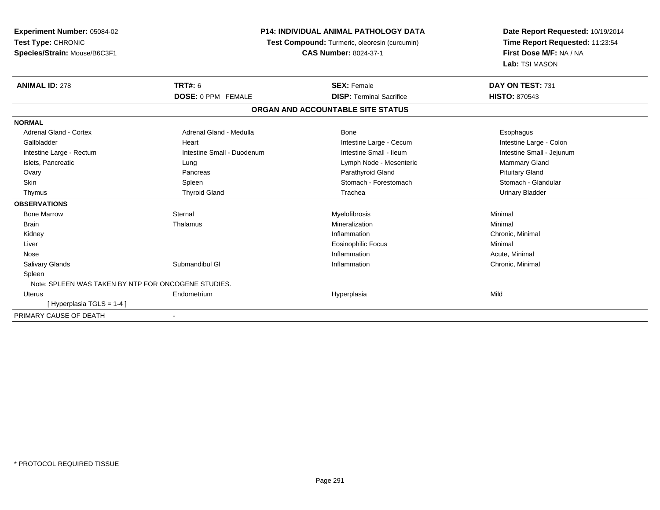| Experiment Number: 05084-02                         |                                               | <b>P14: INDIVIDUAL ANIMAL PATHOLOGY DATA</b> | Date Report Requested: 10/19/2014 |  |
|-----------------------------------------------------|-----------------------------------------------|----------------------------------------------|-----------------------------------|--|
| Test Type: CHRONIC                                  | Test Compound: Turmeric, oleoresin (curcumin) | Time Report Requested: 11:23:54              |                                   |  |
| Species/Strain: Mouse/B6C3F1                        |                                               | <b>CAS Number: 8024-37-1</b>                 | First Dose M/F: NA / NA           |  |
|                                                     |                                               |                                              | Lab: TSI MASON                    |  |
| <b>ANIMAL ID: 278</b>                               | <b>TRT#: 6</b>                                | <b>SEX: Female</b>                           | DAY ON TEST: 731                  |  |
|                                                     | <b>DOSE: 0 PPM FEMALE</b>                     | <b>DISP: Terminal Sacrifice</b>              | <b>HISTO: 870543</b>              |  |
|                                                     |                                               | ORGAN AND ACCOUNTABLE SITE STATUS            |                                   |  |
| <b>NORMAL</b>                                       |                                               |                                              |                                   |  |
| <b>Adrenal Gland - Cortex</b>                       | Adrenal Gland - Medulla                       | Bone                                         | Esophagus                         |  |
| Gallbladder                                         | Heart                                         | Intestine Large - Cecum                      | Intestine Large - Colon           |  |
| Intestine Large - Rectum                            | Intestine Small - Duodenum                    | Intestine Small - Ileum                      | Intestine Small - Jejunum         |  |
| Islets, Pancreatic                                  | Lung                                          | Lymph Node - Mesenteric                      | Mammary Gland                     |  |
| Ovary                                               | Pancreas                                      | Parathyroid Gland                            | <b>Pituitary Gland</b>            |  |
| <b>Skin</b>                                         | Spleen                                        | Stomach - Forestomach                        | Stomach - Glandular               |  |
| Thymus                                              | <b>Thyroid Gland</b>                          | Trachea                                      | <b>Urinary Bladder</b>            |  |
| <b>OBSERVATIONS</b>                                 |                                               |                                              |                                   |  |
| <b>Bone Marrow</b>                                  | Sternal                                       | Myelofibrosis                                | Minimal                           |  |
| <b>Brain</b>                                        | Thalamus                                      | Mineralization                               | Minimal                           |  |
| Kidney                                              |                                               | Inflammation                                 | Chronic, Minimal                  |  |
| Liver                                               |                                               | <b>Eosinophilic Focus</b>                    | Minimal                           |  |
| Nose                                                |                                               | Inflammation                                 | Acute, Minimal                    |  |
| Salivary Glands                                     | Submandibul GI                                | Inflammation                                 | Chronic, Minimal                  |  |
| Spleen                                              |                                               |                                              |                                   |  |
| Note: SPLEEN WAS TAKEN BY NTP FOR ONCOGENE STUDIES. |                                               |                                              |                                   |  |
| <b>Uterus</b>                                       | Endometrium                                   | Hyperplasia                                  | Mild                              |  |
| [Hyperplasia TGLS = 1-4]                            |                                               |                                              |                                   |  |
| PRIMARY CAUSE OF DEATH                              |                                               |                                              |                                   |  |

-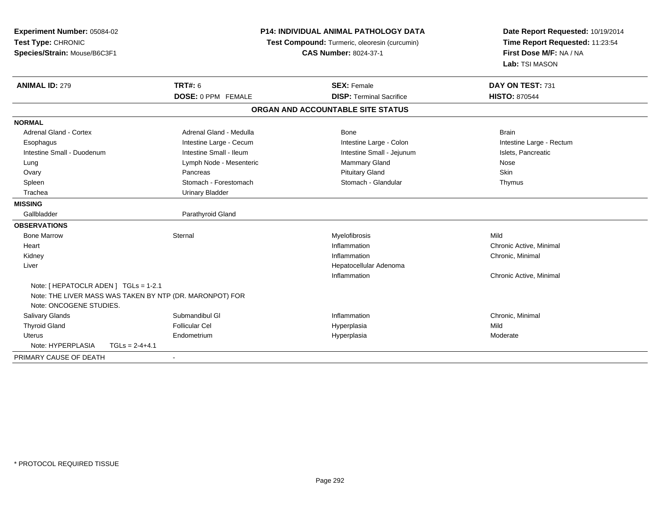| Experiment Number: 05084-02<br>Test Type: CHRONIC<br>Species/Strain: Mouse/B6C3F1 |                         | <b>P14: INDIVIDUAL ANIMAL PATHOLOGY DATA</b><br>Test Compound: Turmeric, oleoresin (curcumin)<br><b>CAS Number: 8024-37-1</b> | Date Report Requested: 10/19/2014<br>Time Report Requested: 11:23:54<br>First Dose M/F: NA / NA<br>Lab: TSI MASON |  |
|-----------------------------------------------------------------------------------|-------------------------|-------------------------------------------------------------------------------------------------------------------------------|-------------------------------------------------------------------------------------------------------------------|--|
| <b>ANIMAL ID: 279</b>                                                             | <b>TRT#: 6</b>          | <b>SEX: Female</b>                                                                                                            | DAY ON TEST: 731                                                                                                  |  |
|                                                                                   | DOSE: 0 PPM FEMALE      | <b>DISP: Terminal Sacrifice</b>                                                                                               | <b>HISTO: 870544</b>                                                                                              |  |
|                                                                                   |                         | ORGAN AND ACCOUNTABLE SITE STATUS                                                                                             |                                                                                                                   |  |
| <b>NORMAL</b>                                                                     |                         |                                                                                                                               |                                                                                                                   |  |
| <b>Adrenal Gland - Cortex</b>                                                     | Adrenal Gland - Medulla | Bone                                                                                                                          | <b>Brain</b>                                                                                                      |  |
| Esophagus                                                                         | Intestine Large - Cecum | Intestine Large - Colon                                                                                                       | Intestine Large - Rectum                                                                                          |  |
| Intestine Small - Duodenum                                                        | Intestine Small - Ileum | Intestine Small - Jejunum                                                                                                     | Islets, Pancreatic                                                                                                |  |
| Lung                                                                              | Lymph Node - Mesenteric | Mammary Gland                                                                                                                 | Nose                                                                                                              |  |
| Ovary                                                                             | Pancreas                | <b>Pituitary Gland</b>                                                                                                        | Skin                                                                                                              |  |
| Spleen                                                                            | Stomach - Forestomach   | Stomach - Glandular                                                                                                           | Thymus                                                                                                            |  |
| Trachea                                                                           | <b>Urinary Bladder</b>  |                                                                                                                               |                                                                                                                   |  |
| <b>MISSING</b>                                                                    |                         |                                                                                                                               |                                                                                                                   |  |
| Gallbladder                                                                       | Parathyroid Gland       |                                                                                                                               |                                                                                                                   |  |
| <b>OBSERVATIONS</b>                                                               |                         |                                                                                                                               |                                                                                                                   |  |
| <b>Bone Marrow</b>                                                                | Sternal                 | Myelofibrosis                                                                                                                 | Mild                                                                                                              |  |
| Heart                                                                             |                         | Inflammation                                                                                                                  | Chronic Active, Minimal                                                                                           |  |
| Kidney                                                                            |                         | Inflammation                                                                                                                  | Chronic, Minimal                                                                                                  |  |
| Liver                                                                             |                         | Hepatocellular Adenoma                                                                                                        |                                                                                                                   |  |
|                                                                                   |                         | Inflammation                                                                                                                  | Chronic Active, Minimal                                                                                           |  |
| Note: [ HEPATOCLR ADEN ] TGLs = 1-2.1                                             |                         |                                                                                                                               |                                                                                                                   |  |
| Note: THE LIVER MASS WAS TAKEN BY NTP (DR. MARONPOT) FOR                          |                         |                                                                                                                               |                                                                                                                   |  |
| Note: ONCOGENE STUDIES.                                                           |                         |                                                                                                                               |                                                                                                                   |  |
| Salivary Glands                                                                   | Submandibul GI          | Inflammation                                                                                                                  | Chronic, Minimal                                                                                                  |  |
| <b>Thyroid Gland</b>                                                              | <b>Follicular Cel</b>   | Hyperplasia                                                                                                                   | Mild                                                                                                              |  |
| <b>Uterus</b>                                                                     | Endometrium             | Hyperplasia                                                                                                                   | Moderate                                                                                                          |  |
| Note: HYPERPLASIA<br>$TGLS = 2-4+4.1$                                             |                         |                                                                                                                               |                                                                                                                   |  |
| PRIMARY CAUSE OF DEATH                                                            |                         |                                                                                                                               |                                                                                                                   |  |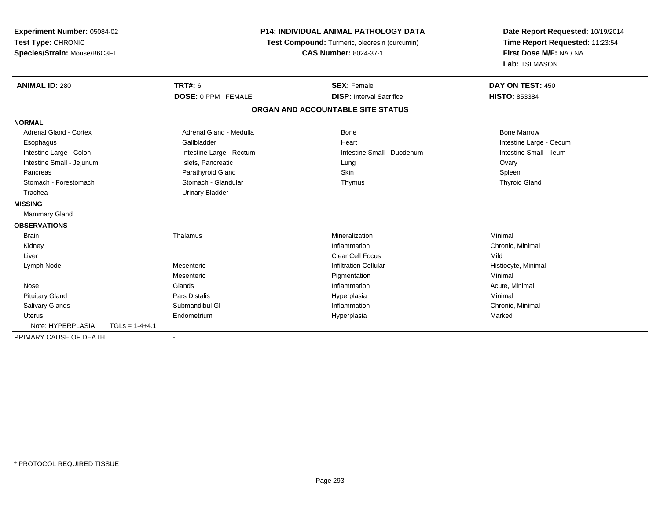| Experiment Number: 05084-02<br>Test Type: CHRONIC |                  |                                               | <b>P14: INDIVIDUAL ANIMAL PATHOLOGY DATA</b> | Date Report Requested: 10/19/2014 |  |
|---------------------------------------------------|------------------|-----------------------------------------------|----------------------------------------------|-----------------------------------|--|
|                                                   |                  | Test Compound: Turmeric, oleoresin (curcumin) |                                              | Time Report Requested: 11:23:54   |  |
| Species/Strain: Mouse/B6C3F1                      |                  |                                               | <b>CAS Number: 8024-37-1</b>                 | First Dose M/F: NA / NA           |  |
|                                                   |                  |                                               |                                              | Lab: TSI MASON                    |  |
| <b>ANIMAL ID: 280</b>                             |                  | <b>TRT#: 6</b>                                | <b>SEX: Female</b>                           | DAY ON TEST: 450                  |  |
|                                                   |                  | DOSE: 0 PPM FEMALE                            | <b>DISP:</b> Interval Sacrifice              | <b>HISTO: 853384</b>              |  |
|                                                   |                  |                                               | ORGAN AND ACCOUNTABLE SITE STATUS            |                                   |  |
| <b>NORMAL</b>                                     |                  |                                               |                                              |                                   |  |
| <b>Adrenal Gland - Cortex</b>                     |                  | Adrenal Gland - Medulla                       | Bone                                         | <b>Bone Marrow</b>                |  |
| Esophagus                                         |                  | Gallbladder                                   | Heart                                        | Intestine Large - Cecum           |  |
| Intestine Large - Colon                           |                  | Intestine Large - Rectum                      | Intestine Small - Duodenum                   | Intestine Small - Ileum           |  |
| Intestine Small - Jejunum                         |                  | Islets, Pancreatic                            | Lung                                         | Ovary                             |  |
| Pancreas                                          |                  | Parathyroid Gland                             | Skin                                         | Spleen                            |  |
| Stomach - Forestomach                             |                  | Stomach - Glandular                           | Thymus                                       | <b>Thyroid Gland</b>              |  |
| Trachea                                           |                  | <b>Urinary Bladder</b>                        |                                              |                                   |  |
| <b>MISSING</b>                                    |                  |                                               |                                              |                                   |  |
| Mammary Gland                                     |                  |                                               |                                              |                                   |  |
| <b>OBSERVATIONS</b>                               |                  |                                               |                                              |                                   |  |
| <b>Brain</b>                                      |                  | Thalamus                                      | Mineralization                               | Minimal                           |  |
| Kidney                                            |                  |                                               | Inflammation                                 | Chronic, Minimal                  |  |
| Liver                                             |                  |                                               | <b>Clear Cell Focus</b>                      | Mild                              |  |
| Lymph Node                                        |                  | Mesenteric                                    | <b>Infiltration Cellular</b>                 | Histiocyte, Minimal               |  |
|                                                   |                  | Mesenteric                                    | Pigmentation                                 | Minimal                           |  |
| Nose                                              |                  | Glands                                        | Inflammation                                 | Acute, Minimal                    |  |
| <b>Pituitary Gland</b>                            |                  | Pars Distalis                                 | Hyperplasia                                  | Minimal                           |  |
| <b>Salivary Glands</b>                            |                  | Submandibul GI                                | Inflammation                                 | Chronic, Minimal                  |  |
| <b>Uterus</b>                                     |                  | Endometrium                                   | Hyperplasia                                  | Marked                            |  |
| Note: HYPERPLASIA                                 | $TGLs = 1-4+4.1$ |                                               |                                              |                                   |  |
| PRIMARY CAUSE OF DEATH                            |                  |                                               |                                              |                                   |  |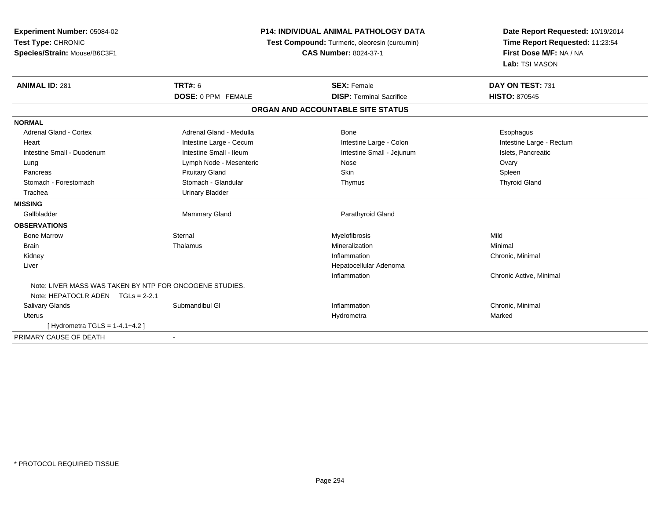| Experiment Number: 05084-02<br>Test Type: CHRONIC<br>Species/Strain: Mouse/B6C3F1            |                           | <b>P14: INDIVIDUAL ANIMAL PATHOLOGY DATA</b><br>Test Compound: Turmeric, oleoresin (curcumin)<br><b>CAS Number: 8024-37-1</b> | Date Report Requested: 10/19/2014<br>Time Report Requested: 11:23:54<br>First Dose M/F: NA / NA<br>Lab: TSI MASON |
|----------------------------------------------------------------------------------------------|---------------------------|-------------------------------------------------------------------------------------------------------------------------------|-------------------------------------------------------------------------------------------------------------------|
| <b>ANIMAL ID: 281</b>                                                                        | <b>TRT#: 6</b>            | <b>SEX: Female</b>                                                                                                            | DAY ON TEST: 731                                                                                                  |
|                                                                                              | <b>DOSE: 0 PPM FEMALE</b> | <b>DISP: Terminal Sacrifice</b>                                                                                               | <b>HISTO: 870545</b>                                                                                              |
|                                                                                              |                           | ORGAN AND ACCOUNTABLE SITE STATUS                                                                                             |                                                                                                                   |
| <b>NORMAL</b>                                                                                |                           |                                                                                                                               |                                                                                                                   |
| <b>Adrenal Gland - Cortex</b>                                                                | Adrenal Gland - Medulla   | Bone                                                                                                                          | Esophagus                                                                                                         |
| Heart                                                                                        | Intestine Large - Cecum   | Intestine Large - Colon                                                                                                       | Intestine Large - Rectum                                                                                          |
| Intestine Small - Duodenum                                                                   | Intestine Small - Ileum   | Intestine Small - Jejunum                                                                                                     | Islets, Pancreatic                                                                                                |
| Lung                                                                                         | Lymph Node - Mesenteric   | Nose                                                                                                                          | Ovary                                                                                                             |
| Pancreas                                                                                     | <b>Pituitary Gland</b>    | Skin                                                                                                                          | Spleen                                                                                                            |
| Stomach - Forestomach                                                                        | Stomach - Glandular       | Thymus                                                                                                                        | <b>Thyroid Gland</b>                                                                                              |
| Trachea                                                                                      | <b>Urinary Bladder</b>    |                                                                                                                               |                                                                                                                   |
| <b>MISSING</b>                                                                               |                           |                                                                                                                               |                                                                                                                   |
| Gallbladder                                                                                  | Mammary Gland             | Parathyroid Gland                                                                                                             |                                                                                                                   |
| <b>OBSERVATIONS</b>                                                                          |                           |                                                                                                                               |                                                                                                                   |
| <b>Bone Marrow</b>                                                                           | Sternal                   | Myelofibrosis                                                                                                                 | Mild                                                                                                              |
| <b>Brain</b>                                                                                 | Thalamus                  | Mineralization                                                                                                                | Minimal                                                                                                           |
| Kidney                                                                                       |                           | Inflammation                                                                                                                  | Chronic, Minimal                                                                                                  |
| Liver                                                                                        |                           | Hepatocellular Adenoma                                                                                                        |                                                                                                                   |
|                                                                                              |                           | Inflammation                                                                                                                  | Chronic Active, Minimal                                                                                           |
| Note: LIVER MASS WAS TAKEN BY NTP FOR ONCOGENE STUDIES.<br>Note: HEPATOCLR ADEN TGLs = 2-2.1 |                           |                                                                                                                               |                                                                                                                   |
| <b>Salivary Glands</b>                                                                       | Submandibul GI            | Inflammation                                                                                                                  | Chronic, Minimal                                                                                                  |
| Uterus                                                                                       |                           | Hydrometra                                                                                                                    | Marked                                                                                                            |
| [Hydrometra TGLS = $1-4.1+4.2$ ]                                                             |                           |                                                                                                                               |                                                                                                                   |
| PRIMARY CAUSE OF DEATH                                                                       |                           |                                                                                                                               |                                                                                                                   |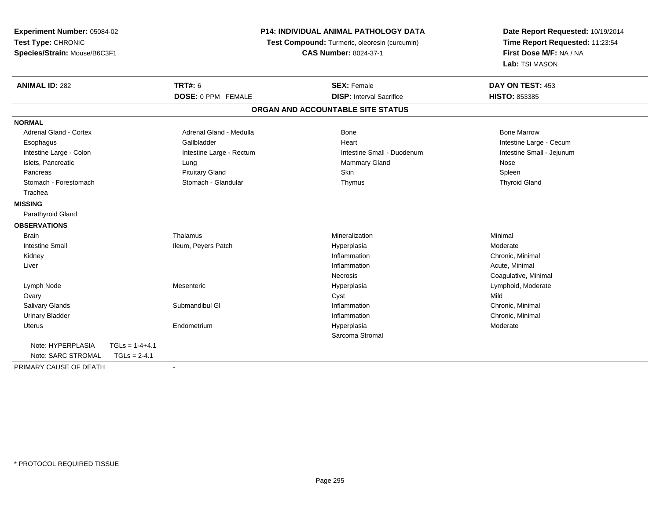| <b>Experiment Number: 05084-02</b>    |                          | <b>P14: INDIVIDUAL ANIMAL PATHOLOGY DATA</b>  | Date Report Requested: 10/19/2014 |  |
|---------------------------------------|--------------------------|-----------------------------------------------|-----------------------------------|--|
| Test Type: CHRONIC                    |                          | Test Compound: Turmeric, oleoresin (curcumin) | Time Report Requested: 11:23:54   |  |
| Species/Strain: Mouse/B6C3F1          |                          | <b>CAS Number: 8024-37-1</b>                  | First Dose M/F: NA / NA           |  |
|                                       |                          |                                               | Lab: TSI MASON                    |  |
| <b>ANIMAL ID: 282</b>                 | <b>TRT#: 6</b>           | <b>SEX: Female</b>                            | DAY ON TEST: 453                  |  |
|                                       | DOSE: 0 PPM FEMALE       | <b>DISP: Interval Sacrifice</b>               | HISTO: 853385                     |  |
|                                       |                          | ORGAN AND ACCOUNTABLE SITE STATUS             |                                   |  |
| <b>NORMAL</b>                         |                          |                                               |                                   |  |
| <b>Adrenal Gland - Cortex</b>         | Adrenal Gland - Medulla  | <b>Bone</b>                                   | <b>Bone Marrow</b>                |  |
| Esophagus                             | Gallbladder              | Heart                                         | Intestine Large - Cecum           |  |
| Intestine Large - Colon               | Intestine Large - Rectum | Intestine Small - Duodenum                    | Intestine Small - Jejunum         |  |
| Islets, Pancreatic                    | Lung                     | <b>Mammary Gland</b>                          | Nose                              |  |
| Pancreas                              | <b>Pituitary Gland</b>   | <b>Skin</b>                                   | Spleen                            |  |
| Stomach - Forestomach                 | Stomach - Glandular      | Thymus                                        | <b>Thyroid Gland</b>              |  |
| Trachea                               |                          |                                               |                                   |  |
| <b>MISSING</b>                        |                          |                                               |                                   |  |
| Parathyroid Gland                     |                          |                                               |                                   |  |
| <b>OBSERVATIONS</b>                   |                          |                                               |                                   |  |
| <b>Brain</b>                          | Thalamus                 | Mineralization                                | Minimal                           |  |
| <b>Intestine Small</b>                | Ileum, Peyers Patch      | Hyperplasia                                   | Moderate                          |  |
| Kidney                                |                          | Inflammation                                  | Chronic, Minimal                  |  |
| Liver                                 |                          | Inflammation                                  | Acute, Minimal                    |  |
|                                       |                          | <b>Necrosis</b>                               | Coagulative, Minimal              |  |
| Lymph Node                            | Mesenteric               | Hyperplasia                                   | Lymphoid, Moderate                |  |
| Ovary                                 |                          | Cyst                                          | Mild                              |  |
| Salivary Glands                       | Submandibul GI           | Inflammation                                  | Chronic, Minimal                  |  |
| <b>Urinary Bladder</b>                |                          | Inflammation                                  | Chronic, Minimal                  |  |
| <b>Uterus</b>                         | Endometrium              | Hyperplasia                                   | Moderate                          |  |
|                                       |                          | Sarcoma Stromal                               |                                   |  |
| Note: HYPERPLASIA<br>$TGLs = 1-4+4.1$ |                          |                                               |                                   |  |
| Note: SARC STROMAL<br>$TGLs = 2-4.1$  |                          |                                               |                                   |  |
| PRIMARY CAUSE OF DEATH                | $\blacksquare$           |                                               |                                   |  |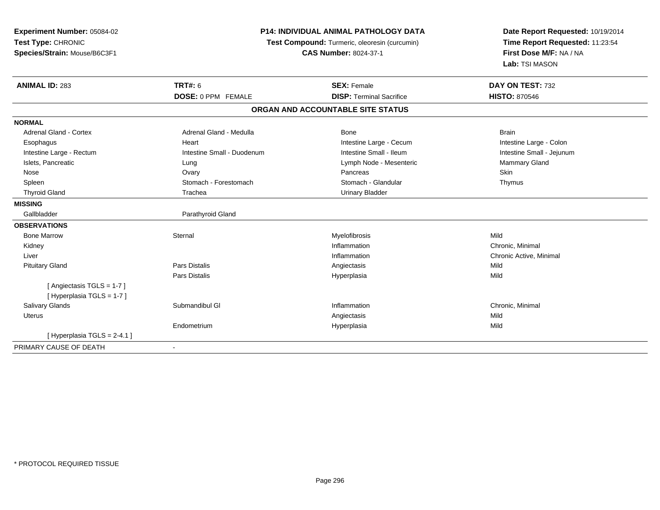| Experiment Number: 05084-02<br>Test Type: CHRONIC<br>Species/Strain: Mouse/B6C3F1 |                            | <b>P14: INDIVIDUAL ANIMAL PATHOLOGY DATA</b><br>Test Compound: Turmeric, oleoresin (curcumin)<br><b>CAS Number: 8024-37-1</b> | Date Report Requested: 10/19/2014<br>Time Report Requested: 11:23:54<br>First Dose M/F: NA / NA<br>Lab: TSI MASON |
|-----------------------------------------------------------------------------------|----------------------------|-------------------------------------------------------------------------------------------------------------------------------|-------------------------------------------------------------------------------------------------------------------|
| <b>ANIMAL ID: 283</b>                                                             | <b>TRT#: 6</b>             | <b>SEX: Female</b>                                                                                                            | DAY ON TEST: 732                                                                                                  |
|                                                                                   | <b>DOSE: 0 PPM FEMALE</b>  | <b>DISP: Terminal Sacrifice</b>                                                                                               | <b>HISTO: 870546</b>                                                                                              |
|                                                                                   |                            | ORGAN AND ACCOUNTABLE SITE STATUS                                                                                             |                                                                                                                   |
| <b>NORMAL</b>                                                                     |                            |                                                                                                                               |                                                                                                                   |
| <b>Adrenal Gland - Cortex</b>                                                     | Adrenal Gland - Medulla    | Bone                                                                                                                          | <b>Brain</b>                                                                                                      |
| Esophagus                                                                         | Heart                      | Intestine Large - Cecum                                                                                                       | Intestine Large - Colon                                                                                           |
| Intestine Large - Rectum                                                          | Intestine Small - Duodenum | Intestine Small - Ileum                                                                                                       | Intestine Small - Jejunum                                                                                         |
| Islets, Pancreatic                                                                | Lung                       | Lymph Node - Mesenteric                                                                                                       | Mammary Gland                                                                                                     |
| Nose                                                                              | Ovary                      | Pancreas                                                                                                                      | <b>Skin</b>                                                                                                       |
| Spleen                                                                            | Stomach - Forestomach      | Stomach - Glandular                                                                                                           | Thymus                                                                                                            |
| <b>Thyroid Gland</b>                                                              | Trachea                    | <b>Urinary Bladder</b>                                                                                                        |                                                                                                                   |
| <b>MISSING</b>                                                                    |                            |                                                                                                                               |                                                                                                                   |
| Gallbladder                                                                       | Parathyroid Gland          |                                                                                                                               |                                                                                                                   |
| <b>OBSERVATIONS</b>                                                               |                            |                                                                                                                               |                                                                                                                   |
| <b>Bone Marrow</b>                                                                | Sternal                    | Myelofibrosis                                                                                                                 | Mild                                                                                                              |
| Kidney                                                                            |                            | Inflammation                                                                                                                  | Chronic, Minimal                                                                                                  |
| Liver                                                                             |                            | Inflammation                                                                                                                  | Chronic Active, Minimal                                                                                           |
| <b>Pituitary Gland</b>                                                            | <b>Pars Distalis</b>       | Angiectasis                                                                                                                   | Mild                                                                                                              |
|                                                                                   | Pars Distalis              | Hyperplasia                                                                                                                   | Mild                                                                                                              |
| [Angiectasis TGLS = 1-7]<br>[ Hyperplasia TGLS = 1-7 ]                            |                            |                                                                                                                               |                                                                                                                   |
| Salivary Glands                                                                   | Submandibul GI             | Inflammation                                                                                                                  | Chronic, Minimal                                                                                                  |
| <b>Uterus</b>                                                                     |                            | Angiectasis                                                                                                                   | Mild                                                                                                              |
|                                                                                   | Endometrium                | Hyperplasia                                                                                                                   | Mild                                                                                                              |
| [Hyperplasia TGLS = $2-4.1$ ]                                                     |                            |                                                                                                                               |                                                                                                                   |
| PRIMARY CAUSE OF DEATH                                                            |                            |                                                                                                                               |                                                                                                                   |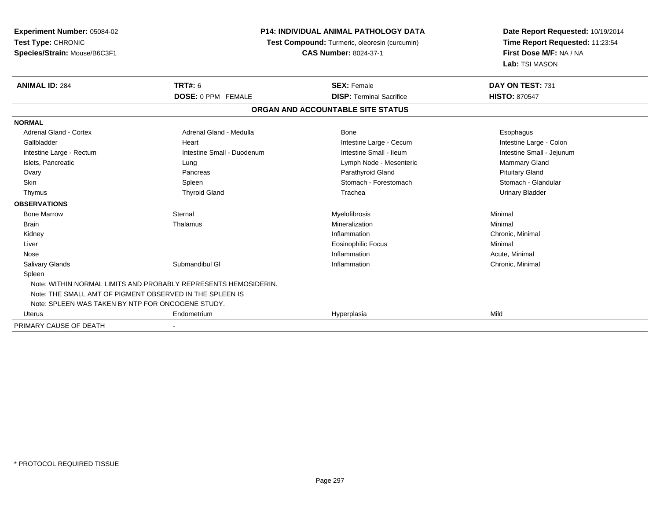| Experiment Number: 05084-02<br>Test Type: CHRONIC        |                                                                 | <b>P14: INDIVIDUAL ANIMAL PATHOLOGY DATA</b><br>Test Compound: Turmeric, oleoresin (curcumin) | Date Report Requested: 10/19/2014<br>Time Report Requested: 11:23:54 |
|----------------------------------------------------------|-----------------------------------------------------------------|-----------------------------------------------------------------------------------------------|----------------------------------------------------------------------|
| Species/Strain: Mouse/B6C3F1                             |                                                                 | <b>CAS Number: 8024-37-1</b>                                                                  |                                                                      |
| <b>ANIMAL ID: 284</b>                                    | <b>TRT#: 6</b>                                                  | <b>SEX: Female</b>                                                                            | DAY ON TEST: 731                                                     |
|                                                          | DOSE: 0 PPM FEMALE                                              | <b>DISP: Terminal Sacrifice</b>                                                               | <b>HISTO: 870547</b>                                                 |
|                                                          |                                                                 | ORGAN AND ACCOUNTABLE SITE STATUS                                                             |                                                                      |
| <b>NORMAL</b>                                            |                                                                 |                                                                                               |                                                                      |
| <b>Adrenal Gland - Cortex</b>                            | Adrenal Gland - Medulla                                         | Bone                                                                                          | Esophagus                                                            |
| Gallbladder                                              | Heart                                                           | Intestine Large - Cecum                                                                       | Intestine Large - Colon                                              |
| Intestine Large - Rectum                                 | Intestine Small - Duodenum                                      | Intestine Small - Ileum                                                                       | Intestine Small - Jejunum                                            |
| Islets, Pancreatic                                       | Lung                                                            | Lymph Node - Mesenteric                                                                       | Mammary Gland                                                        |
| Ovary                                                    | Pancreas                                                        | Parathyroid Gland                                                                             | <b>Pituitary Gland</b>                                               |
| <b>Skin</b>                                              | Spleen                                                          | Stomach - Forestomach                                                                         | Stomach - Glandular                                                  |
| Thymus                                                   | <b>Thyroid Gland</b>                                            | Trachea                                                                                       | <b>Urinary Bladder</b>                                               |
| <b>OBSERVATIONS</b>                                      |                                                                 |                                                                                               |                                                                      |
| <b>Bone Marrow</b>                                       | Sternal                                                         | Myelofibrosis                                                                                 | Minimal                                                              |
| <b>Brain</b>                                             | Thalamus                                                        | Mineralization                                                                                | Minimal                                                              |
| Kidney                                                   |                                                                 | Inflammation                                                                                  | Chronic, Minimal                                                     |
| Liver                                                    |                                                                 | <b>Eosinophilic Focus</b>                                                                     | Minimal                                                              |
| Nose                                                     |                                                                 | Inflammation                                                                                  | Acute, Minimal                                                       |
| Salivary Glands                                          | Submandibul GI                                                  | Inflammation                                                                                  | Chronic, Minimal                                                     |
| Spleen                                                   |                                                                 |                                                                                               |                                                                      |
|                                                          | Note: WITHIN NORMAL LIMITS AND PROBABLY REPRESENTS HEMOSIDERIN. |                                                                                               |                                                                      |
| Note: THE SMALL AMT OF PIGMENT OBSERVED IN THE SPLEEN IS |                                                                 |                                                                                               |                                                                      |
| Note: SPLEEN WAS TAKEN BY NTP FOR ONCOGENE STUDY.        |                                                                 |                                                                                               |                                                                      |
| Uterus                                                   | Endometrium                                                     | Hyperplasia                                                                                   | Mild                                                                 |
| PRIMARY CAUSE OF DEATH                                   |                                                                 |                                                                                               |                                                                      |

-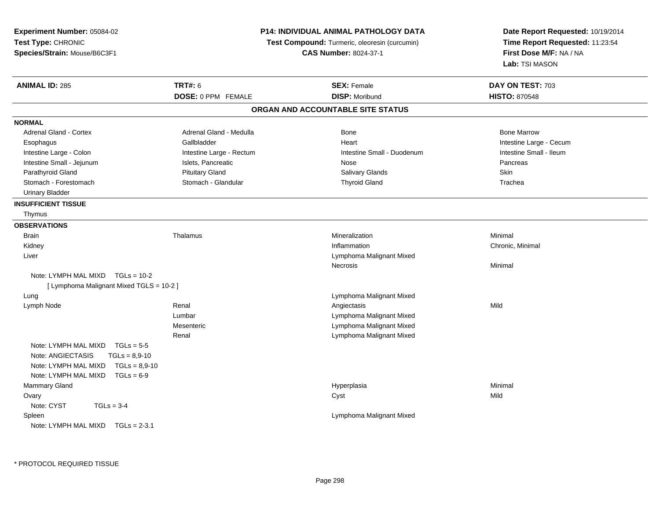| Experiment Number: 05084-02<br>Test Type: CHRONIC<br>Species/Strain: Mouse/B6C3F1 |                          | <b>P14: INDIVIDUAL ANIMAL PATHOLOGY DATA</b>  | Date Report Requested: 10/19/2014<br>Time Report Requested: 11:23:54<br>First Dose M/F: NA / NA |  |
|-----------------------------------------------------------------------------------|--------------------------|-----------------------------------------------|-------------------------------------------------------------------------------------------------|--|
|                                                                                   |                          | Test Compound: Turmeric, oleoresin (curcumin) |                                                                                                 |  |
|                                                                                   |                          | <b>CAS Number: 8024-37-1</b>                  |                                                                                                 |  |
|                                                                                   |                          |                                               | Lab: TSI MASON                                                                                  |  |
| <b>ANIMAL ID: 285</b>                                                             | <b>TRT#: 6</b>           | <b>SEX: Female</b>                            | DAY ON TEST: 703                                                                                |  |
|                                                                                   | DOSE: 0 PPM FEMALE       | <b>DISP: Moribund</b>                         | <b>HISTO: 870548</b>                                                                            |  |
|                                                                                   |                          | ORGAN AND ACCOUNTABLE SITE STATUS             |                                                                                                 |  |
| <b>NORMAL</b>                                                                     |                          |                                               |                                                                                                 |  |
| Adrenal Gland - Cortex                                                            | Adrenal Gland - Medulla  | <b>Bone</b>                                   | <b>Bone Marrow</b>                                                                              |  |
| Esophagus                                                                         | Gallbladder              | Heart                                         | Intestine Large - Cecum                                                                         |  |
| Intestine Large - Colon                                                           | Intestine Large - Rectum | Intestine Small - Duodenum                    | Intestine Small - Ileum                                                                         |  |
| Intestine Small - Jejunum                                                         | Islets, Pancreatic       | Nose                                          | Pancreas                                                                                        |  |
| Parathyroid Gland                                                                 | <b>Pituitary Gland</b>   | Salivary Glands                               | <b>Skin</b>                                                                                     |  |
| Stomach - Forestomach                                                             | Stomach - Glandular      | <b>Thyroid Gland</b>                          | Trachea                                                                                         |  |
| <b>Urinary Bladder</b>                                                            |                          |                                               |                                                                                                 |  |
| <b>INSUFFICIENT TISSUE</b>                                                        |                          |                                               |                                                                                                 |  |
| Thymus                                                                            |                          |                                               |                                                                                                 |  |
| <b>OBSERVATIONS</b>                                                               |                          |                                               |                                                                                                 |  |
| <b>Brain</b>                                                                      | Thalamus                 | Mineralization                                | Minimal                                                                                         |  |
| Kidney                                                                            |                          | Inflammation                                  | Chronic, Minimal                                                                                |  |
| Liver                                                                             |                          | Lymphoma Malignant Mixed                      |                                                                                                 |  |
|                                                                                   |                          | Necrosis                                      | Minimal                                                                                         |  |
| Note: LYMPH MAL MIXD                                                              | $TGLs = 10-2$            |                                               |                                                                                                 |  |
| [ Lymphoma Malignant Mixed TGLS = 10-2 ]                                          |                          |                                               |                                                                                                 |  |
| Lung                                                                              |                          | Lymphoma Malignant Mixed                      |                                                                                                 |  |
| Lymph Node                                                                        | Renal                    | Angiectasis                                   | Mild                                                                                            |  |
|                                                                                   | Lumbar                   | Lymphoma Malignant Mixed                      |                                                                                                 |  |
|                                                                                   | Mesenteric               | Lymphoma Malignant Mixed                      |                                                                                                 |  |
|                                                                                   | Renal                    | Lymphoma Malignant Mixed                      |                                                                                                 |  |
| Note: LYMPH MAL MIXD<br>$TGLs = 5-5$                                              |                          |                                               |                                                                                                 |  |
| Note: ANGIECTASIS<br>$TGLs = 8,9-10$                                              |                          |                                               |                                                                                                 |  |
| Note: LYMPH MAL MIXD                                                              | $TGLs = 8.9 - 10$        |                                               |                                                                                                 |  |
| Note: LYMPH MAL MIXD<br>$TGLs = 6-9$                                              |                          |                                               |                                                                                                 |  |
| Mammary Gland                                                                     |                          | Hyperplasia                                   | Minimal                                                                                         |  |
| Ovary                                                                             |                          | Cyst                                          | Mild                                                                                            |  |
| Note: CYST<br>$TGLs = 3-4$                                                        |                          |                                               |                                                                                                 |  |
| Spleen                                                                            |                          | Lymphoma Malignant Mixed                      |                                                                                                 |  |
| Note: LYMPH MAL MIXD TGLs = 2-3.1                                                 |                          |                                               |                                                                                                 |  |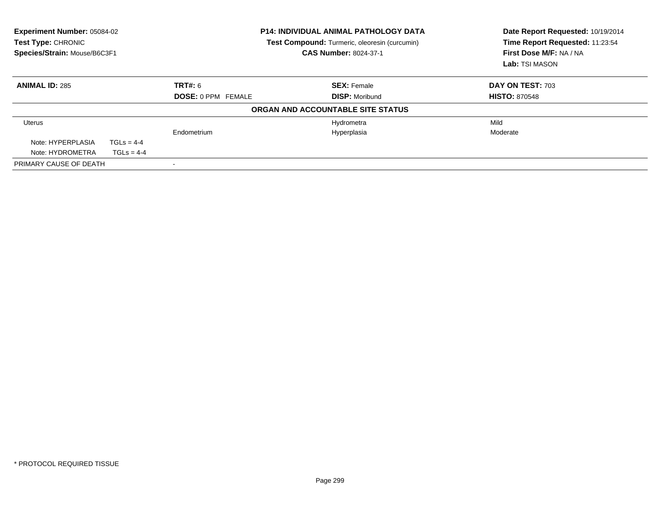| <b>Experiment Number: 05084-02</b><br>Test Type: CHRONIC<br>Species/Strain: Mouse/B6C3F1 |              | <b>P14: INDIVIDUAL ANIMAL PATHOLOGY DATA</b><br><b>Test Compound:</b> Turmeric, oleoresin (curcumin)<br><b>CAS Number: 8024-37-1</b> |                                   | Date Report Requested: 10/19/2014<br>Time Report Requested: 11:23:54<br>First Dose M/F: NA / NA<br>Lab: TSI MASON |
|------------------------------------------------------------------------------------------|--------------|--------------------------------------------------------------------------------------------------------------------------------------|-----------------------------------|-------------------------------------------------------------------------------------------------------------------|
| <b>ANIMAL ID: 285</b>                                                                    |              | TRT#: 6                                                                                                                              | <b>SEX: Female</b>                | <b>DAY ON TEST: 703</b>                                                                                           |
|                                                                                          |              | <b>DOSE: 0 PPM FEMALE</b>                                                                                                            | <b>DISP: Moribund</b>             | <b>HISTO: 870548</b>                                                                                              |
|                                                                                          |              |                                                                                                                                      | ORGAN AND ACCOUNTABLE SITE STATUS |                                                                                                                   |
| Uterus                                                                                   |              |                                                                                                                                      | Hydrometra                        | Mild                                                                                                              |
|                                                                                          |              | Endometrium                                                                                                                          | Hyperplasia                       | Moderate                                                                                                          |
| Note: HYPERPLASIA                                                                        | $TGLs = 4-4$ |                                                                                                                                      |                                   |                                                                                                                   |
| Note: HYDROMETRA                                                                         | $TGLs = 4-4$ |                                                                                                                                      |                                   |                                                                                                                   |
| PRIMARY CAUSE OF DEATH                                                                   |              |                                                                                                                                      |                                   |                                                                                                                   |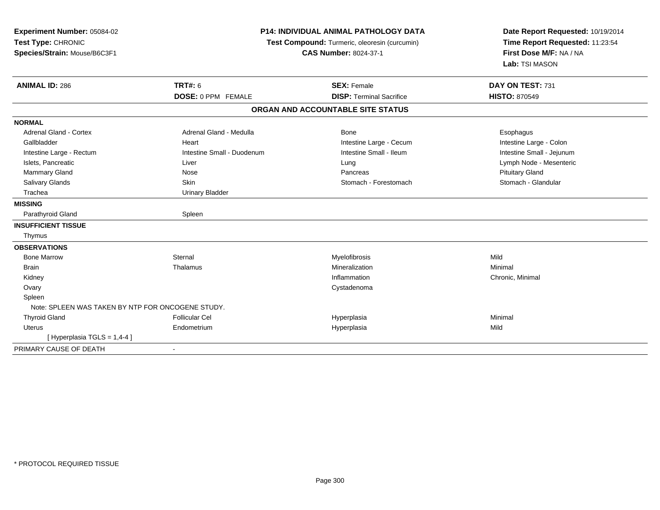| Experiment Number: 05084-02<br>Test Type: CHRONIC<br>Species/Strain: Mouse/B6C3F1 |                            | <b>P14: INDIVIDUAL ANIMAL PATHOLOGY DATA</b><br>Test Compound: Turmeric, oleoresin (curcumin)<br><b>CAS Number: 8024-37-1</b> | Date Report Requested: 10/19/2014<br>Time Report Requested: 11:23:54<br>First Dose M/F: NA / NA<br>Lab: TSI MASON |
|-----------------------------------------------------------------------------------|----------------------------|-------------------------------------------------------------------------------------------------------------------------------|-------------------------------------------------------------------------------------------------------------------|
| <b>ANIMAL ID: 286</b>                                                             | <b>TRT#: 6</b>             | <b>SEX: Female</b>                                                                                                            | DAY ON TEST: 731                                                                                                  |
|                                                                                   | <b>DOSE: 0 PPM FEMALE</b>  | <b>DISP: Terminal Sacrifice</b>                                                                                               | <b>HISTO: 870549</b>                                                                                              |
|                                                                                   |                            | ORGAN AND ACCOUNTABLE SITE STATUS                                                                                             |                                                                                                                   |
| <b>NORMAL</b>                                                                     |                            |                                                                                                                               |                                                                                                                   |
| <b>Adrenal Gland - Cortex</b>                                                     | Adrenal Gland - Medulla    | Bone                                                                                                                          | Esophagus                                                                                                         |
| Gallbladder                                                                       | Heart                      | Intestine Large - Cecum                                                                                                       | Intestine Large - Colon                                                                                           |
| Intestine Large - Rectum                                                          | Intestine Small - Duodenum | Intestine Small - Ileum                                                                                                       | Intestine Small - Jejunum                                                                                         |
| Islets, Pancreatic                                                                | Liver                      | Lung                                                                                                                          | Lymph Node - Mesenteric                                                                                           |
| <b>Mammary Gland</b>                                                              | Nose                       | Pancreas                                                                                                                      | <b>Pituitary Gland</b>                                                                                            |
| Salivary Glands                                                                   | Skin                       | Stomach - Forestomach                                                                                                         | Stomach - Glandular                                                                                               |
| Trachea                                                                           | <b>Urinary Bladder</b>     |                                                                                                                               |                                                                                                                   |
| <b>MISSING</b>                                                                    |                            |                                                                                                                               |                                                                                                                   |
| Parathyroid Gland                                                                 | Spleen                     |                                                                                                                               |                                                                                                                   |
| <b>INSUFFICIENT TISSUE</b>                                                        |                            |                                                                                                                               |                                                                                                                   |
| Thymus                                                                            |                            |                                                                                                                               |                                                                                                                   |
| <b>OBSERVATIONS</b>                                                               |                            |                                                                                                                               |                                                                                                                   |
| <b>Bone Marrow</b>                                                                | Sternal                    | Myelofibrosis                                                                                                                 | Mild                                                                                                              |
| <b>Brain</b>                                                                      | Thalamus                   | Mineralization                                                                                                                | Minimal                                                                                                           |
| Kidney                                                                            |                            | Inflammation                                                                                                                  | Chronic, Minimal                                                                                                  |
| Ovary                                                                             |                            | Cystadenoma                                                                                                                   |                                                                                                                   |
| Spleen                                                                            |                            |                                                                                                                               |                                                                                                                   |
| Note: SPLEEN WAS TAKEN BY NTP FOR ONCOGENE STUDY.                                 |                            |                                                                                                                               |                                                                                                                   |
| <b>Thyroid Gland</b>                                                              | <b>Follicular Cel</b>      | Hyperplasia                                                                                                                   | Minimal                                                                                                           |
| <b>Uterus</b>                                                                     | Endometrium                | Hyperplasia                                                                                                                   | Mild                                                                                                              |
| [Hyperplasia TGLS = $1,4-4$ ]                                                     |                            |                                                                                                                               |                                                                                                                   |
| PRIMARY CAUSE OF DEATH                                                            |                            |                                                                                                                               |                                                                                                                   |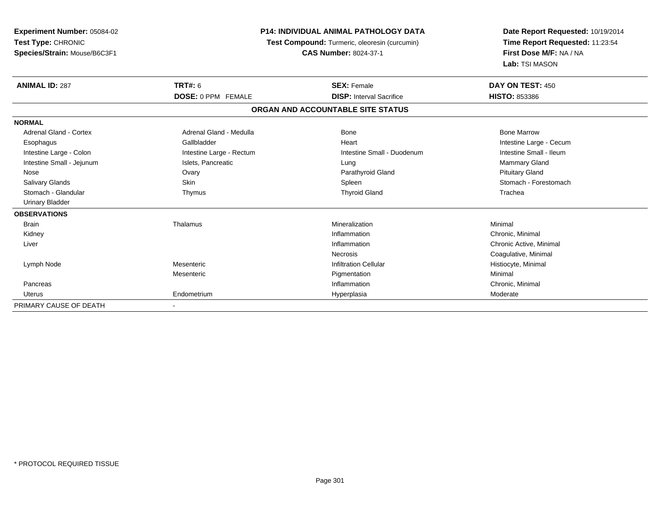| Experiment Number: 05084-02<br>Test Type: CHRONIC<br>Species/Strain: Mouse/B6C3F1 | <b>P14: INDIVIDUAL ANIMAL PATHOLOGY DATA</b><br>Test Compound: Turmeric, oleoresin (curcumin)<br><b>CAS Number: 8024-37-1</b> |                                   | Date Report Requested: 10/19/2014<br>Time Report Requested: 11:23:54<br>First Dose M/F: NA / NA<br>Lab: TSI MASON |
|-----------------------------------------------------------------------------------|-------------------------------------------------------------------------------------------------------------------------------|-----------------------------------|-------------------------------------------------------------------------------------------------------------------|
| <b>ANIMAL ID: 287</b>                                                             | <b>TRT#: 6</b>                                                                                                                | <b>SEX: Female</b>                | DAY ON TEST: 450                                                                                                  |
|                                                                                   | <b>DOSE: 0 PPM FEMALE</b>                                                                                                     | <b>DISP: Interval Sacrifice</b>   | <b>HISTO: 853386</b>                                                                                              |
|                                                                                   |                                                                                                                               | ORGAN AND ACCOUNTABLE SITE STATUS |                                                                                                                   |
| <b>NORMAL</b>                                                                     |                                                                                                                               |                                   |                                                                                                                   |
| <b>Adrenal Gland - Cortex</b>                                                     | Adrenal Gland - Medulla                                                                                                       | <b>Bone</b>                       | <b>Bone Marrow</b>                                                                                                |
| Esophagus                                                                         | Gallbladder                                                                                                                   | Heart                             | Intestine Large - Cecum                                                                                           |
| Intestine Large - Colon                                                           | Intestine Large - Rectum                                                                                                      | Intestine Small - Duodenum        | Intestine Small - Ileum                                                                                           |
| Intestine Small - Jejunum                                                         | Islets, Pancreatic                                                                                                            | Lung                              | Mammary Gland                                                                                                     |
| Nose                                                                              | Ovary                                                                                                                         | Parathyroid Gland                 | <b>Pituitary Gland</b>                                                                                            |
| <b>Salivary Glands</b>                                                            | Skin                                                                                                                          | Spleen                            | Stomach - Forestomach                                                                                             |
| Stomach - Glandular                                                               | Thymus                                                                                                                        | <b>Thyroid Gland</b>              | Trachea                                                                                                           |
| Urinary Bladder                                                                   |                                                                                                                               |                                   |                                                                                                                   |
| <b>OBSERVATIONS</b>                                                               |                                                                                                                               |                                   |                                                                                                                   |
| <b>Brain</b>                                                                      | Thalamus                                                                                                                      | Mineralization                    | Minimal                                                                                                           |
| Kidney                                                                            |                                                                                                                               | Inflammation                      | Chronic. Minimal                                                                                                  |
| Liver                                                                             |                                                                                                                               | Inflammation                      | Chronic Active, Minimal                                                                                           |
|                                                                                   |                                                                                                                               | <b>Necrosis</b>                   | Coagulative, Minimal                                                                                              |
| Lymph Node                                                                        | Mesenteric                                                                                                                    | <b>Infiltration Cellular</b>      | Histiocyte, Minimal                                                                                               |
|                                                                                   | Mesenteric                                                                                                                    | Pigmentation                      | Minimal                                                                                                           |
| Pancreas                                                                          |                                                                                                                               | Inflammation                      | Chronic, Minimal                                                                                                  |
| Uterus                                                                            | Endometrium                                                                                                                   | Hyperplasia                       | Moderate                                                                                                          |
| PRIMARY CAUSE OF DEATH                                                            |                                                                                                                               |                                   |                                                                                                                   |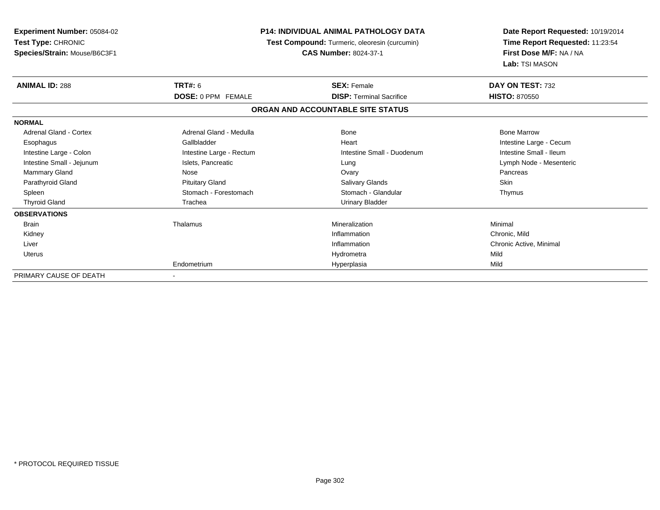| Experiment Number: 05084-02<br>Test Type: CHRONIC<br>Species/Strain: Mouse/B6C3F1 | <b>P14: INDIVIDUAL ANIMAL PATHOLOGY DATA</b><br>Test Compound: Turmeric, oleoresin (curcumin)<br><b>CAS Number: 8024-37-1</b> |                                   | Date Report Requested: 10/19/2014<br>Time Report Requested: 11:23:54<br>First Dose M/F: NA / NA<br>Lab: TSI MASON |
|-----------------------------------------------------------------------------------|-------------------------------------------------------------------------------------------------------------------------------|-----------------------------------|-------------------------------------------------------------------------------------------------------------------|
| <b>ANIMAL ID: 288</b>                                                             | <b>TRT#: 6</b>                                                                                                                | <b>SEX: Female</b>                | DAY ON TEST: 732                                                                                                  |
|                                                                                   | <b>DOSE: 0 PPM FEMALE</b>                                                                                                     | <b>DISP: Terminal Sacrifice</b>   | <b>HISTO: 870550</b>                                                                                              |
|                                                                                   |                                                                                                                               | ORGAN AND ACCOUNTABLE SITE STATUS |                                                                                                                   |
| <b>NORMAL</b>                                                                     |                                                                                                                               |                                   |                                                                                                                   |
| <b>Adrenal Gland - Cortex</b>                                                     | Adrenal Gland - Medulla                                                                                                       | Bone                              | <b>Bone Marrow</b>                                                                                                |
| Esophagus                                                                         | Gallbladder                                                                                                                   | Heart                             | Intestine Large - Cecum                                                                                           |
| Intestine Large - Colon                                                           | Intestine Large - Rectum                                                                                                      | Intestine Small - Duodenum        | Intestine Small - Ileum                                                                                           |
| Intestine Small - Jejunum                                                         | Islets, Pancreatic                                                                                                            | Lung                              | Lymph Node - Mesenteric                                                                                           |
| Mammary Gland                                                                     | Nose                                                                                                                          | Ovary                             | Pancreas                                                                                                          |
| Parathyroid Gland                                                                 | <b>Pituitary Gland</b>                                                                                                        | Salivary Glands                   | <b>Skin</b>                                                                                                       |
| Spleen                                                                            | Stomach - Forestomach                                                                                                         | Stomach - Glandular               | Thymus                                                                                                            |
| <b>Thyroid Gland</b>                                                              | Trachea                                                                                                                       | <b>Urinary Bladder</b>            |                                                                                                                   |
| <b>OBSERVATIONS</b>                                                               |                                                                                                                               |                                   |                                                                                                                   |
| <b>Brain</b>                                                                      | Thalamus                                                                                                                      | Mineralization                    | Minimal                                                                                                           |
| Kidney                                                                            |                                                                                                                               | Inflammation                      | Chronic, Mild                                                                                                     |
| Liver                                                                             |                                                                                                                               | Inflammation                      | Chronic Active, Minimal                                                                                           |
| <b>Uterus</b>                                                                     |                                                                                                                               | Hydrometra                        | Mild                                                                                                              |
|                                                                                   | Endometrium                                                                                                                   | Hyperplasia                       | Mild                                                                                                              |
| PRIMARY CAUSE OF DEATH                                                            |                                                                                                                               |                                   |                                                                                                                   |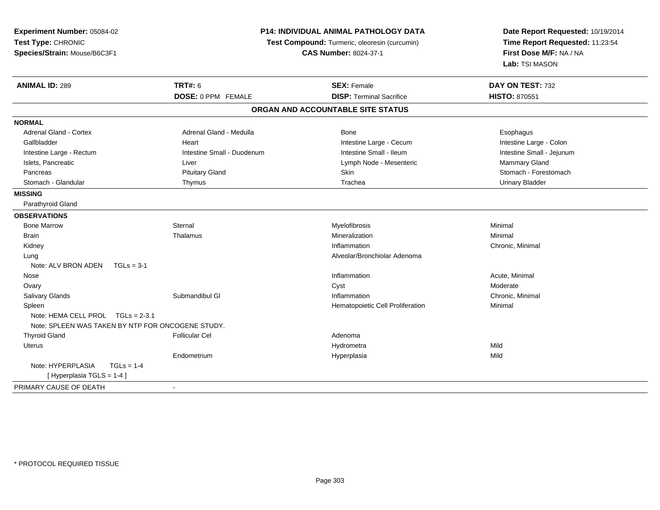| Date Report Requested: 10/19/2014<br>Test Type: CHRONIC<br>Time Report Requested: 11:23:54<br>Test Compound: Turmeric, oleoresin (curcumin)<br>First Dose M/F: NA / NA<br>Species/Strain: Mouse/B6C3F1<br><b>CAS Number: 8024-37-1</b><br>Lab: TSI MASON<br><b>ANIMAL ID: 289</b><br><b>TRT#: 6</b><br><b>SEX: Female</b><br>DAY ON TEST: 732<br>DOSE: 0 PPM FEMALE<br><b>DISP: Terminal Sacrifice</b><br><b>HISTO: 870551</b><br>ORGAN AND ACCOUNTABLE SITE STATUS<br><b>NORMAL</b><br><b>Adrenal Gland - Cortex</b><br>Adrenal Gland - Medulla<br>Bone<br>Esophagus<br>Intestine Large - Colon<br>Gallbladder<br>Heart<br>Intestine Large - Cecum<br>Intestine Small - Duodenum<br>Intestine Small - Ileum<br>Intestine Small - Jejunum<br>Intestine Large - Rectum |
|-----------------------------------------------------------------------------------------------------------------------------------------------------------------------------------------------------------------------------------------------------------------------------------------------------------------------------------------------------------------------------------------------------------------------------------------------------------------------------------------------------------------------------------------------------------------------------------------------------------------------------------------------------------------------------------------------------------------------------------------------------------------------|
|                                                                                                                                                                                                                                                                                                                                                                                                                                                                                                                                                                                                                                                                                                                                                                       |
|                                                                                                                                                                                                                                                                                                                                                                                                                                                                                                                                                                                                                                                                                                                                                                       |
|                                                                                                                                                                                                                                                                                                                                                                                                                                                                                                                                                                                                                                                                                                                                                                       |
|                                                                                                                                                                                                                                                                                                                                                                                                                                                                                                                                                                                                                                                                                                                                                                       |
|                                                                                                                                                                                                                                                                                                                                                                                                                                                                                                                                                                                                                                                                                                                                                                       |
|                                                                                                                                                                                                                                                                                                                                                                                                                                                                                                                                                                                                                                                                                                                                                                       |
|                                                                                                                                                                                                                                                                                                                                                                                                                                                                                                                                                                                                                                                                                                                                                                       |
|                                                                                                                                                                                                                                                                                                                                                                                                                                                                                                                                                                                                                                                                                                                                                                       |
|                                                                                                                                                                                                                                                                                                                                                                                                                                                                                                                                                                                                                                                                                                                                                                       |
|                                                                                                                                                                                                                                                                                                                                                                                                                                                                                                                                                                                                                                                                                                                                                                       |
| Mammary Gland<br>Islets, Pancreatic<br>Lymph Node - Mesenteric<br>Liver                                                                                                                                                                                                                                                                                                                                                                                                                                                                                                                                                                                                                                                                                               |
| Skin<br>Stomach - Forestomach<br><b>Pituitary Gland</b><br>Pancreas                                                                                                                                                                                                                                                                                                                                                                                                                                                                                                                                                                                                                                                                                                   |
| Stomach - Glandular<br>Trachea<br><b>Urinary Bladder</b><br>Thymus                                                                                                                                                                                                                                                                                                                                                                                                                                                                                                                                                                                                                                                                                                    |
| <b>MISSING</b>                                                                                                                                                                                                                                                                                                                                                                                                                                                                                                                                                                                                                                                                                                                                                        |
| Parathyroid Gland                                                                                                                                                                                                                                                                                                                                                                                                                                                                                                                                                                                                                                                                                                                                                     |
| <b>OBSERVATIONS</b>                                                                                                                                                                                                                                                                                                                                                                                                                                                                                                                                                                                                                                                                                                                                                   |
| Sternal<br><b>Bone Marrow</b><br>Myelofibrosis<br>Minimal                                                                                                                                                                                                                                                                                                                                                                                                                                                                                                                                                                                                                                                                                                             |
| <b>Brain</b><br>Thalamus<br>Mineralization<br>Minimal                                                                                                                                                                                                                                                                                                                                                                                                                                                                                                                                                                                                                                                                                                                 |
| Inflammation<br>Chronic, Minimal<br>Kidney                                                                                                                                                                                                                                                                                                                                                                                                                                                                                                                                                                                                                                                                                                                            |
| Alveolar/Bronchiolar Adenoma<br>Lung                                                                                                                                                                                                                                                                                                                                                                                                                                                                                                                                                                                                                                                                                                                                  |
| $TGLs = 3-1$<br>Note: ALV BRON ADEN                                                                                                                                                                                                                                                                                                                                                                                                                                                                                                                                                                                                                                                                                                                                   |
| Inflammation<br>Acute, Minimal<br>Nose                                                                                                                                                                                                                                                                                                                                                                                                                                                                                                                                                                                                                                                                                                                                |
| Moderate<br>Cyst<br>Ovary                                                                                                                                                                                                                                                                                                                                                                                                                                                                                                                                                                                                                                                                                                                                             |
| Submandibul GI<br>Salivary Glands<br>Inflammation<br>Chronic, Minimal                                                                                                                                                                                                                                                                                                                                                                                                                                                                                                                                                                                                                                                                                                 |
| Spleen<br>Hematopoietic Cell Proliferation<br>Minimal                                                                                                                                                                                                                                                                                                                                                                                                                                                                                                                                                                                                                                                                                                                 |
| Note: HEMA CELL PROL TGLs = 2-3.1<br>Note: SPLEEN WAS TAKEN BY NTP FOR ONCOGENE STUDY.                                                                                                                                                                                                                                                                                                                                                                                                                                                                                                                                                                                                                                                                                |
| <b>Thyroid Gland</b><br><b>Follicular Cel</b><br>Adenoma                                                                                                                                                                                                                                                                                                                                                                                                                                                                                                                                                                                                                                                                                                              |
| Mild<br>Uterus<br>Hydrometra                                                                                                                                                                                                                                                                                                                                                                                                                                                                                                                                                                                                                                                                                                                                          |
| Mild<br>Hyperplasia<br>Endometrium                                                                                                                                                                                                                                                                                                                                                                                                                                                                                                                                                                                                                                                                                                                                    |
| Note: HYPERPLASIA<br>$TGLs = 1-4$                                                                                                                                                                                                                                                                                                                                                                                                                                                                                                                                                                                                                                                                                                                                     |
| [ Hyperplasia TGLS = 1-4 ]                                                                                                                                                                                                                                                                                                                                                                                                                                                                                                                                                                                                                                                                                                                                            |
| PRIMARY CAUSE OF DEATH<br>$\blacksquare$                                                                                                                                                                                                                                                                                                                                                                                                                                                                                                                                                                                                                                                                                                                              |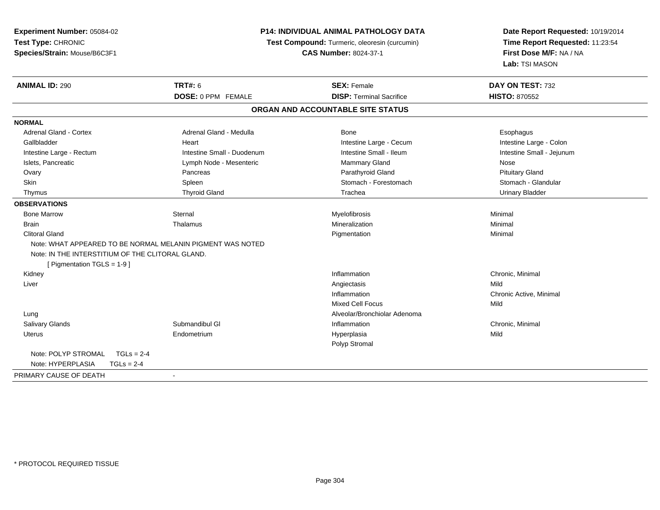| Experiment Number: 05084-02                                                                                                                   | P14: INDIVIDUAL ANIMAL PATHOLOGY DATA         | Date Report Requested: 10/19/2014<br>Time Report Requested: 11:23:54<br>First Dose M/F: NA / NA |
|-----------------------------------------------------------------------------------------------------------------------------------------------|-----------------------------------------------|-------------------------------------------------------------------------------------------------|
| Test Type: CHRONIC                                                                                                                            | Test Compound: Turmeric, oleoresin (curcumin) |                                                                                                 |
| Species/Strain: Mouse/B6C3F1                                                                                                                  | <b>CAS Number: 8024-37-1</b>                  |                                                                                                 |
|                                                                                                                                               |                                               | Lab: TSI MASON                                                                                  |
| <b>TRT#: 6</b><br><b>ANIMAL ID: 290</b>                                                                                                       | <b>SEX: Female</b>                            | DAY ON TEST: 732                                                                                |
| DOSE: 0 PPM FEMALE                                                                                                                            | <b>DISP: Terminal Sacrifice</b>               | <b>HISTO: 870552</b>                                                                            |
|                                                                                                                                               | ORGAN AND ACCOUNTABLE SITE STATUS             |                                                                                                 |
| <b>NORMAL</b>                                                                                                                                 |                                               |                                                                                                 |
| <b>Adrenal Gland - Cortex</b><br>Adrenal Gland - Medulla                                                                                      | <b>Bone</b>                                   | Esophagus                                                                                       |
| Gallbladder<br>Heart                                                                                                                          | Intestine Large - Cecum                       | Intestine Large - Colon                                                                         |
| Intestine Small - Duodenum<br>Intestine Large - Rectum                                                                                        | Intestine Small - Ileum                       | Intestine Small - Jejunum                                                                       |
| Islets, Pancreatic<br>Lymph Node - Mesenteric                                                                                                 | <b>Mammary Gland</b>                          | Nose                                                                                            |
| Pancreas<br>Ovary                                                                                                                             | Parathyroid Gland                             | <b>Pituitary Gland</b>                                                                          |
| Skin<br>Spleen                                                                                                                                | Stomach - Forestomach                         | Stomach - Glandular                                                                             |
| <b>Thyroid Gland</b><br>Thymus                                                                                                                | Trachea                                       | <b>Urinary Bladder</b>                                                                          |
| <b>OBSERVATIONS</b>                                                                                                                           |                                               |                                                                                                 |
| <b>Bone Marrow</b><br>Sternal                                                                                                                 | Myelofibrosis                                 | Minimal                                                                                         |
| <b>Brain</b><br>Thalamus                                                                                                                      | Mineralization                                | Minimal                                                                                         |
| <b>Clitoral Gland</b>                                                                                                                         | Pigmentation                                  | Minimal                                                                                         |
| Note: WHAT APPEARED TO BE NORMAL MELANIN PIGMENT WAS NOTED<br>Note: IN THE INTERSTITIUM OF THE CLITORAL GLAND.<br>[ Pigmentation TGLS = 1-9 ] |                                               |                                                                                                 |
| Kidney                                                                                                                                        | Inflammation                                  | Chronic, Minimal                                                                                |
| Liver                                                                                                                                         | Angiectasis                                   | Mild                                                                                            |
|                                                                                                                                               | Inflammation                                  | Chronic Active, Minimal                                                                         |
|                                                                                                                                               | <b>Mixed Cell Focus</b>                       | Mild                                                                                            |
| Lung                                                                                                                                          | Alveolar/Bronchiolar Adenoma                  |                                                                                                 |
| Submandibul GI<br>Salivary Glands                                                                                                             | Inflammation                                  | Chronic, Minimal                                                                                |
| Uterus<br>Endometrium                                                                                                                         | Hyperplasia                                   | Mild                                                                                            |
|                                                                                                                                               | Polyp Stromal                                 |                                                                                                 |
| Note: POLYP STROMAL<br>$TGLs = 2-4$                                                                                                           |                                               |                                                                                                 |
| Note: HYPERPLASIA<br>$TGLs = 2-4$                                                                                                             |                                               |                                                                                                 |
| PRIMARY CAUSE OF DEATH<br>$\sim$                                                                                                              |                                               |                                                                                                 |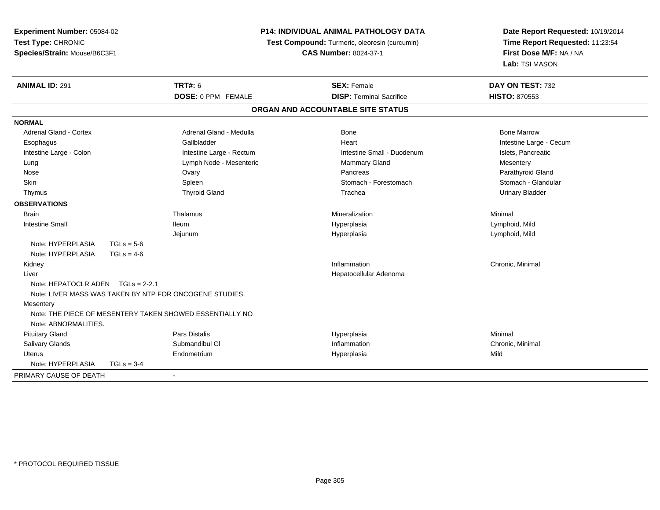| <b>P14: INDIVIDUAL ANIMAL PATHOLOGY DATA</b><br><b>Experiment Number: 05084-02</b> |                                               |                                   | Date Report Requested: 10/19/2014         |  |
|------------------------------------------------------------------------------------|-----------------------------------------------|-----------------------------------|-------------------------------------------|--|
| Test Type: CHRONIC                                                                 | Test Compound: Turmeric, oleoresin (curcumin) |                                   | Time Report Requested: 11:23:54           |  |
| Species/Strain: Mouse/B6C3F1                                                       |                                               | <b>CAS Number: 8024-37-1</b>      | First Dose M/F: NA / NA<br>Lab: TSI MASON |  |
|                                                                                    |                                               |                                   |                                           |  |
| <b>ANIMAL ID: 291</b>                                                              | <b>TRT#: 6</b>                                | <b>SEX: Female</b>                | DAY ON TEST: 732                          |  |
|                                                                                    | <b>DOSE: 0 PPM FEMALE</b>                     | <b>DISP: Terminal Sacrifice</b>   | <b>HISTO: 870553</b>                      |  |
|                                                                                    |                                               | ORGAN AND ACCOUNTABLE SITE STATUS |                                           |  |
| <b>NORMAL</b>                                                                      |                                               |                                   |                                           |  |
| <b>Adrenal Gland - Cortex</b>                                                      | Adrenal Gland - Medulla                       | <b>Bone</b>                       | <b>Bone Marrow</b>                        |  |
| Esophagus                                                                          | Gallbladder                                   | Heart                             | Intestine Large - Cecum                   |  |
| Intestine Large - Colon                                                            | Intestine Large - Rectum                      | Intestine Small - Duodenum        | Islets, Pancreatic                        |  |
| Lung                                                                               | Lymph Node - Mesenteric                       | Mammary Gland                     | Mesentery                                 |  |
| Nose                                                                               | Ovary                                         | Pancreas                          | Parathyroid Gland                         |  |
| Skin                                                                               | Spleen                                        | Stomach - Forestomach             | Stomach - Glandular                       |  |
| Thymus                                                                             | <b>Thyroid Gland</b>                          | Trachea                           | <b>Urinary Bladder</b>                    |  |
| <b>OBSERVATIONS</b>                                                                |                                               |                                   |                                           |  |
| <b>Brain</b>                                                                       | Thalamus                                      | Mineralization                    | Minimal                                   |  |
| <b>Intestine Small</b>                                                             | <b>Ileum</b>                                  | Hyperplasia                       | Lymphoid, Mild                            |  |
|                                                                                    | Jejunum                                       | Hyperplasia                       | Lymphoid, Mild                            |  |
| Note: HYPERPLASIA<br>$TGLs = 5-6$                                                  |                                               |                                   |                                           |  |
| Note: HYPERPLASIA<br>$TGLs = 4-6$                                                  |                                               |                                   |                                           |  |
| Kidney                                                                             |                                               | Inflammation                      | Chronic, Minimal                          |  |
| Liver                                                                              |                                               | Hepatocellular Adenoma            |                                           |  |
| Note: HEPATOCLR ADEN TGLs = 2-2.1                                                  |                                               |                                   |                                           |  |
| Note: LIVER MASS WAS TAKEN BY NTP FOR ONCOGENE STUDIES.                            |                                               |                                   |                                           |  |
| Mesentery                                                                          |                                               |                                   |                                           |  |
| Note: THE PIECE OF MESENTERY TAKEN SHOWED ESSENTIALLY NO                           |                                               |                                   |                                           |  |
| Note: ABNORMALITIES.                                                               |                                               |                                   |                                           |  |
| <b>Pituitary Gland</b>                                                             | Pars Distalis                                 | Hyperplasia                       | Minimal                                   |  |
| Salivary Glands                                                                    | Submandibul GI                                | Inflammation                      | Chronic, Minimal                          |  |
| <b>Uterus</b>                                                                      | Endometrium                                   | Hyperplasia                       | Mild                                      |  |
| Note: HYPERPLASIA<br>$TGLs = 3-4$                                                  |                                               |                                   |                                           |  |
| PRIMARY CAUSE OF DEATH                                                             |                                               |                                   |                                           |  |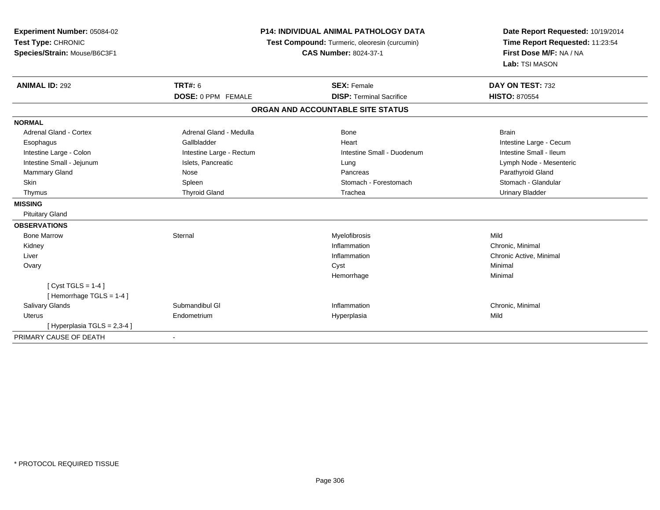| Experiment Number: 05084-02<br>Test Type: CHRONIC<br>Species/Strain: Mouse/B6C3F1<br><b>ANIMAL ID: 292</b> | <b>TRT#: 6</b><br><b>DOSE: 0 PPM FEMALE</b> | <b>P14: INDIVIDUAL ANIMAL PATHOLOGY DATA</b><br>Test Compound: Turmeric, oleoresin (curcumin)<br><b>CAS Number: 8024-37-1</b><br><b>SEX: Female</b><br><b>DISP: Terminal Sacrifice</b> | Date Report Requested: 10/19/2014<br>Time Report Requested: 11:23:54<br>First Dose M/F: NA / NA<br>Lab: TSI MASON<br>DAY ON TEST: 732<br><b>HISTO: 870554</b> |
|------------------------------------------------------------------------------------------------------------|---------------------------------------------|----------------------------------------------------------------------------------------------------------------------------------------------------------------------------------------|---------------------------------------------------------------------------------------------------------------------------------------------------------------|
|                                                                                                            |                                             |                                                                                                                                                                                        |                                                                                                                                                               |
|                                                                                                            |                                             | ORGAN AND ACCOUNTABLE SITE STATUS                                                                                                                                                      |                                                                                                                                                               |
| <b>NORMAL</b>                                                                                              |                                             |                                                                                                                                                                                        |                                                                                                                                                               |
| <b>Adrenal Gland - Cortex</b>                                                                              | Adrenal Gland - Medulla                     | Bone                                                                                                                                                                                   | <b>Brain</b>                                                                                                                                                  |
| Esophagus                                                                                                  | Gallbladder                                 | Heart                                                                                                                                                                                  | Intestine Large - Cecum                                                                                                                                       |
| Intestine Large - Colon                                                                                    | Intestine Large - Rectum                    | Intestine Small - Duodenum                                                                                                                                                             | Intestine Small - Ileum                                                                                                                                       |
| Intestine Small - Jejunum                                                                                  | Islets, Pancreatic                          | Lung                                                                                                                                                                                   | Lymph Node - Mesenteric                                                                                                                                       |
| <b>Mammary Gland</b>                                                                                       | Nose                                        | Pancreas                                                                                                                                                                               | Parathyroid Gland                                                                                                                                             |
| <b>Skin</b>                                                                                                | Spleen                                      | Stomach - Forestomach                                                                                                                                                                  | Stomach - Glandular                                                                                                                                           |
| Thymus                                                                                                     | <b>Thyroid Gland</b>                        | Trachea                                                                                                                                                                                | <b>Urinary Bladder</b>                                                                                                                                        |
| <b>MISSING</b>                                                                                             |                                             |                                                                                                                                                                                        |                                                                                                                                                               |
| <b>Pituitary Gland</b>                                                                                     |                                             |                                                                                                                                                                                        |                                                                                                                                                               |
| <b>OBSERVATIONS</b>                                                                                        |                                             |                                                                                                                                                                                        |                                                                                                                                                               |
| <b>Bone Marrow</b>                                                                                         | Sternal                                     | Myelofibrosis                                                                                                                                                                          | Mild                                                                                                                                                          |
| Kidney                                                                                                     |                                             | Inflammation                                                                                                                                                                           | Chronic, Minimal                                                                                                                                              |
| Liver                                                                                                      |                                             | Inflammation                                                                                                                                                                           | Chronic Active, Minimal                                                                                                                                       |
| Ovary                                                                                                      |                                             | Cyst                                                                                                                                                                                   | Minimal                                                                                                                                                       |
|                                                                                                            |                                             | Hemorrhage                                                                                                                                                                             | Minimal                                                                                                                                                       |
| [Cyst TGLS = $1-4$ ]<br>[Hemorrhage TGLS = 1-4]                                                            |                                             |                                                                                                                                                                                        |                                                                                                                                                               |
| <b>Salivary Glands</b>                                                                                     | Submandibul GI                              | Inflammation                                                                                                                                                                           | Chronic, Minimal                                                                                                                                              |
| <b>Uterus</b>                                                                                              | Endometrium                                 | Hyperplasia                                                                                                                                                                            | Mild                                                                                                                                                          |
| [Hyperplasia TGLS = $2,3-4$ ]                                                                              |                                             |                                                                                                                                                                                        |                                                                                                                                                               |
| PRIMARY CAUSE OF DEATH                                                                                     |                                             |                                                                                                                                                                                        |                                                                                                                                                               |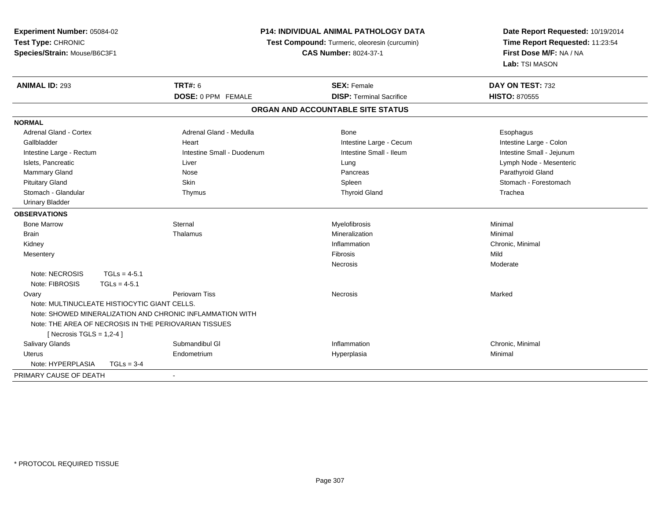| Experiment Number: 05084-02                        |                | <b>P14: INDIVIDUAL ANIMAL PATHOLOGY DATA</b>              |                                               | Date Report Requested: 10/19/2014<br>Time Report Requested: 11:23:54<br>First Dose M/F: NA / NA<br>Lab: TSI MASON |
|----------------------------------------------------|----------------|-----------------------------------------------------------|-----------------------------------------------|-------------------------------------------------------------------------------------------------------------------|
| Test Type: CHRONIC<br>Species/Strain: Mouse/B6C3F1 |                |                                                           | Test Compound: Turmeric, oleoresin (curcumin) |                                                                                                                   |
|                                                    |                |                                                           | <b>CAS Number: 8024-37-1</b>                  |                                                                                                                   |
|                                                    |                |                                                           |                                               |                                                                                                                   |
| <b>ANIMAL ID: 293</b>                              |                | <b>TRT#: 6</b>                                            | <b>SEX: Female</b>                            | DAY ON TEST: 732                                                                                                  |
|                                                    |                | DOSE: 0 PPM FEMALE                                        | <b>DISP: Terminal Sacrifice</b>               | <b>HISTO: 870555</b>                                                                                              |
|                                                    |                |                                                           | ORGAN AND ACCOUNTABLE SITE STATUS             |                                                                                                                   |
| <b>NORMAL</b>                                      |                |                                                           |                                               |                                                                                                                   |
| <b>Adrenal Gland - Cortex</b>                      |                | Adrenal Gland - Medulla                                   | Bone                                          | Esophagus                                                                                                         |
| Gallbladder                                        |                | Heart                                                     | Intestine Large - Cecum                       | Intestine Large - Colon                                                                                           |
| Intestine Large - Rectum                           |                | Intestine Small - Duodenum                                | Intestine Small - Ileum                       | Intestine Small - Jejunum                                                                                         |
| Islets, Pancreatic                                 |                | Liver                                                     | Lung                                          | Lymph Node - Mesenteric                                                                                           |
| <b>Mammary Gland</b>                               |                | Nose                                                      | Pancreas                                      | Parathyroid Gland                                                                                                 |
| <b>Pituitary Gland</b>                             |                | Skin                                                      | Spleen                                        | Stomach - Forestomach                                                                                             |
| Stomach - Glandular                                |                | Thymus                                                    | <b>Thyroid Gland</b>                          | Trachea                                                                                                           |
| <b>Urinary Bladder</b>                             |                |                                                           |                                               |                                                                                                                   |
| <b>OBSERVATIONS</b>                                |                |                                                           |                                               |                                                                                                                   |
| <b>Bone Marrow</b>                                 |                | Sternal                                                   | Myelofibrosis                                 | Minimal                                                                                                           |
| <b>Brain</b>                                       |                | Thalamus                                                  | Mineralization                                | Minimal                                                                                                           |
| Kidney                                             |                |                                                           | Inflammation                                  | Chronic, Minimal                                                                                                  |
| Mesentery                                          |                |                                                           | Fibrosis                                      | Mild                                                                                                              |
|                                                    |                |                                                           | <b>Necrosis</b>                               | Moderate                                                                                                          |
| Note: NECROSIS                                     | $TGLs = 4-5.1$ |                                                           |                                               |                                                                                                                   |
| Note: FIBROSIS                                     | $TGLs = 4-5.1$ |                                                           |                                               |                                                                                                                   |
| Ovary                                              |                | Periovarn Tiss                                            | Necrosis                                      | Marked                                                                                                            |
| Note: MULTINUCLEATE HISTIOCYTIC GIANT CELLS.       |                |                                                           |                                               |                                                                                                                   |
|                                                    |                | Note: SHOWED MINERALIZATION AND CHRONIC INFLAMMATION WITH |                                               |                                                                                                                   |
|                                                    |                | Note: THE AREA OF NECROSIS IN THE PERIOVARIAN TISSUES     |                                               |                                                                                                                   |
| [ Necrosis TGLS = $1,2-4$ ]                        |                |                                                           |                                               |                                                                                                                   |
| Salivary Glands                                    |                | Submandibul GI                                            | Inflammation                                  | Chronic, Minimal                                                                                                  |
| <b>Uterus</b>                                      |                | Endometrium                                               | Hyperplasia                                   | Minimal                                                                                                           |
| Note: HYPERPLASIA                                  | $TGLs = 3-4$   |                                                           |                                               |                                                                                                                   |
| PRIMARY CAUSE OF DEATH                             |                | $\overline{\phantom{a}}$                                  |                                               |                                                                                                                   |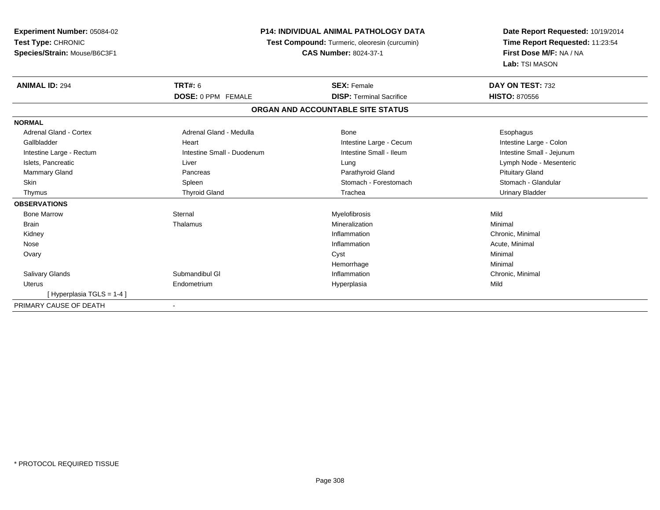| <b>Experiment Number: 05084-02</b> | <b>P14: INDIVIDUAL ANIMAL PATHOLOGY DATA</b><br>Test Compound: Turmeric, oleoresin (curcumin)<br><b>CAS Number: 8024-37-1</b> |                                   | Date Report Requested: 10/19/2014 |  |
|------------------------------------|-------------------------------------------------------------------------------------------------------------------------------|-----------------------------------|-----------------------------------|--|
| Test Type: CHRONIC                 |                                                                                                                               |                                   | Time Report Requested: 11:23:54   |  |
| Species/Strain: Mouse/B6C3F1       |                                                                                                                               |                                   | First Dose M/F: NA / NA           |  |
|                                    |                                                                                                                               |                                   | Lab: TSI MASON                    |  |
| <b>ANIMAL ID: 294</b>              | <b>TRT#: 6</b>                                                                                                                | <b>SEX: Female</b>                | DAY ON TEST: 732                  |  |
|                                    | <b>DOSE: 0 PPM FEMALE</b>                                                                                                     | <b>DISP: Terminal Sacrifice</b>   | <b>HISTO: 870556</b>              |  |
|                                    |                                                                                                                               | ORGAN AND ACCOUNTABLE SITE STATUS |                                   |  |
| <b>NORMAL</b>                      |                                                                                                                               |                                   |                                   |  |
| <b>Adrenal Gland - Cortex</b>      | Adrenal Gland - Medulla                                                                                                       | <b>Bone</b>                       | Esophagus                         |  |
| Gallbladder                        | Heart                                                                                                                         | Intestine Large - Cecum           | Intestine Large - Colon           |  |
| Intestine Large - Rectum           | Intestine Small - Duodenum                                                                                                    | Intestine Small - Ileum           | Intestine Small - Jejunum         |  |
| Islets, Pancreatic                 | Liver                                                                                                                         | Lung                              | Lymph Node - Mesenteric           |  |
| <b>Mammary Gland</b>               | Pancreas                                                                                                                      | Parathyroid Gland                 | <b>Pituitary Gland</b>            |  |
| <b>Skin</b>                        | Spleen                                                                                                                        | Stomach - Forestomach             | Stomach - Glandular               |  |
| Thymus                             | <b>Thyroid Gland</b>                                                                                                          | Trachea                           | <b>Urinary Bladder</b>            |  |
| <b>OBSERVATIONS</b>                |                                                                                                                               |                                   |                                   |  |
| <b>Bone Marrow</b>                 | Sternal                                                                                                                       | Myelofibrosis                     | Mild                              |  |
| <b>Brain</b>                       | Thalamus                                                                                                                      | Mineralization                    | Minimal                           |  |
| Kidney                             |                                                                                                                               | Inflammation                      | Chronic, Minimal                  |  |
| Nose                               |                                                                                                                               | Inflammation                      | Acute, Minimal                    |  |
| Ovary                              |                                                                                                                               | Cyst                              | Minimal                           |  |
|                                    |                                                                                                                               | Hemorrhage                        | Minimal                           |  |
| <b>Salivary Glands</b>             | Submandibul GI                                                                                                                | Inflammation                      | Chronic, Minimal                  |  |
| <b>Uterus</b>                      | Endometrium                                                                                                                   | Hyperplasia                       | Mild                              |  |
| [Hyperplasia TGLS = 1-4]           |                                                                                                                               |                                   |                                   |  |
| PRIMARY CAUSE OF DEATH             |                                                                                                                               |                                   |                                   |  |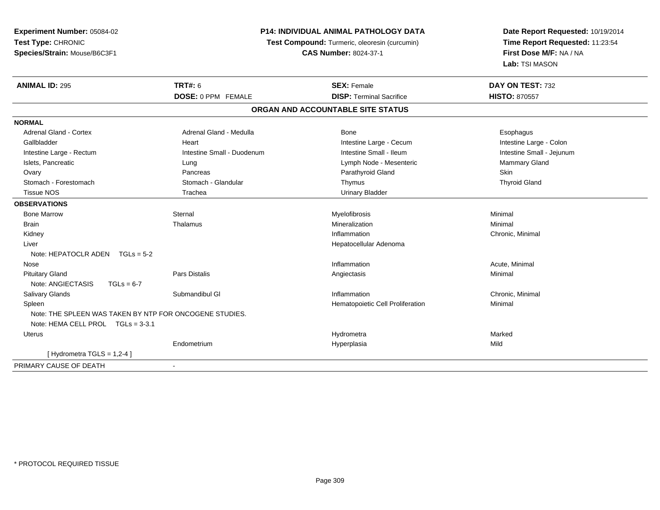**Experiment Number:** 05084-02**Test Type:** CHRONIC **Species/Strain:** Mouse/B6C3F1**P14: INDIVIDUAL ANIMAL PATHOLOGY DATA Test Compound:** Turmeric, oleoresin (curcumin)**CAS Number:** 8024-37-1**Date Report Requested:** 10/19/2014**Time Report Requested:** 11:23:54**First Dose M/F:** NA / NA**Lab:** TSI MASON**ANIMAL ID:** 295 **TRT#:** <sup>6</sup> **SEX:** Female **DAY ON TEST:** <sup>732</sup> **DOSE:** 0 PPM FEMALE **DISP:** Terminal Sacrifice **HISTO:** <sup>870557</sup> **ORGAN AND ACCOUNTABLE SITE STATUSNORMALAdrenal Gland - Cortex** Adrenal Gland - Medulla **Bone** Bone **Bone** Esophagus Esophagus Intestine Large - Colon Gallbladder **East Intestine Large - Cecum Intestine Large - Cecum** Intestine Large - Cecum Intestine Small - Jejunum Intestine Large - Rectum **Intestine Small - Duodenum** Intestine Small - Ileum Intestine Small - Ileum Islets, Pancreatic **Contract Contract Contract Contract Contract Contract Contract Contract Contract Contract Contract Contract Contract Contract Contract Contract Contract Contract Contract Contract Contract Contract Cont**  Ovary Pancreas Parathyroid Gland Skin**Thyroid Gland**  Stomach - Forestomach Stomach - Glandular Thymus Thyroid Gland Tissue NOS Trachea Urinary Bladder**OBSERVATIONS** Bone Marroww the sternal sternal the sternal sternal method of the step of Myelofibrosis and Minimal method of Minimal me<br>The step of the step of the step of the step of the step of the step of the step of the step of the step of th Brainn and the theorem is the three matter of the matter of the matter of the matter of the matter of the matter of  $M$ inimal  $M$ inimal  $M$ inimal  $M$ inimal  $M$ inimal  $M$ inimal  $M$ inimal  $M$ inimal  $M$ inimal  $M$ inimal  $M$ inimal Kidneyy the control of the control of the control of the control of the control of the control of the control of the control of the control of the control of the control of the control of the control of the control of the contro Inflammation Chronic, Minimal Liver Hepatocellular AdenomaNote: HEPATOCLR ADEN TGLs = 5-2 Nosee the contraction of the contraction of the contraction of the contraction of the contraction of the contraction  $\mathsf{Acute}$ , Minimal Pituitary Gland Pars Distalis Angiectasis Minimal Note: ANGIECTASIS TGLs = 6-7 Salivary Glandss Submandibul Gl **Inflammation** Inflammation **Chronic, Minimal**  SpleenHematopoietic Cell Proliferation Minimal Note: THE SPLEEN WAS TAKEN BY NTP FOR ONCOGENE STUDIES.Note: HEMA CELL PROL TGLs = 3-3.1 Uteruss and the contract of the contract of the contract of the contract of the contract of the contract of the contract of the contract of the contract of the contract of the contract of the contract of the contract of the cont a and a study of the state of the Marked Endometrium Hyperplasia Mild  $[$  Hydrometra TGLS = 1,2-4  $]$ PRIMARY CAUSE OF DEATH-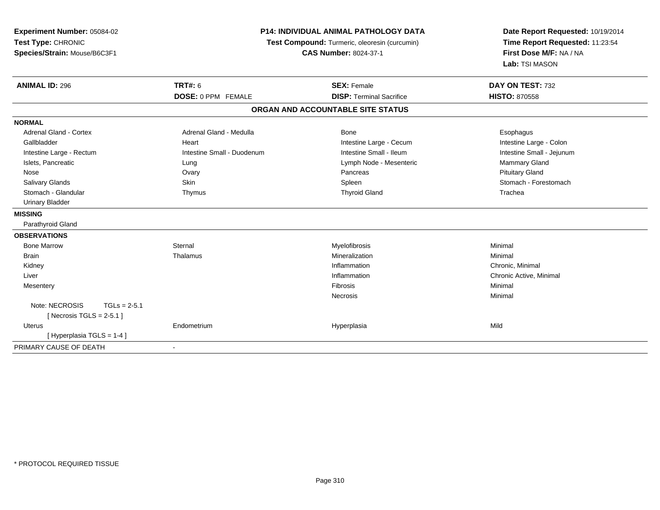| Experiment Number: 05084-02<br>Test Type: CHRONIC<br>Species/Strain: Mouse/B6C3F1 | <b>P14: INDIVIDUAL ANIMAL PATHOLOGY DATA</b><br>Test Compound: Turmeric, oleoresin (curcumin)<br><b>CAS Number: 8024-37-1</b> |                                   | Date Report Requested: 10/19/2014<br>Time Report Requested: 11:23:54<br>First Dose M/F: NA / NA |
|-----------------------------------------------------------------------------------|-------------------------------------------------------------------------------------------------------------------------------|-----------------------------------|-------------------------------------------------------------------------------------------------|
|                                                                                   |                                                                                                                               |                                   | Lab: TSI MASON                                                                                  |
| <b>ANIMAL ID: 296</b>                                                             | <b>TRT#: 6</b>                                                                                                                | <b>SEX: Female</b>                | DAY ON TEST: 732                                                                                |
|                                                                                   | DOSE: 0 PPM FEMALE                                                                                                            | <b>DISP: Terminal Sacrifice</b>   | <b>HISTO: 870558</b>                                                                            |
|                                                                                   |                                                                                                                               | ORGAN AND ACCOUNTABLE SITE STATUS |                                                                                                 |
| <b>NORMAL</b>                                                                     |                                                                                                                               |                                   |                                                                                                 |
| <b>Adrenal Gland - Cortex</b>                                                     | Adrenal Gland - Medulla                                                                                                       | Bone                              | Esophagus                                                                                       |
| Gallbladder                                                                       | Heart                                                                                                                         | Intestine Large - Cecum           | Intestine Large - Colon                                                                         |
| Intestine Large - Rectum                                                          | Intestine Small - Duodenum                                                                                                    | Intestine Small - Ileum           | Intestine Small - Jejunum                                                                       |
| Islets, Pancreatic                                                                | Lung                                                                                                                          | Lymph Node - Mesenteric           | Mammary Gland                                                                                   |
| Nose                                                                              | Ovary                                                                                                                         | Pancreas                          | <b>Pituitary Gland</b>                                                                          |
| Salivary Glands                                                                   | <b>Skin</b>                                                                                                                   | Spleen                            | Stomach - Forestomach                                                                           |
| Stomach - Glandular                                                               | Thymus                                                                                                                        | <b>Thyroid Gland</b>              | Trachea                                                                                         |
| <b>Urinary Bladder</b>                                                            |                                                                                                                               |                                   |                                                                                                 |
| <b>MISSING</b>                                                                    |                                                                                                                               |                                   |                                                                                                 |
| Parathyroid Gland                                                                 |                                                                                                                               |                                   |                                                                                                 |
| <b>OBSERVATIONS</b>                                                               |                                                                                                                               |                                   |                                                                                                 |
| <b>Bone Marrow</b>                                                                | Sternal                                                                                                                       | Myelofibrosis                     | Minimal                                                                                         |
| <b>Brain</b>                                                                      | Thalamus                                                                                                                      | Mineralization                    | Minimal                                                                                         |
| Kidney                                                                            |                                                                                                                               | Inflammation                      | Chronic, Minimal                                                                                |
| Liver                                                                             |                                                                                                                               | Inflammation                      | Chronic Active, Minimal                                                                         |
| Mesentery                                                                         |                                                                                                                               | Fibrosis                          | Minimal                                                                                         |
|                                                                                   |                                                                                                                               | Necrosis                          | Minimal                                                                                         |
| Note: NECROSIS<br>$TGLs = 2-5.1$                                                  |                                                                                                                               |                                   |                                                                                                 |
| [Necrosis TGLS = $2-5.1$ ]                                                        |                                                                                                                               |                                   |                                                                                                 |
| <b>Uterus</b>                                                                     | Endometrium                                                                                                                   | Hyperplasia                       | Mild                                                                                            |
| [Hyperplasia TGLS = 1-4]                                                          |                                                                                                                               |                                   |                                                                                                 |
| PRIMARY CAUSE OF DEATH                                                            |                                                                                                                               |                                   |                                                                                                 |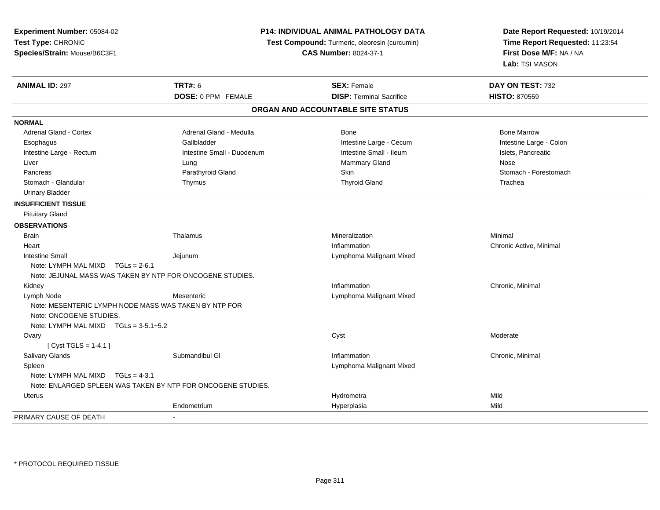| Experiment Number: 05084-02                                                      | <b>P14: INDIVIDUAL ANIMAL PATHOLOGY DATA</b><br>Test Compound: Turmeric, oleoresin (curcumin) |                                   | Date Report Requested: 10/19/2014<br>Time Report Requested: 11:23:54 |
|----------------------------------------------------------------------------------|-----------------------------------------------------------------------------------------------|-----------------------------------|----------------------------------------------------------------------|
| Test Type: CHRONIC                                                               |                                                                                               |                                   |                                                                      |
| Species/Strain: Mouse/B6C3F1                                                     |                                                                                               | <b>CAS Number: 8024-37-1</b>      | First Dose M/F: NA / NA                                              |
|                                                                                  |                                                                                               |                                   | Lab: TSI MASON                                                       |
| <b>ANIMAL ID: 297</b>                                                            | <b>TRT#: 6</b>                                                                                | <b>SEX: Female</b>                | DAY ON TEST: 732                                                     |
|                                                                                  | DOSE: 0 PPM FEMALE                                                                            | <b>DISP: Terminal Sacrifice</b>   | <b>HISTO: 870559</b>                                                 |
|                                                                                  |                                                                                               | ORGAN AND ACCOUNTABLE SITE STATUS |                                                                      |
| <b>NORMAL</b>                                                                    |                                                                                               |                                   |                                                                      |
| <b>Adrenal Gland - Cortex</b>                                                    | Adrenal Gland - Medulla                                                                       | Bone                              | <b>Bone Marrow</b>                                                   |
| Esophagus                                                                        | Gallbladder                                                                                   | Intestine Large - Cecum           | Intestine Large - Colon                                              |
| Intestine Large - Rectum                                                         | Intestine Small - Duodenum                                                                    | Intestine Small - Ileum           | Islets, Pancreatic                                                   |
| Liver                                                                            | Lung                                                                                          | Mammary Gland                     | Nose                                                                 |
| Pancreas                                                                         | Parathyroid Gland                                                                             | Skin                              | Stomach - Forestomach                                                |
| Stomach - Glandular                                                              | Thymus                                                                                        | <b>Thyroid Gland</b>              | Trachea                                                              |
| <b>Urinary Bladder</b>                                                           |                                                                                               |                                   |                                                                      |
| <b>INSUFFICIENT TISSUE</b>                                                       |                                                                                               |                                   |                                                                      |
| <b>Pituitary Gland</b>                                                           |                                                                                               |                                   |                                                                      |
| <b>OBSERVATIONS</b>                                                              |                                                                                               |                                   |                                                                      |
| <b>Brain</b>                                                                     | Thalamus                                                                                      | Mineralization                    | Minimal                                                              |
| Heart                                                                            |                                                                                               | Inflammation                      | Chronic Active, Minimal                                              |
| <b>Intestine Small</b>                                                           | Jejunum                                                                                       | Lymphoma Malignant Mixed          |                                                                      |
| Note: LYMPH MAL MIXD $TGLs = 2-6.1$                                              |                                                                                               |                                   |                                                                      |
|                                                                                  | Note: JEJUNAL MASS WAS TAKEN BY NTP FOR ONCOGENE STUDIES.                                     |                                   |                                                                      |
| Kidney                                                                           |                                                                                               | Inflammation                      | Chronic, Minimal                                                     |
| Lymph Node                                                                       | Mesenteric                                                                                    | Lymphoma Malignant Mixed          |                                                                      |
| Note: MESENTERIC LYMPH NODE MASS WAS TAKEN BY NTP FOR<br>Note: ONCOGENE STUDIES. |                                                                                               |                                   |                                                                      |
| Note: LYMPH MAL MIXD $TGLs = 3-5.1+5.2$                                          |                                                                                               |                                   |                                                                      |
| Ovary<br>[Cyst TGLS = $1-4.1$ ]                                                  |                                                                                               | Cyst                              | Moderate                                                             |
| Salivary Glands                                                                  | Submandibul GI                                                                                | Inflammation                      | Chronic, Minimal                                                     |
| Spleen                                                                           |                                                                                               | Lymphoma Malignant Mixed          |                                                                      |
| Note: LYMPH MAL MIXD $TGLs = 4-3.1$                                              |                                                                                               |                                   |                                                                      |
|                                                                                  | Note: ENLARGED SPLEEN WAS TAKEN BY NTP FOR ONCOGENE STUDIES.                                  |                                   |                                                                      |
| Uterus                                                                           |                                                                                               | Hydrometra                        | Mild                                                                 |
|                                                                                  | Endometrium                                                                                   | Hyperplasia                       | Mild                                                                 |
| PRIMARY CAUSE OF DEATH                                                           |                                                                                               |                                   |                                                                      |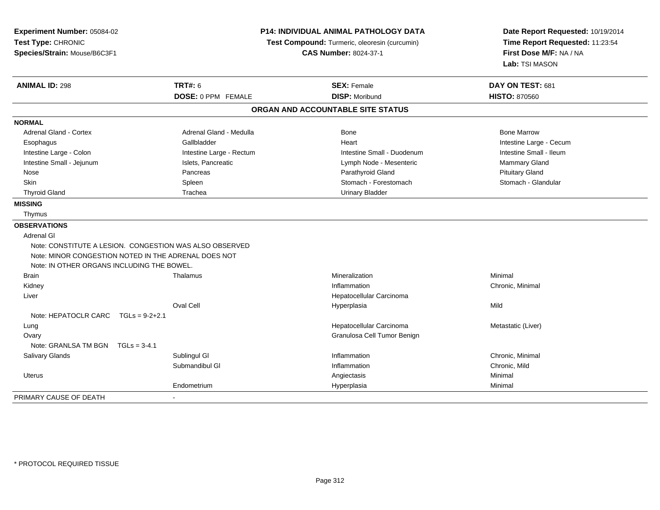| Experiment Number: 05084-02<br>Test Type: CHRONIC<br>Species/Strain: Mouse/B6C3F1                  | <b>P14: INDIVIDUAL ANIMAL PATHOLOGY DATA</b><br>Test Compound: Turmeric, oleoresin (curcumin)<br><b>CAS Number: 8024-37-1</b> |                                   | Date Report Requested: 10/19/2014<br>Time Report Requested: 11:23:54<br>First Dose M/F: NA / NA<br>Lab: TSI MASON |
|----------------------------------------------------------------------------------------------------|-------------------------------------------------------------------------------------------------------------------------------|-----------------------------------|-------------------------------------------------------------------------------------------------------------------|
| <b>ANIMAL ID: 298</b>                                                                              | <b>TRT#: 6</b>                                                                                                                | <b>SEX: Female</b>                | DAY ON TEST: 681                                                                                                  |
|                                                                                                    | DOSE: 0 PPM FEMALE                                                                                                            | <b>DISP: Moribund</b>             | <b>HISTO: 870560</b>                                                                                              |
|                                                                                                    |                                                                                                                               | ORGAN AND ACCOUNTABLE SITE STATUS |                                                                                                                   |
| <b>NORMAL</b>                                                                                      |                                                                                                                               |                                   |                                                                                                                   |
| <b>Adrenal Gland - Cortex</b>                                                                      | Adrenal Gland - Medulla                                                                                                       | Bone                              | <b>Bone Marrow</b>                                                                                                |
| Esophagus                                                                                          | Gallbladder                                                                                                                   | Heart                             | Intestine Large - Cecum                                                                                           |
| Intestine Large - Colon                                                                            | Intestine Large - Rectum                                                                                                      | Intestine Small - Duodenum        | Intestine Small - Ileum                                                                                           |
| Intestine Small - Jejunum                                                                          | Islets, Pancreatic                                                                                                            | Lymph Node - Mesenteric           | Mammary Gland                                                                                                     |
| Nose                                                                                               | Pancreas                                                                                                                      | Parathyroid Gland                 | <b>Pituitary Gland</b>                                                                                            |
| Skin                                                                                               | Spleen                                                                                                                        | Stomach - Forestomach             | Stomach - Glandular                                                                                               |
| <b>Thyroid Gland</b>                                                                               | Trachea                                                                                                                       | <b>Urinary Bladder</b>            |                                                                                                                   |
| <b>MISSING</b>                                                                                     |                                                                                                                               |                                   |                                                                                                                   |
| Thymus                                                                                             |                                                                                                                               |                                   |                                                                                                                   |
| <b>OBSERVATIONS</b>                                                                                |                                                                                                                               |                                   |                                                                                                                   |
| Adrenal GI                                                                                         |                                                                                                                               |                                   |                                                                                                                   |
| Note: CONSTITUTE A LESION. CONGESTION WAS ALSO OBSERVED                                            |                                                                                                                               |                                   |                                                                                                                   |
| Note: MINOR CONGESTION NOTED IN THE ADRENAL DOES NOT<br>Note: IN OTHER ORGANS INCLUDING THE BOWEL. |                                                                                                                               |                                   |                                                                                                                   |
| <b>Brain</b>                                                                                       | Thalamus                                                                                                                      | Mineralization                    | Minimal                                                                                                           |
| Kidney                                                                                             |                                                                                                                               | Inflammation                      | Chronic, Minimal                                                                                                  |
| Liver                                                                                              |                                                                                                                               | Hepatocellular Carcinoma          |                                                                                                                   |
|                                                                                                    | <b>Oval Cell</b>                                                                                                              | Hyperplasia                       | Mild                                                                                                              |
| Note: HEPATOCLR CARC<br>$TGLs = 9-2+2.1$                                                           |                                                                                                                               |                                   |                                                                                                                   |
| Lung                                                                                               |                                                                                                                               | Hepatocellular Carcinoma          | Metastatic (Liver)                                                                                                |
| Ovary                                                                                              |                                                                                                                               | Granulosa Cell Tumor Benign       |                                                                                                                   |
| Note: GRANLSA TM BGN $TGLs = 3-4.1$                                                                |                                                                                                                               |                                   |                                                                                                                   |
| Salivary Glands                                                                                    | Sublingul GI                                                                                                                  | Inflammation                      | Chronic, Minimal                                                                                                  |
|                                                                                                    | Submandibul GI                                                                                                                | Inflammation                      | Chronic, Mild                                                                                                     |
| Uterus                                                                                             |                                                                                                                               | Angiectasis                       | Minimal                                                                                                           |
|                                                                                                    | Endometrium                                                                                                                   | Hyperplasia                       | Minimal                                                                                                           |
| PRIMARY CAUSE OF DEATH                                                                             |                                                                                                                               |                                   |                                                                                                                   |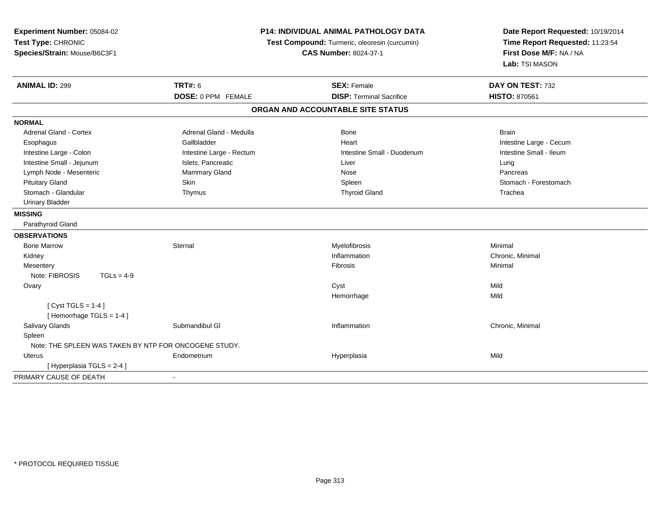| Experiment Number: 05084-02<br>Test Type: CHRONIC<br>Species/Strain: Mouse/B6C3F1 | <b>P14: INDIVIDUAL ANIMAL PATHOLOGY DATA</b><br>Test Compound: Turmeric, oleoresin (curcumin)<br><b>CAS Number: 8024-37-1</b> |                                   | Date Report Requested: 10/19/2014<br>Time Report Requested: 11:23:54<br>First Dose M/F: NA / NA<br>Lab: TSI MASON |  |
|-----------------------------------------------------------------------------------|-------------------------------------------------------------------------------------------------------------------------------|-----------------------------------|-------------------------------------------------------------------------------------------------------------------|--|
| <b>ANIMAL ID: 299</b>                                                             | <b>TRT#: 6</b>                                                                                                                | <b>SEX: Female</b>                | DAY ON TEST: 732                                                                                                  |  |
|                                                                                   | <b>DOSE: 0 PPM FEMALE</b>                                                                                                     | <b>DISP: Terminal Sacrifice</b>   | <b>HISTO: 870561</b>                                                                                              |  |
|                                                                                   |                                                                                                                               | ORGAN AND ACCOUNTABLE SITE STATUS |                                                                                                                   |  |
| <b>NORMAL</b>                                                                     |                                                                                                                               |                                   |                                                                                                                   |  |
| <b>Adrenal Gland - Cortex</b>                                                     | Adrenal Gland - Medulla                                                                                                       | <b>Bone</b>                       | <b>Brain</b>                                                                                                      |  |
| Esophagus                                                                         | Gallbladder                                                                                                                   | Heart                             | Intestine Large - Cecum                                                                                           |  |
| Intestine Large - Colon                                                           | Intestine Large - Rectum                                                                                                      | Intestine Small - Duodenum        | Intestine Small - Ileum                                                                                           |  |
| Intestine Small - Jejunum                                                         | Islets, Pancreatic                                                                                                            | Liver                             | Lung                                                                                                              |  |
| Lymph Node - Mesenteric                                                           | Mammary Gland                                                                                                                 | Nose                              | Pancreas                                                                                                          |  |
| <b>Pituitary Gland</b>                                                            | Skin                                                                                                                          | Spleen                            | Stomach - Forestomach                                                                                             |  |
| Stomach - Glandular                                                               | Thymus                                                                                                                        | <b>Thyroid Gland</b>              | Trachea                                                                                                           |  |
| <b>Urinary Bladder</b>                                                            |                                                                                                                               |                                   |                                                                                                                   |  |
| <b>MISSING</b>                                                                    |                                                                                                                               |                                   |                                                                                                                   |  |
| Parathyroid Gland                                                                 |                                                                                                                               |                                   |                                                                                                                   |  |
| <b>OBSERVATIONS</b>                                                               |                                                                                                                               |                                   |                                                                                                                   |  |
| <b>Bone Marrow</b>                                                                | Sternal                                                                                                                       | Myelofibrosis                     | Minimal                                                                                                           |  |
| Kidney                                                                            |                                                                                                                               | Inflammation                      | Chronic, Minimal                                                                                                  |  |
| Mesentery                                                                         |                                                                                                                               | Fibrosis                          | Minimal                                                                                                           |  |
| Note: FIBROSIS<br>$TGLs = 4-9$                                                    |                                                                                                                               |                                   |                                                                                                                   |  |
| Ovary                                                                             |                                                                                                                               | Cyst                              | Mild                                                                                                              |  |
|                                                                                   |                                                                                                                               | Hemorrhage                        | Mild                                                                                                              |  |
| [Cyst TGLS = $1-4$ ]<br>[Hemorrhage TGLS = 1-4]                                   |                                                                                                                               |                                   |                                                                                                                   |  |
| Salivary Glands                                                                   | Submandibul GI                                                                                                                | Inflammation                      | Chronic, Minimal                                                                                                  |  |
| Spleen                                                                            |                                                                                                                               |                                   |                                                                                                                   |  |
| Note: THE SPLEEN WAS TAKEN BY NTP FOR ONCOGENE STUDY.                             |                                                                                                                               |                                   |                                                                                                                   |  |
| Uterus                                                                            | Endometrium                                                                                                                   | Hyperplasia                       | Mild                                                                                                              |  |
| [ Hyperplasia TGLS = 2-4 ]                                                        |                                                                                                                               |                                   |                                                                                                                   |  |
| PRIMARY CAUSE OF DEATH                                                            | $\sim$                                                                                                                        |                                   |                                                                                                                   |  |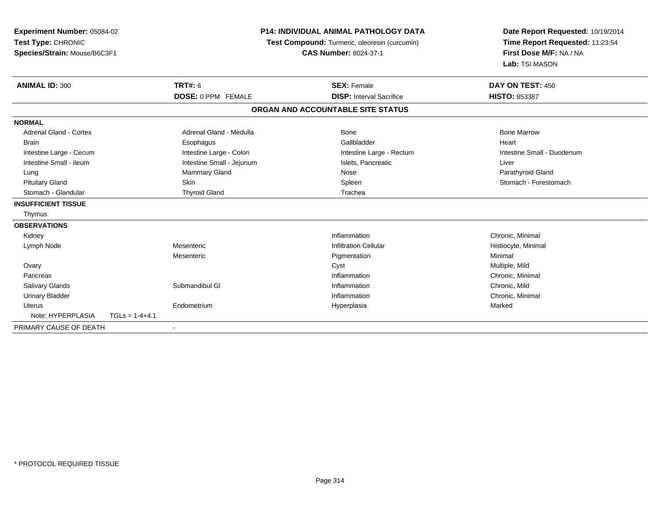| Experiment Number: 05084-02<br>Test Type: CHRONIC<br>Species/Strain: Mouse/B6C3F1 |                  |                           | <b>P14: INDIVIDUAL ANIMAL PATHOLOGY DATA</b><br>Test Compound: Turmeric, oleoresin (curcumin)<br><b>CAS Number: 8024-37-1</b> |                                   | Date Report Requested: 10/19/2014<br>Time Report Requested: 11:23:54<br>First Dose M/F: NA / NA<br>Lab: TSI MASON |  |
|-----------------------------------------------------------------------------------|------------------|---------------------------|-------------------------------------------------------------------------------------------------------------------------------|-----------------------------------|-------------------------------------------------------------------------------------------------------------------|--|
| <b>ANIMAL ID: 300</b>                                                             |                  | <b>TRT#: 6</b>            |                                                                                                                               | <b>SEX: Female</b>                | DAY ON TEST: 450                                                                                                  |  |
|                                                                                   |                  | <b>DOSE: 0 PPM FEMALE</b> |                                                                                                                               | <b>DISP: Interval Sacrifice</b>   | <b>HISTO: 853387</b>                                                                                              |  |
|                                                                                   |                  |                           |                                                                                                                               | ORGAN AND ACCOUNTABLE SITE STATUS |                                                                                                                   |  |
| <b>NORMAL</b>                                                                     |                  |                           |                                                                                                                               |                                   |                                                                                                                   |  |
| <b>Adrenal Gland - Cortex</b>                                                     |                  | Adrenal Gland - Medulla   |                                                                                                                               | <b>Bone</b>                       | <b>Bone Marrow</b>                                                                                                |  |
| <b>Brain</b>                                                                      |                  | Esophagus                 |                                                                                                                               | Gallbladder                       | Heart                                                                                                             |  |
| Intestine Large - Cecum                                                           |                  | Intestine Large - Colon   |                                                                                                                               | Intestine Large - Rectum          | Intestine Small - Duodenum                                                                                        |  |
| Intestine Small - Ileum                                                           |                  | Intestine Small - Jejunum |                                                                                                                               | Islets, Pancreatic                | Liver                                                                                                             |  |
| Lung                                                                              |                  | Mammary Gland             |                                                                                                                               | Nose                              | Parathyroid Gland                                                                                                 |  |
| <b>Pituitary Gland</b>                                                            |                  | <b>Skin</b>               |                                                                                                                               | Spleen                            | Stomach - Forestomach                                                                                             |  |
| Stomach - Glandular                                                               |                  | <b>Thyroid Gland</b>      |                                                                                                                               | Trachea                           |                                                                                                                   |  |
| <b>INSUFFICIENT TISSUE</b>                                                        |                  |                           |                                                                                                                               |                                   |                                                                                                                   |  |
| Thymus                                                                            |                  |                           |                                                                                                                               |                                   |                                                                                                                   |  |
| <b>OBSERVATIONS</b>                                                               |                  |                           |                                                                                                                               |                                   |                                                                                                                   |  |
| Kidney                                                                            |                  |                           |                                                                                                                               | Inflammation                      | Chronic, Minimal                                                                                                  |  |
| Lymph Node                                                                        |                  | Mesenteric                |                                                                                                                               | <b>Infiltration Cellular</b>      | Histiocyte, Minimal                                                                                               |  |
|                                                                                   |                  | Mesenteric                |                                                                                                                               | Pigmentation                      | Minimal                                                                                                           |  |
| Ovary                                                                             |                  |                           |                                                                                                                               | Cyst                              | Multiple, Mild                                                                                                    |  |
| Pancreas                                                                          |                  |                           |                                                                                                                               | Inflammation                      | Chronic, Minimal                                                                                                  |  |
| <b>Salivary Glands</b>                                                            |                  | Submandibul GI            |                                                                                                                               | Inflammation                      | Chronic, Mild                                                                                                     |  |
| <b>Urinary Bladder</b>                                                            |                  |                           |                                                                                                                               | Inflammation                      | Chronic, Minimal                                                                                                  |  |
| <b>Uterus</b>                                                                     |                  | Endometrium               |                                                                                                                               | Hyperplasia                       | Marked                                                                                                            |  |
| Note: HYPERPLASIA                                                                 | $TGLs = 1-4+4.1$ |                           |                                                                                                                               |                                   |                                                                                                                   |  |
| PRIMARY CAUSE OF DEATH                                                            |                  |                           |                                                                                                                               |                                   |                                                                                                                   |  |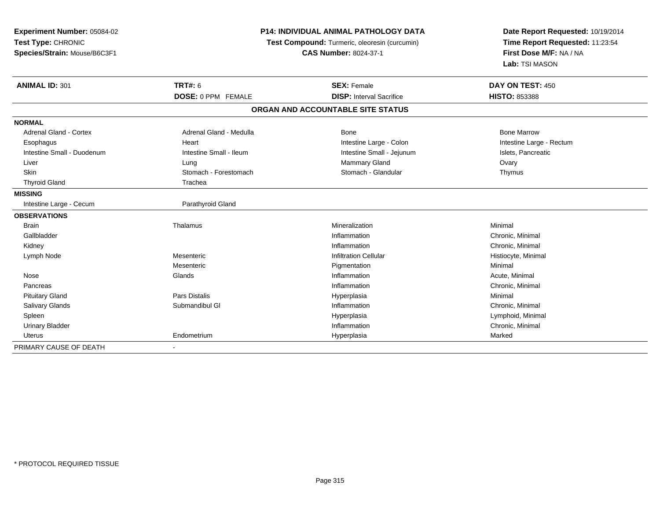| <b>Experiment Number: 05084-02</b> |                           | <b>P14: INDIVIDUAL ANIMAL PATHOLOGY DATA</b>  | Date Report Requested: 10/19/2014<br>Time Report Requested: 11:23:54<br>First Dose M/F: NA / NA |  |
|------------------------------------|---------------------------|-----------------------------------------------|-------------------------------------------------------------------------------------------------|--|
| Test Type: CHRONIC                 |                           | Test Compound: Turmeric, oleoresin (curcumin) |                                                                                                 |  |
| Species/Strain: Mouse/B6C3F1       |                           | <b>CAS Number: 8024-37-1</b>                  |                                                                                                 |  |
|                                    |                           |                                               | Lab: TSI MASON                                                                                  |  |
| <b>ANIMAL ID: 301</b>              | TRT#: 6                   | <b>SEX: Female</b>                            | DAY ON TEST: 450                                                                                |  |
|                                    | <b>DOSE: 0 PPM FEMALE</b> | <b>DISP: Interval Sacrifice</b>               | HISTO: 853388                                                                                   |  |
|                                    |                           | ORGAN AND ACCOUNTABLE SITE STATUS             |                                                                                                 |  |
| <b>NORMAL</b>                      |                           |                                               |                                                                                                 |  |
| <b>Adrenal Gland - Cortex</b>      | Adrenal Gland - Medulla   | <b>Bone</b>                                   | <b>Bone Marrow</b>                                                                              |  |
| Esophagus                          | Heart                     | Intestine Large - Colon                       | Intestine Large - Rectum                                                                        |  |
| Intestine Small - Duodenum         | Intestine Small - Ileum   | Intestine Small - Jejunum                     | Islets, Pancreatic                                                                              |  |
| Liver                              | Lung                      | Mammary Gland                                 | Ovary                                                                                           |  |
| Skin                               | Stomach - Forestomach     | Stomach - Glandular                           | Thymus                                                                                          |  |
| <b>Thyroid Gland</b>               | Trachea                   |                                               |                                                                                                 |  |
| <b>MISSING</b>                     |                           |                                               |                                                                                                 |  |
| Intestine Large - Cecum            | Parathyroid Gland         |                                               |                                                                                                 |  |
| <b>OBSERVATIONS</b>                |                           |                                               |                                                                                                 |  |
| <b>Brain</b>                       | Thalamus                  | Mineralization                                | Minimal                                                                                         |  |
| Gallbladder                        |                           | Inflammation                                  | Chronic, Minimal                                                                                |  |
| Kidney                             |                           | Inflammation                                  | Chronic, Minimal                                                                                |  |
| Lymph Node                         | Mesenteric                | <b>Infiltration Cellular</b>                  | Histiocyte, Minimal                                                                             |  |
|                                    | Mesenteric                | Pigmentation                                  | Minimal                                                                                         |  |
| Nose                               | Glands                    | Inflammation                                  | Acute, Minimal                                                                                  |  |
| Pancreas                           |                           | Inflammation                                  | Chronic, Minimal                                                                                |  |
| <b>Pituitary Gland</b>             | Pars Distalis             | Hyperplasia                                   | Minimal                                                                                         |  |
| Salivary Glands                    | Submandibul GI            | Inflammation                                  | Chronic, Minimal                                                                                |  |
| Spleen                             |                           | Hyperplasia                                   | Lymphoid, Minimal                                                                               |  |
| <b>Urinary Bladder</b>             |                           | Inflammation                                  | Chronic, Minimal                                                                                |  |
| Uterus                             | Endometrium               | Hyperplasia                                   | Marked                                                                                          |  |
| PRIMARY CAUSE OF DEATH             | $\blacksquare$            |                                               |                                                                                                 |  |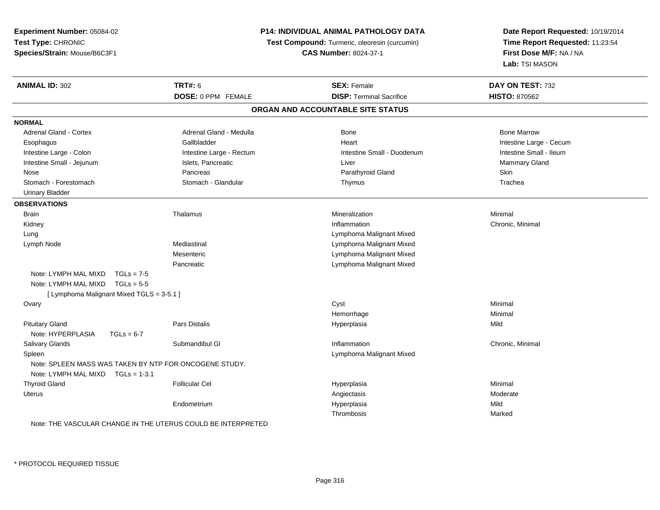| Experiment Number: 05084-02<br>Test Type: CHRONIC      |                          | P14: INDIVIDUAL ANIMAL PATHOLOGY DATA         | Date Report Requested: 10/19/2014<br>Time Report Requested: 11:23:54 |  |
|--------------------------------------------------------|--------------------------|-----------------------------------------------|----------------------------------------------------------------------|--|
|                                                        |                          | Test Compound: Turmeric, oleoresin (curcumin) |                                                                      |  |
| Species/Strain: Mouse/B6C3F1                           |                          | <b>CAS Number: 8024-37-1</b>                  | First Dose M/F: NA / NA                                              |  |
|                                                        |                          |                                               | Lab: TSI MASON                                                       |  |
| <b>ANIMAL ID: 302</b>                                  | <b>TRT#: 6</b>           | <b>SEX: Female</b>                            | DAY ON TEST: 732                                                     |  |
|                                                        | DOSE: 0 PPM FEMALE       | <b>DISP: Terminal Sacrifice</b>               | <b>HISTO: 870562</b>                                                 |  |
|                                                        |                          | ORGAN AND ACCOUNTABLE SITE STATUS             |                                                                      |  |
| <b>NORMAL</b>                                          |                          |                                               |                                                                      |  |
| <b>Adrenal Gland - Cortex</b>                          | Adrenal Gland - Medulla  | <b>Bone</b>                                   | <b>Bone Marrow</b>                                                   |  |
| Esophagus                                              | Gallbladder              | Heart                                         | Intestine Large - Cecum                                              |  |
| Intestine Large - Colon                                | Intestine Large - Rectum | Intestine Small - Duodenum                    | Intestine Small - Ileum                                              |  |
| Intestine Small - Jejunum                              | Islets, Pancreatic       | Liver                                         | Mammary Gland                                                        |  |
| Nose                                                   | Pancreas                 | Parathyroid Gland                             | Skin                                                                 |  |
| Stomach - Forestomach                                  | Stomach - Glandular      | Thymus                                        | Trachea                                                              |  |
| <b>Urinary Bladder</b>                                 |                          |                                               |                                                                      |  |
| <b>OBSERVATIONS</b>                                    |                          |                                               |                                                                      |  |
| <b>Brain</b>                                           | Thalamus                 | Mineralization                                | Minimal                                                              |  |
| Kidney                                                 |                          | Inflammation                                  | Chronic, Minimal                                                     |  |
| Lung                                                   |                          | Lymphoma Malignant Mixed                      |                                                                      |  |
| Lymph Node                                             | Mediastinal              | Lymphoma Malignant Mixed                      |                                                                      |  |
|                                                        | Mesenteric               | Lymphoma Malignant Mixed                      |                                                                      |  |
|                                                        | Pancreatic               | Lymphoma Malignant Mixed                      |                                                                      |  |
| Note: LYMPH MAL MIXD<br>$TGLs = 7-5$                   |                          |                                               |                                                                      |  |
| Note: LYMPH MAL MIXD<br>$TGLs = 5-5$                   |                          |                                               |                                                                      |  |
| [ Lymphoma Malignant Mixed TGLS = 3-5.1 ]              |                          |                                               |                                                                      |  |
| Ovary                                                  |                          | Cyst                                          | Minimal                                                              |  |
|                                                        |                          | Hemorrhage                                    | Minimal                                                              |  |
| <b>Pituitary Gland</b>                                 | Pars Distalis            | Hyperplasia                                   | Mild                                                                 |  |
| Note: HYPERPLASIA<br>$TGLs = 6-7$                      |                          |                                               |                                                                      |  |
| Salivary Glands                                        | Submandibul GI           | Inflammation                                  | Chronic, Minimal                                                     |  |
| Spleen                                                 |                          | Lymphoma Malignant Mixed                      |                                                                      |  |
| Note: SPLEEN MASS WAS TAKEN BY NTP FOR ONCOGENE STUDY. |                          |                                               |                                                                      |  |
| Note: LYMPH MAL MIXD TGLs = 1-3.1                      |                          |                                               |                                                                      |  |
| <b>Thyroid Gland</b>                                   | <b>Follicular Cel</b>    | Hyperplasia                                   | Minimal                                                              |  |
| Uterus                                                 |                          | Angiectasis                                   | Moderate                                                             |  |
|                                                        | Endometrium              | Hyperplasia                                   | Mild                                                                 |  |
|                                                        |                          | Thrombosis                                    | Marked                                                               |  |

Note: THE VASCULAR CHANGE IN THE UTERUS COULD BE INTERPRETED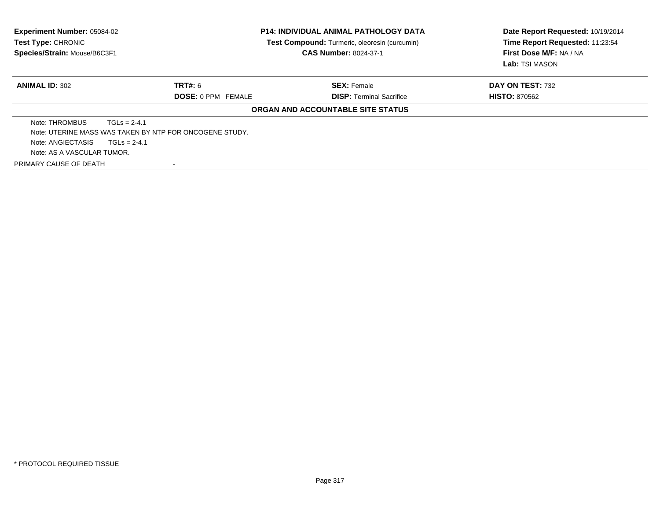| <b>Experiment Number: 05084-02</b><br>Test Type: CHRONIC<br>Species/Strain: Mouse/B6C3F1 |                                                         | P14: INDIVIDUAL ANIMAL PATHOLOGY DATA<br><b>Test Compound:</b> Turmeric, oleoresin (curcumin) | Date Report Requested: 10/19/2014<br>Time Report Requested: 11:23:54 |
|------------------------------------------------------------------------------------------|---------------------------------------------------------|-----------------------------------------------------------------------------------------------|----------------------------------------------------------------------|
|                                                                                          |                                                         | <b>CAS Number: 8024-37-1</b>                                                                  | First Dose M/F: NA / NA                                              |
|                                                                                          |                                                         |                                                                                               | Lab: TSI MASON                                                       |
| <b>ANIMAL ID: 302</b>                                                                    | TRT#: 6                                                 | <b>SEX: Female</b>                                                                            | DAY ON TEST: 732                                                     |
|                                                                                          | <b>DOSE: 0 PPM FEMALE</b>                               | <b>DISP:</b> Terminal Sacrifice                                                               | <b>HISTO: 870562</b>                                                 |
|                                                                                          |                                                         | <b>ORGAN AND ACCOUNTABLE SITE STATUS</b>                                                      |                                                                      |
| Note: THROMBUS                                                                           | $TGLs = 2-4.1$                                          |                                                                                               |                                                                      |
|                                                                                          | Note: UTERINE MASS WAS TAKEN BY NTP FOR ONCOGENE STUDY. |                                                                                               |                                                                      |
| Note: ANGIECTASIS                                                                        | $TGLs = 2-4.1$                                          |                                                                                               |                                                                      |
| Note: AS A VASCULAR TUMOR.                                                               |                                                         |                                                                                               |                                                                      |
| PRIMARY CAUSE OF DEATH                                                                   |                                                         |                                                                                               |                                                                      |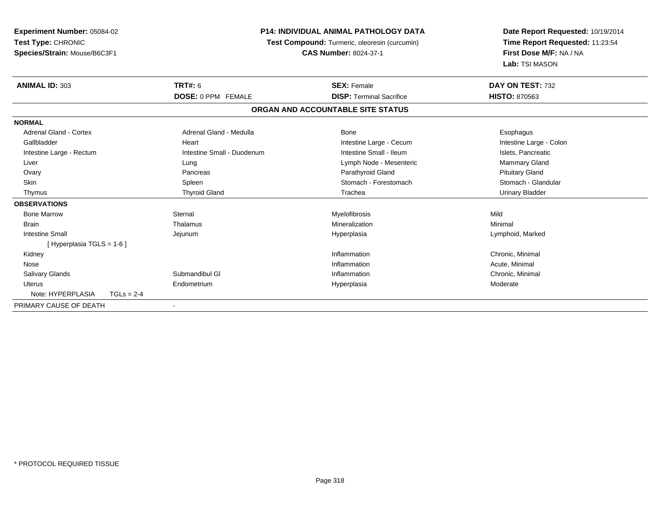| <b>Experiment Number: 05084-02</b><br>Test Type: CHRONIC |              |                                               | <b>P14: INDIVIDUAL ANIMAL PATHOLOGY DATA</b> | Date Report Requested: 10/19/2014 |  |
|----------------------------------------------------------|--------------|-----------------------------------------------|----------------------------------------------|-----------------------------------|--|
|                                                          |              | Test Compound: Turmeric, oleoresin (curcumin) |                                              | Time Report Requested: 11:23:54   |  |
| Species/Strain: Mouse/B6C3F1                             |              |                                               | <b>CAS Number: 8024-37-1</b>                 | First Dose M/F: NA / NA           |  |
|                                                          |              |                                               |                                              | Lab: TSI MASON                    |  |
| <b>ANIMAL ID: 303</b>                                    |              | <b>TRT#: 6</b>                                | <b>SEX: Female</b>                           | DAY ON TEST: 732                  |  |
|                                                          |              | <b>DOSE: 0 PPM FEMALE</b>                     | <b>DISP: Terminal Sacrifice</b>              | <b>HISTO: 870563</b>              |  |
|                                                          |              |                                               | ORGAN AND ACCOUNTABLE SITE STATUS            |                                   |  |
| <b>NORMAL</b>                                            |              |                                               |                                              |                                   |  |
| Adrenal Gland - Cortex                                   |              | Adrenal Gland - Medulla                       | Bone                                         | Esophagus                         |  |
| Gallbladder                                              |              | Heart                                         | Intestine Large - Cecum                      | Intestine Large - Colon           |  |
| Intestine Large - Rectum                                 |              | Intestine Small - Duodenum                    | Intestine Small - Ileum                      | Islets, Pancreatic                |  |
| Liver                                                    |              | Lung                                          | Lymph Node - Mesenteric                      | Mammary Gland                     |  |
| Ovary                                                    |              | Pancreas                                      | Parathyroid Gland                            | <b>Pituitary Gland</b>            |  |
| Skin                                                     |              | Spleen                                        | Stomach - Forestomach                        | Stomach - Glandular               |  |
| Thymus                                                   |              | <b>Thyroid Gland</b>                          | Trachea                                      | <b>Urinary Bladder</b>            |  |
| <b>OBSERVATIONS</b>                                      |              |                                               |                                              |                                   |  |
| <b>Bone Marrow</b>                                       |              | Sternal                                       | Myelofibrosis                                | Mild                              |  |
| <b>Brain</b>                                             |              | Thalamus                                      | Mineralization                               | Minimal                           |  |
| <b>Intestine Small</b>                                   |              | Jejunum                                       | Hyperplasia                                  | Lymphoid, Marked                  |  |
| [Hyperplasia TGLS = 1-6]                                 |              |                                               |                                              |                                   |  |
| Kidney                                                   |              |                                               | Inflammation                                 | Chronic, Minimal                  |  |
| Nose                                                     |              |                                               | Inflammation                                 | Acute, Minimal                    |  |
| <b>Salivary Glands</b>                                   |              | Submandibul GI                                | Inflammation                                 | Chronic, Minimal                  |  |
| <b>Uterus</b>                                            |              | Endometrium                                   | Hyperplasia                                  | Moderate                          |  |
| Note: HYPERPLASIA                                        | $TGLs = 2-4$ |                                               |                                              |                                   |  |
| PRIMARY CAUSE OF DEATH                                   |              |                                               |                                              |                                   |  |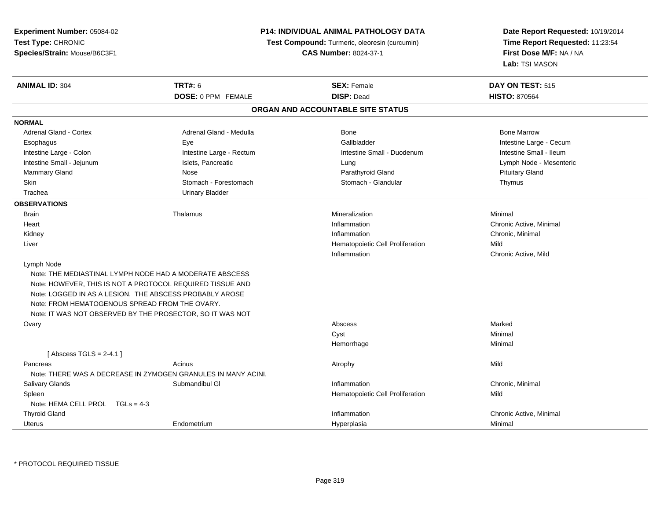**Experiment Number:** 05084-02**Test Type:** CHRONIC**Species/Strain:** Mouse/B6C3F1

## **P14: INDIVIDUAL ANIMAL PATHOLOGY DATA**

**Test Compound:** Turmeric, oleoresin (curcumin)

**CAS Number:** 8024-37-1

**Date Report Requested:** 10/19/2014**Time Report Requested:** 11:23:54**First Dose M/F:** NA / NA**Lab:** TSI MASON

| <b>ANIMAL ID: 304</b>                          | <b>TRT#: 6</b>                                                | <b>SEX: Female</b>                | <b>DAY ON TEST: 515</b> |  |
|------------------------------------------------|---------------------------------------------------------------|-----------------------------------|-------------------------|--|
|                                                | DOSE: 0 PPM FEMALE                                            | <b>DISP: Dead</b>                 | <b>HISTO: 870564</b>    |  |
|                                                |                                                               | ORGAN AND ACCOUNTABLE SITE STATUS |                         |  |
| <b>NORMAL</b>                                  |                                                               |                                   |                         |  |
| <b>Adrenal Gland - Cortex</b>                  | Adrenal Gland - Medulla                                       | <b>Bone</b>                       | <b>Bone Marrow</b>      |  |
| Esophagus                                      | Eye                                                           | Gallbladder                       | Intestine Large - Cecum |  |
| Intestine Large - Colon                        | Intestine Large - Rectum                                      | Intestine Small - Duodenum        | Intestine Small - Ileum |  |
| Intestine Small - Jejunum                      | Islets, Pancreatic                                            | Lung                              | Lymph Node - Mesenteric |  |
| Mammary Gland                                  | Nose                                                          | Parathyroid Gland                 | <b>Pituitary Gland</b>  |  |
| Skin                                           | Stomach - Forestomach                                         | Stomach - Glandular               | Thymus                  |  |
| Trachea                                        | <b>Urinary Bladder</b>                                        |                                   |                         |  |
| <b>OBSERVATIONS</b>                            |                                                               |                                   |                         |  |
| <b>Brain</b>                                   | Thalamus                                                      | Mineralization                    | Minimal                 |  |
| Heart                                          |                                                               | Inflammation                      | Chronic Active, Minimal |  |
| Kidney                                         |                                                               | Inflammation                      | Chronic, Minimal        |  |
| Liver                                          |                                                               | Hematopoietic Cell Proliferation  | Mild                    |  |
|                                                |                                                               | Inflammation                      | Chronic Active, Mild    |  |
| Lymph Node                                     |                                                               |                                   |                         |  |
|                                                | Note: THE MEDIASTINAL LYMPH NODE HAD A MODERATE ABSCESS       |                                   |                         |  |
|                                                | Note: HOWEVER, THIS IS NOT A PROTOCOL REQUIRED TISSUE AND     |                                   |                         |  |
|                                                | Note: LOGGED IN AS A LESION. THE ABSCESS PROBABLY AROSE       |                                   |                         |  |
| Note: FROM HEMATOGENOUS SPREAD FROM THE OVARY. |                                                               |                                   |                         |  |
|                                                | Note: IT WAS NOT OBSERVED BY THE PROSECTOR, SO IT WAS NOT     |                                   |                         |  |
| Ovary                                          |                                                               | Abscess                           | Marked                  |  |
|                                                |                                                               | Cyst                              | Minimal                 |  |
|                                                |                                                               | Hemorrhage                        | Minimal                 |  |
| [Abscess TGLS = $2-4.1$ ]                      |                                                               |                                   |                         |  |
| Pancreas                                       | Acinus                                                        | Atrophy                           | Mild                    |  |
|                                                | Note: THERE WAS A DECREASE IN ZYMOGEN GRANULES IN MANY ACINI. |                                   |                         |  |
| Salivary Glands                                | Submandibul GI                                                | Inflammation                      | Chronic, Minimal        |  |
| Spleen                                         |                                                               | Hematopoietic Cell Proliferation  | Mild                    |  |
| Note: HEMA CELL PROL TGLs = 4-3                |                                                               |                                   |                         |  |
| <b>Thyroid Gland</b>                           |                                                               | Inflammation                      | Chronic Active, Minimal |  |
| Uterus                                         | Endometrium                                                   | Hyperplasia                       | Minimal                 |  |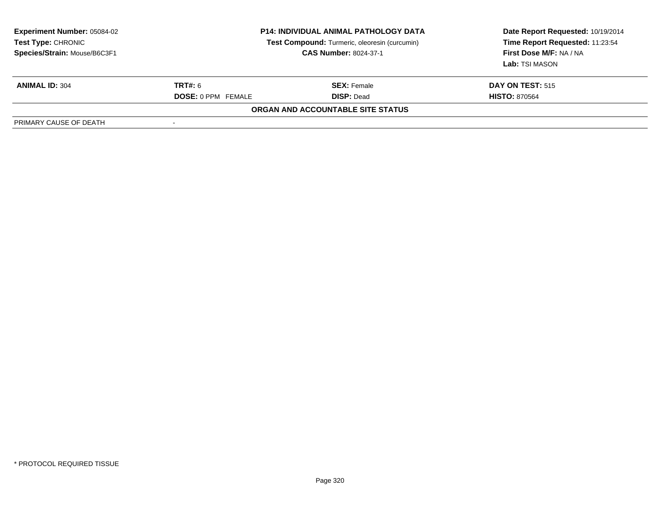| <b>Experiment Number: 05084-02</b><br><b>Test Type: CHRONIC</b><br>Species/Strain: Mouse/B6C3F1 |                           | <b>P14: INDIVIDUAL ANIMAL PATHOLOGY DATA</b><br>Test Compound: Turmeric, oleoresin (curcumin)<br><b>CAS Number: 8024-37-1</b> | Date Report Requested: 10/19/2014<br>Time Report Requested: 11:23:54<br>First Dose M/F: NA / NA<br>Lab: TSI MASON |
|-------------------------------------------------------------------------------------------------|---------------------------|-------------------------------------------------------------------------------------------------------------------------------|-------------------------------------------------------------------------------------------------------------------|
| <b>ANIMAL ID: 304</b>                                                                           | TRT#: 6                   | <b>SEX:</b> Female                                                                                                            | <b>DAY ON TEST: 515</b>                                                                                           |
|                                                                                                 | <b>DOSE: 0 PPM FEMALE</b> | <b>DISP: Dead</b>                                                                                                             | <b>HISTO: 870564</b>                                                                                              |
|                                                                                                 |                           | <b>ORGAN AND ACCOUNTABLE SITE STATUS</b>                                                                                      |                                                                                                                   |
| PRIMARY CAUSE OF DEATH                                                                          | $\overline{\phantom{a}}$  |                                                                                                                               |                                                                                                                   |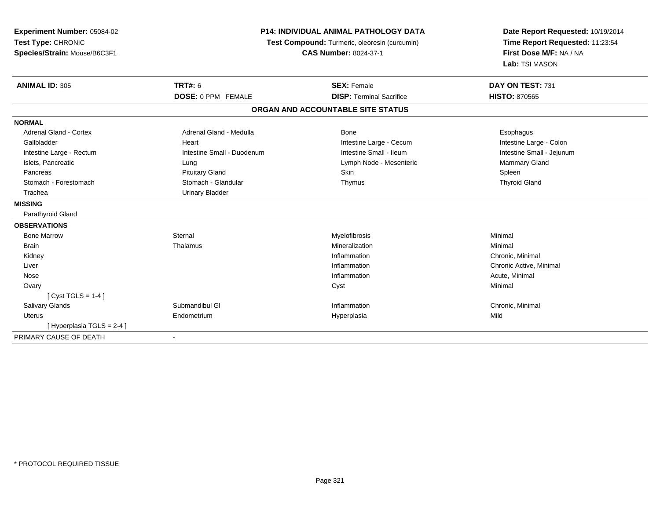| Experiment Number: 05084-02   |                                               | <b>P14: INDIVIDUAL ANIMAL PATHOLOGY DATA</b> | Date Report Requested: 10/19/2014 |  |
|-------------------------------|-----------------------------------------------|----------------------------------------------|-----------------------------------|--|
| Test Type: CHRONIC            | Test Compound: Turmeric, oleoresin (curcumin) |                                              | Time Report Requested: 11:23:54   |  |
| Species/Strain: Mouse/B6C3F1  |                                               | <b>CAS Number: 8024-37-1</b>                 | First Dose M/F: NA / NA           |  |
|                               |                                               |                                              | Lab: TSI MASON                    |  |
| <b>ANIMAL ID: 305</b>         | <b>TRT#: 6</b>                                | <b>SEX: Female</b>                           | DAY ON TEST: 731                  |  |
|                               | DOSE: 0 PPM FEMALE                            | <b>DISP: Terminal Sacrifice</b>              | <b>HISTO: 870565</b>              |  |
|                               |                                               | ORGAN AND ACCOUNTABLE SITE STATUS            |                                   |  |
| <b>NORMAL</b>                 |                                               |                                              |                                   |  |
| <b>Adrenal Gland - Cortex</b> | Adrenal Gland - Medulla                       | Bone                                         | Esophagus                         |  |
| Gallbladder                   | Heart                                         | Intestine Large - Cecum                      | Intestine Large - Colon           |  |
| Intestine Large - Rectum      | Intestine Small - Duodenum                    | Intestine Small - Ileum                      | Intestine Small - Jejunum         |  |
| Islets, Pancreatic            | Lung                                          | Lymph Node - Mesenteric                      | Mammary Gland                     |  |
| Pancreas                      | <b>Pituitary Gland</b>                        | Skin                                         | Spleen                            |  |
| Stomach - Forestomach         | Stomach - Glandular                           | Thymus                                       | <b>Thyroid Gland</b>              |  |
| Trachea                       | <b>Urinary Bladder</b>                        |                                              |                                   |  |
| <b>MISSING</b>                |                                               |                                              |                                   |  |
| Parathyroid Gland             |                                               |                                              |                                   |  |
| <b>OBSERVATIONS</b>           |                                               |                                              |                                   |  |
| <b>Bone Marrow</b>            | Sternal                                       | Myelofibrosis                                | Minimal                           |  |
| <b>Brain</b>                  | Thalamus                                      | Mineralization                               | Minimal                           |  |
| Kidney                        |                                               | Inflammation                                 | Chronic, Minimal                  |  |
| Liver                         |                                               | Inflammation                                 | Chronic Active, Minimal           |  |
| Nose                          |                                               | Inflammation                                 | Acute, Minimal                    |  |
| Ovary                         |                                               | Cyst                                         | Minimal                           |  |
| [ Cyst TGLS = $1-4$ ]         |                                               |                                              |                                   |  |
| Salivary Glands               | Submandibul GI                                | Inflammation                                 | Chronic, Minimal                  |  |
| <b>Uterus</b>                 | Endometrium                                   | Hyperplasia                                  | Mild                              |  |
| [Hyperplasia TGLS = 2-4]      |                                               |                                              |                                   |  |
| PRIMARY CAUSE OF DEATH        |                                               |                                              |                                   |  |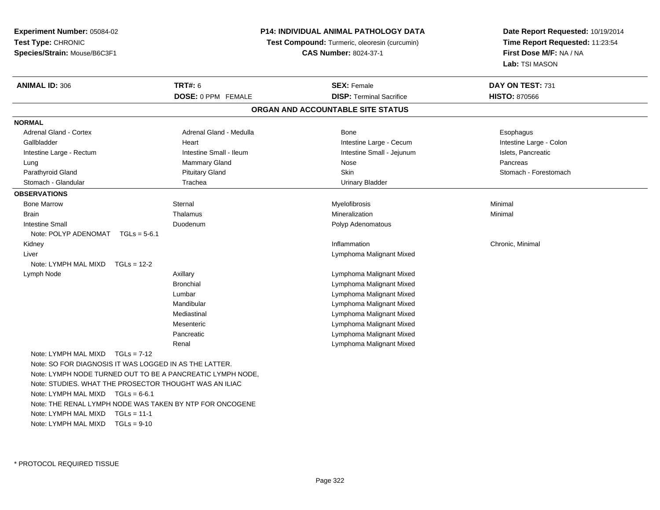**Experiment Number:** 05084-02**Test Type:** CHRONIC **Species/Strain:** Mouse/B6C3F1**P14: INDIVIDUAL ANIMAL PATHOLOGY DATATest Compound:** Turmeric, oleoresin (curcumin)**CAS Number:** 8024-37-1**Date Report Requested:** 10/19/2014**Time Report Requested:** 11:23:54**First Dose M/F:** NA / NA**Lab:** TSI MASON**ANIMAL ID:** 306**6 DAY ON TEST:** 731 **DOSE:** 0 PPM FEMALE**DISP:** Terminal Sacrifice **HISTO:** 870566 **ORGAN AND ACCOUNTABLE SITE STATUSNORMALAdrenal Gland - Cortex** Adrenal Gland - Medulla **Bone** Bone **Bone** Esophagus Esophagus Intestine Large - Colon Gallbladder **East Community Community** Community Heart Heart Intestine Large - Cecum Intestine Large - Cecum Intestine Large - Rectum **Intestine Intestine Small - Ileum** Intestine Small - Intestine Small - Jejunum Intestine Small - Jejunum Islets, Pancreatic Lung Mammary Gland Nose PancreasStomach - Forestomach Parathyroid Gland Stomach - Pituitary Gland School Skin Stomach - Forestomach - Stomach - Stomach - Stomach - Stomach - Stomach - Stomach - Stomach - Stomach - Stomach - Stomach - Stomach - Stomach - Stomach - Stomach - St Stomach - Glandular Trachea Urinary Bladder**OBSERVATIONS** Bone Marroww the sternal sternal the sternal sternal method of the step of Myelofibrosis and Minimal method of Minimal me<br>The step of the step of the step of the step of the step of the step of the step of the step of the step of th **Brain** n and the theorem is the three matter of the matter of the matter of the matter of the matter of the matter of  $M$ inimal  $M$ inimal  $M$ inimal  $M$ inimal  $M$ inimal  $M$ inimal  $M$ inimal  $M$ inimal  $M$ inimal  $M$ inimal  $M$ inimal Intestine Small Duodenum Polyp Adenomatous Note: POLYP ADENOMAT TGLs = 5-6.1 Kidneyy the control of the control of the control of the control of the control of the control of the control of the control of the control of the control of the control of the control of the control of the control of the contro Inflammation **Chronic**, Minimal Liver Lymphoma Malignant MixedNote: LYMPH MAL MIXD TGLs = 12-2 Lymph Node Axillary Lymphoma Malignant Mixed Bronchial Lymphoma Malignant Mixed Lymphoma Malignant MixedLumbar Lymphoma Malignant MixedMandibular Lymphoma Malignant MixedMediastinal Lymphoma Malignant MixedMesenteric Lymphoma Malignant MixedPancreatic Lymphoma Malignant MixedRenalNote: LYMPH MAL MIXD TGLs = 7-12 Note: SO FOR DIAGNOSIS IT WAS LOGGED IN AS THE LATTER.Note: LYMPH NODE TURNED OUT TO BE A PANCREATIC LYMPH NODE,Note: STUDIES. WHAT THE PROSECTOR THOUGHT WAS AN ILIACNote: LYMPH MAL MIXD TGLs = 6-6.1 Note: THE RENAL LYMPH NODE WAS TAKEN BY NTP FOR ONCOGENENote: LYMPH MAL MIXD TGLs = 11-1Note: LYMPH MAL MIXD TGLs = 9-10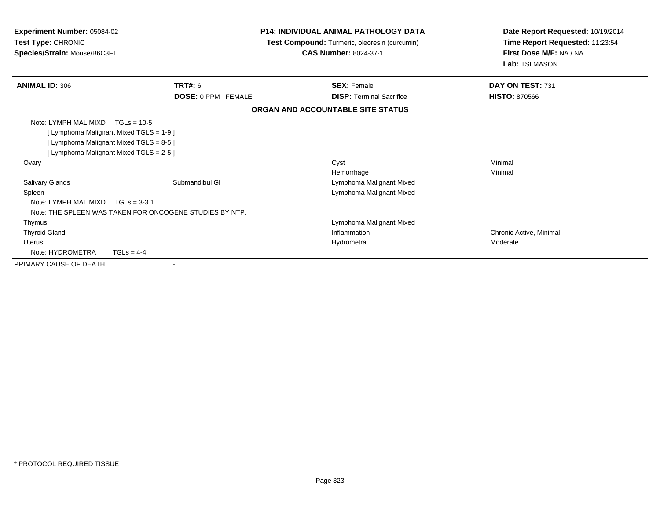| <b>Experiment Number: 05084-02</b><br>Test Type: CHRONIC<br>Species/Strain: Mouse/B6C3F1 |                                                                                                                                                                  | <b>P14: INDIVIDUAL ANIMAL PATHOLOGY DATA</b><br>Test Compound: Turmeric, oleoresin (curcumin)<br><b>CAS Number: 8024-37-1</b> | Date Report Requested: 10/19/2014<br>Time Report Requested: 11:23:54<br>First Dose M/F: NA / NA<br>Lab: TSI MASON |
|------------------------------------------------------------------------------------------|------------------------------------------------------------------------------------------------------------------------------------------------------------------|-------------------------------------------------------------------------------------------------------------------------------|-------------------------------------------------------------------------------------------------------------------|
| <b>ANIMAL ID: 306</b>                                                                    | <b>TRT#: 6</b>                                                                                                                                                   | <b>SEX: Female</b>                                                                                                            | DAY ON TEST: 731                                                                                                  |
|                                                                                          | <b>DOSE: 0 PPM FEMALE</b>                                                                                                                                        | <b>DISP: Terminal Sacrifice</b>                                                                                               | <b>HISTO: 870566</b>                                                                                              |
|                                                                                          |                                                                                                                                                                  | ORGAN AND ACCOUNTABLE SITE STATUS                                                                                             |                                                                                                                   |
| Note: LYMPH MAL MIXD<br>Ovary<br><b>Salivary Glands</b>                                  | $TGLs = 10-5$<br>[ Lymphoma Malignant Mixed TGLS = 1-9 ]<br>[ Lymphoma Malignant Mixed TGLS = 8-5 ]<br>[ Lymphoma Malignant Mixed TGLS = 2-5 ]<br>Submandibul GI | Cyst<br>Hemorrhage<br>Lymphoma Malignant Mixed                                                                                | Minimal<br>Minimal                                                                                                |
| Spleen<br>Note: LYMPH MAL MIXD                                                           | $TGLs = 3-3.1$<br>Note: THE SPLEEN WAS TAKEN FOR ONCOGENE STUDIES BY NTP.                                                                                        | Lymphoma Malignant Mixed                                                                                                      |                                                                                                                   |
| Thymus                                                                                   |                                                                                                                                                                  | Lymphoma Malignant Mixed                                                                                                      |                                                                                                                   |
| <b>Thyroid Gland</b><br><b>Uterus</b><br>Note: HYDROMETRA                                | $TGLS = 4-4$                                                                                                                                                     | Inflammation<br>Hydrometra                                                                                                    | Chronic Active, Minimal<br>Moderate                                                                               |
| PRIMARY CAUSE OF DEATH                                                                   |                                                                                                                                                                  |                                                                                                                               |                                                                                                                   |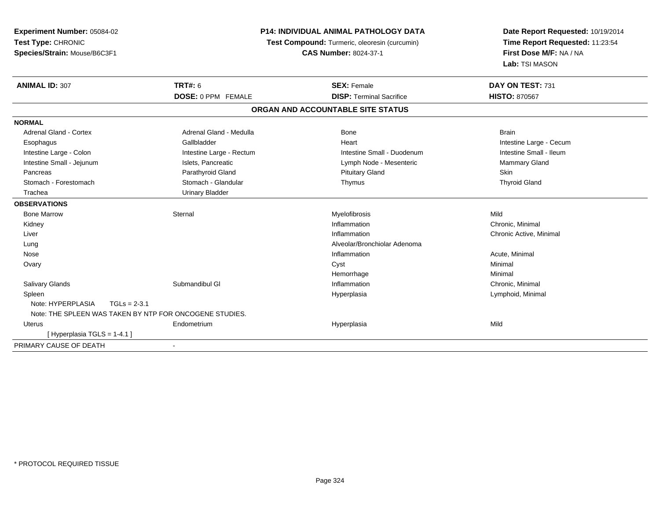| Experiment Number: 05084-02                             |                              | <b>P14: INDIVIDUAL ANIMAL PATHOLOGY DATA</b>  | Date Report Requested: 10/19/2014 |  |
|---------------------------------------------------------|------------------------------|-----------------------------------------------|-----------------------------------|--|
| Test Type: CHRONIC                                      |                              | Test Compound: Turmeric, oleoresin (curcumin) | Time Report Requested: 11:23:54   |  |
| Species/Strain: Mouse/B6C3F1                            | <b>CAS Number: 8024-37-1</b> |                                               | First Dose M/F: NA / NA           |  |
|                                                         |                              |                                               | Lab: TSI MASON                    |  |
| <b>ANIMAL ID: 307</b>                                   | <b>TRT#: 6</b>               | <b>SEX: Female</b>                            | DAY ON TEST: 731                  |  |
|                                                         | DOSE: 0 PPM FEMALE           | <b>DISP: Terminal Sacrifice</b>               | <b>HISTO: 870567</b>              |  |
|                                                         |                              | ORGAN AND ACCOUNTABLE SITE STATUS             |                                   |  |
| <b>NORMAL</b>                                           |                              |                                               |                                   |  |
| <b>Adrenal Gland - Cortex</b>                           | Adrenal Gland - Medulla      | Bone                                          | <b>Brain</b>                      |  |
| Esophagus                                               | Gallbladder                  | Heart                                         | Intestine Large - Cecum           |  |
| Intestine Large - Colon                                 | Intestine Large - Rectum     | Intestine Small - Duodenum                    | Intestine Small - Ileum           |  |
| Intestine Small - Jejunum                               | Islets, Pancreatic           | Lymph Node - Mesenteric                       | Mammary Gland                     |  |
| Pancreas                                                | Parathyroid Gland            | <b>Pituitary Gland</b>                        | Skin                              |  |
| Stomach - Forestomach                                   | Stomach - Glandular          | Thymus                                        | <b>Thyroid Gland</b>              |  |
| Trachea                                                 | <b>Urinary Bladder</b>       |                                               |                                   |  |
| <b>OBSERVATIONS</b>                                     |                              |                                               |                                   |  |
| <b>Bone Marrow</b>                                      | Sternal                      | Myelofibrosis                                 | Mild                              |  |
| Kidney                                                  |                              | Inflammation                                  | Chronic, Minimal                  |  |
| Liver                                                   |                              | Inflammation                                  | Chronic Active, Minimal           |  |
| Lung                                                    |                              | Alveolar/Bronchiolar Adenoma                  |                                   |  |
| Nose                                                    |                              | Inflammation                                  | Acute, Minimal                    |  |
| Ovary                                                   |                              | Cyst                                          | Minimal                           |  |
|                                                         |                              | Hemorrhage                                    | Minimal                           |  |
| Salivary Glands                                         | Submandibul GI               | Inflammation                                  | Chronic, Minimal                  |  |
| Spleen                                                  |                              | Hyperplasia                                   | Lymphoid, Minimal                 |  |
| Note: HYPERPLASIA<br>$TGLs = 2-3.1$                     |                              |                                               |                                   |  |
| Note: THE SPLEEN WAS TAKEN BY NTP FOR ONCOGENE STUDIES. |                              |                                               |                                   |  |
| Uterus                                                  | Endometrium                  | Hyperplasia                                   | Mild                              |  |
| [Hyperplasia TGLS = $1-4.1$ ]                           |                              |                                               |                                   |  |
| PRIMARY CAUSE OF DEATH                                  |                              |                                               |                                   |  |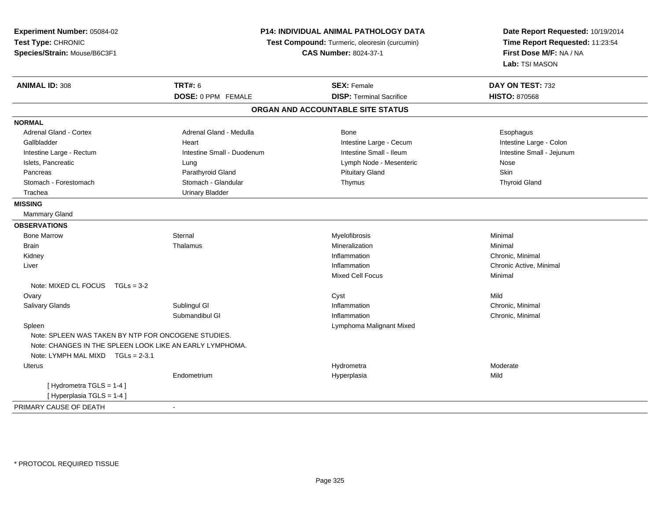| Experiment Number: 05084-02                                   |                                                                               | P14: INDIVIDUAL ANIMAL PATHOLOGY DATA | Date Report Requested: 10/19/2014                          |  |
|---------------------------------------------------------------|-------------------------------------------------------------------------------|---------------------------------------|------------------------------------------------------------|--|
| Test Type: CHRONIC                                            | Test Compound: Turmeric, oleoresin (curcumin)<br><b>CAS Number: 8024-37-1</b> |                                       | Time Report Requested: 11:23:54<br>First Dose M/F: NA / NA |  |
| Species/Strain: Mouse/B6C3F1                                  |                                                                               |                                       |                                                            |  |
|                                                               |                                                                               |                                       | Lab: TSI MASON                                             |  |
| <b>ANIMAL ID: 308</b>                                         | <b>TRT#: 6</b>                                                                | <b>SEX: Female</b>                    | DAY ON TEST: 732                                           |  |
|                                                               | DOSE: 0 PPM FEMALE                                                            | <b>DISP: Terminal Sacrifice</b>       | <b>HISTO: 870568</b>                                       |  |
|                                                               |                                                                               | ORGAN AND ACCOUNTABLE SITE STATUS     |                                                            |  |
| <b>NORMAL</b>                                                 |                                                                               |                                       |                                                            |  |
| <b>Adrenal Gland - Cortex</b>                                 | Adrenal Gland - Medulla                                                       | Bone                                  | Esophagus                                                  |  |
| Gallbladder                                                   | Heart                                                                         | Intestine Large - Cecum               | Intestine Large - Colon                                    |  |
| Intestine Large - Rectum                                      | Intestine Small - Duodenum                                                    | Intestine Small - Ileum               | Intestine Small - Jejunum                                  |  |
| Islets, Pancreatic                                            | Lung                                                                          | Lymph Node - Mesenteric               | Nose                                                       |  |
| Pancreas                                                      | Parathyroid Gland                                                             | <b>Pituitary Gland</b>                | <b>Skin</b>                                                |  |
| Stomach - Forestomach                                         | Stomach - Glandular                                                           | Thymus                                | <b>Thyroid Gland</b>                                       |  |
| Trachea                                                       | <b>Urinary Bladder</b>                                                        |                                       |                                                            |  |
| <b>MISSING</b>                                                |                                                                               |                                       |                                                            |  |
| <b>Mammary Gland</b>                                          |                                                                               |                                       |                                                            |  |
| <b>OBSERVATIONS</b>                                           |                                                                               |                                       |                                                            |  |
| <b>Bone Marrow</b>                                            | Sternal                                                                       | Myelofibrosis                         | Minimal                                                    |  |
| <b>Brain</b>                                                  | Thalamus                                                                      | Mineralization                        | Minimal                                                    |  |
| Kidney                                                        |                                                                               | Inflammation                          | Chronic, Minimal                                           |  |
| Liver                                                         |                                                                               | Inflammation                          | Chronic Active, Minimal                                    |  |
|                                                               |                                                                               | <b>Mixed Cell Focus</b>               | Minimal                                                    |  |
| Note: MIXED CL FOCUS $TGLs = 3-2$                             |                                                                               |                                       |                                                            |  |
| Ovary                                                         |                                                                               | Cyst                                  | Mild                                                       |  |
| Salivary Glands                                               | Sublingul GI                                                                  | Inflammation                          | Chronic, Minimal                                           |  |
|                                                               | Submandibul GI                                                                | Inflammation                          | Chronic, Minimal                                           |  |
| Spleen<br>Note: SPLEEN WAS TAKEN BY NTP FOR ONCOGENE STUDIES. |                                                                               | Lymphoma Malignant Mixed              |                                                            |  |
| Note: CHANGES IN THE SPLEEN LOOK LIKE AN EARLY LYMPHOMA.      |                                                                               |                                       |                                                            |  |
| Note: LYMPH MAL MIXD TGLs = 2-3.1                             |                                                                               |                                       |                                                            |  |
| <b>Uterus</b>                                                 |                                                                               | Hydrometra                            | Moderate                                                   |  |
|                                                               | Endometrium                                                                   | Hyperplasia                           | Mild                                                       |  |
| [Hydrometra TGLS = 1-4]                                       |                                                                               |                                       |                                                            |  |
| [Hyperplasia TGLS = 1-4]                                      |                                                                               |                                       |                                                            |  |
| PRIMARY CAUSE OF DEATH                                        | $\sim$                                                                        |                                       |                                                            |  |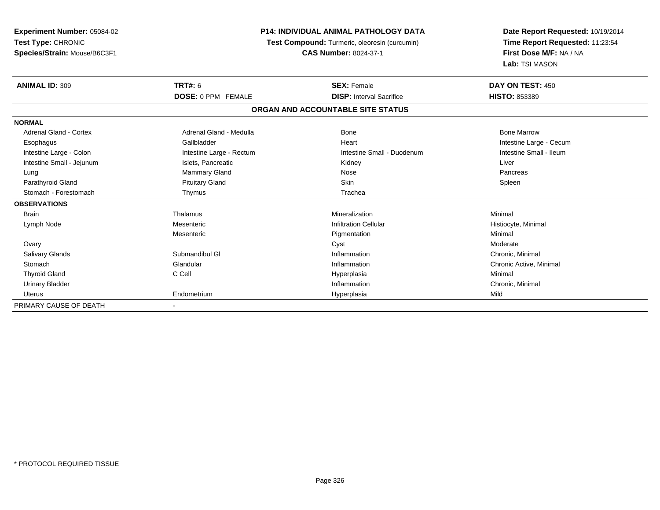| Experiment Number: 05084-02   | <b>P14: INDIVIDUAL ANIMAL PATHOLOGY DATA</b><br>Test Compound: Turmeric, oleoresin (curcumin) |                                   | Date Report Requested: 10/19/2014<br>Time Report Requested: 11:23:54 |
|-------------------------------|-----------------------------------------------------------------------------------------------|-----------------------------------|----------------------------------------------------------------------|
| Test Type: CHRONIC            |                                                                                               |                                   |                                                                      |
| Species/Strain: Mouse/B6C3F1  |                                                                                               | <b>CAS Number: 8024-37-1</b>      | First Dose M/F: NA / NA                                              |
|                               |                                                                                               |                                   | Lab: TSI MASON                                                       |
| <b>ANIMAL ID: 309</b>         | <b>TRT#: 6</b>                                                                                | <b>SEX: Female</b>                | DAY ON TEST: 450                                                     |
|                               | <b>DOSE: 0 PPM FEMALE</b>                                                                     | <b>DISP: Interval Sacrifice</b>   | HISTO: 853389                                                        |
|                               |                                                                                               | ORGAN AND ACCOUNTABLE SITE STATUS |                                                                      |
| <b>NORMAL</b>                 |                                                                                               |                                   |                                                                      |
| <b>Adrenal Gland - Cortex</b> | Adrenal Gland - Medulla                                                                       | <b>Bone</b>                       | <b>Bone Marrow</b>                                                   |
| Esophagus                     | Gallbladder                                                                                   | Heart                             | Intestine Large - Cecum                                              |
| Intestine Large - Colon       | Intestine Large - Rectum                                                                      | Intestine Small - Duodenum        | Intestine Small - Ileum                                              |
| Intestine Small - Jejunum     | Islets, Pancreatic                                                                            | Kidney                            | Liver                                                                |
| Lung                          | Mammary Gland                                                                                 | Nose                              | Pancreas                                                             |
| Parathyroid Gland             | <b>Pituitary Gland</b>                                                                        | Skin                              | Spleen                                                               |
| Stomach - Forestomach         | Thymus                                                                                        | Trachea                           |                                                                      |
| <b>OBSERVATIONS</b>           |                                                                                               |                                   |                                                                      |
| <b>Brain</b>                  | Thalamus                                                                                      | Mineralization                    | Minimal                                                              |
| Lymph Node                    | Mesenteric                                                                                    | <b>Infiltration Cellular</b>      | Histiocyte, Minimal                                                  |
|                               | Mesenteric                                                                                    | Pigmentation                      | Minimal                                                              |
| Ovary                         |                                                                                               | Cyst                              | Moderate                                                             |
| <b>Salivary Glands</b>        | Submandibul GI                                                                                | Inflammation                      | Chronic, Minimal                                                     |
| Stomach                       | Glandular                                                                                     | Inflammation                      | Chronic Active, Minimal                                              |
| <b>Thyroid Gland</b>          | C Cell                                                                                        | Hyperplasia                       | Minimal                                                              |
| <b>Urinary Bladder</b>        |                                                                                               | Inflammation                      | Chronic, Minimal                                                     |
| <b>Uterus</b>                 | Endometrium                                                                                   | Hyperplasia                       | Mild                                                                 |
| PRIMARY CAUSE OF DEATH        |                                                                                               |                                   |                                                                      |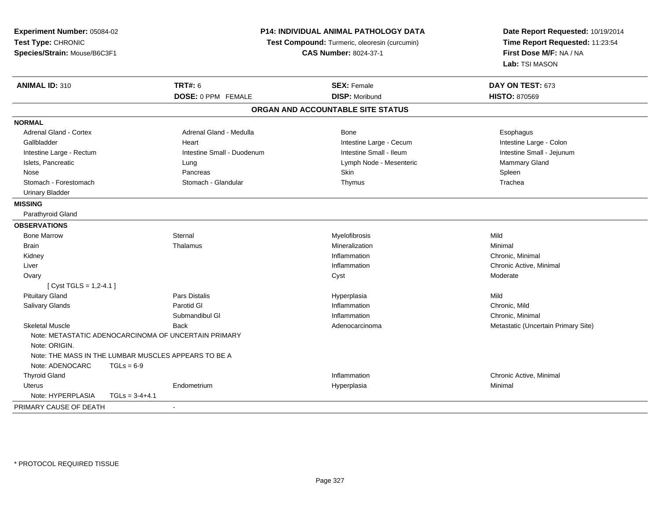**Experiment Number:** 05084-02**Test Type:** CHRONIC **Species/Strain:** Mouse/B6C3F1**P14: INDIVIDUAL ANIMAL PATHOLOGY DATATest Compound:** Turmeric, oleoresin (curcumin)**CAS Number:** 8024-37-1**Date Report Requested:** 10/19/2014**Time Report Requested:** 11:23:54**First Dose M/F:** NA / NA**Lab:** TSI MASON**ANIMAL ID:** 310**C TRT#:** 6 **SEX:** Female **DAY ON TEST:** 673 **DOSE:** 0 PPM FEMALE **DISP:** Moribund **HISTO:** <sup>870569</sup> **ORGAN AND ACCOUNTABLE SITE STATUSNORMALAdrenal Gland - Cortex** Adrenal Gland - Medulla **Bone** Bone **Bone** Esophagus Esophagus Gallbladder **Eart** Heart Heart Heart Heart Intestine Large - Cecum Callbladder **Intestine Large - Colon** Intestine Small - Jejunum Intestine Large - Rectum **Intestine Small - Duodenum** Intestine Small - Ileum Intestine Small - Ileum Islets, Pancreatic **Contract Contract Contract Contract Contract Contract Contract Contract Contract Contract Contract Contract Contract Contract Contract Contract Contract Contract Contract Contract Contract Contract Cont**  Nose Pancreas Skin SpleenTrachea Stomach - Forestomach **Stomach - Stomach - Glandular** Thymus Thymus Thymus Thymus The The The Thymus Thymus The Th Urinary Bladder**MISSING** Parathyroid Gland**OBSERVATIONS** Bone Marroww the sternal sternal sternal sternal sternal sternal sternal sternal sternal sternal sternal sternal sternal sternal sternal sternal sternal sternal sternal sternal sternal sternal sternal sternal sternal sternal sternal Brainn and the matter of the matter of the matter of the matter of the matter of the matter of the matter of the matter of the matter of the matter of the matter of the matter of the matter of the matter of the matter of the ma Kidneyy the control of the control of the control of the control of the control of the control of the control of the control of the control of the control of the control of the control of the control of the control of the contro Inflammation **Chronic, Minimal**<br>
Inflammation **Chronic Active**. Note: Not the Chronic Active. N Liver**Inflammation Inflammation**  Chronic Active, Minimal **Ovary** y the control of the control of the control of the control of the control of the control of the control of the control of the control of the control of the control of the control of the control of the control of the contro  $[$  Cyst TGLS = 1,2-4.1 ] Pituitary Gland Pars Distalis Hyperplasia Mild Salivary Glandss and the Parotid Glue and the Parotic Clue and the United States of the Inflammation Inflammation **Chronic**, Mild Submandibul Gl InflammationInflammation **Chronic, Minimal**<br>Adenocarcinoma **Chronic** Metastatic (Uncel Skeletal MuscleBack **Adenocarcinoma** Adenocarcinoma Metastatic (Uncertain Primary Site) **Metastatic** (Uncertain Primary Site) Note: METASTATIC ADENOCARCINOMA OF UNCERTAIN PRIMARYNote: ORIGIN.Note: THE MASS IN THE LUMBAR MUSCLES APPEARS TO BE ANote:  $ADENOCARC$   $TGIs = 6-9$  Thyroid Glandd inflammation inflammation and the control of the chronic Active, Minimal of the chronic Active, Minimal of the chronic Active, Minimal of the chronic Active, Minimal of the chronic Active, Minimal of the chronic Active, Uterus Endometrium Hyperplasia Minimal Note: HYPERPLASIA TGLs = 3-4+4.1PRIMARY CAUSE OF DEATH-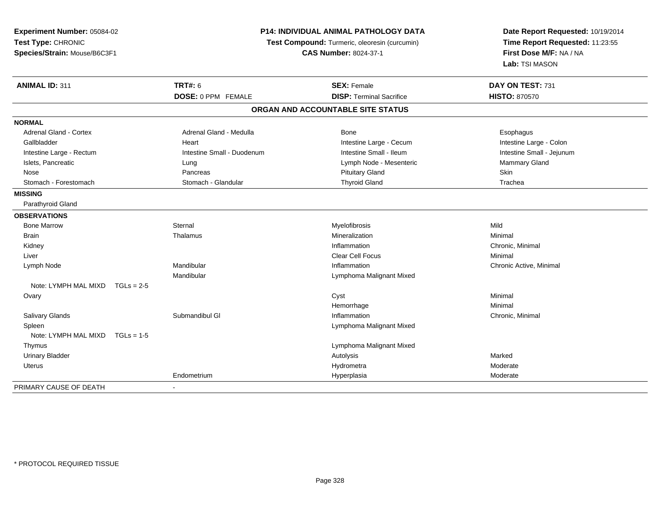| Experiment Number: 05084-02<br>Test Type: CHRONIC<br>Species/Strain: Mouse/B6C3F1 | P14: INDIVIDUAL ANIMAL PATHOLOGY DATA<br>Test Compound: Turmeric, oleoresin (curcumin)<br><b>CAS Number: 8024-37-1</b> |                                   | Date Report Requested: 10/19/2014<br>Time Report Requested: 11:23:55<br>First Dose M/F: NA / NA<br>Lab: TSI MASON |
|-----------------------------------------------------------------------------------|------------------------------------------------------------------------------------------------------------------------|-----------------------------------|-------------------------------------------------------------------------------------------------------------------|
| ANIMAL ID: 311                                                                    | <b>TRT#: 6</b>                                                                                                         | <b>SEX: Female</b>                | DAY ON TEST: 731                                                                                                  |
|                                                                                   | DOSE: 0 PPM FEMALE                                                                                                     | <b>DISP: Terminal Sacrifice</b>   | <b>HISTO: 870570</b>                                                                                              |
|                                                                                   |                                                                                                                        | ORGAN AND ACCOUNTABLE SITE STATUS |                                                                                                                   |
| <b>NORMAL</b>                                                                     |                                                                                                                        |                                   |                                                                                                                   |
| <b>Adrenal Gland - Cortex</b>                                                     | Adrenal Gland - Medulla                                                                                                | Bone                              | Esophagus                                                                                                         |
| Gallbladder                                                                       | Heart                                                                                                                  | Intestine Large - Cecum           | Intestine Large - Colon                                                                                           |
| Intestine Large - Rectum                                                          | Intestine Small - Duodenum                                                                                             | Intestine Small - Ileum           | Intestine Small - Jejunum                                                                                         |
| Islets, Pancreatic                                                                | Lung                                                                                                                   | Lymph Node - Mesenteric           | Mammary Gland                                                                                                     |
| Nose                                                                              | Pancreas                                                                                                               | <b>Pituitary Gland</b>            | Skin                                                                                                              |
| Stomach - Forestomach                                                             | Stomach - Glandular                                                                                                    | <b>Thyroid Gland</b>              | Trachea                                                                                                           |
| <b>MISSING</b>                                                                    |                                                                                                                        |                                   |                                                                                                                   |
| Parathyroid Gland                                                                 |                                                                                                                        |                                   |                                                                                                                   |
| <b>OBSERVATIONS</b>                                                               |                                                                                                                        |                                   |                                                                                                                   |
| <b>Bone Marrow</b>                                                                | Sternal                                                                                                                | Myelofibrosis                     | Mild                                                                                                              |
| Brain                                                                             | Thalamus                                                                                                               | Mineralization                    | Minimal                                                                                                           |
| Kidney                                                                            |                                                                                                                        | Inflammation                      | Chronic, Minimal                                                                                                  |
| Liver                                                                             |                                                                                                                        | Clear Cell Focus                  | Minimal                                                                                                           |
| Lymph Node                                                                        | Mandibular                                                                                                             | Inflammation                      | Chronic Active, Minimal                                                                                           |
|                                                                                   | Mandibular                                                                                                             | Lymphoma Malignant Mixed          |                                                                                                                   |
| Note: LYMPH MAL MIXD<br>$TGLs = 2-5$                                              |                                                                                                                        |                                   |                                                                                                                   |
| Ovary                                                                             |                                                                                                                        | Cyst                              | Minimal                                                                                                           |
|                                                                                   |                                                                                                                        | Hemorrhage                        | Minimal                                                                                                           |
| Salivary Glands                                                                   | Submandibul GI                                                                                                         | Inflammation                      | Chronic, Minimal                                                                                                  |
| Spleen                                                                            |                                                                                                                        | Lymphoma Malignant Mixed          |                                                                                                                   |
| Note: LYMPH MAL MIXD<br>$TGLs = 1-5$                                              |                                                                                                                        |                                   |                                                                                                                   |
| Thymus                                                                            |                                                                                                                        | Lymphoma Malignant Mixed          |                                                                                                                   |
| <b>Urinary Bladder</b>                                                            |                                                                                                                        | Autolysis                         | Marked                                                                                                            |
| <b>Uterus</b>                                                                     |                                                                                                                        | Hydrometra                        | Moderate                                                                                                          |
|                                                                                   | Endometrium                                                                                                            | Hyperplasia                       | Moderate                                                                                                          |
| PRIMARY CAUSE OF DEATH                                                            |                                                                                                                        |                                   |                                                                                                                   |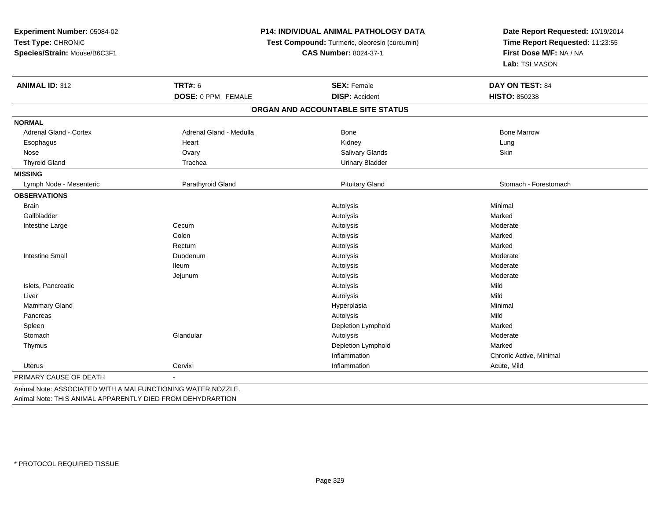**Experiment Number:** 05084-02**Test Type:** CHRONIC **Species/Strain:** Mouse/B6C3F1**P14: INDIVIDUAL ANIMAL PATHOLOGY DATATest Compound:** Turmeric, oleoresin (curcumin)**CAS Number:** 8024-37-1**Date Report Requested:** 10/19/2014**Time Report Requested:** 11:23:55**First Dose M/F:** NA / NA**Lab:** TSI MASON**ANIMAL ID:** 312**TRT#:** 6 **SEX:** Female **DAY ON TEST:** 84 **DOSE:** 0 PPM FEMALE **DISP:** Accident **HISTO:** <sup>850238</sup> **ORGAN AND ACCOUNTABLE SITE STATUSNORMALAdrenal Gland - Cortex** Adrenal Gland - Medulla **Adrenal Gland - Medulla** Bone Bone Bone Bone Bone Marrow Esophagus Heart Kidney LungSkin Nose Ovary Salivary Glands SkinThyroid Gland Trachea Trachea Communication Christian Urinary Bladder **MISSING**Lymph Node - Mesenteric **Parathyroid Gland Pituitary Cland** Pituitary Gland Pituitary Gland Stomach - Forestomach **OBSERVATIONS** Brainn and the control of the control of the control of the control of the control of the control of the control of the control of the control of the control of the control of the control of the control of the control of the co Gallbladderr and the control of the control of the control of the control of the control of the control of the control of the control of the control of the control of the control of the control of the control of the control of the co s and the contract of the Marked Moderate Intestine Largee Cecum m and the method of the Autolysis and Autolysis and the Moderate Moderate **Colon**  Autolysis Marked Rectumm and the method of the Autolysis and the Marked Marked School and the Marked School and the Marked School and the Marked School and the Marked School and the Marked School and the Marked School and the Marked School and t Intestine Small Duodenumm and the method of Autolysis and Autolysis and the Moderate Moderate Ileumm and the controller of the Autolysis controller and the Moderate method of the Moderate method of the Moderate Jejunumm and the method of the Autolysis and the Moderate Moderate method is a structure of the Moderate method of the Moderate of the Moderate method of the Moderate of the Moderate of the Moderate of the Moderate of the Moderat Islets, Pancreatic Autolysis Mild**Mild**  Liverr and the control of the control of the control of the control of the control of the control of the control of s and the contract of the Mild Minimal Mammary Glandd and the control of the control of the control of the Hyperplasia and the control of the control of the control of the control of the control of the control of the control of the control of the control of the control of t **Pancreas** s the control of the control of the control of the control of the control of the control of the control of the control of the control of the control of the control of the control of the control of the control of the contro Marked Spleenn and the control of the control of the control of the control of the control of the control of the control of the control of the control of the control of the control of the control of the control of the control of the co **Stomach** h ann an Glandular ann an Chandre ann an Autolysis ann an Autolysis ann an Moderate ann an Moderate ann an Auto Thymus Depletion Lymphoidd Marked InflammationInflammation **Chronic Active, Minimal**<br>
Inflammation **Chronic Active, Minimal**  Uteruss and the contract of the Cervix Cervix and the contract of the contract of the contract of the contract of the contract of the contract of the contract of the contract of the contract of the contract of the contract of th Acute, Mild PRIMARY CAUSE OF DEATH-

Animal Note: ASSOCIATED WITH A MALFUNCTIONING WATER NOZZLE.Animal Note: THIS ANIMAL APPARENTLY DIED FROM DEHYDRARTION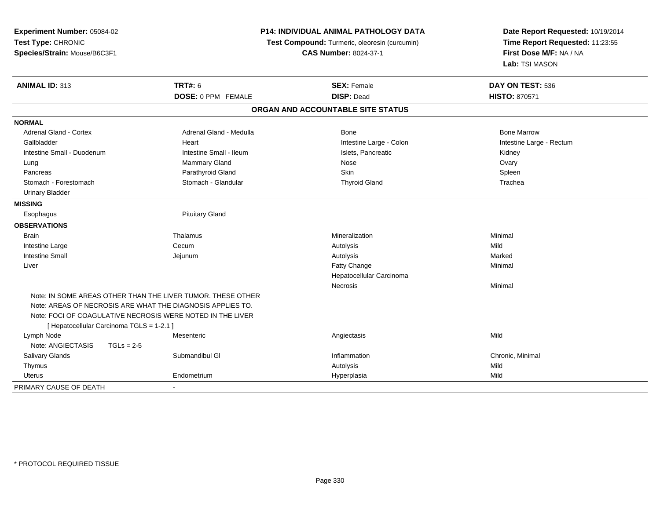| Experiment Number: 05084-02               | P14: INDIVIDUAL ANIMAL PATHOLOGY DATA                       |                                               | Date Report Requested: 10/19/2014 |
|-------------------------------------------|-------------------------------------------------------------|-----------------------------------------------|-----------------------------------|
| Test Type: CHRONIC                        |                                                             | Test Compound: Turmeric, oleoresin (curcumin) | Time Report Requested: 11:23:55   |
| Species/Strain: Mouse/B6C3F1              |                                                             | <b>CAS Number: 8024-37-1</b>                  | First Dose M/F: NA / NA           |
|                                           |                                                             |                                               | Lab: TSI MASON                    |
| ANIMAL ID: 313                            | <b>TRT#: 6</b>                                              | <b>SEX: Female</b>                            | DAY ON TEST: 536                  |
|                                           | <b>DOSE: 0 PPM FEMALE</b>                                   | <b>DISP: Dead</b>                             | <b>HISTO: 870571</b>              |
|                                           |                                                             | ORGAN AND ACCOUNTABLE SITE STATUS             |                                   |
| <b>NORMAL</b>                             |                                                             |                                               |                                   |
| Adrenal Gland - Cortex                    | Adrenal Gland - Medulla                                     | Bone                                          | <b>Bone Marrow</b>                |
| Gallbladder                               | Heart                                                       | Intestine Large - Colon                       | Intestine Large - Rectum          |
| Intestine Small - Duodenum                | Intestine Small - Ileum                                     | Islets, Pancreatic                            | Kidney                            |
| Lung                                      | <b>Mammary Gland</b>                                        | Nose                                          | Ovary                             |
| Pancreas                                  | Parathyroid Gland                                           | Skin                                          | Spleen                            |
| Stomach - Forestomach                     | Stomach - Glandular                                         | <b>Thyroid Gland</b>                          | Trachea                           |
| <b>Urinary Bladder</b>                    |                                                             |                                               |                                   |
| <b>MISSING</b>                            |                                                             |                                               |                                   |
| Esophagus                                 | <b>Pituitary Gland</b>                                      |                                               |                                   |
| <b>OBSERVATIONS</b>                       |                                                             |                                               |                                   |
| Brain                                     | Thalamus                                                    | Mineralization                                | Minimal                           |
| Intestine Large                           | Cecum                                                       | Autolysis                                     | Mild                              |
| <b>Intestine Small</b>                    | Jejunum                                                     | Autolysis                                     | Marked                            |
| Liver                                     |                                                             | Fatty Change                                  | Minimal                           |
|                                           |                                                             | Hepatocellular Carcinoma                      |                                   |
|                                           |                                                             | Necrosis                                      | Minimal                           |
|                                           | Note: IN SOME AREAS OTHER THAN THE LIVER TUMOR. THESE OTHER |                                               |                                   |
|                                           | Note: AREAS OF NECROSIS ARE WHAT THE DIAGNOSIS APPLIES TO.  |                                               |                                   |
|                                           | Note: FOCI OF COAGULATIVE NECROSIS WERE NOTED IN THE LIVER  |                                               |                                   |
| [ Hepatocellular Carcinoma TGLS = 1-2.1 ] |                                                             |                                               |                                   |
| Lymph Node                                | Mesenteric                                                  | Angiectasis                                   | Mild                              |
| Note: ANGIECTASIS<br>$TGLs = 2-5$         |                                                             |                                               |                                   |
| Salivary Glands                           | Submandibul GI                                              | Inflammation                                  | Chronic, Minimal                  |
| Thymus                                    |                                                             | Autolysis                                     | Mild                              |
| Uterus                                    | Endometrium                                                 | Hyperplasia                                   | Mild                              |
| PRIMARY CAUSE OF DEATH                    |                                                             |                                               |                                   |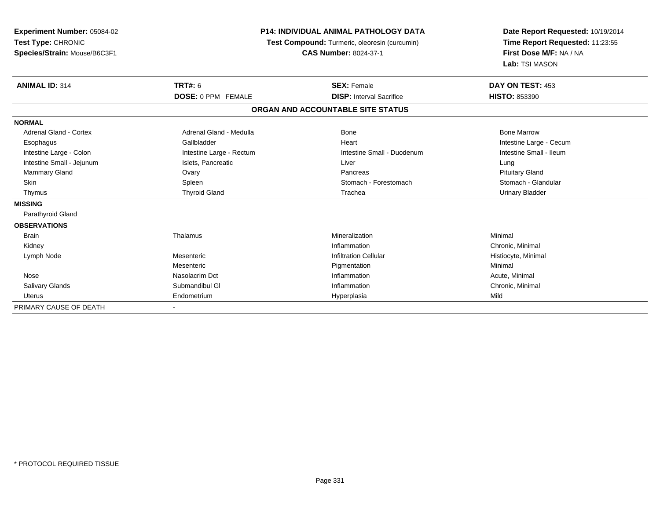| <b>Experiment Number: 05084-02</b><br>Test Type: CHRONIC<br>Species/Strain: Mouse/B6C3F1 | <b>P14: INDIVIDUAL ANIMAL PATHOLOGY DATA</b><br><b>Test Compound:</b> Turmeric, oleoresin (curcumin)<br><b>CAS Number: 8024-37-1</b> |                                   | Date Report Requested: 10/19/2014<br>Time Report Requested: 11:23:55<br>First Dose M/F: NA / NA<br>Lab: TSI MASON |
|------------------------------------------------------------------------------------------|--------------------------------------------------------------------------------------------------------------------------------------|-----------------------------------|-------------------------------------------------------------------------------------------------------------------|
| <b>ANIMAL ID: 314</b>                                                                    | <b>TRT#: 6</b>                                                                                                                       | <b>SEX: Female</b>                | DAY ON TEST: 453                                                                                                  |
|                                                                                          | <b>DOSE: 0 PPM FEMALE</b>                                                                                                            | <b>DISP: Interval Sacrifice</b>   | <b>HISTO: 853390</b>                                                                                              |
|                                                                                          |                                                                                                                                      | ORGAN AND ACCOUNTABLE SITE STATUS |                                                                                                                   |
| <b>NORMAL</b>                                                                            |                                                                                                                                      |                                   |                                                                                                                   |
| <b>Adrenal Gland - Cortex</b>                                                            | Adrenal Gland - Medulla                                                                                                              | Bone                              | <b>Bone Marrow</b>                                                                                                |
| Esophagus                                                                                | Gallbladder                                                                                                                          | Heart                             | Intestine Large - Cecum                                                                                           |
| Intestine Large - Colon                                                                  | Intestine Large - Rectum                                                                                                             | Intestine Small - Duodenum        | Intestine Small - Ileum                                                                                           |
| Intestine Small - Jejunum                                                                | Islets, Pancreatic                                                                                                                   | Liver                             | Lung                                                                                                              |
| <b>Mammary Gland</b>                                                                     | Ovary                                                                                                                                | Pancreas                          | <b>Pituitary Gland</b>                                                                                            |
| Skin                                                                                     | Spleen                                                                                                                               | Stomach - Forestomach             | Stomach - Glandular                                                                                               |
| Thymus                                                                                   | <b>Thyroid Gland</b>                                                                                                                 | Trachea                           | <b>Urinary Bladder</b>                                                                                            |
| <b>MISSING</b>                                                                           |                                                                                                                                      |                                   |                                                                                                                   |
| Parathyroid Gland                                                                        |                                                                                                                                      |                                   |                                                                                                                   |
| <b>OBSERVATIONS</b>                                                                      |                                                                                                                                      |                                   |                                                                                                                   |
| <b>Brain</b>                                                                             | Thalamus                                                                                                                             | Mineralization                    | Minimal                                                                                                           |
| Kidney                                                                                   |                                                                                                                                      | Inflammation                      | Chronic, Minimal                                                                                                  |
| Lymph Node                                                                               | Mesenteric                                                                                                                           | <b>Infiltration Cellular</b>      | Histiocyte, Minimal                                                                                               |
|                                                                                          | Mesenteric                                                                                                                           | Pigmentation                      | Minimal                                                                                                           |
| Nose                                                                                     | Nasolacrim Dct                                                                                                                       | Inflammation                      | Acute, Minimal                                                                                                    |
| <b>Salivary Glands</b>                                                                   | Submandibul GI                                                                                                                       | Inflammation                      | Chronic, Minimal                                                                                                  |
| <b>Uterus</b>                                                                            | Endometrium                                                                                                                          | Hyperplasia                       | Mild                                                                                                              |
| PRIMARY CAUSE OF DEATH                                                                   |                                                                                                                                      |                                   |                                                                                                                   |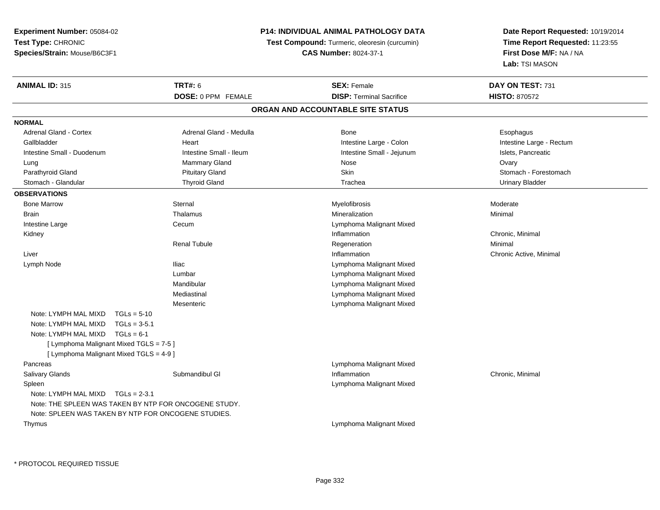**Experiment Number:** 05084-02**Test Type:** CHRONIC**Species/Strain:** Mouse/B6C3F1

## **P14: INDIVIDUAL ANIMAL PATHOLOGY DATA**

**Test Compound:** Turmeric, oleoresin (curcumin)

**CAS Number:** 8024-37-1

**Date Report Requested:** 10/19/2014**Time Report Requested:** 11:23:55**First Dose M/F:** NA / NA**Lab:** TSI MASON

| <b>ANIMAL ID: 315</b>                   | <b>TRT#: 6</b>                                        | <b>SEX: Female</b>                | DAY ON TEST: 731         |
|-----------------------------------------|-------------------------------------------------------|-----------------------------------|--------------------------|
|                                         | <b>DOSE: 0 PPM FEMALE</b>                             | <b>DISP: Terminal Sacrifice</b>   | <b>HISTO: 870572</b>     |
|                                         |                                                       | ORGAN AND ACCOUNTABLE SITE STATUS |                          |
| <b>NORMAL</b>                           |                                                       |                                   |                          |
| Adrenal Gland - Cortex                  | Adrenal Gland - Medulla                               | Bone                              | Esophagus                |
| Gallbladder                             | Heart                                                 | Intestine Large - Colon           | Intestine Large - Rectum |
| Intestine Small - Duodenum              | Intestine Small - Ileum                               | Intestine Small - Jejunum         | Islets, Pancreatic       |
| Lung                                    | <b>Mammary Gland</b>                                  | Nose                              | Ovary                    |
| Parathyroid Gland                       | <b>Pituitary Gland</b>                                | Skin                              | Stomach - Forestomach    |
| Stomach - Glandular                     | <b>Thyroid Gland</b>                                  | Trachea                           | <b>Urinary Bladder</b>   |
| <b>OBSERVATIONS</b>                     |                                                       |                                   |                          |
| <b>Bone Marrow</b>                      | Sternal                                               | Myelofibrosis                     | Moderate                 |
| Brain                                   | Thalamus                                              | Mineralization                    | Minimal                  |
| Intestine Large                         | Cecum                                                 | Lymphoma Malignant Mixed          |                          |
| Kidney                                  |                                                       | Inflammation                      | Chronic, Minimal         |
|                                         | <b>Renal Tubule</b>                                   | Regeneration                      | Minimal                  |
| Liver                                   |                                                       | Inflammation                      | Chronic Active, Minimal  |
| Lymph Node                              | <b>Iliac</b>                                          | Lymphoma Malignant Mixed          |                          |
|                                         | Lumbar                                                | Lymphoma Malignant Mixed          |                          |
|                                         | Mandibular                                            | Lymphoma Malignant Mixed          |                          |
|                                         | Mediastinal                                           | Lymphoma Malignant Mixed          |                          |
|                                         | Mesenteric                                            | Lymphoma Malignant Mixed          |                          |
| Note: LYMPH MAL MIXD                    | $TGLs = 5-10$                                         |                                   |                          |
| Note: LYMPH MAL MIXD                    | $TGLs = 3-5.1$                                        |                                   |                          |
| Note: LYMPH MAL MIXD                    | $TGLs = 6-1$                                          |                                   |                          |
| [ Lymphoma Malignant Mixed TGLS = 7-5 ] |                                                       |                                   |                          |
| [ Lymphoma Malignant Mixed TGLS = 4-9 ] |                                                       |                                   |                          |
| Pancreas                                |                                                       | Lymphoma Malignant Mixed          |                          |
| <b>Salivary Glands</b>                  | Submandibul GI                                        | Inflammation                      | Chronic, Minimal         |
| Spleen                                  |                                                       | Lymphoma Malignant Mixed          |                          |
| Note: LYMPH MAL MIXD                    | $TGLs = 2-3.1$                                        |                                   |                          |
|                                         | Note: THE SPLEEN WAS TAKEN BY NTP FOR ONCOGENE STUDY. |                                   |                          |
|                                         | Note: SPLEEN WAS TAKEN BY NTP FOR ONCOGENE STUDIES.   |                                   |                          |
| Thymus                                  |                                                       | Lymphoma Malignant Mixed          |                          |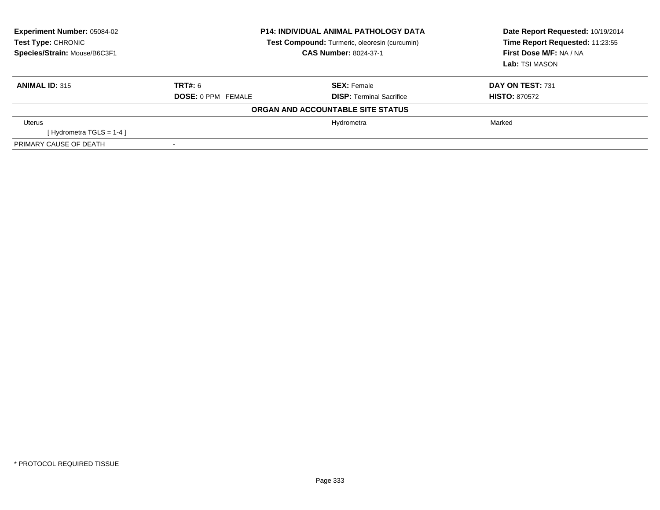| <b>Experiment Number: 05084-02</b><br>Test Type: CHRONIC<br>Species/Strain: Mouse/B6C3F1 | <b>P14: INDIVIDUAL ANIMAL PATHOLOGY DATA</b><br>Test Compound: Turmeric, oleoresin (curcumin)<br><b>CAS Number: 8024-37-1</b> |                                   | Date Report Requested: 10/19/2014<br>Time Report Requested: 11:23:55<br>First Dose M/F: NA / NA<br><b>Lab: TSI MASON</b> |
|------------------------------------------------------------------------------------------|-------------------------------------------------------------------------------------------------------------------------------|-----------------------------------|--------------------------------------------------------------------------------------------------------------------------|
| <b>ANIMAL ID: 315</b>                                                                    | <b>TRT#: 6</b>                                                                                                                | <b>SEX: Female</b>                | DAY ON TEST: 731                                                                                                         |
|                                                                                          | <b>DOSE: 0 PPM FEMALE</b>                                                                                                     | <b>DISP:</b> Terminal Sacrifice   | <b>HISTO: 870572</b>                                                                                                     |
|                                                                                          |                                                                                                                               | ORGAN AND ACCOUNTABLE SITE STATUS |                                                                                                                          |
| Uterus                                                                                   |                                                                                                                               | Hydrometra                        | Marked                                                                                                                   |
| [Hydrometra TGLS = $1-4$ ]                                                               |                                                                                                                               |                                   |                                                                                                                          |
| PRIMARY CAUSE OF DEATH                                                                   |                                                                                                                               |                                   |                                                                                                                          |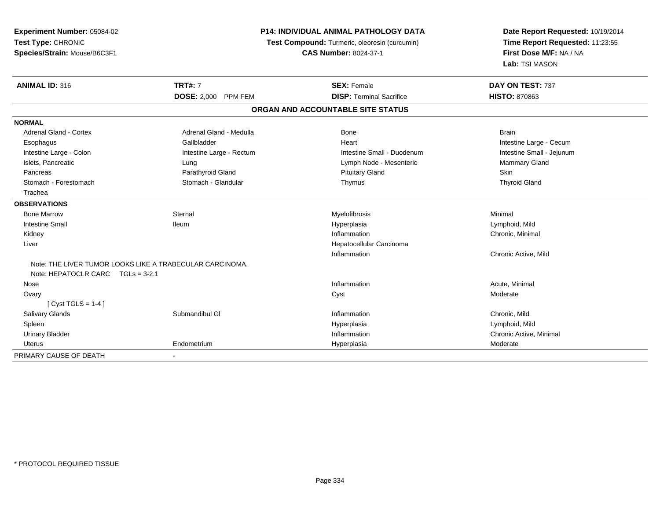| Experiment Number: 05084-02                              | <b>P14: INDIVIDUAL ANIMAL PATHOLOGY DATA</b> |                                               | Date Report Requested: 10/19/2014                          |
|----------------------------------------------------------|----------------------------------------------|-----------------------------------------------|------------------------------------------------------------|
| Test Type: CHRONIC                                       |                                              | Test Compound: Turmeric, oleoresin (curcumin) | Time Report Requested: 11:23:55<br>First Dose M/F: NA / NA |
| Species/Strain: Mouse/B6C3F1                             |                                              | <b>CAS Number: 8024-37-1</b>                  |                                                            |
|                                                          |                                              |                                               | Lab: TSI MASON                                             |
| <b>ANIMAL ID: 316</b>                                    | <b>TRT#: 7</b>                               | <b>SEX: Female</b>                            | DAY ON TEST: 737                                           |
|                                                          | DOSE: 2,000 PPM FEM                          | <b>DISP: Terminal Sacrifice</b>               | <b>HISTO: 870863</b>                                       |
|                                                          |                                              | ORGAN AND ACCOUNTABLE SITE STATUS             |                                                            |
| <b>NORMAL</b>                                            |                                              |                                               |                                                            |
| Adrenal Gland - Cortex                                   | Adrenal Gland - Medulla                      | <b>Bone</b>                                   | <b>Brain</b>                                               |
| Esophagus                                                | Gallbladder                                  | Heart                                         | Intestine Large - Cecum                                    |
| Intestine Large - Colon                                  | Intestine Large - Rectum                     | Intestine Small - Duodenum                    | Intestine Small - Jejunum                                  |
| Islets, Pancreatic                                       | Lung                                         | Lymph Node - Mesenteric                       | <b>Mammary Gland</b>                                       |
| Pancreas                                                 | Parathyroid Gland                            | <b>Pituitary Gland</b>                        | Skin                                                       |
| Stomach - Forestomach                                    | Stomach - Glandular                          | Thymus                                        | <b>Thyroid Gland</b>                                       |
| Trachea                                                  |                                              |                                               |                                                            |
| <b>OBSERVATIONS</b>                                      |                                              |                                               |                                                            |
| <b>Bone Marrow</b>                                       | Sternal                                      | Myelofibrosis                                 | Minimal                                                    |
| <b>Intestine Small</b>                                   | lleum                                        | Hyperplasia                                   | Lymphoid, Mild                                             |
| Kidney                                                   |                                              | Inflammation                                  | Chronic, Minimal                                           |
| Liver                                                    |                                              | Hepatocellular Carcinoma                      |                                                            |
|                                                          |                                              | Inflammation                                  | Chronic Active, Mild                                       |
| Note: THE LIVER TUMOR LOOKS LIKE A TRABECULAR CARCINOMA. |                                              |                                               |                                                            |
| Note: HEPATOCLR CARC TGLs = 3-2.1                        |                                              |                                               |                                                            |
| Nose                                                     |                                              | Inflammation                                  | Acute, Minimal                                             |
| Ovary                                                    |                                              | Cyst                                          | Moderate                                                   |
| [Cyst TGLS = $1-4$ ]                                     |                                              |                                               |                                                            |
| <b>Salivary Glands</b>                                   | Submandibul GI                               | Inflammation                                  | Chronic, Mild                                              |
| Spleen                                                   |                                              | Hyperplasia                                   | Lymphoid, Mild                                             |
| <b>Urinary Bladder</b>                                   |                                              | Inflammation                                  | Chronic Active, Minimal                                    |
| Uterus                                                   | Endometrium                                  | Hyperplasia                                   | Moderate                                                   |
| PRIMARY CAUSE OF DEATH                                   |                                              |                                               |                                                            |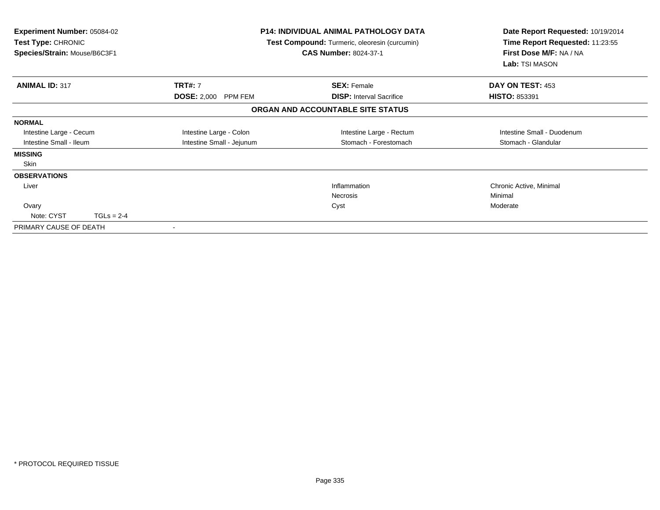| <b>Experiment Number: 05084-02</b><br>Test Type: CHRONIC<br>Species/Strain: Mouse/B6C3F1 |              | <b>P14: INDIVIDUAL ANIMAL PATHOLOGY DATA</b><br>Test Compound: Turmeric, oleoresin (curcumin)<br><b>CAS Number: 8024-37-1</b> |                                   | Date Report Requested: 10/19/2014<br>Time Report Requested: 11:23:55<br>First Dose M/F: NA / NA<br>Lab: TSI MASON |
|------------------------------------------------------------------------------------------|--------------|-------------------------------------------------------------------------------------------------------------------------------|-----------------------------------|-------------------------------------------------------------------------------------------------------------------|
| <b>ANIMAL ID: 317</b>                                                                    |              | <b>TRT#: 7</b>                                                                                                                | <b>SEX: Female</b>                | DAY ON TEST: 453                                                                                                  |
|                                                                                          |              | DOSE: 2,000 PPM FEM                                                                                                           | <b>DISP:</b> Interval Sacrifice   | <b>HISTO: 853391</b>                                                                                              |
|                                                                                          |              |                                                                                                                               | ORGAN AND ACCOUNTABLE SITE STATUS |                                                                                                                   |
| <b>NORMAL</b>                                                                            |              |                                                                                                                               |                                   |                                                                                                                   |
| Intestine Large - Cecum                                                                  |              | Intestine Large - Colon                                                                                                       | Intestine Large - Rectum          | Intestine Small - Duodenum                                                                                        |
| Intestine Small - Ileum                                                                  |              | Intestine Small - Jejunum                                                                                                     | Stomach - Forestomach             | Stomach - Glandular                                                                                               |
| <b>MISSING</b>                                                                           |              |                                                                                                                               |                                   |                                                                                                                   |
| Skin                                                                                     |              |                                                                                                                               |                                   |                                                                                                                   |
| <b>OBSERVATIONS</b>                                                                      |              |                                                                                                                               |                                   |                                                                                                                   |
| Liver                                                                                    |              |                                                                                                                               | Inflammation                      | Chronic Active, Minimal                                                                                           |
|                                                                                          |              |                                                                                                                               | Necrosis                          | Minimal                                                                                                           |
| Ovary                                                                                    |              |                                                                                                                               | Cyst                              | Moderate                                                                                                          |
| Note: CYST                                                                               | $TGLs = 2-4$ |                                                                                                                               |                                   |                                                                                                                   |
| PRIMARY CAUSE OF DEATH                                                                   |              |                                                                                                                               |                                   |                                                                                                                   |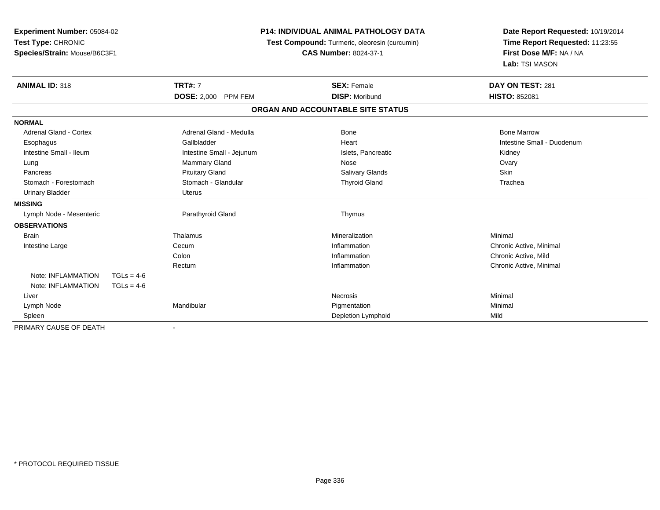| Experiment Number: 05084-02<br>Test Type: CHRONIC<br>Species/Strain: Mouse/B6C3F1 | <b>P14: INDIVIDUAL ANIMAL PATHOLOGY DATA</b><br>Test Compound: Turmeric, oleoresin (curcumin)<br><b>CAS Number: 8024-37-1</b> |                                   | Date Report Requested: 10/19/2014<br>Time Report Requested: 11:23:55<br>First Dose M/F: NA / NA<br>Lab: TSI MASON |  |
|-----------------------------------------------------------------------------------|-------------------------------------------------------------------------------------------------------------------------------|-----------------------------------|-------------------------------------------------------------------------------------------------------------------|--|
| <b>ANIMAL ID: 318</b>                                                             | <b>TRT#: 7</b>                                                                                                                | <b>SEX: Female</b>                | DAY ON TEST: 281                                                                                                  |  |
|                                                                                   | DOSE: 2,000 PPM FEM                                                                                                           | <b>DISP: Moribund</b>             | <b>HISTO: 852081</b>                                                                                              |  |
|                                                                                   |                                                                                                                               | ORGAN AND ACCOUNTABLE SITE STATUS |                                                                                                                   |  |
| <b>NORMAL</b>                                                                     |                                                                                                                               |                                   |                                                                                                                   |  |
| Adrenal Gland - Cortex                                                            | Adrenal Gland - Medulla                                                                                                       | <b>Bone</b>                       | <b>Bone Marrow</b>                                                                                                |  |
| Esophagus                                                                         | Gallbladder                                                                                                                   | Heart                             | Intestine Small - Duodenum                                                                                        |  |
| Intestine Small - Ileum                                                           | Intestine Small - Jejunum                                                                                                     | Islets, Pancreatic                | Kidney                                                                                                            |  |
| Lung                                                                              | Mammary Gland                                                                                                                 | Nose                              | Ovary                                                                                                             |  |
| Pancreas                                                                          | <b>Pituitary Gland</b>                                                                                                        | <b>Salivary Glands</b>            | Skin                                                                                                              |  |
| Stomach - Forestomach                                                             | Stomach - Glandular                                                                                                           | <b>Thyroid Gland</b>              | Trachea                                                                                                           |  |
| <b>Urinary Bladder</b>                                                            | <b>Uterus</b>                                                                                                                 |                                   |                                                                                                                   |  |
| <b>MISSING</b>                                                                    |                                                                                                                               |                                   |                                                                                                                   |  |
| Lymph Node - Mesenteric                                                           | Parathyroid Gland                                                                                                             | Thymus                            |                                                                                                                   |  |
| <b>OBSERVATIONS</b>                                                               |                                                                                                                               |                                   |                                                                                                                   |  |
| <b>Brain</b>                                                                      | Thalamus                                                                                                                      | Mineralization                    | Minimal                                                                                                           |  |
| Intestine Large                                                                   | Cecum                                                                                                                         | Inflammation                      | Chronic Active, Minimal                                                                                           |  |
|                                                                                   | Colon                                                                                                                         | Inflammation                      | Chronic Active, Mild                                                                                              |  |
|                                                                                   | Rectum                                                                                                                        | Inflammation                      | Chronic Active, Minimal                                                                                           |  |
| Note: INFLAMMATION<br>$TGLs = 4-6$                                                |                                                                                                                               |                                   |                                                                                                                   |  |
| Note: INFLAMMATION<br>$TGLs = 4-6$                                                |                                                                                                                               |                                   |                                                                                                                   |  |
| Liver                                                                             |                                                                                                                               | <b>Necrosis</b>                   | Minimal                                                                                                           |  |
| Lymph Node                                                                        | Mandibular                                                                                                                    | Pigmentation                      | Minimal                                                                                                           |  |
| Spleen                                                                            |                                                                                                                               | Depletion Lymphoid                | Mild                                                                                                              |  |
| PRIMARY CAUSE OF DEATH                                                            | $\overline{\phantom{a}}$                                                                                                      |                                   |                                                                                                                   |  |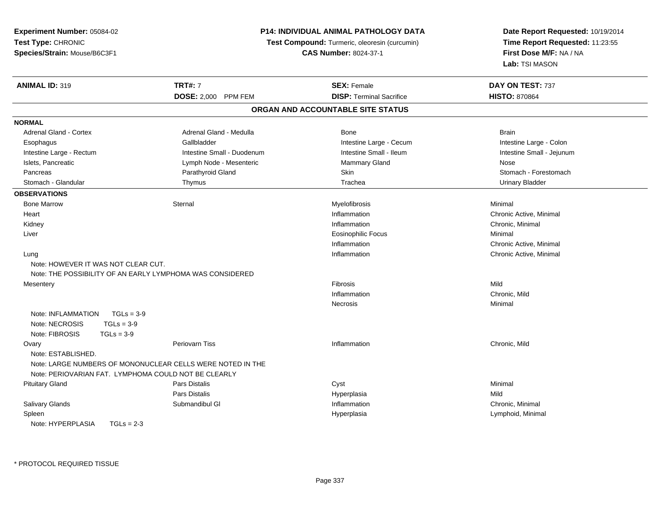| Experiment Number: 05084-02                                |                            | P14: INDIVIDUAL ANIMAL PATHOLOGY DATA         | Date Report Requested: 10/19/2014                                            |
|------------------------------------------------------------|----------------------------|-----------------------------------------------|------------------------------------------------------------------------------|
| Test Type: CHRONIC                                         |                            | Test Compound: Turmeric, oleoresin (curcumin) | Time Report Requested: 11:23:55<br>First Dose M/F: NA / NA<br>Lab: TSI MASON |
| Species/Strain: Mouse/B6C3F1                               |                            | <b>CAS Number: 8024-37-1</b>                  |                                                                              |
|                                                            |                            |                                               |                                                                              |
| <b>ANIMAL ID: 319</b>                                      | <b>TRT#: 7</b>             | <b>SEX: Female</b>                            | DAY ON TEST: 737                                                             |
|                                                            | DOSE: 2,000 PPM FEM        | <b>DISP: Terminal Sacrifice</b>               | <b>HISTO: 870864</b>                                                         |
|                                                            |                            | ORGAN AND ACCOUNTABLE SITE STATUS             |                                                                              |
| <b>NORMAL</b>                                              |                            |                                               |                                                                              |
| <b>Adrenal Gland - Cortex</b>                              | Adrenal Gland - Medulla    | Bone                                          | <b>Brain</b>                                                                 |
| Esophagus                                                  | Gallbladder                | Intestine Large - Cecum                       | Intestine Large - Colon                                                      |
| Intestine Large - Rectum                                   | Intestine Small - Duodenum | Intestine Small - Ileum                       | Intestine Small - Jejunum                                                    |
| Islets, Pancreatic                                         | Lymph Node - Mesenteric    | <b>Mammary Gland</b>                          | Nose                                                                         |
| Pancreas                                                   | Parathyroid Gland          | Skin                                          | Stomach - Forestomach                                                        |
| Stomach - Glandular                                        | Thymus                     | Trachea                                       | <b>Urinary Bladder</b>                                                       |
| <b>OBSERVATIONS</b>                                        |                            |                                               |                                                                              |
| <b>Bone Marrow</b>                                         | Sternal                    | Myelofibrosis                                 | Minimal                                                                      |
| Heart                                                      |                            | Inflammation                                  | Chronic Active, Minimal                                                      |
| Kidney                                                     |                            | Inflammation                                  | Chronic, Minimal                                                             |
| Liver                                                      |                            | <b>Eosinophilic Focus</b>                     | Minimal                                                                      |
|                                                            |                            | Inflammation                                  | Chronic Active, Minimal                                                      |
| Lung                                                       |                            | Inflammation                                  | Chronic Active, Minimal                                                      |
| Note: HOWEVER IT WAS NOT CLEAR CUT.                        |                            |                                               |                                                                              |
| Note: THE POSSIBILITY OF AN EARLY LYMPHOMA WAS CONSIDERED  |                            |                                               |                                                                              |
| Mesentery                                                  |                            | <b>Fibrosis</b>                               | Mild                                                                         |
|                                                            |                            | Inflammation                                  | Chronic, Mild                                                                |
|                                                            |                            | Necrosis                                      | Minimal                                                                      |
| $TGLs = 3-9$<br>Note: INFLAMMATION                         |                            |                                               |                                                                              |
| $TGLs = 3-9$<br>Note: NECROSIS                             |                            |                                               |                                                                              |
| Note: FIBROSIS<br>$TGLs = 3-9$                             |                            |                                               |                                                                              |
| Ovary                                                      | Periovarn Tiss             | Inflammation                                  | Chronic, Mild                                                                |
| Note: ESTABLISHED.                                         |                            |                                               |                                                                              |
| Note: LARGE NUMBERS OF MONONUCLEAR CELLS WERE NOTED IN THE |                            |                                               |                                                                              |
| Note: PERIOVARIAN FAT. LYMPHOMA COULD NOT BE CLEARLY       |                            |                                               |                                                                              |
| <b>Pituitary Gland</b>                                     | Pars Distalis              | Cyst                                          | Minimal                                                                      |
|                                                            | <b>Pars Distalis</b>       | Hyperplasia                                   | Mild                                                                         |
| <b>Salivary Glands</b>                                     | Submandibul GI             | Inflammation                                  | Chronic, Minimal                                                             |
| Spleen                                                     |                            | Hyperplasia                                   | Lymphoid, Minimal                                                            |
| Note: HYPERPLASIA<br>$TGLs = 2-3$                          |                            |                                               |                                                                              |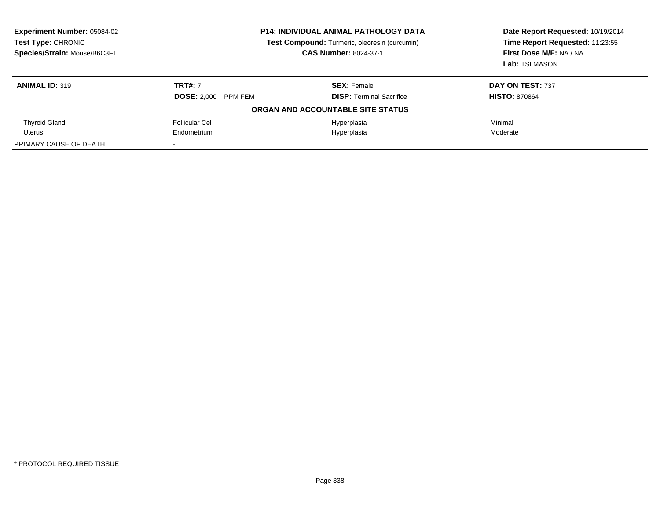| <b>Experiment Number: 05084-02</b><br>Test Type: CHRONIC<br>Species/Strain: Mouse/B6C3F1 | <b>P14: INDIVIDUAL ANIMAL PATHOLOGY DATA</b><br>Test Compound: Turmeric, oleoresin (curcumin)<br><b>CAS Number: 8024-37-1</b> |                                   | Date Report Requested: 10/19/2014<br>Time Report Requested: 11:23:55<br>First Dose M/F: NA / NA<br>Lab: TSI MASON |
|------------------------------------------------------------------------------------------|-------------------------------------------------------------------------------------------------------------------------------|-----------------------------------|-------------------------------------------------------------------------------------------------------------------|
| <b>ANIMAL ID: 319</b>                                                                    | <b>TRT#: 7</b>                                                                                                                | <b>SEX: Female</b>                | DAY ON TEST: 737                                                                                                  |
|                                                                                          | <b>DOSE: 2,000 PPM FEM</b>                                                                                                    | <b>DISP:</b> Terminal Sacrifice   | <b>HISTO: 870864</b>                                                                                              |
|                                                                                          |                                                                                                                               | ORGAN AND ACCOUNTABLE SITE STATUS |                                                                                                                   |
| <b>Thyroid Gland</b>                                                                     | <b>Follicular Cel</b>                                                                                                         | Hyperplasia                       | Minimal                                                                                                           |
| Uterus                                                                                   | Endometrium                                                                                                                   | Hyperplasia                       | Moderate                                                                                                          |
| PRIMARY CAUSE OF DEATH                                                                   |                                                                                                                               |                                   |                                                                                                                   |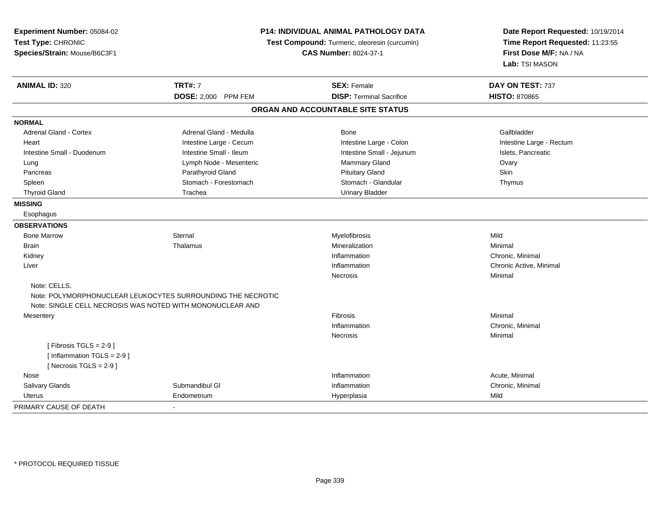| Experiment Number: 05084-02<br>Test Type: CHRONIC<br>Species/Strain: Mouse/B6C3F1 |                                                             | P14: INDIVIDUAL ANIMAL PATHOLOGY DATA<br>Test Compound: Turmeric, oleoresin (curcumin)<br><b>CAS Number: 8024-37-1</b> | Date Report Requested: 10/19/2014<br>Time Report Requested: 11:23:55<br>First Dose M/F: NA / NA<br>Lab: TSI MASON |
|-----------------------------------------------------------------------------------|-------------------------------------------------------------|------------------------------------------------------------------------------------------------------------------------|-------------------------------------------------------------------------------------------------------------------|
| <b>ANIMAL ID: 320</b>                                                             | <b>TRT#: 7</b>                                              | <b>SEX: Female</b>                                                                                                     | DAY ON TEST: 737                                                                                                  |
|                                                                                   | DOSE: 2,000 PPM FEM                                         | <b>DISP: Terminal Sacrifice</b>                                                                                        | <b>HISTO: 870865</b>                                                                                              |
|                                                                                   |                                                             | ORGAN AND ACCOUNTABLE SITE STATUS                                                                                      |                                                                                                                   |
| <b>NORMAL</b>                                                                     |                                                             |                                                                                                                        |                                                                                                                   |
| Adrenal Gland - Cortex                                                            | Adrenal Gland - Medulla                                     | Bone                                                                                                                   | Gallbladder                                                                                                       |
| Heart                                                                             | Intestine Large - Cecum                                     | Intestine Large - Colon                                                                                                | Intestine Large - Rectum                                                                                          |
| Intestine Small - Duodenum                                                        | Intestine Small - Ileum                                     | Intestine Small - Jejunum                                                                                              | Islets, Pancreatic                                                                                                |
| Lung                                                                              | Lymph Node - Mesenteric                                     | Mammary Gland                                                                                                          | Ovary                                                                                                             |
| Pancreas                                                                          | Parathyroid Gland                                           | <b>Pituitary Gland</b>                                                                                                 | Skin                                                                                                              |
| Spleen                                                                            | Stomach - Forestomach                                       | Stomach - Glandular                                                                                                    | Thymus                                                                                                            |
| <b>Thyroid Gland</b>                                                              | Trachea                                                     | <b>Urinary Bladder</b>                                                                                                 |                                                                                                                   |
| <b>MISSING</b>                                                                    |                                                             |                                                                                                                        |                                                                                                                   |
| Esophagus                                                                         |                                                             |                                                                                                                        |                                                                                                                   |
| <b>OBSERVATIONS</b>                                                               |                                                             |                                                                                                                        |                                                                                                                   |
| <b>Bone Marrow</b>                                                                | Sternal                                                     | Myelofibrosis                                                                                                          | Mild                                                                                                              |
| Brain                                                                             | Thalamus                                                    | Mineralization                                                                                                         | Minimal                                                                                                           |
| Kidney                                                                            |                                                             | Inflammation                                                                                                           | Chronic, Minimal                                                                                                  |
| Liver                                                                             |                                                             | Inflammation                                                                                                           | Chronic Active, Minimal                                                                                           |
|                                                                                   |                                                             | Necrosis                                                                                                               | Minimal                                                                                                           |
| Note: CELLS.                                                                      |                                                             |                                                                                                                        |                                                                                                                   |
|                                                                                   | Note: POLYMORPHONUCLEAR LEUKOCYTES SURROUNDING THE NECROTIC |                                                                                                                        |                                                                                                                   |
| Note: SINGLE CELL NECROSIS WAS NOTED WITH MONONUCLEAR AND                         |                                                             |                                                                                                                        |                                                                                                                   |
| Mesentery                                                                         |                                                             | Fibrosis                                                                                                               | Minimal                                                                                                           |
|                                                                                   |                                                             | Inflammation                                                                                                           | Chronic, Minimal                                                                                                  |
|                                                                                   |                                                             | Necrosis                                                                                                               | Minimal                                                                                                           |
| [Fibrosis TGLS = $2-9$ ]                                                          |                                                             |                                                                                                                        |                                                                                                                   |
| [Inflammation TGLS = 2-9]                                                         |                                                             |                                                                                                                        |                                                                                                                   |
| [Necrosis $TGLS = 2-9$ ]                                                          |                                                             |                                                                                                                        |                                                                                                                   |
| Nose                                                                              |                                                             | Inflammation                                                                                                           | Acute, Minimal                                                                                                    |
| Salivary Glands                                                                   | Submandibul GI                                              | Inflammation                                                                                                           | Chronic, Minimal                                                                                                  |
| Uterus                                                                            | Endometrium                                                 | Hyperplasia                                                                                                            | Mild                                                                                                              |
| PRIMARY CAUSE OF DEATH                                                            |                                                             |                                                                                                                        |                                                                                                                   |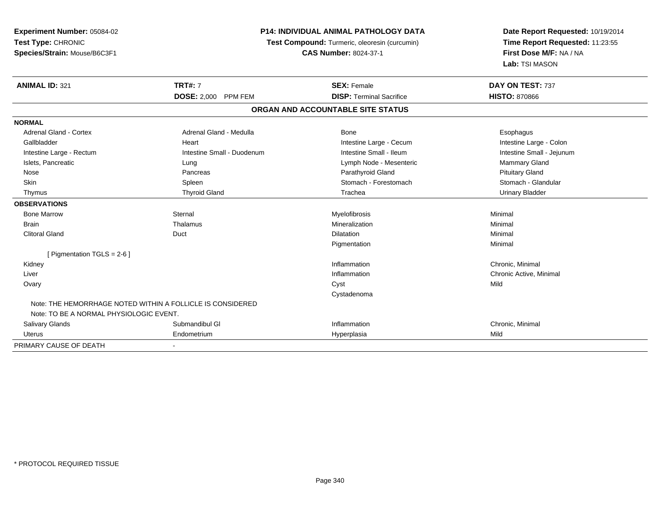| Experiment Number: 05084-02             |                                                            | <b>P14: INDIVIDUAL ANIMAL PATHOLOGY DATA</b><br>Test Compound: Turmeric, oleoresin (curcumin) |                                                            |
|-----------------------------------------|------------------------------------------------------------|-----------------------------------------------------------------------------------------------|------------------------------------------------------------|
| Test Type: CHRONIC                      |                                                            |                                                                                               |                                                            |
| Species/Strain: Mouse/B6C3F1            |                                                            | <b>CAS Number: 8024-37-1</b>                                                                  | Time Report Requested: 11:23:55<br>First Dose M/F: NA / NA |
|                                         |                                                            |                                                                                               | Lab: TSI MASON                                             |
| <b>ANIMAL ID: 321</b>                   | <b>TRT#: 7</b>                                             | <b>SEX: Female</b>                                                                            | DAY ON TEST: 737                                           |
|                                         | <b>DOSE: 2,000 PPM FEM</b>                                 | <b>DISP: Terminal Sacrifice</b>                                                               | <b>HISTO: 870866</b>                                       |
|                                         |                                                            | ORGAN AND ACCOUNTABLE SITE STATUS                                                             |                                                            |
| <b>NORMAL</b>                           |                                                            |                                                                                               |                                                            |
| <b>Adrenal Gland - Cortex</b>           | Adrenal Gland - Medulla                                    | <b>Bone</b>                                                                                   | Esophagus                                                  |
| Gallbladder                             | Heart                                                      | Intestine Large - Cecum                                                                       | Intestine Large - Colon                                    |
| Intestine Large - Rectum                | Intestine Small - Duodenum                                 | Intestine Small - Ileum                                                                       | Intestine Small - Jejunum                                  |
| Islets, Pancreatic                      | Lung                                                       | Lymph Node - Mesenteric                                                                       | Mammary Gland                                              |
| Nose                                    | Pancreas                                                   | Parathyroid Gland                                                                             | <b>Pituitary Gland</b>                                     |
| Skin                                    | Spleen                                                     | Stomach - Forestomach                                                                         | Stomach - Glandular                                        |
| Thymus                                  | <b>Thyroid Gland</b>                                       | Trachea                                                                                       | <b>Urinary Bladder</b>                                     |
| <b>OBSERVATIONS</b>                     |                                                            |                                                                                               |                                                            |
| <b>Bone Marrow</b>                      | Sternal                                                    | Myelofibrosis                                                                                 | Minimal                                                    |
| <b>Brain</b>                            | Thalamus                                                   | Mineralization                                                                                | Minimal                                                    |
| <b>Clitoral Gland</b>                   | Duct                                                       | <b>Dilatation</b>                                                                             | Minimal                                                    |
|                                         |                                                            | Pigmentation                                                                                  | Minimal                                                    |
| [ Pigmentation TGLS = $2-6$ ]           |                                                            |                                                                                               |                                                            |
| Kidney                                  |                                                            | Inflammation                                                                                  | Chronic, Minimal                                           |
| Liver                                   |                                                            | Inflammation                                                                                  | Chronic Active, Minimal                                    |
| Ovary                                   |                                                            | Cyst                                                                                          | Mild                                                       |
|                                         |                                                            | Cystadenoma                                                                                   |                                                            |
|                                         | Note: THE HEMORRHAGE NOTED WITHIN A FOLLICLE IS CONSIDERED |                                                                                               |                                                            |
| Note: TO BE A NORMAL PHYSIOLOGIC EVENT. |                                                            |                                                                                               |                                                            |
| Salivary Glands                         | Submandibul GI                                             | Inflammation                                                                                  | Chronic, Minimal                                           |
| <b>Uterus</b>                           | Endometrium                                                | Hyperplasia                                                                                   | Mild                                                       |
| PRIMARY CAUSE OF DEATH                  |                                                            |                                                                                               |                                                            |

-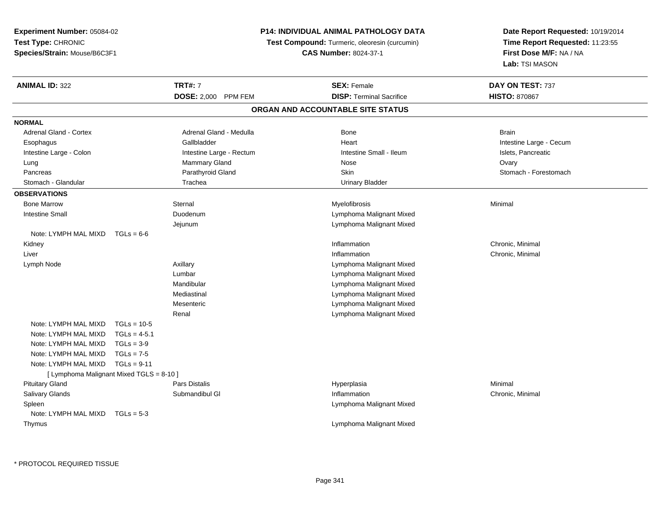**Experiment Number:** 05084-02**Test Type:** CHRONIC **Species/Strain:** Mouse/B6C3F1**P14: INDIVIDUAL ANIMAL PATHOLOGY DATATest Compound:** Turmeric, oleoresin (curcumin)**CAS Number:** 8024-37-1**Date Report Requested:** 10/19/2014**Time Report Requested:** 11:23:55**First Dose M/F:** NA / NA**Lab:** TSI MASON**ANIMAL ID:** 322**TRT#:** 7 **SEX:** Female **SEX: Female DAY ON TEST:** 737 **DOSE:** 2,000 PPM FEM**DISP:** Terminal Sacrifice **HISTO:** 870867 **ORGAN AND ACCOUNTABLE SITE STATUSNORMALAdrenal Gland - Cortex** Adrenal Gland - Medulla **Bone** Bone Bone Brain Brain Brain Brain Esophagus **Example 20 Team Callbladder** Callbladder **Heart Intestine Large - Cecum** Callbladder Communication of the example of the example of the example of the example of the example of the example of the example of the Intestine Large - Colon **Intestine Large - Rectum** Intestine Small - Ileum Intestine Small - Ileum Islets, Pancreatic Lung Mammary Gland Nose OvaryPancreas **Parathyroid Gland Parathyroid Gland** Skin Stomach - Forestomach - Stomach - Forestomach - Forestomach Stomach - Glandular Trachea Urinary Bladder**OBSERVATIONS** Bone Marroww the sternal sternal the sternal sternal method of the step of Myelofibrosis and Minimal method of Minimal me<br>The step of the step of the step of the step of the step of the step of the step of the step of the step of th Intestine Small Duodenum Lymphoma Malignant Mixed Jejunum Lymphoma Malignant Mixed Note: LYMPH MAL MIXD TGLs = 6-6 Kidneyy the control of the control of the control of the control of the control of the control of the control of the control of the control of the control of the control of the control of the control of the control of the contro Inflammation **Chronic, Minimal**  Liver**Inflammation** Inflammation **Chronic, Minimal**  Lymph NodeAxillary **Axillary Axillary Lymphoma Malignant Mixed** Lumbar Lymphoma Malignant Mixed Lymphoma Malignant MixedMandibular Lymphoma Malignant MixedMediastinal Lymphoma Malignant MixedMesenteric Lymphoma Malignant MixedRenalNote: LYMPH MAL MIXD TGLs = 10-5 $TGLs = 4-5.1$ Note: LYMPH MAL MIXD Note: LYMPH MAL MIXD TGLs = 3-9 Note: LYMPH MAL MIXD TGLs = 7-5 Note: LYMPH MAL MIXD TGLs = 9-11 [ Lymphoma Malignant Mixed TGLS = 8-10 ] Pituitary Gland Pars Distalis Hyperplasia Minimal Salivary GlandsSubmandibul Gl **Inflammation**  Chronic, Minimal Spleen Lymphoma Malignant Mixed Note: LYMPH MAL MIXD TGLs = 5-3 ThymusLymphoma Malignant Mixed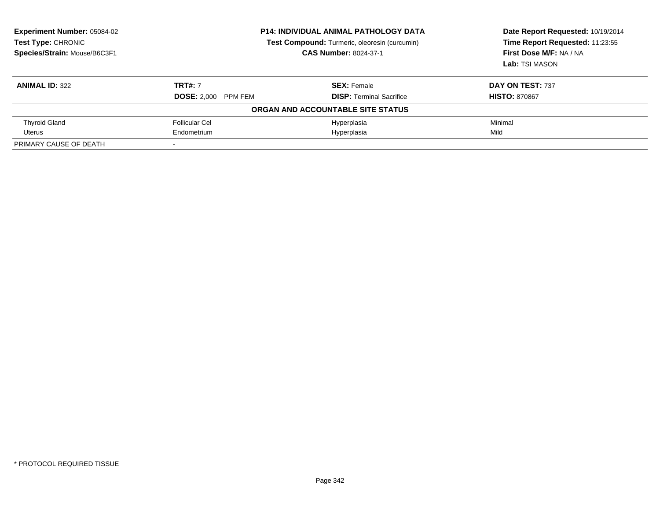| <b>Experiment Number: 05084-02</b><br>Test Type: CHRONIC<br>Species/Strain: Mouse/B6C3F1 | <b>P14: INDIVIDUAL ANIMAL PATHOLOGY DATA</b><br>Test Compound: Turmeric, oleoresin (curcumin)<br><b>CAS Number: 8024-37-1</b> |                                   | Date Report Requested: 10/19/2014<br>Time Report Requested: 11:23:55<br>First Dose M/F: NA / NA<br>Lab: TSI MASON |
|------------------------------------------------------------------------------------------|-------------------------------------------------------------------------------------------------------------------------------|-----------------------------------|-------------------------------------------------------------------------------------------------------------------|
| <b>ANIMAL ID: 322</b>                                                                    | <b>TRT#: 7</b>                                                                                                                | <b>SEX: Female</b>                | DAY ON TEST: 737                                                                                                  |
|                                                                                          | <b>DOSE: 2,000 PPM FEM</b>                                                                                                    | <b>DISP: Terminal Sacrifice</b>   | <b>HISTO: 870867</b>                                                                                              |
|                                                                                          |                                                                                                                               | ORGAN AND ACCOUNTABLE SITE STATUS |                                                                                                                   |
| <b>Thyroid Gland</b>                                                                     | <b>Follicular Cel</b>                                                                                                         | Hyperplasia                       | Minimal                                                                                                           |
| Uterus                                                                                   | Endometrium                                                                                                                   | Hyperplasia                       | Mild                                                                                                              |
| PRIMARY CAUSE OF DEATH                                                                   |                                                                                                                               |                                   |                                                                                                                   |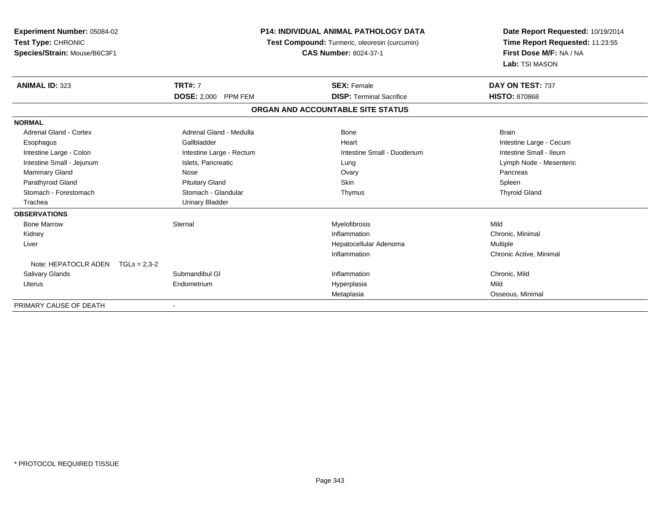| <b>Experiment Number: 05084-02</b><br>Test Type: CHRONIC<br>Species/Strain: Mouse/B6C3F1 | <b>P14: INDIVIDUAL ANIMAL PATHOLOGY DATA</b><br><b>Test Compound:</b> Turmeric, oleoresin (curcumin)<br><b>CAS Number: 8024-37-1</b> |                                   | Date Report Requested: 10/19/2014<br>Time Report Requested: 11:23:55<br>First Dose M/F: NA / NA<br>Lab: TSI MASON |
|------------------------------------------------------------------------------------------|--------------------------------------------------------------------------------------------------------------------------------------|-----------------------------------|-------------------------------------------------------------------------------------------------------------------|
| <b>ANIMAL ID: 323</b>                                                                    | <b>TRT#: 7</b>                                                                                                                       | <b>SEX: Female</b>                | DAY ON TEST: 737                                                                                                  |
|                                                                                          | DOSE: 2,000 PPM FEM                                                                                                                  | <b>DISP: Terminal Sacrifice</b>   | <b>HISTO: 870868</b>                                                                                              |
|                                                                                          |                                                                                                                                      | ORGAN AND ACCOUNTABLE SITE STATUS |                                                                                                                   |
| <b>NORMAL</b>                                                                            |                                                                                                                                      |                                   |                                                                                                                   |
| <b>Adrenal Gland - Cortex</b>                                                            | Adrenal Gland - Medulla                                                                                                              | Bone                              | <b>Brain</b>                                                                                                      |
| Esophagus                                                                                | Gallbladder                                                                                                                          | Heart                             | Intestine Large - Cecum                                                                                           |
| Intestine Large - Colon                                                                  | Intestine Large - Rectum                                                                                                             | Intestine Small - Duodenum        | Intestine Small - Ileum                                                                                           |
| Intestine Small - Jejunum                                                                | Islets, Pancreatic                                                                                                                   | Lung                              | Lymph Node - Mesenteric                                                                                           |
| <b>Mammary Gland</b>                                                                     | Nose                                                                                                                                 | Ovary                             | Pancreas                                                                                                          |
| Parathyroid Gland                                                                        | <b>Pituitary Gland</b>                                                                                                               | <b>Skin</b>                       | Spleen                                                                                                            |
| Stomach - Forestomach                                                                    | Stomach - Glandular                                                                                                                  | Thymus                            | <b>Thyroid Gland</b>                                                                                              |
| Trachea                                                                                  | <b>Urinary Bladder</b>                                                                                                               |                                   |                                                                                                                   |
| <b>OBSERVATIONS</b>                                                                      |                                                                                                                                      |                                   |                                                                                                                   |
| <b>Bone Marrow</b>                                                                       | Sternal                                                                                                                              | Myelofibrosis                     | Mild                                                                                                              |
| Kidney                                                                                   |                                                                                                                                      | Inflammation                      | Chronic, Minimal                                                                                                  |
| Liver                                                                                    |                                                                                                                                      | Hepatocellular Adenoma            | Multiple                                                                                                          |
|                                                                                          |                                                                                                                                      | Inflammation                      | Chronic Active, Minimal                                                                                           |
| Note: HEPATOCLR ADEN $TGLs = 2.3-2$                                                      |                                                                                                                                      |                                   |                                                                                                                   |
| <b>Salivary Glands</b>                                                                   | Submandibul GI                                                                                                                       | Inflammation                      | Chronic, Mild                                                                                                     |
| Uterus                                                                                   | Endometrium                                                                                                                          | Hyperplasia                       | Mild                                                                                                              |
|                                                                                          |                                                                                                                                      | Metaplasia                        | Osseous, Minimal                                                                                                  |
| PRIMARY CAUSE OF DEATH                                                                   |                                                                                                                                      |                                   |                                                                                                                   |

-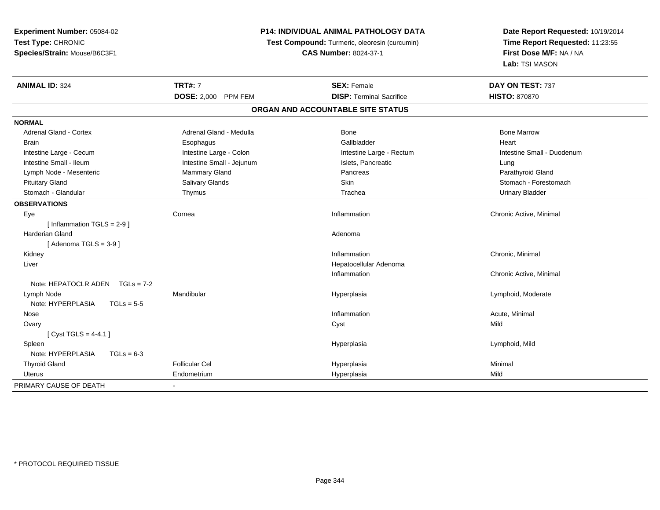| Experiment Number: 05084-02              | P14: INDIVIDUAL ANIMAL PATHOLOGY DATA<br>Test Compound: Turmeric, oleoresin (curcumin) |                                   | Date Report Requested: 10/19/2014 |  |
|------------------------------------------|----------------------------------------------------------------------------------------|-----------------------------------|-----------------------------------|--|
| Test Type: CHRONIC                       |                                                                                        |                                   | Time Report Requested: 11:23:55   |  |
| Species/Strain: Mouse/B6C3F1             |                                                                                        | <b>CAS Number: 8024-37-1</b>      | First Dose M/F: NA / NA           |  |
|                                          |                                                                                        |                                   | Lab: TSI MASON                    |  |
| <b>ANIMAL ID: 324</b>                    | <b>TRT#: 7</b>                                                                         | <b>SEX: Female</b>                | DAY ON TEST: 737                  |  |
|                                          | DOSE: 2,000 PPM FEM                                                                    | <b>DISP: Terminal Sacrifice</b>   | <b>HISTO: 870870</b>              |  |
|                                          |                                                                                        | ORGAN AND ACCOUNTABLE SITE STATUS |                                   |  |
| <b>NORMAL</b>                            |                                                                                        |                                   |                                   |  |
| <b>Adrenal Gland - Cortex</b>            | Adrenal Gland - Medulla                                                                | Bone                              | <b>Bone Marrow</b>                |  |
| Brain                                    | Esophagus                                                                              | Gallbladder                       | Heart                             |  |
| Intestine Large - Cecum                  | Intestine Large - Colon                                                                | Intestine Large - Rectum          | Intestine Small - Duodenum        |  |
| Intestine Small - Ileum                  | Intestine Small - Jejunum                                                              | Islets, Pancreatic                | Lung                              |  |
| Lymph Node - Mesenteric                  | Mammary Gland                                                                          | Pancreas                          | Parathyroid Gland                 |  |
| <b>Pituitary Gland</b>                   | Salivary Glands                                                                        | <b>Skin</b>                       | Stomach - Forestomach             |  |
| Stomach - Glandular                      | Thymus                                                                                 | Trachea                           | <b>Urinary Bladder</b>            |  |
| <b>OBSERVATIONS</b>                      |                                                                                        |                                   |                                   |  |
| Eye                                      | Cornea                                                                                 | Inflammation                      | Chronic Active, Minimal           |  |
| [Inflammation TGLS = 2-9]                |                                                                                        |                                   |                                   |  |
| Harderian Gland                          |                                                                                        | Adenoma                           |                                   |  |
| [Adenoma TGLS = $3-9$ ]                  |                                                                                        |                                   |                                   |  |
| Kidney                                   |                                                                                        | Inflammation                      | Chronic, Minimal                  |  |
| Liver                                    |                                                                                        | Hepatocellular Adenoma            |                                   |  |
|                                          |                                                                                        | Inflammation                      | Chronic Active, Minimal           |  |
| Note: HEPATOCLR ADEN TGLs = 7-2          |                                                                                        |                                   |                                   |  |
| Lymph Node                               | Mandibular                                                                             | Hyperplasia                       | Lymphoid, Moderate                |  |
| Note: HYPERPLASIA<br>$TGLs = 5-5$        |                                                                                        |                                   |                                   |  |
| Nose                                     |                                                                                        | Inflammation                      | Acute, Minimal                    |  |
| Ovary                                    |                                                                                        | Cyst                              | Mild                              |  |
| [Cyst TGLS = $4-4.1$ ]                   |                                                                                        |                                   |                                   |  |
| Spleen                                   |                                                                                        | Hyperplasia                       | Lymphoid, Mild                    |  |
| Note: HYPERPLASIA<br>$TGLs = 6-3$        |                                                                                        |                                   |                                   |  |
| <b>Thyroid Gland</b>                     | <b>Follicular Cel</b>                                                                  | Hyperplasia                       | Minimal                           |  |
| Uterus                                   | Endometrium                                                                            | Hyperplasia                       | Mild                              |  |
| PRIMARY CAUSE OF DEATH<br>$\blacksquare$ |                                                                                        |                                   |                                   |  |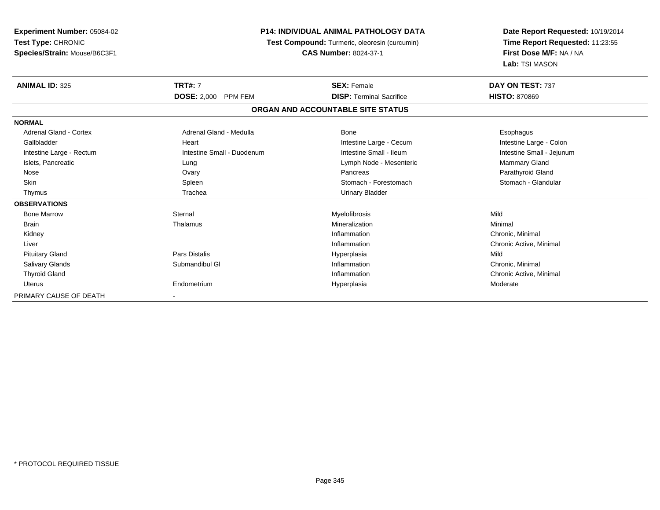| <b>Experiment Number: 05084-02</b><br>Test Type: CHRONIC<br>Species/Strain: Mouse/B6C3F1 |                                      | <b>P14: INDIVIDUAL ANIMAL PATHOLOGY DATA</b><br>Test Compound: Turmeric, oleoresin (curcumin)<br><b>CAS Number: 8024-37-1</b> |                           |
|------------------------------------------------------------------------------------------|--------------------------------------|-------------------------------------------------------------------------------------------------------------------------------|---------------------------|
| <b>ANIMAL ID: 325</b>                                                                    | <b>TRT#: 7</b>                       | <b>SEX: Female</b>                                                                                                            | DAY ON TEST: 737          |
|                                                                                          | <b>DOSE: 2,000</b><br><b>PPM FEM</b> | <b>DISP: Terminal Sacrifice</b>                                                                                               | <b>HISTO: 870869</b>      |
|                                                                                          |                                      | ORGAN AND ACCOUNTABLE SITE STATUS                                                                                             |                           |
| <b>NORMAL</b>                                                                            |                                      |                                                                                                                               |                           |
| <b>Adrenal Gland - Cortex</b>                                                            | Adrenal Gland - Medulla              | Bone                                                                                                                          | Esophagus                 |
| Gallbladder                                                                              | Heart                                | Intestine Large - Cecum                                                                                                       | Intestine Large - Colon   |
| Intestine Large - Rectum                                                                 | Intestine Small - Duodenum           | Intestine Small - Ileum                                                                                                       | Intestine Small - Jejunum |
| Islets, Pancreatic                                                                       | Lung                                 | Lymph Node - Mesenteric                                                                                                       | Mammary Gland             |
| Nose                                                                                     | Ovary                                | Pancreas                                                                                                                      | Parathyroid Gland         |
| Skin                                                                                     | Spleen                               | Stomach - Forestomach                                                                                                         | Stomach - Glandular       |
| Thymus                                                                                   | Trachea                              | <b>Urinary Bladder</b>                                                                                                        |                           |
| <b>OBSERVATIONS</b>                                                                      |                                      |                                                                                                                               |                           |
| <b>Bone Marrow</b>                                                                       | Sternal                              | Myelofibrosis                                                                                                                 | Mild                      |
| <b>Brain</b>                                                                             | Thalamus                             | Mineralization                                                                                                                | Minimal                   |
| Kidney                                                                                   |                                      | Inflammation                                                                                                                  | Chronic, Minimal          |
| Liver                                                                                    |                                      | Inflammation                                                                                                                  | Chronic Active, Minimal   |
| <b>Pituitary Gland</b>                                                                   | <b>Pars Distalis</b>                 | Hyperplasia                                                                                                                   | Mild                      |
| Salivary Glands                                                                          | Submandibul GI                       | Inflammation                                                                                                                  | Chronic, Minimal          |
| <b>Thyroid Gland</b>                                                                     |                                      | Inflammation                                                                                                                  | Chronic Active, Minimal   |
| Uterus                                                                                   | Endometrium                          | Hyperplasia                                                                                                                   | Moderate                  |
| PRIMARY CAUSE OF DEATH                                                                   |                                      |                                                                                                                               |                           |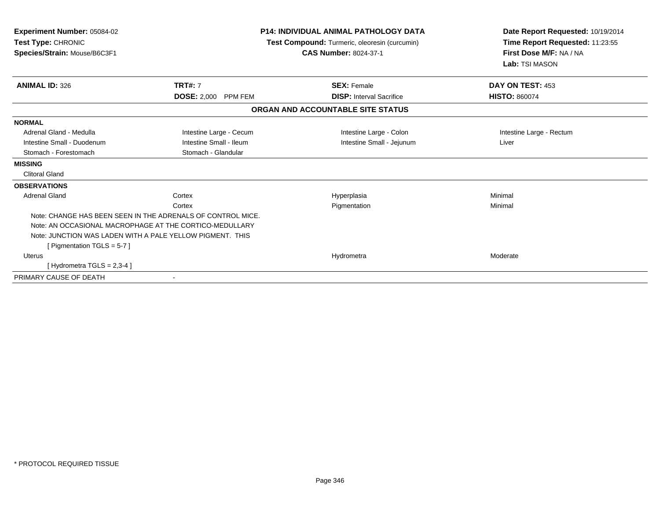| Experiment Number: 05084-02<br>Test Type: CHRONIC<br>Species/Strain: Mouse/B6C3F1 |                                                             | <b>P14: INDIVIDUAL ANIMAL PATHOLOGY DATA</b><br>Test Compound: Turmeric, oleoresin (curcumin)<br><b>CAS Number: 8024-37-1</b> | Date Report Requested: 10/19/2014<br>Time Report Requested: 11:23:55<br>First Dose M/F: NA / NA<br>Lab: TSI MASON |  |
|-----------------------------------------------------------------------------------|-------------------------------------------------------------|-------------------------------------------------------------------------------------------------------------------------------|-------------------------------------------------------------------------------------------------------------------|--|
| <b>ANIMAL ID: 326</b>                                                             | <b>TRT#: 7</b>                                              | <b>SEX: Female</b>                                                                                                            | DAY ON TEST: 453                                                                                                  |  |
|                                                                                   | <b>DOSE: 2,000</b><br><b>PPM FEM</b>                        | <b>DISP:</b> Interval Sacrifice                                                                                               | <b>HISTO: 860074</b>                                                                                              |  |
|                                                                                   |                                                             | ORGAN AND ACCOUNTABLE SITE STATUS                                                                                             |                                                                                                                   |  |
| <b>NORMAL</b>                                                                     |                                                             |                                                                                                                               |                                                                                                                   |  |
| Adrenal Gland - Medulla                                                           | Intestine Large - Cecum                                     | Intestine Large - Colon                                                                                                       | Intestine Large - Rectum                                                                                          |  |
| Intestine Small - Duodenum                                                        | Intestine Small - Ileum                                     | Intestine Small - Jejunum                                                                                                     | Liver                                                                                                             |  |
| Stomach - Forestomach                                                             | Stomach - Glandular                                         |                                                                                                                               |                                                                                                                   |  |
| <b>MISSING</b>                                                                    |                                                             |                                                                                                                               |                                                                                                                   |  |
| <b>Clitoral Gland</b>                                                             |                                                             |                                                                                                                               |                                                                                                                   |  |
| <b>OBSERVATIONS</b>                                                               |                                                             |                                                                                                                               |                                                                                                                   |  |
| <b>Adrenal Gland</b>                                                              | Cortex                                                      | Hyperplasia                                                                                                                   | Minimal                                                                                                           |  |
|                                                                                   | Cortex                                                      | Pigmentation                                                                                                                  | Minimal                                                                                                           |  |
|                                                                                   | Note: CHANGE HAS BEEN SEEN IN THE ADRENALS OF CONTROL MICE. |                                                                                                                               |                                                                                                                   |  |
|                                                                                   | Note: AN OCCASIONAL MACROPHAGE AT THE CORTICO-MEDULLARY     |                                                                                                                               |                                                                                                                   |  |
| Note: JUNCTION WAS LADEN WITH A PALE YELLOW PIGMENT. THIS                         |                                                             |                                                                                                                               |                                                                                                                   |  |
| [ Pigmentation TGLS = 5-7 ]                                                       |                                                             |                                                                                                                               |                                                                                                                   |  |
| <b>Uterus</b>                                                                     |                                                             | Hydrometra                                                                                                                    | Moderate                                                                                                          |  |
| [Hydrometra TGLS = $2,3-4$ ]                                                      |                                                             |                                                                                                                               |                                                                                                                   |  |
| PRIMARY CAUSE OF DEATH                                                            | $\blacksquare$                                              |                                                                                                                               |                                                                                                                   |  |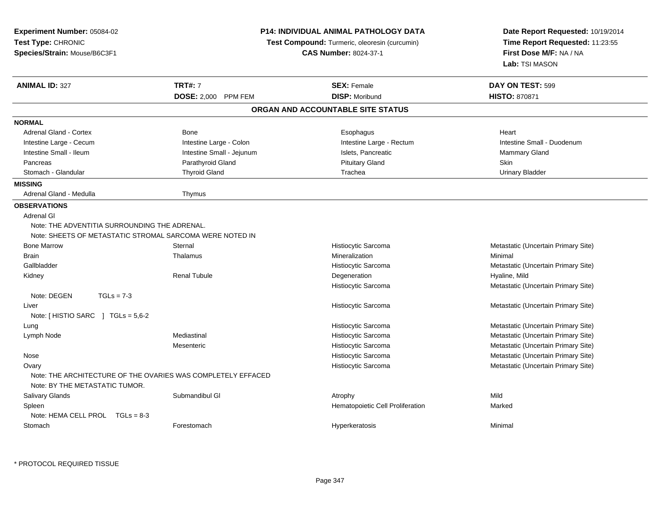| <b>Experiment Number: 05084-02</b>                                                             |                           | <b>P14: INDIVIDUAL ANIMAL PATHOLOGY DATA</b>         | Date Report Requested: 10/19/2014<br>Time Report Requested: 11:23:55 |  |
|------------------------------------------------------------------------------------------------|---------------------------|------------------------------------------------------|----------------------------------------------------------------------|--|
| Test Type: CHRONIC                                                                             |                           | <b>Test Compound:</b> Turmeric, oleoresin (curcumin) |                                                                      |  |
| Species/Strain: Mouse/B6C3F1                                                                   |                           | <b>CAS Number: 8024-37-1</b>                         | First Dose M/F: NA / NA                                              |  |
|                                                                                                |                           |                                                      | Lab: TSI MASON                                                       |  |
| <b>ANIMAL ID: 327</b>                                                                          | <b>TRT#: 7</b>            | <b>SEX: Female</b>                                   | DAY ON TEST: 599                                                     |  |
|                                                                                                | DOSE: 2,000 PPM FEM       | <b>DISP: Moribund</b>                                | <b>HISTO: 870871</b>                                                 |  |
|                                                                                                |                           | ORGAN AND ACCOUNTABLE SITE STATUS                    |                                                                      |  |
| <b>NORMAL</b>                                                                                  |                           |                                                      |                                                                      |  |
| Adrenal Gland - Cortex                                                                         | Bone                      | Esophagus                                            | Heart                                                                |  |
| Intestine Large - Cecum                                                                        | Intestine Large - Colon   | Intestine Large - Rectum                             | Intestine Small - Duodenum                                           |  |
| Intestine Small - Ileum                                                                        | Intestine Small - Jejunum | Islets, Pancreatic                                   | Mammary Gland                                                        |  |
| Pancreas                                                                                       | Parathyroid Gland         | <b>Pituitary Gland</b>                               | Skin                                                                 |  |
| Stomach - Glandular                                                                            | <b>Thyroid Gland</b>      | Trachea                                              | <b>Urinary Bladder</b>                                               |  |
| <b>MISSING</b>                                                                                 |                           |                                                      |                                                                      |  |
| Adrenal Gland - Medulla                                                                        | Thymus                    |                                                      |                                                                      |  |
| <b>OBSERVATIONS</b>                                                                            |                           |                                                      |                                                                      |  |
| Adrenal GI                                                                                     |                           |                                                      |                                                                      |  |
| Note: THE ADVENTITIA SURROUNDING THE ADRENAL.                                                  |                           |                                                      |                                                                      |  |
| Note: SHEETS OF METASTATIC STROMAL SARCOMA WERE NOTED IN                                       |                           |                                                      |                                                                      |  |
| <b>Bone Marrow</b>                                                                             | Sternal                   | Histiocytic Sarcoma                                  | Metastatic (Uncertain Primary Site)                                  |  |
| <b>Brain</b>                                                                                   | Thalamus                  | Mineralization                                       | Minimal                                                              |  |
| Gallbladder                                                                                    |                           | Histiocytic Sarcoma                                  | Metastatic (Uncertain Primary Site)                                  |  |
| Kidney                                                                                         | <b>Renal Tubule</b>       | Degeneration                                         | Hyaline, Mild                                                        |  |
|                                                                                                |                           | Histiocytic Sarcoma                                  | Metastatic (Uncertain Primary Site)                                  |  |
| Note: DEGEN<br>$TGLs = 7-3$                                                                    |                           |                                                      |                                                                      |  |
| Liver                                                                                          |                           | Histiocytic Sarcoma                                  | Metastatic (Uncertain Primary Site)                                  |  |
| Note: [HISTIO SARC ] TGLs = 5,6-2                                                              |                           |                                                      |                                                                      |  |
| Lung                                                                                           |                           | Histiocytic Sarcoma                                  | Metastatic (Uncertain Primary Site)                                  |  |
| Lymph Node                                                                                     | Mediastinal               | Histiocytic Sarcoma                                  | Metastatic (Uncertain Primary Site)                                  |  |
|                                                                                                | Mesenteric                | Histiocytic Sarcoma                                  | Metastatic (Uncertain Primary Site)                                  |  |
| Nose                                                                                           |                           | Histiocytic Sarcoma                                  | Metastatic (Uncertain Primary Site)                                  |  |
| Ovary                                                                                          |                           | Histiocytic Sarcoma                                  | Metastatic (Uncertain Primary Site)                                  |  |
| Note: THE ARCHITECTURE OF THE OVARIES WAS COMPLETELY EFFACED<br>Note: BY THE METASTATIC TUMOR. |                           |                                                      |                                                                      |  |
| <b>Salivary Glands</b>                                                                         | Submandibul GI            | Atrophy                                              | Mild                                                                 |  |
| Spleen                                                                                         |                           | Hematopoietic Cell Proliferation                     | Marked                                                               |  |
| Note: HEMA CELL PROL TGLs = 8-3                                                                |                           |                                                      |                                                                      |  |
| Stomach                                                                                        | Forestomach               | Hyperkeratosis                                       | Minimal                                                              |  |
|                                                                                                |                           |                                                      |                                                                      |  |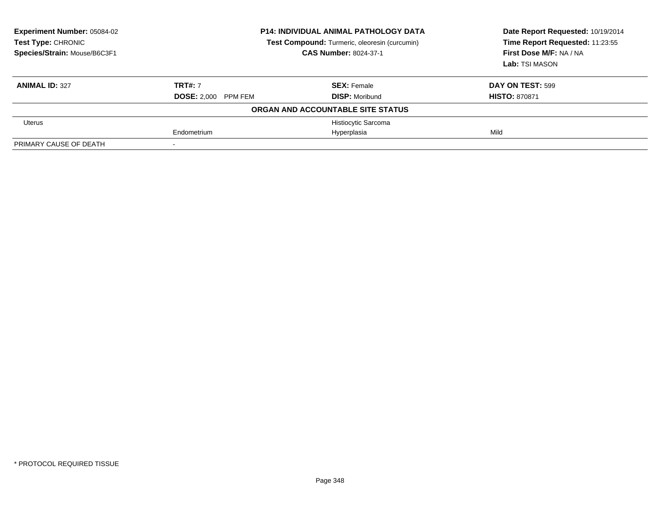| <b>Experiment Number: 05084-02</b><br><b>Test Type: CHRONIC</b><br>Species/Strain: Mouse/B6C3F1 | <b>P14: INDIVIDUAL ANIMAL PATHOLOGY DATA</b><br>Test Compound: Turmeric, oleoresin (curcumin)<br><b>CAS Number: 8024-37-1</b> |                                   | Date Report Requested: 10/19/2014<br>Time Report Requested: 11:23:55<br>First Dose M/F: NA / NA<br>Lab: TSI MASON |
|-------------------------------------------------------------------------------------------------|-------------------------------------------------------------------------------------------------------------------------------|-----------------------------------|-------------------------------------------------------------------------------------------------------------------|
| <b>ANIMAL ID: 327</b>                                                                           | <b>TRT#: 7</b>                                                                                                                | <b>SEX: Female</b>                | DAY ON TEST: 599                                                                                                  |
|                                                                                                 | <b>DOSE: 2.000 PPM FEM</b>                                                                                                    | <b>DISP: Moribund</b>             | <b>HISTO: 870871</b>                                                                                              |
|                                                                                                 |                                                                                                                               | ORGAN AND ACCOUNTABLE SITE STATUS |                                                                                                                   |
| <b>Uterus</b>                                                                                   |                                                                                                                               | Histiocytic Sarcoma               |                                                                                                                   |
|                                                                                                 | Endometrium                                                                                                                   | Hyperplasia                       | Mild                                                                                                              |
| PRIMARY CAUSE OF DEATH                                                                          |                                                                                                                               |                                   |                                                                                                                   |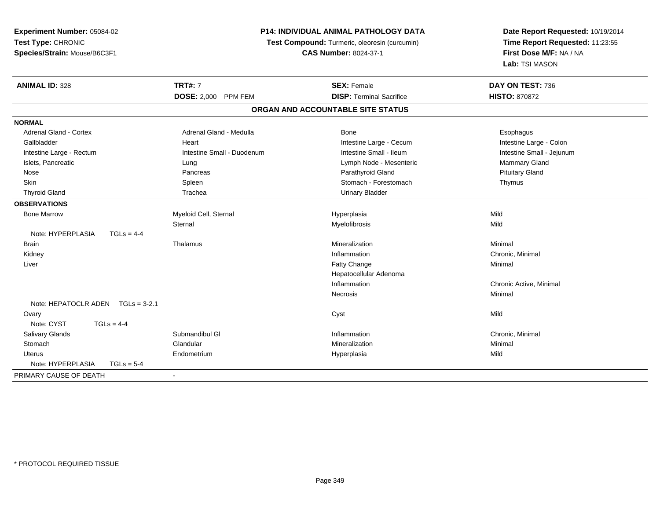| Experiment Number: 05084-02       | P14: INDIVIDUAL ANIMAL PATHOLOGY DATA<br>Test Compound: Turmeric, oleoresin (curcumin)<br><b>CAS Number: 8024-37-1</b> |                                   | Date Report Requested: 10/19/2014<br>Time Report Requested: 11:23:55<br>First Dose M/F: NA / NA |
|-----------------------------------|------------------------------------------------------------------------------------------------------------------------|-----------------------------------|-------------------------------------------------------------------------------------------------|
| Test Type: CHRONIC                |                                                                                                                        |                                   |                                                                                                 |
| Species/Strain: Mouse/B6C3F1      |                                                                                                                        |                                   |                                                                                                 |
|                                   |                                                                                                                        |                                   | Lab: TSI MASON                                                                                  |
| <b>ANIMAL ID: 328</b>             | <b>TRT#: 7</b>                                                                                                         | <b>SEX: Female</b>                | DAY ON TEST: 736                                                                                |
|                                   | DOSE: 2,000 PPM FEM                                                                                                    | <b>DISP: Terminal Sacrifice</b>   | <b>HISTO: 870872</b>                                                                            |
|                                   |                                                                                                                        | ORGAN AND ACCOUNTABLE SITE STATUS |                                                                                                 |
| <b>NORMAL</b>                     |                                                                                                                        |                                   |                                                                                                 |
| <b>Adrenal Gland - Cortex</b>     | Adrenal Gland - Medulla                                                                                                | Bone                              | Esophagus                                                                                       |
| Gallbladder                       | Heart                                                                                                                  | Intestine Large - Cecum           | Intestine Large - Colon                                                                         |
| Intestine Large - Rectum          | Intestine Small - Duodenum                                                                                             | Intestine Small - Ileum           | Intestine Small - Jejunum                                                                       |
| Islets, Pancreatic                | Lung                                                                                                                   | Lymph Node - Mesenteric           | Mammary Gland                                                                                   |
| Nose                              | Pancreas                                                                                                               | Parathyroid Gland                 | <b>Pituitary Gland</b>                                                                          |
| Skin                              | Spleen                                                                                                                 | Stomach - Forestomach             | Thymus                                                                                          |
| <b>Thyroid Gland</b>              | Trachea                                                                                                                | <b>Urinary Bladder</b>            |                                                                                                 |
| <b>OBSERVATIONS</b>               |                                                                                                                        |                                   |                                                                                                 |
| <b>Bone Marrow</b>                | Myeloid Cell, Sternal                                                                                                  | Hyperplasia                       | Mild                                                                                            |
|                                   | Sternal                                                                                                                | Myelofibrosis                     | Mild                                                                                            |
| Note: HYPERPLASIA<br>$TGLs = 4-4$ |                                                                                                                        |                                   |                                                                                                 |
| Brain                             | Thalamus                                                                                                               | Mineralization                    | Minimal                                                                                         |
| Kidney                            |                                                                                                                        | Inflammation                      | Chronic, Minimal                                                                                |
| Liver                             |                                                                                                                        | Fatty Change                      | Minimal                                                                                         |
|                                   |                                                                                                                        | Hepatocellular Adenoma            |                                                                                                 |
|                                   |                                                                                                                        | Inflammation                      | Chronic Active, Minimal                                                                         |
|                                   |                                                                                                                        | Necrosis                          | Minimal                                                                                         |
| Note: HEPATOCLR ADEN TGLs = 3-2.1 |                                                                                                                        |                                   |                                                                                                 |
| Ovary                             |                                                                                                                        | Cyst                              | Mild                                                                                            |
| Note: CYST<br>$TGLs = 4-4$        |                                                                                                                        |                                   |                                                                                                 |
| Salivary Glands                   | Submandibul GI                                                                                                         | Inflammation                      | Chronic, Minimal                                                                                |
| Stomach                           | Glandular                                                                                                              | Mineralization                    | Minimal                                                                                         |
| <b>Uterus</b>                     | Endometrium                                                                                                            | Hyperplasia                       | Mild                                                                                            |
| Note: HYPERPLASIA<br>$TGLs = 5-4$ |                                                                                                                        |                                   |                                                                                                 |
| PRIMARY CAUSE OF DEATH            | $\mathbf{r}$                                                                                                           |                                   |                                                                                                 |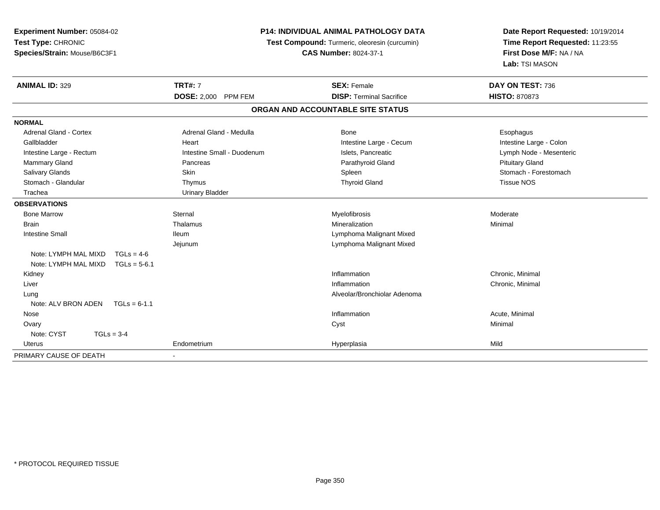| Experiment Number: 05084-02            | <b>P14: INDIVIDUAL ANIMAL PATHOLOGY DATA</b> |                                               | Date Report Requested: 10/19/2014                          |  |
|----------------------------------------|----------------------------------------------|-----------------------------------------------|------------------------------------------------------------|--|
| Test Type: CHRONIC                     |                                              | Test Compound: Turmeric, oleoresin (curcumin) | Time Report Requested: 11:23:55<br>First Dose M/F: NA / NA |  |
| Species/Strain: Mouse/B6C3F1           |                                              | <b>CAS Number: 8024-37-1</b>                  |                                                            |  |
|                                        |                                              |                                               | Lab: TSI MASON                                             |  |
| <b>ANIMAL ID: 329</b>                  | <b>TRT#: 7</b>                               | <b>SEX: Female</b>                            | DAY ON TEST: 736                                           |  |
|                                        | <b>DOSE: 2,000 PPM FEM</b>                   | <b>DISP: Terminal Sacrifice</b>               | <b>HISTO: 870873</b>                                       |  |
|                                        |                                              | ORGAN AND ACCOUNTABLE SITE STATUS             |                                                            |  |
| <b>NORMAL</b>                          |                                              |                                               |                                                            |  |
| <b>Adrenal Gland - Cortex</b>          | Adrenal Gland - Medulla                      | Bone                                          | Esophagus                                                  |  |
| Gallbladder                            | Heart                                        | Intestine Large - Cecum                       | Intestine Large - Colon                                    |  |
| Intestine Large - Rectum               | Intestine Small - Duodenum                   | Islets, Pancreatic                            | Lymph Node - Mesenteric                                    |  |
| Mammary Gland                          | Pancreas                                     | Parathyroid Gland                             | <b>Pituitary Gland</b>                                     |  |
| <b>Salivary Glands</b>                 | <b>Skin</b>                                  | Spleen                                        | Stomach - Forestomach                                      |  |
| Stomach - Glandular                    | Thymus                                       | <b>Thyroid Gland</b>                          | Tissue NOS                                                 |  |
| Trachea                                | <b>Urinary Bladder</b>                       |                                               |                                                            |  |
| <b>OBSERVATIONS</b>                    |                                              |                                               |                                                            |  |
| <b>Bone Marrow</b>                     | Sternal                                      | Myelofibrosis                                 | Moderate                                                   |  |
| <b>Brain</b>                           | Thalamus                                     | Mineralization                                | Minimal                                                    |  |
| <b>Intestine Small</b>                 | <b>Ileum</b>                                 | Lymphoma Malignant Mixed                      |                                                            |  |
|                                        | Jejunum                                      | Lymphoma Malignant Mixed                      |                                                            |  |
| Note: LYMPH MAL MIXD<br>$TGLs = 4-6$   |                                              |                                               |                                                            |  |
| Note: LYMPH MAL MIXD<br>$TGLs = 5-6.1$ |                                              |                                               |                                                            |  |
| Kidney                                 |                                              | Inflammation                                  | Chronic, Minimal                                           |  |
| Liver                                  |                                              | Inflammation                                  | Chronic, Minimal                                           |  |
| Lung                                   |                                              | Alveolar/Bronchiolar Adenoma                  |                                                            |  |
| Note: ALV BRON ADEN<br>$TGLs = 6-1.1$  |                                              |                                               |                                                            |  |
| Nose                                   |                                              | Inflammation                                  | Acute, Minimal                                             |  |
| Ovary                                  |                                              | Cyst                                          | Minimal                                                    |  |
| Note: CYST<br>$TGLs = 3-4$             |                                              |                                               |                                                            |  |
| Uterus                                 | Endometrium                                  | Hyperplasia                                   | Mild                                                       |  |
| PRIMARY CAUSE OF DEATH                 |                                              |                                               |                                                            |  |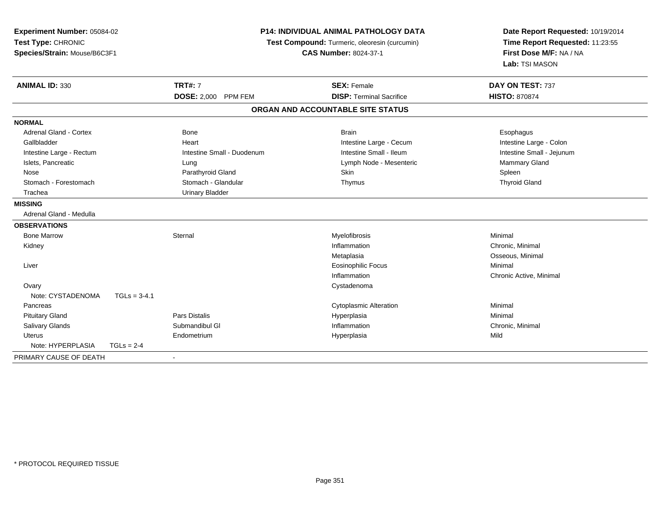| Experiment Number: 05084-02<br>Test Type: CHRONIC<br>Species/Strain: Mouse/B6C3F1 |                | <b>P14: INDIVIDUAL ANIMAL PATHOLOGY DATA</b><br>Test Compound: Turmeric, oleoresin (curcumin)<br><b>CAS Number: 8024-37-1</b> |                                                       | Date Report Requested: 10/19/2014<br>Time Report Requested: 11:23:55<br>First Dose M/F: NA / NA<br>Lab: TSI MASON |
|-----------------------------------------------------------------------------------|----------------|-------------------------------------------------------------------------------------------------------------------------------|-------------------------------------------------------|-------------------------------------------------------------------------------------------------------------------|
| <b>ANIMAL ID: 330</b>                                                             |                | <b>TRT#: 7</b><br>DOSE: 2,000 PPM FEM                                                                                         | <b>SEX: Female</b><br><b>DISP: Terminal Sacrifice</b> | DAY ON TEST: 737<br><b>HISTO: 870874</b>                                                                          |
|                                                                                   |                |                                                                                                                               | ORGAN AND ACCOUNTABLE SITE STATUS                     |                                                                                                                   |
| <b>NORMAL</b>                                                                     |                |                                                                                                                               |                                                       |                                                                                                                   |
| Adrenal Gland - Cortex                                                            |                | <b>Bone</b>                                                                                                                   | <b>Brain</b>                                          | Esophagus                                                                                                         |
| Gallbladder                                                                       |                | Heart                                                                                                                         | Intestine Large - Cecum                               | Intestine Large - Colon                                                                                           |
| Intestine Large - Rectum                                                          |                | Intestine Small - Duodenum                                                                                                    | Intestine Small - Ileum                               | Intestine Small - Jejunum                                                                                         |
| Islets, Pancreatic                                                                |                | Lung                                                                                                                          | Lymph Node - Mesenteric                               | <b>Mammary Gland</b>                                                                                              |
| Nose                                                                              |                | Parathyroid Gland                                                                                                             | Skin                                                  | Spleen                                                                                                            |
| Stomach - Forestomach                                                             |                | Stomach - Glandular                                                                                                           | Thymus                                                | <b>Thyroid Gland</b>                                                                                              |
| Trachea                                                                           |                | <b>Urinary Bladder</b>                                                                                                        |                                                       |                                                                                                                   |
| <b>MISSING</b>                                                                    |                |                                                                                                                               |                                                       |                                                                                                                   |
| Adrenal Gland - Medulla                                                           |                |                                                                                                                               |                                                       |                                                                                                                   |
| <b>OBSERVATIONS</b>                                                               |                |                                                                                                                               |                                                       |                                                                                                                   |
| <b>Bone Marrow</b>                                                                |                | Sternal                                                                                                                       | Myelofibrosis                                         | Minimal                                                                                                           |
| Kidney                                                                            |                |                                                                                                                               | Inflammation                                          | Chronic. Minimal                                                                                                  |
|                                                                                   |                |                                                                                                                               | Metaplasia                                            | Osseous, Minimal                                                                                                  |
| Liver                                                                             |                |                                                                                                                               | <b>Eosinophilic Focus</b>                             | Minimal                                                                                                           |
|                                                                                   |                |                                                                                                                               | Inflammation                                          | Chronic Active, Minimal                                                                                           |
| Ovary                                                                             |                |                                                                                                                               | Cystadenoma                                           |                                                                                                                   |
| Note: CYSTADENOMA                                                                 | $TGLs = 3-4.1$ |                                                                                                                               |                                                       |                                                                                                                   |
| Pancreas                                                                          |                |                                                                                                                               | <b>Cytoplasmic Alteration</b>                         | Minimal                                                                                                           |
| <b>Pituitary Gland</b>                                                            |                | <b>Pars Distalis</b>                                                                                                          | Hyperplasia                                           | Minimal                                                                                                           |
| Salivary Glands                                                                   |                | Submandibul GI                                                                                                                | Inflammation                                          | Chronic, Minimal                                                                                                  |
| <b>Uterus</b>                                                                     |                | Endometrium                                                                                                                   | Hyperplasia                                           | Mild                                                                                                              |
| Note: HYPERPLASIA                                                                 | $TGLs = 2-4$   |                                                                                                                               |                                                       |                                                                                                                   |
| PRIMARY CAUSE OF DEATH                                                            |                |                                                                                                                               |                                                       |                                                                                                                   |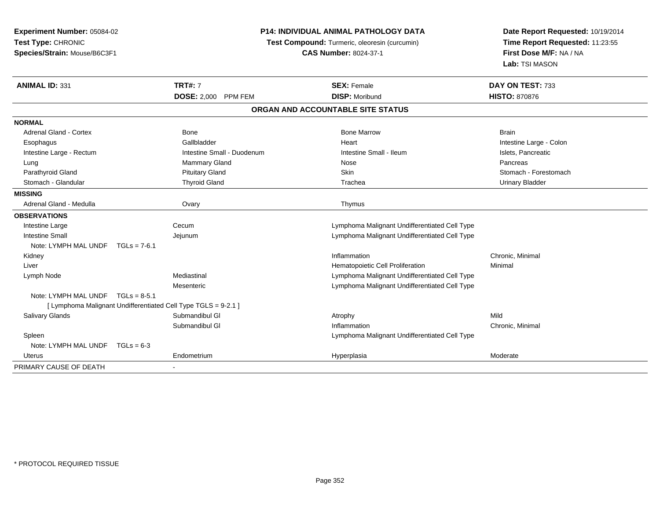**Experiment Number:** 05084-02**Test Type:** CHRONIC **Species/Strain:** Mouse/B6C3F1**P14: INDIVIDUAL ANIMAL PATHOLOGY DATATest Compound:** Turmeric, oleoresin (curcumin)**CAS Number:** 8024-37-1**Date Report Requested:** 10/19/2014**Time Report Requested:** 11:23:55**First Dose M/F:** NA / NA**Lab:** TSI MASON**ANIMAL ID:** 331**TRT#:** 7 **SEX:** Female **SEX: Female DAY ON TEST:** 733 **DOSE:** 2,000 PPM FEM**M DISP:** Moribund **HISTO:** 870876 **ORGAN AND ACCOUNTABLE SITE STATUSNORMAL**Adrenal Gland - Cortex **Bone Bone Bone Brain** Bone Bone Bone Marrow Bone Marrow Brain Brain Esophagus **Example 2008** Callbladder **Gallbladder** Colon Callbladder **Heart Intestine Large - Colon** Intestine Large - Rectum **Intestine Intestine Small - Duodenum** Intestine Small - Ileum Intestine Small - Ileum Islets, Pancreatic Lung Mammary Gland Nose PancreasStomach - Forestomach Parathyroid Gland Stomach - Pituitary Gland School Skin Stomach - Forestomach - Stomach - Stomach - Stomach - Stomach - Stomach - Stomach - Stomach - Stomach - Stomach - Stomach - Stomach - Stomach - Stomach - Stomach - St Stomach - Glandular **Thyroid Gland** The Cland Trachea Trachea Trachea Urinary Bladder **MISSING** Adrenal Gland - Medulla Ovary Thymus**OBSERVATIONS** Intestine Largee Cecum Lymphoma Malignant Undifferentiated Cell Type Intestine Small Jejunum Lymphoma Malignant Undifferentiated Cell Type Note: LYMPH MAL UNDF TGLs = 7-6.1 Kidneyy the control of the control of the control of the control of the control of the control of the control of the control of the control of the control of the control of the control of the control of the control of the contro Inflammation **Chronic**, Minimal Liver Hematopoietic Cell Proliferation Minimal Lymph Node Mediastinal Lymphoma Malignant Undifferentiated Cell Type Mesenteric Lymphoma Malignant Undifferentiated Cell TypeNote: LYMPH MAL UNDF TGLs = 8-5.1 [ Lymphoma Malignant Undifferentiated Cell Type TGLS = 9-2.1 ] Salivary Glands Submandibul Gl Atrophy Mildn Chronic, Minimal Submandibul Gl Inflammation Spleen Lymphoma Malignant Undifferentiated Cell Type Note: LYMPH MAL UNDF TGLs = 6-3 Uterus Endometriumm Moderate Music Hyperplasia Moderate Moderate PRIMARY CAUSE OF DEATH-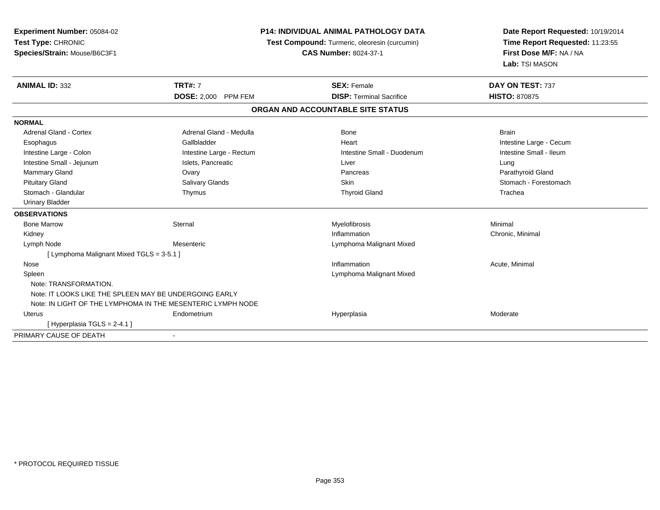| <b>Experiment Number: 05084-02</b><br>Test Type: CHRONIC |                                                             | <b>P14: INDIVIDUAL ANIMAL PATHOLOGY DATA</b><br>Test Compound: Turmeric, oleoresin (curcumin) | Date Report Requested: 10/19/2014<br>Time Report Requested: 11:23:55<br>First Dose M/F: NA / NA<br>Lab: TSI MASON |
|----------------------------------------------------------|-------------------------------------------------------------|-----------------------------------------------------------------------------------------------|-------------------------------------------------------------------------------------------------------------------|
| Species/Strain: Mouse/B6C3F1                             |                                                             | <b>CAS Number: 8024-37-1</b>                                                                  |                                                                                                                   |
| <b>ANIMAL ID: 332</b>                                    | <b>TRT#: 7</b>                                              | <b>SEX: Female</b>                                                                            | DAY ON TEST: 737                                                                                                  |
|                                                          | <b>DOSE: 2,000 PPM FEM</b>                                  | <b>DISP: Terminal Sacrifice</b>                                                               | <b>HISTO: 870875</b>                                                                                              |
|                                                          |                                                             | ORGAN AND ACCOUNTABLE SITE STATUS                                                             |                                                                                                                   |
| <b>NORMAL</b>                                            |                                                             |                                                                                               |                                                                                                                   |
| <b>Adrenal Gland - Cortex</b>                            | Adrenal Gland - Medulla                                     | Bone                                                                                          | <b>Brain</b>                                                                                                      |
| Esophagus                                                | Gallbladder                                                 | Heart                                                                                         | Intestine Large - Cecum                                                                                           |
| Intestine Large - Colon                                  | Intestine Large - Rectum                                    | Intestine Small - Duodenum                                                                    | Intestine Small - Ileum                                                                                           |
| Intestine Small - Jejunum                                | Islets, Pancreatic                                          | Liver                                                                                         | Lung                                                                                                              |
| <b>Mammary Gland</b>                                     | Ovary                                                       | Pancreas                                                                                      | Parathyroid Gland                                                                                                 |
| <b>Pituitary Gland</b>                                   | Salivary Glands                                             | <b>Skin</b>                                                                                   | Stomach - Forestomach                                                                                             |
| Stomach - Glandular                                      | Thymus                                                      | <b>Thyroid Gland</b>                                                                          | Trachea                                                                                                           |
| <b>Urinary Bladder</b>                                   |                                                             |                                                                                               |                                                                                                                   |
| <b>OBSERVATIONS</b>                                      |                                                             |                                                                                               |                                                                                                                   |
| <b>Bone Marrow</b>                                       | Sternal                                                     | Myelofibrosis                                                                                 | Minimal                                                                                                           |
| Kidney                                                   |                                                             | Inflammation                                                                                  | Chronic, Minimal                                                                                                  |
| Lymph Node                                               | Mesenteric                                                  | Lymphoma Malignant Mixed                                                                      |                                                                                                                   |
| [ Lymphoma Malignant Mixed TGLS = 3-5.1 ]                |                                                             |                                                                                               |                                                                                                                   |
| Nose                                                     |                                                             | Inflammation                                                                                  | Acute, Minimal                                                                                                    |
| Spleen                                                   |                                                             | Lymphoma Malignant Mixed                                                                      |                                                                                                                   |
| Note: TRANSFORMATION.                                    |                                                             |                                                                                               |                                                                                                                   |
| Note: IT LOOKS LIKE THE SPLEEN MAY BE UNDERGOING EARLY   |                                                             |                                                                                               |                                                                                                                   |
|                                                          | Note: IN LIGHT OF THE LYMPHOMA IN THE MESENTERIC LYMPH NODE |                                                                                               |                                                                                                                   |
| Uterus                                                   | Endometrium                                                 | Hyperplasia                                                                                   | Moderate                                                                                                          |
| [Hyperplasia TGLS = $2-4.1$ ]                            |                                                             |                                                                                               |                                                                                                                   |
| PRIMARY CAUSE OF DEATH                                   |                                                             |                                                                                               |                                                                                                                   |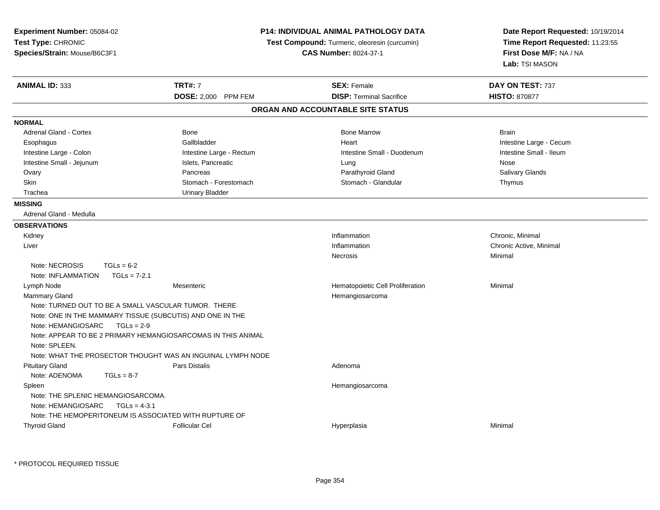| Experiment Number: 05084-02<br>Test Type: CHRONIC<br>Species/Strain: Mouse/B6C3F1 |                                                              | P14: INDIVIDUAL ANIMAL PATHOLOGY DATA<br>Test Compound: Turmeric, oleoresin (curcumin)<br><b>CAS Number: 8024-37-1</b> | Date Report Requested: 10/19/2014<br>Time Report Requested: 11:23:55<br>First Dose M/F: NA / NA<br>Lab: TSI MASON |
|-----------------------------------------------------------------------------------|--------------------------------------------------------------|------------------------------------------------------------------------------------------------------------------------|-------------------------------------------------------------------------------------------------------------------|
| ANIMAL ID: 333                                                                    | <b>TRT#: 7</b>                                               | <b>SEX: Female</b>                                                                                                     | DAY ON TEST: 737                                                                                                  |
|                                                                                   | DOSE: 2,000 PPM FEM                                          | <b>DISP: Terminal Sacrifice</b>                                                                                        | <b>HISTO: 870877</b>                                                                                              |
|                                                                                   |                                                              | ORGAN AND ACCOUNTABLE SITE STATUS                                                                                      |                                                                                                                   |
| <b>NORMAL</b>                                                                     |                                                              |                                                                                                                        |                                                                                                                   |
| <b>Adrenal Gland - Cortex</b>                                                     | Bone                                                         | <b>Bone Marrow</b>                                                                                                     | <b>Brain</b>                                                                                                      |
| Esophagus                                                                         | Gallbladder                                                  | Heart                                                                                                                  | Intestine Large - Cecum                                                                                           |
| Intestine Large - Colon                                                           | Intestine Large - Rectum                                     | Intestine Small - Duodenum                                                                                             | Intestine Small - Ileum                                                                                           |
| Intestine Small - Jejunum                                                         | Islets, Pancreatic                                           | Lung                                                                                                                   | Nose                                                                                                              |
| Ovary                                                                             | Pancreas                                                     | Parathyroid Gland                                                                                                      | Salivary Glands                                                                                                   |
| Skin                                                                              | Stomach - Forestomach                                        | Stomach - Glandular                                                                                                    | Thymus                                                                                                            |
| Trachea                                                                           | <b>Urinary Bladder</b>                                       |                                                                                                                        |                                                                                                                   |
| <b>MISSING</b>                                                                    |                                                              |                                                                                                                        |                                                                                                                   |
| Adrenal Gland - Medulla                                                           |                                                              |                                                                                                                        |                                                                                                                   |
| <b>OBSERVATIONS</b>                                                               |                                                              |                                                                                                                        |                                                                                                                   |
| Kidney                                                                            |                                                              | Inflammation                                                                                                           | Chronic, Minimal                                                                                                  |
| Liver                                                                             |                                                              | Inflammation                                                                                                           | Chronic Active, Minimal                                                                                           |
|                                                                                   |                                                              | Necrosis                                                                                                               | Minimal                                                                                                           |
| Note: NECROSIS<br>$TGLs = 6-2$                                                    |                                                              |                                                                                                                        |                                                                                                                   |
| Note: INFLAMMATION<br>$TGLs = 7-2.1$                                              |                                                              |                                                                                                                        |                                                                                                                   |
| Lymph Node                                                                        | Mesenteric                                                   | Hematopoietic Cell Proliferation                                                                                       | Minimal                                                                                                           |
| Mammary Gland                                                                     |                                                              | Hemangiosarcoma                                                                                                        |                                                                                                                   |
| Note: TURNED OUT TO BE A SMALL VASCULAR TUMOR. THERE                              |                                                              |                                                                                                                        |                                                                                                                   |
| Note: ONE IN THE MAMMARY TISSUE (SUBCUTIS) AND ONE IN THE                         |                                                              |                                                                                                                        |                                                                                                                   |
| Note: HEMANGIOSARC<br>$TGLs = 2-9$                                                |                                                              |                                                                                                                        |                                                                                                                   |
|                                                                                   | Note: APPEAR TO BE 2 PRIMARY HEMANGIOSARCOMAS IN THIS ANIMAL |                                                                                                                        |                                                                                                                   |
| Note: SPLEEN.                                                                     |                                                              |                                                                                                                        |                                                                                                                   |
|                                                                                   | Note: WHAT THE PROSECTOR THOUGHT WAS AN INGUINAL LYMPH NODE  |                                                                                                                        |                                                                                                                   |
| <b>Pituitary Gland</b>                                                            | <b>Pars Distalis</b>                                         | Adenoma                                                                                                                |                                                                                                                   |
| Note: ADENOMA<br>$TGLs = 8-7$                                                     |                                                              |                                                                                                                        |                                                                                                                   |
| Spleen                                                                            |                                                              | Hemangiosarcoma                                                                                                        |                                                                                                                   |
| Note: THE SPLENIC HEMANGIOSARCOMA.                                                |                                                              |                                                                                                                        |                                                                                                                   |
| Note: HEMANGIOSARC<br>$TGLs = 4-3.1$                                              |                                                              |                                                                                                                        |                                                                                                                   |
| Note: THE HEMOPERITONEUM IS ASSOCIATED WITH RUPTURE OF                            |                                                              |                                                                                                                        |                                                                                                                   |
| <b>Thyroid Gland</b>                                                              | <b>Follicular Cel</b>                                        | Hyperplasia                                                                                                            | Minimal                                                                                                           |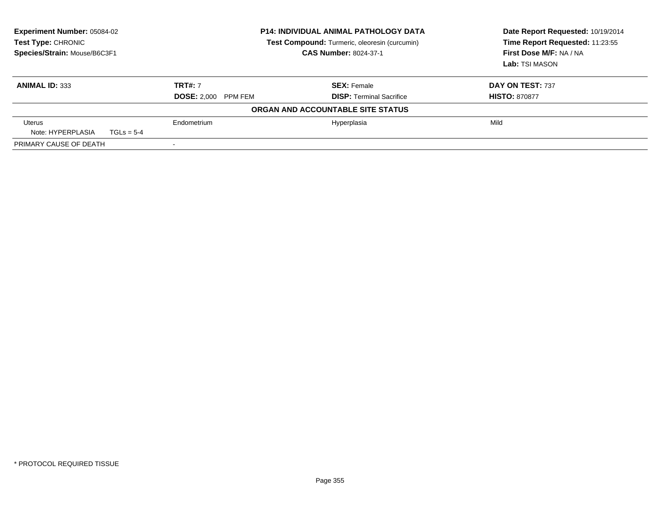| <b>Experiment Number: 05084-02</b><br>Test Type: CHRONIC<br>Species/Strain: Mouse/B6C3F1 | <b>P14: INDIVIDUAL ANIMAL PATHOLOGY DATA</b><br>Test Compound: Turmeric, oleoresin (curcumin)<br><b>CAS Number: 8024-37-1</b> |                                   | Date Report Requested: 10/19/2014<br>Time Report Requested: 11:23:55<br>First Dose M/F: NA / NA<br>Lab: TSI MASON |
|------------------------------------------------------------------------------------------|-------------------------------------------------------------------------------------------------------------------------------|-----------------------------------|-------------------------------------------------------------------------------------------------------------------|
| <b>ANIMAL ID: 333</b>                                                                    | <b>TRT#: 7</b>                                                                                                                | <b>SEX: Female</b>                | DAY ON TEST: 737                                                                                                  |
|                                                                                          | <b>DOSE: 2.000 PPM FEM</b>                                                                                                    | <b>DISP: Terminal Sacrifice</b>   | <b>HISTO: 870877</b>                                                                                              |
|                                                                                          |                                                                                                                               | ORGAN AND ACCOUNTABLE SITE STATUS |                                                                                                                   |
| Uterus<br>Note: HYPERPLASIA<br>$TGLs = 5-4$                                              | Endometrium                                                                                                                   | Hyperplasia                       | Mild                                                                                                              |
| PRIMARY CAUSE OF DEATH                                                                   | $\overline{\phantom{a}}$                                                                                                      |                                   |                                                                                                                   |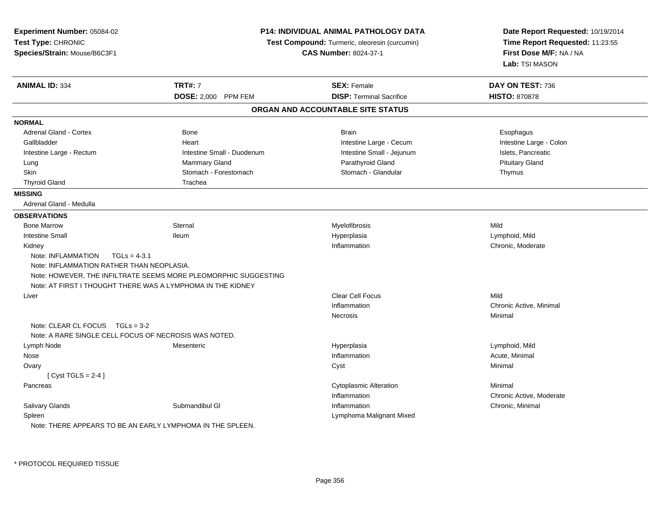| Experiment Number: 05084-02<br>Test Type: CHRONIC<br>Species/Strain: Mouse/B6C3F1 |                                                                 | P14: INDIVIDUAL ANIMAL PATHOLOGY DATA<br>Test Compound: Turmeric, oleoresin (curcumin)<br><b>CAS Number: 8024-37-1</b> |                          |
|-----------------------------------------------------------------------------------|-----------------------------------------------------------------|------------------------------------------------------------------------------------------------------------------------|--------------------------|
| <b>ANIMAL ID: 334</b>                                                             | <b>TRT#: 7</b>                                                  | <b>SEX: Female</b>                                                                                                     | DAY ON TEST: 736         |
|                                                                                   | <b>DOSE: 2,000</b><br>PPM FEM                                   | <b>DISP: Terminal Sacrifice</b>                                                                                        | <b>HISTO: 870878</b>     |
|                                                                                   |                                                                 | ORGAN AND ACCOUNTABLE SITE STATUS                                                                                      |                          |
| <b>NORMAL</b>                                                                     |                                                                 |                                                                                                                        |                          |
| Adrenal Gland - Cortex                                                            | Bone                                                            | <b>Brain</b>                                                                                                           | Esophagus                |
| Gallbladder                                                                       | Heart                                                           | Intestine Large - Cecum                                                                                                | Intestine Large - Colon  |
| Intestine Large - Rectum                                                          | Intestine Small - Duodenum                                      | Intestine Small - Jejunum                                                                                              | Islets, Pancreatic       |
| Lung                                                                              | <b>Mammary Gland</b>                                            | Parathyroid Gland                                                                                                      | <b>Pituitary Gland</b>   |
| <b>Skin</b>                                                                       | Stomach - Forestomach                                           | Stomach - Glandular                                                                                                    | Thymus                   |
| <b>Thyroid Gland</b>                                                              | Trachea                                                         |                                                                                                                        |                          |
| <b>MISSING</b>                                                                    |                                                                 |                                                                                                                        |                          |
| Adrenal Gland - Medulla                                                           |                                                                 |                                                                                                                        |                          |
| <b>OBSERVATIONS</b>                                                               |                                                                 |                                                                                                                        |                          |
| <b>Bone Marrow</b>                                                                | Sternal                                                         | Myelofibrosis                                                                                                          | Mild                     |
| <b>Intestine Small</b>                                                            | lleum                                                           | Hyperplasia                                                                                                            | Lymphoid, Mild           |
| Kidney                                                                            |                                                                 | Inflammation                                                                                                           | Chronic, Moderate        |
| Note: INFLAMMATION<br>$TGLs = 4-3.1$                                              |                                                                 |                                                                                                                        |                          |
| Note: INFLAMMATION RATHER THAN NEOPLASIA.                                         |                                                                 |                                                                                                                        |                          |
|                                                                                   | Note: HOWEVER, THE INFILTRATE SEEMS MORE PLEOMORPHIC SUGGESTING |                                                                                                                        |                          |
| Note: AT FIRST I THOUGHT THERE WAS A LYMPHOMA IN THE KIDNEY                       |                                                                 |                                                                                                                        |                          |
| Liver                                                                             |                                                                 | <b>Clear Cell Focus</b>                                                                                                | Mild                     |
|                                                                                   |                                                                 | Inflammation                                                                                                           | Chronic Active, Minimal  |
|                                                                                   |                                                                 | Necrosis                                                                                                               | Minimal                  |
| Note: CLEAR CL FOCUS $TGLs = 3-2$                                                 |                                                                 |                                                                                                                        |                          |
| Note: A RARE SINGLE CELL FOCUS OF NECROSIS WAS NOTED.                             |                                                                 |                                                                                                                        |                          |
| Lymph Node                                                                        | Mesenteric                                                      | Hyperplasia                                                                                                            | Lymphoid, Mild           |
| Nose                                                                              |                                                                 | Inflammation                                                                                                           | Acute, Minimal           |
| Ovary                                                                             |                                                                 | Cyst                                                                                                                   | Minimal                  |
| [Cyst TGLS = $2-4$ ]                                                              |                                                                 |                                                                                                                        |                          |
| Pancreas                                                                          |                                                                 | <b>Cytoplasmic Alteration</b>                                                                                          | Minimal                  |
|                                                                                   |                                                                 | Inflammation                                                                                                           | Chronic Active, Moderate |
| <b>Salivary Glands</b>                                                            | Submandibul GI                                                  | Inflammation                                                                                                           | Chronic, Minimal         |
| Spleen                                                                            |                                                                 | Lymphoma Malignant Mixed                                                                                               |                          |
| Note: THERE APPEARS TO BE AN EARLY LYMPHOMA IN THE SPLEEN.                        |                                                                 |                                                                                                                        |                          |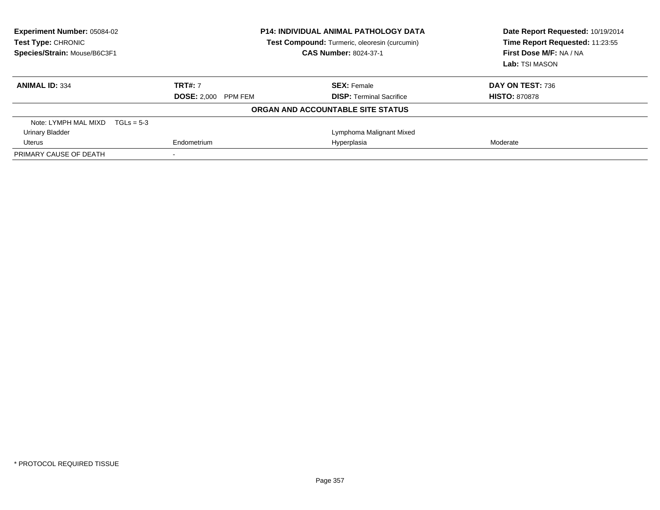| <b>Experiment Number: 05084-02</b><br>Test Type: CHRONIC<br>Species/Strain: Mouse/B6C3F1 | <b>P14: INDIVIDUAL ANIMAL PATHOLOGY DATA</b><br>Test Compound: Turmeric, oleoresin (curcumin)<br><b>CAS Number: 8024-37-1</b> |                                   | Date Report Requested: 10/19/2014<br>Time Report Requested: 11:23:55<br>First Dose M/F: NA / NA<br>Lab: TSI MASON |
|------------------------------------------------------------------------------------------|-------------------------------------------------------------------------------------------------------------------------------|-----------------------------------|-------------------------------------------------------------------------------------------------------------------|
| <b>ANIMAL ID: 334</b>                                                                    | <b>TRT#: 7</b>                                                                                                                | <b>SEX: Female</b>                | DAY ON TEST: 736                                                                                                  |
|                                                                                          | <b>DOSE: 2.000</b><br>PPM FEM                                                                                                 | <b>DISP:</b> Terminal Sacrifice   | <b>HISTO: 870878</b>                                                                                              |
|                                                                                          |                                                                                                                               | ORGAN AND ACCOUNTABLE SITE STATUS |                                                                                                                   |
| Note: LYMPH MAL MIXD $TGLs = 5-3$                                                        |                                                                                                                               |                                   |                                                                                                                   |
| <b>Urinary Bladder</b>                                                                   |                                                                                                                               | Lymphoma Malignant Mixed          |                                                                                                                   |
| Uterus                                                                                   | Endometrium                                                                                                                   | Hyperplasia                       | Moderate                                                                                                          |
| PRIMARY CAUSE OF DEATH                                                                   |                                                                                                                               |                                   |                                                                                                                   |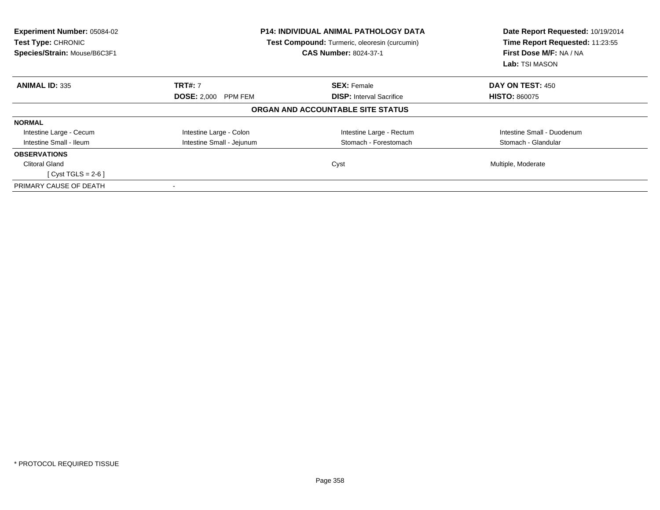| <b>Experiment Number: 05084-02</b><br>Test Type: CHRONIC<br>Species/Strain: Mouse/B6C3F1 |                            | <b>P14: INDIVIDUAL ANIMAL PATHOLOGY DATA</b><br>Test Compound: Turmeric, oleoresin (curcumin)<br><b>CAS Number: 8024-37-1</b> | Date Report Requested: 10/19/2014<br>Time Report Requested: 11:23:55<br>First Dose M/F: NA / NA<br>Lab: TSI MASON |
|------------------------------------------------------------------------------------------|----------------------------|-------------------------------------------------------------------------------------------------------------------------------|-------------------------------------------------------------------------------------------------------------------|
| <b>ANIMAL ID: 335</b>                                                                    | <b>TRT#: 7</b>             | <b>SEX: Female</b>                                                                                                            | <b>DAY ON TEST: 450</b>                                                                                           |
|                                                                                          | <b>DOSE: 2,000 PPM FEM</b> | <b>DISP:</b> Interval Sacrifice                                                                                               | <b>HISTO: 860075</b>                                                                                              |
|                                                                                          |                            | ORGAN AND ACCOUNTABLE SITE STATUS                                                                                             |                                                                                                                   |
| <b>NORMAL</b>                                                                            |                            |                                                                                                                               |                                                                                                                   |
| Intestine Large - Cecum                                                                  | Intestine Large - Colon    | Intestine Large - Rectum                                                                                                      | Intestine Small - Duodenum                                                                                        |
| Intestine Small - Ileum                                                                  | Intestine Small - Jejunum  | Stomach - Forestomach                                                                                                         | Stomach - Glandular                                                                                               |
| <b>OBSERVATIONS</b>                                                                      |                            |                                                                                                                               |                                                                                                                   |
| <b>Clitoral Gland</b>                                                                    |                            | Cyst                                                                                                                          | Multiple, Moderate                                                                                                |
| $[Cyst TGLS = 2-6]$                                                                      |                            |                                                                                                                               |                                                                                                                   |
| PRIMARY CAUSE OF DEATH                                                                   |                            |                                                                                                                               |                                                                                                                   |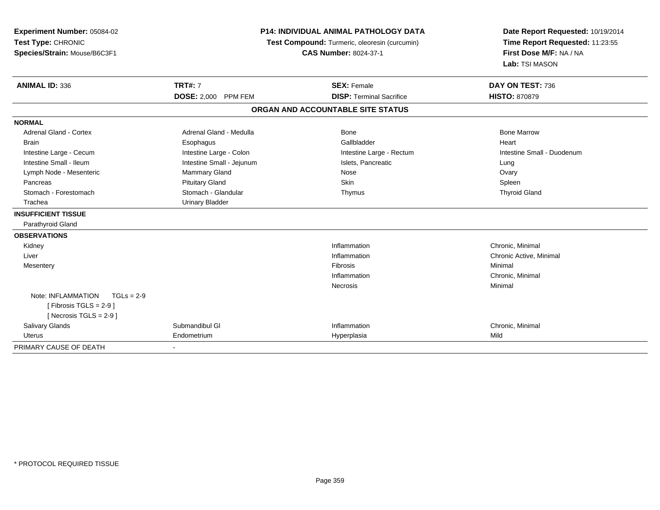| Experiment Number: 05084-02<br>Test Type: CHRONIC<br>Species/Strain: Mouse/B6C3F1 | <b>P14: INDIVIDUAL ANIMAL PATHOLOGY DATA</b><br>Test Compound: Turmeric, oleoresin (curcumin)<br><b>CAS Number: 8024-37-1</b> |                                   | Date Report Requested: 10/19/2014<br>Time Report Requested: 11:23:55<br>First Dose M/F: NA / NA<br>Lab: TSI MASON |
|-----------------------------------------------------------------------------------|-------------------------------------------------------------------------------------------------------------------------------|-----------------------------------|-------------------------------------------------------------------------------------------------------------------|
| <b>ANIMAL ID: 336</b>                                                             | <b>TRT#: 7</b>                                                                                                                | <b>SEX: Female</b>                | DAY ON TEST: 736                                                                                                  |
|                                                                                   | DOSE: 2,000 PPM FEM                                                                                                           | <b>DISP: Terminal Sacrifice</b>   | <b>HISTO: 870879</b>                                                                                              |
|                                                                                   |                                                                                                                               | ORGAN AND ACCOUNTABLE SITE STATUS |                                                                                                                   |
| <b>NORMAL</b>                                                                     |                                                                                                                               |                                   |                                                                                                                   |
| <b>Adrenal Gland - Cortex</b>                                                     | Adrenal Gland - Medulla                                                                                                       | Bone                              | <b>Bone Marrow</b>                                                                                                |
| <b>Brain</b>                                                                      | Esophagus                                                                                                                     | Gallbladder                       | Heart                                                                                                             |
| Intestine Large - Cecum                                                           | Intestine Large - Colon                                                                                                       | Intestine Large - Rectum          | Intestine Small - Duodenum                                                                                        |
| Intestine Small - Ileum                                                           | Intestine Small - Jejunum                                                                                                     | Islets, Pancreatic                | Lung                                                                                                              |
| Lymph Node - Mesenteric                                                           | Mammary Gland                                                                                                                 | Nose                              | Ovary                                                                                                             |
| Pancreas                                                                          | <b>Pituitary Gland</b>                                                                                                        | <b>Skin</b>                       | Spleen                                                                                                            |
| Stomach - Forestomach                                                             | Stomach - Glandular                                                                                                           | Thymus                            | <b>Thyroid Gland</b>                                                                                              |
| Trachea                                                                           | <b>Urinary Bladder</b>                                                                                                        |                                   |                                                                                                                   |
| <b>INSUFFICIENT TISSUE</b>                                                        |                                                                                                                               |                                   |                                                                                                                   |
| Parathyroid Gland                                                                 |                                                                                                                               |                                   |                                                                                                                   |
| <b>OBSERVATIONS</b>                                                               |                                                                                                                               |                                   |                                                                                                                   |
| Kidney                                                                            |                                                                                                                               | Inflammation                      | Chronic, Minimal                                                                                                  |
| Liver                                                                             |                                                                                                                               | Inflammation                      | Chronic Active, Minimal                                                                                           |
| Mesentery                                                                         |                                                                                                                               | Fibrosis                          | Minimal                                                                                                           |
|                                                                                   |                                                                                                                               | Inflammation                      | Chronic, Minimal                                                                                                  |
|                                                                                   |                                                                                                                               | Necrosis                          | Minimal                                                                                                           |
| Note: INFLAMMATION<br>$TGLs = 2-9$                                                |                                                                                                                               |                                   |                                                                                                                   |
| [Fibrosis TGLS = $2-9$ ]                                                          |                                                                                                                               |                                   |                                                                                                                   |
| [Necrosis TGLS = $2-9$ ]                                                          |                                                                                                                               |                                   |                                                                                                                   |
| <b>Salivary Glands</b>                                                            | Submandibul GI                                                                                                                | Inflammation                      | Chronic, Minimal                                                                                                  |
| <b>Uterus</b>                                                                     | Endometrium                                                                                                                   | Hyperplasia                       | Mild                                                                                                              |
| PRIMARY CAUSE OF DEATH                                                            |                                                                                                                               |                                   |                                                                                                                   |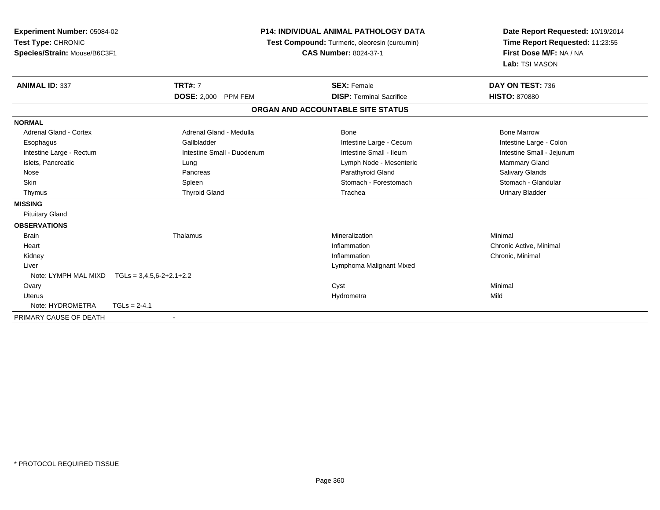| Experiment Number: 05084-02<br>Test Type: CHRONIC<br>Species/Strain: Mouse/B6C3F1 |                            | <b>P14: INDIVIDUAL ANIMAL PATHOLOGY DATA</b><br>Test Compound: Turmeric, oleoresin (curcumin)<br><b>CAS Number: 8024-37-1</b> | Date Report Requested: 10/19/2014<br>Time Report Requested: 11:23:55<br>First Dose M/F: NA / NA<br>Lab: TSI MASON |
|-----------------------------------------------------------------------------------|----------------------------|-------------------------------------------------------------------------------------------------------------------------------|-------------------------------------------------------------------------------------------------------------------|
| <b>ANIMAL ID: 337</b>                                                             | <b>TRT#: 7</b>             | <b>SEX: Female</b>                                                                                                            | DAY ON TEST: 736                                                                                                  |
|                                                                                   | DOSE: 2,000 PPM FEM        | <b>DISP: Terminal Sacrifice</b>                                                                                               | <b>HISTO: 870880</b>                                                                                              |
|                                                                                   |                            | ORGAN AND ACCOUNTABLE SITE STATUS                                                                                             |                                                                                                                   |
| <b>NORMAL</b>                                                                     |                            |                                                                                                                               |                                                                                                                   |
| <b>Adrenal Gland - Cortex</b>                                                     | Adrenal Gland - Medulla    | <b>Bone</b>                                                                                                                   | <b>Bone Marrow</b>                                                                                                |
| Esophagus                                                                         | Gallbladder                | Intestine Large - Cecum                                                                                                       | Intestine Large - Colon                                                                                           |
| Intestine Large - Rectum                                                          | Intestine Small - Duodenum | Intestine Small - Ileum                                                                                                       | Intestine Small - Jejunum                                                                                         |
| Islets, Pancreatic                                                                | Lung                       | Lymph Node - Mesenteric                                                                                                       | Mammary Gland                                                                                                     |
| Nose                                                                              | Pancreas                   | Parathyroid Gland                                                                                                             | Salivary Glands                                                                                                   |
| Skin                                                                              | Spleen                     | Stomach - Forestomach                                                                                                         | Stomach - Glandular                                                                                               |
| Thymus                                                                            | <b>Thyroid Gland</b>       | Trachea                                                                                                                       | <b>Urinary Bladder</b>                                                                                            |
| <b>MISSING</b>                                                                    |                            |                                                                                                                               |                                                                                                                   |
| <b>Pituitary Gland</b>                                                            |                            |                                                                                                                               |                                                                                                                   |
| <b>OBSERVATIONS</b>                                                               |                            |                                                                                                                               |                                                                                                                   |
| <b>Brain</b>                                                                      | Thalamus                   | Mineralization                                                                                                                | Minimal                                                                                                           |
| Heart                                                                             |                            | Inflammation                                                                                                                  | Chronic Active, Minimal                                                                                           |
| Kidney                                                                            |                            | Inflammation                                                                                                                  | Chronic, Minimal                                                                                                  |
| Liver                                                                             |                            | Lymphoma Malignant Mixed                                                                                                      |                                                                                                                   |
| Note: LYMPH MAL MIXD                                                              | $TGLs = 3,4,5,6-2+2.1+2.2$ |                                                                                                                               |                                                                                                                   |
| Ovary                                                                             |                            | Cyst                                                                                                                          | Minimal                                                                                                           |
| <b>Uterus</b>                                                                     |                            | Hydrometra                                                                                                                    | Mild                                                                                                              |
| Note: HYDROMETRA                                                                  | $TGLs = 2-4.1$             |                                                                                                                               |                                                                                                                   |
| PRIMARY CAUSE OF DEATH                                                            | $\overline{\phantom{a}}$   |                                                                                                                               |                                                                                                                   |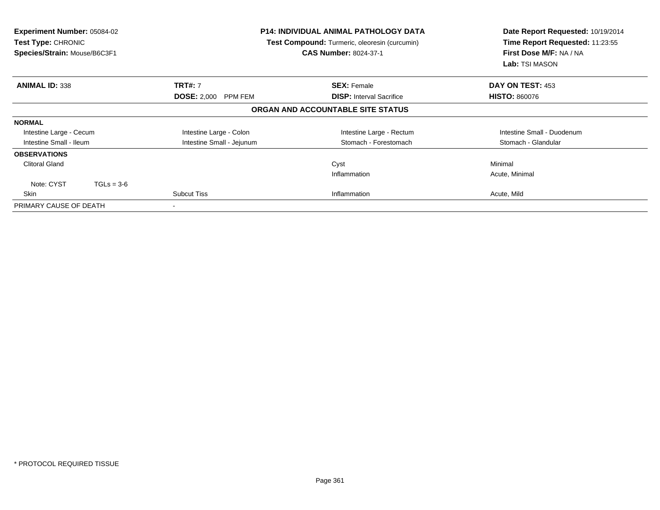| <b>Experiment Number: 05084-02</b><br><b>Test Type: CHRONIC</b><br>Species/Strain: Mouse/B6C3F1 |                               | <b>P14: INDIVIDUAL ANIMAL PATHOLOGY DATA</b><br>Test Compound: Turmeric, oleoresin (curcumin)<br><b>CAS Number: 8024-37-1</b> | Date Report Requested: 10/19/2014<br>Time Report Requested: 11:23:55<br>First Dose M/F: NA / NA<br>Lab: TSI MASON |
|-------------------------------------------------------------------------------------------------|-------------------------------|-------------------------------------------------------------------------------------------------------------------------------|-------------------------------------------------------------------------------------------------------------------|
| <b>ANIMAL ID: 338</b>                                                                           | <b>TRT#: 7</b>                | <b>SEX: Female</b>                                                                                                            | DAY ON TEST: 453                                                                                                  |
|                                                                                                 | <b>DOSE: 2,000</b><br>PPM FEM | <b>DISP:</b> Interval Sacrifice                                                                                               | <b>HISTO: 860076</b>                                                                                              |
|                                                                                                 |                               | ORGAN AND ACCOUNTABLE SITE STATUS                                                                                             |                                                                                                                   |
| <b>NORMAL</b>                                                                                   |                               |                                                                                                                               |                                                                                                                   |
| Intestine Large - Cecum                                                                         | Intestine Large - Colon       | Intestine Large - Rectum                                                                                                      | Intestine Small - Duodenum                                                                                        |
| Intestine Small - Ileum                                                                         | Intestine Small - Jejunum     | Stomach - Forestomach                                                                                                         | Stomach - Glandular                                                                                               |
| <b>OBSERVATIONS</b>                                                                             |                               |                                                                                                                               |                                                                                                                   |
| <b>Clitoral Gland</b>                                                                           |                               | Cyst                                                                                                                          | Minimal                                                                                                           |
|                                                                                                 |                               | Inflammation                                                                                                                  | Acute, Minimal                                                                                                    |
| Note: CYST<br>$TGLs = 3-6$                                                                      |                               |                                                                                                                               |                                                                                                                   |
| Skin                                                                                            | <b>Subcut Tiss</b>            | Inflammation                                                                                                                  | Acute, Mild                                                                                                       |
| PRIMARY CAUSE OF DEATH                                                                          | $\,$ $\,$                     |                                                                                                                               |                                                                                                                   |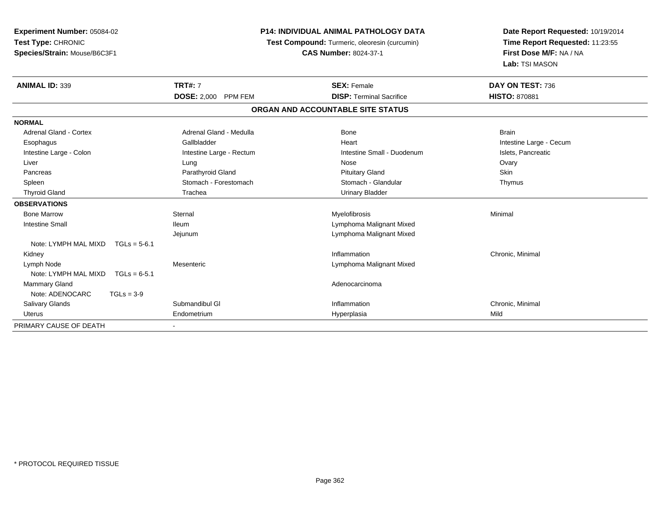| Experiment Number: 05084-02            | <b>P14: INDIVIDUAL ANIMAL PATHOLOGY DATA</b><br>Test Compound: Turmeric, oleoresin (curcumin) |                                   | Date Report Requested: 10/19/2014 |
|----------------------------------------|-----------------------------------------------------------------------------------------------|-----------------------------------|-----------------------------------|
| Test Type: CHRONIC                     |                                                                                               |                                   | Time Report Requested: 11:23:55   |
| Species/Strain: Mouse/B6C3F1           |                                                                                               | <b>CAS Number: 8024-37-1</b>      | First Dose M/F: NA / NA           |
|                                        |                                                                                               |                                   | Lab: TSI MASON                    |
| <b>ANIMAL ID: 339</b>                  | <b>TRT#: 7</b>                                                                                | <b>SEX: Female</b>                | DAY ON TEST: 736                  |
|                                        | <b>DOSE: 2,000 PPM FEM</b>                                                                    | <b>DISP: Terminal Sacrifice</b>   | <b>HISTO: 870881</b>              |
|                                        |                                                                                               | ORGAN AND ACCOUNTABLE SITE STATUS |                                   |
| <b>NORMAL</b>                          |                                                                                               |                                   |                                   |
| <b>Adrenal Gland - Cortex</b>          | Adrenal Gland - Medulla                                                                       | <b>Bone</b>                       | <b>Brain</b>                      |
| Esophagus                              | Gallbladder                                                                                   | Heart                             | Intestine Large - Cecum           |
| Intestine Large - Colon                | Intestine Large - Rectum                                                                      | Intestine Small - Duodenum        | Islets, Pancreatic                |
| Liver                                  | Lung                                                                                          | Nose                              | Ovary                             |
| Pancreas                               | Parathyroid Gland                                                                             | <b>Pituitary Gland</b>            | Skin                              |
| Spleen                                 | Stomach - Forestomach                                                                         | Stomach - Glandular               | Thymus                            |
| <b>Thyroid Gland</b>                   | Trachea                                                                                       | <b>Urinary Bladder</b>            |                                   |
| <b>OBSERVATIONS</b>                    |                                                                                               |                                   |                                   |
| <b>Bone Marrow</b>                     | Sternal                                                                                       | Myelofibrosis                     | Minimal                           |
| <b>Intestine Small</b>                 | <b>Ileum</b>                                                                                  | Lymphoma Malignant Mixed          |                                   |
|                                        | Jejunum                                                                                       | Lymphoma Malignant Mixed          |                                   |
| Note: LYMPH MAL MIXD<br>$TGLs = 5-6.1$ |                                                                                               |                                   |                                   |
| Kidney                                 |                                                                                               | Inflammation                      | Chronic, Minimal                  |
| Lymph Node                             | Mesenteric                                                                                    | Lymphoma Malignant Mixed          |                                   |
| Note: LYMPH MAL MIXD<br>$TGLs = 6-5.1$ |                                                                                               |                                   |                                   |
| <b>Mammary Gland</b>                   |                                                                                               | Adenocarcinoma                    |                                   |
| Note: ADENOCARC<br>$TGLs = 3-9$        |                                                                                               |                                   |                                   |
| Salivary Glands                        | Submandibul GI                                                                                | Inflammation                      | Chronic, Minimal                  |
| Uterus                                 | Endometrium                                                                                   | Hyperplasia                       | Mild                              |
| PRIMARY CAUSE OF DEATH                 |                                                                                               |                                   |                                   |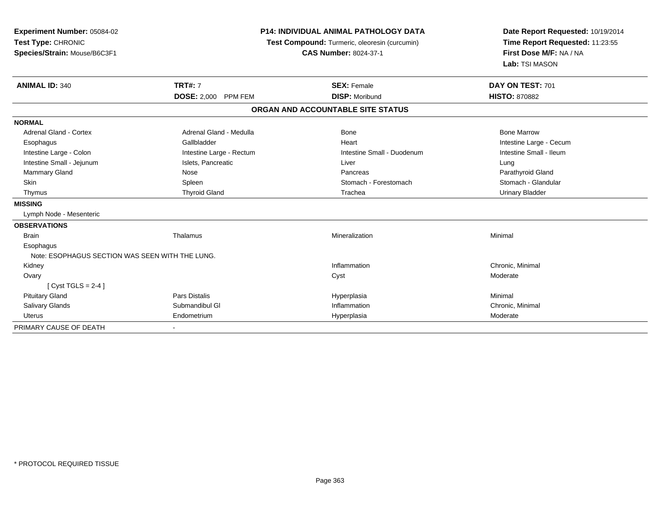| <b>Experiment Number: 05084-02</b><br>Test Type: CHRONIC<br>Species/Strain: Mouse/B6C3F1 |                            | <b>P14: INDIVIDUAL ANIMAL PATHOLOGY DATA</b><br>Test Compound: Turmeric, oleoresin (curcumin)<br><b>CAS Number: 8024-37-1</b> | Date Report Requested: 10/19/2014<br>Time Report Requested: 11:23:55<br>First Dose M/F: NA / NA<br>Lab: TSI MASON |  |
|------------------------------------------------------------------------------------------|----------------------------|-------------------------------------------------------------------------------------------------------------------------------|-------------------------------------------------------------------------------------------------------------------|--|
| <b>ANIMAL ID: 340</b>                                                                    | <b>TRT#: 7</b>             | <b>SEX: Female</b>                                                                                                            | DAY ON TEST: 701                                                                                                  |  |
|                                                                                          | <b>DOSE: 2,000 PPM FEM</b> | <b>DISP: Moribund</b>                                                                                                         | <b>HISTO: 870882</b>                                                                                              |  |
|                                                                                          |                            | ORGAN AND ACCOUNTABLE SITE STATUS                                                                                             |                                                                                                                   |  |
| <b>NORMAL</b>                                                                            |                            |                                                                                                                               |                                                                                                                   |  |
| <b>Adrenal Gland - Cortex</b>                                                            | Adrenal Gland - Medulla    | Bone                                                                                                                          | <b>Bone Marrow</b>                                                                                                |  |
| Esophagus                                                                                | Gallbladder                | Heart                                                                                                                         | Intestine Large - Cecum                                                                                           |  |
| Intestine Large - Colon                                                                  | Intestine Large - Rectum   | Intestine Small - Duodenum                                                                                                    | Intestine Small - Ileum                                                                                           |  |
| Intestine Small - Jejunum                                                                | Islets, Pancreatic         | Liver                                                                                                                         | Lung                                                                                                              |  |
| Mammary Gland                                                                            | Nose                       | Pancreas                                                                                                                      | Parathyroid Gland                                                                                                 |  |
| Skin                                                                                     | Spleen                     | Stomach - Forestomach                                                                                                         | Stomach - Glandular                                                                                               |  |
| Thymus                                                                                   | <b>Thyroid Gland</b>       | Trachea                                                                                                                       | <b>Urinary Bladder</b>                                                                                            |  |
| <b>MISSING</b>                                                                           |                            |                                                                                                                               |                                                                                                                   |  |
| Lymph Node - Mesenteric                                                                  |                            |                                                                                                                               |                                                                                                                   |  |
| <b>OBSERVATIONS</b>                                                                      |                            |                                                                                                                               |                                                                                                                   |  |
| <b>Brain</b>                                                                             | Thalamus                   | Mineralization                                                                                                                | Minimal                                                                                                           |  |
| Esophagus                                                                                |                            |                                                                                                                               |                                                                                                                   |  |
| Note: ESOPHAGUS SECTION WAS SEEN WITH THE LUNG.                                          |                            |                                                                                                                               |                                                                                                                   |  |
| Kidney                                                                                   |                            | Inflammation                                                                                                                  | Chronic, Minimal                                                                                                  |  |
| Ovary                                                                                    |                            | Cyst                                                                                                                          | Moderate                                                                                                          |  |
| [Cyst TGLS = $2-4$ ]                                                                     |                            |                                                                                                                               |                                                                                                                   |  |
| <b>Pituitary Gland</b>                                                                   | <b>Pars Distalis</b>       | Hyperplasia                                                                                                                   | Minimal                                                                                                           |  |
| <b>Salivary Glands</b>                                                                   | Submandibul GI             | Inflammation                                                                                                                  | Chronic, Minimal                                                                                                  |  |
| <b>Uterus</b>                                                                            | Endometrium                | Hyperplasia                                                                                                                   | Moderate                                                                                                          |  |
| PRIMARY CAUSE OF DEATH                                                                   |                            |                                                                                                                               |                                                                                                                   |  |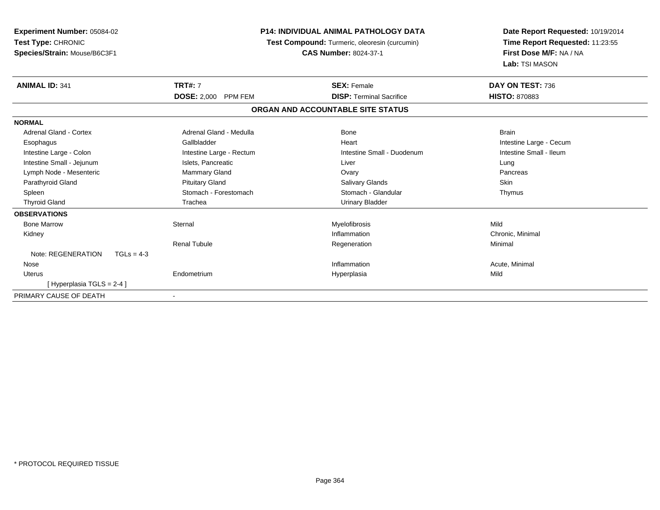| Experiment Number: 05084-02<br>Test Type: CHRONIC<br>Species/Strain: Mouse/B6C3F1 | <b>P14: INDIVIDUAL ANIMAL PATHOLOGY DATA</b><br>Test Compound: Turmeric, oleoresin (curcumin)<br><b>CAS Number: 8024-37-1</b> |                                   | Date Report Requested: 10/19/2014<br>Time Report Requested: 11:23:55<br>First Dose M/F: NA / NA<br>Lab: TSI MASON |
|-----------------------------------------------------------------------------------|-------------------------------------------------------------------------------------------------------------------------------|-----------------------------------|-------------------------------------------------------------------------------------------------------------------|
| <b>ANIMAL ID: 341</b>                                                             | <b>TRT#: 7</b>                                                                                                                | <b>SEX: Female</b>                | DAY ON TEST: 736                                                                                                  |
|                                                                                   | DOSE: 2,000 PPM FEM                                                                                                           | <b>DISP: Terminal Sacrifice</b>   | <b>HISTO: 870883</b>                                                                                              |
|                                                                                   |                                                                                                                               | ORGAN AND ACCOUNTABLE SITE STATUS |                                                                                                                   |
| <b>NORMAL</b>                                                                     |                                                                                                                               |                                   |                                                                                                                   |
| Adrenal Gland - Cortex                                                            | Adrenal Gland - Medulla                                                                                                       | Bone                              | <b>Brain</b>                                                                                                      |
| Esophagus                                                                         | Gallbladder                                                                                                                   | Heart                             | Intestine Large - Cecum                                                                                           |
| Intestine Large - Colon                                                           | Intestine Large - Rectum                                                                                                      | Intestine Small - Duodenum        | Intestine Small - Ileum                                                                                           |
| Intestine Small - Jejunum                                                         | Islets, Pancreatic                                                                                                            | Liver                             | Lung                                                                                                              |
| Lymph Node - Mesenteric                                                           | <b>Mammary Gland</b>                                                                                                          | Ovary                             | Pancreas                                                                                                          |
| Parathyroid Gland                                                                 | <b>Pituitary Gland</b>                                                                                                        | Salivary Glands                   | Skin                                                                                                              |
| Spleen                                                                            | Stomach - Forestomach                                                                                                         | Stomach - Glandular               | Thymus                                                                                                            |
| <b>Thyroid Gland</b>                                                              | Trachea                                                                                                                       | <b>Urinary Bladder</b>            |                                                                                                                   |
| <b>OBSERVATIONS</b>                                                               |                                                                                                                               |                                   |                                                                                                                   |
| <b>Bone Marrow</b>                                                                | Sternal                                                                                                                       | Myelofibrosis                     | Mild                                                                                                              |
| Kidney                                                                            |                                                                                                                               | Inflammation                      | Chronic, Minimal                                                                                                  |
|                                                                                   | <b>Renal Tubule</b>                                                                                                           | Regeneration                      | Minimal                                                                                                           |
| Note: REGENERATION<br>$TGLs = 4-3$                                                |                                                                                                                               |                                   |                                                                                                                   |
| Nose                                                                              |                                                                                                                               | Inflammation                      | Acute, Minimal                                                                                                    |
| <b>Uterus</b>                                                                     | Endometrium                                                                                                                   | Hyperplasia                       | Mild                                                                                                              |
| [Hyperplasia TGLS = 2-4 ]                                                         |                                                                                                                               |                                   |                                                                                                                   |
| PRIMARY CAUSE OF DEATH                                                            |                                                                                                                               |                                   |                                                                                                                   |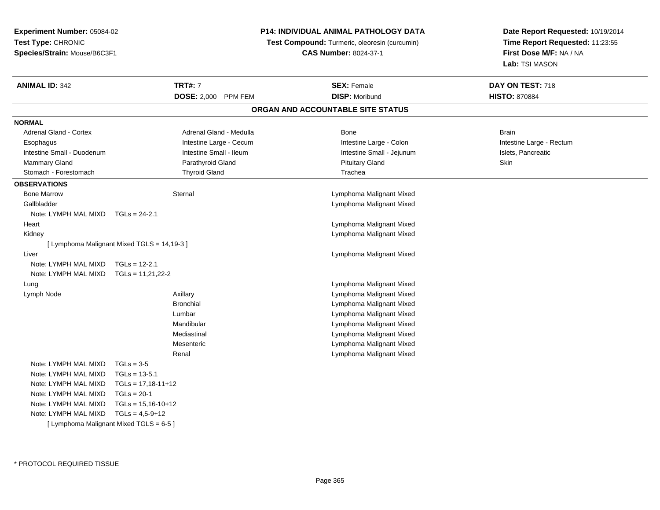**Experiment Number:** 05084-02**Test Type:** CHRONIC**Species/Strain:** Mouse/B6C3F1

## **P14: INDIVIDUAL ANIMAL PATHOLOGY DATA**

 **Test Compound:** Turmeric, oleoresin (curcumin) **CAS Number:** 8024-37-1

**Date Report Requested:** 10/19/2014**Time Report Requested:** 11:23:55**First Dose M/F:** NA / NA**Lab:** TSI MASON

| <b>ANIMAL ID: 342</b>         | <b>TRT#: 7</b>                              | <b>SEX: Female</b>                | DAY ON TEST: 718         |
|-------------------------------|---------------------------------------------|-----------------------------------|--------------------------|
|                               | DOSE: 2,000 PPM FEM                         | <b>DISP: Moribund</b>             | <b>HISTO: 870884</b>     |
|                               |                                             | ORGAN AND ACCOUNTABLE SITE STATUS |                          |
| <b>NORMAL</b>                 |                                             |                                   |                          |
| <b>Adrenal Gland - Cortex</b> | Adrenal Gland - Medulla                     | Bone                              | <b>Brain</b>             |
| Esophagus                     | Intestine Large - Cecum                     | Intestine Large - Colon           | Intestine Large - Rectum |
| Intestine Small - Duodenum    | Intestine Small - Ileum                     | Intestine Small - Jejunum         | Islets, Pancreatic       |
| Mammary Gland                 | Parathyroid Gland                           | <b>Pituitary Gland</b>            | Skin                     |
| Stomach - Forestomach         | <b>Thyroid Gland</b>                        | Trachea                           |                          |
| <b>OBSERVATIONS</b>           |                                             |                                   |                          |
| <b>Bone Marrow</b>            | Sternal                                     | Lymphoma Malignant Mixed          |                          |
| Gallbladder                   |                                             | Lymphoma Malignant Mixed          |                          |
| Note: LYMPH MAL MIXD          | $TGLs = 24-2.1$                             |                                   |                          |
| Heart                         |                                             | Lymphoma Malignant Mixed          |                          |
| Kidney                        |                                             | Lymphoma Malignant Mixed          |                          |
|                               | [ Lymphoma Malignant Mixed TGLS = 14,19-3 ] |                                   |                          |
| Liver                         |                                             | Lymphoma Malignant Mixed          |                          |
| Note: LYMPH MAL MIXD          | $TGLs = 12-2.1$                             |                                   |                          |
| Note: LYMPH MAL MIXD          | $TGLs = 11,21,22-2$                         |                                   |                          |
| Lung                          |                                             | Lymphoma Malignant Mixed          |                          |
| Lymph Node                    | Axillary                                    | Lymphoma Malignant Mixed          |                          |
|                               | <b>Bronchial</b>                            | Lymphoma Malignant Mixed          |                          |
|                               | Lumbar                                      | Lymphoma Malignant Mixed          |                          |
|                               | Mandibular                                  | Lymphoma Malignant Mixed          |                          |
|                               | Mediastinal                                 | Lymphoma Malignant Mixed          |                          |
|                               | Mesenteric                                  | Lymphoma Malignant Mixed          |                          |
|                               | Renal                                       | Lymphoma Malignant Mixed          |                          |
| Note: LYMPH MAL MIXD          | $TGLs = 3-5$                                |                                   |                          |
| Note: LYMPH MAL MIXD          | $TGLs = 13-5.1$                             |                                   |                          |
| Note: LYMPH MAL MIXD          | $TGLs = 17,18-11+12$                        |                                   |                          |
| Note: LYMPH MAL MIXD          | $TGLs = 20-1$                               |                                   |                          |
| Note: LYMPH MAL MIXD          | $TGLs = 15,16-10+12$                        |                                   |                          |
| Note: LYMPH MAL MIXD          | $TGLs = 4,5-9+12$                           |                                   |                          |
|                               | [ Lymphoma Malignant Mixed TGLS = 6-5 ]     |                                   |                          |

\* PROTOCOL REQUIRED TISSUE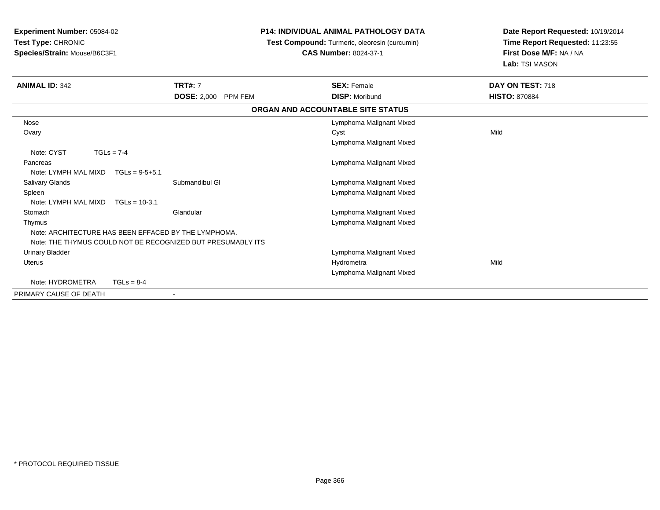**Experiment Number:** 05084-02**Test Type:** CHRONIC **Species/Strain:** Mouse/B6C3F1**P14: INDIVIDUAL ANIMAL PATHOLOGY DATA Test Compound:** Turmeric, oleoresin (curcumin)**CAS Number:** 8024-37-1**Date Report Requested:** 10/19/2014**Time Report Requested:** 11:23:55**First Dose M/F:** NA / NA**Lab:** TSI MASON**ANIMAL ID:** 342 **TRT#:** <sup>7</sup> **SEX:** Female **DAY ON TEST:** <sup>718</sup> **DOSE:** 2,000 PPM FEM**M DISP:** Moribund **HISTO:** 870884 **ORGAN AND ACCOUNTABLE SITE STATUS** Nose Lymphoma Malignant Mixed **Ovary** y and the control of the control of the control of the control of the control of the control of the control of the control of the control of the control of the control of the control of the control of the control of the co Lymphoma Malignant MixedNote: CYST TGLs = 7-4 **Pancreas**  Lymphoma Malignant MixedNote: LYMPH MAL MIXD TGLs = 9-5+5.1 Salivary GlandsSubmandibul Gl **Community Community** Cymphoma Malignant Mixed Lymphoma Malignant Mixed SpleenNote: LYMPH MAL MIXD TGLs = 10-3.1**Stomach** Glandular **Contracts** Clandular Clandular **Contracts** Clandular Lymphoma Malignant Mixed Thymus Lymphoma Malignant MixedNote: ARCHITECTURE HAS BEEN EFFACED BY THE LYMPHOMA.Note: THE THYMUS COULD NOT BE RECOGNIZED BUT PRESUMABLY ITS Urinary Bladder Lymphoma Malignant Mixed Uteruss and the contract of the contract of the contract of the contract of the contract of the contract of the contract of the contract of the contract of the contract of the contract of the contract of the contract of the cont a Mild Lymphoma Malignant MixedNote: HYDROMETRA TGLs = 8-4PRIMARY CAUSE OF DEATH-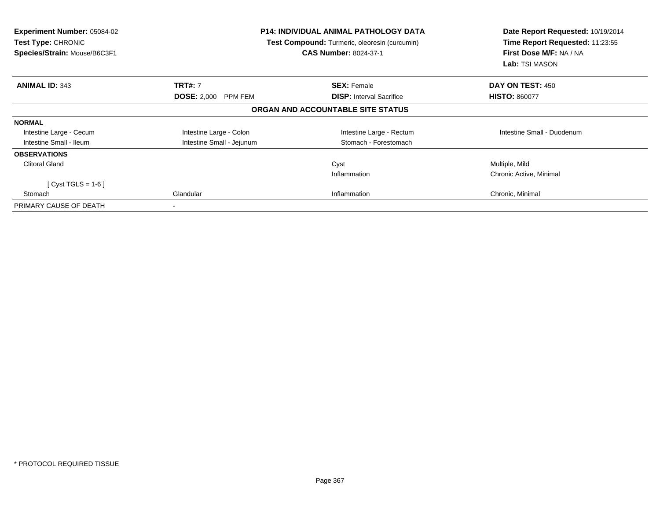| <b>Experiment Number: 05084-02</b><br><b>Test Type: CHRONIC</b><br>Species/Strain: Mouse/B6C3F1 |                            | <b>P14: INDIVIDUAL ANIMAL PATHOLOGY DATA</b><br>Test Compound: Turmeric, oleoresin (curcumin)<br><b>CAS Number: 8024-37-1</b> | Date Report Requested: 10/19/2014<br>Time Report Requested: 11:23:55<br>First Dose M/F: NA / NA<br>Lab: TSI MASON |
|-------------------------------------------------------------------------------------------------|----------------------------|-------------------------------------------------------------------------------------------------------------------------------|-------------------------------------------------------------------------------------------------------------------|
| <b>ANIMAL ID: 343</b>                                                                           | <b>TRT#: 7</b>             | <b>SEX: Female</b>                                                                                                            | DAY ON TEST: 450                                                                                                  |
|                                                                                                 | <b>DOSE: 2,000 PPM FEM</b> | <b>DISP:</b> Interval Sacrifice                                                                                               | <b>HISTO: 860077</b>                                                                                              |
|                                                                                                 |                            | ORGAN AND ACCOUNTABLE SITE STATUS                                                                                             |                                                                                                                   |
| <b>NORMAL</b>                                                                                   |                            |                                                                                                                               |                                                                                                                   |
| Intestine Large - Cecum                                                                         | Intestine Large - Colon    | Intestine Large - Rectum                                                                                                      | Intestine Small - Duodenum                                                                                        |
| Intestine Small - Ileum                                                                         | Intestine Small - Jejunum  | Stomach - Forestomach                                                                                                         |                                                                                                                   |
| <b>OBSERVATIONS</b>                                                                             |                            |                                                                                                                               |                                                                                                                   |
| <b>Clitoral Gland</b>                                                                           |                            | Cyst                                                                                                                          | Multiple, Mild                                                                                                    |
|                                                                                                 |                            | Inflammation                                                                                                                  | Chronic Active, Minimal                                                                                           |
| $Cyst TGLS = 1-6$                                                                               |                            |                                                                                                                               |                                                                                                                   |
| Stomach                                                                                         | Glandular                  | Inflammation                                                                                                                  | Chronic, Minimal                                                                                                  |
| PRIMARY CAUSE OF DEATH                                                                          | $\,$ $\,$                  |                                                                                                                               |                                                                                                                   |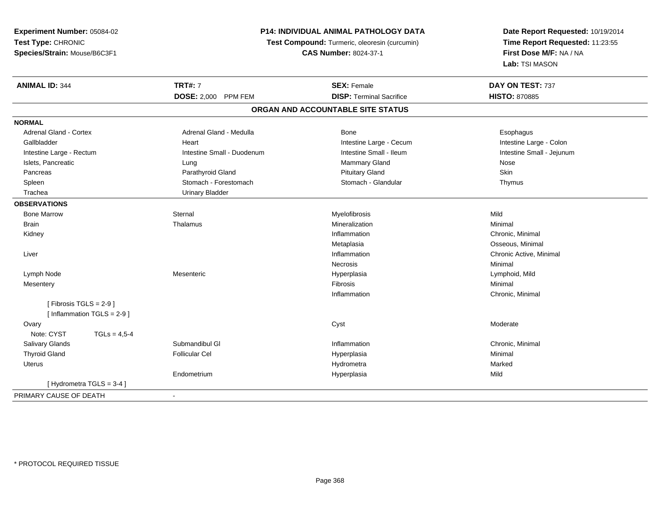**Experiment Number:** 05084-02**Test Type:** CHRONIC **Species/Strain:** Mouse/B6C3F1**P14: INDIVIDUAL ANIMAL PATHOLOGY DATA Test Compound:** Turmeric, oleoresin (curcumin)**CAS Number:** 8024-37-1**Date Report Requested:** 10/19/2014**Time Report Requested:** 11:23:55**First Dose M/F:** NA / NA**Lab:** TSI MASON**ANIMAL ID:** 344**TRT#:** 7 **SEX:** Female **SEX: Female DAY ON TEST:** 737 **DOSE:** 2,000 PPM FEM**DISP:** Terminal Sacrifice **HISTO:** 870885 **ORGAN AND ACCOUNTABLE SITE STATUSNORMALAdrenal Gland - Cortex** Adrenal Gland - Medulla **Bone** Bone **Bone** Esophagus Esophagus Intestine Large - Colon Gallbladder **East Intestine Large - Cecum Intestine Large - Cecum** Intestine Large - Cecum Intestine Small - Jejunum Intestine Large - Rectum **Intestine Small - Duodenum** Intestine Small - Ileum Intestine Small - Ileum Islets, Pancreatic Lung Mammary Gland Nose Skin Pancreas Parathyroid Gland Pituitary Gland SkinThymus Spleen Stomach - Forestomach Stomach - Stomach - Stomach Stomach Stomach Stomach - Glandular Trachea Urinary Bladder**OBSERVATIONS** Bone Marroww the sternal sternal sternal sternal sternal methods is the material of the step of the Mild of the Mild of the Mild of the Step of the Mild of the Step of the Mild of the Step of the Mild of the Step of the Step of the S Brainn and the theorem is the three matter of the matter of the matter of the matter of the matter of the matter of  $M$ inimal  $M$ inimal  $M$ inimal  $M$ inimal  $M$ inimal  $M$ inimal  $M$ inimal  $M$ inimal  $M$ inimal  $M$ inimal  $M$ inimal Kidneyy the control of the control of the control of the control of the control of the control of the control of the control of the control of the control of the control of the control of the control of the control of the contro Inflammation Chronic, Minimal Metaplasia Osseous, Minimal Liver**Inflammation**  Chronic Active, Minimal Necrosiss and the contract of the Minimal Lymph Node Mesenteric Hyperplasia Lymphoid, Mild Mesenteryy the contract of the contract of the contract of the contract of the contract of the contract of the contract of the contract of the contract of the contract of the contract of the contract of the contract of the contract Inflammation Chronic, Minimal  $[$  Fibrosis TGLS = 2-9  $]$  $[$  Inflammation TGLS = 2-9  $]$ **Ovary** y the control of the control of the control of the control of the control of the control of the control of the control of the control of the control of the control of the control of the control of the control of the contro Note:  $CYST$   $TGLs = 4.5-4$  Salivary Glandss Submandibul Gl **Inflammation**  Chronic, Minimal Thyroid Gland Follicular Cel Hyperplasia Minimal Uteruss and the contract of the contract of the contract of the contract of the contract of the contract of the contract of the contract of the contract of the contract of the contract of the contract of the contract of the cont a and a study of the state of the Marked Endometrium Hyperplasia Mild [ Hydrometra TGLS = 3-4 ]PRIMARY CAUSE OF DEATH-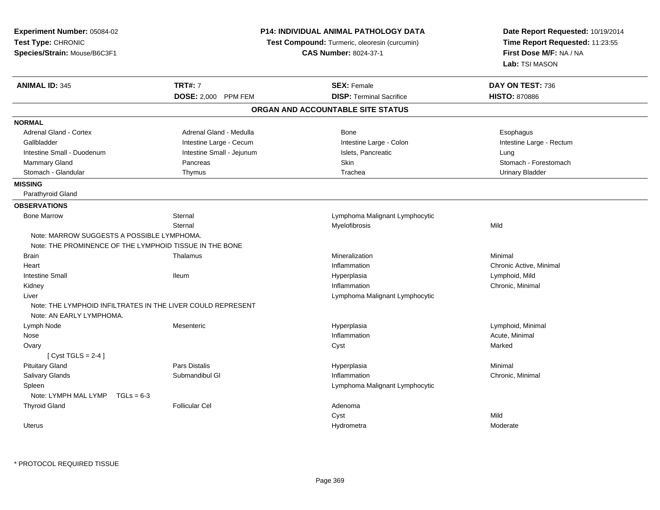| Experiment Number: 05084-02<br>Test Type: CHRONIC<br>Species/Strain: Mouse/B6C3F1 | <b>P14: INDIVIDUAL ANIMAL PATHOLOGY DATA</b><br>Test Compound: Turmeric, oleoresin (curcumin)<br><b>CAS Number: 8024-37-1</b> |                                   | Date Report Requested: 10/19/2014<br>Time Report Requested: 11:23:55<br>First Dose M/F: NA / NA<br>Lab: TSI MASON |
|-----------------------------------------------------------------------------------|-------------------------------------------------------------------------------------------------------------------------------|-----------------------------------|-------------------------------------------------------------------------------------------------------------------|
| <b>ANIMAL ID: 345</b>                                                             | <b>TRT#: 7</b>                                                                                                                | <b>SEX: Female</b>                | DAY ON TEST: 736                                                                                                  |
|                                                                                   | DOSE: 2,000 PPM FEM                                                                                                           | <b>DISP: Terminal Sacrifice</b>   | <b>HISTO: 870886</b>                                                                                              |
|                                                                                   |                                                                                                                               | ORGAN AND ACCOUNTABLE SITE STATUS |                                                                                                                   |
| <b>NORMAL</b>                                                                     |                                                                                                                               |                                   |                                                                                                                   |
| <b>Adrenal Gland - Cortex</b>                                                     | Adrenal Gland - Medulla                                                                                                       | <b>Bone</b>                       | Esophagus                                                                                                         |
| Gallbladder                                                                       | Intestine Large - Cecum                                                                                                       | Intestine Large - Colon           | Intestine Large - Rectum                                                                                          |
| Intestine Small - Duodenum                                                        | Intestine Small - Jejunum                                                                                                     | Islets, Pancreatic                | Lung                                                                                                              |
| Mammary Gland                                                                     | Pancreas                                                                                                                      | Skin                              | Stomach - Forestomach                                                                                             |
| Stomach - Glandular                                                               | Thymus                                                                                                                        | Trachea                           | <b>Urinary Bladder</b>                                                                                            |
| <b>MISSING</b>                                                                    |                                                                                                                               |                                   |                                                                                                                   |
| Parathyroid Gland                                                                 |                                                                                                                               |                                   |                                                                                                                   |
| <b>OBSERVATIONS</b>                                                               |                                                                                                                               |                                   |                                                                                                                   |
| <b>Bone Marrow</b>                                                                | Sternal                                                                                                                       | Lymphoma Malignant Lymphocytic    |                                                                                                                   |
|                                                                                   | Sternal                                                                                                                       | Myelofibrosis                     | Mild                                                                                                              |
| Note: MARROW SUGGESTS A POSSIBLE LYMPHOMA                                         |                                                                                                                               |                                   |                                                                                                                   |
| Note: THE PROMINENCE OF THE LYMPHOID TISSUE IN THE BONE                           |                                                                                                                               |                                   |                                                                                                                   |
| <b>Brain</b>                                                                      | Thalamus                                                                                                                      | Mineralization                    | Minimal                                                                                                           |
| Heart                                                                             |                                                                                                                               | Inflammation                      | Chronic Active, Minimal                                                                                           |
| <b>Intestine Small</b>                                                            | <b>Ileum</b>                                                                                                                  | Hyperplasia                       | Lymphoid, Mild                                                                                                    |
| Kidney                                                                            |                                                                                                                               | Inflammation                      | Chronic, Minimal                                                                                                  |
| Liver                                                                             |                                                                                                                               | Lymphoma Malignant Lymphocytic    |                                                                                                                   |
| Note: THE LYMPHOID INFILTRATES IN THE LIVER COULD REPRESENT                       |                                                                                                                               |                                   |                                                                                                                   |
| Note: AN EARLY LYMPHOMA.                                                          |                                                                                                                               |                                   |                                                                                                                   |
| Lymph Node                                                                        | Mesenteric                                                                                                                    | Hyperplasia                       | Lymphoid, Minimal                                                                                                 |
| Nose                                                                              |                                                                                                                               | Inflammation                      | Acute, Minimal                                                                                                    |
| Ovary                                                                             |                                                                                                                               | Cyst                              | Marked                                                                                                            |
| [Cyst TGLS = $2-4$ ]                                                              |                                                                                                                               |                                   |                                                                                                                   |
| <b>Pituitary Gland</b>                                                            | <b>Pars Distalis</b>                                                                                                          | Hyperplasia                       | Minimal                                                                                                           |
| Salivary Glands                                                                   | Submandibul GI                                                                                                                | Inflammation                      | Chronic, Minimal                                                                                                  |
| Spleen                                                                            |                                                                                                                               | Lymphoma Malignant Lymphocytic    |                                                                                                                   |
| Note: LYMPH MAL LYMP<br>$TGLs = 6-3$                                              |                                                                                                                               |                                   |                                                                                                                   |
| <b>Thyroid Gland</b>                                                              | <b>Follicular Cel</b>                                                                                                         | Adenoma                           |                                                                                                                   |
|                                                                                   |                                                                                                                               | Cyst                              | Mild                                                                                                              |
| <b>Uterus</b>                                                                     |                                                                                                                               | Hydrometra                        | Moderate                                                                                                          |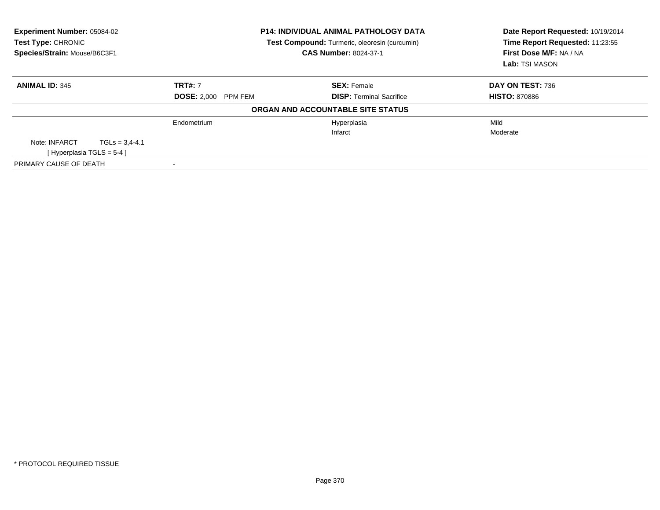| Experiment Number: 05084-02<br>Test Type: CHRONIC<br>Species/Strain: Mouse/B6C3F1 |                    | <b>P14: INDIVIDUAL ANIMAL PATHOLOGY DATA</b><br>Test Compound: Turmeric, oleoresin (curcumin)<br><b>CAS Number: 8024-37-1</b> |                                   | Date Report Requested: 10/19/2014<br>Time Report Requested: 11:23:55<br>First Dose M/F: NA / NA<br>Lab: TSI MASON |  |
|-----------------------------------------------------------------------------------|--------------------|-------------------------------------------------------------------------------------------------------------------------------|-----------------------------------|-------------------------------------------------------------------------------------------------------------------|--|
| <b>ANIMAL ID: 345</b>                                                             |                    | <b>TRT#: 7</b>                                                                                                                | <b>SEX: Female</b>                | DAY ON TEST: 736                                                                                                  |  |
|                                                                                   |                    | <b>DOSE: 2,000 PPM FEM</b>                                                                                                    | <b>DISP:</b> Terminal Sacrifice   | <b>HISTO: 870886</b>                                                                                              |  |
|                                                                                   |                    |                                                                                                                               | ORGAN AND ACCOUNTABLE SITE STATUS |                                                                                                                   |  |
|                                                                                   |                    | Endometrium                                                                                                                   | Hyperplasia                       | Mild                                                                                                              |  |
|                                                                                   |                    |                                                                                                                               | Infarct                           | Moderate                                                                                                          |  |
| Note: INFARCT                                                                     | $TGLs = 3.4 - 4.1$ |                                                                                                                               |                                   |                                                                                                                   |  |
| [Hyperplasia TGLS = $5-4$ ]                                                       |                    |                                                                                                                               |                                   |                                                                                                                   |  |
| PRIMARY CAUSE OF DEATH                                                            |                    |                                                                                                                               |                                   |                                                                                                                   |  |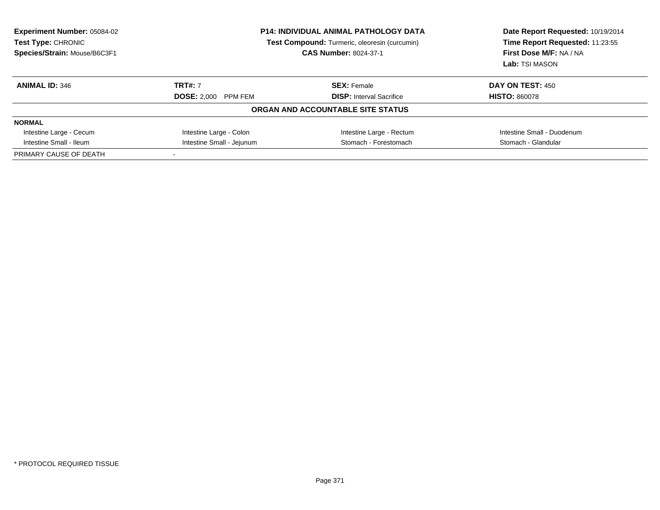| <b>Experiment Number: 05084-02</b><br><b>Test Type: CHRONIC</b><br>Species/Strain: Mouse/B6C3F1 | <b>P14: INDIVIDUAL ANIMAL PATHOLOGY DATA</b><br><b>Test Compound:</b> Turmeric, oleoresin (curcumin)<br><b>CAS Number: 8024-37-1</b> |                                   | Date Report Requested: 10/19/2014<br>Time Report Requested: 11:23:55<br>First Dose M/F: NA / NA<br>Lab: TSI MASON |
|-------------------------------------------------------------------------------------------------|--------------------------------------------------------------------------------------------------------------------------------------|-----------------------------------|-------------------------------------------------------------------------------------------------------------------|
| <b>ANIMAL ID: 346</b>                                                                           | <b>TRT#: 7</b>                                                                                                                       | <b>SEX: Female</b>                | DAY ON TEST: 450                                                                                                  |
|                                                                                                 | <b>DOSE: 2.000 PPM FEM</b>                                                                                                           | <b>DISP:</b> Interval Sacrifice   | <b>HISTO: 860078</b>                                                                                              |
|                                                                                                 |                                                                                                                                      | ORGAN AND ACCOUNTABLE SITE STATUS |                                                                                                                   |
| <b>NORMAL</b>                                                                                   |                                                                                                                                      |                                   |                                                                                                                   |
| Intestine Large - Cecum                                                                         | Intestine Large - Colon                                                                                                              | Intestine Large - Rectum          | Intestine Small - Duodenum                                                                                        |
| Intestine Small - Ileum                                                                         | Intestine Small - Jejunum<br>Stomach - Forestomach                                                                                   |                                   | Stomach - Glandular                                                                                               |
| PRIMARY CAUSE OF DEATH                                                                          |                                                                                                                                      |                                   |                                                                                                                   |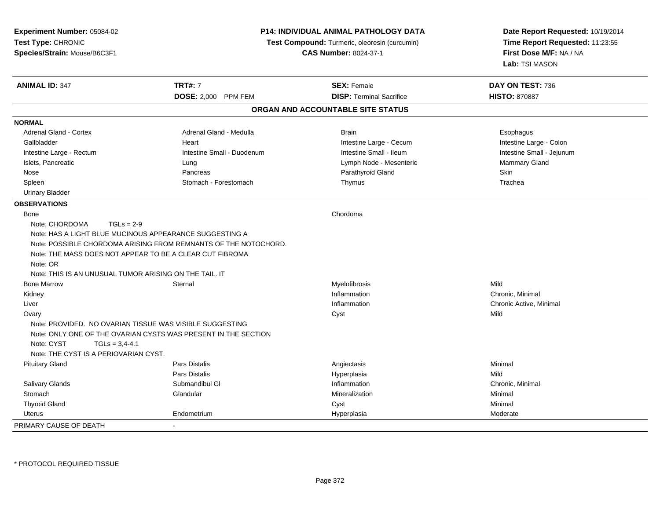| Experiment Number: 05084-02<br>Test Type: CHRONIC<br>Species/Strain: Mouse/B6C3F1                                                                                                                                                   | <b>CAS Number: 8024-37-1</b>                                    |                                   | <b>P14: INDIVIDUAL ANIMAL PATHOLOGY DATA</b><br><b>Test Compound:</b> Turmeric, oleoresin (curcumin)<br>First Dose M/F: NA / NA<br>Lab: TSI MASON | Date Report Requested: 10/19/2014<br>Time Report Requested: 11:23:55 |
|-------------------------------------------------------------------------------------------------------------------------------------------------------------------------------------------------------------------------------------|-----------------------------------------------------------------|-----------------------------------|---------------------------------------------------------------------------------------------------------------------------------------------------|----------------------------------------------------------------------|
| <b>ANIMAL ID: 347</b>                                                                                                                                                                                                               | <b>TRT#: 7</b>                                                  | <b>SEX: Female</b>                | DAY ON TEST: 736                                                                                                                                  |                                                                      |
|                                                                                                                                                                                                                                     | <b>DOSE: 2,000 PPM FEM</b>                                      | <b>DISP: Terminal Sacrifice</b>   | <b>HISTO: 870887</b>                                                                                                                              |                                                                      |
|                                                                                                                                                                                                                                     |                                                                 | ORGAN AND ACCOUNTABLE SITE STATUS |                                                                                                                                                   |                                                                      |
| <b>NORMAL</b>                                                                                                                                                                                                                       |                                                                 |                                   |                                                                                                                                                   |                                                                      |
| Adrenal Gland - Cortex                                                                                                                                                                                                              | Adrenal Gland - Medulla                                         | <b>Brain</b>                      | Esophagus                                                                                                                                         |                                                                      |
| Gallbladder                                                                                                                                                                                                                         | Heart                                                           | Intestine Large - Cecum           | Intestine Large - Colon                                                                                                                           |                                                                      |
| Intestine Large - Rectum                                                                                                                                                                                                            | Intestine Small - Duodenum                                      | Intestine Small - Ileum           | Intestine Small - Jejunum                                                                                                                         |                                                                      |
| Islets, Pancreatic                                                                                                                                                                                                                  | Lung                                                            | Lymph Node - Mesenteric           | Mammary Gland                                                                                                                                     |                                                                      |
| Nose                                                                                                                                                                                                                                | Pancreas                                                        | Parathyroid Gland                 | Skin                                                                                                                                              |                                                                      |
| Spleen                                                                                                                                                                                                                              | Stomach - Forestomach                                           | Thymus                            | Trachea                                                                                                                                           |                                                                      |
| <b>Urinary Bladder</b>                                                                                                                                                                                                              |                                                                 |                                   |                                                                                                                                                   |                                                                      |
| <b>OBSERVATIONS</b>                                                                                                                                                                                                                 |                                                                 |                                   |                                                                                                                                                   |                                                                      |
| Bone<br>Note: CHORDOMA<br>$TGLs = 2-9$<br>Note: HAS A LIGHT BLUE MUCINOUS APPEARANCE SUGGESTING A<br>Note: THE MASS DOES NOT APPEAR TO BE A CLEAR CUT FIBROMA<br>Note: OR<br>Note: THIS IS AN UNUSUAL TUMOR ARISING ON THE TAIL. IT | Note: POSSIBLE CHORDOMA ARISING FROM REMNANTS OF THE NOTOCHORD. | Chordoma                          |                                                                                                                                                   |                                                                      |
| <b>Bone Marrow</b>                                                                                                                                                                                                                  | Sternal                                                         | Myelofibrosis                     | Mild                                                                                                                                              |                                                                      |
| Kidney                                                                                                                                                                                                                              |                                                                 | Inflammation                      | Chronic, Minimal                                                                                                                                  |                                                                      |
| Liver                                                                                                                                                                                                                               |                                                                 | Inflammation                      | Chronic Active, Minimal                                                                                                                           |                                                                      |
| Ovary<br>Note: PROVIDED. NO OVARIAN TISSUE WAS VISIBLE SUGGESTING<br>Note: CYST<br>$TGLs = 3,4-4.1$<br>Note: THE CYST IS A PERIOVARIAN CYST.                                                                                        | Note: ONLY ONE OF THE OVARIAN CYSTS WAS PRESENT IN THE SECTION  | Cyst                              | Mild                                                                                                                                              |                                                                      |
| <b>Pituitary Gland</b>                                                                                                                                                                                                              | Pars Distalis                                                   | Angiectasis                       | Minimal                                                                                                                                           |                                                                      |
|                                                                                                                                                                                                                                     | <b>Pars Distalis</b>                                            | Hyperplasia                       | Mild                                                                                                                                              |                                                                      |
| Salivary Glands                                                                                                                                                                                                                     | Submandibul GI                                                  | Inflammation                      | Chronic, Minimal                                                                                                                                  |                                                                      |
| Stomach                                                                                                                                                                                                                             | Glandular                                                       | Mineralization                    | Minimal                                                                                                                                           |                                                                      |
| <b>Thyroid Gland</b>                                                                                                                                                                                                                |                                                                 | Cyst                              | Minimal                                                                                                                                           |                                                                      |
| Uterus                                                                                                                                                                                                                              | Endometrium                                                     | Hyperplasia                       | Moderate                                                                                                                                          |                                                                      |
| PRIMARY CAUSE OF DEATH                                                                                                                                                                                                              |                                                                 |                                   |                                                                                                                                                   |                                                                      |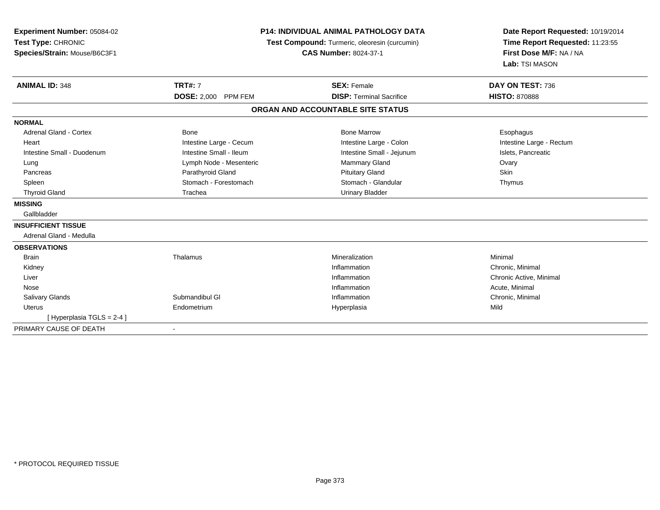| Experiment Number: 05084-02<br>Test Type: CHRONIC<br>Species/Strain: Mouse/B6C3F1 |                            | P14: INDIVIDUAL ANIMAL PATHOLOGY DATA<br>Test Compound: Turmeric, oleoresin (curcumin)<br><b>CAS Number: 8024-37-1</b> | Date Report Requested: 10/19/2014<br>Time Report Requested: 11:23:55<br>First Dose M/F: NA / NA<br>Lab: TSI MASON |
|-----------------------------------------------------------------------------------|----------------------------|------------------------------------------------------------------------------------------------------------------------|-------------------------------------------------------------------------------------------------------------------|
| <b>ANIMAL ID: 348</b>                                                             | <b>TRT#: 7</b>             | <b>SEX: Female</b>                                                                                                     | DAY ON TEST: 736                                                                                                  |
|                                                                                   | <b>DOSE: 2,000 PPM FEM</b> | <b>DISP: Terminal Sacrifice</b>                                                                                        | <b>HISTO: 870888</b>                                                                                              |
|                                                                                   |                            | ORGAN AND ACCOUNTABLE SITE STATUS                                                                                      |                                                                                                                   |
| <b>NORMAL</b>                                                                     |                            |                                                                                                                        |                                                                                                                   |
| <b>Adrenal Gland - Cortex</b>                                                     | Bone                       | <b>Bone Marrow</b>                                                                                                     | Esophagus                                                                                                         |
| Heart                                                                             | Intestine Large - Cecum    | Intestine Large - Colon                                                                                                | Intestine Large - Rectum                                                                                          |
| Intestine Small - Duodenum                                                        | Intestine Small - Ileum    | Intestine Small - Jejunum                                                                                              | Islets, Pancreatic                                                                                                |
| Lung                                                                              | Lymph Node - Mesenteric    | <b>Mammary Gland</b>                                                                                                   | Ovary                                                                                                             |
| Pancreas                                                                          | Parathyroid Gland          | <b>Pituitary Gland</b>                                                                                                 | Skin                                                                                                              |
| Spleen                                                                            | Stomach - Forestomach      | Stomach - Glandular                                                                                                    | Thymus                                                                                                            |
| <b>Thyroid Gland</b>                                                              | Trachea                    | <b>Urinary Bladder</b>                                                                                                 |                                                                                                                   |
| <b>MISSING</b>                                                                    |                            |                                                                                                                        |                                                                                                                   |
| Gallbladder                                                                       |                            |                                                                                                                        |                                                                                                                   |
| <b>INSUFFICIENT TISSUE</b>                                                        |                            |                                                                                                                        |                                                                                                                   |
| Adrenal Gland - Medulla                                                           |                            |                                                                                                                        |                                                                                                                   |
| <b>OBSERVATIONS</b>                                                               |                            |                                                                                                                        |                                                                                                                   |
| <b>Brain</b>                                                                      | Thalamus                   | Mineralization                                                                                                         | Minimal                                                                                                           |
| Kidney                                                                            |                            | Inflammation                                                                                                           | Chronic, Minimal                                                                                                  |
| Liver                                                                             |                            | Inflammation                                                                                                           | Chronic Active, Minimal                                                                                           |
| Nose                                                                              |                            | Inflammation                                                                                                           | Acute, Minimal                                                                                                    |
| <b>Salivary Glands</b>                                                            | Submandibul GI             | Inflammation                                                                                                           | Chronic, Minimal                                                                                                  |
| <b>Uterus</b>                                                                     | Endometrium                | Hyperplasia                                                                                                            | Mild                                                                                                              |
| [Hyperplasia TGLS = 2-4]                                                          |                            |                                                                                                                        |                                                                                                                   |
| PRIMARY CAUSE OF DEATH                                                            |                            |                                                                                                                        |                                                                                                                   |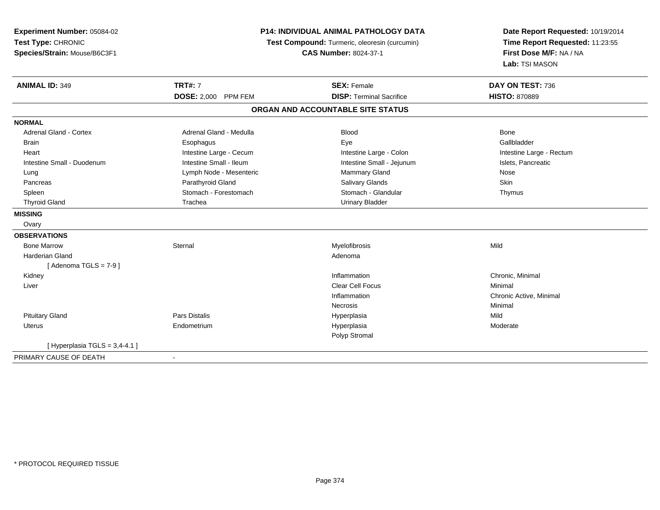| Experiment Number: 05084-02<br>Test Type: CHRONIC<br>Species/Strain: Mouse/B6C3F1 |                         | <b>P14: INDIVIDUAL ANIMAL PATHOLOGY DATA</b><br>Test Compound: Turmeric, oleoresin (curcumin)<br><b>CAS Number: 8024-37-1</b> | Date Report Requested: 10/19/2014<br>Time Report Requested: 11:23:55<br>First Dose M/F: NA / NA<br>Lab: TSI MASON |
|-----------------------------------------------------------------------------------|-------------------------|-------------------------------------------------------------------------------------------------------------------------------|-------------------------------------------------------------------------------------------------------------------|
| <b>ANIMAL ID: 349</b>                                                             | <b>TRT#: 7</b>          | <b>SEX: Female</b>                                                                                                            | DAY ON TEST: 736                                                                                                  |
|                                                                                   | DOSE: 2,000 PPM FEM     | <b>DISP: Terminal Sacrifice</b>                                                                                               | <b>HISTO: 870889</b>                                                                                              |
|                                                                                   |                         | ORGAN AND ACCOUNTABLE SITE STATUS                                                                                             |                                                                                                                   |
| <b>NORMAL</b>                                                                     |                         |                                                                                                                               |                                                                                                                   |
| <b>Adrenal Gland - Cortex</b>                                                     | Adrenal Gland - Medulla | <b>Blood</b>                                                                                                                  | Bone                                                                                                              |
| <b>Brain</b>                                                                      | Esophagus               | Eye                                                                                                                           | Gallbladder                                                                                                       |
| Heart                                                                             | Intestine Large - Cecum | Intestine Large - Colon                                                                                                       | Intestine Large - Rectum                                                                                          |
| Intestine Small - Duodenum                                                        | Intestine Small - Ileum | Intestine Small - Jejunum                                                                                                     | Islets, Pancreatic                                                                                                |
| Lung                                                                              | Lymph Node - Mesenteric | Mammary Gland                                                                                                                 | Nose                                                                                                              |
| Pancreas                                                                          | Parathyroid Gland       | <b>Salivary Glands</b>                                                                                                        | Skin                                                                                                              |
| Spleen                                                                            | Stomach - Forestomach   | Stomach - Glandular                                                                                                           | Thymus                                                                                                            |
| <b>Thyroid Gland</b>                                                              | Trachea                 | <b>Urinary Bladder</b>                                                                                                        |                                                                                                                   |
| <b>MISSING</b>                                                                    |                         |                                                                                                                               |                                                                                                                   |
| Ovary                                                                             |                         |                                                                                                                               |                                                                                                                   |
| <b>OBSERVATIONS</b>                                                               |                         |                                                                                                                               |                                                                                                                   |
| <b>Bone Marrow</b>                                                                | Sternal                 | Myelofibrosis                                                                                                                 | Mild                                                                                                              |
| <b>Harderian Gland</b>                                                            |                         | Adenoma                                                                                                                       |                                                                                                                   |
| [Adenoma TGLS = $7-9$ ]                                                           |                         |                                                                                                                               |                                                                                                                   |
| Kidney                                                                            |                         | Inflammation                                                                                                                  | Chronic, Minimal                                                                                                  |
| Liver                                                                             |                         | Clear Cell Focus                                                                                                              | Minimal                                                                                                           |
|                                                                                   |                         | Inflammation                                                                                                                  | Chronic Active, Minimal                                                                                           |
|                                                                                   |                         | Necrosis                                                                                                                      | Minimal                                                                                                           |
| <b>Pituitary Gland</b>                                                            | <b>Pars Distalis</b>    | Hyperplasia                                                                                                                   | Mild                                                                                                              |
| Uterus                                                                            | Endometrium             | Hyperplasia                                                                                                                   | Moderate                                                                                                          |
|                                                                                   |                         | Polyp Stromal                                                                                                                 |                                                                                                                   |
| [Hyperplasia TGLS = $3,4-4.1$ ]                                                   |                         |                                                                                                                               |                                                                                                                   |
| PRIMARY CAUSE OF DEATH                                                            |                         |                                                                                                                               |                                                                                                                   |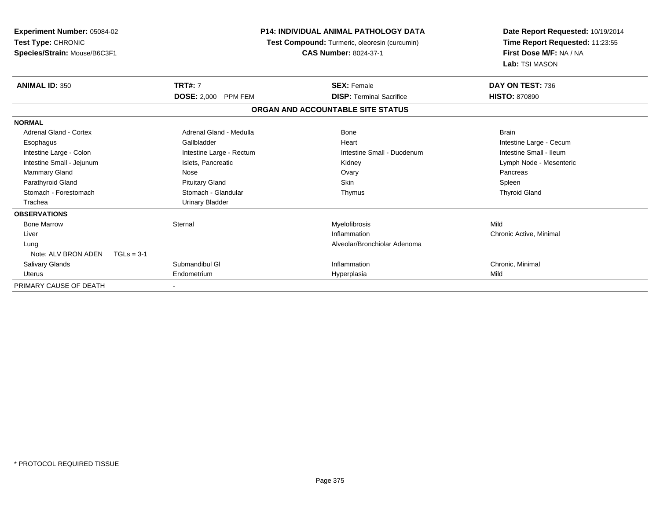| <b>Experiment Number: 05084-02</b><br>Test Type: CHRONIC<br>Species/Strain: Mouse/B6C3F1 | <b>P14: INDIVIDUAL ANIMAL PATHOLOGY DATA</b><br>Test Compound: Turmeric, oleoresin (curcumin)<br><b>CAS Number: 8024-37-1</b> |                                   | Date Report Requested: 10/19/2014<br>Time Report Requested: 11:23:55<br>First Dose M/F: NA / NA<br>Lab: TSI MASON |  |
|------------------------------------------------------------------------------------------|-------------------------------------------------------------------------------------------------------------------------------|-----------------------------------|-------------------------------------------------------------------------------------------------------------------|--|
| <b>ANIMAL ID: 350</b>                                                                    | <b>TRT#: 7</b>                                                                                                                | <b>SEX: Female</b>                | DAY ON TEST: 736                                                                                                  |  |
|                                                                                          | DOSE: 2,000 PPM FEM                                                                                                           | <b>DISP: Terminal Sacrifice</b>   | <b>HISTO: 870890</b>                                                                                              |  |
|                                                                                          |                                                                                                                               | ORGAN AND ACCOUNTABLE SITE STATUS |                                                                                                                   |  |
| <b>NORMAL</b>                                                                            |                                                                                                                               |                                   |                                                                                                                   |  |
| Adrenal Gland - Cortex                                                                   | Adrenal Gland - Medulla                                                                                                       | <b>Bone</b>                       | <b>Brain</b>                                                                                                      |  |
| Esophagus                                                                                | Gallbladder                                                                                                                   | Heart                             | Intestine Large - Cecum                                                                                           |  |
| Intestine Large - Colon                                                                  | Intestine Large - Rectum                                                                                                      | Intestine Small - Duodenum        | Intestine Small - Ileum                                                                                           |  |
| Intestine Small - Jejunum                                                                | Islets, Pancreatic                                                                                                            | Kidney                            | Lymph Node - Mesenteric                                                                                           |  |
| Mammary Gland                                                                            | Nose                                                                                                                          | Ovary                             | Pancreas                                                                                                          |  |
| Parathyroid Gland                                                                        | <b>Pituitary Gland</b>                                                                                                        | <b>Skin</b>                       | Spleen                                                                                                            |  |
| Stomach - Forestomach                                                                    | Stomach - Glandular                                                                                                           | Thymus                            | <b>Thyroid Gland</b>                                                                                              |  |
| Trachea                                                                                  | <b>Urinary Bladder</b>                                                                                                        |                                   |                                                                                                                   |  |
| <b>OBSERVATIONS</b>                                                                      |                                                                                                                               |                                   |                                                                                                                   |  |
| <b>Bone Marrow</b>                                                                       | Sternal                                                                                                                       | Myelofibrosis                     | Mild                                                                                                              |  |
| Liver                                                                                    |                                                                                                                               | Inflammation                      | Chronic Active, Minimal                                                                                           |  |
| Lung                                                                                     |                                                                                                                               | Alveolar/Bronchiolar Adenoma      |                                                                                                                   |  |
| Note: ALV BRON ADEN<br>$TGLs = 3-1$                                                      |                                                                                                                               |                                   |                                                                                                                   |  |
| Salivary Glands                                                                          | Submandibul GI                                                                                                                | Inflammation                      | Chronic, Minimal                                                                                                  |  |
| Uterus                                                                                   | Endometrium                                                                                                                   | Hyperplasia                       | Mild                                                                                                              |  |
| PRIMARY CAUSE OF DEATH                                                                   |                                                                                                                               |                                   |                                                                                                                   |  |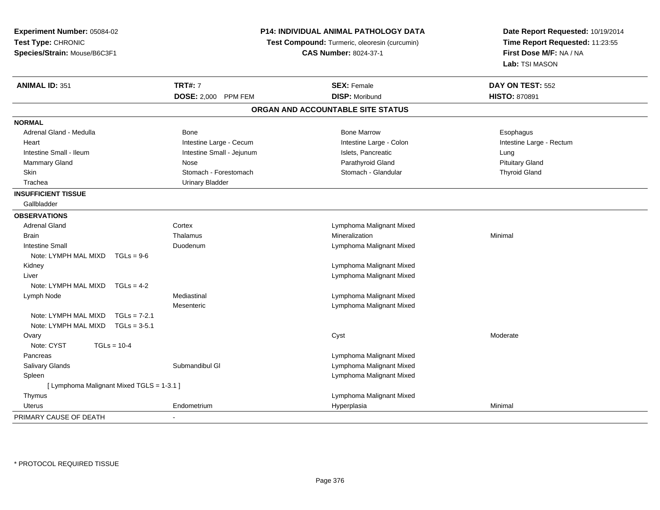| Experiment Number: 05084-02               |                                                                               | P14: INDIVIDUAL ANIMAL PATHOLOGY DATA | Date Report Requested: 10/19/2014 |
|-------------------------------------------|-------------------------------------------------------------------------------|---------------------------------------|-----------------------------------|
| Test Type: CHRONIC                        | Test Compound: Turmeric, oleoresin (curcumin)<br><b>CAS Number: 8024-37-1</b> |                                       | Time Report Requested: 11:23:55   |
| Species/Strain: Mouse/B6C3F1              |                                                                               |                                       | First Dose M/F: NA / NA           |
|                                           |                                                                               |                                       | Lab: TSI MASON                    |
| <b>ANIMAL ID: 351</b>                     | <b>TRT#: 7</b>                                                                | <b>SEX: Female</b>                    | DAY ON TEST: 552                  |
|                                           | DOSE: 2,000 PPM FEM                                                           | <b>DISP: Moribund</b>                 | <b>HISTO: 870891</b>              |
|                                           |                                                                               | ORGAN AND ACCOUNTABLE SITE STATUS     |                                   |
| <b>NORMAL</b>                             |                                                                               |                                       |                                   |
| Adrenal Gland - Medulla                   | Bone                                                                          | <b>Bone Marrow</b>                    | Esophagus                         |
| Heart                                     | Intestine Large - Cecum                                                       | Intestine Large - Colon               | Intestine Large - Rectum          |
| Intestine Small - Ileum                   | Intestine Small - Jejunum                                                     | Islets, Pancreatic                    | Lung                              |
| Mammary Gland                             | Nose                                                                          | Parathyroid Gland                     | <b>Pituitary Gland</b>            |
| Skin                                      | Stomach - Forestomach                                                         | Stomach - Glandular                   | <b>Thyroid Gland</b>              |
| Trachea                                   | <b>Urinary Bladder</b>                                                        |                                       |                                   |
| <b>INSUFFICIENT TISSUE</b>                |                                                                               |                                       |                                   |
| Gallbladder                               |                                                                               |                                       |                                   |
| <b>OBSERVATIONS</b>                       |                                                                               |                                       |                                   |
| <b>Adrenal Gland</b>                      | Cortex                                                                        | Lymphoma Malignant Mixed              |                                   |
| <b>Brain</b>                              | Thalamus                                                                      | Mineralization                        | Minimal                           |
| <b>Intestine Small</b>                    | Duodenum                                                                      | Lymphoma Malignant Mixed              |                                   |
| Note: LYMPH MAL MIXD<br>$TGLs = 9-6$      |                                                                               |                                       |                                   |
| Kidney                                    |                                                                               | Lymphoma Malignant Mixed              |                                   |
| Liver                                     |                                                                               | Lymphoma Malignant Mixed              |                                   |
| Note: LYMPH MAL MIXD<br>$TGLs = 4-2$      |                                                                               |                                       |                                   |
| Lymph Node                                | Mediastinal                                                                   | Lymphoma Malignant Mixed              |                                   |
|                                           | Mesenteric                                                                    | Lymphoma Malignant Mixed              |                                   |
| Note: LYMPH MAL MIXD<br>$TGLs = 7-2.1$    |                                                                               |                                       |                                   |
| Note: LYMPH MAL MIXD<br>$TGLs = 3-5.1$    |                                                                               |                                       |                                   |
| Ovary                                     |                                                                               | Cyst                                  | Moderate                          |
| Note: CYST<br>$TGLs = 10-4$               |                                                                               |                                       |                                   |
| Pancreas                                  |                                                                               | Lymphoma Malignant Mixed              |                                   |
| Salivary Glands                           | Submandibul GI                                                                | Lymphoma Malignant Mixed              |                                   |
| Spleen                                    |                                                                               | Lymphoma Malignant Mixed              |                                   |
| [ Lymphoma Malignant Mixed TGLS = 1-3.1 ] |                                                                               |                                       |                                   |
| Thymus                                    |                                                                               | Lymphoma Malignant Mixed              |                                   |
| <b>Uterus</b>                             | Endometrium                                                                   | Hyperplasia                           | Minimal                           |
| PRIMARY CAUSE OF DEATH                    |                                                                               |                                       |                                   |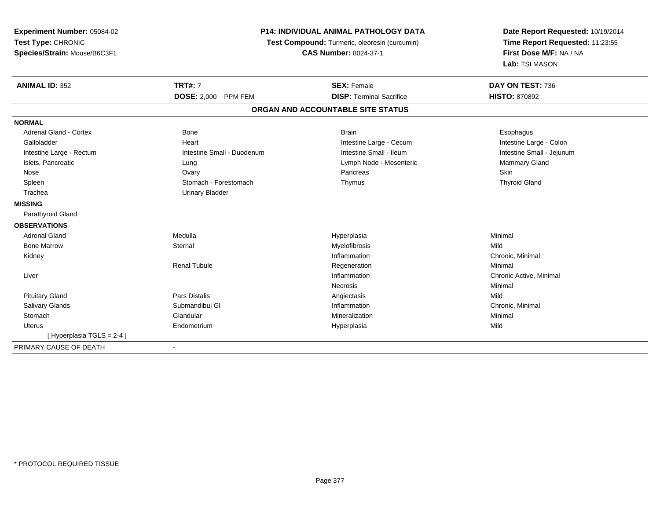| Experiment Number: 05084-02<br>Test Type: CHRONIC |                              | <b>P14: INDIVIDUAL ANIMAL PATHOLOGY DATA</b><br>Test Compound: Turmeric, oleoresin (curcumin) |                                                                              |
|---------------------------------------------------|------------------------------|-----------------------------------------------------------------------------------------------|------------------------------------------------------------------------------|
| Species/Strain: Mouse/B6C3F1                      | <b>CAS Number: 8024-37-1</b> |                                                                                               | Time Report Requested: 11:23:55<br>First Dose M/F: NA / NA<br>Lab: TSI MASON |
| <b>ANIMAL ID: 352</b>                             | <b>TRT#: 7</b>               | <b>SEX: Female</b>                                                                            | DAY ON TEST: 736                                                             |
|                                                   | DOSE: 2,000 PPM FEM          | <b>DISP: Terminal Sacrifice</b>                                                               | <b>HISTO: 870892</b>                                                         |
|                                                   |                              | ORGAN AND ACCOUNTABLE SITE STATUS                                                             |                                                                              |
| <b>NORMAL</b>                                     |                              |                                                                                               |                                                                              |
| <b>Adrenal Gland - Cortex</b>                     | Bone                         | <b>Brain</b>                                                                                  | Esophagus                                                                    |
| Gallbladder                                       | Heart                        | Intestine Large - Cecum                                                                       | Intestine Large - Colon                                                      |
| Intestine Large - Rectum                          | Intestine Small - Duodenum   | Intestine Small - Ileum                                                                       | Intestine Small - Jejunum                                                    |
| Islets, Pancreatic                                | Lung                         | Lymph Node - Mesenteric                                                                       | Mammary Gland                                                                |
| Nose                                              | Ovary                        | Pancreas                                                                                      | <b>Skin</b>                                                                  |
| Spleen                                            | Stomach - Forestomach        | Thymus                                                                                        | <b>Thyroid Gland</b>                                                         |
| Trachea                                           | <b>Urinary Bladder</b>       |                                                                                               |                                                                              |
| <b>MISSING</b>                                    |                              |                                                                                               |                                                                              |
| Parathyroid Gland                                 |                              |                                                                                               |                                                                              |
| <b>OBSERVATIONS</b>                               |                              |                                                                                               |                                                                              |
| <b>Adrenal Gland</b>                              | Medulla                      | Hyperplasia                                                                                   | Minimal                                                                      |
| <b>Bone Marrow</b>                                | Sternal                      | Myelofibrosis                                                                                 | Mild                                                                         |
| Kidney                                            |                              | Inflammation                                                                                  | Chronic, Minimal                                                             |
|                                                   | <b>Renal Tubule</b>          | Regeneration                                                                                  | Minimal                                                                      |
| Liver                                             |                              | Inflammation                                                                                  | Chronic Active, Minimal                                                      |
|                                                   |                              | Necrosis                                                                                      | Minimal                                                                      |
| <b>Pituitary Gland</b>                            | <b>Pars Distalis</b>         | Angiectasis                                                                                   | Mild                                                                         |
| <b>Salivary Glands</b>                            | Submandibul GI               | Inflammation                                                                                  | Chronic, Minimal                                                             |
| Stomach                                           | Glandular                    | Mineralization                                                                                | Minimal                                                                      |
| <b>Uterus</b>                                     | Endometrium                  | Hyperplasia                                                                                   | Mild                                                                         |
| [ Hyperplasia TGLS = 2-4 ]                        |                              |                                                                                               |                                                                              |
| PRIMARY CAUSE OF DEATH                            |                              |                                                                                               |                                                                              |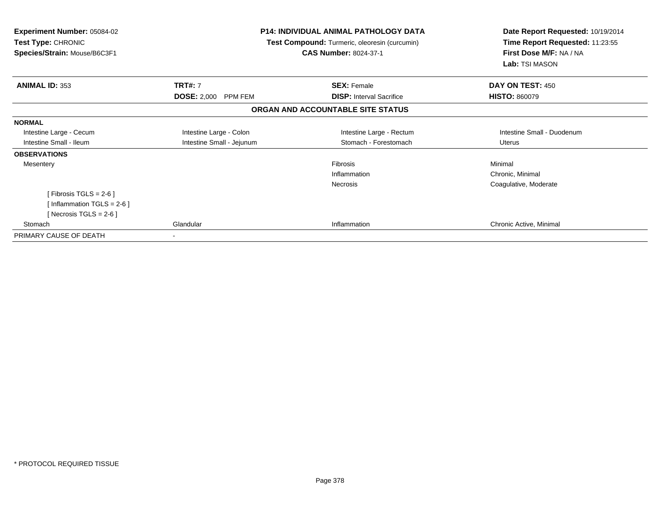| <b>Experiment Number: 05084-02</b><br><b>Test Type: CHRONIC</b><br>Species/Strain: Mouse/B6C3F1 |                                       | <b>P14: INDIVIDUAL ANIMAL PATHOLOGY DATA</b><br>Test Compound: Turmeric, oleoresin (curcumin)<br><b>CAS Number: 8024-37-1</b> | Date Report Requested: 10/19/2014<br>Time Report Requested: 11:23:55<br>First Dose M/F: NA / NA<br>Lab: TSI MASON |
|-------------------------------------------------------------------------------------------------|---------------------------------------|-------------------------------------------------------------------------------------------------------------------------------|-------------------------------------------------------------------------------------------------------------------|
| <b>ANIMAL ID: 353</b>                                                                           | <b>TRT#: 7</b><br>DOSE: 2,000 PPM FEM | <b>SEX: Female</b><br><b>DISP:</b> Interval Sacrifice                                                                         | DAY ON TEST: 450<br><b>HISTO: 860079</b>                                                                          |
|                                                                                                 |                                       | ORGAN AND ACCOUNTABLE SITE STATUS                                                                                             |                                                                                                                   |
| <b>NORMAL</b>                                                                                   |                                       |                                                                                                                               |                                                                                                                   |
| Intestine Large - Cecum                                                                         | Intestine Large - Colon               | Intestine Large - Rectum                                                                                                      | Intestine Small - Duodenum                                                                                        |
| Intestine Small - Ileum                                                                         | Intestine Small - Jejunum             | Stomach - Forestomach                                                                                                         | <b>Uterus</b>                                                                                                     |
| <b>OBSERVATIONS</b>                                                                             |                                       |                                                                                                                               |                                                                                                                   |
| Mesentery                                                                                       |                                       | Fibrosis                                                                                                                      | Minimal                                                                                                           |
|                                                                                                 |                                       | Inflammation                                                                                                                  | Chronic, Minimal                                                                                                  |
|                                                                                                 |                                       | <b>Necrosis</b>                                                                                                               | Coagulative, Moderate                                                                                             |
| [Fibrosis TGLS = $2-6$ ]                                                                        |                                       |                                                                                                                               |                                                                                                                   |
| [Inflammation TGLS = $2-6$ ]                                                                    |                                       |                                                                                                                               |                                                                                                                   |
| [ Necrosis TGLS = $2-6$ ]                                                                       |                                       |                                                                                                                               |                                                                                                                   |
| Stomach                                                                                         | Glandular                             | Inflammation                                                                                                                  | Chronic Active, Minimal                                                                                           |
| PRIMARY CAUSE OF DEATH                                                                          |                                       |                                                                                                                               |                                                                                                                   |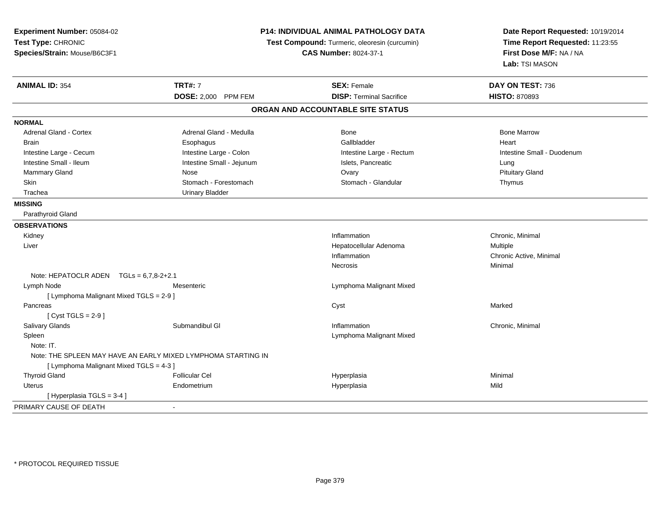| Experiment Number: 05084-02<br>Test Type: CHRONIC<br>Species/Strain: Mouse/B6C3F1 |                                                               | P14: INDIVIDUAL ANIMAL PATHOLOGY DATA<br>Test Compound: Turmeric, oleoresin (curcumin)<br><b>CAS Number: 8024-37-1</b> | Date Report Requested: 10/19/2014<br>Time Report Requested: 11:23:55<br>First Dose M/F: NA / NA<br>Lab: TSI MASON |  |
|-----------------------------------------------------------------------------------|---------------------------------------------------------------|------------------------------------------------------------------------------------------------------------------------|-------------------------------------------------------------------------------------------------------------------|--|
| <b>ANIMAL ID: 354</b>                                                             | <b>TRT#: 7</b>                                                | <b>SEX: Female</b>                                                                                                     | DAY ON TEST: 736                                                                                                  |  |
|                                                                                   | DOSE: 2,000 PPM FEM                                           | <b>DISP: Terminal Sacrifice</b>                                                                                        | <b>HISTO: 870893</b>                                                                                              |  |
|                                                                                   |                                                               | ORGAN AND ACCOUNTABLE SITE STATUS                                                                                      |                                                                                                                   |  |
| <b>NORMAL</b>                                                                     |                                                               |                                                                                                                        |                                                                                                                   |  |
| Adrenal Gland - Cortex                                                            | Adrenal Gland - Medulla                                       | Bone                                                                                                                   | <b>Bone Marrow</b>                                                                                                |  |
| <b>Brain</b>                                                                      | Esophagus                                                     | Gallbladder                                                                                                            | Heart                                                                                                             |  |
| Intestine Large - Cecum                                                           | Intestine Large - Colon                                       | Intestine Large - Rectum                                                                                               | Intestine Small - Duodenum                                                                                        |  |
| Intestine Small - Ileum                                                           | Intestine Small - Jejunum                                     | Islets, Pancreatic                                                                                                     | Lung                                                                                                              |  |
| Mammary Gland                                                                     | Nose                                                          | Ovary                                                                                                                  | <b>Pituitary Gland</b>                                                                                            |  |
| Skin                                                                              | Stomach - Forestomach                                         | Stomach - Glandular                                                                                                    | Thymus                                                                                                            |  |
| Trachea                                                                           | <b>Urinary Bladder</b>                                        |                                                                                                                        |                                                                                                                   |  |
| <b>MISSING</b>                                                                    |                                                               |                                                                                                                        |                                                                                                                   |  |
| Parathyroid Gland                                                                 |                                                               |                                                                                                                        |                                                                                                                   |  |
| <b>OBSERVATIONS</b>                                                               |                                                               |                                                                                                                        |                                                                                                                   |  |
| Kidney                                                                            |                                                               | Inflammation                                                                                                           | Chronic, Minimal                                                                                                  |  |
| Liver                                                                             |                                                               | Hepatocellular Adenoma                                                                                                 | Multiple                                                                                                          |  |
|                                                                                   |                                                               | Inflammation                                                                                                           | Chronic Active, Minimal                                                                                           |  |
|                                                                                   |                                                               | Necrosis                                                                                                               | Minimal                                                                                                           |  |
| Note: HEPATOCLR ADEN $TGLs = 6.7.8-2+2.1$                                         |                                                               |                                                                                                                        |                                                                                                                   |  |
| Lymph Node                                                                        | Mesenteric                                                    | Lymphoma Malignant Mixed                                                                                               |                                                                                                                   |  |
| [ Lymphoma Malignant Mixed TGLS = 2-9 ]                                           |                                                               |                                                                                                                        |                                                                                                                   |  |
| Pancreas                                                                          |                                                               | Cyst                                                                                                                   | Marked                                                                                                            |  |
| [Cyst TGLS = $2-9$ ]                                                              |                                                               |                                                                                                                        |                                                                                                                   |  |
| Salivary Glands                                                                   | Submandibul GI                                                | Inflammation                                                                                                           | Chronic, Minimal                                                                                                  |  |
| Spleen                                                                            |                                                               | Lymphoma Malignant Mixed                                                                                               |                                                                                                                   |  |
| Note: IT.                                                                         |                                                               |                                                                                                                        |                                                                                                                   |  |
|                                                                                   | Note: THE SPLEEN MAY HAVE AN EARLY MIXED LYMPHOMA STARTING IN |                                                                                                                        |                                                                                                                   |  |
| [ Lymphoma Malignant Mixed TGLS = 4-3 ]                                           |                                                               |                                                                                                                        |                                                                                                                   |  |
| <b>Thyroid Gland</b>                                                              | <b>Follicular Cel</b>                                         | Hyperplasia                                                                                                            | Minimal                                                                                                           |  |
| <b>Uterus</b>                                                                     | Endometrium                                                   | Hyperplasia                                                                                                            | Mild                                                                                                              |  |
| [Hyperplasia TGLS = 3-4]                                                          |                                                               |                                                                                                                        |                                                                                                                   |  |
| PRIMARY CAUSE OF DEATH                                                            | $\sim$                                                        |                                                                                                                        |                                                                                                                   |  |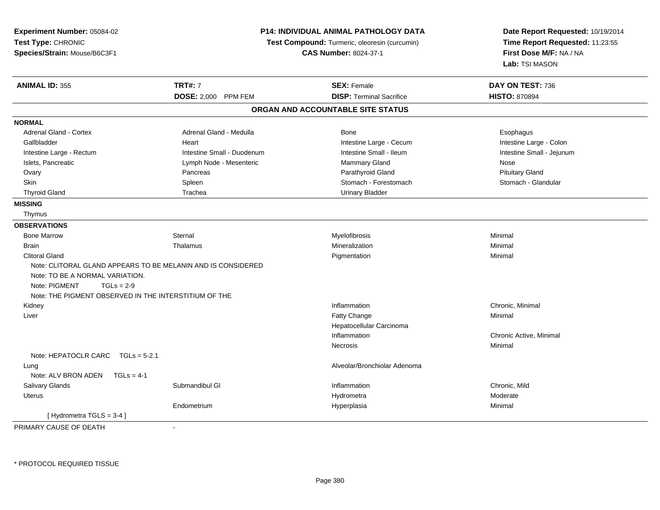| Experiment Number: 05084-02<br>Test Type: CHRONIC<br>Species/Strain: Mouse/B6C3F1                                         |                                                              | P14: INDIVIDUAL ANIMAL PATHOLOGY DATA<br>Test Compound: Turmeric, oleoresin (curcumin)<br><b>CAS Number: 8024-37-1</b> |                           |
|---------------------------------------------------------------------------------------------------------------------------|--------------------------------------------------------------|------------------------------------------------------------------------------------------------------------------------|---------------------------|
| <b>ANIMAL ID: 355</b>                                                                                                     | <b>TRT#: 7</b>                                               | <b>SEX: Female</b>                                                                                                     | DAY ON TEST: 736          |
|                                                                                                                           | DOSE: 2,000 PPM FEM                                          | <b>DISP: Terminal Sacrifice</b>                                                                                        | <b>HISTO: 870894</b>      |
|                                                                                                                           |                                                              | ORGAN AND ACCOUNTABLE SITE STATUS                                                                                      |                           |
| <b>NORMAL</b>                                                                                                             |                                                              |                                                                                                                        |                           |
| <b>Adrenal Gland - Cortex</b>                                                                                             | Adrenal Gland - Medulla                                      | Bone                                                                                                                   | Esophagus                 |
| Gallbladder                                                                                                               | Heart                                                        | Intestine Large - Cecum                                                                                                | Intestine Large - Colon   |
| Intestine Large - Rectum                                                                                                  | Intestine Small - Duodenum                                   | Intestine Small - Ileum                                                                                                | Intestine Small - Jejunum |
| Islets, Pancreatic                                                                                                        | Lymph Node - Mesenteric                                      | Mammary Gland                                                                                                          | Nose                      |
| Ovary                                                                                                                     | Pancreas                                                     | Parathyroid Gland                                                                                                      | <b>Pituitary Gland</b>    |
| Skin                                                                                                                      | Spleen                                                       | Stomach - Forestomach                                                                                                  | Stomach - Glandular       |
| <b>Thyroid Gland</b>                                                                                                      | Trachea                                                      | <b>Urinary Bladder</b>                                                                                                 |                           |
| <b>MISSING</b>                                                                                                            |                                                              |                                                                                                                        |                           |
| Thymus                                                                                                                    |                                                              |                                                                                                                        |                           |
| <b>OBSERVATIONS</b>                                                                                                       |                                                              |                                                                                                                        |                           |
| <b>Bone Marrow</b>                                                                                                        | Sternal                                                      | Myelofibrosis                                                                                                          | Minimal                   |
| <b>Brain</b>                                                                                                              | Thalamus                                                     | Mineralization                                                                                                         | Minimal                   |
| <b>Clitoral Gland</b>                                                                                                     |                                                              | Pigmentation                                                                                                           | Minimal                   |
| Note: TO BE A NORMAL VARIATION.<br>Note: PIGMENT<br>$TGLs = 2-9$<br>Note: THE PIGMENT OBSERVED IN THE INTERSTITIUM OF THE | Note: CLITORAL GLAND APPEARS TO BE MELANIN AND IS CONSIDERED |                                                                                                                        |                           |
| Kidney                                                                                                                    |                                                              | Inflammation                                                                                                           | Chronic, Minimal          |
| Liver                                                                                                                     |                                                              | Fatty Change                                                                                                           | Minimal                   |
|                                                                                                                           |                                                              | Hepatocellular Carcinoma                                                                                               |                           |
|                                                                                                                           |                                                              | Inflammation                                                                                                           | Chronic Active, Minimal   |
|                                                                                                                           |                                                              | <b>Necrosis</b>                                                                                                        | Minimal                   |
| Note: HEPATOCLR CARC TGLs = 5-2.1                                                                                         |                                                              |                                                                                                                        |                           |
| Lung                                                                                                                      |                                                              | Alveolar/Bronchiolar Adenoma                                                                                           |                           |
| Note: ALV BRON ADEN<br>$TGLs = 4-1$                                                                                       |                                                              |                                                                                                                        |                           |
| Salivary Glands                                                                                                           | Submandibul GI                                               | Inflammation                                                                                                           | Chronic, Mild             |
| <b>Uterus</b>                                                                                                             |                                                              | Hydrometra                                                                                                             | Moderate                  |
|                                                                                                                           | Endometrium                                                  | Hyperplasia                                                                                                            | Minimal                   |
| [Hydrometra TGLS = 3-4]                                                                                                   |                                                              |                                                                                                                        |                           |
| DOIMADY CAUSE OF BEATH                                                                                                    |                                                              |                                                                                                                        |                           |

PRIMARY CAUSE OF DEATH-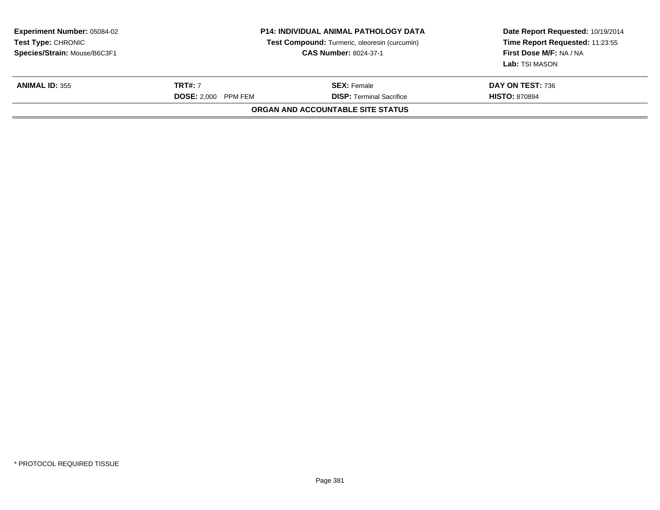| <b>Experiment Number: 05084-02</b><br><b>Test Type: CHRONIC</b><br>Species/Strain: Mouse/B6C3F1 |                                       | <b>P14: INDIVIDUAL ANIMAL PATHOLOGY DATA</b><br>Test Compound: Turmeric, oleoresin (curcumin)<br><b>CAS Number: 8024-37-1</b> | Date Report Requested: 10/19/2014<br>Time Report Requested: 11:23:55<br>First Dose M/F: NA / NA<br>Lab: TSI MASON |
|-------------------------------------------------------------------------------------------------|---------------------------------------|-------------------------------------------------------------------------------------------------------------------------------|-------------------------------------------------------------------------------------------------------------------|
| <b>ANIMAL ID: 355</b>                                                                           | <b>TRT#: 7</b><br>DOSE: 2.000 PPM FEM | <b>SEX:</b> Female<br><b>DISP: Terminal Sacrifice</b>                                                                         | <b>DAY ON TEST: 736</b><br><b>HISTO: 870894</b>                                                                   |
|                                                                                                 |                                       | <b>ORGAN AND ACCOUNTABLE SITE STATUS</b>                                                                                      |                                                                                                                   |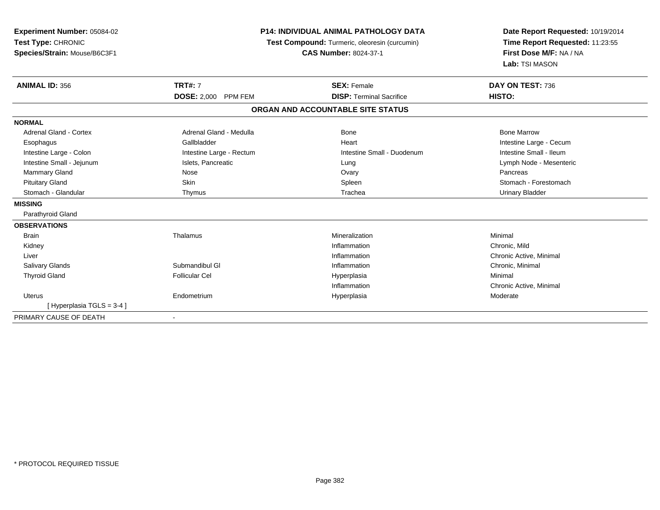| Experiment Number: 05084-02<br>Test Type: CHRONIC<br>Species/Strain: Mouse/B6C3F1 | <b>P14: INDIVIDUAL ANIMAL PATHOLOGY DATA</b><br>Test Compound: Turmeric, oleoresin (curcumin)<br><b>CAS Number: 8024-37-1</b> |                                   | Date Report Requested: 10/19/2014<br>Time Report Requested: 11:23:55<br>First Dose M/F: NA / NA<br>Lab: TSI MASON |
|-----------------------------------------------------------------------------------|-------------------------------------------------------------------------------------------------------------------------------|-----------------------------------|-------------------------------------------------------------------------------------------------------------------|
| <b>ANIMAL ID: 356</b>                                                             | <b>TRT#: 7</b>                                                                                                                | <b>SEX: Female</b>                | DAY ON TEST: 736                                                                                                  |
|                                                                                   | DOSE: 2,000 PPM FEM                                                                                                           | <b>DISP: Terminal Sacrifice</b>   | HISTO:                                                                                                            |
|                                                                                   |                                                                                                                               | ORGAN AND ACCOUNTABLE SITE STATUS |                                                                                                                   |
| <b>NORMAL</b>                                                                     |                                                                                                                               |                                   |                                                                                                                   |
| <b>Adrenal Gland - Cortex</b>                                                     | Adrenal Gland - Medulla                                                                                                       | <b>Bone</b>                       | <b>Bone Marrow</b>                                                                                                |
| Esophagus                                                                         | Gallbladder                                                                                                                   | Heart                             | Intestine Large - Cecum                                                                                           |
| Intestine Large - Colon                                                           | Intestine Large - Rectum                                                                                                      | Intestine Small - Duodenum        | Intestine Small - Ileum                                                                                           |
| Intestine Small - Jejunum                                                         | Islets, Pancreatic                                                                                                            | Lung                              | Lymph Node - Mesenteric                                                                                           |
| Mammary Gland                                                                     | Nose                                                                                                                          | Ovary                             | Pancreas                                                                                                          |
| <b>Pituitary Gland</b>                                                            | Skin                                                                                                                          | Spleen                            | Stomach - Forestomach                                                                                             |
| Stomach - Glandular                                                               | Thymus                                                                                                                        | Trachea                           | <b>Urinary Bladder</b>                                                                                            |
| <b>MISSING</b>                                                                    |                                                                                                                               |                                   |                                                                                                                   |
| Parathyroid Gland                                                                 |                                                                                                                               |                                   |                                                                                                                   |
| <b>OBSERVATIONS</b>                                                               |                                                                                                                               |                                   |                                                                                                                   |
| <b>Brain</b>                                                                      | Thalamus                                                                                                                      | Mineralization                    | Minimal                                                                                                           |
| Kidney                                                                            |                                                                                                                               | Inflammation                      | Chronic, Mild                                                                                                     |
| Liver                                                                             |                                                                                                                               | Inflammation                      | Chronic Active, Minimal                                                                                           |
| <b>Salivary Glands</b>                                                            | Submandibul GI                                                                                                                | Inflammation                      | Chronic, Minimal                                                                                                  |
| <b>Thyroid Gland</b>                                                              | <b>Follicular Cel</b>                                                                                                         | Hyperplasia                       | Minimal                                                                                                           |
|                                                                                   |                                                                                                                               | Inflammation                      | Chronic Active, Minimal                                                                                           |
| Uterus                                                                            | Endometrium                                                                                                                   | Hyperplasia                       | Moderate                                                                                                          |
| [Hyperplasia TGLS = 3-4]                                                          |                                                                                                                               |                                   |                                                                                                                   |
| PRIMARY CAUSE OF DEATH                                                            | ۰                                                                                                                             |                                   |                                                                                                                   |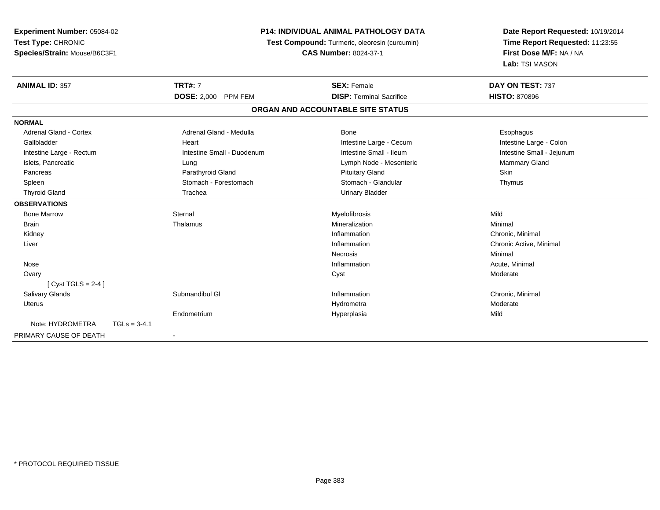| <b>Experiment Number: 05084-02</b> |                |                                               | <b>P14: INDIVIDUAL ANIMAL PATHOLOGY DATA</b> | Date Report Requested: 10/19/2014 |  |
|------------------------------------|----------------|-----------------------------------------------|----------------------------------------------|-----------------------------------|--|
| Test Type: CHRONIC                 |                | Test Compound: Turmeric, oleoresin (curcumin) |                                              | Time Report Requested: 11:23:55   |  |
| Species/Strain: Mouse/B6C3F1       |                |                                               | <b>CAS Number: 8024-37-1</b>                 | First Dose M/F: NA / NA           |  |
|                                    |                |                                               |                                              | Lab: TSI MASON                    |  |
| <b>ANIMAL ID: 357</b>              |                | <b>TRT#: 7</b>                                | <b>SEX: Female</b>                           | DAY ON TEST: 737                  |  |
|                                    |                | <b>DOSE: 2,000</b><br><b>PPM FEM</b>          | <b>DISP: Terminal Sacrifice</b>              | <b>HISTO: 870896</b>              |  |
|                                    |                |                                               | ORGAN AND ACCOUNTABLE SITE STATUS            |                                   |  |
| <b>NORMAL</b>                      |                |                                               |                                              |                                   |  |
| <b>Adrenal Gland - Cortex</b>      |                | Adrenal Gland - Medulla                       | Bone                                         | Esophagus                         |  |
| Gallbladder                        |                | Heart                                         | Intestine Large - Cecum                      | Intestine Large - Colon           |  |
| Intestine Large - Rectum           |                | Intestine Small - Duodenum                    | Intestine Small - Ileum                      | Intestine Small - Jejunum         |  |
| Islets, Pancreatic                 |                | Lung                                          | Lymph Node - Mesenteric                      | Mammary Gland                     |  |
| Pancreas                           |                | Parathyroid Gland                             | <b>Pituitary Gland</b>                       | Skin                              |  |
| Spleen                             |                | Stomach - Forestomach                         | Stomach - Glandular                          | Thymus                            |  |
| <b>Thyroid Gland</b>               |                | Trachea                                       | <b>Urinary Bladder</b>                       |                                   |  |
| <b>OBSERVATIONS</b>                |                |                                               |                                              |                                   |  |
| <b>Bone Marrow</b>                 |                | Sternal                                       | Myelofibrosis                                | Mild                              |  |
| <b>Brain</b>                       |                | Thalamus                                      | Mineralization                               | Minimal                           |  |
| Kidney                             |                |                                               | Inflammation                                 | Chronic, Minimal                  |  |
| Liver                              |                |                                               | Inflammation                                 | Chronic Active, Minimal           |  |
|                                    |                |                                               | <b>Necrosis</b>                              | Minimal                           |  |
| Nose                               |                |                                               | Inflammation                                 | Acute, Minimal                    |  |
| Ovary                              |                |                                               | Cyst                                         | Moderate                          |  |
| [Cyst TGLS = $2-4$ ]               |                |                                               |                                              |                                   |  |
| Salivary Glands                    |                | Submandibul GI                                | Inflammation                                 | Chronic, Minimal                  |  |
| <b>Uterus</b>                      |                |                                               | Hydrometra                                   | Moderate                          |  |
|                                    |                | Endometrium                                   | Hyperplasia                                  | Mild                              |  |
| Note: HYDROMETRA                   | $TGLs = 3-4.1$ |                                               |                                              |                                   |  |
| PRIMARY CAUSE OF DEATH             |                |                                               |                                              |                                   |  |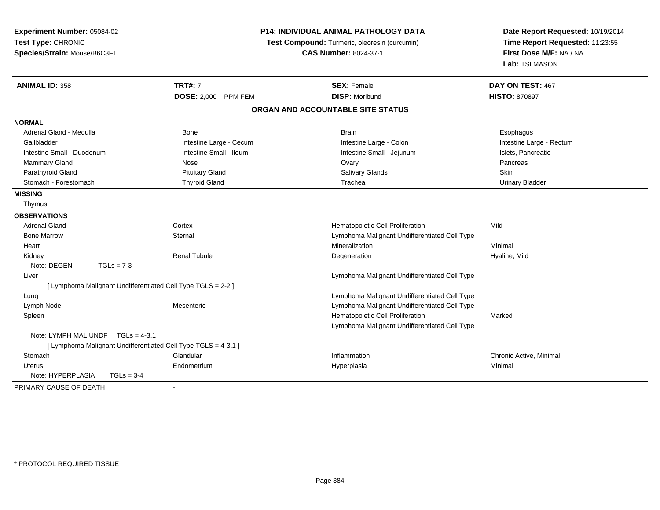| Experiment Number: 05084-02                                    |                         | <b>P14: INDIVIDUAL ANIMAL PATHOLOGY DATA</b>  | Date Report Requested: 10/19/2014                          |  |
|----------------------------------------------------------------|-------------------------|-----------------------------------------------|------------------------------------------------------------|--|
| Test Type: CHRONIC                                             |                         | Test Compound: Turmeric, oleoresin (curcumin) | Time Report Requested: 11:23:55<br>First Dose M/F: NA / NA |  |
| Species/Strain: Mouse/B6C3F1                                   |                         | <b>CAS Number: 8024-37-1</b>                  |                                                            |  |
|                                                                |                         |                                               | Lab: TSI MASON                                             |  |
| <b>ANIMAL ID: 358</b>                                          | <b>TRT#: 7</b>          | <b>SEX: Female</b>                            | DAY ON TEST: 467                                           |  |
|                                                                | DOSE: 2,000 PPM FEM     | <b>DISP: Moribund</b>                         | <b>HISTO: 870897</b>                                       |  |
|                                                                |                         | ORGAN AND ACCOUNTABLE SITE STATUS             |                                                            |  |
| <b>NORMAL</b>                                                  |                         |                                               |                                                            |  |
| Adrenal Gland - Medulla                                        | Bone                    | <b>Brain</b>                                  | Esophagus                                                  |  |
| Gallbladder                                                    | Intestine Large - Cecum | Intestine Large - Colon                       | Intestine Large - Rectum                                   |  |
| Intestine Small - Duodenum                                     | Intestine Small - Ileum | Intestine Small - Jejunum                     | Islets, Pancreatic                                         |  |
| <b>Mammary Gland</b>                                           | Nose                    | Ovary                                         | Pancreas                                                   |  |
| Parathyroid Gland                                              | <b>Pituitary Gland</b>  | Salivary Glands                               | Skin                                                       |  |
| Stomach - Forestomach                                          | <b>Thyroid Gland</b>    | Trachea                                       | <b>Urinary Bladder</b>                                     |  |
| <b>MISSING</b>                                                 |                         |                                               |                                                            |  |
| Thymus                                                         |                         |                                               |                                                            |  |
| <b>OBSERVATIONS</b>                                            |                         |                                               |                                                            |  |
| <b>Adrenal Gland</b>                                           | Cortex                  | Hematopoietic Cell Proliferation              | Mild                                                       |  |
| <b>Bone Marrow</b>                                             | Sternal                 | Lymphoma Malignant Undifferentiated Cell Type |                                                            |  |
| Heart                                                          |                         | Mineralization                                | Minimal                                                    |  |
| Kidney                                                         | <b>Renal Tubule</b>     | Degeneration                                  | Hyaline, Mild                                              |  |
| Note: DEGEN<br>$TGLs = 7-3$                                    |                         |                                               |                                                            |  |
| Liver                                                          |                         | Lymphoma Malignant Undifferentiated Cell Type |                                                            |  |
| [ Lymphoma Malignant Undifferentiated Cell Type TGLS = 2-2 ]   |                         |                                               |                                                            |  |
| Lung                                                           |                         | Lymphoma Malignant Undifferentiated Cell Type |                                                            |  |
| Lymph Node                                                     | Mesenteric              | Lymphoma Malignant Undifferentiated Cell Type |                                                            |  |
| Spleen                                                         |                         | Hematopoietic Cell Proliferation              | Marked                                                     |  |
|                                                                |                         | Lymphoma Malignant Undifferentiated Cell Type |                                                            |  |
| Note: LYMPH MAL UNDF $TGLs = 4-3.1$                            |                         |                                               |                                                            |  |
| [ Lymphoma Malignant Undifferentiated Cell Type TGLS = 4-3.1 ] |                         |                                               |                                                            |  |
| Stomach                                                        | Glandular               | Inflammation                                  | Chronic Active, Minimal                                    |  |
| Uterus                                                         | Endometrium             | Hyperplasia                                   | Minimal                                                    |  |
| Note: HYPERPLASIA<br>$TGLs = 3-4$                              |                         |                                               |                                                            |  |
| PRIMARY CAUSE OF DEATH                                         |                         |                                               |                                                            |  |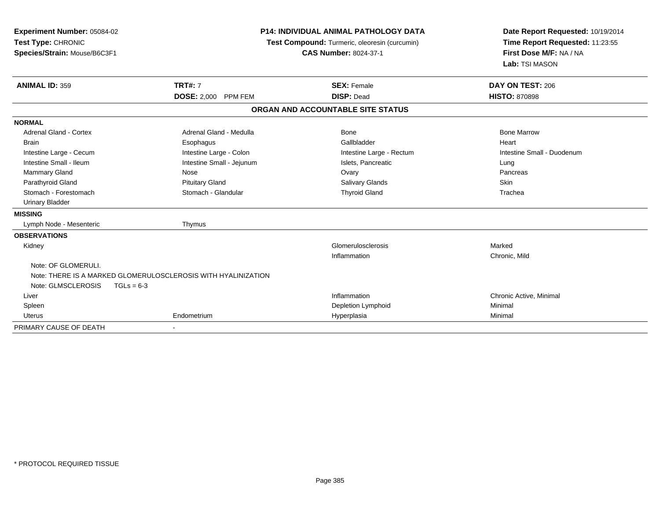| Experiment Number: 05084-02<br>Test Type: CHRONIC<br>Species/Strain: Mouse/B6C3F1 | <b>P14: INDIVIDUAL ANIMAL PATHOLOGY DATA</b><br>Test Compound: Turmeric, oleoresin (curcumin)<br><b>CAS Number: 8024-37-1</b> |                                   | Date Report Requested: 10/19/2014<br>Time Report Requested: 11:23:55<br>First Dose M/F: NA / NA<br>Lab: TSI MASON |
|-----------------------------------------------------------------------------------|-------------------------------------------------------------------------------------------------------------------------------|-----------------------------------|-------------------------------------------------------------------------------------------------------------------|
| <b>ANIMAL ID: 359</b>                                                             | <b>TRT#: 7</b>                                                                                                                | <b>SEX: Female</b>                | DAY ON TEST: 206                                                                                                  |
|                                                                                   | DOSE: 2,000 PPM FEM                                                                                                           | <b>DISP: Dead</b>                 | <b>HISTO: 870898</b>                                                                                              |
|                                                                                   |                                                                                                                               | ORGAN AND ACCOUNTABLE SITE STATUS |                                                                                                                   |
| <b>NORMAL</b>                                                                     |                                                                                                                               |                                   |                                                                                                                   |
| Adrenal Gland - Cortex                                                            | Adrenal Gland - Medulla                                                                                                       | Bone                              | <b>Bone Marrow</b>                                                                                                |
| <b>Brain</b>                                                                      | Esophagus                                                                                                                     | Gallbladder                       | Heart                                                                                                             |
| Intestine Large - Cecum                                                           | Intestine Large - Colon                                                                                                       | Intestine Large - Rectum          | Intestine Small - Duodenum                                                                                        |
| Intestine Small - Ileum                                                           | Intestine Small - Jejunum                                                                                                     | Islets, Pancreatic                | Lung                                                                                                              |
| Mammary Gland                                                                     | Nose                                                                                                                          | Ovary                             | Pancreas                                                                                                          |
| Parathyroid Gland                                                                 | <b>Pituitary Gland</b>                                                                                                        | <b>Salivary Glands</b>            | Skin                                                                                                              |
| Stomach - Forestomach                                                             | Stomach - Glandular                                                                                                           | <b>Thyroid Gland</b>              | Trachea                                                                                                           |
| <b>Urinary Bladder</b>                                                            |                                                                                                                               |                                   |                                                                                                                   |
| <b>MISSING</b>                                                                    |                                                                                                                               |                                   |                                                                                                                   |
| Lymph Node - Mesenteric                                                           | Thymus                                                                                                                        |                                   |                                                                                                                   |
| <b>OBSERVATIONS</b>                                                               |                                                                                                                               |                                   |                                                                                                                   |
| Kidney                                                                            |                                                                                                                               | Glomerulosclerosis                | Marked                                                                                                            |
|                                                                                   |                                                                                                                               | Inflammation                      | Chronic, Mild                                                                                                     |
| Note: OF GLOMERULI.                                                               |                                                                                                                               |                                   |                                                                                                                   |
|                                                                                   | Note: THERE IS A MARKED GLOMERULOSCLEROSIS WITH HYALINIZATION                                                                 |                                   |                                                                                                                   |
| Note: GLMSCLEROSIS                                                                | $TGLs = 6-3$                                                                                                                  |                                   |                                                                                                                   |
| Liver                                                                             |                                                                                                                               | Inflammation                      | Chronic Active, Minimal                                                                                           |
| Spleen                                                                            |                                                                                                                               | Depletion Lymphoid                | Minimal                                                                                                           |
| <b>Uterus</b>                                                                     | Endometrium                                                                                                                   | Hyperplasia                       | Minimal                                                                                                           |
| PRIMARY CAUSE OF DEATH                                                            |                                                                                                                               |                                   |                                                                                                                   |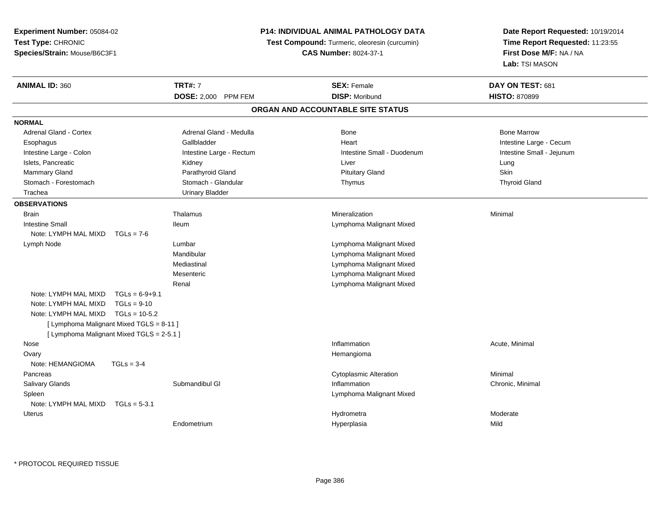**Experiment Number:** 05084-02**Test Type:** CHRONIC**Species/Strain:** Mouse/B6C3F1

## **P14: INDIVIDUAL ANIMAL PATHOLOGY DATA**

 **Test Compound:** Turmeric, oleoresin (curcumin) **CAS Number:** 8024-37-1

**Date Report Requested:** 10/19/2014**Time Report Requested:** 11:23:55**First Dose M/F:** NA / NA**Lab:** TSI MASON

| <b>ANIMAL ID: 360</b>                     |                  | <b>TRT#: 7</b>           | <b>SEX: Female</b>                | DAY ON TEST: 681          |  |
|-------------------------------------------|------------------|--------------------------|-----------------------------------|---------------------------|--|
|                                           |                  | DOSE: 2,000 PPM FEM      | <b>DISP: Moribund</b>             | <b>HISTO: 870899</b>      |  |
|                                           |                  |                          | ORGAN AND ACCOUNTABLE SITE STATUS |                           |  |
| <b>NORMAL</b>                             |                  |                          |                                   |                           |  |
| <b>Adrenal Gland - Cortex</b>             |                  | Adrenal Gland - Medulla  | Bone                              | <b>Bone Marrow</b>        |  |
| Esophagus                                 |                  | Gallbladder              | Heart                             | Intestine Large - Cecum   |  |
| Intestine Large - Colon                   |                  | Intestine Large - Rectum | Intestine Small - Duodenum        | Intestine Small - Jejunum |  |
| Islets, Pancreatic                        |                  | Kidney                   | Liver                             | Lung                      |  |
| <b>Mammary Gland</b>                      |                  | Parathyroid Gland        | <b>Pituitary Gland</b>            | Skin                      |  |
| Stomach - Forestomach                     |                  | Stomach - Glandular      | Thymus                            | <b>Thyroid Gland</b>      |  |
| Trachea                                   |                  | <b>Urinary Bladder</b>   |                                   |                           |  |
| <b>OBSERVATIONS</b>                       |                  |                          |                                   |                           |  |
| <b>Brain</b>                              |                  | Thalamus                 | Mineralization                    | Minimal                   |  |
| <b>Intestine Small</b>                    |                  | <b>Ileum</b>             | Lymphoma Malignant Mixed          |                           |  |
| Note: LYMPH MAL MIXD                      | $TGLs = 7-6$     |                          |                                   |                           |  |
| Lymph Node                                |                  | Lumbar                   | Lymphoma Malignant Mixed          |                           |  |
|                                           |                  | Mandibular               | Lymphoma Malignant Mixed          |                           |  |
|                                           |                  | Mediastinal              | Lymphoma Malignant Mixed          |                           |  |
|                                           |                  | Mesenteric               | Lymphoma Malignant Mixed          |                           |  |
|                                           |                  | Renal                    | Lymphoma Malignant Mixed          |                           |  |
| Note: LYMPH MAL MIXD                      | $TGLs = 6-9+9.1$ |                          |                                   |                           |  |
| Note: LYMPH MAL MIXD                      | $TGLs = 9-10$    |                          |                                   |                           |  |
| Note: LYMPH MAL MIXD                      | $TGLs = 10-5.2$  |                          |                                   |                           |  |
| [ Lymphoma Malignant Mixed TGLS = 8-11 ]  |                  |                          |                                   |                           |  |
| [ Lymphoma Malignant Mixed TGLS = 2-5.1 ] |                  |                          |                                   |                           |  |
| Nose                                      |                  |                          | Inflammation                      | Acute, Minimal            |  |
| Ovary                                     |                  |                          | Hemangioma                        |                           |  |
| Note: HEMANGIOMA                          | $TGLs = 3-4$     |                          |                                   |                           |  |
| Pancreas                                  |                  |                          | <b>Cytoplasmic Alteration</b>     | Minimal                   |  |
| <b>Salivary Glands</b>                    |                  | Submandibul GI           | Inflammation                      | Chronic, Minimal          |  |
| Spleen                                    |                  |                          | Lymphoma Malignant Mixed          |                           |  |
| Note: LYMPH MAL MIXD                      | $TGLs = 5-3.1$   |                          |                                   |                           |  |
| Uterus                                    |                  |                          | Hydrometra                        | Moderate                  |  |
|                                           |                  | Endometrium              |                                   | Mild                      |  |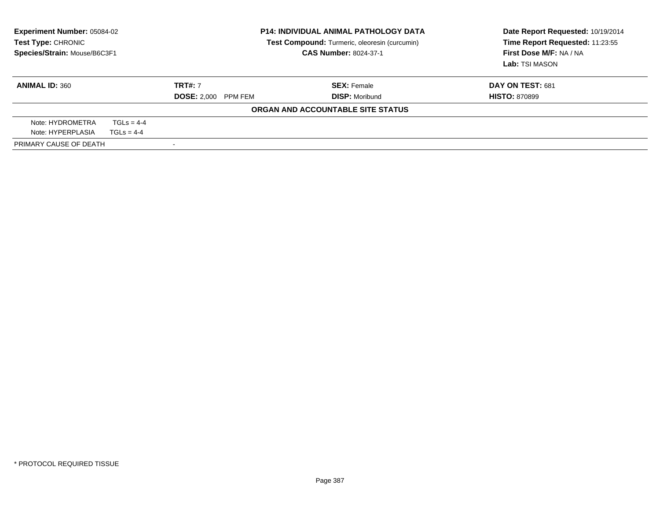| <b>Experiment Number: 05084-02</b><br>Test Type: CHRONIC<br>Species/Strain: Mouse/B6C3F1 |              | <b>P14: INDIVIDUAL ANIMAL PATHOLOGY DATA</b><br>Test Compound: Turmeric, oleoresin (curcumin)<br><b>CAS Number: 8024-37-1</b> |                                   | Date Report Requested: 10/19/2014<br>Time Report Requested: 11:23:55<br>First Dose M/F: NA / NA<br>Lab: TSI MASON |
|------------------------------------------------------------------------------------------|--------------|-------------------------------------------------------------------------------------------------------------------------------|-----------------------------------|-------------------------------------------------------------------------------------------------------------------|
| <b>ANIMAL ID: 360</b>                                                                    |              | <b>TRT#: 7</b>                                                                                                                | <b>SEX: Female</b>                | DAY ON TEST: 681                                                                                                  |
|                                                                                          |              | <b>DOSE: 2,000 PPM FEM</b>                                                                                                    | <b>DISP: Moribund</b>             | <b>HISTO: 870899</b>                                                                                              |
|                                                                                          |              |                                                                                                                               | ORGAN AND ACCOUNTABLE SITE STATUS |                                                                                                                   |
| Note: HYDROMETRA                                                                         | $TGLS = 4-4$ |                                                                                                                               |                                   |                                                                                                                   |
| Note: HYPERPLASIA                                                                        | $TGLS = 4-4$ |                                                                                                                               |                                   |                                                                                                                   |
| PRIMARY CAUSE OF DEATH                                                                   |              |                                                                                                                               |                                   |                                                                                                                   |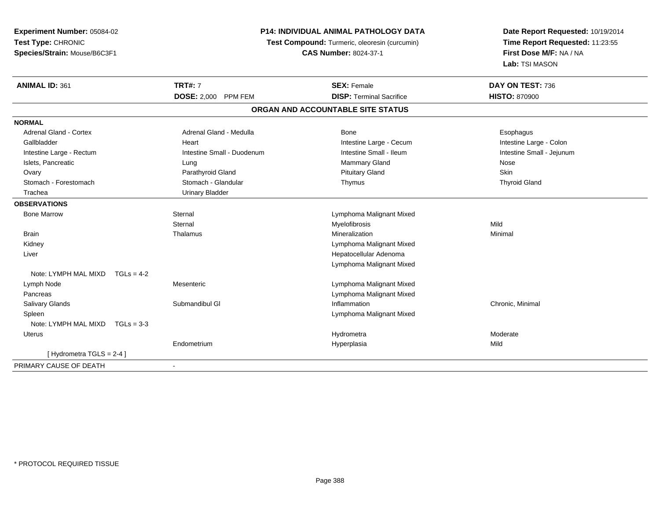| Experiment Number: 05084-02          |                                      | P14: INDIVIDUAL ANIMAL PATHOLOGY DATA         | Date Report Requested: 10/19/2014 |  |
|--------------------------------------|--------------------------------------|-----------------------------------------------|-----------------------------------|--|
| Test Type: CHRONIC                   |                                      | Test Compound: Turmeric, oleoresin (curcumin) | Time Report Requested: 11:23:55   |  |
| Species/Strain: Mouse/B6C3F1         |                                      | <b>CAS Number: 8024-37-1</b>                  | First Dose M/F: NA / NA           |  |
|                                      |                                      |                                               | Lab: TSI MASON                    |  |
| <b>ANIMAL ID: 361</b>                | <b>TRT#: 7</b>                       | <b>SEX: Female</b>                            | DAY ON TEST: 736                  |  |
|                                      | <b>DOSE: 2,000</b><br><b>PPM FEM</b> | <b>DISP: Terminal Sacrifice</b>               | <b>HISTO: 870900</b>              |  |
|                                      |                                      | ORGAN AND ACCOUNTABLE SITE STATUS             |                                   |  |
| <b>NORMAL</b>                        |                                      |                                               |                                   |  |
| <b>Adrenal Gland - Cortex</b>        | Adrenal Gland - Medulla              | Bone                                          | Esophagus                         |  |
| Gallbladder                          | Heart                                | Intestine Large - Cecum                       | Intestine Large - Colon           |  |
| Intestine Large - Rectum             | Intestine Small - Duodenum           | Intestine Small - Ileum                       | Intestine Small - Jejunum         |  |
| Islets, Pancreatic                   | Lung                                 | <b>Mammary Gland</b>                          | Nose                              |  |
| Ovary                                | Parathyroid Gland                    | <b>Pituitary Gland</b>                        | <b>Skin</b>                       |  |
| Stomach - Forestomach                | Stomach - Glandular                  | Thymus                                        | <b>Thyroid Gland</b>              |  |
| Trachea                              | <b>Urinary Bladder</b>               |                                               |                                   |  |
| <b>OBSERVATIONS</b>                  |                                      |                                               |                                   |  |
| <b>Bone Marrow</b>                   | Sternal                              | Lymphoma Malignant Mixed                      |                                   |  |
|                                      | Sternal                              | Myelofibrosis                                 | Mild                              |  |
| <b>Brain</b>                         | Thalamus                             | Mineralization                                | Minimal                           |  |
| Kidney                               |                                      | Lymphoma Malignant Mixed                      |                                   |  |
| Liver                                |                                      | Hepatocellular Adenoma                        |                                   |  |
|                                      |                                      | Lymphoma Malignant Mixed                      |                                   |  |
| Note: LYMPH MAL MIXD $TGLs = 4-2$    |                                      |                                               |                                   |  |
| Lymph Node                           | Mesenteric                           | Lymphoma Malignant Mixed                      |                                   |  |
| Pancreas                             |                                      | Lymphoma Malignant Mixed                      |                                   |  |
| Salivary Glands                      | Submandibul GI                       | Inflammation                                  | Chronic, Minimal                  |  |
| Spleen                               |                                      | Lymphoma Malignant Mixed                      |                                   |  |
| Note: LYMPH MAL MIXD<br>$TGLs = 3-3$ |                                      |                                               |                                   |  |
| <b>Uterus</b>                        |                                      | Hydrometra                                    | Moderate                          |  |
|                                      | Endometrium                          | Hyperplasia                                   | Mild                              |  |
| [Hydrometra TGLS = 2-4]              |                                      |                                               |                                   |  |
| PRIMARY CAUSE OF DEATH               |                                      |                                               |                                   |  |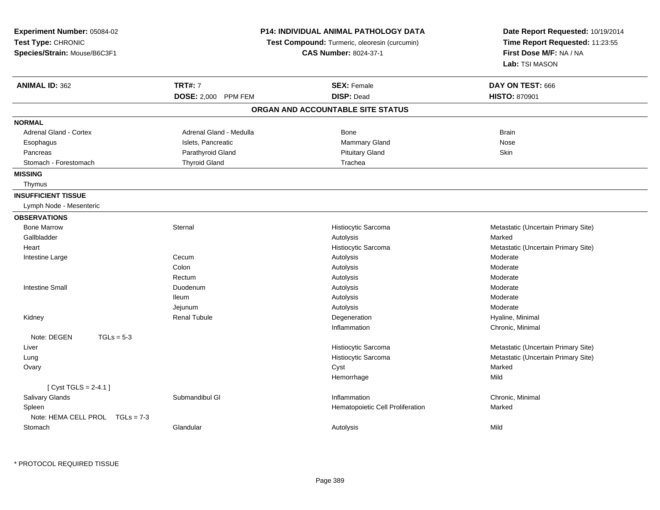| Experiment Number: 05084-02<br>Test Type: CHRONIC<br>Species/Strain: Mouse/B6C3F1 |                         | <b>P14: INDIVIDUAL ANIMAL PATHOLOGY DATA</b><br>Test Compound: Turmeric, oleoresin (curcumin)<br><b>CAS Number: 8024-37-1</b> | Date Report Requested: 10/19/2014<br>Time Report Requested: 11:23:55<br>First Dose M/F: NA / NA<br>Lab: TSI MASON |
|-----------------------------------------------------------------------------------|-------------------------|-------------------------------------------------------------------------------------------------------------------------------|-------------------------------------------------------------------------------------------------------------------|
| <b>ANIMAL ID: 362</b>                                                             | <b>TRT#: 7</b>          | <b>SEX: Female</b>                                                                                                            | DAY ON TEST: 666                                                                                                  |
|                                                                                   | DOSE: 2,000 PPM FEM     | <b>DISP: Dead</b>                                                                                                             | <b>HISTO: 870901</b>                                                                                              |
|                                                                                   |                         | ORGAN AND ACCOUNTABLE SITE STATUS                                                                                             |                                                                                                                   |
| <b>NORMAL</b>                                                                     |                         |                                                                                                                               |                                                                                                                   |
| Adrenal Gland - Cortex                                                            | Adrenal Gland - Medulla | Bone                                                                                                                          | <b>Brain</b>                                                                                                      |
| Esophagus                                                                         | Islets, Pancreatic      | Mammary Gland                                                                                                                 | Nose                                                                                                              |
| Pancreas                                                                          | Parathyroid Gland       | <b>Pituitary Gland</b>                                                                                                        | Skin                                                                                                              |
| Stomach - Forestomach                                                             | <b>Thyroid Gland</b>    | Trachea                                                                                                                       |                                                                                                                   |
| <b>MISSING</b>                                                                    |                         |                                                                                                                               |                                                                                                                   |
| Thymus                                                                            |                         |                                                                                                                               |                                                                                                                   |
| <b>INSUFFICIENT TISSUE</b>                                                        |                         |                                                                                                                               |                                                                                                                   |
| Lymph Node - Mesenteric                                                           |                         |                                                                                                                               |                                                                                                                   |
| <b>OBSERVATIONS</b>                                                               |                         |                                                                                                                               |                                                                                                                   |
| <b>Bone Marrow</b>                                                                | Sternal                 | Histiocytic Sarcoma                                                                                                           | Metastatic (Uncertain Primary Site)                                                                               |
| Gallbladder                                                                       |                         | Autolysis                                                                                                                     | Marked                                                                                                            |
| Heart                                                                             |                         | Histiocytic Sarcoma                                                                                                           | Metastatic (Uncertain Primary Site)                                                                               |
| Intestine Large                                                                   | Cecum                   | Autolysis                                                                                                                     | Moderate                                                                                                          |
|                                                                                   | Colon                   | Autolysis                                                                                                                     | Moderate                                                                                                          |
|                                                                                   | Rectum                  | Autolysis                                                                                                                     | Moderate                                                                                                          |
| <b>Intestine Small</b>                                                            | Duodenum                | Autolysis                                                                                                                     | Moderate                                                                                                          |
|                                                                                   | lleum                   | Autolysis                                                                                                                     | Moderate                                                                                                          |
|                                                                                   | Jejunum                 | Autolysis                                                                                                                     | Moderate                                                                                                          |
| Kidney                                                                            | <b>Renal Tubule</b>     | Degeneration                                                                                                                  | Hyaline, Minimal                                                                                                  |
|                                                                                   |                         | Inflammation                                                                                                                  | Chronic, Minimal                                                                                                  |
| Note: DEGEN<br>$TGLs = 5-3$                                                       |                         |                                                                                                                               |                                                                                                                   |
| Liver                                                                             |                         | Histiocytic Sarcoma                                                                                                           | Metastatic (Uncertain Primary Site)                                                                               |
| Lung                                                                              |                         | Histiocytic Sarcoma                                                                                                           | Metastatic (Uncertain Primary Site)                                                                               |
| Ovary                                                                             |                         | Cyst                                                                                                                          | Marked                                                                                                            |
|                                                                                   |                         | Hemorrhage                                                                                                                    | Mild                                                                                                              |
| [Cyst TGLS = $2-4.1$ ]                                                            |                         |                                                                                                                               |                                                                                                                   |
| Salivary Glands                                                                   | Submandibul GI          | Inflammation                                                                                                                  | Chronic, Minimal                                                                                                  |
| Spleen                                                                            |                         | Hematopoietic Cell Proliferation                                                                                              | Marked                                                                                                            |
| Note: HEMA CELL PROL TGLs = 7-3                                                   |                         |                                                                                                                               |                                                                                                                   |
| Stomach                                                                           | Glandular               | Autolysis                                                                                                                     | Mild                                                                                                              |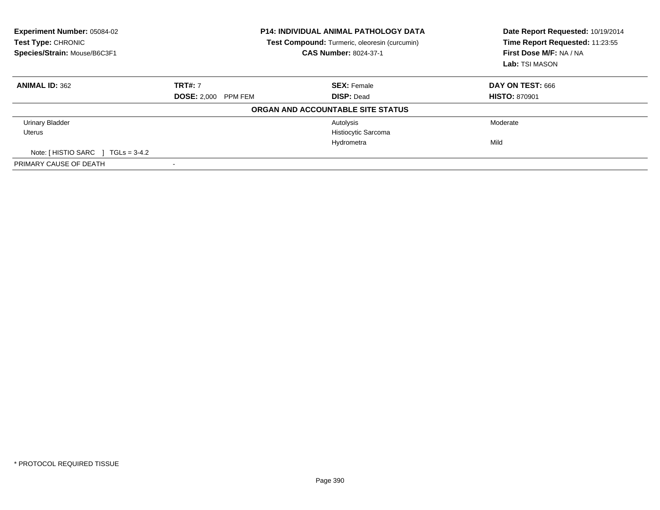| Experiment Number: 05084-02<br><b>Test Type: CHRONIC</b><br>Species/Strain: Mouse/B6C3F1 |                               | <b>P14: INDIVIDUAL ANIMAL PATHOLOGY DATA</b><br><b>Test Compound:</b> Turmeric, oleoresin (curcumin)<br>CAS Number: 8024-37-1 | Date Report Requested: 10/19/2014<br>Time Report Requested: 11:23:55<br>First Dose M/F: NA / NA<br>Lab: TSI MASON |
|------------------------------------------------------------------------------------------|-------------------------------|-------------------------------------------------------------------------------------------------------------------------------|-------------------------------------------------------------------------------------------------------------------|
| <b>ANIMAL ID: 362</b>                                                                    | <b>TRT#: 7</b>                | <b>SEX: Female</b>                                                                                                            | DAY ON TEST: 666                                                                                                  |
|                                                                                          | <b>DOSE: 2.000</b><br>PPM FEM | <b>DISP: Dead</b>                                                                                                             | <b>HISTO: 870901</b>                                                                                              |
|                                                                                          |                               | ORGAN AND ACCOUNTABLE SITE STATUS                                                                                             |                                                                                                                   |
| <b>Urinary Bladder</b>                                                                   |                               | Autolysis                                                                                                                     | Moderate                                                                                                          |
| Uterus                                                                                   |                               | Histiocytic Sarcoma                                                                                                           |                                                                                                                   |
|                                                                                          |                               | Hydrometra                                                                                                                    | Mild                                                                                                              |
| Note: [ HISTIO SARC<br>$TGLs = 3-4.2$                                                    |                               |                                                                                                                               |                                                                                                                   |
| PRIMARY CAUSE OF DEATH                                                                   |                               |                                                                                                                               |                                                                                                                   |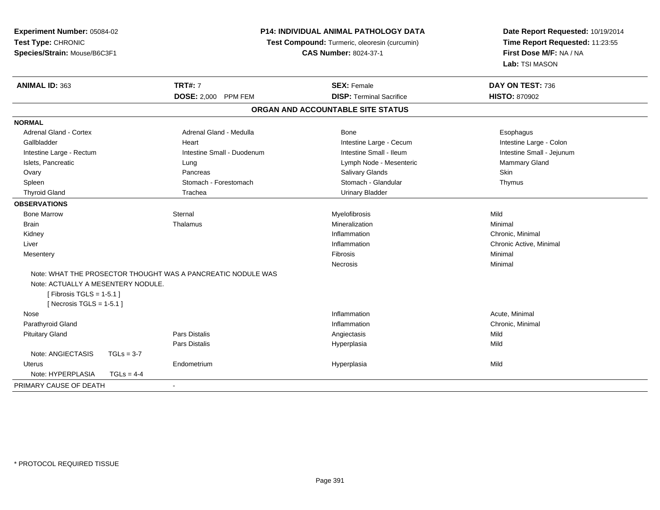| Experiment Number: 05084-02        |              |                                                              | P14: INDIVIDUAL ANIMAL PATHOLOGY DATA         | Date Report Requested: 10/19/2014 |  |
|------------------------------------|--------------|--------------------------------------------------------------|-----------------------------------------------|-----------------------------------|--|
| Test Type: CHRONIC                 |              |                                                              | Test Compound: Turmeric, oleoresin (curcumin) | Time Report Requested: 11:23:55   |  |
| Species/Strain: Mouse/B6C3F1       |              |                                                              | <b>CAS Number: 8024-37-1</b>                  | First Dose M/F: NA / NA           |  |
|                                    |              |                                                              |                                               | Lab: TSI MASON                    |  |
| <b>ANIMAL ID: 363</b>              |              | <b>TRT#: 7</b>                                               | <b>SEX: Female</b>                            | DAY ON TEST: 736                  |  |
|                                    |              | <b>DOSE: 2,000 PPM FEM</b>                                   | <b>DISP: Terminal Sacrifice</b>               | <b>HISTO: 870902</b>              |  |
|                                    |              |                                                              | ORGAN AND ACCOUNTABLE SITE STATUS             |                                   |  |
| <b>NORMAL</b>                      |              |                                                              |                                               |                                   |  |
| <b>Adrenal Gland - Cortex</b>      |              | Adrenal Gland - Medulla                                      | Bone                                          | Esophagus                         |  |
| Gallbladder                        |              | Heart                                                        | Intestine Large - Cecum                       | Intestine Large - Colon           |  |
| Intestine Large - Rectum           |              | Intestine Small - Duodenum                                   | Intestine Small - Ileum                       | Intestine Small - Jejunum         |  |
| Islets, Pancreatic                 |              | Lung                                                         | Lymph Node - Mesenteric                       | <b>Mammary Gland</b>              |  |
| Ovary                              |              | Pancreas                                                     | <b>Salivary Glands</b>                        | <b>Skin</b>                       |  |
| Spleen                             |              | Stomach - Forestomach                                        | Stomach - Glandular                           | Thymus                            |  |
| <b>Thyroid Gland</b>               |              | Trachea                                                      | <b>Urinary Bladder</b>                        |                                   |  |
| <b>OBSERVATIONS</b>                |              |                                                              |                                               |                                   |  |
| <b>Bone Marrow</b>                 |              | Sternal                                                      | Myelofibrosis                                 | Mild                              |  |
| <b>Brain</b>                       |              | Thalamus                                                     | Mineralization                                | Minimal                           |  |
| Kidney                             |              |                                                              | Inflammation                                  | Chronic, Minimal                  |  |
| Liver                              |              |                                                              | Inflammation                                  | Chronic Active, Minimal           |  |
| Mesentery                          |              |                                                              | Fibrosis                                      | Minimal                           |  |
|                                    |              |                                                              | Necrosis                                      | Minimal                           |  |
|                                    |              | Note: WHAT THE PROSECTOR THOUGHT WAS A PANCREATIC NODULE WAS |                                               |                                   |  |
| Note: ACTUALLY A MESENTERY NODULE. |              |                                                              |                                               |                                   |  |
| [Fibrosis TGLS = $1-5.1$ ]         |              |                                                              |                                               |                                   |  |
| [ Necrosis TGLS = $1-5.1$ ]        |              |                                                              |                                               |                                   |  |
| Nose                               |              |                                                              | Inflammation                                  | Acute, Minimal                    |  |
| Parathyroid Gland                  |              |                                                              | Inflammation                                  | Chronic, Minimal                  |  |
| <b>Pituitary Gland</b>             |              | Pars Distalis                                                | Angiectasis                                   | Mild                              |  |
|                                    |              | Pars Distalis                                                | Hyperplasia                                   | Mild                              |  |
| Note: ANGIECTASIS                  | $TGLs = 3-7$ |                                                              |                                               |                                   |  |
| <b>Uterus</b>                      |              | Endometrium                                                  | Hyperplasia                                   | Mild                              |  |
| Note: HYPERPLASIA                  | $TGLS = 4-4$ |                                                              |                                               |                                   |  |
| PRIMARY CAUSE OF DEATH             |              | $\blacksquare$                                               |                                               |                                   |  |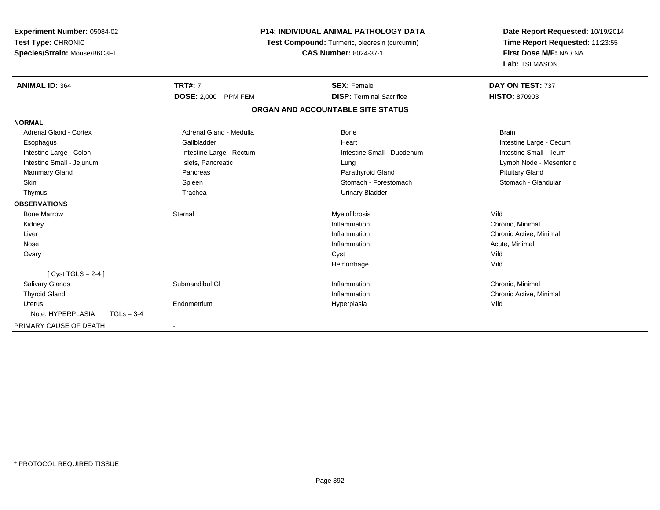| Experiment Number: 05084-02<br>Test Type: CHRONIC<br>Species/Strain: Mouse/B6C3F1 |              |                          | <b>P14: INDIVIDUAL ANIMAL PATHOLOGY DATA</b><br>Test Compound: Turmeric, oleoresin (curcumin)<br><b>CAS Number: 8024-37-1</b> |                                   |  | Date Report Requested: 10/19/2014<br>Time Report Requested: 11:23:55<br>First Dose M/F: NA / NA<br>Lab: TSI MASON |  |
|-----------------------------------------------------------------------------------|--------------|--------------------------|-------------------------------------------------------------------------------------------------------------------------------|-----------------------------------|--|-------------------------------------------------------------------------------------------------------------------|--|
| <b>ANIMAL ID: 364</b>                                                             |              | <b>TRT#: 7</b>           |                                                                                                                               | <b>SEX: Female</b>                |  | DAY ON TEST: 737                                                                                                  |  |
|                                                                                   |              | DOSE: 2,000 PPM FEM      |                                                                                                                               | <b>DISP: Terminal Sacrifice</b>   |  | <b>HISTO: 870903</b>                                                                                              |  |
|                                                                                   |              |                          |                                                                                                                               | ORGAN AND ACCOUNTABLE SITE STATUS |  |                                                                                                                   |  |
| <b>NORMAL</b>                                                                     |              |                          |                                                                                                                               |                                   |  |                                                                                                                   |  |
| <b>Adrenal Gland - Cortex</b>                                                     |              | Adrenal Gland - Medulla  |                                                                                                                               | Bone                              |  | <b>Brain</b>                                                                                                      |  |
| Esophagus                                                                         |              | Gallbladder              |                                                                                                                               | Heart                             |  | Intestine Large - Cecum                                                                                           |  |
| Intestine Large - Colon                                                           |              | Intestine Large - Rectum |                                                                                                                               | Intestine Small - Duodenum        |  | Intestine Small - Ileum                                                                                           |  |
| Intestine Small - Jejunum                                                         |              | Islets, Pancreatic       |                                                                                                                               | Lung                              |  | Lymph Node - Mesenteric                                                                                           |  |
| Mammary Gland                                                                     |              | Pancreas                 |                                                                                                                               | Parathyroid Gland                 |  | <b>Pituitary Gland</b>                                                                                            |  |
| Skin                                                                              |              | Spleen                   |                                                                                                                               | Stomach - Forestomach             |  | Stomach - Glandular                                                                                               |  |
| Thymus                                                                            |              | Trachea                  |                                                                                                                               | <b>Urinary Bladder</b>            |  |                                                                                                                   |  |
| <b>OBSERVATIONS</b>                                                               |              |                          |                                                                                                                               |                                   |  |                                                                                                                   |  |
| <b>Bone Marrow</b>                                                                |              | Sternal                  |                                                                                                                               | Myelofibrosis                     |  | Mild                                                                                                              |  |
| Kidney                                                                            |              |                          |                                                                                                                               | Inflammation                      |  | Chronic, Minimal                                                                                                  |  |
| Liver                                                                             |              |                          |                                                                                                                               | Inflammation                      |  | Chronic Active, Minimal                                                                                           |  |
| Nose                                                                              |              |                          |                                                                                                                               | Inflammation                      |  | Acute, Minimal                                                                                                    |  |
| Ovary                                                                             |              |                          |                                                                                                                               | Cyst                              |  | Mild                                                                                                              |  |
|                                                                                   |              |                          |                                                                                                                               | Hemorrhage                        |  | Mild                                                                                                              |  |
| [Cyst TGLS = $2-4$ ]                                                              |              |                          |                                                                                                                               |                                   |  |                                                                                                                   |  |
| <b>Salivary Glands</b>                                                            |              | Submandibul GI           |                                                                                                                               | Inflammation                      |  | Chronic, Minimal                                                                                                  |  |
| <b>Thyroid Gland</b>                                                              |              |                          |                                                                                                                               | Inflammation                      |  | Chronic Active, Minimal                                                                                           |  |
| <b>Uterus</b>                                                                     |              | Endometrium              |                                                                                                                               | Hyperplasia                       |  | Mild                                                                                                              |  |
| Note: HYPERPLASIA                                                                 | $TGLs = 3-4$ |                          |                                                                                                                               |                                   |  |                                                                                                                   |  |
| PRIMARY CAUSE OF DEATH                                                            |              | $\blacksquare$           |                                                                                                                               |                                   |  |                                                                                                                   |  |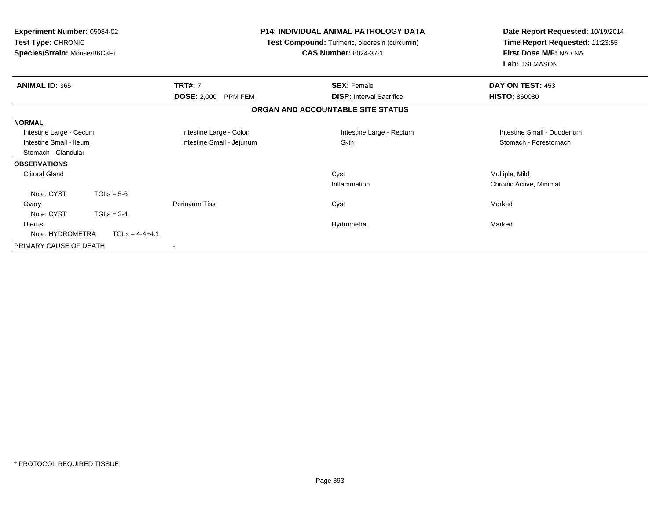| <b>Experiment Number: 05084-02</b><br>Test Type: CHRONIC<br>Species/Strain: Mouse/B6C3F1 |                  | <b>P14: INDIVIDUAL ANIMAL PATHOLOGY DATA</b><br>Test Compound: Turmeric, oleoresin (curcumin)<br><b>CAS Number: 8024-37-1</b> |                                   | Date Report Requested: 10/19/2014<br>Time Report Requested: 11:23:55<br>First Dose M/F: NA / NA<br>Lab: TSI MASON |  |
|------------------------------------------------------------------------------------------|------------------|-------------------------------------------------------------------------------------------------------------------------------|-----------------------------------|-------------------------------------------------------------------------------------------------------------------|--|
| <b>ANIMAL ID: 365</b>                                                                    |                  | <b>TRT#: 7</b>                                                                                                                | <b>SEX: Female</b>                | DAY ON TEST: 453                                                                                                  |  |
|                                                                                          |                  | <b>DOSE: 2,000</b><br>PPM FEM                                                                                                 | <b>DISP:</b> Interval Sacrifice   | <b>HISTO: 860080</b>                                                                                              |  |
|                                                                                          |                  |                                                                                                                               | ORGAN AND ACCOUNTABLE SITE STATUS |                                                                                                                   |  |
| <b>NORMAL</b>                                                                            |                  |                                                                                                                               |                                   |                                                                                                                   |  |
| Intestine Large - Cecum                                                                  |                  | Intestine Large - Colon                                                                                                       | Intestine Large - Rectum          | Intestine Small - Duodenum                                                                                        |  |
| Intestine Small - Ileum                                                                  |                  | Intestine Small - Jejunum                                                                                                     | Skin                              | Stomach - Forestomach                                                                                             |  |
| Stomach - Glandular                                                                      |                  |                                                                                                                               |                                   |                                                                                                                   |  |
| <b>OBSERVATIONS</b>                                                                      |                  |                                                                                                                               |                                   |                                                                                                                   |  |
| <b>Clitoral Gland</b>                                                                    |                  |                                                                                                                               | Cyst                              | Multiple, Mild                                                                                                    |  |
|                                                                                          |                  |                                                                                                                               | Inflammation                      | Chronic Active, Minimal                                                                                           |  |
| Note: CYST                                                                               | $TGLs = 5-6$     |                                                                                                                               |                                   |                                                                                                                   |  |
| Ovary                                                                                    |                  | Periovarn Tiss                                                                                                                | Cyst                              | Marked                                                                                                            |  |
| Note: CYST                                                                               | $TGLs = 3-4$     |                                                                                                                               |                                   |                                                                                                                   |  |
| Uterus                                                                                   |                  |                                                                                                                               | Hydrometra                        | Marked                                                                                                            |  |
| Note: HYDROMETRA                                                                         | $TGLs = 4-4+4.1$ |                                                                                                                               |                                   |                                                                                                                   |  |
| PRIMARY CAUSE OF DEATH                                                                   |                  |                                                                                                                               |                                   |                                                                                                                   |  |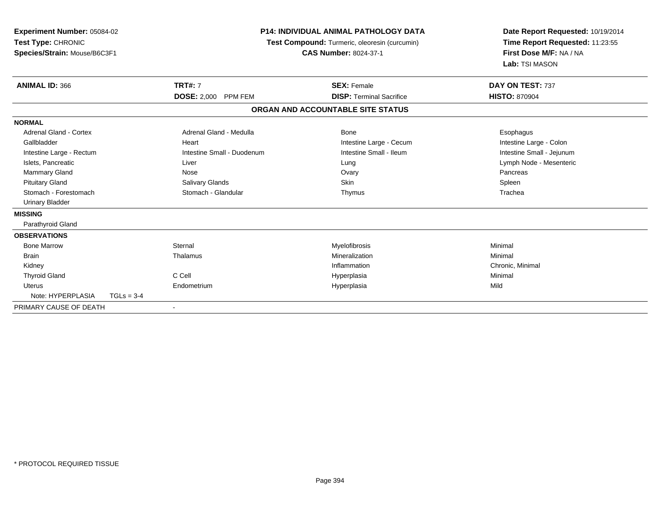| Experiment Number: 05084-02<br>Test Type: CHRONIC<br>Species/Strain: Mouse/B6C3F1 |              |                            | <b>P14: INDIVIDUAL ANIMAL PATHOLOGY DATA</b><br>Test Compound: Turmeric, oleoresin (curcumin)<br><b>CAS Number: 8024-37-1</b> |                                   |  | Date Report Requested: 10/19/2014<br>Time Report Requested: 11:23:55<br>First Dose M/F: NA / NA<br>Lab: TSI MASON |
|-----------------------------------------------------------------------------------|--------------|----------------------------|-------------------------------------------------------------------------------------------------------------------------------|-----------------------------------|--|-------------------------------------------------------------------------------------------------------------------|
| <b>ANIMAL ID: 366</b>                                                             |              | <b>TRT#: 7</b>             |                                                                                                                               | <b>SEX: Female</b>                |  | DAY ON TEST: 737                                                                                                  |
|                                                                                   |              | DOSE: 2,000 PPM FEM        |                                                                                                                               | <b>DISP: Terminal Sacrifice</b>   |  | <b>HISTO: 870904</b>                                                                                              |
|                                                                                   |              |                            |                                                                                                                               | ORGAN AND ACCOUNTABLE SITE STATUS |  |                                                                                                                   |
| <b>NORMAL</b>                                                                     |              |                            |                                                                                                                               |                                   |  |                                                                                                                   |
| Adrenal Gland - Cortex                                                            |              | Adrenal Gland - Medulla    |                                                                                                                               | Bone                              |  | Esophagus                                                                                                         |
| Gallbladder                                                                       |              | Heart                      |                                                                                                                               | Intestine Large - Cecum           |  | Intestine Large - Colon                                                                                           |
| Intestine Large - Rectum                                                          |              | Intestine Small - Duodenum |                                                                                                                               | Intestine Small - Ileum           |  | Intestine Small - Jejunum                                                                                         |
| Islets, Pancreatic                                                                |              | Liver                      |                                                                                                                               | Lung                              |  | Lymph Node - Mesenteric                                                                                           |
| <b>Mammary Gland</b>                                                              |              | Nose                       |                                                                                                                               | Ovary                             |  | Pancreas                                                                                                          |
| <b>Pituitary Gland</b>                                                            |              | <b>Salivary Glands</b>     |                                                                                                                               | <b>Skin</b>                       |  | Spleen                                                                                                            |
| Stomach - Forestomach                                                             |              | Stomach - Glandular        |                                                                                                                               | Thymus                            |  | Trachea                                                                                                           |
| <b>Urinary Bladder</b>                                                            |              |                            |                                                                                                                               |                                   |  |                                                                                                                   |
| <b>MISSING</b>                                                                    |              |                            |                                                                                                                               |                                   |  |                                                                                                                   |
| Parathyroid Gland                                                                 |              |                            |                                                                                                                               |                                   |  |                                                                                                                   |
| <b>OBSERVATIONS</b>                                                               |              |                            |                                                                                                                               |                                   |  |                                                                                                                   |
| <b>Bone Marrow</b>                                                                |              | Sternal                    |                                                                                                                               | Myelofibrosis                     |  | Minimal                                                                                                           |
| <b>Brain</b>                                                                      |              | Thalamus                   |                                                                                                                               | Mineralization                    |  | Minimal                                                                                                           |
| Kidney                                                                            |              |                            |                                                                                                                               | Inflammation                      |  | Chronic, Minimal                                                                                                  |
| <b>Thyroid Gland</b>                                                              |              | C Cell                     |                                                                                                                               | Hyperplasia                       |  | Minimal                                                                                                           |
| Uterus                                                                            |              | Endometrium                |                                                                                                                               | Hyperplasia                       |  | Mild                                                                                                              |
| Note: HYPERPLASIA                                                                 | $TGLs = 3-4$ |                            |                                                                                                                               |                                   |  |                                                                                                                   |
| PRIMARY CAUSE OF DEATH                                                            |              |                            |                                                                                                                               |                                   |  |                                                                                                                   |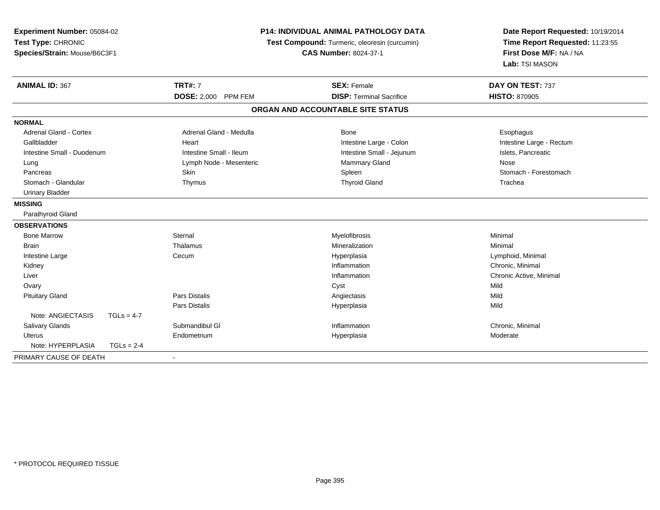| Experiment Number: 05084-02   |              |                         | P14: INDIVIDUAL ANIMAL PATHOLOGY DATA         | Date Report Requested: 10/19/2014 |  |
|-------------------------------|--------------|-------------------------|-----------------------------------------------|-----------------------------------|--|
| Test Type: CHRONIC            |              |                         | Test Compound: Turmeric, oleoresin (curcumin) | Time Report Requested: 11:23:55   |  |
| Species/Strain: Mouse/B6C3F1  |              |                         | <b>CAS Number: 8024-37-1</b>                  | First Dose M/F: NA / NA           |  |
|                               |              |                         |                                               | Lab: TSI MASON                    |  |
| <b>ANIMAL ID: 367</b>         |              | <b>TRT#: 7</b>          | <b>SEX: Female</b>                            | DAY ON TEST: 737                  |  |
|                               |              | DOSE: 2,000 PPM FEM     | <b>DISP: Terminal Sacrifice</b>               | <b>HISTO: 870905</b>              |  |
|                               |              |                         | ORGAN AND ACCOUNTABLE SITE STATUS             |                                   |  |
| <b>NORMAL</b>                 |              |                         |                                               |                                   |  |
| <b>Adrenal Gland - Cortex</b> |              | Adrenal Gland - Medulla | Bone                                          | Esophagus                         |  |
| Gallbladder                   |              | Heart                   | Intestine Large - Colon                       | Intestine Large - Rectum          |  |
| Intestine Small - Duodenum    |              | Intestine Small - Ileum | Intestine Small - Jejunum                     | Islets, Pancreatic                |  |
| Lung                          |              | Lymph Node - Mesenteric | Mammary Gland                                 | Nose                              |  |
| Pancreas                      |              | Skin                    | Spleen                                        | Stomach - Forestomach             |  |
| Stomach - Glandular           |              | Thymus                  | <b>Thyroid Gland</b>                          | Trachea                           |  |
| <b>Urinary Bladder</b>        |              |                         |                                               |                                   |  |
| <b>MISSING</b>                |              |                         |                                               |                                   |  |
| Parathyroid Gland             |              |                         |                                               |                                   |  |
| <b>OBSERVATIONS</b>           |              |                         |                                               |                                   |  |
| <b>Bone Marrow</b>            |              | Sternal                 | Myelofibrosis                                 | Minimal                           |  |
| <b>Brain</b>                  |              | Thalamus                | Mineralization                                | Minimal                           |  |
| Intestine Large               |              | Cecum                   | Hyperplasia                                   | Lymphoid, Minimal                 |  |
| Kidney                        |              |                         | Inflammation                                  | Chronic, Minimal                  |  |
| Liver                         |              |                         | Inflammation                                  | Chronic Active, Minimal           |  |
| Ovary                         |              |                         | Cyst                                          | Mild                              |  |
| <b>Pituitary Gland</b>        |              | Pars Distalis           | Angiectasis                                   | Mild                              |  |
|                               |              | Pars Distalis           | Hyperplasia                                   | Mild                              |  |
| Note: ANGIECTASIS             | $TGLs = 4-7$ |                         |                                               |                                   |  |
| Salivary Glands               |              | Submandibul GI          | Inflammation                                  | Chronic, Minimal                  |  |
| <b>Uterus</b>                 |              | Endometrium             | Hyperplasia                                   | Moderate                          |  |
| Note: HYPERPLASIA             | $TGLs = 2-4$ |                         |                                               |                                   |  |
| PRIMARY CAUSE OF DEATH        |              |                         |                                               |                                   |  |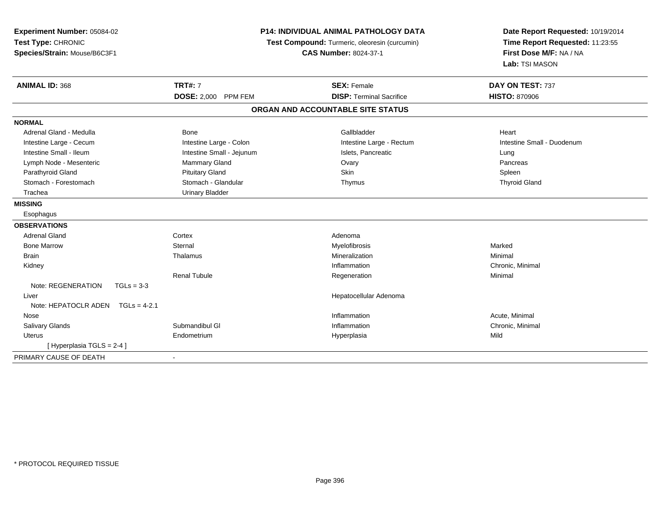| Experiment Number: 05084-02<br>Test Type: CHRONIC<br>Species/Strain: Mouse/B6C3F1 |                           | <b>P14: INDIVIDUAL ANIMAL PATHOLOGY DATA</b><br>Test Compound: Turmeric, oleoresin (curcumin)<br><b>CAS Number: 8024-37-1</b> | Date Report Requested: 10/19/2014<br>Time Report Requested: 11:23:55<br>First Dose M/F: NA / NA<br>Lab: TSI MASON |  |
|-----------------------------------------------------------------------------------|---------------------------|-------------------------------------------------------------------------------------------------------------------------------|-------------------------------------------------------------------------------------------------------------------|--|
| <b>ANIMAL ID: 368</b>                                                             | <b>TRT#: 7</b>            | <b>SEX: Female</b>                                                                                                            | DAY ON TEST: 737                                                                                                  |  |
|                                                                                   | DOSE: 2,000 PPM FEM       | <b>DISP: Terminal Sacrifice</b>                                                                                               | <b>HISTO: 870906</b>                                                                                              |  |
|                                                                                   |                           | ORGAN AND ACCOUNTABLE SITE STATUS                                                                                             |                                                                                                                   |  |
| <b>NORMAL</b>                                                                     |                           |                                                                                                                               |                                                                                                                   |  |
| Adrenal Gland - Medulla                                                           | <b>Bone</b>               | Gallbladder                                                                                                                   | Heart                                                                                                             |  |
| Intestine Large - Cecum                                                           | Intestine Large - Colon   | Intestine Large - Rectum                                                                                                      | Intestine Small - Duodenum                                                                                        |  |
| Intestine Small - Ileum                                                           | Intestine Small - Jejunum | Islets, Pancreatic                                                                                                            | Lung                                                                                                              |  |
| Lymph Node - Mesenteric                                                           | <b>Mammary Gland</b>      | Ovary                                                                                                                         | Pancreas                                                                                                          |  |
| Parathyroid Gland                                                                 | <b>Pituitary Gland</b>    | Skin                                                                                                                          | Spleen                                                                                                            |  |
| Stomach - Forestomach                                                             | Stomach - Glandular       | Thymus                                                                                                                        | <b>Thyroid Gland</b>                                                                                              |  |
| Trachea                                                                           | <b>Urinary Bladder</b>    |                                                                                                                               |                                                                                                                   |  |
| <b>MISSING</b>                                                                    |                           |                                                                                                                               |                                                                                                                   |  |
| Esophagus                                                                         |                           |                                                                                                                               |                                                                                                                   |  |
| <b>OBSERVATIONS</b>                                                               |                           |                                                                                                                               |                                                                                                                   |  |
| <b>Adrenal Gland</b>                                                              | Cortex                    | Adenoma                                                                                                                       |                                                                                                                   |  |
| <b>Bone Marrow</b>                                                                | Sternal                   | Myelofibrosis                                                                                                                 | Marked                                                                                                            |  |
| <b>Brain</b>                                                                      | Thalamus                  | Mineralization                                                                                                                | Minimal                                                                                                           |  |
| Kidney                                                                            |                           | Inflammation                                                                                                                  | Chronic, Minimal                                                                                                  |  |
|                                                                                   | <b>Renal Tubule</b>       | Regeneration                                                                                                                  | Minimal                                                                                                           |  |
| Note: REGENERATION<br>$TGLs = 3-3$                                                |                           |                                                                                                                               |                                                                                                                   |  |
| Liver                                                                             |                           | Hepatocellular Adenoma                                                                                                        |                                                                                                                   |  |
| Note: HEPATOCLR ADEN TGLs = 4-2.1                                                 |                           |                                                                                                                               |                                                                                                                   |  |
| Nose                                                                              |                           | Inflammation                                                                                                                  | Acute, Minimal                                                                                                    |  |
| <b>Salivary Glands</b>                                                            | Submandibul GI            | Inflammation                                                                                                                  | Chronic, Minimal                                                                                                  |  |
| <b>Uterus</b>                                                                     | Endometrium               | Hyperplasia                                                                                                                   | Mild                                                                                                              |  |
| [ Hyperplasia TGLS = 2-4 ]                                                        |                           |                                                                                                                               |                                                                                                                   |  |
| PRIMARY CAUSE OF DEATH                                                            |                           |                                                                                                                               |                                                                                                                   |  |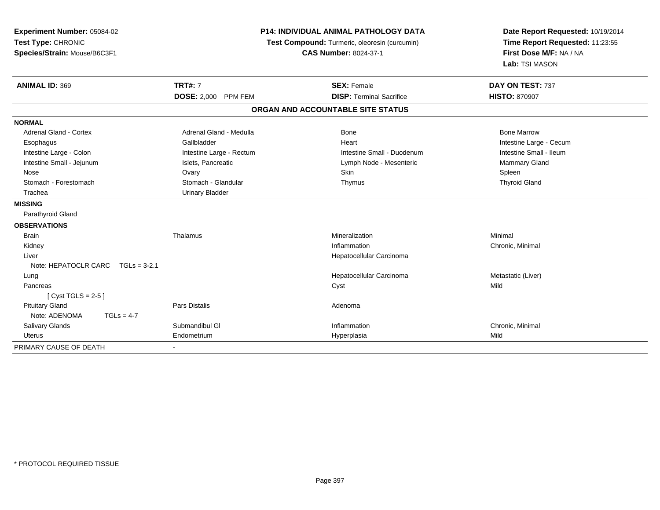| Experiment Number: 05084-02<br>Test Type: CHRONIC<br>Species/Strain: Mouse/B6C3F1 |                                     |                          | <b>P14: INDIVIDUAL ANIMAL PATHOLOGY DATA</b><br>Test Compound: Turmeric, oleoresin (curcumin)<br><b>CAS Number: 8024-37-1</b> | Date Report Requested: 10/19/2014<br>Time Report Requested: 11:23:55<br>First Dose M/F: NA / NA<br>Lab: TSI MASON |  |
|-----------------------------------------------------------------------------------|-------------------------------------|--------------------------|-------------------------------------------------------------------------------------------------------------------------------|-------------------------------------------------------------------------------------------------------------------|--|
| <b>ANIMAL ID: 369</b>                                                             |                                     | <b>TRT#: 7</b>           | <b>SEX: Female</b>                                                                                                            | DAY ON TEST: 737                                                                                                  |  |
|                                                                                   |                                     | DOSE: 2,000 PPM FEM      | <b>DISP: Terminal Sacrifice</b>                                                                                               | <b>HISTO: 870907</b>                                                                                              |  |
|                                                                                   |                                     |                          | ORGAN AND ACCOUNTABLE SITE STATUS                                                                                             |                                                                                                                   |  |
| <b>NORMAL</b>                                                                     |                                     |                          |                                                                                                                               |                                                                                                                   |  |
| <b>Adrenal Gland - Cortex</b>                                                     |                                     | Adrenal Gland - Medulla  | <b>Bone</b>                                                                                                                   | <b>Bone Marrow</b>                                                                                                |  |
| Esophagus                                                                         |                                     | Gallbladder              | Heart                                                                                                                         | Intestine Large - Cecum                                                                                           |  |
| Intestine Large - Colon                                                           |                                     | Intestine Large - Rectum | Intestine Small - Duodenum                                                                                                    | Intestine Small - Ileum                                                                                           |  |
| Intestine Small - Jejunum                                                         |                                     | Islets, Pancreatic       | Lymph Node - Mesenteric                                                                                                       | Mammary Gland                                                                                                     |  |
| Nose                                                                              |                                     | Ovary                    | <b>Skin</b>                                                                                                                   | Spleen                                                                                                            |  |
| Stomach - Forestomach                                                             |                                     | Stomach - Glandular      | Thymus                                                                                                                        | <b>Thyroid Gland</b>                                                                                              |  |
| Trachea                                                                           |                                     | <b>Urinary Bladder</b>   |                                                                                                                               |                                                                                                                   |  |
| <b>MISSING</b>                                                                    |                                     |                          |                                                                                                                               |                                                                                                                   |  |
| Parathyroid Gland                                                                 |                                     |                          |                                                                                                                               |                                                                                                                   |  |
| <b>OBSERVATIONS</b>                                                               |                                     |                          |                                                                                                                               |                                                                                                                   |  |
| <b>Brain</b>                                                                      |                                     | Thalamus                 | Mineralization                                                                                                                | Minimal                                                                                                           |  |
| Kidney                                                                            |                                     |                          | Inflammation                                                                                                                  | Chronic, Minimal                                                                                                  |  |
| Liver                                                                             |                                     |                          | Hepatocellular Carcinoma                                                                                                      |                                                                                                                   |  |
|                                                                                   | Note: HEPATOCLR CARC $TGLs = 3-2.1$ |                          |                                                                                                                               |                                                                                                                   |  |
| Lung                                                                              |                                     |                          | Hepatocellular Carcinoma                                                                                                      | Metastatic (Liver)                                                                                                |  |
| Pancreas                                                                          |                                     |                          | Cyst                                                                                                                          | Mild                                                                                                              |  |
| [Cyst TGLS = $2-5$ ]                                                              |                                     |                          |                                                                                                                               |                                                                                                                   |  |
| <b>Pituitary Gland</b>                                                            |                                     | <b>Pars Distalis</b>     | Adenoma                                                                                                                       |                                                                                                                   |  |
| Note: ADENOMA                                                                     | $TGLs = 4-7$                        |                          |                                                                                                                               |                                                                                                                   |  |
| <b>Salivary Glands</b>                                                            |                                     | Submandibul GI           | Inflammation                                                                                                                  | Chronic, Minimal                                                                                                  |  |
| <b>Uterus</b>                                                                     |                                     | Endometrium              | Hyperplasia                                                                                                                   | Mild                                                                                                              |  |
| PRIMARY CAUSE OF DEATH                                                            |                                     |                          |                                                                                                                               |                                                                                                                   |  |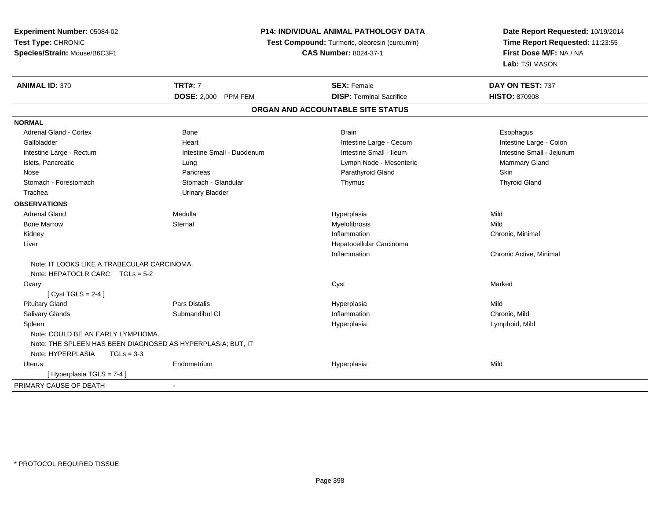| Experiment Number: 05084-02                                 |                                                                               | P14: INDIVIDUAL ANIMAL PATHOLOGY DATA | Date Report Requested: 10/19/2014                          |  |
|-------------------------------------------------------------|-------------------------------------------------------------------------------|---------------------------------------|------------------------------------------------------------|--|
| Test Type: CHRONIC                                          | Test Compound: Turmeric, oleoresin (curcumin)<br><b>CAS Number: 8024-37-1</b> |                                       | Time Report Requested: 11:23:55<br>First Dose M/F: NA / NA |  |
| Species/Strain: Mouse/B6C3F1                                |                                                                               |                                       |                                                            |  |
|                                                             |                                                                               |                                       | Lab: TSI MASON                                             |  |
| <b>ANIMAL ID: 370</b>                                       | <b>TRT#: 7</b>                                                                | <b>SEX: Female</b>                    | DAY ON TEST: 737                                           |  |
|                                                             | <b>DOSE: 2,000 PPM FEM</b>                                                    | <b>DISP: Terminal Sacrifice</b>       | <b>HISTO: 870908</b>                                       |  |
|                                                             |                                                                               | ORGAN AND ACCOUNTABLE SITE STATUS     |                                                            |  |
| <b>NORMAL</b>                                               |                                                                               |                                       |                                                            |  |
| <b>Adrenal Gland - Cortex</b>                               | <b>Bone</b>                                                                   | <b>Brain</b>                          | Esophagus                                                  |  |
| Gallbladder                                                 | Heart                                                                         | Intestine Large - Cecum               | Intestine Large - Colon                                    |  |
| Intestine Large - Rectum                                    | Intestine Small - Duodenum                                                    | Intestine Small - Ileum               | Intestine Small - Jejunum                                  |  |
| Islets, Pancreatic                                          | Lung                                                                          | Lymph Node - Mesenteric               | Mammary Gland                                              |  |
| Nose                                                        | Pancreas                                                                      | Parathyroid Gland                     | <b>Skin</b>                                                |  |
| Stomach - Forestomach                                       | Stomach - Glandular                                                           | Thymus                                | <b>Thyroid Gland</b>                                       |  |
| Trachea                                                     | <b>Urinary Bladder</b>                                                        |                                       |                                                            |  |
| <b>OBSERVATIONS</b>                                         |                                                                               |                                       |                                                            |  |
| <b>Adrenal Gland</b>                                        | Medulla                                                                       | Hyperplasia                           | Mild                                                       |  |
| <b>Bone Marrow</b>                                          | Sternal                                                                       | Myelofibrosis                         | Mild                                                       |  |
| Kidney                                                      |                                                                               | Inflammation                          | Chronic, Minimal                                           |  |
| Liver                                                       |                                                                               | Hepatocellular Carcinoma              |                                                            |  |
|                                                             |                                                                               | Inflammation                          | Chronic Active, Minimal                                    |  |
| Note: IT LOOKS LIKE A TRABECULAR CARCINOMA.                 |                                                                               |                                       |                                                            |  |
| Note: HEPATOCLR CARC TGLs = 5-2                             |                                                                               |                                       |                                                            |  |
| Ovary                                                       |                                                                               | Cyst                                  | Marked                                                     |  |
| [Cyst TGLS = $2-4$ ]                                        |                                                                               |                                       |                                                            |  |
| <b>Pituitary Gland</b>                                      | Pars Distalis                                                                 | Hyperplasia                           | Mild                                                       |  |
| Salivary Glands                                             | Submandibul GI                                                                | Inflammation                          | Chronic, Mild                                              |  |
| Spleen                                                      |                                                                               | Hyperplasia                           | Lymphoid, Mild                                             |  |
| Note: COULD BE AN EARLY LYMPHOMA.                           |                                                                               |                                       |                                                            |  |
| Note: THE SPLEEN HAS BEEN DIAGNOSED AS HYPERPLASIA; BUT, IT |                                                                               |                                       |                                                            |  |
| Note: HYPERPLASIA<br>$TGLs = 3-3$                           |                                                                               |                                       |                                                            |  |
| Uterus                                                      | Endometrium                                                                   | Hyperplasia                           | Mild                                                       |  |
| [Hyperplasia TGLS = 7-4]                                    |                                                                               |                                       |                                                            |  |
| PRIMARY CAUSE OF DEATH                                      | $\blacksquare$                                                                |                                       |                                                            |  |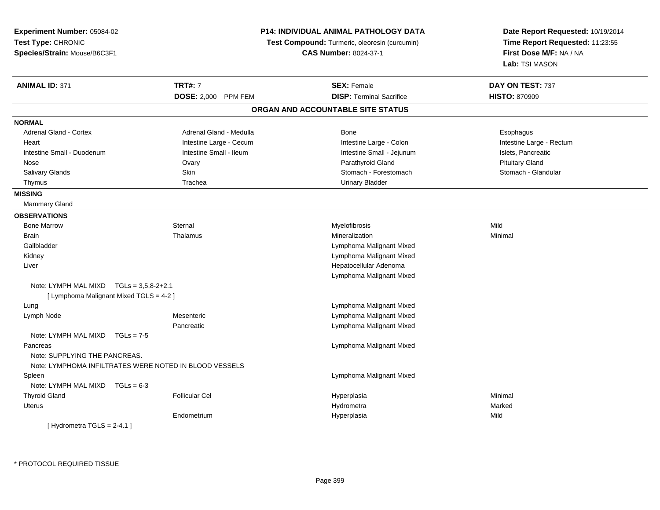| Experiment Number: 05084-02               |                                                        | <b>P14: INDIVIDUAL ANIMAL PATHOLOGY DATA</b>         | Date Report Requested: 10/19/2014         |  |
|-------------------------------------------|--------------------------------------------------------|------------------------------------------------------|-------------------------------------------|--|
| Test Type: CHRONIC                        |                                                        | <b>Test Compound:</b> Turmeric, oleoresin (curcumin) | Time Report Requested: 11:23:55           |  |
| Species/Strain: Mouse/B6C3F1              |                                                        | <b>CAS Number: 8024-37-1</b>                         | First Dose M/F: NA / NA<br>Lab: TSI MASON |  |
|                                           |                                                        |                                                      |                                           |  |
| <b>ANIMAL ID: 371</b>                     | <b>TRT#: 7</b>                                         | <b>SEX: Female</b>                                   | DAY ON TEST: 737                          |  |
|                                           | <b>DOSE: 2,000</b><br><b>PPM FEM</b>                   | <b>DISP: Terminal Sacrifice</b>                      | <b>HISTO: 870909</b>                      |  |
|                                           |                                                        | ORGAN AND ACCOUNTABLE SITE STATUS                    |                                           |  |
| <b>NORMAL</b>                             |                                                        |                                                      |                                           |  |
| <b>Adrenal Gland - Cortex</b>             | Adrenal Gland - Medulla                                | Bone                                                 | Esophagus                                 |  |
| Heart                                     | Intestine Large - Cecum                                | Intestine Large - Colon                              | Intestine Large - Rectum                  |  |
| Intestine Small - Duodenum                | Intestine Small - Ileum                                | Intestine Small - Jejunum                            | Islets, Pancreatic                        |  |
| Nose                                      | Ovary                                                  | Parathyroid Gland                                    | <b>Pituitary Gland</b>                    |  |
| Salivary Glands                           | Skin                                                   | Stomach - Forestomach                                | Stomach - Glandular                       |  |
| Thymus                                    | Trachea                                                | <b>Urinary Bladder</b>                               |                                           |  |
| <b>MISSING</b>                            |                                                        |                                                      |                                           |  |
| <b>Mammary Gland</b>                      |                                                        |                                                      |                                           |  |
| <b>OBSERVATIONS</b>                       |                                                        |                                                      |                                           |  |
| <b>Bone Marrow</b>                        | Sternal                                                | Myelofibrosis                                        | Mild                                      |  |
| Brain                                     | Thalamus                                               | Mineralization                                       | Minimal                                   |  |
| Gallbladder                               |                                                        | Lymphoma Malignant Mixed                             |                                           |  |
| Kidney                                    |                                                        | Lymphoma Malignant Mixed                             |                                           |  |
| Liver                                     |                                                        | Hepatocellular Adenoma                               |                                           |  |
|                                           |                                                        | Lymphoma Malignant Mixed                             |                                           |  |
| Note: LYMPH MAL MIXD $TGLs = 3,5,8-2+2.1$ |                                                        |                                                      |                                           |  |
| [ Lymphoma Malignant Mixed TGLS = 4-2 ]   |                                                        |                                                      |                                           |  |
| Lung                                      |                                                        | Lymphoma Malignant Mixed                             |                                           |  |
| Lymph Node                                | Mesenteric                                             | Lymphoma Malignant Mixed                             |                                           |  |
|                                           | Pancreatic                                             | Lymphoma Malignant Mixed                             |                                           |  |
| Note: LYMPH MAL MIXD TGLs = 7-5           |                                                        |                                                      |                                           |  |
| Pancreas                                  |                                                        | Lymphoma Malignant Mixed                             |                                           |  |
| Note: SUPPLYING THE PANCREAS.             |                                                        |                                                      |                                           |  |
|                                           | Note: LYMPHOMA INFILTRATES WERE NOTED IN BLOOD VESSELS |                                                      |                                           |  |
| Spleen                                    |                                                        | Lymphoma Malignant Mixed                             |                                           |  |
| Note: LYMPH MAL MIXD $TGLs = 6-3$         |                                                        |                                                      |                                           |  |
| <b>Thyroid Gland</b>                      | <b>Follicular Cel</b>                                  | Hyperplasia                                          | Minimal                                   |  |
| <b>Uterus</b>                             |                                                        | Hydrometra                                           | Marked                                    |  |
|                                           | Endometrium                                            | Hyperplasia                                          | Mild                                      |  |
| [Hydrometra TGLS = $2-4.1$ ]              |                                                        |                                                      |                                           |  |

\* PROTOCOL REQUIRED TISSUE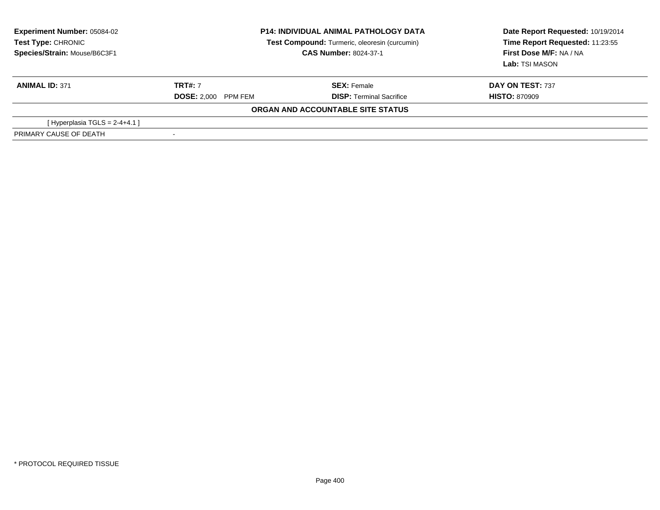| <b>Experiment Number: 05084-02</b><br>Test Type: CHRONIC<br>Species/Strain: Mouse/B6C3F1 |                            | <b>P14: INDIVIDUAL ANIMAL PATHOLOGY DATA</b><br>Test Compound: Turmeric, oleoresin (curcumin)<br><b>CAS Number: 8024-37-1</b> | Date Report Requested: 10/19/2014<br>Time Report Requested: 11:23:55<br>First Dose M/F: NA / NA<br>Lab: TSI MASON |
|------------------------------------------------------------------------------------------|----------------------------|-------------------------------------------------------------------------------------------------------------------------------|-------------------------------------------------------------------------------------------------------------------|
| <b>ANIMAL ID: 371</b>                                                                    | <b>TRT#: 7</b>             | <b>SEX: Female</b>                                                                                                            | DAY ON TEST: 737                                                                                                  |
|                                                                                          | <b>DOSE: 2.000 PPM FEM</b> | <b>DISP: Terminal Sacrifice</b>                                                                                               | <b>HISTO: 870909</b>                                                                                              |
|                                                                                          |                            | ORGAN AND ACCOUNTABLE SITE STATUS                                                                                             |                                                                                                                   |
| [Hyperplasia TGLS = $2-4+4.1$ ]                                                          |                            |                                                                                                                               |                                                                                                                   |
| PRIMARY CAUSE OF DEATH                                                                   |                            |                                                                                                                               |                                                                                                                   |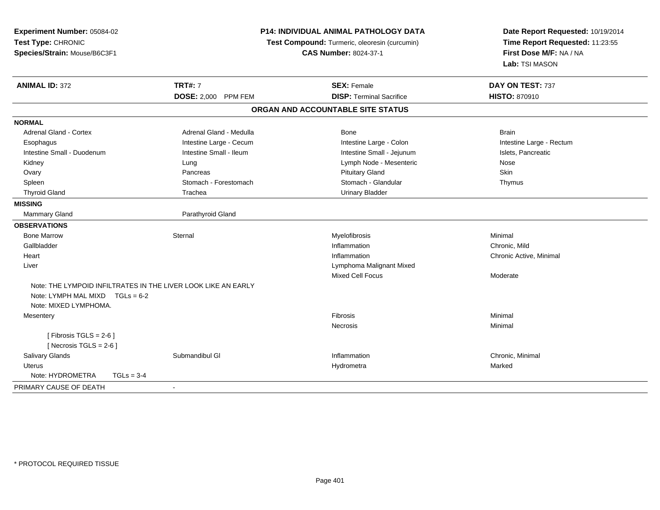| Experiment Number: 05084-02<br>Test Type: CHRONIC<br>Species/Strain: Mouse/B6C3F1 |                            | P14: INDIVIDUAL ANIMAL PATHOLOGY DATA<br>Test Compound: Turmeric, oleoresin (curcumin)<br><b>CAS Number: 8024-37-1</b> | Date Report Requested: 10/19/2014<br>Time Report Requested: 11:23:55<br>First Dose M/F: NA / NA<br>Lab: TSI MASON |
|-----------------------------------------------------------------------------------|----------------------------|------------------------------------------------------------------------------------------------------------------------|-------------------------------------------------------------------------------------------------------------------|
| <b>ANIMAL ID: 372</b>                                                             | <b>TRT#: 7</b>             | <b>SEX: Female</b>                                                                                                     | DAY ON TEST: 737                                                                                                  |
|                                                                                   | <b>DOSE: 2,000 PPM FEM</b> | <b>DISP: Terminal Sacrifice</b>                                                                                        | <b>HISTO: 870910</b>                                                                                              |
|                                                                                   |                            | ORGAN AND ACCOUNTABLE SITE STATUS                                                                                      |                                                                                                                   |
| <b>NORMAL</b>                                                                     |                            |                                                                                                                        |                                                                                                                   |
| <b>Adrenal Gland - Cortex</b>                                                     | Adrenal Gland - Medulla    | <b>Bone</b>                                                                                                            | <b>Brain</b>                                                                                                      |
| Esophagus                                                                         | Intestine Large - Cecum    | Intestine Large - Colon                                                                                                | Intestine Large - Rectum                                                                                          |
| Intestine Small - Duodenum                                                        | Intestine Small - Ileum    | Intestine Small - Jejunum                                                                                              | Islets, Pancreatic                                                                                                |
| Kidney                                                                            | Lung                       | Lymph Node - Mesenteric                                                                                                | Nose                                                                                                              |
| Ovary                                                                             | Pancreas                   | <b>Pituitary Gland</b>                                                                                                 | Skin                                                                                                              |
| Spleen                                                                            | Stomach - Forestomach      | Stomach - Glandular                                                                                                    | Thymus                                                                                                            |
| <b>Thyroid Gland</b>                                                              | Trachea                    | <b>Urinary Bladder</b>                                                                                                 |                                                                                                                   |
| <b>MISSING</b>                                                                    |                            |                                                                                                                        |                                                                                                                   |
| <b>Mammary Gland</b>                                                              | Parathyroid Gland          |                                                                                                                        |                                                                                                                   |
| <b>OBSERVATIONS</b>                                                               |                            |                                                                                                                        |                                                                                                                   |
| <b>Bone Marrow</b>                                                                | Sternal                    | Myelofibrosis                                                                                                          | Minimal                                                                                                           |
| Gallbladder                                                                       |                            | Inflammation                                                                                                           | Chronic, Mild                                                                                                     |
| Heart                                                                             |                            | Inflammation                                                                                                           | Chronic Active, Minimal                                                                                           |
| Liver                                                                             |                            | Lymphoma Malignant Mixed                                                                                               |                                                                                                                   |
|                                                                                   |                            | Mixed Cell Focus                                                                                                       | Moderate                                                                                                          |
| Note: THE LYMPOID INFILTRATES IN THE LIVER LOOK LIKE AN EARLY                     |                            |                                                                                                                        |                                                                                                                   |
| Note: LYMPH MAL MIXD $TGLs = 6-2$                                                 |                            |                                                                                                                        |                                                                                                                   |
| Note: MIXED LYMPHOMA.                                                             |                            |                                                                                                                        |                                                                                                                   |
| Mesentery                                                                         |                            | <b>Fibrosis</b>                                                                                                        | Minimal                                                                                                           |
|                                                                                   |                            | <b>Necrosis</b>                                                                                                        | Minimal                                                                                                           |
| [Fibrosis TGLS = $2-6$ ]                                                          |                            |                                                                                                                        |                                                                                                                   |
| [Necrosis $TGLS = 2-6$ ]                                                          |                            |                                                                                                                        |                                                                                                                   |
| Salivary Glands                                                                   | Submandibul GI             | Inflammation                                                                                                           | Chronic, Minimal                                                                                                  |
| <b>Uterus</b>                                                                     |                            | Hydrometra                                                                                                             | Marked                                                                                                            |
| Note: HYDROMETRA<br>$TGLs = 3-4$                                                  |                            |                                                                                                                        |                                                                                                                   |
| PRIMARY CAUSE OF DEATH                                                            | $\blacksquare$             |                                                                                                                        |                                                                                                                   |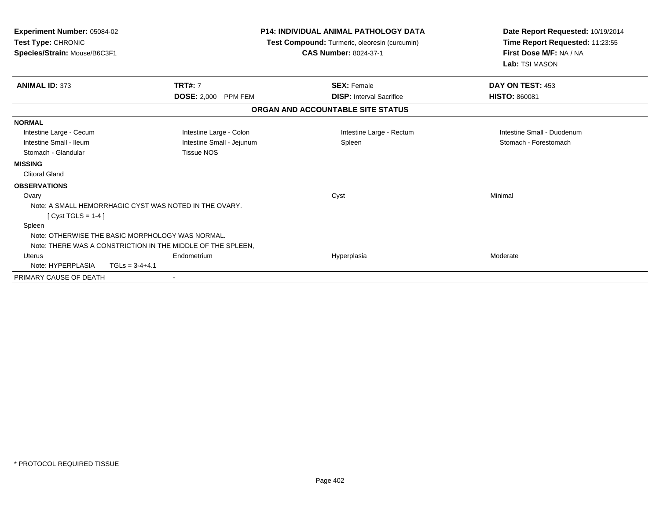| <b>Experiment Number: 05084-02</b><br>Test Type: CHRONIC<br>Species/Strain: Mouse/B6C3F1 |                                                             | <b>P14: INDIVIDUAL ANIMAL PATHOLOGY DATA</b><br>Test Compound: Turmeric, oleoresin (curcumin)<br><b>CAS Number: 8024-37-1</b> | Date Report Requested: 10/19/2014<br>Time Report Requested: 11:23:55<br>First Dose M/F: NA / NA<br>Lab: TSI MASON |
|------------------------------------------------------------------------------------------|-------------------------------------------------------------|-------------------------------------------------------------------------------------------------------------------------------|-------------------------------------------------------------------------------------------------------------------|
| <b>ANIMAL ID: 373</b>                                                                    | <b>TRT#: 7</b>                                              | <b>SEX: Female</b>                                                                                                            | DAY ON TEST: 453                                                                                                  |
|                                                                                          | <b>DOSE: 2,000</b><br><b>PPM FEM</b>                        | <b>DISP:</b> Interval Sacrifice                                                                                               | <b>HISTO: 860081</b>                                                                                              |
|                                                                                          |                                                             | ORGAN AND ACCOUNTABLE SITE STATUS                                                                                             |                                                                                                                   |
| <b>NORMAL</b>                                                                            |                                                             |                                                                                                                               |                                                                                                                   |
| Intestine Large - Cecum                                                                  | Intestine Large - Colon                                     | Intestine Large - Rectum                                                                                                      | Intestine Small - Duodenum                                                                                        |
| Intestine Small - Ileum                                                                  | Intestine Small - Jejunum                                   | Spleen                                                                                                                        | Stomach - Forestomach                                                                                             |
| Stomach - Glandular                                                                      | <b>Tissue NOS</b>                                           |                                                                                                                               |                                                                                                                   |
| <b>MISSING</b>                                                                           |                                                             |                                                                                                                               |                                                                                                                   |
| <b>Clitoral Gland</b>                                                                    |                                                             |                                                                                                                               |                                                                                                                   |
| <b>OBSERVATIONS</b>                                                                      |                                                             |                                                                                                                               |                                                                                                                   |
| Ovary                                                                                    |                                                             | Cyst                                                                                                                          | Minimal                                                                                                           |
|                                                                                          | Note: A SMALL HEMORRHAGIC CYST WAS NOTED IN THE OVARY.      |                                                                                                                               |                                                                                                                   |
| [Cyst TGLS = $1-4$ ]                                                                     |                                                             |                                                                                                                               |                                                                                                                   |
| Spleen                                                                                   |                                                             |                                                                                                                               |                                                                                                                   |
|                                                                                          | Note: OTHERWISE THE BASIC MORPHOLOGY WAS NORMAL.            |                                                                                                                               |                                                                                                                   |
|                                                                                          | Note: THERE WAS A CONSTRICTION IN THE MIDDLE OF THE SPLEEN. |                                                                                                                               |                                                                                                                   |
| Uterus                                                                                   | Endometrium                                                 | Hyperplasia                                                                                                                   | Moderate                                                                                                          |
| Note: HYPERPLASIA                                                                        | $TGLs = 3-4+4.1$                                            |                                                                                                                               |                                                                                                                   |
| PRIMARY CAUSE OF DEATH                                                                   | $\blacksquare$                                              |                                                                                                                               |                                                                                                                   |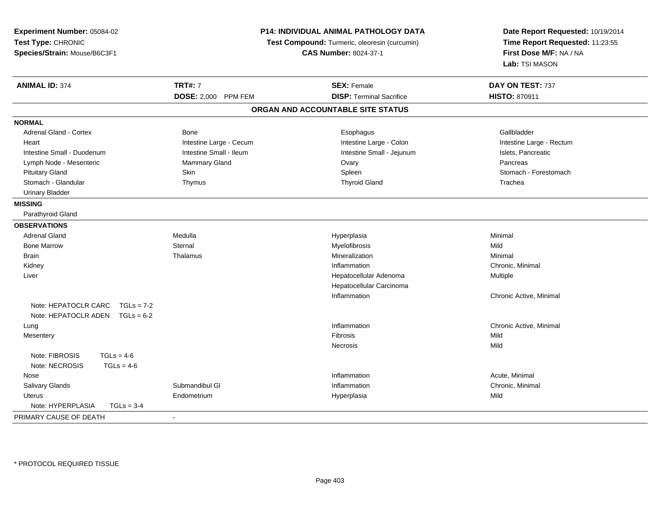| Experiment Number: 05084-02<br>Test Type: CHRONIC<br>Species/Strain: Mouse/B6C3F1 | P14: INDIVIDUAL ANIMAL PATHOLOGY DATA<br>Test Compound: Turmeric, oleoresin (curcumin)<br><b>CAS Number: 8024-37-1</b> |                                   | Date Report Requested: 10/19/2014<br>Time Report Requested: 11:23:55<br>First Dose M/F: NA / NA<br>Lab: TSI MASON |  |
|-----------------------------------------------------------------------------------|------------------------------------------------------------------------------------------------------------------------|-----------------------------------|-------------------------------------------------------------------------------------------------------------------|--|
| <b>ANIMAL ID: 374</b>                                                             | <b>TRT#: 7</b>                                                                                                         | <b>SEX: Female</b>                | DAY ON TEST: 737                                                                                                  |  |
|                                                                                   | DOSE: 2,000 PPM FEM                                                                                                    | <b>DISP: Terminal Sacrifice</b>   | <b>HISTO: 870911</b>                                                                                              |  |
|                                                                                   |                                                                                                                        | ORGAN AND ACCOUNTABLE SITE STATUS |                                                                                                                   |  |
| <b>NORMAL</b>                                                                     |                                                                                                                        |                                   |                                                                                                                   |  |
| Adrenal Gland - Cortex                                                            | <b>Bone</b>                                                                                                            | Esophagus                         | Gallbladder                                                                                                       |  |
| Heart                                                                             | Intestine Large - Cecum                                                                                                | Intestine Large - Colon           | Intestine Large - Rectum                                                                                          |  |
| Intestine Small - Duodenum                                                        | Intestine Small - Ileum                                                                                                | Intestine Small - Jejunum         | Islets, Pancreatic                                                                                                |  |
| Lymph Node - Mesenteric                                                           | Mammary Gland                                                                                                          | Ovary                             | Pancreas                                                                                                          |  |
| <b>Pituitary Gland</b>                                                            | Skin                                                                                                                   | Spleen                            | Stomach - Forestomach                                                                                             |  |
| Stomach - Glandular                                                               | Thymus                                                                                                                 | <b>Thyroid Gland</b>              | Trachea                                                                                                           |  |
| <b>Urinary Bladder</b>                                                            |                                                                                                                        |                                   |                                                                                                                   |  |
| <b>MISSING</b>                                                                    |                                                                                                                        |                                   |                                                                                                                   |  |
| Parathyroid Gland                                                                 |                                                                                                                        |                                   |                                                                                                                   |  |
| <b>OBSERVATIONS</b>                                                               |                                                                                                                        |                                   |                                                                                                                   |  |
| <b>Adrenal Gland</b>                                                              | Medulla                                                                                                                | Hyperplasia                       | Minimal                                                                                                           |  |
| <b>Bone Marrow</b>                                                                | Sternal                                                                                                                | Myelofibrosis                     | Mild                                                                                                              |  |
| <b>Brain</b>                                                                      | Thalamus                                                                                                               | Mineralization                    | Minimal                                                                                                           |  |
| Kidney                                                                            |                                                                                                                        | Inflammation                      | Chronic, Minimal                                                                                                  |  |
| Liver                                                                             |                                                                                                                        | Hepatocellular Adenoma            | Multiple                                                                                                          |  |
|                                                                                   |                                                                                                                        | Hepatocellular Carcinoma          |                                                                                                                   |  |
|                                                                                   |                                                                                                                        | Inflammation                      | Chronic Active, Minimal                                                                                           |  |
| Note: HEPATOCLR CARC<br>$TGLs = 7-2$<br>Note: HEPATOCLR ADEN $TGLs = 6-2$         |                                                                                                                        |                                   |                                                                                                                   |  |
| Lung                                                                              |                                                                                                                        | Inflammation                      | Chronic Active, Minimal                                                                                           |  |
| Mesentery                                                                         |                                                                                                                        | Fibrosis                          | Mild                                                                                                              |  |
|                                                                                   |                                                                                                                        | Necrosis                          | Mild                                                                                                              |  |
| Note: FIBROSIS<br>$TGLs = 4-6$<br>Note: NECROSIS<br>$TGLs = 4-6$                  |                                                                                                                        |                                   |                                                                                                                   |  |
| Nose                                                                              |                                                                                                                        | Inflammation                      | Acute, Minimal                                                                                                    |  |
| Salivary Glands                                                                   | Submandibul GI                                                                                                         | Inflammation                      | Chronic, Minimal                                                                                                  |  |
| <b>Uterus</b>                                                                     | Endometrium                                                                                                            | Hyperplasia                       | Mild                                                                                                              |  |
| Note: HYPERPLASIA<br>$TGLs = 3-4$                                                 |                                                                                                                        |                                   |                                                                                                                   |  |
| PRIMARY CAUSE OF DEATH                                                            | $\sim$                                                                                                                 |                                   |                                                                                                                   |  |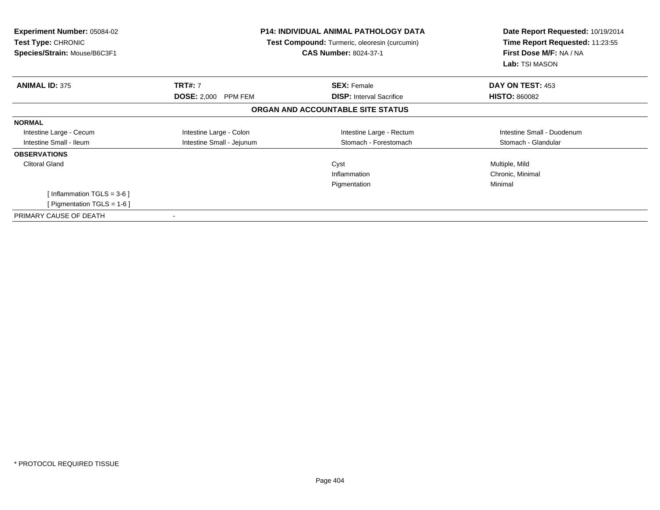| <b>Experiment Number: 05084-02</b><br>Test Type: CHRONIC<br>Species/Strain: Mouse/B6C3F1 |                           | <b>P14: INDIVIDUAL ANIMAL PATHOLOGY DATA</b><br>Test Compound: Turmeric, oleoresin (curcumin)<br><b>CAS Number: 8024-37-1</b> | Date Report Requested: 10/19/2014<br>Time Report Requested: 11:23:55<br>First Dose M/F: NA / NA<br>Lab: TSI MASON |
|------------------------------------------------------------------------------------------|---------------------------|-------------------------------------------------------------------------------------------------------------------------------|-------------------------------------------------------------------------------------------------------------------|
| <b>ANIMAL ID: 375</b>                                                                    | <b>TRT#: 7</b>            | <b>SEX: Female</b>                                                                                                            | DAY ON TEST: 453                                                                                                  |
|                                                                                          | DOSE: 2,000 PPM FEM       | <b>DISP:</b> Interval Sacrifice                                                                                               | <b>HISTO: 860082</b>                                                                                              |
|                                                                                          |                           | ORGAN AND ACCOUNTABLE SITE STATUS                                                                                             |                                                                                                                   |
| <b>NORMAL</b>                                                                            |                           |                                                                                                                               |                                                                                                                   |
| Intestine Large - Cecum                                                                  | Intestine Large - Colon   | Intestine Large - Rectum                                                                                                      | Intestine Small - Duodenum                                                                                        |
| Intestine Small - Ileum                                                                  | Intestine Small - Jejunum | Stomach - Forestomach                                                                                                         | Stomach - Glandular                                                                                               |
| <b>OBSERVATIONS</b>                                                                      |                           |                                                                                                                               |                                                                                                                   |
| <b>Clitoral Gland</b>                                                                    |                           | Cyst                                                                                                                          | Multiple, Mild                                                                                                    |
|                                                                                          |                           | Inflammation                                                                                                                  | Chronic, Minimal                                                                                                  |
|                                                                                          |                           | Pigmentation                                                                                                                  | Minimal                                                                                                           |
| [Inflammation TGLS = $3-6$ ]                                                             |                           |                                                                                                                               |                                                                                                                   |
| [ Pigmentation TGLS = $1-6$ ]                                                            |                           |                                                                                                                               |                                                                                                                   |
| PRIMARY CAUSE OF DEATH                                                                   |                           |                                                                                                                               |                                                                                                                   |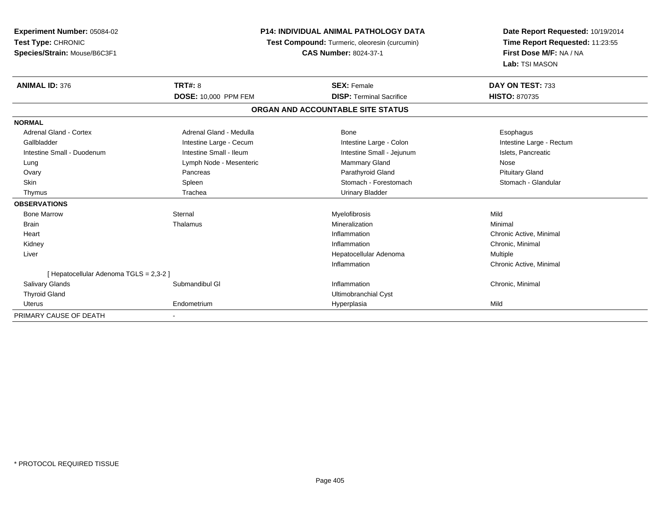| Experiment Number: 05084-02<br>Test Type: CHRONIC<br>Species/Strain: Mouse/B6C3F1 |                             | <b>P14: INDIVIDUAL ANIMAL PATHOLOGY DATA</b><br>Test Compound: Turmeric, oleoresin (curcumin)<br><b>CAS Number: 8024-37-1</b> |                          |
|-----------------------------------------------------------------------------------|-----------------------------|-------------------------------------------------------------------------------------------------------------------------------|--------------------------|
| <b>ANIMAL ID: 376</b>                                                             | <b>TRT#: 8</b>              | <b>SEX: Female</b>                                                                                                            | DAY ON TEST: 733         |
|                                                                                   | <b>DOSE: 10,000 PPM FEM</b> | <b>DISP: Terminal Sacrifice</b>                                                                                               | <b>HISTO: 870735</b>     |
|                                                                                   |                             | ORGAN AND ACCOUNTABLE SITE STATUS                                                                                             |                          |
| <b>NORMAL</b>                                                                     |                             |                                                                                                                               |                          |
| <b>Adrenal Gland - Cortex</b>                                                     | Adrenal Gland - Medulla     | Bone                                                                                                                          | Esophagus                |
| Gallbladder                                                                       | Intestine Large - Cecum     | Intestine Large - Colon                                                                                                       | Intestine Large - Rectum |
| Intestine Small - Duodenum                                                        | Intestine Small - Ileum     | Intestine Small - Jejunum                                                                                                     | Islets, Pancreatic       |
| Lung                                                                              | Lymph Node - Mesenteric     | <b>Mammary Gland</b>                                                                                                          | Nose                     |
| Ovary                                                                             | Pancreas                    | Parathyroid Gland                                                                                                             | <b>Pituitary Gland</b>   |
| <b>Skin</b>                                                                       | Spleen                      | Stomach - Forestomach                                                                                                         | Stomach - Glandular      |
| Thymus                                                                            | Trachea                     | <b>Urinary Bladder</b>                                                                                                        |                          |
| <b>OBSERVATIONS</b>                                                               |                             |                                                                                                                               |                          |
| <b>Bone Marrow</b>                                                                | Sternal                     | Myelofibrosis                                                                                                                 | Mild                     |
| <b>Brain</b>                                                                      | Thalamus                    | Mineralization                                                                                                                | Minimal                  |
| Heart                                                                             |                             | Inflammation                                                                                                                  | Chronic Active, Minimal  |
| Kidney                                                                            |                             | Inflammation                                                                                                                  | Chronic, Minimal         |
| Liver                                                                             |                             | Hepatocellular Adenoma                                                                                                        | Multiple                 |
|                                                                                   |                             | Inflammation                                                                                                                  | Chronic Active, Minimal  |
| [ Hepatocellular Adenoma TGLS = 2,3-2 ]                                           |                             |                                                                                                                               |                          |
| <b>Salivary Glands</b>                                                            | Submandibul GI              | Inflammation                                                                                                                  | Chronic, Minimal         |
| <b>Thyroid Gland</b>                                                              |                             | Ultimobranchial Cyst                                                                                                          |                          |
| <b>Uterus</b>                                                                     | Endometrium                 | Hyperplasia                                                                                                                   | Mild                     |
| PRIMARY CAUSE OF DEATH                                                            |                             |                                                                                                                               |                          |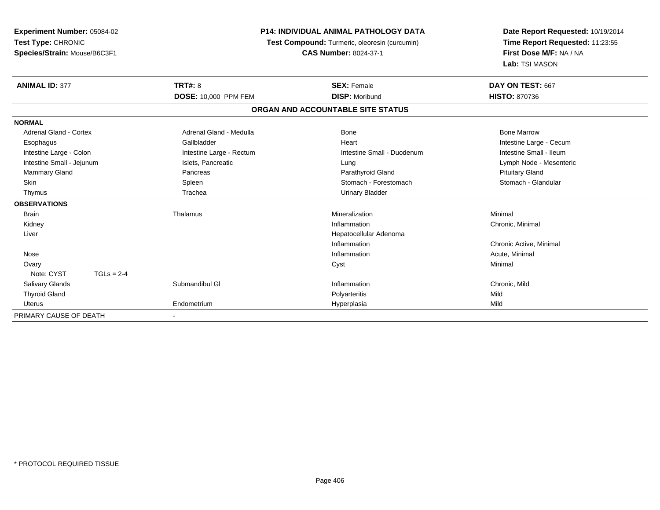| <b>Experiment Number: 05084-02</b> |                          | <b>P14: INDIVIDUAL ANIMAL PATHOLOGY DATA</b>  | Date Report Requested: 10/19/2014 |
|------------------------------------|--------------------------|-----------------------------------------------|-----------------------------------|
| Test Type: CHRONIC                 |                          | Test Compound: Turmeric, oleoresin (curcumin) | Time Report Requested: 11:23:55   |
| Species/Strain: Mouse/B6C3F1       |                          | <b>CAS Number: 8024-37-1</b>                  | First Dose M/F: NA / NA           |
|                                    |                          |                                               | Lab: TSI MASON                    |
| <b>ANIMAL ID: 377</b>              | <b>TRT#: 8</b>           | <b>SEX: Female</b>                            | DAY ON TEST: 667                  |
|                                    | DOSE: 10,000 PPM FEM     | <b>DISP: Moribund</b>                         | <b>HISTO: 870736</b>              |
|                                    |                          | ORGAN AND ACCOUNTABLE SITE STATUS             |                                   |
| <b>NORMAL</b>                      |                          |                                               |                                   |
| Adrenal Gland - Cortex             | Adrenal Gland - Medulla  | Bone                                          | <b>Bone Marrow</b>                |
| Esophagus                          | Gallbladder              | Heart                                         | Intestine Large - Cecum           |
| Intestine Large - Colon            | Intestine Large - Rectum | Intestine Small - Duodenum                    | Intestine Small - Ileum           |
| Intestine Small - Jejunum          | Islets, Pancreatic       | Lung                                          | Lymph Node - Mesenteric           |
| Mammary Gland                      | Pancreas                 | Parathyroid Gland                             | <b>Pituitary Gland</b>            |
| <b>Skin</b>                        | Spleen                   | Stomach - Forestomach                         | Stomach - Glandular               |
| Thymus                             | Trachea                  | <b>Urinary Bladder</b>                        |                                   |
| <b>OBSERVATIONS</b>                |                          |                                               |                                   |
| <b>Brain</b>                       | Thalamus                 | Mineralization                                | Minimal                           |
| Kidney                             |                          | Inflammation                                  | Chronic, Minimal                  |
| Liver                              |                          | Hepatocellular Adenoma                        |                                   |
|                                    |                          | Inflammation                                  | Chronic Active, Minimal           |
| Nose                               |                          | Inflammation                                  | Acute, Minimal                    |
| Ovary                              |                          | Cyst                                          | Minimal                           |
| Note: CYST<br>$TGLs = 2-4$         |                          |                                               |                                   |
| <b>Salivary Glands</b>             | Submandibul GI           | Inflammation                                  | Chronic, Mild                     |
| <b>Thyroid Gland</b>               |                          | Polyarteritis                                 | Mild                              |
| <b>Uterus</b>                      | Endometrium              | Hyperplasia                                   | Mild                              |
| PRIMARY CAUSE OF DEATH             |                          |                                               |                                   |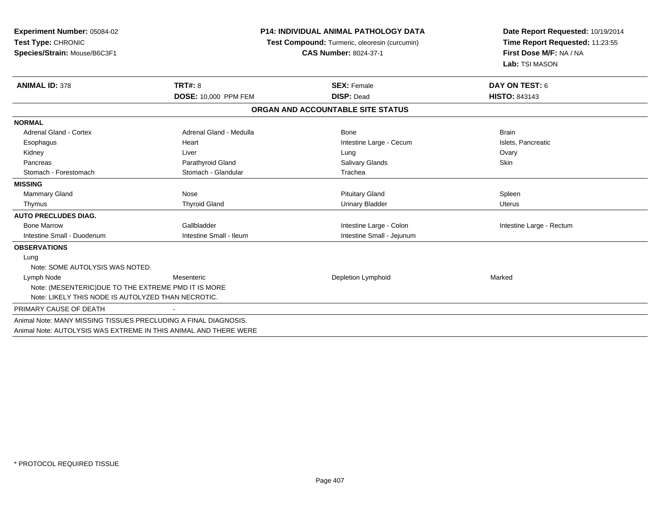| Experiment Number: 05084-02<br>Test Type: CHRONIC<br>Species/Strain: Mouse/B6C3F1 |                         | <b>P14: INDIVIDUAL ANIMAL PATHOLOGY DATA</b><br>Test Compound: Turmeric, oleoresin (curcumin)<br><b>CAS Number: 8024-37-1</b> | Date Report Requested: 10/19/2014<br>Time Report Requested: 11:23:55<br>First Dose M/F: NA / NA<br>Lab: TSI MASON |  |
|-----------------------------------------------------------------------------------|-------------------------|-------------------------------------------------------------------------------------------------------------------------------|-------------------------------------------------------------------------------------------------------------------|--|
| <b>ANIMAL ID: 378</b>                                                             | <b>TRT#: 8</b>          | <b>SEX: Female</b>                                                                                                            | DAY ON TEST: 6                                                                                                    |  |
|                                                                                   | DOSE: 10,000 PPM FEM    | <b>DISP: Dead</b>                                                                                                             | <b>HISTO: 843143</b>                                                                                              |  |
|                                                                                   |                         | ORGAN AND ACCOUNTABLE SITE STATUS                                                                                             |                                                                                                                   |  |
| <b>NORMAL</b>                                                                     |                         |                                                                                                                               |                                                                                                                   |  |
| <b>Adrenal Gland - Cortex</b>                                                     | Adrenal Gland - Medulla | Bone                                                                                                                          | <b>Brain</b>                                                                                                      |  |
| Esophagus                                                                         | Heart                   | Intestine Large - Cecum                                                                                                       | Islets, Pancreatic                                                                                                |  |
| Kidney                                                                            | Liver                   | Lung                                                                                                                          | Ovary                                                                                                             |  |
| Pancreas                                                                          | Parathyroid Gland       | <b>Salivary Glands</b>                                                                                                        | <b>Skin</b>                                                                                                       |  |
| Stomach - Forestomach                                                             | Stomach - Glandular     | Trachea                                                                                                                       |                                                                                                                   |  |
| <b>MISSING</b>                                                                    |                         |                                                                                                                               |                                                                                                                   |  |
| <b>Mammary Gland</b>                                                              | Nose                    | <b>Pituitary Gland</b>                                                                                                        | Spleen                                                                                                            |  |
| Thymus                                                                            | <b>Thyroid Gland</b>    | <b>Urinary Bladder</b>                                                                                                        | <b>Uterus</b>                                                                                                     |  |
| <b>AUTO PRECLUDES DIAG.</b>                                                       |                         |                                                                                                                               |                                                                                                                   |  |
| <b>Bone Marrow</b>                                                                | Gallbladder             | Intestine Large - Colon                                                                                                       | Intestine Large - Rectum                                                                                          |  |
| Intestine Small - Duodenum                                                        | Intestine Small - Ileum | Intestine Small - Jejunum                                                                                                     |                                                                                                                   |  |
| <b>OBSERVATIONS</b>                                                               |                         |                                                                                                                               |                                                                                                                   |  |
| Lung                                                                              |                         |                                                                                                                               |                                                                                                                   |  |
| Note: SOME AUTOLYSIS WAS NOTED.                                                   |                         |                                                                                                                               |                                                                                                                   |  |
| Lymph Node                                                                        | Mesenteric              | Depletion Lymphoid                                                                                                            | Marked                                                                                                            |  |
| Note: (MESENTERIC) DUE TO THE EXTREME PMD IT IS MORE                              |                         |                                                                                                                               |                                                                                                                   |  |
| Note: LIKELY THIS NODE IS AUTOLYZED THAN NECROTIC.                                |                         |                                                                                                                               |                                                                                                                   |  |
| PRIMARY CAUSE OF DEATH                                                            |                         |                                                                                                                               |                                                                                                                   |  |
| Animal Note: MANY MISSING TISSUES PRECLUDING A FINAL DIAGNOSIS.                   |                         |                                                                                                                               |                                                                                                                   |  |
|                                                                                   |                         |                                                                                                                               |                                                                                                                   |  |

Animal Note: AUTOLYSIS WAS EXTREME IN THIS ANIMAL AND THERE WERE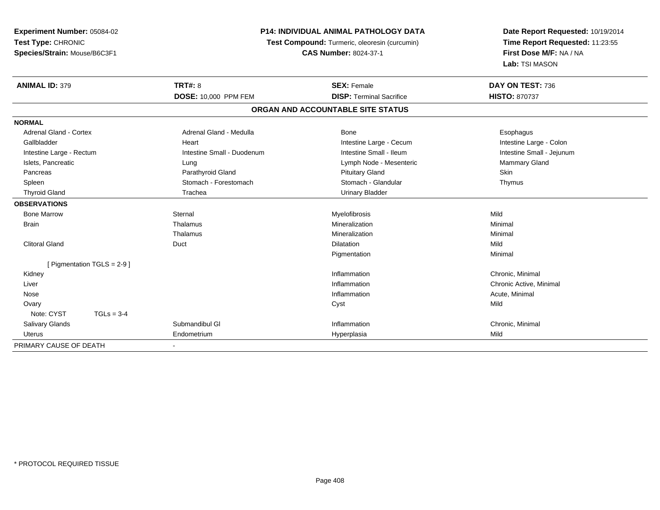| Experiment Number: 05084-02<br>Test Type: CHRONIC |                             | P14: INDIVIDUAL ANIMAL PATHOLOGY DATA | Date Report Requested: 10/19/2014             |                                                               |
|---------------------------------------------------|-----------------------------|---------------------------------------|-----------------------------------------------|---------------------------------------------------------------|
|                                                   |                             |                                       | Test Compound: Turmeric, oleoresin (curcumin) | Time Report Requested: 11:23:55                               |
| Species/Strain: Mouse/B6C3F1                      |                             |                                       | <b>CAS Number: 8024-37-1</b>                  | First Dose M/F: NA / NA<br>Lab: TSI MASON<br>DAY ON TEST: 736 |
|                                                   |                             |                                       |                                               |                                                               |
| <b>ANIMAL ID: 379</b>                             |                             | <b>TRT#: 8</b>                        | <b>SEX: Female</b>                            |                                                               |
|                                                   |                             | DOSE: 10,000 PPM FEM                  | <b>DISP: Terminal Sacrifice</b>               | <b>HISTO: 870737</b>                                          |
|                                                   |                             |                                       | ORGAN AND ACCOUNTABLE SITE STATUS             |                                                               |
| <b>NORMAL</b>                                     |                             |                                       |                                               |                                                               |
| <b>Adrenal Gland - Cortex</b>                     |                             | Adrenal Gland - Medulla               | Bone                                          | Esophagus                                                     |
| Gallbladder                                       |                             | Heart                                 | Intestine Large - Cecum                       | Intestine Large - Colon                                       |
| Intestine Large - Rectum                          |                             | Intestine Small - Duodenum            | Intestine Small - Ileum                       | Intestine Small - Jejunum                                     |
| Islets, Pancreatic                                |                             | Lung                                  | Lymph Node - Mesenteric                       | Mammary Gland                                                 |
| Pancreas                                          |                             | Parathyroid Gland                     | <b>Pituitary Gland</b>                        | Skin                                                          |
| Spleen                                            |                             | Stomach - Forestomach                 | Stomach - Glandular                           | Thymus                                                        |
| <b>Thyroid Gland</b>                              |                             | Trachea                               | <b>Urinary Bladder</b>                        |                                                               |
| <b>OBSERVATIONS</b>                               |                             |                                       |                                               |                                                               |
| <b>Bone Marrow</b>                                |                             | Sternal                               | Myelofibrosis                                 | Mild                                                          |
| <b>Brain</b>                                      |                             | Thalamus                              | Mineralization                                | Minimal                                                       |
|                                                   |                             | Thalamus                              | Mineralization                                | Minimal                                                       |
| <b>Clitoral Gland</b>                             |                             | Duct                                  | <b>Dilatation</b>                             | Mild                                                          |
|                                                   |                             |                                       | Pigmentation                                  | Minimal                                                       |
|                                                   | [ Pigmentation TGLS = 2-9 ] |                                       |                                               |                                                               |
| Kidney                                            |                             |                                       | Inflammation                                  | Chronic, Minimal                                              |
| Liver                                             |                             |                                       | Inflammation                                  | Chronic Active, Minimal                                       |
| Nose                                              |                             |                                       | Inflammation                                  | Acute, Minimal                                                |
| Ovary                                             |                             |                                       | Cyst                                          | Mild                                                          |
| Note: CYST                                        | $TGLs = 3-4$                |                                       |                                               |                                                               |
| Salivary Glands                                   |                             | Submandibul GI                        | Inflammation                                  | Chronic, Minimal                                              |
| Uterus                                            |                             | Endometrium                           | Hyperplasia                                   | Mild                                                          |
| PRIMARY CAUSE OF DEATH                            |                             |                                       |                                               |                                                               |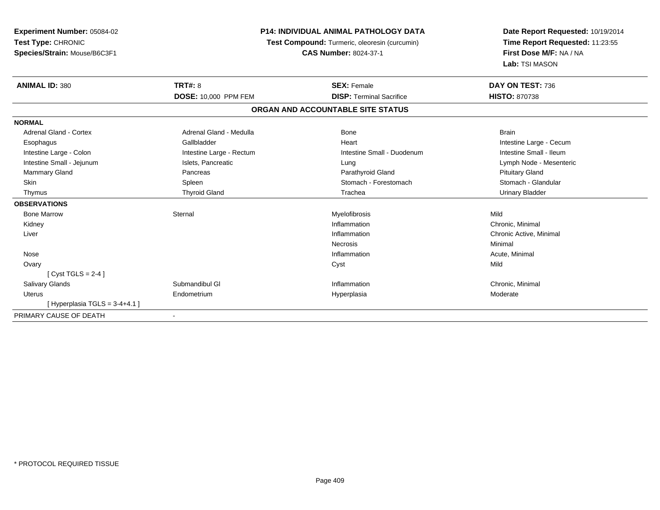| Experiment Number: 05084-02<br>Test Type: CHRONIC<br>Species/Strain: Mouse/B6C3F1 | <b>P14: INDIVIDUAL ANIMAL PATHOLOGY DATA</b><br>Test Compound: Turmeric, oleoresin (curcumin)<br><b>CAS Number: 8024-37-1</b> |                                   | Date Report Requested: 10/19/2014<br>Time Report Requested: 11:23:55<br>First Dose M/F: NA / NA<br>Lab: TSI MASON |  |
|-----------------------------------------------------------------------------------|-------------------------------------------------------------------------------------------------------------------------------|-----------------------------------|-------------------------------------------------------------------------------------------------------------------|--|
| <b>ANIMAL ID: 380</b>                                                             | <b>TRT#: 8</b>                                                                                                                | <b>SEX: Female</b>                | DAY ON TEST: 736                                                                                                  |  |
|                                                                                   | <b>DOSE: 10,000 PPM FEM</b>                                                                                                   | <b>DISP: Terminal Sacrifice</b>   | <b>HISTO: 870738</b>                                                                                              |  |
|                                                                                   |                                                                                                                               | ORGAN AND ACCOUNTABLE SITE STATUS |                                                                                                                   |  |
| <b>NORMAL</b>                                                                     |                                                                                                                               |                                   |                                                                                                                   |  |
| Adrenal Gland - Cortex                                                            | Adrenal Gland - Medulla                                                                                                       | Bone                              | <b>Brain</b>                                                                                                      |  |
| Esophagus                                                                         | Gallbladder                                                                                                                   | Heart                             | Intestine Large - Cecum                                                                                           |  |
| Intestine Large - Colon                                                           | Intestine Large - Rectum                                                                                                      | Intestine Small - Duodenum        | Intestine Small - Ileum                                                                                           |  |
| Intestine Small - Jejunum                                                         | Islets, Pancreatic                                                                                                            | Lung                              | Lymph Node - Mesenteric                                                                                           |  |
| Mammary Gland                                                                     | Pancreas                                                                                                                      | Parathyroid Gland                 | <b>Pituitary Gland</b>                                                                                            |  |
| <b>Skin</b>                                                                       | Spleen                                                                                                                        | Stomach - Forestomach             | Stomach - Glandular                                                                                               |  |
| Thymus                                                                            | <b>Thyroid Gland</b>                                                                                                          | Trachea                           | <b>Urinary Bladder</b>                                                                                            |  |
| <b>OBSERVATIONS</b>                                                               |                                                                                                                               |                                   |                                                                                                                   |  |
| <b>Bone Marrow</b>                                                                | Sternal                                                                                                                       | Myelofibrosis                     | Mild                                                                                                              |  |
| Kidney                                                                            |                                                                                                                               | Inflammation                      | Chronic, Minimal                                                                                                  |  |
| Liver                                                                             |                                                                                                                               | Inflammation                      | Chronic Active, Minimal                                                                                           |  |
|                                                                                   |                                                                                                                               | Necrosis                          | Minimal                                                                                                           |  |
| Nose                                                                              |                                                                                                                               | Inflammation                      | Acute, Minimal                                                                                                    |  |
| Ovary                                                                             |                                                                                                                               | Cyst                              | Mild                                                                                                              |  |
| [Cyst TGLS = $2-4$ ]                                                              |                                                                                                                               |                                   |                                                                                                                   |  |
| <b>Salivary Glands</b>                                                            | Submandibul GI                                                                                                                | Inflammation                      | Chronic, Minimal                                                                                                  |  |
| <b>Uterus</b>                                                                     | Endometrium                                                                                                                   | Hyperplasia                       | Moderate                                                                                                          |  |
| [Hyperplasia TGLS = $3-4+4.1$ ]                                                   |                                                                                                                               |                                   |                                                                                                                   |  |
| PRIMARY CAUSE OF DEATH                                                            |                                                                                                                               |                                   |                                                                                                                   |  |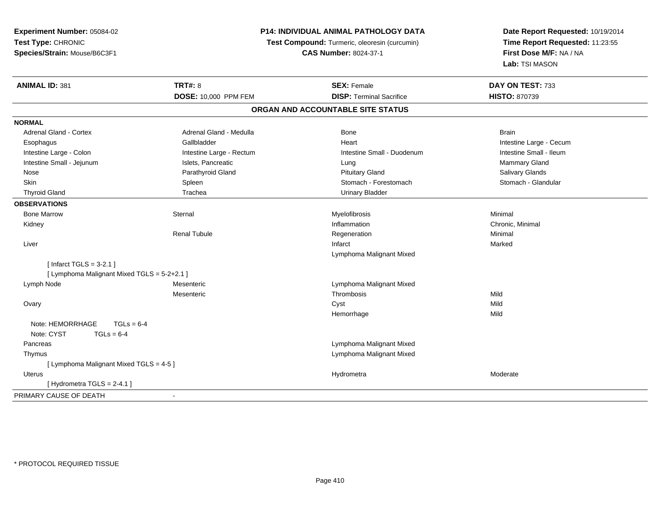| Experiment Number: 05084-02                 | <b>P14: INDIVIDUAL ANIMAL PATHOLOGY DATA</b> |                                               | Date Report Requested: 10/19/2014 |
|---------------------------------------------|----------------------------------------------|-----------------------------------------------|-----------------------------------|
| Test Type: CHRONIC                          |                                              | Test Compound: Turmeric, oleoresin (curcumin) | Time Report Requested: 11:23:55   |
| Species/Strain: Mouse/B6C3F1                |                                              | <b>CAS Number: 8024-37-1</b>                  | First Dose M/F: NA / NA           |
|                                             |                                              |                                               | Lab: TSI MASON                    |
| <b>ANIMAL ID: 381</b>                       | <b>TRT#: 8</b>                               | <b>SEX: Female</b>                            | DAY ON TEST: 733                  |
|                                             | DOSE: 10,000 PPM FEM                         | <b>DISP: Terminal Sacrifice</b>               | <b>HISTO: 870739</b>              |
|                                             |                                              | ORGAN AND ACCOUNTABLE SITE STATUS             |                                   |
| <b>NORMAL</b>                               |                                              |                                               |                                   |
| <b>Adrenal Gland - Cortex</b>               | Adrenal Gland - Medulla                      | Bone                                          | <b>Brain</b>                      |
| Esophagus                                   | Gallbladder                                  | Heart                                         | Intestine Large - Cecum           |
| Intestine Large - Colon                     | Intestine Large - Rectum                     | Intestine Small - Duodenum                    | Intestine Small - Ileum           |
| Intestine Small - Jejunum                   | Islets, Pancreatic                           | Lung                                          | Mammary Gland                     |
| Nose                                        | Parathyroid Gland                            | <b>Pituitary Gland</b>                        | Salivary Glands                   |
| <b>Skin</b>                                 | Spleen                                       | Stomach - Forestomach                         | Stomach - Glandular               |
| <b>Thyroid Gland</b>                        | Trachea                                      | <b>Urinary Bladder</b>                        |                                   |
| <b>OBSERVATIONS</b>                         |                                              |                                               |                                   |
| <b>Bone Marrow</b>                          | Sternal                                      | Myelofibrosis                                 | Minimal                           |
| Kidney                                      |                                              | Inflammation                                  | Chronic, Minimal                  |
|                                             | <b>Renal Tubule</b>                          | Regeneration                                  | Minimal                           |
| Liver                                       |                                              | Infarct                                       | Marked                            |
|                                             |                                              | Lymphoma Malignant Mixed                      |                                   |
| [Infarct TGLS = $3-2.1$ ]                   |                                              |                                               |                                   |
| [ Lymphoma Malignant Mixed TGLS = 5-2+2.1 ] |                                              |                                               |                                   |
| Lymph Node                                  | Mesenteric                                   | Lymphoma Malignant Mixed                      |                                   |
|                                             | Mesenteric                                   | Thrombosis                                    | Mild                              |
| Ovary                                       |                                              | Cyst                                          | Mild                              |
|                                             |                                              | Hemorrhage                                    | Mild                              |
| Note: HEMORRHAGE<br>$TGLs = 6-4$            |                                              |                                               |                                   |
| Note: CYST<br>$TGLs = 6-4$                  |                                              |                                               |                                   |
| Pancreas                                    |                                              | Lymphoma Malignant Mixed                      |                                   |
| Thymus                                      |                                              | Lymphoma Malignant Mixed                      |                                   |
| [ Lymphoma Malignant Mixed TGLS = 4-5 ]     |                                              |                                               |                                   |
| Uterus                                      |                                              | Hydrometra                                    | Moderate                          |
| [Hydrometra TGLS = 2-4.1]                   |                                              |                                               |                                   |
| PRIMARY CAUSE OF DEATH                      | $\blacksquare$                               |                                               |                                   |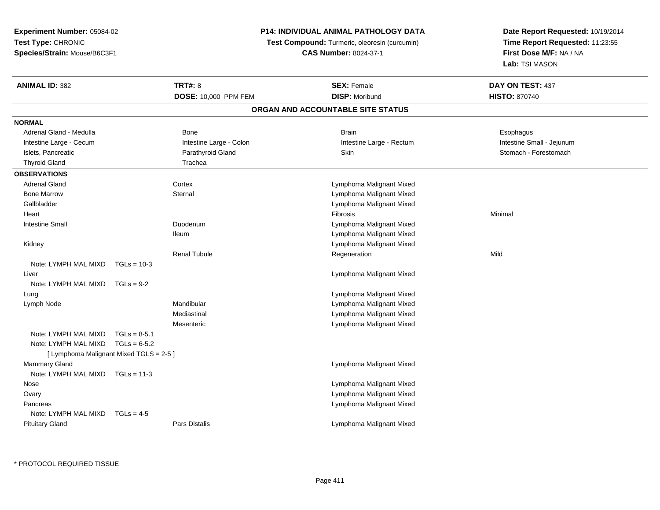**Experiment Number:** 05084-02**Test Type:** CHRONIC**Species/Strain:** Mouse/B6C3F1

## **P14: INDIVIDUAL ANIMAL PATHOLOGY DATA**

**Test Compound:** Turmeric, oleoresin (curcumin)

**CAS Number:** 8024-37-1

**Date Report Requested:** 10/19/2014**Time Report Requested:** 11:23:55**First Dose M/F:** NA / NA**Lab:** TSI MASON

| <b>ANIMAL ID: 382</b>                   |                | <b>TRT#: 8</b>          | <b>SEX: Female</b><br><b>DISP: Moribund</b> | DAY ON TEST: 437          |
|-----------------------------------------|----------------|-------------------------|---------------------------------------------|---------------------------|
|                                         |                | DOSE: 10,000 PPM FEM    | ORGAN AND ACCOUNTABLE SITE STATUS           | <b>HISTO: 870740</b>      |
|                                         |                |                         |                                             |                           |
| <b>NORMAL</b>                           |                |                         |                                             |                           |
| Adrenal Gland - Medulla                 |                | Bone                    | <b>Brain</b>                                | Esophagus                 |
| Intestine Large - Cecum                 |                | Intestine Large - Colon | Intestine Large - Rectum                    | Intestine Small - Jejunum |
| Islets, Pancreatic                      |                | Parathyroid Gland       | Skin                                        | Stomach - Forestomach     |
| <b>Thyroid Gland</b>                    |                | Trachea                 |                                             |                           |
| <b>OBSERVATIONS</b>                     |                |                         |                                             |                           |
| <b>Adrenal Gland</b>                    |                | Cortex                  | Lymphoma Malignant Mixed                    |                           |
| <b>Bone Marrow</b>                      |                | Sternal                 | Lymphoma Malignant Mixed                    |                           |
| Gallbladder                             |                |                         | Lymphoma Malignant Mixed                    |                           |
| Heart                                   |                |                         | Fibrosis                                    | Minimal                   |
| <b>Intestine Small</b>                  |                | Duodenum                | Lymphoma Malignant Mixed                    |                           |
|                                         |                | <b>Ileum</b>            | Lymphoma Malignant Mixed                    |                           |
| Kidney                                  |                |                         | Lymphoma Malignant Mixed                    |                           |
|                                         |                | <b>Renal Tubule</b>     | Regeneration                                | Mild                      |
| Note: LYMPH MAL MIXD                    | $TGLs = 10-3$  |                         |                                             |                           |
| Liver                                   |                |                         | Lymphoma Malignant Mixed                    |                           |
| Note: LYMPH MAL MIXD $TGLs = 9-2$       |                |                         |                                             |                           |
| Lung                                    |                |                         | Lymphoma Malignant Mixed                    |                           |
| Lymph Node                              |                | Mandibular              | Lymphoma Malignant Mixed                    |                           |
|                                         |                | Mediastinal             | Lymphoma Malignant Mixed                    |                           |
|                                         |                | Mesenteric              | Lymphoma Malignant Mixed                    |                           |
| Note: LYMPH MAL MIXD                    | $TGLs = 8-5.1$ |                         |                                             |                           |
| Note: LYMPH MAL MIXD                    | $TGLs = 6-5.2$ |                         |                                             |                           |
| [ Lymphoma Malignant Mixed TGLS = 2-5 ] |                |                         |                                             |                           |
| <b>Mammary Gland</b>                    |                |                         | Lymphoma Malignant Mixed                    |                           |
| Note: LYMPH MAL MIXD TGLs = 11-3        |                |                         |                                             |                           |
| Nose                                    |                |                         | Lymphoma Malignant Mixed                    |                           |
| Ovary                                   |                |                         | Lymphoma Malignant Mixed                    |                           |
| Pancreas                                |                |                         | Lymphoma Malignant Mixed                    |                           |
| Note: LYMPH MAL MIXD                    | $TGLs = 4-5$   |                         |                                             |                           |
| <b>Pituitary Gland</b>                  |                | Pars Distalis           | Lymphoma Malignant Mixed                    |                           |

\* PROTOCOL REQUIRED TISSUE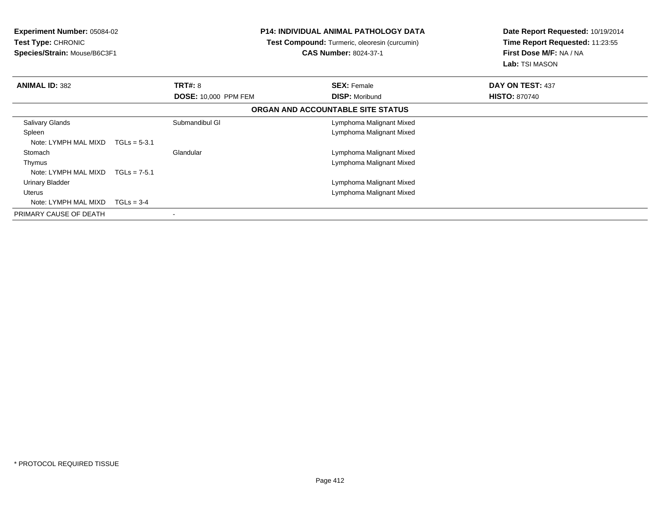| <b>Experiment Number: 05084-02</b><br><b>Test Type: CHRONIC</b><br>Species/Strain: Mouse/B6C3F1 |                |                             | P14: INDIVIDUAL ANIMAL PATHOLOGY DATA<br><b>Test Compound:</b> Turmeric, oleoresin (curcumin)<br><b>CAS Number: 8024-37-1</b> |                                   | Date Report Requested: 10/19/2014<br>Time Report Requested: 11:23:55<br>First Dose M/F: NA / NA<br>Lab: TSI MASON |  |
|-------------------------------------------------------------------------------------------------|----------------|-----------------------------|-------------------------------------------------------------------------------------------------------------------------------|-----------------------------------|-------------------------------------------------------------------------------------------------------------------|--|
| <b>ANIMAL ID: 382</b>                                                                           |                | <b>TRT#: 8</b>              |                                                                                                                               | <b>SEX: Female</b>                | DAY ON TEST: 437                                                                                                  |  |
|                                                                                                 |                | <b>DOSE: 10,000 PPM FEM</b> |                                                                                                                               | <b>DISP: Moribund</b>             | <b>HISTO: 870740</b>                                                                                              |  |
|                                                                                                 |                |                             |                                                                                                                               | ORGAN AND ACCOUNTABLE SITE STATUS |                                                                                                                   |  |
| Salivary Glands                                                                                 |                | Submandibul GI              |                                                                                                                               | Lymphoma Malignant Mixed          |                                                                                                                   |  |
| Spleen                                                                                          |                |                             |                                                                                                                               | Lymphoma Malignant Mixed          |                                                                                                                   |  |
| Note: LYMPH MAL MIXD                                                                            | $TGLs = 5-3.1$ |                             |                                                                                                                               |                                   |                                                                                                                   |  |
| Stomach                                                                                         |                | Glandular                   |                                                                                                                               | Lymphoma Malignant Mixed          |                                                                                                                   |  |
| Thymus                                                                                          |                |                             |                                                                                                                               | Lymphoma Malignant Mixed          |                                                                                                                   |  |
| Note: LYMPH MAL MIXD                                                                            | $TGLs = 7-5.1$ |                             |                                                                                                                               |                                   |                                                                                                                   |  |
| <b>Urinary Bladder</b>                                                                          |                |                             |                                                                                                                               | Lymphoma Malignant Mixed          |                                                                                                                   |  |
| Uterus                                                                                          |                |                             |                                                                                                                               | Lymphoma Malignant Mixed          |                                                                                                                   |  |
| Note: LYMPH MAL MIXD                                                                            | $TGLs = 3-4$   |                             |                                                                                                                               |                                   |                                                                                                                   |  |
| PRIMARY CAUSE OF DEATH                                                                          |                |                             |                                                                                                                               |                                   |                                                                                                                   |  |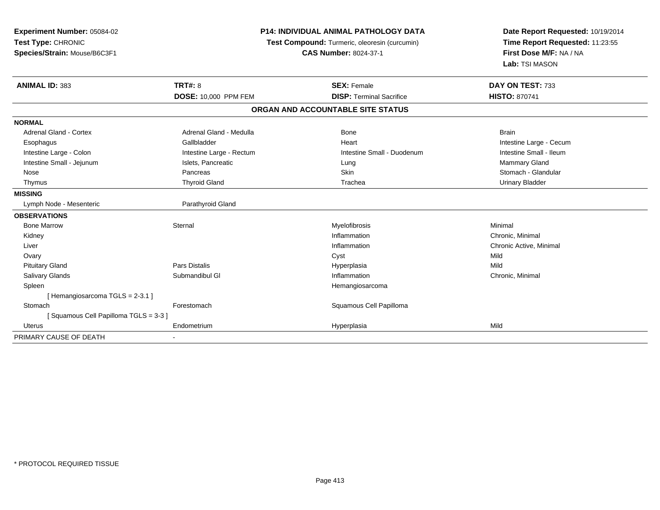| Experiment Number: 05084-02<br>Test Type: CHRONIC<br>Species/Strain: Mouse/B6C3F1<br><b>ANIMAL ID: 383</b> | <b>TRT#: 8</b>              | <b>P14: INDIVIDUAL ANIMAL PATHOLOGY DATA</b><br>Test Compound: Turmeric, oleoresin (curcumin)<br><b>CAS Number: 8024-37-1</b><br><b>SEX: Female</b> | Date Report Requested: 10/19/2014<br>Time Report Requested: 11:23:55<br>First Dose M/F: NA / NA<br>Lab: TSI MASON<br>DAY ON TEST: 733 |
|------------------------------------------------------------------------------------------------------------|-----------------------------|-----------------------------------------------------------------------------------------------------------------------------------------------------|---------------------------------------------------------------------------------------------------------------------------------------|
|                                                                                                            | <b>DOSE: 10,000 PPM FEM</b> | <b>DISP: Terminal Sacrifice</b>                                                                                                                     | <b>HISTO: 870741</b>                                                                                                                  |
|                                                                                                            |                             | ORGAN AND ACCOUNTABLE SITE STATUS                                                                                                                   |                                                                                                                                       |
| <b>NORMAL</b>                                                                                              |                             |                                                                                                                                                     |                                                                                                                                       |
| <b>Adrenal Gland - Cortex</b>                                                                              | Adrenal Gland - Medulla     | Bone                                                                                                                                                | <b>Brain</b>                                                                                                                          |
| Esophagus                                                                                                  | Gallbladder                 | Heart                                                                                                                                               | Intestine Large - Cecum                                                                                                               |
| Intestine Large - Colon                                                                                    | Intestine Large - Rectum    | Intestine Small - Duodenum                                                                                                                          | Intestine Small - Ileum                                                                                                               |
| Intestine Small - Jejunum                                                                                  | Islets, Pancreatic          | Lung                                                                                                                                                | <b>Mammary Gland</b>                                                                                                                  |
| Nose                                                                                                       | Pancreas                    | Skin                                                                                                                                                | Stomach - Glandular                                                                                                                   |
| Thymus                                                                                                     | <b>Thyroid Gland</b>        | Trachea                                                                                                                                             | <b>Urinary Bladder</b>                                                                                                                |
| <b>MISSING</b>                                                                                             |                             |                                                                                                                                                     |                                                                                                                                       |
| Lymph Node - Mesenteric                                                                                    | Parathyroid Gland           |                                                                                                                                                     |                                                                                                                                       |
| <b>OBSERVATIONS</b>                                                                                        |                             |                                                                                                                                                     |                                                                                                                                       |
| <b>Bone Marrow</b>                                                                                         | Sternal                     | Myelofibrosis                                                                                                                                       | Minimal                                                                                                                               |
| Kidney                                                                                                     |                             | Inflammation                                                                                                                                        | Chronic, Minimal                                                                                                                      |
| Liver                                                                                                      |                             | Inflammation                                                                                                                                        | Chronic Active, Minimal                                                                                                               |
| Ovary                                                                                                      |                             | Cyst                                                                                                                                                | Mild                                                                                                                                  |
| <b>Pituitary Gland</b>                                                                                     | <b>Pars Distalis</b>        | Hyperplasia                                                                                                                                         | Mild                                                                                                                                  |
| Salivary Glands                                                                                            | Submandibul GI              | Inflammation                                                                                                                                        | Chronic, Minimal                                                                                                                      |
| Spleen                                                                                                     |                             | Hemangiosarcoma                                                                                                                                     |                                                                                                                                       |
| [Hemangiosarcoma TGLS = 2-3.1]                                                                             |                             |                                                                                                                                                     |                                                                                                                                       |
| Stomach                                                                                                    | Forestomach                 | Squamous Cell Papilloma                                                                                                                             |                                                                                                                                       |
| [Squamous Cell Papilloma TGLS = 3-3]                                                                       |                             |                                                                                                                                                     |                                                                                                                                       |
| <b>Uterus</b>                                                                                              | Endometrium                 | Hyperplasia                                                                                                                                         | Mild                                                                                                                                  |
| PRIMARY CAUSE OF DEATH                                                                                     |                             |                                                                                                                                                     |                                                                                                                                       |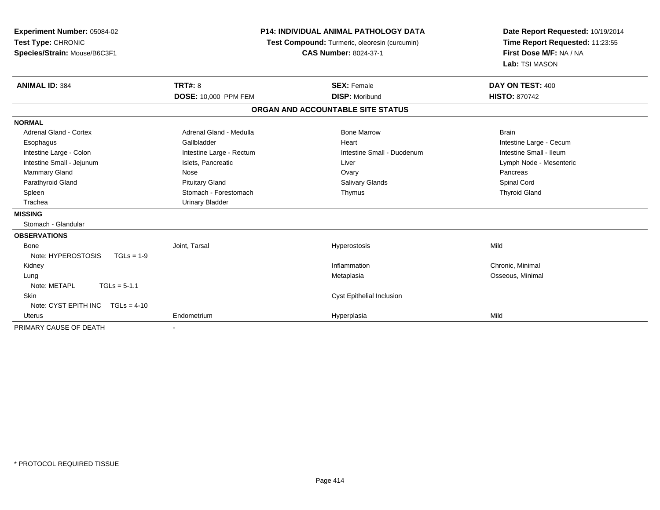| Experiment Number: 05084-02<br>Test Type: CHRONIC |                          | <b>P14: INDIVIDUAL ANIMAL PATHOLOGY DATA</b><br>Test Compound: Turmeric, oleoresin (curcumin) | Date Report Requested: 10/19/2014<br>Time Report Requested: 11:23:55 |  |
|---------------------------------------------------|--------------------------|-----------------------------------------------------------------------------------------------|----------------------------------------------------------------------|--|
| Species/Strain: Mouse/B6C3F1                      |                          | <b>CAS Number: 8024-37-1</b>                                                                  | First Dose M/F: NA / NA<br>Lab: TSI MASON                            |  |
| <b>ANIMAL ID: 384</b>                             | <b>TRT#: 8</b>           | <b>SEX: Female</b>                                                                            | DAY ON TEST: 400                                                     |  |
|                                                   | DOSE: 10,000 PPM FEM     | <b>DISP: Moribund</b>                                                                         | <b>HISTO: 870742</b>                                                 |  |
|                                                   |                          | ORGAN AND ACCOUNTABLE SITE STATUS                                                             |                                                                      |  |
| <b>NORMAL</b>                                     |                          |                                                                                               |                                                                      |  |
| <b>Adrenal Gland - Cortex</b>                     | Adrenal Gland - Medulla  | <b>Bone Marrow</b>                                                                            | <b>Brain</b>                                                         |  |
| Esophagus                                         | Gallbladder              | Heart                                                                                         | Intestine Large - Cecum                                              |  |
| Intestine Large - Colon                           | Intestine Large - Rectum | Intestine Small - Duodenum                                                                    | Intestine Small - Ileum                                              |  |
| Intestine Small - Jejunum                         | Islets, Pancreatic       | Liver                                                                                         | Lymph Node - Mesenteric                                              |  |
| Mammary Gland                                     | Nose                     | Ovary                                                                                         | Pancreas                                                             |  |
| Parathyroid Gland                                 | <b>Pituitary Gland</b>   | <b>Salivary Glands</b>                                                                        | Spinal Cord                                                          |  |
| Spleen                                            | Stomach - Forestomach    | Thymus                                                                                        | <b>Thyroid Gland</b>                                                 |  |
| Trachea                                           | <b>Urinary Bladder</b>   |                                                                                               |                                                                      |  |
| <b>MISSING</b>                                    |                          |                                                                                               |                                                                      |  |
| Stomach - Glandular                               |                          |                                                                                               |                                                                      |  |
| <b>OBSERVATIONS</b>                               |                          |                                                                                               |                                                                      |  |
| Bone                                              | Joint. Tarsal            | Hyperostosis                                                                                  | Mild                                                                 |  |
| Note: HYPEROSTOSIS<br>$TGLs = 1-9$                |                          |                                                                                               |                                                                      |  |
| Kidney                                            |                          | Inflammation                                                                                  | Chronic, Minimal                                                     |  |
| Lung                                              |                          | Metaplasia                                                                                    | Osseous, Minimal                                                     |  |
| Note: METAPL<br>$TGLs = 5-1.1$                    |                          |                                                                                               |                                                                      |  |
| <b>Skin</b>                                       |                          | Cyst Epithelial Inclusion                                                                     |                                                                      |  |
| Note: CYST EPITH INC TGLs = 4-10                  |                          |                                                                                               |                                                                      |  |
| <b>Uterus</b>                                     | Endometrium              | Hyperplasia                                                                                   | Mild                                                                 |  |
| PRIMARY CAUSE OF DEATH                            |                          |                                                                                               |                                                                      |  |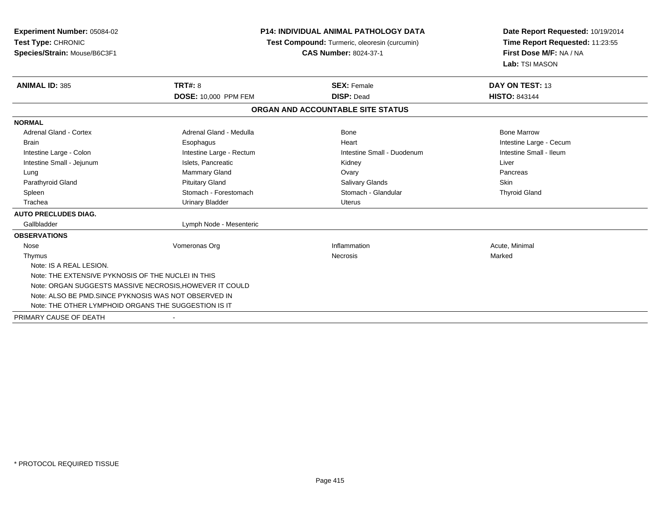| Experiment Number: 05084-02                           |                                                         | <b>P14: INDIVIDUAL ANIMAL PATHOLOGY DATA</b><br>Test Compound: Turmeric, oleoresin (curcumin) |                         |
|-------------------------------------------------------|---------------------------------------------------------|-----------------------------------------------------------------------------------------------|-------------------------|
| Test Type: CHRONIC                                    |                                                         |                                                                                               |                         |
| Species/Strain: Mouse/B6C3F1                          |                                                         | <b>CAS Number: 8024-37-1</b>                                                                  | First Dose M/F: NA / NA |
|                                                       |                                                         |                                                                                               | Lab: TSI MASON          |
| <b>ANIMAL ID: 385</b>                                 | TRT#: 8                                                 | <b>SEX: Female</b>                                                                            | DAY ON TEST: 13         |
|                                                       | DOSE: 10,000 PPM FEM                                    | <b>DISP: Dead</b>                                                                             | <b>HISTO: 843144</b>    |
|                                                       |                                                         | ORGAN AND ACCOUNTABLE SITE STATUS                                                             |                         |
| <b>NORMAL</b>                                         |                                                         |                                                                                               |                         |
| Adrenal Gland - Cortex                                | Adrenal Gland - Medulla                                 | Bone                                                                                          | <b>Bone Marrow</b>      |
| <b>Brain</b>                                          | Esophagus                                               | Heart                                                                                         | Intestine Large - Cecum |
| Intestine Large - Colon                               | Intestine Large - Rectum                                | Intestine Small - Duodenum                                                                    | Intestine Small - Ileum |
| Intestine Small - Jejunum                             | Islets, Pancreatic                                      | Kidney                                                                                        | Liver                   |
| Lung                                                  | Mammary Gland                                           | Ovary                                                                                         | Pancreas                |
| Parathyroid Gland                                     | <b>Pituitary Gland</b>                                  | Salivary Glands                                                                               | Skin                    |
| Spleen                                                | Stomach - Forestomach                                   | Stomach - Glandular                                                                           | <b>Thyroid Gland</b>    |
| Trachea                                               | <b>Urinary Bladder</b>                                  | <b>Uterus</b>                                                                                 |                         |
| <b>AUTO PRECLUDES DIAG.</b>                           |                                                         |                                                                                               |                         |
| Gallbladder                                           | Lymph Node - Mesenteric                                 |                                                                                               |                         |
| <b>OBSERVATIONS</b>                                   |                                                         |                                                                                               |                         |
| Nose                                                  | Vomeronas Org                                           | Inflammation                                                                                  | Acute, Minimal          |
| Thymus                                                |                                                         | Necrosis                                                                                      | Marked                  |
| Note: IS A REAL LESION.                               |                                                         |                                                                                               |                         |
| Note: THE EXTENSIVE PYKNOSIS OF THE NUCLEI IN THIS    |                                                         |                                                                                               |                         |
|                                                       | Note: ORGAN SUGGESTS MASSIVE NECROSIS, HOWEVER IT COULD |                                                                                               |                         |
| Note: ALSO BE PMD. SINCE PYKNOSIS WAS NOT OBSERVED IN |                                                         |                                                                                               |                         |
| Note: THE OTHER LYMPHOID ORGANS THE SUGGESTION IS IT  |                                                         |                                                                                               |                         |
| PRIMARY CAUSE OF DEATH                                |                                                         |                                                                                               |                         |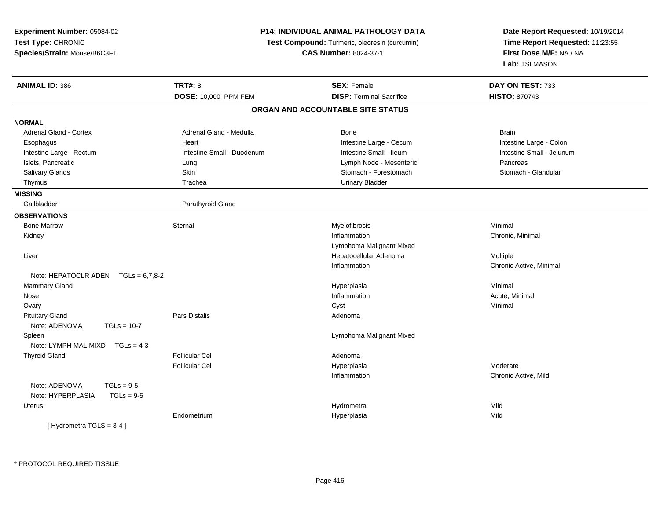| Experiment Number: 05084-02<br>Test Type: CHRONIC<br>Species/Strain: Mouse/B6C3F1 | <b>P14: INDIVIDUAL ANIMAL PATHOLOGY DATA</b><br>Test Compound: Turmeric, oleoresin (curcumin)<br><b>CAS Number: 8024-37-1</b> |                                   | Date Report Requested: 10/19/2014<br>Time Report Requested: 11:23:55<br>First Dose M/F: NA / NA<br>Lab: TSI MASON |
|-----------------------------------------------------------------------------------|-------------------------------------------------------------------------------------------------------------------------------|-----------------------------------|-------------------------------------------------------------------------------------------------------------------|
| <b>ANIMAL ID: 386</b>                                                             | <b>TRT#: 8</b>                                                                                                                | <b>SEX: Female</b>                | DAY ON TEST: 733                                                                                                  |
|                                                                                   | DOSE: 10,000 PPM FEM                                                                                                          | <b>DISP: Terminal Sacrifice</b>   | <b>HISTO: 870743</b>                                                                                              |
|                                                                                   |                                                                                                                               | ORGAN AND ACCOUNTABLE SITE STATUS |                                                                                                                   |
| <b>NORMAL</b>                                                                     |                                                                                                                               |                                   |                                                                                                                   |
| <b>Adrenal Gland - Cortex</b>                                                     | Adrenal Gland - Medulla                                                                                                       | Bone                              | <b>Brain</b>                                                                                                      |
| Esophagus                                                                         | Heart                                                                                                                         | Intestine Large - Cecum           | Intestine Large - Colon                                                                                           |
| Intestine Large - Rectum                                                          | Intestine Small - Duodenum                                                                                                    | Intestine Small - Ileum           | Intestine Small - Jejunum                                                                                         |
| Islets, Pancreatic                                                                | Lung                                                                                                                          | Lymph Node - Mesenteric           | Pancreas                                                                                                          |
| Salivary Glands                                                                   | Skin                                                                                                                          | Stomach - Forestomach             | Stomach - Glandular                                                                                               |
| Thymus                                                                            | Trachea                                                                                                                       | <b>Urinary Bladder</b>            |                                                                                                                   |
| <b>MISSING</b>                                                                    |                                                                                                                               |                                   |                                                                                                                   |
| Gallbladder                                                                       | Parathyroid Gland                                                                                                             |                                   |                                                                                                                   |
| <b>OBSERVATIONS</b>                                                               |                                                                                                                               |                                   |                                                                                                                   |
| <b>Bone Marrow</b>                                                                | Sternal                                                                                                                       | Myelofibrosis                     | Minimal                                                                                                           |
| Kidney                                                                            |                                                                                                                               | Inflammation                      | Chronic, Minimal                                                                                                  |
|                                                                                   |                                                                                                                               | Lymphoma Malignant Mixed          |                                                                                                                   |
| Liver                                                                             |                                                                                                                               | Hepatocellular Adenoma            | Multiple                                                                                                          |
|                                                                                   |                                                                                                                               | Inflammation                      | Chronic Active, Minimal                                                                                           |
| Note: HEPATOCLR ADEN $TGLs = 6,7,8-2$                                             |                                                                                                                               |                                   |                                                                                                                   |
| <b>Mammary Gland</b>                                                              |                                                                                                                               | Hyperplasia                       | Minimal                                                                                                           |
| Nose                                                                              |                                                                                                                               | Inflammation                      | Acute, Minimal                                                                                                    |
| Ovary                                                                             |                                                                                                                               | Cyst                              | Minimal                                                                                                           |
| <b>Pituitary Gland</b>                                                            | Pars Distalis                                                                                                                 | Adenoma                           |                                                                                                                   |
| Note: ADENOMA<br>$TGLs = 10-7$                                                    |                                                                                                                               |                                   |                                                                                                                   |
| Spleen<br>Note: LYMPH MAL MIXD<br>$TGLs = 4-3$                                    |                                                                                                                               | Lymphoma Malignant Mixed          |                                                                                                                   |
| <b>Thyroid Gland</b>                                                              | <b>Follicular Cel</b>                                                                                                         | Adenoma                           |                                                                                                                   |
|                                                                                   | <b>Follicular Cel</b>                                                                                                         | Hyperplasia                       | Moderate                                                                                                          |
|                                                                                   |                                                                                                                               | Inflammation                      | Chronic Active, Mild                                                                                              |
| Note: ADENOMA<br>$TGLs = 9-5$<br>Note: HYPERPLASIA<br>$TGLs = 9-5$                |                                                                                                                               |                                   |                                                                                                                   |
| Uterus                                                                            |                                                                                                                               | Hydrometra                        | Mild                                                                                                              |
|                                                                                   | Endometrium                                                                                                                   | Hyperplasia                       | Mild                                                                                                              |
| I Hydrometra $TGIS = 3-41$                                                        |                                                                                                                               |                                   |                                                                                                                   |

 $[$  Hydrometra  $IGLS = 3-4$   $]$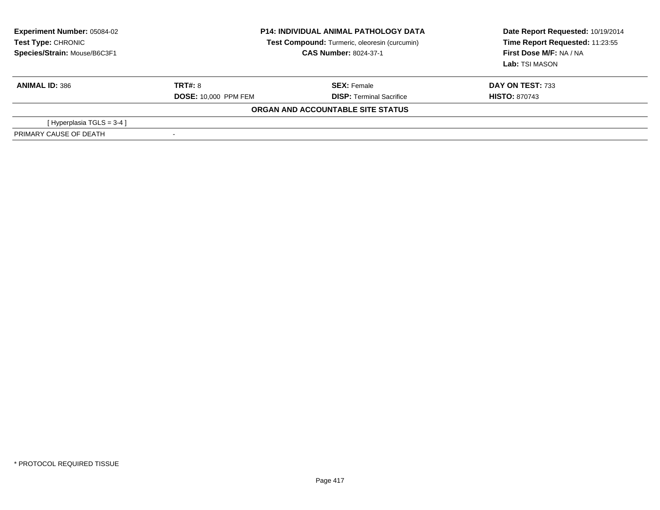| <b>Experiment Number: 05084-02</b><br>Test Type: CHRONIC<br>Species/Strain: Mouse/B6C3F1 | <b>P14: INDIVIDUAL ANIMAL PATHOLOGY DATA</b><br>Test Compound: Turmeric, oleoresin (curcumin)<br><b>CAS Number: 8024-37-1</b> |                                   | Date Report Requested: 10/19/2014<br>Time Report Requested: 11:23:55<br>First Dose M/F: NA / NA<br>Lab: TSI MASON |
|------------------------------------------------------------------------------------------|-------------------------------------------------------------------------------------------------------------------------------|-----------------------------------|-------------------------------------------------------------------------------------------------------------------|
| <b>ANIMAL ID: 386</b>                                                                    | <b>TRT#: 8</b>                                                                                                                | <b>SEX: Female</b>                | DAY ON TEST: 733                                                                                                  |
|                                                                                          | <b>DOSE: 10,000 PPM FEM</b>                                                                                                   | <b>DISP: Terminal Sacrifice</b>   | <b>HISTO: 870743</b>                                                                                              |
|                                                                                          |                                                                                                                               | ORGAN AND ACCOUNTABLE SITE STATUS |                                                                                                                   |
| [Hyperplasia TGLS = $3-4$ ]                                                              |                                                                                                                               |                                   |                                                                                                                   |
| PRIMARY CAUSE OF DEATH                                                                   |                                                                                                                               |                                   |                                                                                                                   |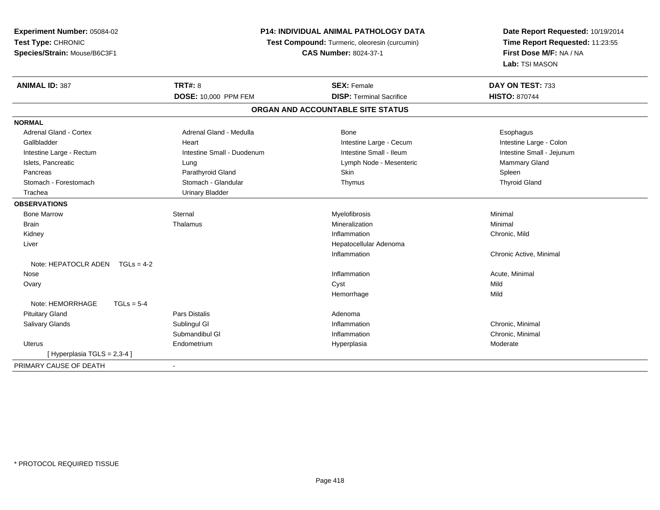**Experiment Number:** 05084-02**Test Type:** CHRONIC **Species/Strain:** Mouse/B6C3F1**P14: INDIVIDUAL ANIMAL PATHOLOGY DATA Test Compound:** Turmeric, oleoresin (curcumin)**CAS Number:** 8024-37-1**Date Report Requested:** 10/19/2014**Time Report Requested:** 11:23:55**First Dose M/F:** NA / NA**Lab:** TSI MASON**ANIMAL ID:** 387**TRT#:** 8 **SEX:** Female **SEX: Female DAY ON TEST:** 733 **DOSE:** 10,000 PPM FEM **DISP:** Terminal Sacrifice **HISTO:** <sup>870744</sup> **ORGAN AND ACCOUNTABLE SITE STATUSNORMALAdrenal Gland - Cortex** Adrenal Gland - Medulla **Bone** Bone **Cortes Adrenal Gland - Cortes Adrenal Gland - Cortes Adrenal Adrenal Bone** Esophagus Intestine Large - Colon Gallbladder **East Community Community** Heart Intestine Large - Cecum Intestine Large - Cecum Intestine Small - Jejunum Intestine Large - Rectum **Intestine Small - Duodenum** Intestine Small - Ileum Intestine Small - Ileum Islets, Pancreatic **Commary Gland** Lung Lung Lung Lymph Node - Mesenteric **Mammary Gland** Mammary Gland Pancreas Parathyroid Gland Skin Spleen**Thyroid Gland** Stomach - Forestomach **Stomach - Stomach - Glandular** Thymus Thymus Thymus Thymus Thymus Thymus Thymus Thymus The Glandular Thymus Thymus Thymus Thymus Thymus Thymus The Glandular The Glandular Thymus Thymus Thymus Thymus Trachea Urinary Bladder**OBSERVATIONS** Bone Marroww the sternal sternal the sternal sternal method of the step of Myelofibrosis and Minimal method of Minimal me<br>The step of the step of the step of the step of the step of the step of the step of the step of the step of th Brainn and the theorem is the three matter of the matter of the matter of the matter of the matter of the matter of  $M$ inimal  $M$ inimal  $M$ inimal  $M$ inimal  $M$ inimal  $M$ inimal  $M$ inimal  $M$ inimal  $M$ inimal  $M$ inimal  $M$ inimal Kidneyy the control of the control of the control of the control of the control of the control of the control of the control of the control of the control of the control of the control of the control of the control of the contro Inflammation Chronic, Mild Liver Hepatocellular AdenomaInflammation Chronic Active, Minimal Note: HEPATOCLR ADEN TGLs = 4-2 Nosee the contraction of the contraction of the contraction of the contraction of the contraction of the contraction  $\mathsf{Acute}$ , Minimal Ovaryy and the control of the control of the control of the control of the control of the control of the control of the control of the control of the control of the control of the control of the control of the control of the co Mild Hemorrhagee Mild Note:  $HEMORRHAGE$   $TGLs = 5-4$  Pituitary Glandd and the contract of Pars Distalis and the contract of Adenoma and Adenoma and the Adenoma and the Adenoma and  $\lambda$  Salivary Glandss Sublingul Gl **Inflammation** Inflammation **Chronic, Minimal** Submandibul Gl Inflammation Chronic, Minimal Uterus Endometriumm and the Hyperplasia measurement of the Hyperplasia measurement of the Moderate Moderate of the Moderate of the Moderate of the Moderate of the Moderate of the Moderate of the Moderate of the Moderate of the Moderate of t [ Hyperplasia TGLS = 2,3-4 ]PRIMARY CAUSE OF DEATH-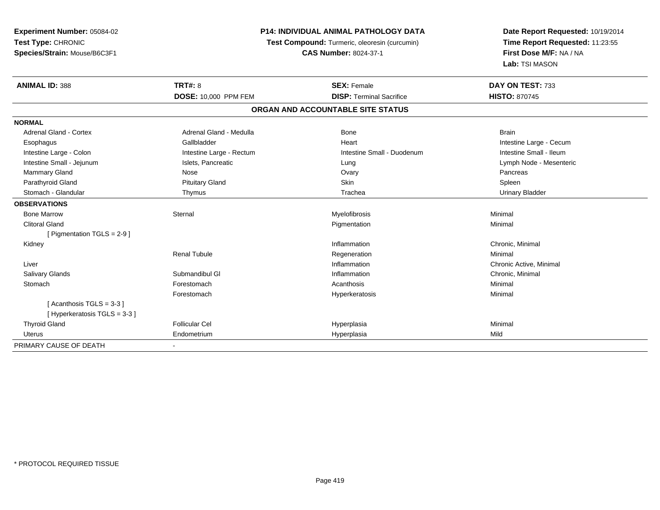| Experiment Number: 05084-02   |                          | <b>P14: INDIVIDUAL ANIMAL PATHOLOGY DATA</b>  | Date Report Requested: 10/19/2014 |  |
|-------------------------------|--------------------------|-----------------------------------------------|-----------------------------------|--|
| Test Type: CHRONIC            |                          | Test Compound: Turmeric, oleoresin (curcumin) | Time Report Requested: 11:23:55   |  |
| Species/Strain: Mouse/B6C3F1  |                          | <b>CAS Number: 8024-37-1</b>                  | First Dose M/F: NA / NA           |  |
|                               |                          |                                               | Lab: TSI MASON                    |  |
| <b>ANIMAL ID: 388</b>         | <b>TRT#: 8</b>           | <b>SEX: Female</b>                            | DAY ON TEST: 733                  |  |
|                               | DOSE: 10,000 PPM FEM     | <b>DISP: Terminal Sacrifice</b>               | <b>HISTO: 870745</b>              |  |
|                               |                          | ORGAN AND ACCOUNTABLE SITE STATUS             |                                   |  |
| <b>NORMAL</b>                 |                          |                                               |                                   |  |
| <b>Adrenal Gland - Cortex</b> | Adrenal Gland - Medulla  | <b>Bone</b>                                   | <b>Brain</b>                      |  |
| Esophagus                     | Gallbladder              | Heart                                         | Intestine Large - Cecum           |  |
| Intestine Large - Colon       | Intestine Large - Rectum | Intestine Small - Duodenum                    | Intestine Small - Ileum           |  |
| Intestine Small - Jejunum     | Islets, Pancreatic       | Lung                                          | Lymph Node - Mesenteric           |  |
| Mammary Gland                 | Nose                     | Ovary                                         | Pancreas                          |  |
| Parathyroid Gland             | <b>Pituitary Gland</b>   | Skin                                          | Spleen                            |  |
| Stomach - Glandular           | Thymus                   | Trachea                                       | <b>Urinary Bladder</b>            |  |
| <b>OBSERVATIONS</b>           |                          |                                               |                                   |  |
| <b>Bone Marrow</b>            | Sternal                  | Myelofibrosis                                 | Minimal                           |  |
| <b>Clitoral Gland</b>         |                          | Pigmentation                                  | Minimal                           |  |
| [ Pigmentation $TGLS = 2-9$ ] |                          |                                               |                                   |  |
| Kidney                        |                          | Inflammation                                  | Chronic, Minimal                  |  |
|                               | <b>Renal Tubule</b>      | Regeneration                                  | Minimal                           |  |
| Liver                         |                          | Inflammation                                  | Chronic Active, Minimal           |  |
| <b>Salivary Glands</b>        | Submandibul GI           | Inflammation                                  | Chronic, Minimal                  |  |
| Stomach                       | Forestomach              | Acanthosis                                    | Minimal                           |  |
|                               | Forestomach              | Hyperkeratosis                                | Minimal                           |  |
| [Acanthosis TGLS = 3-3]       |                          |                                               |                                   |  |
| [Hyperkeratosis TGLS = 3-3]   |                          |                                               |                                   |  |
| <b>Thyroid Gland</b>          | <b>Follicular Cel</b>    | Hyperplasia                                   | Minimal                           |  |
| <b>Uterus</b>                 | Endometrium              | Hyperplasia                                   | Mild                              |  |
| PRIMARY CAUSE OF DEATH        | $\blacksquare$           |                                               |                                   |  |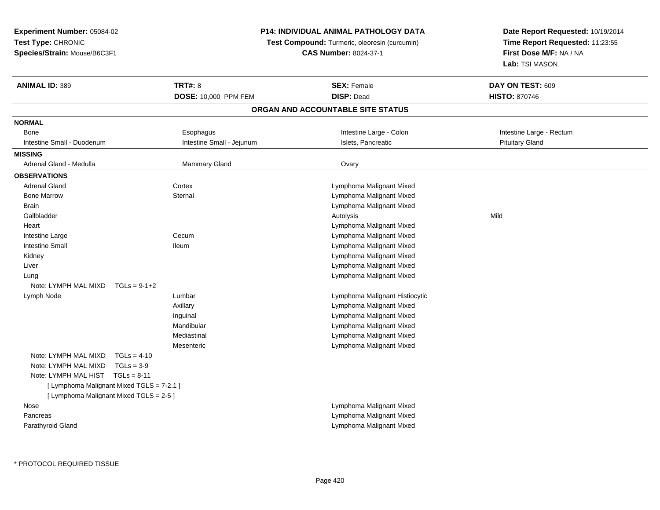**Experiment Number:** 05084-02**Test Type:** CHRONIC**Species/Strain:** Mouse/B6C3F1

## **P14: INDIVIDUAL ANIMAL PATHOLOGY DATA**

**Test Compound:** Turmeric, oleoresin (curcumin)

**CAS Number:** 8024-37-1

**Date Report Requested:** 10/19/2014**Time Report Requested:** 11:23:55**First Dose M/F:** NA / NA**Lab:** TSI MASON

| <b>ANIMAL ID: 389</b>                     | <b>TRT#: 8</b><br>DOSE: 10,000 PPM FEM | <b>SEX: Female</b><br><b>DISP: Dead</b> | DAY ON TEST: 609<br><b>HISTO: 870746</b> |  |  |  |
|-------------------------------------------|----------------------------------------|-----------------------------------------|------------------------------------------|--|--|--|
| ORGAN AND ACCOUNTABLE SITE STATUS         |                                        |                                         |                                          |  |  |  |
| <b>NORMAL</b>                             |                                        |                                         |                                          |  |  |  |
| <b>Bone</b>                               | Esophagus                              | Intestine Large - Colon                 | Intestine Large - Rectum                 |  |  |  |
| Intestine Small - Duodenum                | Intestine Small - Jejunum              | Islets, Pancreatic                      | <b>Pituitary Gland</b>                   |  |  |  |
| <b>MISSING</b>                            |                                        |                                         |                                          |  |  |  |
| Adrenal Gland - Medulla                   | <b>Mammary Gland</b>                   | Ovary                                   |                                          |  |  |  |
| <b>OBSERVATIONS</b>                       |                                        |                                         |                                          |  |  |  |
| <b>Adrenal Gland</b>                      | Cortex                                 | Lymphoma Malignant Mixed                |                                          |  |  |  |
| <b>Bone Marrow</b>                        | Sternal                                | Lymphoma Malignant Mixed                |                                          |  |  |  |
| <b>Brain</b>                              |                                        | Lymphoma Malignant Mixed                |                                          |  |  |  |
| Gallbladder                               |                                        | Autolysis                               | Mild                                     |  |  |  |
| Heart                                     |                                        | Lymphoma Malignant Mixed                |                                          |  |  |  |
| Intestine Large                           | Cecum                                  | Lymphoma Malignant Mixed                |                                          |  |  |  |
| <b>Intestine Small</b>                    | lleum                                  | Lymphoma Malignant Mixed                |                                          |  |  |  |
| Kidney                                    |                                        | Lymphoma Malignant Mixed                |                                          |  |  |  |
| Liver                                     |                                        | Lymphoma Malignant Mixed                |                                          |  |  |  |
| Lung                                      |                                        | Lymphoma Malignant Mixed                |                                          |  |  |  |
| Note: LYMPH MAL MIXD                      | $TGLs = 9-1+2$                         |                                         |                                          |  |  |  |
| Lymph Node                                | Lumbar                                 | Lymphoma Malignant Histiocytic          |                                          |  |  |  |
|                                           | Axillary                               | Lymphoma Malignant Mixed                |                                          |  |  |  |
|                                           | Inguinal                               | Lymphoma Malignant Mixed                |                                          |  |  |  |
|                                           | Mandibular                             | Lymphoma Malignant Mixed                |                                          |  |  |  |
|                                           | Mediastinal                            | Lymphoma Malignant Mixed                |                                          |  |  |  |
|                                           | Mesenteric                             | Lymphoma Malignant Mixed                |                                          |  |  |  |
| Note: LYMPH MAL MIXD<br>$TGLs = 4-10$     |                                        |                                         |                                          |  |  |  |
| Note: LYMPH MAL MIXD<br>$TGLs = 3-9$      |                                        |                                         |                                          |  |  |  |
| Note: LYMPH MAL HIST<br>$TGLs = 8-11$     |                                        |                                         |                                          |  |  |  |
| [ Lymphoma Malignant Mixed TGLS = 7-2.1 ] |                                        |                                         |                                          |  |  |  |
| [ Lymphoma Malignant Mixed TGLS = 2-5 ]   |                                        |                                         |                                          |  |  |  |
| Nose                                      |                                        | Lymphoma Malignant Mixed                |                                          |  |  |  |
| Pancreas                                  |                                        | Lymphoma Malignant Mixed                |                                          |  |  |  |
| Parathyroid Gland                         |                                        | Lymphoma Malignant Mixed                |                                          |  |  |  |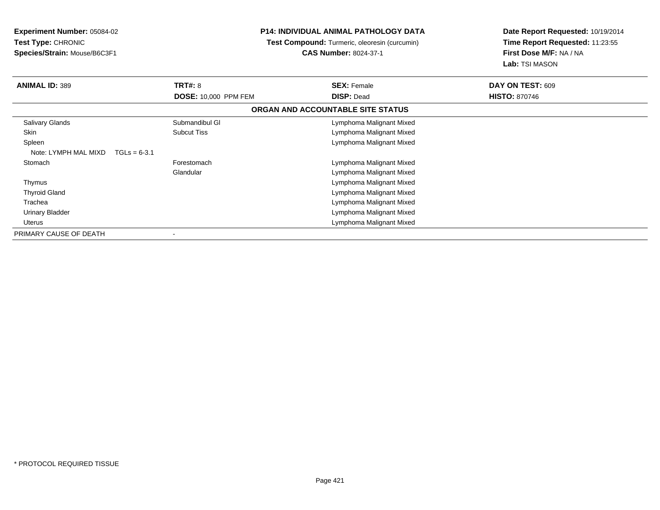**Experiment Number:** 05084-02**Test Type:** CHRONIC**Species/Strain:** Mouse/B6C3F1

## **P14: INDIVIDUAL ANIMAL PATHOLOGY DATA**

 **Test Compound:** Turmeric, oleoresin (curcumin)**CAS Number:** 8024-37-1

**Date Report Requested:** 10/19/2014**Time Report Requested:** 11:23:55**First Dose M/F:** NA / NA**Lab:** TSI MASON

| <b>ANIMAL ID: 389</b>                  | <b>TRT#: 8</b>              | <b>SEX: Female</b>                | DAY ON TEST: 609     |
|----------------------------------------|-----------------------------|-----------------------------------|----------------------|
|                                        | <b>DOSE: 10,000 PPM FEM</b> | <b>DISP: Dead</b>                 | <b>HISTO: 870746</b> |
|                                        |                             | ORGAN AND ACCOUNTABLE SITE STATUS |                      |
| <b>Salivary Glands</b>                 | Submandibul GI              | Lymphoma Malignant Mixed          |                      |
| Skin                                   | <b>Subcut Tiss</b>          | Lymphoma Malignant Mixed          |                      |
| Spleen                                 |                             | Lymphoma Malignant Mixed          |                      |
| Note: LYMPH MAL MIXD<br>$TGLs = 6-3.1$ |                             |                                   |                      |
| Stomach                                | Forestomach                 | Lymphoma Malignant Mixed          |                      |
|                                        | Glandular                   | Lymphoma Malignant Mixed          |                      |
| Thymus                                 |                             | Lymphoma Malignant Mixed          |                      |
| <b>Thyroid Gland</b>                   |                             | Lymphoma Malignant Mixed          |                      |
| Trachea                                |                             | Lymphoma Malignant Mixed          |                      |
| <b>Urinary Bladder</b>                 |                             | Lymphoma Malignant Mixed          |                      |
| Uterus                                 |                             | Lymphoma Malignant Mixed          |                      |
| PRIMARY CAUSE OF DEATH                 |                             |                                   |                      |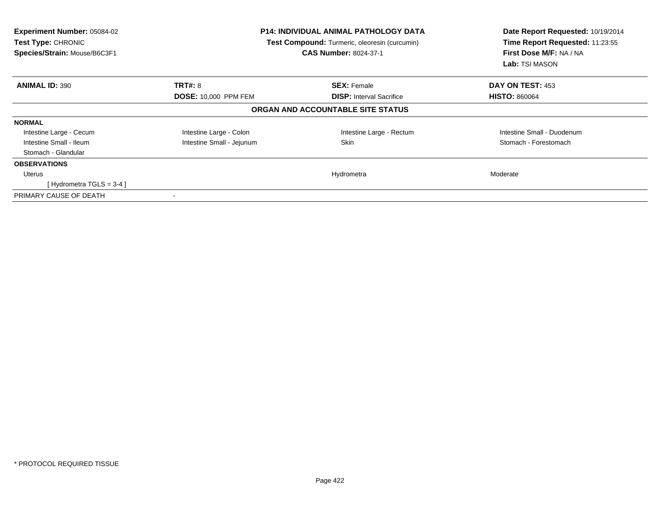| <b>Experiment Number: 05084-02</b><br>Test Type: CHRONIC<br>Species/Strain: Mouse/B6C3F1 |                             | <b>P14: INDIVIDUAL ANIMAL PATHOLOGY DATA</b><br>Test Compound: Turmeric, oleoresin (curcumin)<br><b>CAS Number: 8024-37-1</b> | Date Report Requested: 10/19/2014<br>Time Report Requested: 11:23:55<br>First Dose M/F: NA / NA<br>Lab: TSI MASON |
|------------------------------------------------------------------------------------------|-----------------------------|-------------------------------------------------------------------------------------------------------------------------------|-------------------------------------------------------------------------------------------------------------------|
| <b>ANIMAL ID: 390</b>                                                                    | <b>TRT#: 8</b>              | <b>SEX: Female</b>                                                                                                            | DAY ON TEST: 453                                                                                                  |
|                                                                                          | <b>DOSE: 10,000 PPM FEM</b> | <b>DISP:</b> Interval Sacrifice                                                                                               | <b>HISTO: 860064</b>                                                                                              |
|                                                                                          |                             | ORGAN AND ACCOUNTABLE SITE STATUS                                                                                             |                                                                                                                   |
| <b>NORMAL</b>                                                                            |                             |                                                                                                                               |                                                                                                                   |
| Intestine Large - Cecum                                                                  | Intestine Large - Colon     | Intestine Large - Rectum                                                                                                      | Intestine Small - Duodenum                                                                                        |
| Intestine Small - Ileum                                                                  | Intestine Small - Jejunum   | Skin                                                                                                                          | Stomach - Forestomach                                                                                             |
| Stomach - Glandular                                                                      |                             |                                                                                                                               |                                                                                                                   |
| <b>OBSERVATIONS</b>                                                                      |                             |                                                                                                                               |                                                                                                                   |
| <b>Uterus</b>                                                                            |                             | Hydrometra                                                                                                                    | Moderate                                                                                                          |
| [Hydrometra TGLS = $3-4$ ]                                                               |                             |                                                                                                                               |                                                                                                                   |
| PRIMARY CAUSE OF DEATH                                                                   |                             |                                                                                                                               |                                                                                                                   |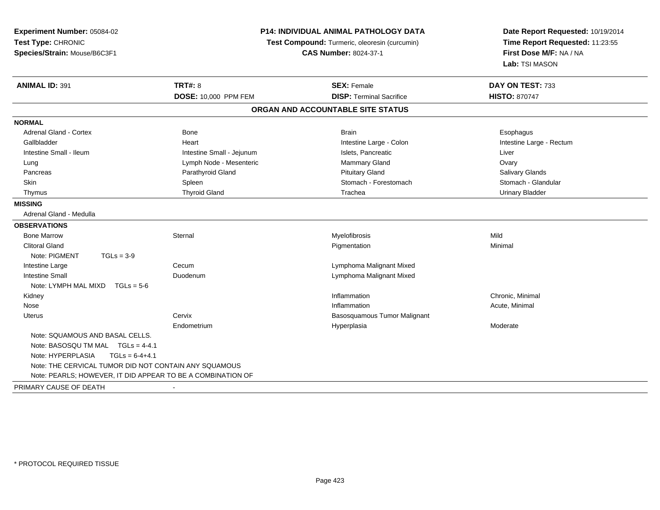| Experiment Number: 05084-02<br>Test Type: CHRONIC<br>Species/Strain: Mouse/B6C3F1 |                           | P14: INDIVIDUAL ANIMAL PATHOLOGY DATA<br>Test Compound: Turmeric, oleoresin (curcumin)<br><b>CAS Number: 8024-37-1</b> | Date Report Requested: 10/19/2014<br>Time Report Requested: 11:23:55<br>First Dose M/F: NA / NA<br>Lab: TSI MASON |
|-----------------------------------------------------------------------------------|---------------------------|------------------------------------------------------------------------------------------------------------------------|-------------------------------------------------------------------------------------------------------------------|
| <b>ANIMAL ID: 391</b>                                                             | TRT#: 8                   | <b>SEX: Female</b>                                                                                                     | DAY ON TEST: 733                                                                                                  |
|                                                                                   | DOSE: 10,000 PPM FEM      | <b>DISP: Terminal Sacrifice</b>                                                                                        | <b>HISTO: 870747</b>                                                                                              |
|                                                                                   |                           | ORGAN AND ACCOUNTABLE SITE STATUS                                                                                      |                                                                                                                   |
| <b>NORMAL</b>                                                                     |                           |                                                                                                                        |                                                                                                                   |
| <b>Adrenal Gland - Cortex</b>                                                     | Bone                      | <b>Brain</b>                                                                                                           | Esophagus                                                                                                         |
| Gallbladder                                                                       | Heart                     | Intestine Large - Colon                                                                                                | Intestine Large - Rectum                                                                                          |
| Intestine Small - Ileum                                                           | Intestine Small - Jejunum | Islets, Pancreatic                                                                                                     | Liver                                                                                                             |
| Lung                                                                              | Lymph Node - Mesenteric   | Mammary Gland                                                                                                          | Ovary                                                                                                             |
| Pancreas                                                                          | Parathyroid Gland         | <b>Pituitary Gland</b>                                                                                                 | <b>Salivary Glands</b>                                                                                            |
| Skin                                                                              | Spleen                    | Stomach - Forestomach                                                                                                  | Stomach - Glandular                                                                                               |
| Thymus                                                                            | <b>Thyroid Gland</b>      | Trachea                                                                                                                | <b>Urinary Bladder</b>                                                                                            |
| <b>MISSING</b>                                                                    |                           |                                                                                                                        |                                                                                                                   |
| Adrenal Gland - Medulla                                                           |                           |                                                                                                                        |                                                                                                                   |
| <b>OBSERVATIONS</b>                                                               |                           |                                                                                                                        |                                                                                                                   |
| <b>Bone Marrow</b>                                                                | Sternal                   | Myelofibrosis                                                                                                          | Mild                                                                                                              |
| <b>Clitoral Gland</b>                                                             |                           | Pigmentation                                                                                                           | Minimal                                                                                                           |
| Note: PIGMENT<br>$TGLs = 3-9$                                                     |                           |                                                                                                                        |                                                                                                                   |
| Intestine Large                                                                   | Cecum                     | Lymphoma Malignant Mixed                                                                                               |                                                                                                                   |
| <b>Intestine Small</b>                                                            | Duodenum                  | Lymphoma Malignant Mixed                                                                                               |                                                                                                                   |
| Note: LYMPH MAL MIXD<br>$TGLs = 5-6$                                              |                           |                                                                                                                        |                                                                                                                   |
| Kidney                                                                            |                           | Inflammation                                                                                                           | Chronic, Minimal                                                                                                  |
| Nose                                                                              |                           | Inflammation                                                                                                           | Acute, Minimal                                                                                                    |
| <b>Uterus</b>                                                                     | Cervix                    | Basosquamous Tumor Malignant                                                                                           |                                                                                                                   |
|                                                                                   | Endometrium               | Hyperplasia                                                                                                            | Moderate                                                                                                          |
| Note: SQUAMOUS AND BASAL CELLS.                                                   |                           |                                                                                                                        |                                                                                                                   |
| Note: BASOSQU TM MAL TGLs = 4-4.1                                                 |                           |                                                                                                                        |                                                                                                                   |
| Note: HYPERPLASIA<br>$TGLs = 6-4+4.1$                                             |                           |                                                                                                                        |                                                                                                                   |
| Note: THE CERVICAL TUMOR DID NOT CONTAIN ANY SQUAMOUS                             |                           |                                                                                                                        |                                                                                                                   |
| Note: PEARLS; HOWEVER, IT DID APPEAR TO BE A COMBINATION OF                       |                           |                                                                                                                        |                                                                                                                   |
| PRIMARY CAUSE OF DEATH                                                            |                           |                                                                                                                        |                                                                                                                   |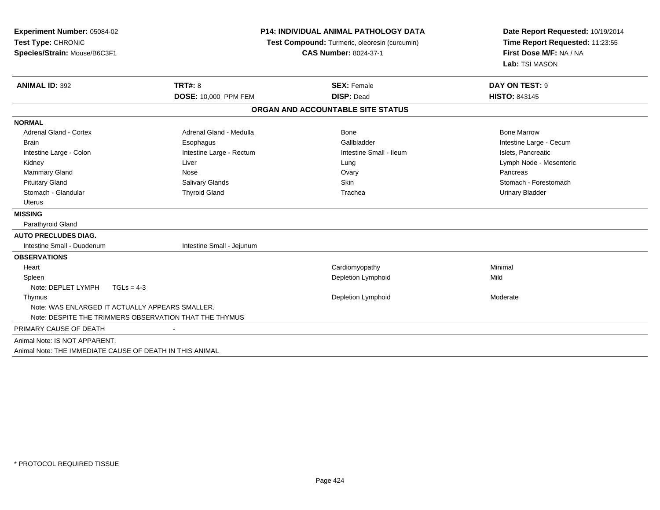| Experiment Number: 05084-02<br>Test Type: CHRONIC<br>Species/Strain: Mouse/B6C3F1 |                           | <b>P14: INDIVIDUAL ANIMAL PATHOLOGY DATA</b><br>Test Compound: Turmeric, oleoresin (curcumin)<br><b>CAS Number: 8024-37-1</b> | Date Report Requested: 10/19/2014<br>Time Report Requested: 11:23:55<br>First Dose M/F: NA / NA<br>Lab: TSI MASON |
|-----------------------------------------------------------------------------------|---------------------------|-------------------------------------------------------------------------------------------------------------------------------|-------------------------------------------------------------------------------------------------------------------|
| <b>ANIMAL ID: 392</b>                                                             | <b>TRT#: 8</b>            | <b>SEX: Female</b>                                                                                                            | DAY ON TEST: 9                                                                                                    |
|                                                                                   | DOSE: 10,000 PPM FEM      | <b>DISP: Dead</b>                                                                                                             | <b>HISTO: 843145</b>                                                                                              |
|                                                                                   |                           | ORGAN AND ACCOUNTABLE SITE STATUS                                                                                             |                                                                                                                   |
| <b>NORMAL</b>                                                                     |                           |                                                                                                                               |                                                                                                                   |
| Adrenal Gland - Cortex                                                            | Adrenal Gland - Medulla   | Bone                                                                                                                          | <b>Bone Marrow</b>                                                                                                |
| <b>Brain</b>                                                                      | Esophagus                 | Gallbladder                                                                                                                   | Intestine Large - Cecum                                                                                           |
| Intestine Large - Colon                                                           | Intestine Large - Rectum  | Intestine Small - Ileum                                                                                                       | Islets, Pancreatic                                                                                                |
| Kidney                                                                            | Liver                     | Lung                                                                                                                          | Lymph Node - Mesenteric                                                                                           |
| Mammary Gland                                                                     | Nose                      | Ovary                                                                                                                         | Pancreas                                                                                                          |
| <b>Pituitary Gland</b>                                                            | <b>Salivary Glands</b>    | Skin                                                                                                                          | Stomach - Forestomach                                                                                             |
| Stomach - Glandular                                                               | <b>Thyroid Gland</b>      | Trachea                                                                                                                       | <b>Urinary Bladder</b>                                                                                            |
| Uterus                                                                            |                           |                                                                                                                               |                                                                                                                   |
| <b>MISSING</b>                                                                    |                           |                                                                                                                               |                                                                                                                   |
| Parathyroid Gland                                                                 |                           |                                                                                                                               |                                                                                                                   |
| <b>AUTO PRECLUDES DIAG.</b>                                                       |                           |                                                                                                                               |                                                                                                                   |
| Intestine Small - Duodenum                                                        | Intestine Small - Jejunum |                                                                                                                               |                                                                                                                   |
| <b>OBSERVATIONS</b>                                                               |                           |                                                                                                                               |                                                                                                                   |
| Heart                                                                             |                           | Cardiomyopathy                                                                                                                | Minimal                                                                                                           |
| Spleen                                                                            |                           | Depletion Lymphoid                                                                                                            | Mild                                                                                                              |
| Note: DEPLET LYMPH<br>$TGLs = 4-3$                                                |                           |                                                                                                                               |                                                                                                                   |
| Thymus                                                                            |                           | Depletion Lymphoid                                                                                                            | Moderate                                                                                                          |
| Note: WAS ENLARGED IT ACTUALLY APPEARS SMALLER.                                   |                           |                                                                                                                               |                                                                                                                   |
| Note: DESPITE THE TRIMMERS OBSERVATION THAT THE THYMUS                            |                           |                                                                                                                               |                                                                                                                   |
| PRIMARY CAUSE OF DEATH                                                            |                           |                                                                                                                               |                                                                                                                   |
| Animal Note: IS NOT APPARENT.                                                     |                           |                                                                                                                               |                                                                                                                   |
| Animal Note: THE IMMEDIATE CAUSE OF DEATH IN THIS ANIMAL                          |                           |                                                                                                                               |                                                                                                                   |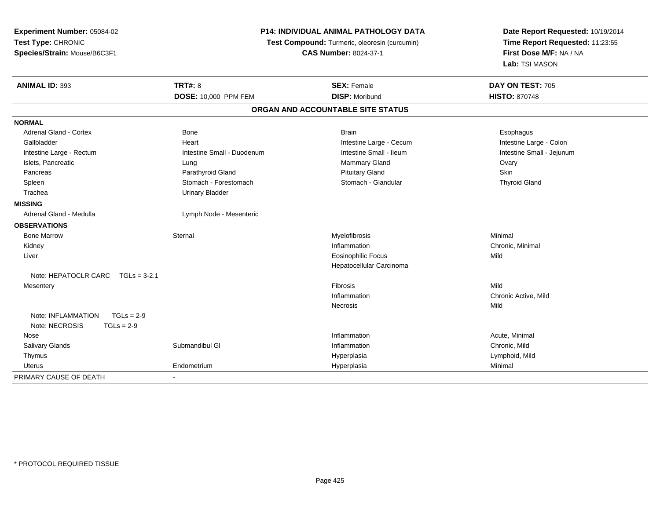| Experiment Number: 05084-02                                          | <b>P14: INDIVIDUAL ANIMAL PATHOLOGY DATA</b><br>Test Compound: Turmeric, oleoresin (curcumin) |                                   | Date Report Requested: 10/19/2014<br>Time Report Requested: 11:23:55 |
|----------------------------------------------------------------------|-----------------------------------------------------------------------------------------------|-----------------------------------|----------------------------------------------------------------------|
| Test Type: CHRONIC                                                   |                                                                                               |                                   |                                                                      |
| Species/Strain: Mouse/B6C3F1                                         |                                                                                               | <b>CAS Number: 8024-37-1</b>      | First Dose M/F: NA / NA<br>Lab: TSI MASON                            |
|                                                                      |                                                                                               |                                   |                                                                      |
| <b>ANIMAL ID: 393</b>                                                | <b>TRT#: 8</b>                                                                                | <b>SEX: Female</b>                | DAY ON TEST: 705                                                     |
|                                                                      | <b>DOSE: 10,000 PPM FEM</b>                                                                   | <b>DISP: Moribund</b>             | <b>HISTO: 870748</b>                                                 |
|                                                                      |                                                                                               | ORGAN AND ACCOUNTABLE SITE STATUS |                                                                      |
| <b>NORMAL</b>                                                        |                                                                                               |                                   |                                                                      |
| <b>Adrenal Gland - Cortex</b>                                        | Bone                                                                                          | <b>Brain</b>                      | Esophagus                                                            |
| Gallbladder                                                          | Heart                                                                                         | Intestine Large - Cecum           | Intestine Large - Colon                                              |
| Intestine Large - Rectum                                             | Intestine Small - Duodenum                                                                    | Intestine Small - Ileum           | Intestine Small - Jejunum                                            |
| Islets, Pancreatic                                                   | Lung                                                                                          | Mammary Gland                     | Ovary                                                                |
| Pancreas                                                             | Parathyroid Gland                                                                             | <b>Pituitary Gland</b>            | Skin                                                                 |
| Spleen                                                               | Stomach - Forestomach                                                                         | Stomach - Glandular               | <b>Thyroid Gland</b>                                                 |
| Trachea                                                              | <b>Urinary Bladder</b>                                                                        |                                   |                                                                      |
| <b>MISSING</b>                                                       |                                                                                               |                                   |                                                                      |
| Adrenal Gland - Medulla                                              | Lymph Node - Mesenteric                                                                       |                                   |                                                                      |
| <b>OBSERVATIONS</b>                                                  |                                                                                               |                                   |                                                                      |
| <b>Bone Marrow</b>                                                   | Sternal                                                                                       | Myelofibrosis                     | Minimal                                                              |
| Kidney                                                               |                                                                                               | Inflammation                      | Chronic, Minimal                                                     |
| Liver                                                                |                                                                                               | <b>Eosinophilic Focus</b>         | Mild                                                                 |
|                                                                      |                                                                                               | Hepatocellular Carcinoma          |                                                                      |
| Note: HEPATOCLR CARC<br>$TGLs = 3-2.1$                               |                                                                                               |                                   |                                                                      |
| Mesentery                                                            |                                                                                               | <b>Fibrosis</b>                   | Mild                                                                 |
|                                                                      |                                                                                               | Inflammation                      | Chronic Active, Mild                                                 |
|                                                                      |                                                                                               | Necrosis                          | Mild                                                                 |
| Note: INFLAMMATION<br>$TGLs = 2-9$<br>Note: NECROSIS<br>$TGLs = 2-9$ |                                                                                               |                                   |                                                                      |
| Nose                                                                 |                                                                                               | Inflammation                      | Acute, Minimal                                                       |
| Salivary Glands                                                      | Submandibul GI                                                                                | Inflammation                      | Chronic, Mild                                                        |
| Thymus                                                               |                                                                                               | Hyperplasia                       | Lymphoid, Mild                                                       |
| <b>Uterus</b>                                                        | Endometrium                                                                                   | Hyperplasia                       | Minimal                                                              |
| PRIMARY CAUSE OF DEATH                                               |                                                                                               |                                   |                                                                      |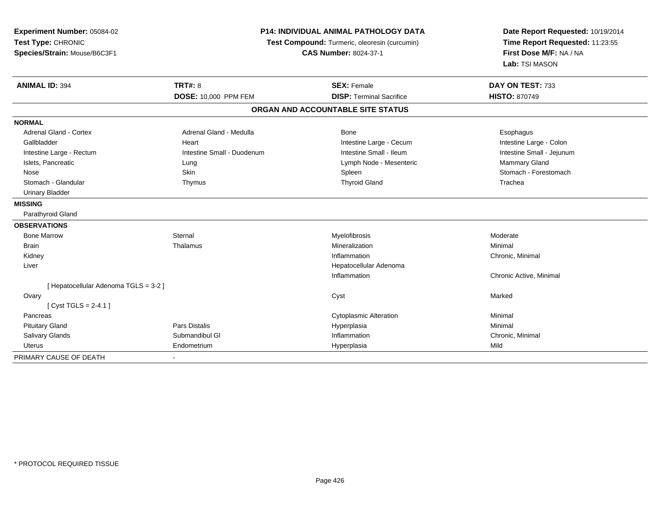| Experiment Number: 05084-02<br>Test Type: CHRONIC<br>Species/Strain: Mouse/B6C3F1 | <b>P14: INDIVIDUAL ANIMAL PATHOLOGY DATA</b><br>Test Compound: Turmeric, oleoresin (curcumin)<br><b>CAS Number: 8024-37-1</b> |                                   | Date Report Requested: 10/19/2014<br>Time Report Requested: 11:23:55<br>First Dose M/F: NA / NA<br>Lab: TSI MASON |
|-----------------------------------------------------------------------------------|-------------------------------------------------------------------------------------------------------------------------------|-----------------------------------|-------------------------------------------------------------------------------------------------------------------|
| <b>ANIMAL ID: 394</b>                                                             | <b>TRT#: 8</b>                                                                                                                | <b>SEX: Female</b>                | DAY ON TEST: 733                                                                                                  |
|                                                                                   | DOSE: 10,000 PPM FEM                                                                                                          | <b>DISP: Terminal Sacrifice</b>   | <b>HISTO: 870749</b>                                                                                              |
|                                                                                   |                                                                                                                               | ORGAN AND ACCOUNTABLE SITE STATUS |                                                                                                                   |
| <b>NORMAL</b>                                                                     |                                                                                                                               |                                   |                                                                                                                   |
| Adrenal Gland - Cortex                                                            | Adrenal Gland - Medulla                                                                                                       | Bone                              | Esophagus                                                                                                         |
| Gallbladder                                                                       | Heart                                                                                                                         | Intestine Large - Cecum           | Intestine Large - Colon                                                                                           |
| Intestine Large - Rectum                                                          | Intestine Small - Duodenum                                                                                                    | Intestine Small - Ileum           | Intestine Small - Jejunum                                                                                         |
| Islets, Pancreatic                                                                | Lung                                                                                                                          | Lymph Node - Mesenteric           | Mammary Gland                                                                                                     |
| Nose                                                                              | <b>Skin</b>                                                                                                                   | Spleen                            | Stomach - Forestomach                                                                                             |
| Stomach - Glandular                                                               | Thymus                                                                                                                        | <b>Thyroid Gland</b>              | Trachea                                                                                                           |
| <b>Urinary Bladder</b>                                                            |                                                                                                                               |                                   |                                                                                                                   |
| <b>MISSING</b>                                                                    |                                                                                                                               |                                   |                                                                                                                   |
| Parathyroid Gland                                                                 |                                                                                                                               |                                   |                                                                                                                   |
| <b>OBSERVATIONS</b>                                                               |                                                                                                                               |                                   |                                                                                                                   |
| <b>Bone Marrow</b>                                                                | Sternal                                                                                                                       | Myelofibrosis                     | Moderate                                                                                                          |
| <b>Brain</b>                                                                      | Thalamus                                                                                                                      | Mineralization                    | Minimal                                                                                                           |
| Kidney                                                                            |                                                                                                                               | Inflammation                      | Chronic, Minimal                                                                                                  |
| Liver                                                                             |                                                                                                                               | Hepatocellular Adenoma            |                                                                                                                   |
|                                                                                   |                                                                                                                               | Inflammation                      | Chronic Active, Minimal                                                                                           |
| [ Hepatocellular Adenoma TGLS = 3-2 ]                                             |                                                                                                                               |                                   |                                                                                                                   |
| Ovary                                                                             |                                                                                                                               | Cyst                              | Marked                                                                                                            |
| [Cyst TGLS = $2-4.1$ ]                                                            |                                                                                                                               |                                   |                                                                                                                   |
| Pancreas                                                                          |                                                                                                                               | <b>Cytoplasmic Alteration</b>     | Minimal                                                                                                           |
| <b>Pituitary Gland</b>                                                            | <b>Pars Distalis</b>                                                                                                          | Hyperplasia                       | Minimal                                                                                                           |
| Salivary Glands                                                                   | Submandibul GI                                                                                                                | Inflammation                      | Chronic, Minimal                                                                                                  |
| <b>Uterus</b>                                                                     | Endometrium                                                                                                                   | Hyperplasia                       | Mild                                                                                                              |
| PRIMARY CAUSE OF DEATH                                                            |                                                                                                                               |                                   |                                                                                                                   |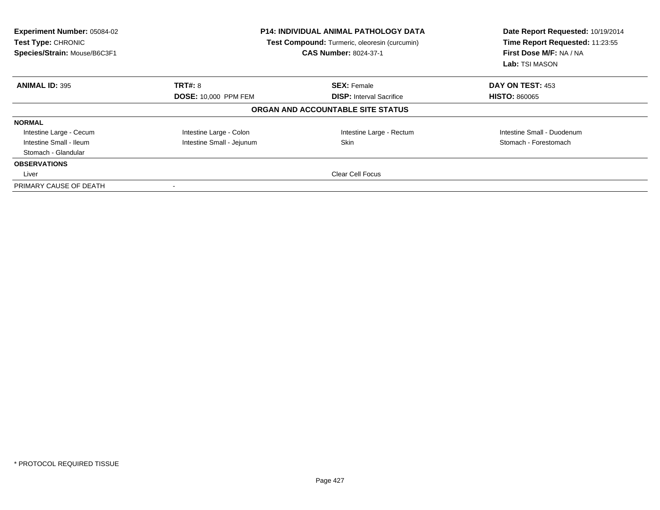| <b>Experiment Number: 05084-02</b><br>Test Type: CHRONIC<br>Species/Strain: Mouse/B6C3F1 |                             | <b>P14: INDIVIDUAL ANIMAL PATHOLOGY DATA</b><br>Test Compound: Turmeric, oleoresin (curcumin)<br><b>CAS Number: 8024-37-1</b> | Date Report Requested: 10/19/2014<br>Time Report Requested: 11:23:55<br>First Dose M/F: NA / NA<br><b>Lab:</b> TSI MASON |
|------------------------------------------------------------------------------------------|-----------------------------|-------------------------------------------------------------------------------------------------------------------------------|--------------------------------------------------------------------------------------------------------------------------|
| <b>ANIMAL ID: 395</b>                                                                    | <b>TRT#: 8</b>              | <b>SEX: Female</b>                                                                                                            | DAY ON TEST: 453                                                                                                         |
|                                                                                          | <b>DOSE: 10,000 PPM FEM</b> | <b>DISP:</b> Interval Sacrifice                                                                                               | <b>HISTO: 860065</b>                                                                                                     |
|                                                                                          |                             | ORGAN AND ACCOUNTABLE SITE STATUS                                                                                             |                                                                                                                          |
| <b>NORMAL</b>                                                                            |                             |                                                                                                                               |                                                                                                                          |
| Intestine Large - Cecum                                                                  | Intestine Large - Colon     | Intestine Large - Rectum                                                                                                      | Intestine Small - Duodenum                                                                                               |
| Intestine Small - Ileum                                                                  | Intestine Small - Jejunum   | <b>Skin</b>                                                                                                                   | Stomach - Forestomach                                                                                                    |
| Stomach - Glandular                                                                      |                             |                                                                                                                               |                                                                                                                          |
| <b>OBSERVATIONS</b>                                                                      |                             |                                                                                                                               |                                                                                                                          |
| Liver                                                                                    | <b>Clear Cell Focus</b>     |                                                                                                                               |                                                                                                                          |
| PRIMARY CAUSE OF DEATH                                                                   |                             |                                                                                                                               |                                                                                                                          |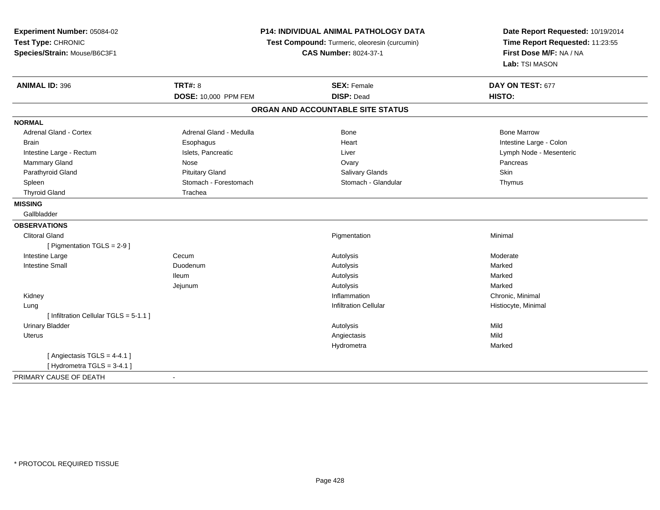| Experiment Number: 05084-02<br>Test Type: CHRONIC<br>Species/Strain: Mouse/B6C3F1 |                             | <b>P14: INDIVIDUAL ANIMAL PATHOLOGY DATA</b><br>Test Compound: Turmeric, oleoresin (curcumin)<br><b>CAS Number: 8024-37-1</b> | Date Report Requested: 10/19/2014<br>Time Report Requested: 11:23:55<br>First Dose M/F: NA / NA<br>Lab: TSI MASON |
|-----------------------------------------------------------------------------------|-----------------------------|-------------------------------------------------------------------------------------------------------------------------------|-------------------------------------------------------------------------------------------------------------------|
| <b>ANIMAL ID: 396</b>                                                             | <b>TRT#: 8</b>              | <b>SEX: Female</b>                                                                                                            | DAY ON TEST: 677                                                                                                  |
|                                                                                   | <b>DOSE: 10,000 PPM FEM</b> | <b>DISP: Dead</b>                                                                                                             | <b>HISTO:</b>                                                                                                     |
|                                                                                   |                             | ORGAN AND ACCOUNTABLE SITE STATUS                                                                                             |                                                                                                                   |
| <b>NORMAL</b>                                                                     |                             |                                                                                                                               |                                                                                                                   |
| <b>Adrenal Gland - Cortex</b>                                                     | Adrenal Gland - Medulla     | <b>Bone</b>                                                                                                                   | <b>Bone Marrow</b>                                                                                                |
| <b>Brain</b>                                                                      | Esophagus                   | Heart                                                                                                                         | Intestine Large - Colon                                                                                           |
| Intestine Large - Rectum                                                          | Islets, Pancreatic          | Liver                                                                                                                         | Lymph Node - Mesenteric                                                                                           |
| Mammary Gland                                                                     | Nose                        | Ovary                                                                                                                         | Pancreas                                                                                                          |
| Parathyroid Gland                                                                 | <b>Pituitary Gland</b>      | Salivary Glands                                                                                                               | Skin                                                                                                              |
| Spleen                                                                            | Stomach - Forestomach       | Stomach - Glandular                                                                                                           | Thymus                                                                                                            |
| <b>Thyroid Gland</b>                                                              | Trachea                     |                                                                                                                               |                                                                                                                   |
| <b>MISSING</b>                                                                    |                             |                                                                                                                               |                                                                                                                   |
| Gallbladder                                                                       |                             |                                                                                                                               |                                                                                                                   |
| <b>OBSERVATIONS</b>                                                               |                             |                                                                                                                               |                                                                                                                   |
| <b>Clitoral Gland</b>                                                             |                             | Pigmentation                                                                                                                  | Minimal                                                                                                           |
| [ Pigmentation TGLS = 2-9 ]                                                       |                             |                                                                                                                               |                                                                                                                   |
| Intestine Large                                                                   | Cecum                       | Autolysis                                                                                                                     | Moderate                                                                                                          |
| <b>Intestine Small</b>                                                            | Duodenum                    | Autolysis                                                                                                                     | Marked                                                                                                            |
|                                                                                   | <b>Ileum</b>                | Autolysis                                                                                                                     | Marked                                                                                                            |
|                                                                                   | Jejunum                     | Autolysis                                                                                                                     | Marked                                                                                                            |
| Kidney                                                                            |                             | Inflammation                                                                                                                  | Chronic, Minimal                                                                                                  |
| Lung                                                                              |                             | <b>Infiltration Cellular</b>                                                                                                  | Histiocyte, Minimal                                                                                               |
| [ Infiltration Cellular TGLS = 5-1.1 ]                                            |                             |                                                                                                                               |                                                                                                                   |
| <b>Urinary Bladder</b>                                                            |                             | Autolysis                                                                                                                     | Mild                                                                                                              |
| <b>Uterus</b>                                                                     |                             | Angiectasis                                                                                                                   | Mild                                                                                                              |
|                                                                                   |                             | Hydrometra                                                                                                                    | Marked                                                                                                            |
| [Angiectasis TGLS = 4-4.1]                                                        |                             |                                                                                                                               |                                                                                                                   |
| [Hydrometra TGLS = $3-4.1$ ]                                                      |                             |                                                                                                                               |                                                                                                                   |
| PRIMARY CAUSE OF DEATH                                                            | $\overline{\phantom{a}}$    |                                                                                                                               |                                                                                                                   |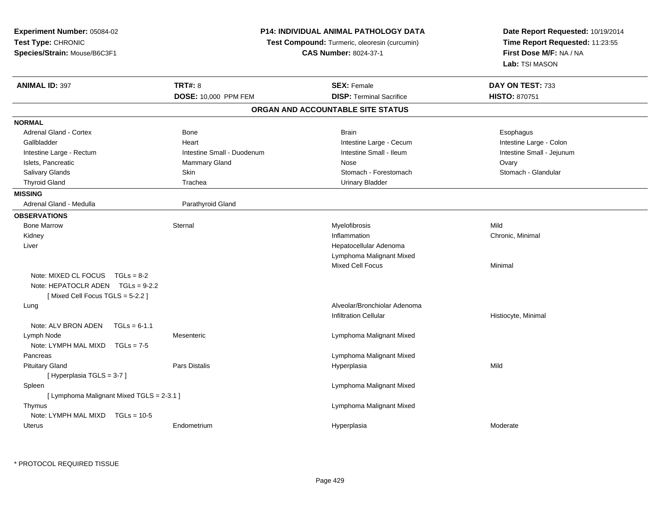| Experiment Number: 05084-02<br>Test Type: CHRONIC<br>Species/Strain: Mouse/B6C3F1 | <b>P14: INDIVIDUAL ANIMAL PATHOLOGY DATA</b><br>Test Compound: Turmeric, oleoresin (curcumin)<br><b>CAS Number: 8024-37-1</b> |                                                       | Date Report Requested: 10/19/2014<br>Time Report Requested: 11:23:55<br>First Dose M/F: NA / NA<br>Lab: TSI MASON |
|-----------------------------------------------------------------------------------|-------------------------------------------------------------------------------------------------------------------------------|-------------------------------------------------------|-------------------------------------------------------------------------------------------------------------------|
| <b>ANIMAL ID: 397</b>                                                             | <b>TRT#: 8</b><br>DOSE: 10,000 PPM FEM                                                                                        | <b>SEX: Female</b><br><b>DISP: Terminal Sacrifice</b> | DAY ON TEST: 733<br><b>HISTO: 870751</b>                                                                          |
|                                                                                   |                                                                                                                               | ORGAN AND ACCOUNTABLE SITE STATUS                     |                                                                                                                   |
| <b>NORMAL</b>                                                                     |                                                                                                                               |                                                       |                                                                                                                   |
| <b>Adrenal Gland - Cortex</b>                                                     | Bone                                                                                                                          | <b>Brain</b>                                          | Esophagus                                                                                                         |
| Gallbladder                                                                       | Heart                                                                                                                         | Intestine Large - Cecum                               | Intestine Large - Colon                                                                                           |
| Intestine Large - Rectum                                                          | Intestine Small - Duodenum                                                                                                    | Intestine Small - Ileum                               | Intestine Small - Jejunum                                                                                         |
| Islets, Pancreatic                                                                | Mammary Gland                                                                                                                 | <b>Nose</b>                                           | Ovary                                                                                                             |
| <b>Salivary Glands</b>                                                            | Skin                                                                                                                          | Stomach - Forestomach                                 | Stomach - Glandular                                                                                               |
| <b>Thyroid Gland</b>                                                              | Trachea                                                                                                                       | <b>Urinary Bladder</b>                                |                                                                                                                   |
| <b>MISSING</b>                                                                    |                                                                                                                               |                                                       |                                                                                                                   |
| Adrenal Gland - Medulla                                                           | Parathyroid Gland                                                                                                             |                                                       |                                                                                                                   |
| <b>OBSERVATIONS</b>                                                               |                                                                                                                               |                                                       |                                                                                                                   |
| <b>Bone Marrow</b>                                                                | Sternal                                                                                                                       | Myelofibrosis                                         | Mild                                                                                                              |
| Kidney                                                                            |                                                                                                                               | Inflammation                                          | Chronic, Minimal                                                                                                  |
| Liver                                                                             |                                                                                                                               | Hepatocellular Adenoma                                |                                                                                                                   |
|                                                                                   |                                                                                                                               | Lymphoma Malignant Mixed                              |                                                                                                                   |
|                                                                                   |                                                                                                                               | <b>Mixed Cell Focus</b>                               | Minimal                                                                                                           |
| Note: MIXED CL FOCUS $TGLs = 8-2$                                                 |                                                                                                                               |                                                       |                                                                                                                   |
| Note: HEPATOCLR ADEN TGLs = 9-2.2                                                 |                                                                                                                               |                                                       |                                                                                                                   |
| [Mixed Cell Focus TGLS = $5-2.2$ ]                                                |                                                                                                                               |                                                       |                                                                                                                   |
| Lung                                                                              |                                                                                                                               | Alveolar/Bronchiolar Adenoma                          |                                                                                                                   |
|                                                                                   |                                                                                                                               | <b>Infiltration Cellular</b>                          | Histiocyte, Minimal                                                                                               |
| Note: ALV BRON ADEN<br>$TGLs = 6-1.1$                                             |                                                                                                                               |                                                       |                                                                                                                   |
| Lymph Node                                                                        | Mesenteric                                                                                                                    | Lymphoma Malignant Mixed                              |                                                                                                                   |
| Note: LYMPH MAL MIXD TGLs = 7-5                                                   |                                                                                                                               |                                                       |                                                                                                                   |
| Pancreas                                                                          |                                                                                                                               | Lymphoma Malignant Mixed                              |                                                                                                                   |
| <b>Pituitary Gland</b>                                                            | Pars Distalis                                                                                                                 | Hyperplasia                                           | Mild                                                                                                              |
| [Hyperplasia TGLS = 3-7]                                                          |                                                                                                                               |                                                       |                                                                                                                   |
| Spleen                                                                            |                                                                                                                               | Lymphoma Malignant Mixed                              |                                                                                                                   |
| [ Lymphoma Malignant Mixed TGLS = 2-3.1 ]                                         |                                                                                                                               |                                                       |                                                                                                                   |
| Thymus                                                                            |                                                                                                                               | Lymphoma Malignant Mixed                              |                                                                                                                   |
| Note: LYMPH MAL MIXD<br>$TGLs = 10-5$                                             |                                                                                                                               |                                                       |                                                                                                                   |
| Uterus                                                                            | Endometrium                                                                                                                   | Hyperplasia                                           | Moderate                                                                                                          |

\* PROTOCOL REQUIRED TISSUE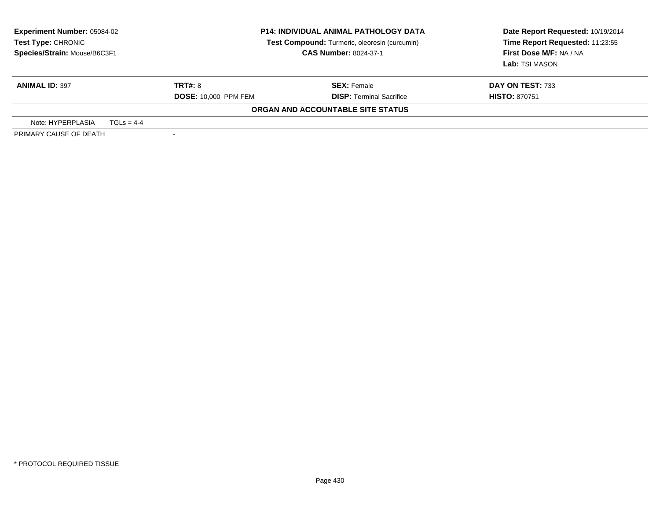| <b>Experiment Number: 05084-02</b><br>Test Type: CHRONIC<br>Species/Strain: Mouse/B6C3F1 | <b>P14: INDIVIDUAL ANIMAL PATHOLOGY DATA</b><br>Test Compound: Turmeric, oleoresin (curcumin)<br><b>CAS Number: 8024-37-1</b> |                                   | Date Report Requested: 10/19/2014<br>Time Report Requested: 11:23:55<br>First Dose M/F: NA / NA<br>Lab: TSI MASON |
|------------------------------------------------------------------------------------------|-------------------------------------------------------------------------------------------------------------------------------|-----------------------------------|-------------------------------------------------------------------------------------------------------------------|
| <b>ANIMAL ID: 397</b>                                                                    | <b>TRT#: 8</b>                                                                                                                | <b>SEX: Female</b>                | DAY ON TEST: 733                                                                                                  |
|                                                                                          | <b>DOSE: 10,000 PPM FEM</b>                                                                                                   | <b>DISP: Terminal Sacrifice</b>   | <b>HISTO: 870751</b>                                                                                              |
|                                                                                          |                                                                                                                               | ORGAN AND ACCOUNTABLE SITE STATUS |                                                                                                                   |
| Note: HYPERPLASIA<br>$TGLS = 4-4$                                                        |                                                                                                                               |                                   |                                                                                                                   |
| PRIMARY CAUSE OF DEATH                                                                   |                                                                                                                               |                                   |                                                                                                                   |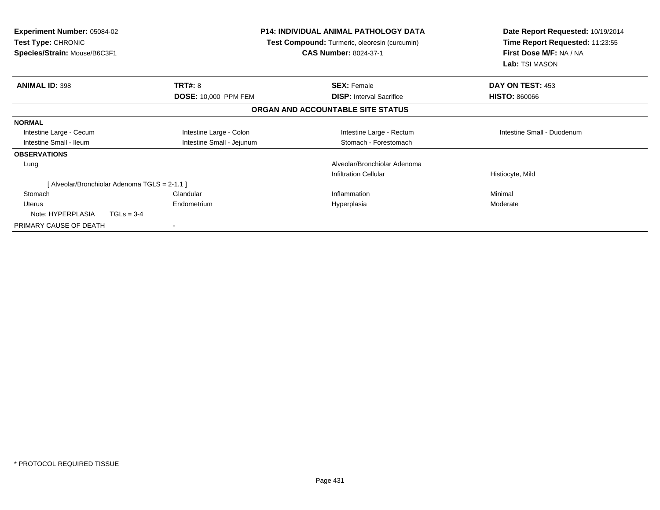| <b>Experiment Number: 05084-02</b><br><b>Test Type: CHRONIC</b><br>Species/Strain: Mouse/B6C3F1 |                                               | P14: INDIVIDUAL ANIMAL PATHOLOGY DATA<br><b>Test Compound:</b> Turmeric, oleoresin (curcumin)<br><b>CAS Number: 8024-37-1</b> | Date Report Requested: 10/19/2014<br>Time Report Requested: 11:23:55<br>First Dose M/F: NA / NA<br>Lab: TSI MASON |
|-------------------------------------------------------------------------------------------------|-----------------------------------------------|-------------------------------------------------------------------------------------------------------------------------------|-------------------------------------------------------------------------------------------------------------------|
| <b>ANIMAL ID: 398</b>                                                                           | <b>TRT#: 8</b>                                | <b>SEX: Female</b>                                                                                                            | DAY ON TEST: 453                                                                                                  |
|                                                                                                 | <b>DOSE: 10,000 PPM FEM</b>                   | <b>DISP:</b> Interval Sacrifice                                                                                               | <b>HISTO: 860066</b>                                                                                              |
|                                                                                                 |                                               | ORGAN AND ACCOUNTABLE SITE STATUS                                                                                             |                                                                                                                   |
| <b>NORMAL</b>                                                                                   |                                               |                                                                                                                               |                                                                                                                   |
| Intestine Large - Cecum                                                                         | Intestine Large - Colon                       | Intestine Large - Rectum                                                                                                      | Intestine Small - Duodenum                                                                                        |
| Intestine Small - Ileum                                                                         | Intestine Small - Jejunum                     | Stomach - Forestomach                                                                                                         |                                                                                                                   |
| <b>OBSERVATIONS</b>                                                                             |                                               |                                                                                                                               |                                                                                                                   |
| Lung                                                                                            |                                               | Alveolar/Bronchiolar Adenoma                                                                                                  |                                                                                                                   |
|                                                                                                 |                                               | <b>Infiltration Cellular</b>                                                                                                  | Histiocyte, Mild                                                                                                  |
|                                                                                                 | [ Alveolar/Bronchiolar Adenoma TGLS = 2-1.1 ] |                                                                                                                               |                                                                                                                   |
| Stomach                                                                                         | Glandular                                     | Inflammation                                                                                                                  | Minimal                                                                                                           |
| <b>Uterus</b>                                                                                   | Endometrium                                   | Hyperplasia                                                                                                                   | Moderate                                                                                                          |
| Note: HYPERPLASIA                                                                               | $TGLs = 3-4$                                  |                                                                                                                               |                                                                                                                   |
| PRIMARY CAUSE OF DEATH                                                                          |                                               |                                                                                                                               |                                                                                                                   |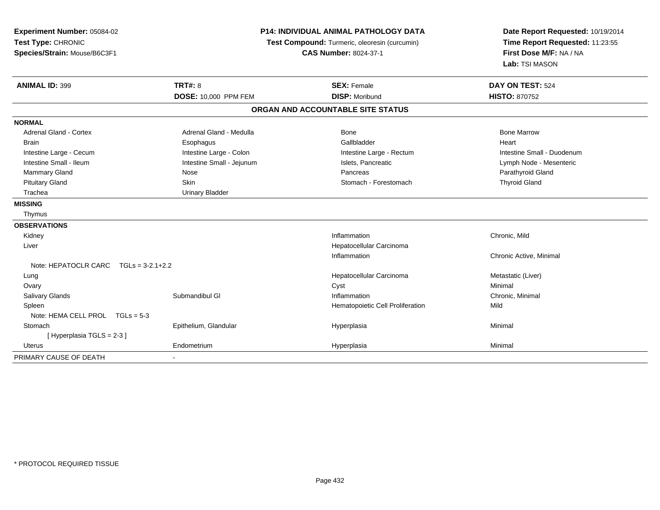| Experiment Number: 05084-02<br>Test Type: CHRONIC<br>Species/Strain: Mouse/B6C3F1 |                           | <b>P14: INDIVIDUAL ANIMAL PATHOLOGY DATA</b><br>Test Compound: Turmeric, oleoresin (curcumin)<br><b>CAS Number: 8024-37-1</b> | Date Report Requested: 10/19/2014<br>Time Report Requested: 11:23:55<br>First Dose M/F: NA / NA<br>Lab: TSI MASON |
|-----------------------------------------------------------------------------------|---------------------------|-------------------------------------------------------------------------------------------------------------------------------|-------------------------------------------------------------------------------------------------------------------|
| <b>ANIMAL ID: 399</b>                                                             | <b>TRT#: 8</b>            | <b>SEX: Female</b>                                                                                                            | DAY ON TEST: 524                                                                                                  |
|                                                                                   | DOSE: 10,000 PPM FEM      | <b>DISP: Moribund</b>                                                                                                         | HISTO: 870752                                                                                                     |
|                                                                                   |                           | ORGAN AND ACCOUNTABLE SITE STATUS                                                                                             |                                                                                                                   |
| <b>NORMAL</b>                                                                     |                           |                                                                                                                               |                                                                                                                   |
| Adrenal Gland - Cortex                                                            | Adrenal Gland - Medulla   | Bone                                                                                                                          | <b>Bone Marrow</b>                                                                                                |
| Brain                                                                             | Esophagus                 | Gallbladder                                                                                                                   | Heart                                                                                                             |
| Intestine Large - Cecum                                                           | Intestine Large - Colon   | Intestine Large - Rectum                                                                                                      | Intestine Small - Duodenum                                                                                        |
| Intestine Small - Ileum                                                           | Intestine Small - Jejunum | Islets, Pancreatic                                                                                                            | Lymph Node - Mesenteric                                                                                           |
| Mammary Gland                                                                     | Nose                      | Pancreas                                                                                                                      | Parathyroid Gland                                                                                                 |
| <b>Pituitary Gland</b>                                                            | <b>Skin</b>               | Stomach - Forestomach                                                                                                         | <b>Thyroid Gland</b>                                                                                              |
| Trachea                                                                           | <b>Urinary Bladder</b>    |                                                                                                                               |                                                                                                                   |
| <b>MISSING</b>                                                                    |                           |                                                                                                                               |                                                                                                                   |
| Thymus                                                                            |                           |                                                                                                                               |                                                                                                                   |
| <b>OBSERVATIONS</b>                                                               |                           |                                                                                                                               |                                                                                                                   |
| Kidney                                                                            |                           | Inflammation                                                                                                                  | Chronic, Mild                                                                                                     |
| Liver                                                                             |                           | Hepatocellular Carcinoma                                                                                                      |                                                                                                                   |
|                                                                                   |                           | Inflammation                                                                                                                  | Chronic Active, Minimal                                                                                           |
| Note: HEPATOCLR CARC $TGLs = 3-2.1+2.2$                                           |                           |                                                                                                                               |                                                                                                                   |
| Lung                                                                              |                           | Hepatocellular Carcinoma                                                                                                      | Metastatic (Liver)                                                                                                |
| Ovary                                                                             |                           | Cyst                                                                                                                          | Minimal                                                                                                           |
| Salivary Glands                                                                   | Submandibul GI            | Inflammation                                                                                                                  | Chronic, Minimal                                                                                                  |
| Spleen                                                                            |                           | Hematopoietic Cell Proliferation                                                                                              | Mild                                                                                                              |
| Note: HEMA CELL PROL TGLs = 5-3                                                   |                           |                                                                                                                               |                                                                                                                   |
| Stomach                                                                           | Epithelium, Glandular     | Hyperplasia                                                                                                                   | Minimal                                                                                                           |
| [Hyperplasia TGLS = 2-3]                                                          |                           |                                                                                                                               |                                                                                                                   |
| Uterus                                                                            | Endometrium               | Hyperplasia                                                                                                                   | Minimal                                                                                                           |
| PRIMARY CAUSE OF DEATH                                                            |                           |                                                                                                                               |                                                                                                                   |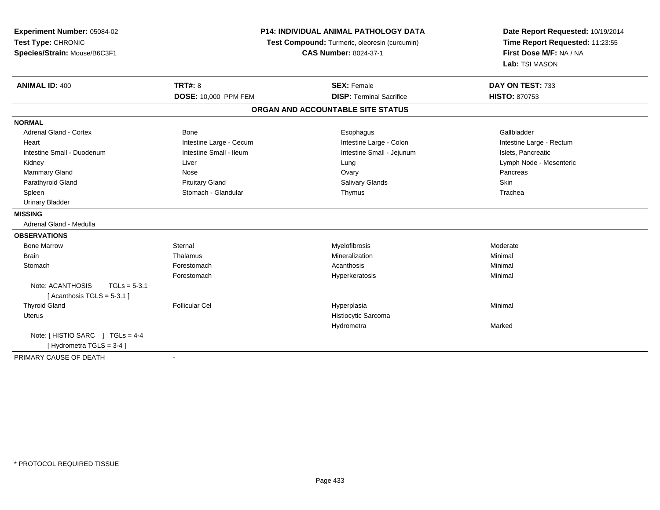| Experiment Number: 05084-02<br>Test Type: CHRONIC<br>Species/Strain: Mouse/B6C3F1 | <b>P14: INDIVIDUAL ANIMAL PATHOLOGY DATA</b><br>Test Compound: Turmeric, oleoresin (curcumin)<br><b>CAS Number: 8024-37-1</b> |                                   | Date Report Requested: 10/19/2014<br>Time Report Requested: 11:23:55<br>First Dose M/F: NA / NA<br>Lab: TSI MASON |  |
|-----------------------------------------------------------------------------------|-------------------------------------------------------------------------------------------------------------------------------|-----------------------------------|-------------------------------------------------------------------------------------------------------------------|--|
| <b>ANIMAL ID: 400</b>                                                             | <b>TRT#: 8</b>                                                                                                                | <b>SEX: Female</b>                | DAY ON TEST: 733                                                                                                  |  |
|                                                                                   | DOSE: 10,000 PPM FEM                                                                                                          | <b>DISP: Terminal Sacrifice</b>   | <b>HISTO: 870753</b>                                                                                              |  |
|                                                                                   |                                                                                                                               | ORGAN AND ACCOUNTABLE SITE STATUS |                                                                                                                   |  |
| <b>NORMAL</b>                                                                     |                                                                                                                               |                                   |                                                                                                                   |  |
| Adrenal Gland - Cortex                                                            | <b>Bone</b>                                                                                                                   | Esophagus                         | Gallbladder                                                                                                       |  |
| Heart                                                                             | Intestine Large - Cecum                                                                                                       | Intestine Large - Colon           | Intestine Large - Rectum                                                                                          |  |
| Intestine Small - Duodenum                                                        | Intestine Small - Ileum                                                                                                       | Intestine Small - Jejunum         | Islets, Pancreatic                                                                                                |  |
| Kidney                                                                            | Liver                                                                                                                         | Lung                              | Lymph Node - Mesenteric                                                                                           |  |
| Mammary Gland                                                                     | Nose                                                                                                                          | Ovary                             | Pancreas                                                                                                          |  |
| Parathyroid Gland                                                                 | <b>Pituitary Gland</b>                                                                                                        | <b>Salivary Glands</b>            | Skin                                                                                                              |  |
| Spleen                                                                            | Stomach - Glandular                                                                                                           | Thymus                            | Trachea                                                                                                           |  |
| <b>Urinary Bladder</b>                                                            |                                                                                                                               |                                   |                                                                                                                   |  |
| <b>MISSING</b>                                                                    |                                                                                                                               |                                   |                                                                                                                   |  |
| Adrenal Gland - Medulla                                                           |                                                                                                                               |                                   |                                                                                                                   |  |
| <b>OBSERVATIONS</b>                                                               |                                                                                                                               |                                   |                                                                                                                   |  |
| <b>Bone Marrow</b>                                                                | Sternal                                                                                                                       | Myelofibrosis                     | Moderate                                                                                                          |  |
| <b>Brain</b>                                                                      | Thalamus                                                                                                                      | Mineralization                    | Minimal                                                                                                           |  |
| Stomach                                                                           | Forestomach                                                                                                                   | Acanthosis                        | Minimal                                                                                                           |  |
|                                                                                   | Forestomach                                                                                                                   | Hyperkeratosis                    | Minimal                                                                                                           |  |
| Note: ACANTHOSIS<br>$TGLs = 5-3.1$                                                |                                                                                                                               |                                   |                                                                                                                   |  |
| [Acanthosis TGLS = $5-3.1$ ]                                                      |                                                                                                                               |                                   |                                                                                                                   |  |
| <b>Thyroid Gland</b>                                                              | <b>Follicular Cel</b>                                                                                                         | Hyperplasia                       | Minimal                                                                                                           |  |
| <b>Uterus</b>                                                                     |                                                                                                                               | Histiocytic Sarcoma               |                                                                                                                   |  |
|                                                                                   |                                                                                                                               | Hydrometra                        | Marked                                                                                                            |  |
| Note: [HISTIO SARC ] TGLs = 4-4                                                   |                                                                                                                               |                                   |                                                                                                                   |  |
| [Hydrometra TGLS = 3-4]                                                           |                                                                                                                               |                                   |                                                                                                                   |  |
| PRIMARY CAUSE OF DEATH                                                            |                                                                                                                               |                                   |                                                                                                                   |  |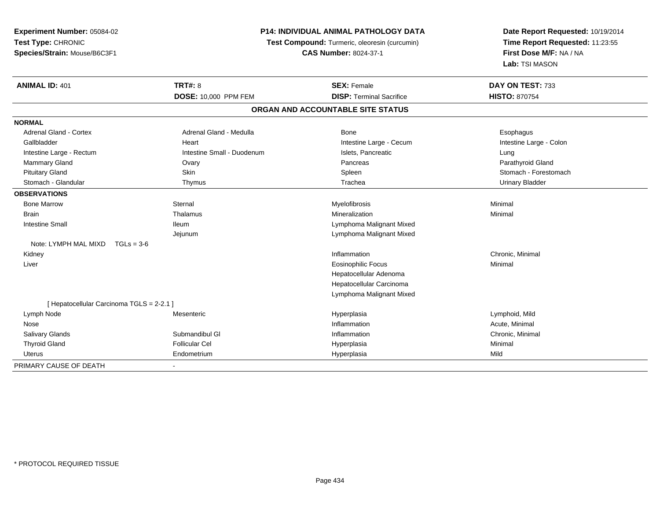**Experiment Number:** 05084-02**Test Type:** CHRONIC **Species/Strain:** Mouse/B6C3F1**P14: INDIVIDUAL ANIMAL PATHOLOGY DATA Test Compound:** Turmeric, oleoresin (curcumin)**CAS Number:** 8024-37-1**Date Report Requested:** 10/19/2014**Time Report Requested:** 11:23:55**First Dose M/F:** NA / NA**Lab:** TSI MASON**ANIMAL ID:** 401**TRT#:** 8 **SEX:** Female **SEX: Female DAY ON TEST:** 733 **DOSE:** 10,000 PPM FEM**DISP:** Terminal Sacrifice **HISTO:** 870754 **ORGAN AND ACCOUNTABLE SITE STATUSNORMALAdrenal Gland - Cortex** Adrenal Gland - Medulla **Bone** Bone **Bone** Esophagus Esophagus Intestine Large - Colon Gallbladder **East Community Community** Heart Intestine Large - Cecum Intestine Large - Cecum Intestine Large - Rectum **Intestine Small - Duodenum** Intestine Small - Duodenum Islets, Pancreatic Lung Lung Parathyroid Gland Mammary Gland Ovary Pancreas Parathyroid GlandPituitary Gland Solution Stomach Skin Schleen Schleen Spleen Stomach - Forestomach - Stomach - Forestomach - Stomach - Stomach - Stomach - Stomach - Stomach - Stomach - Stomach - Stomach - Stomach - Stomach - Stomach - Sto Stomach - Glandular Thymus Trachea Urinary Bladder**OBSERVATIONS** Bone Marroww the sternal sternal the sternal sternal method of the step of Myelofibrosis and Minimal method of Minimal me<br>The step of the step of the step of the step of the step of the step of the step of the step of the step of th Brainn and the theorem is the three matter of the matter of the matter of the matter of the matter of the matter of  $M$ inimal  $M$ inimal  $M$ inimal  $M$ inimal  $M$ inimal  $M$ inimal  $M$ inimal  $M$ inimal  $M$ inimal  $M$ inimal  $M$ inimal Intestine Small Ileum Lymphoma Malignant Mixed Jejunum Lymphoma Malignant Mixed Note: LYMPH MAL MIXD TGLs = 3-6 Kidneyy the control of the control of the control of the control of the control of the control of the control of the control of the control of the control of the control of the control of the control of the control of the contro Inflammation Chronic, Minimal Liver Eosinophilic Focus Minimal Hepatocellular Adenoma Hepatocellular Carcinoma Lymphoma Malignant Mixed[ Hepatocellular Carcinoma TGLS = 2-2.1 ] Lymph Node Mesenteric Hyperplasia Lymphoid, Mild Nosee the contraction of the contraction of the contraction of the contraction of the contraction of the contraction  $\mathsf{Acute}$ , Minimal Salivary GlandsSubmandibul Gl **Inflammation**  Chronic, Minimal Thyroid Gland Follicular Cel Hyperplasia Minimal Uterus Endometrium Hyperplasia Mild PRIMARY CAUSE OF DEATH-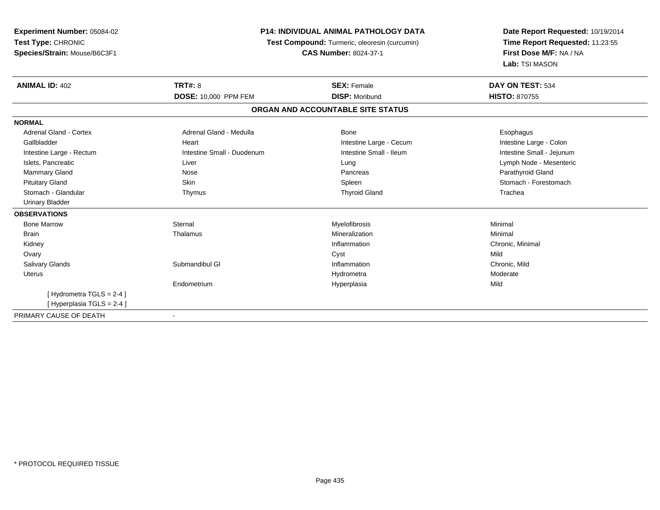| <b>Experiment Number: 05084-02</b> | <b>P14: INDIVIDUAL ANIMAL PATHOLOGY DATA</b><br>Test Compound: Turmeric, oleoresin (curcumin) |                                   | Date Report Requested: 10/19/2014 |
|------------------------------------|-----------------------------------------------------------------------------------------------|-----------------------------------|-----------------------------------|
| Test Type: CHRONIC                 |                                                                                               |                                   | Time Report Requested: 11:23:55   |
| Species/Strain: Mouse/B6C3F1       | <b>CAS Number: 8024-37-1</b>                                                                  |                                   | First Dose M/F: NA / NA           |
|                                    |                                                                                               |                                   | Lab: TSI MASON                    |
| <b>ANIMAL ID: 402</b>              | <b>TRT#: 8</b>                                                                                | <b>SEX: Female</b>                | DAY ON TEST: 534                  |
|                                    | DOSE: 10,000 PPM FEM                                                                          | <b>DISP: Moribund</b>             | <b>HISTO: 870755</b>              |
|                                    |                                                                                               | ORGAN AND ACCOUNTABLE SITE STATUS |                                   |
| <b>NORMAL</b>                      |                                                                                               |                                   |                                   |
| <b>Adrenal Gland - Cortex</b>      | Adrenal Gland - Medulla                                                                       | Bone                              | Esophagus                         |
| Gallbladder                        | Heart                                                                                         | Intestine Large - Cecum           | Intestine Large - Colon           |
| Intestine Large - Rectum           | Intestine Small - Duodenum                                                                    | Intestine Small - Ileum           | Intestine Small - Jejunum         |
| Islets, Pancreatic                 | Liver                                                                                         | Lung                              | Lymph Node - Mesenteric           |
| <b>Mammary Gland</b>               | Nose                                                                                          | Pancreas                          | Parathyroid Gland                 |
| <b>Pituitary Gland</b>             | Skin                                                                                          | Spleen                            | Stomach - Forestomach             |
| Stomach - Glandular                | Thymus                                                                                        | <b>Thyroid Gland</b>              | Trachea                           |
| <b>Urinary Bladder</b>             |                                                                                               |                                   |                                   |
| <b>OBSERVATIONS</b>                |                                                                                               |                                   |                                   |
| <b>Bone Marrow</b>                 | Sternal                                                                                       | Myelofibrosis                     | Minimal                           |
| <b>Brain</b>                       | Thalamus                                                                                      | Mineralization                    | Minimal                           |
| Kidney                             |                                                                                               | Inflammation                      | Chronic, Minimal                  |
| Ovary                              |                                                                                               | Cyst                              | Mild                              |
| <b>Salivary Glands</b>             | Submandibul GI                                                                                | Inflammation                      | Chronic, Mild                     |
| Uterus                             |                                                                                               | Hydrometra                        | Moderate                          |
|                                    | Endometrium                                                                                   | Hyperplasia                       | Mild                              |
| [Hydrometra TGLS = 2-4]            |                                                                                               |                                   |                                   |
| [Hyperplasia TGLS = 2-4]           |                                                                                               |                                   |                                   |
| PRIMARY CAUSE OF DEATH             |                                                                                               |                                   |                                   |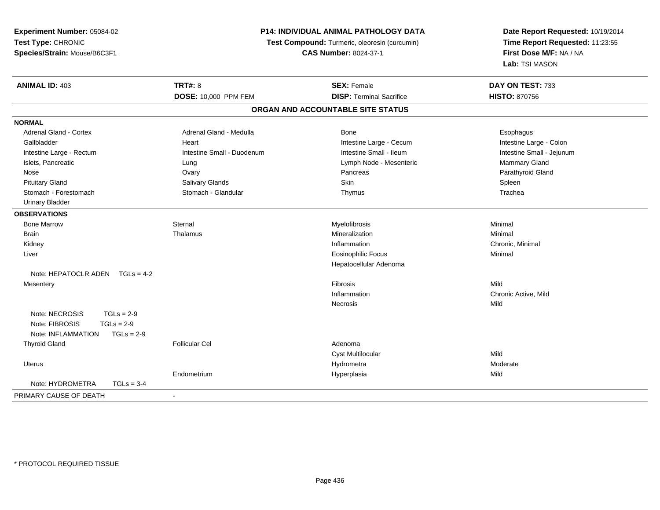| Experiment Number: 05084-02        | P14: INDIVIDUAL ANIMAL PATHOLOGY DATA<br>Test Compound: Turmeric, oleoresin (curcumin)<br><b>CAS Number: 8024-37-1</b> |                                   | Date Report Requested: 10/19/2014<br>Time Report Requested: 11:23:55<br>First Dose M/F: NA / NA |
|------------------------------------|------------------------------------------------------------------------------------------------------------------------|-----------------------------------|-------------------------------------------------------------------------------------------------|
| Test Type: CHRONIC                 |                                                                                                                        |                                   |                                                                                                 |
| Species/Strain: Mouse/B6C3F1       |                                                                                                                        |                                   |                                                                                                 |
|                                    |                                                                                                                        |                                   | Lab: TSI MASON                                                                                  |
| <b>ANIMAL ID: 403</b>              | <b>TRT#: 8</b>                                                                                                         | <b>SEX: Female</b>                | DAY ON TEST: 733                                                                                |
|                                    | DOSE: 10,000 PPM FEM                                                                                                   | <b>DISP: Terminal Sacrifice</b>   | <b>HISTO: 870756</b>                                                                            |
|                                    |                                                                                                                        | ORGAN AND ACCOUNTABLE SITE STATUS |                                                                                                 |
| <b>NORMAL</b>                      |                                                                                                                        |                                   |                                                                                                 |
| Adrenal Gland - Cortex             | Adrenal Gland - Medulla                                                                                                | Bone                              | Esophagus                                                                                       |
| Gallbladder                        | Heart                                                                                                                  | Intestine Large - Cecum           | Intestine Large - Colon                                                                         |
| Intestine Large - Rectum           | Intestine Small - Duodenum                                                                                             | Intestine Small - Ileum           | Intestine Small - Jejunum                                                                       |
| Islets, Pancreatic                 | Lung                                                                                                                   | Lymph Node - Mesenteric           | Mammary Gland                                                                                   |
| Nose                               | Ovary                                                                                                                  | Pancreas                          | Parathyroid Gland                                                                               |
| <b>Pituitary Gland</b>             | Salivary Glands                                                                                                        | Skin                              | Spleen                                                                                          |
| Stomach - Forestomach              | Stomach - Glandular                                                                                                    | Thymus                            | Trachea                                                                                         |
| <b>Urinary Bladder</b>             |                                                                                                                        |                                   |                                                                                                 |
| <b>OBSERVATIONS</b>                |                                                                                                                        |                                   |                                                                                                 |
| <b>Bone Marrow</b>                 | Sternal                                                                                                                | Myelofibrosis                     | Minimal                                                                                         |
| <b>Brain</b>                       | Thalamus                                                                                                               | Mineralization                    | Minimal                                                                                         |
| Kidney                             |                                                                                                                        | Inflammation                      | Chronic, Minimal                                                                                |
| Liver                              |                                                                                                                        | <b>Eosinophilic Focus</b>         | Minimal                                                                                         |
|                                    |                                                                                                                        | Hepatocellular Adenoma            |                                                                                                 |
| Note: HEPATOCLR ADEN TGLs = 4-2    |                                                                                                                        |                                   |                                                                                                 |
| Mesentery                          |                                                                                                                        | Fibrosis                          | Mild                                                                                            |
|                                    |                                                                                                                        | Inflammation                      | Chronic Active, Mild                                                                            |
|                                    |                                                                                                                        | Necrosis                          | Mild                                                                                            |
| Note: NECROSIS<br>$TGLs = 2-9$     |                                                                                                                        |                                   |                                                                                                 |
| $TGLs = 2-9$<br>Note: FIBROSIS     |                                                                                                                        |                                   |                                                                                                 |
| Note: INFLAMMATION<br>$TGLs = 2-9$ |                                                                                                                        |                                   |                                                                                                 |
| <b>Thyroid Gland</b>               | <b>Follicular Cel</b>                                                                                                  | Adenoma                           |                                                                                                 |
|                                    |                                                                                                                        | Cyst Multilocular                 | Mild                                                                                            |
| Uterus                             |                                                                                                                        | Hydrometra                        | Moderate                                                                                        |
|                                    | Endometrium                                                                                                            | Hyperplasia                       | Mild                                                                                            |
| Note: HYDROMETRA<br>$TGLs = 3-4$   |                                                                                                                        |                                   |                                                                                                 |
| PRIMARY CAUSE OF DEATH             | ÷                                                                                                                      |                                   |                                                                                                 |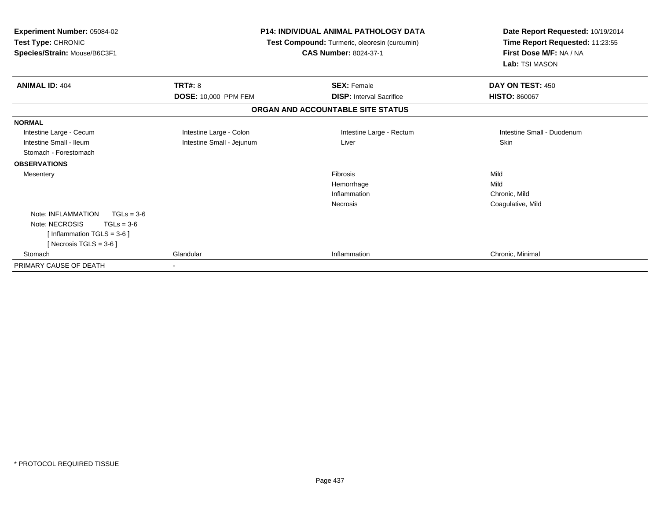| Experiment Number: 05084-02<br>Test Type: CHRONIC<br>Species/Strain: Mouse/B6C3F1 |                           | <b>P14: INDIVIDUAL ANIMAL PATHOLOGY DATA</b><br>Test Compound: Turmeric, oleoresin (curcumin)<br><b>CAS Number: 8024-37-1</b> | Date Report Requested: 10/19/2014<br>Time Report Requested: 11:23:55<br>First Dose M/F: NA / NA<br>Lab: TSI MASON |
|-----------------------------------------------------------------------------------|---------------------------|-------------------------------------------------------------------------------------------------------------------------------|-------------------------------------------------------------------------------------------------------------------|
| <b>ANIMAL ID: 404</b>                                                             | <b>TRT#: 8</b>            | <b>SEX: Female</b>                                                                                                            | DAY ON TEST: 450                                                                                                  |
|                                                                                   | DOSE: 10,000 PPM FEM      | <b>DISP: Interval Sacrifice</b>                                                                                               | <b>HISTO: 860067</b>                                                                                              |
|                                                                                   |                           | ORGAN AND ACCOUNTABLE SITE STATUS                                                                                             |                                                                                                                   |
| <b>NORMAL</b>                                                                     |                           |                                                                                                                               |                                                                                                                   |
| Intestine Large - Cecum                                                           | Intestine Large - Colon   | Intestine Large - Rectum                                                                                                      | Intestine Small - Duodenum                                                                                        |
| Intestine Small - Ileum                                                           | Intestine Small - Jejunum | Liver                                                                                                                         | <b>Skin</b>                                                                                                       |
| Stomach - Forestomach                                                             |                           |                                                                                                                               |                                                                                                                   |
| <b>OBSERVATIONS</b>                                                               |                           |                                                                                                                               |                                                                                                                   |
| Mesentery                                                                         |                           | <b>Fibrosis</b>                                                                                                               | Mild                                                                                                              |
|                                                                                   |                           | Hemorrhage                                                                                                                    | Mild                                                                                                              |
|                                                                                   |                           | Inflammation                                                                                                                  | Chronic, Mild                                                                                                     |
|                                                                                   |                           | Necrosis                                                                                                                      | Coagulative, Mild                                                                                                 |
| Note: INFLAMMATION<br>$TGLs = 3-6$                                                |                           |                                                                                                                               |                                                                                                                   |
| Note: NECROSIS<br>$TGLs = 3-6$                                                    |                           |                                                                                                                               |                                                                                                                   |
| [Inflammation TGLS = $3-6$ ]                                                      |                           |                                                                                                                               |                                                                                                                   |
| [Necrosis TGLS = $3-6$ ]                                                          |                           |                                                                                                                               |                                                                                                                   |
| Stomach                                                                           | Glandular                 | Inflammation                                                                                                                  | Chronic, Minimal                                                                                                  |
| PRIMARY CAUSE OF DEATH                                                            |                           |                                                                                                                               |                                                                                                                   |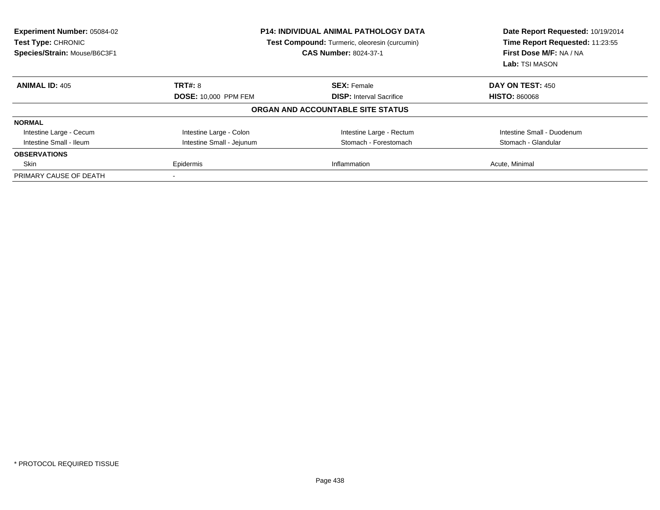| Experiment Number: 05084-02<br>Test Type: CHRONIC<br>Species/Strain: Mouse/B6C3F1 | <b>P14: INDIVIDUAL ANIMAL PATHOLOGY DATA</b><br>Test Compound: Turmeric, oleoresin (curcumin)<br><b>CAS Number: 8024-37-1</b> |                                   | Date Report Requested: 10/19/2014<br>Time Report Requested: 11:23:55<br>First Dose M/F: NA / NA<br><b>Lab: TSI MASON</b> |
|-----------------------------------------------------------------------------------|-------------------------------------------------------------------------------------------------------------------------------|-----------------------------------|--------------------------------------------------------------------------------------------------------------------------|
| <b>ANIMAL ID: 405</b>                                                             | <b>TRT#: 8</b>                                                                                                                | <b>SEX: Female</b>                | <b>DAY ON TEST: 450</b>                                                                                                  |
|                                                                                   | <b>DOSE: 10,000 PPM FEM</b>                                                                                                   | <b>DISP:</b> Interval Sacrifice   | <b>HISTO: 860068</b>                                                                                                     |
|                                                                                   |                                                                                                                               | ORGAN AND ACCOUNTABLE SITE STATUS |                                                                                                                          |
| <b>NORMAL</b>                                                                     |                                                                                                                               |                                   |                                                                                                                          |
| Intestine Large - Cecum                                                           | Intestine Large - Colon                                                                                                       | Intestine Large - Rectum          | Intestine Small - Duodenum                                                                                               |
| Intestine Small - Ileum                                                           | Intestine Small - Jejunum                                                                                                     | Stomach - Forestomach             | Stomach - Glandular                                                                                                      |
| <b>OBSERVATIONS</b>                                                               |                                                                                                                               |                                   |                                                                                                                          |
| Skin                                                                              | Epidermis                                                                                                                     | Inflammation                      | Acute, Minimal                                                                                                           |
| PRIMARY CAUSE OF DEATH                                                            |                                                                                                                               |                                   |                                                                                                                          |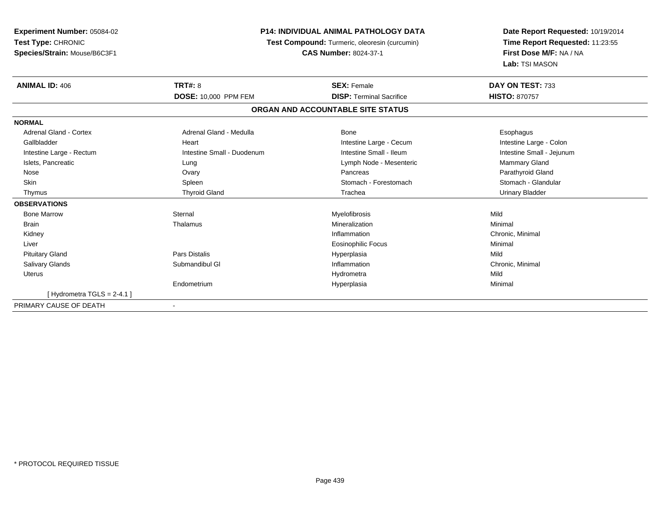| Experiment Number: 05084-02   | <b>P14: INDIVIDUAL ANIMAL PATHOLOGY DATA</b><br>Test Compound: Turmeric, oleoresin (curcumin)<br><b>CAS Number: 8024-37-1</b> |                                   | Date Report Requested: 10/19/2014                          |  |
|-------------------------------|-------------------------------------------------------------------------------------------------------------------------------|-----------------------------------|------------------------------------------------------------|--|
| Test Type: CHRONIC            |                                                                                                                               |                                   | Time Report Requested: 11:23:55<br>First Dose M/F: NA / NA |  |
| Species/Strain: Mouse/B6C3F1  |                                                                                                                               |                                   |                                                            |  |
|                               |                                                                                                                               |                                   | Lab: TSI MASON                                             |  |
| <b>ANIMAL ID: 406</b>         | <b>TRT#: 8</b>                                                                                                                | <b>SEX: Female</b>                | DAY ON TEST: 733                                           |  |
|                               | DOSE: 10,000 PPM FEM                                                                                                          | <b>DISP: Terminal Sacrifice</b>   | <b>HISTO: 870757</b>                                       |  |
|                               |                                                                                                                               | ORGAN AND ACCOUNTABLE SITE STATUS |                                                            |  |
| <b>NORMAL</b>                 |                                                                                                                               |                                   |                                                            |  |
| <b>Adrenal Gland - Cortex</b> | Adrenal Gland - Medulla                                                                                                       | Bone                              | Esophagus                                                  |  |
| Gallbladder                   | Heart                                                                                                                         | Intestine Large - Cecum           | Intestine Large - Colon                                    |  |
| Intestine Large - Rectum      | Intestine Small - Duodenum                                                                                                    | Intestine Small - Ileum           | Intestine Small - Jejunum                                  |  |
| Islets, Pancreatic            | Lung                                                                                                                          | Lymph Node - Mesenteric           | Mammary Gland                                              |  |
| Nose                          | Ovary                                                                                                                         | Pancreas                          | Parathyroid Gland                                          |  |
| <b>Skin</b>                   | Spleen                                                                                                                        | Stomach - Forestomach             | Stomach - Glandular                                        |  |
| Thymus                        | <b>Thyroid Gland</b>                                                                                                          | Trachea                           | <b>Urinary Bladder</b>                                     |  |
| <b>OBSERVATIONS</b>           |                                                                                                                               |                                   |                                                            |  |
| <b>Bone Marrow</b>            | Sternal                                                                                                                       | Myelofibrosis                     | Mild                                                       |  |
| <b>Brain</b>                  | Thalamus                                                                                                                      | Mineralization                    | Minimal                                                    |  |
| Kidney                        |                                                                                                                               | Inflammation                      | Chronic, Minimal                                           |  |
| Liver                         |                                                                                                                               | <b>Eosinophilic Focus</b>         | Minimal                                                    |  |
| <b>Pituitary Gland</b>        | <b>Pars Distalis</b>                                                                                                          | Hyperplasia                       | Mild                                                       |  |
| <b>Salivary Glands</b>        | Submandibul GI                                                                                                                | Inflammation                      | Chronic, Minimal                                           |  |
| <b>Uterus</b>                 |                                                                                                                               | Hydrometra                        | Mild                                                       |  |
|                               | Endometrium                                                                                                                   | Hyperplasia                       | Minimal                                                    |  |
| [Hydrometra TGLS = $2-4.1$ ]  |                                                                                                                               |                                   |                                                            |  |
| PRIMARY CAUSE OF DEATH        |                                                                                                                               |                                   |                                                            |  |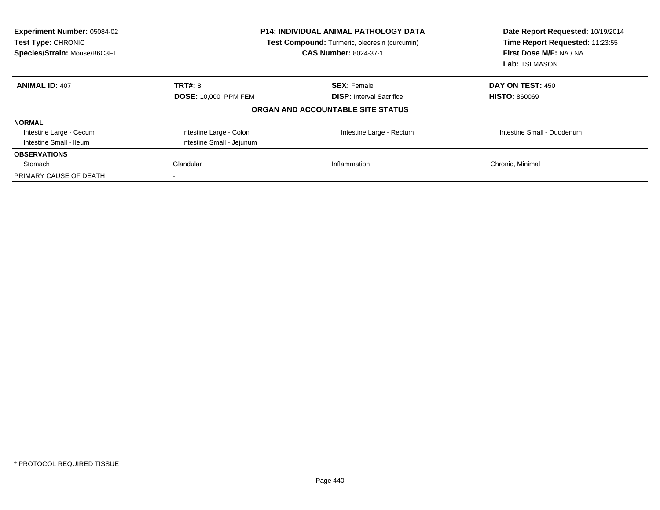| Experiment Number: 05084-02<br>Test Type: CHRONIC<br>Species/Strain: Mouse/B6C3F1 | <b>P14: INDIVIDUAL ANIMAL PATHOLOGY DATA</b><br>Test Compound: Turmeric, oleoresin (curcumin)<br><b>CAS Number: 8024-37-1</b> |                                   | Date Report Requested: 10/19/2014<br>Time Report Requested: 11:23:55<br>First Dose M/F: NA / NA<br>Lab: TSI MASON |
|-----------------------------------------------------------------------------------|-------------------------------------------------------------------------------------------------------------------------------|-----------------------------------|-------------------------------------------------------------------------------------------------------------------|
| <b>ANIMAL ID: 407</b>                                                             | <b>TRT#: 8</b>                                                                                                                | <b>SEX: Female</b>                | <b>DAY ON TEST: 450</b>                                                                                           |
|                                                                                   | <b>DOSE: 10,000 PPM FEM</b>                                                                                                   | <b>DISP:</b> Interval Sacrifice   | <b>HISTO: 860069</b>                                                                                              |
|                                                                                   |                                                                                                                               | ORGAN AND ACCOUNTABLE SITE STATUS |                                                                                                                   |
| <b>NORMAL</b>                                                                     |                                                                                                                               |                                   |                                                                                                                   |
| Intestine Large - Cecum                                                           | Intestine Large - Colon                                                                                                       | Intestine Large - Rectum          | Intestine Small - Duodenum                                                                                        |
| Intestine Small - Ileum                                                           | Intestine Small - Jejunum                                                                                                     |                                   |                                                                                                                   |
| <b>OBSERVATIONS</b>                                                               |                                                                                                                               |                                   |                                                                                                                   |
| Stomach                                                                           | Glandular                                                                                                                     | Inflammation                      | Chronic, Minimal                                                                                                  |
| PRIMARY CAUSE OF DEATH                                                            |                                                                                                                               |                                   |                                                                                                                   |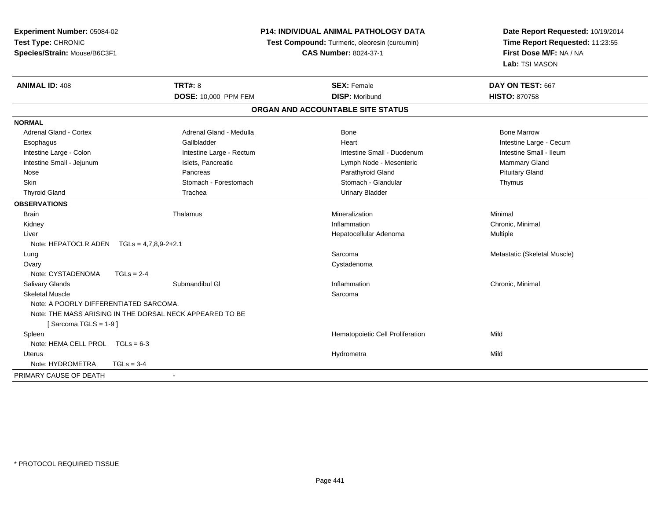| Test Compound: Turmeric, oleoresin (curcumin)<br>Time Report Requested: 11:23:55<br>First Dose M/F: NA / NA<br><b>CAS Number: 8024-37-1</b><br>Lab: TSI MASON<br><b>ANIMAL ID: 408</b><br><b>TRT#: 8</b><br>DAY ON TEST: 667<br><b>SEX: Female</b><br>DOSE: 10,000 PPM FEM<br><b>DISP: Moribund</b><br><b>HISTO: 870758</b><br>ORGAN AND ACCOUNTABLE SITE STATUS<br><b>Adrenal Gland - Cortex</b><br>Adrenal Gland - Medulla<br><b>Bone Marrow</b><br><b>Bone</b><br>Gallbladder<br>Heart<br>Intestine Large - Cecum<br>Esophagus<br>Intestine Large - Colon<br>Intestine Large - Rectum<br>Intestine Small - Duodenum<br>Intestine Small - Ileum<br>Intestine Small - Jejunum<br>Islets, Pancreatic<br>Mammary Gland<br>Lymph Node - Mesenteric<br>Pancreas<br>Parathyroid Gland<br><b>Pituitary Gland</b><br>Nose<br>Skin<br>Stomach - Forestomach<br>Stomach - Glandular<br>Thymus<br><b>Thyroid Gland</b><br><b>Urinary Bladder</b><br>Trachea<br><b>Brain</b><br>Thalamus<br>Mineralization<br>Minimal<br>Inflammation<br>Chronic, Minimal<br>Kidney<br>Hepatocellular Adenoma<br>Multiple<br>Liver<br>Note: HEPATOCLR ADEN $TGLs = 4,7,8,9-2+2.1$<br>Sarcoma<br>Metastatic (Skeletal Muscle)<br>Lung<br>Ovary<br>Cystadenoma<br>Note: CYSTADENOMA<br>$TGLs = 2-4$<br>Salivary Glands<br>Submandibul GI<br>Inflammation<br>Chronic, Minimal<br><b>Skeletal Muscle</b><br>Sarcoma<br>Note: A POORLY DIFFERENTIATED SARCOMA.<br>Note: THE MASS ARISING IN THE DORSAL NECK APPEARED TO BE<br>[Sarcoma TGLS = $1-9$ ]<br>Hematopoietic Cell Proliferation<br>Mild<br>Spleen<br>Note: HEMA CELL PROL $TGLs = 6-3$<br>Mild<br><b>Uterus</b><br>Hydrometra<br>Note: HYDROMETRA<br>$TGLs = 3-4$ | Experiment Number: 05084-02  | P14: INDIVIDUAL ANIMAL PATHOLOGY DATA |  | Date Report Requested: 10/19/2014 |
|----------------------------------------------------------------------------------------------------------------------------------------------------------------------------------------------------------------------------------------------------------------------------------------------------------------------------------------------------------------------------------------------------------------------------------------------------------------------------------------------------------------------------------------------------------------------------------------------------------------------------------------------------------------------------------------------------------------------------------------------------------------------------------------------------------------------------------------------------------------------------------------------------------------------------------------------------------------------------------------------------------------------------------------------------------------------------------------------------------------------------------------------------------------------------------------------------------------------------------------------------------------------------------------------------------------------------------------------------------------------------------------------------------------------------------------------------------------------------------------------------------------------------------------------------------------------------------------------------------------------------------------------------------------------------------------------|------------------------------|---------------------------------------|--|-----------------------------------|
|                                                                                                                                                                                                                                                                                                                                                                                                                                                                                                                                                                                                                                                                                                                                                                                                                                                                                                                                                                                                                                                                                                                                                                                                                                                                                                                                                                                                                                                                                                                                                                                                                                                                                              | Test Type: CHRONIC           |                                       |  |                                   |
|                                                                                                                                                                                                                                                                                                                                                                                                                                                                                                                                                                                                                                                                                                                                                                                                                                                                                                                                                                                                                                                                                                                                                                                                                                                                                                                                                                                                                                                                                                                                                                                                                                                                                              | Species/Strain: Mouse/B6C3F1 |                                       |  |                                   |
|                                                                                                                                                                                                                                                                                                                                                                                                                                                                                                                                                                                                                                                                                                                                                                                                                                                                                                                                                                                                                                                                                                                                                                                                                                                                                                                                                                                                                                                                                                                                                                                                                                                                                              |                              |                                       |  |                                   |
|                                                                                                                                                                                                                                                                                                                                                                                                                                                                                                                                                                                                                                                                                                                                                                                                                                                                                                                                                                                                                                                                                                                                                                                                                                                                                                                                                                                                                                                                                                                                                                                                                                                                                              |                              |                                       |  |                                   |
|                                                                                                                                                                                                                                                                                                                                                                                                                                                                                                                                                                                                                                                                                                                                                                                                                                                                                                                                                                                                                                                                                                                                                                                                                                                                                                                                                                                                                                                                                                                                                                                                                                                                                              |                              |                                       |  |                                   |
|                                                                                                                                                                                                                                                                                                                                                                                                                                                                                                                                                                                                                                                                                                                                                                                                                                                                                                                                                                                                                                                                                                                                                                                                                                                                                                                                                                                                                                                                                                                                                                                                                                                                                              |                              |                                       |  |                                   |
|                                                                                                                                                                                                                                                                                                                                                                                                                                                                                                                                                                                                                                                                                                                                                                                                                                                                                                                                                                                                                                                                                                                                                                                                                                                                                                                                                                                                                                                                                                                                                                                                                                                                                              | <b>NORMAL</b>                |                                       |  |                                   |
|                                                                                                                                                                                                                                                                                                                                                                                                                                                                                                                                                                                                                                                                                                                                                                                                                                                                                                                                                                                                                                                                                                                                                                                                                                                                                                                                                                                                                                                                                                                                                                                                                                                                                              |                              |                                       |  |                                   |
|                                                                                                                                                                                                                                                                                                                                                                                                                                                                                                                                                                                                                                                                                                                                                                                                                                                                                                                                                                                                                                                                                                                                                                                                                                                                                                                                                                                                                                                                                                                                                                                                                                                                                              |                              |                                       |  |                                   |
|                                                                                                                                                                                                                                                                                                                                                                                                                                                                                                                                                                                                                                                                                                                                                                                                                                                                                                                                                                                                                                                                                                                                                                                                                                                                                                                                                                                                                                                                                                                                                                                                                                                                                              |                              |                                       |  |                                   |
|                                                                                                                                                                                                                                                                                                                                                                                                                                                                                                                                                                                                                                                                                                                                                                                                                                                                                                                                                                                                                                                                                                                                                                                                                                                                                                                                                                                                                                                                                                                                                                                                                                                                                              |                              |                                       |  |                                   |
|                                                                                                                                                                                                                                                                                                                                                                                                                                                                                                                                                                                                                                                                                                                                                                                                                                                                                                                                                                                                                                                                                                                                                                                                                                                                                                                                                                                                                                                                                                                                                                                                                                                                                              |                              |                                       |  |                                   |
|                                                                                                                                                                                                                                                                                                                                                                                                                                                                                                                                                                                                                                                                                                                                                                                                                                                                                                                                                                                                                                                                                                                                                                                                                                                                                                                                                                                                                                                                                                                                                                                                                                                                                              |                              |                                       |  |                                   |
|                                                                                                                                                                                                                                                                                                                                                                                                                                                                                                                                                                                                                                                                                                                                                                                                                                                                                                                                                                                                                                                                                                                                                                                                                                                                                                                                                                                                                                                                                                                                                                                                                                                                                              |                              |                                       |  |                                   |
|                                                                                                                                                                                                                                                                                                                                                                                                                                                                                                                                                                                                                                                                                                                                                                                                                                                                                                                                                                                                                                                                                                                                                                                                                                                                                                                                                                                                                                                                                                                                                                                                                                                                                              | <b>OBSERVATIONS</b>          |                                       |  |                                   |
|                                                                                                                                                                                                                                                                                                                                                                                                                                                                                                                                                                                                                                                                                                                                                                                                                                                                                                                                                                                                                                                                                                                                                                                                                                                                                                                                                                                                                                                                                                                                                                                                                                                                                              |                              |                                       |  |                                   |
|                                                                                                                                                                                                                                                                                                                                                                                                                                                                                                                                                                                                                                                                                                                                                                                                                                                                                                                                                                                                                                                                                                                                                                                                                                                                                                                                                                                                                                                                                                                                                                                                                                                                                              |                              |                                       |  |                                   |
|                                                                                                                                                                                                                                                                                                                                                                                                                                                                                                                                                                                                                                                                                                                                                                                                                                                                                                                                                                                                                                                                                                                                                                                                                                                                                                                                                                                                                                                                                                                                                                                                                                                                                              |                              |                                       |  |                                   |
|                                                                                                                                                                                                                                                                                                                                                                                                                                                                                                                                                                                                                                                                                                                                                                                                                                                                                                                                                                                                                                                                                                                                                                                                                                                                                                                                                                                                                                                                                                                                                                                                                                                                                              |                              |                                       |  |                                   |
|                                                                                                                                                                                                                                                                                                                                                                                                                                                                                                                                                                                                                                                                                                                                                                                                                                                                                                                                                                                                                                                                                                                                                                                                                                                                                                                                                                                                                                                                                                                                                                                                                                                                                              |                              |                                       |  |                                   |
|                                                                                                                                                                                                                                                                                                                                                                                                                                                                                                                                                                                                                                                                                                                                                                                                                                                                                                                                                                                                                                                                                                                                                                                                                                                                                                                                                                                                                                                                                                                                                                                                                                                                                              |                              |                                       |  |                                   |
|                                                                                                                                                                                                                                                                                                                                                                                                                                                                                                                                                                                                                                                                                                                                                                                                                                                                                                                                                                                                                                                                                                                                                                                                                                                                                                                                                                                                                                                                                                                                                                                                                                                                                              |                              |                                       |  |                                   |
|                                                                                                                                                                                                                                                                                                                                                                                                                                                                                                                                                                                                                                                                                                                                                                                                                                                                                                                                                                                                                                                                                                                                                                                                                                                                                                                                                                                                                                                                                                                                                                                                                                                                                              |                              |                                       |  |                                   |
|                                                                                                                                                                                                                                                                                                                                                                                                                                                                                                                                                                                                                                                                                                                                                                                                                                                                                                                                                                                                                                                                                                                                                                                                                                                                                                                                                                                                                                                                                                                                                                                                                                                                                              |                              |                                       |  |                                   |
|                                                                                                                                                                                                                                                                                                                                                                                                                                                                                                                                                                                                                                                                                                                                                                                                                                                                                                                                                                                                                                                                                                                                                                                                                                                                                                                                                                                                                                                                                                                                                                                                                                                                                              |                              |                                       |  |                                   |
|                                                                                                                                                                                                                                                                                                                                                                                                                                                                                                                                                                                                                                                                                                                                                                                                                                                                                                                                                                                                                                                                                                                                                                                                                                                                                                                                                                                                                                                                                                                                                                                                                                                                                              |                              |                                       |  |                                   |
|                                                                                                                                                                                                                                                                                                                                                                                                                                                                                                                                                                                                                                                                                                                                                                                                                                                                                                                                                                                                                                                                                                                                                                                                                                                                                                                                                                                                                                                                                                                                                                                                                                                                                              |                              |                                       |  |                                   |
|                                                                                                                                                                                                                                                                                                                                                                                                                                                                                                                                                                                                                                                                                                                                                                                                                                                                                                                                                                                                                                                                                                                                                                                                                                                                                                                                                                                                                                                                                                                                                                                                                                                                                              |                              |                                       |  |                                   |
|                                                                                                                                                                                                                                                                                                                                                                                                                                                                                                                                                                                                                                                                                                                                                                                                                                                                                                                                                                                                                                                                                                                                                                                                                                                                                                                                                                                                                                                                                                                                                                                                                                                                                              |                              |                                       |  |                                   |
|                                                                                                                                                                                                                                                                                                                                                                                                                                                                                                                                                                                                                                                                                                                                                                                                                                                                                                                                                                                                                                                                                                                                                                                                                                                                                                                                                                                                                                                                                                                                                                                                                                                                                              |                              |                                       |  |                                   |
|                                                                                                                                                                                                                                                                                                                                                                                                                                                                                                                                                                                                                                                                                                                                                                                                                                                                                                                                                                                                                                                                                                                                                                                                                                                                                                                                                                                                                                                                                                                                                                                                                                                                                              |                              |                                       |  |                                   |
|                                                                                                                                                                                                                                                                                                                                                                                                                                                                                                                                                                                                                                                                                                                                                                                                                                                                                                                                                                                                                                                                                                                                                                                                                                                                                                                                                                                                                                                                                                                                                                                                                                                                                              | PRIMARY CAUSE OF DEATH       |                                       |  |                                   |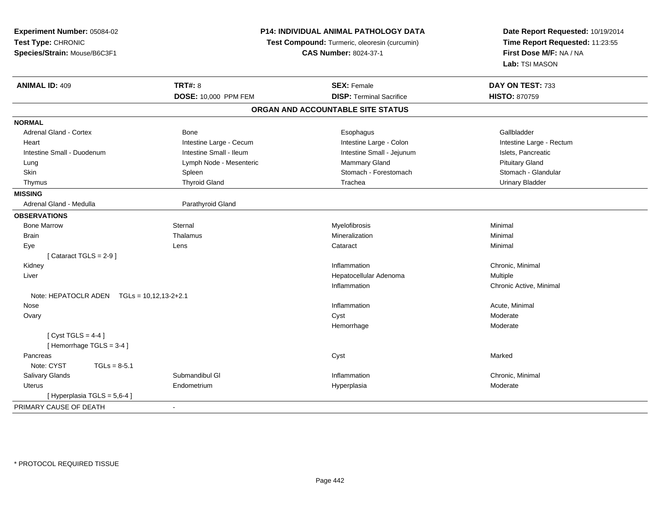| Experiment Number: 05084-02                | <b>P14: INDIVIDUAL ANIMAL PATHOLOGY DATA</b> |                                               | Date Report Requested: 10/19/2014 |
|--------------------------------------------|----------------------------------------------|-----------------------------------------------|-----------------------------------|
| Test Type: CHRONIC                         |                                              | Test Compound: Turmeric, oleoresin (curcumin) | Time Report Requested: 11:23:55   |
| Species/Strain: Mouse/B6C3F1               | <b>CAS Number: 8024-37-1</b>                 |                                               | First Dose M/F: NA / NA           |
|                                            |                                              |                                               | Lab: TSI MASON                    |
| <b>ANIMAL ID: 409</b>                      | <b>TRT#: 8</b>                               | <b>SEX: Female</b>                            | DAY ON TEST: 733                  |
|                                            | DOSE: 10,000 PPM FEM                         | <b>DISP: Terminal Sacrifice</b>               | <b>HISTO: 870759</b>              |
|                                            |                                              | ORGAN AND ACCOUNTABLE SITE STATUS             |                                   |
| <b>NORMAL</b>                              |                                              |                                               |                                   |
| <b>Adrenal Gland - Cortex</b>              | Bone                                         | Esophagus                                     | Gallbladder                       |
| Heart                                      | Intestine Large - Cecum                      | Intestine Large - Colon                       | Intestine Large - Rectum          |
| Intestine Small - Duodenum                 | Intestine Small - Ileum                      | Intestine Small - Jejunum                     | Islets, Pancreatic                |
| Lung                                       | Lymph Node - Mesenteric                      | Mammary Gland                                 | <b>Pituitary Gland</b>            |
| Skin                                       | Spleen                                       | Stomach - Forestomach                         | Stomach - Glandular               |
| Thymus                                     | <b>Thyroid Gland</b>                         | Trachea                                       | <b>Urinary Bladder</b>            |
| <b>MISSING</b>                             |                                              |                                               |                                   |
| Adrenal Gland - Medulla                    | Parathyroid Gland                            |                                               |                                   |
| <b>OBSERVATIONS</b>                        |                                              |                                               |                                   |
| <b>Bone Marrow</b>                         | Sternal                                      | Myelofibrosis                                 | Minimal                           |
| <b>Brain</b>                               | Thalamus                                     | Mineralization                                | Minimal                           |
| Eye                                        | Lens                                         | Cataract                                      | Minimal                           |
| [Cataract TGLS = $2-9$ ]                   |                                              |                                               |                                   |
| Kidney                                     |                                              | Inflammation                                  | Chronic, Minimal                  |
| Liver                                      |                                              | Hepatocellular Adenoma                        | Multiple                          |
|                                            |                                              | Inflammation                                  | Chronic Active, Minimal           |
| Note: HEPATOCLR ADEN TGLs = 10,12,13-2+2.1 |                                              |                                               |                                   |
| Nose                                       |                                              | Inflammation                                  | Acute, Minimal                    |
| Ovary                                      |                                              | Cyst                                          | Moderate                          |
|                                            |                                              | Hemorrhage                                    | Moderate                          |
| [Cyst TGLS = $4-4$ ]                       |                                              |                                               |                                   |
| [Hemorrhage TGLS = 3-4]                    |                                              |                                               |                                   |
| Pancreas                                   |                                              | Cyst                                          | Marked                            |
| Note: CYST<br>$TGLs = 8-5.1$               |                                              |                                               |                                   |
| Salivary Glands                            | Submandibul GI                               | Inflammation                                  | Chronic, Minimal                  |
| Uterus                                     | Endometrium                                  | Hyperplasia                                   | Moderate                          |
| [ Hyperplasia TGLS = 5,6-4 ]               |                                              |                                               |                                   |
| PRIMARY CAUSE OF DEATH                     | $\blacksquare$                               |                                               |                                   |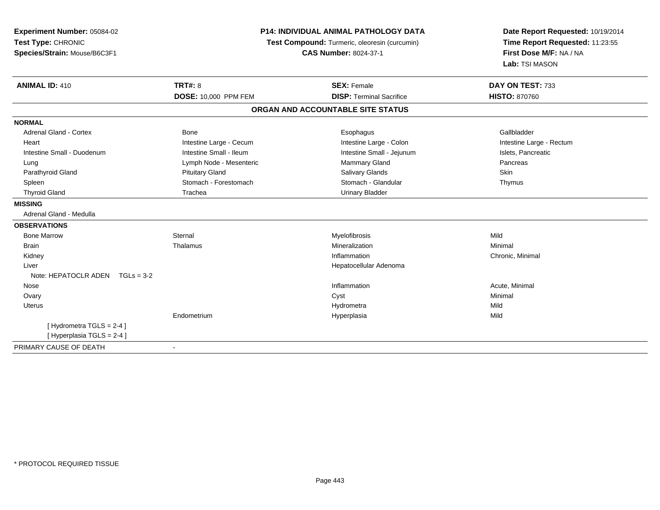| Experiment Number: 05084-02<br>Test Type: CHRONIC<br>Species/Strain: Mouse/B6C3F1 |                             | P14: INDIVIDUAL ANIMAL PATHOLOGY DATA<br>Test Compound: Turmeric, oleoresin (curcumin)<br><b>CAS Number: 8024-37-1</b> | Date Report Requested: 10/19/2014<br>Time Report Requested: 11:23:55<br>First Dose M/F: NA / NA<br>Lab: TSI MASON |
|-----------------------------------------------------------------------------------|-----------------------------|------------------------------------------------------------------------------------------------------------------------|-------------------------------------------------------------------------------------------------------------------|
| <b>ANIMAL ID: 410</b>                                                             | <b>TRT#: 8</b>              | <b>SEX: Female</b>                                                                                                     | DAY ON TEST: 733                                                                                                  |
|                                                                                   | <b>DOSE: 10,000 PPM FEM</b> | <b>DISP: Terminal Sacrifice</b>                                                                                        | <b>HISTO: 870760</b>                                                                                              |
|                                                                                   |                             | ORGAN AND ACCOUNTABLE SITE STATUS                                                                                      |                                                                                                                   |
| <b>NORMAL</b>                                                                     |                             |                                                                                                                        |                                                                                                                   |
| <b>Adrenal Gland - Cortex</b>                                                     | Bone                        | Esophagus                                                                                                              | Gallbladder                                                                                                       |
| Heart                                                                             | Intestine Large - Cecum     | Intestine Large - Colon                                                                                                | Intestine Large - Rectum                                                                                          |
| Intestine Small - Duodenum                                                        | Intestine Small - Ileum     | Intestine Small - Jejunum                                                                                              | Islets, Pancreatic                                                                                                |
| Lung                                                                              | Lymph Node - Mesenteric     | Mammary Gland                                                                                                          | Pancreas                                                                                                          |
| Parathyroid Gland                                                                 | <b>Pituitary Gland</b>      | Salivary Glands                                                                                                        | Skin                                                                                                              |
| Spleen                                                                            | Stomach - Forestomach       | Stomach - Glandular                                                                                                    | Thymus                                                                                                            |
| <b>Thyroid Gland</b>                                                              | Trachea                     | <b>Urinary Bladder</b>                                                                                                 |                                                                                                                   |
| <b>MISSING</b>                                                                    |                             |                                                                                                                        |                                                                                                                   |
| Adrenal Gland - Medulla                                                           |                             |                                                                                                                        |                                                                                                                   |
| <b>OBSERVATIONS</b>                                                               |                             |                                                                                                                        |                                                                                                                   |
| <b>Bone Marrow</b>                                                                | Sternal                     | Myelofibrosis                                                                                                          | Mild                                                                                                              |
| <b>Brain</b>                                                                      | Thalamus                    | Mineralization                                                                                                         | Minimal                                                                                                           |
| Kidney                                                                            |                             | Inflammation                                                                                                           | Chronic, Minimal                                                                                                  |
| Liver                                                                             |                             | Hepatocellular Adenoma                                                                                                 |                                                                                                                   |
| Note: HEPATOCLR ADEN $TGLs = 3-2$                                                 |                             |                                                                                                                        |                                                                                                                   |
| Nose                                                                              |                             | Inflammation                                                                                                           | Acute, Minimal                                                                                                    |
| Ovary                                                                             |                             | Cyst                                                                                                                   | Minimal                                                                                                           |
| Uterus                                                                            |                             | Hydrometra                                                                                                             | Mild                                                                                                              |
|                                                                                   | Endometrium                 | Hyperplasia                                                                                                            | Mild                                                                                                              |
| [Hydrometra TGLS = 2-4]                                                           |                             |                                                                                                                        |                                                                                                                   |
| [Hyperplasia TGLS = 2-4]                                                          |                             |                                                                                                                        |                                                                                                                   |
| PRIMARY CAUSE OF DEATH                                                            | $\blacksquare$              |                                                                                                                        |                                                                                                                   |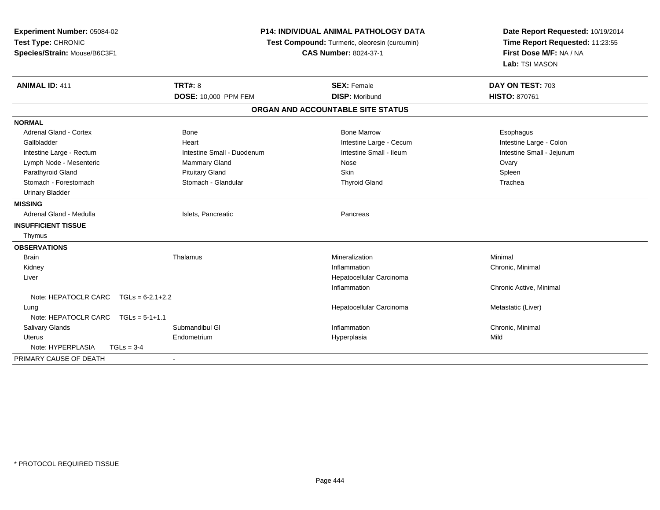| Experiment Number: 05084-02<br>Test Type: CHRONIC<br>Species/Strain: Mouse/B6C3F1                                                                                                                                                                                                 | P14: INDIVIDUAL ANIMAL PATHOLOGY DATA<br>Test Compound: Turmeric, oleoresin (curcumin)<br><b>CAS Number: 8024-37-1</b>                     |                                                                                                                              | Date Report Requested: 10/19/2014<br>Time Report Requested: 11:23:55<br>First Dose M/F: NA / NA<br>Lab: TSI MASON |
|-----------------------------------------------------------------------------------------------------------------------------------------------------------------------------------------------------------------------------------------------------------------------------------|--------------------------------------------------------------------------------------------------------------------------------------------|------------------------------------------------------------------------------------------------------------------------------|-------------------------------------------------------------------------------------------------------------------|
| <b>ANIMAL ID: 411</b>                                                                                                                                                                                                                                                             | <b>TRT#: 8</b><br>DOSE: 10,000 PPM FEM                                                                                                     | <b>SEX: Female</b><br><b>DISP: Moribund</b>                                                                                  | DAY ON TEST: 703<br>HISTO: 870761                                                                                 |
|                                                                                                                                                                                                                                                                                   |                                                                                                                                            | ORGAN AND ACCOUNTABLE SITE STATUS                                                                                            |                                                                                                                   |
|                                                                                                                                                                                                                                                                                   |                                                                                                                                            |                                                                                                                              |                                                                                                                   |
| <b>NORMAL</b><br><b>Adrenal Gland - Cortex</b><br>Gallbladder<br>Intestine Large - Rectum<br>Lymph Node - Mesenteric<br>Parathyroid Gland<br>Stomach - Forestomach<br><b>Urinary Bladder</b><br><b>MISSING</b><br>Adrenal Gland - Medulla<br><b>INSUFFICIENT TISSUE</b><br>Thymus | <b>Bone</b><br>Heart<br>Intestine Small - Duodenum<br>Mammary Gland<br><b>Pituitary Gland</b><br>Stomach - Glandular<br>Islets, Pancreatic | <b>Bone Marrow</b><br>Intestine Large - Cecum<br>Intestine Small - Ileum<br>Nose<br>Skin<br><b>Thyroid Gland</b><br>Pancreas | Esophagus<br>Intestine Large - Colon<br>Intestine Small - Jejunum<br>Ovary<br>Spleen<br>Trachea                   |
| <b>OBSERVATIONS</b><br><b>Brain</b><br>Kidney<br>Liver<br>Note: HEPATOCLR CARC $TGLs = 6-2.1+2.2$<br>Lung<br>Note: HEPATOCLR CARC<br>$TGLs = 5-1+1.1$<br><b>Salivary Glands</b>                                                                                                   | Thalamus<br>Submandibul GI                                                                                                                 | Mineralization<br>Inflammation<br>Hepatocellular Carcinoma<br>Inflammation<br>Hepatocellular Carcinoma<br>Inflammation       | Minimal<br>Chronic, Minimal<br>Chronic Active, Minimal<br>Metastatic (Liver)<br>Chronic, Minimal                  |
| <b>Uterus</b>                                                                                                                                                                                                                                                                     | Endometrium                                                                                                                                | Hyperplasia                                                                                                                  | Mild                                                                                                              |
| Note: HYPERPLASIA<br>$TGLs = 3-4$                                                                                                                                                                                                                                                 |                                                                                                                                            |                                                                                                                              |                                                                                                                   |
| PRIMARY CAUSE OF DEATH                                                                                                                                                                                                                                                            |                                                                                                                                            |                                                                                                                              |                                                                                                                   |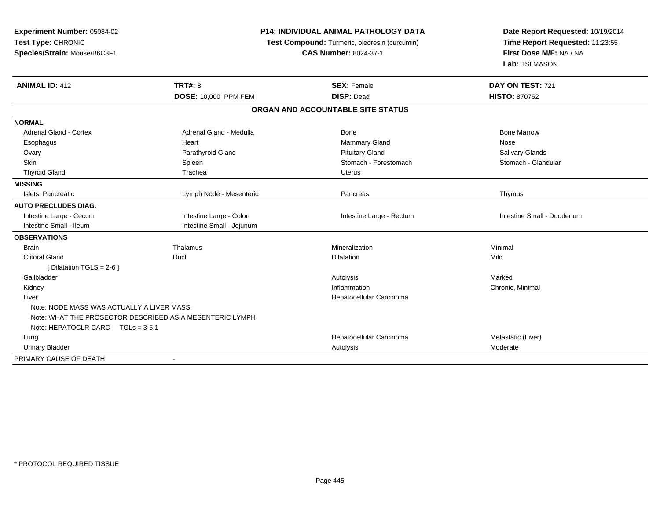| Experiment Number: 05084-02                              | P14: INDIVIDUAL ANIMAL PATHOLOGY DATA<br>Test Compound: Turmeric, oleoresin (curcumin) |                                   | Date Report Requested: 10/19/2014<br>Time Report Requested: 11:23:55 |
|----------------------------------------------------------|----------------------------------------------------------------------------------------|-----------------------------------|----------------------------------------------------------------------|
| Test Type: CHRONIC                                       |                                                                                        |                                   |                                                                      |
| Species/Strain: Mouse/B6C3F1                             |                                                                                        | <b>CAS Number: 8024-37-1</b>      | First Dose M/F: NA / NA                                              |
|                                                          |                                                                                        |                                   | Lab: TSI MASON                                                       |
| <b>ANIMAL ID: 412</b>                                    | <b>TRT#: 8</b>                                                                         | <b>SEX: Female</b>                | DAY ON TEST: 721                                                     |
|                                                          | DOSE: 10,000 PPM FEM                                                                   | <b>DISP: Dead</b>                 | <b>HISTO: 870762</b>                                                 |
|                                                          |                                                                                        | ORGAN AND ACCOUNTABLE SITE STATUS |                                                                      |
| <b>NORMAL</b>                                            |                                                                                        |                                   |                                                                      |
| <b>Adrenal Gland - Cortex</b>                            | Adrenal Gland - Medulla                                                                | <b>Bone</b>                       | <b>Bone Marrow</b>                                                   |
| Esophagus                                                | Heart                                                                                  | Mammary Gland                     | Nose                                                                 |
| Ovary                                                    | Parathyroid Gland                                                                      | <b>Pituitary Gland</b>            | Salivary Glands                                                      |
| Skin                                                     | Spleen                                                                                 | Stomach - Forestomach             | Stomach - Glandular                                                  |
| <b>Thyroid Gland</b>                                     | Trachea                                                                                | <b>Uterus</b>                     |                                                                      |
| <b>MISSING</b>                                           |                                                                                        |                                   |                                                                      |
| Islets. Pancreatic                                       | Lymph Node - Mesenteric                                                                | Pancreas                          | Thymus                                                               |
| <b>AUTO PRECLUDES DIAG.</b>                              |                                                                                        |                                   |                                                                      |
| Intestine Large - Cecum                                  | Intestine Large - Colon                                                                | Intestine Large - Rectum          | Intestine Small - Duodenum                                           |
| Intestine Small - Ileum                                  | Intestine Small - Jejunum                                                              |                                   |                                                                      |
| <b>OBSERVATIONS</b>                                      |                                                                                        |                                   |                                                                      |
| <b>Brain</b>                                             | Thalamus                                                                               | Mineralization                    | Minimal                                                              |
| <b>Clitoral Gland</b>                                    | Duct                                                                                   | <b>Dilatation</b>                 | Mild                                                                 |
| [ Dilatation TGLS = $2-6$ ]                              |                                                                                        |                                   |                                                                      |
| Gallbladder                                              |                                                                                        | Autolysis                         | Marked                                                               |
| Kidney                                                   |                                                                                        | Inflammation                      | Chronic, Minimal                                                     |
| Liver                                                    |                                                                                        | Hepatocellular Carcinoma          |                                                                      |
| Note: NODE MASS WAS ACTUALLY A LIVER MASS.               |                                                                                        |                                   |                                                                      |
| Note: WHAT THE PROSECTOR DESCRIBED AS A MESENTERIC LYMPH |                                                                                        |                                   |                                                                      |
| Note: HEPATOCLR CARC TGLs = 3-5.1                        |                                                                                        |                                   |                                                                      |
| Lung                                                     |                                                                                        | Hepatocellular Carcinoma          | Metastatic (Liver)                                                   |
| <b>Urinary Bladder</b>                                   |                                                                                        | Autolysis                         | Moderate                                                             |
| PRIMARY CAUSE OF DEATH                                   | $\sim$                                                                                 |                                   |                                                                      |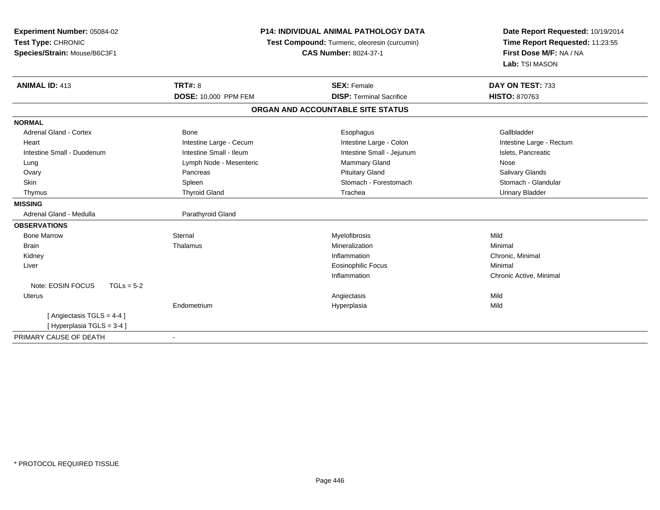| <b>Experiment Number: 05084-02</b><br>Test Type: CHRONIC<br>Species/Strain: Mouse/B6C3F1 | <b>P14: INDIVIDUAL ANIMAL PATHOLOGY DATA</b><br>Test Compound: Turmeric, oleoresin (curcumin)<br><b>CAS Number: 8024-37-1</b> |                                   | Date Report Requested: 10/19/2014<br>Time Report Requested: 11:23:55<br>First Dose M/F: NA / NA<br>Lab: TSI MASON |  |
|------------------------------------------------------------------------------------------|-------------------------------------------------------------------------------------------------------------------------------|-----------------------------------|-------------------------------------------------------------------------------------------------------------------|--|
| <b>ANIMAL ID: 413</b>                                                                    | <b>TRT#: 8</b>                                                                                                                | <b>SEX: Female</b>                | DAY ON TEST: 733                                                                                                  |  |
|                                                                                          | <b>DOSE: 10,000 PPM FEM</b>                                                                                                   | <b>DISP: Terminal Sacrifice</b>   | <b>HISTO: 870763</b>                                                                                              |  |
|                                                                                          |                                                                                                                               | ORGAN AND ACCOUNTABLE SITE STATUS |                                                                                                                   |  |
| <b>NORMAL</b>                                                                            |                                                                                                                               |                                   |                                                                                                                   |  |
| <b>Adrenal Gland - Cortex</b>                                                            | <b>Bone</b>                                                                                                                   | Esophagus                         | Gallbladder                                                                                                       |  |
| Heart                                                                                    | Intestine Large - Cecum                                                                                                       | Intestine Large - Colon           | Intestine Large - Rectum                                                                                          |  |
| Intestine Small - Duodenum                                                               | Intestine Small - Ileum                                                                                                       | Intestine Small - Jejunum         | Islets, Pancreatic                                                                                                |  |
| Lung                                                                                     | Lymph Node - Mesenteric                                                                                                       | <b>Mammary Gland</b>              | Nose                                                                                                              |  |
| Ovary                                                                                    | Pancreas                                                                                                                      | <b>Pituitary Gland</b>            | Salivary Glands                                                                                                   |  |
| Skin                                                                                     | Spleen                                                                                                                        | Stomach - Forestomach             | Stomach - Glandular                                                                                               |  |
| Thymus                                                                                   | <b>Thyroid Gland</b>                                                                                                          | Trachea                           | <b>Urinary Bladder</b>                                                                                            |  |
| <b>MISSING</b>                                                                           |                                                                                                                               |                                   |                                                                                                                   |  |
| Adrenal Gland - Medulla                                                                  | Parathyroid Gland                                                                                                             |                                   |                                                                                                                   |  |
| <b>OBSERVATIONS</b>                                                                      |                                                                                                                               |                                   |                                                                                                                   |  |
| <b>Bone Marrow</b>                                                                       | Sternal                                                                                                                       | Myelofibrosis                     | Mild                                                                                                              |  |
| <b>Brain</b>                                                                             | Thalamus                                                                                                                      | Mineralization                    | Minimal                                                                                                           |  |
| Kidney                                                                                   |                                                                                                                               | Inflammation                      | Chronic, Minimal                                                                                                  |  |
| Liver                                                                                    |                                                                                                                               | <b>Eosinophilic Focus</b>         | Minimal                                                                                                           |  |
|                                                                                          |                                                                                                                               | Inflammation                      | Chronic Active, Minimal                                                                                           |  |
| Note: EOSIN FOCUS<br>$TGLs = 5-2$                                                        |                                                                                                                               |                                   |                                                                                                                   |  |
| <b>Uterus</b>                                                                            |                                                                                                                               | Angiectasis                       | Mild                                                                                                              |  |
|                                                                                          | Endometrium                                                                                                                   | Hyperplasia                       | Mild                                                                                                              |  |
| [Angiectasis TGLS = 4-4]                                                                 |                                                                                                                               |                                   |                                                                                                                   |  |
| [Hyperplasia TGLS = 3-4]                                                                 |                                                                                                                               |                                   |                                                                                                                   |  |
| PRIMARY CAUSE OF DEATH                                                                   |                                                                                                                               |                                   |                                                                                                                   |  |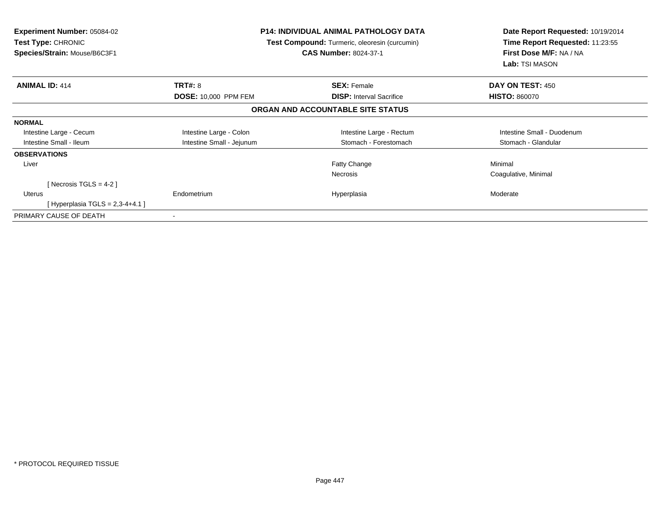| <b>Experiment Number: 05084-02</b><br>Test Type: CHRONIC<br>Species/Strain: Mouse/B6C3F1 |                             | <b>P14: INDIVIDUAL ANIMAL PATHOLOGY DATA</b><br>Test Compound: Turmeric, oleoresin (curcumin)<br><b>CAS Number: 8024-37-1</b> | Date Report Requested: 10/19/2014<br>Time Report Requested: 11:23:55<br>First Dose M/F: NA / NA<br>Lab: TSI MASON |  |
|------------------------------------------------------------------------------------------|-----------------------------|-------------------------------------------------------------------------------------------------------------------------------|-------------------------------------------------------------------------------------------------------------------|--|
| <b>ANIMAL ID: 414</b>                                                                    | <b>TRT#: 8</b>              | <b>SEX: Female</b>                                                                                                            | DAY ON TEST: 450                                                                                                  |  |
|                                                                                          | <b>DOSE: 10,000 PPM FEM</b> | <b>DISP:</b> Interval Sacrifice                                                                                               | <b>HISTO: 860070</b>                                                                                              |  |
|                                                                                          |                             | ORGAN AND ACCOUNTABLE SITE STATUS                                                                                             |                                                                                                                   |  |
| <b>NORMAL</b>                                                                            |                             |                                                                                                                               |                                                                                                                   |  |
| Intestine Large - Cecum                                                                  | Intestine Large - Colon     | Intestine Large - Rectum                                                                                                      | Intestine Small - Duodenum                                                                                        |  |
| Intestine Small - Ileum                                                                  | Intestine Small - Jejunum   | Stomach - Forestomach                                                                                                         | Stomach - Glandular                                                                                               |  |
| <b>OBSERVATIONS</b>                                                                      |                             |                                                                                                                               |                                                                                                                   |  |
| Liver                                                                                    |                             | Fatty Change                                                                                                                  | Minimal                                                                                                           |  |
|                                                                                          |                             | Necrosis                                                                                                                      | Coagulative, Minimal                                                                                              |  |
| [Necrosis TGLS = 4-2]                                                                    |                             |                                                                                                                               |                                                                                                                   |  |
| <b>Uterus</b>                                                                            | Endometrium                 | Hyperplasia                                                                                                                   | Moderate                                                                                                          |  |
| [Hyperplasia TGLS = $2,3-4+4.1$ ]                                                        |                             |                                                                                                                               |                                                                                                                   |  |
| PRIMARY CAUSE OF DEATH                                                                   |                             |                                                                                                                               |                                                                                                                   |  |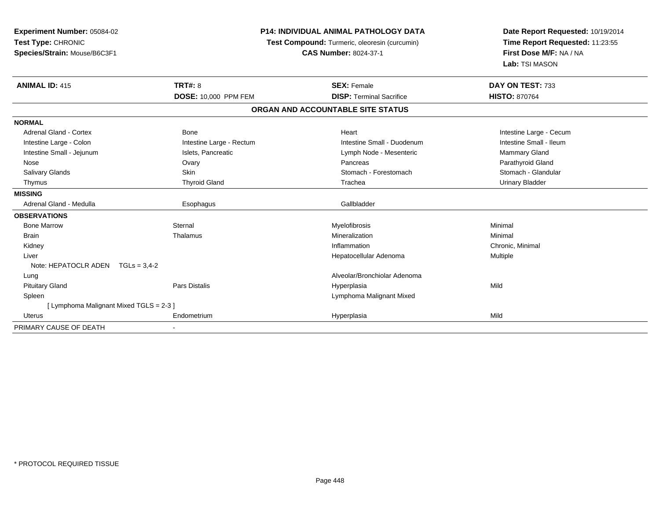| Experiment Number: 05084-02<br>Test Type: CHRONIC<br>Species/Strain: Mouse/B6C3F1 | <b>P14: INDIVIDUAL ANIMAL PATHOLOGY DATA</b><br>Test Compound: Turmeric, oleoresin (curcumin)<br><b>CAS Number: 8024-37-1</b> |                                   | Date Report Requested: 10/19/2014<br>Time Report Requested: 11:23:55<br>First Dose M/F: NA / NA<br>Lab: TSI MASON |  |
|-----------------------------------------------------------------------------------|-------------------------------------------------------------------------------------------------------------------------------|-----------------------------------|-------------------------------------------------------------------------------------------------------------------|--|
| <b>ANIMAL ID: 415</b>                                                             | <b>TRT#: 8</b>                                                                                                                | <b>SEX: Female</b>                | DAY ON TEST: 733                                                                                                  |  |
|                                                                                   | DOSE: 10,000 PPM FEM                                                                                                          | <b>DISP: Terminal Sacrifice</b>   | <b>HISTO: 870764</b>                                                                                              |  |
|                                                                                   |                                                                                                                               | ORGAN AND ACCOUNTABLE SITE STATUS |                                                                                                                   |  |
| <b>NORMAL</b>                                                                     |                                                                                                                               |                                   |                                                                                                                   |  |
| <b>Adrenal Gland - Cortex</b>                                                     | Bone                                                                                                                          | Heart                             | Intestine Large - Cecum                                                                                           |  |
| Intestine Large - Colon                                                           | Intestine Large - Rectum                                                                                                      | Intestine Small - Duodenum        | Intestine Small - Ileum                                                                                           |  |
| Intestine Small - Jejunum                                                         | Islets, Pancreatic                                                                                                            | Lymph Node - Mesenteric           | <b>Mammary Gland</b>                                                                                              |  |
| Nose                                                                              | Ovary                                                                                                                         | Pancreas                          | Parathyroid Gland                                                                                                 |  |
| Salivary Glands                                                                   | <b>Skin</b>                                                                                                                   | Stomach - Forestomach             | Stomach - Glandular                                                                                               |  |
| Thymus                                                                            | <b>Thyroid Gland</b>                                                                                                          | Trachea                           | <b>Urinary Bladder</b>                                                                                            |  |
| <b>MISSING</b>                                                                    |                                                                                                                               |                                   |                                                                                                                   |  |
| Adrenal Gland - Medulla                                                           | Esophagus                                                                                                                     | Gallbladder                       |                                                                                                                   |  |
| <b>OBSERVATIONS</b>                                                               |                                                                                                                               |                                   |                                                                                                                   |  |
| <b>Bone Marrow</b>                                                                | Sternal                                                                                                                       | Myelofibrosis                     | Minimal                                                                                                           |  |
| <b>Brain</b>                                                                      | Thalamus                                                                                                                      | Mineralization                    | Minimal                                                                                                           |  |
| Kidney                                                                            |                                                                                                                               | Inflammation                      | Chronic, Minimal                                                                                                  |  |
| Liver                                                                             |                                                                                                                               | Hepatocellular Adenoma            | Multiple                                                                                                          |  |
| Note: HEPATOCLR ADEN $TGLs = 3.4-2$                                               |                                                                                                                               |                                   |                                                                                                                   |  |
| Lung                                                                              |                                                                                                                               | Alveolar/Bronchiolar Adenoma      |                                                                                                                   |  |
| <b>Pituitary Gland</b>                                                            | <b>Pars Distalis</b>                                                                                                          | Hyperplasia                       | Mild                                                                                                              |  |
| Spleen                                                                            |                                                                                                                               | Lymphoma Malignant Mixed          |                                                                                                                   |  |
| [ Lymphoma Malignant Mixed TGLS = 2-3 ]                                           |                                                                                                                               |                                   |                                                                                                                   |  |
| Uterus                                                                            | Endometrium                                                                                                                   | Hyperplasia                       | Mild                                                                                                              |  |
| PRIMARY CAUSE OF DEATH                                                            |                                                                                                                               |                                   |                                                                                                                   |  |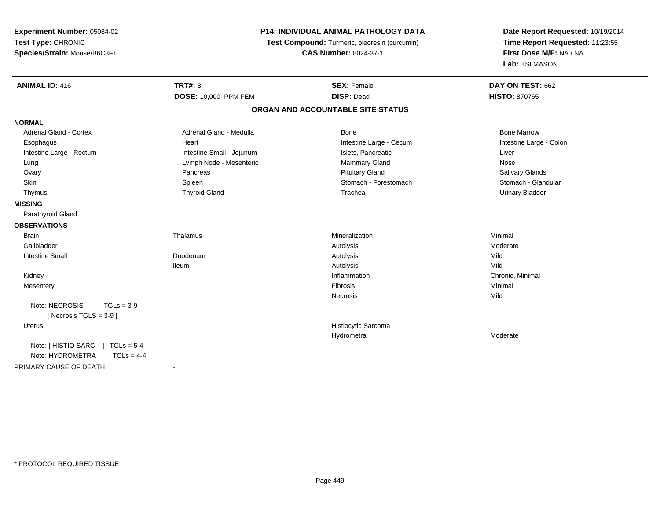| <b>Experiment Number: 05084-02</b>      |                           | <b>P14: INDIVIDUAL ANIMAL PATHOLOGY DATA</b>  | Date Report Requested: 10/19/2014 |  |
|-----------------------------------------|---------------------------|-----------------------------------------------|-----------------------------------|--|
| Test Type: CHRONIC                      |                           | Test Compound: Turmeric, oleoresin (curcumin) | Time Report Requested: 11:23:55   |  |
| Species/Strain: Mouse/B6C3F1            |                           | <b>CAS Number: 8024-37-1</b>                  | First Dose M/F: NA / NA           |  |
|                                         |                           |                                               | Lab: TSI MASON                    |  |
| <b>TRT#: 8</b><br><b>ANIMAL ID: 416</b> |                           | <b>SEX: Female</b>                            | DAY ON TEST: 662                  |  |
|                                         | DOSE: 10,000 PPM FEM      | <b>DISP: Dead</b>                             | <b>HISTO: 870765</b>              |  |
|                                         |                           | ORGAN AND ACCOUNTABLE SITE STATUS             |                                   |  |
| <b>NORMAL</b>                           |                           |                                               |                                   |  |
| <b>Adrenal Gland - Cortex</b>           | Adrenal Gland - Medulla   | Bone                                          | <b>Bone Marrow</b>                |  |
| Heart<br>Esophagus                      |                           | Intestine Large - Cecum                       | Intestine Large - Colon           |  |
| Intestine Large - Rectum                | Intestine Small - Jejunum | Islets, Pancreatic                            | Liver                             |  |
| Lung                                    | Lymph Node - Mesenteric   | <b>Mammary Gland</b>                          | Nose                              |  |
| Ovary<br>Pancreas                       |                           | <b>Pituitary Gland</b>                        | Salivary Glands                   |  |
| Skin<br>Spleen                          |                           | Stomach - Forestomach                         | Stomach - Glandular               |  |
| Thymus                                  | <b>Thyroid Gland</b>      | Trachea                                       | <b>Urinary Bladder</b>            |  |
| <b>MISSING</b>                          |                           |                                               |                                   |  |
| Parathyroid Gland                       |                           |                                               |                                   |  |
| <b>OBSERVATIONS</b>                     |                           |                                               |                                   |  |
| <b>Brain</b><br>Thalamus                |                           | Mineralization                                | Minimal                           |  |
| Gallbladder                             |                           | Autolysis                                     | Moderate                          |  |
| <b>Intestine Small</b><br>Duodenum      |                           | Autolysis                                     | Mild                              |  |
| <b>Ileum</b>                            |                           | Autolysis                                     | Mild                              |  |
| Kidney                                  |                           | Inflammation                                  | Chronic, Minimal                  |  |
| Mesentery                               |                           | Fibrosis                                      | Minimal                           |  |
|                                         |                           | Necrosis                                      | Mild                              |  |
| Note: NECROSIS<br>$TGLs = 3-9$          |                           |                                               |                                   |  |
| [Necrosis TGLS = $3-9$ ]                |                           |                                               |                                   |  |
| <b>Uterus</b>                           |                           | Histiocytic Sarcoma                           |                                   |  |
|                                         |                           | Hydrometra                                    | Moderate                          |  |
| Note: [ HISTIO SARC ]<br>$TGLs = 5-4$   |                           |                                               |                                   |  |
| Note: HYDROMETRA<br>$TGLs = 4-4$        |                           |                                               |                                   |  |
| PRIMARY CAUSE OF DEATH                  |                           |                                               |                                   |  |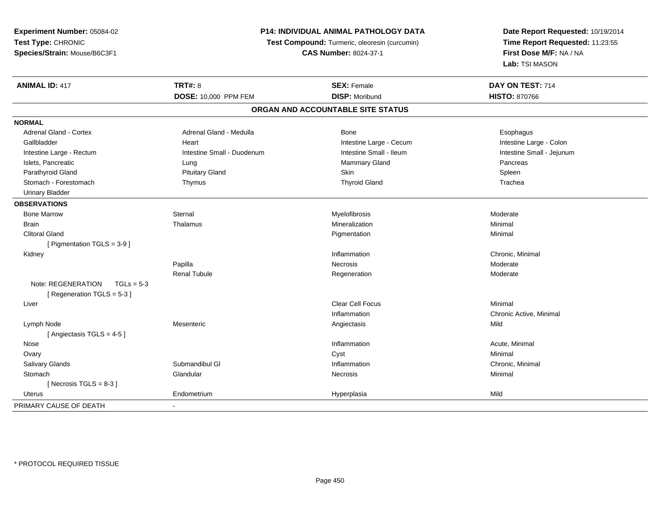**Experiment Number:** 05084-02**Test Type:** CHRONIC**Species/Strain:** Mouse/B6C3F1

## **P14: INDIVIDUAL ANIMAL PATHOLOGY DATA**

**Test Compound:** Turmeric, oleoresin (curcumin)

**CAS Number:** 8024-37-1

**Date Report Requested:** 10/19/2014**Time Report Requested:** 11:23:55**First Dose M/F:** NA / NA**Lab:** TSI MASON

| <b>ANIMAL ID: 417</b>              | <b>TRT#: 8</b>             | <b>SEX: Female</b>                | DAY ON TEST: 714          |  |
|------------------------------------|----------------------------|-----------------------------------|---------------------------|--|
|                                    | DOSE: 10,000 PPM FEM       | <b>DISP: Moribund</b>             | <b>HISTO: 870766</b>      |  |
|                                    |                            | ORGAN AND ACCOUNTABLE SITE STATUS |                           |  |
| <b>NORMAL</b>                      |                            |                                   |                           |  |
| <b>Adrenal Gland - Cortex</b>      | Adrenal Gland - Medulla    | <b>Bone</b>                       | Esophagus                 |  |
| Gallbladder                        | Heart                      | Intestine Large - Cecum           | Intestine Large - Colon   |  |
| Intestine Large - Rectum           | Intestine Small - Duodenum | Intestine Small - Ileum           | Intestine Small - Jejunum |  |
| Islets, Pancreatic                 | Lung                       | <b>Mammary Gland</b>              | Pancreas                  |  |
| Parathyroid Gland                  | <b>Pituitary Gland</b>     | Skin                              | Spleen                    |  |
| Stomach - Forestomach              | Thymus                     | <b>Thyroid Gland</b>              | Trachea                   |  |
| <b>Urinary Bladder</b>             |                            |                                   |                           |  |
| <b>OBSERVATIONS</b>                |                            |                                   |                           |  |
| <b>Bone Marrow</b>                 | Sternal                    | Myelofibrosis                     | Moderate                  |  |
| <b>Brain</b>                       | Thalamus                   | Mineralization                    | Minimal                   |  |
| <b>Clitoral Gland</b>              |                            | Pigmentation                      | Minimal                   |  |
| [ Pigmentation TGLS = 3-9 ]        |                            |                                   |                           |  |
| Kidney                             |                            | Inflammation                      | Chronic, Minimal          |  |
|                                    | Papilla                    | Necrosis                          | Moderate                  |  |
|                                    | <b>Renal Tubule</b>        | Regeneration                      | Moderate                  |  |
| Note: REGENERATION<br>$TGLs = 5-3$ |                            |                                   |                           |  |
| [Regeneration TGLS = 5-3]          |                            |                                   |                           |  |
| Liver                              |                            | Clear Cell Focus                  | Minimal                   |  |
|                                    |                            | Inflammation                      | Chronic Active, Minimal   |  |
| Lymph Node                         | Mesenteric                 | Angiectasis                       | Mild                      |  |
| [Angiectasis TGLS = 4-5]           |                            |                                   |                           |  |
| Nose                               |                            | Inflammation                      | Acute, Minimal            |  |
| Ovary                              |                            | Cyst                              | Minimal                   |  |
| <b>Salivary Glands</b>             | Submandibul GI             | Inflammation                      | Chronic, Minimal          |  |
| Stomach                            | Glandular                  | Necrosis                          | Minimal                   |  |
| [Necrosis TGLS = $8-3$ ]           |                            |                                   |                           |  |
| Uterus                             | Endometrium                | Hyperplasia                       | Mild                      |  |
| PRIMARY CAUSE OF DEATH             | $\blacksquare$             |                                   |                           |  |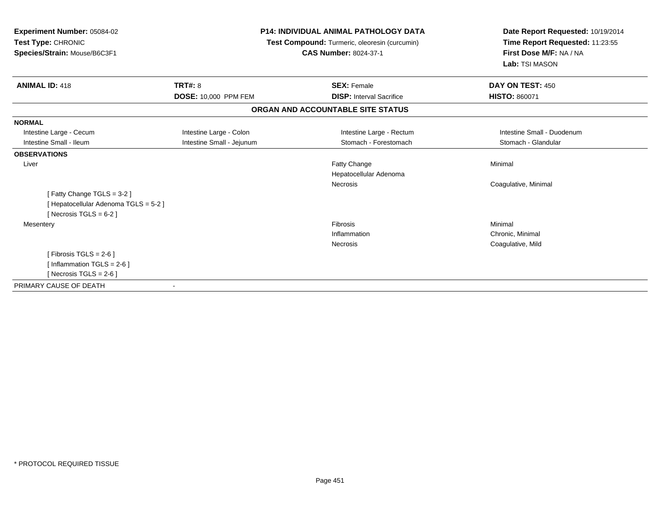| Experiment Number: 05084-02<br>Test Type: CHRONIC<br>Species/Strain: Mouse/B6C3F1 |                             | <b>P14: INDIVIDUAL ANIMAL PATHOLOGY DATA</b><br>Test Compound: Turmeric, oleoresin (curcumin)<br><b>CAS Number: 8024-37-1</b> | Date Report Requested: 10/19/2014<br>Time Report Requested: 11:23:55<br>First Dose M/F: NA / NA<br>Lab: TSI MASON |  |
|-----------------------------------------------------------------------------------|-----------------------------|-------------------------------------------------------------------------------------------------------------------------------|-------------------------------------------------------------------------------------------------------------------|--|
| <b>ANIMAL ID: 418</b>                                                             | <b>TRT#: 8</b>              | <b>SEX: Female</b>                                                                                                            | DAY ON TEST: 450                                                                                                  |  |
|                                                                                   | <b>DOSE: 10,000 PPM FEM</b> | <b>DISP: Interval Sacrifice</b>                                                                                               | <b>HISTO: 860071</b>                                                                                              |  |
|                                                                                   |                             | ORGAN AND ACCOUNTABLE SITE STATUS                                                                                             |                                                                                                                   |  |
| <b>NORMAL</b>                                                                     |                             |                                                                                                                               |                                                                                                                   |  |
| Intestine Large - Cecum                                                           | Intestine Large - Colon     | Intestine Large - Rectum                                                                                                      | Intestine Small - Duodenum                                                                                        |  |
| Intestine Small - Ileum                                                           | Intestine Small - Jejunum   | Stomach - Forestomach                                                                                                         | Stomach - Glandular                                                                                               |  |
| <b>OBSERVATIONS</b>                                                               |                             |                                                                                                                               |                                                                                                                   |  |
| Liver                                                                             |                             | <b>Fatty Change</b>                                                                                                           | Minimal                                                                                                           |  |
|                                                                                   |                             | Hepatocellular Adenoma                                                                                                        |                                                                                                                   |  |
|                                                                                   |                             | <b>Necrosis</b>                                                                                                               | Coagulative, Minimal                                                                                              |  |
| [Fatty Change TGLS = 3-2]                                                         |                             |                                                                                                                               |                                                                                                                   |  |
| [ Hepatocellular Adenoma TGLS = 5-2 ]                                             |                             |                                                                                                                               |                                                                                                                   |  |
| [ Necrosis TGLS = $6-2$ ]                                                         |                             |                                                                                                                               |                                                                                                                   |  |
| Mesentery                                                                         |                             | Fibrosis                                                                                                                      | Minimal                                                                                                           |  |
|                                                                                   |                             | Inflammation                                                                                                                  | Chronic, Minimal                                                                                                  |  |
|                                                                                   |                             | Necrosis                                                                                                                      | Coagulative, Mild                                                                                                 |  |
| [ Fibrosis TGLS = $2-6$ ]                                                         |                             |                                                                                                                               |                                                                                                                   |  |
| [Inflammation TGLS = $2-6$ ]                                                      |                             |                                                                                                                               |                                                                                                                   |  |
| [ Necrosis TGLS = $2-6$ ]                                                         |                             |                                                                                                                               |                                                                                                                   |  |
| PRIMARY CAUSE OF DEATH                                                            | $\blacksquare$              |                                                                                                                               |                                                                                                                   |  |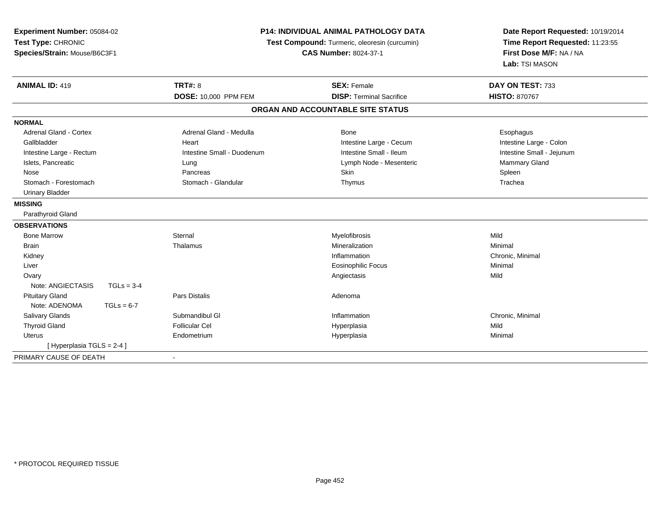| <b>Experiment Number: 05084-02</b><br>Test Type: CHRONIC<br>Species/Strain: Mouse/B6C3F1 |              | <b>P14: INDIVIDUAL ANIMAL PATHOLOGY DATA</b><br>Test Compound: Turmeric, oleoresin (curcumin)<br><b>CAS Number: 8024-37-1</b> |                                   | Date Report Requested: 10/19/2014<br>Time Report Requested: 11:23:55<br>First Dose M/F: NA / NA<br>Lab: TSI MASON |
|------------------------------------------------------------------------------------------|--------------|-------------------------------------------------------------------------------------------------------------------------------|-----------------------------------|-------------------------------------------------------------------------------------------------------------------|
| <b>ANIMAL ID: 419</b>                                                                    |              | <b>TRT#: 8</b>                                                                                                                | <b>SEX: Female</b>                | DAY ON TEST: 733                                                                                                  |
|                                                                                          |              | DOSE: 10,000 PPM FEM                                                                                                          | <b>DISP: Terminal Sacrifice</b>   | <b>HISTO: 870767</b>                                                                                              |
|                                                                                          |              |                                                                                                                               | ORGAN AND ACCOUNTABLE SITE STATUS |                                                                                                                   |
| <b>NORMAL</b>                                                                            |              |                                                                                                                               |                                   |                                                                                                                   |
| Adrenal Gland - Cortex                                                                   |              | Adrenal Gland - Medulla                                                                                                       | Bone                              | Esophagus                                                                                                         |
| Gallbladder                                                                              |              | Heart                                                                                                                         | Intestine Large - Cecum           | Intestine Large - Colon                                                                                           |
| Intestine Large - Rectum                                                                 |              | Intestine Small - Duodenum                                                                                                    | Intestine Small - Ileum           | Intestine Small - Jejunum                                                                                         |
| Islets, Pancreatic                                                                       |              | Lung                                                                                                                          | Lymph Node - Mesenteric           | <b>Mammary Gland</b>                                                                                              |
| Nose                                                                                     |              | Pancreas                                                                                                                      | <b>Skin</b>                       | Spleen                                                                                                            |
| Stomach - Forestomach                                                                    |              | Stomach - Glandular                                                                                                           | Thymus                            | Trachea                                                                                                           |
| <b>Urinary Bladder</b>                                                                   |              |                                                                                                                               |                                   |                                                                                                                   |
| <b>MISSING</b>                                                                           |              |                                                                                                                               |                                   |                                                                                                                   |
| Parathyroid Gland                                                                        |              |                                                                                                                               |                                   |                                                                                                                   |
| <b>OBSERVATIONS</b>                                                                      |              |                                                                                                                               |                                   |                                                                                                                   |
| <b>Bone Marrow</b>                                                                       |              | Sternal                                                                                                                       | Myelofibrosis                     | Mild                                                                                                              |
| <b>Brain</b>                                                                             |              | Thalamus                                                                                                                      | Mineralization                    | Minimal                                                                                                           |
| Kidney                                                                                   |              |                                                                                                                               | Inflammation                      | Chronic, Minimal                                                                                                  |
| Liver                                                                                    |              |                                                                                                                               | <b>Eosinophilic Focus</b>         | Minimal                                                                                                           |
| Ovary                                                                                    |              |                                                                                                                               | Angiectasis                       | Mild                                                                                                              |
| Note: ANGIECTASIS                                                                        | $TGLs = 3-4$ |                                                                                                                               |                                   |                                                                                                                   |
| <b>Pituitary Gland</b>                                                                   |              | <b>Pars Distalis</b>                                                                                                          | Adenoma                           |                                                                                                                   |
| Note: ADENOMA                                                                            | $TGLs = 6-7$ |                                                                                                                               |                                   |                                                                                                                   |
| <b>Salivary Glands</b>                                                                   |              | Submandibul GI                                                                                                                | Inflammation                      | Chronic, Minimal                                                                                                  |
| <b>Thyroid Gland</b>                                                                     |              | <b>Follicular Cel</b>                                                                                                         | Hyperplasia                       | Mild                                                                                                              |
| Uterus                                                                                   |              | Endometrium                                                                                                                   | Hyperplasia                       | Minimal                                                                                                           |
| [Hyperplasia TGLS = 2-4]                                                                 |              |                                                                                                                               |                                   |                                                                                                                   |
| PRIMARY CAUSE OF DEATH                                                                   |              |                                                                                                                               |                                   |                                                                                                                   |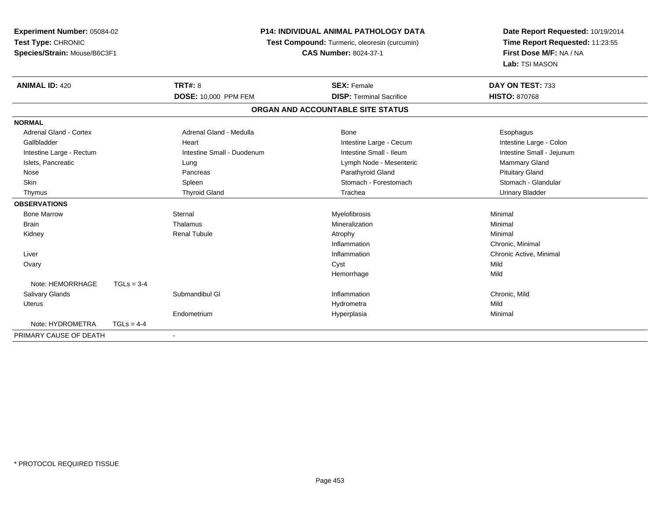| Experiment Number: 05084-02   |              | <b>P14: INDIVIDUAL ANIMAL PATHOLOGY DATA</b> |                                               | Date Report Requested: 10/19/2014 |  |
|-------------------------------|--------------|----------------------------------------------|-----------------------------------------------|-----------------------------------|--|
| Test Type: CHRONIC            |              |                                              | Test Compound: Turmeric, oleoresin (curcumin) | Time Report Requested: 11:23:55   |  |
| Species/Strain: Mouse/B6C3F1  |              |                                              | <b>CAS Number: 8024-37-1</b>                  | First Dose M/F: NA / NA           |  |
|                               |              |                                              |                                               | Lab: TSI MASON                    |  |
| <b>ANIMAL ID: 420</b>         |              | <b>TRT#: 8</b>                               | <b>SEX: Female</b>                            | DAY ON TEST: 733                  |  |
|                               |              | <b>DOSE: 10,000 PPM FEM</b>                  | <b>DISP: Terminal Sacrifice</b>               | <b>HISTO: 870768</b>              |  |
|                               |              |                                              | ORGAN AND ACCOUNTABLE SITE STATUS             |                                   |  |
| <b>NORMAL</b>                 |              |                                              |                                               |                                   |  |
| <b>Adrenal Gland - Cortex</b> |              | Adrenal Gland - Medulla                      | Bone                                          | Esophagus                         |  |
| Gallbladder                   |              | Heart                                        | Intestine Large - Cecum                       | Intestine Large - Colon           |  |
| Intestine Large - Rectum      |              | Intestine Small - Duodenum                   | Intestine Small - Ileum                       | Intestine Small - Jejunum         |  |
| Islets, Pancreatic            |              | Lung                                         | Lymph Node - Mesenteric                       | <b>Mammary Gland</b>              |  |
| Nose                          |              | Pancreas                                     | Parathyroid Gland                             | <b>Pituitary Gland</b>            |  |
| <b>Skin</b>                   |              | Spleen                                       | Stomach - Forestomach                         | Stomach - Glandular               |  |
| Thymus                        |              | <b>Thyroid Gland</b>                         | Trachea                                       | <b>Urinary Bladder</b>            |  |
| <b>OBSERVATIONS</b>           |              |                                              |                                               |                                   |  |
| <b>Bone Marrow</b>            |              | Sternal                                      | Myelofibrosis                                 | Minimal                           |  |
| Brain                         |              | Thalamus                                     | Mineralization                                | Minimal                           |  |
| Kidney                        |              | <b>Renal Tubule</b>                          | Atrophy                                       | Minimal                           |  |
|                               |              |                                              | Inflammation                                  | Chronic, Minimal                  |  |
| Liver                         |              |                                              | Inflammation                                  | Chronic Active, Minimal           |  |
| Ovary                         |              |                                              | Cyst                                          | Mild                              |  |
|                               |              |                                              | Hemorrhage                                    | Mild                              |  |
| Note: HEMORRHAGE              | $TGLs = 3-4$ |                                              |                                               |                                   |  |
| Salivary Glands               |              | Submandibul GI                               | Inflammation                                  | Chronic, Mild                     |  |
| <b>Uterus</b>                 |              |                                              | Hydrometra                                    | Mild                              |  |
|                               |              | Endometrium                                  | Hyperplasia                                   | Minimal                           |  |
| Note: HYDROMETRA              | $TGLs = 4-4$ |                                              |                                               |                                   |  |
| PRIMARY CAUSE OF DEATH        |              |                                              |                                               |                                   |  |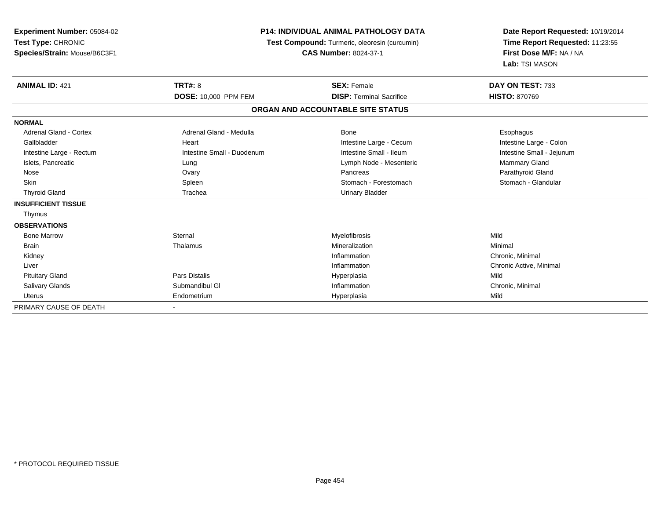| <b>Experiment Number: 05084-02</b><br>Test Type: CHRONIC<br>Species/Strain: Mouse/B6C3F1 | <b>P14: INDIVIDUAL ANIMAL PATHOLOGY DATA</b><br>Test Compound: Turmeric, oleoresin (curcumin)<br><b>CAS Number: 8024-37-1</b> |                                   | Date Report Requested: 10/19/2014<br>Time Report Requested: 11:23:55<br>First Dose M/F: NA / NA<br>Lab: TSI MASON |  |
|------------------------------------------------------------------------------------------|-------------------------------------------------------------------------------------------------------------------------------|-----------------------------------|-------------------------------------------------------------------------------------------------------------------|--|
| <b>ANIMAL ID: 421</b>                                                                    | <b>TRT#: 8</b>                                                                                                                | <b>SEX: Female</b>                | DAY ON TEST: 733                                                                                                  |  |
|                                                                                          | DOSE: 10,000 PPM FEM                                                                                                          | <b>DISP: Terminal Sacrifice</b>   | <b>HISTO: 870769</b>                                                                                              |  |
|                                                                                          |                                                                                                                               | ORGAN AND ACCOUNTABLE SITE STATUS |                                                                                                                   |  |
| <b>NORMAL</b>                                                                            |                                                                                                                               |                                   |                                                                                                                   |  |
| <b>Adrenal Gland - Cortex</b>                                                            | Adrenal Gland - Medulla                                                                                                       | <b>Bone</b>                       | Esophagus                                                                                                         |  |
| Gallbladder                                                                              | Heart                                                                                                                         | Intestine Large - Cecum           | Intestine Large - Colon                                                                                           |  |
| Intestine Large - Rectum                                                                 | Intestine Small - Duodenum                                                                                                    | Intestine Small - Ileum           | Intestine Small - Jejunum                                                                                         |  |
| Islets, Pancreatic                                                                       | Lung                                                                                                                          | Lymph Node - Mesenteric           | Mammary Gland                                                                                                     |  |
| Nose                                                                                     | Ovary                                                                                                                         | Pancreas                          | Parathyroid Gland                                                                                                 |  |
| <b>Skin</b>                                                                              | Spleen                                                                                                                        | Stomach - Forestomach             | Stomach - Glandular                                                                                               |  |
| <b>Thyroid Gland</b>                                                                     | Trachea                                                                                                                       | <b>Urinary Bladder</b>            |                                                                                                                   |  |
| <b>INSUFFICIENT TISSUE</b>                                                               |                                                                                                                               |                                   |                                                                                                                   |  |
| Thymus                                                                                   |                                                                                                                               |                                   |                                                                                                                   |  |
| <b>OBSERVATIONS</b>                                                                      |                                                                                                                               |                                   |                                                                                                                   |  |
| <b>Bone Marrow</b>                                                                       | Sternal                                                                                                                       | Myelofibrosis                     | Mild                                                                                                              |  |
| <b>Brain</b>                                                                             | Thalamus                                                                                                                      | Mineralization                    | Minimal                                                                                                           |  |
| Kidney                                                                                   |                                                                                                                               | Inflammation                      | Chronic, Minimal                                                                                                  |  |
| Liver                                                                                    |                                                                                                                               | Inflammation                      | Chronic Active, Minimal                                                                                           |  |
| <b>Pituitary Gland</b>                                                                   | <b>Pars Distalis</b>                                                                                                          | Hyperplasia                       | Mild                                                                                                              |  |
| <b>Salivary Glands</b>                                                                   | Submandibul GI                                                                                                                | Inflammation                      | Chronic, Minimal                                                                                                  |  |
| <b>Uterus</b>                                                                            | Endometrium                                                                                                                   | Hyperplasia                       | Mild                                                                                                              |  |
| PRIMARY CAUSE OF DEATH                                                                   |                                                                                                                               |                                   |                                                                                                                   |  |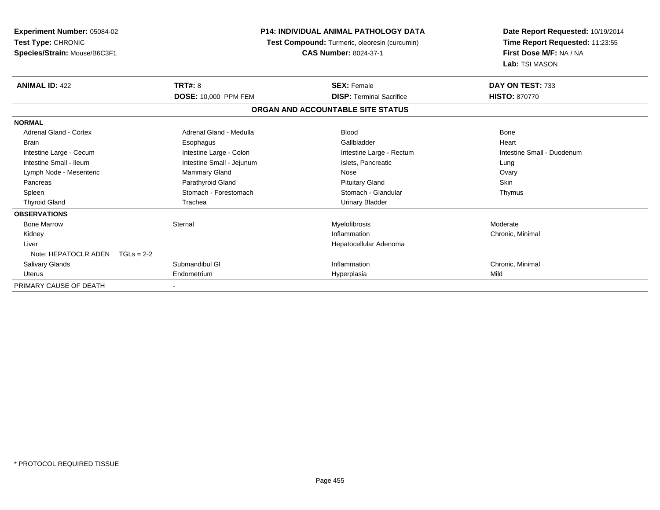| Experiment Number: 05084-02<br><b>Test Type: CHRONIC</b><br>Species/Strain: Mouse/B6C3F1 |                             | <b>P14: INDIVIDUAL ANIMAL PATHOLOGY DATA</b><br>Test Compound: Turmeric, oleoresin (curcumin)<br><b>CAS Number: 8024-37-1</b> | Date Report Requested: 10/19/2014<br>Time Report Requested: 11:23:55<br>First Dose M/F: NA / NA<br>Lab: TSI MASON |
|------------------------------------------------------------------------------------------|-----------------------------|-------------------------------------------------------------------------------------------------------------------------------|-------------------------------------------------------------------------------------------------------------------|
| <b>ANIMAL ID: 422</b>                                                                    | <b>TRT#: 8</b>              | <b>SEX: Female</b>                                                                                                            | DAY ON TEST: 733                                                                                                  |
|                                                                                          | <b>DOSE: 10,000 PPM FEM</b> | <b>DISP: Terminal Sacrifice</b>                                                                                               | <b>HISTO: 870770</b>                                                                                              |
|                                                                                          |                             | ORGAN AND ACCOUNTABLE SITE STATUS                                                                                             |                                                                                                                   |
| <b>NORMAL</b>                                                                            |                             |                                                                                                                               |                                                                                                                   |
| Adrenal Gland - Cortex                                                                   | Adrenal Gland - Medulla     | <b>Blood</b>                                                                                                                  | Bone                                                                                                              |
| <b>Brain</b>                                                                             | Esophagus                   | Gallbladder                                                                                                                   | Heart                                                                                                             |
| Intestine Large - Cecum                                                                  | Intestine Large - Colon     | Intestine Large - Rectum                                                                                                      | Intestine Small - Duodenum                                                                                        |
| Intestine Small - Ileum                                                                  | Intestine Small - Jejunum   | Islets, Pancreatic                                                                                                            | Lung                                                                                                              |
| Lymph Node - Mesenteric                                                                  | Mammary Gland               | Nose                                                                                                                          | Ovary                                                                                                             |
| Pancreas                                                                                 | Parathyroid Gland           | <b>Pituitary Gland</b>                                                                                                        | <b>Skin</b>                                                                                                       |
| Spleen                                                                                   | Stomach - Forestomach       | Stomach - Glandular                                                                                                           | Thymus                                                                                                            |
| <b>Thyroid Gland</b>                                                                     | Trachea                     | <b>Urinary Bladder</b>                                                                                                        |                                                                                                                   |
| <b>OBSERVATIONS</b>                                                                      |                             |                                                                                                                               |                                                                                                                   |
| <b>Bone Marrow</b>                                                                       | Sternal                     | Myelofibrosis                                                                                                                 | Moderate                                                                                                          |
| Kidney                                                                                   |                             | Inflammation                                                                                                                  | Chronic, Minimal                                                                                                  |
| Liver                                                                                    |                             | Hepatocellular Adenoma                                                                                                        |                                                                                                                   |
| Note: HEPATOCLR ADEN                                                                     | $TGLs = 2-2$                |                                                                                                                               |                                                                                                                   |
| <b>Salivary Glands</b>                                                                   | Submandibul GI              | Inflammation                                                                                                                  | Chronic, Minimal                                                                                                  |
| <b>Uterus</b>                                                                            | Endometrium                 | Hyperplasia                                                                                                                   | Mild                                                                                                              |
| PRIMARY CAUSE OF DEATH                                                                   |                             |                                                                                                                               |                                                                                                                   |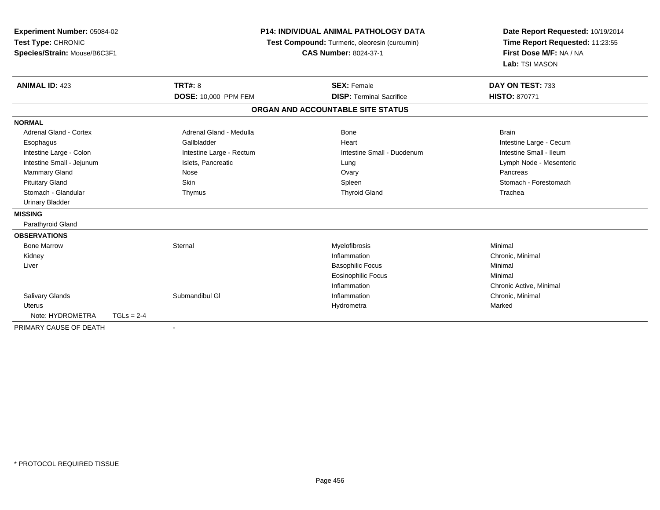| Experiment Number: 05084-02<br>Test Type: CHRONIC<br>Species/Strain: Mouse/B6C3F1 | <b>P14: INDIVIDUAL ANIMAL PATHOLOGY DATA</b><br>Test Compound: Turmeric, oleoresin (curcumin)<br><b>CAS Number: 8024-37-1</b> |                          | Date Report Requested: 10/19/2014<br>Time Report Requested: 11:23:55<br>First Dose M/F: NA / NA<br>Lab: TSI MASON |                         |
|-----------------------------------------------------------------------------------|-------------------------------------------------------------------------------------------------------------------------------|--------------------------|-------------------------------------------------------------------------------------------------------------------|-------------------------|
| <b>ANIMAL ID: 423</b>                                                             |                                                                                                                               | <b>TRT#: 8</b>           | <b>SEX: Female</b>                                                                                                | DAY ON TEST: 733        |
|                                                                                   |                                                                                                                               | DOSE: 10,000 PPM FEM     | <b>DISP: Terminal Sacrifice</b>                                                                                   | <b>HISTO: 870771</b>    |
|                                                                                   |                                                                                                                               |                          | ORGAN AND ACCOUNTABLE SITE STATUS                                                                                 |                         |
| <b>NORMAL</b>                                                                     |                                                                                                                               |                          |                                                                                                                   |                         |
| Adrenal Gland - Cortex                                                            |                                                                                                                               | Adrenal Gland - Medulla  | <b>Bone</b>                                                                                                       | <b>Brain</b>            |
| Esophagus                                                                         |                                                                                                                               | Gallbladder              | Heart                                                                                                             | Intestine Large - Cecum |
| Intestine Large - Colon                                                           |                                                                                                                               | Intestine Large - Rectum | Intestine Small - Duodenum                                                                                        | Intestine Small - Ileum |
| Intestine Small - Jejunum                                                         |                                                                                                                               | Islets, Pancreatic       | Lung                                                                                                              | Lymph Node - Mesenteric |
| Mammary Gland                                                                     |                                                                                                                               | Nose                     | Ovary                                                                                                             | Pancreas                |
| <b>Pituitary Gland</b>                                                            |                                                                                                                               | Skin                     | Spleen                                                                                                            | Stomach - Forestomach   |
| Stomach - Glandular                                                               |                                                                                                                               | Thymus                   | <b>Thyroid Gland</b>                                                                                              | Trachea                 |
| <b>Urinary Bladder</b>                                                            |                                                                                                                               |                          |                                                                                                                   |                         |
| <b>MISSING</b>                                                                    |                                                                                                                               |                          |                                                                                                                   |                         |
| Parathyroid Gland                                                                 |                                                                                                                               |                          |                                                                                                                   |                         |
| <b>OBSERVATIONS</b>                                                               |                                                                                                                               |                          |                                                                                                                   |                         |
| <b>Bone Marrow</b>                                                                |                                                                                                                               | Sternal                  | Myelofibrosis                                                                                                     | Minimal                 |
| Kidney                                                                            |                                                                                                                               |                          | Inflammation                                                                                                      | Chronic, Minimal        |
| Liver                                                                             |                                                                                                                               |                          | <b>Basophilic Focus</b>                                                                                           | Minimal                 |
|                                                                                   |                                                                                                                               |                          | <b>Eosinophilic Focus</b>                                                                                         | Minimal                 |
|                                                                                   |                                                                                                                               |                          | Inflammation                                                                                                      | Chronic Active, Minimal |
| <b>Salivary Glands</b>                                                            |                                                                                                                               | Submandibul GI           | Inflammation                                                                                                      | Chronic, Minimal        |
| <b>Uterus</b>                                                                     |                                                                                                                               |                          | Hydrometra                                                                                                        | Marked                  |
| Note: HYDROMETRA                                                                  | $TGLs = 2-4$                                                                                                                  |                          |                                                                                                                   |                         |
| PRIMARY CAUSE OF DEATH                                                            |                                                                                                                               |                          |                                                                                                                   |                         |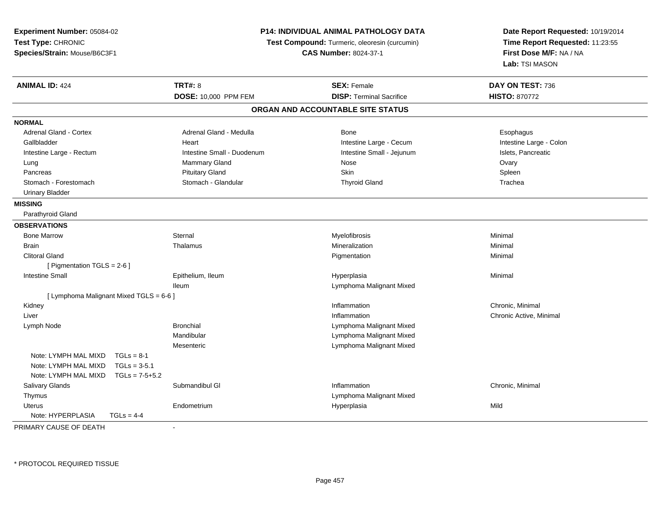| Experiment Number: 05084-02              |                            | P14: INDIVIDUAL ANIMAL PATHOLOGY DATA         | Date Report Requested: 10/19/2014 |  |
|------------------------------------------|----------------------------|-----------------------------------------------|-----------------------------------|--|
| Test Type: CHRONIC                       |                            | Test Compound: Turmeric, oleoresin (curcumin) | Time Report Requested: 11:23:55   |  |
| Species/Strain: Mouse/B6C3F1             |                            | <b>CAS Number: 8024-37-1</b>                  | First Dose M/F: NA / NA           |  |
|                                          |                            |                                               | Lab: TSI MASON                    |  |
| <b>ANIMAL ID: 424</b>                    | <b>TRT#: 8</b>             | <b>SEX: Female</b>                            | DAY ON TEST: 736                  |  |
|                                          | DOSE: 10,000 PPM FEM       | <b>DISP: Terminal Sacrifice</b>               | <b>HISTO: 870772</b>              |  |
|                                          |                            | ORGAN AND ACCOUNTABLE SITE STATUS             |                                   |  |
| <b>NORMAL</b>                            |                            |                                               |                                   |  |
| <b>Adrenal Gland - Cortex</b>            | Adrenal Gland - Medulla    | <b>Bone</b>                                   | Esophagus                         |  |
| Gallbladder                              | Heart                      | Intestine Large - Cecum                       | Intestine Large - Colon           |  |
| Intestine Large - Rectum                 | Intestine Small - Duodenum | Intestine Small - Jejunum                     | Islets, Pancreatic                |  |
| Lung                                     | Mammary Gland              | Nose                                          | Ovary                             |  |
| Pancreas                                 | <b>Pituitary Gland</b>     | Skin                                          | Spleen                            |  |
| Stomach - Forestomach                    | Stomach - Glandular        | <b>Thyroid Gland</b>                          | Trachea                           |  |
| <b>Urinary Bladder</b>                   |                            |                                               |                                   |  |
| <b>MISSING</b>                           |                            |                                               |                                   |  |
| Parathyroid Gland                        |                            |                                               |                                   |  |
| <b>OBSERVATIONS</b>                      |                            |                                               |                                   |  |
| <b>Bone Marrow</b>                       | Sternal                    | Myelofibrosis                                 | Minimal                           |  |
| <b>Brain</b>                             | Thalamus                   | Mineralization                                | Minimal                           |  |
| <b>Clitoral Gland</b>                    |                            | Pigmentation                                  | Minimal                           |  |
| [ Pigmentation TGLS = 2-6 ]              |                            |                                               |                                   |  |
| <b>Intestine Small</b>                   | Epithelium, Ileum          | Hyperplasia                                   | Minimal                           |  |
|                                          | lleum                      | Lymphoma Malignant Mixed                      |                                   |  |
| [ Lymphoma Malignant Mixed TGLS = 6-6 ]  |                            |                                               |                                   |  |
| Kidney                                   |                            | Inflammation                                  | Chronic, Minimal                  |  |
| Liver                                    |                            | Inflammation                                  | Chronic Active, Minimal           |  |
| Lymph Node                               | Bronchial                  | Lymphoma Malignant Mixed                      |                                   |  |
|                                          | Mandibular                 | Lymphoma Malignant Mixed                      |                                   |  |
|                                          | Mesenteric                 | Lymphoma Malignant Mixed                      |                                   |  |
| Note: LYMPH MAL MIXD<br>$TGLs = 8-1$     |                            |                                               |                                   |  |
| Note: LYMPH MAL MIXD<br>$TGLs = 3-5.1$   |                            |                                               |                                   |  |
| Note: LYMPH MAL MIXD<br>$TGLs = 7-5+5.2$ |                            |                                               |                                   |  |
| <b>Salivary Glands</b>                   | Submandibul GI             | Inflammation                                  | Chronic, Minimal                  |  |
| Thymus                                   |                            | Lymphoma Malignant Mixed                      |                                   |  |
| <b>Uterus</b>                            | Endometrium                | Hyperplasia                                   | Mild                              |  |
| Note: HYPERPLASIA<br>$TGLs = 4-4$        |                            |                                               |                                   |  |

PRIMARY CAUSE OF DEATH-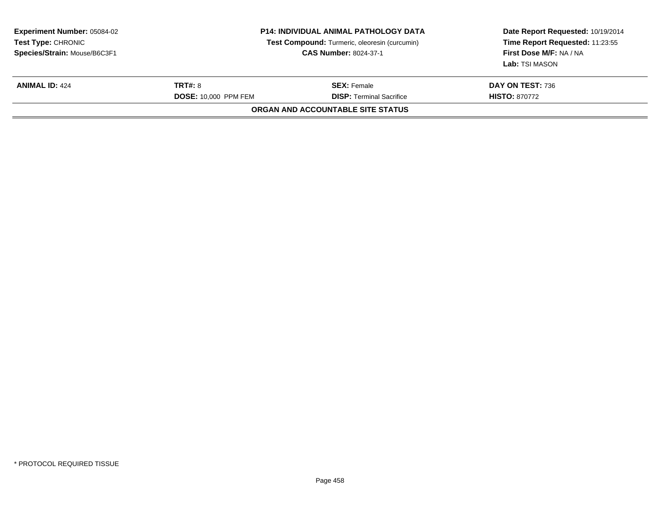| <b>Experiment Number: 05084-02</b><br><b>Test Type: CHRONIC</b><br>Species/Strain: Mouse/B6C3F1 | <b>P14: INDIVIDUAL ANIMAL PATHOLOGY DATA</b><br>Test Compound: Turmeric, oleoresin (curcumin)<br><b>CAS Number: 8024-37-1</b> |                                                       | Date Report Requested: 10/19/2014<br>Time Report Requested: 11:23:55<br>First Dose M/F: NA / NA<br>Lab: TSI MASON |
|-------------------------------------------------------------------------------------------------|-------------------------------------------------------------------------------------------------------------------------------|-------------------------------------------------------|-------------------------------------------------------------------------------------------------------------------|
| <b>ANIMAL ID: 424</b>                                                                           | <b>TRT#: 8</b><br><b>DOSE: 10.000 PPM FEM</b>                                                                                 | <b>SEX: Female</b><br><b>DISP:</b> Terminal Sacrifice | DAY ON TEST: 736<br><b>HISTO: 870772</b>                                                                          |
|                                                                                                 |                                                                                                                               | ORGAN AND ACCOUNTABLE SITE STATUS                     |                                                                                                                   |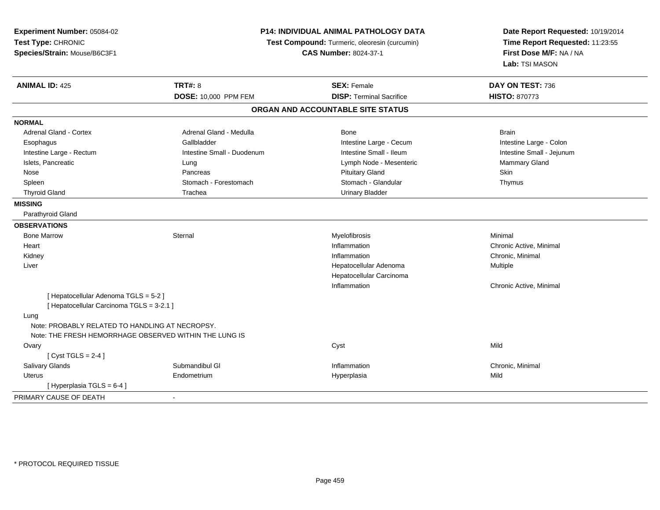| Experiment Number: 05084-02<br>Test Type: CHRONIC<br>Species/Strain: Mouse/B6C3F1 |                            | <b>P14: INDIVIDUAL ANIMAL PATHOLOGY DATA</b><br>Test Compound: Turmeric, oleoresin (curcumin)<br><b>CAS Number: 8024-37-1</b> |                           |  |
|-----------------------------------------------------------------------------------|----------------------------|-------------------------------------------------------------------------------------------------------------------------------|---------------------------|--|
| <b>ANIMAL ID: 425</b>                                                             | <b>TRT#: 8</b>             | <b>SEX: Female</b>                                                                                                            | DAY ON TEST: 736          |  |
|                                                                                   | DOSE: 10,000 PPM FEM       | <b>DISP: Terminal Sacrifice</b>                                                                                               | <b>HISTO: 870773</b>      |  |
|                                                                                   |                            | ORGAN AND ACCOUNTABLE SITE STATUS                                                                                             |                           |  |
| <b>NORMAL</b>                                                                     |                            |                                                                                                                               |                           |  |
| Adrenal Gland - Cortex                                                            | Adrenal Gland - Medulla    | Bone                                                                                                                          | <b>Brain</b>              |  |
| Esophagus                                                                         | Gallbladder                | Intestine Large - Cecum                                                                                                       | Intestine Large - Colon   |  |
| Intestine Large - Rectum                                                          | Intestine Small - Duodenum | Intestine Small - Ileum                                                                                                       | Intestine Small - Jejunum |  |
| Islets, Pancreatic                                                                | Lung                       | Lymph Node - Mesenteric                                                                                                       | Mammary Gland             |  |
| Nose                                                                              | Pancreas                   | <b>Pituitary Gland</b>                                                                                                        | <b>Skin</b>               |  |
| Spleen                                                                            | Stomach - Forestomach      | Stomach - Glandular                                                                                                           | Thymus                    |  |
| <b>Thyroid Gland</b>                                                              | Trachea                    | <b>Urinary Bladder</b>                                                                                                        |                           |  |
| <b>MISSING</b>                                                                    |                            |                                                                                                                               |                           |  |
| Parathyroid Gland                                                                 |                            |                                                                                                                               |                           |  |
| <b>OBSERVATIONS</b>                                                               |                            |                                                                                                                               |                           |  |
| <b>Bone Marrow</b>                                                                | Sternal                    | Myelofibrosis                                                                                                                 | Minimal                   |  |
| Heart                                                                             |                            | Inflammation                                                                                                                  | Chronic Active, Minimal   |  |
| Kidney                                                                            |                            | Inflammation                                                                                                                  | Chronic, Minimal          |  |
| Liver                                                                             |                            | Hepatocellular Adenoma                                                                                                        | Multiple                  |  |
|                                                                                   |                            | Hepatocellular Carcinoma                                                                                                      |                           |  |
|                                                                                   |                            | Inflammation                                                                                                                  | Chronic Active, Minimal   |  |
| [Hepatocellular Adenoma TGLS = 5-2]                                               |                            |                                                                                                                               |                           |  |
| [ Hepatocellular Carcinoma TGLS = 3-2.1 ]                                         |                            |                                                                                                                               |                           |  |
| Lung                                                                              |                            |                                                                                                                               |                           |  |
| Note: PROBABLY RELATED TO HANDLING AT NECROPSY.                                   |                            |                                                                                                                               |                           |  |
| Note: THE FRESH HEMORRHAGE OBSERVED WITHIN THE LUNG IS                            |                            |                                                                                                                               |                           |  |
| Ovary                                                                             |                            | Cyst                                                                                                                          | Mild                      |  |
| [Cyst TGLS = $2-4$ ]                                                              |                            |                                                                                                                               |                           |  |
| Salivary Glands                                                                   | Submandibul GI             | Inflammation                                                                                                                  | Chronic, Minimal          |  |
| <b>Uterus</b>                                                                     | Endometrium                | Hyperplasia                                                                                                                   | Mild                      |  |
| [Hyperplasia TGLS = 6-4]                                                          |                            |                                                                                                                               |                           |  |
| PRIMARY CAUSE OF DEATH                                                            |                            |                                                                                                                               |                           |  |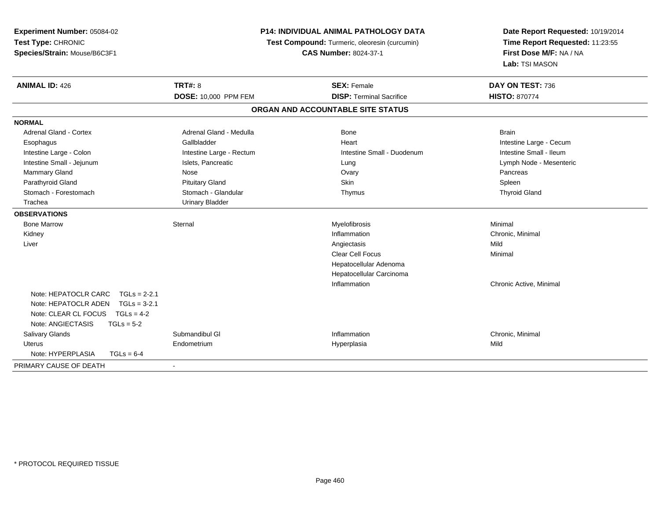| Experiment Number: 05084-02<br>Test Type: CHRONIC<br>Species/Strain: Mouse/B6C3F1                                        | <b>P14: INDIVIDUAL ANIMAL PATHOLOGY DATA</b><br>Test Compound: Turmeric, oleoresin (curcumin)<br><b>CAS Number: 8024-37-1</b> |                                   | Date Report Requested: 10/19/2014<br>Time Report Requested: 11:23:55<br>First Dose M/F: NA / NA<br>Lab: TSI MASON |  |
|--------------------------------------------------------------------------------------------------------------------------|-------------------------------------------------------------------------------------------------------------------------------|-----------------------------------|-------------------------------------------------------------------------------------------------------------------|--|
| <b>ANIMAL ID: 426</b>                                                                                                    | <b>TRT#: 8</b>                                                                                                                | <b>SEX: Female</b>                | DAY ON TEST: 736                                                                                                  |  |
|                                                                                                                          | DOSE: 10,000 PPM FEM                                                                                                          | <b>DISP: Terminal Sacrifice</b>   | <b>HISTO: 870774</b>                                                                                              |  |
|                                                                                                                          |                                                                                                                               | ORGAN AND ACCOUNTABLE SITE STATUS |                                                                                                                   |  |
| <b>NORMAL</b>                                                                                                            |                                                                                                                               |                                   |                                                                                                                   |  |
| <b>Adrenal Gland - Cortex</b>                                                                                            | Adrenal Gland - Medulla                                                                                                       | Bone                              | <b>Brain</b>                                                                                                      |  |
| Esophagus                                                                                                                | Gallbladder                                                                                                                   | Heart                             | Intestine Large - Cecum                                                                                           |  |
| Intestine Large - Colon                                                                                                  | Intestine Large - Rectum                                                                                                      | Intestine Small - Duodenum        | Intestine Small - Ileum                                                                                           |  |
| Intestine Small - Jejunum                                                                                                | Islets, Pancreatic                                                                                                            | Lung                              | Lymph Node - Mesenteric                                                                                           |  |
| <b>Mammary Gland</b>                                                                                                     | Nose                                                                                                                          | Ovary                             | Pancreas                                                                                                          |  |
| Parathyroid Gland                                                                                                        | <b>Pituitary Gland</b>                                                                                                        | Skin                              | Spleen                                                                                                            |  |
| Stomach - Forestomach                                                                                                    | Stomach - Glandular                                                                                                           | Thymus                            | <b>Thyroid Gland</b>                                                                                              |  |
| Trachea                                                                                                                  | <b>Urinary Bladder</b>                                                                                                        |                                   |                                                                                                                   |  |
| <b>OBSERVATIONS</b>                                                                                                      |                                                                                                                               |                                   |                                                                                                                   |  |
| <b>Bone Marrow</b>                                                                                                       | Sternal                                                                                                                       | Myelofibrosis                     | Minimal                                                                                                           |  |
| Kidney                                                                                                                   |                                                                                                                               | Inflammation                      | Chronic, Minimal                                                                                                  |  |
| Liver                                                                                                                    |                                                                                                                               | Angiectasis                       | Mild                                                                                                              |  |
|                                                                                                                          |                                                                                                                               | <b>Clear Cell Focus</b>           | Minimal                                                                                                           |  |
|                                                                                                                          |                                                                                                                               | Hepatocellular Adenoma            |                                                                                                                   |  |
|                                                                                                                          |                                                                                                                               | Hepatocellular Carcinoma          |                                                                                                                   |  |
|                                                                                                                          |                                                                                                                               | Inflammation                      | Chronic Active, Minimal                                                                                           |  |
| Note: HEPATOCLR CARC<br>$TGLs = 2-2.1$<br>Note: HEPATOCLR ADEN<br>$TGLs = 3-2.1$<br>Note: CLEAR CL FOCUS<br>$TGLs = 4-2$ |                                                                                                                               |                                   |                                                                                                                   |  |
| Note: ANGIECTASIS<br>$TGLs = 5-2$                                                                                        |                                                                                                                               |                                   |                                                                                                                   |  |
| Salivary Glands                                                                                                          | Submandibul GI                                                                                                                | Inflammation                      | Chronic, Minimal                                                                                                  |  |
| <b>Uterus</b>                                                                                                            | Endometrium                                                                                                                   | Hyperplasia                       | Mild                                                                                                              |  |
| Note: HYPERPLASIA<br>$TGLs = 6-4$                                                                                        |                                                                                                                               |                                   |                                                                                                                   |  |
| PRIMARY CAUSE OF DEATH                                                                                                   |                                                                                                                               |                                   |                                                                                                                   |  |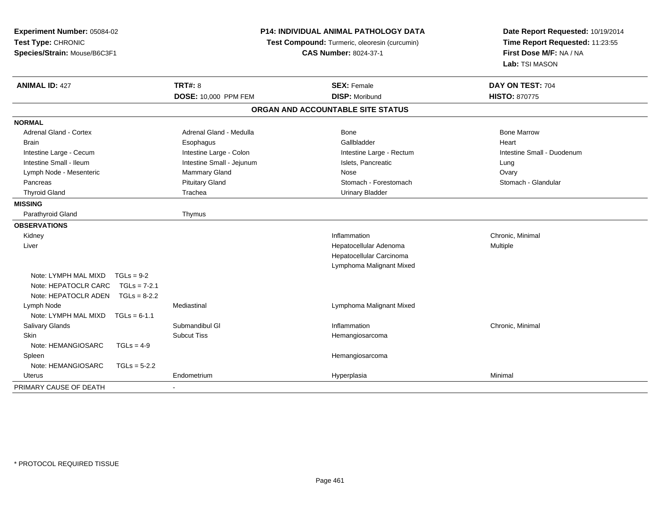| Experiment Number: 05084-02<br>Test Type: CHRONIC<br>Species/Strain: Mouse/B6C3F1 |                | P14: INDIVIDUAL ANIMAL PATHOLOGY DATA<br>Test Compound: Turmeric, oleoresin (curcumin)<br><b>CAS Number: 8024-37-1</b> |  | Date Report Requested: 10/19/2014<br>Time Report Requested: 11:23:55<br>First Dose M/F: NA / NA<br>Lab: TSI MASON |                            |
|-----------------------------------------------------------------------------------|----------------|------------------------------------------------------------------------------------------------------------------------|--|-------------------------------------------------------------------------------------------------------------------|----------------------------|
| <b>ANIMAL ID: 427</b>                                                             |                | <b>TRT#: 8</b>                                                                                                         |  | <b>SEX: Female</b>                                                                                                | DAY ON TEST: 704           |
|                                                                                   |                | DOSE: 10,000 PPM FEM                                                                                                   |  | <b>DISP: Moribund</b>                                                                                             | <b>HISTO: 870775</b>       |
|                                                                                   |                |                                                                                                                        |  | ORGAN AND ACCOUNTABLE SITE STATUS                                                                                 |                            |
| <b>NORMAL</b>                                                                     |                |                                                                                                                        |  |                                                                                                                   |                            |
| Adrenal Gland - Cortex                                                            |                | Adrenal Gland - Medulla                                                                                                |  | <b>Bone</b>                                                                                                       | <b>Bone Marrow</b>         |
| <b>Brain</b>                                                                      |                | Esophagus                                                                                                              |  | Gallbladder                                                                                                       | Heart                      |
| Intestine Large - Cecum                                                           |                | Intestine Large - Colon                                                                                                |  | Intestine Large - Rectum                                                                                          | Intestine Small - Duodenum |
| Intestine Small - Ileum                                                           |                | Intestine Small - Jejunum                                                                                              |  | Islets, Pancreatic                                                                                                | Lung                       |
| Lymph Node - Mesenteric                                                           |                | Mammary Gland                                                                                                          |  | Nose                                                                                                              | Ovary                      |
| Pancreas                                                                          |                | <b>Pituitary Gland</b>                                                                                                 |  | Stomach - Forestomach                                                                                             | Stomach - Glandular        |
| <b>Thyroid Gland</b>                                                              |                | Trachea                                                                                                                |  | <b>Urinary Bladder</b>                                                                                            |                            |
| <b>MISSING</b>                                                                    |                |                                                                                                                        |  |                                                                                                                   |                            |
| Parathyroid Gland                                                                 |                | Thymus                                                                                                                 |  |                                                                                                                   |                            |
| <b>OBSERVATIONS</b>                                                               |                |                                                                                                                        |  |                                                                                                                   |                            |
| Kidney                                                                            |                |                                                                                                                        |  | Inflammation                                                                                                      | Chronic, Minimal           |
| Liver                                                                             |                |                                                                                                                        |  | Hepatocellular Adenoma                                                                                            | <b>Multiple</b>            |
|                                                                                   |                |                                                                                                                        |  | Hepatocellular Carcinoma                                                                                          |                            |
|                                                                                   |                |                                                                                                                        |  | Lymphoma Malignant Mixed                                                                                          |                            |
| Note: LYMPH MAL MIXD                                                              | $TGLs = 9-2$   |                                                                                                                        |  |                                                                                                                   |                            |
| Note: HEPATOCLR CARC TGLs = 7-2.1                                                 |                |                                                                                                                        |  |                                                                                                                   |                            |
| Note: HEPATOCLR ADEN TGLs = 8-2.2                                                 |                |                                                                                                                        |  |                                                                                                                   |                            |
| Lymph Node                                                                        |                | Mediastinal                                                                                                            |  | Lymphoma Malignant Mixed                                                                                          |                            |
| Note: LYMPH MAL MIXD                                                              | $TGLs = 6-1.1$ |                                                                                                                        |  |                                                                                                                   |                            |
| Salivary Glands                                                                   |                | Submandibul GI                                                                                                         |  | Inflammation                                                                                                      | Chronic, Minimal           |
| <b>Skin</b>                                                                       |                | <b>Subcut Tiss</b>                                                                                                     |  | Hemangiosarcoma                                                                                                   |                            |
| Note: HEMANGIOSARC                                                                | $TGLs = 4-9$   |                                                                                                                        |  |                                                                                                                   |                            |
| Spleen                                                                            |                |                                                                                                                        |  | Hemangiosarcoma                                                                                                   |                            |
| Note: HEMANGIOSARC                                                                | $TGLs = 5-2.2$ |                                                                                                                        |  |                                                                                                                   |                            |
| Uterus                                                                            |                | Endometrium                                                                                                            |  | Hyperplasia                                                                                                       | Minimal                    |
| PRIMARY CAUSE OF DEATH                                                            |                |                                                                                                                        |  |                                                                                                                   |                            |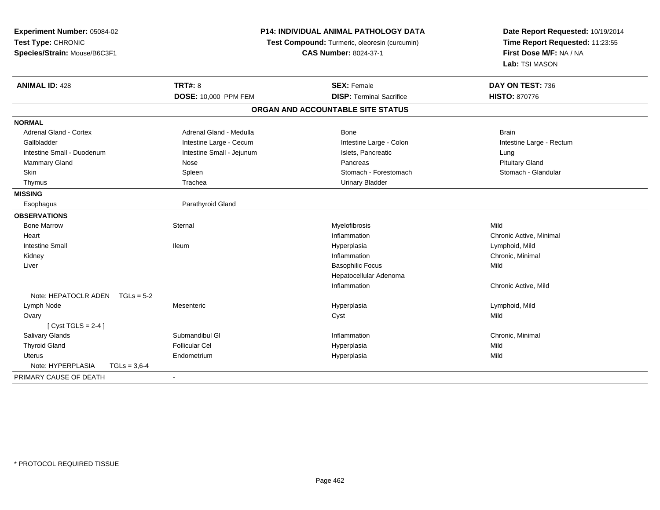| Experiment Number: 05084-02<br>Test Type: CHRONIC<br>Species/Strain: Mouse/B6C3F1 | <b>P14: INDIVIDUAL ANIMAL PATHOLOGY DATA</b><br>Test Compound: Turmeric, oleoresin (curcumin)<br><b>CAS Number: 8024-37-1</b> |                                   | Date Report Requested: 10/19/2014<br>Time Report Requested: 11:23:55<br>First Dose M/F: NA / NA<br>Lab: TSI MASON |
|-----------------------------------------------------------------------------------|-------------------------------------------------------------------------------------------------------------------------------|-----------------------------------|-------------------------------------------------------------------------------------------------------------------|
| <b>ANIMAL ID: 428</b>                                                             | <b>TRT#: 8</b>                                                                                                                | <b>SEX: Female</b>                | DAY ON TEST: 736                                                                                                  |
|                                                                                   | <b>DOSE: 10,000 PPM FEM</b>                                                                                                   | <b>DISP: Terminal Sacrifice</b>   | <b>HISTO: 870776</b>                                                                                              |
|                                                                                   |                                                                                                                               | ORGAN AND ACCOUNTABLE SITE STATUS |                                                                                                                   |
| <b>NORMAL</b>                                                                     |                                                                                                                               |                                   |                                                                                                                   |
| Adrenal Gland - Cortex                                                            | Adrenal Gland - Medulla                                                                                                       | <b>Bone</b>                       | <b>Brain</b>                                                                                                      |
| Gallbladder                                                                       | Intestine Large - Cecum                                                                                                       | Intestine Large - Colon           | Intestine Large - Rectum                                                                                          |
| Intestine Small - Duodenum                                                        | Intestine Small - Jejunum                                                                                                     | Islets, Pancreatic                | Lung                                                                                                              |
| Mammary Gland                                                                     | Nose                                                                                                                          | Pancreas                          | <b>Pituitary Gland</b>                                                                                            |
| Skin                                                                              | Spleen                                                                                                                        | Stomach - Forestomach             | Stomach - Glandular                                                                                               |
| Thymus                                                                            | Trachea                                                                                                                       | <b>Urinary Bladder</b>            |                                                                                                                   |
| <b>MISSING</b>                                                                    |                                                                                                                               |                                   |                                                                                                                   |
| Esophagus                                                                         | Parathyroid Gland                                                                                                             |                                   |                                                                                                                   |
| <b>OBSERVATIONS</b>                                                               |                                                                                                                               |                                   |                                                                                                                   |
| <b>Bone Marrow</b>                                                                | Sternal                                                                                                                       | Myelofibrosis                     | Mild                                                                                                              |
| Heart                                                                             |                                                                                                                               | Inflammation                      | Chronic Active, Minimal                                                                                           |
| <b>Intestine Small</b>                                                            | lleum                                                                                                                         | Hyperplasia                       | Lymphoid, Mild                                                                                                    |
| Kidney                                                                            |                                                                                                                               | Inflammation                      | Chronic, Minimal                                                                                                  |
| Liver                                                                             |                                                                                                                               | <b>Basophilic Focus</b>           | Mild                                                                                                              |
|                                                                                   |                                                                                                                               | Hepatocellular Adenoma            |                                                                                                                   |
|                                                                                   |                                                                                                                               | Inflammation                      | Chronic Active, Mild                                                                                              |
| Note: HEPATOCLR ADEN TGLs = 5-2                                                   |                                                                                                                               |                                   |                                                                                                                   |
| Lymph Node                                                                        | Mesenteric                                                                                                                    | Hyperplasia                       | Lymphoid, Mild                                                                                                    |
| Ovary                                                                             |                                                                                                                               | Cyst                              | Mild                                                                                                              |
| [Cyst TGLS = $2-4$ ]                                                              |                                                                                                                               |                                   |                                                                                                                   |
| Salivary Glands                                                                   | Submandibul GI                                                                                                                | Inflammation                      | Chronic, Minimal                                                                                                  |
| <b>Thyroid Gland</b>                                                              | <b>Follicular Cel</b>                                                                                                         | Hyperplasia                       | Mild                                                                                                              |
| <b>Uterus</b>                                                                     | Endometrium                                                                                                                   | Hyperplasia                       | Mild                                                                                                              |
| Note: HYPERPLASIA<br>$TGLs = 3.6 - 4$                                             |                                                                                                                               |                                   |                                                                                                                   |
| PRIMARY CAUSE OF DEATH                                                            | $\sim$                                                                                                                        |                                   |                                                                                                                   |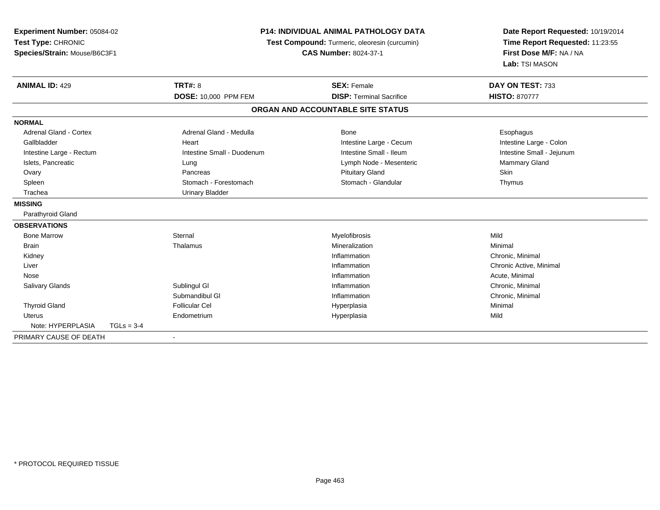| Experiment Number: 05084-02   |                                               | <b>P14: INDIVIDUAL ANIMAL PATHOLOGY DATA</b> |                                   | Date Report Requested: 10/19/2014                          |
|-------------------------------|-----------------------------------------------|----------------------------------------------|-----------------------------------|------------------------------------------------------------|
| Test Type: CHRONIC            | Test Compound: Turmeric, oleoresin (curcumin) |                                              |                                   | Time Report Requested: 11:23:55<br>First Dose M/F: NA / NA |
| Species/Strain: Mouse/B6C3F1  |                                               |                                              | <b>CAS Number: 8024-37-1</b>      |                                                            |
|                               |                                               |                                              |                                   | Lab: TSI MASON                                             |
| <b>ANIMAL ID: 429</b>         |                                               | <b>TRT#: 8</b>                               | <b>SEX: Female</b>                | DAY ON TEST: 733                                           |
|                               |                                               | DOSE: 10,000 PPM FEM                         | <b>DISP: Terminal Sacrifice</b>   | <b>HISTO: 870777</b>                                       |
|                               |                                               |                                              | ORGAN AND ACCOUNTABLE SITE STATUS |                                                            |
| <b>NORMAL</b>                 |                                               |                                              |                                   |                                                            |
| <b>Adrenal Gland - Cortex</b> |                                               | Adrenal Gland - Medulla                      | <b>Bone</b>                       | Esophagus                                                  |
| Gallbladder                   |                                               | Heart                                        | Intestine Large - Cecum           | Intestine Large - Colon                                    |
| Intestine Large - Rectum      |                                               | Intestine Small - Duodenum                   | Intestine Small - Ileum           | Intestine Small - Jejunum                                  |
| Islets, Pancreatic            |                                               | Lung                                         | Lymph Node - Mesenteric           | <b>Mammary Gland</b>                                       |
| Ovary                         |                                               | Pancreas                                     | <b>Pituitary Gland</b>            | Skin                                                       |
| Spleen                        |                                               | Stomach - Forestomach                        | Stomach - Glandular               | Thymus                                                     |
| Trachea                       |                                               | <b>Urinary Bladder</b>                       |                                   |                                                            |
| <b>MISSING</b>                |                                               |                                              |                                   |                                                            |
| Parathyroid Gland             |                                               |                                              |                                   |                                                            |
| <b>OBSERVATIONS</b>           |                                               |                                              |                                   |                                                            |
| <b>Bone Marrow</b>            |                                               | Sternal                                      | Myelofibrosis                     | Mild                                                       |
| <b>Brain</b>                  |                                               | Thalamus                                     | Mineralization                    | Minimal                                                    |
| Kidney                        |                                               |                                              | Inflammation                      | Chronic, Minimal                                           |
| Liver                         |                                               |                                              | Inflammation                      | Chronic Active, Minimal                                    |
| Nose                          |                                               |                                              | Inflammation                      | Acute, Minimal                                             |
| Salivary Glands               |                                               | Sublingul GI                                 | Inflammation                      | Chronic, Minimal                                           |
|                               |                                               | Submandibul GI                               | Inflammation                      | Chronic, Minimal                                           |
| <b>Thyroid Gland</b>          |                                               | <b>Follicular Cel</b>                        | Hyperplasia                       | Minimal                                                    |
| Uterus                        |                                               | Endometrium                                  | Hyperplasia                       | Mild                                                       |
| Note: HYPERPLASIA             | $TGLs = 3-4$                                  |                                              |                                   |                                                            |
| PRIMARY CAUSE OF DEATH        |                                               | $\overline{\phantom{a}}$                     |                                   |                                                            |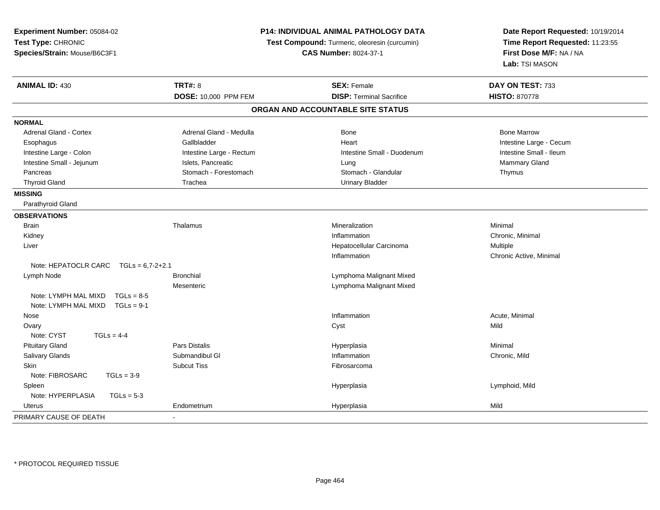| Experiment Number: 05084-02<br>Test Type: CHRONIC<br>Species/Strain: Mouse/B6C3F1 |                          | <b>P14: INDIVIDUAL ANIMAL PATHOLOGY DATA</b><br>Test Compound: Turmeric, oleoresin (curcumin)<br><b>CAS Number: 8024-37-1</b> | Date Report Requested: 10/19/2014<br>Time Report Requested: 11:23:55<br>First Dose M/F: NA / NA<br>Lab: TSI MASON |
|-----------------------------------------------------------------------------------|--------------------------|-------------------------------------------------------------------------------------------------------------------------------|-------------------------------------------------------------------------------------------------------------------|
| <b>ANIMAL ID: 430</b>                                                             | <b>TRT#: 8</b>           | <b>SEX: Female</b>                                                                                                            | DAY ON TEST: 733                                                                                                  |
|                                                                                   | DOSE: 10,000 PPM FEM     | <b>DISP: Terminal Sacrifice</b>                                                                                               | <b>HISTO: 870778</b>                                                                                              |
|                                                                                   |                          | ORGAN AND ACCOUNTABLE SITE STATUS                                                                                             |                                                                                                                   |
| <b>NORMAL</b>                                                                     |                          |                                                                                                                               |                                                                                                                   |
| Adrenal Gland - Cortex                                                            | Adrenal Gland - Medulla  | <b>Bone</b>                                                                                                                   | <b>Bone Marrow</b>                                                                                                |
| Esophagus                                                                         | Gallbladder              | Heart                                                                                                                         | Intestine Large - Cecum                                                                                           |
| Intestine Large - Colon                                                           | Intestine Large - Rectum | Intestine Small - Duodenum                                                                                                    | Intestine Small - Ileum                                                                                           |
| Intestine Small - Jejunum                                                         | Islets, Pancreatic       | Lung                                                                                                                          | Mammary Gland                                                                                                     |
| Pancreas                                                                          | Stomach - Forestomach    | Stomach - Glandular                                                                                                           | Thymus                                                                                                            |
| <b>Thyroid Gland</b>                                                              | Trachea                  | <b>Urinary Bladder</b>                                                                                                        |                                                                                                                   |
| <b>MISSING</b>                                                                    |                          |                                                                                                                               |                                                                                                                   |
| Parathyroid Gland                                                                 |                          |                                                                                                                               |                                                                                                                   |
| <b>OBSERVATIONS</b>                                                               |                          |                                                                                                                               |                                                                                                                   |
| <b>Brain</b>                                                                      | Thalamus                 | Mineralization                                                                                                                | Minimal                                                                                                           |
| Kidney                                                                            |                          | Inflammation                                                                                                                  | Chronic, Minimal                                                                                                  |
| Liver                                                                             |                          | Hepatocellular Carcinoma                                                                                                      | Multiple                                                                                                          |
|                                                                                   |                          | Inflammation                                                                                                                  | Chronic Active, Minimal                                                                                           |
| Note: HEPATOCLR CARC<br>$TGLs = 6.7 - 2 + 2.1$                                    |                          |                                                                                                                               |                                                                                                                   |
| Lymph Node                                                                        | <b>Bronchial</b>         | Lymphoma Malignant Mixed                                                                                                      |                                                                                                                   |
|                                                                                   | Mesenteric               | Lymphoma Malignant Mixed                                                                                                      |                                                                                                                   |
| Note: LYMPH MAL MIXD<br>$TGLs = 8-5$<br>Note: LYMPH MAL MIXD<br>$TGLs = 9-1$      |                          |                                                                                                                               |                                                                                                                   |
| Nose                                                                              |                          | Inflammation                                                                                                                  | Acute, Minimal                                                                                                    |
| Ovary                                                                             |                          | Cyst                                                                                                                          | Mild                                                                                                              |
| Note: CYST<br>$TGLs = 4-4$                                                        |                          |                                                                                                                               |                                                                                                                   |
| <b>Pituitary Gland</b>                                                            | <b>Pars Distalis</b>     | Hyperplasia                                                                                                                   | Minimal                                                                                                           |
| Salivary Glands                                                                   | Submandibul GI           | Inflammation                                                                                                                  | Chronic, Mild                                                                                                     |
| Skin                                                                              | <b>Subcut Tiss</b>       | Fibrosarcoma                                                                                                                  |                                                                                                                   |
| Note: FIBROSARC<br>$TGLs = 3-9$                                                   |                          |                                                                                                                               |                                                                                                                   |
| Spleen                                                                            |                          | Hyperplasia                                                                                                                   | Lymphoid, Mild                                                                                                    |
| Note: HYPERPLASIA<br>$TGLs = 5-3$                                                 |                          |                                                                                                                               |                                                                                                                   |
| Uterus                                                                            | Endometrium              | Hyperplasia                                                                                                                   | Mild                                                                                                              |
| PRIMARY CAUSE OF DEATH                                                            |                          |                                                                                                                               |                                                                                                                   |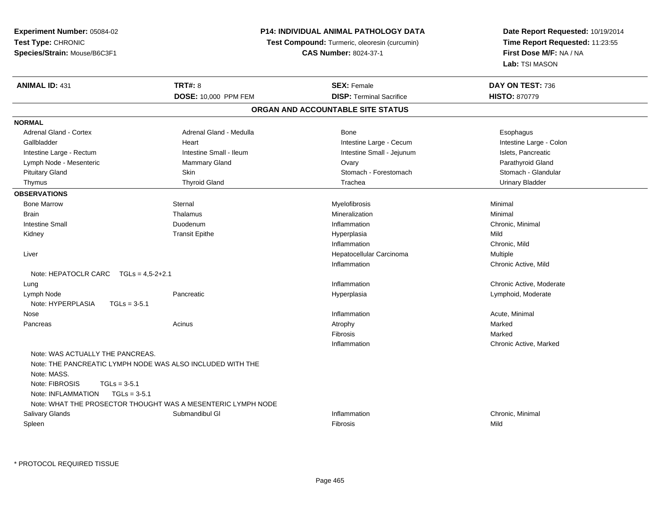**Experiment Number:** 05084-02**Test Type:** CHRONIC **Species/Strain:** Mouse/B6C3F1**P14: INDIVIDUAL ANIMAL PATHOLOGY DATATest Compound:** Turmeric, oleoresin (curcumin)**CAS Number:** 8024-37-1**Date Report Requested:** 10/19/2014**Time Report Requested:** 11:23:55**First Dose M/F:** NA / NA**Lab:** TSI MASON**ANIMAL ID:** 431**TRT#:** 8 **SEX:** Female **SEX: Female DAY ON TEST:** 736 **DOSE:** 10,000 PPM FEM**DISP:** Terminal Sacrifice **HISTO:** 870779 **ORGAN AND ACCOUNTABLE SITE STATUSNORMALAdrenal Gland - Cortex** Adrenal Gland - Medulla **Bone** Bone **Bone** Esophagus Esophagus Intestine Large - Colon Gallbladder **East Community Community** Heart Intestine Large - Cecum Intestine Large - Cecum Intestine Large - Rectum **Intestine Intestine Small - Ileum** Intestine Small - Jejunum Intestine Small - Jejunum Islets, Pancreatic Parathyroid Gland Lymph Node - Mesenteric **Mammary Gland** Mammary Gland **Ovary** Parathyroid Gland **Constanting Cland** Stomach - Glandular Pituitary Gland Skin Stomach - Forestomach Skin Stomach - Forestomach - Stomach - Stomach - Stomach - Glandular Thymus Thyroid Gland Trachea Urinary Bladder**OBSERVATIONS** Bone Marroww the sternal sternal the sternal sternal method of the step of Myelofibrosis and Minimal method of Minimal me<br>The step of the step of the step of the step of the step of the step of the step of the step of the step of th Brainn and the theorem is the three matter of the matter of the matter of the matter of the matter of the matter of  $M$ inimal  $M$ inimal  $M$ inimal  $M$ inimal  $M$ inimal  $M$ inimal  $M$ inimal  $M$ inimal  $M$ inimal  $M$ inimal  $M$ inimal Intestine Small Duodenumm and the contract of the Inflammation contract of the Chronic, Minimal Chronic, Minimal Chronic, Minimal Chronic and the contract of the contract of the contract of the contract of the contract of the contract of the cont Kidney Transit Epithe Hyperplasia Mild Inflammation Chronic, Mild Liver Hepatocellular Carcinoma Multiple Inflammation Chronic Active, Mild Note: HEPATOCLR CARC TGLs = 4,5-2+2.1 Lung Inflammation Chronic Active, Moderate Lymph Node Pancreatic Hyperplasia Lymphoid, Moderate Note: HYPERPLASIA TGLs = 3-5.1 Nosee the contraction of the contraction of the contraction of the contraction of the contraction of the contraction  $\mathsf{Acute}$ , Minimal Pancreass and the control of the control of the control of the control of the control of the control of the control of the control of the control of the control of the control of the control of the control of the control of the co Marked Fibrosiss and the contract of the Marked n Chronic Active, Marked InflammationNote: WAS ACTUALLY THE PANCREAS.Note: THE PANCREATIC LYMPH NODE WAS ALSO INCLUDED WITH THENote: MASS.Note: FIBROSIS TGLs = 3-5.1 $TGLs = 3-5.1$ Note: INFLAMMATION Note: WHAT THE PROSECTOR THOUGHT WAS A MESENTERIC LYMPH NODE Salivary GlandsSubmandibul Gl **Inflammation**  Chronic, Minimal Spleenn and the control of the control of the control of the control of the control of the control of the control of the control of the control of the control of the control of the control of the control of the control of the co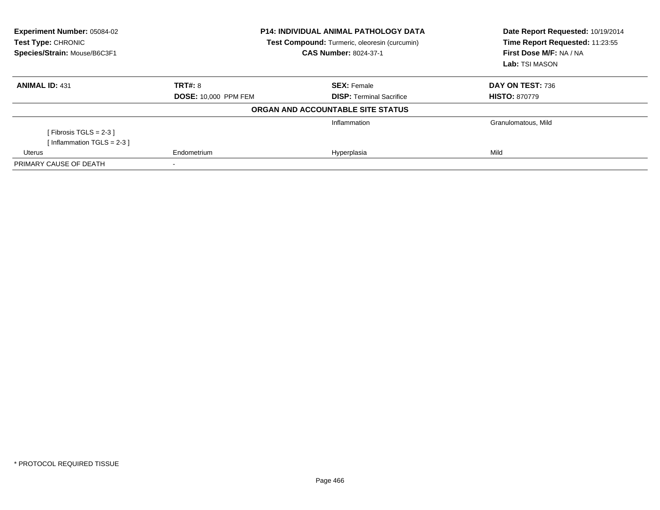| Experiment Number: 05084-02<br><b>Test Type: CHRONIC</b><br>Species/Strain: Mouse/B6C3F1 |                             | <b>P14: INDIVIDUAL ANIMAL PATHOLOGY DATA</b><br>Test Compound: Turmeric, oleoresin (curcumin)<br><b>CAS Number: 8024-37-1</b> | Date Report Requested: 10/19/2014<br>Time Report Requested: 11:23:55<br>First Dose M/F: NA / NA<br>Lab: TSI MASON |
|------------------------------------------------------------------------------------------|-----------------------------|-------------------------------------------------------------------------------------------------------------------------------|-------------------------------------------------------------------------------------------------------------------|
| <b>ANIMAL ID: 431</b>                                                                    | <b>TRT#: 8</b>              | <b>SEX: Female</b>                                                                                                            | DAY ON TEST: 736                                                                                                  |
|                                                                                          | <b>DOSE: 10,000 PPM FEM</b> | <b>DISP:</b> Terminal Sacrifice                                                                                               | <b>HISTO: 870779</b>                                                                                              |
|                                                                                          |                             | ORGAN AND ACCOUNTABLE SITE STATUS                                                                                             |                                                                                                                   |
|                                                                                          |                             | Inflammation                                                                                                                  | Granulomatous, Mild                                                                                               |
| [Fibrosis TGLS = $2-3$ ]                                                                 |                             |                                                                                                                               |                                                                                                                   |
| [Inflammation TGLS = $2-3$ ]                                                             |                             |                                                                                                                               |                                                                                                                   |
| Uterus                                                                                   | Endometrium                 | Hyperplasia                                                                                                                   | Mild                                                                                                              |
| PRIMARY CAUSE OF DEATH                                                                   |                             |                                                                                                                               |                                                                                                                   |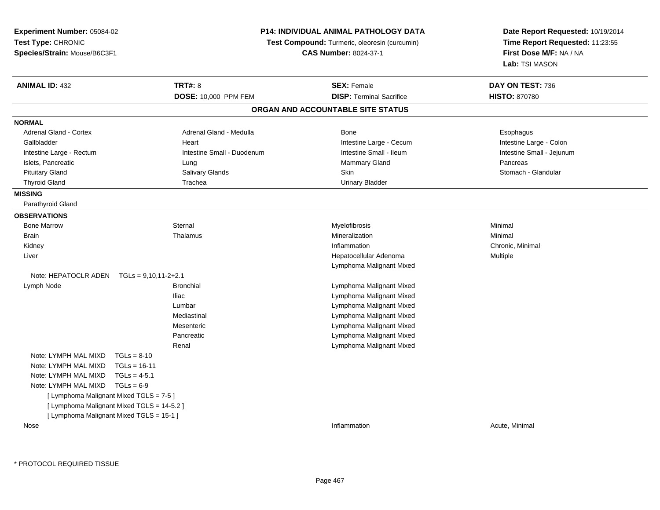| Experiment Number: 05084-02                    | P14: INDIVIDUAL ANIMAL PATHOLOGY DATA |                                               | Date Report Requested: 10/19/2014                          |
|------------------------------------------------|---------------------------------------|-----------------------------------------------|------------------------------------------------------------|
| Test Type: CHRONIC                             |                                       | Test Compound: Turmeric, oleoresin (curcumin) | Time Report Requested: 11:23:55<br>First Dose M/F: NA / NA |
| Species/Strain: Mouse/B6C3F1                   |                                       | <b>CAS Number: 8024-37-1</b>                  |                                                            |
|                                                |                                       |                                               | Lab: TSI MASON                                             |
| <b>ANIMAL ID: 432</b>                          | <b>TRT#: 8</b>                        | <b>SEX: Female</b>                            | DAY ON TEST: 736                                           |
|                                                | DOSE: 10,000 PPM FEM                  | <b>DISP: Terminal Sacrifice</b>               | <b>HISTO: 870780</b>                                       |
|                                                |                                       | ORGAN AND ACCOUNTABLE SITE STATUS             |                                                            |
| <b>NORMAL</b>                                  |                                       |                                               |                                                            |
| Adrenal Gland - Cortex                         | Adrenal Gland - Medulla               | <b>Bone</b>                                   | Esophagus                                                  |
| Gallbladder                                    | Heart                                 | Intestine Large - Cecum                       | Intestine Large - Colon                                    |
| Intestine Large - Rectum                       | Intestine Small - Duodenum            | Intestine Small - Ileum                       | Intestine Small - Jejunum                                  |
| Islets, Pancreatic                             | Lung                                  | Mammary Gland                                 | Pancreas                                                   |
| <b>Pituitary Gland</b>                         | Salivary Glands                       | Skin                                          | Stomach - Glandular                                        |
| <b>Thyroid Gland</b>                           | Trachea                               | <b>Urinary Bladder</b>                        |                                                            |
| <b>MISSING</b>                                 |                                       |                                               |                                                            |
| Parathyroid Gland                              |                                       |                                               |                                                            |
| <b>OBSERVATIONS</b>                            |                                       |                                               |                                                            |
| <b>Bone Marrow</b>                             | Sternal                               | Myelofibrosis                                 | Minimal                                                    |
| <b>Brain</b>                                   | Thalamus                              | Mineralization                                | Minimal                                                    |
| Kidney                                         |                                       | Inflammation                                  | Chronic, Minimal                                           |
| Liver                                          |                                       | Hepatocellular Adenoma                        | Multiple                                                   |
|                                                |                                       | Lymphoma Malignant Mixed                      |                                                            |
| Note: HEPATOCLR ADEN<br>$TGLs = 9,10,11-2+2.1$ |                                       |                                               |                                                            |
| Lymph Node                                     | <b>Bronchial</b>                      | Lymphoma Malignant Mixed                      |                                                            |
|                                                | <b>Iliac</b>                          | Lymphoma Malignant Mixed                      |                                                            |
|                                                | Lumbar                                | Lymphoma Malignant Mixed                      |                                                            |
|                                                | Mediastinal                           | Lymphoma Malignant Mixed                      |                                                            |
|                                                | Mesenteric                            | Lymphoma Malignant Mixed                      |                                                            |
|                                                | Pancreatic                            | Lymphoma Malignant Mixed                      |                                                            |
|                                                | Renal                                 | Lymphoma Malignant Mixed                      |                                                            |
| Note: LYMPH MAL MIXD<br>$TGLs = 8-10$          |                                       |                                               |                                                            |
| Note: LYMPH MAL MIXD<br>$TGLs = 16-11$         |                                       |                                               |                                                            |
| Note: LYMPH MAL MIXD<br>$TGLs = 4-5.1$         |                                       |                                               |                                                            |
| Note: LYMPH MAL MIXD<br>$TGLs = 6-9$           |                                       |                                               |                                                            |
| [ Lymphoma Malignant Mixed TGLS = 7-5 ]        |                                       |                                               |                                                            |
| [ Lymphoma Malignant Mixed TGLS = 14-5.2 ]     |                                       |                                               |                                                            |
| [ Lymphoma Malignant Mixed TGLS = 15-1 ]       |                                       |                                               |                                                            |
| Nose                                           |                                       | Inflammation                                  | Acute, Minimal                                             |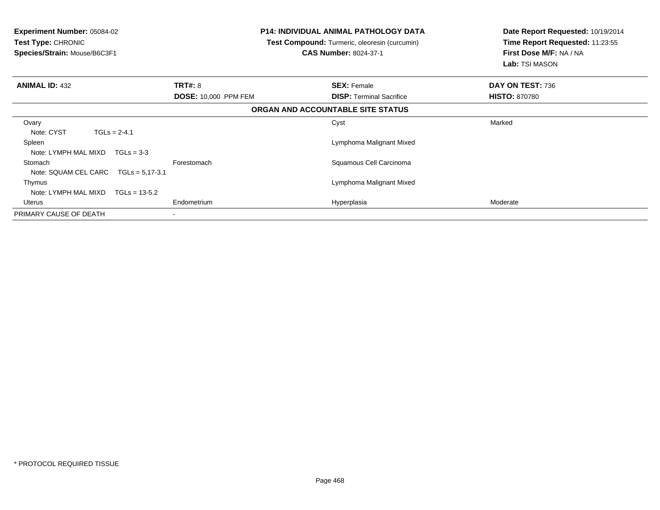| <b>Experiment Number: 05084-02</b><br><b>Test Type: CHRONIC</b><br>Species/Strain: Mouse/B6C3F1 |                             | <b>P14: INDIVIDUAL ANIMAL PATHOLOGY DATA</b><br>Test Compound: Turmeric, oleoresin (curcumin)<br><b>CAS Number: 8024-37-1</b> | Date Report Requested: 10/19/2014<br>Time Report Requested: 11:23:55<br>First Dose M/F: NA / NA<br>Lab: TSI MASON |  |
|-------------------------------------------------------------------------------------------------|-----------------------------|-------------------------------------------------------------------------------------------------------------------------------|-------------------------------------------------------------------------------------------------------------------|--|
| <b>ANIMAL ID: 432</b>                                                                           | <b>TRT#: 8</b>              | <b>SEX: Female</b>                                                                                                            | DAY ON TEST: 736                                                                                                  |  |
|                                                                                                 | <b>DOSE: 10,000 PPM FEM</b> | <b>DISP:</b> Terminal Sacrifice                                                                                               | <b>HISTO: 870780</b>                                                                                              |  |
|                                                                                                 |                             | ORGAN AND ACCOUNTABLE SITE STATUS                                                                                             |                                                                                                                   |  |
| Ovary<br>Note: CYST<br>$TGLs = 2-4.1$                                                           |                             | Cyst                                                                                                                          | Marked                                                                                                            |  |
| Spleen<br>Note: LYMPH MAL MIXD<br>$TGLs = 3-3$                                                  |                             | Lymphoma Malignant Mixed                                                                                                      |                                                                                                                   |  |
| Stomach<br>Note: SQUAM CEL CARC<br>$TGLs = 5.17 - 3.1$                                          | Forestomach                 | Squamous Cell Carcinoma                                                                                                       |                                                                                                                   |  |
| Thymus<br>Note: LYMPH MAL MIXD<br>$TGLs = 13-5.2$                                               |                             | Lymphoma Malignant Mixed                                                                                                      |                                                                                                                   |  |
| Uterus                                                                                          | Endometrium                 | Hyperplasia                                                                                                                   | Moderate                                                                                                          |  |
| PRIMARY CAUSE OF DEATH                                                                          |                             |                                                                                                                               |                                                                                                                   |  |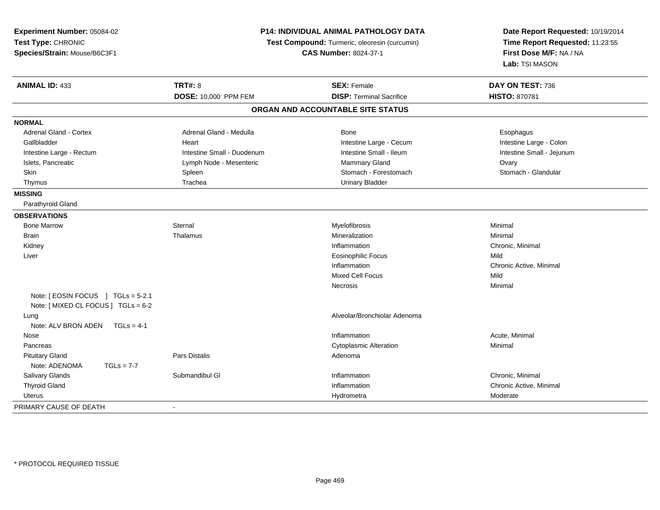| Experiment Number: 05084-02         | <b>P14: INDIVIDUAL ANIMAL PATHOLOGY DATA</b><br>Test Compound: Turmeric, oleoresin (curcumin)<br><b>CAS Number: 8024-37-1</b> |                                   | Date Report Requested: 10/19/2014 |  |
|-------------------------------------|-------------------------------------------------------------------------------------------------------------------------------|-----------------------------------|-----------------------------------|--|
| Test Type: CHRONIC                  |                                                                                                                               |                                   | Time Report Requested: 11:23:55   |  |
| Species/Strain: Mouse/B6C3F1        |                                                                                                                               |                                   | First Dose M/F: NA / NA           |  |
|                                     |                                                                                                                               |                                   | Lab: TSI MASON                    |  |
| <b>ANIMAL ID: 433</b>               | <b>TRT#: 8</b>                                                                                                                | <b>SEX: Female</b>                | DAY ON TEST: 736                  |  |
|                                     | DOSE: 10,000 PPM FEM                                                                                                          | <b>DISP: Terminal Sacrifice</b>   | <b>HISTO: 870781</b>              |  |
|                                     |                                                                                                                               | ORGAN AND ACCOUNTABLE SITE STATUS |                                   |  |
| <b>NORMAL</b>                       |                                                                                                                               |                                   |                                   |  |
| Adrenal Gland - Cortex              | Adrenal Gland - Medulla                                                                                                       | <b>Bone</b>                       | Esophagus                         |  |
| Gallbladder                         | Heart                                                                                                                         | Intestine Large - Cecum           | Intestine Large - Colon           |  |
| Intestine Large - Rectum            | Intestine Small - Duodenum                                                                                                    | Intestine Small - Ileum           | Intestine Small - Jejunum         |  |
| Islets, Pancreatic                  | Lymph Node - Mesenteric                                                                                                       | <b>Mammary Gland</b>              | Ovary                             |  |
| Skin                                | Spleen                                                                                                                        | Stomach - Forestomach             | Stomach - Glandular               |  |
| Thymus                              | Trachea                                                                                                                       | <b>Urinary Bladder</b>            |                                   |  |
| <b>MISSING</b>                      |                                                                                                                               |                                   |                                   |  |
| Parathyroid Gland                   |                                                                                                                               |                                   |                                   |  |
| <b>OBSERVATIONS</b>                 |                                                                                                                               |                                   |                                   |  |
| <b>Bone Marrow</b>                  | Sternal                                                                                                                       | Myelofibrosis                     | Minimal                           |  |
| <b>Brain</b>                        | Thalamus                                                                                                                      | Mineralization                    | Minimal                           |  |
| Kidney                              |                                                                                                                               | Inflammation                      | Chronic, Minimal                  |  |
| Liver                               |                                                                                                                               | <b>Eosinophilic Focus</b>         | Mild                              |  |
|                                     |                                                                                                                               | Inflammation                      | Chronic Active, Minimal           |  |
|                                     |                                                                                                                               | <b>Mixed Cell Focus</b>           | Mild                              |  |
|                                     |                                                                                                                               | <b>Necrosis</b>                   | Minimal                           |  |
| Note: [EOSIN FOCUS ] TGLs = 5-2.1   |                                                                                                                               |                                   |                                   |  |
| Note: [ MIXED CL FOCUS ] TGLs = 6-2 |                                                                                                                               |                                   |                                   |  |
| Lung                                |                                                                                                                               | Alveolar/Bronchiolar Adenoma      |                                   |  |
| Note: ALV BRON ADEN<br>$TGLs = 4-1$ |                                                                                                                               |                                   |                                   |  |
| Nose                                |                                                                                                                               | Inflammation                      | Acute, Minimal                    |  |
| Pancreas                            |                                                                                                                               | <b>Cytoplasmic Alteration</b>     | Minimal                           |  |
| <b>Pituitary Gland</b>              | <b>Pars Distalis</b>                                                                                                          | Adenoma                           |                                   |  |
| Note: ADENOMA<br>$TGLs = 7-7$       |                                                                                                                               |                                   |                                   |  |
| Salivary Glands                     | Submandibul GI                                                                                                                | Inflammation                      | Chronic, Minimal                  |  |
| <b>Thyroid Gland</b>                |                                                                                                                               | Inflammation                      | Chronic Active, Minimal           |  |
| <b>Uterus</b>                       |                                                                                                                               | Hydrometra                        | Moderate                          |  |
| PRIMARY CAUSE OF DEATH              |                                                                                                                               |                                   |                                   |  |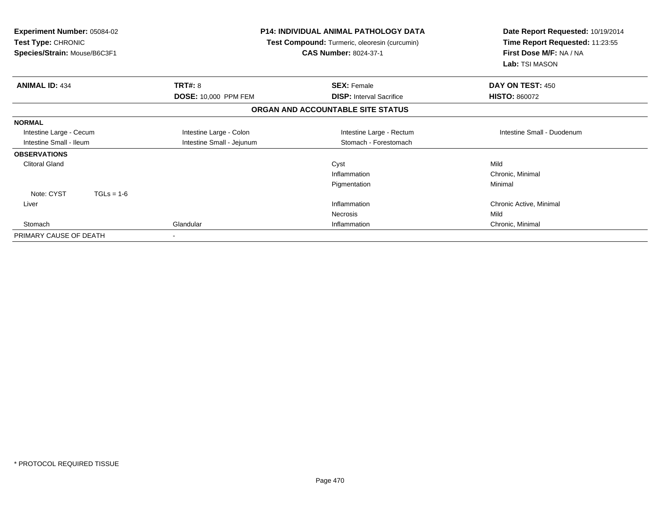| <b>Experiment Number: 05084-02</b><br>Test Type: CHRONIC<br>Species/Strain: Mouse/B6C3F1 |                                               | <b>P14: INDIVIDUAL ANIMAL PATHOLOGY DATA</b><br>Test Compound: Turmeric, oleoresin (curcumin)<br><b>CAS Number: 8024-37-1</b> | Date Report Requested: 10/19/2014<br>Time Report Requested: 11:23:55<br>First Dose M/F: NA / NA<br>Lab: TSI MASON |  |
|------------------------------------------------------------------------------------------|-----------------------------------------------|-------------------------------------------------------------------------------------------------------------------------------|-------------------------------------------------------------------------------------------------------------------|--|
| <b>ANIMAL ID: 434</b>                                                                    | <b>TRT#: 8</b><br><b>DOSE: 10,000 PPM FEM</b> | <b>SEX: Female</b><br><b>DISP:</b> Interval Sacrifice                                                                         | DAY ON TEST: 450<br><b>HISTO: 860072</b>                                                                          |  |
|                                                                                          |                                               | ORGAN AND ACCOUNTABLE SITE STATUS                                                                                             |                                                                                                                   |  |
| <b>NORMAL</b>                                                                            |                                               |                                                                                                                               |                                                                                                                   |  |
| Intestine Large - Cecum                                                                  | Intestine Large - Colon                       | Intestine Large - Rectum                                                                                                      | Intestine Small - Duodenum                                                                                        |  |
| Intestine Small - Ileum                                                                  | Intestine Small - Jejunum                     | Stomach - Forestomach                                                                                                         |                                                                                                                   |  |
| <b>OBSERVATIONS</b>                                                                      |                                               |                                                                                                                               |                                                                                                                   |  |
| <b>Clitoral Gland</b>                                                                    |                                               | Cyst                                                                                                                          | Mild                                                                                                              |  |
|                                                                                          |                                               | Inflammation                                                                                                                  | Chronic, Minimal                                                                                                  |  |
|                                                                                          |                                               | Pigmentation                                                                                                                  | Minimal                                                                                                           |  |
| Note: CYST<br>$TGLs = 1-6$                                                               |                                               |                                                                                                                               |                                                                                                                   |  |
| Liver                                                                                    |                                               | Inflammation                                                                                                                  | Chronic Active, Minimal                                                                                           |  |
|                                                                                          |                                               | <b>Necrosis</b>                                                                                                               | Mild                                                                                                              |  |
| Stomach                                                                                  | Glandular                                     | Inflammation                                                                                                                  | Chronic, Minimal                                                                                                  |  |
| PRIMARY CAUSE OF DEATH                                                                   |                                               |                                                                                                                               |                                                                                                                   |  |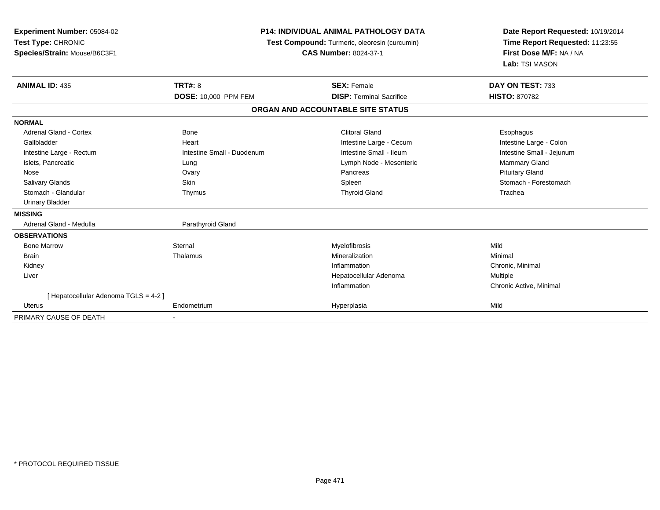| <b>Experiment Number: 05084-02</b><br>Test Type: CHRONIC<br>Species/Strain: Mouse/B6C3F1 | <b>P14: INDIVIDUAL ANIMAL PATHOLOGY DATA</b><br>Test Compound: Turmeric, oleoresin (curcumin)<br><b>CAS Number: 8024-37-1</b> |                                   | Date Report Requested: 10/19/2014<br>Time Report Requested: 11:23:55<br>First Dose M/F: NA / NA<br>Lab: TSI MASON |  |
|------------------------------------------------------------------------------------------|-------------------------------------------------------------------------------------------------------------------------------|-----------------------------------|-------------------------------------------------------------------------------------------------------------------|--|
| <b>ANIMAL ID: 435</b>                                                                    | <b>TRT#: 8</b>                                                                                                                | <b>SEX: Female</b>                | DAY ON TEST: 733                                                                                                  |  |
|                                                                                          | DOSE: 10,000 PPM FEM                                                                                                          | <b>DISP: Terminal Sacrifice</b>   | <b>HISTO: 870782</b>                                                                                              |  |
|                                                                                          |                                                                                                                               | ORGAN AND ACCOUNTABLE SITE STATUS |                                                                                                                   |  |
| <b>NORMAL</b>                                                                            |                                                                                                                               |                                   |                                                                                                                   |  |
| Adrenal Gland - Cortex                                                                   | <b>Bone</b>                                                                                                                   | <b>Clitoral Gland</b>             | Esophagus                                                                                                         |  |
| Gallbladder                                                                              | Heart                                                                                                                         | Intestine Large - Cecum           | Intestine Large - Colon                                                                                           |  |
| Intestine Large - Rectum                                                                 | Intestine Small - Duodenum                                                                                                    | Intestine Small - Ileum           | Intestine Small - Jejunum                                                                                         |  |
| Islets, Pancreatic                                                                       | Lung                                                                                                                          | Lymph Node - Mesenteric           | Mammary Gland                                                                                                     |  |
| Nose                                                                                     | Ovary                                                                                                                         | Pancreas                          | <b>Pituitary Gland</b>                                                                                            |  |
| Salivary Glands                                                                          | <b>Skin</b>                                                                                                                   | Spleen                            | Stomach - Forestomach                                                                                             |  |
| Stomach - Glandular                                                                      | Thymus                                                                                                                        | <b>Thyroid Gland</b>              | Trachea                                                                                                           |  |
| <b>Urinary Bladder</b>                                                                   |                                                                                                                               |                                   |                                                                                                                   |  |
| <b>MISSING</b>                                                                           |                                                                                                                               |                                   |                                                                                                                   |  |
| Adrenal Gland - Medulla                                                                  | Parathyroid Gland                                                                                                             |                                   |                                                                                                                   |  |
| <b>OBSERVATIONS</b>                                                                      |                                                                                                                               |                                   |                                                                                                                   |  |
| <b>Bone Marrow</b>                                                                       | Sternal                                                                                                                       | Myelofibrosis                     | Mild                                                                                                              |  |
| <b>Brain</b>                                                                             | Thalamus                                                                                                                      | Mineralization                    | Minimal                                                                                                           |  |
| Kidney                                                                                   |                                                                                                                               | Inflammation                      | Chronic, Minimal                                                                                                  |  |
| Liver                                                                                    |                                                                                                                               | Hepatocellular Adenoma            | <b>Multiple</b>                                                                                                   |  |
|                                                                                          |                                                                                                                               | Inflammation                      | Chronic Active, Minimal                                                                                           |  |
| [Hepatocellular Adenoma TGLS = 4-2]                                                      |                                                                                                                               |                                   |                                                                                                                   |  |
| <b>Uterus</b>                                                                            | Endometrium                                                                                                                   | Hyperplasia                       | Mild                                                                                                              |  |
| PRIMARY CAUSE OF DEATH                                                                   |                                                                                                                               |                                   |                                                                                                                   |  |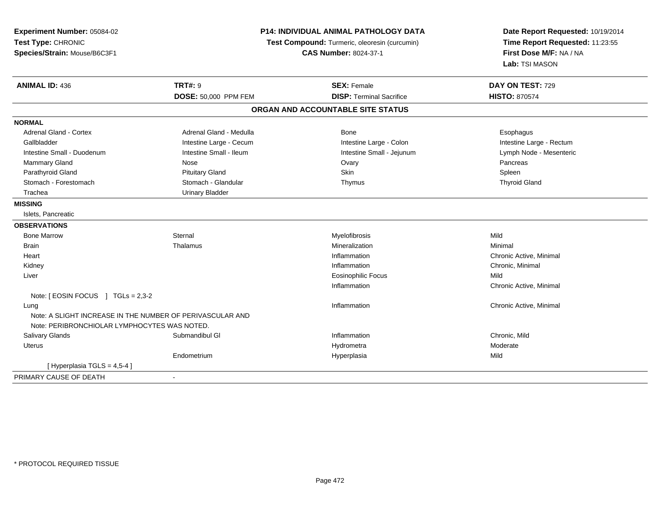| Experiment Number: 05084-02<br>Test Type: CHRONIC<br>Species/Strain: Mouse/B6C3F1 |                         | <b>P14: INDIVIDUAL ANIMAL PATHOLOGY DATA</b><br>Test Compound: Turmeric, oleoresin (curcumin)<br><b>CAS Number: 8024-37-1</b> | Date Report Requested: 10/19/2014<br>Time Report Requested: 11:23:55<br>First Dose M/F: NA / NA<br>Lab: TSI MASON |
|-----------------------------------------------------------------------------------|-------------------------|-------------------------------------------------------------------------------------------------------------------------------|-------------------------------------------------------------------------------------------------------------------|
| <b>ANIMAL ID: 436</b>                                                             | <b>TRT#: 9</b>          | <b>SEX: Female</b>                                                                                                            | DAY ON TEST: 729                                                                                                  |
|                                                                                   | DOSE: 50,000 PPM FEM    | <b>DISP: Terminal Sacrifice</b>                                                                                               | <b>HISTO: 870574</b>                                                                                              |
|                                                                                   |                         | ORGAN AND ACCOUNTABLE SITE STATUS                                                                                             |                                                                                                                   |
| <b>NORMAL</b>                                                                     |                         |                                                                                                                               |                                                                                                                   |
| Adrenal Gland - Cortex                                                            | Adrenal Gland - Medulla | Bone                                                                                                                          | Esophagus                                                                                                         |
| Gallbladder                                                                       | Intestine Large - Cecum | Intestine Large - Colon                                                                                                       | Intestine Large - Rectum                                                                                          |
| Intestine Small - Duodenum                                                        | Intestine Small - Ileum | Intestine Small - Jejunum                                                                                                     | Lymph Node - Mesenteric                                                                                           |
| Mammary Gland                                                                     | Nose                    | Ovary                                                                                                                         | Pancreas                                                                                                          |
| Parathyroid Gland                                                                 | <b>Pituitary Gland</b>  | Skin                                                                                                                          | Spleen                                                                                                            |
| Stomach - Forestomach                                                             | Stomach - Glandular     | Thymus                                                                                                                        | <b>Thyroid Gland</b>                                                                                              |
| Trachea                                                                           | <b>Urinary Bladder</b>  |                                                                                                                               |                                                                                                                   |
| <b>MISSING</b>                                                                    |                         |                                                                                                                               |                                                                                                                   |
| Islets, Pancreatic                                                                |                         |                                                                                                                               |                                                                                                                   |
| <b>OBSERVATIONS</b>                                                               |                         |                                                                                                                               |                                                                                                                   |
| <b>Bone Marrow</b>                                                                | Sternal                 | Myelofibrosis                                                                                                                 | Mild                                                                                                              |
| <b>Brain</b>                                                                      | Thalamus                | Mineralization                                                                                                                | Minimal                                                                                                           |
| Heart                                                                             |                         | Inflammation                                                                                                                  | Chronic Active, Minimal                                                                                           |
| Kidney                                                                            |                         | Inflammation                                                                                                                  | Chronic, Minimal                                                                                                  |
| Liver                                                                             |                         | <b>Eosinophilic Focus</b>                                                                                                     | Mild                                                                                                              |
|                                                                                   |                         | Inflammation                                                                                                                  | Chronic Active, Minimal                                                                                           |
| Note: [ EOSIN FOCUS ] TGLs = 2,3-2                                                |                         |                                                                                                                               |                                                                                                                   |
| Lung                                                                              |                         | Inflammation                                                                                                                  | Chronic Active, Minimal                                                                                           |
| Note: A SLIGHT INCREASE IN THE NUMBER OF PERIVASCULAR AND                         |                         |                                                                                                                               |                                                                                                                   |
| Note: PERIBRONCHIOLAR LYMPHOCYTES WAS NOTED.                                      |                         |                                                                                                                               |                                                                                                                   |
| Salivary Glands                                                                   | Submandibul GI          | Inflammation                                                                                                                  | Chronic, Mild                                                                                                     |
| <b>Uterus</b>                                                                     |                         | Hydrometra                                                                                                                    | Moderate                                                                                                          |
|                                                                                   | Endometrium             | Hyperplasia                                                                                                                   | Mild                                                                                                              |
| [Hyperplasia TGLS = $4,5-4$ ]                                                     |                         |                                                                                                                               |                                                                                                                   |
| PRIMARY CAUSE OF DEATH                                                            |                         |                                                                                                                               |                                                                                                                   |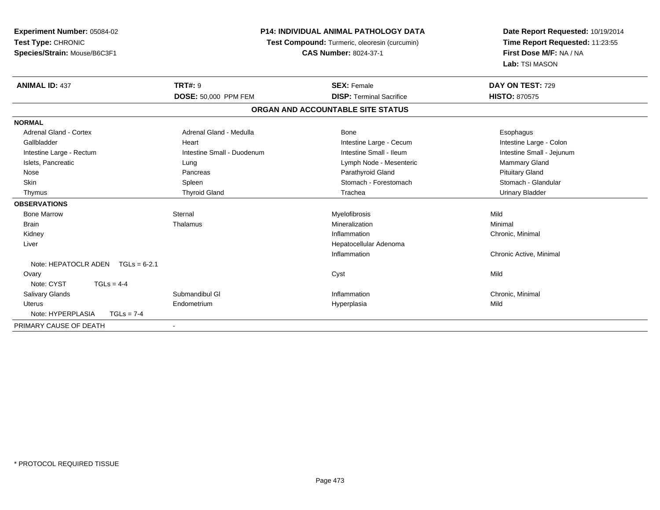| <b>Experiment Number: 05084-02</b>  | <b>P14: INDIVIDUAL ANIMAL PATHOLOGY DATA</b><br>Test Compound: Turmeric, oleoresin (curcumin) |                                   | Date Report Requested: 10/19/2014 |  |
|-------------------------------------|-----------------------------------------------------------------------------------------------|-----------------------------------|-----------------------------------|--|
| Test Type: CHRONIC                  |                                                                                               |                                   | Time Report Requested: 11:23:55   |  |
| Species/Strain: Mouse/B6C3F1        |                                                                                               | <b>CAS Number: 8024-37-1</b>      | First Dose M/F: NA / NA           |  |
|                                     |                                                                                               |                                   | Lab: TSI MASON                    |  |
| <b>ANIMAL ID: 437</b>               | <b>TRT#: 9</b>                                                                                | <b>SEX: Female</b>                | DAY ON TEST: 729                  |  |
|                                     | <b>DOSE: 50,000 PPM FEM</b>                                                                   | <b>DISP: Terminal Sacrifice</b>   | <b>HISTO: 870575</b>              |  |
|                                     |                                                                                               | ORGAN AND ACCOUNTABLE SITE STATUS |                                   |  |
| <b>NORMAL</b>                       |                                                                                               |                                   |                                   |  |
| Adrenal Gland - Cortex              | Adrenal Gland - Medulla                                                                       | Bone                              | Esophagus                         |  |
| Gallbladder                         | Heart                                                                                         | Intestine Large - Cecum           | Intestine Large - Colon           |  |
| Intestine Large - Rectum            | Intestine Small - Duodenum                                                                    | Intestine Small - Ileum           | Intestine Small - Jejunum         |  |
| Islets, Pancreatic                  | Lung                                                                                          | Lymph Node - Mesenteric           | Mammary Gland                     |  |
| Nose                                | Pancreas                                                                                      | Parathyroid Gland                 | <b>Pituitary Gland</b>            |  |
| Skin                                | Spleen                                                                                        | Stomach - Forestomach             | Stomach - Glandular               |  |
| Thymus                              | <b>Thyroid Gland</b>                                                                          | Trachea                           | <b>Urinary Bladder</b>            |  |
| <b>OBSERVATIONS</b>                 |                                                                                               |                                   |                                   |  |
| <b>Bone Marrow</b>                  | Sternal                                                                                       | Myelofibrosis                     | Mild                              |  |
| <b>Brain</b>                        | Thalamus                                                                                      | Mineralization                    | Minimal                           |  |
| Kidney                              |                                                                                               | Inflammation                      | Chronic, Minimal                  |  |
| Liver                               |                                                                                               | Hepatocellular Adenoma            |                                   |  |
|                                     |                                                                                               | Inflammation                      | Chronic Active, Minimal           |  |
| Note: HEPATOCLR ADEN $TGLs = 6-2.1$ |                                                                                               |                                   |                                   |  |
| Ovary                               |                                                                                               | Cyst                              | Mild                              |  |
| Note: CYST<br>$TGLs = 4-4$          |                                                                                               |                                   |                                   |  |
| Salivary Glands                     | Submandibul GI                                                                                | Inflammation                      | Chronic, Minimal                  |  |
| Uterus                              | Endometrium                                                                                   | Hyperplasia                       | Mild                              |  |
| Note: HYPERPLASIA<br>$TGLs = 7-4$   |                                                                                               |                                   |                                   |  |
| PRIMARY CAUSE OF DEATH              |                                                                                               |                                   |                                   |  |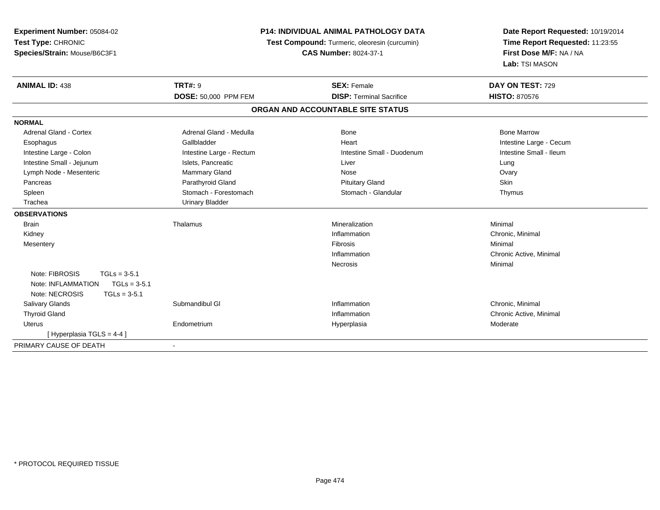| Experiment Number: 05084-02<br>Test Type: CHRONIC<br>Species/Strain: Mouse/B6C3F1 | <b>P14: INDIVIDUAL ANIMAL PATHOLOGY DATA</b><br>Test Compound: Turmeric, oleoresin (curcumin)<br><b>CAS Number: 8024-37-1</b> |                                   | Date Report Requested: 10/19/2014<br>Time Report Requested: 11:23:55<br>First Dose M/F: NA / NA<br>Lab: TSI MASON |  |
|-----------------------------------------------------------------------------------|-------------------------------------------------------------------------------------------------------------------------------|-----------------------------------|-------------------------------------------------------------------------------------------------------------------|--|
|                                                                                   |                                                                                                                               |                                   |                                                                                                                   |  |
| <b>ANIMAL ID: 438</b>                                                             | <b>TRT#: 9</b>                                                                                                                | <b>SEX: Female</b>                | DAY ON TEST: 729                                                                                                  |  |
|                                                                                   | DOSE: 50,000 PPM FEM                                                                                                          | <b>DISP: Terminal Sacrifice</b>   | <b>HISTO: 870576</b>                                                                                              |  |
|                                                                                   |                                                                                                                               | ORGAN AND ACCOUNTABLE SITE STATUS |                                                                                                                   |  |
| <b>NORMAL</b>                                                                     |                                                                                                                               |                                   |                                                                                                                   |  |
| Adrenal Gland - Cortex                                                            | Adrenal Gland - Medulla                                                                                                       | Bone                              | <b>Bone Marrow</b>                                                                                                |  |
| Esophagus                                                                         | Gallbladder                                                                                                                   | Heart                             | Intestine Large - Cecum                                                                                           |  |
| Intestine Large - Colon                                                           | Intestine Large - Rectum                                                                                                      | Intestine Small - Duodenum        | Intestine Small - Ileum                                                                                           |  |
| Intestine Small - Jejunum                                                         | Islets, Pancreatic                                                                                                            | Liver                             | Lung                                                                                                              |  |
| Lymph Node - Mesenteric                                                           | Mammary Gland                                                                                                                 | Nose                              | Ovary                                                                                                             |  |
| Pancreas                                                                          | Parathyroid Gland                                                                                                             | <b>Pituitary Gland</b>            | Skin                                                                                                              |  |
| Spleen                                                                            | Stomach - Forestomach                                                                                                         | Stomach - Glandular               | Thymus                                                                                                            |  |
| Trachea                                                                           | <b>Urinary Bladder</b>                                                                                                        |                                   |                                                                                                                   |  |
| <b>OBSERVATIONS</b>                                                               |                                                                                                                               |                                   |                                                                                                                   |  |
| <b>Brain</b>                                                                      | Thalamus                                                                                                                      | Mineralization                    | Minimal                                                                                                           |  |
| Kidney                                                                            |                                                                                                                               | Inflammation                      | Chronic, Minimal                                                                                                  |  |
| Mesentery                                                                         |                                                                                                                               | Fibrosis                          | Minimal                                                                                                           |  |
|                                                                                   |                                                                                                                               | Inflammation                      | Chronic Active, Minimal                                                                                           |  |
|                                                                                   |                                                                                                                               | Necrosis                          | Minimal                                                                                                           |  |
| Note: FIBROSIS<br>$TGLs = 3-5.1$                                                  |                                                                                                                               |                                   |                                                                                                                   |  |
| Note: INFLAMMATION<br>$TGLs = 3-5.1$                                              |                                                                                                                               |                                   |                                                                                                                   |  |
| Note: NECROSIS<br>$TGLs = 3-5.1$                                                  |                                                                                                                               |                                   |                                                                                                                   |  |
| Salivary Glands                                                                   | Submandibul GI                                                                                                                | Inflammation                      | Chronic, Minimal                                                                                                  |  |
| <b>Thyroid Gland</b>                                                              |                                                                                                                               | Inflammation                      | Chronic Active, Minimal                                                                                           |  |
| <b>Uterus</b>                                                                     | Endometrium                                                                                                                   | Hyperplasia                       | Moderate                                                                                                          |  |
| [ Hyperplasia TGLS = 4-4 ]                                                        |                                                                                                                               |                                   |                                                                                                                   |  |
| PRIMARY CAUSE OF DEATH                                                            | $\blacksquare$                                                                                                                |                                   |                                                                                                                   |  |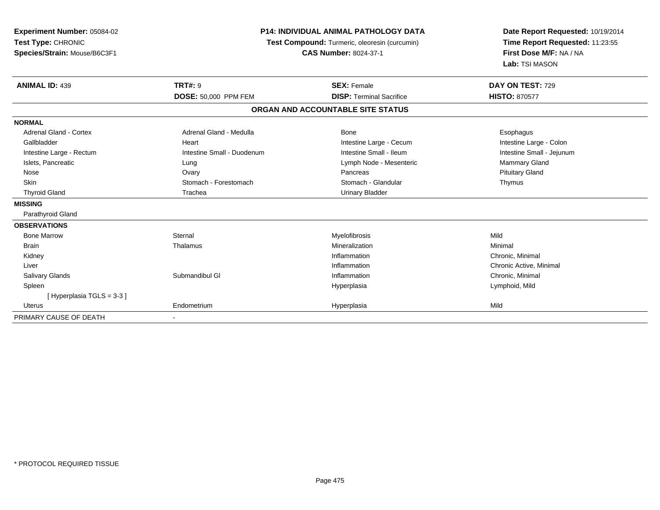| Experiment Number: 05084-02<br>Test Type: CHRONIC<br>Species/Strain: Mouse/B6C3F1 | <b>P14: INDIVIDUAL ANIMAL PATHOLOGY DATA</b><br>Test Compound: Turmeric, oleoresin (curcumin)<br><b>CAS Number: 8024-37-1</b> |                                   | Date Report Requested: 10/19/2014<br>Time Report Requested: 11:23:55<br>First Dose M/F: NA / NA<br>Lab: TSI MASON |  |
|-----------------------------------------------------------------------------------|-------------------------------------------------------------------------------------------------------------------------------|-----------------------------------|-------------------------------------------------------------------------------------------------------------------|--|
| <b>ANIMAL ID: 439</b>                                                             | <b>TRT#: 9</b>                                                                                                                | <b>SEX: Female</b>                | DAY ON TEST: 729                                                                                                  |  |
|                                                                                   | <b>DOSE: 50,000 PPM FEM</b>                                                                                                   | <b>DISP: Terminal Sacrifice</b>   | <b>HISTO: 870577</b>                                                                                              |  |
|                                                                                   |                                                                                                                               | ORGAN AND ACCOUNTABLE SITE STATUS |                                                                                                                   |  |
| <b>NORMAL</b>                                                                     |                                                                                                                               |                                   |                                                                                                                   |  |
| <b>Adrenal Gland - Cortex</b>                                                     | Adrenal Gland - Medulla                                                                                                       | Bone                              | Esophagus                                                                                                         |  |
| Gallbladder                                                                       | Heart                                                                                                                         | Intestine Large - Cecum           | Intestine Large - Colon                                                                                           |  |
| Intestine Large - Rectum                                                          | Intestine Small - Duodenum                                                                                                    | Intestine Small - Ileum           | Intestine Small - Jejunum                                                                                         |  |
| Islets, Pancreatic                                                                | Lung                                                                                                                          | Lymph Node - Mesenteric           | <b>Mammary Gland</b>                                                                                              |  |
| Nose                                                                              | Ovary                                                                                                                         | Pancreas                          | <b>Pituitary Gland</b>                                                                                            |  |
| <b>Skin</b>                                                                       | Stomach - Forestomach                                                                                                         | Stomach - Glandular               | Thymus                                                                                                            |  |
| <b>Thyroid Gland</b>                                                              | Trachea                                                                                                                       | <b>Urinary Bladder</b>            |                                                                                                                   |  |
| <b>MISSING</b>                                                                    |                                                                                                                               |                                   |                                                                                                                   |  |
| Parathyroid Gland                                                                 |                                                                                                                               |                                   |                                                                                                                   |  |
| <b>OBSERVATIONS</b>                                                               |                                                                                                                               |                                   |                                                                                                                   |  |
| <b>Bone Marrow</b>                                                                | Sternal                                                                                                                       | Myelofibrosis                     | Mild                                                                                                              |  |
| <b>Brain</b>                                                                      | Thalamus                                                                                                                      | Mineralization                    | Minimal                                                                                                           |  |
| Kidney                                                                            |                                                                                                                               | Inflammation                      | Chronic, Minimal                                                                                                  |  |
| Liver                                                                             |                                                                                                                               | Inflammation                      | Chronic Active, Minimal                                                                                           |  |
| Salivary Glands                                                                   | Submandibul GI                                                                                                                | Inflammation                      | Chronic, Minimal                                                                                                  |  |
| Spleen                                                                            |                                                                                                                               | Hyperplasia                       | Lymphoid, Mild                                                                                                    |  |
| [Hyperplasia TGLS = 3-3 ]                                                         |                                                                                                                               |                                   |                                                                                                                   |  |
| Uterus                                                                            | Endometrium                                                                                                                   | Hyperplasia                       | Mild                                                                                                              |  |
| PRIMARY CAUSE OF DEATH                                                            |                                                                                                                               |                                   |                                                                                                                   |  |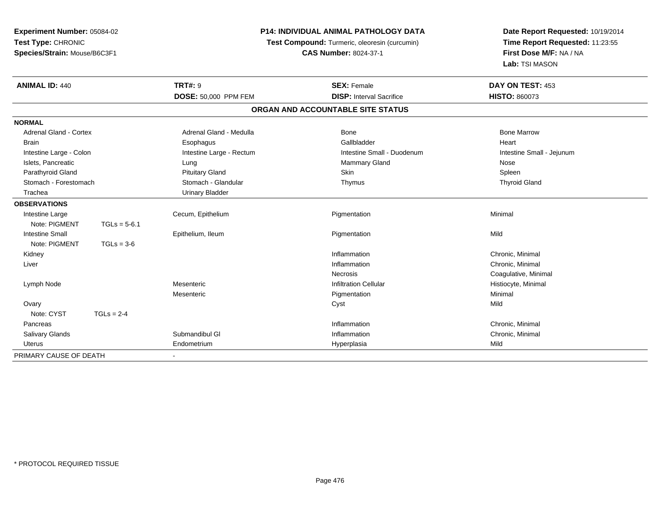| Experiment Number: 05084-02  |                |                          | <b>P14: INDIVIDUAL ANIMAL PATHOLOGY DATA</b>  | Date Report Requested: 10/19/2014 |
|------------------------------|----------------|--------------------------|-----------------------------------------------|-----------------------------------|
| Test Type: CHRONIC           |                |                          | Test Compound: Turmeric, oleoresin (curcumin) | Time Report Requested: 11:23:55   |
| Species/Strain: Mouse/B6C3F1 |                |                          | <b>CAS Number: 8024-37-1</b>                  | First Dose M/F: NA / NA           |
|                              |                |                          |                                               | Lab: TSI MASON                    |
| <b>ANIMAL ID: 440</b>        |                | <b>TRT#: 9</b>           | <b>SEX: Female</b>                            | DAY ON TEST: 453                  |
|                              |                | DOSE: 50,000 PPM FEM     | <b>DISP: Interval Sacrifice</b>               | <b>HISTO: 860073</b>              |
|                              |                |                          | ORGAN AND ACCOUNTABLE SITE STATUS             |                                   |
| <b>NORMAL</b>                |                |                          |                                               |                                   |
| Adrenal Gland - Cortex       |                | Adrenal Gland - Medulla  | Bone                                          | <b>Bone Marrow</b>                |
| <b>Brain</b>                 |                | Esophagus                | Gallbladder                                   | Heart                             |
| Intestine Large - Colon      |                | Intestine Large - Rectum | Intestine Small - Duodenum                    | Intestine Small - Jejunum         |
| Islets, Pancreatic           |                | Lung                     | <b>Mammary Gland</b>                          | Nose                              |
| Parathyroid Gland            |                | <b>Pituitary Gland</b>   | Skin                                          | Spleen                            |
| Stomach - Forestomach        |                | Stomach - Glandular      | Thymus                                        | <b>Thyroid Gland</b>              |
| Trachea                      |                | <b>Urinary Bladder</b>   |                                               |                                   |
| <b>OBSERVATIONS</b>          |                |                          |                                               |                                   |
| Intestine Large              |                | Cecum, Epithelium        | Pigmentation                                  | Minimal                           |
| Note: PIGMENT                | $TGLs = 5-6.1$ |                          |                                               |                                   |
| <b>Intestine Small</b>       |                | Epithelium, Ileum        | Pigmentation                                  | Mild                              |
| Note: PIGMENT                | $TGLs = 3-6$   |                          |                                               |                                   |
| Kidney                       |                |                          | Inflammation                                  | Chronic, Minimal                  |
| Liver                        |                |                          | Inflammation                                  | Chronic, Minimal                  |
|                              |                |                          | <b>Necrosis</b>                               | Coagulative, Minimal              |
| Lymph Node                   |                | Mesenteric               | <b>Infiltration Cellular</b>                  | Histiocyte, Minimal               |
|                              |                | Mesenteric               | Pigmentation                                  | Minimal                           |
| Ovary                        |                |                          | Cyst                                          | Mild                              |
| Note: CYST                   | $TGLs = 2-4$   |                          |                                               |                                   |
| Pancreas                     |                |                          | Inflammation                                  | Chronic, Minimal                  |
| <b>Salivary Glands</b>       |                | Submandibul GI           | Inflammation                                  | Chronic, Minimal                  |
| <b>Uterus</b>                |                | Endometrium              | Hyperplasia                                   | Mild                              |
| PRIMARY CAUSE OF DEATH       |                |                          |                                               |                                   |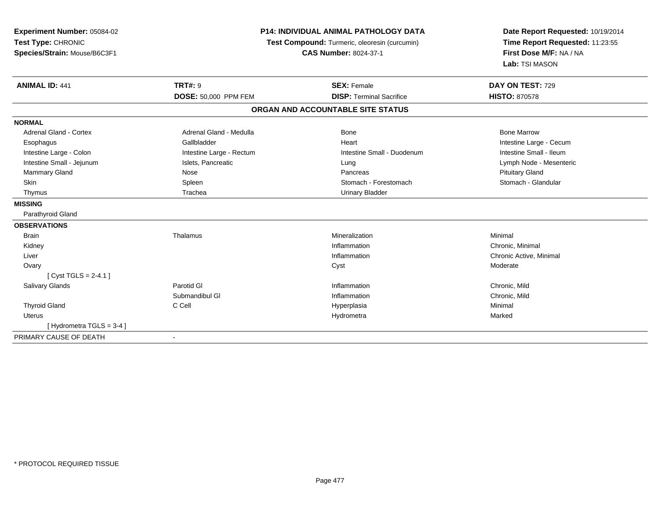| <b>Experiment Number: 05084-02</b><br>Test Type: CHRONIC<br>Species/Strain: Mouse/B6C3F1 | <b>P14: INDIVIDUAL ANIMAL PATHOLOGY DATA</b><br>Test Compound: Turmeric, oleoresin (curcumin)<br><b>CAS Number: 8024-37-1</b> |                                   | Date Report Requested: 10/19/2014<br>Time Report Requested: 11:23:55<br>First Dose M/F: NA / NA<br>Lab: TSI MASON |
|------------------------------------------------------------------------------------------|-------------------------------------------------------------------------------------------------------------------------------|-----------------------------------|-------------------------------------------------------------------------------------------------------------------|
| <b>ANIMAL ID: 441</b>                                                                    | <b>TRT#: 9</b>                                                                                                                | <b>SEX: Female</b>                | DAY ON TEST: 729                                                                                                  |
|                                                                                          | <b>DOSE: 50,000 PPM FEM</b>                                                                                                   | <b>DISP: Terminal Sacrifice</b>   | <b>HISTO: 870578</b>                                                                                              |
|                                                                                          |                                                                                                                               | ORGAN AND ACCOUNTABLE SITE STATUS |                                                                                                                   |
| <b>NORMAL</b>                                                                            |                                                                                                                               |                                   |                                                                                                                   |
| <b>Adrenal Gland - Cortex</b>                                                            | Adrenal Gland - Medulla                                                                                                       | Bone                              | <b>Bone Marrow</b>                                                                                                |
| Esophagus                                                                                | Gallbladder                                                                                                                   | Heart                             | Intestine Large - Cecum                                                                                           |
| Intestine Large - Colon                                                                  | Intestine Large - Rectum                                                                                                      | Intestine Small - Duodenum        | Intestine Small - Ileum                                                                                           |
| Intestine Small - Jejunum                                                                | Islets, Pancreatic                                                                                                            | Lung                              | Lymph Node - Mesenteric                                                                                           |
| <b>Mammary Gland</b>                                                                     | Nose                                                                                                                          | Pancreas                          | <b>Pituitary Gland</b>                                                                                            |
| <b>Skin</b>                                                                              | Spleen                                                                                                                        | Stomach - Forestomach             | Stomach - Glandular                                                                                               |
| Thymus                                                                                   | Trachea                                                                                                                       | <b>Urinary Bladder</b>            |                                                                                                                   |
| <b>MISSING</b>                                                                           |                                                                                                                               |                                   |                                                                                                                   |
| Parathyroid Gland                                                                        |                                                                                                                               |                                   |                                                                                                                   |
| <b>OBSERVATIONS</b>                                                                      |                                                                                                                               |                                   |                                                                                                                   |
| <b>Brain</b>                                                                             | Thalamus                                                                                                                      | Mineralization                    | Minimal                                                                                                           |
| Kidney                                                                                   |                                                                                                                               | Inflammation                      | Chronic, Minimal                                                                                                  |
| Liver                                                                                    |                                                                                                                               | Inflammation                      | Chronic Active, Minimal                                                                                           |
| Ovary                                                                                    |                                                                                                                               | Cyst                              | Moderate                                                                                                          |
| [ $Cyst TGLS = 2-4.1$ ]                                                                  |                                                                                                                               |                                   |                                                                                                                   |
| Salivary Glands                                                                          | Parotid GI                                                                                                                    | Inflammation                      | Chronic, Mild                                                                                                     |
|                                                                                          | Submandibul GI                                                                                                                | Inflammation                      | Chronic, Mild                                                                                                     |
| <b>Thyroid Gland</b>                                                                     | C Cell                                                                                                                        | Hyperplasia                       | Minimal                                                                                                           |
| <b>Uterus</b>                                                                            |                                                                                                                               | Hydrometra                        | Marked                                                                                                            |
| [Hydrometra TGLS = 3-4]                                                                  |                                                                                                                               |                                   |                                                                                                                   |
| PRIMARY CAUSE OF DEATH                                                                   |                                                                                                                               |                                   |                                                                                                                   |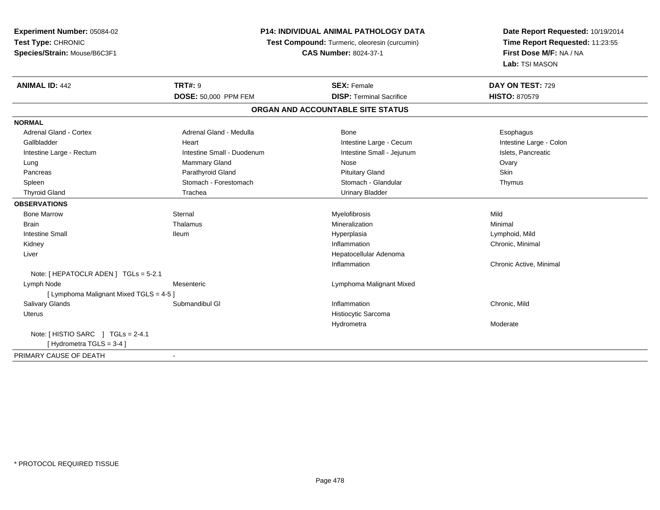| Time Report Requested: 11:23:55<br>Test Type: CHRONIC<br>Test Compound: Turmeric, oleoresin (curcumin)<br>First Dose M/F: NA / NA<br>Species/Strain: Mouse/B6C3F1<br><b>CAS Number: 8024-37-1</b><br>Lab: TSI MASON<br><b>TRT#: 9</b><br><b>ANIMAL ID: 442</b><br><b>SEX: Female</b><br>DAY ON TEST: 729 |
|----------------------------------------------------------------------------------------------------------------------------------------------------------------------------------------------------------------------------------------------------------------------------------------------------------|
|                                                                                                                                                                                                                                                                                                          |
|                                                                                                                                                                                                                                                                                                          |
|                                                                                                                                                                                                                                                                                                          |
|                                                                                                                                                                                                                                                                                                          |
| DOSE: 50,000 PPM FEM<br><b>DISP: Terminal Sacrifice</b><br><b>HISTO: 870579</b>                                                                                                                                                                                                                          |
| ORGAN AND ACCOUNTABLE SITE STATUS                                                                                                                                                                                                                                                                        |
| <b>NORMAL</b>                                                                                                                                                                                                                                                                                            |
| <b>Adrenal Gland - Cortex</b><br>Adrenal Gland - Medulla<br>Bone<br>Esophagus                                                                                                                                                                                                                            |
| Intestine Large - Colon<br>Gallbladder<br>Intestine Large - Cecum<br>Heart                                                                                                                                                                                                                               |
| Islets, Pancreatic<br>Intestine Small - Duodenum<br>Intestine Small - Jejunum<br>Intestine Large - Rectum                                                                                                                                                                                                |
| <b>Mammary Gland</b><br>Nose<br>Ovary<br>Lung                                                                                                                                                                                                                                                            |
| Parathyroid Gland<br>Skin<br><b>Pituitary Gland</b><br>Pancreas                                                                                                                                                                                                                                          |
| Stomach - Forestomach<br>Stomach - Glandular<br>Thymus<br>Spleen                                                                                                                                                                                                                                         |
| <b>Thyroid Gland</b><br>Trachea<br><b>Urinary Bladder</b>                                                                                                                                                                                                                                                |
| <b>OBSERVATIONS</b>                                                                                                                                                                                                                                                                                      |
| Sternal<br>Myelofibrosis<br>Mild<br><b>Bone Marrow</b>                                                                                                                                                                                                                                                   |
| Thalamus<br>Mineralization<br>Minimal<br><b>Brain</b>                                                                                                                                                                                                                                                    |
| <b>Intestine Small</b><br><b>Ileum</b><br>Hyperplasia<br>Lymphoid, Mild                                                                                                                                                                                                                                  |
| Inflammation<br>Chronic, Minimal<br>Kidney                                                                                                                                                                                                                                                               |
| Hepatocellular Adenoma<br>Liver                                                                                                                                                                                                                                                                          |
| Inflammation<br>Chronic Active, Minimal                                                                                                                                                                                                                                                                  |
| Note: [ HEPATOCLR ADEN ] TGLs = 5-2.1                                                                                                                                                                                                                                                                    |
| Lymph Node<br>Mesenteric<br>Lymphoma Malignant Mixed                                                                                                                                                                                                                                                     |
| [ Lymphoma Malignant Mixed TGLS = 4-5 ]                                                                                                                                                                                                                                                                  |
| Salivary Glands<br>Submandibul GI<br>Inflammation<br>Chronic, Mild                                                                                                                                                                                                                                       |
| Histiocytic Sarcoma<br><b>Uterus</b>                                                                                                                                                                                                                                                                     |
| Hydrometra<br>Moderate                                                                                                                                                                                                                                                                                   |
| Note: [HISTIO SARC ] TGLs = 2-4.1                                                                                                                                                                                                                                                                        |
| [Hydrometra TGLS = 3-4]                                                                                                                                                                                                                                                                                  |
| PRIMARY CAUSE OF DEATH                                                                                                                                                                                                                                                                                   |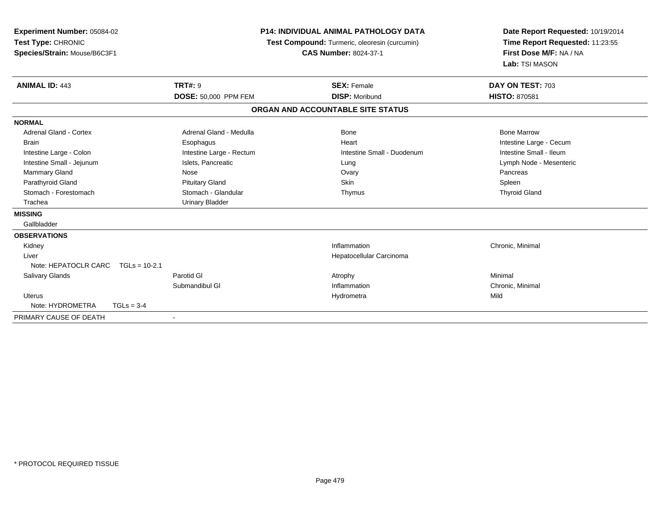| <b>Experiment Number: 05084-02</b><br>Test Type: CHRONIC<br>Species/Strain: Mouse/B6C3F1 | <b>P14: INDIVIDUAL ANIMAL PATHOLOGY DATA</b><br>Test Compound: Turmeric, oleoresin (curcumin)<br><b>CAS Number: 8024-37-1</b> |                                   | Date Report Requested: 10/19/2014<br>Time Report Requested: 11:23:55<br>First Dose M/F: NA / NA<br>Lab: TSI MASON |  |
|------------------------------------------------------------------------------------------|-------------------------------------------------------------------------------------------------------------------------------|-----------------------------------|-------------------------------------------------------------------------------------------------------------------|--|
| <b>ANIMAL ID: 443</b>                                                                    | <b>TRT#: 9</b>                                                                                                                | <b>SEX: Female</b>                | DAY ON TEST: 703                                                                                                  |  |
|                                                                                          | <b>DOSE: 50,000 PPM FEM</b>                                                                                                   | <b>DISP: Moribund</b>             | <b>HISTO: 870581</b>                                                                                              |  |
|                                                                                          |                                                                                                                               | ORGAN AND ACCOUNTABLE SITE STATUS |                                                                                                                   |  |
| <b>NORMAL</b>                                                                            |                                                                                                                               |                                   |                                                                                                                   |  |
| Adrenal Gland - Cortex                                                                   | Adrenal Gland - Medulla                                                                                                       | Bone                              | <b>Bone Marrow</b>                                                                                                |  |
| <b>Brain</b>                                                                             | Esophagus                                                                                                                     | Heart                             | Intestine Large - Cecum                                                                                           |  |
| Intestine Large - Colon                                                                  | Intestine Large - Rectum                                                                                                      | Intestine Small - Duodenum        | Intestine Small - Ileum                                                                                           |  |
| Intestine Small - Jejunum                                                                | Islets, Pancreatic                                                                                                            | Lung                              | Lymph Node - Mesenteric                                                                                           |  |
| Mammary Gland                                                                            | Nose                                                                                                                          | Ovary                             | Pancreas                                                                                                          |  |
| Parathyroid Gland                                                                        | <b>Pituitary Gland</b>                                                                                                        | Skin                              | Spleen                                                                                                            |  |
| Stomach - Forestomach                                                                    | Stomach - Glandular                                                                                                           | Thymus                            | <b>Thyroid Gland</b>                                                                                              |  |
| Trachea                                                                                  | <b>Urinary Bladder</b>                                                                                                        |                                   |                                                                                                                   |  |
| <b>MISSING</b>                                                                           |                                                                                                                               |                                   |                                                                                                                   |  |
| Gallbladder                                                                              |                                                                                                                               |                                   |                                                                                                                   |  |
| <b>OBSERVATIONS</b>                                                                      |                                                                                                                               |                                   |                                                                                                                   |  |
| Kidney                                                                                   |                                                                                                                               | Inflammation                      | Chronic, Minimal                                                                                                  |  |
| Liver                                                                                    |                                                                                                                               | Hepatocellular Carcinoma          |                                                                                                                   |  |
| Note: HEPATOCLR CARC<br>$TGLs = 10-2.1$                                                  |                                                                                                                               |                                   |                                                                                                                   |  |
| <b>Salivary Glands</b>                                                                   | Parotid GI                                                                                                                    | Atrophy                           | Minimal                                                                                                           |  |
|                                                                                          | Submandibul GI                                                                                                                | Inflammation                      | Chronic, Minimal                                                                                                  |  |
| <b>Uterus</b>                                                                            |                                                                                                                               | Hydrometra                        | Mild                                                                                                              |  |
| Note: HYDROMETRA<br>$TGLs = 3-4$                                                         |                                                                                                                               |                                   |                                                                                                                   |  |
| PRIMARY CAUSE OF DEATH                                                                   | $\overline{\phantom{a}}$                                                                                                      |                                   |                                                                                                                   |  |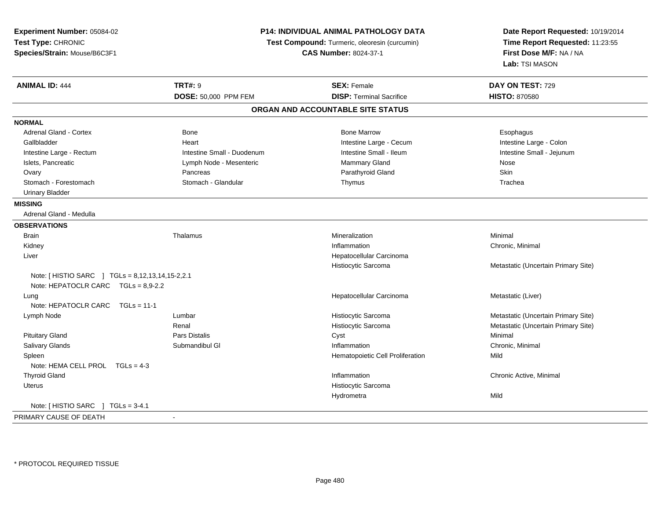| Test Type: CHRONIC<br>Time Report Requested: 11:23:55<br>Test Compound: Turmeric, oleoresin (curcumin)<br>First Dose M/F: NA / NA<br>Species/Strain: Mouse/B6C3F1<br><b>CAS Number: 8024-37-1</b><br>Lab: TSI MASON<br><b>ANIMAL ID: 444</b><br><b>TRT#: 9</b><br><b>SEX: Female</b><br>DAY ON TEST: 729<br><b>DISP: Terminal Sacrifice</b><br>DOSE: 50,000 PPM FEM<br><b>HISTO: 870580</b><br>ORGAN AND ACCOUNTABLE SITE STATUS<br><b>NORMAL</b><br><b>Adrenal Gland - Cortex</b><br><b>Bone</b><br><b>Bone Marrow</b><br>Esophagus<br>Intestine Large - Colon<br>Gallbladder<br>Intestine Large - Cecum<br>Heart<br>Intestine Small - Ileum<br>Intestine Small - Jejunum<br>Intestine Large - Rectum<br>Intestine Small - Duodenum<br>Islets, Pancreatic<br>Mammary Gland<br>Lymph Node - Mesenteric<br>Nose<br>Parathyroid Gland<br>Skin<br>Ovary<br>Pancreas<br>Stomach - Forestomach<br>Stomach - Glandular<br>Thymus<br>Trachea<br><b>Urinary Bladder</b><br><b>MISSING</b><br>Adrenal Gland - Medulla<br><b>OBSERVATIONS</b><br><b>Brain</b><br>Thalamus<br>Mineralization<br>Minimal<br>Kidney<br>Inflammation<br>Chronic, Minimal<br>Liver<br>Hepatocellular Carcinoma<br>Histiocytic Sarcoma<br>Metastatic (Uncertain Primary Site)<br>Note: [ HISTIO SARC ] TGLs = 8,12,13,14,15-2,2.1<br>Note: HEPATOCLR CARC $TGLs = 8,9-2.2$<br>Hepatocellular Carcinoma<br>Metastatic (Liver)<br>Lung<br>Note: HEPATOCLR CARC<br>$TGLs = 11-1$<br>Histiocytic Sarcoma<br>Metastatic (Uncertain Primary Site)<br>Lymph Node<br>Lumbar<br>Histiocytic Sarcoma<br>Metastatic (Uncertain Primary Site)<br>Renal<br><b>Pituitary Gland</b><br>Pars Distalis<br>Minimal<br>Cyst<br>Salivary Glands<br>Submandibul GI<br>Inflammation<br>Chronic, Minimal<br>Mild<br>Spleen<br>Hematopoietic Cell Proliferation<br>Note: HEMA CELL PROL TGLs = 4-3<br><b>Thyroid Gland</b><br>Inflammation<br>Chronic Active, Minimal<br>Histiocytic Sarcoma<br><b>Uterus</b><br>Hydrometra<br>Mild<br>Note: [ HISTIO SARC<br>$TGLs = 3-4.1$<br>PRIMARY CAUSE OF DEATH<br>$\sim$ | Experiment Number: 05084-02 |  | <b>P14: INDIVIDUAL ANIMAL PATHOLOGY DATA</b> | Date Report Requested: 10/19/2014 |
|----------------------------------------------------------------------------------------------------------------------------------------------------------------------------------------------------------------------------------------------------------------------------------------------------------------------------------------------------------------------------------------------------------------------------------------------------------------------------------------------------------------------------------------------------------------------------------------------------------------------------------------------------------------------------------------------------------------------------------------------------------------------------------------------------------------------------------------------------------------------------------------------------------------------------------------------------------------------------------------------------------------------------------------------------------------------------------------------------------------------------------------------------------------------------------------------------------------------------------------------------------------------------------------------------------------------------------------------------------------------------------------------------------------------------------------------------------------------------------------------------------------------------------------------------------------------------------------------------------------------------------------------------------------------------------------------------------------------------------------------------------------------------------------------------------------------------------------------------------------------------------------------------------------------------------------------------------------------------------------------------------------------------------------------------------|-----------------------------|--|----------------------------------------------|-----------------------------------|
|                                                                                                                                                                                                                                                                                                                                                                                                                                                                                                                                                                                                                                                                                                                                                                                                                                                                                                                                                                                                                                                                                                                                                                                                                                                                                                                                                                                                                                                                                                                                                                                                                                                                                                                                                                                                                                                                                                                                                                                                                                                          |                             |  |                                              |                                   |
|                                                                                                                                                                                                                                                                                                                                                                                                                                                                                                                                                                                                                                                                                                                                                                                                                                                                                                                                                                                                                                                                                                                                                                                                                                                                                                                                                                                                                                                                                                                                                                                                                                                                                                                                                                                                                                                                                                                                                                                                                                                          |                             |  |                                              |                                   |
|                                                                                                                                                                                                                                                                                                                                                                                                                                                                                                                                                                                                                                                                                                                                                                                                                                                                                                                                                                                                                                                                                                                                                                                                                                                                                                                                                                                                                                                                                                                                                                                                                                                                                                                                                                                                                                                                                                                                                                                                                                                          |                             |  |                                              |                                   |
|                                                                                                                                                                                                                                                                                                                                                                                                                                                                                                                                                                                                                                                                                                                                                                                                                                                                                                                                                                                                                                                                                                                                                                                                                                                                                                                                                                                                                                                                                                                                                                                                                                                                                                                                                                                                                                                                                                                                                                                                                                                          |                             |  |                                              |                                   |
|                                                                                                                                                                                                                                                                                                                                                                                                                                                                                                                                                                                                                                                                                                                                                                                                                                                                                                                                                                                                                                                                                                                                                                                                                                                                                                                                                                                                                                                                                                                                                                                                                                                                                                                                                                                                                                                                                                                                                                                                                                                          |                             |  |                                              |                                   |
|                                                                                                                                                                                                                                                                                                                                                                                                                                                                                                                                                                                                                                                                                                                                                                                                                                                                                                                                                                                                                                                                                                                                                                                                                                                                                                                                                                                                                                                                                                                                                                                                                                                                                                                                                                                                                                                                                                                                                                                                                                                          |                             |  |                                              |                                   |
|                                                                                                                                                                                                                                                                                                                                                                                                                                                                                                                                                                                                                                                                                                                                                                                                                                                                                                                                                                                                                                                                                                                                                                                                                                                                                                                                                                                                                                                                                                                                                                                                                                                                                                                                                                                                                                                                                                                                                                                                                                                          |                             |  |                                              |                                   |
|                                                                                                                                                                                                                                                                                                                                                                                                                                                                                                                                                                                                                                                                                                                                                                                                                                                                                                                                                                                                                                                                                                                                                                                                                                                                                                                                                                                                                                                                                                                                                                                                                                                                                                                                                                                                                                                                                                                                                                                                                                                          |                             |  |                                              |                                   |
|                                                                                                                                                                                                                                                                                                                                                                                                                                                                                                                                                                                                                                                                                                                                                                                                                                                                                                                                                                                                                                                                                                                                                                                                                                                                                                                                                                                                                                                                                                                                                                                                                                                                                                                                                                                                                                                                                                                                                                                                                                                          |                             |  |                                              |                                   |
|                                                                                                                                                                                                                                                                                                                                                                                                                                                                                                                                                                                                                                                                                                                                                                                                                                                                                                                                                                                                                                                                                                                                                                                                                                                                                                                                                                                                                                                                                                                                                                                                                                                                                                                                                                                                                                                                                                                                                                                                                                                          |                             |  |                                              |                                   |
|                                                                                                                                                                                                                                                                                                                                                                                                                                                                                                                                                                                                                                                                                                                                                                                                                                                                                                                                                                                                                                                                                                                                                                                                                                                                                                                                                                                                                                                                                                                                                                                                                                                                                                                                                                                                                                                                                                                                                                                                                                                          |                             |  |                                              |                                   |
|                                                                                                                                                                                                                                                                                                                                                                                                                                                                                                                                                                                                                                                                                                                                                                                                                                                                                                                                                                                                                                                                                                                                                                                                                                                                                                                                                                                                                                                                                                                                                                                                                                                                                                                                                                                                                                                                                                                                                                                                                                                          |                             |  |                                              |                                   |
|                                                                                                                                                                                                                                                                                                                                                                                                                                                                                                                                                                                                                                                                                                                                                                                                                                                                                                                                                                                                                                                                                                                                                                                                                                                                                                                                                                                                                                                                                                                                                                                                                                                                                                                                                                                                                                                                                                                                                                                                                                                          |                             |  |                                              |                                   |
|                                                                                                                                                                                                                                                                                                                                                                                                                                                                                                                                                                                                                                                                                                                                                                                                                                                                                                                                                                                                                                                                                                                                                                                                                                                                                                                                                                                                                                                                                                                                                                                                                                                                                                                                                                                                                                                                                                                                                                                                                                                          |                             |  |                                              |                                   |
|                                                                                                                                                                                                                                                                                                                                                                                                                                                                                                                                                                                                                                                                                                                                                                                                                                                                                                                                                                                                                                                                                                                                                                                                                                                                                                                                                                                                                                                                                                                                                                                                                                                                                                                                                                                                                                                                                                                                                                                                                                                          |                             |  |                                              |                                   |
|                                                                                                                                                                                                                                                                                                                                                                                                                                                                                                                                                                                                                                                                                                                                                                                                                                                                                                                                                                                                                                                                                                                                                                                                                                                                                                                                                                                                                                                                                                                                                                                                                                                                                                                                                                                                                                                                                                                                                                                                                                                          |                             |  |                                              |                                   |
|                                                                                                                                                                                                                                                                                                                                                                                                                                                                                                                                                                                                                                                                                                                                                                                                                                                                                                                                                                                                                                                                                                                                                                                                                                                                                                                                                                                                                                                                                                                                                                                                                                                                                                                                                                                                                                                                                                                                                                                                                                                          |                             |  |                                              |                                   |
|                                                                                                                                                                                                                                                                                                                                                                                                                                                                                                                                                                                                                                                                                                                                                                                                                                                                                                                                                                                                                                                                                                                                                                                                                                                                                                                                                                                                                                                                                                                                                                                                                                                                                                                                                                                                                                                                                                                                                                                                                                                          |                             |  |                                              |                                   |
|                                                                                                                                                                                                                                                                                                                                                                                                                                                                                                                                                                                                                                                                                                                                                                                                                                                                                                                                                                                                                                                                                                                                                                                                                                                                                                                                                                                                                                                                                                                                                                                                                                                                                                                                                                                                                                                                                                                                                                                                                                                          |                             |  |                                              |                                   |
|                                                                                                                                                                                                                                                                                                                                                                                                                                                                                                                                                                                                                                                                                                                                                                                                                                                                                                                                                                                                                                                                                                                                                                                                                                                                                                                                                                                                                                                                                                                                                                                                                                                                                                                                                                                                                                                                                                                                                                                                                                                          |                             |  |                                              |                                   |
|                                                                                                                                                                                                                                                                                                                                                                                                                                                                                                                                                                                                                                                                                                                                                                                                                                                                                                                                                                                                                                                                                                                                                                                                                                                                                                                                                                                                                                                                                                                                                                                                                                                                                                                                                                                                                                                                                                                                                                                                                                                          |                             |  |                                              |                                   |
|                                                                                                                                                                                                                                                                                                                                                                                                                                                                                                                                                                                                                                                                                                                                                                                                                                                                                                                                                                                                                                                                                                                                                                                                                                                                                                                                                                                                                                                                                                                                                                                                                                                                                                                                                                                                                                                                                                                                                                                                                                                          |                             |  |                                              |                                   |
|                                                                                                                                                                                                                                                                                                                                                                                                                                                                                                                                                                                                                                                                                                                                                                                                                                                                                                                                                                                                                                                                                                                                                                                                                                                                                                                                                                                                                                                                                                                                                                                                                                                                                                                                                                                                                                                                                                                                                                                                                                                          |                             |  |                                              |                                   |
|                                                                                                                                                                                                                                                                                                                                                                                                                                                                                                                                                                                                                                                                                                                                                                                                                                                                                                                                                                                                                                                                                                                                                                                                                                                                                                                                                                                                                                                                                                                                                                                                                                                                                                                                                                                                                                                                                                                                                                                                                                                          |                             |  |                                              |                                   |
|                                                                                                                                                                                                                                                                                                                                                                                                                                                                                                                                                                                                                                                                                                                                                                                                                                                                                                                                                                                                                                                                                                                                                                                                                                                                                                                                                                                                                                                                                                                                                                                                                                                                                                                                                                                                                                                                                                                                                                                                                                                          |                             |  |                                              |                                   |
|                                                                                                                                                                                                                                                                                                                                                                                                                                                                                                                                                                                                                                                                                                                                                                                                                                                                                                                                                                                                                                                                                                                                                                                                                                                                                                                                                                                                                                                                                                                                                                                                                                                                                                                                                                                                                                                                                                                                                                                                                                                          |                             |  |                                              |                                   |
|                                                                                                                                                                                                                                                                                                                                                                                                                                                                                                                                                                                                                                                                                                                                                                                                                                                                                                                                                                                                                                                                                                                                                                                                                                                                                                                                                                                                                                                                                                                                                                                                                                                                                                                                                                                                                                                                                                                                                                                                                                                          |                             |  |                                              |                                   |
|                                                                                                                                                                                                                                                                                                                                                                                                                                                                                                                                                                                                                                                                                                                                                                                                                                                                                                                                                                                                                                                                                                                                                                                                                                                                                                                                                                                                                                                                                                                                                                                                                                                                                                                                                                                                                                                                                                                                                                                                                                                          |                             |  |                                              |                                   |
|                                                                                                                                                                                                                                                                                                                                                                                                                                                                                                                                                                                                                                                                                                                                                                                                                                                                                                                                                                                                                                                                                                                                                                                                                                                                                                                                                                                                                                                                                                                                                                                                                                                                                                                                                                                                                                                                                                                                                                                                                                                          |                             |  |                                              |                                   |
|                                                                                                                                                                                                                                                                                                                                                                                                                                                                                                                                                                                                                                                                                                                                                                                                                                                                                                                                                                                                                                                                                                                                                                                                                                                                                                                                                                                                                                                                                                                                                                                                                                                                                                                                                                                                                                                                                                                                                                                                                                                          |                             |  |                                              |                                   |
|                                                                                                                                                                                                                                                                                                                                                                                                                                                                                                                                                                                                                                                                                                                                                                                                                                                                                                                                                                                                                                                                                                                                                                                                                                                                                                                                                                                                                                                                                                                                                                                                                                                                                                                                                                                                                                                                                                                                                                                                                                                          |                             |  |                                              |                                   |
|                                                                                                                                                                                                                                                                                                                                                                                                                                                                                                                                                                                                                                                                                                                                                                                                                                                                                                                                                                                                                                                                                                                                                                                                                                                                                                                                                                                                                                                                                                                                                                                                                                                                                                                                                                                                                                                                                                                                                                                                                                                          |                             |  |                                              |                                   |
|                                                                                                                                                                                                                                                                                                                                                                                                                                                                                                                                                                                                                                                                                                                                                                                                                                                                                                                                                                                                                                                                                                                                                                                                                                                                                                                                                                                                                                                                                                                                                                                                                                                                                                                                                                                                                                                                                                                                                                                                                                                          |                             |  |                                              |                                   |
|                                                                                                                                                                                                                                                                                                                                                                                                                                                                                                                                                                                                                                                                                                                                                                                                                                                                                                                                                                                                                                                                                                                                                                                                                                                                                                                                                                                                                                                                                                                                                                                                                                                                                                                                                                                                                                                                                                                                                                                                                                                          |                             |  |                                              |                                   |
|                                                                                                                                                                                                                                                                                                                                                                                                                                                                                                                                                                                                                                                                                                                                                                                                                                                                                                                                                                                                                                                                                                                                                                                                                                                                                                                                                                                                                                                                                                                                                                                                                                                                                                                                                                                                                                                                                                                                                                                                                                                          |                             |  |                                              |                                   |
|                                                                                                                                                                                                                                                                                                                                                                                                                                                                                                                                                                                                                                                                                                                                                                                                                                                                                                                                                                                                                                                                                                                                                                                                                                                                                                                                                                                                                                                                                                                                                                                                                                                                                                                                                                                                                                                                                                                                                                                                                                                          |                             |  |                                              |                                   |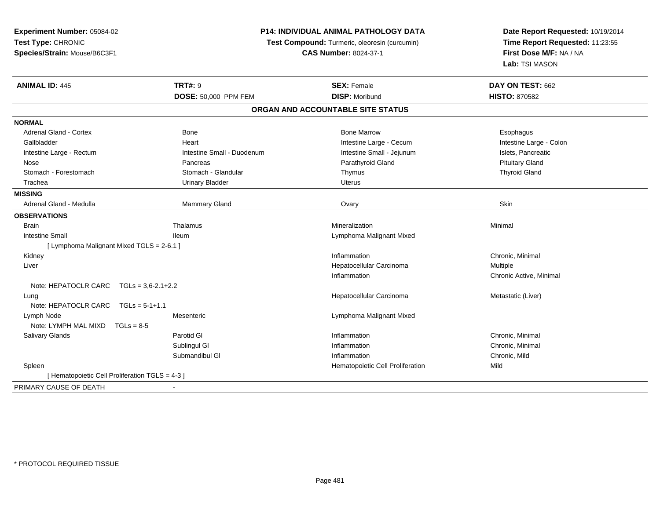**Experiment Number:** 05084-02**Test Type:** CHRONIC **Species/Strain:** Mouse/B6C3F1**P14: INDIVIDUAL ANIMAL PATHOLOGY DATATest Compound:** Turmeric, oleoresin (curcumin)**CAS Number:** 8024-37-1**Date Report Requested:** 10/19/2014**Time Report Requested:** 11:23:55**First Dose M/F:** NA / NA**Lab:** TSI MASON**ANIMAL ID:** 445**TRT#:** 9 **SEX:** Female **DAY ON TEST:** 662 **DOSE:** 50,000 PPM FEM**M DISP:** Moribund **HISTO:** 870582 **ORGAN AND ACCOUNTABLE SITE STATUSNORMAL**Adrenal Gland - Cortex **Administrative Cortex** Bone Bone Marrow Bone Marrow Bone Marrow **Esophagus** Esophagus Intestine Large - Colon Gallbladder **East Community Community** Community Heart Heart Intestine Large - Cecum Intestine Large - Cecum Intestine Large - Rectum **Intestine Intestine Small - Duodenum** Intestine Small - Jejunum Intestine Large - Rectum Nose Pancreas Parathyroid Gland Pituitary Gland**Thyroid Gland** Stomach - Forestomach **Stomach - Stomach - Glandular** Thymus Thymus Thymus Thymus Thymus Thymus Thymus Thymus The Glandular Thymus Thymus Thymus Thymus Thymus Thymus The Glandular The Glandular Thymus Thymus Thymus Thymus Trachea Urinary Bladder Uterus**MISSING**Adrenal Gland - Medulla Natural Adventurer of Mammary Gland Natural Management Covary Natural Ovary Skin Skin **OBSERVATIONS** Brainn and the matter of the matter of the matter of the matter of the matter of the matter of the matter of the matter of the matter of the matter of the matter of the matter of the matter of the matter of the matter of the ma Intestine Small Ileum Lymphoma Malignant Mixed [ Lymphoma Malignant Mixed TGLS = 2-6.1 ] Kidneyy the control of the control of the control of the control of the control of the control of the control of the control of the control of the control of the control of the control of the control of the control of the contro Inflammation **Chronic**, Minimal Liver Hepatocellular Carcinoma Multiple Inflammation Chronic Active, Minimal Note: HEPATOCLR CARC TGLs = 3,6-2.1+2.2 Lungg and the state of the state of the state of the state of the Hepatocellular Carcinoma and the Metastatic (Liver) Note: HEPATOCLR CARC TGLs = 5-1+1.1 Lymph Node Mesenteric Lymphoma Malignant Mixed Note: LYMPH MAL MIXD TGLs = 8-5 Salivary Glandss and the Parotid Glue and the Parotic Clue and the United States of the Inflammation Inflammation **Chronic**, Minimal Sublingul Gl Inflammation Chronic, Minimal Submandibul Gl Inflammation Chronic, Mild SpleenHematopoietic Cell Proliferation [ Hematopoietic Cell Proliferation TGLS = 4-3 ]PRIMARY CAUSE OF DEATH-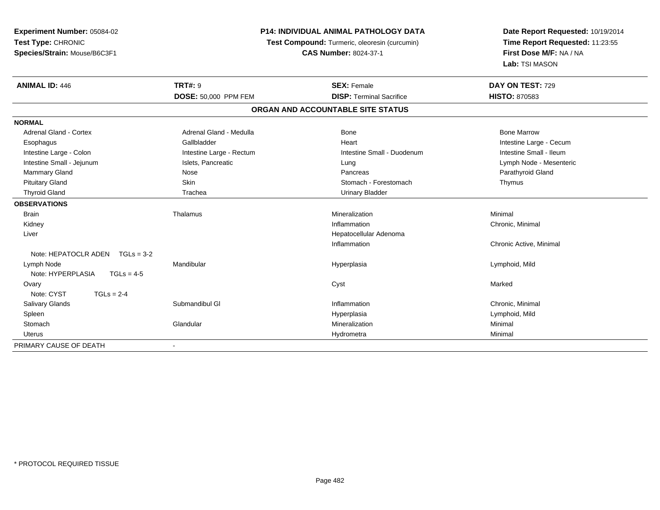| Experiment Number: 05084-02          | P14: INDIVIDUAL ANIMAL PATHOLOGY DATA |                                               | Date Report Requested: 10/19/2014                          |
|--------------------------------------|---------------------------------------|-----------------------------------------------|------------------------------------------------------------|
| Test Type: CHRONIC                   |                                       | Test Compound: Turmeric, oleoresin (curcumin) | Time Report Requested: 11:23:55<br>First Dose M/F: NA / NA |
| Species/Strain: Mouse/B6C3F1         |                                       | <b>CAS Number: 8024-37-1</b>                  |                                                            |
|                                      |                                       |                                               | Lab: TSI MASON                                             |
| <b>ANIMAL ID: 446</b>                | <b>TRT#: 9</b>                        | <b>SEX: Female</b>                            | DAY ON TEST: 729                                           |
|                                      | DOSE: 50,000 PPM FEM                  | <b>DISP: Terminal Sacrifice</b>               | <b>HISTO: 870583</b>                                       |
|                                      |                                       | ORGAN AND ACCOUNTABLE SITE STATUS             |                                                            |
| <b>NORMAL</b>                        |                                       |                                               |                                                            |
| <b>Adrenal Gland - Cortex</b>        | Adrenal Gland - Medulla               | <b>Bone</b>                                   | <b>Bone Marrow</b>                                         |
| Esophagus                            | Gallbladder                           | Heart                                         | Intestine Large - Cecum                                    |
| Intestine Large - Colon              | Intestine Large - Rectum              | Intestine Small - Duodenum                    | Intestine Small - Ileum                                    |
| Intestine Small - Jejunum            | Islets, Pancreatic                    | Lung                                          | Lymph Node - Mesenteric                                    |
| Mammary Gland                        | Nose                                  | Pancreas                                      | Parathyroid Gland                                          |
| <b>Pituitary Gland</b>               | Skin                                  | Stomach - Forestomach                         | Thymus                                                     |
| <b>Thyroid Gland</b>                 | Trachea                               | <b>Urinary Bladder</b>                        |                                                            |
| <b>OBSERVATIONS</b>                  |                                       |                                               |                                                            |
| <b>Brain</b>                         | Thalamus                              | Mineralization                                | Minimal                                                    |
| Kidney                               |                                       | Inflammation                                  | Chronic, Minimal                                           |
| Liver                                |                                       | Hepatocellular Adenoma                        |                                                            |
|                                      |                                       | Inflammation                                  | Chronic Active, Minimal                                    |
| Note: HEPATOCLR ADEN<br>$TGLs = 3-2$ |                                       |                                               |                                                            |
| Lymph Node                           | Mandibular                            | Hyperplasia                                   | Lymphoid, Mild                                             |
| Note: HYPERPLASIA<br>$TGLs = 4-5$    |                                       |                                               |                                                            |
| Ovary                                |                                       | Cyst                                          | Marked                                                     |
| Note: CYST<br>$TGLs = 2-4$           |                                       |                                               |                                                            |
| Salivary Glands                      | Submandibul GI                        | Inflammation                                  | Chronic, Minimal                                           |
| Spleen                               |                                       | Hyperplasia                                   | Lymphoid, Mild                                             |
| Stomach                              | Glandular                             | Mineralization                                | Minimal                                                    |
| <b>Uterus</b>                        |                                       | Hydrometra                                    | Minimal                                                    |
| PRIMARY CAUSE OF DEATH               | $\blacksquare$                        |                                               |                                                            |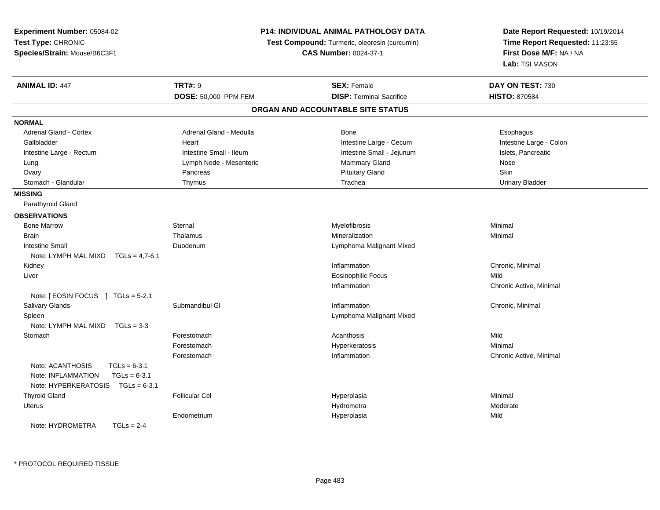| Experiment Number: 05084-02                                                                                          | P14: INDIVIDUAL ANIMAL PATHOLOGY DATA                                         |                                   | Date Report Requested: 10/19/2014                          |  |
|----------------------------------------------------------------------------------------------------------------------|-------------------------------------------------------------------------------|-----------------------------------|------------------------------------------------------------|--|
| Test Type: CHRONIC                                                                                                   | Test Compound: Turmeric, oleoresin (curcumin)<br><b>CAS Number: 8024-37-1</b> |                                   | Time Report Requested: 11:23:55<br>First Dose M/F: NA / NA |  |
| Species/Strain: Mouse/B6C3F1                                                                                         |                                                                               |                                   |                                                            |  |
|                                                                                                                      |                                                                               |                                   | Lab: TSI MASON                                             |  |
| <b>ANIMAL ID: 447</b>                                                                                                | <b>TRT#: 9</b>                                                                | <b>SEX: Female</b>                | DAY ON TEST: 730                                           |  |
|                                                                                                                      | DOSE: 50,000 PPM FEM                                                          | <b>DISP: Terminal Sacrifice</b>   | <b>HISTO: 870584</b>                                       |  |
|                                                                                                                      |                                                                               | ORGAN AND ACCOUNTABLE SITE STATUS |                                                            |  |
| <b>NORMAL</b>                                                                                                        |                                                                               |                                   |                                                            |  |
| Adrenal Gland - Cortex                                                                                               | Adrenal Gland - Medulla                                                       | <b>Bone</b>                       | Esophagus                                                  |  |
| Gallbladder                                                                                                          | Heart                                                                         | Intestine Large - Cecum           | Intestine Large - Colon                                    |  |
| Intestine Large - Rectum                                                                                             | Intestine Small - Ileum                                                       | Intestine Small - Jejunum         | Islets, Pancreatic                                         |  |
| Lung                                                                                                                 | Lymph Node - Mesenteric                                                       | Mammary Gland                     | Nose                                                       |  |
| Ovary                                                                                                                | Pancreas                                                                      | <b>Pituitary Gland</b>            | Skin                                                       |  |
| Stomach - Glandular                                                                                                  | Thymus                                                                        | Trachea                           | <b>Urinary Bladder</b>                                     |  |
| <b>MISSING</b>                                                                                                       |                                                                               |                                   |                                                            |  |
| Parathyroid Gland                                                                                                    |                                                                               |                                   |                                                            |  |
| <b>OBSERVATIONS</b>                                                                                                  |                                                                               |                                   |                                                            |  |
| <b>Bone Marrow</b>                                                                                                   | Sternal                                                                       | Myelofibrosis                     | Minimal                                                    |  |
| <b>Brain</b>                                                                                                         | Thalamus                                                                      | Mineralization                    | Minimal                                                    |  |
| <b>Intestine Small</b>                                                                                               | Duodenum                                                                      | Lymphoma Malignant Mixed          |                                                            |  |
| Note: LYMPH MAL MIXD<br>$TGLs = 4,7-6.1$                                                                             |                                                                               |                                   |                                                            |  |
| Kidney                                                                                                               |                                                                               | Inflammation                      | Chronic, Minimal                                           |  |
| Liver                                                                                                                |                                                                               | <b>Eosinophilic Focus</b>         | Mild                                                       |  |
|                                                                                                                      |                                                                               | Inflammation                      | Chronic Active, Minimal                                    |  |
| Note: [ EOSIN FOCUS ] TGLs = 5-2.1                                                                                   |                                                                               |                                   |                                                            |  |
| <b>Salivary Glands</b>                                                                                               | Submandibul GI                                                                | Inflammation                      | Chronic, Minimal                                           |  |
| Spleen                                                                                                               |                                                                               | Lymphoma Malignant Mixed          |                                                            |  |
| Note: LYMPH MAL MIXD<br>$TGLs = 3-3$                                                                                 |                                                                               |                                   |                                                            |  |
| Stomach                                                                                                              | Forestomach                                                                   | Acanthosis                        | Mild                                                       |  |
|                                                                                                                      | Forestomach                                                                   | Hyperkeratosis                    | Minimal                                                    |  |
|                                                                                                                      | Forestomach                                                                   | Inflammation                      | Chronic Active, Minimal                                    |  |
| Note: ACANTHOSIS<br>$TGLs = 6-3.1$<br>Note: INFLAMMATION<br>$TGLs = 6-3.1$<br>Note: HYPERKERATOSIS<br>$TGLs = 6-3.1$ |                                                                               |                                   |                                                            |  |
| <b>Thyroid Gland</b>                                                                                                 | <b>Follicular Cel</b>                                                         | Hyperplasia                       | Minimal                                                    |  |
| Uterus                                                                                                               |                                                                               | Hydrometra                        | Moderate                                                   |  |
|                                                                                                                      | Endometrium                                                                   | Hyperplasia                       | Mild                                                       |  |
| Note: HYDROMETRA<br>$TGLs = 2-4$                                                                                     |                                                                               |                                   |                                                            |  |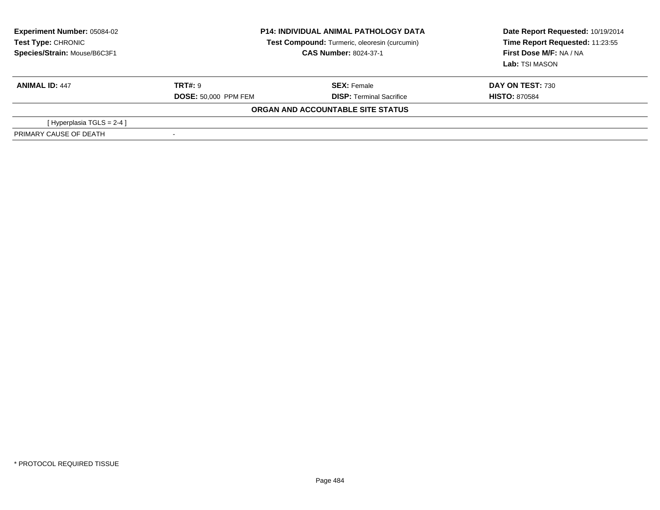| <b>Experiment Number: 05084-02</b><br>Test Type: CHRONIC<br>Species/Strain: Mouse/B6C3F1 | <b>P14: INDIVIDUAL ANIMAL PATHOLOGY DATA</b><br>Test Compound: Turmeric, oleoresin (curcumin)<br><b>CAS Number: 8024-37-1</b> |                                   | Date Report Requested: 10/19/2014<br>Time Report Requested: 11:23:55<br>First Dose M/F: NA / NA<br>Lab: TSI MASON |
|------------------------------------------------------------------------------------------|-------------------------------------------------------------------------------------------------------------------------------|-----------------------------------|-------------------------------------------------------------------------------------------------------------------|
| <b>ANIMAL ID: 447</b>                                                                    | <b>TRT#: 9</b>                                                                                                                | <b>SEX: Female</b>                | <b>DAY ON TEST: 730</b>                                                                                           |
|                                                                                          | <b>DOSE: 50,000 PPM FEM</b>                                                                                                   | <b>DISP:</b> Terminal Sacrifice   | <b>HISTO: 870584</b>                                                                                              |
|                                                                                          |                                                                                                                               | ORGAN AND ACCOUNTABLE SITE STATUS |                                                                                                                   |
| [Hyperplasia TGLS = $2-4$ ]                                                              |                                                                                                                               |                                   |                                                                                                                   |
| PRIMARY CAUSE OF DEATH                                                                   |                                                                                                                               |                                   |                                                                                                                   |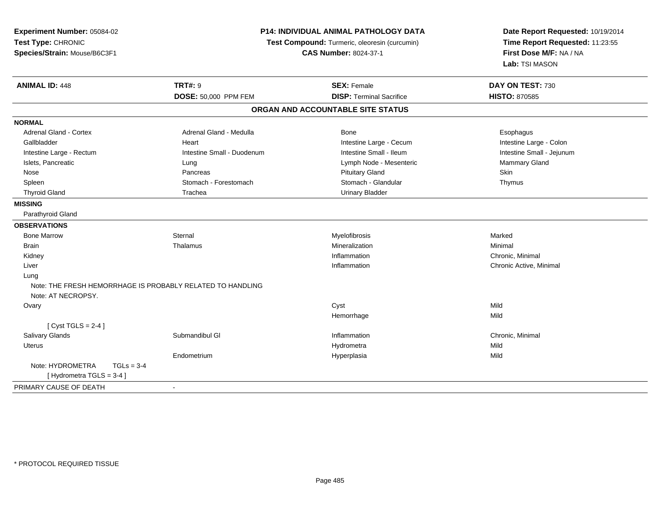| Experiment Number: 05084-02<br>Test Type: CHRONIC<br>Species/Strain: Mouse/B6C3F1 |                            | P14: INDIVIDUAL ANIMAL PATHOLOGY DATA<br>Test Compound: Turmeric, oleoresin (curcumin)<br><b>CAS Number: 8024-37-1</b> |                           |
|-----------------------------------------------------------------------------------|----------------------------|------------------------------------------------------------------------------------------------------------------------|---------------------------|
| <b>ANIMAL ID: 448</b>                                                             | <b>TRT#: 9</b>             | <b>SEX: Female</b>                                                                                                     | DAY ON TEST: 730          |
|                                                                                   | DOSE: 50,000 PPM FEM       | <b>DISP: Terminal Sacrifice</b>                                                                                        | <b>HISTO: 870585</b>      |
|                                                                                   |                            | ORGAN AND ACCOUNTABLE SITE STATUS                                                                                      |                           |
| <b>NORMAL</b>                                                                     |                            |                                                                                                                        |                           |
| Adrenal Gland - Cortex                                                            | Adrenal Gland - Medulla    | Bone                                                                                                                   | Esophagus                 |
| Gallbladder                                                                       | Heart                      | Intestine Large - Cecum                                                                                                | Intestine Large - Colon   |
| Intestine Large - Rectum                                                          | Intestine Small - Duodenum | Intestine Small - Ileum                                                                                                | Intestine Small - Jejunum |
| Islets, Pancreatic                                                                | Lung                       | Lymph Node - Mesenteric                                                                                                | Mammary Gland             |
| Nose                                                                              | Pancreas                   | <b>Pituitary Gland</b>                                                                                                 | Skin                      |
| Spleen                                                                            | Stomach - Forestomach      | Stomach - Glandular                                                                                                    | Thymus                    |
| <b>Thyroid Gland</b>                                                              | Trachea                    | <b>Urinary Bladder</b>                                                                                                 |                           |
| <b>MISSING</b>                                                                    |                            |                                                                                                                        |                           |
| Parathyroid Gland                                                                 |                            |                                                                                                                        |                           |
| <b>OBSERVATIONS</b>                                                               |                            |                                                                                                                        |                           |
| <b>Bone Marrow</b>                                                                | Sternal                    | Myelofibrosis                                                                                                          | Marked                    |
| <b>Brain</b>                                                                      | Thalamus                   | Mineralization                                                                                                         | Minimal                   |
| Kidney                                                                            |                            | Inflammation                                                                                                           | Chronic, Minimal          |
| Liver                                                                             |                            | Inflammation                                                                                                           | Chronic Active, Minimal   |
| Lung                                                                              |                            |                                                                                                                        |                           |
| Note: THE FRESH HEMORRHAGE IS PROBABLY RELATED TO HANDLING                        |                            |                                                                                                                        |                           |
| Note: AT NECROPSY.                                                                |                            |                                                                                                                        |                           |
| Ovary                                                                             |                            | Cyst                                                                                                                   | Mild                      |
|                                                                                   |                            | Hemorrhage                                                                                                             | Mild                      |
| [Cyst TGLS = $2-4$ ]                                                              |                            |                                                                                                                        |                           |
| <b>Salivary Glands</b>                                                            | Submandibul GI             | Inflammation                                                                                                           | Chronic, Minimal          |
| <b>Uterus</b>                                                                     |                            | Hydrometra                                                                                                             | Mild                      |
|                                                                                   | Endometrium                | Hyperplasia                                                                                                            | Mild                      |
| Note: HYDROMETRA<br>$TGLs = 3-4$                                                  |                            |                                                                                                                        |                           |
| [ Hydrometra TGLS = 3-4 ]                                                         |                            |                                                                                                                        |                           |
| PRIMARY CAUSE OF DEATH                                                            |                            |                                                                                                                        |                           |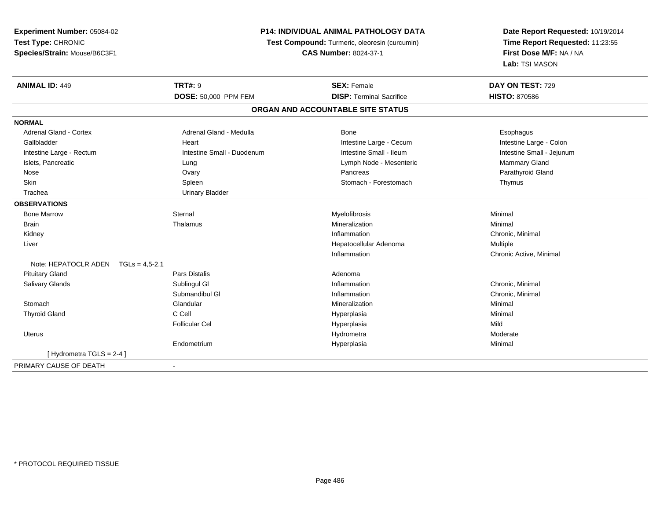**Experiment Number:** 05084-02**Test Type:** CHRONIC **Species/Strain:** Mouse/B6C3F1**P14: INDIVIDUAL ANIMAL PATHOLOGY DATA Test Compound:** Turmeric, oleoresin (curcumin)**CAS Number:** 8024-37-1**Date Report Requested:** 10/19/2014**Time Report Requested:** 11:23:55**First Dose M/F:** NA / NA**Lab:** TSI MASON**ANIMAL ID:** 449**TRT#:** 9 **SEX:** Female **DAY ON TEST:** 729 **DOSE:** 50,000 PPM FEM**DISP:** Terminal Sacrifice **HISTO:** 870586 **ORGAN AND ACCOUNTABLE SITE STATUSNORMALAdrenal Gland - Cortex** Adrenal Gland - Medulla **Bone** Bone **Bone** Esophagus Esophagus Intestine Large - Colon Gallbladder **East Community Community** Heart Intestine Large - Cecum Intestine Large - Cecum Intestine Small - Jejunum Intestine Large - Rectum **Intestine Small - Duodenum** Intestine Small - Ileum Intestine Small - Ileum Islets, Pancreatic **Commary Gland** Lung Lung Lung Lymph Node - Mesenteric **Mammary Gland** Mammary Gland Parathyroid Gland Nose Ovary Pancreas Parathyroid GlandSkin Stomach - Forestomach - Forestomach - Forestomach - Forestomach - Forestomach - Forestomach - Forestomach Trachea Urinary Bladder**OBSERVATIONS** Bone Marroww the sternal sternal the sternal sternal method of the step of Myelofibrosis and Minimal method of Minimal me<br>The step of the step of the step of the step of the step of the step of the step of the step of the step of th Brainn and the theorem is the three matter of the matter of the matter of the matter of the matter of the matter of  $M$ inimal  $M$ inimal  $M$ inimal  $M$ inimal  $M$ inimal  $M$ inimal  $M$ inimal  $M$ inimal  $M$ inimal  $M$ inimal  $M$ inimal Kidneyy the control of the control of the control of the control of the control of the control of the control of the control of the control of the control of the control of the control of the control of the control of the contro Inflammation **Chronic**, Minimal Liver Hepatocellular Adenoma Multiple Inflammation Chronic Active, Minimal Note: HEPATOCLR ADEN TGLs = 4,5-2.1 Pituitary Glandd and the contract of Pars Distalis and the contract of Adenoma and Adenoma and the Adenoma and the Adenoma and  $\lambda$  Salivary Glandss Sublingul Gl **Inflammation** Inflammation **Chronic, Minimal** Submandibul Gl Inflammation Chronic, Minimal **Stomach** h anns an Glandular anns an t-ainmeile anns an Mineralization anns an Minimal Minimal anns an Minimal anns an Thyroid Gland C Cell Hyperplasia Minimal Follicular Cel Hyperplasiaa Mild Uteruss and the contract of the contract of the contract of the contract of the contract of the contract of the contract of the contract of the contract of the contract of the contract of the contract of the contract of the cont Hydrometra Moderate Endometrium Hyperplasia Minimal [ Hydrometra TGLS = 2-4 ]PRIMARY CAUSE OF DEATH-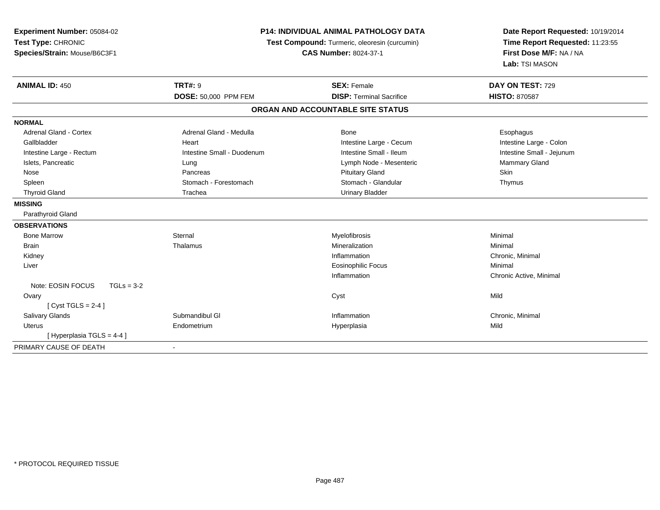| Experiment Number: 05084-02<br>Test Type: CHRONIC<br>Species/Strain: Mouse/B6C3F1 | <b>P14: INDIVIDUAL ANIMAL PATHOLOGY DATA</b><br>Test Compound: Turmeric, oleoresin (curcumin)<br><b>CAS Number: 8024-37-1</b> |                                   | Date Report Requested: 10/19/2014<br>Time Report Requested: 11:23:55<br>First Dose M/F: NA / NA<br>Lab: TSI MASON |  |
|-----------------------------------------------------------------------------------|-------------------------------------------------------------------------------------------------------------------------------|-----------------------------------|-------------------------------------------------------------------------------------------------------------------|--|
| <b>ANIMAL ID: 450</b>                                                             | <b>TRT#: 9</b>                                                                                                                | <b>SEX: Female</b>                | DAY ON TEST: 729                                                                                                  |  |
|                                                                                   | <b>DOSE: 50,000 PPM FEM</b>                                                                                                   | <b>DISP: Terminal Sacrifice</b>   | <b>HISTO: 870587</b>                                                                                              |  |
|                                                                                   |                                                                                                                               | ORGAN AND ACCOUNTABLE SITE STATUS |                                                                                                                   |  |
| <b>NORMAL</b>                                                                     |                                                                                                                               |                                   |                                                                                                                   |  |
| <b>Adrenal Gland - Cortex</b>                                                     | Adrenal Gland - Medulla                                                                                                       | Bone                              | Esophagus                                                                                                         |  |
| Gallbladder                                                                       | Heart                                                                                                                         | Intestine Large - Cecum           | Intestine Large - Colon                                                                                           |  |
| Intestine Large - Rectum                                                          | Intestine Small - Duodenum                                                                                                    | Intestine Small - Ileum           | Intestine Small - Jejunum                                                                                         |  |
| Islets, Pancreatic                                                                | Lung                                                                                                                          | Lymph Node - Mesenteric           | Mammary Gland                                                                                                     |  |
| Nose                                                                              | Pancreas                                                                                                                      | <b>Pituitary Gland</b>            | Skin                                                                                                              |  |
| Spleen                                                                            | Stomach - Forestomach                                                                                                         | Stomach - Glandular               | Thymus                                                                                                            |  |
| <b>Thyroid Gland</b>                                                              | Trachea                                                                                                                       | <b>Urinary Bladder</b>            |                                                                                                                   |  |
| <b>MISSING</b>                                                                    |                                                                                                                               |                                   |                                                                                                                   |  |
| Parathyroid Gland                                                                 |                                                                                                                               |                                   |                                                                                                                   |  |
| <b>OBSERVATIONS</b>                                                               |                                                                                                                               |                                   |                                                                                                                   |  |
| <b>Bone Marrow</b>                                                                | Sternal                                                                                                                       | Myelofibrosis                     | Minimal                                                                                                           |  |
| <b>Brain</b>                                                                      | Thalamus                                                                                                                      | Mineralization                    | Minimal                                                                                                           |  |
| Kidney                                                                            |                                                                                                                               | Inflammation                      | Chronic, Minimal                                                                                                  |  |
| Liver                                                                             |                                                                                                                               | <b>Eosinophilic Focus</b>         | Minimal                                                                                                           |  |
|                                                                                   |                                                                                                                               | Inflammation                      | Chronic Active, Minimal                                                                                           |  |
| Note: EOSIN FOCUS<br>$TGLs = 3-2$                                                 |                                                                                                                               |                                   |                                                                                                                   |  |
| Ovary                                                                             |                                                                                                                               | Cyst                              | Mild                                                                                                              |  |
| [Cyst TGLS = $2-4$ ]                                                              |                                                                                                                               |                                   |                                                                                                                   |  |
| Salivary Glands                                                                   | Submandibul GI                                                                                                                | Inflammation                      | Chronic, Minimal                                                                                                  |  |
| <b>Uterus</b>                                                                     | Endometrium                                                                                                                   | Hyperplasia                       | Mild                                                                                                              |  |
| [Hyperplasia TGLS = 4-4]                                                          |                                                                                                                               |                                   |                                                                                                                   |  |
| PRIMARY CAUSE OF DEATH                                                            | $\blacksquare$                                                                                                                |                                   |                                                                                                                   |  |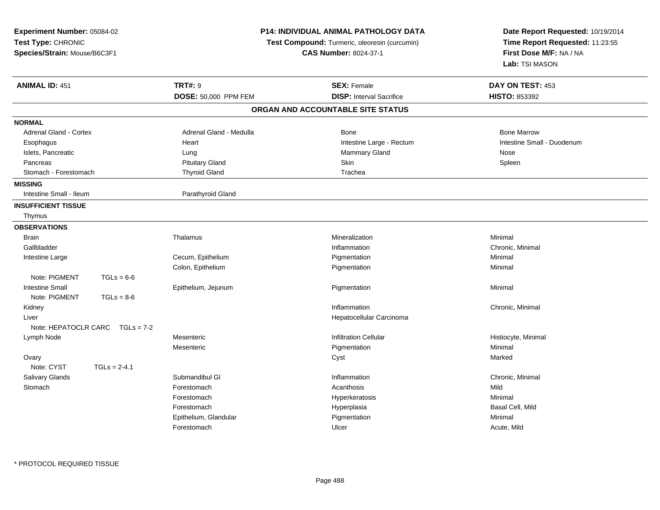| <b>Experiment Number: 05084-02</b><br>Test Type: CHRONIC<br>Species/Strain: Mouse/B6C3F1 |                |                         | <b>P14: INDIVIDUAL ANIMAL PATHOLOGY DATA</b><br>Test Compound: Turmeric, oleoresin (curcumin)<br><b>CAS Number: 8024-37-1</b> | Date Report Requested: 10/19/2014<br>Time Report Requested: 11:23:55<br>First Dose M/F: NA / NA<br>Lab: TSI MASON |
|------------------------------------------------------------------------------------------|----------------|-------------------------|-------------------------------------------------------------------------------------------------------------------------------|-------------------------------------------------------------------------------------------------------------------|
| <b>ANIMAL ID: 451</b>                                                                    |                | <b>TRT#: 9</b>          | <b>SEX: Female</b>                                                                                                            | DAY ON TEST: 453                                                                                                  |
|                                                                                          |                | DOSE: 50,000 PPM FEM    | <b>DISP:</b> Interval Sacrifice                                                                                               | <b>HISTO: 853392</b>                                                                                              |
|                                                                                          |                |                         | ORGAN AND ACCOUNTABLE SITE STATUS                                                                                             |                                                                                                                   |
| <b>NORMAL</b>                                                                            |                |                         |                                                                                                                               |                                                                                                                   |
| Adrenal Gland - Cortex                                                                   |                | Adrenal Gland - Medulla | Bone                                                                                                                          | <b>Bone Marrow</b>                                                                                                |
| Esophagus                                                                                |                | Heart                   | Intestine Large - Rectum                                                                                                      | Intestine Small - Duodenum                                                                                        |
| Islets, Pancreatic                                                                       |                | Lung                    | <b>Mammary Gland</b>                                                                                                          | Nose                                                                                                              |
| Pancreas                                                                                 |                | <b>Pituitary Gland</b>  | <b>Skin</b>                                                                                                                   | Spleen                                                                                                            |
| Stomach - Forestomach                                                                    |                | <b>Thyroid Gland</b>    | Trachea                                                                                                                       |                                                                                                                   |
| <b>MISSING</b>                                                                           |                |                         |                                                                                                                               |                                                                                                                   |
| Intestine Small - Ileum                                                                  |                | Parathyroid Gland       |                                                                                                                               |                                                                                                                   |
| <b>INSUFFICIENT TISSUE</b>                                                               |                |                         |                                                                                                                               |                                                                                                                   |
| Thymus                                                                                   |                |                         |                                                                                                                               |                                                                                                                   |
| <b>OBSERVATIONS</b>                                                                      |                |                         |                                                                                                                               |                                                                                                                   |
| <b>Brain</b>                                                                             |                | Thalamus                | Mineralization                                                                                                                | Minimal                                                                                                           |
| Gallbladder                                                                              |                |                         | Inflammation                                                                                                                  | Chronic, Minimal                                                                                                  |
| Intestine Large                                                                          |                | Cecum, Epithelium       | Pigmentation                                                                                                                  | Minimal                                                                                                           |
|                                                                                          |                | Colon, Epithelium       | Pigmentation                                                                                                                  | Minimal                                                                                                           |
| Note: PIGMENT                                                                            | $TGLs = 6-6$   |                         |                                                                                                                               |                                                                                                                   |
| <b>Intestine Small</b>                                                                   |                | Epithelium, Jejunum     | Pigmentation                                                                                                                  | Minimal                                                                                                           |
| Note: PIGMENT                                                                            | $TGLs = 8-6$   |                         |                                                                                                                               |                                                                                                                   |
| Kidney                                                                                   |                |                         | Inflammation                                                                                                                  | Chronic, Minimal                                                                                                  |
| Liver                                                                                    |                |                         | Hepatocellular Carcinoma                                                                                                      |                                                                                                                   |
| Note: HEPATOCLR CARC                                                                     | $TGLs = 7-2$   |                         |                                                                                                                               |                                                                                                                   |
| Lymph Node                                                                               |                | Mesenteric              | Infiltration Cellular                                                                                                         | Histiocyte, Minimal                                                                                               |
|                                                                                          |                | Mesenteric              | Pigmentation                                                                                                                  | Minimal                                                                                                           |
| Ovary                                                                                    |                |                         | Cyst                                                                                                                          | Marked                                                                                                            |
| Note: CYST                                                                               | $TGLs = 2-4.1$ |                         |                                                                                                                               |                                                                                                                   |
| Salivary Glands                                                                          |                | Submandibul GI          | Inflammation                                                                                                                  | Chronic, Minimal                                                                                                  |
| Stomach                                                                                  |                | Forestomach             | Acanthosis                                                                                                                    | Mild                                                                                                              |
|                                                                                          |                | Forestomach             | Hyperkeratosis                                                                                                                | Minimal                                                                                                           |
|                                                                                          |                | Forestomach             | Hyperplasia                                                                                                                   | Basal Cell, Mild                                                                                                  |
|                                                                                          |                | Epithelium, Glandular   | Pigmentation                                                                                                                  | Minimal                                                                                                           |
|                                                                                          |                | Forestomach             | Ulcer                                                                                                                         | Acute, Mild                                                                                                       |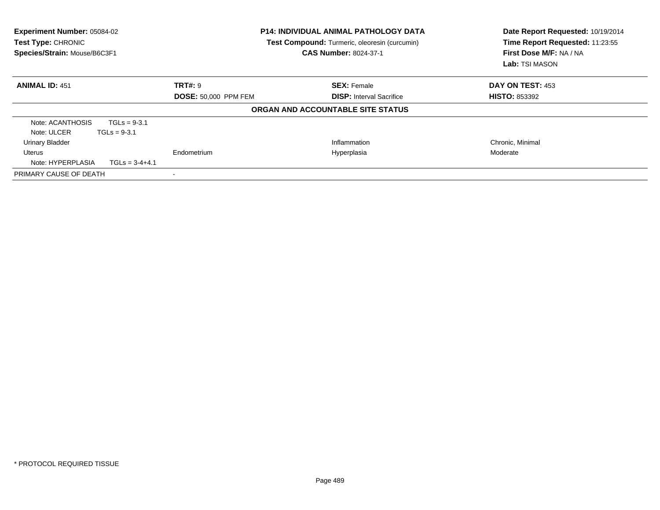| <b>Experiment Number: 05084-02</b><br>Test Type: CHRONIC<br>Species/Strain: Mouse/B6C3F1 | <b>P14: INDIVIDUAL ANIMAL PATHOLOGY DATA</b><br>Test Compound: Turmeric, oleoresin (curcumin)<br><b>CAS Number: 8024-37-1</b> |                                   | Date Report Requested: 10/19/2014<br>Time Report Requested: 11:23:55<br>First Dose M/F: NA / NA<br>Lab: TSI MASON |  |
|------------------------------------------------------------------------------------------|-------------------------------------------------------------------------------------------------------------------------------|-----------------------------------|-------------------------------------------------------------------------------------------------------------------|--|
| <b>ANIMAL ID: 451</b>                                                                    | TRT#: 9                                                                                                                       | <b>SEX: Female</b>                | DAY ON TEST: 453                                                                                                  |  |
|                                                                                          | <b>DOSE: 50,000 PPM FEM</b>                                                                                                   | <b>DISP:</b> Interval Sacrifice   | <b>HISTO: 853392</b>                                                                                              |  |
|                                                                                          |                                                                                                                               | ORGAN AND ACCOUNTABLE SITE STATUS |                                                                                                                   |  |
| Note: ACANTHOSIS<br>$TGLs = 9-3.1$                                                       |                                                                                                                               |                                   |                                                                                                                   |  |
| Note: ULCER<br>$TGLs = 9-3.1$                                                            |                                                                                                                               |                                   |                                                                                                                   |  |
| <b>Urinary Bladder</b>                                                                   |                                                                                                                               | Inflammation                      | Chronic, Minimal                                                                                                  |  |
| Uterus                                                                                   | Endometrium                                                                                                                   | Hyperplasia                       | Moderate                                                                                                          |  |
| Note: HYPERPLASIA<br>$TGLs = 3-4+4.1$                                                    |                                                                                                                               |                                   |                                                                                                                   |  |
| PRIMARY CAUSE OF DEATH                                                                   |                                                                                                                               |                                   |                                                                                                                   |  |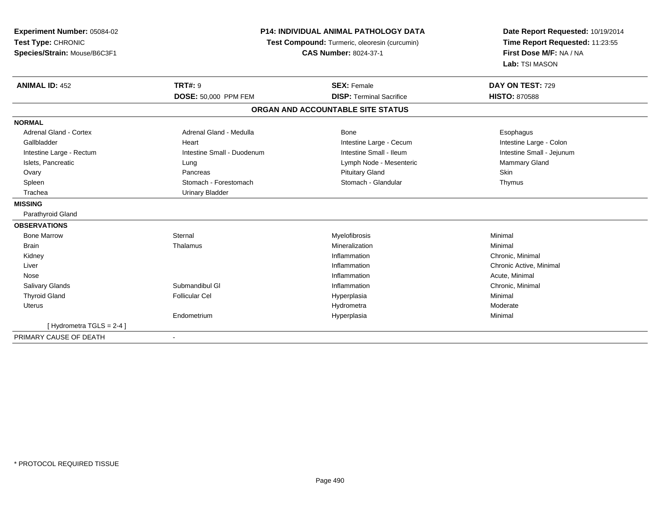| Experiment Number: 05084-02   | <b>P14: INDIVIDUAL ANIMAL PATHOLOGY DATA</b><br>Test Compound: Turmeric, oleoresin (curcumin) |                                   | Date Report Requested: 10/19/2014 |  |
|-------------------------------|-----------------------------------------------------------------------------------------------|-----------------------------------|-----------------------------------|--|
| Test Type: CHRONIC            |                                                                                               |                                   | Time Report Requested: 11:23:55   |  |
| Species/Strain: Mouse/B6C3F1  |                                                                                               | <b>CAS Number: 8024-37-1</b>      | First Dose M/F: NA / NA           |  |
|                               |                                                                                               |                                   | Lab: TSI MASON                    |  |
| <b>ANIMAL ID: 452</b>         | <b>TRT#: 9</b>                                                                                | <b>SEX: Female</b>                | DAY ON TEST: 729                  |  |
|                               | DOSE: 50,000 PPM FEM                                                                          | <b>DISP: Terminal Sacrifice</b>   | <b>HISTO: 870588</b>              |  |
|                               |                                                                                               | ORGAN AND ACCOUNTABLE SITE STATUS |                                   |  |
| <b>NORMAL</b>                 |                                                                                               |                                   |                                   |  |
| <b>Adrenal Gland - Cortex</b> | Adrenal Gland - Medulla                                                                       | Bone                              | Esophagus                         |  |
| Gallbladder                   | Heart                                                                                         | Intestine Large - Cecum           | Intestine Large - Colon           |  |
| Intestine Large - Rectum      | Intestine Small - Duodenum                                                                    | Intestine Small - Ileum           | Intestine Small - Jejunum         |  |
| Islets, Pancreatic            | Lung                                                                                          | Lymph Node - Mesenteric           | Mammary Gland                     |  |
| Ovary                         | Pancreas                                                                                      | <b>Pituitary Gland</b>            | Skin                              |  |
| Spleen                        | Stomach - Forestomach                                                                         | Stomach - Glandular               | Thymus                            |  |
| Trachea                       | <b>Urinary Bladder</b>                                                                        |                                   |                                   |  |
| <b>MISSING</b>                |                                                                                               |                                   |                                   |  |
| Parathyroid Gland             |                                                                                               |                                   |                                   |  |
| <b>OBSERVATIONS</b>           |                                                                                               |                                   |                                   |  |
| <b>Bone Marrow</b>            | Sternal                                                                                       | Myelofibrosis                     | Minimal                           |  |
| <b>Brain</b>                  | Thalamus                                                                                      | Mineralization                    | Minimal                           |  |
| Kidney                        |                                                                                               | Inflammation                      | Chronic, Minimal                  |  |
| Liver                         |                                                                                               | Inflammation                      | Chronic Active, Minimal           |  |
| Nose                          |                                                                                               | Inflammation                      | Acute, Minimal                    |  |
| Salivary Glands               | Submandibul GI                                                                                | Inflammation                      | Chronic, Minimal                  |  |
| <b>Thyroid Gland</b>          | <b>Follicular Cel</b>                                                                         | Hyperplasia                       | Minimal                           |  |
| <b>Uterus</b>                 |                                                                                               | Hydrometra                        | Moderate                          |  |
|                               | Endometrium                                                                                   | Hyperplasia                       | Minimal                           |  |
| [Hydrometra TGLS = 2-4]       |                                                                                               |                                   |                                   |  |
| PRIMARY CAUSE OF DEATH        | $\overline{\phantom{a}}$                                                                      |                                   |                                   |  |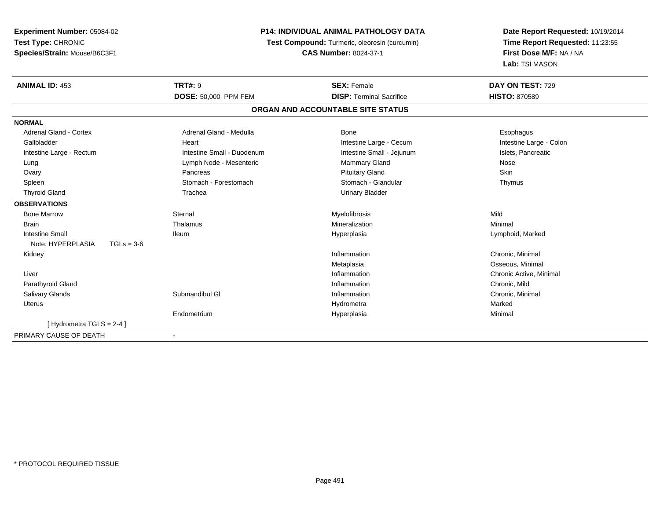| Experiment Number: 05084-02       | <b>P14: INDIVIDUAL ANIMAL PATHOLOGY DATA</b><br>Test Compound: Turmeric, oleoresin (curcumin) |                                   | Date Report Requested: 10/19/2014 |  |
|-----------------------------------|-----------------------------------------------------------------------------------------------|-----------------------------------|-----------------------------------|--|
| Test Type: CHRONIC                |                                                                                               |                                   | Time Report Requested: 11:23:55   |  |
| Species/Strain: Mouse/B6C3F1      |                                                                                               | <b>CAS Number: 8024-37-1</b>      | First Dose M/F: NA / NA           |  |
|                                   |                                                                                               |                                   | Lab: TSI MASON                    |  |
| <b>ANIMAL ID: 453</b>             | <b>TRT#: 9</b>                                                                                | <b>SEX: Female</b>                | DAY ON TEST: 729                  |  |
|                                   | DOSE: 50,000 PPM FEM                                                                          | <b>DISP: Terminal Sacrifice</b>   | <b>HISTO: 870589</b>              |  |
|                                   |                                                                                               | ORGAN AND ACCOUNTABLE SITE STATUS |                                   |  |
| <b>NORMAL</b>                     |                                                                                               |                                   |                                   |  |
| <b>Adrenal Gland - Cortex</b>     | Adrenal Gland - Medulla                                                                       | Bone                              | Esophagus                         |  |
| Gallbladder                       | Heart                                                                                         | Intestine Large - Cecum           | Intestine Large - Colon           |  |
| Intestine Large - Rectum          | Intestine Small - Duodenum                                                                    | Intestine Small - Jejunum         | Islets, Pancreatic                |  |
| Lung                              | Lymph Node - Mesenteric                                                                       | Mammary Gland                     | Nose                              |  |
| Ovary                             | Pancreas                                                                                      | <b>Pituitary Gland</b>            | Skin                              |  |
| Spleen                            | Stomach - Forestomach                                                                         | Stomach - Glandular               | Thymus                            |  |
| <b>Thyroid Gland</b>              | Trachea                                                                                       | <b>Urinary Bladder</b>            |                                   |  |
| <b>OBSERVATIONS</b>               |                                                                                               |                                   |                                   |  |
| <b>Bone Marrow</b>                | Sternal                                                                                       | Myelofibrosis                     | Mild                              |  |
| <b>Brain</b>                      | Thalamus                                                                                      | Mineralization                    | Minimal                           |  |
| <b>Intestine Small</b>            | <b>Ileum</b>                                                                                  | Hyperplasia                       | Lymphoid, Marked                  |  |
| Note: HYPERPLASIA<br>$TGLs = 3-6$ |                                                                                               |                                   |                                   |  |
| Kidney                            |                                                                                               | Inflammation                      | Chronic, Minimal                  |  |
|                                   |                                                                                               | Metaplasia                        | Osseous, Minimal                  |  |
| Liver                             |                                                                                               | Inflammation                      | Chronic Active, Minimal           |  |
| Parathyroid Gland                 |                                                                                               | Inflammation                      | Chronic, Mild                     |  |
| <b>Salivary Glands</b>            | Submandibul GI                                                                                | Inflammation                      | Chronic, Minimal                  |  |
| <b>Uterus</b>                     |                                                                                               | Hydrometra                        | Marked                            |  |
|                                   | Endometrium                                                                                   | Hyperplasia                       | Minimal                           |  |
| [Hydrometra TGLS = $2-4$ ]        |                                                                                               |                                   |                                   |  |
| PRIMARY CAUSE OF DEATH            |                                                                                               |                                   |                                   |  |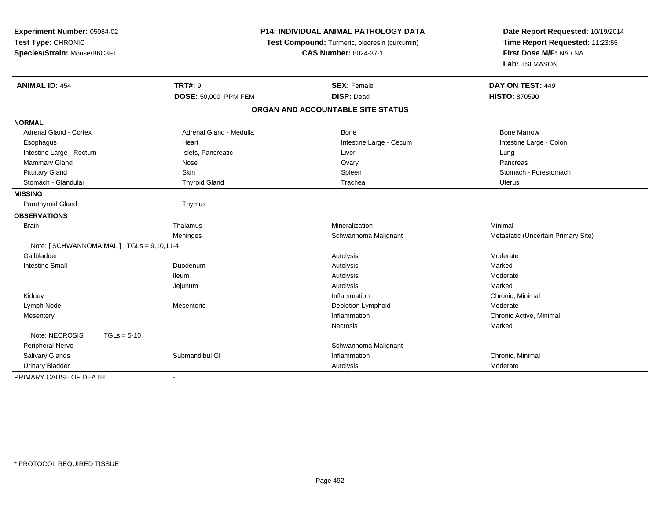| Experiment Number: 05084-02                              | <b>P14: INDIVIDUAL ANIMAL PATHOLOGY DATA</b>  | Date Report Requested: 10/19/2014   |
|----------------------------------------------------------|-----------------------------------------------|-------------------------------------|
| Test Type: CHRONIC                                       | Test Compound: Turmeric, oleoresin (curcumin) | Time Report Requested: 11:23:55     |
| Species/Strain: Mouse/B6C3F1                             | <b>CAS Number: 8024-37-1</b>                  | First Dose M/F: NA / NA             |
|                                                          |                                               | Lab: TSI MASON                      |
| <b>TRT#: 9</b><br><b>ANIMAL ID: 454</b>                  | <b>SEX: Female</b>                            | DAY ON TEST: 449                    |
| DOSE: 50,000 PPM FEM                                     | <b>DISP: Dead</b>                             | <b>HISTO: 870590</b>                |
|                                                          | ORGAN AND ACCOUNTABLE SITE STATUS             |                                     |
| <b>NORMAL</b>                                            |                                               |                                     |
| <b>Adrenal Gland - Cortex</b><br>Adrenal Gland - Medulla | Bone                                          | <b>Bone Marrow</b>                  |
| Esophagus<br>Heart                                       | Intestine Large - Cecum                       | Intestine Large - Colon             |
| Intestine Large - Rectum<br>Islets, Pancreatic           | Liver                                         | Lung                                |
| <b>Mammary Gland</b><br>Nose                             | Ovary                                         | Pancreas                            |
| <b>Pituitary Gland</b><br>Skin                           | Spleen                                        | Stomach - Forestomach               |
| Stomach - Glandular<br><b>Thyroid Gland</b>              | Trachea                                       | <b>Uterus</b>                       |
| <b>MISSING</b>                                           |                                               |                                     |
| Parathyroid Gland<br>Thymus                              |                                               |                                     |
| <b>OBSERVATIONS</b>                                      |                                               |                                     |
| Thalamus<br><b>Brain</b>                                 | Mineralization                                | Minimal                             |
| Meninges                                                 | Schwannoma Malignant                          | Metastatic (Uncertain Primary Site) |
| Note: [SCHWANNOMA MAL] TGLs = 9,10,11-4                  |                                               |                                     |
| Gallbladder                                              | Autolysis                                     | Moderate                            |
| <b>Intestine Small</b><br>Duodenum                       | Autolysis                                     | Marked                              |
| lleum                                                    | Autolysis                                     | Moderate                            |
| Jejunum                                                  | Autolysis                                     | Marked                              |
| Kidney                                                   | Inflammation                                  | Chronic, Minimal                    |
| Lymph Node<br>Mesenteric                                 | <b>Depletion Lymphoid</b>                     | Moderate                            |
| Mesentery                                                | Inflammation                                  | Chronic Active, Minimal             |
|                                                          | <b>Necrosis</b>                               | Marked                              |
| Note: NECROSIS<br>$TGLs = 5-10$                          |                                               |                                     |
| Peripheral Nerve                                         | Schwannoma Malignant                          |                                     |
| Salivary Glands<br>Submandibul GI                        | Inflammation                                  | Chronic, Minimal                    |
| <b>Urinary Bladder</b>                                   | Autolysis                                     | Moderate                            |
| PRIMARY CAUSE OF DEATH                                   |                                               |                                     |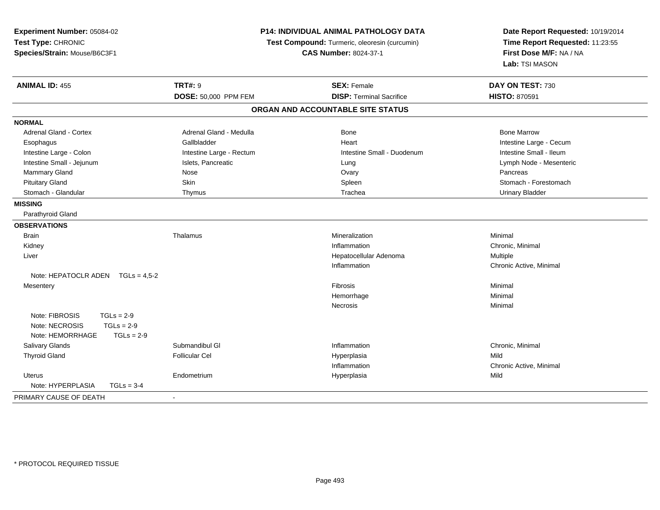| Experiment Number: 05084-02<br>Test Type: CHRONIC<br>Species/Strain: Mouse/B6C3F1 | P14: INDIVIDUAL ANIMAL PATHOLOGY DATA<br>Test Compound: Turmeric, oleoresin (curcumin)<br><b>CAS Number: 8024-37-1</b> |                                   | Date Report Requested: 10/19/2014<br>Time Report Requested: 11:23:55<br>First Dose M/F: NA / NA<br>Lab: TSI MASON |
|-----------------------------------------------------------------------------------|------------------------------------------------------------------------------------------------------------------------|-----------------------------------|-------------------------------------------------------------------------------------------------------------------|
| <b>ANIMAL ID: 455</b>                                                             | <b>TRT#: 9</b>                                                                                                         | <b>SEX: Female</b>                | DAY ON TEST: 730                                                                                                  |
|                                                                                   | DOSE: 50,000 PPM FEM                                                                                                   | <b>DISP: Terminal Sacrifice</b>   | <b>HISTO: 870591</b>                                                                                              |
|                                                                                   |                                                                                                                        | ORGAN AND ACCOUNTABLE SITE STATUS |                                                                                                                   |
| <b>NORMAL</b>                                                                     |                                                                                                                        |                                   |                                                                                                                   |
| <b>Adrenal Gland - Cortex</b>                                                     | Adrenal Gland - Medulla                                                                                                | Bone                              | <b>Bone Marrow</b>                                                                                                |
| Esophagus                                                                         | Gallbladder                                                                                                            | Heart                             | Intestine Large - Cecum                                                                                           |
| Intestine Large - Colon                                                           | Intestine Large - Rectum                                                                                               | Intestine Small - Duodenum        | Intestine Small - Ileum                                                                                           |
| Intestine Small - Jejunum                                                         | Islets, Pancreatic                                                                                                     | Lung                              | Lymph Node - Mesenteric                                                                                           |
| Mammary Gland                                                                     | Nose                                                                                                                   | Ovary                             | Pancreas                                                                                                          |
| <b>Pituitary Gland</b>                                                            | Skin                                                                                                                   | Spleen                            | Stomach - Forestomach                                                                                             |
| Stomach - Glandular                                                               | Thymus                                                                                                                 | Trachea                           | <b>Urinary Bladder</b>                                                                                            |
| <b>MISSING</b>                                                                    |                                                                                                                        |                                   |                                                                                                                   |
| Parathyroid Gland                                                                 |                                                                                                                        |                                   |                                                                                                                   |
| <b>OBSERVATIONS</b>                                                               |                                                                                                                        |                                   |                                                                                                                   |
| <b>Brain</b>                                                                      | Thalamus                                                                                                               | Mineralization                    | Minimal                                                                                                           |
| Kidney                                                                            |                                                                                                                        | Inflammation                      | Chronic, Minimal                                                                                                  |
| Liver                                                                             |                                                                                                                        | Hepatocellular Adenoma            | Multiple                                                                                                          |
|                                                                                   |                                                                                                                        | Inflammation                      | Chronic Active, Minimal                                                                                           |
| Note: HEPATOCLR ADEN TGLs = 4,5-2                                                 |                                                                                                                        |                                   |                                                                                                                   |
| Mesentery                                                                         |                                                                                                                        | Fibrosis                          | Minimal                                                                                                           |
|                                                                                   |                                                                                                                        | Hemorrhage                        | Minimal                                                                                                           |
|                                                                                   |                                                                                                                        | <b>Necrosis</b>                   | Minimal                                                                                                           |
| Note: FIBROSIS<br>$TGLs = 2-9$                                                    |                                                                                                                        |                                   |                                                                                                                   |
| Note: NECROSIS<br>$TGLs = 2-9$                                                    |                                                                                                                        |                                   |                                                                                                                   |
| Note: HEMORRHAGE<br>$TGLs = 2-9$                                                  |                                                                                                                        |                                   |                                                                                                                   |
| Salivary Glands                                                                   | Submandibul GI                                                                                                         | Inflammation                      | Chronic, Minimal                                                                                                  |
| <b>Thyroid Gland</b>                                                              | <b>Follicular Cel</b>                                                                                                  | Hyperplasia                       | Mild                                                                                                              |
|                                                                                   |                                                                                                                        | Inflammation                      | Chronic Active, Minimal                                                                                           |
| <b>Uterus</b>                                                                     | Endometrium                                                                                                            | Hyperplasia                       | Mild                                                                                                              |
| Note: HYPERPLASIA<br>$TGLs = 3-4$                                                 |                                                                                                                        |                                   |                                                                                                                   |
| PRIMARY CAUSE OF DEATH                                                            |                                                                                                                        |                                   |                                                                                                                   |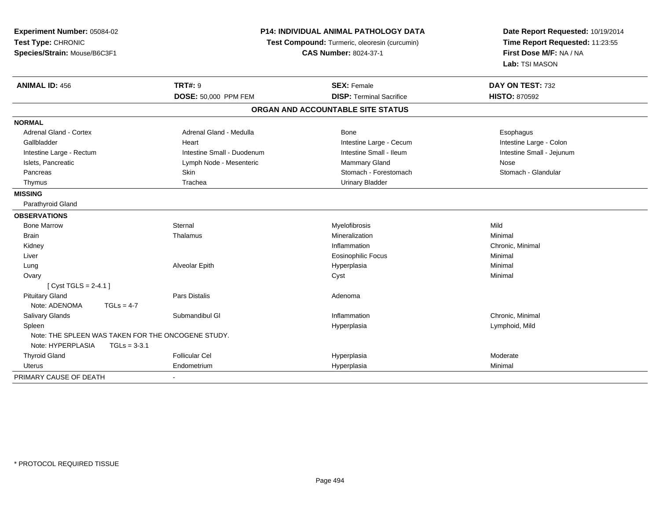| Test Type: CHRONIC            | Experiment Number: 05084-02<br>Species/Strain: Mouse/B6C3F1 |                                                    | <b>P14: INDIVIDUAL ANIMAL PATHOLOGY DATA</b><br>Test Compound: Turmeric, oleoresin (curcumin)<br><b>CAS Number: 8024-37-1</b> | Date Report Requested: 10/19/2014<br>Time Report Requested: 11:23:55<br>First Dose M/F: NA / NA<br>Lab: TSI MASON |
|-------------------------------|-------------------------------------------------------------|----------------------------------------------------|-------------------------------------------------------------------------------------------------------------------------------|-------------------------------------------------------------------------------------------------------------------|
| <b>ANIMAL ID: 456</b>         |                                                             | <b>TRT#: 9</b>                                     | <b>SEX: Female</b>                                                                                                            | DAY ON TEST: 732                                                                                                  |
|                               |                                                             | DOSE: 50,000 PPM FEM                               | <b>DISP: Terminal Sacrifice</b>                                                                                               | <b>HISTO: 870592</b>                                                                                              |
|                               |                                                             |                                                    | ORGAN AND ACCOUNTABLE SITE STATUS                                                                                             |                                                                                                                   |
| <b>NORMAL</b>                 |                                                             |                                                    |                                                                                                                               |                                                                                                                   |
| <b>Adrenal Gland - Cortex</b> |                                                             | Adrenal Gland - Medulla                            | Bone                                                                                                                          | Esophagus                                                                                                         |
| Gallbladder                   |                                                             | Heart                                              | Intestine Large - Cecum                                                                                                       | Intestine Large - Colon                                                                                           |
| Intestine Large - Rectum      |                                                             | Intestine Small - Duodenum                         | Intestine Small - Ileum                                                                                                       | Intestine Small - Jejunum                                                                                         |
| Islets, Pancreatic            |                                                             | Lymph Node - Mesenteric                            | <b>Mammary Gland</b>                                                                                                          | Nose                                                                                                              |
| Pancreas                      |                                                             | Skin                                               | Stomach - Forestomach                                                                                                         | Stomach - Glandular                                                                                               |
| Thymus                        |                                                             | Trachea                                            | <b>Urinary Bladder</b>                                                                                                        |                                                                                                                   |
| <b>MISSING</b>                |                                                             |                                                    |                                                                                                                               |                                                                                                                   |
| Parathyroid Gland             |                                                             |                                                    |                                                                                                                               |                                                                                                                   |
| <b>OBSERVATIONS</b>           |                                                             |                                                    |                                                                                                                               |                                                                                                                   |
| <b>Bone Marrow</b>            |                                                             | Sternal                                            | Myelofibrosis                                                                                                                 | Mild                                                                                                              |
| Brain                         |                                                             | Thalamus                                           | Mineralization                                                                                                                | Minimal                                                                                                           |
| Kidney                        |                                                             |                                                    | Inflammation                                                                                                                  | Chronic, Minimal                                                                                                  |
| Liver                         |                                                             |                                                    | <b>Eosinophilic Focus</b>                                                                                                     | Minimal                                                                                                           |
| Lung                          |                                                             | Alveolar Epith                                     | Hyperplasia                                                                                                                   | Minimal                                                                                                           |
| Ovary                         |                                                             |                                                    | Cyst                                                                                                                          | Minimal                                                                                                           |
| [ $Cyst TGLS = 2-4.1$ ]       |                                                             |                                                    |                                                                                                                               |                                                                                                                   |
| <b>Pituitary Gland</b>        |                                                             | <b>Pars Distalis</b>                               | Adenoma                                                                                                                       |                                                                                                                   |
| Note: ADENOMA                 | $TGLs = 4-7$                                                |                                                    |                                                                                                                               |                                                                                                                   |
| Salivary Glands               |                                                             | Submandibul GI                                     | Inflammation                                                                                                                  | Chronic, Minimal                                                                                                  |
| Spleen                        |                                                             |                                                    | Hyperplasia                                                                                                                   | Lymphoid, Mild                                                                                                    |
|                               |                                                             | Note: THE SPLEEN WAS TAKEN FOR THE ONCOGENE STUDY. |                                                                                                                               |                                                                                                                   |
| Note: HYPERPLASIA             | $TGLs = 3-3.1$                                              |                                                    |                                                                                                                               |                                                                                                                   |
| <b>Thyroid Gland</b>          |                                                             | <b>Follicular Cel</b>                              | Hyperplasia                                                                                                                   | Moderate                                                                                                          |
| <b>Uterus</b>                 |                                                             | Endometrium                                        | Hyperplasia                                                                                                                   | Minimal                                                                                                           |
| PRIMARY CAUSE OF DEATH        |                                                             |                                                    |                                                                                                                               |                                                                                                                   |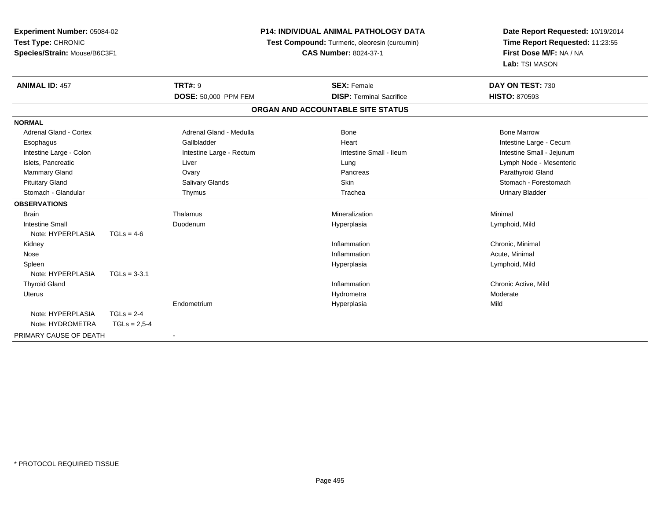| <b>Experiment Number: 05084-02</b><br>Test Type: CHRONIC<br>Species/Strain: Mouse/B6C3F1 |                  |                                               | <b>P14: INDIVIDUAL ANIMAL PATHOLOGY DATA</b> | Date Report Requested: 10/19/2014 |
|------------------------------------------------------------------------------------------|------------------|-----------------------------------------------|----------------------------------------------|-----------------------------------|
|                                                                                          |                  | Test Compound: Turmeric, oleoresin (curcumin) |                                              | Time Report Requested: 11:23:55   |
|                                                                                          |                  |                                               | <b>CAS Number: 8024-37-1</b>                 | First Dose M/F: NA / NA           |
|                                                                                          |                  |                                               |                                              | Lab: TSI MASON                    |
| <b>ANIMAL ID: 457</b>                                                                    |                  | <b>TRT#: 9</b>                                | <b>SEX: Female</b>                           | DAY ON TEST: 730                  |
|                                                                                          |                  | DOSE: 50,000 PPM FEM                          | <b>DISP: Terminal Sacrifice</b>              | <b>HISTO: 870593</b>              |
|                                                                                          |                  |                                               | ORGAN AND ACCOUNTABLE SITE STATUS            |                                   |
| <b>NORMAL</b>                                                                            |                  |                                               |                                              |                                   |
| Adrenal Gland - Cortex                                                                   |                  | Adrenal Gland - Medulla                       | Bone                                         | <b>Bone Marrow</b>                |
| Esophagus                                                                                |                  | Gallbladder                                   | Heart                                        | Intestine Large - Cecum           |
| Intestine Large - Colon                                                                  |                  | Intestine Large - Rectum                      | Intestine Small - Ileum                      | Intestine Small - Jejunum         |
| Islets, Pancreatic                                                                       |                  | Liver                                         | Lung                                         | Lymph Node - Mesenteric           |
| Mammary Gland                                                                            |                  | Ovary                                         | Pancreas                                     | Parathyroid Gland                 |
| <b>Pituitary Gland</b>                                                                   |                  | Salivary Glands                               | Skin                                         | Stomach - Forestomach             |
| Stomach - Glandular                                                                      |                  | Thymus                                        | Trachea                                      | <b>Urinary Bladder</b>            |
| <b>OBSERVATIONS</b>                                                                      |                  |                                               |                                              |                                   |
| <b>Brain</b>                                                                             |                  | Thalamus                                      | Mineralization                               | Minimal                           |
| <b>Intestine Small</b>                                                                   |                  | Duodenum                                      | Hyperplasia                                  | Lymphoid, Mild                    |
| Note: HYPERPLASIA                                                                        | $TGLs = 4-6$     |                                               |                                              |                                   |
| Kidney                                                                                   |                  |                                               | Inflammation                                 | Chronic, Minimal                  |
| Nose                                                                                     |                  |                                               | Inflammation                                 | Acute, Minimal                    |
| Spleen                                                                                   |                  |                                               | Hyperplasia                                  | Lymphoid, Mild                    |
| Note: HYPERPLASIA                                                                        | $TGLs = 3-3.1$   |                                               |                                              |                                   |
| <b>Thyroid Gland</b>                                                                     |                  |                                               | Inflammation                                 | Chronic Active, Mild              |
| <b>Uterus</b>                                                                            |                  |                                               | Hydrometra                                   | Moderate                          |
|                                                                                          |                  | Endometrium                                   | Hyperplasia                                  | Mild                              |
| Note: HYPERPLASIA                                                                        | $TGLs = 2-4$     |                                               |                                              |                                   |
| Note: HYDROMETRA                                                                         | $TGLs = 2.5 - 4$ |                                               |                                              |                                   |
| PRIMARY CAUSE OF DEATH                                                                   |                  |                                               |                                              |                                   |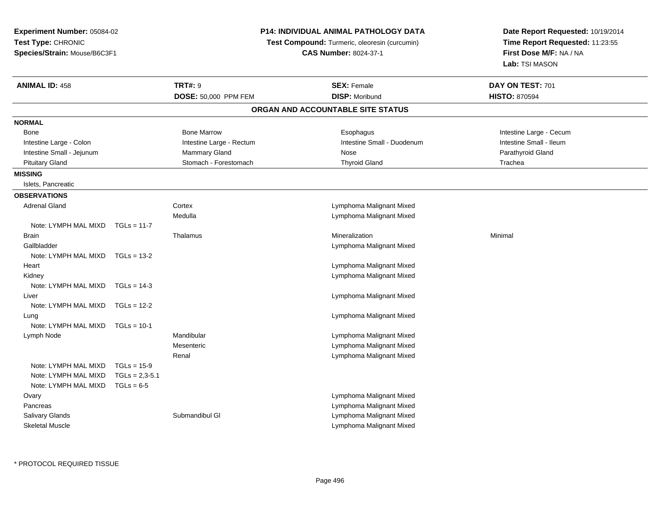**Experiment Number:** 05084-02**Test Type:** CHRONIC **Species/Strain:** Mouse/B6C3F1**ANIMAL ID:** 458**TRT#:** 9 **SEX:** Female **DAY ON TEST:** 701 **DOSE:** 50,000 PPM FEM **DISP:** Moribund **HISTO:** <sup>870594</sup> **ORGAN AND ACCOUNTABLE SITE STATUSNORMALBone** Bone Marrow **Exophagus** Intestine Large - Cecum **Exophagus** Intestine Large - Cecum Intestine Large - Colon **Intestine Large - Rectum** Intestine Small - Duodenum Intestine Small - Duodenum Intestine Small - Jejunum **Mammary Gland** Mammary Gland Nose Nose Nose Parathyroid Gland Pituitary Gland Trachea Channel Stomach - Forestomach Thyroid Gland Theory Channel Trachea **MISSING** Islets, Pancreatic**OBSERVATIONS** Adrenal Gland Cortex Lymphoma Malignant Mixed Medulla

Note: LYMPH MAL MIXD TGLs = 11-7 Brainn and the matter of the matter of the matter of the matter of the matter of the matter of the matter of the matter of the matter of the matter of the matter of the matter of the matter of the matter of the matter of the ma GallbladderNote: LYMPH MAL MIXD TGLs = 13-2**Heart**  Lymphoma Malignant Mixed KidneyNote: LYMPH MAL MIXD TGLs = 14-3 LiverNote: LYMPH MAL MIXD TGLs = 12-2 Lung Lymphoma Malignant Mixed Note: LYMPH MAL MIXD Lymph Node**Mesenteric** RenalNote: LYMPH MAL MIXD  $TGI \s = 15-9$  $TGLs = 2.3 - 5.1$ Note: LYMPH MAL MIXD Note: LYMPH MAL MIXD  $TGLs = 6-5$ **Ovary** 

**Pancreas** Salivary Glands

Skeletal Muscle

Lymphoma Malignant Mixed

Lymphoma Malignant Mixed

Lymphoma Malignant Mixed

Lymphoma Malignant Mixed

 Mandibular Lymphoma Malignant Mixed Lymphoma Malignant MixedLymphoma Malignant Mixed

 Lymphoma Malignant Mixed Lymphoma Malignant MixedSubmandibul Glassical Communication of the Cymphoma Malignant Mixed Lymphoma Malignant Mixed

**Date Report Requested:** 10/19/2014**Time Report Requested:** 11:23:55**First Dose M/F:** NA / NA**Lab:** TSI MASON

Intestine Small - Ileum

## **P14: INDIVIDUAL ANIMAL PATHOLOGY DATA**

**Test Compound:** Turmeric, oleoresin (curcumin)

**CAS Number:** 8024-37-1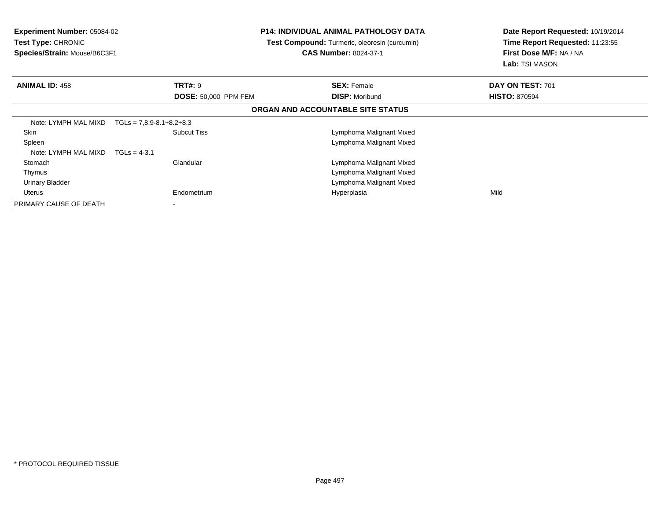| <b>Experiment Number: 05084-02</b><br>Test Type: CHRONIC<br>Species/Strain: Mouse/B6C3F1 |                                  | <b>P14: INDIVIDUAL ANIMAL PATHOLOGY DATA</b><br>Test Compound: Turmeric, oleoresin (curcumin)<br><b>CAS Number: 8024-37-1</b> | Date Report Requested: 10/19/2014<br>Time Report Requested: 11:23:55<br>First Dose M/F: NA / NA<br><b>Lab:</b> TSI MASON |
|------------------------------------------------------------------------------------------|----------------------------------|-------------------------------------------------------------------------------------------------------------------------------|--------------------------------------------------------------------------------------------------------------------------|
| <b>ANIMAL ID: 458</b>                                                                    | <b>TRT#: 9</b>                   | <b>SEX: Female</b>                                                                                                            | DAY ON TEST: 701                                                                                                         |
|                                                                                          | <b>DOSE: 50,000 PPM FEM</b>      | <b>DISP: Moribund</b>                                                                                                         | <b>HISTO: 870594</b>                                                                                                     |
|                                                                                          |                                  | ORGAN AND ACCOUNTABLE SITE STATUS                                                                                             |                                                                                                                          |
| Note: LYMPH MAL MIXD                                                                     | $TGLs = 7.8.9 - 8.1 + 8.2 + 8.3$ |                                                                                                                               |                                                                                                                          |
| Skin                                                                                     | <b>Subcut Tiss</b>               | Lymphoma Malignant Mixed                                                                                                      |                                                                                                                          |
| Spleen                                                                                   |                                  | Lymphoma Malignant Mixed                                                                                                      |                                                                                                                          |
| Note: LYMPH MAL MIXD                                                                     | $TGLs = 4-3.1$                   |                                                                                                                               |                                                                                                                          |
| Stomach                                                                                  | Glandular                        | Lymphoma Malignant Mixed                                                                                                      |                                                                                                                          |
| Thymus                                                                                   |                                  | Lymphoma Malignant Mixed                                                                                                      |                                                                                                                          |
| <b>Urinary Bladder</b>                                                                   |                                  | Lymphoma Malignant Mixed                                                                                                      |                                                                                                                          |
| Uterus                                                                                   | Endometrium                      | Hyperplasia                                                                                                                   | Mild                                                                                                                     |
| PRIMARY CAUSE OF DEATH                                                                   | $\overline{\phantom{a}}$         |                                                                                                                               |                                                                                                                          |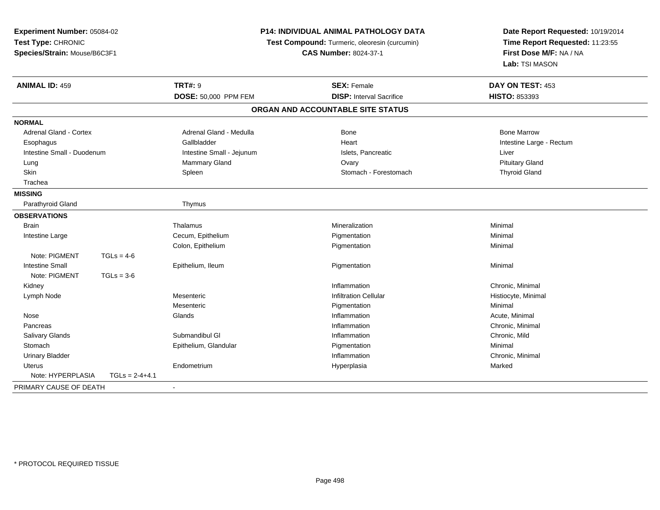| Experiment Number: 05084-02<br>Test Type: CHRONIC<br>Species/Strain: Mouse/B6C3F1 |                  | P14: INDIVIDUAL ANIMAL PATHOLOGY DATA<br>Test Compound: Turmeric, oleoresin (curcumin)<br><b>CAS Number: 8024-37-1</b> |                                   | Date Report Requested: 10/19/2014<br>Time Report Requested: 11:23:55<br>First Dose M/F: NA / NA |                       |  |                |                    |                  |
|-----------------------------------------------------------------------------------|------------------|------------------------------------------------------------------------------------------------------------------------|-----------------------------------|-------------------------------------------------------------------------------------------------|-----------------------|--|----------------|--------------------|------------------|
|                                                                                   |                  |                                                                                                                        |                                   |                                                                                                 |                       |  |                |                    | Lab: TSI MASON   |
|                                                                                   |                  |                                                                                                                        |                                   |                                                                                                 | <b>ANIMAL ID: 459</b> |  | <b>TRT#: 9</b> | <b>SEX: Female</b> | DAY ON TEST: 453 |
|                                                                                   |                  | DOSE: 50,000 PPM FEM                                                                                                   | <b>DISP:</b> Interval Sacrifice   | HISTO: 853393                                                                                   |                       |  |                |                    |                  |
|                                                                                   |                  |                                                                                                                        | ORGAN AND ACCOUNTABLE SITE STATUS |                                                                                                 |                       |  |                |                    |                  |
| <b>NORMAL</b>                                                                     |                  |                                                                                                                        |                                   |                                                                                                 |                       |  |                |                    |                  |
| <b>Adrenal Gland - Cortex</b>                                                     |                  | Adrenal Gland - Medulla                                                                                                | <b>Bone</b>                       | <b>Bone Marrow</b>                                                                              |                       |  |                |                    |                  |
| Esophagus                                                                         |                  | Gallbladder                                                                                                            | Heart                             | Intestine Large - Rectum                                                                        |                       |  |                |                    |                  |
| Intestine Small - Duodenum                                                        |                  | Intestine Small - Jejunum                                                                                              | Islets, Pancreatic                | Liver                                                                                           |                       |  |                |                    |                  |
| Lung                                                                              |                  | Mammary Gland                                                                                                          | Ovary                             | <b>Pituitary Gland</b>                                                                          |                       |  |                |                    |                  |
| Skin                                                                              |                  | Spleen                                                                                                                 | Stomach - Forestomach             | <b>Thyroid Gland</b>                                                                            |                       |  |                |                    |                  |
| Trachea                                                                           |                  |                                                                                                                        |                                   |                                                                                                 |                       |  |                |                    |                  |
| <b>MISSING</b>                                                                    |                  |                                                                                                                        |                                   |                                                                                                 |                       |  |                |                    |                  |
| Parathyroid Gland                                                                 |                  | Thymus                                                                                                                 |                                   |                                                                                                 |                       |  |                |                    |                  |
| <b>OBSERVATIONS</b>                                                               |                  |                                                                                                                        |                                   |                                                                                                 |                       |  |                |                    |                  |
| <b>Brain</b>                                                                      |                  | Thalamus                                                                                                               | Mineralization                    | Minimal                                                                                         |                       |  |                |                    |                  |
| Intestine Large                                                                   |                  | Cecum, Epithelium                                                                                                      | Pigmentation                      | Minimal                                                                                         |                       |  |                |                    |                  |
|                                                                                   |                  | Colon, Epithelium                                                                                                      | Pigmentation                      | Minimal                                                                                         |                       |  |                |                    |                  |
| Note: PIGMENT                                                                     | $TGLs = 4-6$     |                                                                                                                        |                                   |                                                                                                 |                       |  |                |                    |                  |
| <b>Intestine Small</b>                                                            |                  | Epithelium, Ileum                                                                                                      | Pigmentation                      | Minimal                                                                                         |                       |  |                |                    |                  |
| Note: PIGMENT                                                                     | $TGLs = 3-6$     |                                                                                                                        |                                   |                                                                                                 |                       |  |                |                    |                  |
| Kidney                                                                            |                  |                                                                                                                        | Inflammation                      | Chronic, Minimal                                                                                |                       |  |                |                    |                  |
| Lymph Node                                                                        |                  | Mesenteric                                                                                                             | <b>Infiltration Cellular</b>      | Histiocyte, Minimal                                                                             |                       |  |                |                    |                  |
|                                                                                   |                  | Mesenteric                                                                                                             | Pigmentation                      | Minimal                                                                                         |                       |  |                |                    |                  |
| Nose                                                                              |                  | Glands                                                                                                                 | Inflammation                      | Acute, Minimal                                                                                  |                       |  |                |                    |                  |
| Pancreas                                                                          |                  |                                                                                                                        | Inflammation                      | Chronic, Minimal                                                                                |                       |  |                |                    |                  |
| Salivary Glands                                                                   |                  | Submandibul GI                                                                                                         | Inflammation                      | Chronic, Mild                                                                                   |                       |  |                |                    |                  |
| Stomach                                                                           |                  | Epithelium, Glandular                                                                                                  | Pigmentation                      | Minimal                                                                                         |                       |  |                |                    |                  |
| <b>Urinary Bladder</b>                                                            |                  |                                                                                                                        | Inflammation                      | Chronic, Minimal                                                                                |                       |  |                |                    |                  |
| Uterus                                                                            |                  | Endometrium                                                                                                            | Hyperplasia                       | Marked                                                                                          |                       |  |                |                    |                  |
| Note: HYPERPLASIA                                                                 | $TGLs = 2-4+4.1$ |                                                                                                                        |                                   |                                                                                                 |                       |  |                |                    |                  |
| PRIMARY CAUSE OF DEATH                                                            |                  |                                                                                                                        |                                   |                                                                                                 |                       |  |                |                    |                  |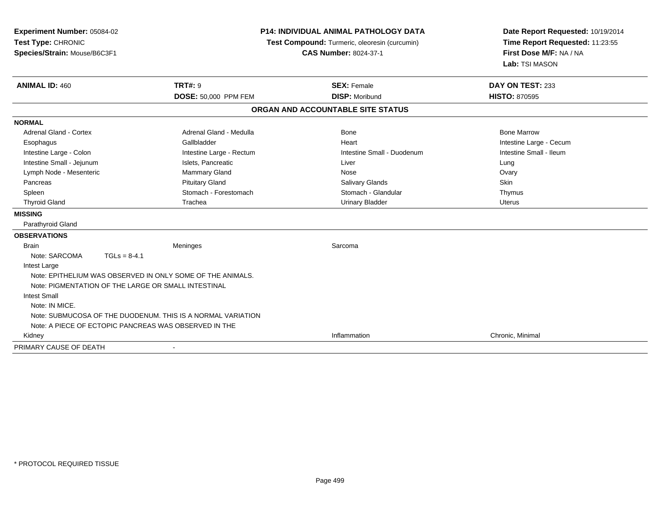| <b>Experiment Number: 05084-02</b><br>Test Type: CHRONIC<br>Species/Strain: Mouse/B6C3F1 |                                                             | <b>P14: INDIVIDUAL ANIMAL PATHOLOGY DATA</b><br>Test Compound: Turmeric, oleoresin (curcumin)<br><b>CAS Number: 8024-37-1</b> |                         |
|------------------------------------------------------------------------------------------|-------------------------------------------------------------|-------------------------------------------------------------------------------------------------------------------------------|-------------------------|
| <b>ANIMAL ID: 460</b>                                                                    | <b>TRT#: 9</b>                                              | <b>SEX: Female</b>                                                                                                            | DAY ON TEST: 233        |
|                                                                                          | DOSE: 50,000 PPM FEM                                        | <b>DISP: Moribund</b>                                                                                                         | <b>HISTO: 870595</b>    |
|                                                                                          |                                                             | ORGAN AND ACCOUNTABLE SITE STATUS                                                                                             |                         |
| <b>NORMAL</b>                                                                            |                                                             |                                                                                                                               |                         |
| <b>Adrenal Gland - Cortex</b>                                                            | Adrenal Gland - Medulla                                     | <b>Bone</b>                                                                                                                   | <b>Bone Marrow</b>      |
| Esophagus                                                                                | Gallbladder                                                 | Heart                                                                                                                         | Intestine Large - Cecum |
| Intestine Large - Colon                                                                  | Intestine Large - Rectum                                    | Intestine Small - Duodenum                                                                                                    | Intestine Small - Ileum |
| Intestine Small - Jejunum                                                                | Islets, Pancreatic                                          | Liver                                                                                                                         | Lung                    |
| Lymph Node - Mesenteric                                                                  | Mammary Gland                                               | Nose                                                                                                                          | Ovary                   |
| Pancreas                                                                                 | <b>Pituitary Gland</b>                                      | <b>Salivary Glands</b>                                                                                                        | Skin                    |
| Spleen                                                                                   | Stomach - Forestomach                                       | Stomach - Glandular                                                                                                           | Thymus                  |
| <b>Thyroid Gland</b>                                                                     | Trachea                                                     | <b>Urinary Bladder</b>                                                                                                        | Uterus                  |
| <b>MISSING</b>                                                                           |                                                             |                                                                                                                               |                         |
| Parathyroid Gland                                                                        |                                                             |                                                                                                                               |                         |
| <b>OBSERVATIONS</b>                                                                      |                                                             |                                                                                                                               |                         |
| <b>Brain</b>                                                                             | Meninges                                                    | Sarcoma                                                                                                                       |                         |
| Note: SARCOMA<br>$TGLs = 8-4.1$                                                          |                                                             |                                                                                                                               |                         |
| Intest Large                                                                             |                                                             |                                                                                                                               |                         |
|                                                                                          | Note: EPITHELIUM WAS OBSERVED IN ONLY SOME OF THE ANIMALS.  |                                                                                                                               |                         |
| Note: PIGMENTATION OF THE LARGE OR SMALL INTESTINAL                                      |                                                             |                                                                                                                               |                         |
| <b>Intest Small</b>                                                                      |                                                             |                                                                                                                               |                         |
| Note: IN MICE.                                                                           |                                                             |                                                                                                                               |                         |
|                                                                                          | Note: SUBMUCOSA OF THE DUODENUM. THIS IS A NORMAL VARIATION |                                                                                                                               |                         |
| Note: A PIECE OF ECTOPIC PANCREAS WAS OBSERVED IN THE                                    |                                                             |                                                                                                                               |                         |
| Kidney                                                                                   |                                                             | Inflammation                                                                                                                  | Chronic, Minimal        |
| PRIMARY CAUSE OF DEATH                                                                   |                                                             |                                                                                                                               |                         |

-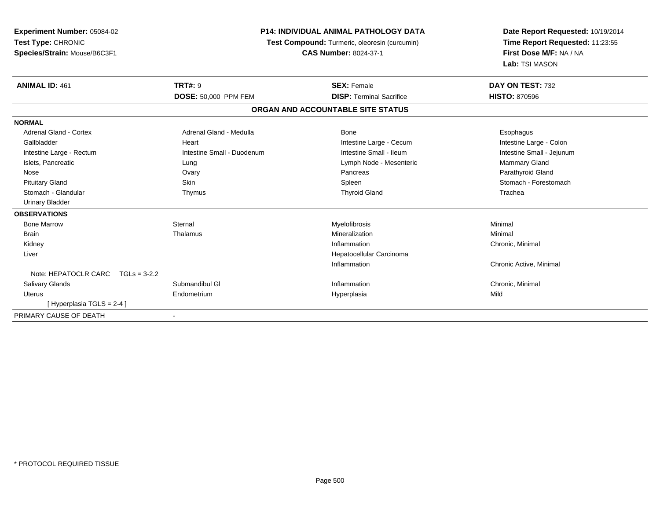| Experiment Number: 05084-02            |                            | <b>P14: INDIVIDUAL ANIMAL PATHOLOGY DATA</b>  | Date Report Requested: 10/19/2014<br>Time Report Requested: 11:23:55 |  |
|----------------------------------------|----------------------------|-----------------------------------------------|----------------------------------------------------------------------|--|
| Test Type: CHRONIC                     |                            | Test Compound: Turmeric, oleoresin (curcumin) |                                                                      |  |
| Species/Strain: Mouse/B6C3F1           |                            | <b>CAS Number: 8024-37-1</b>                  | First Dose M/F: NA / NA<br>Lab: TSI MASON                            |  |
|                                        |                            |                                               |                                                                      |  |
| <b>ANIMAL ID: 461</b>                  | <b>TRT#: 9</b>             | <b>SEX: Female</b>                            | DAY ON TEST: 732                                                     |  |
|                                        | DOSE: 50,000 PPM FEM       | <b>DISP: Terminal Sacrifice</b>               | <b>HISTO: 870596</b>                                                 |  |
|                                        |                            | ORGAN AND ACCOUNTABLE SITE STATUS             |                                                                      |  |
| <b>NORMAL</b>                          |                            |                                               |                                                                      |  |
| <b>Adrenal Gland - Cortex</b>          | Adrenal Gland - Medulla    | Bone                                          | Esophagus                                                            |  |
| Gallbladder                            | Heart                      | Intestine Large - Cecum                       | Intestine Large - Colon                                              |  |
| Intestine Large - Rectum               | Intestine Small - Duodenum | Intestine Small - Ileum                       | Intestine Small - Jejunum                                            |  |
| Islets, Pancreatic                     | Lung                       | Lymph Node - Mesenteric                       | Mammary Gland                                                        |  |
| Nose                                   | Ovary                      | Pancreas                                      | Parathyroid Gland                                                    |  |
| <b>Pituitary Gland</b>                 | <b>Skin</b>                | Spleen                                        | Stomach - Forestomach                                                |  |
| Stomach - Glandular                    | Thymus                     | <b>Thyroid Gland</b>                          | Trachea                                                              |  |
| <b>Urinary Bladder</b>                 |                            |                                               |                                                                      |  |
| <b>OBSERVATIONS</b>                    |                            |                                               |                                                                      |  |
| <b>Bone Marrow</b>                     | Sternal                    | Myelofibrosis                                 | Minimal                                                              |  |
| Brain                                  | Thalamus                   | Mineralization                                | Minimal                                                              |  |
| Kidney                                 |                            | Inflammation                                  | Chronic, Minimal                                                     |  |
| Liver                                  |                            | Hepatocellular Carcinoma                      |                                                                      |  |
|                                        |                            | Inflammation                                  | Chronic Active, Minimal                                              |  |
| Note: HEPATOCLR CARC<br>$TGLs = 3-2.2$ |                            |                                               |                                                                      |  |
| <b>Salivary Glands</b>                 | Submandibul GI             | Inflammation                                  | Chronic, Minimal                                                     |  |
| <b>Uterus</b>                          | Endometrium                | Hyperplasia                                   | Mild                                                                 |  |
| [Hyperplasia TGLS = 2-4]               |                            |                                               |                                                                      |  |
| PRIMARY CAUSE OF DEATH                 |                            |                                               |                                                                      |  |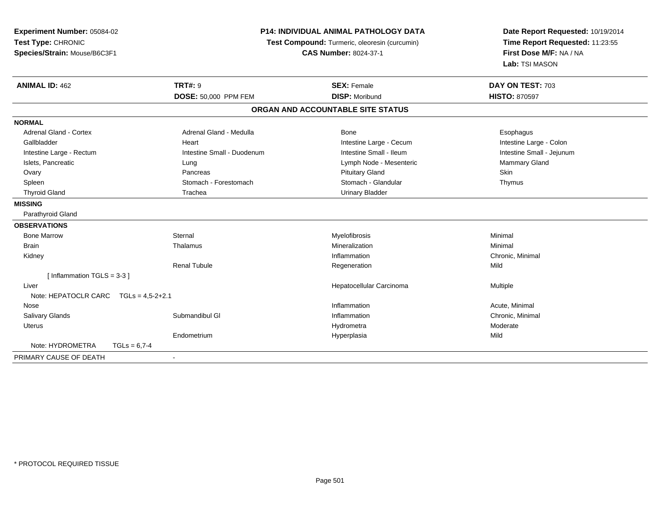| Experiment Number: 05084-02           | <b>P14: INDIVIDUAL ANIMAL PATHOLOGY DATA</b><br>Test Compound: Turmeric, oleoresin (curcumin) |                                   | Date Report Requested: 10/19/2014 |  |
|---------------------------------------|-----------------------------------------------------------------------------------------------|-----------------------------------|-----------------------------------|--|
| Test Type: CHRONIC                    |                                                                                               |                                   | Time Report Requested: 11:23:55   |  |
| Species/Strain: Mouse/B6C3F1          |                                                                                               | <b>CAS Number: 8024-37-1</b>      | First Dose M/F: NA / NA           |  |
|                                       |                                                                                               |                                   | Lab: TSI MASON                    |  |
| <b>ANIMAL ID: 462</b>                 | <b>TRT#: 9</b>                                                                                | <b>SEX: Female</b>                | DAY ON TEST: 703                  |  |
|                                       | <b>DOSE: 50,000 PPM FEM</b>                                                                   | <b>DISP: Moribund</b>             | <b>HISTO: 870597</b>              |  |
|                                       |                                                                                               | ORGAN AND ACCOUNTABLE SITE STATUS |                                   |  |
| <b>NORMAL</b>                         |                                                                                               |                                   |                                   |  |
| <b>Adrenal Gland - Cortex</b>         | Adrenal Gland - Medulla                                                                       | Bone                              | Esophagus                         |  |
| Gallbladder                           | Heart                                                                                         | Intestine Large - Cecum           | Intestine Large - Colon           |  |
| Intestine Large - Rectum              | Intestine Small - Duodenum                                                                    | Intestine Small - Ileum           | Intestine Small - Jejunum         |  |
| Islets, Pancreatic                    | Lung                                                                                          | Lymph Node - Mesenteric           | Mammary Gland                     |  |
| Ovary                                 | Pancreas                                                                                      | <b>Pituitary Gland</b>            | Skin                              |  |
| Spleen                                | Stomach - Forestomach                                                                         | Stomach - Glandular               | Thymus                            |  |
| <b>Thyroid Gland</b>                  | Trachea                                                                                       | <b>Urinary Bladder</b>            |                                   |  |
| <b>MISSING</b>                        |                                                                                               |                                   |                                   |  |
| Parathyroid Gland                     |                                                                                               |                                   |                                   |  |
| <b>OBSERVATIONS</b>                   |                                                                                               |                                   |                                   |  |
| <b>Bone Marrow</b>                    | Sternal                                                                                       | Myelofibrosis                     | Minimal                           |  |
| <b>Brain</b>                          | Thalamus                                                                                      | Mineralization                    | Minimal                           |  |
| Kidney                                |                                                                                               | Inflammation                      | Chronic, Minimal                  |  |
|                                       | <b>Renal Tubule</b>                                                                           | Regeneration                      | Mild                              |  |
| [Inflammation TGLS = $3-3$ ]          |                                                                                               |                                   |                                   |  |
| Liver                                 |                                                                                               | Hepatocellular Carcinoma          | Multiple                          |  |
| Note: HEPATOCLR CARC TGLs = 4,5-2+2.1 |                                                                                               |                                   |                                   |  |
| Nose                                  |                                                                                               | Inflammation                      | Acute, Minimal                    |  |
| Salivary Glands                       | Submandibul GI                                                                                | Inflammation                      | Chronic, Minimal                  |  |
| Uterus                                |                                                                                               | Hydrometra                        | Moderate                          |  |
|                                       | Endometrium                                                                                   | Hyperplasia                       | Mild                              |  |
| Note: HYDROMETRA<br>$TGLs = 6.7 - 4$  |                                                                                               |                                   |                                   |  |
| PRIMARY CAUSE OF DEATH                |                                                                                               |                                   |                                   |  |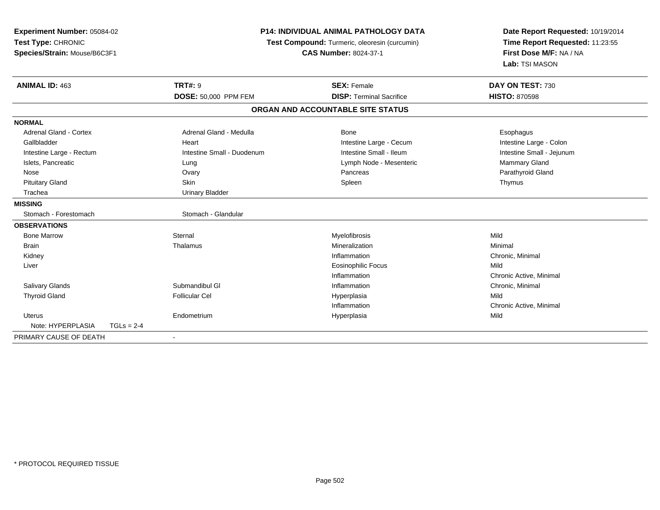| Experiment Number: 05084-02<br>Test Type: CHRONIC<br>Species/Strain: Mouse/B6C3F1 |              | <b>P14: INDIVIDUAL ANIMAL PATHOLOGY DATA</b><br>Test Compound: Turmeric, oleoresin (curcumin)<br><b>CAS Number: 8024-37-1</b> |                                   | Date Report Requested: 10/19/2014<br>Time Report Requested: 11:23:55<br>First Dose M/F: NA / NA<br>Lab: TSI MASON |
|-----------------------------------------------------------------------------------|--------------|-------------------------------------------------------------------------------------------------------------------------------|-----------------------------------|-------------------------------------------------------------------------------------------------------------------|
| <b>ANIMAL ID: 463</b>                                                             |              | <b>TRT#: 9</b>                                                                                                                | <b>SEX: Female</b>                | DAY ON TEST: 730                                                                                                  |
|                                                                                   |              | DOSE: 50,000 PPM FEM                                                                                                          | <b>DISP: Terminal Sacrifice</b>   | <b>HISTO: 870598</b>                                                                                              |
|                                                                                   |              |                                                                                                                               | ORGAN AND ACCOUNTABLE SITE STATUS |                                                                                                                   |
| <b>NORMAL</b>                                                                     |              |                                                                                                                               |                                   |                                                                                                                   |
| <b>Adrenal Gland - Cortex</b>                                                     |              | Adrenal Gland - Medulla                                                                                                       | Bone                              | Esophagus                                                                                                         |
| Gallbladder                                                                       |              | Heart                                                                                                                         | Intestine Large - Cecum           | Intestine Large - Colon                                                                                           |
| Intestine Large - Rectum                                                          |              | Intestine Small - Duodenum                                                                                                    | Intestine Small - Ileum           | Intestine Small - Jejunum                                                                                         |
| Islets, Pancreatic                                                                |              | Lung                                                                                                                          | Lymph Node - Mesenteric           | Mammary Gland                                                                                                     |
| Nose                                                                              |              | Ovary                                                                                                                         | Pancreas                          | Parathyroid Gland                                                                                                 |
| <b>Pituitary Gland</b>                                                            |              | Skin                                                                                                                          | Spleen                            | Thymus                                                                                                            |
| Trachea                                                                           |              | <b>Urinary Bladder</b>                                                                                                        |                                   |                                                                                                                   |
| <b>MISSING</b>                                                                    |              |                                                                                                                               |                                   |                                                                                                                   |
| Stomach - Forestomach                                                             |              | Stomach - Glandular                                                                                                           |                                   |                                                                                                                   |
| <b>OBSERVATIONS</b>                                                               |              |                                                                                                                               |                                   |                                                                                                                   |
| <b>Bone Marrow</b>                                                                |              | Sternal                                                                                                                       | Myelofibrosis                     | Mild                                                                                                              |
| <b>Brain</b>                                                                      |              | Thalamus                                                                                                                      | Mineralization                    | Minimal                                                                                                           |
| Kidney                                                                            |              |                                                                                                                               | Inflammation                      | Chronic, Minimal                                                                                                  |
| Liver                                                                             |              |                                                                                                                               | <b>Eosinophilic Focus</b>         | Mild                                                                                                              |
|                                                                                   |              |                                                                                                                               | Inflammation                      | Chronic Active, Minimal                                                                                           |
| Salivary Glands                                                                   |              | Submandibul GI                                                                                                                | Inflammation                      | Chronic, Minimal                                                                                                  |
| <b>Thyroid Gland</b>                                                              |              | <b>Follicular Cel</b>                                                                                                         | Hyperplasia                       | Mild                                                                                                              |
|                                                                                   |              |                                                                                                                               | Inflammation                      | Chronic Active, Minimal                                                                                           |
| Uterus                                                                            |              | Endometrium                                                                                                                   | Hyperplasia                       | Mild                                                                                                              |
| Note: HYPERPLASIA                                                                 | $TGLs = 2-4$ |                                                                                                                               |                                   |                                                                                                                   |
| PRIMARY CAUSE OF DEATH                                                            |              |                                                                                                                               |                                   |                                                                                                                   |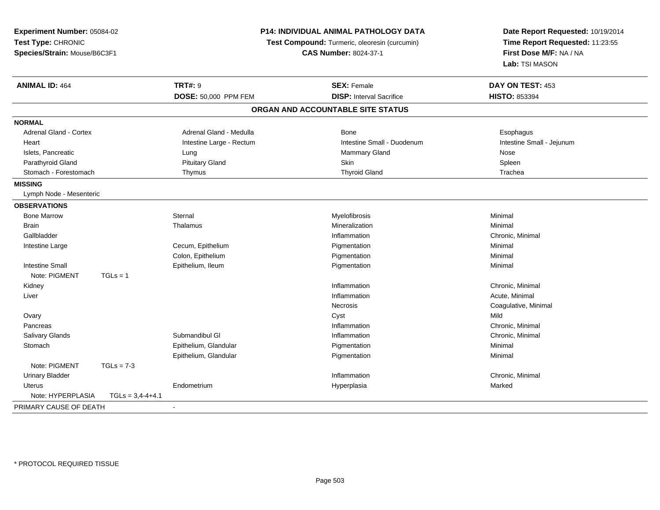| Experiment Number: 05084-02             |                                               | P14: INDIVIDUAL ANIMAL PATHOLOGY DATA | Date Report Requested: 10/19/2014 |
|-----------------------------------------|-----------------------------------------------|---------------------------------------|-----------------------------------|
| Test Type: CHRONIC                      | Test Compound: Turmeric, oleoresin (curcumin) |                                       | Time Report Requested: 11:23:55   |
| Species/Strain: Mouse/B6C3F1            |                                               | <b>CAS Number: 8024-37-1</b>          | First Dose M/F: NA / NA           |
|                                         |                                               |                                       | Lab: TSI MASON                    |
| <b>ANIMAL ID: 464</b>                   | <b>TRT#: 9</b>                                | <b>SEX: Female</b>                    | DAY ON TEST: 453                  |
|                                         | DOSE: 50,000 PPM FEM                          | <b>DISP: Interval Sacrifice</b>       | <b>HISTO: 853394</b>              |
|                                         |                                               | ORGAN AND ACCOUNTABLE SITE STATUS     |                                   |
| <b>NORMAL</b>                           |                                               |                                       |                                   |
| <b>Adrenal Gland - Cortex</b>           | Adrenal Gland - Medulla                       | <b>Bone</b>                           | Esophagus                         |
| Heart                                   | Intestine Large - Rectum                      | Intestine Small - Duodenum            | Intestine Small - Jejunum         |
| Islets, Pancreatic                      | Lung                                          | Mammary Gland                         | Nose                              |
| Parathyroid Gland                       | <b>Pituitary Gland</b>                        | Skin                                  | Spleen                            |
| Stomach - Forestomach                   | Thymus                                        | <b>Thyroid Gland</b>                  | Trachea                           |
| <b>MISSING</b>                          |                                               |                                       |                                   |
| Lymph Node - Mesenteric                 |                                               |                                       |                                   |
| <b>OBSERVATIONS</b>                     |                                               |                                       |                                   |
| <b>Bone Marrow</b>                      | Sternal                                       | Myelofibrosis                         | Minimal                           |
| <b>Brain</b>                            | Thalamus                                      | Mineralization                        | Minimal                           |
| Gallbladder                             |                                               | Inflammation                          | Chronic, Minimal                  |
| Intestine Large                         | Cecum, Epithelium                             | Pigmentation                          | Minimal                           |
|                                         | Colon, Epithelium                             | Pigmentation                          | Minimal                           |
| <b>Intestine Small</b>                  | Epithelium, Ileum                             | Pigmentation                          | Minimal                           |
| Note: PIGMENT<br>$TGLs = 1$             |                                               |                                       |                                   |
| Kidney                                  |                                               | Inflammation                          | Chronic, Minimal                  |
| Liver                                   |                                               | Inflammation                          | Acute, Minimal                    |
|                                         |                                               | Necrosis                              | Coagulative, Minimal              |
| Ovary                                   |                                               | Cyst                                  | Mild                              |
| Pancreas                                |                                               | Inflammation                          | Chronic, Minimal                  |
| Salivary Glands                         | Submandibul GI                                | Inflammation                          | Chronic, Minimal                  |
| Stomach                                 | Epithelium, Glandular                         | Pigmentation                          | Minimal                           |
|                                         | Epithelium, Glandular                         | Pigmentation                          | Minimal                           |
| Note: PIGMENT<br>$TGLs = 7-3$           |                                               |                                       |                                   |
| <b>Urinary Bladder</b>                  |                                               | Inflammation                          | Chronic, Minimal                  |
| <b>Uterus</b>                           | Endometrium                                   | Hyperplasia                           | Marked                            |
| Note: HYPERPLASIA<br>$TGLs = 3,4-4+4.1$ |                                               |                                       |                                   |
| PRIMARY CAUSE OF DEATH                  |                                               |                                       |                                   |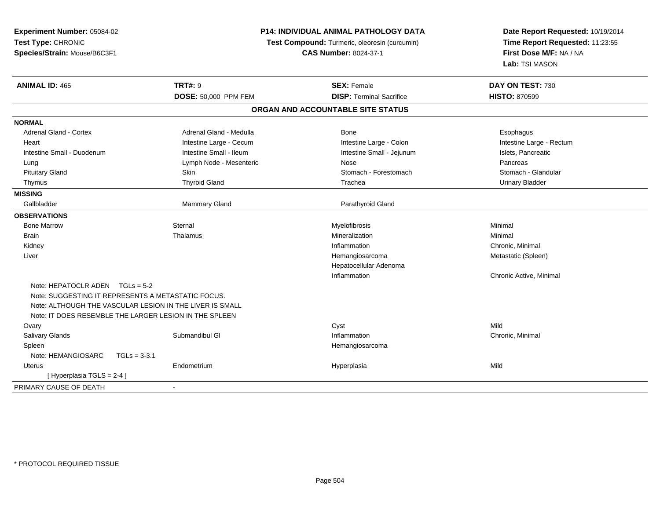| Experiment Number: 05084-02<br>Test Type: CHRONIC<br>Species/Strain: Mouse/B6C3F1 |                         | P14: INDIVIDUAL ANIMAL PATHOLOGY DATA<br>Test Compound: Turmeric, oleoresin (curcumin)<br><b>CAS Number: 8024-37-1</b> |                          |
|-----------------------------------------------------------------------------------|-------------------------|------------------------------------------------------------------------------------------------------------------------|--------------------------|
| <b>ANIMAL ID: 465</b>                                                             | <b>TRT#: 9</b>          | <b>SEX: Female</b>                                                                                                     | DAY ON TEST: 730         |
|                                                                                   | DOSE: 50,000 PPM FEM    | <b>DISP: Terminal Sacrifice</b>                                                                                        | <b>HISTO: 870599</b>     |
|                                                                                   |                         | ORGAN AND ACCOUNTABLE SITE STATUS                                                                                      |                          |
| <b>NORMAL</b>                                                                     |                         |                                                                                                                        |                          |
| Adrenal Gland - Cortex                                                            | Adrenal Gland - Medulla | Bone                                                                                                                   | Esophagus                |
| Heart                                                                             | Intestine Large - Cecum | Intestine Large - Colon                                                                                                | Intestine Large - Rectum |
| Intestine Small - Duodenum                                                        | Intestine Small - Ileum | Intestine Small - Jejunum                                                                                              | Islets, Pancreatic       |
| Lung                                                                              | Lymph Node - Mesenteric | Nose                                                                                                                   | Pancreas                 |
| <b>Pituitary Gland</b>                                                            | Skin                    | Stomach - Forestomach                                                                                                  | Stomach - Glandular      |
| Thymus                                                                            | <b>Thyroid Gland</b>    | Trachea                                                                                                                | <b>Urinary Bladder</b>   |
| <b>MISSING</b>                                                                    |                         |                                                                                                                        |                          |
| Gallbladder                                                                       | Mammary Gland           | Parathyroid Gland                                                                                                      |                          |
| <b>OBSERVATIONS</b>                                                               |                         |                                                                                                                        |                          |
| <b>Bone Marrow</b>                                                                | Sternal                 | Myelofibrosis                                                                                                          | Minimal                  |
| <b>Brain</b>                                                                      | Thalamus                | Mineralization                                                                                                         | Minimal                  |
| Kidney                                                                            |                         | Inflammation                                                                                                           | Chronic, Minimal         |
| Liver                                                                             |                         | Hemangiosarcoma                                                                                                        | Metastatic (Spleen)      |
|                                                                                   |                         | Hepatocellular Adenoma                                                                                                 |                          |
|                                                                                   |                         | Inflammation                                                                                                           | Chronic Active, Minimal  |
| Note: HEPATOCLR ADEN TGLs = 5-2                                                   |                         |                                                                                                                        |                          |
| Note: SUGGESTING IT REPRESENTS A METASTATIC FOCUS.                                |                         |                                                                                                                        |                          |
| Note: ALTHOUGH THE VASCULAR LESION IN THE LIVER IS SMALL                          |                         |                                                                                                                        |                          |
| Note: IT DOES RESEMBLE THE LARGER LESION IN THE SPLEEN                            |                         |                                                                                                                        |                          |
| Ovary                                                                             |                         | Cyst                                                                                                                   | Mild                     |
| Salivary Glands                                                                   | Submandibul GI          | Inflammation                                                                                                           | Chronic, Minimal         |
| Spleen                                                                            |                         | Hemangiosarcoma                                                                                                        |                          |
| Note: HEMANGIOSARC<br>$TGLs = 3-3.1$                                              |                         |                                                                                                                        |                          |
| Uterus                                                                            | Endometrium             | Hyperplasia                                                                                                            | Mild                     |
| [Hyperplasia TGLS = 2-4]                                                          |                         |                                                                                                                        |                          |
| PRIMARY CAUSE OF DEATH                                                            |                         |                                                                                                                        |                          |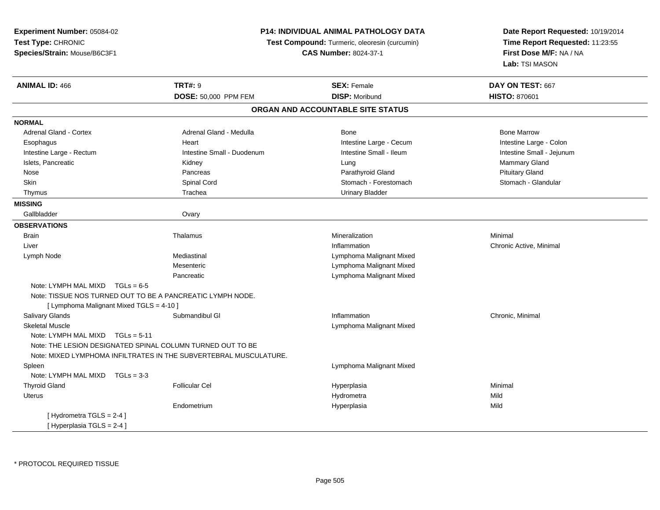| Experiment Number: 05084-02                                |                                                                   | <b>P14: INDIVIDUAL ANIMAL PATHOLOGY DATA</b>  | Date Report Requested: 10/19/2014         |  |
|------------------------------------------------------------|-------------------------------------------------------------------|-----------------------------------------------|-------------------------------------------|--|
| Test Type: CHRONIC                                         |                                                                   | Test Compound: Turmeric, oleoresin (curcumin) | Time Report Requested: 11:23:55           |  |
| Species/Strain: Mouse/B6C3F1                               |                                                                   | <b>CAS Number: 8024-37-1</b>                  |                                           |  |
|                                                            |                                                                   |                                               | First Dose M/F: NA / NA<br>Lab: TSI MASON |  |
| <b>ANIMAL ID: 466</b>                                      | <b>TRT#: 9</b>                                                    | <b>SEX: Female</b>                            | DAY ON TEST: 667                          |  |
|                                                            | <b>DOSE: 50,000 PPM FEM</b>                                       | <b>DISP: Moribund</b>                         | <b>HISTO: 870601</b>                      |  |
|                                                            |                                                                   | ORGAN AND ACCOUNTABLE SITE STATUS             |                                           |  |
| <b>NORMAL</b>                                              |                                                                   |                                               |                                           |  |
| Adrenal Gland - Cortex                                     | Adrenal Gland - Medulla                                           | Bone                                          | <b>Bone Marrow</b>                        |  |
| Esophagus                                                  | Heart                                                             | Intestine Large - Cecum                       | Intestine Large - Colon                   |  |
| Intestine Large - Rectum                                   | Intestine Small - Duodenum                                        | Intestine Small - Ileum                       | Intestine Small - Jejunum                 |  |
| Islets, Pancreatic                                         | Kidney                                                            | Lung                                          | Mammary Gland                             |  |
| Nose                                                       | Pancreas                                                          | Parathyroid Gland                             | <b>Pituitary Gland</b>                    |  |
| Skin                                                       | Spinal Cord                                                       | Stomach - Forestomach                         | Stomach - Glandular                       |  |
| Thymus                                                     | Trachea                                                           | <b>Urinary Bladder</b>                        |                                           |  |
| <b>MISSING</b>                                             |                                                                   |                                               |                                           |  |
| Gallbladder                                                | Ovary                                                             |                                               |                                           |  |
| <b>OBSERVATIONS</b>                                        |                                                                   |                                               |                                           |  |
| <b>Brain</b>                                               | Thalamus                                                          | Mineralization                                | Minimal                                   |  |
| Liver                                                      |                                                                   | Inflammation                                  | Chronic Active, Minimal                   |  |
| Lymph Node                                                 | Mediastinal                                                       | Lymphoma Malignant Mixed                      |                                           |  |
|                                                            | Mesenteric                                                        | Lymphoma Malignant Mixed                      |                                           |  |
|                                                            | Pancreatic                                                        | Lymphoma Malignant Mixed                      |                                           |  |
| Note: LYMPH MAL MIXD<br>$TGLs = 6-5$                       |                                                                   |                                               |                                           |  |
| Note: TISSUE NOS TURNED OUT TO BE A PANCREATIC LYMPH NODE. |                                                                   |                                               |                                           |  |
| [ Lymphoma Malignant Mixed TGLS = 4-10 ]                   |                                                                   |                                               |                                           |  |
| Salivary Glands                                            | Submandibul GI                                                    | Inflammation                                  | Chronic, Minimal                          |  |
| <b>Skeletal Muscle</b>                                     |                                                                   | Lymphoma Malignant Mixed                      |                                           |  |
| Note: LYMPH MAL MIXD $TGLs = 5-11$                         |                                                                   |                                               |                                           |  |
|                                                            | Note: THE LESION DESIGNATED SPINAL COLUMN TURNED OUT TO BE        |                                               |                                           |  |
|                                                            | Note: MIXED LYMPHOMA INFILTRATES IN THE SUBVERTEBRAL MUSCULATURE. |                                               |                                           |  |
| Spleen                                                     |                                                                   | Lymphoma Malignant Mixed                      |                                           |  |
| Note: LYMPH MAL MIXD<br>$TGLs = 3-3$                       |                                                                   |                                               |                                           |  |
| <b>Thyroid Gland</b>                                       | <b>Follicular Cel</b>                                             | Hyperplasia                                   | Minimal                                   |  |
| <b>Uterus</b>                                              |                                                                   | Hydrometra                                    | Mild                                      |  |
|                                                            | Endometrium                                                       | Hyperplasia                                   | Mild                                      |  |
| [Hydrometra TGLS = 2-4]                                    |                                                                   |                                               |                                           |  |
| [Hyperplasia TGLS = 2-4]                                   |                                                                   |                                               |                                           |  |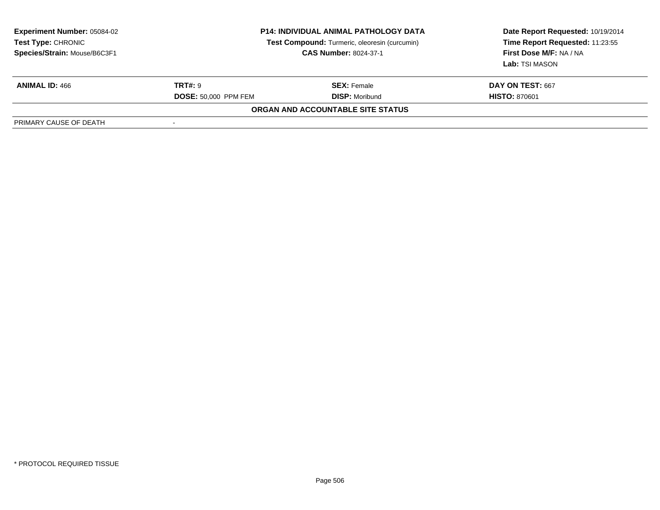| <b>Experiment Number: 05084-02</b><br><b>Test Type: CHRONIC</b><br>Species/Strain: Mouse/B6C3F1 | <b>P14: INDIVIDUAL ANIMAL PATHOLOGY DATA</b><br>Test Compound: Turmeric, oleoresin (curcumin)<br><b>CAS Number: 8024-37-1</b> |                                          | Date Report Requested: 10/19/2014<br>Time Report Requested: 11:23:55<br>First Dose M/F: NA / NA<br>Lab: TSI MASON |
|-------------------------------------------------------------------------------------------------|-------------------------------------------------------------------------------------------------------------------------------|------------------------------------------|-------------------------------------------------------------------------------------------------------------------|
| <b>ANIMAL ID: 466</b>                                                                           | <b>TRT#: 9</b>                                                                                                                | <b>SEX:</b> Female                       | DAY ON TEST: 667                                                                                                  |
|                                                                                                 | <b>DOSE: 50,000 PPM FEM</b>                                                                                                   | <b>DISP:</b> Moribund                    | <b>HISTO: 870601</b>                                                                                              |
|                                                                                                 |                                                                                                                               | <b>ORGAN AND ACCOUNTABLE SITE STATUS</b> |                                                                                                                   |
| PRIMARY CAUSE OF DEATH                                                                          |                                                                                                                               |                                          |                                                                                                                   |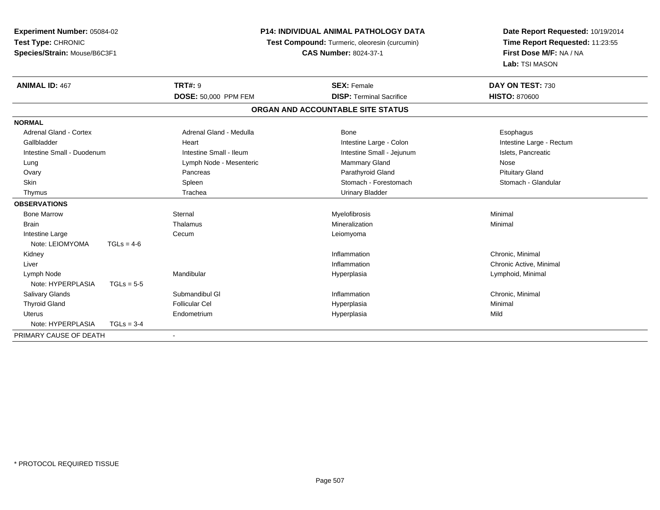| Experiment Number: 05084-02   |              |                         | <b>P14: INDIVIDUAL ANIMAL PATHOLOGY DATA</b>  | Date Report Requested: 10/19/2014 |
|-------------------------------|--------------|-------------------------|-----------------------------------------------|-----------------------------------|
| Test Type: CHRONIC            |              |                         | Test Compound: Turmeric, oleoresin (curcumin) | Time Report Requested: 11:23:55   |
| Species/Strain: Mouse/B6C3F1  |              |                         | <b>CAS Number: 8024-37-1</b>                  | First Dose M/F: NA / NA           |
|                               |              |                         |                                               | Lab: TSI MASON                    |
| <b>ANIMAL ID: 467</b>         |              | <b>TRT#: 9</b>          | <b>SEX: Female</b>                            | DAY ON TEST: 730                  |
|                               |              | DOSE: 50,000 PPM FEM    | <b>DISP: Terminal Sacrifice</b>               | <b>HISTO: 870600</b>              |
|                               |              |                         | ORGAN AND ACCOUNTABLE SITE STATUS             |                                   |
| <b>NORMAL</b>                 |              |                         |                                               |                                   |
| <b>Adrenal Gland - Cortex</b> |              | Adrenal Gland - Medulla | Bone                                          | Esophagus                         |
| Gallbladder                   |              | Heart                   | Intestine Large - Colon                       | Intestine Large - Rectum          |
| Intestine Small - Duodenum    |              | Intestine Small - Ileum | Intestine Small - Jejunum                     | Islets, Pancreatic                |
| Lung                          |              | Lymph Node - Mesenteric | <b>Mammary Gland</b>                          | Nose                              |
| Ovary                         |              | Pancreas                | Parathyroid Gland                             | <b>Pituitary Gland</b>            |
| Skin                          |              | Spleen                  | Stomach - Forestomach                         | Stomach - Glandular               |
| Thymus                        |              | Trachea                 | <b>Urinary Bladder</b>                        |                                   |
| <b>OBSERVATIONS</b>           |              |                         |                                               |                                   |
| <b>Bone Marrow</b>            |              | Sternal                 | Myelofibrosis                                 | Minimal                           |
| <b>Brain</b>                  |              | Thalamus                | Mineralization                                | Minimal                           |
| Intestine Large               |              | Cecum                   | Leiomyoma                                     |                                   |
| Note: LEIOMYOMA               | $TGLs = 4-6$ |                         |                                               |                                   |
| Kidney                        |              |                         | Inflammation                                  | Chronic, Minimal                  |
| Liver                         |              |                         | Inflammation                                  | Chronic Active, Minimal           |
| Lymph Node                    |              | Mandibular              | Hyperplasia                                   | Lymphoid, Minimal                 |
| Note: HYPERPLASIA             | $TGLs = 5-5$ |                         |                                               |                                   |
| Salivary Glands               |              | Submandibul GI          | Inflammation                                  | Chronic, Minimal                  |
| <b>Thyroid Gland</b>          |              | <b>Follicular Cel</b>   | Hyperplasia                                   | Minimal                           |
| <b>Uterus</b>                 |              | Endometrium             | Hyperplasia                                   | Mild                              |
| Note: HYPERPLASIA             | $TGLs = 3-4$ |                         |                                               |                                   |
| PRIMARY CAUSE OF DEATH        |              |                         |                                               |                                   |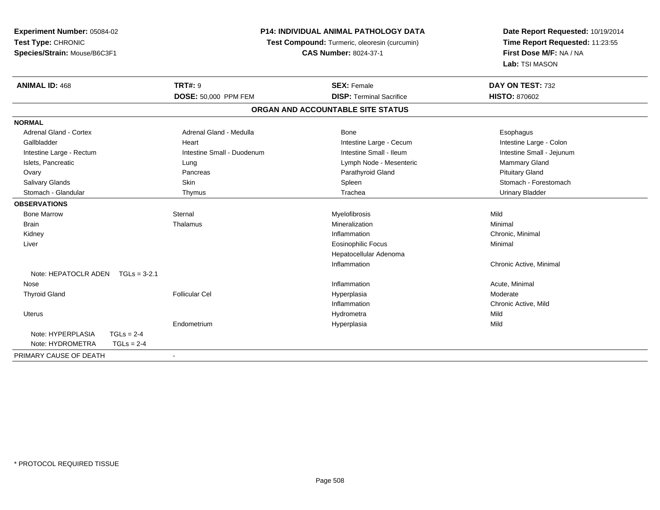**Experiment Number:** 05084-02**Test Type:** CHRONIC **Species/Strain:** Mouse/B6C3F1**P14: INDIVIDUAL ANIMAL PATHOLOGY DATA Test Compound:** Turmeric, oleoresin (curcumin)**CAS Number:** 8024-37-1**Date Report Requested:** 10/19/2014**Time Report Requested:** 11:23:55**First Dose M/F:** NA / NA**Lab:** TSI MASON**ANIMAL ID:** 468**TRT#:** 9 **SEX:** Female **DAY ON TEST:** 732 **DOSE:** 50,000 PPM FEM **DISP:** Terminal Sacrifice **HISTO:** <sup>870602</sup> **ORGAN AND ACCOUNTABLE SITE STATUSNORMALAdrenal Gland - Cortex** Adrenal Gland - Medulla **Bone** Bone **Cortes Adrenal Gland - Cortes Adrenal Gland - Cortes Adrenal Adrenal Bone** Esophagus Intestine Large - Colon Gallbladder **East Community Community** Heart Intestine Large - Cecum Intestine Large - Cecum Intestine Small - Jejunum Intestine Large - Rectum **Intestine Small - Duodenum** Intestine Small - Ileum Intestine Small - Ileum Islets, Pancreatic **Contracts Contracts Contracts Contracts** Lung Lymph Node - Mesenteric Mammary Gland Mammary Gland Ovary Pancreas Parathyroid Gland Pituitary GlandSalivary Glands Salivary School School School School Spleen School Spleen Stomach - Forestomach - Stomach - Forestomach Stomach - Glandular Thymus Trachea Urinary Bladder**OBSERVATIONS** Bone Marroww the sternal sternal sternal sternal sternal methods is the material of the step of the Mild of the Mild of the Mild of the Step of the Mild of the Step of the Mild of the Step of the Mild of the Step of the Step of the S Brainn and the theorem is the three matter of the matter of the matter of the matter of the matter of the matter of  $M$ inimal  $M$ inimal  $M$ inimal  $M$ inimal  $M$ inimal  $M$ inimal  $M$ inimal  $M$ inimal  $M$ inimal  $M$ inimal  $M$ inimal Kidneyy the control of the control of the control of the control of the control of the control of the control of the control of the control of the control of the control of the control of the control of the control of the contro Inflammation **Chronic, Minimal**  Liver Eosinophilic Focus Minimal Hepatocellular AdenomaInflammation Chronic Active, Minimal Note: HEPATOCLR ADEN TGLs = 3-2.1 Nosee the contraction of the contraction of the contraction of the contraction of the contraction of the contraction  $\mathsf{Acute}$ , Minimal Thyroid Gland Follicular Cel Hyperplasia Moderate Inflammation Chronic Active, Mild Uteruss and the contract of the contract of the contract of the contract of the contract of the contract of the contract of the contract of the contract of the contract of the contract of the contract of the contract of the cont a Mild Endometrium Hyperplasia Mild Note: HYPERPLASIA TGLs = 2-4 $TGLS = 2-4$ Note: HYDROMETRA PRIMARY CAUSE OF DEATH-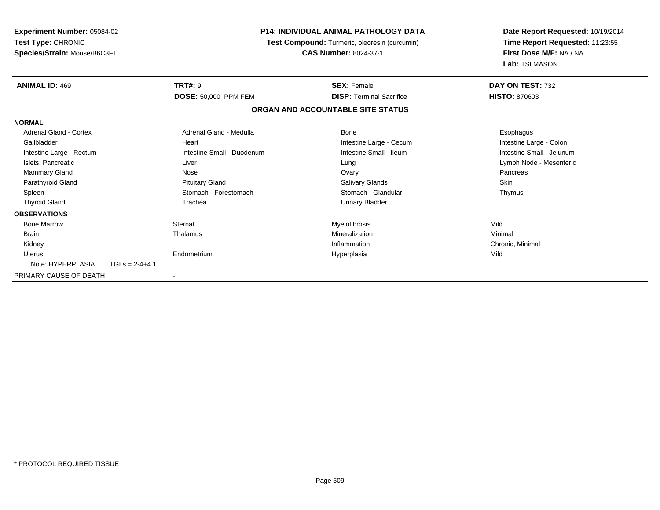| <b>Experiment Number: 05084-02</b><br>Test Type: CHRONIC<br>Species/Strain: Mouse/B6C3F1 |                  | <b>P14: INDIVIDUAL ANIMAL PATHOLOGY DATA</b><br>Test Compound: Turmeric, oleoresin (curcumin)<br><b>CAS Number: 8024-37-1</b> |  | Date Report Requested: 10/19/2014<br>Time Report Requested: 11:23:55<br>First Dose M/F: NA / NA<br>Lab: TSI MASON |                           |
|------------------------------------------------------------------------------------------|------------------|-------------------------------------------------------------------------------------------------------------------------------|--|-------------------------------------------------------------------------------------------------------------------|---------------------------|
| <b>ANIMAL ID: 469</b>                                                                    |                  | <b>TRT#: 9</b>                                                                                                                |  | <b>SEX: Female</b>                                                                                                | DAY ON TEST: 732          |
|                                                                                          |                  | DOSE: 50,000 PPM FEM                                                                                                          |  | <b>DISP:</b> Terminal Sacrifice                                                                                   | <b>HISTO: 870603</b>      |
|                                                                                          |                  |                                                                                                                               |  | ORGAN AND ACCOUNTABLE SITE STATUS                                                                                 |                           |
| <b>NORMAL</b>                                                                            |                  |                                                                                                                               |  |                                                                                                                   |                           |
| <b>Adrenal Gland - Cortex</b>                                                            |                  | Adrenal Gland - Medulla                                                                                                       |  | Bone                                                                                                              | Esophagus                 |
| Gallbladder                                                                              |                  | Heart                                                                                                                         |  | Intestine Large - Cecum                                                                                           | Intestine Large - Colon   |
| Intestine Large - Rectum                                                                 |                  | Intestine Small - Duodenum                                                                                                    |  | Intestine Small - Ileum                                                                                           | Intestine Small - Jejunum |
| Islets, Pancreatic                                                                       |                  | Liver                                                                                                                         |  | Lung                                                                                                              | Lymph Node - Mesenteric   |
| Mammary Gland                                                                            |                  | Nose                                                                                                                          |  | Ovary                                                                                                             | Pancreas                  |
| Parathyroid Gland                                                                        |                  | <b>Pituitary Gland</b>                                                                                                        |  | <b>Salivary Glands</b>                                                                                            | Skin                      |
| Spleen                                                                                   |                  | Stomach - Forestomach                                                                                                         |  | Stomach - Glandular                                                                                               | Thymus                    |
| <b>Thyroid Gland</b>                                                                     |                  | Trachea                                                                                                                       |  | <b>Urinary Bladder</b>                                                                                            |                           |
| <b>OBSERVATIONS</b>                                                                      |                  |                                                                                                                               |  |                                                                                                                   |                           |
| <b>Bone Marrow</b>                                                                       |                  | Sternal                                                                                                                       |  | Myelofibrosis                                                                                                     | Mild                      |
| <b>Brain</b>                                                                             |                  | Thalamus                                                                                                                      |  | Mineralization                                                                                                    | Minimal                   |
| Kidney                                                                                   |                  |                                                                                                                               |  | Inflammation                                                                                                      | Chronic, Minimal          |
| Uterus                                                                                   |                  | Endometrium                                                                                                                   |  | Hyperplasia                                                                                                       | Mild                      |
| Note: HYPERPLASIA                                                                        | $TGLs = 2-4+4.1$ |                                                                                                                               |  |                                                                                                                   |                           |
| PRIMARY CAUSE OF DEATH                                                                   |                  |                                                                                                                               |  |                                                                                                                   |                           |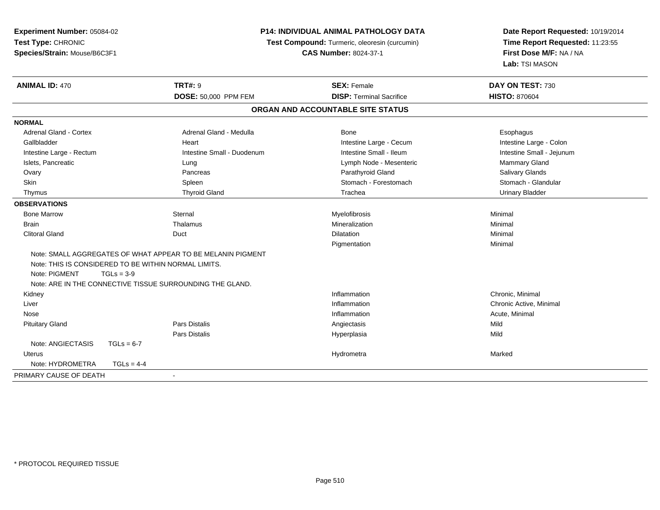| Experiment Number: 05084-02   |                                                             | <b>P14: INDIVIDUAL ANIMAL PATHOLOGY DATA</b>  |                                 |  |
|-------------------------------|-------------------------------------------------------------|-----------------------------------------------|---------------------------------|--|
| Test Type: CHRONIC            |                                                             | Test Compound: Turmeric, oleoresin (curcumin) | Time Report Requested: 11:23:55 |  |
| Species/Strain: Mouse/B6C3F1  |                                                             | <b>CAS Number: 8024-37-1</b>                  | First Dose M/F: NA / NA         |  |
|                               |                                                             |                                               | Lab: TSI MASON                  |  |
| <b>ANIMAL ID: 470</b>         | <b>TRT#: 9</b>                                              | <b>SEX: Female</b>                            | DAY ON TEST: 730                |  |
|                               | DOSE: 50,000 PPM FEM                                        | <b>DISP: Terminal Sacrifice</b>               | <b>HISTO: 870604</b>            |  |
|                               |                                                             | ORGAN AND ACCOUNTABLE SITE STATUS             |                                 |  |
| <b>NORMAL</b>                 |                                                             |                                               |                                 |  |
| <b>Adrenal Gland - Cortex</b> | Adrenal Gland - Medulla                                     | Bone                                          | Esophagus                       |  |
| Gallbladder                   | Heart                                                       | Intestine Large - Cecum                       | Intestine Large - Colon         |  |
| Intestine Large - Rectum      | Intestine Small - Duodenum                                  | Intestine Small - Ileum                       | Intestine Small - Jejunum       |  |
| Islets, Pancreatic            | Lung                                                        | Lymph Node - Mesenteric                       | Mammary Gland                   |  |
| Ovary                         | Pancreas                                                    | Parathyroid Gland                             | Salivary Glands                 |  |
| Skin                          | Spleen                                                      | Stomach - Forestomach                         | Stomach - Glandular             |  |
| Thymus                        | <b>Thyroid Gland</b>                                        | Trachea                                       | <b>Urinary Bladder</b>          |  |
| <b>OBSERVATIONS</b>           |                                                             |                                               |                                 |  |
| <b>Bone Marrow</b>            | Sternal                                                     | Myelofibrosis                                 | Minimal                         |  |
| <b>Brain</b>                  | Thalamus                                                    | Mineralization                                | Minimal                         |  |
| <b>Clitoral Gland</b>         | Duct                                                        | <b>Dilatation</b>                             | Minimal                         |  |
|                               |                                                             | Pigmentation                                  | Minimal                         |  |
|                               | Note: SMALL AGGREGATES OF WHAT APPEAR TO BE MELANIN PIGMENT |                                               |                                 |  |
|                               | Note: THIS IS CONSIDERED TO BE WITHIN NORMAL LIMITS.        |                                               |                                 |  |
| Note: PIGMENT<br>$TGLs = 3-9$ |                                                             |                                               |                                 |  |
|                               | Note: ARE IN THE CONNECTIVE TISSUE SURROUNDING THE GLAND.   |                                               |                                 |  |
| Kidney                        |                                                             | Inflammation                                  | Chronic, Minimal                |  |
| Liver                         |                                                             | Inflammation                                  | Chronic Active, Minimal         |  |
| Nose                          |                                                             | Inflammation                                  | Acute, Minimal                  |  |
| <b>Pituitary Gland</b>        | <b>Pars Distalis</b>                                        | Angiectasis                                   | Mild                            |  |
|                               | <b>Pars Distalis</b>                                        | Hyperplasia                                   | Mild                            |  |
| Note: ANGIECTASIS             | $TGLs = 6-7$                                                |                                               |                                 |  |
| Uterus                        |                                                             | Hydrometra                                    | Marked                          |  |
| Note: HYDROMETRA              | $TGLs = 4-4$                                                |                                               |                                 |  |
| PRIMARY CAUSE OF DEATH        |                                                             |                                               |                                 |  |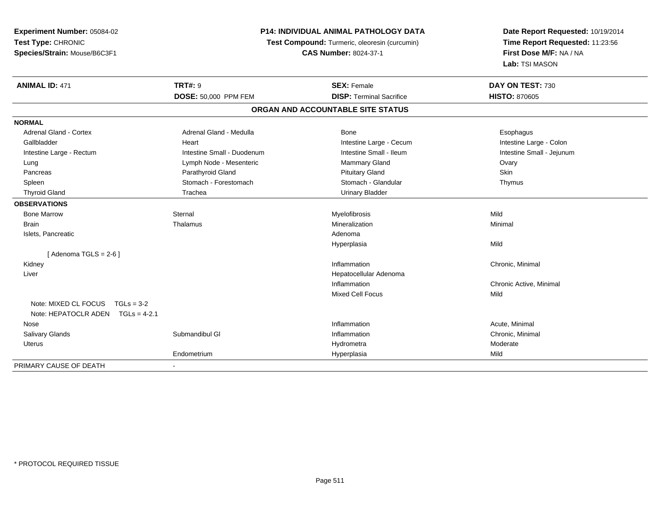| Experiment Number: 05084-02          |                            | <b>P14: INDIVIDUAL ANIMAL PATHOLOGY DATA</b>  | Date Report Requested: 10/19/2014         |  |
|--------------------------------------|----------------------------|-----------------------------------------------|-------------------------------------------|--|
| Test Type: CHRONIC                   |                            | Test Compound: Turmeric, oleoresin (curcumin) | Time Report Requested: 11:23:56           |  |
| Species/Strain: Mouse/B6C3F1         |                            | <b>CAS Number: 8024-37-1</b>                  | First Dose M/F: NA / NA<br>Lab: TSI MASON |  |
|                                      |                            |                                               |                                           |  |
| <b>ANIMAL ID: 471</b>                | <b>TRT#: 9</b>             | <b>SEX: Female</b>                            | DAY ON TEST: 730                          |  |
|                                      | DOSE: 50,000 PPM FEM       | <b>DISP: Terminal Sacrifice</b>               | <b>HISTO: 870605</b>                      |  |
|                                      |                            | ORGAN AND ACCOUNTABLE SITE STATUS             |                                           |  |
| <b>NORMAL</b>                        |                            |                                               |                                           |  |
| <b>Adrenal Gland - Cortex</b>        | Adrenal Gland - Medulla    | Bone                                          | Esophagus                                 |  |
| Gallbladder                          | Heart                      | Intestine Large - Cecum                       | Intestine Large - Colon                   |  |
| Intestine Large - Rectum             | Intestine Small - Duodenum | Intestine Small - Ileum                       | Intestine Small - Jejunum                 |  |
| Lung                                 | Lymph Node - Mesenteric    | Mammary Gland                                 | Ovary                                     |  |
| Pancreas                             | Parathyroid Gland          | <b>Pituitary Gland</b>                        | Skin                                      |  |
| Spleen                               | Stomach - Forestomach      | Stomach - Glandular                           | Thymus                                    |  |
| <b>Thyroid Gland</b>                 | Trachea                    | <b>Urinary Bladder</b>                        |                                           |  |
| <b>OBSERVATIONS</b>                  |                            |                                               |                                           |  |
| <b>Bone Marrow</b>                   | Sternal                    | Myelofibrosis                                 | Mild                                      |  |
| <b>Brain</b>                         | Thalamus                   | Mineralization                                | Minimal                                   |  |
| Islets, Pancreatic                   |                            | Adenoma                                       |                                           |  |
|                                      |                            | Hyperplasia                                   | Mild                                      |  |
| [Adenoma TGLS = $2-6$ ]              |                            |                                               |                                           |  |
| Kidney                               |                            | Inflammation                                  | Chronic, Minimal                          |  |
| Liver                                |                            | Hepatocellular Adenoma                        |                                           |  |
|                                      |                            | Inflammation                                  | Chronic Active, Minimal                   |  |
|                                      |                            | <b>Mixed Cell Focus</b>                       | Mild                                      |  |
| Note: MIXED CL FOCUS<br>$TGLs = 3-2$ |                            |                                               |                                           |  |
| Note: HEPATOCLR ADEN TGLs = 4-2.1    |                            |                                               |                                           |  |
| Nose                                 |                            | Inflammation                                  | Acute, Minimal                            |  |
| <b>Salivary Glands</b>               | Submandibul GI             | Inflammation                                  | Chronic, Minimal                          |  |
| <b>Uterus</b>                        |                            | Hydrometra                                    | Moderate                                  |  |
|                                      | Endometrium                | Hyperplasia                                   | Mild                                      |  |
| PRIMARY CAUSE OF DEATH               |                            |                                               |                                           |  |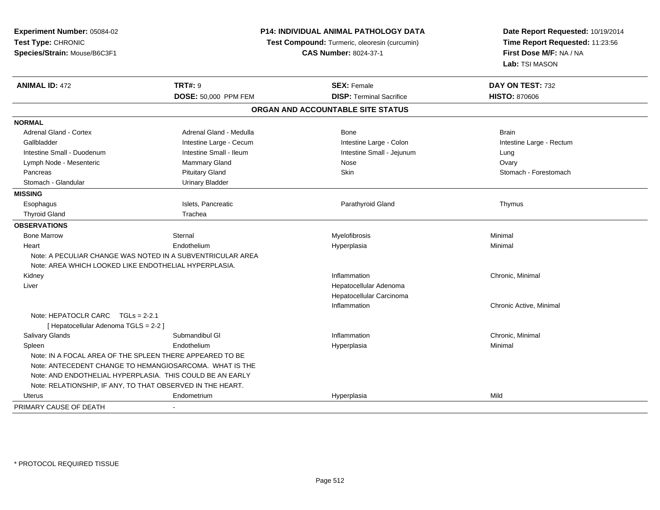| Experiment Number: 05084-02<br>Test Type: CHRONIC<br>Species/Strain: Mouse/B6C3F1 |                                                            | P14: INDIVIDUAL ANIMAL PATHOLOGY DATA<br>Test Compound: Turmeric, oleoresin (curcumin)<br><b>CAS Number: 8024-37-1</b> | Date Report Requested: 10/19/2014<br>Time Report Requested: 11:23:56<br>First Dose M/F: NA / NA<br>Lab: TSI MASON |  |
|-----------------------------------------------------------------------------------|------------------------------------------------------------|------------------------------------------------------------------------------------------------------------------------|-------------------------------------------------------------------------------------------------------------------|--|
| <b>ANIMAL ID: 472</b>                                                             | <b>TRT#: 9</b>                                             | <b>SEX: Female</b>                                                                                                     | DAY ON TEST: 732                                                                                                  |  |
|                                                                                   | DOSE: 50,000 PPM FEM                                       | <b>DISP: Terminal Sacrifice</b>                                                                                        | <b>HISTO: 870606</b>                                                                                              |  |
|                                                                                   |                                                            | ORGAN AND ACCOUNTABLE SITE STATUS                                                                                      |                                                                                                                   |  |
| <b>NORMAL</b>                                                                     |                                                            |                                                                                                                        |                                                                                                                   |  |
| Adrenal Gland - Cortex                                                            | Adrenal Gland - Medulla                                    | Bone                                                                                                                   | <b>Brain</b>                                                                                                      |  |
| Gallbladder                                                                       | Intestine Large - Cecum                                    | Intestine Large - Colon                                                                                                | Intestine Large - Rectum                                                                                          |  |
| Intestine Small - Duodenum                                                        | Intestine Small - Ileum                                    | Intestine Small - Jejunum                                                                                              | Lung                                                                                                              |  |
| Lymph Node - Mesenteric                                                           | Mammary Gland                                              | Nose                                                                                                                   | Ovary                                                                                                             |  |
| Pancreas                                                                          | <b>Pituitary Gland</b>                                     | <b>Skin</b>                                                                                                            | Stomach - Forestomach                                                                                             |  |
| Stomach - Glandular                                                               | <b>Urinary Bladder</b>                                     |                                                                                                                        |                                                                                                                   |  |
| <b>MISSING</b>                                                                    |                                                            |                                                                                                                        |                                                                                                                   |  |
| Esophagus                                                                         | Islets, Pancreatic                                         | Parathyroid Gland                                                                                                      | Thymus                                                                                                            |  |
| <b>Thyroid Gland</b>                                                              | Trachea                                                    |                                                                                                                        |                                                                                                                   |  |
| <b>OBSERVATIONS</b>                                                               |                                                            |                                                                                                                        |                                                                                                                   |  |
| <b>Bone Marrow</b>                                                                | Sternal                                                    | Myelofibrosis                                                                                                          | Minimal                                                                                                           |  |
| Heart                                                                             | Endothelium                                                | Hyperplasia                                                                                                            | Minimal                                                                                                           |  |
|                                                                                   | Note: A PECULIAR CHANGE WAS NOTED IN A SUBVENTRICULAR AREA |                                                                                                                        |                                                                                                                   |  |
| Note: AREA WHICH LOOKED LIKE ENDOTHELIAL HYPERPLASIA.                             |                                                            |                                                                                                                        |                                                                                                                   |  |
| Kidney                                                                            |                                                            | Inflammation                                                                                                           | Chronic, Minimal                                                                                                  |  |
| Liver                                                                             |                                                            | Hepatocellular Adenoma                                                                                                 |                                                                                                                   |  |
|                                                                                   |                                                            | Hepatocellular Carcinoma                                                                                               |                                                                                                                   |  |
|                                                                                   |                                                            | Inflammation                                                                                                           | Chronic Active, Minimal                                                                                           |  |
| Note: HEPATOCLR CARC $TGLs = 2-2.1$                                               |                                                            |                                                                                                                        |                                                                                                                   |  |
| [ Hepatocellular Adenoma TGLS = 2-2 ]                                             |                                                            |                                                                                                                        |                                                                                                                   |  |
| Salivary Glands                                                                   | Submandibul GI                                             | Inflammation                                                                                                           | Chronic, Minimal                                                                                                  |  |
| Spleen                                                                            | Endothelium                                                | Hyperplasia                                                                                                            | Minimal                                                                                                           |  |
| Note: IN A FOCAL AREA OF THE SPLEEN THERE APPEARED TO BE                          |                                                            |                                                                                                                        |                                                                                                                   |  |
|                                                                                   | Note: ANTECEDENT CHANGE TO HEMANGIOSARCOMA. WHAT IS THE    |                                                                                                                        |                                                                                                                   |  |
|                                                                                   | Note: AND ENDOTHELIAL HYPERPLASIA. THIS COULD BE AN EARLY  |                                                                                                                        |                                                                                                                   |  |
| Note: RELATIONSHIP, IF ANY, TO THAT OBSERVED IN THE HEART.                        |                                                            |                                                                                                                        |                                                                                                                   |  |
| Uterus                                                                            | Endometrium                                                | Hyperplasia                                                                                                            | Mild                                                                                                              |  |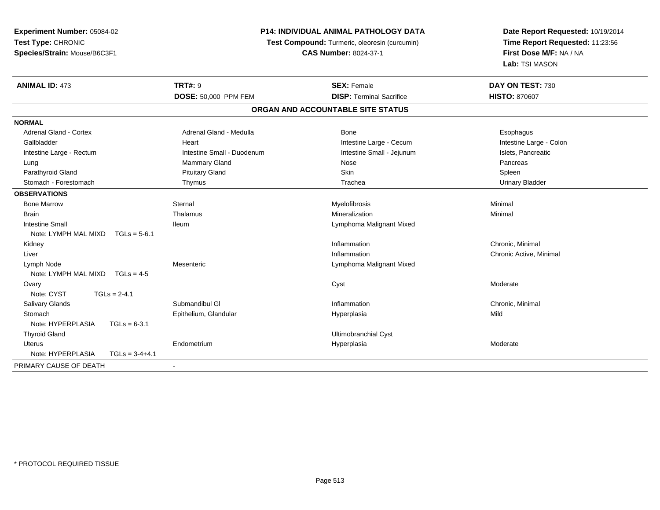**Experiment Number:** 05084-02**Test Type:** CHRONIC **Species/Strain:** Mouse/B6C3F1**P14: INDIVIDUAL ANIMAL PATHOLOGY DATATest Compound:** Turmeric, oleoresin (curcumin)**CAS Number:** 8024-37-1**Date Report Requested:** 10/19/2014**Time Report Requested:** 11:23:56**First Dose M/F:** NA / NA**Lab:** TSI MASON**ANIMAL ID:** 473**TRT#:** 9 **SEX:** Female **DAY ON TEST:** 730 **DOSE:** 50,000 PPM FEM**DISP:** Terminal Sacrifice **HISTO:** 870607 **ORGAN AND ACCOUNTABLE SITE STATUSNORMALAdrenal Gland - Cortex** Adrenal Gland - Medulla **Bone** Bone **Cortes Adrenal Gland - Cortes Adrenal Gland - Cortes Adrenal Adrenal Bone** Esophagus Intestine Large - Colon Gallbladder **East Community Community** Community Heart Heart Intestine Large - Cecum Intestine Large - Cecum Intestine Large - Rectum **Intestine Intestine Small - Duodenum** Intestine Small - Jejunum Intestine Large - Rectum Lung Mammary Gland Nose PancreasParathyroid Gland Schleen (Schleen Schleen Schleen Schleen Schleen Schleen Schleen Schleen Spleen Spleen Spleen **Urinary Bladder** Stomach - Forestomach **Thymus** Thymus Trachea Urinary Bladder Trachea Urinary Bladder Trachea **OBSERVATIONS** Bone Marroww the sternal sternal the sternal sternal method of the step of Myelofibrosis and Minimal method of Minimal me<br>The step of the step of the step of the step of the step of the step of the step of the step of the step of th Brainn and the theorem is the three matter of the matter of the matter of the matter of the matter of the matter of  $M$ inimal  $M$ inimal  $M$ inimal  $M$ inimal  $M$ inimal  $M$ inimal  $M$ inimal  $M$ inimal  $M$ inimal  $M$ inimal  $M$ inimal Intestine Small Ileum Lymphoma Malignant Mixed Note: LYMPH MAL MIXD TGLs = 5-6.1 Kidneyy the control of the control of the control of the control of the control of the control of the control of the control of the control of the control of the control of the control of the control of the control of the contro Inflammation **Chronic, Minimal**  Liver**Inflammation**  Chronic Active, Minimal Lymph NodeMesenteric Mesenteric Lymphoma Malignant Mixed<br>TGLs = 4-5 Note: LYMPH MAL MIXD Ovaryy the control of the control of the control of the control of the control of the control of the control of the control of the control of the control of the control of the control of the control of the control of the contro Note: CYST TGLs = 2-4.1 Salivary Glandss Submandibul Gl **Inflammation** Inflammation **Chronic, Minimal Stomach** h ann an Eise ann an Eise ann an Chaidh ann an t-an am Aire ann an Aire ann an Aire an Aire an Aire ann an Mil<br>Is an t-an an Eise an Eise an Aire an t-an an t-an an t-an an Aire an t-an Aire ann an Aire an Aire an Aire an Note: HYPERPLASIA TGLs = 6-3.1 Thyroid Gland Ultimobranchial Cyst Uterus Endometriumm and the Hyperplasia measurement of the Hyperplasia measurement of the Moderate Moderate of the Moderate of the Moderate of the Moderate of the Moderate of the Moderate of the Moderate of the Moderate of the Moderate of t Note: HYPERPLASIA TGLs = 3-4+4.1PRIMARY CAUSE OF DEATH-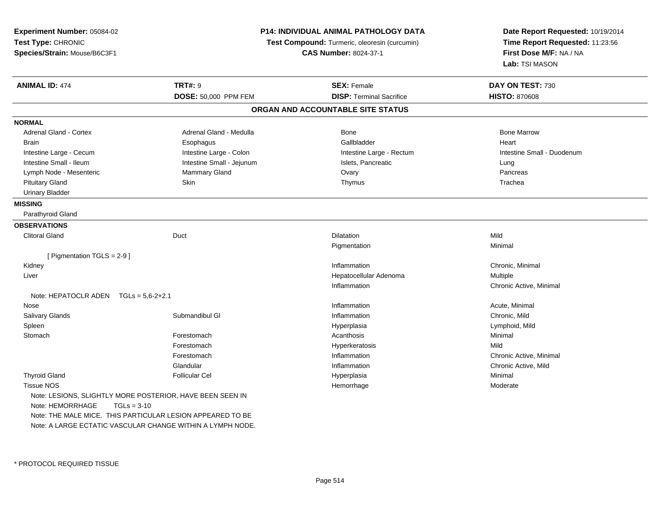| Experiment Number: 05084-02<br>Test Type: CHRONIC<br>Species/Strain: Mouse/B6C3F1                                                                                                                                          |                           | <b>P14: INDIVIDUAL ANIMAL PATHOLOGY DATA</b><br>Test Compound: Turmeric, oleoresin (curcumin)<br><b>CAS Number: 8024-37-1</b> | Date Report Requested: 10/19/2014<br>Time Report Requested: 11:23:56<br>First Dose M/F: NA / NA<br>Lab: TSI MASON |
|----------------------------------------------------------------------------------------------------------------------------------------------------------------------------------------------------------------------------|---------------------------|-------------------------------------------------------------------------------------------------------------------------------|-------------------------------------------------------------------------------------------------------------------|
| <b>ANIMAL ID: 474</b>                                                                                                                                                                                                      | <b>TRT#: 9</b>            | <b>SEX: Female</b>                                                                                                            | DAY ON TEST: 730                                                                                                  |
|                                                                                                                                                                                                                            | DOSE: 50,000 PPM FEM      | <b>DISP: Terminal Sacrifice</b>                                                                                               | <b>HISTO: 870608</b>                                                                                              |
|                                                                                                                                                                                                                            |                           | ORGAN AND ACCOUNTABLE SITE STATUS                                                                                             |                                                                                                                   |
| <b>NORMAL</b>                                                                                                                                                                                                              |                           |                                                                                                                               |                                                                                                                   |
| Adrenal Gland - Cortex                                                                                                                                                                                                     | Adrenal Gland - Medulla   | Bone                                                                                                                          | <b>Bone Marrow</b>                                                                                                |
| <b>Brain</b>                                                                                                                                                                                                               | Esophagus                 | Gallbladder                                                                                                                   | Heart                                                                                                             |
| Intestine Large - Cecum                                                                                                                                                                                                    | Intestine Large - Colon   | Intestine Large - Rectum                                                                                                      | Intestine Small - Duodenum                                                                                        |
| Intestine Small - Ileum                                                                                                                                                                                                    | Intestine Small - Jejunum | Islets, Pancreatic                                                                                                            | Lung                                                                                                              |
| Lymph Node - Mesenteric                                                                                                                                                                                                    | Mammary Gland             | Ovary                                                                                                                         | Pancreas                                                                                                          |
| <b>Pituitary Gland</b>                                                                                                                                                                                                     | <b>Skin</b>               | Thymus                                                                                                                        | Trachea                                                                                                           |
| <b>Urinary Bladder</b>                                                                                                                                                                                                     |                           |                                                                                                                               |                                                                                                                   |
| <b>MISSING</b>                                                                                                                                                                                                             |                           |                                                                                                                               |                                                                                                                   |
| Parathyroid Gland                                                                                                                                                                                                          |                           |                                                                                                                               |                                                                                                                   |
| <b>OBSERVATIONS</b>                                                                                                                                                                                                        |                           |                                                                                                                               |                                                                                                                   |
| <b>Clitoral Gland</b>                                                                                                                                                                                                      | Duct                      | <b>Dilatation</b>                                                                                                             | Mild                                                                                                              |
|                                                                                                                                                                                                                            |                           | Pigmentation                                                                                                                  | Minimal                                                                                                           |
| [ Pigmentation TGLS = $2-9$ ]                                                                                                                                                                                              |                           |                                                                                                                               |                                                                                                                   |
| Kidney                                                                                                                                                                                                                     |                           | Inflammation                                                                                                                  | Chronic, Minimal                                                                                                  |
| Liver                                                                                                                                                                                                                      |                           | Hepatocellular Adenoma                                                                                                        | Multiple                                                                                                          |
|                                                                                                                                                                                                                            |                           | Inflammation                                                                                                                  | Chronic Active, Minimal                                                                                           |
| Note: HEPATOCLR ADEN $TGLs = 5.6-2+2.1$                                                                                                                                                                                    |                           |                                                                                                                               |                                                                                                                   |
| Nose                                                                                                                                                                                                                       |                           | Inflammation                                                                                                                  | Acute, Minimal                                                                                                    |
| Salivary Glands                                                                                                                                                                                                            | Submandibul GI            | Inflammation                                                                                                                  | Chronic, Mild                                                                                                     |
| Spleen                                                                                                                                                                                                                     |                           | Hyperplasia                                                                                                                   | Lymphoid, Mild                                                                                                    |
| Stomach                                                                                                                                                                                                                    | Forestomach               | Acanthosis                                                                                                                    | Minimal                                                                                                           |
|                                                                                                                                                                                                                            | Forestomach               | Hyperkeratosis                                                                                                                | Mild                                                                                                              |
|                                                                                                                                                                                                                            | Forestomach               | Inflammation                                                                                                                  | Chronic Active, Minimal                                                                                           |
|                                                                                                                                                                                                                            | Glandular                 | Inflammation                                                                                                                  | Chronic Active, Mild                                                                                              |
| <b>Thyroid Gland</b>                                                                                                                                                                                                       | <b>Follicular Cel</b>     | Hyperplasia                                                                                                                   | Minimal                                                                                                           |
| <b>Tissue NOS</b>                                                                                                                                                                                                          |                           | Hemorrhage                                                                                                                    | Moderate                                                                                                          |
| Note: LESIONS, SLIGHTLY MORE POSTERIOR, HAVE BEEN SEEN IN<br>Note: HEMORRHAGE<br>$TGLs = 3-10$<br>Note: THE MALE MICE. THIS PARTICULAR LESION APPEARED TO BE<br>Note: A LARGE ECTATIC VASCULAR CHANGE WITHIN A LYMPH NODE. |                           |                                                                                                                               |                                                                                                                   |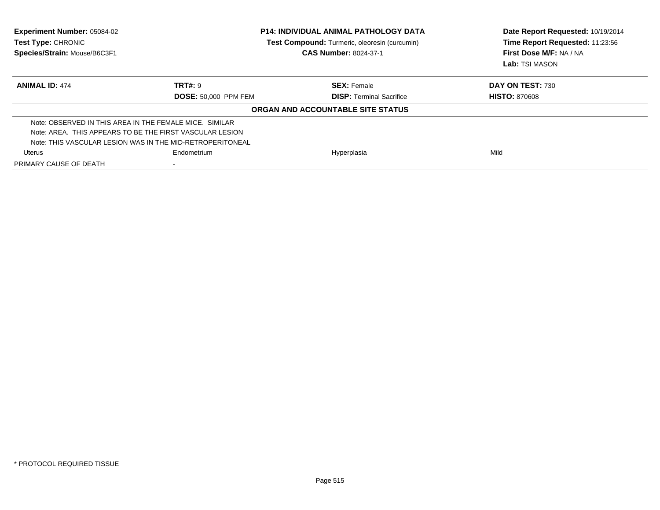| <b>Experiment Number: 05084-02</b><br><b>Test Type: CHRONIC</b><br>Species/Strain: Mouse/B6C3F1 | <b>P14: INDIVIDUAL ANIMAL PATHOLOGY DATA</b><br><b>Test Compound:</b> Turmeric, oleoresin (curcumin)<br><b>CAS Number: 8024-37-1</b> |                                   | Date Report Requested: 10/19/2014<br>Time Report Requested: 11:23:56<br>First Dose M/F: NA / NA<br>Lab: TSI MASON |  |
|-------------------------------------------------------------------------------------------------|--------------------------------------------------------------------------------------------------------------------------------------|-----------------------------------|-------------------------------------------------------------------------------------------------------------------|--|
| <b>ANIMAL ID: 474</b>                                                                           | <b>TRT#: 9</b>                                                                                                                       | <b>SEX: Female</b>                | <b>DAY ON TEST: 730</b>                                                                                           |  |
|                                                                                                 | <b>DOSE: 50.000 PPM FEM</b>                                                                                                          | <b>DISP:</b> Terminal Sacrifice   | <b>HISTO: 870608</b>                                                                                              |  |
|                                                                                                 |                                                                                                                                      | ORGAN AND ACCOUNTABLE SITE STATUS |                                                                                                                   |  |
| Note: OBSERVED IN THIS AREA IN THE FEMALE MICE. SIMILAR                                         |                                                                                                                                      |                                   |                                                                                                                   |  |
| Note: AREA. THIS APPEARS TO BE THE FIRST VASCULAR LESION                                        |                                                                                                                                      |                                   |                                                                                                                   |  |
| Note: THIS VASCULAR LESION WAS IN THE MID-RETROPERITONEAL                                       |                                                                                                                                      |                                   |                                                                                                                   |  |
| Uterus                                                                                          | Endometrium<br>Hyperplasia                                                                                                           |                                   | Mild                                                                                                              |  |
| PRIMARY CAUSE OF DEATH                                                                          |                                                                                                                                      |                                   |                                                                                                                   |  |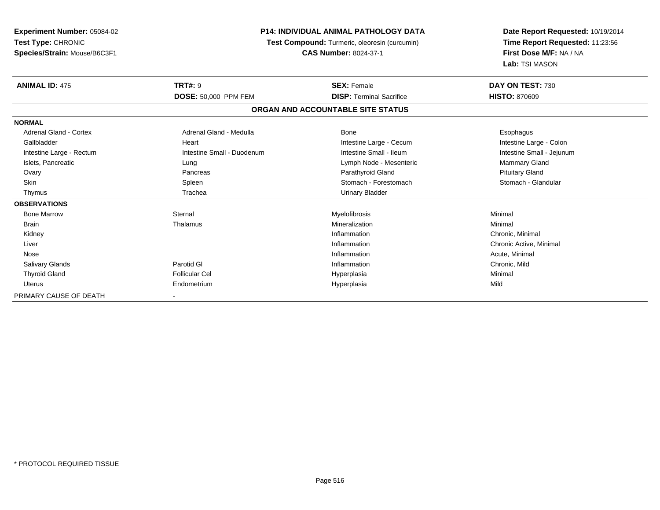| <b>Experiment Number: 05084-02</b><br>Test Type: CHRONIC<br>Species/Strain: Mouse/B6C3F1 |                             | <b>P14: INDIVIDUAL ANIMAL PATHOLOGY DATA</b><br>Test Compound: Turmeric, oleoresin (curcumin)<br><b>CAS Number: 8024-37-1</b> |                           |
|------------------------------------------------------------------------------------------|-----------------------------|-------------------------------------------------------------------------------------------------------------------------------|---------------------------|
| <b>ANIMAL ID: 475</b>                                                                    | <b>TRT#: 9</b>              | <b>SEX: Female</b>                                                                                                            | DAY ON TEST: 730          |
|                                                                                          | <b>DOSE: 50,000 PPM FEM</b> | <b>DISP: Terminal Sacrifice</b>                                                                                               | <b>HISTO: 870609</b>      |
|                                                                                          |                             | ORGAN AND ACCOUNTABLE SITE STATUS                                                                                             |                           |
| <b>NORMAL</b>                                                                            |                             |                                                                                                                               |                           |
| Adrenal Gland - Cortex                                                                   | Adrenal Gland - Medulla     | Bone                                                                                                                          | Esophagus                 |
| Gallbladder                                                                              | Heart                       | Intestine Large - Cecum                                                                                                       | Intestine Large - Colon   |
| Intestine Large - Rectum                                                                 | Intestine Small - Duodenum  | Intestine Small - Ileum                                                                                                       | Intestine Small - Jejunum |
| Islets, Pancreatic                                                                       | Lung                        | Lymph Node - Mesenteric                                                                                                       | <b>Mammary Gland</b>      |
| Ovary                                                                                    | Pancreas                    | Parathyroid Gland                                                                                                             | <b>Pituitary Gland</b>    |
| <b>Skin</b>                                                                              | Spleen                      | Stomach - Forestomach                                                                                                         | Stomach - Glandular       |
| Thymus                                                                                   | Trachea                     | <b>Urinary Bladder</b>                                                                                                        |                           |
| <b>OBSERVATIONS</b>                                                                      |                             |                                                                                                                               |                           |
| <b>Bone Marrow</b>                                                                       | Sternal                     | Myelofibrosis                                                                                                                 | Minimal                   |
| <b>Brain</b>                                                                             | Thalamus                    | Mineralization                                                                                                                | Minimal                   |
| Kidney                                                                                   |                             | Inflammation                                                                                                                  | Chronic, Minimal          |
| Liver                                                                                    |                             | Inflammation                                                                                                                  | Chronic Active, Minimal   |
| Nose                                                                                     |                             | Inflammation                                                                                                                  | Acute, Minimal            |
| <b>Salivary Glands</b>                                                                   | Parotid GI                  | Inflammation                                                                                                                  | Chronic, Mild             |
| <b>Thyroid Gland</b>                                                                     | <b>Follicular Cel</b>       | Hyperplasia                                                                                                                   | Minimal                   |
| Uterus                                                                                   | Endometrium                 | Hyperplasia                                                                                                                   | Mild                      |
| PRIMARY CAUSE OF DEATH                                                                   |                             |                                                                                                                               |                           |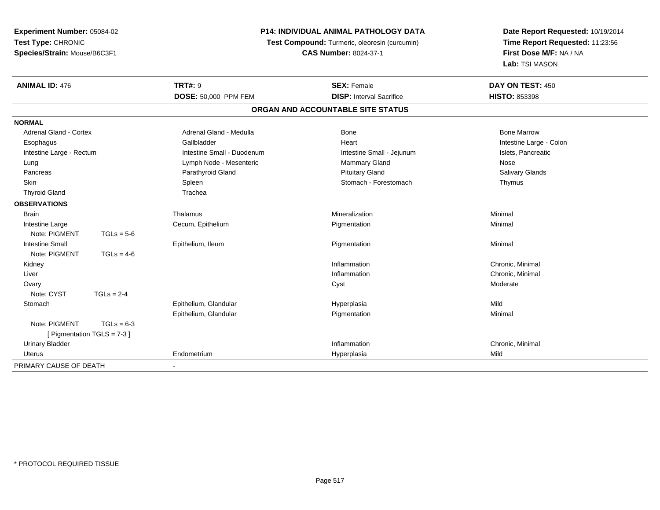**Experiment Number:** 05084-02**Test Type:** CHRONIC **Species/Strain:** Mouse/B6C3F1**P14: INDIVIDUAL ANIMAL PATHOLOGY DATA Test Compound:** Turmeric, oleoresin (curcumin)**CAS Number:** 8024-37-1**Date Report Requested:** 10/19/2014**Time Report Requested:** 11:23:56**First Dose M/F:** NA / NA**Lab:** TSI MASON**ANIMAL ID:** 476**TRT#:** 9 **SEX:** Female **DAY ON TEST:** 450 **DOSE:** 50,000 PPM FEM**DISP:** Interval Sacrifice **HISTO:** 853398 **ORGAN AND ACCOUNTABLE SITE STATUSNORMALAdrenal Gland - Cortex** Adrenal Gland - Medulla **Adrenal Gland - Medulla** Bone Bone Bone Bone Bone Marrow Esophagus Gallbladder Gallbladder (Gallbladder Heart Heart Intestine Large - Colon Intestine Large - Rectum **Intestine Small - Duodenum** Intestine Small - Jejunum Intestine Small - Jejunum Islets, Pancreatic Lung Communication Communication Communication Communication Communication Communication Communication Nose Communication Nose **Salivary Glands**  Pancreas Parathyroid Gland Pituitary Gland Salivary GlandsSkin Stomach - Forestomach - Forestomach - Forestomach - Forestomach - Forestomach - Forestomach - Forestomach Thyroid Gland The Trachea **OBSERVATIONS** Brainn and the theorem is the three matter of the matter of the matter of the matter of the matter of the matter of  $M$ inimal  $M$ inimal  $M$ inimal  $M$ inimal  $M$ inimal  $M$ inimal  $M$ inimal  $M$ inimal  $M$ inimal  $M$ inimal  $M$ inimal Intestine LargeCecum, Epithelium<br>TGLs = 5-6 Pigmentation Minimal Note: PIGMENT Intestine Small Epithelium, Ileumm and the Pigmentation of the Minimal of the Minimal of the Minimal of the Minimal of the Minimal of the Minimal of the Minimal of the Minimal of the Minimal of the Minimal of the Minimal of the Minimal of the Minimal of t Note: PIGMENT  $TGLs = 4-6$  Kidneyy the control of the control of the control of the control of the control of the control of the control of the control of the control of the control of the control of the control of the control of the control of the contro Inflammation **Chronic, Minimal**<br>
Inflammation **Chronic** Chronic Minimal Liver**Inflammation**  Chronic, Minimal Ovaryy the control of the control of the control of the control of the control of the control of the control of the control of the control of the control of the control of the control of the control of the control of the contro Note:  $CYST$   $TGLs = 2-4$ **Stomach** h ann an Eise ann an Eise ann an Chaidh ann an t-an am Aire ann an Aire ann an Aire an Aire an Aire ann an Mil<br>Is an t-an an Eise an Eise an Aire an t-an an t-an an t-an an Aire an t-an Aire ann an Aire an Aire an Aire an Epithelium, Glandular Pigmentationn Minimal Note: PIGMENT  $TGLs = 6-3$  [ Pigmentation TGLS = 7-3 ] Urinary Bladder**Inflammation Inflammation** Inflammation **Chronic**, Minimal Uterus Endometrium Hyperplasia Mild PRIMARY CAUSE OF DEATH-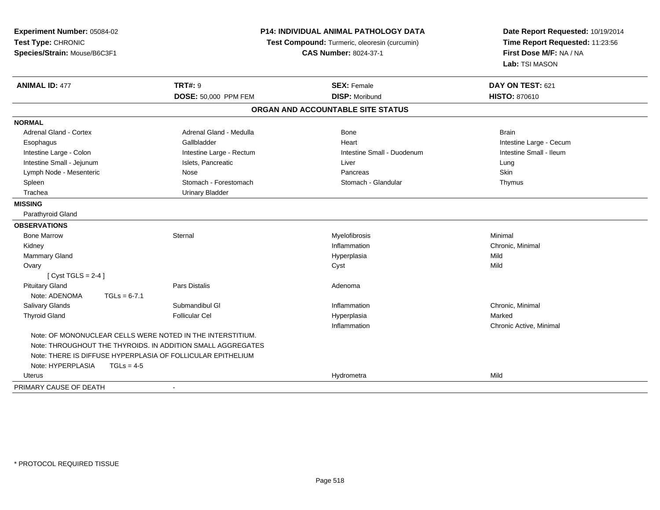| Experiment Number: 05084-02<br>Test Type: CHRONIC<br>Species/Strain: Mouse/B6C3F1 |                | <b>P14: INDIVIDUAL ANIMAL PATHOLOGY DATA</b><br>Test Compound: Turmeric, oleoresin (curcumin)<br><b>CAS Number: 8024-37-1</b> |                                   | Date Report Requested: 10/19/2014<br>Time Report Requested: 11:23:56<br>First Dose M/F: NA / NA<br>Lab: TSI MASON |  |
|-----------------------------------------------------------------------------------|----------------|-------------------------------------------------------------------------------------------------------------------------------|-----------------------------------|-------------------------------------------------------------------------------------------------------------------|--|
| <b>ANIMAL ID: 477</b>                                                             |                | <b>TRT#: 9</b>                                                                                                                | <b>SEX: Female</b>                | DAY ON TEST: 621                                                                                                  |  |
|                                                                                   |                | DOSE: 50,000 PPM FEM                                                                                                          | <b>DISP: Moribund</b>             | <b>HISTO: 870610</b>                                                                                              |  |
|                                                                                   |                |                                                                                                                               | ORGAN AND ACCOUNTABLE SITE STATUS |                                                                                                                   |  |
| <b>NORMAL</b>                                                                     |                |                                                                                                                               |                                   |                                                                                                                   |  |
| <b>Adrenal Gland - Cortex</b>                                                     |                | Adrenal Gland - Medulla                                                                                                       | <b>Bone</b>                       | <b>Brain</b>                                                                                                      |  |
| Esophagus                                                                         |                | Gallbladder                                                                                                                   | Heart                             | Intestine Large - Cecum                                                                                           |  |
| Intestine Large - Colon                                                           |                | Intestine Large - Rectum                                                                                                      | Intestine Small - Duodenum        | Intestine Small - Ileum                                                                                           |  |
| Intestine Small - Jejunum                                                         |                | Islets, Pancreatic                                                                                                            | Liver                             | Lung                                                                                                              |  |
| Lymph Node - Mesenteric                                                           |                | Nose                                                                                                                          | Pancreas                          | Skin                                                                                                              |  |
| Spleen                                                                            |                | Stomach - Forestomach                                                                                                         | Stomach - Glandular               | Thymus                                                                                                            |  |
| Trachea                                                                           |                | <b>Urinary Bladder</b>                                                                                                        |                                   |                                                                                                                   |  |
| <b>MISSING</b>                                                                    |                |                                                                                                                               |                                   |                                                                                                                   |  |
| Parathyroid Gland                                                                 |                |                                                                                                                               |                                   |                                                                                                                   |  |
| <b>OBSERVATIONS</b>                                                               |                |                                                                                                                               |                                   |                                                                                                                   |  |
| <b>Bone Marrow</b>                                                                |                | Sternal                                                                                                                       | Myelofibrosis                     | Minimal                                                                                                           |  |
| Kidney                                                                            |                |                                                                                                                               | Inflammation                      | Chronic, Minimal                                                                                                  |  |
| Mammary Gland                                                                     |                |                                                                                                                               | Hyperplasia                       | Mild                                                                                                              |  |
| Ovary                                                                             |                |                                                                                                                               | Cyst                              | Mild                                                                                                              |  |
| [Cyst TGLS = $2-4$ ]                                                              |                |                                                                                                                               |                                   |                                                                                                                   |  |
| <b>Pituitary Gland</b>                                                            |                | Pars Distalis                                                                                                                 | Adenoma                           |                                                                                                                   |  |
| Note: ADENOMA                                                                     | $TGLs = 6-7.1$ |                                                                                                                               |                                   |                                                                                                                   |  |
| Salivary Glands                                                                   |                | Submandibul GI                                                                                                                | Inflammation                      | Chronic, Minimal                                                                                                  |  |
| <b>Thyroid Gland</b>                                                              |                | <b>Follicular Cel</b>                                                                                                         | Hyperplasia                       | Marked                                                                                                            |  |
|                                                                                   |                |                                                                                                                               | Inflammation                      | Chronic Active, Minimal                                                                                           |  |
|                                                                                   |                | Note: OF MONONUCLEAR CELLS WERE NOTED IN THE INTERSTITIUM.                                                                    |                                   |                                                                                                                   |  |
|                                                                                   |                | Note: THROUGHOUT THE THYROIDS. IN ADDITION SMALL AGGREGATES                                                                   |                                   |                                                                                                                   |  |
|                                                                                   |                | Note: THERE IS DIFFUSE HYPERPLASIA OF FOLLICULAR EPITHELIUM                                                                   |                                   |                                                                                                                   |  |
| Note: HYPERPLASIA                                                                 | $TGLs = 4-5$   |                                                                                                                               |                                   |                                                                                                                   |  |
| Uterus                                                                            |                |                                                                                                                               | Hydrometra                        | Mild                                                                                                              |  |
| PRIMARY CAUSE OF DEATH                                                            |                |                                                                                                                               |                                   |                                                                                                                   |  |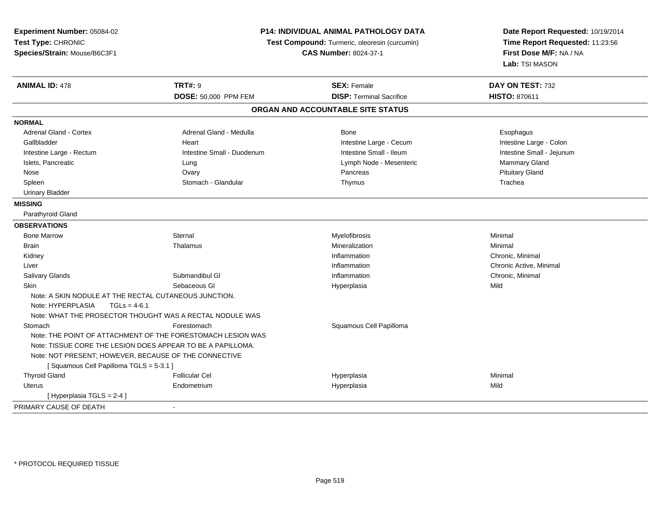| Experiment Number: 05084-02                                 | <b>P14: INDIVIDUAL ANIMAL PATHOLOGY DATA</b>                |                                               | Date Report Requested: 10/19/2014 |  |
|-------------------------------------------------------------|-------------------------------------------------------------|-----------------------------------------------|-----------------------------------|--|
| Test Type: CHRONIC                                          |                                                             | Test Compound: Turmeric, oleoresin (curcumin) | Time Report Requested: 11:23:56   |  |
| Species/Strain: Mouse/B6C3F1                                |                                                             | <b>CAS Number: 8024-37-1</b>                  | First Dose M/F: NA / NA           |  |
|                                                             |                                                             |                                               | Lab: TSI MASON                    |  |
| <b>ANIMAL ID: 478</b>                                       | <b>TRT#: 9</b>                                              | <b>SEX: Female</b>                            | DAY ON TEST: 732                  |  |
|                                                             | DOSE: 50,000 PPM FEM                                        | <b>DISP: Terminal Sacrifice</b>               | <b>HISTO: 870611</b>              |  |
|                                                             |                                                             | ORGAN AND ACCOUNTABLE SITE STATUS             |                                   |  |
| <b>NORMAL</b>                                               |                                                             |                                               |                                   |  |
| <b>Adrenal Gland - Cortex</b>                               | Adrenal Gland - Medulla                                     | <b>Bone</b>                                   | Esophagus                         |  |
| Gallbladder                                                 | Heart                                                       | Intestine Large - Cecum                       | Intestine Large - Colon           |  |
| Intestine Large - Rectum                                    | Intestine Small - Duodenum                                  | Intestine Small - Ileum                       | Intestine Small - Jejunum         |  |
| Islets, Pancreatic                                          | Lung                                                        | Lymph Node - Mesenteric                       | <b>Mammary Gland</b>              |  |
| Nose                                                        | Ovary                                                       | Pancreas                                      | <b>Pituitary Gland</b>            |  |
| Spleen                                                      | Stomach - Glandular                                         | Thymus                                        | Trachea                           |  |
| <b>Urinary Bladder</b>                                      |                                                             |                                               |                                   |  |
| <b>MISSING</b>                                              |                                                             |                                               |                                   |  |
| Parathyroid Gland                                           |                                                             |                                               |                                   |  |
| <b>OBSERVATIONS</b>                                         |                                                             |                                               |                                   |  |
| <b>Bone Marrow</b>                                          | Sternal                                                     | Myelofibrosis                                 | Minimal                           |  |
| Brain                                                       | Thalamus                                                    | Mineralization                                | Minimal                           |  |
| Kidney                                                      |                                                             | Inflammation                                  | Chronic, Minimal                  |  |
| Liver                                                       |                                                             | Inflammation                                  | Chronic Active, Minimal           |  |
| Salivary Glands                                             | Submandibul GI                                              | Inflammation                                  | Chronic, Minimal                  |  |
| Skin                                                        | Sebaceous GI                                                | Hyperplasia                                   | Mild                              |  |
| Note: A SKIN NODULE AT THE RECTAL CUTANEOUS JUNCTION.       |                                                             |                                               |                                   |  |
| Note: HYPERPLASIA<br>$TGLs = 4-6.1$                         |                                                             |                                               |                                   |  |
|                                                             | Note: WHAT THE PROSECTOR THOUGHT WAS A RECTAL NODULE WAS    |                                               |                                   |  |
| Stomach                                                     | Forestomach                                                 | Squamous Cell Papilloma                       |                                   |  |
|                                                             | Note: THE POINT OF ATTACHMENT OF THE FORESTOMACH LESION WAS |                                               |                                   |  |
| Note: TISSUE CORE THE LESION DOES APPEAR TO BE A PAPILLOMA. |                                                             |                                               |                                   |  |
| Note: NOT PRESENT; HOWEVER, BECAUSE OF THE CONNECTIVE       |                                                             |                                               |                                   |  |
| [Squamous Cell Papilloma TGLS = 5-3.1]                      |                                                             |                                               |                                   |  |
| <b>Thyroid Gland</b>                                        | <b>Follicular Cel</b>                                       | Hyperplasia                                   | Minimal                           |  |
| <b>Uterus</b>                                               | Endometrium                                                 | Hyperplasia                                   | Mild                              |  |
| [ Hyperplasia TGLS = 2-4 ]                                  |                                                             |                                               |                                   |  |
| PRIMARY CAUSE OF DEATH                                      |                                                             |                                               |                                   |  |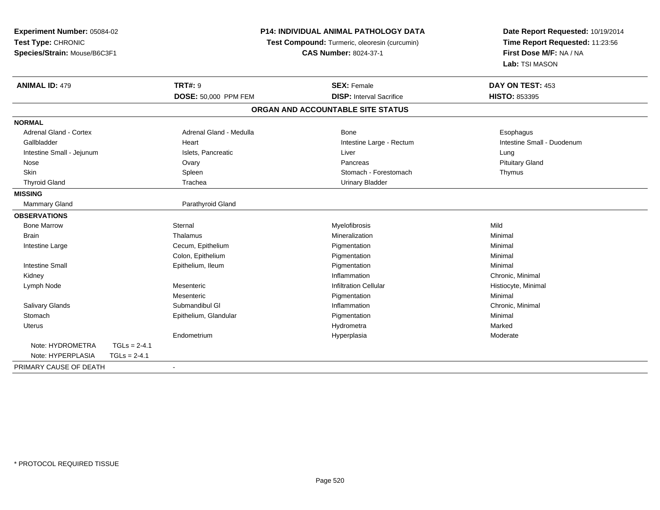| Experiment Number: 05084-02<br>Test Type: CHRONIC<br>Species/Strain: Mouse/B6C3F1 |                | <b>P14: INDIVIDUAL ANIMAL PATHOLOGY DATA</b><br>Test Compound: Turmeric, oleoresin (curcumin)<br><b>CAS Number: 8024-37-1</b> |                                   | Date Report Requested: 10/19/2014<br>Time Report Requested: 11:23:56<br>First Dose M/F: NA / NA<br>Lab: TSI MASON |
|-----------------------------------------------------------------------------------|----------------|-------------------------------------------------------------------------------------------------------------------------------|-----------------------------------|-------------------------------------------------------------------------------------------------------------------|
| <b>ANIMAL ID: 479</b>                                                             |                | <b>TRT#: 9</b>                                                                                                                | <b>SEX: Female</b>                | DAY ON TEST: 453                                                                                                  |
|                                                                                   |                | DOSE: 50,000 PPM FEM                                                                                                          | <b>DISP: Interval Sacrifice</b>   | HISTO: 853395                                                                                                     |
|                                                                                   |                |                                                                                                                               | ORGAN AND ACCOUNTABLE SITE STATUS |                                                                                                                   |
| <b>NORMAL</b>                                                                     |                |                                                                                                                               |                                   |                                                                                                                   |
| Adrenal Gland - Cortex                                                            |                | Adrenal Gland - Medulla                                                                                                       | Bone                              | Esophagus                                                                                                         |
| Gallbladder                                                                       |                | Heart                                                                                                                         | Intestine Large - Rectum          | Intestine Small - Duodenum                                                                                        |
| Intestine Small - Jejunum                                                         |                | Islets, Pancreatic                                                                                                            | Liver                             | Lung                                                                                                              |
| Nose                                                                              |                | Ovary                                                                                                                         | Pancreas                          | <b>Pituitary Gland</b>                                                                                            |
| Skin                                                                              |                | Spleen                                                                                                                        | Stomach - Forestomach             | Thymus                                                                                                            |
| <b>Thyroid Gland</b>                                                              |                | Trachea                                                                                                                       | <b>Urinary Bladder</b>            |                                                                                                                   |
| <b>MISSING</b>                                                                    |                |                                                                                                                               |                                   |                                                                                                                   |
| <b>Mammary Gland</b>                                                              |                | Parathyroid Gland                                                                                                             |                                   |                                                                                                                   |
| <b>OBSERVATIONS</b>                                                               |                |                                                                                                                               |                                   |                                                                                                                   |
| <b>Bone Marrow</b>                                                                |                | Sternal                                                                                                                       | Myelofibrosis                     | Mild                                                                                                              |
| Brain                                                                             |                | Thalamus                                                                                                                      | Mineralization                    | Minimal                                                                                                           |
| Intestine Large                                                                   |                | Cecum, Epithelium                                                                                                             | Pigmentation                      | Minimal                                                                                                           |
|                                                                                   |                | Colon, Epithelium                                                                                                             | Pigmentation                      | Minimal                                                                                                           |
| <b>Intestine Small</b>                                                            |                | Epithelium, Ileum                                                                                                             | Pigmentation                      | Minimal                                                                                                           |
| Kidney                                                                            |                |                                                                                                                               | Inflammation                      | Chronic, Minimal                                                                                                  |
| Lymph Node                                                                        |                | Mesenteric                                                                                                                    | <b>Infiltration Cellular</b>      | Histiocyte, Minimal                                                                                               |
|                                                                                   |                | Mesenteric                                                                                                                    | Pigmentation                      | Minimal                                                                                                           |
| Salivary Glands                                                                   |                | Submandibul GI                                                                                                                | Inflammation                      | Chronic, Minimal                                                                                                  |
| Stomach                                                                           |                | Epithelium, Glandular                                                                                                         | Pigmentation                      | Minimal                                                                                                           |
| Uterus                                                                            |                |                                                                                                                               | Hydrometra                        | Marked                                                                                                            |
|                                                                                   |                | Endometrium                                                                                                                   | Hyperplasia                       | Moderate                                                                                                          |
| Note: HYDROMETRA                                                                  | $TGLs = 2-4.1$ |                                                                                                                               |                                   |                                                                                                                   |
| Note: HYPERPLASIA                                                                 | $TGLS = 2-4.1$ |                                                                                                                               |                                   |                                                                                                                   |
| PRIMARY CAUSE OF DEATH                                                            |                |                                                                                                                               |                                   |                                                                                                                   |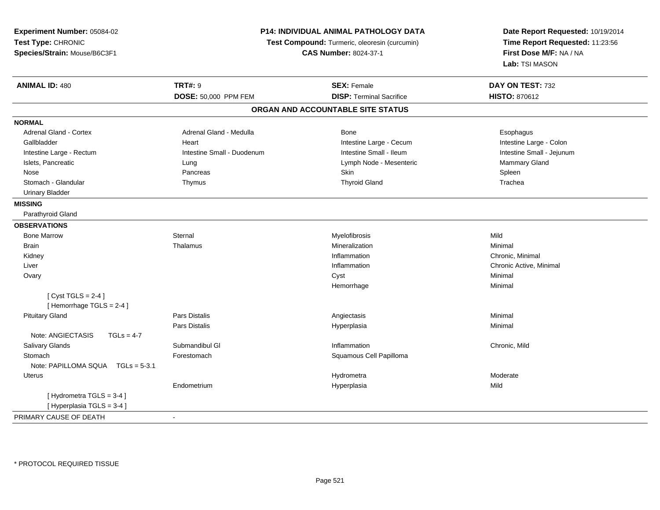| Experiment Number: 05084-02       | P14: INDIVIDUAL ANIMAL PATHOLOGY DATA<br>Test Compound: Turmeric, oleoresin (curcumin) |                                   | Date Report Requested: 10/19/2014 |  |
|-----------------------------------|----------------------------------------------------------------------------------------|-----------------------------------|-----------------------------------|--|
| Test Type: CHRONIC                |                                                                                        |                                   | Time Report Requested: 11:23:56   |  |
| Species/Strain: Mouse/B6C3F1      |                                                                                        | <b>CAS Number: 8024-37-1</b>      | First Dose M/F: NA / NA           |  |
|                                   |                                                                                        |                                   | Lab: TSI MASON                    |  |
| <b>ANIMAL ID: 480</b>             | <b>TRT#: 9</b>                                                                         | <b>SEX: Female</b>                | DAY ON TEST: 732                  |  |
|                                   | DOSE: 50,000 PPM FEM                                                                   | <b>DISP: Terminal Sacrifice</b>   | <b>HISTO: 870612</b>              |  |
|                                   |                                                                                        | ORGAN AND ACCOUNTABLE SITE STATUS |                                   |  |
| <b>NORMAL</b>                     |                                                                                        |                                   |                                   |  |
| Adrenal Gland - Cortex            | Adrenal Gland - Medulla                                                                | Bone                              | Esophagus                         |  |
| Gallbladder                       | Heart                                                                                  | Intestine Large - Cecum           | Intestine Large - Colon           |  |
| Intestine Large - Rectum          | Intestine Small - Duodenum                                                             | Intestine Small - Ileum           | Intestine Small - Jejunum         |  |
| Islets, Pancreatic                | Lung                                                                                   | Lymph Node - Mesenteric           | Mammary Gland                     |  |
| Nose                              | Pancreas                                                                               | Skin                              | Spleen                            |  |
| Stomach - Glandular               | Thymus                                                                                 | <b>Thyroid Gland</b>              | Trachea                           |  |
| <b>Urinary Bladder</b>            |                                                                                        |                                   |                                   |  |
| <b>MISSING</b>                    |                                                                                        |                                   |                                   |  |
| Parathyroid Gland                 |                                                                                        |                                   |                                   |  |
| <b>OBSERVATIONS</b>               |                                                                                        |                                   |                                   |  |
| <b>Bone Marrow</b>                | Sternal                                                                                | Myelofibrosis                     | Mild                              |  |
| Brain                             | Thalamus                                                                               | Mineralization                    | Minimal                           |  |
| Kidney                            |                                                                                        | Inflammation                      | Chronic, Minimal                  |  |
| Liver                             |                                                                                        | Inflammation                      | Chronic Active, Minimal           |  |
| Ovary                             |                                                                                        | Cyst                              | Minimal                           |  |
|                                   |                                                                                        | Hemorrhage                        | Minimal                           |  |
| [Cyst TGLS = $2-4$ ]              |                                                                                        |                                   |                                   |  |
| [Hemorrhage TGLS = 2-4]           |                                                                                        |                                   |                                   |  |
| <b>Pituitary Gland</b>            | <b>Pars Distalis</b>                                                                   | Angiectasis                       | Minimal                           |  |
|                                   | Pars Distalis                                                                          | Hyperplasia                       | Minimal                           |  |
| Note: ANGIECTASIS<br>$TGLs = 4-7$ |                                                                                        |                                   |                                   |  |
| Salivary Glands                   | Submandibul GI                                                                         | Inflammation                      | Chronic, Mild                     |  |
| Stomach                           | Forestomach                                                                            | Squamous Cell Papilloma           |                                   |  |
| Note: PAPILLOMA SQUA TGLs = 5-3.1 |                                                                                        |                                   |                                   |  |
| <b>Uterus</b>                     |                                                                                        | Hydrometra                        | Moderate                          |  |
|                                   | Endometrium                                                                            | Hyperplasia                       | Mild                              |  |
| [Hydrometra TGLS = 3-4]           |                                                                                        |                                   |                                   |  |
| [Hyperplasia TGLS = 3-4]          |                                                                                        |                                   |                                   |  |
| PRIMARY CAUSE OF DEATH            | $\mathbf{r}$                                                                           |                                   |                                   |  |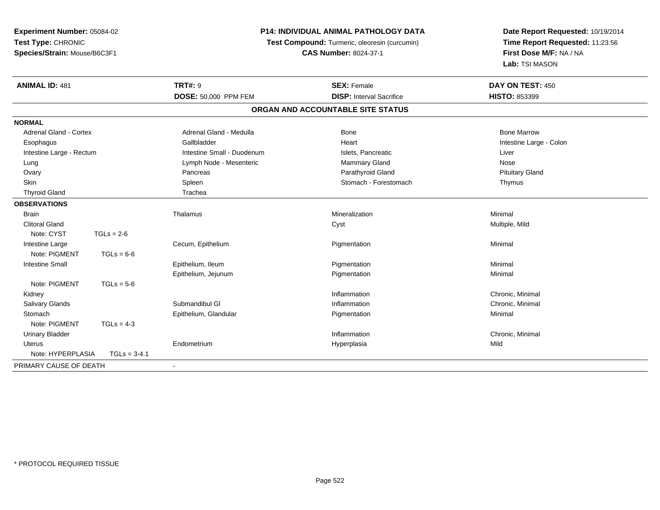| Experiment Number: 05084-02                        |                | P14: INDIVIDUAL ANIMAL PATHOLOGY DATA         |                                   | Date Report Requested: 10/19/2014 |
|----------------------------------------------------|----------------|-----------------------------------------------|-----------------------------------|-----------------------------------|
| Test Type: CHRONIC<br>Species/Strain: Mouse/B6C3F1 |                | Test Compound: Turmeric, oleoresin (curcumin) |                                   | Time Report Requested: 11:23:56   |
|                                                    |                |                                               | <b>CAS Number: 8024-37-1</b>      | First Dose M/F: NA / NA           |
|                                                    |                |                                               |                                   | Lab: TSI MASON                    |
| <b>ANIMAL ID: 481</b>                              |                | <b>TRT#: 9</b>                                | <b>SEX: Female</b>                | DAY ON TEST: 450                  |
|                                                    |                | DOSE: 50,000 PPM FEM                          | <b>DISP: Interval Sacrifice</b>   | HISTO: 853399                     |
|                                                    |                |                                               | ORGAN AND ACCOUNTABLE SITE STATUS |                                   |
| <b>NORMAL</b>                                      |                |                                               |                                   |                                   |
| <b>Adrenal Gland - Cortex</b>                      |                | Adrenal Gland - Medulla                       | <b>Bone</b>                       | <b>Bone Marrow</b>                |
| Esophagus                                          |                | Gallbladder                                   | Heart                             | Intestine Large - Colon           |
| Intestine Large - Rectum                           |                | Intestine Small - Duodenum                    | Islets, Pancreatic                | Liver                             |
| Lung                                               |                | Lymph Node - Mesenteric                       | Mammary Gland                     | Nose                              |
| Ovary                                              |                | Pancreas                                      | Parathyroid Gland                 | <b>Pituitary Gland</b>            |
| <b>Skin</b>                                        |                | Spleen                                        | Stomach - Forestomach             | Thymus                            |
| <b>Thyroid Gland</b>                               |                | Trachea                                       |                                   |                                   |
| <b>OBSERVATIONS</b>                                |                |                                               |                                   |                                   |
| <b>Brain</b>                                       |                | Thalamus                                      | Mineralization                    | Minimal                           |
| <b>Clitoral Gland</b>                              |                |                                               | Cyst                              | Multiple, Mild                    |
| Note: CYST                                         | $TGLs = 2-6$   |                                               |                                   |                                   |
| Intestine Large                                    |                | Cecum, Epithelium                             | Pigmentation                      | Minimal                           |
| Note: PIGMENT                                      | $TGLs = 6-6$   |                                               |                                   |                                   |
| <b>Intestine Small</b>                             |                | Epithelium, Ileum                             | Pigmentation                      | Minimal                           |
|                                                    |                | Epithelium, Jejunum                           | Pigmentation                      | Minimal                           |
| Note: PIGMENT                                      | $TGLs = 5-6$   |                                               |                                   |                                   |
| Kidney                                             |                |                                               | Inflammation                      | Chronic, Minimal                  |
| Salivary Glands                                    |                | Submandibul GI                                | Inflammation                      | Chronic, Minimal                  |
| Stomach                                            |                | Epithelium, Glandular                         | Pigmentation                      | Minimal                           |
| Note: PIGMENT                                      | $TGLs = 4-3$   |                                               |                                   |                                   |
| <b>Urinary Bladder</b>                             |                |                                               | Inflammation                      | Chronic, Minimal                  |
| <b>Uterus</b>                                      |                | Endometrium                                   | Hyperplasia                       | Mild                              |
| Note: HYPERPLASIA                                  | $TGLs = 3-4.1$ |                                               |                                   |                                   |
| PRIMARY CAUSE OF DEATH                             |                |                                               |                                   |                                   |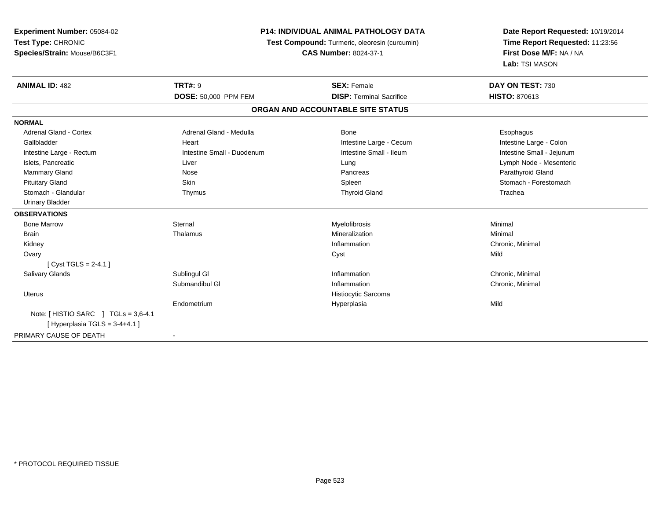| <b>Experiment Number: 05084-02</b>       | <b>P14: INDIVIDUAL ANIMAL PATHOLOGY DATA</b><br>Test Compound: Turmeric, oleoresin (curcumin) |                                   | Date Report Requested: 10/19/2014<br>Time Report Requested: 11:23:56 |  |
|------------------------------------------|-----------------------------------------------------------------------------------------------|-----------------------------------|----------------------------------------------------------------------|--|
| Test Type: CHRONIC                       |                                                                                               |                                   |                                                                      |  |
| Species/Strain: Mouse/B6C3F1             |                                                                                               | <b>CAS Number: 8024-37-1</b>      | First Dose M/F: NA / NA                                              |  |
|                                          |                                                                                               |                                   | Lab: TSI MASON                                                       |  |
| <b>ANIMAL ID: 482</b>                    | <b>TRT#: 9</b>                                                                                | <b>SEX: Female</b>                | DAY ON TEST: 730                                                     |  |
|                                          | DOSE: 50,000 PPM FEM                                                                          | <b>DISP: Terminal Sacrifice</b>   | <b>HISTO: 870613</b>                                                 |  |
|                                          |                                                                                               | ORGAN AND ACCOUNTABLE SITE STATUS |                                                                      |  |
| <b>NORMAL</b>                            |                                                                                               |                                   |                                                                      |  |
| Adrenal Gland - Cortex                   | Adrenal Gland - Medulla                                                                       | Bone                              | Esophagus                                                            |  |
| Gallbladder                              | Heart                                                                                         | Intestine Large - Cecum           | Intestine Large - Colon                                              |  |
| Intestine Large - Rectum                 | Intestine Small - Duodenum                                                                    | Intestine Small - Ileum           | Intestine Small - Jejunum                                            |  |
| Islets, Pancreatic                       | Liver                                                                                         | Lung                              | Lymph Node - Mesenteric                                              |  |
| Mammary Gland                            | Nose                                                                                          | Pancreas                          | Parathyroid Gland                                                    |  |
| <b>Pituitary Gland</b>                   | Skin                                                                                          | Spleen                            | Stomach - Forestomach                                                |  |
| Stomach - Glandular                      | Thymus                                                                                        | <b>Thyroid Gland</b>              | Trachea                                                              |  |
| <b>Urinary Bladder</b>                   |                                                                                               |                                   |                                                                      |  |
| <b>OBSERVATIONS</b>                      |                                                                                               |                                   |                                                                      |  |
| <b>Bone Marrow</b>                       | Sternal                                                                                       | Myelofibrosis                     | Minimal                                                              |  |
| <b>Brain</b>                             | Thalamus                                                                                      | Mineralization                    | Minimal                                                              |  |
| Kidney                                   |                                                                                               | Inflammation                      | Chronic, Minimal                                                     |  |
| Ovary                                    |                                                                                               | Cyst                              | Mild                                                                 |  |
| [Cyst TGLS = $2-4.1$ ]                   |                                                                                               |                                   |                                                                      |  |
| <b>Salivary Glands</b>                   | Sublingul GI                                                                                  | Inflammation                      | Chronic, Minimal                                                     |  |
|                                          | Submandibul GI                                                                                | Inflammation                      | Chronic, Minimal                                                     |  |
| <b>Uterus</b>                            |                                                                                               | Histiocytic Sarcoma               |                                                                      |  |
|                                          | Endometrium                                                                                   | Hyperplasia                       | Mild                                                                 |  |
| Note: $[$ HISTIO SARC $]$ TGLs = 3,6-4.1 |                                                                                               |                                   |                                                                      |  |
| [Hyperplasia TGLS = $3-4+4.1$ ]          |                                                                                               |                                   |                                                                      |  |
| PRIMARY CAUSE OF DEATH                   |                                                                                               |                                   |                                                                      |  |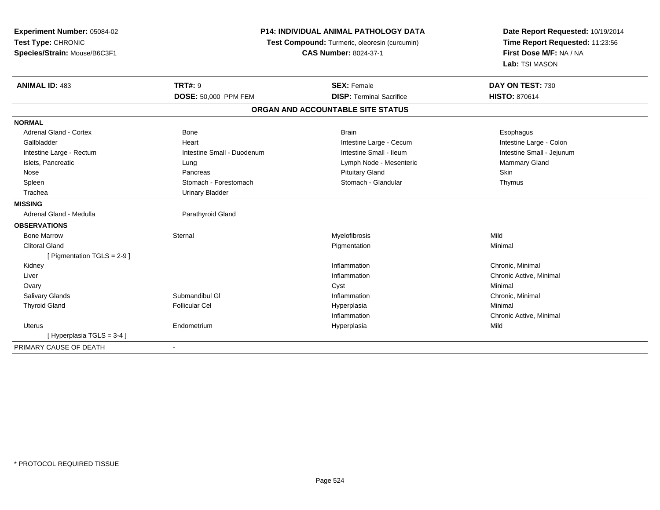| Experiment Number: 05084-02<br>Test Type: CHRONIC |                              | <b>P14: INDIVIDUAL ANIMAL PATHOLOGY DATA</b><br>Test Compound: Turmeric, oleoresin (curcumin) | Date Report Requested: 10/19/2014<br>Time Report Requested: 11:23:56 |  |
|---------------------------------------------------|------------------------------|-----------------------------------------------------------------------------------------------|----------------------------------------------------------------------|--|
| Species/Strain: Mouse/B6C3F1                      | <b>CAS Number: 8024-37-1</b> |                                                                                               | First Dose M/F: NA / NA<br>Lab: TSI MASON                            |  |
| <b>ANIMAL ID: 483</b>                             | <b>TRT#: 9</b>               | <b>SEX: Female</b>                                                                            | DAY ON TEST: 730                                                     |  |
|                                                   | DOSE: 50,000 PPM FEM         | <b>DISP: Terminal Sacrifice</b>                                                               | <b>HISTO: 870614</b>                                                 |  |
|                                                   |                              | ORGAN AND ACCOUNTABLE SITE STATUS                                                             |                                                                      |  |
| <b>NORMAL</b>                                     |                              |                                                                                               |                                                                      |  |
| <b>Adrenal Gland - Cortex</b>                     | Bone                         | <b>Brain</b>                                                                                  | Esophagus                                                            |  |
| Gallbladder                                       | Heart                        | Intestine Large - Cecum                                                                       | Intestine Large - Colon                                              |  |
| Intestine Large - Rectum                          | Intestine Small - Duodenum   | Intestine Small - Ileum                                                                       | Intestine Small - Jejunum                                            |  |
| Islets, Pancreatic                                | Lung                         | Lymph Node - Mesenteric                                                                       | Mammary Gland                                                        |  |
| Nose                                              | Pancreas                     | <b>Pituitary Gland</b>                                                                        | <b>Skin</b>                                                          |  |
| Spleen                                            | Stomach - Forestomach        | Stomach - Glandular                                                                           | Thymus                                                               |  |
| Trachea                                           | <b>Urinary Bladder</b>       |                                                                                               |                                                                      |  |
| <b>MISSING</b>                                    |                              |                                                                                               |                                                                      |  |
| Adrenal Gland - Medulla                           | Parathyroid Gland            |                                                                                               |                                                                      |  |
| <b>OBSERVATIONS</b>                               |                              |                                                                                               |                                                                      |  |
| <b>Bone Marrow</b>                                | Sternal                      | Myelofibrosis                                                                                 | Mild                                                                 |  |
| <b>Clitoral Gland</b>                             |                              | Pigmentation                                                                                  | Minimal                                                              |  |
| [ Pigmentation TGLS = 2-9 ]                       |                              |                                                                                               |                                                                      |  |
| Kidney                                            |                              | Inflammation                                                                                  | Chronic, Minimal                                                     |  |
| Liver                                             |                              | Inflammation                                                                                  | Chronic Active, Minimal                                              |  |
| Ovary                                             |                              | Cyst                                                                                          | Minimal                                                              |  |
| <b>Salivary Glands</b>                            | Submandibul GI               | Inflammation                                                                                  | Chronic, Minimal                                                     |  |
| <b>Thyroid Gland</b>                              | <b>Follicular Cel</b>        | Hyperplasia                                                                                   | Minimal                                                              |  |
|                                                   |                              | Inflammation                                                                                  | Chronic Active, Minimal                                              |  |
| <b>Uterus</b>                                     | Endometrium                  | Hyperplasia                                                                                   | Mild                                                                 |  |
| [ Hyperplasia TGLS = 3-4 ]                        |                              |                                                                                               |                                                                      |  |
| PRIMARY CAUSE OF DEATH                            |                              |                                                                                               |                                                                      |  |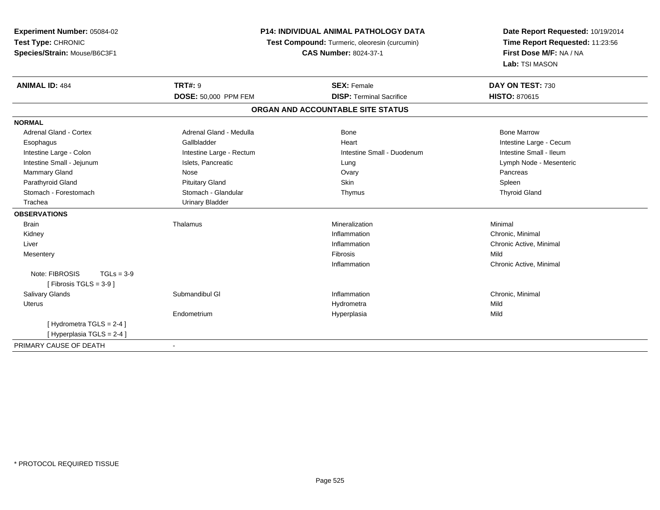| Experiment Number: 05084-02<br>Test Type: CHRONIC<br>Species/Strain: Mouse/B6C3F1 |                          | <b>P14: INDIVIDUAL ANIMAL PATHOLOGY DATA</b><br>Test Compound: Turmeric, oleoresin (curcumin)<br><b>CAS Number: 8024-37-1</b> | Date Report Requested: 10/19/2014<br>Time Report Requested: 11:23:56<br>First Dose M/F: NA / NA |  |
|-----------------------------------------------------------------------------------|--------------------------|-------------------------------------------------------------------------------------------------------------------------------|-------------------------------------------------------------------------------------------------|--|
|                                                                                   |                          |                                                                                                                               | Lab: TSI MASON                                                                                  |  |
| <b>ANIMAL ID: 484</b>                                                             | <b>TRT#: 9</b>           | <b>SEX: Female</b>                                                                                                            | DAY ON TEST: 730                                                                                |  |
|                                                                                   | DOSE: 50,000 PPM FEM     | <b>DISP: Terminal Sacrifice</b>                                                                                               | <b>HISTO: 870615</b>                                                                            |  |
|                                                                                   |                          | ORGAN AND ACCOUNTABLE SITE STATUS                                                                                             |                                                                                                 |  |
| <b>NORMAL</b>                                                                     |                          |                                                                                                                               |                                                                                                 |  |
| <b>Adrenal Gland - Cortex</b>                                                     | Adrenal Gland - Medulla  | <b>Bone</b>                                                                                                                   | <b>Bone Marrow</b>                                                                              |  |
| Esophagus                                                                         | Gallbladder              | Heart                                                                                                                         | Intestine Large - Cecum                                                                         |  |
| Intestine Large - Colon                                                           | Intestine Large - Rectum | Intestine Small - Duodenum                                                                                                    | Intestine Small - Ileum                                                                         |  |
| Intestine Small - Jejunum                                                         | Islets, Pancreatic       | Lung                                                                                                                          | Lymph Node - Mesenteric                                                                         |  |
| Mammary Gland                                                                     | Nose                     | Ovary                                                                                                                         | Pancreas                                                                                        |  |
| Parathyroid Gland                                                                 | <b>Pituitary Gland</b>   | <b>Skin</b>                                                                                                                   | Spleen                                                                                          |  |
| Stomach - Forestomach                                                             | Stomach - Glandular      | Thymus                                                                                                                        | <b>Thyroid Gland</b>                                                                            |  |
| Trachea                                                                           | <b>Urinary Bladder</b>   |                                                                                                                               |                                                                                                 |  |
| <b>OBSERVATIONS</b>                                                               |                          |                                                                                                                               |                                                                                                 |  |
| <b>Brain</b>                                                                      | Thalamus                 | Mineralization                                                                                                                | Minimal                                                                                         |  |
| Kidney                                                                            |                          | Inflammation                                                                                                                  | Chronic, Minimal                                                                                |  |
| Liver                                                                             |                          | Inflammation                                                                                                                  | Chronic Active, Minimal                                                                         |  |
| Mesentery                                                                         |                          | Fibrosis                                                                                                                      | Mild                                                                                            |  |
|                                                                                   |                          | Inflammation                                                                                                                  | Chronic Active, Minimal                                                                         |  |
| Note: FIBROSIS<br>$TGLs = 3-9$                                                    |                          |                                                                                                                               |                                                                                                 |  |
| [ Fibrosis TGLS = $3-9$ ]                                                         |                          |                                                                                                                               |                                                                                                 |  |
| Salivary Glands                                                                   | Submandibul GI           | Inflammation                                                                                                                  | Chronic, Minimal                                                                                |  |
| Uterus                                                                            |                          | Hydrometra                                                                                                                    | Mild                                                                                            |  |
|                                                                                   | Endometrium              | Hyperplasia                                                                                                                   | Mild                                                                                            |  |
| [Hydrometra TGLS = 2-4]                                                           |                          |                                                                                                                               |                                                                                                 |  |
| [ Hyperplasia TGLS = 2-4 ]                                                        |                          |                                                                                                                               |                                                                                                 |  |
| PRIMARY CAUSE OF DEATH                                                            | $\blacksquare$           |                                                                                                                               |                                                                                                 |  |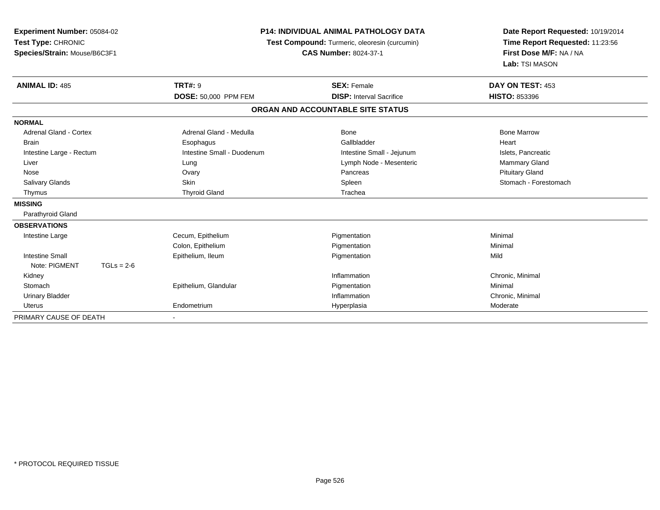| Experiment Number: 05084-02<br>Test Type: CHRONIC<br>Species/Strain: Mouse/B6C3F1<br><b>ANIMAL ID: 485</b> | <b>P14: INDIVIDUAL ANIMAL PATHOLOGY DATA</b><br>Test Compound: Turmeric, oleoresin (curcumin)<br><b>CAS Number: 8024-37-1</b><br><b>TRT#: 9</b><br><b>SEX: Female</b> |                                   | Date Report Requested: 10/19/2014<br>Time Report Requested: 11:23:56<br>First Dose M/F: NA / NA<br>Lab: TSI MASON<br>DAY ON TEST: 453 |
|------------------------------------------------------------------------------------------------------------|-----------------------------------------------------------------------------------------------------------------------------------------------------------------------|-----------------------------------|---------------------------------------------------------------------------------------------------------------------------------------|
|                                                                                                            | <b>DOSE: 50,000 PPM FEM</b>                                                                                                                                           | <b>DISP: Interval Sacrifice</b>   | <b>HISTO: 853396</b>                                                                                                                  |
|                                                                                                            |                                                                                                                                                                       | ORGAN AND ACCOUNTABLE SITE STATUS |                                                                                                                                       |
| <b>NORMAL</b>                                                                                              |                                                                                                                                                                       |                                   |                                                                                                                                       |
| <b>Adrenal Gland - Cortex</b>                                                                              | Adrenal Gland - Medulla                                                                                                                                               | <b>Bone</b>                       | <b>Bone Marrow</b>                                                                                                                    |
| Brain                                                                                                      | Esophagus                                                                                                                                                             | Gallbladder                       | Heart                                                                                                                                 |
| Intestine Large - Rectum                                                                                   | Intestine Small - Duodenum                                                                                                                                            | Intestine Small - Jejunum         | Islets, Pancreatic                                                                                                                    |
| Liver                                                                                                      | Lung                                                                                                                                                                  | Lymph Node - Mesenteric           | Mammary Gland                                                                                                                         |
| Nose                                                                                                       | Ovary                                                                                                                                                                 | Pancreas                          | <b>Pituitary Gland</b>                                                                                                                |
| <b>Salivary Glands</b>                                                                                     | <b>Skin</b>                                                                                                                                                           | Spleen                            | Stomach - Forestomach                                                                                                                 |
| Thymus                                                                                                     | <b>Thyroid Gland</b>                                                                                                                                                  | Trachea                           |                                                                                                                                       |
| <b>MISSING</b>                                                                                             |                                                                                                                                                                       |                                   |                                                                                                                                       |
| Parathyroid Gland                                                                                          |                                                                                                                                                                       |                                   |                                                                                                                                       |
| <b>OBSERVATIONS</b>                                                                                        |                                                                                                                                                                       |                                   |                                                                                                                                       |
| Intestine Large                                                                                            | Cecum, Epithelium                                                                                                                                                     | Pigmentation                      | Minimal                                                                                                                               |
|                                                                                                            | Colon, Epithelium                                                                                                                                                     | Pigmentation                      | Minimal                                                                                                                               |
| <b>Intestine Small</b>                                                                                     | Epithelium, Ileum                                                                                                                                                     | Pigmentation                      | Mild                                                                                                                                  |
| Note: PIGMENT<br>$TGLs = 2-6$                                                                              |                                                                                                                                                                       |                                   |                                                                                                                                       |
| Kidney                                                                                                     |                                                                                                                                                                       | Inflammation                      | Chronic, Minimal                                                                                                                      |
| Stomach                                                                                                    | Epithelium, Glandular                                                                                                                                                 | Pigmentation                      | Minimal                                                                                                                               |
| <b>Urinary Bladder</b>                                                                                     |                                                                                                                                                                       | Inflammation                      | Chronic, Minimal                                                                                                                      |
| <b>Uterus</b>                                                                                              | Endometrium                                                                                                                                                           | Hyperplasia                       | Moderate                                                                                                                              |
| PRIMARY CAUSE OF DEATH                                                                                     |                                                                                                                                                                       |                                   |                                                                                                                                       |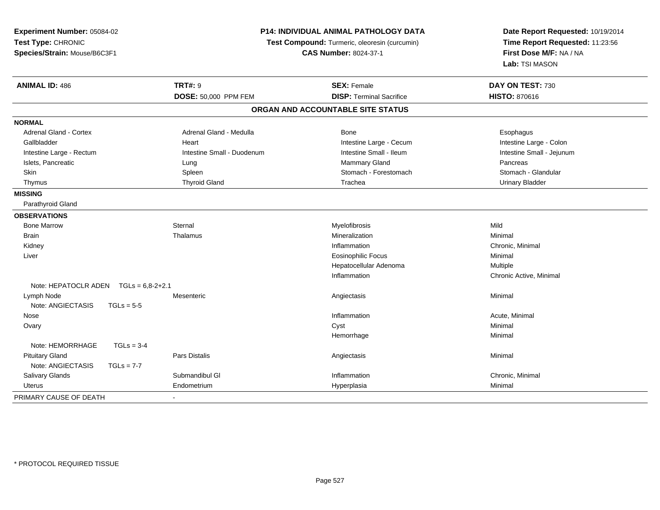| Experiment Number: 05084-02<br>Test Type: CHRONIC<br>Species/Strain: Mouse/B6C3F1 |                        | <b>P14: INDIVIDUAL ANIMAL PATHOLOGY DATA</b><br>Test Compound: Turmeric, oleoresin (curcumin)<br><b>CAS Number: 8024-37-1</b> |                                   | Date Report Requested: 10/19/2014<br>Time Report Requested: 11:23:56<br>First Dose M/F: NA / NA<br>Lab: TSI MASON |
|-----------------------------------------------------------------------------------|------------------------|-------------------------------------------------------------------------------------------------------------------------------|-----------------------------------|-------------------------------------------------------------------------------------------------------------------|
| <b>ANIMAL ID: 486</b>                                                             |                        | <b>TRT#: 9</b>                                                                                                                | <b>SEX: Female</b>                | DAY ON TEST: 730                                                                                                  |
|                                                                                   |                        | DOSE: 50,000 PPM FEM                                                                                                          | <b>DISP: Terminal Sacrifice</b>   | <b>HISTO: 870616</b>                                                                                              |
|                                                                                   |                        |                                                                                                                               | ORGAN AND ACCOUNTABLE SITE STATUS |                                                                                                                   |
| <b>NORMAL</b>                                                                     |                        |                                                                                                                               |                                   |                                                                                                                   |
| <b>Adrenal Gland - Cortex</b>                                                     |                        | Adrenal Gland - Medulla                                                                                                       | <b>Bone</b>                       | Esophagus                                                                                                         |
| Gallbladder                                                                       |                        | Heart                                                                                                                         | Intestine Large - Cecum           | Intestine Large - Colon                                                                                           |
| Intestine Large - Rectum                                                          |                        | Intestine Small - Duodenum                                                                                                    | Intestine Small - Ileum           | Intestine Small - Jejunum                                                                                         |
| Islets, Pancreatic                                                                |                        | Lung                                                                                                                          | <b>Mammary Gland</b>              | Pancreas                                                                                                          |
| Skin                                                                              |                        | Spleen                                                                                                                        | Stomach - Forestomach             | Stomach - Glandular                                                                                               |
| Thymus                                                                            |                        | <b>Thyroid Gland</b>                                                                                                          | Trachea                           | <b>Urinary Bladder</b>                                                                                            |
| <b>MISSING</b>                                                                    |                        |                                                                                                                               |                                   |                                                                                                                   |
| Parathyroid Gland                                                                 |                        |                                                                                                                               |                                   |                                                                                                                   |
| <b>OBSERVATIONS</b>                                                               |                        |                                                                                                                               |                                   |                                                                                                                   |
| <b>Bone Marrow</b>                                                                |                        | Sternal                                                                                                                       | Myelofibrosis                     | Mild                                                                                                              |
| Brain                                                                             |                        | Thalamus                                                                                                                      | Mineralization                    | Minimal                                                                                                           |
| Kidney                                                                            |                        |                                                                                                                               | Inflammation                      | Chronic, Minimal                                                                                                  |
| Liver                                                                             |                        |                                                                                                                               | <b>Eosinophilic Focus</b>         | Minimal                                                                                                           |
|                                                                                   |                        |                                                                                                                               | Hepatocellular Adenoma            | Multiple                                                                                                          |
|                                                                                   |                        |                                                                                                                               | Inflammation                      | Chronic Active, Minimal                                                                                           |
| Note: HEPATOCLR ADEN                                                              | $TGLs = 6.8 - 2 + 2.1$ |                                                                                                                               |                                   |                                                                                                                   |
| Lymph Node                                                                        |                        | Mesenteric                                                                                                                    | Angiectasis                       | Minimal                                                                                                           |
| Note: ANGIECTASIS                                                                 | $TGLs = 5-5$           |                                                                                                                               |                                   |                                                                                                                   |
| Nose                                                                              |                        |                                                                                                                               | Inflammation                      | Acute, Minimal                                                                                                    |
| Ovary                                                                             |                        |                                                                                                                               | Cyst                              | Minimal                                                                                                           |
|                                                                                   |                        |                                                                                                                               | Hemorrhage                        | Minimal                                                                                                           |
| Note: HEMORRHAGE                                                                  | $TGLs = 3-4$           |                                                                                                                               |                                   |                                                                                                                   |
| <b>Pituitary Gland</b>                                                            |                        | Pars Distalis                                                                                                                 | Angiectasis                       | Minimal                                                                                                           |
| Note: ANGIECTASIS                                                                 | $TGLs = 7-7$           |                                                                                                                               |                                   |                                                                                                                   |
| Salivary Glands                                                                   |                        | Submandibul GI                                                                                                                | Inflammation                      | Chronic, Minimal                                                                                                  |
| Uterus                                                                            |                        | Endometrium                                                                                                                   | Hyperplasia                       | Minimal                                                                                                           |
| PRIMARY CAUSE OF DEATH                                                            |                        |                                                                                                                               |                                   |                                                                                                                   |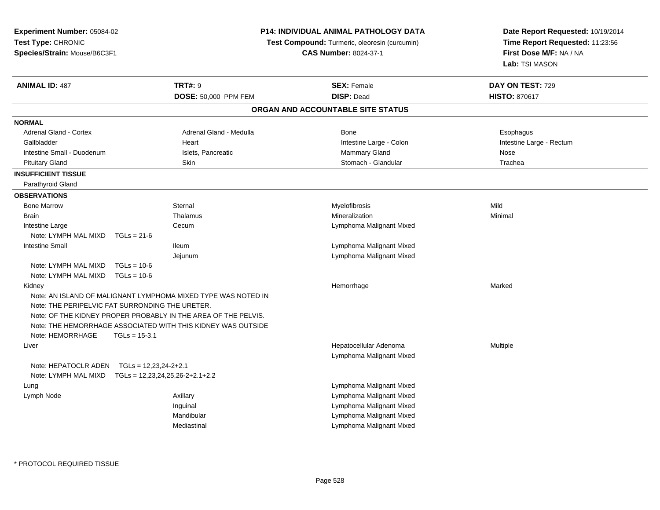**Experiment Number:** 05084-02**Test Type:** CHRONIC **Species/Strain:** Mouse/B6C3F1**P14: INDIVIDUAL ANIMAL PATHOLOGY DATATest Compound:** Turmeric, oleoresin (curcumin)**CAS Number:** 8024-37-1**Date Report Requested:** 10/19/2014**Time Report Requested:** 11:23:56**First Dose M/F:** NA / NA**Lab:** TSI MASON**ANIMAL ID:** 487**TRT#:** 9 **SEX:** Female **DAY ON TEST:** 729 **DOSE:** 50,000 PPM FEM**M DISP:** Dead **HISTO:** 870617 **ORGAN AND ACCOUNTABLE SITE STATUSNORMALAdrenal Gland - Cortex** Adrenal Gland - Medulla **Bone** Bone **Bone** Esophagus Esophagus Gallbladder **Eart** Heart Heart Heart Heart Intestine Large - Colon Intestine Large - Rectum Intestine Small - Duodenum **Intestine Small - Duodenum** Islets, Pancreatic **Nose** Mammary Gland Nose Trachea Pituitary Gland Skin School (Skin Stomach - Glandular Stomach - Glandular Stomach - Glandular Stomach - Glandular Trachea **INSUFFICIENT TISSUE** Parathyroid Gland**OBSERVATIONS** Bone Marroww the sternal sternal sternal sternal sternal sternal sternal sternal sternal sternal sternal sternal sternal sternal sternal sternal sternal sternal sternal sternal sternal sternal sternal sternal sternal sternal sternal **Brain** n and the matter of the matter of the matter of the matter of the matter of the matter of the matter of the matter of the matter of the matter of the matter of the matter of the matter of the matter of the matter of the ma Intestine Largee Cecum Lymphoma Malignant Mixed Note: LYMPH MAL MIXD TGLs = 21-6 Intestine Small Ileum Lymphoma Malignant Mixed Jejunum Lymphoma Malignant Mixed Note: LYMPH MAL MIXD TGLs = 10-6 $TGI = 10-6$ Note: LYMPH MAL MIXD Kidneyy the control of the control of the control of the control of the control of the control of the control of the control of the control of the control of the control of the control of the control of the control of the contro e Marked Marked Note: AN ISLAND OF MALIGNANT LYMPHOMA MIXED TYPE WAS NOTED INNote: THE PERIPELVIC FAT SURRONDING THE URETER.Note: OF THE KIDNEY PROPER PROBABLY IN THE AREA OF THE PELVIS.Note: THE HEMORRHAGE ASSOCIATED WITH THIS KIDNEY WAS OUTSIDENote: HEMORRHAGE TGLs = 15-3.1 Liver Hepatocellular Adenoma Multiple Lymphoma Malignant MixedNote: HEPATOCLR ADEN TGLs = 12,23,24-2+2.1 Note: LYMPH MAL MIXD TGLs = 12,23,24,25,26-2+2.1+2.2 Lung Lymphoma Malignant Mixed Lymph Node Axillary Lymphoma Malignant Mixed Inguinal Lymphoma Malignant Mixed**Lymphoma Malignant Mixed** Mandibular Lymphoma Malignant MixedMediastinal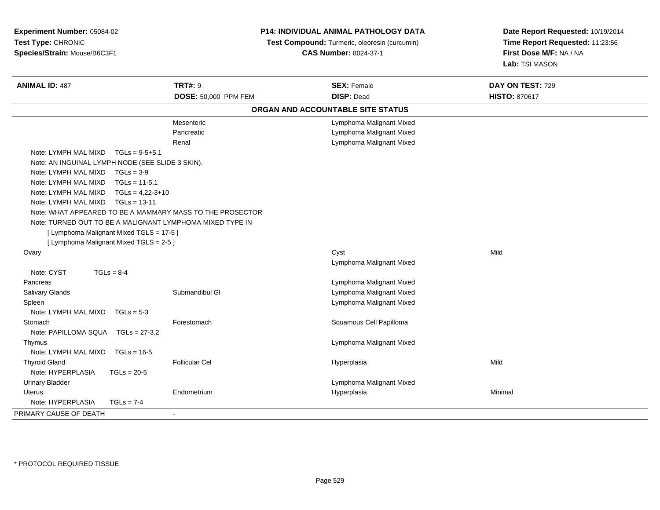| Experiment Number: 05084-02<br>Test Type: CHRONIC<br>Species/Strain: Mouse/B6C3F1                                                                                                                                                                                                                                                                                                                                                                                                        |                                   | P14: INDIVIDUAL ANIMAL PATHOLOGY DATA<br>Test Compound: Turmeric, oleoresin (curcumin)<br><b>CAS Number: 8024-37-1</b> | Date Report Requested: 10/19/2014<br>Time Report Requested: 11:23:56<br>First Dose M/F: NA / NA<br>Lab: TSI MASON |
|------------------------------------------------------------------------------------------------------------------------------------------------------------------------------------------------------------------------------------------------------------------------------------------------------------------------------------------------------------------------------------------------------------------------------------------------------------------------------------------|-----------------------------------|------------------------------------------------------------------------------------------------------------------------|-------------------------------------------------------------------------------------------------------------------|
| <b>ANIMAL ID: 487</b>                                                                                                                                                                                                                                                                                                                                                                                                                                                                    | <b>TRT#: 9</b>                    | <b>SEX: Female</b>                                                                                                     | DAY ON TEST: 729                                                                                                  |
|                                                                                                                                                                                                                                                                                                                                                                                                                                                                                          | DOSE: 50,000 PPM FEM              | <b>DISP: Dead</b>                                                                                                      | <b>HISTO: 870617</b>                                                                                              |
|                                                                                                                                                                                                                                                                                                                                                                                                                                                                                          |                                   | ORGAN AND ACCOUNTABLE SITE STATUS                                                                                      |                                                                                                                   |
|                                                                                                                                                                                                                                                                                                                                                                                                                                                                                          | Mesenteric<br>Pancreatic<br>Renal | Lymphoma Malignant Mixed<br>Lymphoma Malignant Mixed<br>Lymphoma Malignant Mixed                                       |                                                                                                                   |
| Note: LYMPH MAL MIXD<br>$TGLs = 9-5+5.1$<br>Note: AN INGUINAL LYMPH NODE (SEE SLIDE 3 SKIN).<br>Note: LYMPH MAL MIXD<br>$TGLs = 3-9$<br>Note: LYMPH MAL MIXD<br>$TGLs = 11-5.1$<br>Note: LYMPH MAL MIXD<br>$TGLs = 4,22-3+10$<br>Note: LYMPH MAL MIXD<br>$TGLs = 13-11$<br>Note: WHAT APPEARED TO BE A MAMMARY MASS TO THE PROSECTOR<br>Note: TURNED OUT TO BE A MALIGNANT LYMPHOMA MIXED TYPE IN<br>[ Lymphoma Malignant Mixed TGLS = 17-5 ]<br>[ Lymphoma Malignant Mixed TGLS = 2-5 ] |                                   |                                                                                                                        |                                                                                                                   |
| Ovary                                                                                                                                                                                                                                                                                                                                                                                                                                                                                    |                                   | Cyst<br>Lymphoma Malignant Mixed                                                                                       | Mild                                                                                                              |
| Note: CYST<br>$TGLs = 8-4$<br>Pancreas<br>Salivary Glands<br>Spleen<br>Note: LYMPH MAL MIXD<br>$TGLs = 5-3$                                                                                                                                                                                                                                                                                                                                                                              | Submandibul GI                    | Lymphoma Malignant Mixed<br>Lymphoma Malignant Mixed<br>Lymphoma Malignant Mixed                                       |                                                                                                                   |
| Stomach<br>Note: PAPILLOMA SQUA TGLs = 27-3.2<br>Thymus<br>Note: LYMPH MAL MIXD                                                                                                                                                                                                                                                                                                                                                                                                          | Forestomach                       | Squamous Cell Papilloma<br>Lymphoma Malignant Mixed                                                                    |                                                                                                                   |
| $TGLs = 16-5$<br><b>Thyroid Gland</b><br>Note: HYPERPLASIA<br>$TGLs = 20-5$                                                                                                                                                                                                                                                                                                                                                                                                              | <b>Follicular Cel</b>             | Hyperplasia                                                                                                            | Mild                                                                                                              |
| <b>Urinary Bladder</b><br><b>Uterus</b><br>Note: HYPERPLASIA<br>$TGLs = 7-4$                                                                                                                                                                                                                                                                                                                                                                                                             | Endometrium                       | Lymphoma Malignant Mixed<br>Hyperplasia                                                                                | Minimal                                                                                                           |
| PRIMARY CAUSE OF DEATH                                                                                                                                                                                                                                                                                                                                                                                                                                                                   | ٠                                 |                                                                                                                        |                                                                                                                   |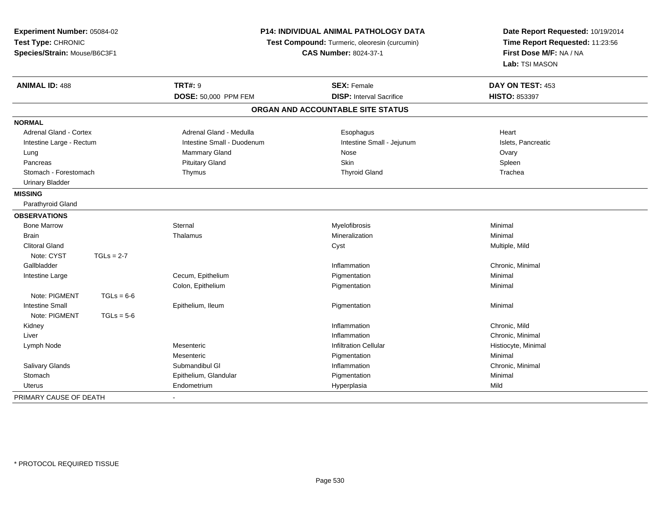| Experiment Number: 05084-02<br>Test Type: CHRONIC<br>Species/Strain: Mouse/B6C3F1 |              | P14: INDIVIDUAL ANIMAL PATHOLOGY DATA<br>Test Compound: Turmeric, oleoresin (curcumin)<br><b>CAS Number: 8024-37-1</b> |                                                       | Date Report Requested: 10/19/2014<br>Time Report Requested: 11:23:56<br>First Dose M/F: NA / NA<br>Lab: TSI MASON |
|-----------------------------------------------------------------------------------|--------------|------------------------------------------------------------------------------------------------------------------------|-------------------------------------------------------|-------------------------------------------------------------------------------------------------------------------|
| <b>ANIMAL ID: 488</b>                                                             |              | <b>TRT#: 9</b><br>DOSE: 50,000 PPM FEM                                                                                 | <b>SEX: Female</b><br><b>DISP:</b> Interval Sacrifice | DAY ON TEST: 453<br><b>HISTO: 853397</b>                                                                          |
|                                                                                   |              |                                                                                                                        | ORGAN AND ACCOUNTABLE SITE STATUS                     |                                                                                                                   |
| <b>NORMAL</b>                                                                     |              |                                                                                                                        |                                                       |                                                                                                                   |
| Adrenal Gland - Cortex                                                            |              | Adrenal Gland - Medulla                                                                                                | Esophagus                                             | Heart                                                                                                             |
| Intestine Large - Rectum                                                          |              | Intestine Small - Duodenum                                                                                             | Intestine Small - Jejunum                             | Islets, Pancreatic                                                                                                |
| Lung                                                                              |              | <b>Mammary Gland</b>                                                                                                   | Nose                                                  | Ovary                                                                                                             |
| Pancreas                                                                          |              | <b>Pituitary Gland</b>                                                                                                 | <b>Skin</b>                                           | Spleen                                                                                                            |
| Stomach - Forestomach                                                             |              | Thymus                                                                                                                 | <b>Thyroid Gland</b>                                  | Trachea                                                                                                           |
| <b>Urinary Bladder</b>                                                            |              |                                                                                                                        |                                                       |                                                                                                                   |
| <b>MISSING</b>                                                                    |              |                                                                                                                        |                                                       |                                                                                                                   |
| Parathyroid Gland                                                                 |              |                                                                                                                        |                                                       |                                                                                                                   |
| <b>OBSERVATIONS</b>                                                               |              |                                                                                                                        |                                                       |                                                                                                                   |
| <b>Bone Marrow</b>                                                                |              | Sternal                                                                                                                | Myelofibrosis                                         | Minimal                                                                                                           |
| <b>Brain</b>                                                                      |              | Thalamus                                                                                                               | Mineralization                                        | Minimal                                                                                                           |
| <b>Clitoral Gland</b>                                                             |              |                                                                                                                        | Cyst                                                  | Multiple, Mild                                                                                                    |
| Note: CYST                                                                        | $TGLs = 2-7$ |                                                                                                                        |                                                       |                                                                                                                   |
| Gallbladder                                                                       |              |                                                                                                                        | Inflammation                                          | Chronic, Minimal                                                                                                  |
| Intestine Large                                                                   |              | Cecum, Epithelium                                                                                                      | Pigmentation                                          | Minimal                                                                                                           |
|                                                                                   |              | Colon, Epithelium                                                                                                      | Pigmentation                                          | Minimal                                                                                                           |
| Note: PIGMENT                                                                     | $TGLs = 6-6$ |                                                                                                                        |                                                       |                                                                                                                   |
| <b>Intestine Small</b>                                                            |              | Epithelium, Ileum                                                                                                      | Pigmentation                                          | Minimal                                                                                                           |
| Note: PIGMENT                                                                     | $TGLs = 5-6$ |                                                                                                                        |                                                       |                                                                                                                   |
| Kidney                                                                            |              |                                                                                                                        | Inflammation                                          | Chronic, Mild                                                                                                     |
| Liver                                                                             |              |                                                                                                                        | Inflammation                                          | Chronic, Minimal                                                                                                  |
| Lymph Node                                                                        |              | Mesenteric                                                                                                             | <b>Infiltration Cellular</b>                          | Histiocyte, Minimal                                                                                               |
|                                                                                   |              | Mesenteric                                                                                                             | Pigmentation                                          | Minimal                                                                                                           |
| Salivary Glands                                                                   |              | Submandibul GI                                                                                                         | Inflammation                                          | Chronic, Minimal                                                                                                  |
| Stomach                                                                           |              | Epithelium, Glandular                                                                                                  | Pigmentation                                          | Minimal                                                                                                           |
| <b>Uterus</b>                                                                     |              | Endometrium                                                                                                            | Hyperplasia                                           | Mild                                                                                                              |
| PRIMARY CAUSE OF DEATH                                                            |              | $\sim$                                                                                                                 |                                                       |                                                                                                                   |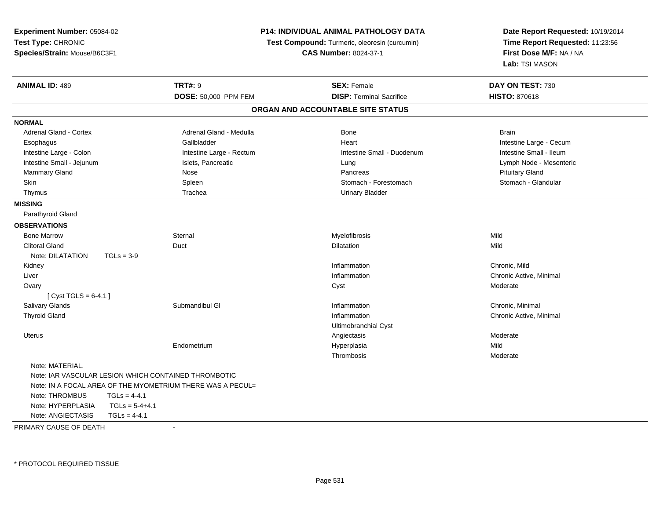| Experiment Number: 05084-02                        |                                                            |                              | <b>P14: INDIVIDUAL ANIMAL PATHOLOGY DATA</b>  | Date Report Requested: 10/19/2014 |
|----------------------------------------------------|------------------------------------------------------------|------------------------------|-----------------------------------------------|-----------------------------------|
| Test Type: CHRONIC<br>Species/Strain: Mouse/B6C3F1 |                                                            |                              | Test Compound: Turmeric, oleoresin (curcumin) | Time Report Requested: 11:23:56   |
|                                                    |                                                            | <b>CAS Number: 8024-37-1</b> |                                               | First Dose M/F: NA / NA           |
|                                                    |                                                            |                              |                                               | Lab: TSI MASON                    |
| <b>ANIMAL ID: 489</b>                              | <b>TRT#: 9</b>                                             |                              | <b>SEX: Female</b>                            | DAY ON TEST: 730                  |
|                                                    | DOSE: 50,000 PPM FEM                                       |                              | <b>DISP: Terminal Sacrifice</b>               | <b>HISTO: 870618</b>              |
|                                                    |                                                            |                              | ORGAN AND ACCOUNTABLE SITE STATUS             |                                   |
| <b>NORMAL</b>                                      |                                                            |                              |                                               |                                   |
| <b>Adrenal Gland - Cortex</b>                      | Adrenal Gland - Medulla                                    |                              | <b>Bone</b>                                   | <b>Brain</b>                      |
| Esophagus                                          | Gallbladder                                                |                              | Heart                                         | Intestine Large - Cecum           |
| Intestine Large - Colon                            | Intestine Large - Rectum                                   |                              | Intestine Small - Duodenum                    | Intestine Small - Ileum           |
| Intestine Small - Jejunum                          | Islets, Pancreatic                                         |                              | Lung                                          | Lymph Node - Mesenteric           |
| Mammary Gland                                      | Nose                                                       |                              | Pancreas                                      | <b>Pituitary Gland</b>            |
| Skin                                               | Spleen                                                     |                              | Stomach - Forestomach                         | Stomach - Glandular               |
| Thymus                                             | Trachea                                                    |                              | <b>Urinary Bladder</b>                        |                                   |
| <b>MISSING</b>                                     |                                                            |                              |                                               |                                   |
| Parathyroid Gland                                  |                                                            |                              |                                               |                                   |
| <b>OBSERVATIONS</b>                                |                                                            |                              |                                               |                                   |
| <b>Bone Marrow</b>                                 | Sternal                                                    |                              | Myelofibrosis                                 | Mild                              |
| <b>Clitoral Gland</b>                              | Duct                                                       |                              | Dilatation                                    | Mild                              |
| Note: DILATATION                                   | $TGLs = 3-9$                                               |                              |                                               |                                   |
| Kidney                                             |                                                            |                              | Inflammation                                  | Chronic, Mild                     |
| Liver                                              |                                                            |                              | Inflammation                                  | Chronic Active, Minimal           |
| Ovary                                              |                                                            |                              | Cyst                                          | Moderate                          |
| [Cyst TGLS = $6-4.1$ ]                             |                                                            |                              |                                               |                                   |
| <b>Salivary Glands</b>                             | Submandibul GI                                             |                              | Inflammation                                  | Chronic, Minimal                  |
| <b>Thyroid Gland</b>                               |                                                            |                              | Inflammation                                  | Chronic Active, Minimal           |
|                                                    |                                                            |                              | Ultimobranchial Cyst                          |                                   |
| Uterus                                             |                                                            |                              | Angiectasis                                   | Moderate                          |
|                                                    | Endometrium                                                |                              | Hyperplasia                                   | Mild                              |
|                                                    |                                                            |                              | Thrombosis                                    | Moderate                          |
| Note: MATERIAL.                                    |                                                            |                              |                                               |                                   |
|                                                    | Note: IAR VASCULAR LESION WHICH CONTAINED THROMBOTIC       |                              |                                               |                                   |
|                                                    | Note: IN A FOCAL AREA OF THE MYOMETRIUM THERE WAS A PECUL= |                              |                                               |                                   |
| Note: THROMBUS                                     | $TGLs = 4-4.1$                                             |                              |                                               |                                   |
| Note: HYPERPLASIA                                  | $TGLs = 5-4+4.1$                                           |                              |                                               |                                   |
| Note: ANGIECTASIS                                  | $TGLs = 4-4.1$                                             |                              |                                               |                                   |
| PRIMARY CAUSE OF DEATH                             | $\sim$                                                     |                              |                                               |                                   |

-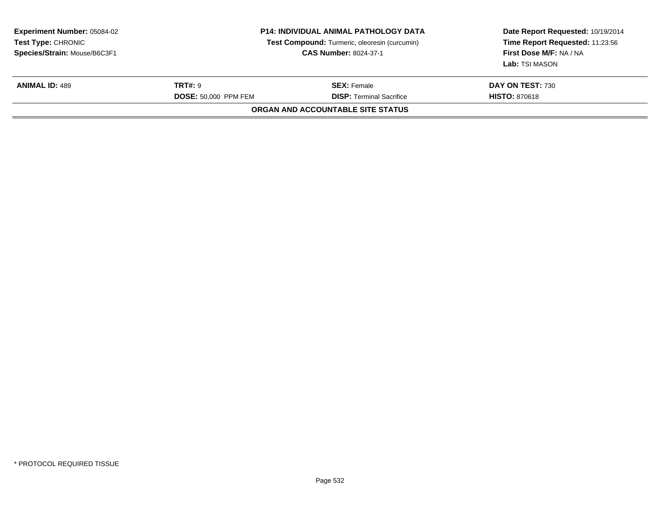| <b>Experiment Number: 05084-02</b><br><b>Test Type: CHRONIC</b><br>Species/Strain: Mouse/B6C3F1 | <b>P14: INDIVIDUAL ANIMAL PATHOLOGY DATA</b><br>Test Compound: Turmeric, oleoresin (curcumin)<br><b>CAS Number: 8024-37-1</b> |                                                       | Date Report Requested: 10/19/2014<br>Time Report Requested: 11:23:56<br>First Dose M/F: NA / NA<br>Lab: TSI MASON |
|-------------------------------------------------------------------------------------------------|-------------------------------------------------------------------------------------------------------------------------------|-------------------------------------------------------|-------------------------------------------------------------------------------------------------------------------|
| <b>ANIMAL ID: 489</b>                                                                           | <b>TRT#: 9</b><br><b>DOSE: 50.000 PPM FEM</b>                                                                                 | <b>SEX: Female</b><br><b>DISP:</b> Terminal Sacrifice | DAY ON TEST: 730<br><b>HISTO: 870618</b>                                                                          |
|                                                                                                 |                                                                                                                               | ORGAN AND ACCOUNTABLE SITE STATUS                     |                                                                                                                   |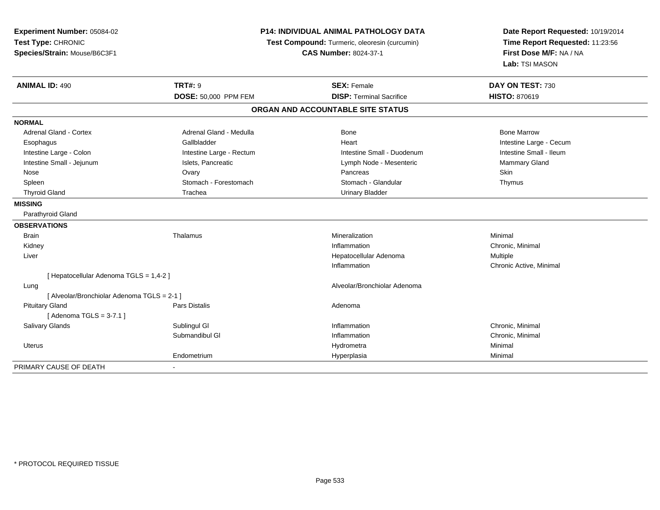| Experiment Number: 05084-02<br>Test Type: CHRONIC<br>Species/Strain: Mouse/B6C3F1 |                          | P14: INDIVIDUAL ANIMAL PATHOLOGY DATA<br>Test Compound: Turmeric, oleoresin (curcumin)<br><b>CAS Number: 8024-37-1</b> | Date Report Requested: 10/19/2014<br>Time Report Requested: 11:23:56<br>First Dose M/F: NA / NA<br>Lab: TSI MASON |
|-----------------------------------------------------------------------------------|--------------------------|------------------------------------------------------------------------------------------------------------------------|-------------------------------------------------------------------------------------------------------------------|
| <b>ANIMAL ID: 490</b>                                                             | <b>TRT#: 9</b>           | <b>SEX: Female</b>                                                                                                     | DAY ON TEST: 730                                                                                                  |
|                                                                                   | DOSE: 50,000 PPM FEM     | <b>DISP: Terminal Sacrifice</b>                                                                                        | <b>HISTO: 870619</b>                                                                                              |
|                                                                                   |                          | ORGAN AND ACCOUNTABLE SITE STATUS                                                                                      |                                                                                                                   |
| <b>NORMAL</b>                                                                     |                          |                                                                                                                        |                                                                                                                   |
| <b>Adrenal Gland - Cortex</b>                                                     | Adrenal Gland - Medulla  | <b>Bone</b>                                                                                                            | <b>Bone Marrow</b>                                                                                                |
| Esophagus                                                                         | Gallbladder              | Heart                                                                                                                  | Intestine Large - Cecum                                                                                           |
| Intestine Large - Colon                                                           | Intestine Large - Rectum | Intestine Small - Duodenum                                                                                             | Intestine Small - Ileum                                                                                           |
| Intestine Small - Jejunum                                                         | Islets, Pancreatic       | Lymph Node - Mesenteric                                                                                                | Mammary Gland                                                                                                     |
| Nose                                                                              | Ovary                    | Pancreas                                                                                                               | <b>Skin</b>                                                                                                       |
| Spleen                                                                            | Stomach - Forestomach    | Stomach - Glandular                                                                                                    | Thymus                                                                                                            |
| <b>Thyroid Gland</b>                                                              | Trachea                  | <b>Urinary Bladder</b>                                                                                                 |                                                                                                                   |
| <b>MISSING</b>                                                                    |                          |                                                                                                                        |                                                                                                                   |
| Parathyroid Gland                                                                 |                          |                                                                                                                        |                                                                                                                   |
| <b>OBSERVATIONS</b>                                                               |                          |                                                                                                                        |                                                                                                                   |
| <b>Brain</b>                                                                      | Thalamus                 | Mineralization                                                                                                         | Minimal                                                                                                           |
| Kidney                                                                            |                          | Inflammation                                                                                                           | Chronic, Minimal                                                                                                  |
| Liver                                                                             |                          | Hepatocellular Adenoma                                                                                                 | Multiple                                                                                                          |
|                                                                                   |                          | Inflammation                                                                                                           | Chronic Active, Minimal                                                                                           |
| [Hepatocellular Adenoma TGLS = 1,4-2]                                             |                          |                                                                                                                        |                                                                                                                   |
| Lung                                                                              |                          | Alveolar/Bronchiolar Adenoma                                                                                           |                                                                                                                   |
| [ Alveolar/Bronchiolar Adenoma TGLS = 2-1 ]                                       |                          |                                                                                                                        |                                                                                                                   |
| <b>Pituitary Gland</b>                                                            | <b>Pars Distalis</b>     | Adenoma                                                                                                                |                                                                                                                   |
| [Adenoma TGLS = $3-7.1$ ]                                                         |                          |                                                                                                                        |                                                                                                                   |
| <b>Salivary Glands</b>                                                            | Sublingul GI             | Inflammation                                                                                                           | Chronic, Minimal                                                                                                  |
|                                                                                   | Submandibul GI           | Inflammation                                                                                                           | Chronic, Minimal                                                                                                  |
| <b>Uterus</b>                                                                     |                          | Hydrometra                                                                                                             | Minimal                                                                                                           |
|                                                                                   | Endometrium              | Hyperplasia                                                                                                            | Minimal                                                                                                           |
| PRIMARY CAUSE OF DEATH                                                            |                          |                                                                                                                        |                                                                                                                   |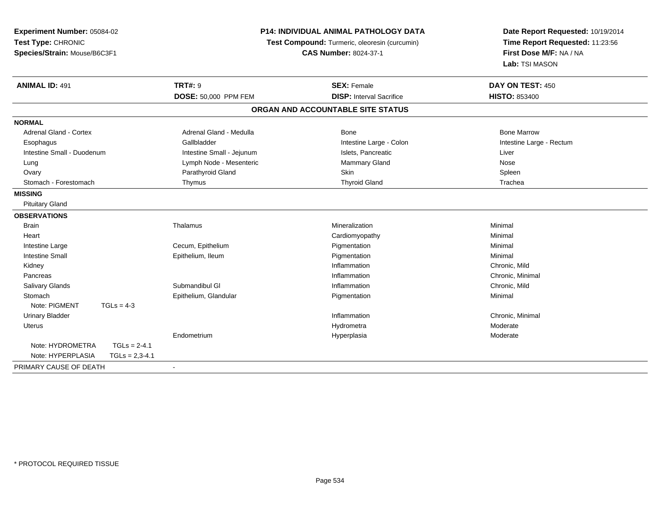| Experiment Number: 05084-02<br>Test Type: CHRONIC<br>Species/Strain: Mouse/B6C3F1 | <b>P14: INDIVIDUAL ANIMAL PATHOLOGY DATA</b><br>Test Compound: Turmeric, oleoresin (curcumin)<br><b>CAS Number: 8024-37-1</b> |                                   | Date Report Requested: 10/19/2014<br>Time Report Requested: 11:23:56<br>First Dose M/F: NA / NA<br>Lab: TSI MASON |
|-----------------------------------------------------------------------------------|-------------------------------------------------------------------------------------------------------------------------------|-----------------------------------|-------------------------------------------------------------------------------------------------------------------|
| <b>ANIMAL ID: 491</b>                                                             | <b>TRT#: 9</b>                                                                                                                | <b>SEX: Female</b>                | DAY ON TEST: 450                                                                                                  |
|                                                                                   | DOSE: 50,000 PPM FEM                                                                                                          | <b>DISP: Interval Sacrifice</b>   | <b>HISTO: 853400</b>                                                                                              |
|                                                                                   |                                                                                                                               | ORGAN AND ACCOUNTABLE SITE STATUS |                                                                                                                   |
| <b>NORMAL</b>                                                                     |                                                                                                                               |                                   |                                                                                                                   |
| Adrenal Gland - Cortex                                                            | Adrenal Gland - Medulla                                                                                                       | <b>Bone</b>                       | <b>Bone Marrow</b>                                                                                                |
| Esophagus                                                                         | Gallbladder                                                                                                                   | Intestine Large - Colon           | Intestine Large - Rectum                                                                                          |
| Intestine Small - Duodenum                                                        | Intestine Small - Jejunum                                                                                                     | Islets, Pancreatic                | Liver                                                                                                             |
| Lung                                                                              | Lymph Node - Mesenteric                                                                                                       | Mammary Gland                     | <b>Nose</b>                                                                                                       |
| Ovary                                                                             | Parathyroid Gland                                                                                                             | Skin                              | Spleen                                                                                                            |
| Stomach - Forestomach                                                             | Thymus                                                                                                                        | <b>Thyroid Gland</b>              | Trachea                                                                                                           |
| <b>MISSING</b>                                                                    |                                                                                                                               |                                   |                                                                                                                   |
| <b>Pituitary Gland</b>                                                            |                                                                                                                               |                                   |                                                                                                                   |
| <b>OBSERVATIONS</b>                                                               |                                                                                                                               |                                   |                                                                                                                   |
| <b>Brain</b>                                                                      | Thalamus                                                                                                                      | Mineralization                    | Minimal                                                                                                           |
| Heart                                                                             |                                                                                                                               | Cardiomyopathy                    | Minimal                                                                                                           |
| Intestine Large                                                                   | Cecum, Epithelium                                                                                                             | Pigmentation                      | Minimal                                                                                                           |
| <b>Intestine Small</b>                                                            | Epithelium, Ileum                                                                                                             | Pigmentation                      | Minimal                                                                                                           |
| Kidney                                                                            |                                                                                                                               | Inflammation                      | Chronic, Mild                                                                                                     |
| Pancreas                                                                          |                                                                                                                               | Inflammation                      | Chronic, Minimal                                                                                                  |
| <b>Salivary Glands</b>                                                            | Submandibul GI                                                                                                                | Inflammation                      | Chronic, Mild                                                                                                     |
| Stomach                                                                           | Epithelium, Glandular                                                                                                         | Pigmentation                      | Minimal                                                                                                           |
| Note: PIGMENT<br>$TGLs = 4-3$                                                     |                                                                                                                               |                                   |                                                                                                                   |
| <b>Urinary Bladder</b>                                                            |                                                                                                                               | Inflammation                      | Chronic, Minimal                                                                                                  |
| <b>Uterus</b>                                                                     |                                                                                                                               | Hydrometra                        | Moderate                                                                                                          |
|                                                                                   | Endometrium                                                                                                                   | Hyperplasia                       | Moderate                                                                                                          |
| Note: HYDROMETRA<br>$TGLs = 2-4.1$                                                |                                                                                                                               |                                   |                                                                                                                   |
| Note: HYPERPLASIA<br>$TGLs = 2,3-4.1$                                             |                                                                                                                               |                                   |                                                                                                                   |
| PRIMARY CAUSE OF DEATH                                                            |                                                                                                                               |                                   |                                                                                                                   |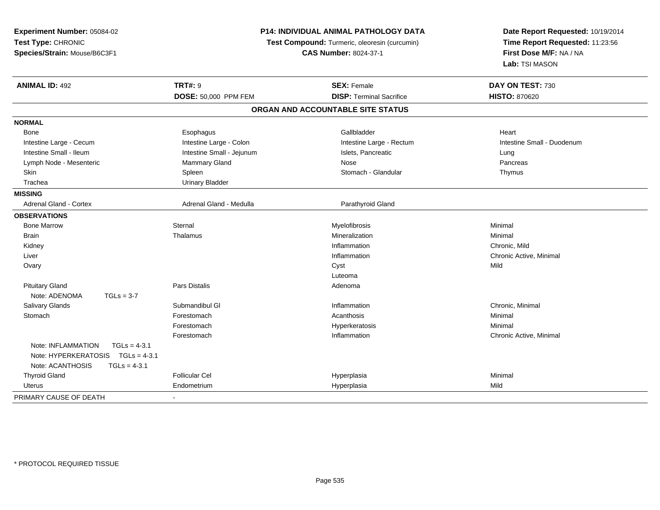| Experiment Number: 05084-02<br>Test Type: CHRONIC<br>Species/Strain: Mouse/B6C3F1                               | <b>P14: INDIVIDUAL ANIMAL PATHOLOGY DATA</b><br>Test Compound: Turmeric, oleoresin (curcumin)<br><b>CAS Number: 8024-37-1</b> |                                   | Date Report Requested: 10/19/2014<br>Time Report Requested: 11:23:56<br>First Dose M/F: NA / NA<br>Lab: TSI MASON |
|-----------------------------------------------------------------------------------------------------------------|-------------------------------------------------------------------------------------------------------------------------------|-----------------------------------|-------------------------------------------------------------------------------------------------------------------|
| <b>ANIMAL ID: 492</b>                                                                                           | <b>TRT#: 9</b>                                                                                                                | <b>SEX: Female</b>                | DAY ON TEST: 730                                                                                                  |
|                                                                                                                 | DOSE: 50,000 PPM FEM                                                                                                          | <b>DISP: Terminal Sacrifice</b>   | <b>HISTO: 870620</b>                                                                                              |
|                                                                                                                 |                                                                                                                               | ORGAN AND ACCOUNTABLE SITE STATUS |                                                                                                                   |
| <b>NORMAL</b>                                                                                                   |                                                                                                                               |                                   |                                                                                                                   |
| Bone                                                                                                            | Esophagus                                                                                                                     | Gallbladder                       | Heart                                                                                                             |
| Intestine Large - Cecum                                                                                         | Intestine Large - Colon                                                                                                       | Intestine Large - Rectum          | Intestine Small - Duodenum                                                                                        |
| Intestine Small - Ileum                                                                                         | Intestine Small - Jejunum                                                                                                     | Islets, Pancreatic                | Lung                                                                                                              |
| Lymph Node - Mesenteric                                                                                         | Mammary Gland                                                                                                                 | Nose                              | Pancreas                                                                                                          |
| Skin                                                                                                            | Spleen                                                                                                                        | Stomach - Glandular               | Thymus                                                                                                            |
| Trachea                                                                                                         | <b>Urinary Bladder</b>                                                                                                        |                                   |                                                                                                                   |
| <b>MISSING</b>                                                                                                  |                                                                                                                               |                                   |                                                                                                                   |
| <b>Adrenal Gland - Cortex</b>                                                                                   | Adrenal Gland - Medulla                                                                                                       | Parathyroid Gland                 |                                                                                                                   |
| <b>OBSERVATIONS</b>                                                                                             |                                                                                                                               |                                   |                                                                                                                   |
| <b>Bone Marrow</b>                                                                                              | Sternal                                                                                                                       | Myelofibrosis                     | Minimal                                                                                                           |
| Brain                                                                                                           | Thalamus                                                                                                                      | Mineralization                    | Minimal                                                                                                           |
| Kidney                                                                                                          |                                                                                                                               | Inflammation                      | Chronic, Mild                                                                                                     |
| Liver                                                                                                           |                                                                                                                               | Inflammation                      | Chronic Active, Minimal                                                                                           |
| Ovary                                                                                                           |                                                                                                                               | Cyst                              | Mild                                                                                                              |
|                                                                                                                 |                                                                                                                               | Luteoma                           |                                                                                                                   |
| <b>Pituitary Gland</b>                                                                                          | Pars Distalis                                                                                                                 | Adenoma                           |                                                                                                                   |
| Note: ADENOMA<br>$TGLs = 3-7$                                                                                   |                                                                                                                               |                                   |                                                                                                                   |
| Salivary Glands                                                                                                 | Submandibul GI                                                                                                                | Inflammation                      | Chronic, Minimal                                                                                                  |
| Stomach                                                                                                         | Forestomach                                                                                                                   | Acanthosis                        | Minimal                                                                                                           |
|                                                                                                                 | Forestomach                                                                                                                   | Hyperkeratosis                    | Minimal                                                                                                           |
|                                                                                                                 | Forestomach                                                                                                                   | Inflammation                      | Chronic Active, Minimal                                                                                           |
| Note: INFLAMMATION<br>$TGLs = 4-3.1$<br>Note: HYPERKERATOSIS TGLs = 4-3.1<br>Note: ACANTHOSIS<br>$TGLs = 4-3.1$ |                                                                                                                               |                                   |                                                                                                                   |
| <b>Thyroid Gland</b>                                                                                            | <b>Follicular Cel</b>                                                                                                         | Hyperplasia                       | Minimal                                                                                                           |
| Uterus                                                                                                          | Endometrium                                                                                                                   | Hyperplasia                       | Mild                                                                                                              |
| PRIMARY CAUSE OF DEATH                                                                                          |                                                                                                                               |                                   |                                                                                                                   |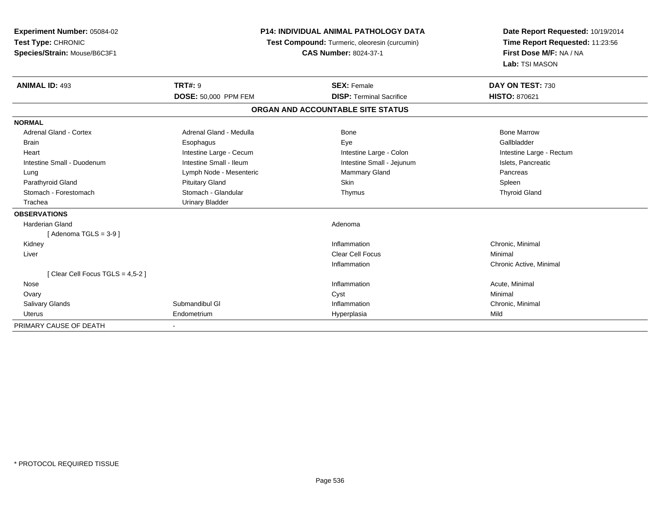| <b>Experiment Number: 05084-02</b> | <b>P14: INDIVIDUAL ANIMAL PATHOLOGY DATA</b><br>Test Compound: Turmeric, oleoresin (curcumin) |                                   | Date Report Requested: 10/19/2014 |  |
|------------------------------------|-----------------------------------------------------------------------------------------------|-----------------------------------|-----------------------------------|--|
| Test Type: CHRONIC                 |                                                                                               |                                   | Time Report Requested: 11:23:56   |  |
| Species/Strain: Mouse/B6C3F1       |                                                                                               | <b>CAS Number: 8024-37-1</b>      | First Dose M/F: NA / NA           |  |
|                                    |                                                                                               |                                   | Lab: TSI MASON                    |  |
| <b>ANIMAL ID: 493</b>              | <b>TRT#: 9</b>                                                                                | <b>SEX: Female</b>                | DAY ON TEST: 730                  |  |
|                                    | DOSE: 50,000 PPM FEM                                                                          | <b>DISP: Terminal Sacrifice</b>   | <b>HISTO: 870621</b>              |  |
|                                    |                                                                                               | ORGAN AND ACCOUNTABLE SITE STATUS |                                   |  |
| <b>NORMAL</b>                      |                                                                                               |                                   |                                   |  |
| <b>Adrenal Gland - Cortex</b>      | Adrenal Gland - Medulla                                                                       | Bone                              | <b>Bone Marrow</b>                |  |
| <b>Brain</b>                       | Esophagus                                                                                     | Eye                               | Gallbladder                       |  |
| Heart                              | Intestine Large - Cecum                                                                       | Intestine Large - Colon           | Intestine Large - Rectum          |  |
| Intestine Small - Duodenum         | Intestine Small - Ileum                                                                       | Intestine Small - Jejunum         | Islets, Pancreatic                |  |
| Lung                               | Lymph Node - Mesenteric                                                                       | Mammary Gland                     | Pancreas                          |  |
| Parathyroid Gland                  | <b>Pituitary Gland</b>                                                                        | Skin                              | Spleen                            |  |
| Stomach - Forestomach              | Stomach - Glandular                                                                           | Thymus                            | <b>Thyroid Gland</b>              |  |
| Trachea                            | <b>Urinary Bladder</b>                                                                        |                                   |                                   |  |
| <b>OBSERVATIONS</b>                |                                                                                               |                                   |                                   |  |
| <b>Harderian Gland</b>             |                                                                                               | Adenoma                           |                                   |  |
| [Adenoma TGLS = $3-9$ ]            |                                                                                               |                                   |                                   |  |
| Kidney                             |                                                                                               | Inflammation                      | Chronic, Minimal                  |  |
| Liver                              |                                                                                               | <b>Clear Cell Focus</b>           | Minimal                           |  |
|                                    |                                                                                               | Inflammation                      | Chronic Active, Minimal           |  |
| [Clear Cell Focus TGLS = 4,5-2]    |                                                                                               |                                   |                                   |  |
| Nose                               |                                                                                               | Inflammation                      | Acute, Minimal                    |  |
| Ovary                              |                                                                                               | Cyst                              | Minimal                           |  |
| <b>Salivary Glands</b>             | Submandibul GI                                                                                | Inflammation                      | Chronic, Minimal                  |  |
| Uterus                             | Endometrium                                                                                   | Hyperplasia                       | Mild                              |  |
| PRIMARY CAUSE OF DEATH             |                                                                                               |                                   |                                   |  |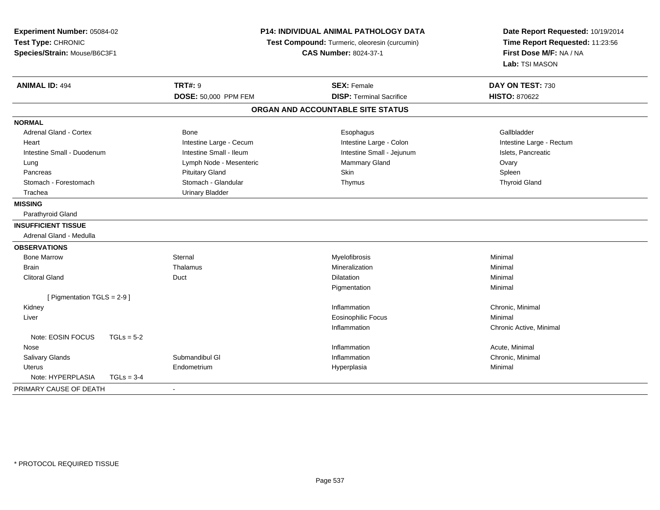| Experiment Number: 05084-02<br>Test Type: CHRONIC<br>Species/Strain: Mouse/B6C3F1 |              | <b>P14: INDIVIDUAL ANIMAL PATHOLOGY DATA</b><br>Test Compound: Turmeric, oleoresin (curcumin)<br><b>CAS Number: 8024-37-1</b> |                                   | Date Report Requested: 10/19/2014<br>Time Report Requested: 11:23:56<br>First Dose M/F: NA / NA<br>Lab: TSI MASON |
|-----------------------------------------------------------------------------------|--------------|-------------------------------------------------------------------------------------------------------------------------------|-----------------------------------|-------------------------------------------------------------------------------------------------------------------|
| <b>ANIMAL ID: 494</b>                                                             |              | <b>TRT#: 9</b>                                                                                                                | <b>SEX: Female</b>                | DAY ON TEST: 730                                                                                                  |
|                                                                                   |              | DOSE: 50,000 PPM FEM                                                                                                          | <b>DISP: Terminal Sacrifice</b>   | <b>HISTO: 870622</b>                                                                                              |
|                                                                                   |              |                                                                                                                               | ORGAN AND ACCOUNTABLE SITE STATUS |                                                                                                                   |
| <b>NORMAL</b>                                                                     |              |                                                                                                                               |                                   |                                                                                                                   |
| <b>Adrenal Gland - Cortex</b>                                                     |              | Bone                                                                                                                          | Esophagus                         | Gallbladder                                                                                                       |
| Heart                                                                             |              | Intestine Large - Cecum                                                                                                       | Intestine Large - Colon           | Intestine Large - Rectum                                                                                          |
| Intestine Small - Duodenum                                                        |              | Intestine Small - Ileum                                                                                                       | Intestine Small - Jejunum         | Islets, Pancreatic                                                                                                |
| Lung                                                                              |              | Lymph Node - Mesenteric                                                                                                       | Mammary Gland                     | Ovary                                                                                                             |
| Pancreas                                                                          |              | <b>Pituitary Gland</b>                                                                                                        | Skin                              | Spleen                                                                                                            |
| Stomach - Forestomach                                                             |              | Stomach - Glandular                                                                                                           | Thymus                            | <b>Thyroid Gland</b>                                                                                              |
| Trachea                                                                           |              | <b>Urinary Bladder</b>                                                                                                        |                                   |                                                                                                                   |
| <b>MISSING</b>                                                                    |              |                                                                                                                               |                                   |                                                                                                                   |
| Parathyroid Gland                                                                 |              |                                                                                                                               |                                   |                                                                                                                   |
| <b>INSUFFICIENT TISSUE</b>                                                        |              |                                                                                                                               |                                   |                                                                                                                   |
| Adrenal Gland - Medulla                                                           |              |                                                                                                                               |                                   |                                                                                                                   |
| <b>OBSERVATIONS</b>                                                               |              |                                                                                                                               |                                   |                                                                                                                   |
| <b>Bone Marrow</b>                                                                |              | Sternal                                                                                                                       | Myelofibrosis                     | Minimal                                                                                                           |
| Brain                                                                             |              | Thalamus                                                                                                                      | Mineralization                    | Minimal                                                                                                           |
| <b>Clitoral Gland</b>                                                             |              | Duct                                                                                                                          | <b>Dilatation</b>                 | Minimal                                                                                                           |
|                                                                                   |              |                                                                                                                               | Pigmentation                      | Minimal                                                                                                           |
| [ Pigmentation TGLS = 2-9 ]                                                       |              |                                                                                                                               |                                   |                                                                                                                   |
| Kidney                                                                            |              |                                                                                                                               | Inflammation                      | Chronic, Minimal                                                                                                  |
| Liver                                                                             |              |                                                                                                                               | <b>Eosinophilic Focus</b>         | Minimal                                                                                                           |
|                                                                                   |              |                                                                                                                               | Inflammation                      | Chronic Active, Minimal                                                                                           |
| Note: EOSIN FOCUS                                                                 | $TGLs = 5-2$ |                                                                                                                               |                                   |                                                                                                                   |
| Nose                                                                              |              |                                                                                                                               | Inflammation                      | Acute, Minimal                                                                                                    |
| Salivary Glands                                                                   |              | Submandibul GI                                                                                                                | Inflammation                      | Chronic, Minimal                                                                                                  |
| <b>Uterus</b>                                                                     |              | Endometrium                                                                                                                   | Hyperplasia                       | Minimal                                                                                                           |
| Note: HYPERPLASIA                                                                 | $TGLs = 3-4$ |                                                                                                                               |                                   |                                                                                                                   |
| PRIMARY CAUSE OF DEATH                                                            |              | $\blacksquare$                                                                                                                |                                   |                                                                                                                   |